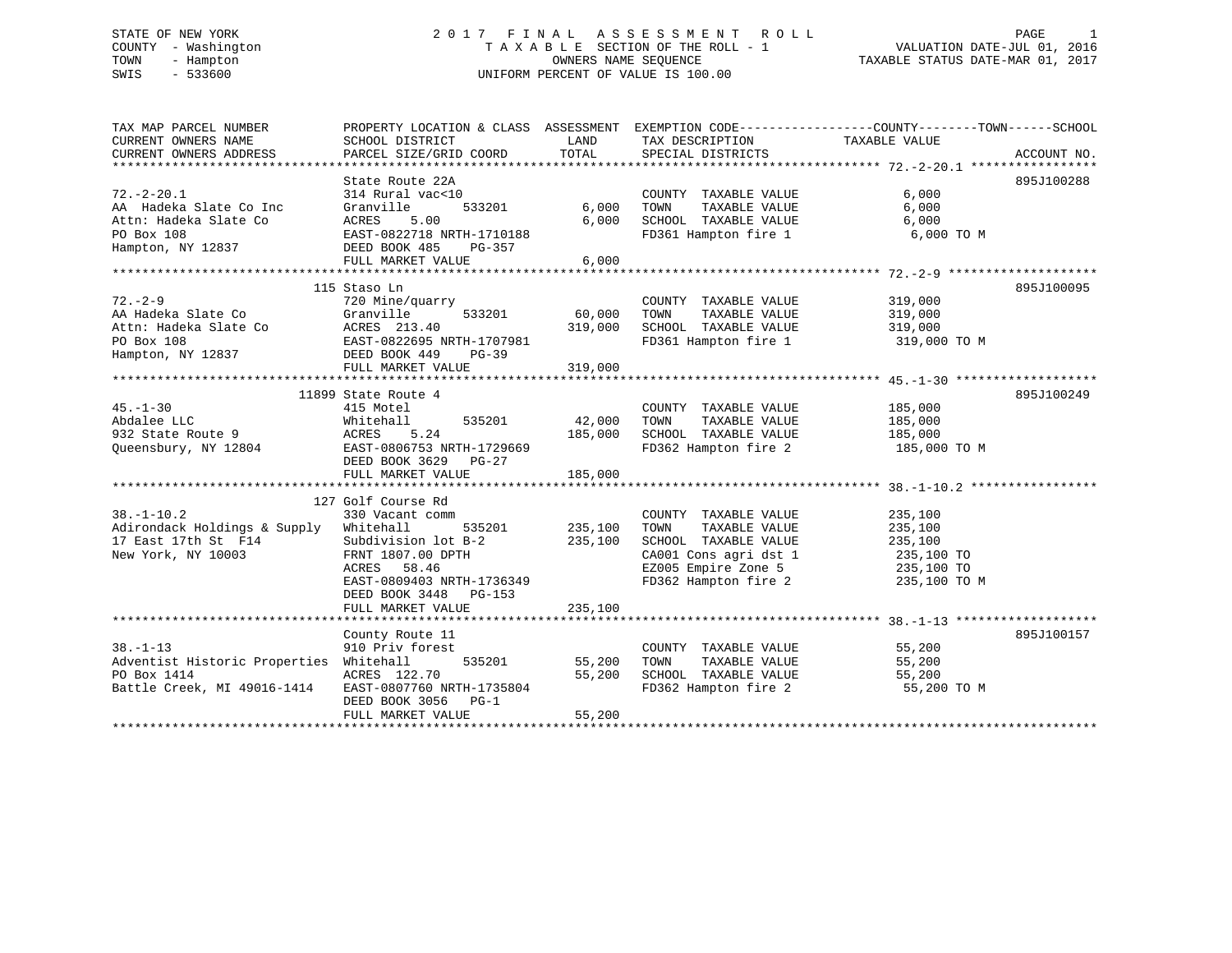#### STATE OF NEW YORK 2 0 1 7 F I N A L A S S E S S M E N T R O L L PAGE 1COUNTY - Washington  $T A X A B L E$  SECTION OF THE ROLL - 1<br>TOWN - Hampton DWNERS NAME SEQUENCE TOWN - Hampton OWNERS NAME SEQUENCE TAXABLE STATUS DATE-MAR 01, 2017 SWIS - 533600 UNIFORM PERCENT OF VALUE IS 100.00

| TAX MAP PARCEL NUMBER                                                                                                                           | PROPERTY LOCATION & CLASS ASSESSMENT EXEMPTION CODE---------------COUNTY-------TOWN-----SCHOOL |               |                                                                    |               |             |
|-------------------------------------------------------------------------------------------------------------------------------------------------|------------------------------------------------------------------------------------------------|---------------|--------------------------------------------------------------------|---------------|-------------|
| CURRENT OWNERS NAME                                                                                                                             | SCHOOL DISTRICT                                                                                | LAND          | TAX DESCRIPTION                                                    | TAXABLE VALUE |             |
| CURRENT OWNERS ADDRESS                                                                                                                          | PARCEL SIZE/GRID COORD                                                                         | TOTAL         | SPECIAL DISTRICTS                                                  |               | ACCOUNT NO. |
|                                                                                                                                                 | State Route 22A                                                                                |               |                                                                    |               | 895J100288  |
| $72. - 2 - 20.1$                                                                                                                                | 314 Rural vac<10                                                                               |               | COUNTY TAXABLE VALUE                                               | 6,000         |             |
| AA Hadeka Slate Co Inc                                                                                                                          | 533201<br>Granville                                                                            |               | 6,000 TOWN<br>TAXABLE VALUE                                        | 6,000         |             |
| Attn: Hadeka Slate Co                                                                                                                           | ACRES<br>5.00                                                                                  |               | 6,000 SCHOOL TAXABLE VALUE                                         | 6,000         |             |
| PO Box 108                                                                                                                                      | EAST-0822718 NRTH-1710188                                                                      |               | FD361 Hampton fire 1                                               | 6,000 TO M    |             |
| Hampton, NY 12837 DEED BOOK 485 PG-357                                                                                                          |                                                                                                |               |                                                                    |               |             |
|                                                                                                                                                 | FULL MARKET VALUE                                                                              | 6,000         |                                                                    |               |             |
|                                                                                                                                                 |                                                                                                |               |                                                                    |               |             |
|                                                                                                                                                 | 115 Staso Ln                                                                                   |               |                                                                    |               | 895J100095  |
| $72. - 2 - 9$                                                                                                                                   | 720 Mine/quarry                                                                                |               | COUNTY TAXABLE VALUE                                               | 319,000       |             |
|                                                                                                                                                 |                                                                                                |               | TAXABLE VALUE                                                      | 319,000       |             |
|                                                                                                                                                 |                                                                                                |               | 319,000 SCHOOL TAXABLE VALUE 319,000                               |               |             |
|                                                                                                                                                 |                                                                                                |               | FD361 Hampton fire 1 319,000 TO M                                  |               |             |
| 12.-2-9<br>AA Hadeka Slate Co Granville 533201<br>Attn: Hadeka Slate Co Granville 533201<br>PO Box 108<br>Hampton, NY 12837 DEED BOOK 449 PG-39 |                                                                                                |               |                                                                    |               |             |
|                                                                                                                                                 | FULL MARKET VALUE                                                                              | 319,000       |                                                                    |               |             |
|                                                                                                                                                 |                                                                                                |               |                                                                    |               |             |
|                                                                                                                                                 | 11899 State Route 4                                                                            |               |                                                                    |               | 895J100249  |
| $45. - 1 - 30$                                                                                                                                  | 415 Motel                                                                                      |               | COUNTY TAXABLE VALUE                                               | 185,000       |             |
|                                                                                                                                                 | 535201 42,000 TOWN                                                                             |               | TAXABLE VALUE                                                      | 185,000       |             |
|                                                                                                                                                 |                                                                                                | 185,000       | SCHOOL TAXABLE VALUE 185,000                                       |               |             |
| Queensbury, NY 12804 EAST-0806753 NRTH-1729669                                                                                                  |                                                                                                |               | FD362 Hampton fire 2 185,000 TO M                                  |               |             |
|                                                                                                                                                 | DEED BOOK 3629 PG-27                                                                           |               |                                                                    |               |             |
|                                                                                                                                                 | FULL MARKET VALUE                                                                              | 185,000       |                                                                    |               |             |
|                                                                                                                                                 |                                                                                                |               |                                                                    |               |             |
|                                                                                                                                                 | 127 Golf Course Rd                                                                             |               |                                                                    |               |             |
| $38. - 1 - 10.2$                                                                                                                                | 330 Vacant comm                                                                                |               | COUNTY TAXABLE VALUE                                               | 235,100       |             |
| Adirondack Holdings & Supply Whitehall                                                                                                          | 535201 235,100<br>1 lot B-2 235,100                                                            |               |                                                                    |               |             |
| 17 East 17th St F14                                                                                                                             | Subdivision lot B-2                                                                            |               |                                                                    |               |             |
| New York, NY 10003                                                                                                                              | FRNT 1807.00 DPTH                                                                              |               | CA001 Cons agri dst 1 235,100 TO<br>EZ005 Empire Zone 5 235,100 TO |               |             |
|                                                                                                                                                 | ACRES 58.46                                                                                    |               |                                                                    |               |             |
|                                                                                                                                                 | EAST-0809403 NRTH-1736349                                                                      |               | FD362 Hampton fire 2                                               | 235,100 TO M  |             |
|                                                                                                                                                 | DEED BOOK 3448 PG-153                                                                          |               |                                                                    |               |             |
|                                                                                                                                                 | FULL MARKET VALUE                                                                              | 235,100       |                                                                    |               |             |
|                                                                                                                                                 |                                                                                                |               |                                                                    |               |             |
|                                                                                                                                                 | County Route 11                                                                                |               |                                                                    |               | 895J100157  |
| $38. - 1 - 13$                                                                                                                                  | 910 Priv forest                                                                                |               | COUNTY TAXABLE VALUE 55,200                                        |               |             |
| Adventist Historic Properties Whitehall                                                                                                         |                                                                                                | 535201 55,200 | TAXABLE VALUE<br>TOWN                                              | 55,200        |             |
| PO Box 1414                                                                                                                                     | ACRES 122.70                                                                                   |               | 55,200 SCHOOL TAXABLE VALUE<br>FD362 Hampton fire 2                | 55,200        |             |
| Battle Creek, MI 49016-1414                                                                                                                     | EAST-0807760 NRTH-1735804                                                                      |               |                                                                    | 55,200 TO M   |             |
|                                                                                                                                                 | DEED BOOK 3056 PG-1                                                                            |               |                                                                    |               |             |
|                                                                                                                                                 | FULL MARKET VALUE                                                                              | 55,200        |                                                                    |               |             |
|                                                                                                                                                 |                                                                                                |               |                                                                    |               |             |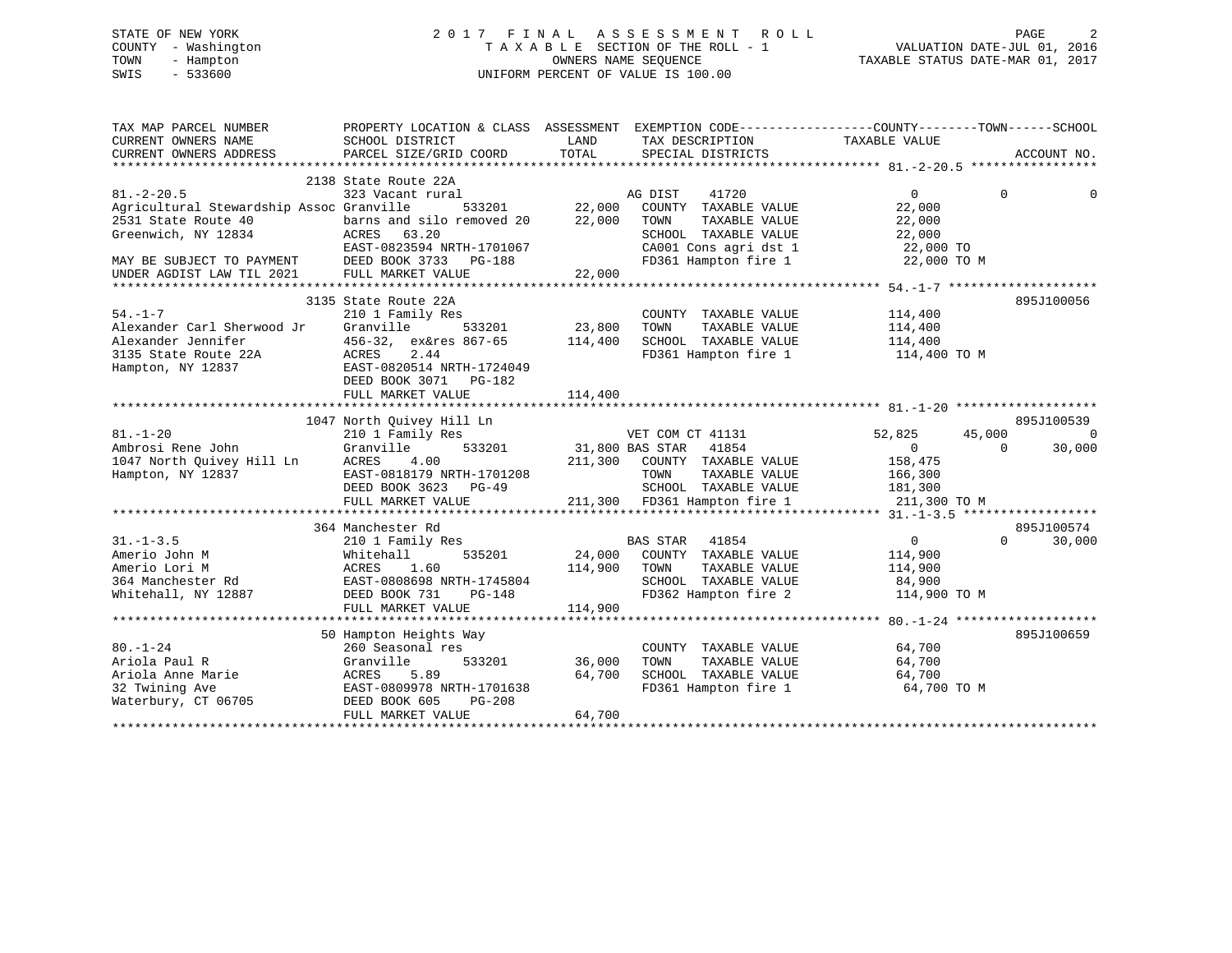# STATE OF NEW YORK 2 0 1 7 F I N A L A S S E S S M E N T R O L L PAGE 2 COUNTY - Washington T A X A B L E SECTION OF THE ROLL - 1 VALUATION DATE-JUL 01, 2016 TOWN - Hampton OWNERS NAME SEQUENCE TAXABLE STATUS DATE-MAR 01, 2017 SWIS - 533600 UNIFORM PERCENT OF VALUE IS 100.00

| TAX MAP PARCEL NUMBER<br>CURRENT OWNERS NAME<br>CURRENT OWNERS ADDRESS                                                                                               | PROPERTY LOCATION & CLASS ASSESSMENT EXEMPTION CODE---------------COUNTY-------TOWN-----SCHOOL<br>SCHOOL DISTRICT<br>PARCEL SIZE/GRID COORD                                             | LAND<br>TOTAL                | TAX DESCRIPTION<br>SPECIAL DISTRICTS                                                                                                       | TAXABLE VALUE                                                                 | ACCOUNT NO.                                  |
|----------------------------------------------------------------------------------------------------------------------------------------------------------------------|-----------------------------------------------------------------------------------------------------------------------------------------------------------------------------------------|------------------------------|--------------------------------------------------------------------------------------------------------------------------------------------|-------------------------------------------------------------------------------|----------------------------------------------|
| $81. - 2 - 20.5$<br>Agricultural Stewardship Assoc Granville<br>2531 State Route 40<br>Greenwich, NY 12834<br>MAY BE SUBJECT TO PAYMENT<br>UNDER AGDIST LAW TIL 2021 | 2138 State Route 22A<br>323 Vacant rural<br>533201<br>barns and silo removed 20<br>ACRES 63.20<br>EAST-0823594 NRTH-1701067<br>DEED BOOK 3733 PG-188<br>FULL MARKET VALUE               | 22,000<br>22,000<br>22,000   | AG DIST<br>41720<br>COUNTY TAXABLE VALUE<br>TOWN<br>TAXABLE VALUE<br>SCHOOL TAXABLE VALUE<br>CA001 Cons agri dst 1<br>FD361 Hampton fire 1 | $\Omega$<br>22,000<br>22,000<br>22,000<br>22,000 TO<br>22,000 TO M            | $\Omega$<br>0                                |
| $54. - 1 - 7$<br>Alexander Carl Sherwood Jr<br>Alexander Jennifer<br>3135 State Route 22A<br>Hampton, NY 12837                                                       | 3135 State Route 22A<br>210 1 Family Res<br>Granville<br>533201<br>456-32, ex&res 867-65<br>2.44<br>ACRES<br>EAST-0820514 NRTH-1724049<br>DEED BOOK 3071<br>PG-182<br>FULL MARKET VALUE | 23,800<br>114,400<br>114,400 | COUNTY TAXABLE VALUE<br>TOWN<br>TAXABLE VALUE<br>SCHOOL TAXABLE VALUE<br>FD361 Hampton fire 1 114,400 TO M                                 | 114,400<br>114,400<br>114,400                                                 | 895J100056                                   |
| $81. - 1 - 20$<br>Ambrosi Rene John<br>1047 North Quivey Hill Ln<br>Hampton, NY 12837                                                                                | 1047 North Quivey Hill Ln<br>210 1 Family Res<br>533201<br>Granville<br>ACRES<br>4.00<br>EAST-0818179 NRTH-1701208<br>DEED BOOK 3623 PG-49<br>FULL MARKET VALUE                         | 31,800 BAS STAR              | VET COM CT 41131<br>41854<br>211,300 COUNTY TAXABLE VALUE<br>TOWN<br>TAXABLE VALUE<br>SCHOOL TAXABLE VALUE<br>211,300 FD361 Hampton fire 1 | 52,825<br>45,000<br>$\Omega$<br>158,475<br>166,300<br>181,300<br>211,300 TO M | 895J100539<br>$\Omega$<br>30,000<br>$\Omega$ |
|                                                                                                                                                                      |                                                                                                                                                                                         |                              |                                                                                                                                            |                                                                               |                                              |
| $31. - 1 - 3.5$<br>Amerio John M<br>Amerio Lori M<br>364 Manchester Rd<br>Whitehall, NY 12887                                                                        | 364 Manchester Rd<br>210 1 Family Res<br>535201<br>Whitehall<br>1.60<br>ACRES<br>EAST-0808698 NRTH-1745804<br>DEED BOOK 731<br>$PG-148$<br>FULL MARKET VALUE                            | 24,000<br>114,900<br>114,900 | <b>BAS STAR</b><br>41854<br>COUNTY TAXABLE VALUE<br>TAXABLE VALUE<br>TOWN<br>SCHOOL TAXABLE VALUE<br>FD362 Hampton fire 2                  | $\overline{0}$<br>114,900<br>114,900<br>84,900<br>114,900 TO M                | 895J100574<br>$\Omega$<br>30,000             |
|                                                                                                                                                                      |                                                                                                                                                                                         |                              |                                                                                                                                            |                                                                               |                                              |
| $80. - 1 - 24$<br>Ariola Paul R<br>Ariola Anne Marie<br>32 Twining Ave<br>Waterbury, CT 06705                                                                        | 50 Hampton Heights Way<br>260 Seasonal res<br>533201<br>Granville<br>5.89<br>ACRES<br>EAST-0809978 NRTH-1701638<br>DEED BOOK 605<br>$PG-208$<br>FULL MARKET VALUE                       | 36,000<br>64,700<br>64,700   | COUNTY TAXABLE VALUE<br>TOWN<br>TAXABLE VALUE<br>SCHOOL TAXABLE VALUE<br>FD361 Hampton fire 1                                              | 64,700<br>64,700<br>64,700<br>64,700 TO M                                     | 895J100659                                   |
|                                                                                                                                                                      |                                                                                                                                                                                         |                              |                                                                                                                                            |                                                                               |                                              |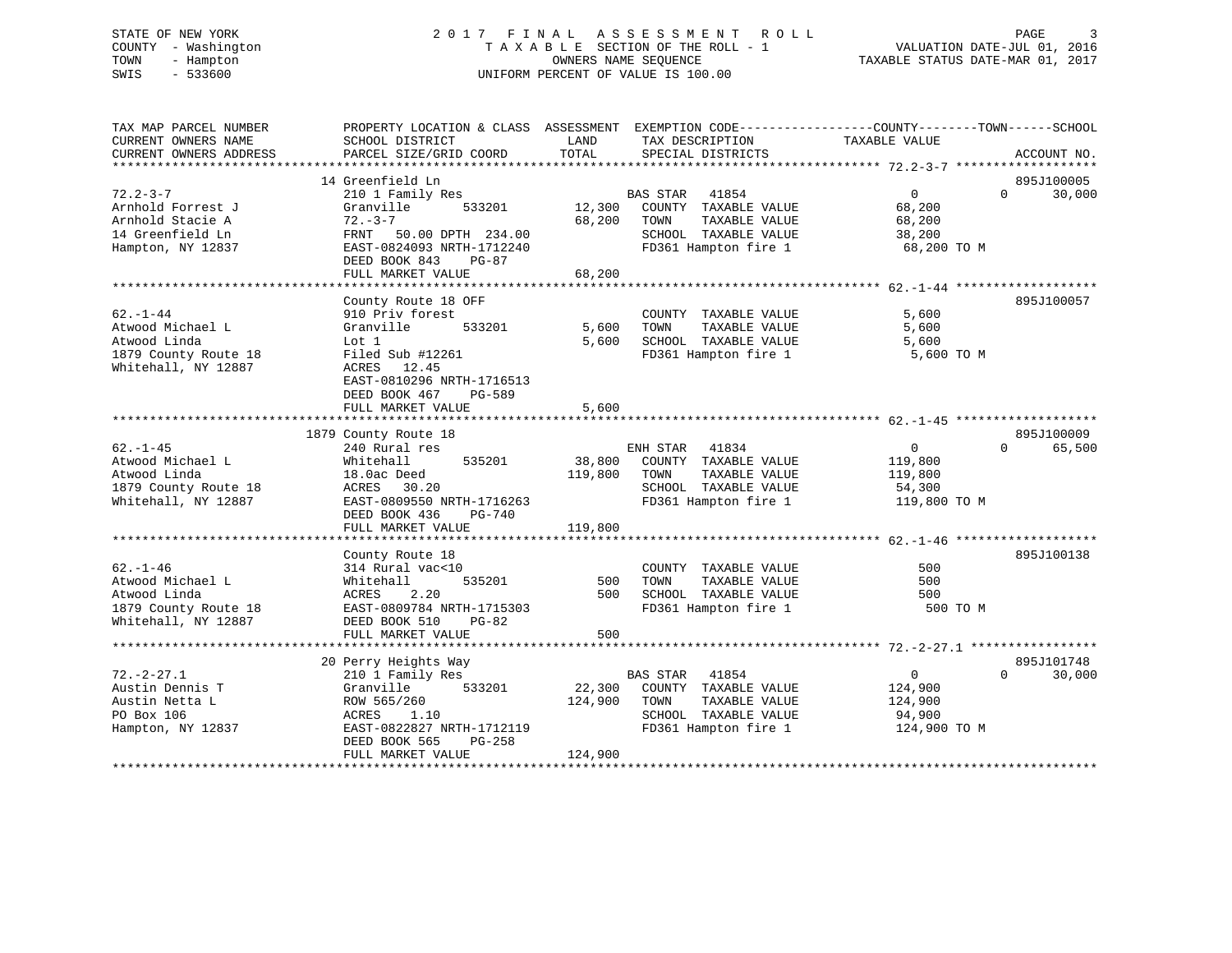# STATE OF NEW YORK 2 0 1 7 F I N A L A S S E S S M E N T R O L L PAGE 3 COUNTY - Washington T A X A B L E SECTION OF THE ROLL - 1 VALUATION DATE-JUL 01, 2016 TOWN - Hampton OWNERS NAME SEQUENCE TAXABLE STATUS DATE-MAR 01, 2017 SWIS - 533600 UNIFORM PERCENT OF VALUE IS 100.00

| TAX MAP PARCEL NUMBER<br>CURRENT OWNERS NAME<br>CURRENT OWNERS ADDRESS                            | PROPERTY LOCATION & CLASS ASSESSMENT EXEMPTION CODE---------------COUNTY-------TOWN-----SCHOOL<br>SCHOOL DISTRICT<br>PARCEL SIZE/GRID COORD                          | LAND<br>TOTAL     | TAX DESCRIPTION<br>SPECIAL DISTRICTS                                                                            | TAXABLE VALUE                                                  | ACCOUNT NO.                      |
|---------------------------------------------------------------------------------------------------|----------------------------------------------------------------------------------------------------------------------------------------------------------------------|-------------------|-----------------------------------------------------------------------------------------------------------------|----------------------------------------------------------------|----------------------------------|
|                                                                                                   |                                                                                                                                                                      |                   |                                                                                                                 |                                                                |                                  |
| $72.2 - 3 - 7$                                                                                    | 14 Greenfield Ln<br>210 1 Family Res                                                                                                                                 |                   | BAS STAR 41854                                                                                                  | 0                                                              | 895J100005<br>$\Omega$<br>30,000 |
| Arnhold Forrest J<br>Arnhold Stacie A<br>14 Greenfield Ln<br>Hampton, NY 12837                    | Granville<br>533201<br>$72 - 3 - 7$<br>FRNT 50.00 DPTH 234.00<br>EAST-0824093 NRTH-1712240<br>DEED BOOK 843<br>$PG-87$                                               | 12,300<br>68,200  | COUNTY TAXABLE VALUE<br>TOWN<br>TAXABLE VALUE<br>SCHOOL TAXABLE VALUE<br>FD361 Hampton fire 1                   | 68,200<br>68,200<br>38,200<br>68,200 TO M                      |                                  |
|                                                                                                   | FULL MARKET VALUE                                                                                                                                                    | 68,200            |                                                                                                                 |                                                                |                                  |
|                                                                                                   |                                                                                                                                                                      |                   |                                                                                                                 |                                                                |                                  |
| $62. - 1 - 44$<br>Atwood Michael L<br>Atwood Linda<br>1879 County Route 18<br>Whitehall, NY 12887 | County Route 18 OFF<br>910 Priv forest<br>533201<br>Granville<br>Lot 1<br>Filed Sub #12261<br>ACRES<br>12.45<br>EAST-0810296 NRTH-1716513<br>DEED BOOK 467<br>PG-589 | 5,600<br>5,600    | COUNTY TAXABLE VALUE<br>TAXABLE VALUE<br>TOWN<br>SCHOOL TAXABLE VALUE<br>FD361 Hampton fire 1                   | 5,600<br>5,600<br>5,600<br>5,600 TO M                          | 895J100057                       |
|                                                                                                   | FULL MARKET VALUE                                                                                                                                                    | 5,600             |                                                                                                                 |                                                                |                                  |
|                                                                                                   | 1879 County Route 18                                                                                                                                                 |                   |                                                                                                                 |                                                                | 895J100009                       |
| $62. - 1 - 45$<br>Atwood Michael L<br>Atwood Linda<br>1879 County Route 18<br>Whitehall, NY 12887 | 240 Rural res<br>535201<br>Whitehall<br>18.0ac Deed<br>ACRES<br>30.20<br>EAST-0809550 NRTH-1716263<br>DEED BOOK 436<br>PG-740                                        | 38,800<br>119,800 | ENH STAR 41834<br>COUNTY TAXABLE VALUE<br>TOWN<br>TAXABLE VALUE<br>SCHOOL TAXABLE VALUE<br>FD361 Hampton fire 1 | $\overline{0}$<br>119,800<br>119,800<br>54,300<br>119,800 TO M | $\Omega$<br>65,500               |
|                                                                                                   | FULL MARKET VALUE                                                                                                                                                    | 119,800           |                                                                                                                 |                                                                |                                  |
|                                                                                                   | County Route 18                                                                                                                                                      |                   |                                                                                                                 |                                                                | 895J100138                       |
| $62. - 1 - 46$<br>Atwood Michael L<br>Atwood Linda<br>1879 County Route 18<br>Whitehall, NY 12887 | 314 Rural vac<10<br>Whitehall<br>535201<br>2.20<br>ACRES<br>EAST-0809784 NRTH-1715303<br>DEED BOOK 510<br>$PG-82$<br>FULL MARKET VALUE                               | 500<br>500<br>500 | COUNTY TAXABLE VALUE<br>TOWN<br>TAXABLE VALUE<br>SCHOOL TAXABLE VALUE<br>FD361 Hampton fire 1                   | 500<br>500<br>500<br>500 TO M                                  |                                  |
|                                                                                                   |                                                                                                                                                                      |                   |                                                                                                                 |                                                                |                                  |
| $72. - 2 - 27.1$<br>Austin Dennis T<br>Austin Netta L<br>PO Box 106<br>Hampton, NY 12837          | 20 Perry Heights Way<br>210 1 Family Res<br>Granville<br>533201<br>ROW 565/260<br>1.10<br>ACRES<br>EAST-0822827 NRTH-1712119<br>DEED BOOK 565<br>PG-258              | 22,300<br>124,900 | BAS STAR 41854<br>COUNTY TAXABLE VALUE<br>TAXABLE VALUE<br>TOWN<br>SCHOOL TAXABLE VALUE<br>FD361 Hampton fire 1 | $\mathbf{0}$<br>124,900<br>124,900<br>94,900<br>124,900 TO M   | 895J101748<br>30,000<br>$\Omega$ |
|                                                                                                   | FULL MARKET VALUE                                                                                                                                                    | 124,900           |                                                                                                                 |                                                                |                                  |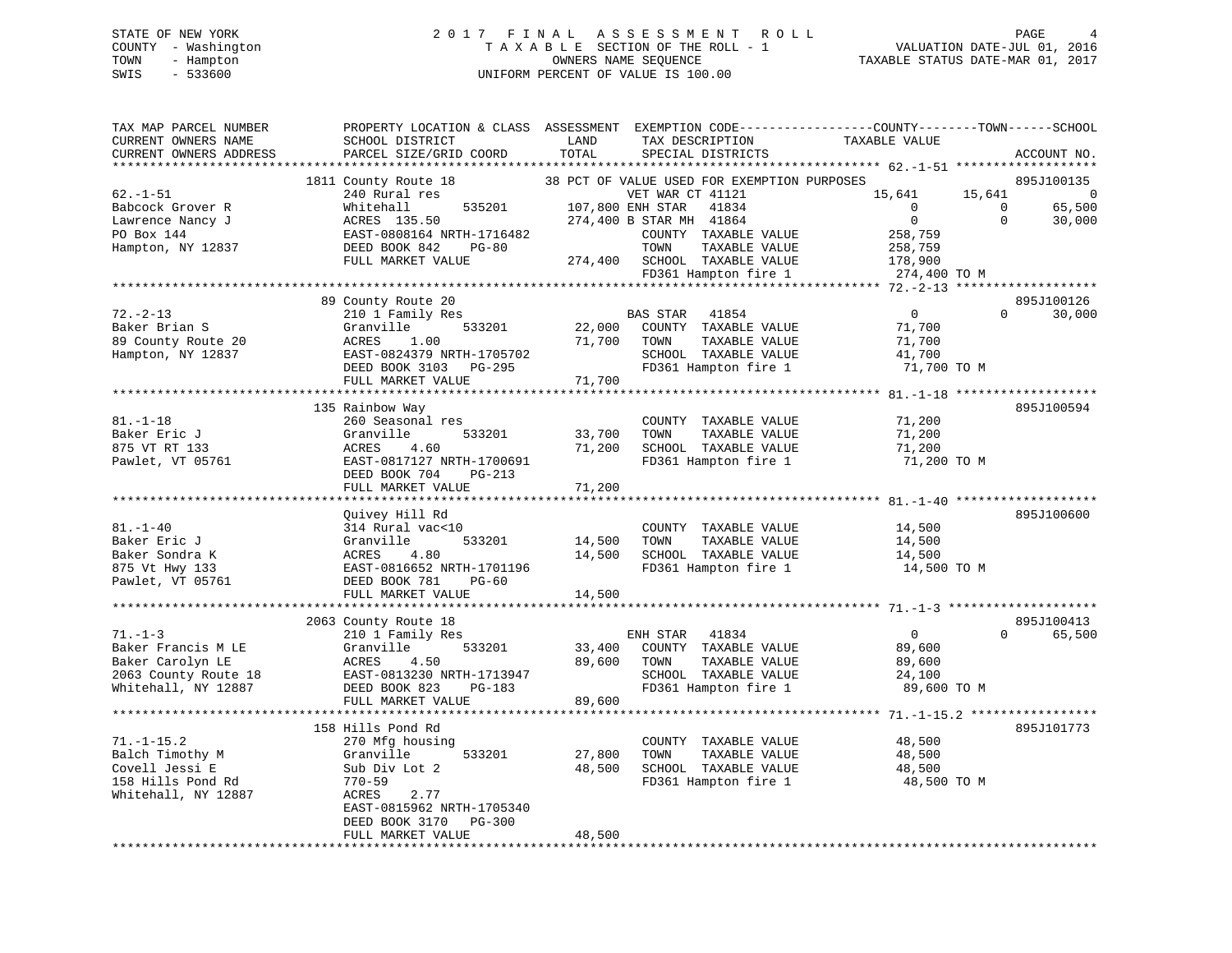# STATE OF NEW YORK 2 0 1 7 F I N A L A S S E S S M E N T R O L L PAGE 4 COUNTY - Washington T A X A B L E SECTION OF THE ROLL - 1 VALUATION DATE-JUL 01, 2016 TOWN - Hampton OWNERS NAME SEQUENCE TAXABLE STATUS DATE-MAR 01, 2017 SWIS - 533600 UNIFORM PERCENT OF VALUE IS 100.00

| TAX MAP PARCEL NUMBER<br>CURRENT OWNERS NAME | PROPERTY LOCATION & CLASS ASSESSMENT EXEMPTION CODE---------------COUNTY-------TOWN------SCHOOL<br>SCHOOL DISTRICT | LAND   | TAX DESCRIPTION  |                                                          | TAXABLE VALUE  |                |                |
|----------------------------------------------|--------------------------------------------------------------------------------------------------------------------|--------|------------------|----------------------------------------------------------|----------------|----------------|----------------|
| CURRENT OWNERS ADDRESS                       | PARCEL SIZE/GRID COORD                                                                                             | TOTAL  |                  | SPECIAL DISTRICTS                                        |                |                | ACCOUNT NO.    |
|                                              |                                                                                                                    |        |                  |                                                          |                |                |                |
|                                              | 1811 County Route 18                                                                                               |        |                  | 38 PCT OF VALUE USED FOR EXEMPTION PURPOSES              |                |                | 895J100135     |
| $62. - 1 - 51$                               | 240 Rural res                                                                                                      |        | VET WAR CT 41121 |                                                          | 15,641         | 15,641         | $\overline{0}$ |
| Babcock Grover R                             | Whitehall                                                                                                          |        |                  |                                                          | $\overline{0}$ | $\overline{0}$ | 65,500         |
| Lawrence Nancy J                             | 535201 107,800 ENH STAR 41834<br>274,400 B STAR MH 41864                                                           |        |                  |                                                          | $\overline{0}$ | $\Omega$       | 30,000         |
| PO Box 144                                   | ACRES 135.50<br>EAST-0808164 NRTH-1716482<br>And DG-80                                                             |        |                  | COUNTY TAXABLE VALUE                                     | 258,759        |                |                |
| Hampton, NY 12837                            |                                                                                                                    |        | TOWN             | TAXABLE VALUE                                            | 258,759        |                |                |
|                                              | FULL MARKET VALUE                                                                                                  |        |                  | 274,400 SCHOOL TAXABLE VALUE                             | 178,900        |                |                |
|                                              |                                                                                                                    |        |                  | FD361 Hampton fire 1                                     | 274,400 TO M   |                |                |
|                                              |                                                                                                                    |        |                  |                                                          |                |                |                |
|                                              | 89 County Route 20                                                                                                 |        |                  |                                                          |                |                | 895J100126     |
| $72. - 2 - 13$                               |                                                                                                                    |        |                  |                                                          | $\overline{0}$ | $\Omega$       | 30,000         |
| Baker Brian S                                | 210 1 Family Res<br>Granville                                                                                      |        | BAS STAR 41854   |                                                          | 71,700         |                |                |
|                                              |                                                                                                                    |        |                  | 533201 22,000 COUNTY TAXABLE VALUE                       |                |                |                |
| 89 County Route 20                           |                                                                                                                    |        | 71,700 TOWN      | TAXABLE VALUE                                            | 71,700         |                |                |
| Hampton, NY 12837                            |                                                                                                                    |        |                  | SCHOOL TAXABLE VALUE                                     | 41,700         |                |                |
|                                              |                                                                                                                    |        |                  | FD361 Hampton fire 1                                     | 71,700 TO M    |                |                |
|                                              | ACRES 1.00<br>EAST-0824379 NRTH-1705702<br>DEED BOOK 3103 PG-295<br>--- MADWET VALUE 71.700                        |        |                  |                                                          |                |                |                |
|                                              |                                                                                                                    |        |                  |                                                          |                |                |                |
|                                              | 135 Rainbow Way                                                                                                    |        |                  |                                                          |                |                | 895J100594     |
| $81. - 1 - 18$                               | 260 Seasonal res                                                                                                   |        |                  | COUNTY TAXABLE VALUE                                     | 71,200         |                |                |
| Baker Eric J                                 | Granville<br>533201                                                                                                | 33,700 | TOWN             | TAXABLE VALUE                                            | 71,200         |                |                |
| 875 VT RT 133                                | 4.60<br>ACRES                                                                                                      |        |                  | 71,200 SCHOOL TAXABLE VALUE                              | 71,200         |                |                |
| Pawlet, VT 05761                             | EAST-0817127 NRTH-1700691                                                                                          |        |                  | FD361 Hampton fire 1                                     | 71,200 TO M    |                |                |
|                                              | DEED BOOK 704<br>PG-213                                                                                            |        |                  |                                                          |                |                |                |
|                                              | FULL MARKET VALUE                                                                                                  | 71,200 |                  |                                                          |                |                |                |
|                                              |                                                                                                                    |        |                  |                                                          |                |                |                |
|                                              | Quivey Hill Rd                                                                                                     |        |                  |                                                          |                |                | 895J100600     |
| $81. - 1 - 40$                               | 314 Rural vac<10                                                                                                   |        |                  | COUNTY TAXABLE VALUE                                     | 14,500         |                |                |
| Baker Eric J                                 | 533201<br>Granville                                                                                                | 14,500 | TOWN             | TAXABLE VALUE                                            | 14,500         |                |                |
| Baker Sondra K                               | 4.80<br>ACRES                                                                                                      | 14,500 |                  | SCHOOL TAXABLE VALUE                                     | 14,500         |                |                |
| 875 Vt Hwy 133<br>Pawlet, VT 05761           | EAST-0816652 NRTH-1701196                                                                                          |        |                  | FD361 Hampton fire 1                                     | 14,500 TO M    |                |                |
|                                              | DEED BOOK 781<br>PG-60                                                                                             |        |                  |                                                          |                |                |                |
|                                              | FULL MARKET VALUE                                                                                                  | 14,500 |                  |                                                          |                |                |                |
|                                              |                                                                                                                    |        |                  |                                                          |                |                |                |
|                                              | 2063 County Route 18                                                                                               |        |                  |                                                          |                |                | 895J100413     |
| $71. - 1 - 3$                                | 210 1 Family Res                                                                                                   |        | ENH STAR 41834   |                                                          | $\overline{0}$ | $\Omega$       | 65,500         |
| Baker Francis M LE                           | Granville 533201<br>ACRES 4.50<br>EAST-0813230 NRTH-1713947<br>DEED BOOK 823<br>PG-183                             |        |                  | 33,400 COUNTY TAXABLE VALUE<br>89,600 TOWN TAXABLE VALUE | 89,600         |                |                |
| Baker Carolyn LE                             |                                                                                                                    |        |                  | TAXABLE VALUE                                            | 89,600         |                |                |
|                                              |                                                                                                                    |        |                  | SCHOOL TAXABLE VALUE                                     | 24,100         |                |                |
|                                              |                                                                                                                    |        |                  | FD361 Hampton fire 1                                     | 89,600 TO M    |                |                |
|                                              | FULL MARKET VALUE                                                                                                  | 89,600 |                  |                                                          |                |                |                |
|                                              |                                                                                                                    |        |                  |                                                          |                |                |                |
|                                              | 158 Hills Pond Rd                                                                                                  |        |                  |                                                          |                |                | 895J101773     |
| $71. - 1 - 15.2$                             | 270 Mfg housing                                                                                                    |        |                  | COUNTY TAXABLE VALUE                                     | 48,500         |                |                |
| Balch Timothy M                              | 533201<br>Granville                                                                                                | 27,800 | TOWN             | TAXABLE VALUE                                            | 48,500         |                |                |
| Covell Jessi E                               | Sub Div Lot 2                                                                                                      | 48,500 |                  | SCHOOL TAXABLE VALUE                                     | 48,500         |                |                |
| 158 Hills Pond Rd                            | 770-59                                                                                                             |        |                  | FD361 Hampton fire 1                                     | 48,500 TO M    |                |                |
| Whitehall, NY 12887                          | 2.77<br>ACRES                                                                                                      |        |                  |                                                          |                |                |                |
|                                              | EAST-0815962 NRTH-1705340                                                                                          |        |                  |                                                          |                |                |                |
|                                              | DEED BOOK 3170 PG-300                                                                                              |        |                  |                                                          |                |                |                |
|                                              | FULL MARKET VALUE                                                                                                  | 48,500 |                  |                                                          |                |                |                |
|                                              |                                                                                                                    |        |                  |                                                          |                |                |                |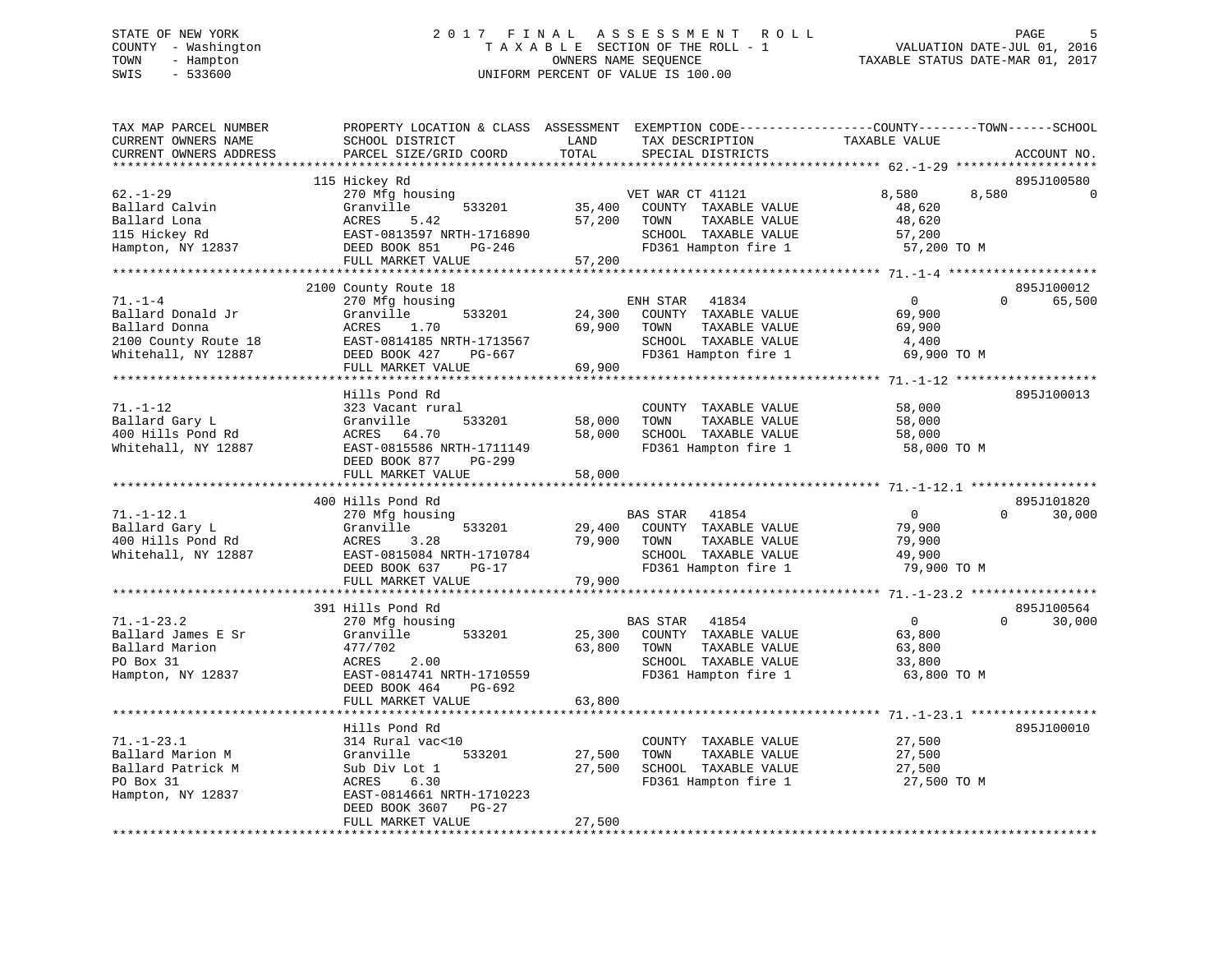# STATE OF NEW YORK 2 0 1 7 F I N A L A S S E S S M E N T R O L L PAGE 5 COUNTY - Washington T A X A B L E SECTION OF THE ROLL - 1 VALUATION DATE-JUL 01, 2016 TOWN - Hampton OWNERS NAME SEQUENCE TAXABLE STATUS DATE-MAR 01, 2017 SWIS - 533600 UNIFORM PERCENT OF VALUE IS 100.00

| TAX MAP PARCEL NUMBER<br>CURRENT OWNERS NAME<br>CURRENT OWNERS ADDRESS                             | PROPERTY LOCATION & CLASS ASSESSMENT<br>SCHOOL DISTRICT<br>PARCEL SIZE/GRID COORD                                                                                    | LAND<br>TOTAL              | EXEMPTION CODE-----------------COUNTY-------TOWN------SCHOOL<br>TAX DESCRIPTION<br>SPECIAL DISTRICTS               | TAXABLE VALUE                                               | ACCOUNT NO.                      |
|----------------------------------------------------------------------------------------------------|----------------------------------------------------------------------------------------------------------------------------------------------------------------------|----------------------------|--------------------------------------------------------------------------------------------------------------------|-------------------------------------------------------------|----------------------------------|
|                                                                                                    |                                                                                                                                                                      |                            |                                                                                                                    |                                                             |                                  |
| $62 - 1 - 29$<br>Ballard Calvin<br>Ballard Lona<br>115 Hickey Rd<br>Hampton, NY 12837              | 115 Hickey Rd<br>270 Mfg housing<br>Granville<br>533201<br>ACRES<br>5.42<br>EAST-0813597 NRTH-1716890<br>DEED BOOK 851<br>PG-246<br>FULL MARKET VALUE                | 35,400<br>57,200<br>57,200 | VET WAR CT 41121<br>COUNTY TAXABLE VALUE<br>TAXABLE VALUE<br>TOWN<br>SCHOOL TAXABLE VALUE<br>FD361 Hampton fire 1  | 8,580<br>48,620<br>48,620<br>57,200<br>57,200 TO M          | 895J100580<br>8,580              |
|                                                                                                    |                                                                                                                                                                      |                            |                                                                                                                    |                                                             |                                  |
| $71. - 1 - 4$<br>Ballard Donald Jr<br>Ballard Donna<br>2100 County Route 18<br>Whitehall, NY 12887 | 2100 County Route 18<br>270 Mfg housing<br>Granville<br>533201<br>ACRES<br>1.70<br>EAST-0814185 NRTH-1713567<br>DEED BOOK 427<br>PG-667<br>FULL MARKET VALUE         | 24,300<br>69,900<br>69,900 | ENH STAR<br>41834<br>COUNTY TAXABLE VALUE<br>TOWN<br>TAXABLE VALUE<br>SCHOOL TAXABLE VALUE<br>FD361 Hampton fire 1 | $\overline{0}$<br>69,900<br>69,900<br>4,400<br>69,900 TO M  | 895J100012<br>$\Omega$<br>65,500 |
|                                                                                                    |                                                                                                                                                                      |                            |                                                                                                                    |                                                             |                                  |
| $71. - 1 - 12$<br>Ballard Gary L<br>400 Hills Pond Rd<br>Whitehall, NY 12887                       | Hills Pond Rd<br>323 Vacant rural<br>Granville<br>533201<br>ACRES 64.70<br>EAST-0815586 NRTH-1711149<br>DEED BOOK 877<br>PG-299<br>FULL MARKET VALUE                 | 58,000<br>58,000<br>58,000 | COUNTY TAXABLE VALUE<br>TOWN<br>TAXABLE VALUE<br>SCHOOL TAXABLE VALUE<br>FD361 Hampton fire 1                      | 58,000<br>58,000<br>58,000<br>58,000 TO M                   | 895J100013                       |
|                                                                                                    |                                                                                                                                                                      |                            |                                                                                                                    |                                                             |                                  |
| $71. - 1 - 12.1$<br>Ballard Gary L<br>400 Hills Pond Rd<br>Whitehall, NY 12887                     | 400 Hills Pond Rd<br>270 Mfg housing<br>Granville<br>533201<br>ACRES<br>3.28<br>EAST-0815084 NRTH-1710784<br>DEED BOOK 637<br>$PG-17$                                | 29,400<br>79,900           | BAS STAR<br>41854<br>COUNTY TAXABLE VALUE<br>TAXABLE VALUE<br>TOWN<br>SCHOOL TAXABLE VALUE<br>FD361 Hampton fire 1 | $\overline{0}$<br>79,900<br>79,900<br>49,900<br>79,900 TO M | 895J101820<br>$\Omega$<br>30,000 |
|                                                                                                    | FULL MARKET VALUE<br>***********************                                                                                                                         | 79,900                     |                                                                                                                    |                                                             |                                  |
| $71. - 1 - 23.2$<br>Ballard James E Sr<br>Ballard Marion<br>PO Box 31<br>Hampton, NY 12837         | 391 Hills Pond Rd<br>270 Mfg housing<br>533201<br>Granville<br>477/702<br>2.00<br>ACRES<br>EAST-0814741 NRTH-1710559<br>DEED BOOK 464<br>PG-692<br>FULL MARKET VALUE | 25,300<br>63,800<br>63,800 | BAS STAR 41854<br>COUNTY TAXABLE VALUE<br>TAXABLE VALUE<br>TOWN<br>SCHOOL TAXABLE VALUE<br>FD361 Hampton fire 1    | $\overline{0}$<br>63,800<br>63,800<br>33,800<br>63,800 TO M | 895J100564<br>$\Omega$<br>30,000 |
|                                                                                                    | * * * * * * * * * * * * * * * * * * *                                                                                                                                |                            |                                                                                                                    |                                                             |                                  |
| $71. - 1 - 23.1$<br>Ballard Marion M<br>Ballard Patrick M<br>PO Box 31<br>Hampton, NY 12837        | Hills Pond Rd<br>314 Rural vac<10<br>Granville<br>533201<br>Sub Div Lot 1<br>ACRES<br>6.30<br>EAST-0814661 NRTH-1710223<br>$PG-27$<br>DEED BOOK 3607                 | 27,500<br>27,500           | COUNTY TAXABLE VALUE<br>TOWN<br>TAXABLE VALUE<br>SCHOOL TAXABLE VALUE<br>FD361 Hampton fire 1                      | 27,500<br>27,500<br>27,500<br>27,500 TO M                   | 895J100010                       |
|                                                                                                    | FULL MARKET VALUE                                                                                                                                                    | 27,500                     |                                                                                                                    |                                                             |                                  |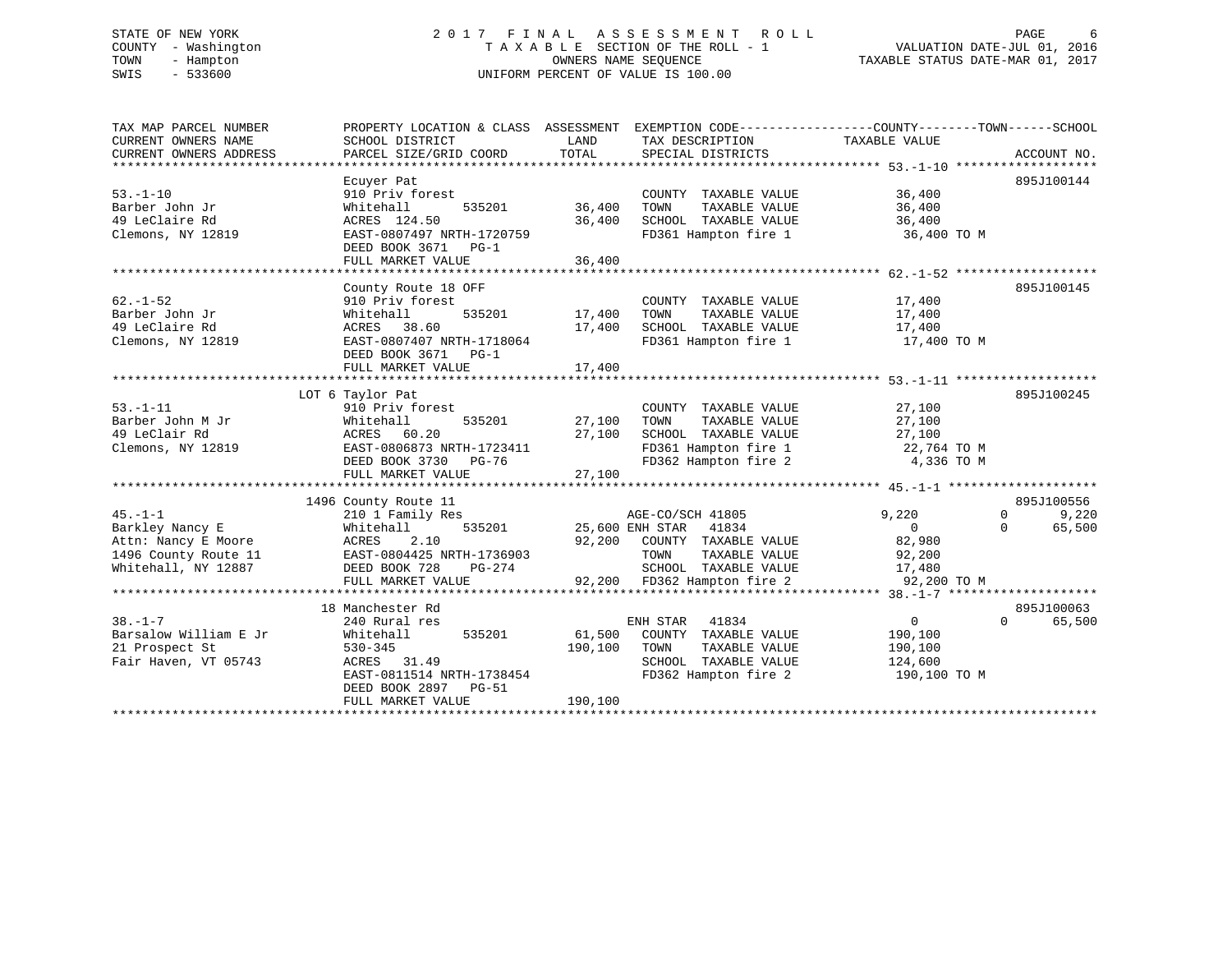#### STATE OF NEW YORK GORE CONSUMED A LOCAL TO LOCAL A S S E S S M E N T R O L L CONSUMER CONSUMER CONSUMER TO LOCAL CONSUMER CONSUMER TO LOCAL CONSUMER CONSUMER CONSUMER CONSUMER CONSUMER CONSUMER CONSUMER CONSUMER CONSUMER C COUNTY - Washington  $T A X A B L E$  SECTION OF THE ROLL - 1<br>TOWN - Hampton DATE-JUL 000NERS NAME SEQUENCE TOWN - Hampton OWNERS NAME SEQUENCE TAXABLE STATUS DATE-MAR 01, 2017 SWIS - 533600 UNIFORM PERCENT OF VALUE IS 100.00

| TAX MAP PARCEL NUMBER  | PROPERTY LOCATION & CLASS ASSESSMENT EXEMPTION CODE---------------COUNTY-------TOWN-----SCHOOL |         |                                               |                  |                    |
|------------------------|------------------------------------------------------------------------------------------------|---------|-----------------------------------------------|------------------|--------------------|
| CURRENT OWNERS NAME    | SCHOOL DISTRICT                                                                                | LAND    | TAX DESCRIPTION                               | TAXABLE VALUE    |                    |
| CURRENT OWNERS ADDRESS | PARCEL SIZE/GRID COORD                                                                         | TOTAL   | SPECIAL DISTRICTS                             |                  | ACCOUNT NO.        |
|                        |                                                                                                |         |                                               |                  |                    |
| $53. - 1 - 10$         | Ecuyer Pat<br>910 Priv forest                                                                  |         |                                               | 36,400           | 895J100144         |
| Barber John Jr         | Whitehall<br>535201                                                                            | 36,400  | COUNTY TAXABLE VALUE<br>TAXABLE VALUE<br>TOWN | 36,400           |                    |
| 49 LeClaire Rd         | ACRES 124.50                                                                                   | 36,400  | SCHOOL TAXABLE VALUE                          | 36,400           |                    |
| Clemons, NY 12819      | EAST-0807497 NRTH-1720759                                                                      |         | FD361 Hampton fire 1                          | 36,400 TO M      |                    |
|                        | DEED BOOK 3671 PG-1                                                                            |         |                                               |                  |                    |
|                        | FULL MARKET VALUE                                                                              | 36,400  |                                               |                  |                    |
|                        |                                                                                                |         |                                               |                  |                    |
|                        | County Route 18 OFF                                                                            |         |                                               |                  | 895J100145         |
| $62. - 1 - 52$         | 910 Priv forest                                                                                |         | COUNTY TAXABLE VALUE 17,400                   |                  |                    |
| Barber John Jr         | 535201<br>Whitehall                                                                            | 17,400  | TOWN<br>TAXABLE VALUE                         | 17,400           |                    |
| 49 LeClaire Rd         | ACRES 38.60                                                                                    | 17,400  | SCHOOL TAXABLE VALUE                          | 17,400           |                    |
| Clemons, NY 12819      | EAST-0807407 NRTH-1718064                                                                      |         | FD361 Hampton fire 1                          | 17,400 TO M      |                    |
|                        | DEED BOOK 3671 PG-1                                                                            |         |                                               |                  |                    |
|                        | FULL MARKET VALUE                                                                              | 17,400  |                                               |                  |                    |
|                        |                                                                                                |         |                                               |                  |                    |
| $53. - 1 - 11$         | LOT 6 Taylor Pat<br>910 Priv forest                                                            |         | COUNTY TAXABLE VALUE                          | 27,100           | 895J100245         |
| Barber John M Jr       | Whitehall<br>535201                                                                            | 27,100  | TOWN<br>TAXABLE VALUE                         | 27,100           |                    |
| 49 LeClair Rd          | ACRES 60.20                                                                                    | 27,100  | SCHOOL TAXABLE VALUE                          | 27,100           |                    |
| Clemons, NY 12819      | EAST-0806873 NRTH-1723411                                                                      |         | FD361 Hampton fire 1                          | 22,764 TO M      |                    |
|                        | DEED BOOK 3730<br>PG-76                                                                        |         | FD362 Hampton fire 2                          | 4,336 TO M       |                    |
|                        | FULL MARKET VALUE                                                                              | 27,100  |                                               |                  |                    |
|                        |                                                                                                |         |                                               |                  |                    |
|                        | 1496 County Route 11                                                                           |         |                                               |                  | 895J100556         |
| $45. - 1 - 1$          | 210 1 Family Res                                                                               |         | AGE-CO/SCH 41805                              | 9,220            | 9,220<br>$\Omega$  |
| Barkley Nancy E        | Whitehall<br>535201                                                                            |         | 25,600 ENH STAR 41834                         | $\overline{0}$   | 65,500<br>$\Omega$ |
| Attn: Nancy E Moore    | 2.10<br>ACRES                                                                                  |         | 92,200 COUNTY TAXABLE VALUE                   | 82,980           |                    |
| 1496 County Route 11   | EAST-0804425 NRTH-1736903                                                                      |         | TOWN<br>TAXABLE VALUE                         | 92,200<br>17,480 |                    |
| Whitehall, NY 12887    | DEED BOOK 728<br>PG-274                                                                        |         | SCHOOL TAXABLE VALUE                          |                  |                    |
|                        | FULL MARKET VALUE                                                                              |         | 92,200 FD362 Hampton fire 2                   | 92,200 TO M      |                    |
|                        | 18 Manchester Rd                                                                               |         |                                               |                  | 895J100063         |
| $38. - 1 - 7$          | 240 Rural res                                                                                  |         | ENH STAR<br>41834                             | $\overline{0}$   | $\Omega$<br>65,500 |
| Barsalow William E Jr  | Whitehall<br>535201                                                                            | 61,500  | COUNTY TAXABLE VALUE                          | 190,100          |                    |
| 21 Prospect St         | $530 - 345$                                                                                    | 190,100 | TOWN<br>TAXABLE VALUE                         | 190,100          |                    |
| Fair Haven, VT 05743   | ACRES 31.49                                                                                    |         | SCHOOL TAXABLE VALUE 124,600                  |                  |                    |
|                        | EAST-0811514 NRTH-1738454                                                                      |         | FD362 Hampton fire 2                          | 190,100 TO M     |                    |
|                        | DEED BOOK 2897<br><b>PG-51</b>                                                                 |         |                                               |                  |                    |
|                        | FULL MARKET VALUE                                                                              | 190,100 |                                               |                  |                    |
|                        |                                                                                                |         |                                               |                  |                    |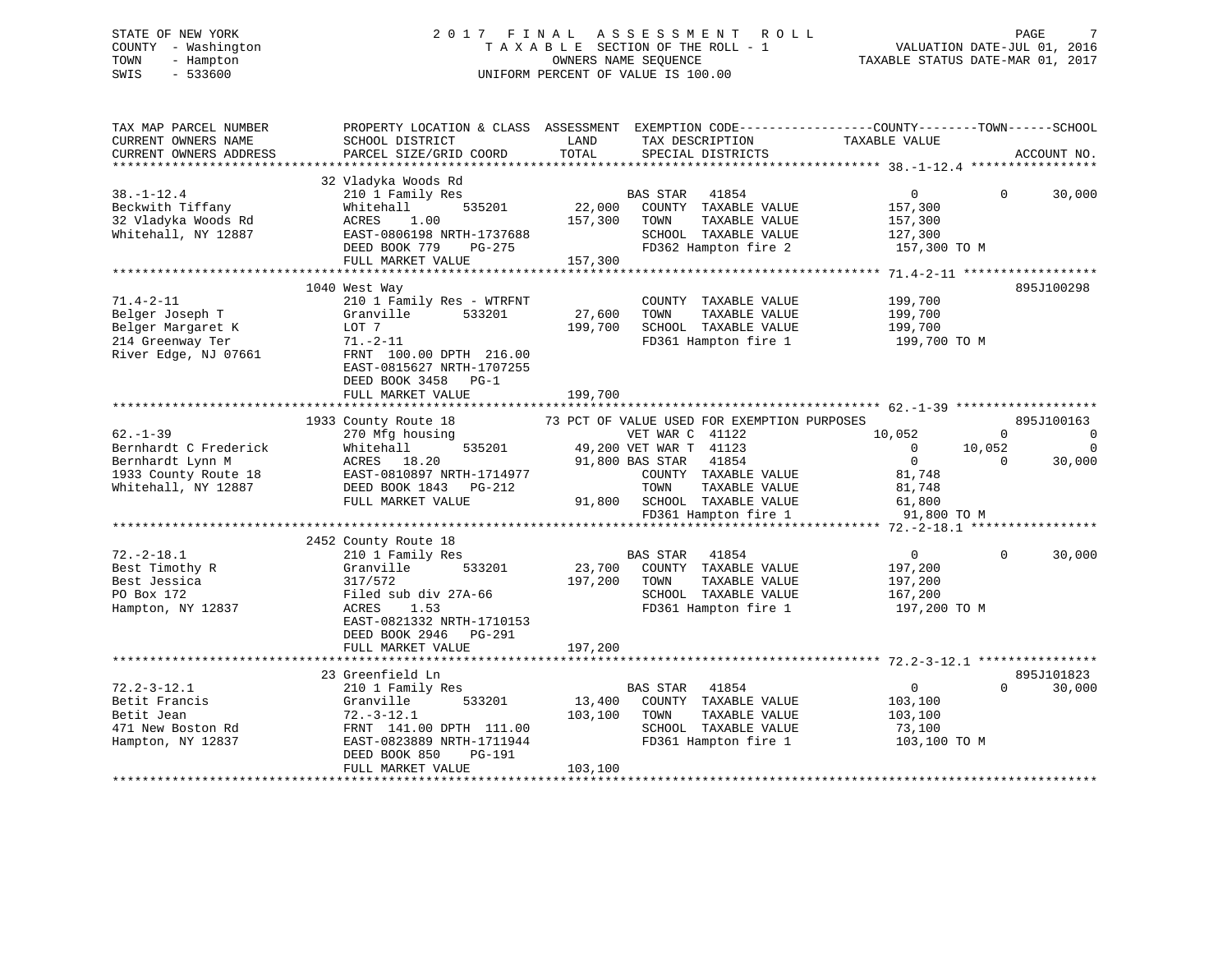# STATE OF NEW YORK 2 0 1 7 F I N A L A S S E S S M E N T R O L L PAGE 7 COUNTY - Washington T A X A B L E SECTION OF THE ROLL - 1 VALUATION DATE-JUL 01, 2016 TOWN - Hampton OWNERS NAME SEQUENCE TAXABLE STATUS DATE-MAR 01, 2017 SWIS - 533600 UNIFORM PERCENT OF VALUE IS 100.00

| TAX MAP PARCEL NUMBER<br>CURRENT OWNERS NAME<br>CURRENT OWNERS ADDRESS                                    | SCHOOL DISTRICT<br>PARCEL SIZE/GRID COORD                                                                                                                                                        | TAX DESCRIPTION TAXABLE VALUE SPECIAL DISTRICTS<br>LAND<br>TOTAL<br>SPECIAL DISTRICTS                                                                                                                                                               | PROPERTY LOCATION & CLASS ASSESSMENT EXEMPTION CODE-----------------COUNTY--------TOWN------SCHOOL<br>ACCOUNT NO.                                                                        |
|-----------------------------------------------------------------------------------------------------------|--------------------------------------------------------------------------------------------------------------------------------------------------------------------------------------------------|-----------------------------------------------------------------------------------------------------------------------------------------------------------------------------------------------------------------------------------------------------|------------------------------------------------------------------------------------------------------------------------------------------------------------------------------------------|
| $38. - 1 - 12.4$<br>Beckwith Tiffany<br>32 Vladyka Woods Rd<br>Whitehall, NY 12887                        | 32 Vladyka Woods Rd<br>210 1 Family Res<br>535201<br>Whitehall<br>ACRES<br>1.00<br>EAST-0806198 NRTH-1737688<br>DEED BOOK 779 PG-275<br>FULL MARKET VALUE                                        | BAS STAR 41854<br>22,000 COUNTY TAXABLE VALUE<br>157,300 TOWN<br>TAXABLE VALUE<br>SCHOOL TAXABLE VALUE<br>FD362 Hampton fire 2<br>157,300                                                                                                           | $\overline{0}$<br>$\Omega$<br>30,000<br>157,300<br>157,300<br>127,300<br>157,300 TO M                                                                                                    |
| $71.4 - 2 - 11$<br>Belger Joseph T<br>Belger Margaret K<br>214 Greenway Ter<br>River Edge, NJ 07661       | 1040 West Way<br>210 1 Family Res - WTRFNT<br>533201<br>Granville<br>LOT 7<br>$71. - 2 - 11$<br>FRNT 100.00 DPTH 216.00<br>EAST-0815627 NRTH-1707255<br>DEED BOOK 3458 PG-1<br>FULL MARKET VALUE | COUNTY TAXABLE VALUE<br>27,600<br>TAXABLE VALUE<br>TOWN<br>199,700<br>SCHOOL TAXABLE VALUE<br>FD361 Hampton fire 1<br>199,700                                                                                                                       | 895J100298<br>199,700<br>199,700<br>199,700<br>199,700 TO M                                                                                                                              |
|                                                                                                           |                                                                                                                                                                                                  |                                                                                                                                                                                                                                                     |                                                                                                                                                                                          |
| $62 - 1 - 39$<br>Bernhardt C Frederick<br>Bernhardt Lynn M<br>1933 County Route 18<br>Whitehall, NY 12887 | 1933 County Route 18<br>270 Mfg housing<br>Whitehall<br>ACRES 18.20<br>EAST-0810897 NRTH-1714977<br>DEED BOOK 1843 PG-212<br>FULL MARKET VALUE                                                   | 73 PCT OF VALUE USED FOR EXEMPTION PURPOSES<br>VET WAR C 41122<br>VET WAR C 41122<br>535201 49,200 VET WAR T 41123<br>91,800 BAS STAR 41854<br>COUNTY TAXABLE VALUE<br>TOWN<br>TAXABLE VALUE<br>91,800 SCHOOL TAXABLE VALUE<br>FD361 Hampton fire 1 | 895J100163<br>10,052<br>$\mathbf 0$<br>$\mathbf 0$<br>$\overline{0}$<br>10,052<br>$\mathbf 0$<br>$\overline{0}$<br>$\overline{0}$<br>30,000<br>81,748<br>81,748<br>61,800<br>91,800 TO M |
|                                                                                                           |                                                                                                                                                                                                  |                                                                                                                                                                                                                                                     |                                                                                                                                                                                          |
| $72. - 2 - 18.1$<br>Best Timothy R<br>Best Jessica<br>PO Box 172<br>Hampton, NY 12837                     | 2452 County Route 18<br>210 1 Family Res<br>Granville<br>533201<br>317/572<br>Filed sub div 27A-66<br>ACRES<br>1.53<br>EAST-0821332 NRTH-1710153<br>DEED BOOK 2946 PG-291<br>FULL MARKET VALUE   | BAS STAR<br>41854<br>23,700<br>COUNTY TAXABLE VALUE<br>197,200<br>TOWN<br>TAXABLE VALUE<br>SCHOOL TAXABLE VALUE<br>FD361 Hampton fire 1<br>197,200                                                                                                  | 30,000<br>$\overline{0}$<br>$\Omega$<br>197,200<br>197,200<br>167,200<br>197,200 TO M                                                                                                    |
|                                                                                                           | **************************                                                                                                                                                                       |                                                                                                                                                                                                                                                     |                                                                                                                                                                                          |
| $72.2 - 3 - 12.1$<br>Betit Francis<br>Betit Jean<br>471 New Boston Rd<br>Hampton, NY 12837                | 23 Greenfield Ln<br>210 1 Family Res<br>Granville<br>533201<br>$72. - 3 - 12.1$<br>FRNT 141.00 DPTH 111.00<br>EAST-0823889 NRTH-1711944<br>PG-191<br>DEED BOOK 850<br>FULL MARKET VALUE          | BAS STAR<br>41854<br>13,400<br>COUNTY TAXABLE VALUE<br>103,100<br>TOWN<br>TAXABLE VALUE<br>SCHOOL TAXABLE VALUE<br>FD361 Hampton fire 1<br>103,100                                                                                                  | 895J101823<br>$\overline{0}$<br>$\Omega$<br>30,000<br>103,100<br>103,100<br>73,100<br>103,100 TO M                                                                                       |
|                                                                                                           |                                                                                                                                                                                                  |                                                                                                                                                                                                                                                     |                                                                                                                                                                                          |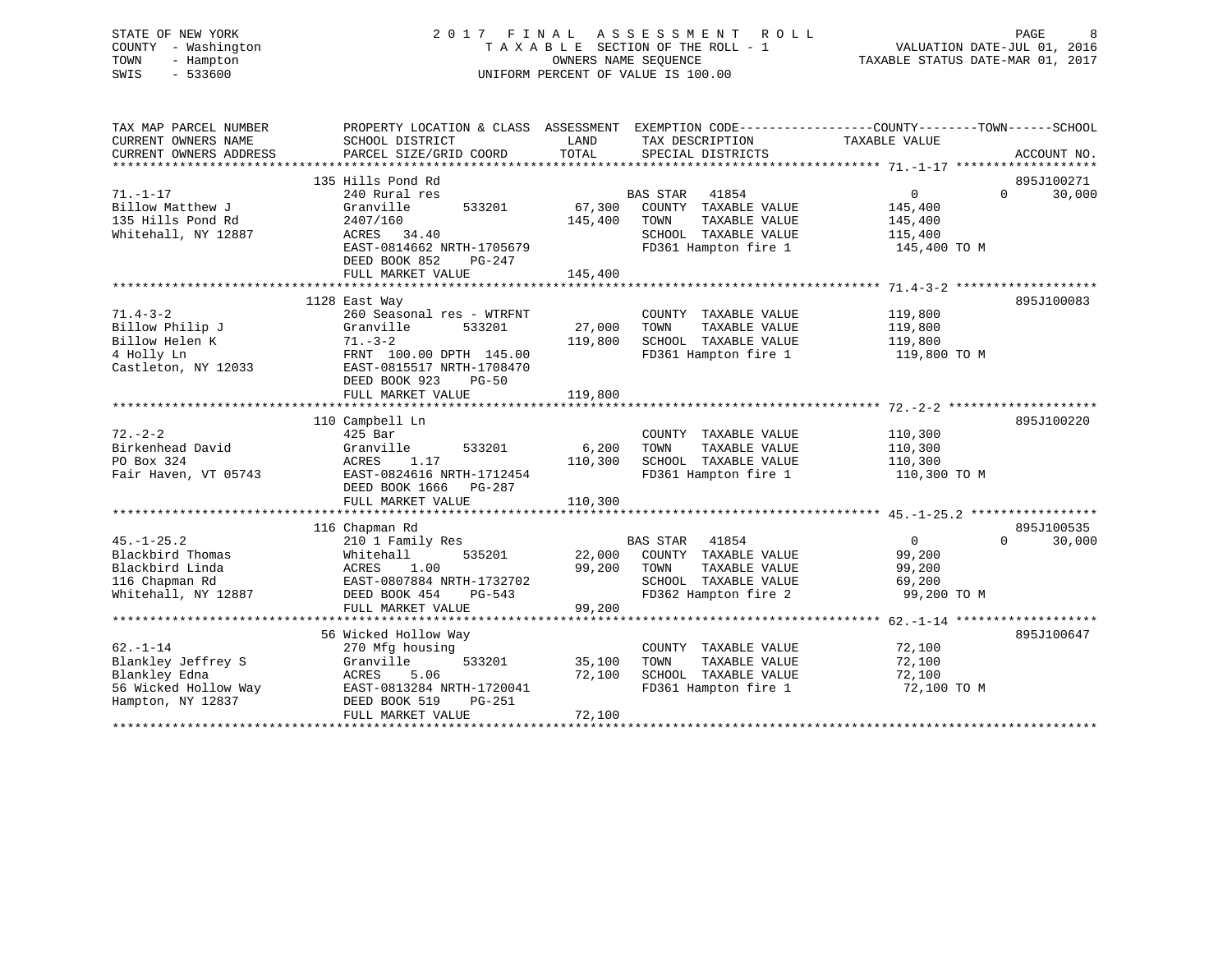#### STATE OF NEW YORK 2 0 1 7 F I N A L A S S E S S M E N T R O L L PAGE 8COUNTY - Washington T A X A B L E SECTION OF THE ROLL - 1 TOWN - Hampton OWNERS NAME SEQUENCE TAXABLE STATUS DATE-MAR 01, 2017 SWIS - 533600 UNIFORM PERCENT OF VALUE IS 100.00

| TAX MAP PARCEL NUMBER  | PROPERTY LOCATION & CLASS ASSESSMENT EXEMPTION CODE----------------COUNTY-------TOWN------SCHOOL |         |                          |                |                    |
|------------------------|--------------------------------------------------------------------------------------------------|---------|--------------------------|----------------|--------------------|
| CURRENT OWNERS NAME    | SCHOOL DISTRICT                                                                                  | LAND    | TAX DESCRIPTION          | TAXABLE VALUE  |                    |
| CURRENT OWNERS ADDRESS | PARCEL SIZE/GRID COORD                                                                           | TOTAL   | SPECIAL DISTRICTS        |                | ACCOUNT NO.        |
|                        |                                                                                                  |         |                          |                |                    |
|                        | 135 Hills Pond Rd                                                                                |         |                          |                | 895J100271         |
| $71. - 1 - 17$         | 240 Rural res                                                                                    |         | <b>BAS STAR</b><br>41854 | 0              | $\Omega$<br>30,000 |
| Billow Matthew J       | 533201<br>Granville                                                                              | 67,300  | COUNTY TAXABLE VALUE     | 145,400        |                    |
| 135 Hills Pond Rd      | 2407/160                                                                                         | 145,400 | TOWN<br>TAXABLE VALUE    | 145,400        |                    |
| Whitehall, NY 12887    | ACRES 34.40                                                                                      |         | SCHOOL TAXABLE VALUE     | 115,400        |                    |
|                        | EAST-0814662 NRTH-1705679                                                                        |         | FD361 Hampton fire 1     | 145,400 TO M   |                    |
|                        | DEED BOOK 852<br>PG-247                                                                          |         |                          |                |                    |
|                        | FULL MARKET VALUE                                                                                | 145,400 |                          |                |                    |
|                        |                                                                                                  |         |                          |                |                    |
|                        | 1128 East Way                                                                                    |         |                          |                | 895J100083         |
| $71.4 - 3 - 2$         | 260 Seasonal res - WTRFNT                                                                        |         | COUNTY TAXABLE VALUE     | 119,800        |                    |
| Billow Philip J        | 533201<br>Granville                                                                              | 27,000  | TAXABLE VALUE<br>TOWN    | 119,800        |                    |
| Billow Helen K         | $71. - 3 - 2$                                                                                    | 119,800 | SCHOOL TAXABLE VALUE     | 119,800        |                    |
| 4 Holly Ln             | FRNT 100.00 DPTH 145.00                                                                          |         | FD361 Hampton fire 1     | 119,800 TO M   |                    |
| Castleton, NY 12033    | EAST-0815517 NRTH-1708470                                                                        |         |                          |                |                    |
|                        |                                                                                                  |         |                          |                |                    |
|                        | DEED BOOK 923<br>$PG-50$                                                                         |         |                          |                |                    |
|                        | FULL MARKET VALUE                                                                                | 119,800 |                          |                |                    |
|                        |                                                                                                  |         |                          |                |                    |
|                        | 110 Campbell Ln                                                                                  |         |                          |                | 895J100220         |
| $72. - 2 - 2$          | $425$ Bar                                                                                        |         | COUNTY TAXABLE VALUE     | 110,300        |                    |
| Birkenhead David       | 533201<br>Granville                                                                              | 6,200   | TOWN<br>TAXABLE VALUE    | 110,300        |                    |
| PO Box 324             | ACRES<br>1.17                                                                                    | 110,300 | SCHOOL TAXABLE VALUE     | 110,300        |                    |
| Fair Haven, VT 05743   | EAST-0824616 NRTH-1712454                                                                        |         | FD361 Hampton fire 1     | 110,300 TO M   |                    |
|                        | DEED BOOK 1666 PG-287                                                                            |         |                          |                |                    |
|                        | FULL MARKET VALUE                                                                                | 110,300 |                          |                |                    |
|                        |                                                                                                  |         |                          |                |                    |
|                        | 116 Chapman Rd                                                                                   |         |                          |                | 895J100535         |
| $45. - 1 - 25.2$       | 210 1 Family Res                                                                                 |         | <b>BAS STAR</b><br>41854 | $\overline{0}$ | $\Omega$<br>30,000 |
| Blackbird Thomas       | Whitehall<br>535201                                                                              | 22,000  | COUNTY TAXABLE VALUE     | 99,200         |                    |
| Blackbird Linda        | ACRES<br>1.00                                                                                    | 99,200  | TAXABLE VALUE<br>TOWN    | 99,200         |                    |
| 116 Chapman Rd         | EAST-0807884 NRTH-1732702                                                                        |         | SCHOOL TAXABLE VALUE     | 69,200         |                    |
| Whitehall, NY 12887    | DEED BOOK 454<br>PG-543                                                                          |         | FD362 Hampton fire 2     | 99,200 TO M    |                    |
|                        | FULL MARKET VALUE                                                                                | 99,200  |                          |                |                    |
|                        |                                                                                                  |         |                          |                |                    |
|                        | 56 Wicked Hollow Way                                                                             |         |                          |                | 895J100647         |
| $62. - 1 - 14$         | 270 Mfg housing                                                                                  |         | COUNTY TAXABLE VALUE     | 72,100         |                    |
| Blankley Jeffrey S     | 533201<br>Granville                                                                              | 35,100  | TOWN<br>TAXABLE VALUE    | 72,100         |                    |
| Blankley Edna          | 5.06<br>ACRES                                                                                    | 72,100  | SCHOOL TAXABLE VALUE     | 72,100         |                    |
| 56 Wicked Hollow Way   | EAST-0813284 NRTH-1720041                                                                        |         | FD361 Hampton fire 1     | 72,100 TO M    |                    |
| Hampton, NY 12837      | DEED BOOK 519<br>PG-251                                                                          |         |                          |                |                    |
|                        | FULL MARKET VALUE                                                                                | 72,100  |                          |                |                    |
|                        |                                                                                                  |         |                          |                |                    |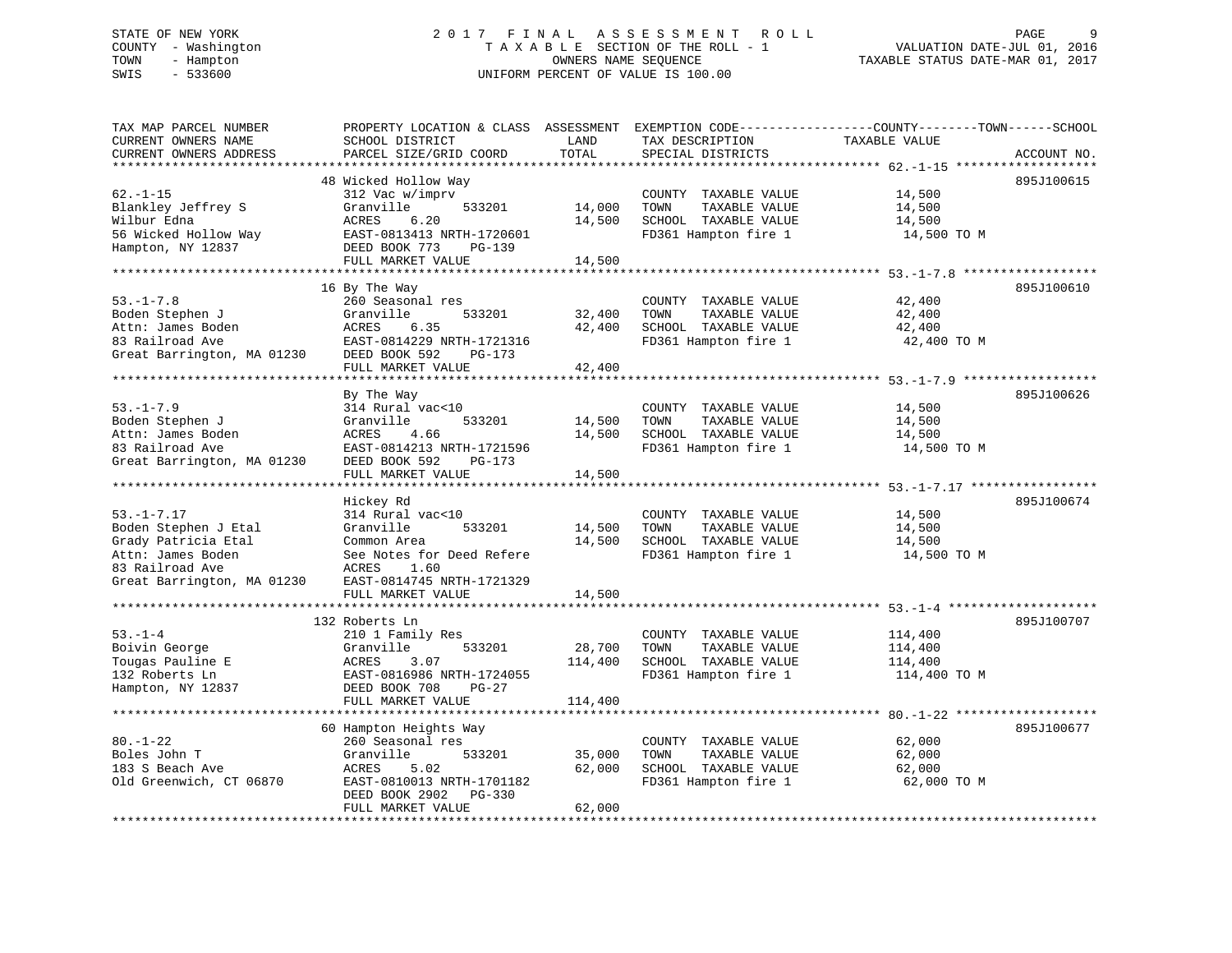#### STATE OF NEW YORK GALL 2017 FINAL ASSESSMENT ROLL CHARGE 9 COUNTY - Washington  $T A X A B L E$  SECTION OF THE ROLL - 1<br>TOWN - Hampton DATE-JUL 000NERS NAME SEQUENCE TOWN - Hampton OWNERS NAME SEQUENCE TAXABLE STATUS DATE-MAR 01, 2017 SWIS - 533600 UNIFORM PERCENT OF VALUE IS 100.00

| TAX MAP PARCEL NUMBER<br>CURRENT OWNERS NAME<br>CURRENT OWNERS ADDRESS | PROPERTY LOCATION & CLASS ASSESSMENT<br>SCHOOL DISTRICT<br>PARCEL SIZE/GRID COORD | LAND<br>TOTAL | EXEMPTION CODE-----------------COUNTY-------TOWN------SCHOOL<br>TAX DESCRIPTION<br>SPECIAL DISTRICTS | TAXABLE VALUE | ACCOUNT NO. |
|------------------------------------------------------------------------|-----------------------------------------------------------------------------------|---------------|------------------------------------------------------------------------------------------------------|---------------|-------------|
| ***********************                                                |                                                                                   |               |                                                                                                      |               |             |
|                                                                        | 48 Wicked Hollow Way                                                              |               |                                                                                                      |               | 895J100615  |
| $62. - 1 - 15$                                                         | 312 Vac w/imprv                                                                   |               | COUNTY TAXABLE VALUE                                                                                 | 14,500        |             |
| Blankley Jeffrey S                                                     | Granville<br>533201                                                               | 14,000        | TOWN<br>TAXABLE VALUE                                                                                | 14,500        |             |
| Wilbur Edna                                                            | 6.20<br>ACRES                                                                     | 14,500        | SCHOOL TAXABLE VALUE                                                                                 | 14,500        |             |
| 56 Wicked Hollow Way                                                   | EAST-0813413 NRTH-1720601                                                         |               | FD361 Hampton fire 1                                                                                 | 14,500 TO M   |             |
| Hampton, NY 12837                                                      | DEED BOOK 773<br>PG-139                                                           |               |                                                                                                      |               |             |
|                                                                        | FULL MARKET VALUE                                                                 | 14,500        |                                                                                                      |               |             |
|                                                                        |                                                                                   |               |                                                                                                      |               |             |
|                                                                        | 16 By The Way                                                                     |               |                                                                                                      |               | 895J100610  |
| $53. - 1 - 7.8$                                                        | 260 Seasonal res                                                                  |               | COUNTY TAXABLE VALUE                                                                                 | 42,400        |             |
| Boden Stephen J                                                        | 533201<br>Granville                                                               | 32,400        | TOWN<br>TAXABLE VALUE                                                                                | 42,400        |             |
| Attn: James Boden                                                      | ACRES<br>6.35                                                                     | 42,400        | SCHOOL TAXABLE VALUE                                                                                 | 42,400        |             |
| 83 Railroad Ave                                                        | EAST-0814229 NRTH-1721316                                                         |               | FD361 Hampton fire 1                                                                                 | 42,400 TO M   |             |
| Great Barrington, MA 01230                                             | DEED BOOK 592<br>PG-173                                                           |               |                                                                                                      |               |             |
|                                                                        | FULL MARKET VALUE                                                                 | 42,400        |                                                                                                      |               |             |
|                                                                        |                                                                                   |               |                                                                                                      |               |             |
|                                                                        | By The Way                                                                        |               |                                                                                                      |               | 895J100626  |
| $53. - 1 - 7.9$                                                        | 314 Rural vac<10                                                                  |               | COUNTY TAXABLE VALUE                                                                                 | 14,500        |             |
| Boden Stephen J                                                        | Granville<br>533201                                                               | 14,500        | TAXABLE VALUE<br>TOWN                                                                                | 14,500        |             |
| Attn: James Boden                                                      | ACRES<br>4.66                                                                     | 14,500        | SCHOOL TAXABLE VALUE                                                                                 | 14,500        |             |
| 83 Railroad Ave                                                        | EAST-0814213 NRTH-1721596                                                         |               | FD361 Hampton fire 1                                                                                 | 14,500 TO M   |             |
| Great Barrington, MA 01230                                             | DEED BOOK 592<br>PG-173                                                           |               |                                                                                                      |               |             |
|                                                                        | FULL MARKET VALUE                                                                 | 14,500        |                                                                                                      |               |             |
|                                                                        | Hickey Rd                                                                         |               |                                                                                                      |               | 895J100674  |
| $53. - 1 - 7.17$                                                       | 314 Rural vac<10                                                                  |               | COUNTY TAXABLE VALUE                                                                                 | 14,500        |             |
| Boden Stephen J Etal                                                   | Granville<br>533201                                                               | 14,500        | TOWN<br>TAXABLE VALUE                                                                                | 14,500        |             |
| Grady Patricia Etal                                                    | Common Area                                                                       | 14,500        | SCHOOL TAXABLE VALUE                                                                                 | 14,500        |             |
| Attn: James Boden                                                      | See Notes for Deed Refere                                                         |               | FD361 Hampton fire 1                                                                                 | 14,500 TO M   |             |
| 83 Railroad Ave                                                        | 1.60<br>ACRES                                                                     |               |                                                                                                      |               |             |
| Great Barrington, MA 01230                                             | EAST-0814745 NRTH-1721329                                                         |               |                                                                                                      |               |             |
|                                                                        | FULL MARKET VALUE                                                                 | 14,500        |                                                                                                      |               |             |
|                                                                        |                                                                                   |               |                                                                                                      |               |             |
|                                                                        | 132 Roberts Ln                                                                    |               |                                                                                                      |               | 895J100707  |
| $53 - 1 - 4$                                                           | 210 1 Family Res                                                                  |               | COUNTY TAXABLE VALUE                                                                                 | 114,400       |             |
| Boivin George                                                          | Granville<br>533201                                                               | 28,700        | TAXABLE VALUE<br>TOWN                                                                                | 114,400       |             |
| Tougas Pauline E                                                       | ACRES<br>3.07                                                                     | 114,400       | SCHOOL TAXABLE VALUE                                                                                 | 114,400       |             |
| 132 Roberts Ln                                                         | EAST-0816986 NRTH-1724055                                                         |               | FD361 Hampton fire 1                                                                                 | 114,400 TO M  |             |
| Hampton, NY 12837                                                      | DEED BOOK 708<br>PG-27                                                            |               |                                                                                                      |               |             |
|                                                                        | FULL MARKET VALUE                                                                 | 114,400       |                                                                                                      |               |             |
|                                                                        |                                                                                   |               |                                                                                                      |               |             |
|                                                                        | 60 Hampton Heights Way                                                            |               |                                                                                                      |               | 895J100677  |
| $80. - 1 - 22$                                                         | 260 Seasonal res                                                                  |               | COUNTY TAXABLE VALUE                                                                                 | 62,000        |             |
| Boles John T                                                           | Granville<br>533201                                                               | 35,000        | TAXABLE VALUE<br>TOWN                                                                                | 62,000        |             |
| 183 S Beach Ave                                                        | ACRES<br>5.02                                                                     | 62,000        | SCHOOL TAXABLE VALUE                                                                                 | 62,000        |             |
| Old Greenwich, CT 06870                                                | EAST-0810013 NRTH-1701182                                                         |               | FD361 Hampton fire 1                                                                                 | 62,000 TO M   |             |
|                                                                        | DEED BOOK 2902<br>PG-330                                                          |               |                                                                                                      |               |             |
|                                                                        | FULL MARKET VALUE                                                                 | 62,000        |                                                                                                      |               |             |
|                                                                        |                                                                                   |               |                                                                                                      |               |             |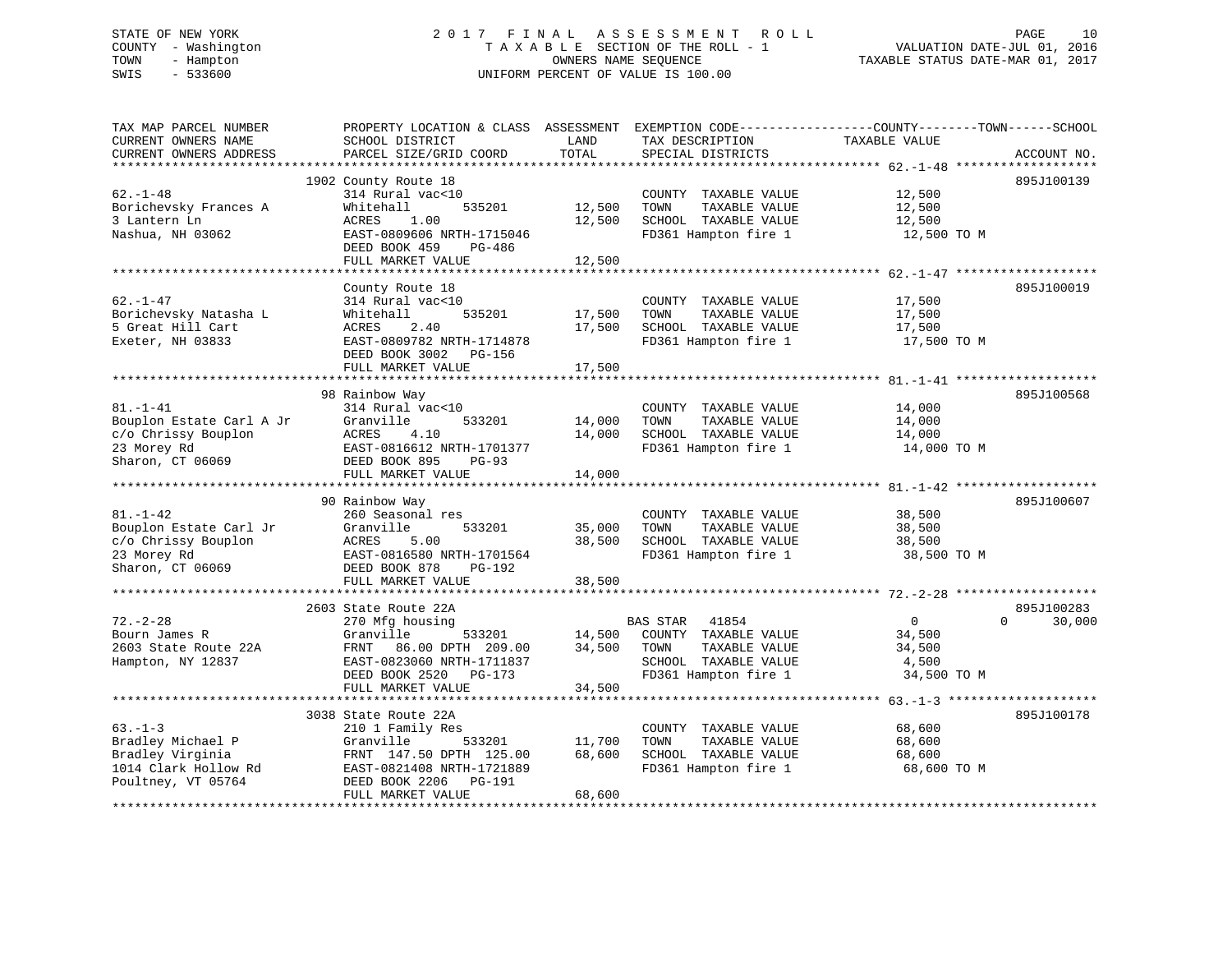# STATE OF NEW YORK 2 0 1 7 F I N A L A S S E S S M E N T R O L L PAGE 10 COUNTY - Washington T A X A B L E SECTION OF THE ROLL - 1 VALUATION DATE-JUL 01, 2016 TOWN - Hampton OWNERS NAME SEQUENCE TAXABLE STATUS DATE-MAR 01, 2017 SWIS - 533600 UNIFORM PERCENT OF VALUE IS 100.00

| TAX MAP PARCEL NUMBER<br>CURRENT OWNERS NAME<br>CURRENT OWNERS ADDRESS                               | PROPERTY LOCATION & CLASS ASSESSMENT EXEMPTION CODE----------------COUNTY-------TOWN------SCHOOL<br>SCHOOL DISTRICT<br>PARCEL SIZE/GRID COORD                         | LAND<br>TOTAL              | TAX DESCRIPTION<br>SPECIAL DISTRICTS                                                                                      | TAXABLE VALUE                                              | ACCOUNT NO.                      |
|------------------------------------------------------------------------------------------------------|-----------------------------------------------------------------------------------------------------------------------------------------------------------------------|----------------------------|---------------------------------------------------------------------------------------------------------------------------|------------------------------------------------------------|----------------------------------|
| ***********************                                                                              |                                                                                                                                                                       |                            |                                                                                                                           |                                                            |                                  |
| $62. - 1 - 48$<br>Borichevsky Frances A<br>3 Lantern Ln<br>Nashua, NH 03062                          | 1902 County Route 18<br>314 Rural vac<10<br>Whitehall<br>535201<br>ACRES<br>1.00<br>EAST-0809606 NRTH-1715046<br>DEED BOOK 459<br>PG-486<br>FULL MARKET VALUE         | 12,500<br>12,500<br>12,500 | COUNTY TAXABLE VALUE<br>TOWN<br>TAXABLE VALUE<br>SCHOOL TAXABLE VALUE<br>FD361 Hampton fire 1                             | 12,500<br>12,500<br>12,500<br>12,500 TO M                  | 895J100139                       |
|                                                                                                      |                                                                                                                                                                       |                            |                                                                                                                           |                                                            |                                  |
| $62. - 1 - 47$<br>Borichevsky Natasha L<br>5 Great Hill Cart<br>Exeter, NH 03833                     | County Route 18<br>314 Rural vac<10<br>Whitehall<br>535201<br>ACRES<br>2.40<br>EAST-0809782 NRTH-1714878<br>DEED BOOK 3002 PG-156<br>FULL MARKET VALUE                | 17,500<br>17,500<br>17,500 | COUNTY TAXABLE VALUE<br>TAXABLE VALUE<br>TOWN<br>SCHOOL TAXABLE VALUE<br>FD361 Hampton fire 1                             | 17,500<br>17,500<br>17,500<br>17,500 TO M                  | 895J100019                       |
|                                                                                                      | ***********************************                                                                                                                                   |                            |                                                                                                                           |                                                            |                                  |
| $81. - 1 - 41$<br>Bouplon Estate Carl A Jr<br>c/o Chrissy Bouplon<br>23 Morey Rd<br>Sharon, CT 06069 | 98 Rainbow Way<br>314 Rural vac<10<br>Granville<br>533201<br>ACRES<br>4.10<br>EAST-0816612 NRTH-1701377<br>DEED BOOK 895<br>PG-93<br>FULL MARKET VALUE                | 14,000<br>14,000<br>14,000 | COUNTY TAXABLE VALUE<br>TAXABLE VALUE<br>TOWN<br>SCHOOL TAXABLE VALUE<br>FD361 Hampton fire 1                             | 14,000<br>14,000<br>14,000<br>14,000 TO M                  | 895J100568                       |
|                                                                                                      |                                                                                                                                                                       |                            |                                                                                                                           |                                                            |                                  |
| $81. - 1 - 42$<br>Bouplon Estate Carl Jr<br>c/o Chrissy Bouplon<br>23 Morey Rd<br>Sharon, CT 06069   | 90 Rainbow Way<br>260 Seasonal res<br>Granville<br>533201<br>ACRES<br>5.00<br>EAST-0816580 NRTH-1701564<br>DEED BOOK 878<br>PG-192<br>FULL MARKET VALUE               | 35,000<br>38,500<br>38,500 | COUNTY TAXABLE VALUE<br>TOWN<br>TAXABLE VALUE<br>SCHOOL TAXABLE VALUE<br>FD361 Hampton fire 1                             | 38,500<br>38,500<br>38,500<br>38,500 TO M                  | 895J100607                       |
|                                                                                                      |                                                                                                                                                                       |                            |                                                                                                                           |                                                            |                                  |
| $72. - 2 - 28$<br>Bourn James R<br>2603 State Route 22A<br>Hampton, NY 12837                         | 2603 State Route 22A<br>270 Mfg housing<br>Granville<br>533201<br>FRNT<br>86.00 DPTH 209.00<br>EAST-0823060 NRTH-1711837<br>DEED BOOK 2520 PG-173                     | 14,500<br>34,500           | <b>BAS STAR</b><br>41854<br>COUNTY TAXABLE VALUE<br>TOWN<br>TAXABLE VALUE<br>SCHOOL TAXABLE VALUE<br>FD361 Hampton fire 1 | $\overline{0}$<br>34,500<br>34,500<br>4,500<br>34,500 TO M | 895J100283<br>$\Omega$<br>30,000 |
|                                                                                                      | FULL MARKET VALUE                                                                                                                                                     | 34,500                     |                                                                                                                           |                                                            |                                  |
| $63. -1 - 3$<br>Bradley Michael P<br>Bradley Virginia<br>1014 Clark Hollow Rd<br>Poultney, VT 05764  | 3038 State Route 22A<br>210 1 Family Res<br>Granville<br>533201<br>FRNT 147.50 DPTH 125.00<br>EAST-0821408 NRTH-1721889<br>DEED BOOK 2206 PG-191<br>FULL MARKET VALUE | 11,700<br>68,600<br>68,600 | COUNTY TAXABLE VALUE<br>TOWN<br>TAXABLE VALUE<br>SCHOOL TAXABLE VALUE<br>FD361 Hampton fire 1                             | 68,600<br>68,600<br>68,600<br>68,600 TO M                  | 895J100178                       |
|                                                                                                      |                                                                                                                                                                       |                            |                                                                                                                           |                                                            |                                  |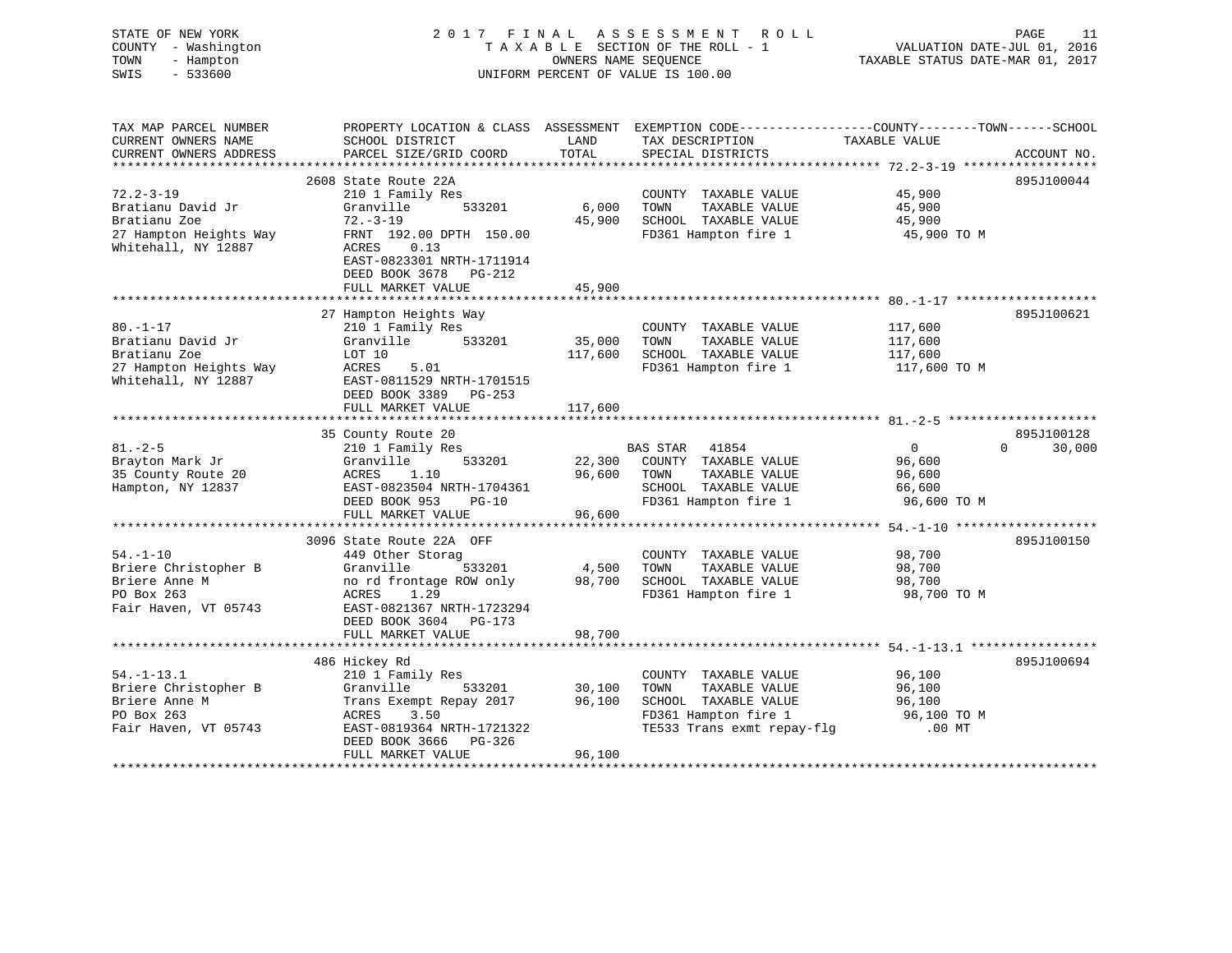| STATE OF NEW YORK<br>COUNTY - Washington<br>TOWN<br>- Hampton<br>SWIS<br>$-533600$                    |                                                                                                                                                                                 | OWNERS NAME SEQUENCE       | 2017 FINAL ASSESSMENT ROLL<br>TAXABLE SECTION OF THE ROLL - 1<br>UNIFORM PERCENT OF VALUE IS 100.00                         | VALUATION DATE-JUL 01, 2016<br>TAXABLE STATUS DATE-MAR 01, 2017         | PAGE<br>11           |
|-------------------------------------------------------------------------------------------------------|---------------------------------------------------------------------------------------------------------------------------------------------------------------------------------|----------------------------|-----------------------------------------------------------------------------------------------------------------------------|-------------------------------------------------------------------------|----------------------|
| TAX MAP PARCEL NUMBER<br>CURRENT OWNERS NAME<br>CURRENT OWNERS ADDRESS                                | PROPERTY LOCATION & CLASS ASSESSMENT EXEMPTION CODE----------------COUNTY-------TOWN-----SCHOOL<br>SCHOOL DISTRICT<br>PARCEL SIZE/GRID COORD                                    | LAND<br>TOTAL              | TAX DESCRIPTION<br>SPECIAL DISTRICTS                                                                                        | TAXABLE VALUE                                                           | ACCOUNT NO.          |
|                                                                                                       | 2608 State Route 22A                                                                                                                                                            |                            |                                                                                                                             |                                                                         | 895J100044           |
| $72.2 - 3 - 19$<br>Bratianu David Jr<br>Bratianu Zoe<br>27 Hampton Heights Way<br>Whitehall, NY 12887 | 210 1 Family Res<br>Granville<br>533201<br>$72. - 3 - 19$<br>FRNT 192.00 DPTH 150.00<br>ACRES<br>0.13<br>EAST-0823301 NRTH-1711914<br>DEED BOOK 3678 PG-212                     | 6,000<br>45,900            | COUNTY TAXABLE VALUE<br>TOWN<br>TAXABLE VALUE<br>SCHOOL TAXABLE VALUE<br>FD361 Hampton fire 1                               | 45,900<br>45,900<br>45,900<br>45,900 TO M                               |                      |
|                                                                                                       | FULL MARKET VALUE                                                                                                                                                               | 45,900                     |                                                                                                                             |                                                                         |                      |
| $80. - 1 - 17$                                                                                        | 27 Hampton Heights Way<br>210 1 Family Res                                                                                                                                      |                            | COUNTY TAXABLE VALUE                                                                                                        | 117,600                                                                 | 895J100621           |
| Bratianu David Jr<br>Bratianu Zoe<br>27 Hampton Heights Way<br>Whitehall, NY 12887                    | Granville<br>533201<br>LOT 10<br>ACRES<br>5.01<br>EAST-0811529 NRTH-1701515<br>DEED BOOK 3389 PG-253                                                                            | 35,000<br>117,600          | TOWN<br>TAXABLE VALUE<br>SCHOOL TAXABLE VALUE<br>FD361 Hampton fire 1                                                       | 117,600<br>117,600<br>117,600 TO M                                      |                      |
|                                                                                                       | FULL MARKET VALUE                                                                                                                                                               | 117,600                    |                                                                                                                             |                                                                         |                      |
|                                                                                                       |                                                                                                                                                                                 |                            |                                                                                                                             |                                                                         |                      |
| $81. - 2 - 5$<br>Brayton Mark Jr<br>35 County Route 20<br>Hampton, NY 12837                           | 35 County Route 20<br>210 1 Family Res<br>Granville<br>533201<br>ACRES<br>1.10<br>EAST-0823504 NRTH-1704361<br>DEED BOOK 953<br>$PG-10$<br>FULL MARKET VALUE                    | 22,300<br>96,600<br>96,600 | <b>BAS STAR</b><br>41854<br>COUNTY TAXABLE VALUE<br>TAXABLE VALUE<br>TOWN<br>SCHOOL TAXABLE VALUE<br>FD361 Hampton fire 1   | $\overline{0}$<br>$\Omega$<br>96,600<br>96,600<br>66,600<br>96,600 TO M | 895J100128<br>30,000 |
|                                                                                                       |                                                                                                                                                                                 |                            |                                                                                                                             |                                                                         |                      |
| $54. - 1 - 10$<br>Briere Christopher B<br>Briere Anne M<br>PO Box 263<br>Fair Haven, VT 05743         | 3096 State Route 22A OFF<br>449 Other Storag<br>Granville<br>533201<br>no rd frontage ROW only<br>ACRES<br>1.29<br>EAST-0821367 NRTH-1723294<br>DEED BOOK 3604 PG-173           | 4,500<br>98,700            | COUNTY TAXABLE VALUE<br>TAXABLE VALUE<br>TOWN<br>SCHOOL TAXABLE VALUE<br>FD361 Hampton fire 1                               | 98,700<br>98,700<br>98,700<br>98,700 TO M                               | 895J100150           |
|                                                                                                       | FULL MARKET VALUE                                                                                                                                                               | 98,700                     |                                                                                                                             |                                                                         |                      |
|                                                                                                       |                                                                                                                                                                                 |                            |                                                                                                                             |                                                                         |                      |
| $54. - 1 - 13.1$<br>Briere Christopher B<br>Briere Anne M<br>PO Box 263<br>Fair Haven, VT 05743       | 486 Hickey Rd<br>210 1 Family Res<br>Granville<br>533201<br>Trans Exempt Repay 2017<br>3.50<br>ACRES<br>EAST-0819364 NRTH-1721322<br>DEED BOOK 3666 PG-326<br>FULL MARKET VALUE | 30,100<br>96,100<br>96,100 | COUNTY TAXABLE VALUE<br>TAXABLE VALUE<br>TOWN<br>SCHOOL TAXABLE VALUE<br>FD361 Hampton fire 1<br>TE533 Trans exmt repay-flg | 96,100<br>96,100<br>96,100<br>96,100 TO M<br>$.00$ MT                   | 895J100694           |
|                                                                                                       |                                                                                                                                                                                 |                            |                                                                                                                             |                                                                         |                      |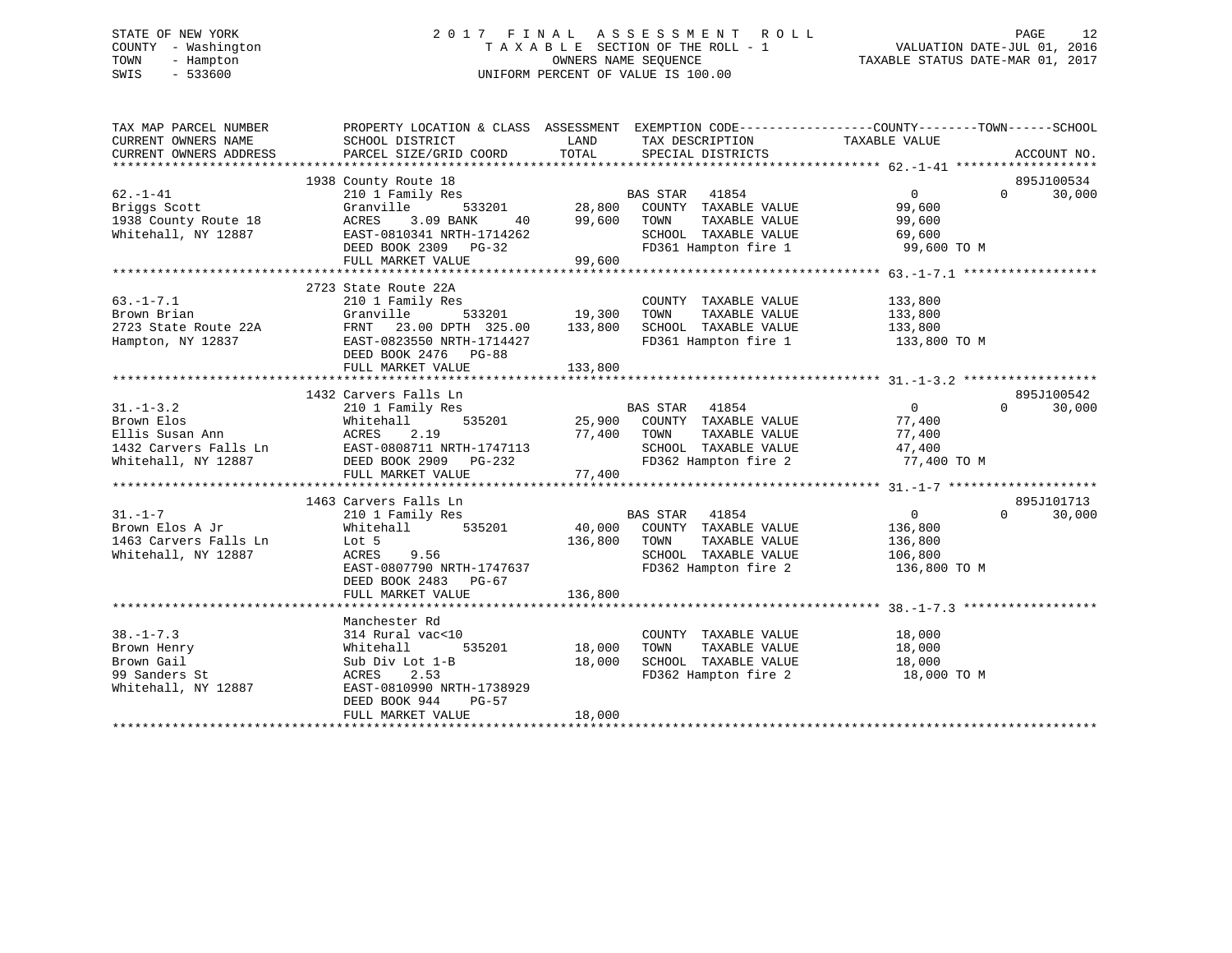# STATE OF NEW YORK 2 0 1 7 F I N A L A S S E S S M E N T R O L L PAGE 12 COUNTY - Washington T A X A B L E SECTION OF THE ROLL - 1 VALUATION DATE-JUL 01, 2016 TOWN - Hampton OWNERS NAME SEQUENCE TAXABLE STATUS DATE-MAR 01, 2017 SWIS - 533600 UNIFORM PERCENT OF VALUE IS 100.00

| TAX MAP PARCEL NUMBER<br>CURRENT OWNERS NAME                                                                                                                           | PROPERTY LOCATION & CLASS ASSESSMENT EXEMPTION CODE----------------COUNTY-------TOWN-----SCHOOL<br>SCHOOL DISTRICT | LAND         | TAX DESCRIPTION                   | TAXABLE VALUE    |          |             |
|------------------------------------------------------------------------------------------------------------------------------------------------------------------------|--------------------------------------------------------------------------------------------------------------------|--------------|-----------------------------------|------------------|----------|-------------|
| CURRENT OWNERS ADDRESS                                                                                                                                                 | PARCEL SIZE/GRID COORD                                                                                             | TOTAL        | SPECIAL DISTRICTS                 |                  |          | ACCOUNT NO. |
|                                                                                                                                                                        | 1938 County Route 18                                                                                               |              |                                   |                  |          | 895J100534  |
| $62. - 1 - 41$                                                                                                                                                         | 210 1 Family Res                                                                                                   |              |                                   | $\overline{0}$   | $\Omega$ | 30,000      |
| Briggs Scott                                                                                                                                                           | Granville                                                                                                          |              |                                   | 99,600           |          |             |
| 1938 County Route 18                                                                                                                                                   | 3.09 BANK<br>ACRES                                                                                                 |              | TAXABLE VALUE                     | 99,600           |          |             |
| Whitehall, NY 12887                                                                                                                                                    | EAST-0810341 NRTH-1714262                                                                                          |              | SCHOOL TAXABLE VALUE 69,600       |                  |          |             |
|                                                                                                                                                                        | DEED BOOK 2309 PG-32                                                                                               |              | FD361 Hampton fire 1              | 99,600 TO M      |          |             |
|                                                                                                                                                                        | FULL MARKET VALUE                                                                                                  | 99,600       |                                   |                  |          |             |
|                                                                                                                                                                        |                                                                                                                    |              |                                   |                  |          |             |
|                                                                                                                                                                        | 2723 State Route 22A                                                                                               |              |                                   |                  |          |             |
| $63. -1 - 7.1$                                                                                                                                                         | 210 1 Family Res                                                                                                   |              | COUNTY TAXABLE VALUE 133,800      |                  |          |             |
| Brown Brian                                 Granville           533201           19,300<br>2723 State Route 22A               FRNT   23.00 DPTH   325.00       133,800 | 533201 19,300                                                                                                      |              |                                   |                  |          |             |
|                                                                                                                                                                        |                                                                                                                    |              |                                   |                  |          |             |
| Hampton, NY 12837                                                                                                                                                      | EAST-0823550 NRTH-1714427                                                                                          |              | FD361 Hampton fire 1 133,800 TO M |                  |          |             |
|                                                                                                                                                                        | DEED BOOK 2476 PG-88                                                                                               |              |                                   |                  |          |             |
|                                                                                                                                                                        | FULL MARKET VALUE                                                                                                  | 133,800      |                                   |                  |          |             |
|                                                                                                                                                                        |                                                                                                                    |              |                                   |                  |          |             |
|                                                                                                                                                                        | 1432 Carvers Falls Ln                                                                                              |              |                                   |                  |          | 895J100542  |
| $31. - 1 - 3.2$                                                                                                                                                        | 210 1 Family Res                                                                                                   |              | BAS STAR 41854                    | $\overline{0}$   | $\Omega$ | 30,000      |
|                                                                                                                                                                        |                                                                                                                    |              | $25,900$ COUNTY TAXABLE VALUE     | 77,400<br>77.400 |          |             |
|                                                                                                                                                                        |                                                                                                                    | 77,400 TOWN  | TAXABLE VALUE                     | 77,400           |          |             |
|                                                                                                                                                                        |                                                                                                                    |              | SCHOOL TAXABLE VALUE              | 47,400           |          |             |
|                                                                                                                                                                        |                                                                                                                    |              | FD362 Hampton fire 2              | 77,400 TO M      |          |             |
|                                                                                                                                                                        | FULL MARKET VALUE                                                                                                  | 77,400       |                                   |                  |          |             |
|                                                                                                                                                                        |                                                                                                                    |              |                                   |                  |          |             |
|                                                                                                                                                                        | 1463 Carvers Falls Ln                                                                                              |              |                                   |                  |          | 895J101713  |
| $31. - 1 - 7$                                                                                                                                                          | 210 1 Family Res                                                                                                   |              | BAS STAR 41854                    | $\overline{0}$   | $\Omega$ | 30,000      |
| Brown Elos A Jr                                                                                                                                                        | Whitehall 535201                                                                                                   |              | 40,000 COUNTY TAXABLE VALUE       | 136,800          |          |             |
| 1463 Carvers Falls Ln                                                                                                                                                  | Lot 5<br><b>ACRES</b><br>9.56                                                                                      | 136,800 TOWN | TAXABLE VALUE                     | 136,800          |          |             |
| Whitehall, NY 12887                                                                                                                                                    | EAST-0807790 NRTH-1747637                                                                                          |              | SCHOOL TAXABLE VALUE 106,800      |                  |          |             |
|                                                                                                                                                                        |                                                                                                                    |              | FD362 Hampton fire 2 136,800 TO M |                  |          |             |
|                                                                                                                                                                        | DEED BOOK 2483 PG-67<br>FULL MARKET VALUE                                                                          | 136,800      |                                   |                  |          |             |
|                                                                                                                                                                        |                                                                                                                    |              |                                   |                  |          |             |
|                                                                                                                                                                        | Manchester Rd                                                                                                      |              |                                   |                  |          |             |
| $38. - 1 - 7.3$                                                                                                                                                        | 314 Rural vac<10                                                                                                   |              | COUNTY TAXABLE VALUE              |                  |          |             |
| Brown Henry                                                                                                                                                            | 535201<br>Whitehall                                                                                                | 18,000       | TAXABLE VALUE<br>TOWN             | 18,000<br>18,000 |          |             |
| Brown Gail                                                                                                                                                             | Sub Div Lot 1-B                                                                                                    | 18,000       | SCHOOL TAXABLE VALUE 18,000       |                  |          |             |
| 99 Sanders St                                                                                                                                                          | ACRES<br>2.53                                                                                                      |              | FD362 Hampton fire 2              | 18,000 TO M      |          |             |
| Whitehall, NY 12887                                                                                                                                                    | EAST-0810990 NRTH-1738929                                                                                          |              |                                   |                  |          |             |
|                                                                                                                                                                        | DEED BOOK 944<br>PG-57                                                                                             |              |                                   |                  |          |             |
|                                                                                                                                                                        | FULL MARKET VALUE                                                                                                  | 18,000       |                                   |                  |          |             |
|                                                                                                                                                                        |                                                                                                                    |              |                                   |                  |          |             |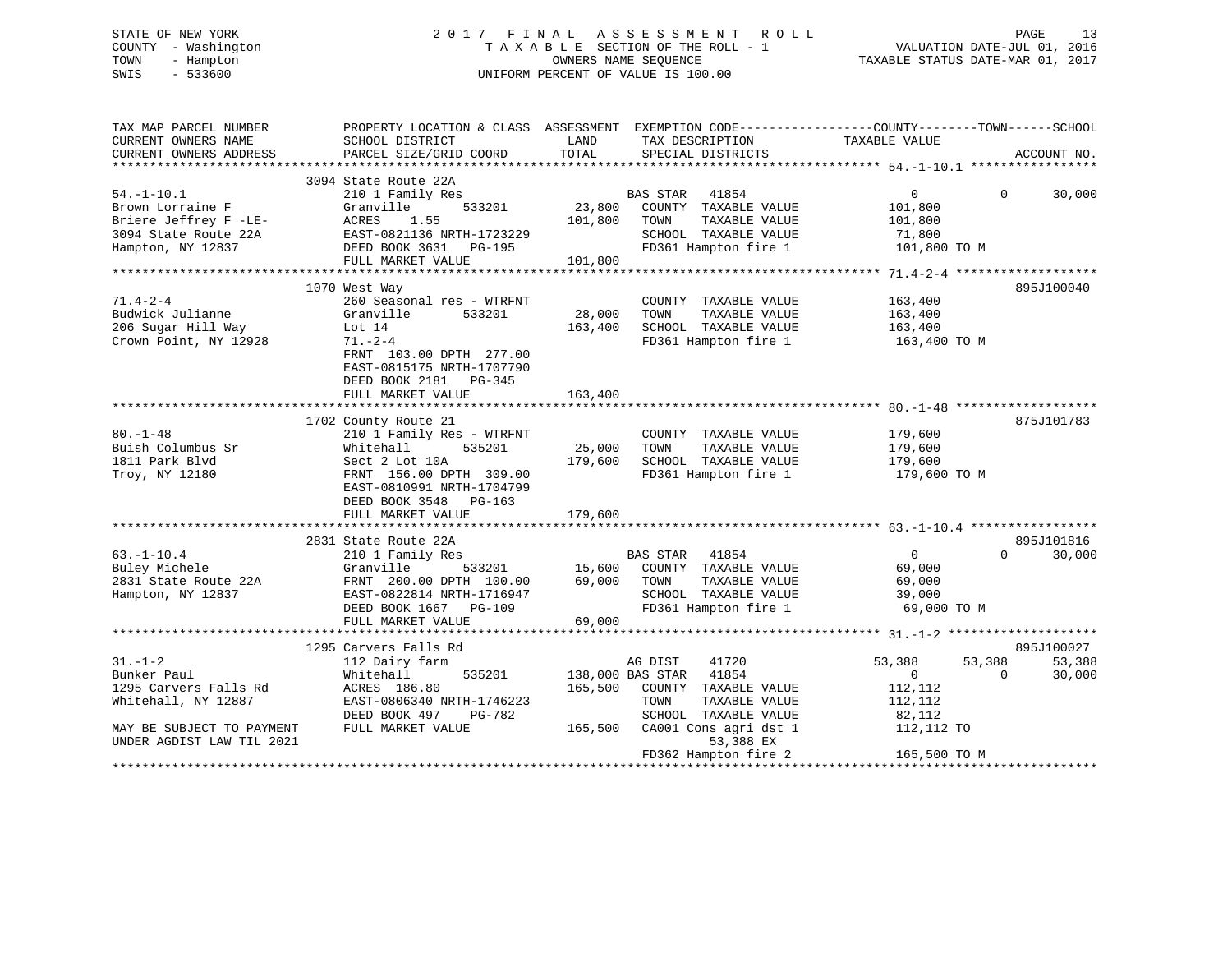# STATE OF NEW YORK 2 0 1 7 F I N A L A S S E S S M E N T R O L L PAGE 13 COUNTY - Washington T A X A B L E SECTION OF THE ROLL - 1 VALUATION DATE-JUL 01, 2016 TOWN - Hampton OWNERS NAME SEQUENCE TAXABLE STATUS DATE-MAR 01, 2017 SWIS - 533600 UNIFORM PERCENT OF VALUE IS 100.00

| TAX MAP PARCEL NUMBER<br>CURRENT OWNERS NAME<br>CURRENT OWNERS ADDRESS                                     | PROPERTY LOCATION & CLASS ASSESSMENT EXEMPTION CODE---------------COUNTY-------TOWN-----SCHOOL<br>SCHOOL DISTRICT<br>PARCEL SIZE/GRID COORD                                                        | LAND<br>TOTAL                | TAX DESCRIPTION<br>SPECIAL DISTRICTS                                                                                | TAXABLE VALUE                                                      | ACCOUNT NO.                                |
|------------------------------------------------------------------------------------------------------------|----------------------------------------------------------------------------------------------------------------------------------------------------------------------------------------------------|------------------------------|---------------------------------------------------------------------------------------------------------------------|--------------------------------------------------------------------|--------------------------------------------|
|                                                                                                            |                                                                                                                                                                                                    |                              |                                                                                                                     |                                                                    |                                            |
| $54. - 1 - 10.1$<br>Brown Lorraine F<br>Briere Jeffrey F -LE-<br>3094 State Route 22A<br>Hampton, NY 12837 | 3094 State Route 22A<br>210 1 Family Res<br>Granville<br>533201<br>ACRES<br>1.55<br>EAST-0821136 NRTH-1723229<br>DEED BOOK 3631 PG-195<br>FULL MARKET VALUE                                        | 23,800<br>101,800<br>101,800 | BAS STAR 41854<br>COUNTY TAXABLE VALUE<br>TOWN<br>TAXABLE VALUE<br>SCHOOL TAXABLE VALUE<br>FD361 Hampton fire 1     | $\overline{0}$<br>101,800<br>101,800<br>71,800<br>101,800 TO M     | $\Omega$<br>30,000                         |
| $71.4 - 2 - 4$<br>Budwick Julianne<br>206 Sugar Hill Way<br>Crown Point, NY 12928                          | 1070 West Way<br>260 Seasonal res - WTRFNT<br>Granville<br>533201<br>Lot 14<br>$71. - 2 - 4$<br>FRNT 103.00 DPTH 277.00<br>EAST-0815175 NRTH-1707790<br>DEED BOOK 2181 PG-345<br>FULL MARKET VALUE | 28,000<br>163,400<br>163,400 | COUNTY TAXABLE VALUE<br>TAXABLE VALUE<br>TOWN<br>SCHOOL TAXABLE VALUE<br>FD361 Hampton fire 1                       | 163,400<br>163,400<br>163,400<br>163,400 TO M                      | 895J100040                                 |
|                                                                                                            | 1702 County Route 21                                                                                                                                                                               |                              |                                                                                                                     |                                                                    | 875J101783                                 |
| $80. - 1 - 48$<br>Buish Columbus Sr<br>1811 Park Blvd<br>Troy, NY 12180                                    | 210 1 Family Res - WTRFNT<br>535201<br>Whitehall<br>Sect 2 Lot 10A<br>FRNT 156.00 DPTH 309.00<br>EAST-0810991 NRTH-1704799<br>DEED BOOK 3548 PG-163                                                | 25,000<br>179,600            | COUNTY TAXABLE VALUE<br>TOWN<br>TAXABLE VALUE<br>SCHOOL TAXABLE VALUE<br>FD361 Hampton fire 1                       | 179,600<br>179,600<br>179,600<br>179,600 TO M                      |                                            |
|                                                                                                            | FULL MARKET VALUE                                                                                                                                                                                  | 179,600                      |                                                                                                                     |                                                                    |                                            |
| $63. - 1 - 10.4$<br>Buley Michele<br>2831 State Route 22A<br>Hampton, NY 12837                             | 2831 State Route 22A<br>210 1 Family Res<br>533201<br>Granville<br>FRNT 200.00 DPTH 100.00<br>EAST-0822814 NRTH-1716947<br>DEED BOOK 1667 PG-109                                                   | 15,600<br>69,000             | BAS STAR 41854<br>COUNTY TAXABLE VALUE<br>TOWN<br>TAXABLE VALUE<br>SCHOOL TAXABLE VALUE<br>FD361 Hampton fire 1     | $\overline{0}$<br>69,000<br>69,000<br>39,000<br>69,000 TO M        | 895J101816<br>$\Omega$<br>30,000           |
|                                                                                                            | FULL MARKET VALUE                                                                                                                                                                                  | 69,000                       |                                                                                                                     |                                                                    |                                            |
|                                                                                                            |                                                                                                                                                                                                    |                              |                                                                                                                     |                                                                    |                                            |
| $31. - 1 - 2$<br>Bunker Paul<br>1295 Carvers Falls Rd<br>Whitehall, NY 12887                               | 1295 Carvers Falls Rd<br>112 Dairy farm<br>Whitehall<br>535201<br>ACRES 186.80<br>EAST-0806340 NRTH-1746223<br>DEED BOOK 497<br>PG-782                                                             | 165,500                      | 41720<br>AG DIST<br>138,000 BAS STAR 41854<br>COUNTY TAXABLE VALUE<br>TOWN<br>TAXABLE VALUE<br>SCHOOL TAXABLE VALUE | 53,388<br>53,388<br>$\overline{0}$<br>112,112<br>112,112<br>82,112 | 895J100027<br>53,388<br>30,000<br>$\Omega$ |
| MAY BE SUBJECT TO PAYMENT<br>UNDER AGDIST LAW TIL 2021                                                     | FULL MARKET VALUE                                                                                                                                                                                  | 165,500                      | CA001 Cons agri dst 1<br>53,388 EX<br>FD362 Hampton fire 2                                                          | 112,112 TO<br>165,500 TO M                                         |                                            |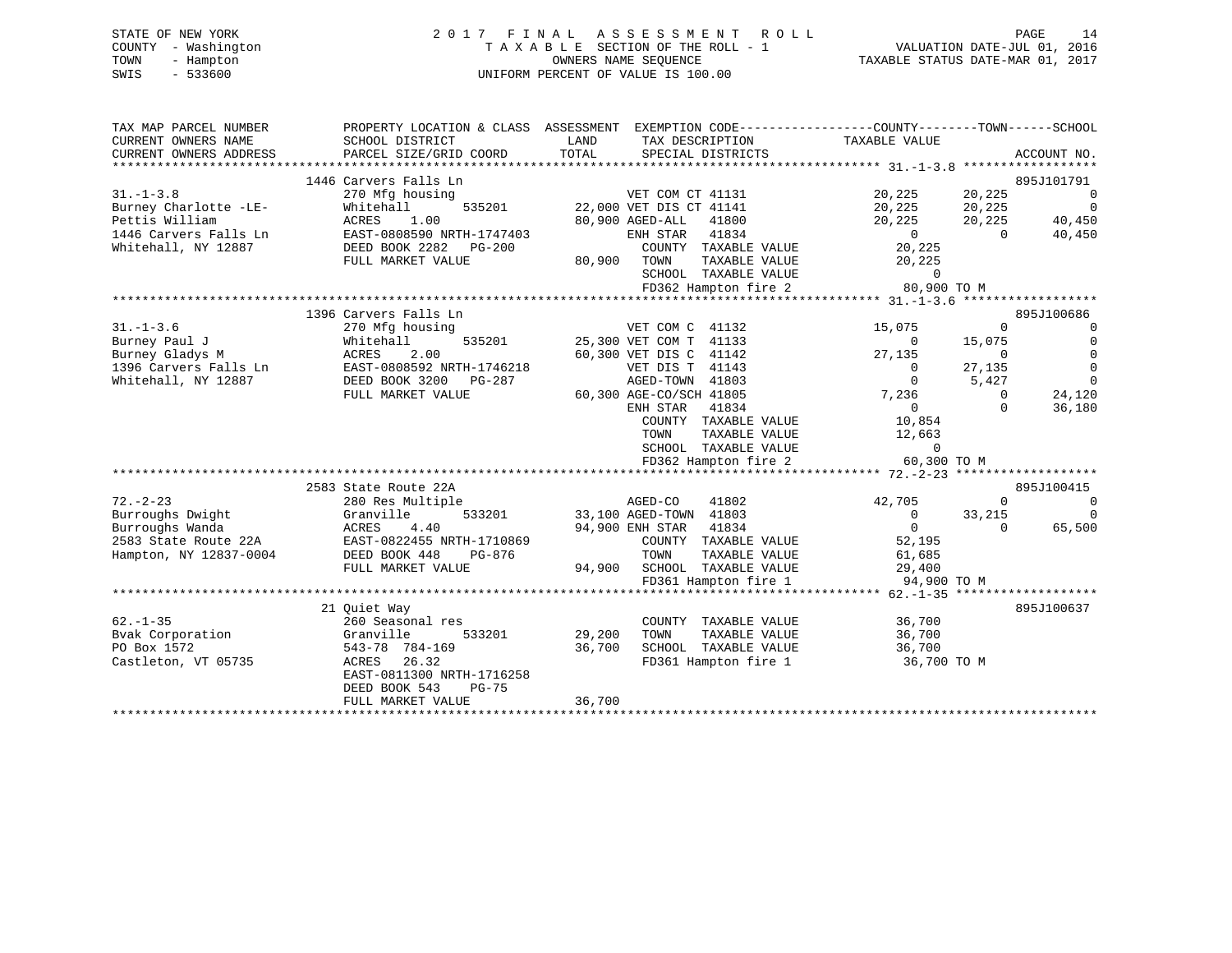| STATE OF NEW YORK   | 2017 FINAL ASSESSMENT ROLL         | 14<br>PAGE                       |
|---------------------|------------------------------------|----------------------------------|
| COUNTY - Washington | TAXABLE SECTION OF THE ROLL - 1    | VALUATION DATE-JUL 01, 2016      |
| TOWN<br>- Hampton   | OWNERS NAME SEOUENCE               | TAXABLE STATUS DATE-MAR 01, 2017 |
| $-533600$<br>SWIS   | UNIFORM PERCENT OF VALUE IS 100.00 |                                  |

| TAX MAP PARCEL NUMBER                          |                                                                                    | PROPERTY LOCATION & CLASS ASSESSMENT EXEMPTION CODE----------------COUNTY-------TOWN-----SCHOOL |                                                 |                                     |
|------------------------------------------------|------------------------------------------------------------------------------------|-------------------------------------------------------------------------------------------------|-------------------------------------------------|-------------------------------------|
| CURRENT OWNERS NAME                            | SCHOOL DISTRICT                                                                    | LAND<br>TAX DESCRIPTION                                                                         | TAXABLE VALUE                                   |                                     |
| CURRENT OWNERS ADDRESS                         | PARCEL SIZE/GRID COORD                                                             | TOTAL<br>SPECIAL DISTRICTS                                                                      |                                                 | ACCOUNT NO.                         |
|                                                |                                                                                    |                                                                                                 |                                                 |                                     |
|                                                | 1446 Carvers Falls Ln                                                              |                                                                                                 |                                                 | 895J101791                          |
| $31. - 1 - 3.8$                                | 270 Mfg housing                                                                    | VET COM CT 41131                                                                                | 20,225<br>20,225<br>20,225                      | $\sim$ 0                            |
| Burney Charlotte -LE-                          | Whitehall<br>535201                                                                | 22,000 VET DIS CT 41141                                                                         | 20,225                                          | $\overline{0}$                      |
| Pettis William                                 | ACRES<br>1.00                                                                      | 80,900 AGED-ALL<br>41800                                                                        | 20,225                                          | 20,225<br>40,450                    |
| 1446 Carvers Falls Ln                          | EAST-0808590 NRTH-1747403                                                          | ENH STAR 41834                                                                                  | $\begin{smallmatrix}&&0\0&225\end{smallmatrix}$ | 40,450<br>$\bigcirc$                |
| Whitehall, NY 12887                            | DEED BOOK 2282 PG-200                                                              | COUNTY TAXABLE VALUE                                                                            |                                                 |                                     |
|                                                | FULL MARKET VALUE                                                                  | 80,900 TOWN<br>TAXABLE VALUE                                                                    | 20,225                                          |                                     |
|                                                |                                                                                    | SCHOOL TAXABLE VALUE                                                                            | $\overline{0}$                                  |                                     |
|                                                |                                                                                    | FD362 Hampton fire 2                                                                            | 80,900 TO M                                     |                                     |
|                                                |                                                                                    |                                                                                                 |                                                 |                                     |
|                                                | 1396 Carvers Falls Ln                                                              |                                                                                                 |                                                 | 895J100686                          |
| $31. - 1 - 3.6$                                | 270 Mfg housing                                                                    | VET COM C 41132                                                                                 | 15,075                                          | $\overline{0}$<br>$\Omega$          |
| Burney Paul J                                  | Whitehall<br>535201                                                                | 25,300 VET COM T 41133                                                                          | $\Omega$                                        | $\mathbf 0$<br>15,075               |
|                                                | Burney Gladys M<br>1396 Carvers Falls Ln                 EAST-0808592 NRTH-1746218 | 60,300 VET DIS C 41142                                                                          | 27,135                                          | $\mathbf 0$<br>$\mathbf{0}$         |
|                                                |                                                                                    | VET DIS T 41143                                                                                 | $\overline{0}$                                  | $\overline{0}$<br>27,135            |
| Whitehall, NY 12887                            | DEED BOOK 3200 PG-287                                                              | AGED-TOWN 41803                                                                                 | $\Omega$                                        | $\Omega$<br>5,427                   |
|                                                | FULL MARKET VALUE                                                                  | 60,300 AGE-CO/SCH 41805                                                                         | 7,236                                           | 24,120<br>$\Omega$                  |
|                                                |                                                                                    | ENH STAR<br>41834                                                                               | $\overline{0}$                                  | $\Omega$<br>36,180                  |
|                                                |                                                                                    | COUNTY TAXABLE VALUE                                                                            | 10,854                                          |                                     |
|                                                |                                                                                    | TOWN<br>TAXABLE VALUE                                                                           | 12,663                                          |                                     |
|                                                |                                                                                    | SCHOOL TAXABLE VALUE                                                                            | $\overline{a}$                                  |                                     |
|                                                |                                                                                    | FD362 Hampton fire 2 60,300 TO M                                                                |                                                 |                                     |
|                                                |                                                                                    |                                                                                                 |                                                 |                                     |
|                                                | 2583 State Route 22A                                                               |                                                                                                 |                                                 | 895J100415                          |
| $72. - 2 - 23$                                 | 280 Res Multiple                                                                   | AGED-CO<br>41802                                                                                | 42,705                                          | $\mathbf 0$<br>$\Omega$<br>$\Omega$ |
| Burroughs Dwight                               | 533201<br>Granville<br>ACRES 4.40                                                  | 33,100 AGED-TOWN 41803<br>94,900 ENH STAR 41834                                                 | $\overline{0}$<br>$\Omega$                      | 33,215<br>$\Omega$                  |
| Burroughs Wanda                                |                                                                                    |                                                                                                 |                                                 | 65,500                              |
| 2583 State Route 22A<br>Hampton, NY 12837-0004 | EAST-0822455 NRTH-1710869<br>DEED BOOK 448<br>PG-876                               | COUNTY TAXABLE VALUE<br>TOWN<br>TAXABLE VALUE                                                   | 52,195                                          |                                     |
|                                                | FULL MARKET VALUE                                                                  | 94,900 SCHOOL TAXABLE VALUE                                                                     | 61,685<br>29,400<br>29,400                      |                                     |
|                                                |                                                                                    | FD361 Hampton fire 1                                                                            | 94,900 TO M                                     |                                     |
|                                                |                                                                                    |                                                                                                 |                                                 |                                     |
|                                                | 21 Quiet Way                                                                       |                                                                                                 |                                                 | 895J100637                          |
| $62. - 1 - 35$                                 | 260 Seasonal res                                                                   | COUNTY TAXABLE VALUE                                                                            | 36,700                                          |                                     |
| Bvak Corporation                               | 533201<br>Granville                                                                | 29,200<br>TAXABLE VALUE<br>TOWN                                                                 | 36,700                                          |                                     |
| PO Box 1572                                    | 543-78 784-169                                                                     | 36,700<br>SCHOOL TAXABLE VALUE                                                                  | 36,700                                          |                                     |
| Castleton, VT 05735                            | ACRES 26.32                                                                        | FD361 Hampton fire 1                                                                            | 36,700 TO M                                     |                                     |
|                                                | EAST-0811300 NRTH-1716258                                                          |                                                                                                 |                                                 |                                     |
|                                                | DEED BOOK 543<br>PG-75                                                             |                                                                                                 |                                                 |                                     |
|                                                | FULL MARKET VALUE                                                                  | 36,700                                                                                          |                                                 |                                     |
|                                                |                                                                                    |                                                                                                 |                                                 |                                     |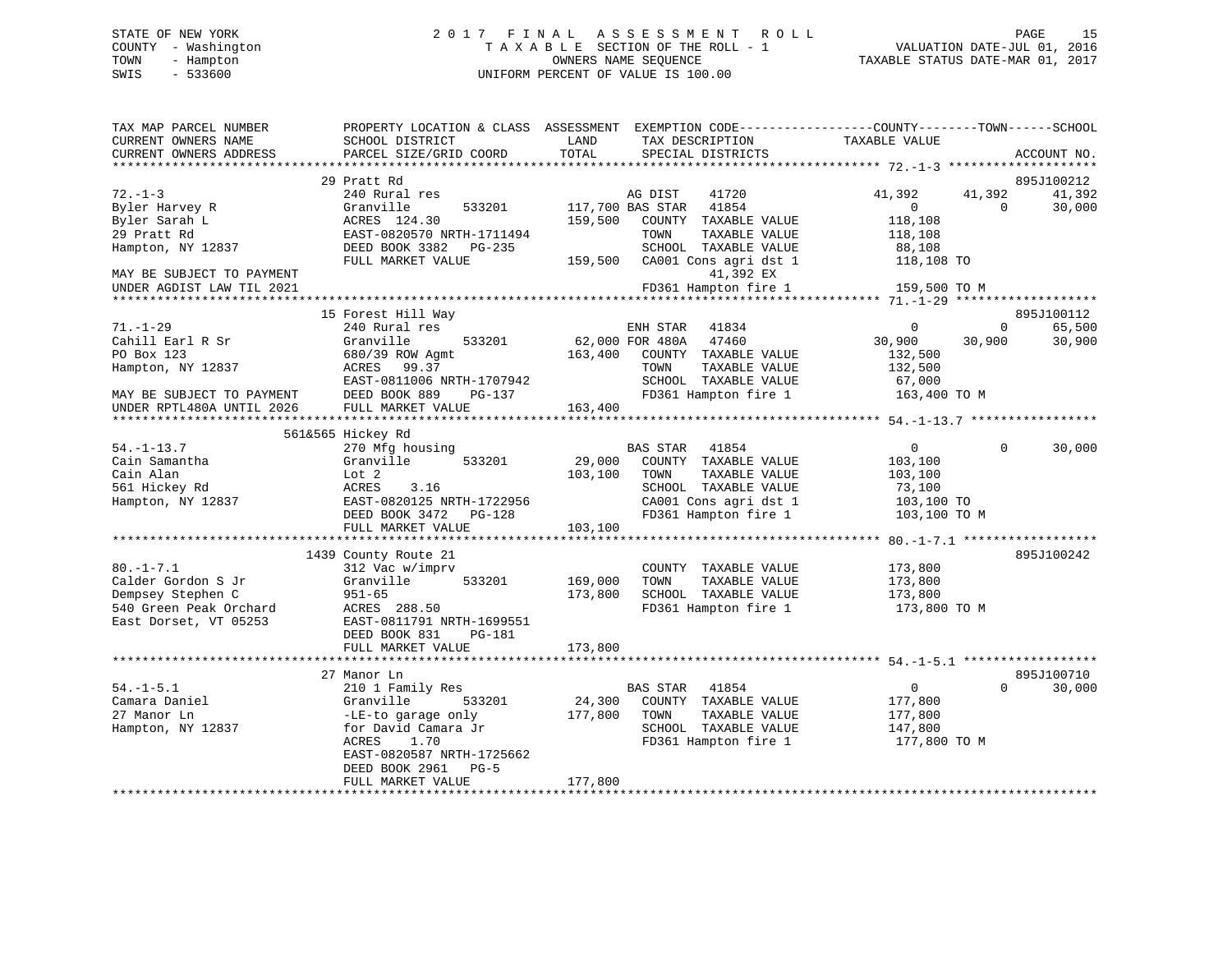#### STATE OF NEW YORK 2 0 1 7 F I N A L A S S E S S M E N T R O L L PAGE 15COUNTY - Washington  $T A X A B L E$  SECTION OF THE ROLL - 1<br>TOWN - Hampton DATE-JUL 000NERS NAME SEQUENCE TOWN - Hampton OWNERS NAME SEQUENCE TAXABLE STATUS DATE-MAR 01, 2017 SWIS - 533600 UNIFORM PERCENT OF VALUE IS 100.00

VALUATION DATE-JUL 01, 2016

| TAX MAP PARCEL NUMBER<br>CURRENT OWNERS NAME | PROPERTY LOCATION & CLASS ASSESSMENT<br>SCHOOL DISTRICT | LAND<br>TAX DESCRIPTION                       | EXEMPTION CODE-----------------COUNTY-------TOWN------SCHOOL<br>TAXABLE VALUE |                              |
|----------------------------------------------|---------------------------------------------------------|-----------------------------------------------|-------------------------------------------------------------------------------|------------------------------|
| CURRENT OWNERS ADDRESS                       | PARCEL SIZE/GRID COORD                                  | TOTAL<br>SPECIAL DISTRICTS                    |                                                                               | ACCOUNT NO.                  |
| **********************                       |                                                         |                                               |                                                                               |                              |
| $72. - 1 - 3$                                | 29 Pratt Rd<br>240 Rural res                            |                                               |                                                                               | 895J100212<br>41,392         |
| Byler Harvey R                               | Granville<br>533201                                     | AG DIST<br>41720<br>117,700 BAS STAR<br>41854 | 41,392<br>$\mathbf{0}$                                                        | 41,392<br>30,000<br>$\Omega$ |
| Byler Sarah L                                | ACRES 124.30                                            | 159,500<br>COUNTY TAXABLE VALUE               | 118,108                                                                       |                              |
| 29 Pratt Rd                                  | EAST-0820570 NRTH-1711494                               | TOWN<br>TAXABLE VALUE                         | 118,108                                                                       |                              |
| Hampton, NY 12837                            | DEED BOOK 3382 PG-235                                   | SCHOOL TAXABLE VALUE                          | 88,108                                                                        |                              |
|                                              | FULL MARKET VALUE                                       | 159,500 CA001 Cons agri dst 1                 | 118,108 TO                                                                    |                              |
| MAY BE SUBJECT TO PAYMENT                    |                                                         | 41,392 EX                                     |                                                                               |                              |
| UNDER AGDIST LAW TIL 2021                    |                                                         | FD361 Hampton fire 1                          | 159,500 TO M                                                                  |                              |
|                                              |                                                         |                                               |                                                                               |                              |
|                                              | 15 Forest Hill Way                                      |                                               |                                                                               | 895J100112                   |
| $71. - 1 - 29$                               | 240 Rural res                                           | ENH STAR<br>41834                             | $\Omega$                                                                      | 65,500<br>$\overline{0}$     |
| Cahill Earl R Sr                             | Granville<br>533201                                     | 62,000 FOR 480A<br>47460                      | 30,900                                                                        | 30,900<br>30,900             |
| PO Box 123                                   | 680/39 ROW Agmt                                         | 163,400 COUNTY TAXABLE VALUE                  | 132,500                                                                       |                              |
| Hampton, NY 12837                            | 99.37<br>ACRES                                          | TOWN<br>TAXABLE VALUE                         | 132,500                                                                       |                              |
|                                              | EAST-0811006 NRTH-1707942                               | SCHOOL TAXABLE VALUE                          | 67,000                                                                        |                              |
| MAY BE SUBJECT TO PAYMENT                    | DEED BOOK 889<br>PG-137                                 | FD361 Hampton fire 1                          | 163,400 TO M                                                                  |                              |
| UNDER RPTL480A UNTIL 2026                    | FULL MARKET VALUE<br>****************************       | 163,400                                       |                                                                               |                              |
| *********************                        |                                                         |                                               |                                                                               |                              |
| $54. - 1 - 13.7$                             | 561&565 Hickey Rd                                       | 41854                                         | $\overline{0}$                                                                | 30,000<br>0                  |
| Cain Samantha                                | 270 Mfg housing<br>Granville<br>533201                  | BAS STAR<br>29,000<br>COUNTY TAXABLE VALUE    | 103,100                                                                       |                              |
| Cain Alan                                    | Lot 2                                                   | 103,100<br>TAXABLE VALUE<br>TOWN              | 103,100                                                                       |                              |
| 561 Hickey Rd                                | ACRES<br>3.16                                           | SCHOOL TAXABLE VALUE                          | 73,100                                                                        |                              |
| Hampton, NY 12837                            | EAST-0820125 NRTH-1722956                               | CA001 Cons agri dst 1                         | 103,100 TO                                                                    |                              |
|                                              | DEED BOOK 3472 PG-128                                   | FD361 Hampton fire 1                          | 103,100 TO M                                                                  |                              |
|                                              | FULL MARKET VALUE                                       | 103,100                                       |                                                                               |                              |
|                                              |                                                         |                                               |                                                                               |                              |
|                                              | 1439 County Route 21                                    |                                               |                                                                               | 895J100242                   |
| $80. - 1 - 7.1$                              | 312 Vac w/imprv                                         | COUNTY TAXABLE VALUE                          | 173,800                                                                       |                              |
| Calder Gordon S Jr                           | Granville<br>533201                                     | 169,000<br>TOWN<br>TAXABLE VALUE              | 173,800                                                                       |                              |
| Dempsey Stephen C                            | $951 - 65$                                              | 173,800<br>SCHOOL TAXABLE VALUE               | 173,800                                                                       |                              |
| 540 Green Peak Orchard                       | ACRES 288.50                                            | FD361 Hampton fire 1                          | 173,800 TO M                                                                  |                              |
| East Dorset, VT 05253                        | EAST-0811791 NRTH-1699551                               |                                               |                                                                               |                              |
|                                              | DEED BOOK 831<br><b>PG-181</b>                          |                                               |                                                                               |                              |
|                                              | FULL MARKET VALUE                                       | 173,800                                       |                                                                               |                              |
|                                              |                                                         |                                               |                                                                               |                              |
|                                              | 27 Manor Ln                                             |                                               |                                                                               | 895J100710                   |
| $54. - 1 - 5.1$                              | 210 1 Family Res                                        | BAS STAR 41854                                | $\overline{0}$                                                                | 30,000<br>$\Omega$           |
| Camara Daniel                                | Granville<br>533201                                     | 24,300<br>COUNTY TAXABLE VALUE                | 177,800                                                                       |                              |
| 27 Manor Ln                                  | -LE-to garage only                                      | 177,800<br>TOWN<br>TAXABLE VALUE              | 177,800                                                                       |                              |
| Hampton, NY 12837                            | for David Camara Jr<br>ACRES<br>1.70                    | SCHOOL TAXABLE VALUE                          | 147,800                                                                       |                              |
|                                              | EAST-0820587 NRTH-1725662                               | FD361 Hampton fire 1                          | 177,800 TO M                                                                  |                              |
|                                              | DEED BOOK 2961<br>$PG-5$                                |                                               |                                                                               |                              |
|                                              | FULL MARKET VALUE                                       | 177,800                                       |                                                                               |                              |
|                                              |                                                         |                                               |                                                                               |                              |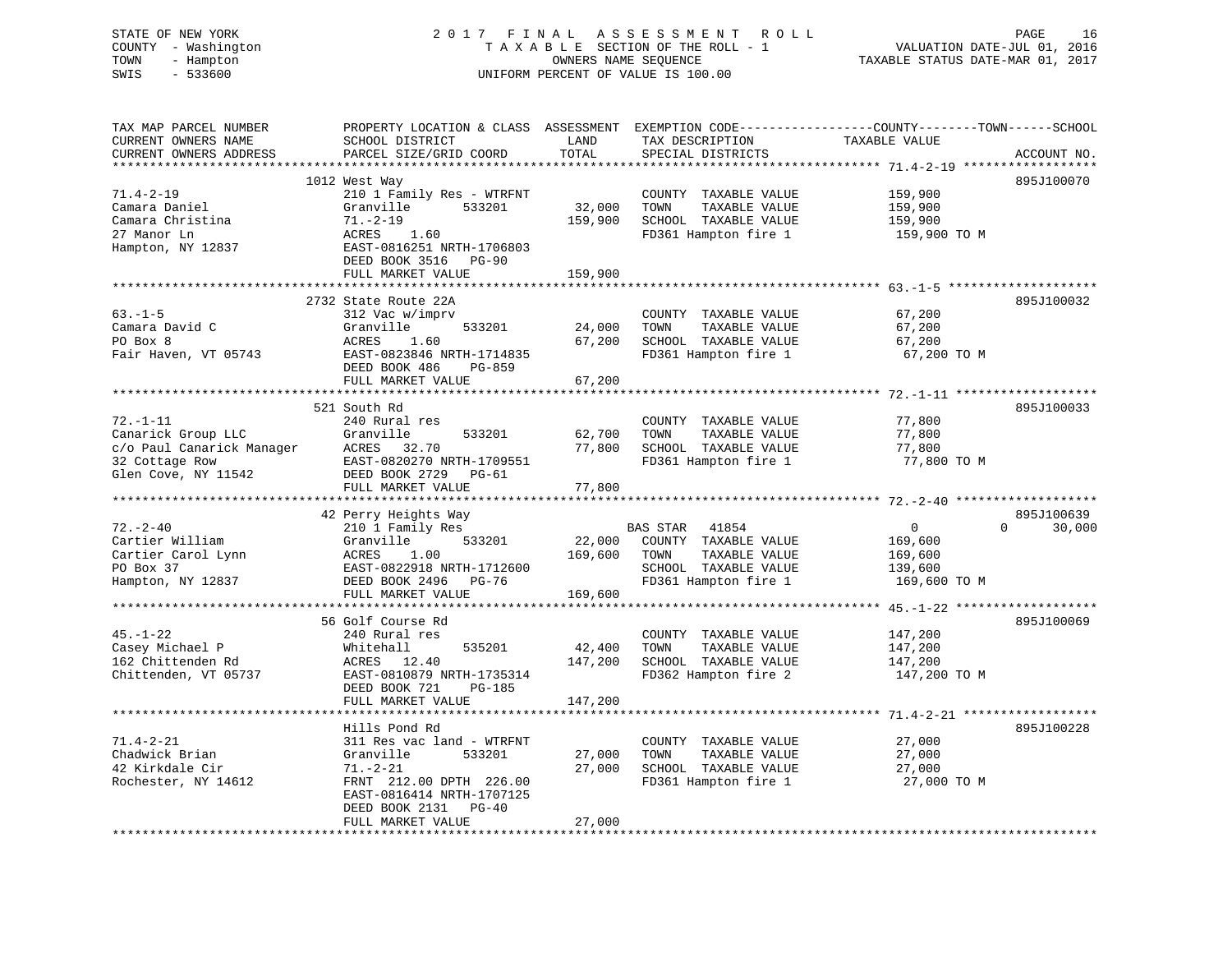# STATE OF NEW YORK 2 0 1 7 F I N A L A S S E S S M E N T R O L L PAGE 16 COUNTY - Washington T A X A B L E SECTION OF THE ROLL - 1 VALUATION DATE-JUL 01, 2016 TOWN - Hampton OWNERS NAME SEQUENCE TAXABLE STATUS DATE-MAR 01, 2017 SWIS - 533600 UNIFORM PERCENT OF VALUE IS 100.00

| TAX MAP PARCEL NUMBER<br>CURRENT OWNERS NAME<br>CURRENT OWNERS ADDRESS                                                | PROPERTY LOCATION & CLASS ASSESSMENT<br>SCHOOL DISTRICT<br>PARCEL SIZE/GRID COORD                                                                                        | LAND<br>TOTAL                | TAX DESCRIPTION<br>SPECIAL DISTRICTS                                                                            | EXEMPTION CODE-----------------COUNTY-------TOWN------SCHOOL<br>TAXABLE VALUE | ACCOUNT NO.          |
|-----------------------------------------------------------------------------------------------------------------------|--------------------------------------------------------------------------------------------------------------------------------------------------------------------------|------------------------------|-----------------------------------------------------------------------------------------------------------------|-------------------------------------------------------------------------------|----------------------|
| *************************<br>$71.4 - 2 - 19$<br>Camara Daniel<br>Camara Christina<br>27 Manor Ln<br>Hampton, NY 12837 | 1012 West Way<br>210 1 Family Res - WTRFNT<br>Granville<br>533201<br>$71. - 2 - 19$<br>ACRES<br>1.60<br>EAST-0816251 NRTH-1706803                                        | 32,000<br>159,900            | COUNTY TAXABLE VALUE<br>TOWN<br>TAXABLE VALUE<br>SCHOOL TAXABLE VALUE<br>FD361 Hampton fire 1                   | 159,900<br>159,900<br>159,900<br>159,900 TO M                                 | 895J100070           |
|                                                                                                                       | DEED BOOK 3516<br>$PG-90$<br>FULL MARKET VALUE                                                                                                                           | 159,900                      |                                                                                                                 |                                                                               |                      |
| $63. -1 - 5$<br>Camara David C<br>PO Box 8<br>Fair Haven, VT 05743                                                    | 2732 State Route 22A<br>312 Vac w/imprv<br>533201<br>Granville<br>ACRES<br>1.60<br>EAST-0823846 NRTH-1714835<br>DEED BOOK 486<br>PG-859                                  | 24,000<br>67,200             | COUNTY TAXABLE VALUE<br>TOWN<br>TAXABLE VALUE<br>SCHOOL TAXABLE VALUE<br>FD361 Hampton fire 1                   | 67,200<br>67,200<br>67,200<br>67,200 TO M                                     | 895J100032           |
|                                                                                                                       | FULL MARKET VALUE                                                                                                                                                        | 67,200                       |                                                                                                                 |                                                                               |                      |
| $72. - 1 - 11$<br>Canarick Group LLC<br>c/o Paul Canarick Manager<br>32 Cottage Row<br>Glen Cove, NY 11542            | 521 South Rd<br>240 Rural res<br>Granville<br>533201<br>ACRES<br>32.70<br>EAST-0820270 NRTH-1709551<br>DEED BOOK 2729<br>PG-61<br>FULL MARKET VALUE                      | 62,700<br>77,800<br>77,800   | COUNTY TAXABLE VALUE<br>TOWN<br>TAXABLE VALUE<br>SCHOOL TAXABLE VALUE<br>FD361 Hampton fire 1                   | 77,800<br>77,800<br>77,800<br>77,800 TO M                                     | 895J100033           |
|                                                                                                                       |                                                                                                                                                                          |                              |                                                                                                                 |                                                                               |                      |
| $72. - 2 - 40$<br>Cartier William<br>Cartier Carol Lynn<br>PO Box 37<br>Hampton, NY 12837                             | 42 Perry Heights Way<br>210 1 Family Res<br>Granville<br>533201<br>1.00<br>ACRES<br>EAST-0822918 NRTH-1712600<br>DEED BOOK 2496<br>PG-76                                 | 22,000<br>169,600            | BAS STAR 41854<br>COUNTY TAXABLE VALUE<br>TAXABLE VALUE<br>TOWN<br>SCHOOL TAXABLE VALUE<br>FD361 Hampton fire 1 | $\mathbf 0$<br>$\Omega$<br>169,600<br>169,600<br>139,600<br>169,600 TO M      | 895J100639<br>30,000 |
|                                                                                                                       | FULL MARKET VALUE                                                                                                                                                        | 169,600                      |                                                                                                                 |                                                                               |                      |
| $45. - 1 - 22$<br>Casey Michael P<br>162 Chittenden Rd<br>Chittenden, VT 05737                                        | 56 Golf Course Rd<br>240 Rural res<br>Whitehall<br>535201<br>ACRES<br>12.40<br>EAST-0810879 NRTH-1735314<br>DEED BOOK 721<br>$PG-185$<br>FULL MARKET VALUE               | 42,400<br>147,200<br>147,200 | COUNTY TAXABLE VALUE<br>TOWN<br>TAXABLE VALUE<br>SCHOOL TAXABLE VALUE<br>FD362 Hampton fire 2                   | 147,200<br>147,200<br>147,200<br>147,200 TO M                                 | 895J100069           |
|                                                                                                                       |                                                                                                                                                                          |                              |                                                                                                                 |                                                                               |                      |
| $71.4 - 2 - 21$<br>Chadwick Brian<br>42 Kirkdale Cir<br>Rochester, NY 14612                                           | Hills Pond Rd<br>311 Res vac land - WTRFNT<br>Granville<br>533201<br>$71. - 2 - 21$<br>FRNT 212.00 DPTH 226.00<br>EAST-0816414 NRTH-1707125<br>DEED BOOK 2131<br>$PG-40$ | 27,000<br>27,000             | COUNTY TAXABLE VALUE<br>TOWN<br>TAXABLE VALUE<br>SCHOOL TAXABLE VALUE<br>FD361 Hampton fire 1                   | 27,000<br>27,000<br>27,000<br>27,000 TO M                                     | 895J100228           |
|                                                                                                                       | FULL MARKET VALUE                                                                                                                                                        | 27,000                       |                                                                                                                 |                                                                               |                      |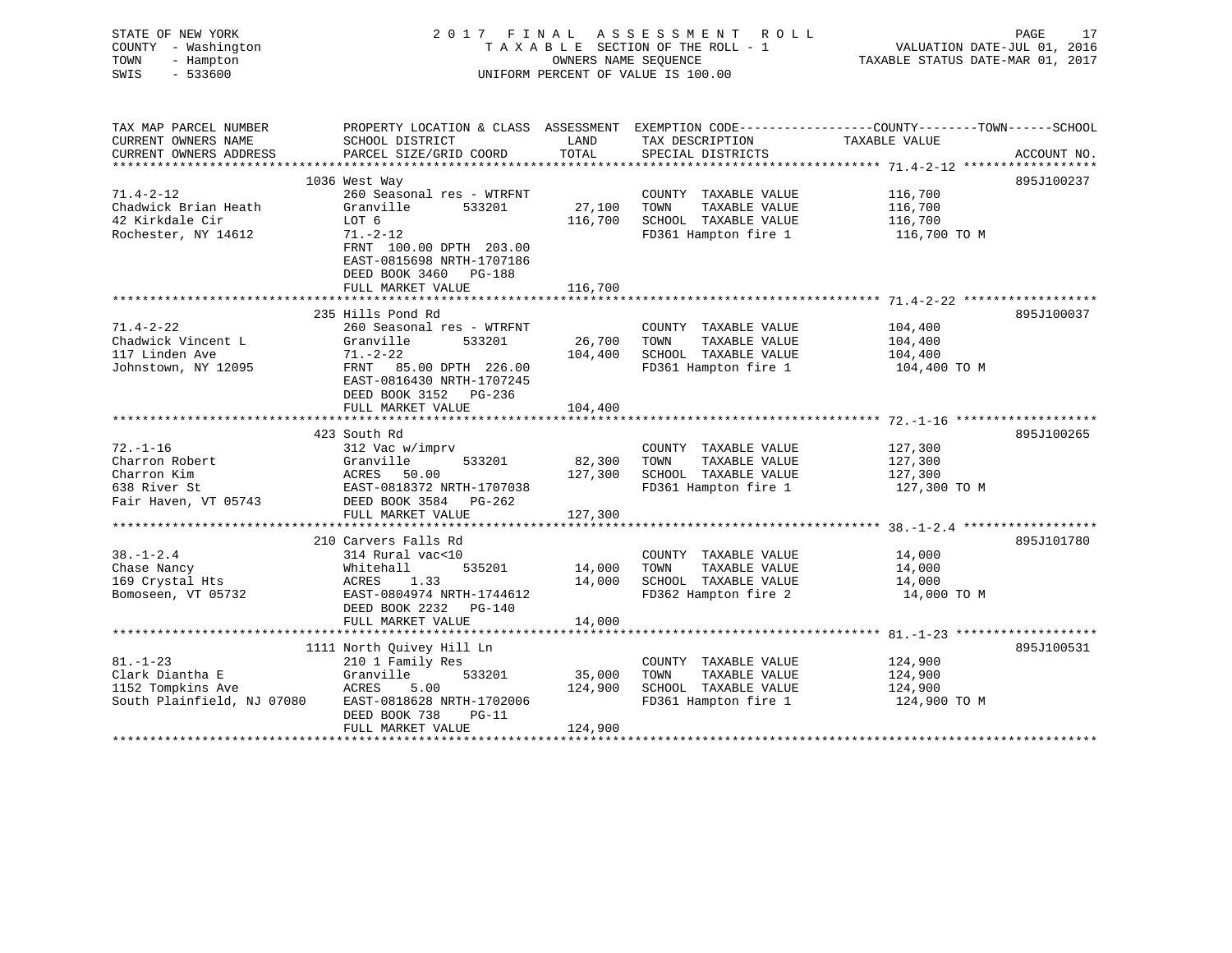| STATE OF NEW YORK<br>COUNTY - Washington<br>TOWN<br>- Hampton<br>$-533600$<br>SWIS      | 2017 FINAL ASSESSMENT ROLL<br>TAXABLE SECTION OF THE ROLL - 1<br>UNIFORM PERCENT OF VALUE IS 100.00                                                                                                | VALUATION DATE-JUL 01, 2016<br>TAXABLE STATUS DATE-MAR 01, 2017 | PAGE<br>17                                                                                    |                                                                                                                                                 |             |
|-----------------------------------------------------------------------------------------|----------------------------------------------------------------------------------------------------------------------------------------------------------------------------------------------------|-----------------------------------------------------------------|-----------------------------------------------------------------------------------------------|-------------------------------------------------------------------------------------------------------------------------------------------------|-------------|
| TAX MAP PARCEL NUMBER<br>CURRENT OWNERS NAME<br>CURRENT OWNERS ADDRESS                  | PROPERTY LOCATION & CLASS ASSESSMENT EXEMPTION CODE---------------COUNTY-------TOWN------SCHOOL<br>SCHOOL DISTRICT<br>PARCEL SIZE/GRID COORD                                                       | LAND<br>TOTAL                                                   | TAX DESCRIPTION<br>SPECIAL DISTRICTS                                                          | TAXABLE VALUE                                                                                                                                   | ACCOUNT NO. |
| $71.4 - 2 - 12$<br>Chadwick Brian Heath<br>42 Kirkdale Cir<br>Rochester, NY 14612       | 1036 West Way<br>260 Seasonal res - WTRFNT<br>Granville<br>533201<br>LOT 6<br>$71. - 2 - 12$<br>FRNT 100.00 DPTH 203.00<br>EAST-0815698 NRTH-1707186<br>DEED BOOK 3460 PG-188<br>FULL MARKET VALUE | 27,100<br>116,700<br>116,700                                    | COUNTY TAXABLE VALUE<br>TAXABLE VALUE<br>TOWN<br>SCHOOL TAXABLE VALUE<br>FD361 Hampton fire 1 | 116,700<br>116,700<br>116,700<br>116,700 TO M                                                                                                   | 895J100237  |
| $71.4 - 2 - 22$<br>Chadwick Vincent L<br>117 Linden Ave<br>Johnstown, NY 12095          | 235 Hills Pond Rd<br>260 Seasonal res - WTRFNT<br>Granville<br>533201<br>$71. - 2 - 22$<br>FRNT 85.00 DPTH 226.00<br>EAST-0816430 NRTH-1707245<br>DEED BOOK 3152 PG-236<br>FULL MARKET VALUE       | 26,700<br>104,400<br>104,400                                    | COUNTY TAXABLE VALUE<br>TAXABLE VALUE<br>TOWN<br>SCHOOL TAXABLE VALUE<br>FD361 Hampton fire 1 | 104,400<br>104,400<br>104,400<br>104,400 TO M                                                                                                   | 895J100037  |
| $72. - 1 - 16$<br>Charron Robert<br>Charron Kim<br>638 River St<br>Fair Haven, VT 05743 | 423 South Rd<br>312 Vac w/imprv<br>Granville<br>533201<br>ACRES 50.00<br>EAST-0818372 NRTH-1707038<br>DEED BOOK 3584 PG-262<br>FULL MARKET VALUE                                                   | * * * * * * * * * * *<br>82,300<br>127,300<br>127,300           | COUNTY TAXABLE VALUE<br>TAXABLE VALUE<br>TOWN<br>SCHOOL TAXABLE VALUE<br>FD361 Hampton fire 1 | 127,300<br>127,300<br>127,300<br>127,300 TO M                                                                                                   | 895J100265  |
| $38. - 1 - 2.4$<br>Chase Nancy<br>169 Crystal Hts<br>Bomoseen, VT 05732                 | 210 Carvers Falls Rd<br>314 Rural vac<10<br>535201<br>Whitehall<br>ACRES 1.33<br>EAST-0804974 NRTH-1744612<br>DEED BOOK 2232 PG-140<br>FULL MARKET VALUE<br>*******************                    | 14,000<br>14,000<br>14,000                                      | COUNTY TAXABLE VALUE<br>TAXABLE VALUE<br>TOWN<br>SCHOOL TAXABLE VALUE<br>FD362 Hampton fire 2 | *********************** 38.-1-2.4 *******************<br>14,000<br>14,000<br>14,000<br>14,000 TO M<br>********** 81. -1-23 ******************** | 895J101780  |
| $81. - 1 - 23$<br>Clark Diantha E<br>1152 Tompkins Ave<br>South Plainfield, NJ 07080    | 1111 North Quivey Hill Ln<br>210 1 Family Res<br>Granville<br>533201<br>ACRES<br>5.00<br>EAST-0818628 NRTH-1702006<br>DEED BOOK 738<br>$PG-11$<br>FULL MARKET VALUE                                | 35,000<br>124,900<br>124,900                                    | COUNTY TAXABLE VALUE<br>TAXABLE VALUE<br>TOWN<br>SCHOOL TAXABLE VALUE<br>FD361 Hampton fire 1 | 124,900<br>124,900<br>124,900<br>124,900 TO M                                                                                                   | 895J100531  |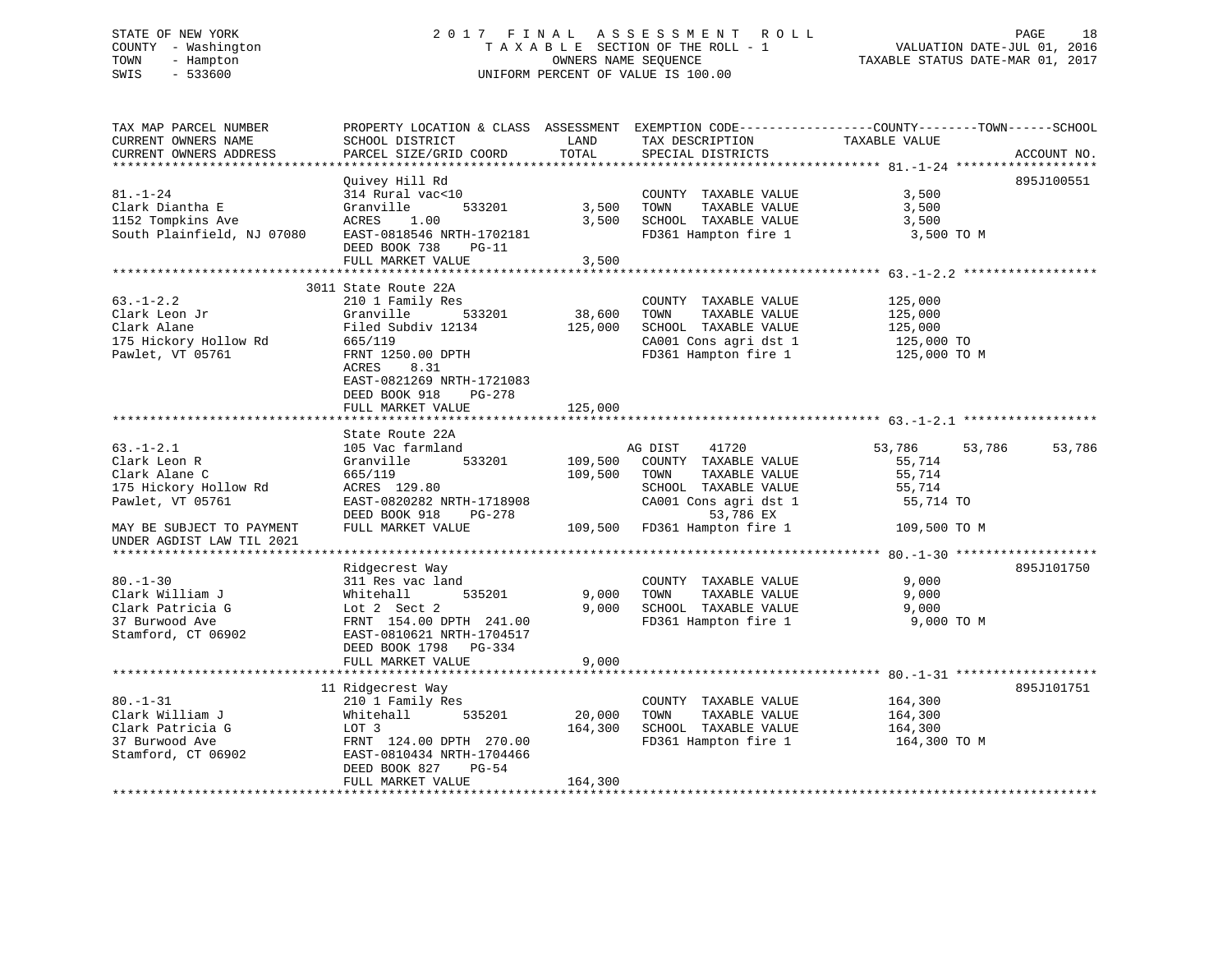# STATE OF NEW YORK 2 0 1 7 F I N A L A S S E S S M E N T R O L L PAGE 18 COUNTY - Washington T A X A B L E SECTION OF THE ROLL - 1 VALUATION DATE-JUL 01, 2016 TOWN - Hampton OWNERS NAME SEQUENCE TAXABLE STATUS DATE-MAR 01, 2017 SWIS - 533600 UNIFORM PERCENT OF VALUE IS 100.00

| ACCOUNT NO.<br>Quivey Hill Rd<br>895J100551<br>314 Rural vac<10<br>COUNTY TAXABLE VALUE<br>3,500<br>3,500<br>TOWN<br>Clark Diantha E<br>Granville<br>533201<br>TAXABLE VALUE<br>3,500<br>1152 Tompkins Ave<br>SCHOOL TAXABLE VALUE<br>ACRES<br>1.00<br>3,500<br>3,500<br>South Plainfield, NJ 07080<br>EAST-0818546 NRTH-1702181<br>FD361 Hampton fire 1<br>3,500 TO M<br>DEED BOOK 738<br>$PG-11$<br>3,500<br>FULL MARKET VALUE<br>3011 State Route 22A<br>125,000<br>210 1 Family Res<br>COUNTY TAXABLE VALUE<br>38,600<br>533201<br>TAXABLE VALUE<br>Granville<br>TOWN<br>125,000<br>Filed Subdiv 12134<br>125,000<br>SCHOOL TAXABLE VALUE<br>125,000<br>175 Hickory Hollow Rd<br>CA001 Cons agri dst 1<br>665/119<br>125,000 TO<br>FRNT 1250.00 DPTH<br>FD361 Hampton fire 1<br>125,000 TO M<br>8.31<br>ACRES<br>EAST-0821269 NRTH-1721083<br>DEED BOOK 918<br>PG-278<br>FULL MARKET VALUE<br>125,000<br>************<br>************************<br>State Route 22A<br>$63. - 1 - 2.1$<br>53,786<br>53,786<br>105 Vac farmland<br>AG DIST<br>41720<br>53,786<br>109,500<br>Clark Leon R<br>Granville<br>533201<br>COUNTY TAXABLE VALUE<br>55,714<br>Clark Alane C<br>109,500<br>665/119<br>TOWN<br>TAXABLE VALUE<br>55,714<br>175 Hickory Hollow Rd<br>ACRES 129.80<br>SCHOOL TAXABLE VALUE<br>55,714<br>EAST-0820282 NRTH-1718908<br>CA001 Cons agri dst 1<br>55,714 TO<br>DEED BOOK 918<br>PG-278<br>53,786 EX<br>109,500 FD361 Hampton fire 1<br>FULL MARKET VALUE<br>109,500 TO M<br>895J101750<br>Ridgecrest Way<br>311 Res vac land<br>COUNTY TAXABLE VALUE<br>9,000<br>535201<br>9,000<br>TOWN<br>TAXABLE VALUE<br>Whitehall<br>9,000<br>SCHOOL TAXABLE VALUE<br>9,000<br>9,000<br>Lot 2 Sect 2<br>FRNT 154.00 DPTH 241.00<br>FD361 Hampton fire 1<br>9,000 TO M<br>EAST-0810621 NRTH-1704517<br>DEED BOOK 1798 PG-334<br>9,000<br>FULL MARKET VALUE<br>895J101751<br>11 Ridgecrest Way<br>$80. - 1 - 31$<br>210 1 Family Res<br>COUNTY TAXABLE VALUE<br>164,300<br>20,000<br>Clark William J<br>Whitehall<br>535201<br>TOWN<br>TAXABLE VALUE<br>164,300<br>Clark Patricia G<br>LOT 3<br>164,300<br>SCHOOL TAXABLE VALUE<br>164,300<br>FD361 Hampton fire 1<br>37 Burwood Ave<br>FRNT 124.00 DPTH 270.00<br>164,300 TO M<br>Stamford, CT 06902<br>EAST-0810434 NRTH-1704466<br>DEED BOOK 827<br>$PG-54$<br>164,300<br>FULL MARKET VALUE | TAX MAP PARCEL NUMBER<br>CURRENT OWNERS NAME           | SCHOOL DISTRICT        | LAND  | TAX DESCRIPTION   | PROPERTY LOCATION & CLASS ASSESSMENT EXEMPTION CODE---------------COUNTY-------TOWN------SCHOOL<br>TAXABLE VALUE |  |
|-----------------------------------------------------------------------------------------------------------------------------------------------------------------------------------------------------------------------------------------------------------------------------------------------------------------------------------------------------------------------------------------------------------------------------------------------------------------------------------------------------------------------------------------------------------------------------------------------------------------------------------------------------------------------------------------------------------------------------------------------------------------------------------------------------------------------------------------------------------------------------------------------------------------------------------------------------------------------------------------------------------------------------------------------------------------------------------------------------------------------------------------------------------------------------------------------------------------------------------------------------------------------------------------------------------------------------------------------------------------------------------------------------------------------------------------------------------------------------------------------------------------------------------------------------------------------------------------------------------------------------------------------------------------------------------------------------------------------------------------------------------------------------------------------------------------------------------------------------------------------------------------------------------------------------------------------------------------------------------------------------------------------------------------------------------------------------------------------------------------------------------------------------------------------------------------------------------------------------------------------------------------------------------------------------------------------------------------------------|--------------------------------------------------------|------------------------|-------|-------------------|------------------------------------------------------------------------------------------------------------------|--|
|                                                                                                                                                                                                                                                                                                                                                                                                                                                                                                                                                                                                                                                                                                                                                                                                                                                                                                                                                                                                                                                                                                                                                                                                                                                                                                                                                                                                                                                                                                                                                                                                                                                                                                                                                                                                                                                                                                                                                                                                                                                                                                                                                                                                                                                                                                                                                     | CURRENT OWNERS ADDRESS                                 | PARCEL SIZE/GRID COORD | TOTAL | SPECIAL DISTRICTS |                                                                                                                  |  |
|                                                                                                                                                                                                                                                                                                                                                                                                                                                                                                                                                                                                                                                                                                                                                                                                                                                                                                                                                                                                                                                                                                                                                                                                                                                                                                                                                                                                                                                                                                                                                                                                                                                                                                                                                                                                                                                                                                                                                                                                                                                                                                                                                                                                                                                                                                                                                     |                                                        |                        |       |                   |                                                                                                                  |  |
|                                                                                                                                                                                                                                                                                                                                                                                                                                                                                                                                                                                                                                                                                                                                                                                                                                                                                                                                                                                                                                                                                                                                                                                                                                                                                                                                                                                                                                                                                                                                                                                                                                                                                                                                                                                                                                                                                                                                                                                                                                                                                                                                                                                                                                                                                                                                                     | $81. - 1 - 24$                                         |                        |       |                   |                                                                                                                  |  |
|                                                                                                                                                                                                                                                                                                                                                                                                                                                                                                                                                                                                                                                                                                                                                                                                                                                                                                                                                                                                                                                                                                                                                                                                                                                                                                                                                                                                                                                                                                                                                                                                                                                                                                                                                                                                                                                                                                                                                                                                                                                                                                                                                                                                                                                                                                                                                     |                                                        |                        |       |                   |                                                                                                                  |  |
|                                                                                                                                                                                                                                                                                                                                                                                                                                                                                                                                                                                                                                                                                                                                                                                                                                                                                                                                                                                                                                                                                                                                                                                                                                                                                                                                                                                                                                                                                                                                                                                                                                                                                                                                                                                                                                                                                                                                                                                                                                                                                                                                                                                                                                                                                                                                                     |                                                        |                        |       |                   |                                                                                                                  |  |
|                                                                                                                                                                                                                                                                                                                                                                                                                                                                                                                                                                                                                                                                                                                                                                                                                                                                                                                                                                                                                                                                                                                                                                                                                                                                                                                                                                                                                                                                                                                                                                                                                                                                                                                                                                                                                                                                                                                                                                                                                                                                                                                                                                                                                                                                                                                                                     |                                                        |                        |       |                   |                                                                                                                  |  |
|                                                                                                                                                                                                                                                                                                                                                                                                                                                                                                                                                                                                                                                                                                                                                                                                                                                                                                                                                                                                                                                                                                                                                                                                                                                                                                                                                                                                                                                                                                                                                                                                                                                                                                                                                                                                                                                                                                                                                                                                                                                                                                                                                                                                                                                                                                                                                     |                                                        |                        |       |                   |                                                                                                                  |  |
|                                                                                                                                                                                                                                                                                                                                                                                                                                                                                                                                                                                                                                                                                                                                                                                                                                                                                                                                                                                                                                                                                                                                                                                                                                                                                                                                                                                                                                                                                                                                                                                                                                                                                                                                                                                                                                                                                                                                                                                                                                                                                                                                                                                                                                                                                                                                                     | $63. - 1 - 2.2$                                        |                        |       |                   |                                                                                                                  |  |
|                                                                                                                                                                                                                                                                                                                                                                                                                                                                                                                                                                                                                                                                                                                                                                                                                                                                                                                                                                                                                                                                                                                                                                                                                                                                                                                                                                                                                                                                                                                                                                                                                                                                                                                                                                                                                                                                                                                                                                                                                                                                                                                                                                                                                                                                                                                                                     | Clark Leon Jr                                          |                        |       |                   |                                                                                                                  |  |
|                                                                                                                                                                                                                                                                                                                                                                                                                                                                                                                                                                                                                                                                                                                                                                                                                                                                                                                                                                                                                                                                                                                                                                                                                                                                                                                                                                                                                                                                                                                                                                                                                                                                                                                                                                                                                                                                                                                                                                                                                                                                                                                                                                                                                                                                                                                                                     | Clark Alane                                            |                        |       |                   |                                                                                                                  |  |
|                                                                                                                                                                                                                                                                                                                                                                                                                                                                                                                                                                                                                                                                                                                                                                                                                                                                                                                                                                                                                                                                                                                                                                                                                                                                                                                                                                                                                                                                                                                                                                                                                                                                                                                                                                                                                                                                                                                                                                                                                                                                                                                                                                                                                                                                                                                                                     |                                                        |                        |       |                   |                                                                                                                  |  |
|                                                                                                                                                                                                                                                                                                                                                                                                                                                                                                                                                                                                                                                                                                                                                                                                                                                                                                                                                                                                                                                                                                                                                                                                                                                                                                                                                                                                                                                                                                                                                                                                                                                                                                                                                                                                                                                                                                                                                                                                                                                                                                                                                                                                                                                                                                                                                     | Pawlet, VT 05761                                       |                        |       |                   |                                                                                                                  |  |
|                                                                                                                                                                                                                                                                                                                                                                                                                                                                                                                                                                                                                                                                                                                                                                                                                                                                                                                                                                                                                                                                                                                                                                                                                                                                                                                                                                                                                                                                                                                                                                                                                                                                                                                                                                                                                                                                                                                                                                                                                                                                                                                                                                                                                                                                                                                                                     |                                                        |                        |       |                   |                                                                                                                  |  |
|                                                                                                                                                                                                                                                                                                                                                                                                                                                                                                                                                                                                                                                                                                                                                                                                                                                                                                                                                                                                                                                                                                                                                                                                                                                                                                                                                                                                                                                                                                                                                                                                                                                                                                                                                                                                                                                                                                                                                                                                                                                                                                                                                                                                                                                                                                                                                     |                                                        |                        |       |                   |                                                                                                                  |  |
|                                                                                                                                                                                                                                                                                                                                                                                                                                                                                                                                                                                                                                                                                                                                                                                                                                                                                                                                                                                                                                                                                                                                                                                                                                                                                                                                                                                                                                                                                                                                                                                                                                                                                                                                                                                                                                                                                                                                                                                                                                                                                                                                                                                                                                                                                                                                                     |                                                        |                        |       |                   |                                                                                                                  |  |
|                                                                                                                                                                                                                                                                                                                                                                                                                                                                                                                                                                                                                                                                                                                                                                                                                                                                                                                                                                                                                                                                                                                                                                                                                                                                                                                                                                                                                                                                                                                                                                                                                                                                                                                                                                                                                                                                                                                                                                                                                                                                                                                                                                                                                                                                                                                                                     |                                                        |                        |       |                   |                                                                                                                  |  |
|                                                                                                                                                                                                                                                                                                                                                                                                                                                                                                                                                                                                                                                                                                                                                                                                                                                                                                                                                                                                                                                                                                                                                                                                                                                                                                                                                                                                                                                                                                                                                                                                                                                                                                                                                                                                                                                                                                                                                                                                                                                                                                                                                                                                                                                                                                                                                     |                                                        |                        |       |                   |                                                                                                                  |  |
|                                                                                                                                                                                                                                                                                                                                                                                                                                                                                                                                                                                                                                                                                                                                                                                                                                                                                                                                                                                                                                                                                                                                                                                                                                                                                                                                                                                                                                                                                                                                                                                                                                                                                                                                                                                                                                                                                                                                                                                                                                                                                                                                                                                                                                                                                                                                                     |                                                        |                        |       |                   |                                                                                                                  |  |
|                                                                                                                                                                                                                                                                                                                                                                                                                                                                                                                                                                                                                                                                                                                                                                                                                                                                                                                                                                                                                                                                                                                                                                                                                                                                                                                                                                                                                                                                                                                                                                                                                                                                                                                                                                                                                                                                                                                                                                                                                                                                                                                                                                                                                                                                                                                                                     |                                                        |                        |       |                   |                                                                                                                  |  |
|                                                                                                                                                                                                                                                                                                                                                                                                                                                                                                                                                                                                                                                                                                                                                                                                                                                                                                                                                                                                                                                                                                                                                                                                                                                                                                                                                                                                                                                                                                                                                                                                                                                                                                                                                                                                                                                                                                                                                                                                                                                                                                                                                                                                                                                                                                                                                     | Pawlet, VT 05761                                       |                        |       |                   |                                                                                                                  |  |
|                                                                                                                                                                                                                                                                                                                                                                                                                                                                                                                                                                                                                                                                                                                                                                                                                                                                                                                                                                                                                                                                                                                                                                                                                                                                                                                                                                                                                                                                                                                                                                                                                                                                                                                                                                                                                                                                                                                                                                                                                                                                                                                                                                                                                                                                                                                                                     | MAY BE SUBJECT TO PAYMENT<br>UNDER AGDIST LAW TIL 2021 |                        |       |                   |                                                                                                                  |  |
|                                                                                                                                                                                                                                                                                                                                                                                                                                                                                                                                                                                                                                                                                                                                                                                                                                                                                                                                                                                                                                                                                                                                                                                                                                                                                                                                                                                                                                                                                                                                                                                                                                                                                                                                                                                                                                                                                                                                                                                                                                                                                                                                                                                                                                                                                                                                                     |                                                        |                        |       |                   |                                                                                                                  |  |
|                                                                                                                                                                                                                                                                                                                                                                                                                                                                                                                                                                                                                                                                                                                                                                                                                                                                                                                                                                                                                                                                                                                                                                                                                                                                                                                                                                                                                                                                                                                                                                                                                                                                                                                                                                                                                                                                                                                                                                                                                                                                                                                                                                                                                                                                                                                                                     |                                                        |                        |       |                   |                                                                                                                  |  |
|                                                                                                                                                                                                                                                                                                                                                                                                                                                                                                                                                                                                                                                                                                                                                                                                                                                                                                                                                                                                                                                                                                                                                                                                                                                                                                                                                                                                                                                                                                                                                                                                                                                                                                                                                                                                                                                                                                                                                                                                                                                                                                                                                                                                                                                                                                                                                     | $80. - 1 - 30$                                         |                        |       |                   |                                                                                                                  |  |
|                                                                                                                                                                                                                                                                                                                                                                                                                                                                                                                                                                                                                                                                                                                                                                                                                                                                                                                                                                                                                                                                                                                                                                                                                                                                                                                                                                                                                                                                                                                                                                                                                                                                                                                                                                                                                                                                                                                                                                                                                                                                                                                                                                                                                                                                                                                                                     | Clark William J                                        |                        |       |                   |                                                                                                                  |  |
|                                                                                                                                                                                                                                                                                                                                                                                                                                                                                                                                                                                                                                                                                                                                                                                                                                                                                                                                                                                                                                                                                                                                                                                                                                                                                                                                                                                                                                                                                                                                                                                                                                                                                                                                                                                                                                                                                                                                                                                                                                                                                                                                                                                                                                                                                                                                                     | Clark Patricia G                                       |                        |       |                   |                                                                                                                  |  |
|                                                                                                                                                                                                                                                                                                                                                                                                                                                                                                                                                                                                                                                                                                                                                                                                                                                                                                                                                                                                                                                                                                                                                                                                                                                                                                                                                                                                                                                                                                                                                                                                                                                                                                                                                                                                                                                                                                                                                                                                                                                                                                                                                                                                                                                                                                                                                     | 37 Burwood Ave<br>Stamford, CT 06902                   |                        |       |                   |                                                                                                                  |  |
|                                                                                                                                                                                                                                                                                                                                                                                                                                                                                                                                                                                                                                                                                                                                                                                                                                                                                                                                                                                                                                                                                                                                                                                                                                                                                                                                                                                                                                                                                                                                                                                                                                                                                                                                                                                                                                                                                                                                                                                                                                                                                                                                                                                                                                                                                                                                                     |                                                        |                        |       |                   |                                                                                                                  |  |
|                                                                                                                                                                                                                                                                                                                                                                                                                                                                                                                                                                                                                                                                                                                                                                                                                                                                                                                                                                                                                                                                                                                                                                                                                                                                                                                                                                                                                                                                                                                                                                                                                                                                                                                                                                                                                                                                                                                                                                                                                                                                                                                                                                                                                                                                                                                                                     |                                                        |                        |       |                   |                                                                                                                  |  |
|                                                                                                                                                                                                                                                                                                                                                                                                                                                                                                                                                                                                                                                                                                                                                                                                                                                                                                                                                                                                                                                                                                                                                                                                                                                                                                                                                                                                                                                                                                                                                                                                                                                                                                                                                                                                                                                                                                                                                                                                                                                                                                                                                                                                                                                                                                                                                     |                                                        |                        |       |                   |                                                                                                                  |  |
|                                                                                                                                                                                                                                                                                                                                                                                                                                                                                                                                                                                                                                                                                                                                                                                                                                                                                                                                                                                                                                                                                                                                                                                                                                                                                                                                                                                                                                                                                                                                                                                                                                                                                                                                                                                                                                                                                                                                                                                                                                                                                                                                                                                                                                                                                                                                                     |                                                        |                        |       |                   |                                                                                                                  |  |
|                                                                                                                                                                                                                                                                                                                                                                                                                                                                                                                                                                                                                                                                                                                                                                                                                                                                                                                                                                                                                                                                                                                                                                                                                                                                                                                                                                                                                                                                                                                                                                                                                                                                                                                                                                                                                                                                                                                                                                                                                                                                                                                                                                                                                                                                                                                                                     |                                                        |                        |       |                   |                                                                                                                  |  |
|                                                                                                                                                                                                                                                                                                                                                                                                                                                                                                                                                                                                                                                                                                                                                                                                                                                                                                                                                                                                                                                                                                                                                                                                                                                                                                                                                                                                                                                                                                                                                                                                                                                                                                                                                                                                                                                                                                                                                                                                                                                                                                                                                                                                                                                                                                                                                     |                                                        |                        |       |                   |                                                                                                                  |  |
|                                                                                                                                                                                                                                                                                                                                                                                                                                                                                                                                                                                                                                                                                                                                                                                                                                                                                                                                                                                                                                                                                                                                                                                                                                                                                                                                                                                                                                                                                                                                                                                                                                                                                                                                                                                                                                                                                                                                                                                                                                                                                                                                                                                                                                                                                                                                                     |                                                        |                        |       |                   |                                                                                                                  |  |
|                                                                                                                                                                                                                                                                                                                                                                                                                                                                                                                                                                                                                                                                                                                                                                                                                                                                                                                                                                                                                                                                                                                                                                                                                                                                                                                                                                                                                                                                                                                                                                                                                                                                                                                                                                                                                                                                                                                                                                                                                                                                                                                                                                                                                                                                                                                                                     |                                                        |                        |       |                   |                                                                                                                  |  |
|                                                                                                                                                                                                                                                                                                                                                                                                                                                                                                                                                                                                                                                                                                                                                                                                                                                                                                                                                                                                                                                                                                                                                                                                                                                                                                                                                                                                                                                                                                                                                                                                                                                                                                                                                                                                                                                                                                                                                                                                                                                                                                                                                                                                                                                                                                                                                     |                                                        |                        |       |                   |                                                                                                                  |  |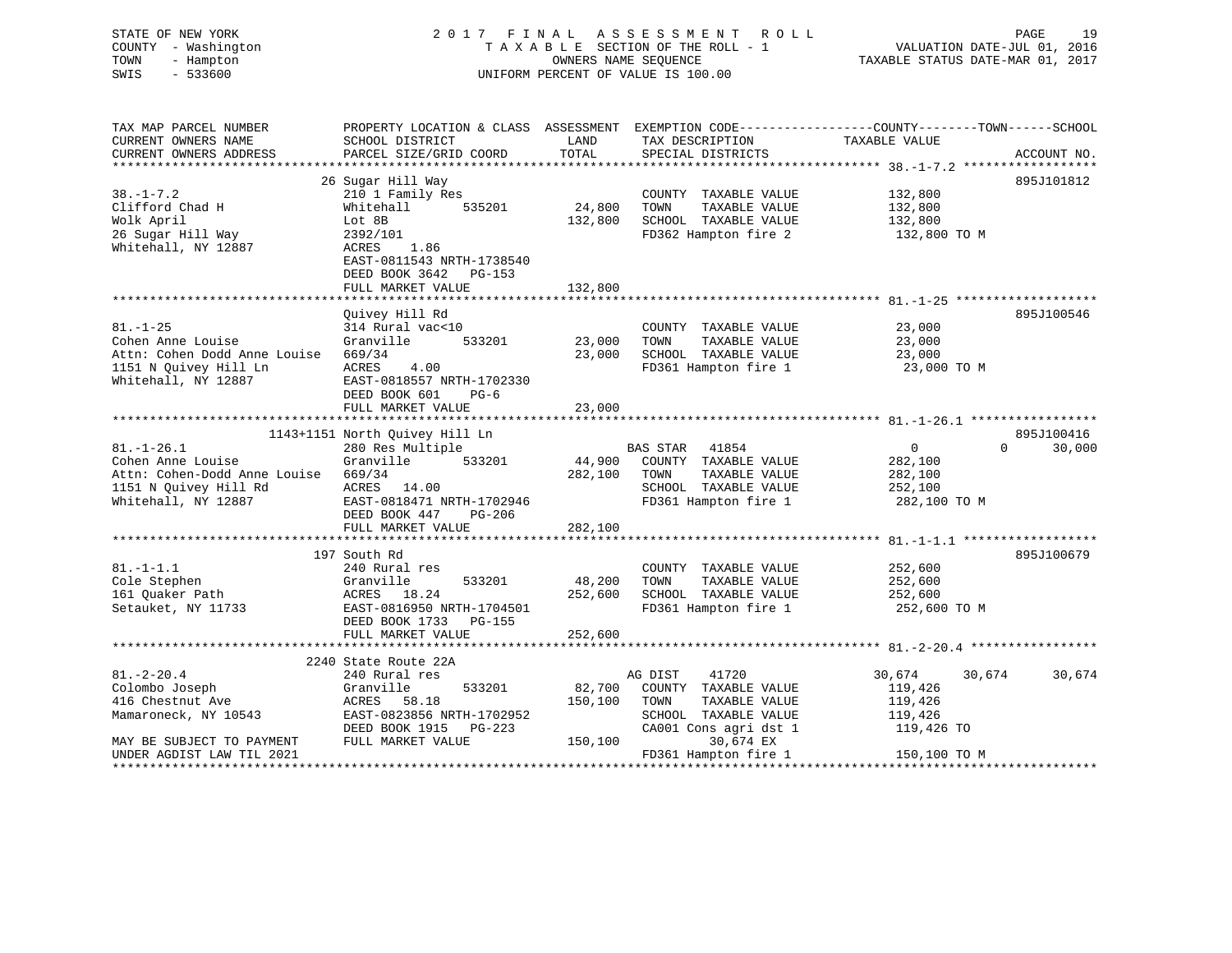| STATE OF NEW YORK<br>COUNTY - Washington<br>TOWN<br>- Hampton<br>SWIS<br>$-533600$                                    | 2017 FINAL<br>A S S E S S M E N T<br>R O L L<br>TAXABLE SECTION OF THE ROLL - 1<br>OWNERS NAME SEQUENCE<br>UNIFORM PERCENT OF VALUE IS 100.00 |                              |                                                                                                                          | PAGE<br>19<br>VALUATION DATE-JUL 01, 2016<br>TAXABLE STATUS DATE-MAR 01, 2017 |                    |  |
|-----------------------------------------------------------------------------------------------------------------------|-----------------------------------------------------------------------------------------------------------------------------------------------|------------------------------|--------------------------------------------------------------------------------------------------------------------------|-------------------------------------------------------------------------------|--------------------|--|
| TAX MAP PARCEL NUMBER<br>CURRENT OWNERS NAME                                                                          | PROPERTY LOCATION & CLASS ASSESSMENT EXEMPTION CODE-----------------COUNTY-------TOWN------SCHOOL<br>SCHOOL DISTRICT                          | LAND                         | TAX DESCRIPTION                                                                                                          | TAXABLE VALUE                                                                 |                    |  |
| CURRENT OWNERS ADDRESS                                                                                                | PARCEL SIZE/GRID COORD                                                                                                                        | TOTAL                        | SPECIAL DISTRICTS                                                                                                        |                                                                               | ACCOUNT NO.        |  |
|                                                                                                                       | 26 Sugar Hill Way                                                                                                                             |                              |                                                                                                                          |                                                                               | 895J101812         |  |
| $38. - 1 - 7.2$<br>Clifford Chad H<br>Wolk April<br>26 Sugar Hill Way<br>Whitehall, NY 12887                          | 210 1 Family Res<br>Whitehall<br>535201<br>Lot 8B<br>2392/101<br>ACRES<br>1.86<br>EAST-0811543 NRTH-1738540<br>DEED BOOK 3642 PG-153          | 24,800<br>132,800            | COUNTY TAXABLE VALUE<br>TOWN<br>TAXABLE VALUE<br>SCHOOL TAXABLE VALUE<br>FD362 Hampton fire 2                            | 132,800<br>132,800<br>132,800<br>132,800 TO M                                 |                    |  |
|                                                                                                                       | FULL MARKET VALUE                                                                                                                             | 132,800                      |                                                                                                                          |                                                                               |                    |  |
| $81. - 1 - 25$<br>Cohen Anne Louise<br>Attn: Cohen Dodd Anne Louise<br>1151 N Quivey Hill Ln<br>Whitehall, NY 12887   | Ouivey Hill Rd<br>314 Rural vac<10<br>Granville<br>533201<br>669/34<br>ACRES<br>4.00<br>EAST-0818557 NRTH-1702330<br>DEED BOOK 601<br>$PG-6$  | 23,000<br>23,000             | COUNTY TAXABLE VALUE<br>TOWN<br>TAXABLE VALUE<br>SCHOOL TAXABLE VALUE<br>FD361 Hampton fire 1                            | 23,000<br>23,000<br>23,000<br>23,000 TO M                                     | 895J100546         |  |
|                                                                                                                       | FULL MARKET VALUE                                                                                                                             | 23,000                       |                                                                                                                          |                                                                               |                    |  |
|                                                                                                                       | 1143+1151 North Quivey Hill Ln                                                                                                                |                              |                                                                                                                          |                                                                               | 895J100416         |  |
| $81. - 1 - 26.1$<br>Cohen Anne Louise<br>Attn: Cohen-Dodd Anne Louise<br>1151 N Quivey Hill Rd<br>Whitehall, NY 12887 | 280 Res Multiple<br>533201<br>Granville<br>669/34<br>ACRES 14.00<br>EAST-0818471 NRTH-1702946<br>DEED BOOK 447<br>PG-206<br>FULL MARKET VALUE | 282,100 TOWN<br>282,100      | <b>BAS STAR</b><br>41854<br>44,900 COUNTY TAXABLE VALUE<br>TAXABLE VALUE<br>SCHOOL TAXABLE VALUE<br>FD361 Hampton fire 1 | $\overline{0}$<br>282,100<br>282,100<br>252,100<br>282,100 TO M               | $\Omega$<br>30,000 |  |
|                                                                                                                       | 197 South Rd                                                                                                                                  |                              |                                                                                                                          |                                                                               | 895J100679         |  |
| $81. - 1 - 1.1$<br>Cole Stephen<br>161 Quaker Path<br>Setauket, NY 11733                                              | 240 Rural res<br>Granville<br>533201<br>ACRES 18.24<br>EAST-0816950 NRTH-1704501<br>DEED BOOK 1733<br>PG-155<br>FULL MARKET VALUE             | 48,200<br>252,600<br>252,600 | COUNTY TAXABLE VALUE<br>TOWN<br>TAXABLE VALUE<br>SCHOOL TAXABLE VALUE<br>FD361 Hampton fire 1                            | 252,600<br>252,600<br>252,600<br>252,600 TO M                                 |                    |  |
|                                                                                                                       |                                                                                                                                               |                              |                                                                                                                          |                                                                               |                    |  |

|                           | анна в других серге в других серге в других серге в других в других серге в других серге в других серге в друг |         |                         |                  |        |
|---------------------------|----------------------------------------------------------------------------------------------------------------|---------|-------------------------|------------------|--------|
|                           | 2240 State Route 22A                                                                                           |         |                         |                  |        |
| $81.-2-20.4$              | 240 Rural res                                                                                                  |         | 41720<br>AG DIST        | 30,674<br>30,674 | 30,674 |
| Colombo Joseph            | Granville<br>533201                                                                                            | 82,700  | TAXABLE VALUE<br>COUNTY | 119,426          |        |
| 416 Chestnut Ave          | ACRES 58.18                                                                                                    | 150,100 | TAXABLE VALUE<br>TOWN   | 119,426          |        |
| Mamaroneck, NY 10543      | EAST-0823856 NRTH-1702952                                                                                      |         | SCHOOL TAXABLE VALUE    | 119,426          |        |
|                           | DEED BOOK 1915 PG-223                                                                                          |         | CA001 Cons agri dst 1   | 119,426 TO       |        |
| MAY BE SUBJECT TO PAYMENT | FULL MARKET VALUE                                                                                              | 150,100 | 30,674 EX               |                  |        |
| UNDER AGDIST LAW TIL 2021 |                                                                                                                |         | FD361 Hampton fire 1    | 150,100 TO M     |        |
|                           |                                                                                                                |         |                         |                  |        |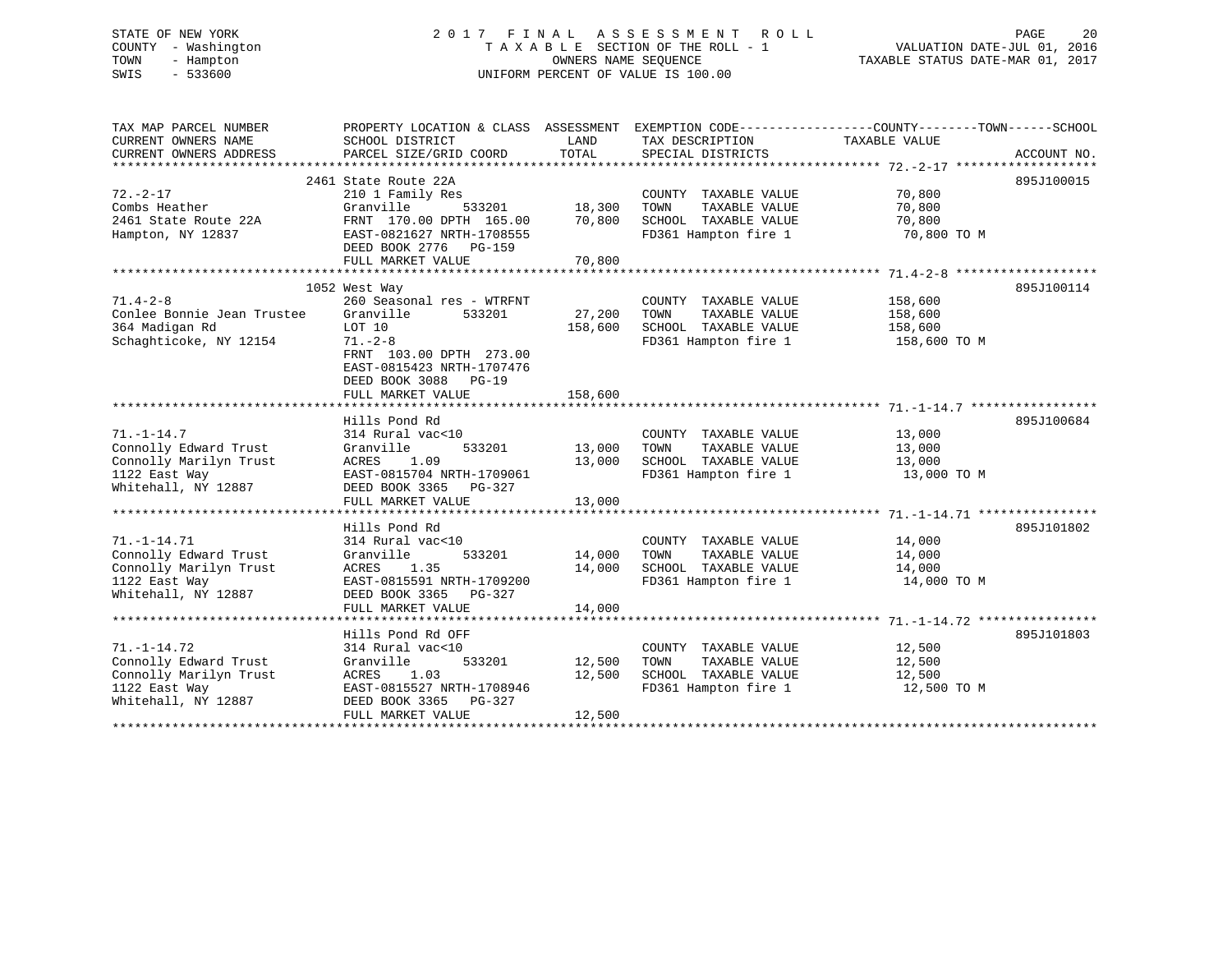# STATE OF NEW YORK 2 0 1 7 F I N A L A S S E S S M E N T R O L L PAGE 20 COUNTY - Washington T A X A B L E SECTION OF THE ROLL - 1 VALUATION DATE-JUL 01, 2016 TOWN - Hampton OWNERS NAME SEQUENCE TAXABLE STATUS DATE-MAR 01, 2017 SWIS - 533600 UNIFORM PERCENT OF VALUE IS 100.00

| TAX MAP PARCEL NUMBER<br>CURRENT OWNERS NAME<br>CURRENT OWNERS ADDRESS                                       | PROPERTY LOCATION & CLASS ASSESSMENT<br>SCHOOL DISTRICT<br>PARCEL SIZE/GRID COORD                                                                                                 | LAND<br>TOTAL              | TAX DESCRIPTION<br>SPECIAL DISTRICTS                                                          | EXEMPTION CODE-----------------COUNTY-------TOWN------SCHOOL<br>TAXABLE VALUE | ACCOUNT NO. |
|--------------------------------------------------------------------------------------------------------------|-----------------------------------------------------------------------------------------------------------------------------------------------------------------------------------|----------------------------|-----------------------------------------------------------------------------------------------|-------------------------------------------------------------------------------|-------------|
| $72. - 2 - 17$<br>Combs Heather<br>2461 State Route 22A<br>Hampton, NY 12837                                 | 2461 State Route 22A<br>210 1 Family Res<br>Granville<br>533201<br>FRNT 170.00 DPTH 165.00<br>EAST-0821627 NRTH-1708555<br>DEED BOOK 2776<br>PG-159                               | 18,300<br>70,800           | COUNTY TAXABLE VALUE<br>TOWN<br>TAXABLE VALUE<br>SCHOOL TAXABLE VALUE<br>FD361 Hampton fire 1 | 70,800<br>70,800<br>70,800<br>70,800 TO M                                     | 895J100015  |
|                                                                                                              | FULL MARKET VALUE                                                                                                                                                                 | 70,800                     |                                                                                               |                                                                               |             |
| $71.4 - 2 - 8$<br>Conlee Bonnie Jean Trustee<br>364 Madigan Rd<br>Schaghticoke, NY 12154                     | 1052 West Way<br>260 Seasonal res - WTRFNT<br>Granville<br>533201<br>LOT 10<br>$71. - 2 - 8$<br>FRNT 103.00 DPTH 273.00<br>EAST-0815423 NRTH-1707476<br>DEED BOOK 3088<br>$PG-19$ | 27,200<br>158,600          | COUNTY TAXABLE VALUE<br>TOWN<br>TAXABLE VALUE<br>SCHOOL TAXABLE VALUE<br>FD361 Hampton fire 1 | 158,600<br>158,600<br>158,600<br>158,600 TO M                                 | 895J100114  |
|                                                                                                              | FULL MARKET VALUE                                                                                                                                                                 | 158,600                    |                                                                                               |                                                                               |             |
| $71. - 1 - 14.7$<br>Connolly Edward Trust<br>Connolly Marilyn Trust<br>1122 East Way<br>Whitehall, NY 12887  | Hills Pond Rd<br>314 Rural vac<10<br>533201<br>Granville<br>ACRES<br>1.09<br>EAST-0815704 NRTH-1709061<br>DEED BOOK 3365<br>PG-327<br>FULL MARKET VALUE                           | 13,000<br>13,000<br>13,000 | COUNTY TAXABLE VALUE<br>TOWN<br>TAXABLE VALUE<br>SCHOOL TAXABLE VALUE<br>FD361 Hampton fire 1 | 13,000<br>13,000<br>13,000<br>13,000 TO M                                     | 895J100684  |
|                                                                                                              | Hills Pond Rd                                                                                                                                                                     |                            |                                                                                               |                                                                               | 895J101802  |
| $71. - 1 - 14.71$<br>Connolly Edward Trust<br>Connolly Marilyn Trust<br>1122 East Way<br>Whitehall, NY 12887 | 314 Rural vac<10<br>Granville<br>533201<br>1.35<br>ACRES<br>EAST-0815591 NRTH-1709200<br>DEED BOOK 3365<br>PG-327<br>FULL MARKET VALUE                                            | 14,000<br>14,000<br>14,000 | COUNTY TAXABLE VALUE<br>TOWN<br>TAXABLE VALUE<br>SCHOOL TAXABLE VALUE<br>FD361 Hampton fire 1 | 14,000<br>14,000<br>14,000<br>14,000 TO M                                     |             |
|                                                                                                              |                                                                                                                                                                                   |                            |                                                                                               |                                                                               |             |
| $71. - 1 - 14.72$<br>Connolly Edward Trust<br>Connolly Marilyn Trust<br>1122 East Way<br>Whitehall, NY 12887 | Hills Pond Rd OFF<br>314 Rural vac<10<br>533201<br>Granville<br>ACRES<br>1.03<br>EAST-0815527 NRTH-1708946<br>DEED BOOK 3365<br>PG-327<br>FULL MARKET VALUE                       | 12,500<br>12,500<br>12,500 | COUNTY TAXABLE VALUE<br>TOWN<br>TAXABLE VALUE<br>SCHOOL TAXABLE VALUE<br>FD361 Hampton fire 1 | 12,500<br>12,500<br>12,500<br>12,500 TO M                                     | 895J101803  |
|                                                                                                              |                                                                                                                                                                                   |                            |                                                                                               |                                                                               |             |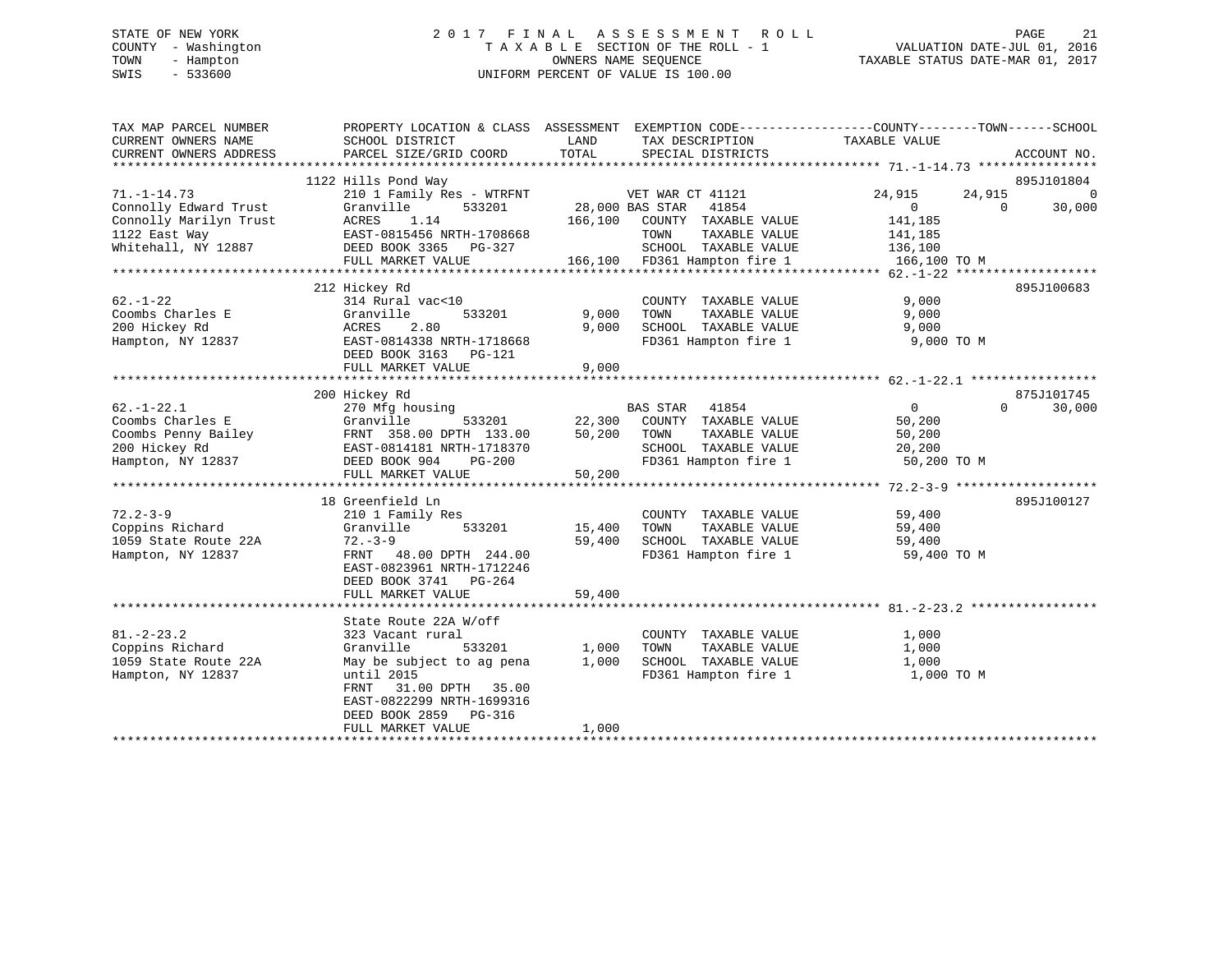# STATE OF NEW YORK 2 0 1 7 F I N A L A S S E S S M E N T R O L L PAGE 21 COUNTY - Washington T A X A B L E SECTION OF THE ROLL - 1 VALUATION DATE-JUL 01, 2016 TOWN - Hampton OWNERS NAME SEQUENCE TAXABLE STATUS DATE-MAR 01, 2017 SWIS - 533600 UNIFORM PERCENT OF VALUE IS 100.00

| TAX MAP PARCEL NUMBER<br>CURRENT OWNERS NAME | PROPERTY LOCATION & CLASS ASSESSMENT EXEMPTION CODE---------------COUNTY-------TOWN-----SCHOOL<br>SCHOOL DISTRICT | LAND               | TAX DESCRIPTION              | TAXABLE VALUE   |           |                |
|----------------------------------------------|-------------------------------------------------------------------------------------------------------------------|--------------------|------------------------------|-----------------|-----------|----------------|
| CURRENT OWNERS ADDRESS                       | PARCEL SIZE/GRID COORD                                                                                            | TOTAL              | SPECIAL DISTRICTS            |                 |           | ACCOUNT NO.    |
|                                              |                                                                                                                   |                    |                              |                 |           |                |
|                                              | 1122 Hills Pond Way                                                                                               |                    |                              |                 |           | 895J101804     |
| $71. - 1 - 14.73$                            | 210 1 Family Res - WTRFNT                                                                                         |                    | VET WAR CT 41121             | 24,915          | 24,915    | $\overline{0}$ |
| Connolly Edward Trust                        | 533201<br>Granville                                                                                               | 28,000 BAS STAR    | 41854                        | $\sim$ 0 $\sim$ | $\bigcap$ | 30,000         |
| Connolly Marilyn Trust                       | 1.14<br>ACRES                                                                                                     |                    | 166,100 COUNTY TAXABLE VALUE | 141,185         |           |                |
| 1122 East Way                                | EAST-0815456 NRTH-1708668                                                                                         |                    | TOWN<br>TAXABLE VALUE        | 141,185         |           |                |
| Whitehall, NY 12887                          | DEED BOOK 3365 PG-327                                                                                             |                    | SCHOOL TAXABLE VALUE 136,100 |                 |           |                |
|                                              | FULL MARKET VALUE                                                                                                 |                    | 166,100 FD361 Hampton fire 1 | 166,100 TO M    |           |                |
|                                              |                                                                                                                   |                    |                              |                 |           |                |
|                                              | 212 Hickey Rd                                                                                                     |                    |                              |                 |           | 895J100683     |
| $62. - 1 - 22$                               | 314 Rural vac<10                                                                                                  |                    | COUNTY TAXABLE VALUE         | 9,000           |           |                |
| Coombs Charles E                             | Granville<br>533201                                                                                               | 9,000              | TOWN<br>TAXABLE VALUE        | 9,000           |           |                |
| 200 Hickey Rd                                | 2.80<br>ACRES                                                                                                     | 9,000              | SCHOOL TAXABLE VALUE         | 9,000           |           |                |
| Hampton, NY 12837                            | EAST-0814338 NRTH-1718668                                                                                         |                    | FD361 Hampton fire 1         | 9,000 TO M      |           |                |
|                                              | DEED BOOK 3163 PG-121                                                                                             |                    |                              |                 |           |                |
|                                              | FULL MARKET VALUE                                                                                                 | 9,000              |                              |                 |           |                |
|                                              |                                                                                                                   |                    |                              |                 |           |                |
|                                              | 200 Hickey Rd                                                                                                     |                    |                              |                 |           | 875J101745     |
| $62. - 1 - 22.1$                             | 270 Mfg housing                                                                                                   |                    | BAS STAR<br>41854            | $\overline{0}$  | $\Omega$  | 30,000         |
| Coombs Charles E                             | Granville                                                                                                         |                    |                              | 50,200          |           |                |
| Coombs Penny Bailey                          | FRNT 358.00 DPTH 133.00                                                                                           | 50,200 TOWN        | TAXABLE VALUE                | 50,200          |           |                |
| 200 Hickey Rd                                | EAST-0814181 NRTH-1718370                                                                                         |                    | SCHOOL TAXABLE VALUE         | 20,200          |           |                |
| Hampton, NY 12837                            | DEED BOOK 904 PG-200                                                                                              |                    | FD361 Hampton fire 1         | 50,200 TO M     |           |                |
|                                              | FULL MARKET VALUE                                                                                                 | 50,200             |                              |                 |           |                |
|                                              |                                                                                                                   |                    |                              |                 |           |                |
|                                              | 18 Greenfield Ln                                                                                                  |                    |                              |                 |           | 895J100127     |
| $72.2 - 3 - 9$                               | 210 1 Family Res                                                                                                  |                    | COUNTY TAXABLE VALUE         | 59,400          |           |                |
| Coppins Richard                              | Granville<br>533201                                                                                               | 15,400             | TAXABLE VALUE<br>TOWN        | 59,400          |           |                |
| 1059 State Route 22A                         | $72 - 3 - 9$                                                                                                      | 59,400             | SCHOOL TAXABLE VALUE         | 59,400          |           |                |
| Hampton, NY 12837                            | FRNT 48.00 DPTH 244.00                                                                                            |                    | FD361 Hampton fire 1         | 59,400 TO M     |           |                |
|                                              | EAST-0823961 NRTH-1712246                                                                                         |                    |                              |                 |           |                |
|                                              | DEED BOOK 3741 PG-264                                                                                             |                    |                              |                 |           |                |
|                                              | FULL MARKET VALUE                                                                                                 | 59,400             |                              |                 |           |                |
|                                              |                                                                                                                   |                    |                              |                 |           |                |
|                                              | State Route 22A W/off                                                                                             |                    |                              |                 |           |                |
| $81. - 2 - 23.2$                             | 323 Vacant rural                                                                                                  |                    | COUNTY TAXABLE VALUE         | 1,000           |           |                |
| Coppins Richard                              | 533201<br>Granville                                                                                               |                    | TOWN<br>TAXABLE VALUE        | 1,000           |           |                |
| 1059 State Route 22A                         | May be subject to ag pena                                                                                         | $\frac{1}{1}$ ,000 | SCHOOL TAXABLE VALUE         | 1,000           |           |                |
| Hampton, NY 12837                            | until 2015                                                                                                        |                    | FD361 Hampton fire 1         | 1,000 TO M      |           |                |
|                                              | 31.00 DPTH 35.00<br>FRNT                                                                                          |                    |                              |                 |           |                |
|                                              | EAST-0822299 NRTH-1699316                                                                                         |                    |                              |                 |           |                |
|                                              | DEED BOOK 2859 PG-316                                                                                             |                    |                              |                 |           |                |
|                                              | FULL MARKET VALUE                                                                                                 | 1,000              |                              |                 |           |                |
|                                              |                                                                                                                   |                    |                              |                 |           |                |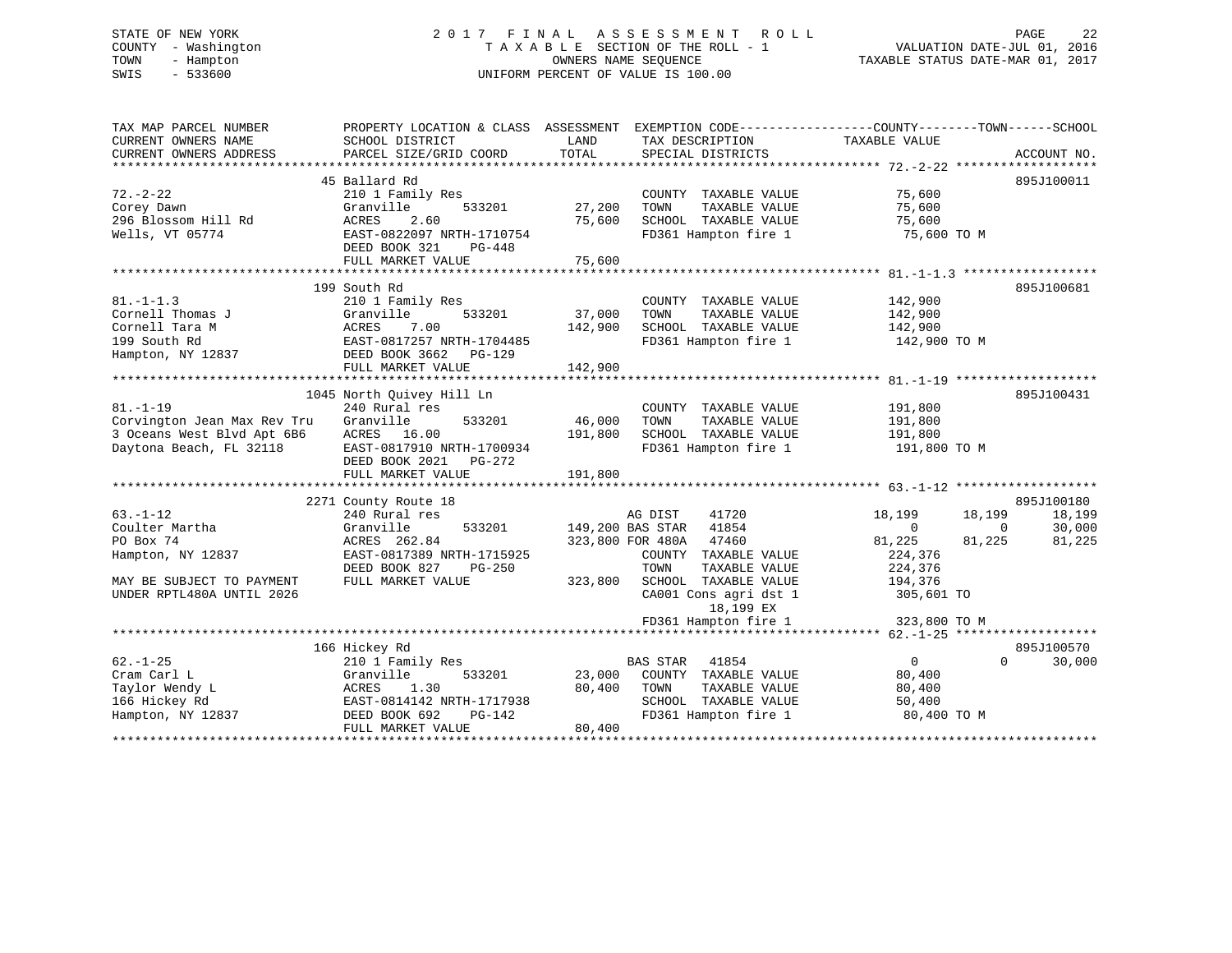# STATE OF NEW YORK 2 0 1 7 F I N A L A S S E S S M E N T R O L L PAGE 22 COUNTY - Washington T A X A B L E SECTION OF THE ROLL - 1 VALUATION DATE-JUL 01, 2016 TOWN - Hampton OWNERS NAME SEQUENCE TAXABLE STATUS DATE-MAR 01, 2017 SWIS - 533600 UNIFORM PERCENT OF VALUE IS 100.00UNIFORM PERCENT OF VALUE IS 100.00

| TAX MAP PARCEL NUMBER<br>CURRENT OWNERS NAME<br>CURRENT OWNERS ADDRESS | PROPERTY LOCATION & CLASS ASSESSMENT EXEMPTION CODE----------------COUNTY-------TOWN-----SCHOOL<br>SCHOOL DISTRICT<br>PARCEL SIZE/GRID COORD | LAND<br>TOTAL | TAX DESCRIPTION<br>SPECIAL DISTRICTS | TAXABLE VALUE    | ACCOUNT NO.        |
|------------------------------------------------------------------------|----------------------------------------------------------------------------------------------------------------------------------------------|---------------|--------------------------------------|------------------|--------------------|
|                                                                        |                                                                                                                                              |               |                                      |                  |                    |
|                                                                        | 45 Ballard Rd                                                                                                                                |               |                                      |                  | 895J100011         |
| $72. - 2 - 22$                                                         | 210 1 Family Res                                                                                                                             |               | COUNTY TAXABLE VALUE                 | 75,600           |                    |
| Corey Dawn                                                             | Granville<br>533201                                                                                                                          | 27,200        | TAXABLE VALUE<br>TOWN                | 75,600           |                    |
| 296 Blossom Hill Rd                                                    | 2.60<br>ACRES                                                                                                                                | 75,600        | SCHOOL TAXABLE VALUE                 | 75,600           |                    |
| Wells, VT 05774                                                        | EAST-0822097 NRTH-1710754                                                                                                                    |               | FD361 Hampton fire 1                 | 75,600 TO M      |                    |
|                                                                        | DEED BOOK 321<br>PG-448                                                                                                                      |               |                                      |                  |                    |
|                                                                        | FULL MARKET VALUE                                                                                                                            | 75,600        |                                      |                  |                    |
|                                                                        |                                                                                                                                              |               |                                      |                  |                    |
|                                                                        | 199 South Rd                                                                                                                                 |               |                                      |                  | 895J100681         |
| $81. - 1 - 1.3$                                                        | 210 1 Family Res                                                                                                                             |               | COUNTY TAXABLE VALUE                 | 142,900          |                    |
| Cornell Thomas J                                                       | 533201<br>Granville                                                                                                                          | 37,000        | TOWN<br>TAXABLE VALUE                | 142,900          |                    |
| Cornell Tara M                                                         | ACRES<br>7.00                                                                                                                                | 142,900       | SCHOOL TAXABLE VALUE                 | 142,900          |                    |
| 199 South Rd                                                           | EAST-0817257 NRTH-1704485                                                                                                                    |               | FD361 Hampton fire 1                 | 142,900 TO M     |                    |
| Hampton, NY 12837                                                      | DEED BOOK 3662<br>PG-129                                                                                                                     |               |                                      |                  |                    |
|                                                                        | FULL MARKET VALUE                                                                                                                            | 142,900       |                                      |                  |                    |
|                                                                        |                                                                                                                                              |               |                                      |                  |                    |
|                                                                        | 1045 North Quivey Hill Ln                                                                                                                    |               |                                      |                  | 895J100431         |
| $81. - 1 - 19$                                                         | 240 Rural res                                                                                                                                |               | COUNTY TAXABLE VALUE                 | 191,800          |                    |
| Corvington Jean Max Rev Tru                                            | Granville<br>533201                                                                                                                          | 46,000        | TOWN<br>TAXABLE VALUE                | 191,800          |                    |
| 3 Oceans West Blvd Apt 6B6                                             | ACRES 16.00                                                                                                                                  | 191,800       | SCHOOL TAXABLE VALUE                 | 191,800          |                    |
| Daytona Beach, FL 32118                                                | EAST-0817910 NRTH-1700934                                                                                                                    |               | FD361 Hampton fire 1                 | 191,800 TO M     |                    |
|                                                                        | DEED BOOK 2021<br>PG-272                                                                                                                     |               |                                      |                  |                    |
|                                                                        | FULL MARKET VALUE                                                                                                                            | 191,800       |                                      |                  |                    |
|                                                                        |                                                                                                                                              |               |                                      |                  |                    |
|                                                                        | 2271 County Route 18                                                                                                                         |               |                                      |                  | 895J100180         |
| $63. - 1 - 12$                                                         | 240 Rural res                                                                                                                                |               | AG DIST<br>41720                     | 18,199<br>18,199 | 18,199             |
| Coulter Martha                                                         | Granville<br>533201                                                                                                                          |               | 41854<br>149,200 BAS STAR            | $\overline{0}$   | 30,000<br>$\Omega$ |
| PO Box 74                                                              | ACRES 262.84                                                                                                                                 |               | 323,800 FOR 480A<br>47460            | 81,225<br>81,225 | 81,225             |
| Hampton, NY 12837                                                      | EAST-0817389 NRTH-1715925                                                                                                                    |               | COUNTY TAXABLE VALUE                 | 224,376          |                    |
|                                                                        | DEED BOOK 827<br>PG-250                                                                                                                      |               | TOWN<br>TAXABLE VALUE                | 224,376          |                    |
| MAY BE SUBJECT TO PAYMENT                                              | FULL MARKET VALUE                                                                                                                            | 323,800       | SCHOOL TAXABLE VALUE                 | 194,376          |                    |
| UNDER RPTL480A UNTIL 2026                                              |                                                                                                                                              |               | CA001 Cons agri dst 1                | 305,601 TO       |                    |
|                                                                        |                                                                                                                                              |               | 18,199 EX                            |                  |                    |
|                                                                        |                                                                                                                                              |               | FD361 Hampton fire 1                 | 323,800 TO M     |                    |
|                                                                        |                                                                                                                                              |               |                                      |                  |                    |
|                                                                        | 166 Hickey Rd                                                                                                                                |               |                                      |                  | 895J100570         |
| $62. - 1 - 25$                                                         | 210 1 Family Res                                                                                                                             |               | BAS STAR<br>41854                    | $\overline{0}$   | $\Omega$<br>30,000 |
| Cram Carl L                                                            | 533201<br>Granville                                                                                                                          | 23,000        | COUNTY TAXABLE VALUE                 | 80,400           |                    |
| Taylor Wendy L                                                         | 1.30<br>ACRES                                                                                                                                | 80,400        | TOWN<br>TAXABLE VALUE                | 80,400           |                    |
| 166 Hickey Rd                                                          | EAST-0814142 NRTH-1717938                                                                                                                    |               | SCHOOL TAXABLE VALUE                 | 50,400           |                    |
| Hampton, NY 12837                                                      | DEED BOOK 692<br>PG-142                                                                                                                      |               | FD361 Hampton fire 1                 | 80,400 TO M      |                    |
|                                                                        | FULL MARKET VALUE                                                                                                                            | 80,400        |                                      |                  |                    |
|                                                                        |                                                                                                                                              |               |                                      |                  |                    |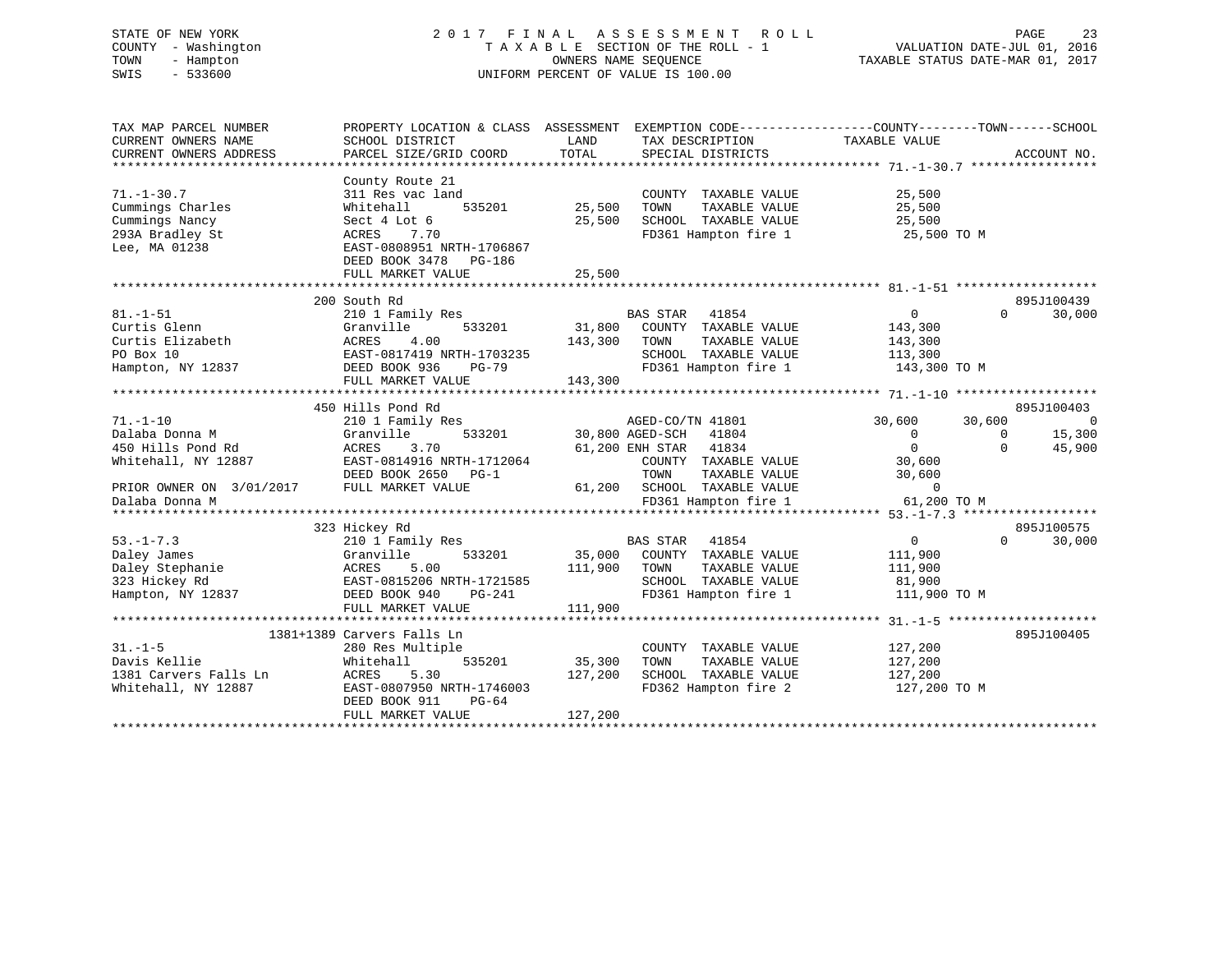# STATE OF NEW YORK 2 0 1 7 F I N A L A S S E S S M E N T R O L L PAGE 23 COUNTY - Washington T A X A B L E SECTION OF THE ROLL - 1 VALUATION DATE-JUL 01, 2016 TOWN - Hampton OWNERS NAME SEQUENCE TAXABLE STATUS DATE-MAR 01, 2017 SWIS - 533600 UNIFORM PERCENT OF VALUE IS 100.00

| TAX MAP PARCEL NUMBER<br>CURRENT OWNERS NAME<br>CURRENT OWNERS ADDRESS                     | PROPERTY LOCATION & CLASS ASSESSMENT<br>SCHOOL DISTRICT<br>PARCEL SIZE/GRID COORD                                                                                      | LAND<br>TOTAL                | EXEMPTION CODE-----------------COUNTY-------TOWN------SCHOOL<br>TAX DESCRIPTION TAXABLE VALUE<br>SPECIAL DISTRICTS               |                                                                 |                                | ACCOUNT NO.                        |
|--------------------------------------------------------------------------------------------|------------------------------------------------------------------------------------------------------------------------------------------------------------------------|------------------------------|----------------------------------------------------------------------------------------------------------------------------------|-----------------------------------------------------------------|--------------------------------|------------------------------------|
| $71. - 1 - 30.7$<br>Cummings Charles<br>Cummings Nancy<br>293A Bradley St<br>Lee, MA 01238 | County Route 21<br>311 Res vac land<br>535201<br>Whitehall<br>Sect 4 Lot 6<br>ACRES<br>7.70<br>EAST-0808951 NRTH-1706867<br>DEED BOOK 3478 PG-186<br>FULL MARKET VALUE | 25,500<br>25,500<br>25,500   | COUNTY TAXABLE VALUE<br>TOWN<br>TAXABLE VALUE<br>SCHOOL TAXABLE VALUE<br>FD361 Hampton fire 1                                    | 25,500<br>25,500<br>25,500<br>25,500 TO M                       |                                |                                    |
|                                                                                            |                                                                                                                                                                        |                              |                                                                                                                                  |                                                                 |                                |                                    |
| $81. - 1 - 51$<br>Curtis Glenn<br>Curtis Elizabeth<br>PO Box 10<br>Hampton, NY 12837       | 200 South Rd<br>210 1 Family Res<br>533201<br>Granville<br>4.00<br>ACRES<br>EAST-0817419 NRTH-1703235<br>DEED BOOK 936<br>$PG-79$<br>FULL MARKET VALUE                 | 143,300<br>143,300           | <b>BAS STAR</b><br>41854<br>31,800 COUNTY TAXABLE VALUE<br>TOWN<br>TAXABLE VALUE<br>SCHOOL TAXABLE VALUE<br>FD361 Hampton fire 1 | $\overline{0}$<br>143,300<br>143,300<br>113,300<br>143,300 TO M | $\Omega$                       | 895J100439<br>30,000               |
|                                                                                            |                                                                                                                                                                        |                              |                                                                                                                                  |                                                                 |                                |                                    |
|                                                                                            | 450 Hills Pond Rd                                                                                                                                                      |                              |                                                                                                                                  |                                                                 |                                | 895J100403                         |
| $71. - 1 - 10$<br>Dalaba Donna M<br>450 Hills Pond Rd<br>Whitehall, NY 12887               | 210 1 Family Res<br>Granville<br>533201<br>ACRES<br>3.70<br>EAST-0814916 NRTH-1712064<br>DEED BOOK 2650 PG-1                                                           |                              | AGED-CO/TN 41801<br>30,800 AGED-SCH<br>41804<br>61,200 ENH STAR 41834<br>COUNTY TAXABLE VALUE<br>TOWN<br>TAXABLE VALUE           | 30,600<br>$\Omega$<br>$\Omega$<br>30,600<br>30,600              | 30,600<br>$\Omega$<br>$\Omega$ | $\overline{0}$<br>15,300<br>45,900 |
| PRIOR OWNER ON 3/01/2017<br>Dalaba Donna M                                                 | FULL MARKET VALUE                                                                                                                                                      |                              | 61,200 SCHOOL TAXABLE VALUE<br>FD361 Hampton fire 1                                                                              | $\overline{0}$<br>61,200 TO M                                   |                                |                                    |
|                                                                                            |                                                                                                                                                                        |                              |                                                                                                                                  | **************** 53.-1-7.3 ******************                   |                                |                                    |
|                                                                                            | 323 Hickey Rd                                                                                                                                                          |                              |                                                                                                                                  |                                                                 |                                | 895J100575                         |
| $53. - 1 - 7.3$<br>Daley James<br>Daley Stephanie<br>323 Hickey Rd<br>Hampton, NY 12837    | 210 1 Family Res<br>533201<br>Granville<br>ACRES<br>5.00<br>EAST-0815206 NRTH-1721585<br>DEED BOOK 940<br>PG-241<br>FULL MARKET VALUE                                  | 35,000<br>111,900<br>111,900 | BAS STAR 41854<br>COUNTY TAXABLE VALUE<br>TOWN<br>TAXABLE VALUE<br>SCHOOL TAXABLE VALUE<br>FD361 Hampton fire 1                  | $\overline{0}$<br>111,900<br>111,900<br>81,900<br>111,900 TO M  | $\Omega$                       | 30,000                             |
|                                                                                            |                                                                                                                                                                        |                              |                                                                                                                                  |                                                                 |                                |                                    |
| $31. -1 - 5$<br>Davis Kellie<br>1381 Carvers Falls Ln<br>Whitehall, NY 12887               | 1381+1389 Carvers Falls Ln<br>280 Res Multiple<br>535201<br>Whitehall<br>5.30<br>ACRES<br>EAST-0807950 NRTH-1746003<br>DEED BOOK 911<br>$PG-64$<br>FULL MARKET VALUE   | 35,300<br>127,200<br>127,200 | COUNTY TAXABLE VALUE<br>TOWN<br>TAXABLE VALUE<br>SCHOOL TAXABLE VALUE<br>FD362 Hampton fire 2                                    | 127,200<br>127,200<br>127,200<br>127,200 TO M                   |                                | 895J100405                         |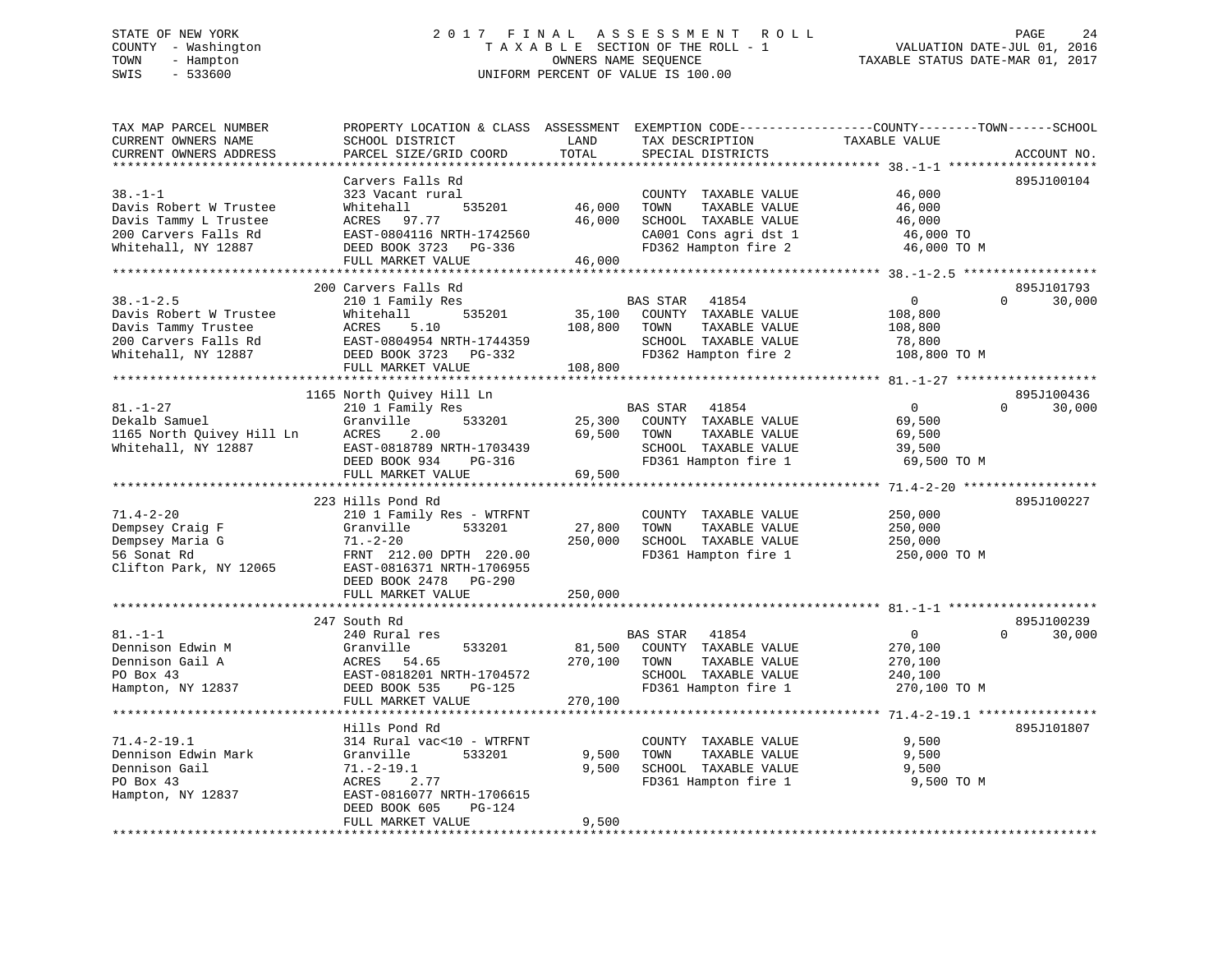# STATE OF NEW YORK 2 0 1 7 F I N A L A S S E S S M E N T R O L L PAGE 24 COUNTY - Washington T A X A B L E SECTION OF THE ROLL - 1 VALUATION DATE-JUL 01, 2016 TOWN - Hampton OWNERS NAME SEQUENCE TAXABLE STATUS DATE-MAR 01, 2017 SWIS - 533600 UNIFORM PERCENT OF VALUE IS 100.00

| TAX MAP PARCEL NUMBER<br>CURRENT OWNERS NAME<br>CURRENT OWNERS ADDRESS                                          | PROPERTY LOCATION & CLASS ASSESSMENT<br>SCHOOL DISTRICT<br>PARCEL SIZE/GRID COORD                                                                                        | LAND<br>TOTAL                | TAX DESCRIPTION<br>SPECIAL DISTRICTS                                                                                   | EXEMPTION CODE-----------------COUNTY-------TOWN------SCHOOL<br>TAXABLE VALUE | ACCOUNT NO.                      |
|-----------------------------------------------------------------------------------------------------------------|--------------------------------------------------------------------------------------------------------------------------------------------------------------------------|------------------------------|------------------------------------------------------------------------------------------------------------------------|-------------------------------------------------------------------------------|----------------------------------|
|                                                                                                                 | * * * * * * * * * * * * * * * * * *                                                                                                                                      | *********                    |                                                                                                                        |                                                                               |                                  |
| $38. - 1 - 1$<br>Davis Robert W Trustee<br>Davis Tammy L Trustee<br>200 Carvers Falls Rd<br>Whitehall, NY 12887 | Carvers Falls Rd<br>323 Vacant rural<br>Whitehall<br>535201<br>ACRES 97.77<br>EAST-0804116 NRTH-1742560<br>DEED BOOK 3723 PG-336                                         | 46,000<br>46,000             | COUNTY TAXABLE VALUE<br>TOWN<br>TAXABLE VALUE<br>SCHOOL TAXABLE VALUE<br>CA001 Cons agri dst 1<br>FD362 Hampton fire 2 | 46,000<br>46,000<br>46,000<br>46,000 TO<br>46,000 TO M                        | 895J100104                       |
| *************************                                                                                       | FULL MARKET VALUE                                                                                                                                                        | 46,000                       |                                                                                                                        |                                                                               |                                  |
| $38. - 1 - 2.5$<br>Davis Robert W Trustee<br>Davis Tammy Trustee<br>200 Carvers Falls Rd<br>Whitehall, NY 12887 | 200 Carvers Falls Rd<br>210 1 Family Res<br>Whitehall<br>535201<br>ACRES<br>5.10<br>EAST-0804954 NRTH-1744359<br>DEED BOOK 3723 PG-332                                   | 35,100<br>108,800            | BAS STAR<br>41854<br>COUNTY TAXABLE VALUE<br>TAXABLE VALUE<br>TOWN<br>SCHOOL TAXABLE VALUE<br>FD362 Hampton fire 2     | $\overline{0}$<br>108,800<br>108,800<br>78,800<br>108,800 TO M                | 895J101793<br>$\Omega$<br>30,000 |
|                                                                                                                 | FULL MARKET VALUE                                                                                                                                                        | 108,800                      |                                                                                                                        |                                                                               |                                  |
|                                                                                                                 |                                                                                                                                                                          |                              |                                                                                                                        |                                                                               | 895J100436                       |
| $81. - 1 - 27$<br>Dekalb Samuel<br>1165 North Quivey Hill Ln<br>Whitehall, NY 12887                             | 1165 North Quivey Hill Ln<br>210 1 Family Res<br>533201<br>Granville<br>ACRES<br>2.00<br>EAST-0818789 NRTH-1703439<br>DEED BOOK 934<br>PG-316<br>FULL MARKET VALUE       | 25,300<br>69,500<br>69,500   | BAS STAR<br>41854<br>COUNTY TAXABLE VALUE<br>TAXABLE VALUE<br>TOWN<br>SCHOOL TAXABLE VALUE<br>FD361 Hampton fire 1     | $\overline{0}$<br>69,500<br>69,500<br>39,500<br>69,500 TO M                   | $\Omega$<br>30,000               |
|                                                                                                                 | ************************                                                                                                                                                 |                              |                                                                                                                        |                                                                               |                                  |
| $71.4 - 2 - 20$<br>Dempsey Craig F<br>Dempsey Maria G<br>56 Sonat Rd<br>Clifton Park, NY 12065                  | 223 Hills Pond Rd<br>210 1 Family Res - WTRFNT<br>Granville<br>533201<br>$71. - 2 - 20$<br>FRNT 212.00 DPTH 220.00<br>EAST-0816371 NRTH-1706955<br>DEED BOOK 2478 PG-290 | 27,800<br>250,000            | COUNTY TAXABLE VALUE<br>TOWN<br>TAXABLE VALUE<br>SCHOOL TAXABLE VALUE<br>FD361 Hampton fire 1                          | 250,000<br>250,000<br>250,000<br>250,000 TO M                                 | 895J100227                       |
|                                                                                                                 | FULL MARKET VALUE                                                                                                                                                        | 250,000                      |                                                                                                                        |                                                                               |                                  |
| $81. - 1 - 1$<br>Dennison Edwin M<br>Dennison Gail A<br>PO Box 43<br>Hampton, NY 12837                          | 247 South Rd<br>240 Rural res<br>Granville<br>533201<br>ACRES<br>54.65<br>EAST-0818201 NRTH-1704572<br>DEED BOOK 535<br>PG-125<br>FULL MARKET VALUE                      | 81,500<br>270,100<br>270,100 | BAS STAR 41854<br>COUNTY TAXABLE VALUE<br>TAXABLE VALUE<br>TOWN<br>SCHOOL TAXABLE VALUE<br>FD361 Hampton fire 1        | $\overline{0}$<br>270,100<br>270,100<br>240,100<br>270,100 TO M               | 895J100239<br>30,000<br>$\Omega$ |
|                                                                                                                 |                                                                                                                                                                          |                              |                                                                                                                        |                                                                               |                                  |
| $71.4 - 2 - 19.1$<br>Dennison Edwin Mark<br>Dennison Gail<br>PO Box 43<br>Hampton, NY 12837                     | Hills Pond Rd<br>314 Rural vac<10 - WTRFNT<br>Granville<br>533201<br>$71.-2-19.1$<br>ACRES<br>2.77<br>EAST-0816077 NRTH-1706615<br>DEED BOOK 605<br>PG-124               | 9,500<br>9,500               | COUNTY TAXABLE VALUE<br>TOWN<br>TAXABLE VALUE<br>SCHOOL TAXABLE VALUE<br>FD361 Hampton fire 1                          | 9,500<br>9,500<br>9,500<br>9,500 TO M                                         | 895J101807                       |
|                                                                                                                 | FULL MARKET VALUE                                                                                                                                                        | 9,500                        |                                                                                                                        |                                                                               |                                  |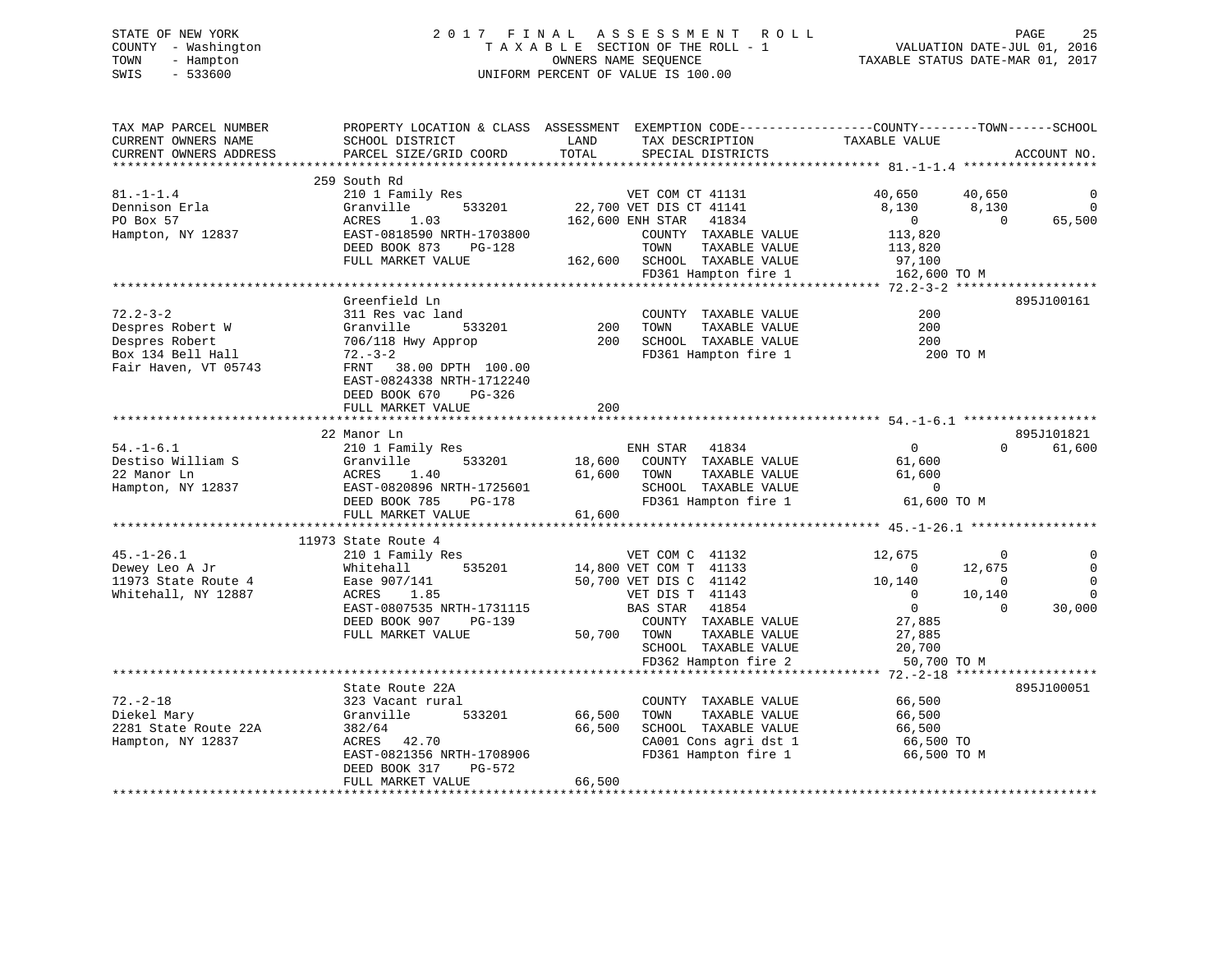# STATE OF NEW YORK 2 0 1 7 F I N A L A S S E S S M E N T R O L L PAGE 25 COUNTY - Washington T A X A B L E SECTION OF THE ROLL - 1 VALUATION DATE-JUL 01, 2016 TOWN - Hampton OWNERS NAME SEQUENCE TAXABLE STATUS DATE-MAR 01, 2017 SWIS - 533600 UNIFORM PERCENT OF VALUE IS 100.00

| TAX MAP PARCEL NUMBER<br>CURRENT OWNERS NAME<br>CURRENT OWNERS ADDRESS | PROPERTY LOCATION & CLASS ASSESSMENT EXEMPTION CODE---------------COUNTY-------TOWN-----SCHOOL<br>SCHOOL DISTRICT<br>PARCEL SIZE/GRID COORD | LAND<br>TOTAL | TAX DESCRIPTION<br>SPECIAL DISTRICTS                 | TAXABLE VALUE           |                         | ACCOUNT NO.        |
|------------------------------------------------------------------------|---------------------------------------------------------------------------------------------------------------------------------------------|---------------|------------------------------------------------------|-------------------------|-------------------------|--------------------|
|                                                                        |                                                                                                                                             |               |                                                      |                         |                         |                    |
| $81. - 1 - 1.4$                                                        | 259 South Rd<br>210 1 Family Res                                                                                                            |               | VET COM CT 41131                                     | 40,650                  | 40,650                  | $\mathbf 0$        |
| Dennison Erla<br>PO Box 57                                             | 533201<br>Granville<br>1.03<br>ACRES                                                                                                        |               | 22,700 VET DIS CT 41141<br>162,600 ENH STAR<br>41834 | 8,130<br>$\overline{0}$ | 8,130<br>$\overline{0}$ | $\Omega$<br>65,500 |
| Hampton, NY 12837                                                      | EAST-0818590 NRTH-1703800<br>DEED BOOK 873<br>PG-128                                                                                        |               | COUNTY TAXABLE VALUE<br>TOWN<br>TAXABLE VALUE        | 113,820<br>113,820      |                         |                    |
|                                                                        | FULL MARKET VALUE                                                                                                                           |               | 162,600 SCHOOL TAXABLE VALUE<br>FD361 Hampton fire 1 | 97,100<br>162,600 TO M  |                         |                    |
|                                                                        |                                                                                                                                             |               |                                                      |                         |                         |                    |
|                                                                        | Greenfield Ln                                                                                                                               |               |                                                      |                         |                         | 895J100161         |
| $72.2 - 3 - 2$                                                         | 311 Res vac land                                                                                                                            |               | COUNTY TAXABLE VALUE                                 | 200                     |                         |                    |
| Despres Robert W                                                       | Granville<br>533201                                                                                                                         | 200           | TOWN<br>TAXABLE VALUE                                | 200                     |                         |                    |
| Despres Robert                                                         | 706/118 Hwy Approp                                                                                                                          | 200           | SCHOOL TAXABLE VALUE                                 | 200                     |                         |                    |
| Box 134 Bell Hall                                                      | $72. - 3 - 2$                                                                                                                               |               | FD361 Hampton fire 1                                 | 200 TO M                |                         |                    |
| Fair Haven, VT 05743                                                   | FRNT 38.00 DPTH 100.00                                                                                                                      |               |                                                      |                         |                         |                    |
|                                                                        | EAST-0824338 NRTH-1712240                                                                                                                   |               |                                                      |                         |                         |                    |
|                                                                        | DEED BOOK 670<br>PG-326                                                                                                                     | 200           |                                                      |                         |                         |                    |
|                                                                        | FULL MARKET VALUE                                                                                                                           |               |                                                      |                         |                         |                    |
|                                                                        | 22 Manor Ln                                                                                                                                 |               |                                                      |                         |                         | 895J101821         |
| $54. - 1 - 6.1$                                                        | 210 1 Family Res                                                                                                                            |               | ENH STAR 41834                                       | $\overline{0}$          | $\Omega$                | 61,600             |
| Destiso William S                                                      | 533201<br>Granville                                                                                                                         |               | 18,600 COUNTY TAXABLE VALUE                          | 61,600                  |                         |                    |
| 22 Manor Ln                                                            | 1.40<br>ACRES                                                                                                                               | 61,600        | TOWN<br>TAXABLE VALUE                                | 61,600                  |                         |                    |
| Hampton, NY 12837                                                      | EAST-0820896 NRTH-1725601                                                                                                                   |               | SCHOOL TAXABLE VALUE                                 | $\overline{0}$          |                         |                    |
|                                                                        | DEED BOOK 785<br>PG-178                                                                                                                     |               | FD361 Hampton fire 1                                 | 61,600 TO M             |                         |                    |
|                                                                        | FULL MARKET VALUE                                                                                                                           | 61,600        |                                                      |                         |                         |                    |
|                                                                        |                                                                                                                                             |               |                                                      |                         |                         |                    |
|                                                                        | 11973 State Route 4                                                                                                                         |               |                                                      |                         |                         |                    |
| $45. - 1 - 26.1$                                                       | 210 1 Family Res                                                                                                                            |               | VET COM C 41132                                      | 12,675                  | $\Omega$                |                    |
| Dewey Leo A Jr                                                         | 535201<br>Whitehall                                                                                                                         |               | 14,800 VET COM T 41133                               | $\sim$ 0                | 12,675                  | $\mathbf 0$        |
| 11973 State Route 4                                                    | Ease 907/141                                                                                                                                |               | 50,700 VET DIS C 41142                               | 10,140                  | $\Omega$                | $\mathbf 0$        |
| Whitehall, NY 12887                                                    | ACRES 1.85                                                                                                                                  |               | VET DIS T 41143                                      | $\overline{0}$          | 10,140                  | $\Omega$           |
|                                                                        | EAST-0807535 NRTH-1731115                                                                                                                   |               | BAS STAR<br>41854                                    | $\overline{0}$          | $\Omega$                | 30,000             |
|                                                                        | DEED BOOK 907<br>PG-139                                                                                                                     |               | COUNTY TAXABLE VALUE                                 | 27,885                  |                         |                    |
|                                                                        | FULL MARKET VALUE                                                                                                                           | 50,700 TOWN   | TAXABLE VALUE                                        | 27,885                  |                         |                    |
|                                                                        |                                                                                                                                             |               | SCHOOL TAXABLE VALUE                                 | 20,700                  |                         |                    |
|                                                                        |                                                                                                                                             |               | FD362 Hampton fire 2                                 | 50,700 TO M             |                         |                    |
|                                                                        | State Route 22A                                                                                                                             |               |                                                      |                         |                         |                    |
| $72. - 2 - 18$                                                         | 323 Vacant rural                                                                                                                            |               |                                                      |                         |                         | 895J100051         |
| Diekel Mary                                                            | Granville<br>533201                                                                                                                         | 66,500        | COUNTY TAXABLE VALUE<br>TOWN<br>TAXABLE VALUE        | 66,500<br>66,500        |                         |                    |
| 2281 State Route 22A                                                   | 382/64                                                                                                                                      | 66,500        | SCHOOL TAXABLE VALUE                                 | 66,500                  |                         |                    |
| Hampton, NY 12837                                                      | ACRES 42.70                                                                                                                                 |               | CA001 Cons agri dst 1                                | 66,500 TO               |                         |                    |
|                                                                        | EAST-0821356 NRTH-1708906                                                                                                                   |               | FD361 Hampton fire 1                                 | 66,500 TO M             |                         |                    |
|                                                                        | PG-572<br>DEED BOOK 317                                                                                                                     |               |                                                      |                         |                         |                    |
|                                                                        | FULL MARKET VALUE                                                                                                                           | 66,500        |                                                      |                         |                         |                    |
|                                                                        |                                                                                                                                             |               |                                                      |                         |                         |                    |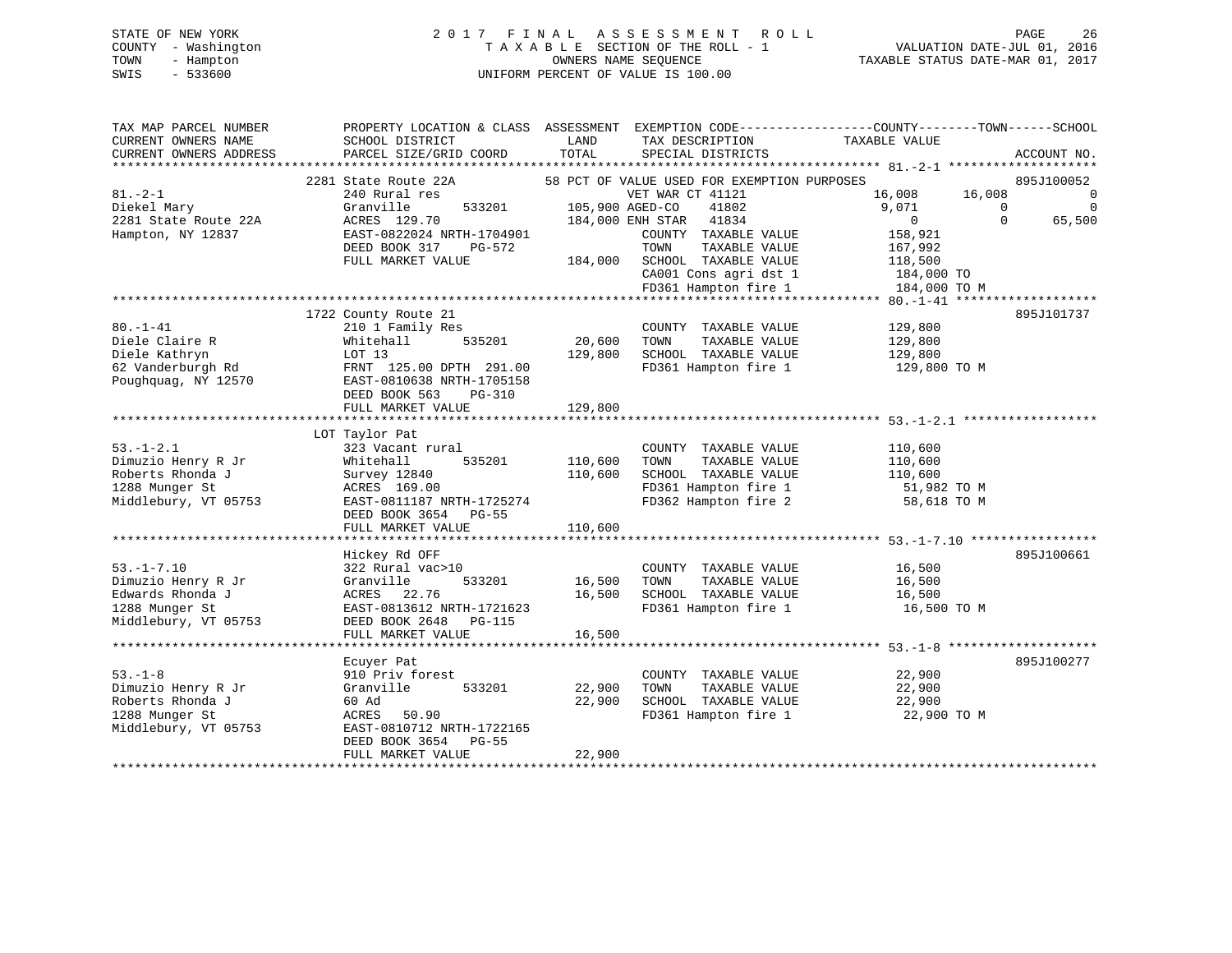# STATE OF NEW YORK 2 0 1 7 F I N A L A S S E S S M E N T R O L L PAGE 26 COUNTY - Washington T A X A B L E SECTION OF THE ROLL - 1 VALUATION DATE-JUL 01, 2016 TOWN - Hampton OWNERS NAME SEQUENCE TAXABLE STATUS DATE-MAR 01, 2017 SWIS - 533600 UNIFORM PERCENT OF VALUE IS 100.00

| TAX MAP PARCEL NUMBER<br>CURRENT OWNERS NAME<br>CURRENT OWNERS ADDRESS | PROPERTY LOCATION & CLASS ASSESSMENT EXEMPTION CODE----------------COUNTY-------TOWN------SCHOOL<br>SCHOOL DISTRICT<br>PARCEL SIZE/GRID COORD | LAND<br>TOTAL   | TAX DESCRIPTION<br>SPECIAL DISTRICTS          | TAXABLE VALUE         |          | ACCOUNT NO.    |
|------------------------------------------------------------------------|-----------------------------------------------------------------------------------------------------------------------------------------------|-----------------|-----------------------------------------------|-----------------------|----------|----------------|
|                                                                        | 2281 State Route 22A                                                                                                                          |                 | 58 PCT OF VALUE USED FOR EXEMPTION PURPOSES   |                       |          | 895J100052     |
| $81. - 2 - 1$                                                          | 240 Rural res                                                                                                                                 |                 | VET WAR CT 41121                              | 16,008                | 16,008   | $\overline{0}$ |
| Diekel Mary                                                            | Granville<br>533201                                                                                                                           | 105,900 AGED-CO | 41802                                         | 9,071                 | $\Omega$ | $\Omega$       |
| 2281 State Route 22A                                                   | ACRES 129.70                                                                                                                                  |                 | 184,000 ENH STAR 41834                        | $\overline{0}$        | $\Omega$ | 65,500         |
| Hampton, NY 12837                                                      | EAST-0822024 NRTH-1704901                                                                                                                     |                 | COUNTY TAXABLE VALUE                          | 158,921               |          |                |
|                                                                        | DEED BOOK 317<br>PG-572                                                                                                                       |                 | TOWN<br>TAXABLE VALUE                         | 167,992               |          |                |
|                                                                        | FULL MARKET VALUE                                                                                                                             | 184,000         | SCHOOL TAXABLE VALUE                          | 118,500               |          |                |
|                                                                        |                                                                                                                                               |                 | CA001 Cons agri dst 1                         | 184,000 TO            |          |                |
|                                                                        |                                                                                                                                               |                 | FD361 Hampton fire 1                          | 184,000 TO M          |          |                |
|                                                                        |                                                                                                                                               |                 |                                               |                       |          |                |
|                                                                        | 1722 County Route 21                                                                                                                          |                 |                                               |                       |          | 895J101737     |
| $80. - 1 - 41$                                                         | 210 1 Family Res                                                                                                                              |                 | COUNTY TAXABLE VALUE                          | 129,800               |          |                |
| Diele Claire R                                                         | Whitehall<br>535201                                                                                                                           | 20,600          | TAXABLE VALUE<br>TOWN                         | 129,800               |          |                |
| Diele Kathryn                                                          | LOT 13                                                                                                                                        | 129,800         | SCHOOL TAXABLE VALUE                          | 129,800               |          |                |
| 62 Vanderburgh Rd                                                      | FRNT 125.00 DPTH 291.00                                                                                                                       |                 | FD361 Hampton fire 1                          | 129,800 TO M          |          |                |
| Poughquag, NY 12570                                                    | EAST-0810638 NRTH-1705158                                                                                                                     |                 |                                               |                       |          |                |
|                                                                        | DEED BOOK 563<br>PG-310                                                                                                                       |                 |                                               |                       |          |                |
|                                                                        | FULL MARKET VALUE                                                                                                                             | 129,800         |                                               |                       |          |                |
|                                                                        |                                                                                                                                               |                 |                                               |                       |          |                |
|                                                                        | LOT Taylor Pat                                                                                                                                |                 |                                               |                       |          |                |
| $53. - 1 - 2.1$                                                        | 323 Vacant rural                                                                                                                              |                 | COUNTY TAXABLE VALUE                          | 110,600               |          |                |
| Dimuzio Henry R Jr                                                     | Whitehall<br>535201                                                                                                                           | 110,600         | TAXABLE VALUE<br>TOWN                         | 110,600               |          |                |
| Roberts Rhonda J                                                       | Survey 12840                                                                                                                                  | 110,600         | SCHOOL TAXABLE VALUE                          | 110,600               |          |                |
| 1288 Munger St                                                         | ACRES 169.00                                                                                                                                  |                 | FD361 Hampton fire 1                          | 51,982 TO M           |          |                |
| Middlebury, VT 05753                                                   | EAST-0811187 NRTH-1725274                                                                                                                     |                 | FD362 Hampton fire 2                          | 58,618 TO M           |          |                |
|                                                                        | DEED BOOK 3654 PG-55                                                                                                                          |                 |                                               |                       |          |                |
|                                                                        | FULL MARKET VALUE                                                                                                                             | 110,600         |                                               |                       |          |                |
|                                                                        | Hickey Rd OFF                                                                                                                                 |                 |                                               |                       |          | 895J100661     |
| $53. - 1 - 7.10$                                                       | 322 Rural vac>10                                                                                                                              |                 |                                               | 16,500                |          |                |
| Dimuzio Henry R Jr                                                     | Granville<br>533201                                                                                                                           | 16,500          | COUNTY TAXABLE VALUE<br>TAXABLE VALUE<br>TOWN | 16,500                |          |                |
| Edwards Rhonda J                                                       | 22.76<br>ACRES                                                                                                                                | 16,500          | SCHOOL TAXABLE VALUE                          |                       |          |                |
| 1288 Munger St                                                         | EAST-0813612 NRTH-1721623                                                                                                                     |                 | FD361 Hampton fire 1                          | 16,500<br>16,500 TO M |          |                |
| Middlebury, VT 05753                                                   | DEED BOOK 2648 PG-115                                                                                                                         |                 |                                               |                       |          |                |
|                                                                        | FULL MARKET VALUE                                                                                                                             | 16,500          |                                               |                       |          |                |
|                                                                        |                                                                                                                                               |                 |                                               |                       |          |                |
|                                                                        | Ecuyer Pat                                                                                                                                    |                 |                                               |                       |          | 895J100277     |
| $53 - 1 - 8$                                                           | 910 Priv forest                                                                                                                               |                 | COUNTY TAXABLE VALUE                          | 22,900                |          |                |
| Dimuzio Henry R Jr                                                     | Granville<br>533201                                                                                                                           | 22,900          | TOWN<br>TAXABLE VALUE                         | 22,900                |          |                |
| Roberts Rhonda J                                                       | 60 Ad                                                                                                                                         | 22,900          | SCHOOL TAXABLE VALUE                          | 22,900                |          |                |
| 1288 Munger St                                                         | ACRES<br>50.90                                                                                                                                |                 | FD361 Hampton fire 1                          | 22,900 TO M           |          |                |
| Middlebury, VT 05753                                                   | EAST-0810712 NRTH-1722165                                                                                                                     |                 |                                               |                       |          |                |
|                                                                        | DEED BOOK 3654<br><b>PG-55</b>                                                                                                                |                 |                                               |                       |          |                |
|                                                                        | FULL MARKET VALUE                                                                                                                             | 22,900          |                                               |                       |          |                |
|                                                                        |                                                                                                                                               |                 |                                               |                       |          |                |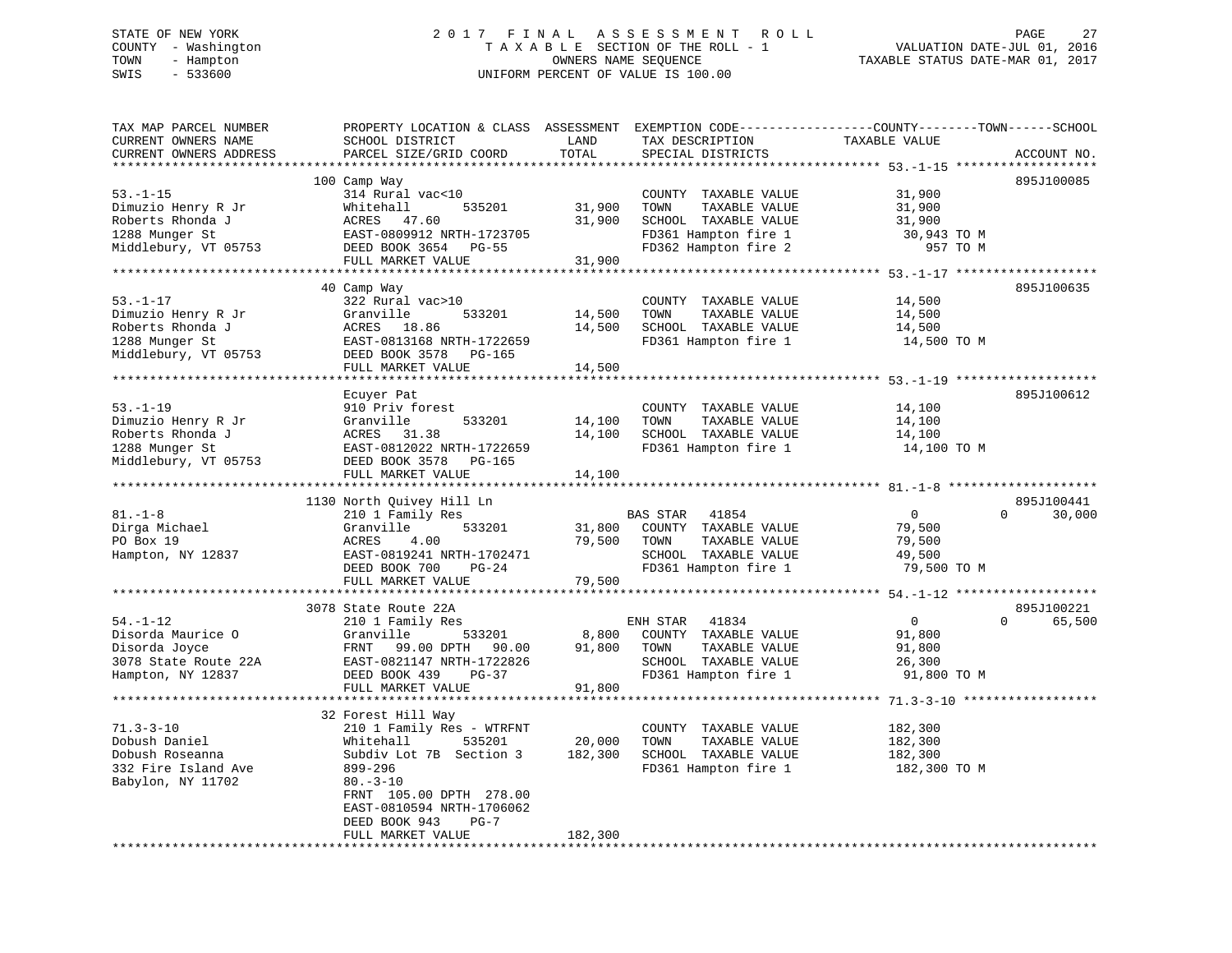#### STATE OF NEW YORK 2017 FINAL ASSESSMENT ROLL PAGE 27 COUNTY - Washington  $\begin{array}{ccc} 1 & 0 & 0 \\ -1 & 0 & 0 \end{array}$  T A X A B L E SECTION OF THE ROLL - 1 TOWN - Hampton OWNERS NAME SEQUENCE TAXABLE STATUS DATE-MAR 01, 2017 SWIS - 533600 UNIFORM PERCENT OF VALUE IS 100.00

| TAX MAP PARCEL NUMBER<br>CURRENT OWNERS NAME      | PROPERTY LOCATION & CLASS ASSESSMENT EXEMPTION CODE----------------COUNTY-------TOWN-----SCHOOL<br>SCHOOL DISTRICT | LAND        | TAX DESCRIPTION                              | TAXABLE VALUE  |                    |
|---------------------------------------------------|--------------------------------------------------------------------------------------------------------------------|-------------|----------------------------------------------|----------------|--------------------|
| CURRENT OWNERS ADDRESS<br>*********************** | PARCEL SIZE/GRID COORD<br>*******************************                                                          | TOTAL       | SPECIAL DISTRICTS                            |                | ACCOUNT NO.        |
|                                                   |                                                                                                                    |             |                                              |                | 895J100085         |
| $53. - 1 - 15$                                    | 100 Camp Way<br>314 Rural vac<10                                                                                   |             | COUNTY TAXABLE VALUE                         | 31,900         |                    |
| Dimuzio Henry R Jr                                | 535201                                                                                                             | 31,900      | TAXABLE VALUE<br>TOWN                        | 31,900         |                    |
| Roberts Rhonda J                                  | Whitehall<br>ACRES 47.60                                                                                           | 31,900      | SCHOOL TAXABLE VALUE                         | 31,900         |                    |
| 1288 Munger St                                    | EAST-0809912 NRTH-1723705                                                                                          |             |                                              | 30,943 TO M    |                    |
| Middlebury, VT 05753                              | DEED BOOK 3654 PG-55                                                                                               |             | FD361 Hampton fire 1<br>FD362 Hampton fire 2 | 957 TO M       |                    |
|                                                   | FULL MARKET VALUE                                                                                                  | 31,900      |                                              |                |                    |
|                                                   |                                                                                                                    |             |                                              |                |                    |
|                                                   | 40 Camp Way                                                                                                        |             |                                              |                | 895J100635         |
| $53. -1 - 17$                                     | 322 Rural vac>10                                                                                                   |             | COUNTY TAXABLE VALUE                         | 14,500         |                    |
| Dimuzio Henry R Jr                                | Granville<br>533201                                                                                                | 14,500      | TOWN<br>TAXABLE VALUE                        | 14,500         |                    |
| Roberts Rhonda J                                  | ACRES 18.86                                                                                                        | 14,500      | SCHOOL TAXABLE VALUE                         | 14,500         |                    |
| 1288 Munger St                                    | EAST-0813168 NRTH-1722659                                                                                          |             | FD361 Hampton fire 1                         | 14,500 TO M    |                    |
| Middlebury, VT 05753 DEED BOOK 3578 PG-165        |                                                                                                                    |             |                                              |                |                    |
|                                                   | FULL MARKET VALUE                                                                                                  | 14,500      |                                              |                |                    |
|                                                   |                                                                                                                    |             |                                              |                |                    |
|                                                   | Ecuyer Pat                                                                                                         |             |                                              |                | 895J100612         |
| $53. - 1 - 19$                                    | 910 Priv forest                                                                                                    |             | COUNTY TAXABLE VALUE                         | 14,100         |                    |
| Dimuzio Henry R Jr                                | 533201<br>Granville                                                                                                | 14,100      | TOWN<br>TAXABLE VALUE                        | 14,100         |                    |
| Roberts Rhonda J                                  | ACRES 31.38                                                                                                        | 14,100      | SCHOOL TAXABLE VALUE                         | 14,100         |                    |
| 1288 Munger St                                    | EAST-0812022 NRTH-1722659                                                                                          |             | FD361 Hampton fire 1                         | 14,100 TO M    |                    |
| Middlebury, VT 05753                              | DEED BOOK 3578 PG-165                                                                                              |             |                                              |                |                    |
|                                                   | FULL MARKET VALUE                                                                                                  | 14,100      |                                              |                |                    |
|                                                   |                                                                                                                    |             |                                              |                |                    |
|                                                   | 1130 North Quivey Hill Ln                                                                                          |             |                                              |                | 895J100441         |
| $81. - 1 - 8$                                     | 210 1 Family Res                                                                                                   |             | BAS STAR 41854                               | $\overline{0}$ | $\Omega$<br>30,000 |
| Dirga Michael                                     | Granville<br>533201                                                                                                |             | 31,800 COUNTY TAXABLE VALUE                  | 79,500         |                    |
| PO Box 19                                         | ACRES<br>4.00                                                                                                      | 79,500 TOWN | TAXABLE VALUE                                | 79,500         |                    |
| Hampton, NY 12837                                 | EAST-0819241 NRTH-1702471                                                                                          |             | SCHOOL TAXABLE VALUE                         | 49,500         |                    |
|                                                   | PG-24<br>DEED BOOK 700                                                                                             |             | FD361 Hampton fire 1                         | 79,500 TO M    |                    |
|                                                   | FULL MARKET VALUE                                                                                                  | 79,500      |                                              |                |                    |
|                                                   |                                                                                                                    |             |                                              |                |                    |
|                                                   | 3078 State Route 22A                                                                                               |             |                                              |                | 895J100221         |
| $54. - 1 - 12$                                    | 210 1 Family Res                                                                                                   |             | ENH STAR 41834                               | $\overline{0}$ | $\Omega$<br>65,500 |
| Disorda Maurice O                                 | Granville<br>533201                                                                                                | 8,800       | COUNTY TAXABLE VALUE                         | 91,800         |                    |
| Disorda Joyce                                     | FRNT 99.00 DPTH 90.00                                                                                              | 91,800      | TOWN<br>TAXABLE VALUE                        | 91,800         |                    |
| 3078 State Route 22A                              | EAST-0821147 NRTH-1722826                                                                                          |             | SCHOOL TAXABLE VALUE                         | 26,300         |                    |
| Hampton, NY 12837                                 | DEED BOOK 439<br>PG-37                                                                                             |             | FD361 Hampton fire 1                         | 91,800 TO M    |                    |
|                                                   | FULL MARKET VALUE                                                                                                  | 91,800      |                                              |                |                    |
|                                                   |                                                                                                                    |             |                                              |                |                    |
|                                                   | 32 Forest Hill Way                                                                                                 |             |                                              |                |                    |
| $71.3 - 3 - 10$                                   | 210 1 Family Res - WTRFNT                                                                                          |             | COUNTY TAXABLE VALUE                         | 182,300        |                    |
| Dobush Daniel                                     | Whitehall<br>535201                                                                                                | 20,000      | TOWN<br>TAXABLE VALUE                        | 182,300        |                    |
| Dobush Roseanna                                   | Subdiv Lot 7B Section 3                                                                                            | 182,300     | SCHOOL TAXABLE VALUE                         | 182,300        |                    |
| 332 Fire Island Ave                               | 899-296                                                                                                            |             | FD361 Hampton fire 1                         | 182,300 TO M   |                    |
| Babylon, NY 11702                                 | $80. -3 - 10$                                                                                                      |             |                                              |                |                    |
|                                                   | FRNT 105.00 DPTH 278.00                                                                                            |             |                                              |                |                    |
|                                                   | EAST-0810594 NRTH-1706062                                                                                          |             |                                              |                |                    |
|                                                   | DEED BOOK 943<br>$PG-7$                                                                                            |             |                                              |                |                    |
|                                                   | FULL MARKET VALUE                                                                                                  | 182,300     |                                              |                |                    |
|                                                   |                                                                                                                    |             |                                              |                |                    |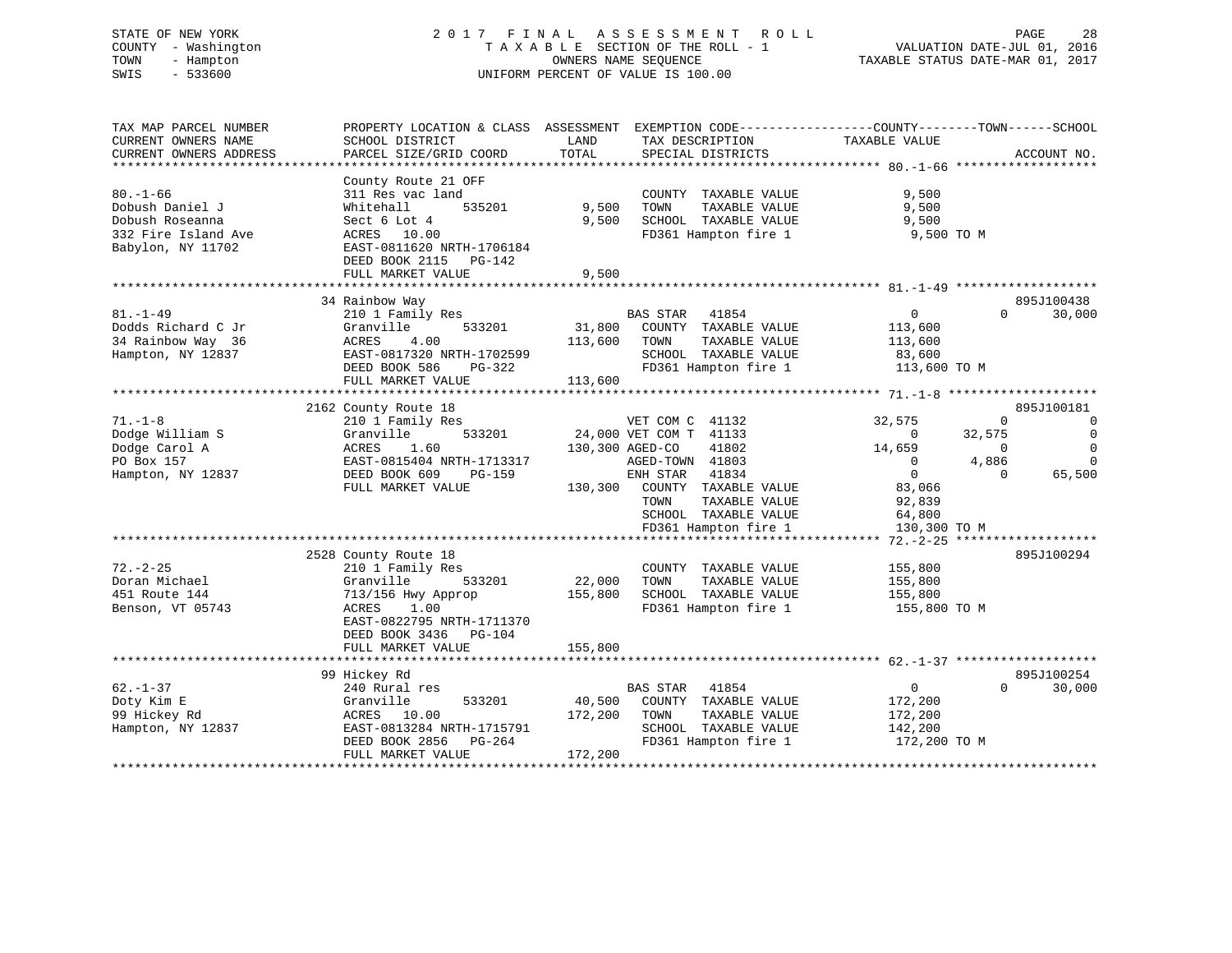# STATE OF NEW YORK 2 0 1 7 F I N A L A S S E S S M E N T R O L L PAGE 28 COUNTY - Washington T A X A B L E SECTION OF THE ROLL - 1 VALUATION DATE-JUL 01, 2016 TOWN - Hampton OWNERS NAME SEQUENCE TAXABLE STATUS DATE-MAR 01, 2017 SWIS - 533600 UNIFORM PERCENT OF VALUE IS 100.00

| TAX MAP PARCEL NUMBER<br>CURRENT OWNERS NAME<br>CURRENT OWNERS ADDRESS                           | PROPERTY LOCATION & CLASS ASSESSMENT EXEMPTION CODE---------------COUNTY-------TOWN------SCHOOL<br>SCHOOL DISTRICT<br>PARCEL SIZE/GRID COORD                                | LAND<br>TOTAL                | TAX DESCRIPTION<br>SPECIAL DISTRICTS                                                                               | TAXABLE VALUE                                                   |                                                           | ACCOUNT NO.                                           |
|--------------------------------------------------------------------------------------------------|-----------------------------------------------------------------------------------------------------------------------------------------------------------------------------|------------------------------|--------------------------------------------------------------------------------------------------------------------|-----------------------------------------------------------------|-----------------------------------------------------------|-------------------------------------------------------|
| $80. - 1 - 66$<br>Dobush Daniel J<br>Dobush Roseanna<br>332 Fire Island Ave<br>Babylon, NY 11702 | County Route 21 OFF<br>311 Res vac land<br>535201<br>Whitehall<br>Sect 6 Lot 4<br>ACRES 10.00<br>EAST-0811620 NRTH-1706184<br>DEED BOOK 2115<br>PG-142<br>FULL MARKET VALUE | 9,500<br>9,500<br>9,500      | COUNTY TAXABLE VALUE<br>TAXABLE VALUE<br>TOWN<br>SCHOOL TAXABLE VALUE<br>FD361 Hampton fire 1                      | 9,500<br>9,500<br>9,500<br>9,500 TO M                           |                                                           |                                                       |
|                                                                                                  | 34 Rainbow Way                                                                                                                                                              |                              |                                                                                                                    |                                                                 |                                                           | 895J100438                                            |
| $81. - 1 - 49$<br>Dodds Richard C Jr<br>34 Rainbow Way 36<br>Hampton, NY 12837                   | 210 1 Family Res<br>Granville<br>533201<br>ACRES<br>4.00<br>EAST-0817320 NRTH-1702599<br>DEED BOOK 586<br>PG-322<br>FULL MARKET VALUE                                       | 31,800<br>113,600<br>113,600 | BAS STAR 41854<br>COUNTY TAXABLE VALUE<br>TAXABLE VALUE<br>TOWN<br>SCHOOL TAXABLE VALUE<br>FD361 Hampton fire 1    | $\overline{0}$<br>113,600<br>113,600<br>83,600<br>113,600 TO M  | $\Omega$                                                  | 30,000                                                |
|                                                                                                  | 2162 County Route 18                                                                                                                                                        |                              |                                                                                                                    |                                                                 |                                                           | 895J100181                                            |
| $71. - 1 - 8$<br>Dodge William S<br>Dodge Carol A<br>PO Box 157                                  | 210 1 Family Res<br>Granville<br>533201<br>1.60<br>ACRES<br>EAST-0815404 NRTH-1713317                                                                                       | 130,300 AGED-CO              | VET COM C 41132<br>24,000 VET COM T 41133<br>41802<br>AGED-TOWN 41803<br>41834                                     | 32,575<br>$\Omega$<br>14,659<br>$\Omega$<br>$\overline{0}$      | $\mathbf 0$<br>32,575<br>$\mathbf 0$<br>4,886<br>$\Omega$ | $\overline{0}$<br>$\Omega$<br>$\mathbf 0$<br>$\Omega$ |
| Hampton, NY 12837                                                                                | DEED BOOK 609<br>PG-159<br>FULL MARKET VALUE                                                                                                                                | 130,300                      | ENH STAR<br>COUNTY TAXABLE VALUE<br>TOWN<br>TAXABLE VALUE<br>SCHOOL TAXABLE VALUE<br>FD361 Hampton fire 1          | 83,066<br>92,839<br>64,800<br>130,300 TO M                      |                                                           | 65,500                                                |
|                                                                                                  |                                                                                                                                                                             |                              |                                                                                                                    |                                                                 |                                                           |                                                       |
| $72. - 2 - 25$<br>Doran Michael<br>451 Route 144<br>Benson, VT 05743                             | 2528 County Route 18<br>210 1 Family Res<br>533201<br>Granville<br>713/156 Hwy Approp<br>ACRES<br>1.00<br>EAST-0822795 NRTH-1711370<br>DEED BOOK 3436 PG-104                | 22,000<br>155,800            | COUNTY TAXABLE VALUE<br>TOWN<br>TAXABLE VALUE<br>SCHOOL TAXABLE VALUE<br>FD361 Hampton fire 1                      | 155,800<br>155,800<br>155,800<br>155,800 TO M                   |                                                           | 895J100294                                            |
|                                                                                                  | FULL MARKET VALUE                                                                                                                                                           | 155,800                      |                                                                                                                    |                                                                 |                                                           |                                                       |
| $62. - 1 - 37$<br>Doty Kim E<br>99 Hickey Rd<br>Hampton, NY 12837                                | 99 Hickey Rd<br>240 Rural res<br>533201<br>Granville<br>ACRES<br>10.00<br>EAST-0813284 NRTH-1715791<br>DEED BOOK 2856<br>PG-264<br>FULL MARKET VALUE                        | 40,500<br>172,200<br>172,200 | BAS STAR<br>41854<br>COUNTY TAXABLE VALUE<br>TAXABLE VALUE<br>TOWN<br>SCHOOL TAXABLE VALUE<br>FD361 Hampton fire 1 | $\overline{0}$<br>172,200<br>172,200<br>142,200<br>172,200 TO M | $\Omega$                                                  | 895J100254<br>30,000                                  |
|                                                                                                  |                                                                                                                                                                             |                              |                                                                                                                    |                                                                 |                                                           |                                                       |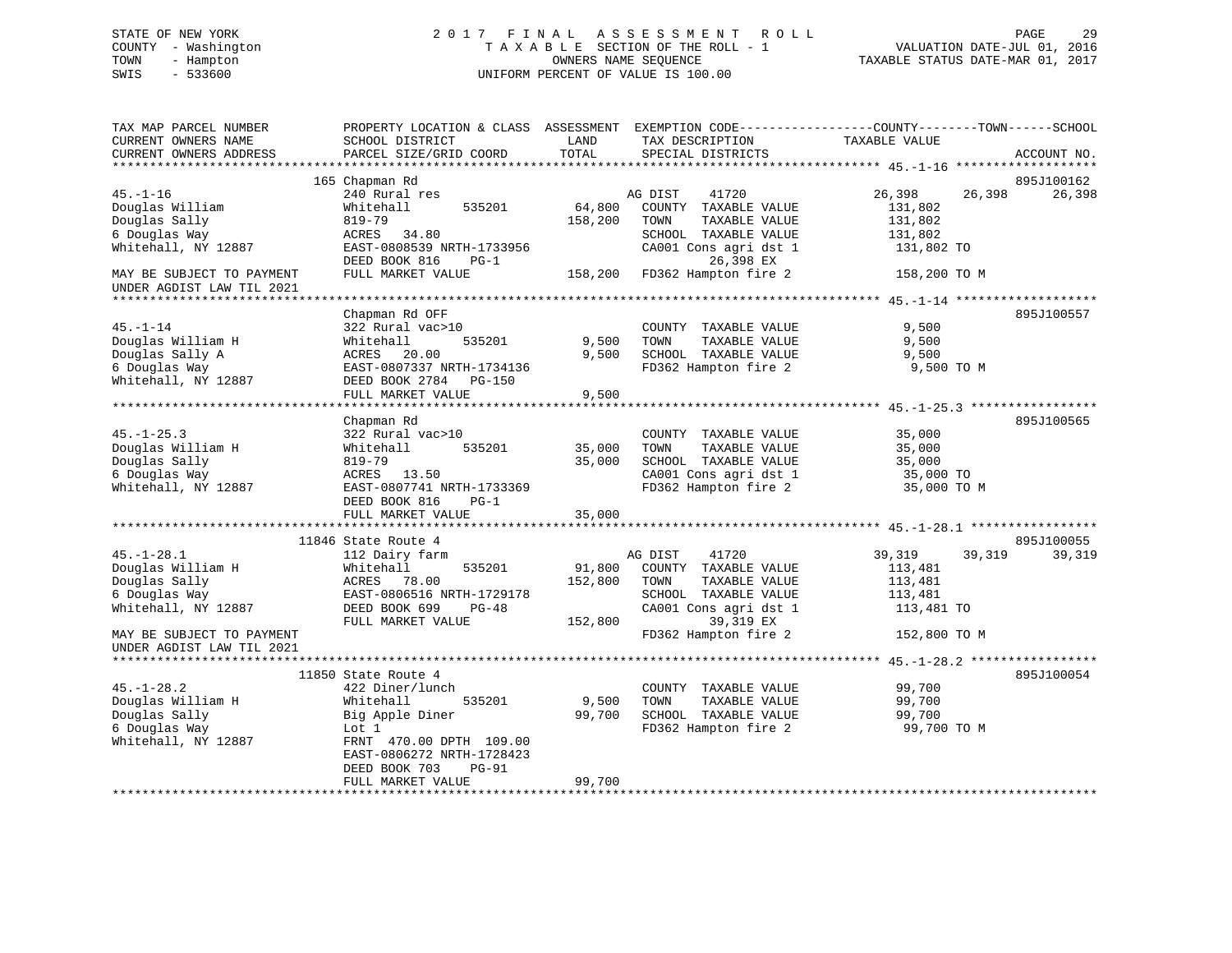# STATE OF NEW YORK 2 0 1 7 F I N A L A S S E S S M E N T R O L L PAGE 29 COUNTY - Washington T A X A B L E SECTION OF THE ROLL - 1 VALUATION DATE-JUL 01, 2016 TOWN - Hampton OWNERS NAME SEQUENCE TAXABLE STATUS DATE-MAR 01, 2017 SWIS - 533600 UNIFORM PERCENT OF VALUE IS 100.00

| TAX MAP PARCEL NUMBER<br>CURRENT OWNERS NAME<br>CURRENT OWNERS ADDRESS                                                      | PROPERTY LOCATION & CLASS ASSESSMENT EXEMPTION CODE----------------COUNTY-------TOWN------SCHOOL<br>SCHOOL DISTRICT<br>PARCEL SIZE/GRID COORD                               | LAND<br>TOTAL                | TAX DESCRIPTION<br>SPECIAL DISTRICTS                                                                                                                    | TAXABLE VALUE                                                                   | ACCOUNT NO. |
|-----------------------------------------------------------------------------------------------------------------------------|-----------------------------------------------------------------------------------------------------------------------------------------------------------------------------|------------------------------|---------------------------------------------------------------------------------------------------------------------------------------------------------|---------------------------------------------------------------------------------|-------------|
|                                                                                                                             |                                                                                                                                                                             |                              |                                                                                                                                                         |                                                                                 |             |
|                                                                                                                             | 165 Chapman Rd                                                                                                                                                              |                              |                                                                                                                                                         |                                                                                 | 895J100162  |
| $45. - 1 - 16$<br>Douglas William<br>Douglas Sally<br>6 Douglas Way<br>Whitehall, NY 12887                                  | 240 Rural res<br>535201<br>Whitehall<br>819-79<br>ACRES 34.80<br>EAST-0808539 NRTH-1733956                                                                                  | 64,800<br>158,200            | AG DIST<br>41720<br>COUNTY TAXABLE VALUE<br>TOWN<br>TAXABLE VALUE<br>SCHOOL TAXABLE VALUE<br>CA001 Cons agri dst 1                                      | 26,398<br>26,398<br>131,802<br>131,802<br>131,802<br>131,802 TO                 | 26,398      |
| MAY BE SUBJECT TO PAYMENT<br>UNDER AGDIST LAW TIL 2021                                                                      | DEED BOOK 816<br>$PG-1$<br>FULL MARKET VALUE                                                                                                                                |                              | 26,398 EX<br>158,200 FD362 Hampton fire 2                                                                                                               | 158,200 TO M                                                                    |             |
|                                                                                                                             |                                                                                                                                                                             |                              |                                                                                                                                                         |                                                                                 |             |
| $45. - 1 - 14$<br>Douglas William H<br>Douglas Sally A<br>6 Douglas Way<br>Whitehall, NY 12887                              | Chapman Rd OFF<br>322 Rural vac>10<br>Whitehall<br>535201<br>ACRES 20.00<br>EAST-0807337 NRTH-1734136<br>DEED BOOK 2784 PG-150<br>FULL MARKET VALUE                         | 9,500<br>9,500<br>9,500      | COUNTY TAXABLE VALUE<br>TAXABLE VALUE<br>TOWN<br>SCHOOL TAXABLE VALUE<br>FD362 Hampton fire 2                                                           | 9,500<br>9,500<br>9,500<br>9,500 TO M                                           | 895J100557  |
|                                                                                                                             |                                                                                                                                                                             |                              |                                                                                                                                                         |                                                                                 |             |
| $45. - 1 - 25.3$<br>Douglas William H<br>Douglas Sally<br>6 Douglas Way<br>Whitehall, NY 12887                              | Chapman Rd<br>322 Rural vac>10<br>535201<br>Whitehall<br>819-79<br>ACRES 13.50<br>EAST-0807741 NRTH-1733369<br>DEED BOOK 816<br>$PG-1$<br>FULL MARKET VALUE                 | 35,000<br>35,000<br>35,000   | COUNTY TAXABLE VALUE<br>TAXABLE VALUE<br>TOWN<br>SCHOOL TAXABLE VALUE<br>CA001 Cons agri dst 1<br>FD362 Hampton fire 2                                  | 35,000<br>35,000<br>35,000<br>35,000 TO<br>35,000 TO M                          | 895J100565  |
|                                                                                                                             | 11846 State Route 4                                                                                                                                                         |                              |                                                                                                                                                         |                                                                                 | 895J100055  |
| $45. - 1 - 28.1$<br>Douglas William H<br>Douglas Sally<br>6 Douglas Way<br>Whitehall, NY 12887<br>MAY BE SUBJECT TO PAYMENT | 112 Dairy farm<br>535201<br>Whitehall<br>ACRES 78.00<br>EAST-0806516 NRTH-1729178<br>DEED BOOK 699<br>$PG-48$<br>FULL MARKET VALUE                                          | 91,800<br>152,800<br>152,800 | AG DIST<br>41720<br>COUNTY TAXABLE VALUE<br>TAXABLE VALUE<br>TOWN<br>SCHOOL TAXABLE VALUE<br>CA001 Cons agri dst 1<br>39,319 EX<br>FD362 Hampton fire 2 | 39,319<br>39,319<br>113,481<br>113,481<br>113,481<br>113,481 TO<br>152,800 TO M | 39,319      |
| UNDER AGDIST LAW TIL 2021                                                                                                   |                                                                                                                                                                             |                              |                                                                                                                                                         |                                                                                 |             |
|                                                                                                                             |                                                                                                                                                                             |                              |                                                                                                                                                         |                                                                                 |             |
| $45. - 1 - 28.2$<br>Douglas William H<br>Douglas Sally<br>6 Douglas Way<br>Whitehall, NY 12887                              | 11850 State Route 4<br>422 Diner/lunch<br>535201<br>Whitehall<br>Big Apple Diner<br>Lot 1<br>FRNT 470.00 DPTH 109.00<br>EAST-0806272 NRTH-1728423<br>DEED BOOK 703<br>PG-91 | 9,500<br>99,700              | COUNTY TAXABLE VALUE<br>TAXABLE VALUE<br>TOWN<br>SCHOOL TAXABLE VALUE<br>FD362 Hampton fire 2                                                           | 99,700<br>99,700<br>99,700<br>99,700 TO M                                       | 895J100054  |
|                                                                                                                             | FULL MARKET VALUE                                                                                                                                                           | 99,700                       |                                                                                                                                                         |                                                                                 |             |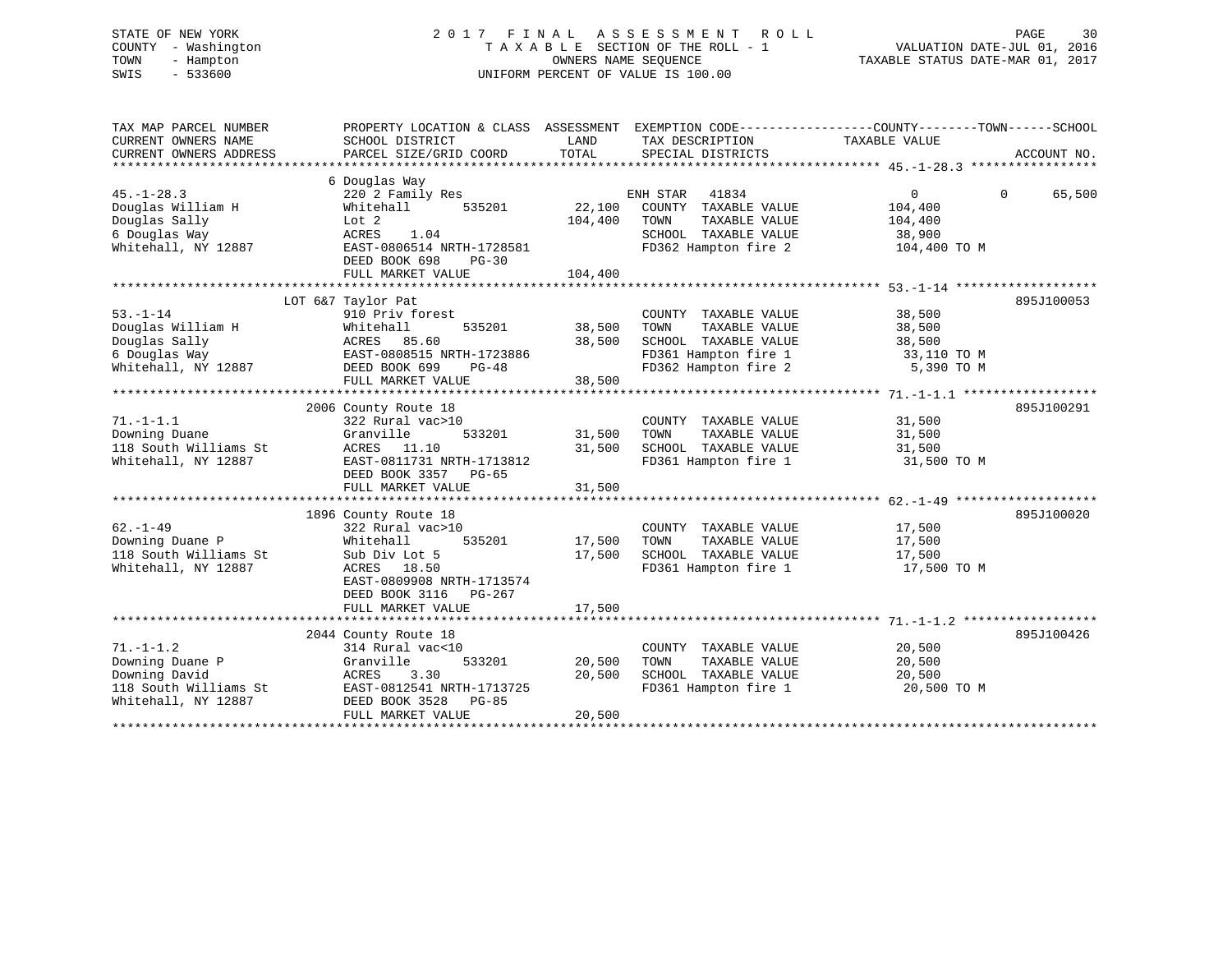# STATE OF NEW YORK 2 0 1 7 F I N A L A S S E S S M E N T R O L L PAGE 30 COUNTY - Washington T A X A B L E SECTION OF THE ROLL - 1 VALUATION DATE-JUL 01, 2016 TOWN - Hampton OWNERS NAME SEQUENCE TAXABLE STATUS DATE-MAR 01, 2017 SWIS - 533600 UNIFORM PERCENT OF VALUE IS 100.00

| TAX MAP PARCEL NUMBER<br>CURRENT OWNERS NAME<br>CURRENT OWNERS ADDRESS                              | PROPERTY LOCATION & CLASS ASSESSMENT EXEMPTION CODE---------------COUNTY-------TOWN-----SCHOOL<br>SCHOOL DISTRICT<br>PARCEL SIZE/GRID COORD                                   | LAND<br>TOTAL                | TAX DESCRIPTION TAXABLE VALUE<br>SPECIAL DISTRICTS                                                                    |                                                              | ACCOUNT NO.        |
|-----------------------------------------------------------------------------------------------------|-------------------------------------------------------------------------------------------------------------------------------------------------------------------------------|------------------------------|-----------------------------------------------------------------------------------------------------------------------|--------------------------------------------------------------|--------------------|
| $45. - 1 - 28.3$<br>Douglas William H<br>Douglas Sally<br>6 Douglas Way<br>Whitehall, NY 12887      | 6 Douglas Way<br>220 2 Family Res<br>Whitehall<br>535201<br>Lot 2<br>ACRES<br>1.04<br>EAST-0806514 NRTH-1728581<br>DEED BOOK 698<br>$PG-30$<br>FULL MARKET VALUE              | 22,100<br>104,400<br>104,400 | ENH STAR<br>41834<br>COUNTY TAXABLE VALUE<br>TAXABLE VALUE<br>TOWN<br>SCHOOL TAXABLE VALUE<br>FD362 Hampton fire 2    | $\mathbf{0}$<br>104,400<br>104,400<br>38,900<br>104,400 TO M | 65,500<br>$\Omega$ |
| $53. - 1 - 14$<br>Douglas William H<br>Douglas Sally<br>6 Douglas Way<br>Whitehall, NY 12887        | LOT 6&7 Taylor Pat<br>910 Priv forest<br>535201<br>Whitehall<br>ACRES 85.60<br>EAST-0808515 NRTH-1723886<br>DEED BOOK 699<br>$PG-48$<br>FULL MARKET VALUE                     | 38,500<br>38,500<br>38,500   | COUNTY TAXABLE VALUE<br>TAXABLE VALUE<br>TOWN<br>SCHOOL TAXABLE VALUE<br>FD361 Hampton fire 1<br>FD362 Hampton fire 2 | 38,500<br>38,500<br>38,500<br>33,110 TO M<br>5,390 TO M      | 895J100053         |
| $71. - 1 - 1.1$<br>Downing Duane<br>118 South Williams St<br>Whitehall, NY 12887                    | 2006 County Route 18<br>322 Rural vac>10<br>Granville<br>533201<br>ACRES 11.10<br>EAST-0811731 NRTH-1713812<br>DEED BOOK 3357 PG-65<br>FULL MARKET VALUE                      | 31,500<br>31,500<br>31,500   | COUNTY TAXABLE VALUE<br>TAXABLE VALUE<br>TOWN<br>SCHOOL TAXABLE VALUE<br>FD361 Hampton fire 1                         | 31,500<br>31,500<br>31,500<br>31,500 TO M                    | 895J100291         |
| $62. - 1 - 49$<br>Downing Duane P<br>118 South Williams St<br>Whitehall, NY 12887                   | 1896 County Route 18<br>322 Rural vac>10<br>535201<br>Whitehall<br>Sub Div Lot 5<br>ACRES 18.50<br>EAST-0809908 NRTH-1713574<br>DEED BOOK 3116<br>PG-267<br>FULL MARKET VALUE | 17,500<br>17,500<br>17,500   | COUNTY TAXABLE VALUE<br>TAXABLE VALUE<br>TOWN<br>SCHOOL TAXABLE VALUE<br>FD361 Hampton fire 1                         | 17,500<br>17,500<br>17,500<br>17,500 TO M                    | 895J100020         |
| $71. - 1 - 1.2$<br>Downing Duane P<br>Downing David<br>118 South Williams St<br>Whitehall, NY 12887 | 2044 County Route 18<br>314 Rural vac<10<br>533201<br>Granville<br>ACRES<br>3.30<br>EAST-0812541 NRTH-1713725<br>DEED BOOK 3528<br>PG-85<br>FULL MARKET VALUE                 | 20,500<br>20,500<br>20,500   | COUNTY TAXABLE VALUE<br>TOWN<br>TAXABLE VALUE<br>SCHOOL TAXABLE VALUE<br>FD361 Hampton fire 1                         | 20,500<br>20,500<br>20,500<br>20,500 TO M                    | 895J100426         |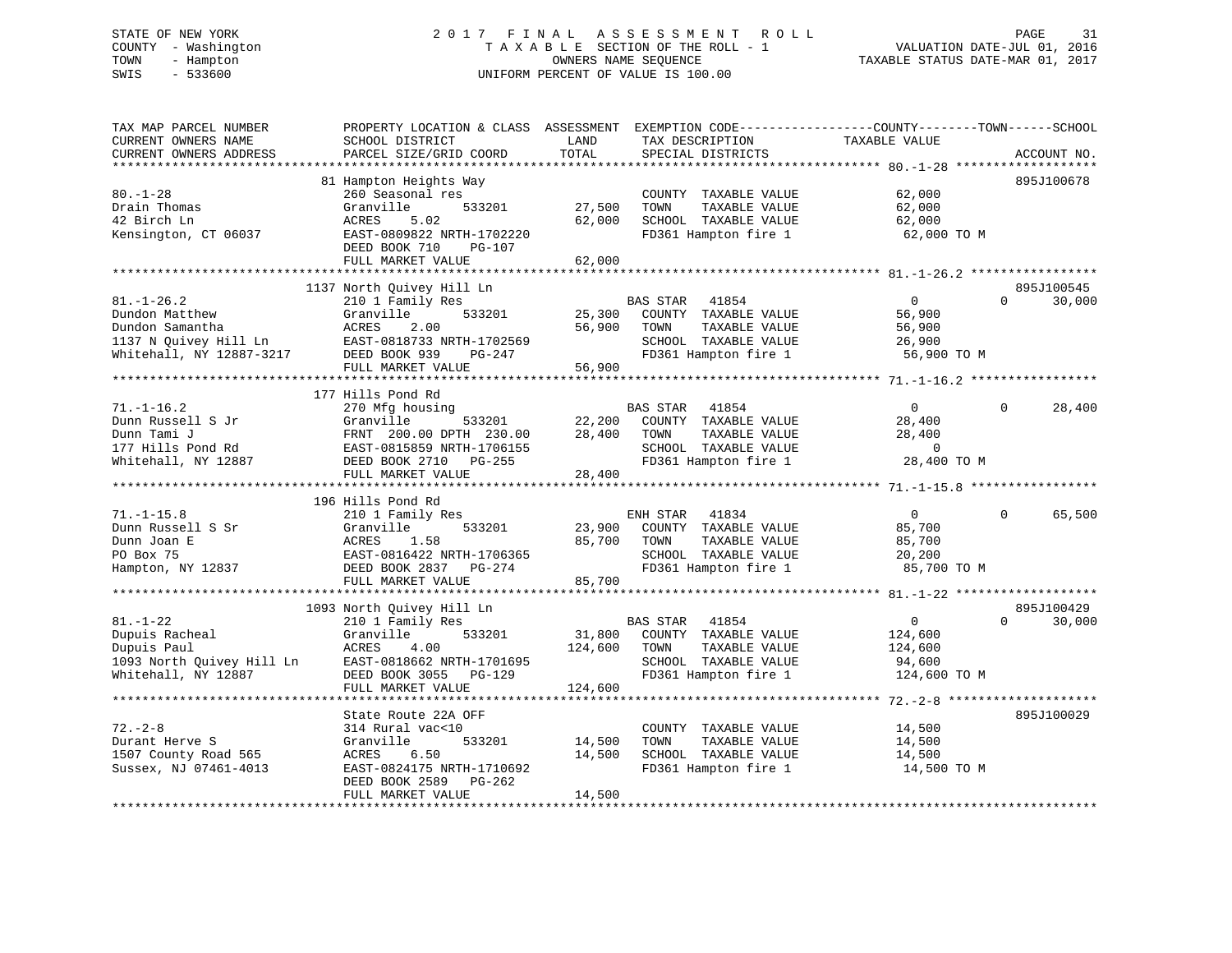# STATE OF NEW YORK 2 0 1 7 F I N A L A S S E S S M E N T R O L L PAGE 31 COUNTY - Washington T A X A B L E SECTION OF THE ROLL - 1 VALUATION DATE-JUL 01, 2016 TOWN - Hampton OWNERS NAME SEQUENCE TAXABLE STATUS DATE-MAR 01, 2017 SWIS - 533600 UNIFORM PERCENT OF VALUE IS 100.00

| TAX MAP PARCEL NUMBER<br>CURRENT OWNERS NAME<br>CURRENT OWNERS ADDRESS                                     | PROPERTY LOCATION & CLASS ASSESSMENT<br>SCHOOL DISTRICT<br>PARCEL SIZE/GRID COORD                                                                                  | LAND<br>TOTAL                | EXEMPTION CODE-----------------COUNTY-------TOWN------SCHOOL<br>TAX DESCRIPTION<br>SPECIAL DISTRICTS                      | TAXABLE VALUE                                                       | ACCOUNT NO.                      |
|------------------------------------------------------------------------------------------------------------|--------------------------------------------------------------------------------------------------------------------------------------------------------------------|------------------------------|---------------------------------------------------------------------------------------------------------------------------|---------------------------------------------------------------------|----------------------------------|
| *******************                                                                                        | ********************                                                                                                                                               |                              |                                                                                                                           |                                                                     |                                  |
| $80. - 1 - 28$<br>Drain Thomas<br>42 Birch Ln<br>Kensington, CT 06037                                      | 81 Hampton Heights Way<br>260 Seasonal res<br>Granville<br>533201<br>ACRES<br>5.02<br>EAST-0809822 NRTH-1702220<br>DEED BOOK 710<br>PG-107<br>FULL MARKET VALUE    | 27,500<br>62,000<br>62,000   | COUNTY TAXABLE VALUE<br>TOWN<br>TAXABLE VALUE<br>SCHOOL TAXABLE VALUE<br>FD361 Hampton fire 1                             | 62,000<br>62,000<br>62,000<br>62,000 TO M                           | 895J100678                       |
|                                                                                                            |                                                                                                                                                                    |                              |                                                                                                                           |                                                                     |                                  |
| $81. - 1 - 26.2$<br>Dundon Matthew<br>Dundon Samantha<br>1137 N Quivey Hill Ln<br>Whitehall, NY 12887-3217 | 1137 North Quivey Hill Ln<br>210 1 Family Res<br>Granville<br>533201<br>2.00<br>ACRES<br>EAST-0818733 NRTH-1702569<br>DEED BOOK 939<br>PG-247<br>FULL MARKET VALUE | 25,300<br>56,900<br>56,900   | BAS STAR<br>41854<br>COUNTY TAXABLE VALUE<br>TOWN<br>TAXABLE VALUE<br>SCHOOL TAXABLE VALUE<br>FD361 Hampton fire 1        | $\Omega$<br>56,900<br>56,900<br>26,900<br>56,900 TO M               | 895J100545<br>$\Omega$<br>30,000 |
|                                                                                                            | 177 Hills Pond Rd                                                                                                                                                  |                              |                                                                                                                           |                                                                     |                                  |
| $71. - 1 - 16.2$<br>Dunn Russell S Jr<br>Dunn Tami J<br>177 Hills Pond Rd<br>Whitehall, NY 12887           | 270 Mfg housing<br>Granville<br>533201<br>FRNT 200.00 DPTH 230.00<br>EAST-0815859 NRTH-1706155<br>DEED BOOK 2710 PG-255<br>FULL MARKET VALUE                       | 22,200<br>28,400<br>28,400   | <b>BAS STAR</b><br>41854<br>COUNTY TAXABLE VALUE<br>TOWN<br>TAXABLE VALUE<br>SCHOOL TAXABLE VALUE<br>FD361 Hampton fire 1 | $\overline{0}$<br>28,400<br>28,400<br>$\overline{0}$<br>28,400 TO M | 28,400<br>$\Omega$               |
|                                                                                                            |                                                                                                                                                                    |                              |                                                                                                                           |                                                                     |                                  |
| $71. - 1 - 15.8$<br>Dunn Russell S Sr<br>Dunn Joan E<br>PO Box 75<br>Hampton, NY 12837                     | 196 Hills Pond Rd<br>210 1 Family Res<br>533201<br>Granville<br>ACRES<br>1.58<br>EAST-0816422 NRTH-1706365<br>DEED BOOK 2837<br>PG-274<br>FULL MARKET VALUE        | 23,900<br>85,700<br>85,700   | ENH STAR<br>41834<br>COUNTY TAXABLE VALUE<br>TOWN<br>TAXABLE VALUE<br>SCHOOL TAXABLE VALUE<br>FD361 Hampton fire 1        | $\overline{0}$<br>85,700<br>85,700<br>20,200<br>85,700 TO M         | 65,500<br>$\Omega$               |
|                                                                                                            | 1093 North Quivey Hill Ln                                                                                                                                          |                              |                                                                                                                           |                                                                     | 895J100429                       |
| $81. - 1 - 22$<br>Dupuis Racheal<br>Dupuis Paul<br>1093 North Quivey Hill Ln<br>Whitehall, NY 12887        | 210 1 Family Res<br>Granville<br>533201<br><b>ACRES</b><br>4.00<br>EAST-0818662 NRTH-1701695<br>DEED BOOK 3055<br>PG-129<br>FULL MARKET VALUE                      | 31,800<br>124,600<br>124,600 | BAS STAR<br>41854<br>COUNTY TAXABLE VALUE<br>TAXABLE VALUE<br>TOWN<br>SCHOOL TAXABLE VALUE<br>FD361 Hampton fire 1        | $\overline{0}$<br>124,600<br>124,600<br>94,600<br>124,600 TO M      | $\Omega$<br>30,000               |
|                                                                                                            | State Route 22A OFF                                                                                                                                                |                              |                                                                                                                           |                                                                     | 895J100029                       |
| $72. - 2 - 8$<br>Durant Herve S<br>1507 County Road 565<br>Sussex, NJ 07461-4013                           | 314 Rural vac<10<br>Granville<br>533201<br>6.50<br>ACRES<br>EAST-0824175 NRTH-1710692<br>DEED BOOK 2589<br>PG-262<br>FULL MARKET VALUE                             | 14,500<br>14,500<br>14,500   | COUNTY TAXABLE VALUE<br>TOWN<br>TAXABLE VALUE<br>SCHOOL TAXABLE VALUE<br>FD361 Hampton fire 1                             | 14,500<br>14,500<br>14,500<br>14,500 TO M                           |                                  |
|                                                                                                            |                                                                                                                                                                    |                              |                                                                                                                           |                                                                     |                                  |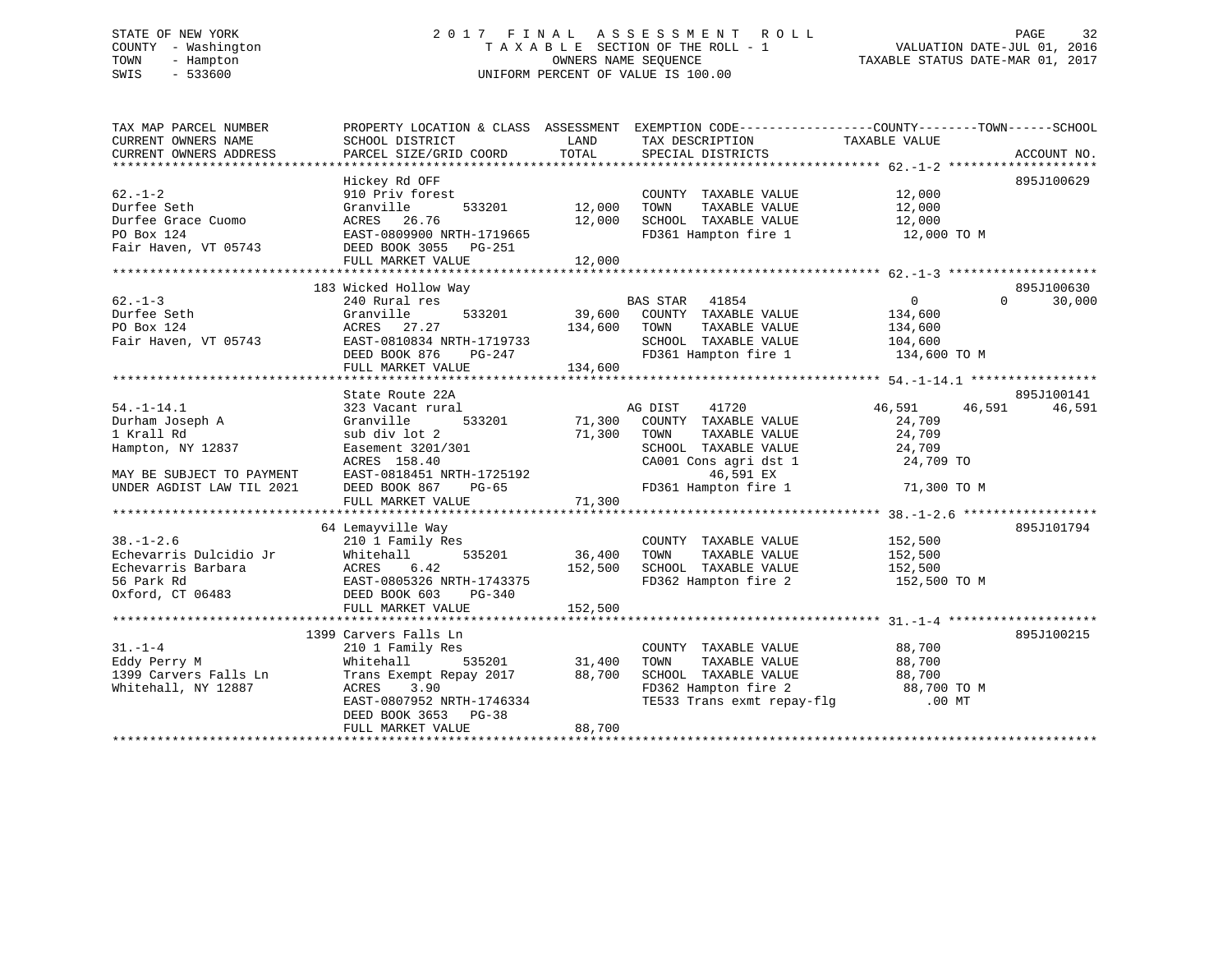# STATE OF NEW YORK 2 0 1 7 F I N A L A S S E S S M E N T R O L L PAGE 32 COUNTY - Washington T A X A B L E SECTION OF THE ROLL - 1 VALUATION DATE-JUL 01, 2016 TOWN - Hampton OWNERS NAME SEQUENCE TAXABLE STATUS DATE-MAR 01, 2017 SWIS - 533600 UNIFORM PERCENT OF VALUE IS 100.00

| TAX MAP PARCEL NUMBER<br>CURRENT OWNERS NAME | PROPERTY LOCATION & CLASS ASSESSMENT EXEMPTION CODE---------------COUNTY-------TOWN-----SCHOOL<br>SCHOOL DISTRICT | LAND          | TAX DESCRIPTION             | TAXABLE VALUE    |                    |
|----------------------------------------------|-------------------------------------------------------------------------------------------------------------------|---------------|-----------------------------|------------------|--------------------|
| CURRENT OWNERS ADDRESS                       | PARCEL SIZE/GRID COORD                                                                                            | TOTAL         | SPECIAL DISTRICTS           |                  | ACCOUNT NO.        |
|                                              |                                                                                                                   |               |                             |                  |                    |
|                                              | Hickey Rd OFF                                                                                                     |               |                             |                  | 895J100629         |
| $62. - 1 - 2$                                | 910 Priv forest                                                                                                   |               | COUNTY TAXABLE VALUE        | 12,000           |                    |
| Durfee Seth                                  | 533201<br>Granville                                                                                               | 12,000        | TAXABLE VALUE<br>TOWN       | 12,000           |                    |
| Durfee Grace Cuomo                           | ACRES 26.76                                                                                                       | 12,000        | SCHOOL TAXABLE VALUE        | 12,000           |                    |
| PO Box 124                                   | EAST-0809900 NRTH-1719665                                                                                         |               | FD361 Hampton fire 1        | 12,000 TO M      |                    |
| Fair Haven, VT 05743                         | DEED BOOK 3055 PG-251                                                                                             |               |                             |                  |                    |
|                                              | FULL MARKET VALUE                                                                                                 | 12,000        |                             |                  |                    |
|                                              |                                                                                                                   |               |                             |                  |                    |
|                                              | 183 Wicked Hollow Way                                                                                             |               |                             |                  | 895J100630         |
| $62 - 1 - 3$                                 | 240 Rural res                                                                                                     |               | BAS STAR 41854              | $\overline{0}$   | $\Omega$<br>30,000 |
| Durfee Seth                                  | Granville<br>533201                                                                                               | 39,600        | COUNTY TAXABLE VALUE        | 134,600          |                    |
| PO Box 124                                   | ACRES 27.27                                                                                                       | 134,600       | TOWN<br>TAXABLE VALUE       | 134,600          |                    |
| Fair Haven, VT 05743                         | EAST-0810834 NRTH-1719733                                                                                         |               | SCHOOL TAXABLE VALUE        | 104,600          |                    |
|                                              | DEED BOOK 876<br>PG-247                                                                                           |               | FD361 Hampton fire 1        | 134,600 TO M     |                    |
|                                              | FULL MARKET VALUE                                                                                                 | 134,600       |                             |                  |                    |
|                                              |                                                                                                                   |               |                             |                  |                    |
|                                              | State Route 22A                                                                                                   |               |                             |                  | 895J100141         |
| $54. - 1 - 14.1$                             | 323 Vacant rural                                                                                                  |               | 41720<br>AG DIST            | 46,591<br>46,591 | 46,591             |
| Durham Joseph A                              | Granville<br>533201                                                                                               |               | 71,300 COUNTY TAXABLE VALUE | 24,709           |                    |
| 1 Krall Rd                                   | sub div lot 2                                                                                                     | 71,300        | TOWN<br>TAXABLE VALUE       | 24,709           |                    |
| Hampton, NY 12837                            | Easement 3201/301                                                                                                 |               | SCHOOL TAXABLE VALUE        | 24,709           |                    |
|                                              | ACRES 158.40                                                                                                      |               | CA001 Cons agri dst 1       | 24,709 TO        |                    |
| MAY BE SUBJECT TO PAYMENT                    | EAST-0818451 NRTH-1725192                                                                                         |               | 46,591 EX                   |                  |                    |
| UNDER AGDIST LAW TIL 2021                    | DEED BOOK 867<br>PG-65                                                                                            |               | FD361 Hampton fire 1        | 71,300 TO M      |                    |
|                                              | FULL MARKET VALUE                                                                                                 | 71,300        |                             |                  |                    |
|                                              |                                                                                                                   |               |                             |                  |                    |
|                                              | 64 Lemayville Way                                                                                                 |               |                             |                  | 895J101794         |
| $38. - 1 - 2.6$                              | 210 1 Family Res                                                                                                  |               | COUNTY TAXABLE VALUE        | 152,500          |                    |
| Echevarris Dulcidio Jr                       | 535201<br>Whitehall                                                                                               | 36,400        | TOWN<br>TAXABLE VALUE       | 152,500          |                    |
| Echevarris Barbara                           | 6.42<br>ACRES                                                                                                     | 152,500       | SCHOOL TAXABLE VALUE        | 152,500          |                    |
| 56 Park Rd                                   | EAST-0805326 NRTH-1743375                                                                                         |               | FD362 Hampton fire 2        | 152,500 TO M     |                    |
| Oxford, CT 06483                             | DEED BOOK 603<br>PG-340                                                                                           |               |                             |                  |                    |
|                                              | FULL MARKET VALUE                                                                                                 | 152,500       |                             |                  |                    |
|                                              |                                                                                                                   |               |                             |                  |                    |
|                                              | 1399 Carvers Falls Ln                                                                                             |               |                             |                  | 895J100215         |
| $31. - 1 - 4$                                | 210 1 Family Res                                                                                                  |               | COUNTY TAXABLE VALUE        | 88,700           |                    |
| Eddy Perry M                                 | Whitehall                                                                                                         | 535201 31,400 | TOWN<br>TAXABLE VALUE       | 88,700           |                    |
| 1399 Carvers Falls Ln                        | Trans Exempt Repay 2017 88,700                                                                                    |               | SCHOOL TAXABLE VALUE        | 88,700           |                    |
| Whitehall, NY 12887                          | ACRES<br>3.90                                                                                                     |               | FD362 Hampton fire 2        | 88,700 TO M      |                    |
|                                              | EAST-0807952 NRTH-1746334                                                                                         |               | TE533 Trans exmt repay-flg  | $.00$ MT         |                    |
|                                              | DEED BOOK 3653 PG-38                                                                                              |               |                             |                  |                    |
|                                              | FULL MARKET VALUE                                                                                                 | 88,700        |                             |                  |                    |
|                                              |                                                                                                                   |               |                             |                  |                    |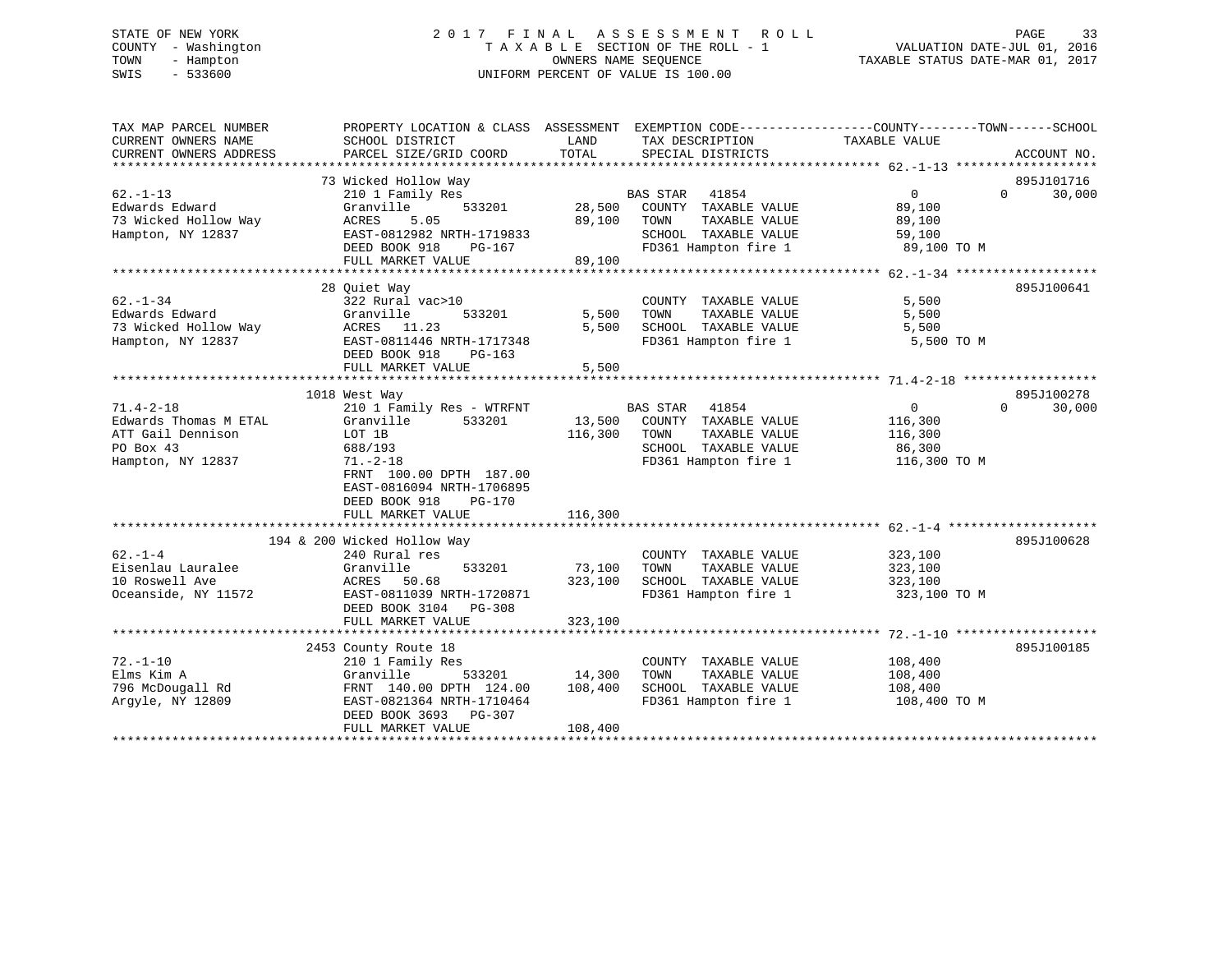# STATE OF NEW YORK 2 0 1 7 F I N A L A S S E S S M E N T R O L L PAGE 33 COUNTY - Washington T A X A B L E SECTION OF THE ROLL - 1 VALUATION DATE-JUL 01, 2016 TOWN - Hampton OWNERS NAME SEQUENCE TAXABLE STATUS DATE-MAR 01, 2017 SWIS - 533600 UNIFORM PERCENT OF VALUE IS 100.00

| TAX MAP PARCEL NUMBER<br>CURRENT OWNERS NAME<br>CURRENT OWNERS ADDRESS | PROPERTY LOCATION & CLASS ASSESSMENT EXEMPTION CODE----------------COUNTY-------TOWN-----SCHOOL<br>SCHOOL DISTRICT<br>PARCEL SIZE/GRID COORD | LAND<br>TOTAL | TAX DESCRIPTION<br>SPECIAL DISTRICTS | TAXABLE VALUE | ACCOUNT NO.                      |
|------------------------------------------------------------------------|----------------------------------------------------------------------------------------------------------------------------------------------|---------------|--------------------------------------|---------------|----------------------------------|
|                                                                        |                                                                                                                                              |               |                                      |               |                                  |
| $62 - 1 - 13$                                                          | 73 Wicked Hollow Way<br>210 1 Family Res                                                                                                     |               | <b>BAS STAR</b><br>41854             | $\Omega$      | 895J101716<br>30,000<br>$\Omega$ |
| Edwards Edward                                                         | Granville<br>533201                                                                                                                          | 28,500        | COUNTY TAXABLE VALUE                 | 89,100        |                                  |
| 73 Wicked Hollow Way                                                   | ACRES<br>5.05                                                                                                                                | 89,100        | TAXABLE VALUE<br>TOWN                | 89,100        |                                  |
| Hampton, NY 12837                                                      | EAST-0812982 NRTH-1719833                                                                                                                    |               | SCHOOL TAXABLE VALUE                 | 59,100        |                                  |
|                                                                        | DEED BOOK 918<br>PG-167                                                                                                                      |               | FD361 Hampton fire 1                 | 89,100 TO M   |                                  |
|                                                                        | FULL MARKET VALUE                                                                                                                            | 89,100        |                                      |               |                                  |
|                                                                        |                                                                                                                                              |               |                                      |               |                                  |
|                                                                        | 28 Quiet Way                                                                                                                                 |               |                                      |               | 895J100641                       |
| $62 - 1 - 34$                                                          | 322 Rural vac>10                                                                                                                             |               | COUNTY TAXABLE VALUE                 | 5,500         |                                  |
| Edwards Edward                                                         | 533201<br>Granville                                                                                                                          | 5,500         | TAXABLE VALUE<br>TOWN                | 5,500         |                                  |
| 73 Wicked Hollow Way                                                   | ACRES 11.23                                                                                                                                  | 5,500         | SCHOOL TAXABLE VALUE                 | 5,500         |                                  |
| Hampton, NY 12837                                                      | EAST-0811446 NRTH-1717348                                                                                                                    |               | FD361 Hampton fire 1                 | 5,500 TO M    |                                  |
|                                                                        | DEED BOOK 918<br>$PG-163$                                                                                                                    |               |                                      |               |                                  |
|                                                                        | FULL MARKET VALUE                                                                                                                            | 5,500         |                                      |               |                                  |
|                                                                        |                                                                                                                                              |               |                                      |               |                                  |
|                                                                        | 1018 West Way                                                                                                                                |               |                                      |               | 895J100278                       |
| $71.4 - 2 - 18$                                                        | 210 1 Family Res - WTRFNT                                                                                                                    |               | BAS STAR 41854                       | $\Omega$      | $\Omega$<br>30,000               |
| Edwards Thomas M ETAL                                                  | 533201<br>Granville                                                                                                                          | 13,500        | COUNTY TAXABLE VALUE                 | 116,300       |                                  |
| ATT Gail Dennison                                                      | LOT 1B                                                                                                                                       | 116,300       | TOWN<br>TAXABLE VALUE                | 116,300       |                                  |
| PO Box 43                                                              | 688/193                                                                                                                                      |               | SCHOOL TAXABLE VALUE                 | 86,300        |                                  |
| Hampton, NY 12837                                                      | $71. - 2 - 18$                                                                                                                               |               | FD361 Hampton fire 1                 | 116,300 TO M  |                                  |
|                                                                        | FRNT 100.00 DPTH 187.00                                                                                                                      |               |                                      |               |                                  |
|                                                                        | EAST-0816094 NRTH-1706895                                                                                                                    |               |                                      |               |                                  |
|                                                                        | DEED BOOK 918<br>PG-170                                                                                                                      |               |                                      |               |                                  |
|                                                                        | FULL MARKET VALUE                                                                                                                            | 116,300       |                                      |               |                                  |
|                                                                        |                                                                                                                                              |               |                                      |               |                                  |
|                                                                        | 194 & 200 Wicked Hollow Way                                                                                                                  |               |                                      |               | 895J100628                       |
| $62 - 1 - 4$                                                           | 240 Rural res                                                                                                                                |               | COUNTY TAXABLE VALUE                 | 323,100       |                                  |
| Eisenlau Lauralee                                                      | Granville<br>533201                                                                                                                          | 73,100        | TOWN<br>TAXABLE VALUE                | 323,100       |                                  |
| 10 Roswell Ave                                                         | ACRES 50.68                                                                                                                                  | 323,100       | SCHOOL TAXABLE VALUE                 | 323,100       |                                  |
| Oceanside, NY 11572                                                    | EAST-0811039 NRTH-1720871                                                                                                                    |               | FD361 Hampton fire 1                 | 323,100 TO M  |                                  |
|                                                                        | DEED BOOK 3104 PG-308                                                                                                                        |               |                                      |               |                                  |
|                                                                        | FULL MARKET VALUE                                                                                                                            | 323,100       |                                      |               |                                  |
|                                                                        |                                                                                                                                              |               |                                      |               |                                  |
|                                                                        | 2453 County Route 18                                                                                                                         |               |                                      |               | 895J100185                       |
| $72. - 1 - 10$                                                         | 210 1 Family Res                                                                                                                             |               | COUNTY TAXABLE VALUE                 | 108,400       |                                  |
| Elms Kim A                                                             | Granville<br>533201                                                                                                                          | 14,300        | TAXABLE VALUE<br>TOWN                | 108,400       |                                  |
| 796 McDougall Rd                                                       | FRNT 140.00 DPTH 124.00                                                                                                                      | 108,400       | SCHOOL TAXABLE VALUE                 | 108,400       |                                  |
| Argyle, NY 12809                                                       | EAST-0821364 NRTH-1710464                                                                                                                    |               | FD361 Hampton fire 1                 | 108,400 TO M  |                                  |
|                                                                        | DEED BOOK 3693 PG-307                                                                                                                        |               |                                      |               |                                  |
|                                                                        | FULL MARKET VALUE                                                                                                                            | 108,400       |                                      |               |                                  |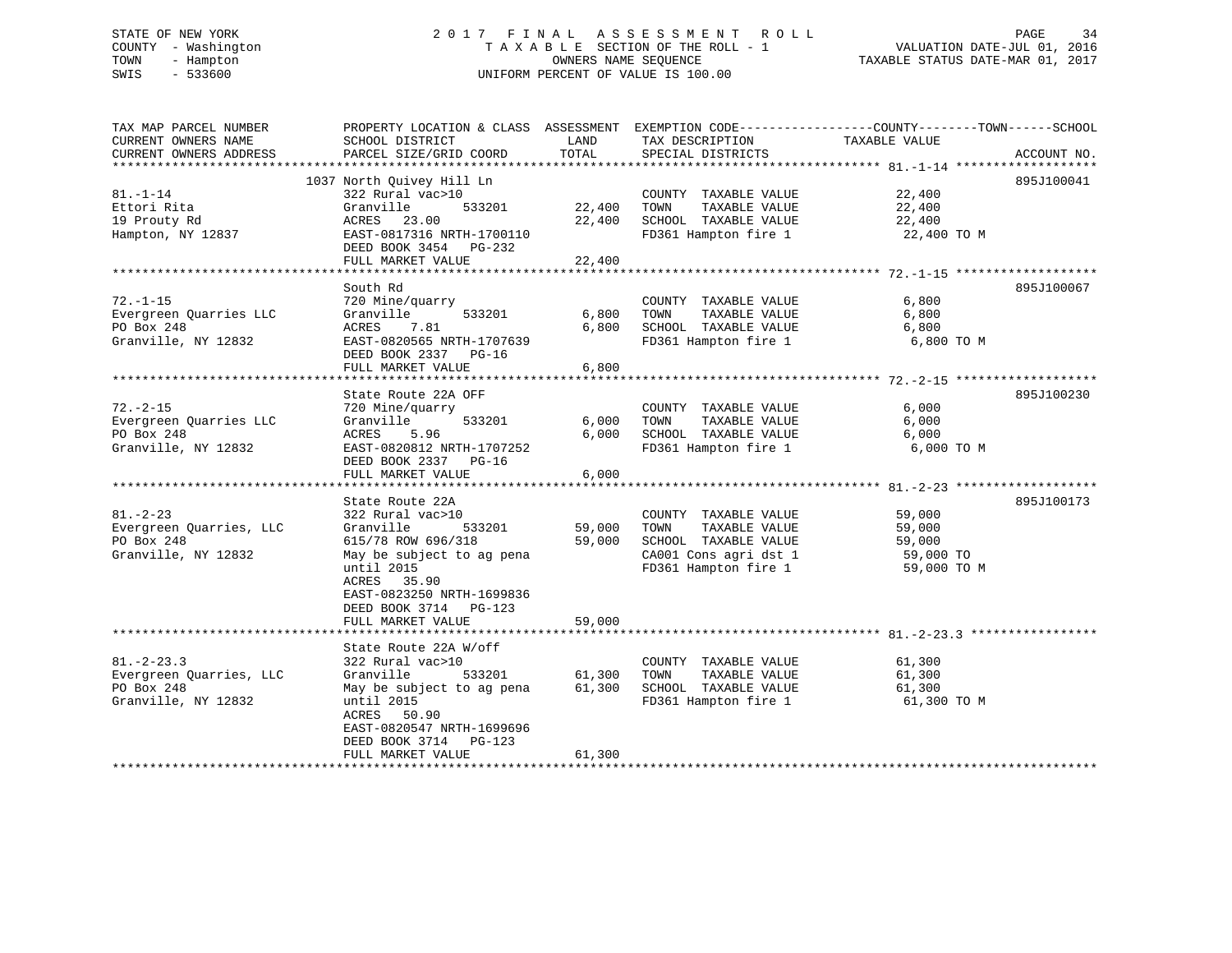# STATE OF NEW YORK 2 0 1 7 F I N A L A S S E S S M E N T R O L L PAGE 34 COUNTY - Washington T A X A B L E SECTION OF THE ROLL - 1 VALUATION DATE-JUL 01, 2016 TOWN - Hampton OWNERS NAME SEQUENCE TAXABLE STATUS DATE-MAR 01, 2017 SWIS - 533600 UNIFORM PERCENT OF VALUE IS 100.00

| TAX MAP PARCEL NUMBER<br>CURRENT OWNERS NAME<br>CURRENT OWNERS ADDRESS | PROPERTY LOCATION & CLASS ASSESSMENT EXEMPTION CODE---------------COUNTY-------TOWN-----SCHOOL<br>SCHOOL DISTRICT<br>PARCEL SIZE/GRID COORD | LAND<br>TOTAL | TAX DESCRIPTION<br>SPECIAL DISTRICTS         | TAXABLE VALUE | ACCOUNT NO. |
|------------------------------------------------------------------------|---------------------------------------------------------------------------------------------------------------------------------------------|---------------|----------------------------------------------|---------------|-------------|
|                                                                        |                                                                                                                                             |               |                                              |               |             |
|                                                                        | 1037 North Ouivey Hill Ln                                                                                                                   |               |                                              |               | 895J100041  |
| $81. - 1 - 14$                                                         | 322 Rural vac>10                                                                                                                            |               | COUNTY TAXABLE VALUE                         | 22,400        |             |
| Ettori Rita                                                            | Granville<br>533201                                                                                                                         | 22,400        | TOWN<br>TAXABLE VALUE                        | 22,400        |             |
| 19 Prouty Rd                                                           | ACRES 23.00                                                                                                                                 | 22,400        | SCHOOL TAXABLE VALUE                         | 22,400        |             |
| Hampton, NY 12837                                                      | EAST-0817316 NRTH-1700110<br>DEED BOOK 3454 PG-232                                                                                          |               | FD361 Hampton fire 1                         | 22,400 TO M   |             |
|                                                                        | FULL MARKET VALUE                                                                                                                           | 22,400        |                                              |               |             |
|                                                                        |                                                                                                                                             |               |                                              |               |             |
|                                                                        | South Rd                                                                                                                                    |               |                                              |               | 895J100067  |
| $72. - 1 - 15$                                                         | 720 Mine/quarry                                                                                                                             |               | COUNTY TAXABLE VALUE                         | 6,800         |             |
| Evergreen Quarries LLC                                                 | Granville<br>533201                                                                                                                         | 6,800         | TAXABLE VALUE<br>TOWN                        | 6,800         |             |
| PO Box 248                                                             | ACRES<br>7.81                                                                                                                               | 6,800         | SCHOOL TAXABLE VALUE                         | 6,800         |             |
| Granville, NY 12832                                                    | EAST-0820565 NRTH-1707639                                                                                                                   |               | FD361 Hampton fire 1                         | 6,800 TO M    |             |
|                                                                        | DEED BOOK 2337 PG-16                                                                                                                        |               |                                              |               |             |
|                                                                        | FULL MARKET VALUE                                                                                                                           | 6,800         |                                              |               |             |
|                                                                        |                                                                                                                                             |               |                                              |               |             |
|                                                                        | State Route 22A OFF                                                                                                                         |               |                                              |               | 895J100230  |
| $72. - 2 - 15$                                                         | 720 Mine/quarry                                                                                                                             |               | COUNTY TAXABLE VALUE                         | 6,000         |             |
| Evergreen Quarries LLC                                                 | Granville<br>533201                                                                                                                         | 6,000         | TAXABLE VALUE<br>TOWN                        | 6,000         |             |
| PO Box 248                                                             | ACRES<br>5.96                                                                                                                               | 6.000         | SCHOOL TAXABLE VALUE                         | 6,000         |             |
| Granville, NY 12832                                                    | EAST-0820812 NRTH-1707252                                                                                                                   |               | FD361 Hampton fire 1                         | 6,000 TO M    |             |
|                                                                        | DEED BOOK 2337 PG-16<br>FULL MARKET VALUE                                                                                                   | 6,000         |                                              |               |             |
|                                                                        |                                                                                                                                             |               |                                              |               |             |
|                                                                        | State Route 22A                                                                                                                             |               |                                              |               | 895J100173  |
| $81. - 2 - 23$                                                         | 322 Rural vac>10                                                                                                                            |               | COUNTY TAXABLE VALUE                         | 59,000        |             |
| Evergreen Quarries, LLC                                                | Granville<br>533201                                                                                                                         | 59,000        | TAXABLE VALUE<br>TOWN                        | 59,000        |             |
| PO Box 248                                                             | 615/78 ROW 696/318                                                                                                                          | 59,000        | SCHOOL TAXABLE VALUE                         | 59,000        |             |
| Granville, NY 12832                                                    | May be subject to ag pena                                                                                                                   |               | CA001 Cons agri dst 1                        | 59,000 TO     |             |
|                                                                        | until 2015                                                                                                                                  |               | FD361 Hampton fire 1                         | 59,000 TO M   |             |
|                                                                        | ACRES 35.90                                                                                                                                 |               |                                              |               |             |
|                                                                        | EAST-0823250 NRTH-1699836                                                                                                                   |               |                                              |               |             |
|                                                                        | DEED BOOK 3714 PG-123                                                                                                                       |               |                                              |               |             |
|                                                                        | FULL MARKET VALUE                                                                                                                           | 59,000        |                                              |               |             |
|                                                                        |                                                                                                                                             |               |                                              |               |             |
|                                                                        | State Route 22A W/off                                                                                                                       |               |                                              |               |             |
| $81. - 2 - 23.3$                                                       | 322 Rural vac>10                                                                                                                            |               | COUNTY TAXABLE VALUE                         | 61,300        |             |
| Evergreen Quarries, LLC                                                | Granville<br>533201                                                                                                                         | 61,300        | TOWN<br>TAXABLE VALUE                        | 61,300        |             |
| PO Box 248                                                             | May be subject to ag pena                                                                                                                   | 61,300        | SCHOOL TAXABLE VALUE<br>FD361 Hampton fire 1 | 61,300        |             |
| Granville, NY 12832                                                    | until 2015<br>ACRES 50.90                                                                                                                   |               |                                              | 61,300 TO M   |             |
|                                                                        | EAST-0820547 NRTH-1699696                                                                                                                   |               |                                              |               |             |
|                                                                        | DEED BOOK 3714 PG-123                                                                                                                       |               |                                              |               |             |
|                                                                        | FULL MARKET VALUE                                                                                                                           | 61,300        |                                              |               |             |
|                                                                        |                                                                                                                                             |               | ********************************             |               |             |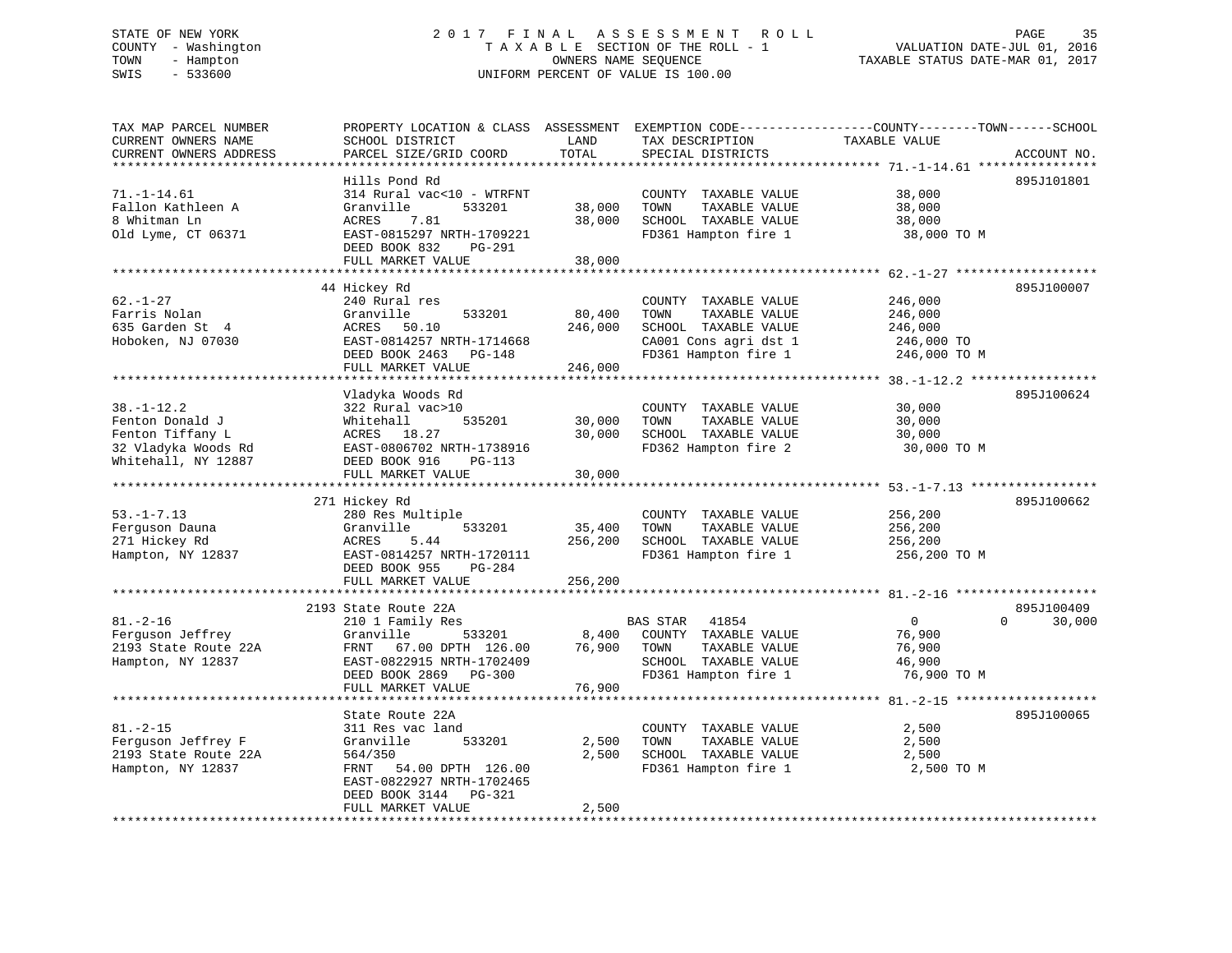# STATE OF NEW YORK 2 0 1 7 F I N A L A S S E S S M E N T R O L L PAGE 35 COUNTY - Washington T A X A B L E SECTION OF THE ROLL - 1 VALUATION DATE-JUL 01, 2016 TOWN - Hampton OWNERS NAME SEQUENCE TAXABLE STATUS DATE-MAR 01, 2017 SWIS - 533600 UNIFORM PERCENT OF VALUE IS 100.00

| TAX MAP PARCEL NUMBER<br>CURRENT OWNERS NAME<br>CURRENT OWNERS ADDRESS                                | PROPERTY LOCATION & CLASS ASSESSMENT EXEMPTION CODE----------------COUNTY-------TOWN------SCHOOL<br>SCHOOL DISTRICT<br>PARCEL SIZE/GRID COORD                                                              | LAND<br>TOTAL                                | TAX DESCRIPTION<br>SPECIAL DISTRICTS                                                                                      | TAXABLE VALUE                                               | ACCOUNT NO.           |
|-------------------------------------------------------------------------------------------------------|------------------------------------------------------------------------------------------------------------------------------------------------------------------------------------------------------------|----------------------------------------------|---------------------------------------------------------------------------------------------------------------------------|-------------------------------------------------------------|-----------------------|
| **************<br>$71. - 1 - 14.61$<br>Fallon Kathleen A<br>8 Whitman Ln<br>Old Lyme, CT 06371        | * * * * * * * * * * * * * * * * * * * *<br>Hills Pond Rd<br>314 Rural vac<10 - WTRFNT<br>Granville<br>533201<br>ACRES<br>7.81<br>EAST-0815297 NRTH-1709221<br>DEED BOOK 832<br>PG-291<br>FULL MARKET VALUE | **************<br>38,000<br>38,000<br>38,000 | COUNTY TAXABLE VALUE<br>TOWN<br>TAXABLE VALUE<br>SCHOOL TAXABLE VALUE<br>FD361 Hampton fire 1                             | 38,000<br>38,000<br>38,000<br>38,000 TO M                   | 895J101801            |
|                                                                                                       |                                                                                                                                                                                                            |                                              |                                                                                                                           |                                                             |                       |
| $62. - 1 - 27$<br>Farris Nolan<br>635 Garden St 4<br>Hoboken, NJ 07030                                | 44 Hickey Rd<br>240 Rural res<br>Granville<br>533201<br>ACRES<br>50.10<br>EAST-0814257 NRTH-1714668<br>DEED BOOK 2463<br><b>PG-148</b><br>FULL MARKET VALUE                                                | 80,400<br>246,000<br>246,000                 | COUNTY TAXABLE VALUE<br>TOWN<br>TAXABLE VALUE<br>SCHOOL TAXABLE VALUE<br>CA001 Cons agri dst 1<br>FD361 Hampton fire 1    | 246,000<br>246,000<br>246,000<br>246,000 TO<br>246,000 TO M | 895J100007            |
|                                                                                                       | ****************************                                                                                                                                                                               |                                              |                                                                                                                           |                                                             |                       |
| $38. - 1 - 12.2$<br>Fenton Donald J<br>Fenton Tiffany L<br>32 Vladyka Woods Rd<br>Whitehall, NY 12887 | Vladyka Woods Rd<br>322 Rural vac>10<br>535201<br>Whitehall<br>18.27<br>ACRES<br>EAST-0806702 NRTH-1738916<br>DEED BOOK 916<br>$PG-113$<br>FULL MARKET VALUE                                               | 30,000<br>30,000<br>30,000                   | COUNTY TAXABLE VALUE<br>TOWN<br>TAXABLE VALUE<br>SCHOOL TAXABLE VALUE<br>FD362 Hampton fire 2                             | 30,000<br>30,000<br>30,000<br>30,000 TO M                   | 895J100624            |
|                                                                                                       |                                                                                                                                                                                                            |                                              |                                                                                                                           |                                                             |                       |
| $53. - 1 - 7.13$<br>Ferguson Dauna<br>271 Hickey Rd<br>Hampton, NY 12837                              | 271 Hickey Rd<br>280 Res Multiple<br>Granville<br>533201<br>ACRES<br>5.44<br>EAST-0814257 NRTH-1720111<br>DEED BOOK 955<br>$PG-284$<br>FULL MARKET VALUE                                                   | 35,400<br>256,200<br>256,200                 | COUNTY TAXABLE VALUE<br>TOWN<br>TAXABLE VALUE<br>SCHOOL TAXABLE VALUE<br>FD361 Hampton fire 1                             | 256,200<br>256,200<br>256,200<br>256,200 ТО М               | 895J100662            |
|                                                                                                       | 2193 State Route 22A                                                                                                                                                                                       |                                              |                                                                                                                           |                                                             | 895J100409            |
| $81. - 2 - 16$<br>Ferguson Jeffrey<br>2193 State Route 22A<br>Hampton, NY 12837                       | 210 1 Family Res<br>Granville<br>533201<br>67.00 DPTH 126.00<br>FRNT<br>EAST-0822915 NRTH-1702409<br>DEED BOOK 2869<br><b>PG-300</b><br>FULL MARKET VALUE                                                  | 8,400<br>76,900<br>76,900                    | <b>BAS STAR</b><br>41854<br>COUNTY TAXABLE VALUE<br>TOWN<br>TAXABLE VALUE<br>SCHOOL TAXABLE VALUE<br>FD361 Hampton fire 1 | $\mathbf 0$<br>76,900<br>76,900<br>46,900<br>76,900 TO M    | $\mathbf 0$<br>30,000 |
|                                                                                                       |                                                                                                                                                                                                            |                                              |                                                                                                                           |                                                             | ************          |
| $81. - 2 - 15$<br>Ferguson Jeffrey F<br>2193 State Route 22A<br>Hampton, NY 12837                     | State Route 22A<br>311 Res vac land<br>Granville<br>533201<br>564/350<br>FRNT<br>54.00 DPTH 126.00<br>EAST-0822927 NRTH-1702465<br>DEED BOOK 3144<br>PG-321<br>FULL MARKET VALUE                           | 2,500<br>2,500<br>2,500                      | COUNTY TAXABLE VALUE<br>TOWN<br>TAXABLE VALUE<br>SCHOOL TAXABLE VALUE<br>FD361 Hampton fire 1                             | 2,500<br>2,500<br>2,500<br>2,500 TO M                       | 895J100065            |
|                                                                                                       |                                                                                                                                                                                                            |                                              |                                                                                                                           |                                                             |                       |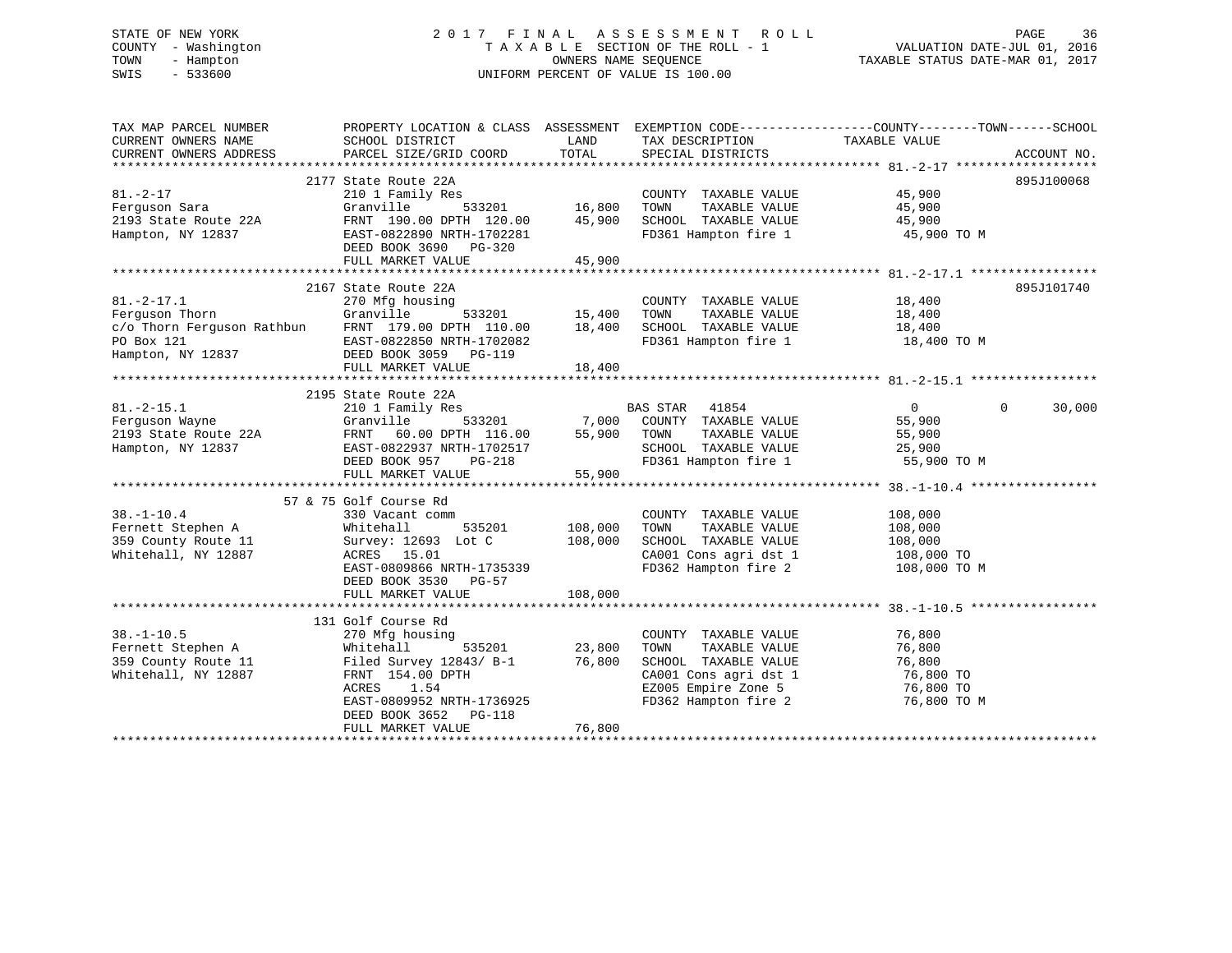# STATE OF NEW YORK 2 0 1 7 F I N A L A S S E S S M E N T R O L L PAGE 36 COUNTY - Washington T A X A B L E SECTION OF THE ROLL - 1 VALUATION DATE-JUL 01, 2016 TOWN - Hampton OWNERS NAME SEQUENCE TAXABLE STATUS DATE-MAR 01, 2017 SWIS - 533600 UNIFORM PERCENT OF VALUE IS 100.00

| PARCEL SIZE/GRID COORD<br>TOTAL<br>2177 State Route 22A<br>895J100068<br>$\begin{array}{ccc} 5 & 3 & 16 \\ 533201 & 16,800 & 7000 \end{array}$<br>81.-2-17<br>Ferguson Sara<br>$45,900$<br>$45,900$<br>210 1 Family Res<br>COUNTY TAXABLE VALUE<br>TAXABLE VALUE<br>Granville<br>2193 State Route 22A FRNT 190.00 DPTH 120.00 45,900 SCHOOL TAXABLE VALUE 45,900<br>FD361 Hampton fire 1<br>Hampton, NY 12837<br>45,900 TO M<br>DEED BOOK 3690 PG-320<br>FIILT. MARKET :--<br>45,900<br>FULL MARKET VALUE<br>2167 State Route 22A<br>895J101740<br>ing<br>533201 - 533201 - 15,400<br>ספר בידים ה<br>COUNTY TAXABLE VALUE 18,400<br>$81. - 2 - 17.1$<br>270 Mfg housing<br>270 MIG no<br>Granville<br>TAXABLE VALUE 18,400<br>Ferquson Thorn<br>TOWN<br>SCHOOL TAXABLE VALUE 18,400<br>FD361 Hampton fire 1 18,400 TO M | TAX MAP PARCEL NUMBER<br>CURRENT OWNERS NAME | PROPERTY LOCATION & CLASS ASSESSMENT EXEMPTION CODE---------------COUNTY-------TOWN-----SCHOOL<br>SCHOOL DISTRICT | <b>EXAMPLE THE STATE OF STATE OF STATE OF STATE OF STATE OF STATE OF STATE OF STATE</b> | TAX DESCRIPTION TAXABLE VALUE SPECIAL DISTRICTS |             |
|-------------------------------------------------------------------------------------------------------------------------------------------------------------------------------------------------------------------------------------------------------------------------------------------------------------------------------------------------------------------------------------------------------------------------------------------------------------------------------------------------------------------------------------------------------------------------------------------------------------------------------------------------------------------------------------------------------------------------------------------------------------------------------------------------------------------------|----------------------------------------------|-------------------------------------------------------------------------------------------------------------------|-----------------------------------------------------------------------------------------|-------------------------------------------------|-------------|
| C/O Thorn Ferguson Rathbun FRNT 179.00 DPTH 110.00 18,400<br>PO Box 121 EAST-0822850 NRTH-1702082<br>Hampton, NY 12837 DEED BOOK 3059 PG-119                                                                                                                                                                                                                                                                                                                                                                                                                                                                                                                                                                                                                                                                            | CURRENT OWNERS ADDRESS                       |                                                                                                                   |                                                                                         |                                                 | ACCOUNT NO. |
|                                                                                                                                                                                                                                                                                                                                                                                                                                                                                                                                                                                                                                                                                                                                                                                                                         |                                              |                                                                                                                   |                                                                                         |                                                 |             |
|                                                                                                                                                                                                                                                                                                                                                                                                                                                                                                                                                                                                                                                                                                                                                                                                                         |                                              |                                                                                                                   |                                                                                         |                                                 |             |
|                                                                                                                                                                                                                                                                                                                                                                                                                                                                                                                                                                                                                                                                                                                                                                                                                         |                                              |                                                                                                                   |                                                                                         |                                                 |             |
|                                                                                                                                                                                                                                                                                                                                                                                                                                                                                                                                                                                                                                                                                                                                                                                                                         |                                              |                                                                                                                   |                                                                                         |                                                 |             |
|                                                                                                                                                                                                                                                                                                                                                                                                                                                                                                                                                                                                                                                                                                                                                                                                                         |                                              |                                                                                                                   |                                                                                         |                                                 |             |
|                                                                                                                                                                                                                                                                                                                                                                                                                                                                                                                                                                                                                                                                                                                                                                                                                         |                                              |                                                                                                                   |                                                                                         |                                                 |             |
|                                                                                                                                                                                                                                                                                                                                                                                                                                                                                                                                                                                                                                                                                                                                                                                                                         |                                              |                                                                                                                   |                                                                                         |                                                 |             |
|                                                                                                                                                                                                                                                                                                                                                                                                                                                                                                                                                                                                                                                                                                                                                                                                                         |                                              |                                                                                                                   |                                                                                         |                                                 |             |
|                                                                                                                                                                                                                                                                                                                                                                                                                                                                                                                                                                                                                                                                                                                                                                                                                         |                                              |                                                                                                                   |                                                                                         |                                                 |             |
|                                                                                                                                                                                                                                                                                                                                                                                                                                                                                                                                                                                                                                                                                                                                                                                                                         |                                              |                                                                                                                   |                                                                                         |                                                 |             |
|                                                                                                                                                                                                                                                                                                                                                                                                                                                                                                                                                                                                                                                                                                                                                                                                                         |                                              |                                                                                                                   |                                                                                         |                                                 |             |
|                                                                                                                                                                                                                                                                                                                                                                                                                                                                                                                                                                                                                                                                                                                                                                                                                         |                                              |                                                                                                                   |                                                                                         |                                                 |             |
| FULL MARKET VALUE<br>18,400                                                                                                                                                                                                                                                                                                                                                                                                                                                                                                                                                                                                                                                                                                                                                                                             |                                              |                                                                                                                   |                                                                                         |                                                 |             |
|                                                                                                                                                                                                                                                                                                                                                                                                                                                                                                                                                                                                                                                                                                                                                                                                                         |                                              |                                                                                                                   |                                                                                         |                                                 |             |
| $\overline{0}$<br>$\Omega$                                                                                                                                                                                                                                                                                                                                                                                                                                                                                                                                                                                                                                                                                                                                                                                              |                                              |                                                                                                                   |                                                                                         |                                                 | 30,000      |
| 55,900                                                                                                                                                                                                                                                                                                                                                                                                                                                                                                                                                                                                                                                                                                                                                                                                                  |                                              |                                                                                                                   |                                                                                         |                                                 |             |
| 55,900                                                                                                                                                                                                                                                                                                                                                                                                                                                                                                                                                                                                                                                                                                                                                                                                                  |                                              |                                                                                                                   |                                                                                         |                                                 |             |
|                                                                                                                                                                                                                                                                                                                                                                                                                                                                                                                                                                                                                                                                                                                                                                                                                         |                                              |                                                                                                                   |                                                                                         |                                                 |             |
| SCHOOL TAXABLE VALUE 25,900<br>FD361 Hampton fire 1 55,900 TO M                                                                                                                                                                                                                                                                                                                                                                                                                                                                                                                                                                                                                                                                                                                                                         |                                              |                                                                                                                   |                                                                                         |                                                 |             |
|                                                                                                                                                                                                                                                                                                                                                                                                                                                                                                                                                                                                                                                                                                                                                                                                                         |                                              |                                                                                                                   |                                                                                         |                                                 |             |
| 31.1 2195 State Route 22A<br>81.-2-15.1 210 1 Family Res<br>Ferguson Wayne Ganville 533201 7,000 COUNTY TAXABLE VALUE<br>2193 State Route 22A<br>Hampton, NY 12837 ERST-0822937 NRTH-1702517 5CHOOL TAXABLE VALUE<br>DEED BOOK 957 PG-21                                                                                                                                                                                                                                                                                                                                                                                                                                                                                                                                                                                |                                              |                                                                                                                   |                                                                                         |                                                 |             |
| 57 & 75 Golf Course Rd                                                                                                                                                                                                                                                                                                                                                                                                                                                                                                                                                                                                                                                                                                                                                                                                  |                                              |                                                                                                                   |                                                                                         |                                                 |             |
| $38. - 1 - 10.4$<br>COUNTY TAXABLE VALUE<br>330 Vacant comm<br>108,000                                                                                                                                                                                                                                                                                                                                                                                                                                                                                                                                                                                                                                                                                                                                                  |                                              |                                                                                                                   |                                                                                         |                                                 |             |
| Fernett Stephen A<br>359 County B<br>535201 108,000<br>TAXABLE VALUE<br>Whitehall<br>TOWN<br>108,000                                                                                                                                                                                                                                                                                                                                                                                                                                                                                                                                                                                                                                                                                                                    |                                              |                                                                                                                   |                                                                                         |                                                 |             |
| 108,000<br>108,000<br>359 County Route 11<br>SCHOOL TAXABLE VALUE<br>Survey: 12693 Lot C                                                                                                                                                                                                                                                                                                                                                                                                                                                                                                                                                                                                                                                                                                                                |                                              |                                                                                                                   |                                                                                         |                                                 |             |
| ACRES 15.01<br>EAST-0809866 NRTH-1735339<br>CA001 Cons agri dst 1 108,000 TO<br>FD362 Hampton fire 2 108,000 TO M<br>Whitehall, NY 12887                                                                                                                                                                                                                                                                                                                                                                                                                                                                                                                                                                                                                                                                                |                                              |                                                                                                                   |                                                                                         |                                                 |             |
| DEED BOOK 3530 PG-57                                                                                                                                                                                                                                                                                                                                                                                                                                                                                                                                                                                                                                                                                                                                                                                                    |                                              |                                                                                                                   |                                                                                         |                                                 |             |
| 108,000<br>FULL MARKET VALUE                                                                                                                                                                                                                                                                                                                                                                                                                                                                                                                                                                                                                                                                                                                                                                                            |                                              |                                                                                                                   |                                                                                         |                                                 |             |
|                                                                                                                                                                                                                                                                                                                                                                                                                                                                                                                                                                                                                                                                                                                                                                                                                         |                                              |                                                                                                                   |                                                                                         |                                                 |             |
| 131 Golf Course Rd                                                                                                                                                                                                                                                                                                                                                                                                                                                                                                                                                                                                                                                                                                                                                                                                      |                                              |                                                                                                                   |                                                                                         |                                                 |             |
| $38. - 1 - 10.5$<br>76,800<br>270 Mfg housing<br>COUNTY TAXABLE VALUE                                                                                                                                                                                                                                                                                                                                                                                                                                                                                                                                                                                                                                                                                                                                                   |                                              |                                                                                                                   |                                                                                         |                                                 |             |
| Fernett Stephen A Mhitehall 535201<br>359 County Route 11 Filed Survey 12843/ B-1<br>TOWN<br>TAXABLE VALUE<br>76,800                                                                                                                                                                                                                                                                                                                                                                                                                                                                                                                                                                                                                                                                                                    |                                              |                                                                                                                   |                                                                                         |                                                 |             |
| SCHOOL TAXABLE VALUE<br>76,800                                                                                                                                                                                                                                                                                                                                                                                                                                                                                                                                                                                                                                                                                                                                                                                          |                                              |                                                                                                                   |                                                                                         |                                                 |             |
| $\frac{1}{2843}$ 535201 23,800<br>2843/ B-1 76,800<br>$\frac{1}{27}$<br>CA001 Cons agri dst 1 76,800 TO<br>Whitehall, NY 12887<br>FRNT 154.00 DPTH                                                                                                                                                                                                                                                                                                                                                                                                                                                                                                                                                                                                                                                                      |                                              |                                                                                                                   |                                                                                         |                                                 |             |
| EZ005 Empire Zone 5<br>FD362 Hampton fire 2<br>ACRES 1.54<br>76,800 TO                                                                                                                                                                                                                                                                                                                                                                                                                                                                                                                                                                                                                                                                                                                                                  |                                              |                                                                                                                   |                                                                                         |                                                 |             |
| EAST-0809952 NRTH-1736925<br>76,800 TO M                                                                                                                                                                                                                                                                                                                                                                                                                                                                                                                                                                                                                                                                                                                                                                                |                                              |                                                                                                                   |                                                                                         |                                                 |             |
| DEED BOOK 3652 PG-118<br>76,800<br>FULL MARKET VALUE                                                                                                                                                                                                                                                                                                                                                                                                                                                                                                                                                                                                                                                                                                                                                                    |                                              |                                                                                                                   |                                                                                         |                                                 |             |
|                                                                                                                                                                                                                                                                                                                                                                                                                                                                                                                                                                                                                                                                                                                                                                                                                         |                                              |                                                                                                                   |                                                                                         |                                                 |             |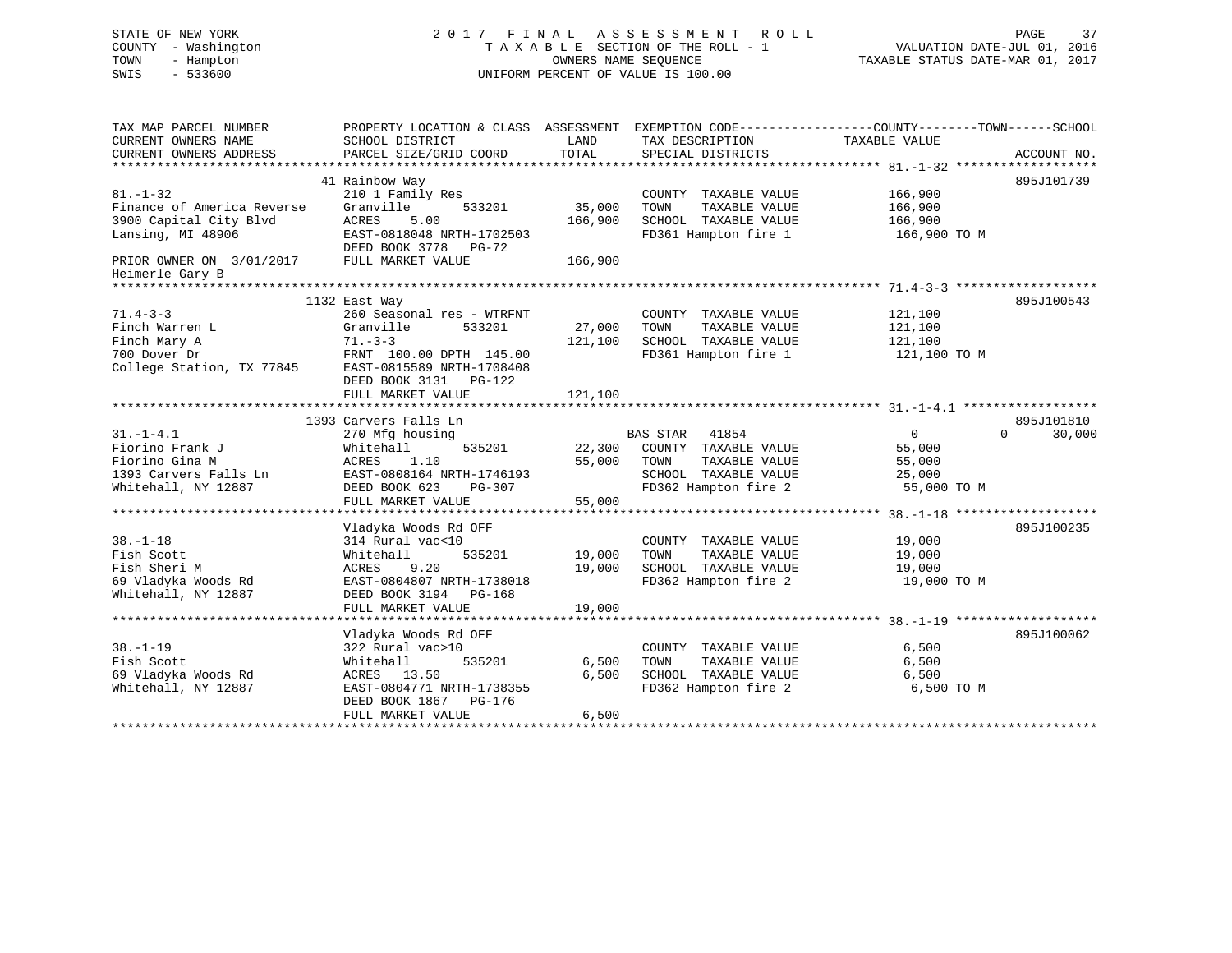# STATE OF NEW YORK 2 0 1 7 F I N A L A S S E S S M E N T R O L L PAGE 37 COUNTY - Washington T A X A B L E SECTION OF THE ROLL - 1 VALUATION DATE-JUL 01, 2016 TOWN - Hampton OWNERS NAME SEQUENCE TAXABLE STATUS DATE-MAR 01, 2017 SWIS - 533600 UNIFORM PERCENT OF VALUE IS 100.00

| TAX MAP PARCEL NUMBER<br>CURRENT OWNERS NAME<br>CURRENT OWNERS ADDRESS | PROPERTY LOCATION & CLASS ASSESSMENT<br>SCHOOL DISTRICT<br>PARCEL SIZE/GRID COORD | LAND<br>TOTAL | TAX DESCRIPTION TAXABLE VALUE<br>SPECIAL DISTRICTS | EXEMPTION CODE-----------------COUNTY-------TOWN------SCHOOL<br>ACCOUNT NO. |        |
|------------------------------------------------------------------------|-----------------------------------------------------------------------------------|---------------|----------------------------------------------------|-----------------------------------------------------------------------------|--------|
|                                                                        | 41 Rainbow Way                                                                    |               |                                                    | 895J101739                                                                  |        |
| $81. - 1 - 32$                                                         | 210 1 Family Res                                                                  |               | COUNTY TAXABLE VALUE                               | 166,900                                                                     |        |
| Finance of America Reverse                                             | 533201<br>Granville                                                               | 35,000        | TOWN<br>TAXABLE VALUE                              | 166,900                                                                     |        |
| 3900 Capital City Blvd                                                 | <b>ACRES</b><br>5.00                                                              | 166,900       | SCHOOL TAXABLE VALUE                               | 166,900                                                                     |        |
| Lansing, MI 48906                                                      | EAST-0818048 NRTH-1702503                                                         |               | FD361 Hampton fire 1                               | 166,900 TO M                                                                |        |
|                                                                        | DEED BOOK 3778 PG-72                                                              |               |                                                    |                                                                             |        |
| PRIOR OWNER ON 3/01/2017                                               | FULL MARKET VALUE                                                                 | 166,900       |                                                    |                                                                             |        |
| Heimerle Gary B                                                        |                                                                                   |               |                                                    |                                                                             |        |
| *********************                                                  |                                                                                   |               |                                                    |                                                                             |        |
|                                                                        | 1132 East Way                                                                     |               |                                                    | 895J100543                                                                  |        |
| $71.4 - 3 - 3$                                                         | 260 Seasonal res - WTRFNT                                                         |               | COUNTY TAXABLE VALUE                               | 121,100                                                                     |        |
| Finch Warren L                                                         | Granville<br>533201                                                               | 27,000        | TOWN<br>TAXABLE VALUE                              | 121,100                                                                     |        |
| Finch Mary A                                                           | $71. - 3 - 3$                                                                     | 121,100       | SCHOOL TAXABLE VALUE                               | 121,100                                                                     |        |
| 700 Dover Dr                                                           | FRNT 100.00 DPTH 145.00                                                           |               | FD361 Hampton fire 1                               | 121,100 TO M                                                                |        |
| College Station, TX 77845 EAST-0815589 NRTH-1708408                    |                                                                                   |               |                                                    |                                                                             |        |
|                                                                        | DEED BOOK 3131    PG-122                                                          |               |                                                    |                                                                             |        |
|                                                                        | FULL MARKET VALUE                                                                 | 121,100       |                                                    |                                                                             |        |
|                                                                        |                                                                                   |               |                                                    |                                                                             |        |
|                                                                        | 1393 Carvers Falls Ln                                                             |               |                                                    | 895J101810                                                                  |        |
| $31. - 1 - 4.1$                                                        | 270 Mfg housing                                                                   |               | BAS STAR 41854                                     | $\overline{0}$<br>$\Omega$                                                  | 30,000 |
| Fiorino Frank J                                                        | 535201<br>Whitehall                                                               |               | 22,300 COUNTY TAXABLE VALUE                        | 55,000                                                                      |        |
| Fiorino Gina M                                                         | ACRES<br>1.10                                                                     | 55,000        | TOWN<br>TAXABLE VALUE                              | 55,000                                                                      |        |
| 1393 Carvers Falls Ln                                                  | EAST-0808164 NRTH-1746193                                                         |               | SCHOOL TAXABLE VALUE                               | 25,000                                                                      |        |
| Whitehall, NY 12887                                                    | DEED BOOK 623<br>PG-307                                                           |               | FD362 Hampton fire 2                               | 55,000 TO M                                                                 |        |
|                                                                        | FULL MARKET VALUE                                                                 | 55,000        |                                                    |                                                                             |        |
|                                                                        |                                                                                   |               |                                                    |                                                                             |        |
|                                                                        | Vladyka Woods Rd OFF                                                              |               |                                                    | 895J100235                                                                  |        |
| $38. - 1 - 18$                                                         | 314 Rural vac<10                                                                  |               | COUNTY TAXABLE VALUE                               | 19,000                                                                      |        |
| Fish Scott                                                             | 535201<br>Whitehall                                                               | 19,000        | TAXABLE VALUE<br>TOWN                              | 19,000                                                                      |        |
| Fish Sheri M                                                           | ACRES<br>9.20                                                                     | 19,000        | SCHOOL TAXABLE VALUE                               | 19,000                                                                      |        |
| 69 Vladyka Woods Rd                                                    | EAST-0804807 NRTH-1738018                                                         |               | FD362 Hampton fire 2                               | 19,000 TO M                                                                 |        |
| Whitehall, NY 12887                                                    | DEED BOOK 3194 PG-168                                                             |               |                                                    |                                                                             |        |
|                                                                        | FULL MARKET VALUE<br>*******************************                              | 19,000        |                                                    |                                                                             |        |
|                                                                        | Vladyka Woods Rd OFF                                                              |               |                                                    | 895J100062                                                                  |        |
| $38. - 1 - 19$                                                         | 322 Rural vac>10                                                                  |               | COUNTY TAXABLE VALUE                               | 6,500                                                                       |        |
| Fish Scott                                                             | 535201<br>Whitehall                                                               | 6,500         | TOWN<br>TAXABLE VALUE                              | 6,500                                                                       |        |
| 69 Vladyka Woods Rd                                                    | ACRES 13.50                                                                       | 6,500         | SCHOOL TAXABLE VALUE                               | 6,500                                                                       |        |
| Whitehall, NY 12887                                                    | EAST-0804771 NRTH-1738355                                                         |               | FD362 Hampton fire 2                               | 6,500 TO M                                                                  |        |
|                                                                        | DEED BOOK 1867 PG-176                                                             |               |                                                    |                                                                             |        |
|                                                                        | FULL MARKET VALUE                                                                 | 6,500         |                                                    |                                                                             |        |
|                                                                        |                                                                                   |               |                                                    |                                                                             |        |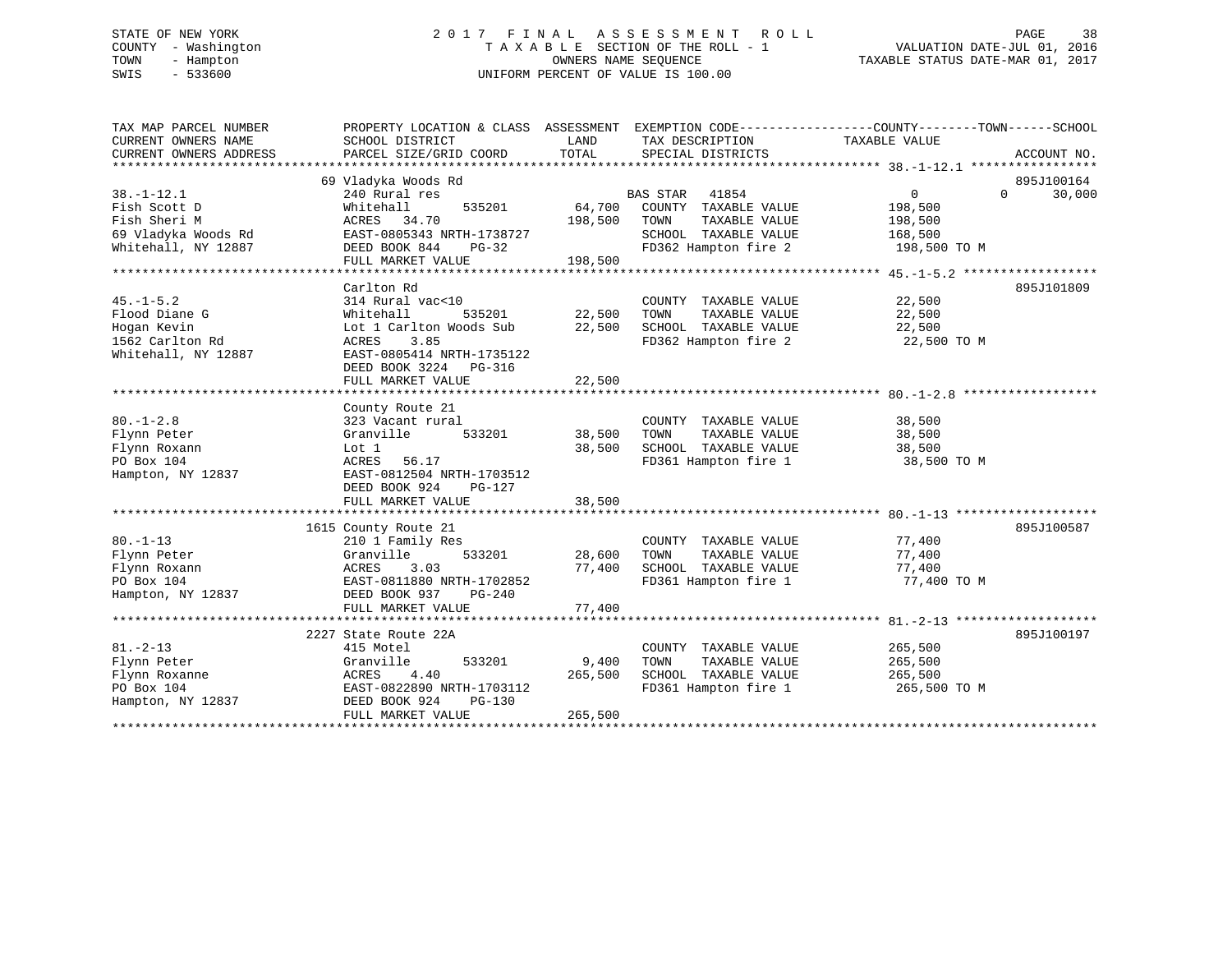# STATE OF NEW YORK 2 0 1 7 F I N A L A S S E S S M E N T R O L L PAGE 38 COUNTY - Washington T A X A B L E SECTION OF THE ROLL - 1 VALUATION DATE-JUL 01, 2016 TOWN - Hampton OWNERS NAME SEQUENCE TAXABLE STATUS DATE-MAR 01, 2017 SWIS - 533600 UNIFORM PERCENT OF VALUE IS 100.00

| TAX MAP PARCEL NUMBER<br>CURRENT OWNERS NAME<br>CURRENT OWNERS ADDRESS | PROPERTY LOCATION & CLASS ASSESSMENT EXEMPTION CODE----------------COUNTY-------TOWN------SCHOOL<br>SCHOOL DISTRICT<br>PARCEL SIZE/GRID COORD | LAND<br>TOTAL | TAX DESCRIPTION<br>SPECIAL DISTRICTS | TAXABLE VALUE  | ACCOUNT NO.        |
|------------------------------------------------------------------------|-----------------------------------------------------------------------------------------------------------------------------------------------|---------------|--------------------------------------|----------------|--------------------|
|                                                                        |                                                                                                                                               |               |                                      |                |                    |
|                                                                        | 69 Vladyka Woods Rd                                                                                                                           |               |                                      |                | 895J100164         |
| $38. - 1 - 12.1$                                                       | 240 Rural res                                                                                                                                 |               | <b>BAS STAR</b><br>41854             | $\overline{0}$ | 30,000<br>$\Omega$ |
| Fish Scott D                                                           | Whitehall<br>535201                                                                                                                           | 64,700        | COUNTY TAXABLE VALUE                 | 198,500        |                    |
| Fish Sheri M                                                           | ACRES 34.70                                                                                                                                   | 198,500       | TAXABLE VALUE<br>TOWN                | 198,500        |                    |
| 69 Vladyka Woods Rd                                                    | EAST-0805343 NRTH-1738727                                                                                                                     |               | SCHOOL TAXABLE VALUE                 | 168,500        |                    |
| Whitehall, NY 12887                                                    | DEED BOOK 844<br>PG-32                                                                                                                        |               | FD362 Hampton fire 2                 | 198,500 TO M   |                    |
|                                                                        | FULL MARKET VALUE                                                                                                                             | 198,500       |                                      |                |                    |
|                                                                        |                                                                                                                                               |               |                                      |                |                    |
|                                                                        | Carlton Rd                                                                                                                                    |               |                                      |                | 895J101809         |
| $45. - 1 - 5.2$                                                        | 314 Rural vac<10                                                                                                                              |               | COUNTY TAXABLE VALUE                 | 22,500         |                    |
| Flood Diane G                                                          | Whitehall<br>535201                                                                                                                           | 22,500        | TOWN<br>TAXABLE VALUE                | 22,500         |                    |
| Hogan Kevin                                                            | Lot 1 Carlton Woods Sub                                                                                                                       |               | 22,500 SCHOOL TAXABLE VALUE          | 22,500         |                    |
| 1562 Carlton Rd                                                        | ACRES<br>3.85                                                                                                                                 |               | FD362 Hampton fire 2                 | 22,500 TO M    |                    |
| Whitehall, NY 12887                                                    | EAST-0805414 NRTH-1735122                                                                                                                     |               |                                      |                |                    |
|                                                                        | DEED BOOK 3224 PG-316                                                                                                                         |               |                                      |                |                    |
|                                                                        | FULL MARKET VALUE                                                                                                                             | 22,500        |                                      |                |                    |
|                                                                        |                                                                                                                                               |               |                                      |                |                    |
|                                                                        | County Route 21                                                                                                                               |               |                                      |                |                    |
| $80. -1 - 2.8$                                                         | 323 Vacant rural                                                                                                                              |               | COUNTY TAXABLE VALUE                 | 38,500         |                    |
| Flynn Peter                                                            | Granville<br>533201                                                                                                                           | 38,500        | TAXABLE VALUE<br>TOWN                | 38,500         |                    |
| Flynn Roxann                                                           | Lot 1                                                                                                                                         | 38,500        | SCHOOL TAXABLE VALUE                 | 38,500         |                    |
| PO Box 104                                                             | ACRES 56.17                                                                                                                                   |               | FD361 Hampton fire 1                 | 38,500 TO M    |                    |
| Hampton, NY 12837                                                      | EAST-0812504 NRTH-1703512                                                                                                                     |               |                                      |                |                    |
|                                                                        | DEED BOOK 924<br>PG-127                                                                                                                       |               |                                      |                |                    |
|                                                                        | FULL MARKET VALUE                                                                                                                             | 38,500        |                                      |                |                    |
|                                                                        |                                                                                                                                               |               |                                      |                |                    |
|                                                                        | 1615 County Route 21                                                                                                                          |               |                                      |                | 895J100587         |
| $80. -1 - 13$                                                          | 210 1 Family Res                                                                                                                              |               | COUNTY TAXABLE VALUE                 | 77,400         |                    |
| Flynn Peter                                                            | Granville<br>533201                                                                                                                           | 28,600        | TOWN<br>TAXABLE VALUE                | 77,400         |                    |
| Flynn Roxann                                                           | ACRES<br>3.03                                                                                                                                 | 77,400        | SCHOOL TAXABLE VALUE                 | 77,400         |                    |
| PO Box 104                                                             | EAST-0811880 NRTH-1702852                                                                                                                     |               | FD361 Hampton fire 1                 | 77,400 TO M    |                    |
| Hampton, NY 12837                                                      | DEED BOOK 937<br>PG-240                                                                                                                       |               |                                      |                |                    |
|                                                                        | FULL MARKET VALUE                                                                                                                             | 77,400        |                                      |                |                    |
|                                                                        |                                                                                                                                               |               |                                      |                |                    |
|                                                                        | 2227 State Route 22A                                                                                                                          |               |                                      |                | 895J100197         |
| $81. - 2 - 13$                                                         | 415 Motel                                                                                                                                     |               | COUNTY TAXABLE VALUE                 | 265,500        |                    |
| Flynn Peter                                                            | 533201<br>Granville                                                                                                                           | 9,400         | TOWN<br>TAXABLE VALUE                | 265,500        |                    |
| Flynn Roxanne                                                          | 4.40<br>ACRES                                                                                                                                 | 265,500       | SCHOOL TAXABLE VALUE                 | 265,500        |                    |
| PO Box 104                                                             | EAST-0822890 NRTH-1703112                                                                                                                     |               | FD361 Hampton fire 1                 | 265,500 TO M   |                    |
| Hampton, NY 12837                                                      | DEED BOOK 924<br>PG-130                                                                                                                       |               |                                      |                |                    |
|                                                                        | FULL MARKET VALUE                                                                                                                             | 265,500       |                                      |                |                    |
|                                                                        |                                                                                                                                               |               |                                      |                |                    |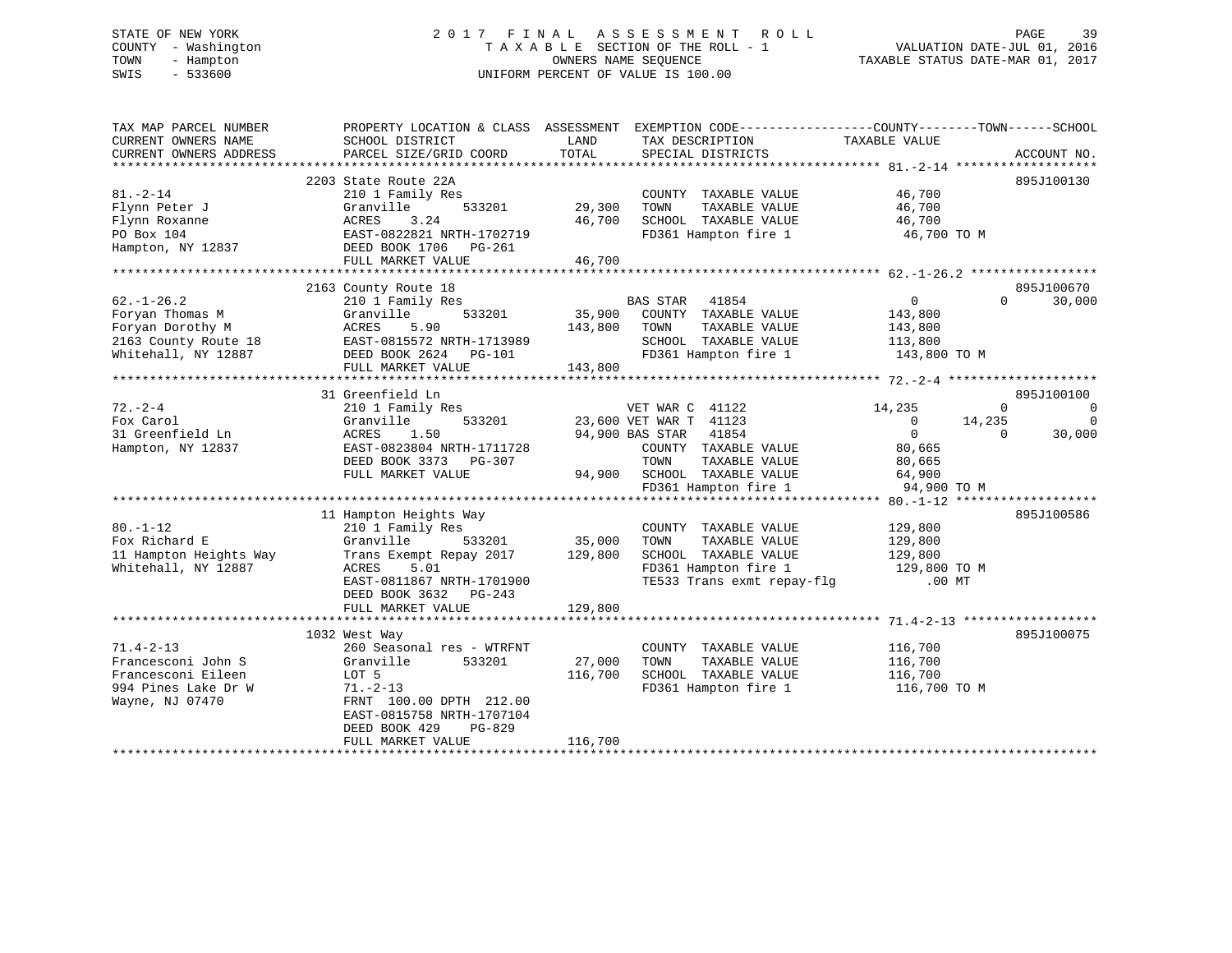# STATE OF NEW YORK 2 0 1 7 F I N A L A S S E S S M E N T R O L L PAGE 39 COUNTY - Washington T A X A B L E SECTION OF THE ROLL - 1 VALUATION DATE-JUL 01, 2016 TOWN - Hampton OWNERS NAME SEQUENCE TAXABLE STATUS DATE-MAR 01, 2017 SWIS - 533600 UNIFORM PERCENT OF VALUE IS 100.00

| TAX MAP PARCEL NUMBER<br>CURRENT OWNERS NAME<br>CURRENT OWNERS ADDRESS                                 | SCHOOL DISTRICT<br>PARCEL SIZE/GRID COORD                                                                                                                                                            | PROPERTY LOCATION & CLASS ASSESSMENT EXEMPTION CODE----------------COUNTY-------TOWN------SCHOOL<br>LAND<br>TAX DESCRIPTION<br>TOTAL<br>SPECIAL DISTRICTS                  | TAXABLE VALUE<br>ACCOUNT NO.                                                                                                                                                  |
|--------------------------------------------------------------------------------------------------------|------------------------------------------------------------------------------------------------------------------------------------------------------------------------------------------------------|----------------------------------------------------------------------------------------------------------------------------------------------------------------------------|-------------------------------------------------------------------------------------------------------------------------------------------------------------------------------|
| $81. - 2 - 14$<br>Flynn Peter J<br>Flynn Roxanne<br>PO Box 104<br>Hampton, NY 12837                    | 2203 State Route 22A<br>210 1 Family Res<br>Granville<br>533201<br>ACRES<br>3.24<br>EAST-0822821 NRTH-1702719<br>DEED BOOK 1706 PG-261<br>FULL MARKET VALUE                                          | COUNTY TAXABLE VALUE<br>29,300<br>TAXABLE VALUE<br>TOWN<br>SCHOOL TAXABLE VALUE<br>46,700<br>FD361 Hampton fire 1<br>46,700                                                | 895J100130<br>46,700<br>46,700<br>46,700<br>46,700 TO M                                                                                                                       |
| $62. - 1 - 26.2$<br>Foryan Thomas M<br>Foryan Dorothy M<br>2163 County Route 18<br>Whitehall, NY 12887 | 2163 County Route 18<br>210 1 Family Res<br>533201<br>Granville<br>ACRES<br>5.90<br>EAST-0815572 NRTH-1713989<br>DEED BOOK 2624 PG-101<br>FULL MARKET VALUE                                          | BAS STAR<br>41854<br>35,900<br>COUNTY TAXABLE VALUE<br>143,800<br>TOWN<br>TAXABLE VALUE<br>SCHOOL TAXABLE VALUE<br>FD361 Hampton fire 1<br>143,800                         | 895J100670<br>$\mathbf{0}$<br>30,000<br>$\Omega$<br>143,800<br>143,800<br>113,800<br>143,800 TO M                                                                             |
| $72. - 2 - 4$<br>Fox Carol<br>31 Greenfield Ln<br>Hampton, NY 12837                                    | 31 Greenfield Ln<br>210 1 Family Res<br>Granville<br>533201<br>ACRES<br>1.50<br>EAST-0823804 NRTH-1711728<br>DEED BOOK 3373 PG-307<br>FULL MARKET VALUE                                              | VET WAR C 41122<br>23,600 VET WAR T 41123<br>94,900 BAS STAR 41854<br>COUNTY TAXABLE VALUE<br>TOWN<br>TAXABLE VALUE<br>94,900 SCHOOL TAXABLE VALUE<br>FD361 Hampton fire 1 | 895J100100<br>14,235<br>$\mathbf 0$<br>$\mathbf{0}$<br>14,235<br>$\mathbf 0$<br>$\overline{0}$<br>$\Omega$<br>$\Omega$<br>30,000<br>80,665<br>80,665<br>64,900<br>94,900 TO M |
| $80. - 1 - 12$<br>Fox Richard E<br>11 Hampton Heights Way<br>Whitehall, NY 12887                       | 11 Hampton Heights Way<br>210 1 Family Res<br>Granville<br>533201<br>Trans Exempt Repay 2017<br>ACRES<br>5.01<br>EAST-0811867 NRTH-1701900<br>DEED BOOK 3632 PG-243<br>FULL MARKET VALUE             | COUNTY TAXABLE VALUE<br>35,000<br>TAXABLE VALUE<br>TOWN<br>129,800<br>SCHOOL TAXABLE VALUE<br>FD361 Hampton fire 1<br>TE533 Trans exmt repay-flg .00 MT<br>129,800         | 895J100586<br>129,800<br>129,800<br>129,800<br>129,800 TO M                                                                                                                   |
| $71.4 - 2 - 13$<br>Francesconi John S<br>Francesconi Eileen<br>994 Pines Lake Dr W<br>Wayne, NJ 07470  | 1032 West Way<br>260 Seasonal res - WTRFNT<br>Granville<br>533201<br>LOT 5<br>$71. - 2 - 13$<br>FRNT 100.00 DPTH 212.00<br>EAST-0815758 NRTH-1707104<br>DEED BOOK 429<br>PG-829<br>FULL MARKET VALUE | COUNTY TAXABLE VALUE<br>27,000<br>TAXABLE VALUE<br>TOWN<br>116,700<br>SCHOOL TAXABLE VALUE<br>FD361 Hampton fire 1<br>116,700                                              | 895J100075<br>116,700<br>116,700<br>116,700<br>116,700 TO M                                                                                                                   |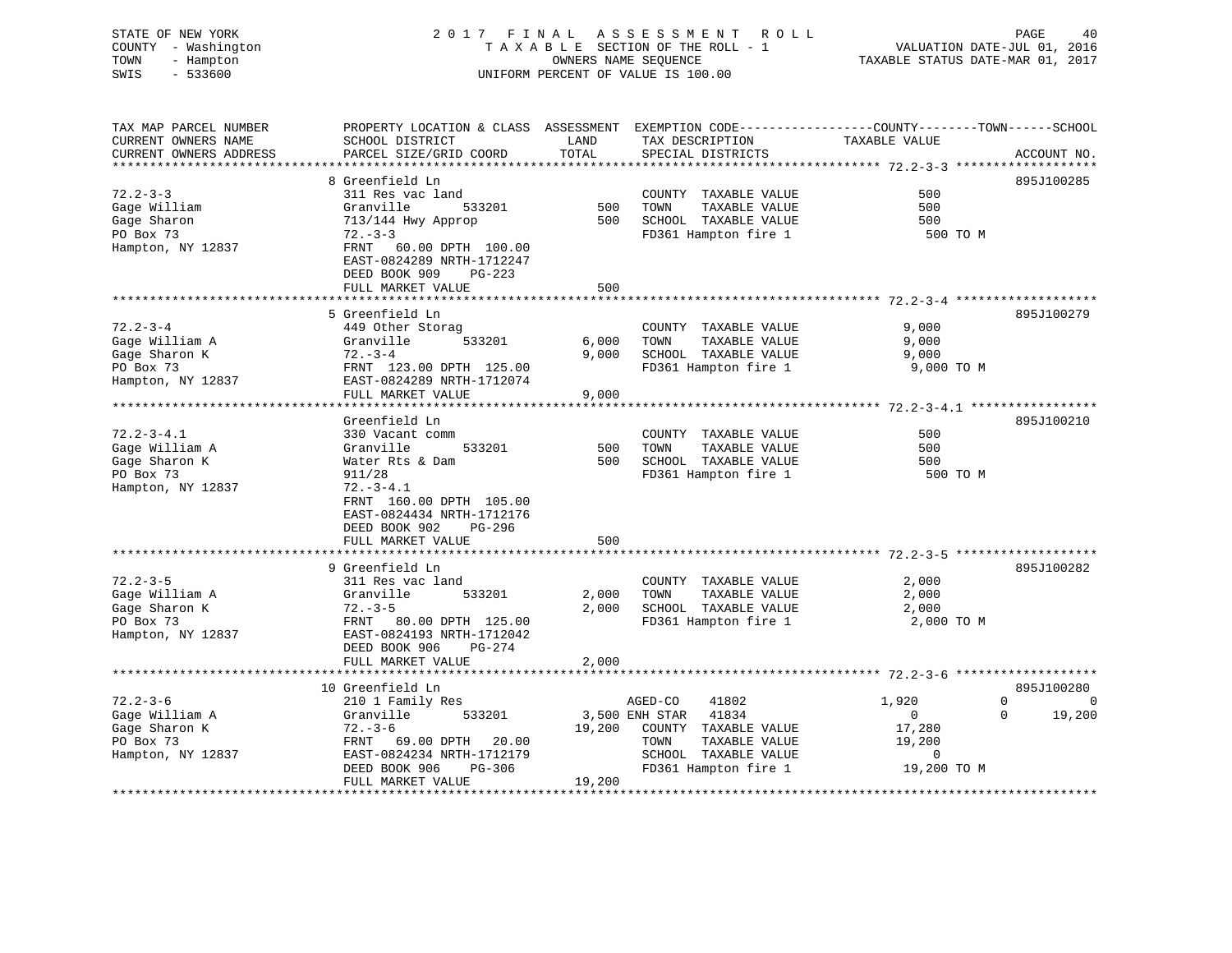# STATE OF NEW YORK 2 0 1 7 F I N A L A S S E S S M E N T R O L L PAGE 40 COUNTY - Washington T A X A B L E SECTION OF THE ROLL - 1 VALUATION DATE-JUL 01, 2016 TOWN - Hampton OWNERS NAME SEQUENCE TAXABLE STATUS DATE-MAR 01, 2017 SWIS - 533600 UNIFORM PERCENT OF VALUE IS 100.00

| TAX MAP PARCEL NUMBER<br>CURRENT OWNERS NAME     | PROPERTY LOCATION & CLASS ASSESSMENT<br>SCHOOL DISTRICT | LAND   | EXEMPTION CODE-----------------COUNTY-------TOWN------SCHOOL<br>TAX DESCRIPTION | TAXABLE VALUE  |                      |
|--------------------------------------------------|---------------------------------------------------------|--------|---------------------------------------------------------------------------------|----------------|----------------------|
| CURRENT OWNERS ADDRESS<br>********************** | PARCEL SIZE/GRID COORD                                  | TOTAL  | SPECIAL DISTRICTS                                                               |                | ACCOUNT NO.          |
|                                                  | 8 Greenfield Ln                                         |        |                                                                                 |                | 895J100285           |
| $72.2 - 3 - 3$                                   | 311 Res vac land                                        |        | COUNTY TAXABLE VALUE                                                            | 500            |                      |
| Gage William                                     | Granville<br>533201                                     | 500    | TAXABLE VALUE<br>TOWN                                                           | 500            |                      |
| Gage Sharon                                      | 713/144 Hwy Approp                                      | 500    | SCHOOL TAXABLE VALUE                                                            | 500            |                      |
| PO Box 73                                        | $72. - 3 - 3$                                           |        | FD361 Hampton fire 1                                                            | 500 TO M       |                      |
| Hampton, NY 12837                                | FRNT 60.00 DPTH 100.00                                  |        |                                                                                 |                |                      |
|                                                  | EAST-0824289 NRTH-1712247                               |        |                                                                                 |                |                      |
|                                                  | DEED BOOK 909<br>$PG-223$                               |        |                                                                                 |                |                      |
|                                                  | FULL MARKET VALUE                                       | 500    |                                                                                 |                |                      |
|                                                  |                                                         |        |                                                                                 |                |                      |
|                                                  | 5 Greenfield Ln                                         |        |                                                                                 |                | 895J100279           |
| $72.2 - 3 - 4$                                   | 449 Other Storag                                        |        | COUNTY TAXABLE VALUE                                                            | 9,000          |                      |
| Gage William A                                   | Granville<br>533201                                     | 6,000  | TAXABLE VALUE<br>TOWN                                                           | 9,000          |                      |
| Gage Sharon K                                    | $72. - 3 - 4$                                           | 9,000  | SCHOOL TAXABLE VALUE                                                            | 9,000          |                      |
| PO Box 73                                        | FRNT 123.00 DPTH 125.00                                 |        | FD361 Hampton fire 1                                                            | 9,000 TO M     |                      |
| Hampton, NY 12837                                | EAST-0824289 NRTH-1712074                               |        |                                                                                 |                |                      |
|                                                  | FULL MARKET VALUE<br>*************************          | 9,000  |                                                                                 |                |                      |
|                                                  |                                                         |        |                                                                                 |                |                      |
|                                                  | Greenfield Ln                                           |        |                                                                                 |                | 895J100210           |
| $72.2 - 3 - 4.1$<br>Gage William A               | 330 Vacant comm<br>533201<br>Granville                  | 500    | COUNTY TAXABLE VALUE<br>TOWN<br>TAXABLE VALUE                                   | 500<br>500     |                      |
| Gage Sharon K                                    | Water Rts & Dam                                         | 500    | SCHOOL TAXABLE VALUE                                                            | 500            |                      |
| PO Box 73                                        | 911/28                                                  |        | FD361 Hampton fire 1                                                            | 500 TO M       |                      |
| Hampton, NY 12837                                | $72. - 3 - 4.1$                                         |        |                                                                                 |                |                      |
|                                                  | FRNT 160.00 DPTH 105.00                                 |        |                                                                                 |                |                      |
|                                                  | EAST-0824434 NRTH-1712176                               |        |                                                                                 |                |                      |
|                                                  | DEED BOOK 902<br>PG-296                                 |        |                                                                                 |                |                      |
|                                                  | FULL MARKET VALUE                                       | 500    |                                                                                 |                |                      |
|                                                  |                                                         |        | ·************************************ 72.2-3-5                                  |                |                      |
|                                                  | 9 Greenfield Ln                                         |        |                                                                                 |                | 895J100282           |
| $72.2 - 3 - 5$                                   | 311 Res vac land                                        |        | COUNTY TAXABLE VALUE                                                            | 2,000          |                      |
| Gage William A                                   | Granville<br>533201                                     | 2,000  | TOWN<br>TAXABLE VALUE                                                           | 2,000          |                      |
| Gage Sharon K                                    | $72. - 3 - 5$                                           | 2,000  | SCHOOL TAXABLE VALUE                                                            | 2,000          |                      |
| PO Box 73                                        | FRNT 80.00 DPTH 125.00                                  |        | FD361 Hampton fire 1                                                            | 2,000 TO M     |                      |
| Hampton, NY 12837                                | EAST-0824193 NRTH-1712042                               |        |                                                                                 |                |                      |
|                                                  | DEED BOOK 906<br>PG-274                                 |        |                                                                                 |                |                      |
|                                                  | FULL MARKET VALUE                                       | 2,000  |                                                                                 |                |                      |
|                                                  |                                                         |        |                                                                                 |                |                      |
|                                                  | 10 Greenfield Ln                                        |        |                                                                                 |                | 895J100280           |
| $72.2 - 3 - 6$                                   | 210 1 Family Res                                        |        | 41802<br>AGED-CO                                                                | 1,920          | $\Omega$<br>$\Omega$ |
| Gage William A                                   | Granville<br>533201                                     |        | 3,500 ENH STAR<br>41834                                                         | $\overline{0}$ | $\Omega$<br>19,200   |
| Gage Sharon K                                    | $72. - 3 - 6$                                           | 19,200 | COUNTY TAXABLE VALUE                                                            | 17,280         |                      |
| PO Box 73                                        | FRNT<br>69.00 DPTH<br>20.00                             |        | TOWN<br>TAXABLE VALUE                                                           | 19,200         |                      |
| Hampton, NY 12837                                | EAST-0824234 NRTH-1712179<br>PG-306                     |        | SCHOOL TAXABLE VALUE                                                            | $\mathbf 0$    |                      |
|                                                  | DEED BOOK 906<br>FULL MARKET VALUE                      | 19,200 | FD361 Hampton fire 1                                                            | 19,200 TO M    |                      |
|                                                  |                                                         |        |                                                                                 |                |                      |
|                                                  |                                                         |        |                                                                                 |                |                      |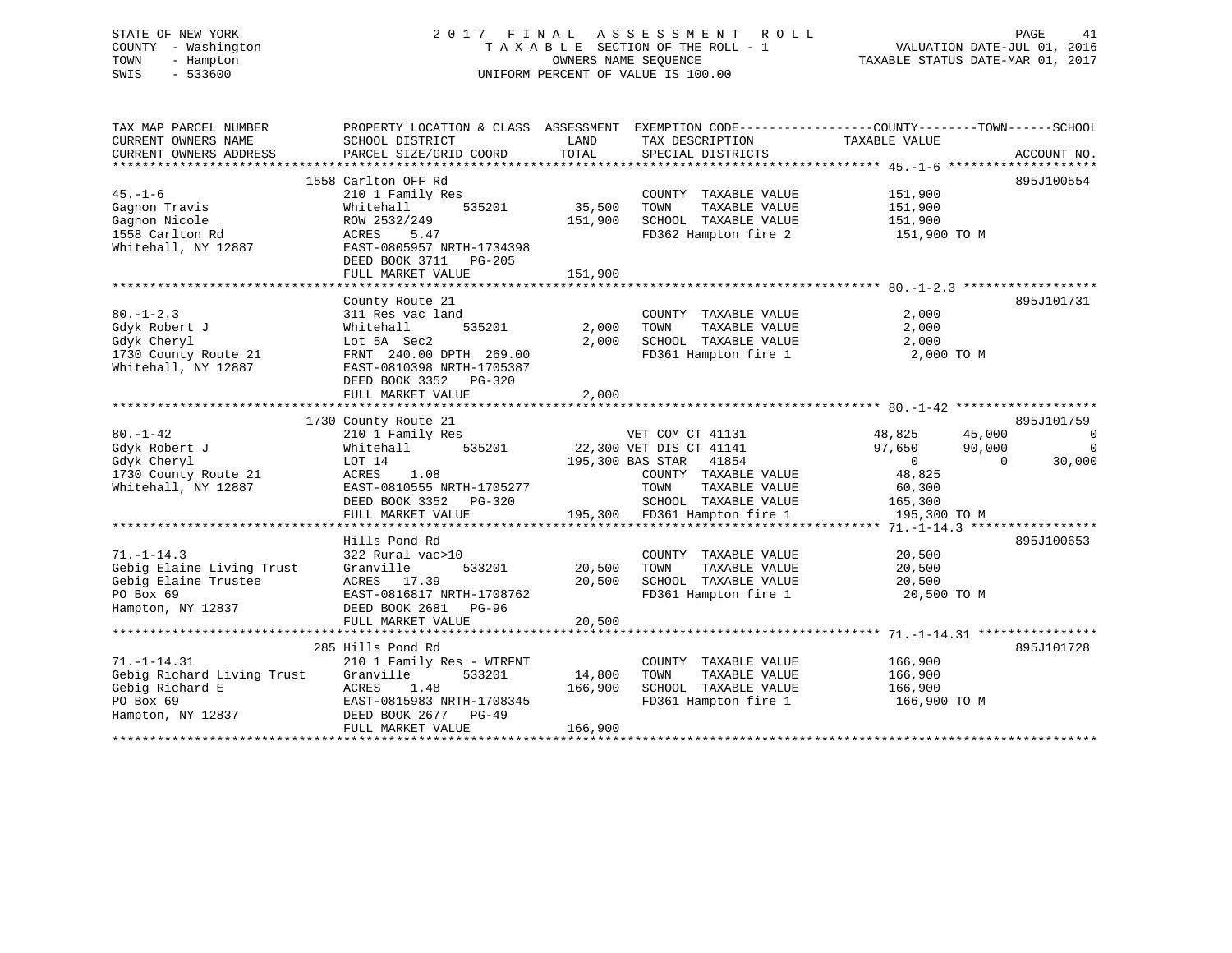#### STATE OF NEW YORK 2 0 1 7 F I N A L A S S E S S M E N T R O L L PAGE 41COUNTY - Washington  $T A X A B L E$  SECTION OF THE ROLL - 1<br>TOWN - Hampton DATE-JUL 000NERS NAME SEQUENCE TOWN - Hampton OWNERS NAME SEQUENCE TAXABLE STATUS DATE-MAR 01, 2017 SWIS - 533600 UNIFORM PERCENT OF VALUE IS 100.00

VALUATION DATE-JUL 01, 2016

| TAX MAP PARCEL NUMBER      | PROPERTY LOCATION & CLASS ASSESSMENT EXEMPTION CODE---------------COUNTY-------TOWN-----SCHOOL |               |                              |                    |                    |
|----------------------------|------------------------------------------------------------------------------------------------|---------------|------------------------------|--------------------|--------------------|
| CURRENT OWNERS NAME        | SCHOOL DISTRICT                                                                                | LAND          | TAX DESCRIPTION              | TAXABLE VALUE      |                    |
| CURRENT OWNERS ADDRESS     | PARCEL SIZE/GRID COORD                                                                         | TOTAL         | SPECIAL DISTRICTS            |                    | ACCOUNT NO.        |
|                            |                                                                                                |               |                              |                    |                    |
|                            | 1558 Carlton OFF Rd                                                                            |               |                              |                    | 895J100554         |
| $45. - 1 - 6$              | 210 1 Family Res                                                                               |               | COUNTY TAXABLE VALUE         | 151,900            |                    |
| Gagnon Travis              | 535201<br>Whitehall                                                                            | 35,500        | TOWN<br>TAXABLE VALUE        | 151,900            |                    |
| Gagnon Nicole              | ROW 2532/249                                                                                   | 151,900       | SCHOOL TAXABLE VALUE         | 151,900            |                    |
| 1558 Carlton Rd            | ACRES<br>5.47                                                                                  |               | FD362 Hampton fire 2         | 151,900 TO M       |                    |
| Whitehall, NY 12887        | EAST-0805957 NRTH-1734398                                                                      |               |                              |                    |                    |
|                            | DEED BOOK 3711 PG-205                                                                          |               |                              |                    |                    |
|                            | FULL MARKET VALUE                                                                              | 151,900       |                              |                    |                    |
|                            |                                                                                                |               |                              |                    |                    |
|                            | County Route 21                                                                                |               |                              |                    | 895J101731         |
| $80. - 1 - 2.3$            | 311 Res vac land                                                                               |               | COUNTY TAXABLE VALUE         | 2,000              |                    |
| Gdyk Robert J              | 535201<br>Whitehall                                                                            | 2,000         | TAXABLE VALUE<br>TOWN        | 2,000              |                    |
| Gdyk Cheryl                | Lot 5A Sec2                                                                                    | 2,000         | SCHOOL TAXABLE VALUE         | 2,000              |                    |
| 1730 County Route 21       | FRNT 240.00 DPTH 269.00                                                                        |               | FD361 Hampton fire 1         | 2,000 TO M         |                    |
| Whitehall, NY 12887        | EAST-0810398 NRTH-1705387                                                                      |               |                              |                    |                    |
|                            | DEED BOOK 3352 PG-320                                                                          |               |                              |                    |                    |
|                            | FULL MARKET VALUE                                                                              | 2,000         |                              |                    |                    |
|                            |                                                                                                |               |                              |                    |                    |
|                            | 1730 County Route 21                                                                           |               |                              |                    | 895J101759         |
| $80. - 1 - 42$             | 210 1 Family Res                                                                               |               | VET COM CT 41131             | 48,825<br>45,000   | 0                  |
| Gdyk Robert J              | 535201<br>Whitehall                                                                            |               | 22,300 VET DIS CT 41141      | 97,650<br>90,000   | $\mathbf 0$        |
| Gdyk Cheryl                | LOT 14                                                                                         |               | 195,300 BAS STAR 41854       | $\overline{0}$     | 30,000<br>$\Omega$ |
| 1730 County Route 21       | 1.08<br>ACRES                                                                                  |               | COUNTY TAXABLE VALUE         | 48,825             |                    |
| Whitehall, NY 12887        | EAST-0810555 NRTH-1705277                                                                      |               | TOWN<br>TAXABLE VALUE        | 60,300             |                    |
|                            | DEED BOOK 3352 PG-320                                                                          |               | SCHOOL TAXABLE VALUE         | 165,300            |                    |
|                            | FULL MARKET VALUE                                                                              |               | 195,300 FD361 Hampton fire 1 | 195,300 TO M       |                    |
|                            |                                                                                                |               |                              |                    |                    |
|                            | Hills Pond Rd                                                                                  |               |                              |                    | 895J100653         |
| $71. - 1 - 14.3$           | 322 Rural vac>10                                                                               |               | COUNTY TAXABLE VALUE         | 20,500             |                    |
| Gebig Elaine Living Trust  | Granville<br>533201                                                                            | 20,500        | TOWN<br>TAXABLE VALUE        | 20,500             |                    |
| Gebig Elaine Trustee       | ACRES 17.39                                                                                    | 20,500        | SCHOOL TAXABLE VALUE         | 20,500             |                    |
| PO Box 69                  | EAST-0816817 NRTH-1708762                                                                      |               | FD361 Hampton fire 1         | 20,500 TO M        |                    |
| Hampton, NY 12837          | DEED BOOK 2681 PG-96                                                                           |               |                              |                    |                    |
|                            | FULL MARKET VALUE                                                                              | 20,500        |                              |                    |                    |
|                            |                                                                                                | ************* |                              |                    |                    |
|                            | 285 Hills Pond Rd                                                                              |               |                              |                    | 895J101728         |
| $71. - 1 - 14.31$          | 210 1 Family Res - WTRFNT                                                                      |               | COUNTY TAXABLE VALUE         | 166,900            |                    |
| Gebig Richard Living Trust | 533201<br>Granville                                                                            | 14,800        | TAXABLE VALUE<br>TOWN        |                    |                    |
| Gebig Richard E            | 1.48<br>ACRES                                                                                  | 166,900       | SCHOOL TAXABLE VALUE         | 166,900<br>166,900 |                    |
| PO Box 69                  | EAST-0815983 NRTH-1708345                                                                      |               | FD361 Hampton fire 1         | 166,900 TO M       |                    |
| Hampton, NY 12837          | DEED BOOK 2677 PG-49                                                                           |               |                              |                    |                    |
|                            | FULL MARKET VALUE                                                                              | 166,900       |                              |                    |                    |
|                            |                                                                                                |               |                              |                    |                    |
|                            |                                                                                                |               |                              |                    |                    |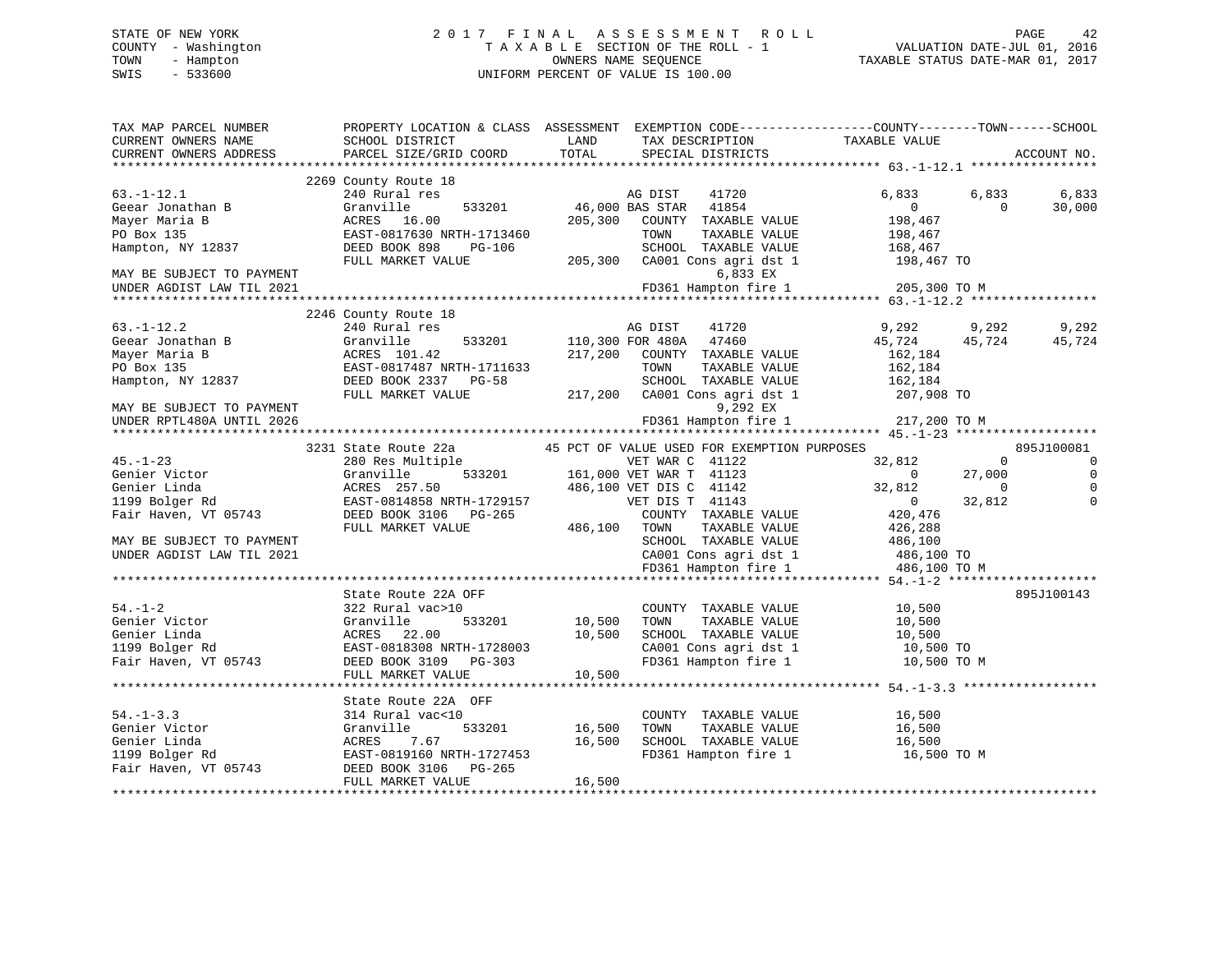# STATE OF NEW YORK 2 0 1 7 F I N A L A S S E S S M E N T R O L L PAGE 42 COUNTY - Washington T A X A B L E SECTION OF THE ROLL - 1 VALUATION DATE-JUL 01, 2016 TOWN - Hampton OWNERS NAME SEQUENCE TAXABLE STATUS DATE-MAR 01, 2017 SWIS - 533600 UNIFORM PERCENT OF VALUE IS 100.00UNIFORM PERCENT OF VALUE IS 100.00

| TAX MAP PARCEL NUMBER<br>CURRENT OWNERS NAME | SCHOOL DISTRICT           | PROPERTY LOCATION & CLASS ASSESSMENT EXEMPTION CODE---------------COUNTY-------TOWN-----SCHOOL<br>LAND<br>TAX DESCRIPTION | TAXABLE VALUE            |                |
|----------------------------------------------|---------------------------|---------------------------------------------------------------------------------------------------------------------------|--------------------------|----------------|
| CURRENT OWNERS ADDRESS                       | PARCEL SIZE/GRID COORD    | TOTAL<br>SPECIAL DISTRICTS                                                                                                |                          | ACCOUNT NO.    |
|                                              |                           |                                                                                                                           |                          |                |
|                                              | 2269 County Route 18      |                                                                                                                           |                          |                |
| $63. - 1 - 12.1$                             | 240 Rural res             | AG DIST<br>41720                                                                                                          | 6,833<br>6,833           | 6,833          |
| Geear Jonathan B                             | 533201<br>Granville       | 46,000 BAS STAR<br>41854                                                                                                  | $\Omega$<br>$\Omega$     | 30,000         |
| Mayer Maria B                                | ACRES 16.00               | 205,300<br>COUNTY TAXABLE VALUE                                                                                           | 198,467                  |                |
| PO Box 135                                   | EAST-0817630 NRTH-1713460 | TAXABLE VALUE<br>TOWN                                                                                                     | 198,467                  |                |
| Hampton, NY 12837                            | DEED BOOK 898<br>PG-106   | SCHOOL TAXABLE VALUE                                                                                                      | 168,467                  |                |
|                                              | FULL MARKET VALUE         | 205,300 CA001 Cons agri dst 1                                                                                             | 198,467 TO               |                |
| MAY BE SUBJECT TO PAYMENT                    |                           | 6,833 EX                                                                                                                  |                          |                |
| UNDER AGDIST LAW TIL 2021                    |                           | FD361 Hampton fire 1                                                                                                      | 205,300 TO M             |                |
|                                              |                           |                                                                                                                           |                          |                |
|                                              | 2246 County Route 18      |                                                                                                                           |                          |                |
| $63. - 1 - 12.2$                             | 240 Rural res             | AG DIST<br>41720                                                                                                          | 9.292<br>9,292           | 9,292          |
| Geear Jonathan B                             | 533201<br>Granville       | 110,300 FOR 480A<br>47460                                                                                                 | 45,724<br>45,724         | 45,724         |
| Mayer Maria B                                | ACRES 101.42              | 217,200<br>COUNTY TAXABLE VALUE                                                                                           | 162,184                  |                |
| PO Box 135                                   | EAST-0817487 NRTH-1711633 | TOWN<br>TAXABLE VALUE                                                                                                     | 162,184                  |                |
| Hampton, NY 12837                            | DEED BOOK 2337 PG-58      | SCHOOL TAXABLE VALUE                                                                                                      | 162,184                  |                |
|                                              | FULL MARKET VALUE         | 217,200 CA001 Cons agri dst 1                                                                                             | 207,908 TO               |                |
| MAY BE SUBJECT TO PAYMENT                    |                           | 9,292 EX                                                                                                                  |                          |                |
| UNDER RPTL480A UNTIL 2026                    |                           | FD361 Hampton fire 1                                                                                                      | 217,200 TO M             |                |
|                                              |                           |                                                                                                                           |                          |                |
|                                              | 3231 State Route 22a      | 45 PCT OF VALUE USED FOR EXEMPTION PURPOSES                                                                               |                          | 895J100081     |
| $45. - 1 - 23$                               | 280 Res Multiple          | VET WAR C 41122                                                                                                           | 32,812<br>$\Omega$       | $\overline{0}$ |
| Genier Victor                                | 533201<br>Granville       | 161,000 VET WAR T 41123                                                                                                   | 27,000<br>$\Omega$       |                |
| Genier Linda                                 | ACRES 257.50              | 486,100 VET DIS C 41142                                                                                                   | 32,812<br>$\mathbf 0$    |                |
| 1199 Bolger Rd                               | EAST-0814858 NRTH-1729157 | VET DIS T 41143                                                                                                           | 32,812<br>$\overline{0}$ |                |
| Fair Haven, VT 05743                         | DEED BOOK 3106 PG-265     | COUNTY TAXABLE VALUE                                                                                                      | 420,476                  |                |
|                                              | FULL MARKET VALUE         | 486,100<br>TOWN<br>TAXABLE VALUE                                                                                          | 426,288                  |                |
| MAY BE SUBJECT TO PAYMENT                    |                           | SCHOOL TAXABLE VALUE                                                                                                      | 486,100                  |                |
| UNDER AGDIST LAW TIL 2021                    |                           | CA001 Cons agri dst 1                                                                                                     | 486,100 TO               |                |
|                                              |                           | FD361 Hampton fire 1                                                                                                      | 486,100 TO M             |                |
|                                              |                           |                                                                                                                           |                          |                |
|                                              | State Route 22A OFF       |                                                                                                                           |                          | 895J100143     |
| $54. - 1 - 2$                                | 322 Rural vac>10          | COUNTY TAXABLE VALUE                                                                                                      | 10,500                   |                |
| Genier Victor                                | 533201<br>Granville       | 10,500<br>TAXABLE VALUE<br>TOWN                                                                                           | 10,500                   |                |
| Genier Linda                                 | ACRES 22.00               | 10,500<br>SCHOOL TAXABLE VALUE                                                                                            | 10,500                   |                |
| 1199 Bolger Rd                               | EAST-0818308 NRTH-1728003 | CA001 Cons agri dst 1                                                                                                     | 10,500 TO                |                |
| Fair Haven, VT 05743                         | DEED BOOK 3109 PG-303     | FD361 Hampton fire 1                                                                                                      | 10,500 TO M              |                |
|                                              | FULL MARKET VALUE         | 10,500                                                                                                                    |                          |                |
|                                              |                           |                                                                                                                           |                          |                |
|                                              | State Route 22A OFF       |                                                                                                                           |                          |                |
| $54. - 1 - 3.3$                              | 314 Rural vac<10          | COUNTY TAXABLE VALUE                                                                                                      | 16,500                   |                |
| Genier Victor                                | Granville<br>533201       | 16,500<br>TAXABLE VALUE<br>TOWN                                                                                           | 16,500                   |                |
| Genier Linda                                 | ACRES<br>7.67             | 16,500<br>SCHOOL TAXABLE VALUE                                                                                            | 16,500                   |                |
| 1199 Bolger Rd                               | EAST-0819160 NRTH-1727453 | FD361 Hampton fire 1                                                                                                      | 16,500 TO M              |                |
| Fair Haven, VT 05743                         | DEED BOOK 3106 PG-265     |                                                                                                                           |                          |                |
|                                              | FULL MARKET VALUE         | 16,500                                                                                                                    |                          |                |
|                                              |                           |                                                                                                                           |                          |                |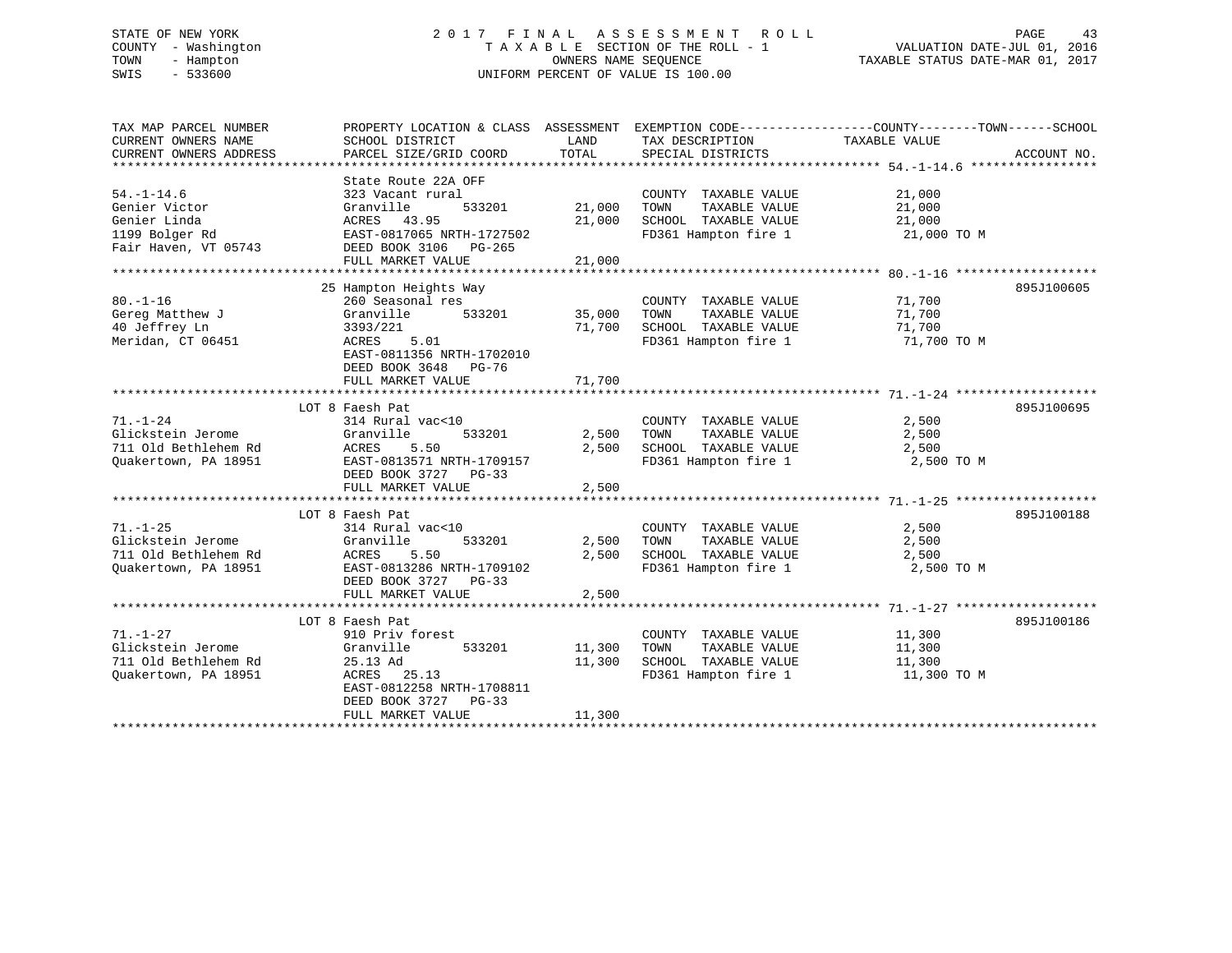# STATE OF NEW YORK 2 0 1 7 F I N A L A S S E S S M E N T R O L L PAGE 43 COUNTY - Washington T A X A B L E SECTION OF THE ROLL - 1 VALUATION DATE-JUL 01, 2016 TOWN - Hampton OWNERS NAME SEQUENCE TAXABLE STATUS DATE-MAR 01, 2017 SWIS - 533600 UNIFORM PERCENT OF VALUE IS 100.00

| TAX MAP PARCEL NUMBER  | PROPERTY LOCATION & CLASS ASSESSMENT EXEMPTION CODE---------------COUNTY-------TOWN-----SCHOOL |        |                       |               |             |
|------------------------|------------------------------------------------------------------------------------------------|--------|-----------------------|---------------|-------------|
| CURRENT OWNERS NAME    | SCHOOL DISTRICT                                                                                | LAND   | TAX DESCRIPTION       | TAXABLE VALUE |             |
| CURRENT OWNERS ADDRESS | PARCEL SIZE/GRID COORD                                                                         | TOTAL  | SPECIAL DISTRICTS     |               | ACCOUNT NO. |
|                        |                                                                                                |        |                       |               |             |
|                        | State Route 22A OFF                                                                            |        |                       |               |             |
| $54. - 1 - 14.6$       | 323 Vacant rural                                                                               |        | COUNTY TAXABLE VALUE  | 21,000        |             |
| Genier Victor          | 533201<br>Granville                                                                            | 21,000 | TOWN<br>TAXABLE VALUE | 21,000        |             |
| Genier Linda           | ACRES 43.95                                                                                    | 21,000 | SCHOOL TAXABLE VALUE  | 21,000        |             |
| 1199 Bolger Rd         | EAST-0817065 NRTH-1727502                                                                      |        | FD361 Hampton fire 1  | 21,000 TO M   |             |
| Fair Haven, VT 05743   | DEED BOOK 3106 PG-265                                                                          |        |                       |               |             |
|                        | FULL MARKET VALUE                                                                              | 21,000 |                       |               |             |
|                        |                                                                                                |        |                       |               |             |
|                        | 25 Hampton Heights Way                                                                         |        |                       |               | 895J100605  |
| $80. -1 - 16$          | 260 Seasonal res                                                                               |        | COUNTY TAXABLE VALUE  | 71,700        |             |
| Gereg Matthew J        | 533201<br>Granville                                                                            | 35,000 | TAXABLE VALUE<br>TOWN | 71,700        |             |
| 40 Jeffrey Ln          | 3393/221                                                                                       | 71,700 | SCHOOL TAXABLE VALUE  | 71,700        |             |
| Meridan, CT 06451      | ACRES 5.01                                                                                     |        | FD361 Hampton fire 1  | 71,700 TO M   |             |
|                        |                                                                                                |        |                       |               |             |
|                        | EAST-0811356 NRTH-1702010                                                                      |        |                       |               |             |
|                        | DEED BOOK 3648 PG-76                                                                           |        |                       |               |             |
|                        | FULL MARKET VALUE                                                                              | 71,700 |                       |               |             |
|                        |                                                                                                |        |                       |               |             |
|                        | LOT 8 Faesh Pat                                                                                |        |                       |               | 895J100695  |
| $71. - 1 - 24$         | 314 Rural vac<10                                                                               |        | COUNTY TAXABLE VALUE  | 2,500         |             |
| Glickstein Jerome      | Granville<br>533201                                                                            | 2,500  | TOWN<br>TAXABLE VALUE | 2,500         |             |
| 711 Old Bethlehem Rd   | ACRES<br>5.50                                                                                  | 2,500  | SCHOOL TAXABLE VALUE  | 2,500         |             |
| Quakertown, PA 18951   | EAST-0813571 NRTH-1709157                                                                      |        | FD361 Hampton fire 1  | 2,500 TO M    |             |
|                        | DEED BOOK 3727 PG-33                                                                           |        |                       |               |             |
|                        | FULL MARKET VALUE                                                                              | 2,500  |                       |               |             |
|                        |                                                                                                |        |                       |               |             |
|                        | LOT 8 Faesh Pat                                                                                |        |                       |               | 895J100188  |
| $71. - 1 - 25$         | 314 Rural vac<10                                                                               |        | COUNTY TAXABLE VALUE  | 2,500         |             |
| Glickstein Jerome      | Granville<br>533201                                                                            | 2,500  | TOWN<br>TAXABLE VALUE | 2,500         |             |
| 711 Old Bethlehem Rd   | ACRES<br>5.50                                                                                  | 2,500  | SCHOOL TAXABLE VALUE  | 2,500         |             |
| Quakertown, PA 18951   | EAST-0813286 NRTH-1709102                                                                      |        | FD361 Hampton fire 1  | 2,500 TO M    |             |
|                        | DEED BOOK 3727 PG-33                                                                           |        |                       |               |             |
|                        | FULL MARKET VALUE                                                                              | 2,500  |                       |               |             |
|                        |                                                                                                |        |                       |               |             |
|                        | LOT 8 Faesh Pat                                                                                |        |                       |               | 895J100186  |
|                        |                                                                                                |        |                       |               |             |
| $71. - 1 - 27$         | 910 Priv forest                                                                                |        | COUNTY TAXABLE VALUE  | 11,300        |             |
| Glickstein Jerome      | 533201<br>Granville                                                                            | 11,300 | TAXABLE VALUE<br>TOWN | 11,300        |             |
| 711 Old Bethlehem Rd   | 25.13 Ad                                                                                       | 11,300 | SCHOOL TAXABLE VALUE  | 11,300        |             |
| Quakertown, PA 18951   | ACRES 25.13                                                                                    |        | FD361 Hampton fire 1  | 11,300 TO M   |             |
|                        | EAST-0812258 NRTH-1708811                                                                      |        |                       |               |             |
|                        | DEED BOOK 3727 PG-33                                                                           |        |                       |               |             |
|                        | FULL MARKET VALUE                                                                              | 11,300 |                       |               |             |
|                        |                                                                                                |        |                       |               |             |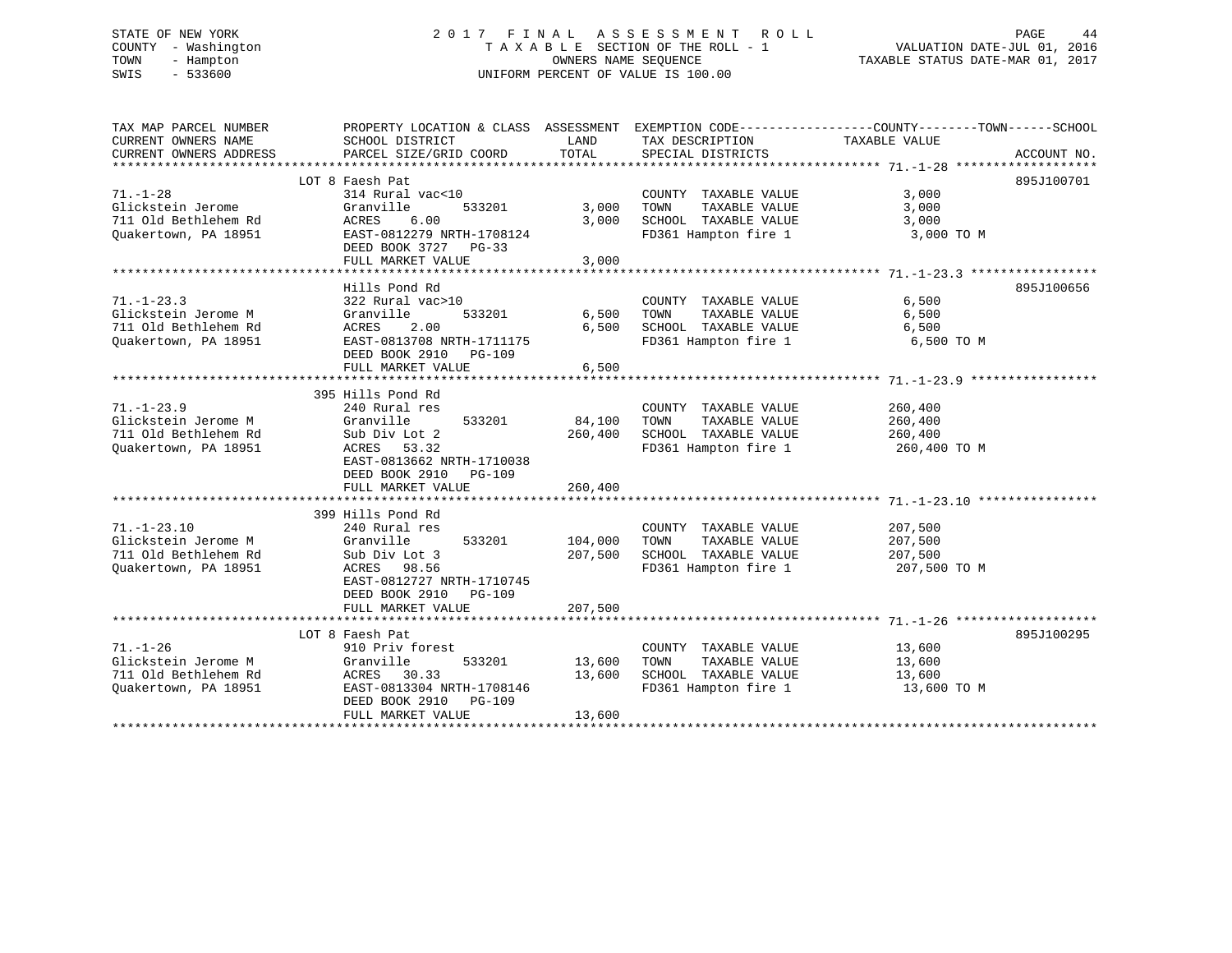# STATE OF NEW YORK 2 0 1 7 F I N A L A S S E S S M E N T R O L L PAGE 44 COUNTY - Washington T A X A B L E SECTION OF THE ROLL - 1 VALUATION DATE-JUL 01, 2016 TOWN - Hampton OWNERS NAME SEQUENCE TAXABLE STATUS DATE-MAR 01, 2017 SWIS - 533600 UNIFORM PERCENT OF VALUE IS 100.00

| TAX MAP PARCEL NUMBER  | PROPERTY LOCATION & CLASS ASSESSMENT EXEMPTION CODE---------------COUNTY-------TOWN------SCHOOL |         |                       |               |             |
|------------------------|-------------------------------------------------------------------------------------------------|---------|-----------------------|---------------|-------------|
| CURRENT OWNERS NAME    | SCHOOL DISTRICT                                                                                 | LAND    | TAX DESCRIPTION       | TAXABLE VALUE |             |
| CURRENT OWNERS ADDRESS | PARCEL SIZE/GRID COORD                                                                          | TOTAL   | SPECIAL DISTRICTS     |               | ACCOUNT NO. |
|                        |                                                                                                 |         |                       |               |             |
|                        | LOT 8 Faesh Pat                                                                                 |         |                       |               | 895J100701  |
|                        |                                                                                                 |         |                       | 3,000         |             |
| 71.-1-28               | 314 Rural vac<10                                                                                |         | COUNTY TAXABLE VALUE  |               |             |
| Glickstein Jerome      | Granville<br>533201                                                                             | 3,000   | TOWN<br>TAXABLE VALUE | 3,000         |             |
| 711 Old Bethlehem Rd   | ACRES<br>6.00                                                                                   | 3,000   | SCHOOL TAXABLE VALUE  | 3,000         |             |
| Ouakertown, PA 18951   | EAST-0812279 NRTH-1708124                                                                       |         | FD361 Hampton fire 1  | 3,000 TO M    |             |
|                        | DEED BOOK 3727 PG-33                                                                            |         |                       |               |             |
|                        | FULL MARKET VALUE                                                                               | 3,000   |                       |               |             |
|                        |                                                                                                 |         |                       |               |             |
|                        | Hills Pond Rd                                                                                   |         |                       |               | 895J100656  |
| $71. - 1 - 23.3$       | 322 Rural vac>10                                                                                |         | COUNTY TAXABLE VALUE  | 6,500         |             |
| Glickstein Jerome M    | 533201<br>Granville                                                                             | 6,500   | TOWN<br>TAXABLE VALUE | 6,500         |             |
| 711 Old Bethlehem Rd   | 2.00<br>ACRES                                                                                   | 6,500   | SCHOOL TAXABLE VALUE  | 6,500         |             |
| Quakertown, PA 18951   | EAST-0813708 NRTH-1711175                                                                       |         | FD361 Hampton fire 1  | 6,500 TO M    |             |
|                        | DEED BOOK 2910<br>PG-109                                                                        |         |                       |               |             |
|                        |                                                                                                 | 6,500   |                       |               |             |
|                        | FULL MARKET VALUE                                                                               |         |                       |               |             |
|                        |                                                                                                 |         |                       |               |             |
|                        | 395 Hills Pond Rd                                                                               |         |                       |               |             |
| $71. - 1 - 23.9$       | 240 Rural res                                                                                   |         | COUNTY TAXABLE VALUE  | 260,400       |             |
| Glickstein Jerome M    | 533201<br>Granville                                                                             | 84,100  | TOWN<br>TAXABLE VALUE | 260,400       |             |
| 711 Old Bethlehem Rd   | Sub Div Lot 2                                                                                   | 260,400 | SCHOOL TAXABLE VALUE  | 260,400       |             |
| Quakertown, PA 18951   | ACRES 53.32                                                                                     |         | FD361 Hampton fire 1  | 260,400 TO M  |             |
|                        | EAST-0813662 NRTH-1710038                                                                       |         |                       |               |             |
|                        | DEED BOOK 2910 PG-109                                                                           |         |                       |               |             |
|                        | FULL MARKET VALUE                                                                               | 260,400 |                       |               |             |
|                        |                                                                                                 |         |                       |               |             |
|                        | 399 Hills Pond Rd                                                                               |         |                       |               |             |
| $71. - 1 - 23.10$      | 240 Rural res                                                                                   |         | COUNTY TAXABLE VALUE  | 207,500       |             |
| Glickstein Jerome M    | 533201 104,000                                                                                  |         |                       |               |             |
|                        | Granville                                                                                       |         | TOWN<br>TAXABLE VALUE | 207,500       |             |
| 711 Old Bethlehem Rd   | Sub Div Lot 3                                                                                   | 207,500 | SCHOOL TAXABLE VALUE  | 207,500       |             |
| Quakertown, PA 18951   | ACRES 98.56                                                                                     |         | FD361 Hampton fire 1  | 207,500 TO M  |             |
|                        | EAST-0812727 NRTH-1710745                                                                       |         |                       |               |             |
|                        | DEED BOOK 2910 PG-109                                                                           |         |                       |               |             |
|                        | FULL MARKET VALUE                                                                               | 207,500 |                       |               |             |
|                        |                                                                                                 |         |                       |               |             |
|                        | LOT 8 Faesh Pat                                                                                 |         |                       |               | 895J100295  |
| $71. - 1 - 26$         | 910 Priv forest                                                                                 |         | COUNTY TAXABLE VALUE  | 13,600        |             |
| Glickstein Jerome M    | 533201<br>Granville                                                                             | 13,600  | TOWN<br>TAXABLE VALUE | 13,600        |             |
| 711 Old Bethlehem Rd   | ACRES 30.33                                                                                     | 13,600  | SCHOOL TAXABLE VALUE  | 13,600        |             |
| Quakertown, PA 18951   | EAST-0813304 NRTH-1708146                                                                       |         | FD361 Hampton fire 1  | 13,600 TO M   |             |
|                        | DEED BOOK 2910 PG-109                                                                           |         |                       |               |             |
|                        |                                                                                                 | 13,600  |                       |               |             |
|                        | FULL MARKET VALUE                                                                               |         |                       |               |             |
|                        |                                                                                                 |         |                       |               |             |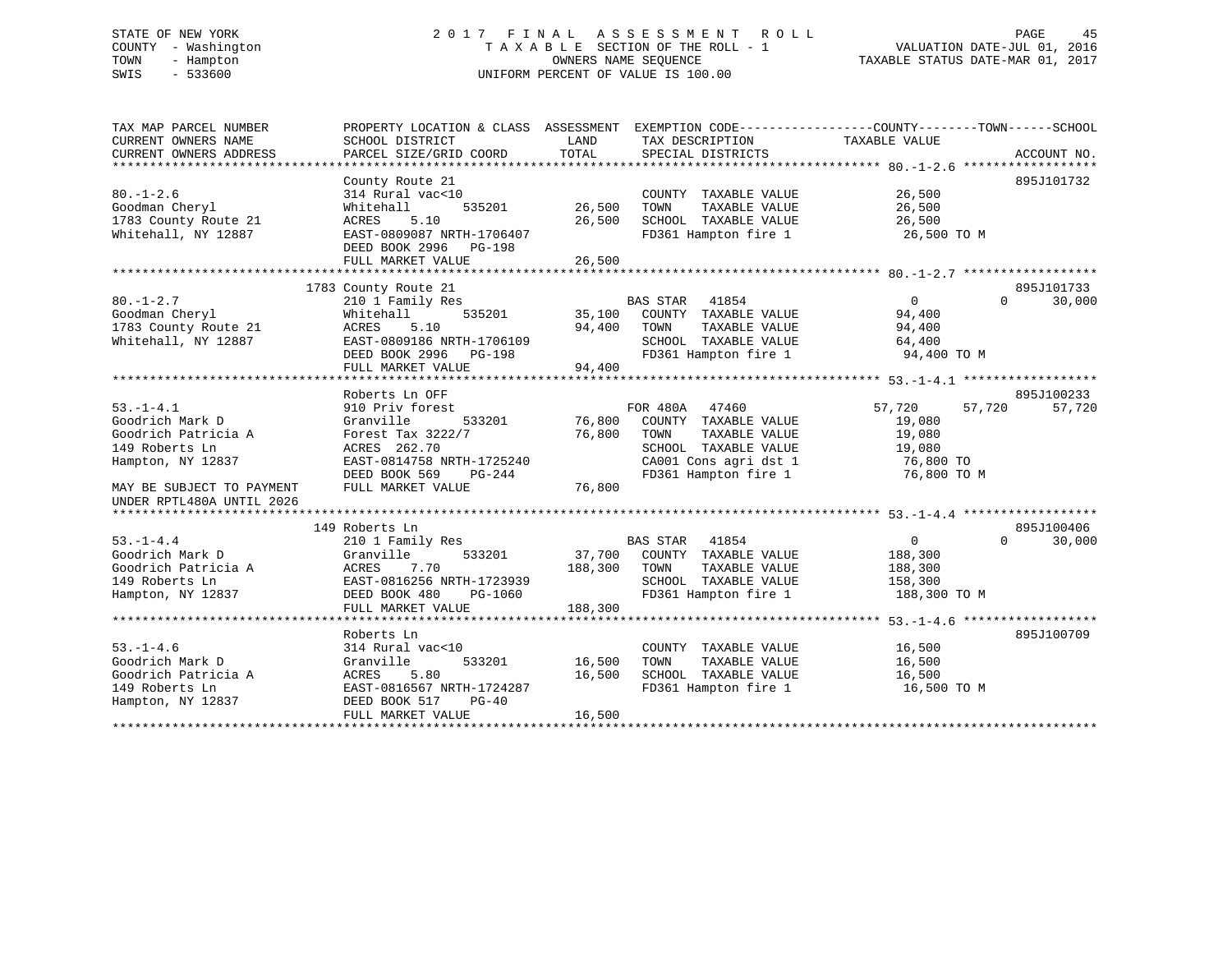# STATE OF NEW YORK 2 0 1 7 F I N A L A S S E S S M E N T R O L L PAGE 45 COUNTY - Washington T A X A B L E SECTION OF THE ROLL - 1 VALUATION DATE-JUL 01, 2016 TOWN - Hampton OWNERS NAME SEQUENCE TAXABLE STATUS DATE-MAR 01, 2017 SWIS - 533600 UNIFORM PERCENT OF VALUE IS 100.00

| SCHOOL DISTRICT<br>PARCEL SIZE/GRID COORD                                                                                                              | LAND<br>TOTAL                                           | TAX DESCRIPTION<br>SPECIAL DISTRICTS                                                                                            | TAXABLE VALUE                                                              | ACCOUNT NO.                                                                                    |
|--------------------------------------------------------------------------------------------------------------------------------------------------------|---------------------------------------------------------|---------------------------------------------------------------------------------------------------------------------------------|----------------------------------------------------------------------------|------------------------------------------------------------------------------------------------|
| County Route 21<br>314 Rural vac<10<br>535201<br>Whitehall<br>ACRES<br>5.10<br>EAST-0809087 NRTH-1706407<br>DEED BOOK 2996 PG-198<br>FULL MARKET VALUE | 26,500<br>26,500<br>26,500                              | COUNTY TAXABLE VALUE<br>TAXABLE VALUE<br>TOWN<br>SCHOOL TAXABLE VALUE<br>FD361 Hampton fire 1                                   | 26,500<br>26,500<br>26,500<br>26,500 TO M                                  | 895J101732                                                                                     |
|                                                                                                                                                        |                                                         |                                                                                                                                 |                                                                            |                                                                                                |
| 210 1 Family Res<br>Whitehall<br>535201<br>ACRES<br>5.10<br>EAST-0809186 NRTH-1706109<br>DEED BOOK 2996 PG-198<br>FULL MARKET VALUE                    | 94,400<br>94,400                                        | 41854<br>TOWN<br>TAXABLE VALUE<br>SCHOOL TAXABLE VALUE<br>FD361 Hampton fire 1                                                  | 0<br>94,400<br>94,400<br>64,400<br>94,400 TO M                             | 895J101733<br>$\Omega$<br>30,000                                                               |
| Roberts Ln OFF                                                                                                                                         |                                                         |                                                                                                                                 |                                                                            | 895J100233                                                                                     |
| 910 Priv forest<br>Granville<br>533201<br>Forest Tax 3222/7<br>ACRES 262.70<br>EAST-0814758 NRTH-1725240<br>DEED BOOK 569<br>PG-244                    | 76,800<br>76,800                                        | 47460<br>COUNTY TAXABLE VALUE<br>TAXABLE VALUE<br>TOWN<br>SCHOOL TAXABLE VALUE<br>CA001 Cons agri dst 1<br>FD361 Hampton fire 1 | 57,720<br>57,720<br>19,080<br>19,080<br>19,080<br>76,800 TO<br>76,800 TO M | 57,720                                                                                         |
|                                                                                                                                                        |                                                         |                                                                                                                                 |                                                                            |                                                                                                |
|                                                                                                                                                        |                                                         |                                                                                                                                 |                                                                            |                                                                                                |
| 149 Roberts Ln                                                                                                                                         |                                                         |                                                                                                                                 |                                                                            | 895J100406                                                                                     |
| 210 1 Family Res<br>533201<br>Granville<br><b>ACRES</b><br>7.70<br>EAST-0816256 NRTH-1723939<br>DEED BOOK 480<br>PG-1060<br>FULL MARKET VALUE          | 37,700<br>188,300<br>188,300                            | 41854<br>COUNTY TAXABLE VALUE<br>TOWN<br>TAXABLE VALUE<br>SCHOOL TAXABLE VALUE<br>FD361 Hampton fire 1                          | $\overline{0}$<br>188,300<br>188,300<br>158,300<br>188,300 TO M            | $\Omega$<br>30,000                                                                             |
|                                                                                                                                                        |                                                         |                                                                                                                                 |                                                                            |                                                                                                |
| 314 Rural vac<10<br>533201<br>Granville<br>ACRES<br>5.80<br>EAST-0816567 NRTH-1724287<br>DEED BOOK 517<br>$PG-40$<br>FULL MARKET VALUE                 | 16,500<br>16,500<br>16,500                              | COUNTY TAXABLE VALUE<br>TOWN<br>TAXABLE VALUE<br>SCHOOL TAXABLE VALUE<br>FD361 Hampton fire 1                                   | 16,500<br>16,500<br>16,500<br>16,500 TO M                                  | 895J100709                                                                                     |
|                                                                                                                                                        | 1783 County Route 21<br>FULL MARKET VALUE<br>Roberts Ln | 76,800                                                                                                                          | <b>BAS STAR</b><br>35,100 COUNTY TAXABLE VALUE<br>FOR 480A<br>BAS STAR     | PROPERTY LOCATION & CLASS ASSESSMENT EXEMPTION CODE---------------COUNTY-------TOWN-----SCHOOL |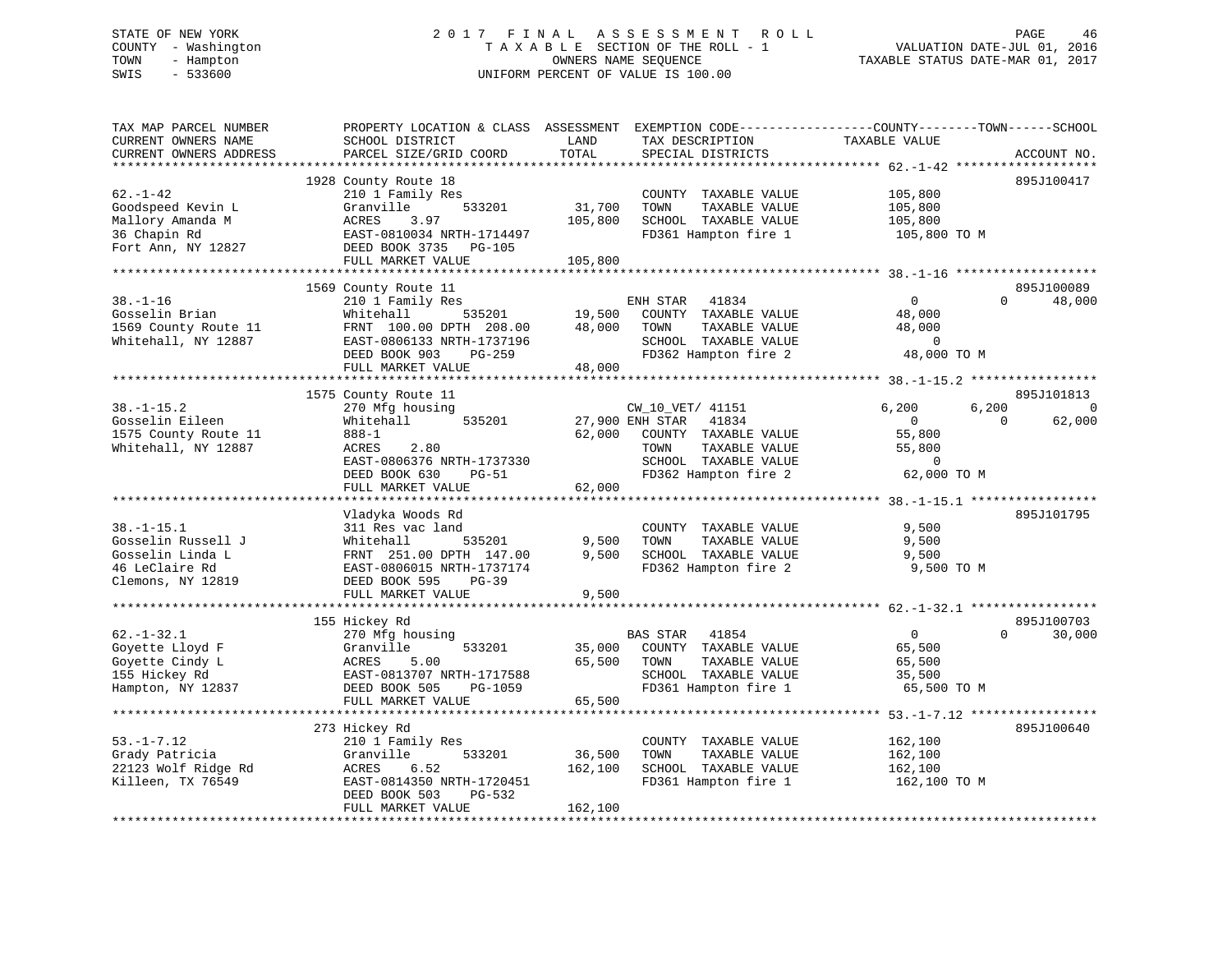# STATE OF NEW YORK 2 0 1 7 F I N A L A S S E S S M E N T R O L L PAGE 46 COUNTY - Washington T A X A B L E SECTION OF THE ROLL - 1 VALUATION DATE-JUL 01, 2016 TOWN - Hampton OWNERS NAME SEQUENCE TAXABLE STATUS DATE-MAR 01, 2017 SWIS - 533600 UNIFORM PERCENT OF VALUE IS 100.00

| TAX MAP PARCEL NUMBER<br>CURRENT OWNERS NAME<br>CURRENT OWNERS ADDRESS | PROPERTY LOCATION & CLASS ASSESSMENT<br>SCHOOL DISTRICT<br>PARCEL SIZE/GRID COORD | LAND<br>TOTAL | TAX DESCRIPTION<br>SPECIAL DISTRICTS | EXEMPTION CODE-----------------COUNTY-------TOWN------SCHOOL<br>TAXABLE VALUE | ACCOUNT NO. |
|------------------------------------------------------------------------|-----------------------------------------------------------------------------------|---------------|--------------------------------------|-------------------------------------------------------------------------------|-------------|
| * * * * * * * * * * * * * * *                                          | ***********************                                                           |               |                                      |                                                                               |             |
|                                                                        | 1928 County Route 18                                                              |               |                                      |                                                                               | 895J100417  |
| $62. - 1 - 42$                                                         | 210 1 Family Res                                                                  |               | COUNTY TAXABLE VALUE                 | 105,800                                                                       |             |
| Goodspeed Kevin L                                                      | 533201<br>Granville                                                               | 31,700        | TOWN<br>TAXABLE VALUE                | 105,800                                                                       |             |
| Mallory Amanda M                                                       | ACRES<br>3.97                                                                     | 105,800       | SCHOOL TAXABLE VALUE                 | 105,800                                                                       |             |
| 36 Chapin Rd                                                           | EAST-0810034 NRTH-1714497                                                         |               | FD361 Hampton fire 1                 | 105,800 TO M                                                                  |             |
| Fort Ann, NY 12827                                                     | DEED BOOK 3735<br>PG-105                                                          |               |                                      |                                                                               |             |
|                                                                        | FULL MARKET VALUE                                                                 | 105,800       |                                      |                                                                               |             |
|                                                                        |                                                                                   |               |                                      |                                                                               |             |
|                                                                        | 1569 County Route 11                                                              |               |                                      |                                                                               | 895J100089  |
| $38. - 1 - 16$                                                         | 210 1 Family Res                                                                  |               | 41834<br>ENH STAR                    | $\mathbf 0$<br>$\Omega$                                                       | 48,000      |
| Gosselin Brian                                                         | Whitehall<br>535201                                                               | 19,500        | COUNTY TAXABLE VALUE                 | 48,000                                                                        |             |
| 1569 County Route 11                                                   | FRNT 100.00 DPTH 208.00                                                           | 48,000        | TAXABLE VALUE<br>TOWN                | 48,000                                                                        |             |
| Whitehall, NY 12887                                                    | EAST-0806133 NRTH-1737196                                                         |               | SCHOOL TAXABLE VALUE                 | $\mathbf 0$                                                                   |             |
|                                                                        | DEED BOOK 903<br>$PG-259$                                                         |               | FD362 Hampton fire 2                 | 48,000 TO M                                                                   |             |
|                                                                        | FULL MARKET VALUE                                                                 | 48,000        |                                      |                                                                               |             |
|                                                                        | * * * * * * * * * * * * * * * * * * * *                                           |               |                                      |                                                                               |             |
|                                                                        | 1575 County Route 11                                                              |               |                                      |                                                                               | 895J101813  |
| $38. - 1 - 15.2$                                                       | 270 Mfg housing                                                                   |               | CW_10_VET/ 41151                     | 6,200<br>6,200                                                                | $\mathbf 0$ |
| Gosselin Eileen                                                        | 535201<br>Whitehall                                                               |               | 27,900 ENH STAR<br>41834             | 0<br>$\Omega$                                                                 | 62,000      |
| 1575 County Route 11                                                   | $888 - 1$                                                                         | 62,000        | COUNTY TAXABLE VALUE                 | 55,800                                                                        |             |
| Whitehall, NY 12887                                                    | 2.80<br>ACRES                                                                     |               | TOWN<br>TAXABLE VALUE                | 55,800                                                                        |             |
|                                                                        | EAST-0806376 NRTH-1737330                                                         |               | SCHOOL TAXABLE VALUE                 | $\overline{0}$                                                                |             |
|                                                                        | DEED BOOK 630<br>PG-51                                                            |               | FD362 Hampton fire 2                 | 62,000 TO M                                                                   |             |
|                                                                        | FULL MARKET VALUE                                                                 | 62,000        |                                      |                                                                               |             |
|                                                                        |                                                                                   |               |                                      |                                                                               |             |
|                                                                        | Vladyka Woods Rd                                                                  |               |                                      |                                                                               | 895J101795  |
| $38. - 1 - 15.1$                                                       | 311 Res vac land                                                                  |               | COUNTY TAXABLE VALUE                 | 9,500                                                                         |             |
| Gosselin Russell J                                                     | Whitehall<br>535201                                                               | 9,500         | TOWN<br>TAXABLE VALUE                | 9,500                                                                         |             |
| Gosselin Linda L                                                       | FRNT 251.00 DPTH 147.00                                                           | 9,500         | SCHOOL TAXABLE VALUE                 | 9,500                                                                         |             |
| 46 LeClaire Rd                                                         | EAST-0806015 NRTH-1737174                                                         |               | FD362 Hampton fire 2                 | 9,500 TO M                                                                    |             |
| Clemons, NY 12819                                                      | DEED BOOK 595<br>$PG-39$                                                          |               |                                      |                                                                               |             |
|                                                                        | FULL MARKET VALUE<br>**********************                                       | 9,500         |                                      |                                                                               |             |
|                                                                        | 155 Hickey Rd                                                                     |               |                                      |                                                                               | 895J100703  |
| $62. - 1 - 32.1$                                                       | 270 Mfg housing                                                                   |               | <b>BAS STAR</b><br>41854             | $\mathbf{0}$<br>$\Omega$                                                      | 30,000      |
| Goyette Lloyd F                                                        | Granville<br>533201                                                               | 35,000        | COUNTY TAXABLE VALUE                 | 65,500                                                                        |             |
| Goyette Cindy L                                                        | 5.00<br>ACRES                                                                     | 65,500        | TOWN<br>TAXABLE VALUE                | 65,500                                                                        |             |
| 155 Hickey Rd                                                          | EAST-0813707 NRTH-1717588                                                         |               | SCHOOL TAXABLE VALUE                 | 35,500                                                                        |             |
| Hampton, NY 12837                                                      | DEED BOOK 505<br>PG-1059                                                          |               | FD361 Hampton fire 1                 | 65,500 TO M                                                                   |             |
|                                                                        | FULL MARKET VALUE                                                                 | 65,500        |                                      |                                                                               |             |
|                                                                        |                                                                                   |               |                                      | ********* 53. -1-7.12 ******************                                      |             |
|                                                                        | 273 Hickey Rd                                                                     |               |                                      |                                                                               | 895J100640  |
| $53. - 1 - 7.12$                                                       | 210 1 Family Res                                                                  |               | COUNTY TAXABLE VALUE                 | 162,100                                                                       |             |
| Grady Patricia                                                         | 533201<br>Granville                                                               | 36,500        | TOWN<br>TAXABLE VALUE                | 162,100                                                                       |             |
| 22123 Wolf Ridge Rd                                                    | ACRES<br>6.52                                                                     | 162,100       | SCHOOL TAXABLE VALUE                 | 162,100                                                                       |             |
| Killeen, TX 76549                                                      | EAST-0814350 NRTH-1720451                                                         |               | FD361 Hampton fire 1                 | 162,100 TO M                                                                  |             |
|                                                                        | DEED BOOK 503<br>PG-532                                                           |               |                                      |                                                                               |             |
|                                                                        | FULL MARKET VALUE                                                                 | 162,100       |                                      |                                                                               |             |
|                                                                        |                                                                                   |               |                                      |                                                                               |             |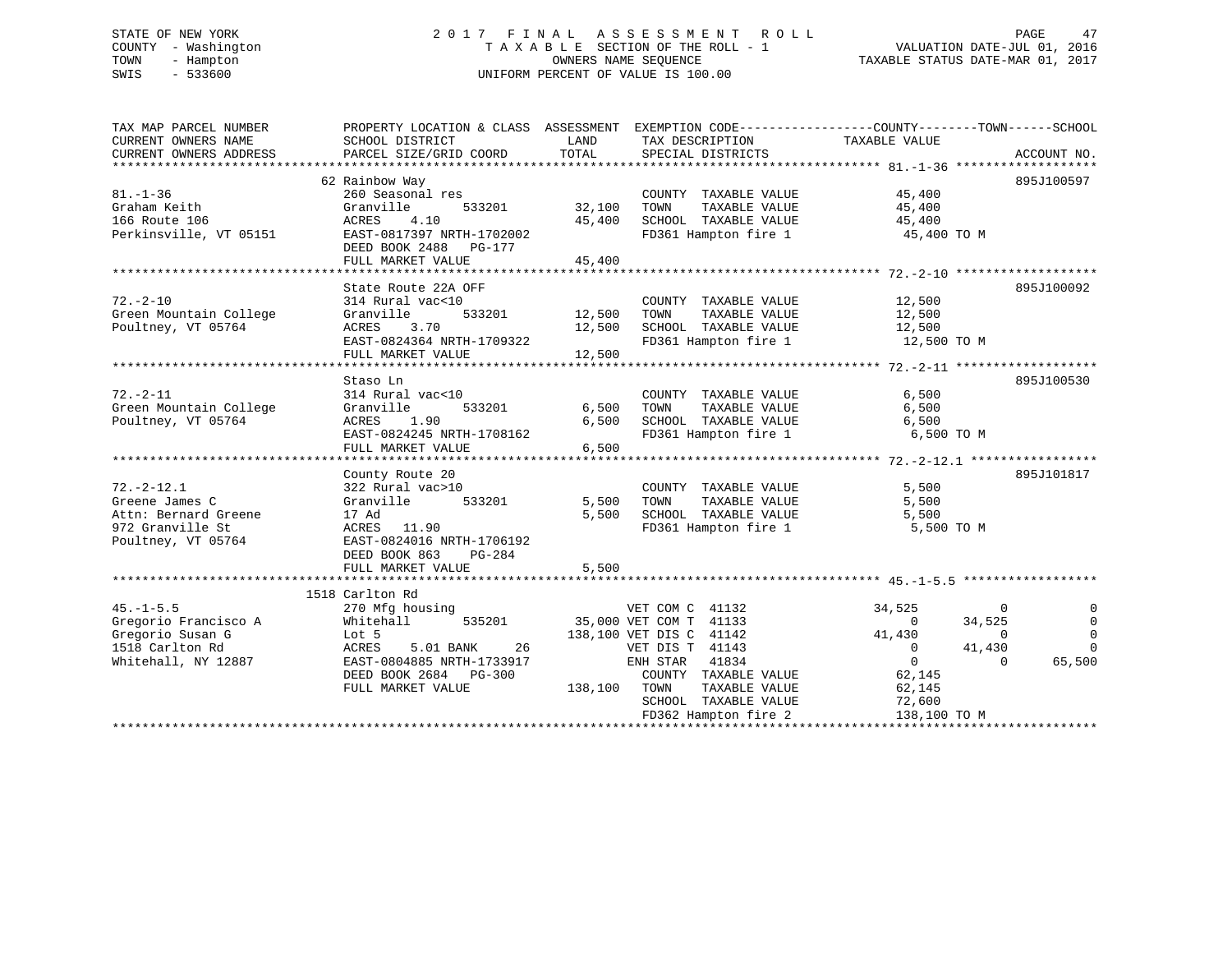# STATE OF NEW YORK 2 0 1 7 F I N A L A S S E S S M E N T R O L L PAGE 47 COUNTY - Washington T A X A B L E SECTION OF THE ROLL - 1 VALUATION DATE-JUL 01, 2016 TOWN - Hampton OWNERS NAME SEQUENCE TAXABLE STATUS DATE-MAR 01, 2017 SWIS - 533600 UNIFORM PERCENT OF VALUE IS 100.00

| TAX MAP PARCEL NUMBER                         | PROPERTY LOCATION & CLASS ASSESSMENT EXEMPTION CODE---------------COUNTY-------TOWN------SCHOOL |                       |                                                                                                            |                          |                         |
|-----------------------------------------------|-------------------------------------------------------------------------------------------------|-----------------------|------------------------------------------------------------------------------------------------------------|--------------------------|-------------------------|
| CURRENT OWNERS NAME<br>CURRENT OWNERS ADDRESS | SCHOOL DISTRICT<br>PARCEL SIZE/GRID COORD                                                       | LAND<br>TOTAL         | TAX DESCRIPTION<br>SPECIAL DISTRICTS                                                                       | TAXABLE VALUE            | ACCOUNT NO.             |
|                                               |                                                                                                 |                       |                                                                                                            |                          |                         |
|                                               | 62 Rainbow Way                                                                                  |                       |                                                                                                            |                          | 895J100597              |
| $81. - 1 - 36$                                | 260 Seasonal res                                                                                | COUNT<br>32,100 TOWN  | COUNTY TAXABLE VALUE                                                                                       | 45,400<br>45,400         |                         |
| Graham Keith                                  | 533201<br>Granville                                                                             |                       | TAXABLE VALUE                                                                                              | 45,400                   |                         |
| 166 Route 106                                 | ACRES<br>4.10                                                                                   |                       | 45,400 SCHOOL TAXABLE VALUE 45,400                                                                         |                          |                         |
| Perkinsville, VT 05151                        | EAST-0817397 NRTH-1702002                                                                       |                       | FD361 Hampton fire 1 45,400 TO M                                                                           |                          |                         |
|                                               | DEED BOOK 2488 PG-177                                                                           |                       |                                                                                                            |                          |                         |
|                                               | FULL MARKET VALUE                                                                               | 45,400                |                                                                                                            |                          |                         |
|                                               |                                                                                                 |                       |                                                                                                            |                          |                         |
|                                               | State Route 22A OFF                                                                             |                       |                                                                                                            |                          | 895J100092              |
| $72. - 2 - 10$                                | 314 Rural vac<10                                                                                |                       | COUNTY TAXABLE VALUE 12,500                                                                                |                          |                         |
| Green Mountain College                        | Granville                                                                                       |                       |                                                                                                            |                          |                         |
| Poultney, VT 05764                            | 3.70<br>ACRES                                                                                   |                       |                                                                                                            |                          |                         |
|                                               | EAST-0824364 NRTH-1709322                                                                       |                       | 12,500 TOWN TAXABLE VALUE 12,500<br>12,500 SCHOOL TAXABLE VALUE 12,500<br>FD361 Hampton fire 1 12,500 TO M |                          |                         |
|                                               |                                                                                                 |                       |                                                                                                            |                          |                         |
|                                               |                                                                                                 |                       |                                                                                                            |                          |                         |
|                                               | Staso Ln                                                                                        |                       |                                                                                                            |                          | 895J100530              |
| $72. - 2 - 11$                                | 314 Rural vac<10                                                                                |                       | COUNTY TAXABLE VALUE                                                                                       | 6,500                    |                         |
| Green Mountain College<br>Poultney, VT 05764  | Granville<br>ACRES 1.90                                                                         | 533201 6,500<br>6,500 | TAXABLE VALUE<br>TOWN                                                                                      | 6,500                    |                         |
|                                               | EAST-0824245 NRTH-1708162                                                                       | and the first state   | SCHOOL TAXABLE VALUE 6,500<br>FD361 Hampton fire 1 6,500 TO M                                              |                          |                         |
|                                               | FULL MARKET VALUE                                                                               | 6,500                 |                                                                                                            |                          |                         |
|                                               |                                                                                                 |                       |                                                                                                            |                          |                         |
|                                               | County Route 20                                                                                 |                       |                                                                                                            |                          | 895J101817              |
| $72. - 2 - 12.1$                              | 322 Rural vac>10                                                                                |                       | COUNTY TAXABLE VALUE                                                                                       | 5,500                    |                         |
| Greene James C                                | 533201<br>Granville                                                                             |                       | TAXABLE VALUE<br>5,500 TOWN                                                                                | 5,500                    |                         |
| Attn: Bernard Greene                          | 17 Ad                                                                                           | 5,500                 | SCHOOL TAXABLE VALUE 5,500                                                                                 |                          |                         |
| 972 Granville St                              | ACRES 11.90                                                                                     |                       | FD361 Hampton fire 1                                                                                       | 5,500 TO M               |                         |
| Poultney, VT 05764                            | EAST-0824016 NRTH-1706192                                                                       |                       |                                                                                                            |                          |                         |
|                                               | DEED BOOK 863<br>PG-284                                                                         |                       |                                                                                                            |                          |                         |
|                                               |                                                                                                 |                       |                                                                                                            |                          |                         |
|                                               |                                                                                                 |                       |                                                                                                            |                          |                         |
|                                               | 1518 Carlton Rd                                                                                 |                       |                                                                                                            |                          |                         |
| $45. -1 - 5.5$                                | 270 Mfg housing                                                                                 |                       | VET COM C 41132                                                                                            | 34,525<br>$\overline{0}$ |                         |
| Gregorio Francisco A                          | Whitehall                                                                                       |                       | 535201 35,000 VET COM T 41133                                                                              | $\overline{0}$<br>34,525 | $\overline{0}$          |
| Gregorio Susan G                              | Lot 5                                                                                           |                       | 138,100 VET DIS C 41142                                                                                    | 41,430                   | $\mathbf 0$<br>$\Omega$ |
| 1518 Carlton Rd                               | 5.01 BANK 26<br>ACRES                                                                           |                       | VET DIS T 41143                                                                                            | $\overline{0}$<br>41,430 | $\Omega$                |
| Whitehall, NY 12887                           | EAST-0804885 NRTH-1733917                                                                       |                       | ENH STAR 41834                                                                                             | $\overline{0}$           | 65,500<br>$\Omega$      |
|                                               | DEED BOOK 2684 PG-300                                                                           |                       | COUNTY TAXABLE VALUE                                                                                       | 62,145                   |                         |
|                                               | FULL MARKET VALUE                                                                               | 138,100 TOWN          | TAXABLE VALUE                                                                                              | 62,145                   |                         |
|                                               |                                                                                                 |                       | SCHOOL TAXABLE VALUE                                                                                       | 72,600                   |                         |
|                                               |                                                                                                 |                       |                                                                                                            |                          |                         |
|                                               |                                                                                                 |                       |                                                                                                            |                          |                         |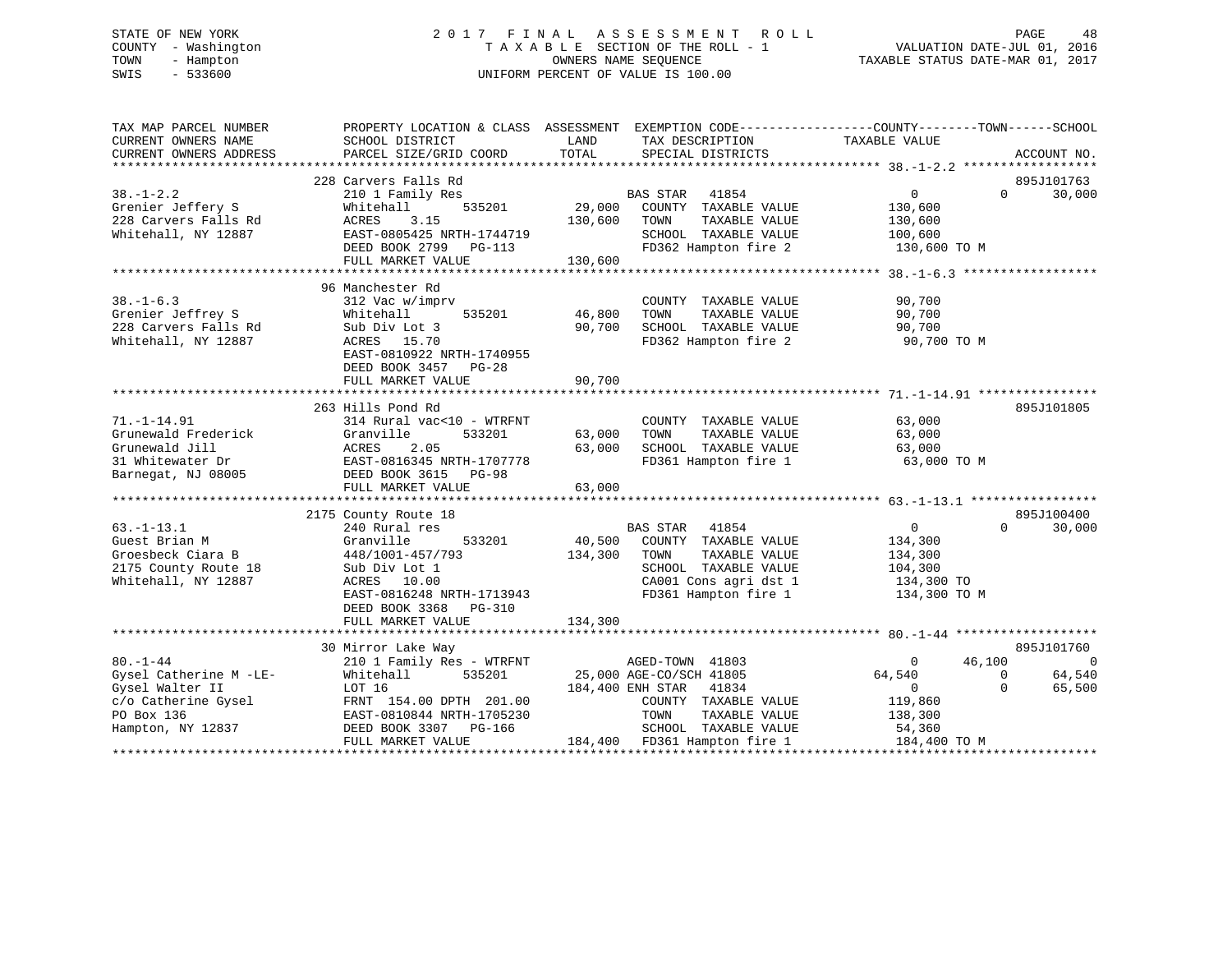# STATE OF NEW YORK 2 0 1 7 F I N A L A S S E S S M E N T R O L L PAGE 48 COUNTY - Washington T A X A B L E SECTION OF THE ROLL - 1 VALUATION DATE-JUL 01, 2016 TOWN - Hampton OWNERS NAME SEQUENCE TAXABLE STATUS DATE-MAR 01, 2017 SWIS - 533600 UNIFORM PERCENT OF VALUE IS 100.00

| TAX MAP PARCEL NUMBER<br>CURRENT OWNERS NAME | SCHOOL DISTRICT           | LAND<br>TAX DESCRIPTION          | PROPERTY LOCATION & CLASS ASSESSMENT EXEMPTION CODE----------------COUNTY-------TOWN------SCHOOL<br>TAXABLE VALUE |
|----------------------------------------------|---------------------------|----------------------------------|-------------------------------------------------------------------------------------------------------------------|
| CURRENT OWNERS ADDRESS                       | PARCEL SIZE/GRID COORD    | TOTAL<br>SPECIAL DISTRICTS       | ACCOUNT NO.                                                                                                       |
|                                              |                           |                                  |                                                                                                                   |
|                                              | 228 Carvers Falls Rd      |                                  | 895J101763                                                                                                        |
| $38. - 1 - 2.2$                              | 210 1 Family Res          | <b>BAS STAR</b><br>41854         | 30,000<br>$\overline{0}$<br>$\Omega$                                                                              |
| Grenier Jeffery S                            | 535201<br>Whitehall       | 29,000<br>COUNTY TAXABLE VALUE   | 130,600                                                                                                           |
| 228 Carvers Falls Rd                         | 3.15<br>ACRES             | 130,600<br>TOWN<br>TAXABLE VALUE | 130,600                                                                                                           |
| Whitehall, NY 12887                          | EAST-0805425 NRTH-1744719 | SCHOOL TAXABLE VALUE             | 100,600                                                                                                           |
|                                              | DEED BOOK 2799 PG-113     | FD362 Hampton fire 2             | 130,600 TO M                                                                                                      |
|                                              | FULL MARKET VALUE         | 130,600                          |                                                                                                                   |
|                                              |                           |                                  |                                                                                                                   |
|                                              | 96 Manchester Rd          |                                  |                                                                                                                   |
| $38. - 1 - 6.3$                              | 312 Vac w/imprv           | COUNTY TAXABLE VALUE             | 90,700                                                                                                            |
| Grenier Jeffrey S                            | Whitehall<br>535201       | 46,800<br>TOWN<br>TAXABLE VALUE  | 90,700                                                                                                            |
| 228 Carvers Falls Rd                         | Sub Div Lot 3             | 90,700<br>SCHOOL TAXABLE VALUE   | 90,700                                                                                                            |
| Whitehall, NY 12887                          | ACRES 15.70               | FD362 Hampton fire 2             | 90,700 TO M                                                                                                       |
|                                              | EAST-0810922 NRTH-1740955 |                                  |                                                                                                                   |
|                                              | DEED BOOK 3457 PG-28      |                                  |                                                                                                                   |
|                                              | FULL MARKET VALUE         | 90,700                           |                                                                                                                   |
|                                              |                           |                                  |                                                                                                                   |
|                                              | 263 Hills Pond Rd         |                                  | 895J101805                                                                                                        |
| $71. - 1 - 14.91$                            | 314 Rural vac<10 - WTRFNT | COUNTY TAXABLE VALUE             | 63,000                                                                                                            |
| Grunewald Frederick                          | Granville<br>533201       | 63,000<br>TOWN<br>TAXABLE VALUE  | 63,000                                                                                                            |
| Grunewald Jill                               | ACRES<br>2.05             | 63,000<br>SCHOOL TAXABLE VALUE   | 63,000                                                                                                            |
| 31 Whitewater Dr                             | EAST-0816345 NRTH-1707778 | FD361 Hampton fire 1             | 63,000 TO M                                                                                                       |
| Barnegat, NJ 08005                           | DEED BOOK 3615 PG-98      |                                  |                                                                                                                   |
|                                              | FULL MARKET VALUE         | 63,000                           |                                                                                                                   |
|                                              |                           |                                  |                                                                                                                   |
|                                              | 2175 County Route 18      |                                  | 895J100400                                                                                                        |
| $63. - 1 - 13.1$                             | 240 Rural res             | <b>BAS STAR</b><br>41854         | $\overline{0}$<br>$\Omega$<br>30,000                                                                              |
| Guest Brian M                                | 533201<br>Granville       | 40,500 COUNTY TAXABLE VALUE      | 134,300                                                                                                           |
| Groesbeck Ciara B                            | 448/1001-457/793          | 134,300<br>TOWN<br>TAXABLE VALUE | 134,300                                                                                                           |
| 2175 County Route 18                         | Sub Div Lot 1             | SCHOOL TAXABLE VALUE             | 104,300                                                                                                           |
| Whitehall, NY 12887                          | ACRES 10.00               | CA001 Cons agri dst 1            | 134,300 TO                                                                                                        |
|                                              | EAST-0816248 NRTH-1713943 | FD361 Hampton fire 1             | 134,300 TO M                                                                                                      |
|                                              | DEED BOOK 3368 PG-310     |                                  |                                                                                                                   |
|                                              | FULL MARKET VALUE         | 134,300                          |                                                                                                                   |
|                                              |                           |                                  |                                                                                                                   |
|                                              | 30 Mirror Lake Way        |                                  | 895J101760                                                                                                        |
| $80. - 1 - 44$                               | 210 1 Family Res - WTRFNT | AGED-TOWN 41803                  | 46,100<br>$\overline{0}$<br>$\overline{0}$                                                                        |
| Gysel Catherine M -LE-                       | 535201<br>Whitehall       | 25,000 AGE-CO/SCH 41805          | 64,540<br>$\Omega$<br>64,540                                                                                      |
| Gysel Walter II                              | LOT 16                    | 184,400 ENH STAR 41834           | 65,500<br>$\overline{0}$<br>$\Omega$                                                                              |
| c/o Catherine Gysel                          | FRNT 154.00 DPTH 201.00   | COUNTY TAXABLE VALUE             | 119,860                                                                                                           |
| PO Box 136                                   | EAST-0810844 NRTH-1705230 | TOWN<br>TAXABLE VALUE            | 138,300                                                                                                           |
| Hampton, NY 12837                            | DEED BOOK 3307 PG-166     | SCHOOL TAXABLE VALUE             | 54,360                                                                                                            |
|                                              | FULL MARKET VALUE         | 184,400 FD361 Hampton fire 1     | 184,400 TO M                                                                                                      |
|                                              |                           |                                  |                                                                                                                   |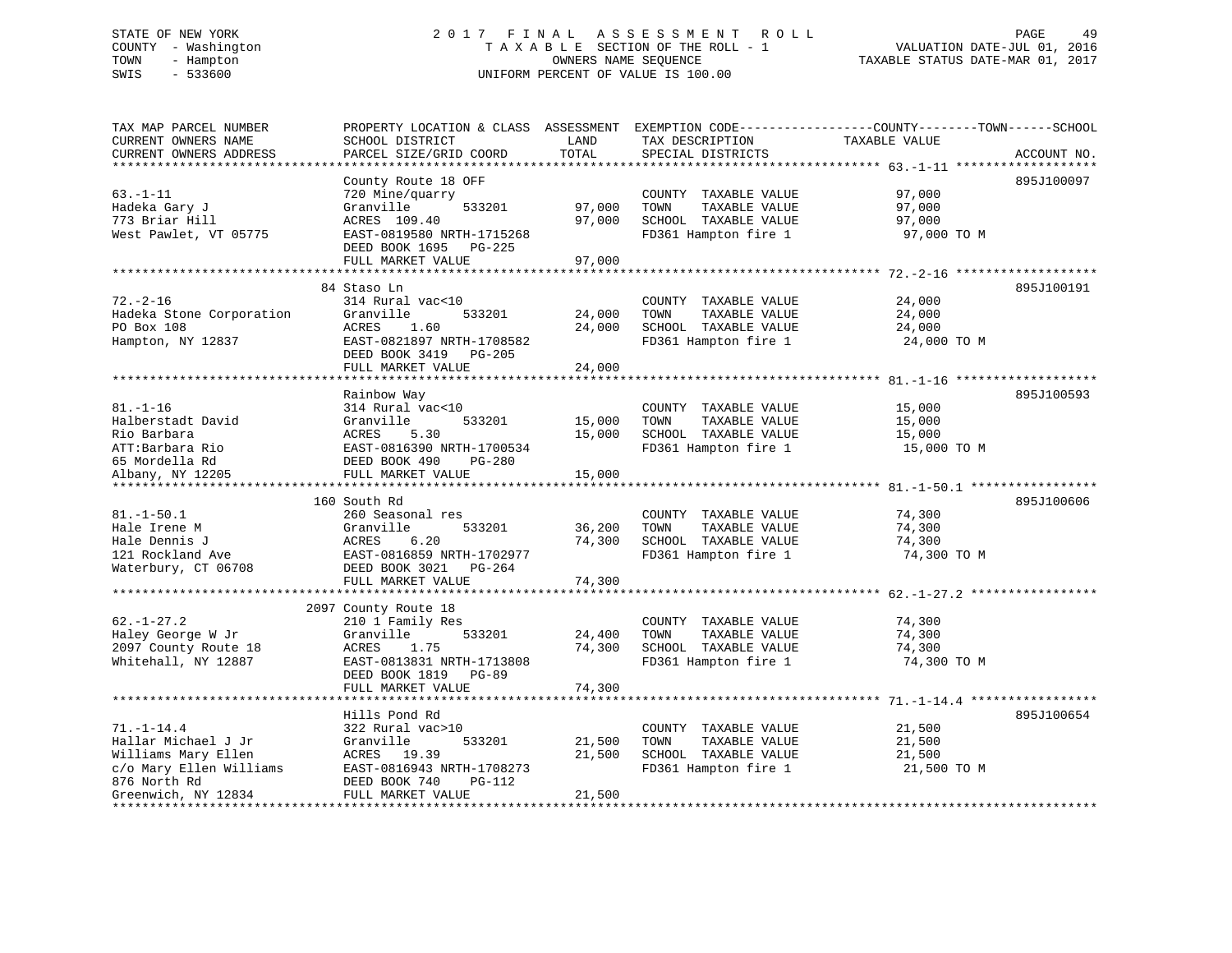# STATE OF NEW YORK 2 0 1 7 F I N A L A S S E S S M E N T R O L L PAGE 49 COUNTY - Washington T A X A B L E SECTION OF THE ROLL - 1 VALUATION DATE-JUL 01, 2016 TOWN - Hampton OWNERS NAME SEQUENCE TAXABLE STATUS DATE-MAR 01, 2017 SWIS - 533600 UNIFORM PERCENT OF VALUE IS 100.00

| CURRENT OWNERS NAME<br>SCHOOL DISTRICT<br>LAND<br>TAX DESCRIPTION<br>TAXABLE VALUE<br>CURRENT OWNERS ADDRESS<br>TOTAL<br>SPECIAL DISTRICTS<br>PARCEL SIZE/GRID COORD<br>ACCOUNT NO.<br>895J100097<br>County Route 18 OFF<br>$63. - 1 - 11$<br>720 Mine/quarry<br>COUNTY TAXABLE VALUE<br>97,000<br>Hadeka Gary J<br>Granville<br>533201<br>97,000<br>TAXABLE VALUE<br>97,000<br>TOWN<br>773 Briar Hill<br>97,000<br>SCHOOL TAXABLE VALUE<br>ACRES 109.40<br>97,000<br>West Pawlet, VT 05775<br>FD361 Hampton fire 1<br>EAST-0819580 NRTH-1715268<br>97,000 TO M<br>DEED BOOK 1695 PG-225<br>FULL MARKET VALUE<br>97,000<br>84 Staso Ln<br>895J100191<br>$72. - 2 - 16$<br>314 Rural vac<10<br>24,000<br>COUNTY TAXABLE VALUE<br>Hadeka Stone Corporation<br>Granville<br>533201<br>24,000<br>TOWN<br>TAXABLE VALUE<br>24,000<br>PO Box 108<br>ACRES<br>24,000<br>SCHOOL TAXABLE VALUE<br>24,000<br>1.60<br>EAST-0821897 NRTH-1708582<br>Hampton, NY 12837<br>FD361 Hampton fire 1<br>24,000 TO M<br>DEED BOOK 3419 PG-205<br>FULL MARKET VALUE<br>24,000<br>895J100593<br>Rainbow Way<br>$81. - 1 - 16$<br>314 Rural vac<10<br>COUNTY TAXABLE VALUE<br>15,000<br>Halberstadt David<br>Granville<br>533201<br>15,000<br>TOWN<br>TAXABLE VALUE<br>15,000<br>15,000<br>SCHOOL TAXABLE VALUE<br>Rio Barbara<br>ACRES<br>5.30<br>15,000<br>ATT:Barbara Rio<br>FD361 Hampton fire 1<br>EAST-0816390 NRTH-1700534<br>15,000 TO M<br>65 Mordella Rd<br>DEED BOOK 490<br><b>PG-280</b><br>Albany, NY 12205<br>15,000<br>FULL MARKET VALUE<br>895J100606<br>160 South Rd<br>$81. - 1 - 50.1$<br>260 Seasonal res<br>COUNTY TAXABLE VALUE<br>74,300<br>Hale Irene M<br>Granville<br>533201<br>36,200<br>TOWN<br>TAXABLE VALUE<br>74,300<br>6.20<br>74,300<br>SCHOOL TAXABLE VALUE<br>Hale Dennis J<br>ACRES<br>74,300<br>121 Rockland Ave<br>EAST-0816859 NRTH-1702977<br>FD361 Hampton fire 1<br>74,300 TO M<br>Waterbury, CT 06708<br>DEED BOOK 3021 PG-264<br>FULL MARKET VALUE<br>74,300<br>2097 County Route 18<br>$62. - 1 - 27.2$<br>210 1 Family Res<br>COUNTY TAXABLE VALUE<br>74,300<br>Haley George W Jr<br>Granville<br>24,400<br>TOWN<br>TAXABLE VALUE<br>74,300<br>533201<br>2097 County Route 18<br>1.75<br>74,300<br>SCHOOL TAXABLE VALUE<br>74,300<br>ACRES<br>Whitehall, NY 12887<br>EAST-0813831 NRTH-1713808<br>74,300 TO M<br>FD361 Hampton fire 1<br>DEED BOOK 1819 PG-89<br>FULL MARKET VALUE<br>74,300<br>Hills Pond Rd<br>895J100654<br>$71. - 1 - 14.4$<br>21,500<br>322 Rural vac>10<br>COUNTY TAXABLE VALUE<br>Hallar Michael J Jr<br>533201<br>21,500<br>TAXABLE VALUE<br>21,500<br>Granville<br>TOWN<br>Williams Mary Ellen<br>21,500<br>SCHOOL TAXABLE VALUE<br>ACRES 19.39<br>21,500<br>c/o Mary Ellen Williams<br>EAST-0816943 NRTH-1708273<br>FD361 Hampton fire 1<br>21,500 TO M<br>876 North Rd<br>DEED BOOK 740<br>PG-112<br>Greenwich, NY 12834<br>21,500<br>FULL MARKET VALUE | TAX MAP PARCEL NUMBER |  | PROPERTY LOCATION & CLASS ASSESSMENT EXEMPTION CODE---------------COUNTY-------TOWN------SCHOOL |  |
|-----------------------------------------------------------------------------------------------------------------------------------------------------------------------------------------------------------------------------------------------------------------------------------------------------------------------------------------------------------------------------------------------------------------------------------------------------------------------------------------------------------------------------------------------------------------------------------------------------------------------------------------------------------------------------------------------------------------------------------------------------------------------------------------------------------------------------------------------------------------------------------------------------------------------------------------------------------------------------------------------------------------------------------------------------------------------------------------------------------------------------------------------------------------------------------------------------------------------------------------------------------------------------------------------------------------------------------------------------------------------------------------------------------------------------------------------------------------------------------------------------------------------------------------------------------------------------------------------------------------------------------------------------------------------------------------------------------------------------------------------------------------------------------------------------------------------------------------------------------------------------------------------------------------------------------------------------------------------------------------------------------------------------------------------------------------------------------------------------------------------------------------------------------------------------------------------------------------------------------------------------------------------------------------------------------------------------------------------------------------------------------------------------------------------------------------------------------------------------------------------------------------------------------------------------------------------------------------------------------------------------------------------------------------------------------------------------------------------------------------------------------------------------------------------------------------------------------------------------------------------------------------------------------|-----------------------|--|-------------------------------------------------------------------------------------------------|--|
|                                                                                                                                                                                                                                                                                                                                                                                                                                                                                                                                                                                                                                                                                                                                                                                                                                                                                                                                                                                                                                                                                                                                                                                                                                                                                                                                                                                                                                                                                                                                                                                                                                                                                                                                                                                                                                                                                                                                                                                                                                                                                                                                                                                                                                                                                                                                                                                                                                                                                                                                                                                                                                                                                                                                                                                                                                                                                                           |                       |  |                                                                                                 |  |
|                                                                                                                                                                                                                                                                                                                                                                                                                                                                                                                                                                                                                                                                                                                                                                                                                                                                                                                                                                                                                                                                                                                                                                                                                                                                                                                                                                                                                                                                                                                                                                                                                                                                                                                                                                                                                                                                                                                                                                                                                                                                                                                                                                                                                                                                                                                                                                                                                                                                                                                                                                                                                                                                                                                                                                                                                                                                                                           |                       |  |                                                                                                 |  |
|                                                                                                                                                                                                                                                                                                                                                                                                                                                                                                                                                                                                                                                                                                                                                                                                                                                                                                                                                                                                                                                                                                                                                                                                                                                                                                                                                                                                                                                                                                                                                                                                                                                                                                                                                                                                                                                                                                                                                                                                                                                                                                                                                                                                                                                                                                                                                                                                                                                                                                                                                                                                                                                                                                                                                                                                                                                                                                           |                       |  |                                                                                                 |  |
|                                                                                                                                                                                                                                                                                                                                                                                                                                                                                                                                                                                                                                                                                                                                                                                                                                                                                                                                                                                                                                                                                                                                                                                                                                                                                                                                                                                                                                                                                                                                                                                                                                                                                                                                                                                                                                                                                                                                                                                                                                                                                                                                                                                                                                                                                                                                                                                                                                                                                                                                                                                                                                                                                                                                                                                                                                                                                                           |                       |  |                                                                                                 |  |
|                                                                                                                                                                                                                                                                                                                                                                                                                                                                                                                                                                                                                                                                                                                                                                                                                                                                                                                                                                                                                                                                                                                                                                                                                                                                                                                                                                                                                                                                                                                                                                                                                                                                                                                                                                                                                                                                                                                                                                                                                                                                                                                                                                                                                                                                                                                                                                                                                                                                                                                                                                                                                                                                                                                                                                                                                                                                                                           |                       |  |                                                                                                 |  |
|                                                                                                                                                                                                                                                                                                                                                                                                                                                                                                                                                                                                                                                                                                                                                                                                                                                                                                                                                                                                                                                                                                                                                                                                                                                                                                                                                                                                                                                                                                                                                                                                                                                                                                                                                                                                                                                                                                                                                                                                                                                                                                                                                                                                                                                                                                                                                                                                                                                                                                                                                                                                                                                                                                                                                                                                                                                                                                           |                       |  |                                                                                                 |  |
|                                                                                                                                                                                                                                                                                                                                                                                                                                                                                                                                                                                                                                                                                                                                                                                                                                                                                                                                                                                                                                                                                                                                                                                                                                                                                                                                                                                                                                                                                                                                                                                                                                                                                                                                                                                                                                                                                                                                                                                                                                                                                                                                                                                                                                                                                                                                                                                                                                                                                                                                                                                                                                                                                                                                                                                                                                                                                                           |                       |  |                                                                                                 |  |
|                                                                                                                                                                                                                                                                                                                                                                                                                                                                                                                                                                                                                                                                                                                                                                                                                                                                                                                                                                                                                                                                                                                                                                                                                                                                                                                                                                                                                                                                                                                                                                                                                                                                                                                                                                                                                                                                                                                                                                                                                                                                                                                                                                                                                                                                                                                                                                                                                                                                                                                                                                                                                                                                                                                                                                                                                                                                                                           |                       |  |                                                                                                 |  |
|                                                                                                                                                                                                                                                                                                                                                                                                                                                                                                                                                                                                                                                                                                                                                                                                                                                                                                                                                                                                                                                                                                                                                                                                                                                                                                                                                                                                                                                                                                                                                                                                                                                                                                                                                                                                                                                                                                                                                                                                                                                                                                                                                                                                                                                                                                                                                                                                                                                                                                                                                                                                                                                                                                                                                                                                                                                                                                           |                       |  |                                                                                                 |  |
|                                                                                                                                                                                                                                                                                                                                                                                                                                                                                                                                                                                                                                                                                                                                                                                                                                                                                                                                                                                                                                                                                                                                                                                                                                                                                                                                                                                                                                                                                                                                                                                                                                                                                                                                                                                                                                                                                                                                                                                                                                                                                                                                                                                                                                                                                                                                                                                                                                                                                                                                                                                                                                                                                                                                                                                                                                                                                                           |                       |  |                                                                                                 |  |
|                                                                                                                                                                                                                                                                                                                                                                                                                                                                                                                                                                                                                                                                                                                                                                                                                                                                                                                                                                                                                                                                                                                                                                                                                                                                                                                                                                                                                                                                                                                                                                                                                                                                                                                                                                                                                                                                                                                                                                                                                                                                                                                                                                                                                                                                                                                                                                                                                                                                                                                                                                                                                                                                                                                                                                                                                                                                                                           |                       |  |                                                                                                 |  |
|                                                                                                                                                                                                                                                                                                                                                                                                                                                                                                                                                                                                                                                                                                                                                                                                                                                                                                                                                                                                                                                                                                                                                                                                                                                                                                                                                                                                                                                                                                                                                                                                                                                                                                                                                                                                                                                                                                                                                                                                                                                                                                                                                                                                                                                                                                                                                                                                                                                                                                                                                                                                                                                                                                                                                                                                                                                                                                           |                       |  |                                                                                                 |  |
|                                                                                                                                                                                                                                                                                                                                                                                                                                                                                                                                                                                                                                                                                                                                                                                                                                                                                                                                                                                                                                                                                                                                                                                                                                                                                                                                                                                                                                                                                                                                                                                                                                                                                                                                                                                                                                                                                                                                                                                                                                                                                                                                                                                                                                                                                                                                                                                                                                                                                                                                                                                                                                                                                                                                                                                                                                                                                                           |                       |  |                                                                                                 |  |
|                                                                                                                                                                                                                                                                                                                                                                                                                                                                                                                                                                                                                                                                                                                                                                                                                                                                                                                                                                                                                                                                                                                                                                                                                                                                                                                                                                                                                                                                                                                                                                                                                                                                                                                                                                                                                                                                                                                                                                                                                                                                                                                                                                                                                                                                                                                                                                                                                                                                                                                                                                                                                                                                                                                                                                                                                                                                                                           |                       |  |                                                                                                 |  |
|                                                                                                                                                                                                                                                                                                                                                                                                                                                                                                                                                                                                                                                                                                                                                                                                                                                                                                                                                                                                                                                                                                                                                                                                                                                                                                                                                                                                                                                                                                                                                                                                                                                                                                                                                                                                                                                                                                                                                                                                                                                                                                                                                                                                                                                                                                                                                                                                                                                                                                                                                                                                                                                                                                                                                                                                                                                                                                           |                       |  |                                                                                                 |  |
|                                                                                                                                                                                                                                                                                                                                                                                                                                                                                                                                                                                                                                                                                                                                                                                                                                                                                                                                                                                                                                                                                                                                                                                                                                                                                                                                                                                                                                                                                                                                                                                                                                                                                                                                                                                                                                                                                                                                                                                                                                                                                                                                                                                                                                                                                                                                                                                                                                                                                                                                                                                                                                                                                                                                                                                                                                                                                                           |                       |  |                                                                                                 |  |
|                                                                                                                                                                                                                                                                                                                                                                                                                                                                                                                                                                                                                                                                                                                                                                                                                                                                                                                                                                                                                                                                                                                                                                                                                                                                                                                                                                                                                                                                                                                                                                                                                                                                                                                                                                                                                                                                                                                                                                                                                                                                                                                                                                                                                                                                                                                                                                                                                                                                                                                                                                                                                                                                                                                                                                                                                                                                                                           |                       |  |                                                                                                 |  |
|                                                                                                                                                                                                                                                                                                                                                                                                                                                                                                                                                                                                                                                                                                                                                                                                                                                                                                                                                                                                                                                                                                                                                                                                                                                                                                                                                                                                                                                                                                                                                                                                                                                                                                                                                                                                                                                                                                                                                                                                                                                                                                                                                                                                                                                                                                                                                                                                                                                                                                                                                                                                                                                                                                                                                                                                                                                                                                           |                       |  |                                                                                                 |  |
|                                                                                                                                                                                                                                                                                                                                                                                                                                                                                                                                                                                                                                                                                                                                                                                                                                                                                                                                                                                                                                                                                                                                                                                                                                                                                                                                                                                                                                                                                                                                                                                                                                                                                                                                                                                                                                                                                                                                                                                                                                                                                                                                                                                                                                                                                                                                                                                                                                                                                                                                                                                                                                                                                                                                                                                                                                                                                                           |                       |  |                                                                                                 |  |
|                                                                                                                                                                                                                                                                                                                                                                                                                                                                                                                                                                                                                                                                                                                                                                                                                                                                                                                                                                                                                                                                                                                                                                                                                                                                                                                                                                                                                                                                                                                                                                                                                                                                                                                                                                                                                                                                                                                                                                                                                                                                                                                                                                                                                                                                                                                                                                                                                                                                                                                                                                                                                                                                                                                                                                                                                                                                                                           |                       |  |                                                                                                 |  |
|                                                                                                                                                                                                                                                                                                                                                                                                                                                                                                                                                                                                                                                                                                                                                                                                                                                                                                                                                                                                                                                                                                                                                                                                                                                                                                                                                                                                                                                                                                                                                                                                                                                                                                                                                                                                                                                                                                                                                                                                                                                                                                                                                                                                                                                                                                                                                                                                                                                                                                                                                                                                                                                                                                                                                                                                                                                                                                           |                       |  |                                                                                                 |  |
|                                                                                                                                                                                                                                                                                                                                                                                                                                                                                                                                                                                                                                                                                                                                                                                                                                                                                                                                                                                                                                                                                                                                                                                                                                                                                                                                                                                                                                                                                                                                                                                                                                                                                                                                                                                                                                                                                                                                                                                                                                                                                                                                                                                                                                                                                                                                                                                                                                                                                                                                                                                                                                                                                                                                                                                                                                                                                                           |                       |  |                                                                                                 |  |
|                                                                                                                                                                                                                                                                                                                                                                                                                                                                                                                                                                                                                                                                                                                                                                                                                                                                                                                                                                                                                                                                                                                                                                                                                                                                                                                                                                                                                                                                                                                                                                                                                                                                                                                                                                                                                                                                                                                                                                                                                                                                                                                                                                                                                                                                                                                                                                                                                                                                                                                                                                                                                                                                                                                                                                                                                                                                                                           |                       |  |                                                                                                 |  |
|                                                                                                                                                                                                                                                                                                                                                                                                                                                                                                                                                                                                                                                                                                                                                                                                                                                                                                                                                                                                                                                                                                                                                                                                                                                                                                                                                                                                                                                                                                                                                                                                                                                                                                                                                                                                                                                                                                                                                                                                                                                                                                                                                                                                                                                                                                                                                                                                                                                                                                                                                                                                                                                                                                                                                                                                                                                                                                           |                       |  |                                                                                                 |  |
|                                                                                                                                                                                                                                                                                                                                                                                                                                                                                                                                                                                                                                                                                                                                                                                                                                                                                                                                                                                                                                                                                                                                                                                                                                                                                                                                                                                                                                                                                                                                                                                                                                                                                                                                                                                                                                                                                                                                                                                                                                                                                                                                                                                                                                                                                                                                                                                                                                                                                                                                                                                                                                                                                                                                                                                                                                                                                                           |                       |  |                                                                                                 |  |
|                                                                                                                                                                                                                                                                                                                                                                                                                                                                                                                                                                                                                                                                                                                                                                                                                                                                                                                                                                                                                                                                                                                                                                                                                                                                                                                                                                                                                                                                                                                                                                                                                                                                                                                                                                                                                                                                                                                                                                                                                                                                                                                                                                                                                                                                                                                                                                                                                                                                                                                                                                                                                                                                                                                                                                                                                                                                                                           |                       |  |                                                                                                 |  |
|                                                                                                                                                                                                                                                                                                                                                                                                                                                                                                                                                                                                                                                                                                                                                                                                                                                                                                                                                                                                                                                                                                                                                                                                                                                                                                                                                                                                                                                                                                                                                                                                                                                                                                                                                                                                                                                                                                                                                                                                                                                                                                                                                                                                                                                                                                                                                                                                                                                                                                                                                                                                                                                                                                                                                                                                                                                                                                           |                       |  |                                                                                                 |  |
|                                                                                                                                                                                                                                                                                                                                                                                                                                                                                                                                                                                                                                                                                                                                                                                                                                                                                                                                                                                                                                                                                                                                                                                                                                                                                                                                                                                                                                                                                                                                                                                                                                                                                                                                                                                                                                                                                                                                                                                                                                                                                                                                                                                                                                                                                                                                                                                                                                                                                                                                                                                                                                                                                                                                                                                                                                                                                                           |                       |  |                                                                                                 |  |
|                                                                                                                                                                                                                                                                                                                                                                                                                                                                                                                                                                                                                                                                                                                                                                                                                                                                                                                                                                                                                                                                                                                                                                                                                                                                                                                                                                                                                                                                                                                                                                                                                                                                                                                                                                                                                                                                                                                                                                                                                                                                                                                                                                                                                                                                                                                                                                                                                                                                                                                                                                                                                                                                                                                                                                                                                                                                                                           |                       |  |                                                                                                 |  |
|                                                                                                                                                                                                                                                                                                                                                                                                                                                                                                                                                                                                                                                                                                                                                                                                                                                                                                                                                                                                                                                                                                                                                                                                                                                                                                                                                                                                                                                                                                                                                                                                                                                                                                                                                                                                                                                                                                                                                                                                                                                                                                                                                                                                                                                                                                                                                                                                                                                                                                                                                                                                                                                                                                                                                                                                                                                                                                           |                       |  |                                                                                                 |  |
|                                                                                                                                                                                                                                                                                                                                                                                                                                                                                                                                                                                                                                                                                                                                                                                                                                                                                                                                                                                                                                                                                                                                                                                                                                                                                                                                                                                                                                                                                                                                                                                                                                                                                                                                                                                                                                                                                                                                                                                                                                                                                                                                                                                                                                                                                                                                                                                                                                                                                                                                                                                                                                                                                                                                                                                                                                                                                                           |                       |  |                                                                                                 |  |
|                                                                                                                                                                                                                                                                                                                                                                                                                                                                                                                                                                                                                                                                                                                                                                                                                                                                                                                                                                                                                                                                                                                                                                                                                                                                                                                                                                                                                                                                                                                                                                                                                                                                                                                                                                                                                                                                                                                                                                                                                                                                                                                                                                                                                                                                                                                                                                                                                                                                                                                                                                                                                                                                                                                                                                                                                                                                                                           |                       |  |                                                                                                 |  |
|                                                                                                                                                                                                                                                                                                                                                                                                                                                                                                                                                                                                                                                                                                                                                                                                                                                                                                                                                                                                                                                                                                                                                                                                                                                                                                                                                                                                                                                                                                                                                                                                                                                                                                                                                                                                                                                                                                                                                                                                                                                                                                                                                                                                                                                                                                                                                                                                                                                                                                                                                                                                                                                                                                                                                                                                                                                                                                           |                       |  |                                                                                                 |  |
|                                                                                                                                                                                                                                                                                                                                                                                                                                                                                                                                                                                                                                                                                                                                                                                                                                                                                                                                                                                                                                                                                                                                                                                                                                                                                                                                                                                                                                                                                                                                                                                                                                                                                                                                                                                                                                                                                                                                                                                                                                                                                                                                                                                                                                                                                                                                                                                                                                                                                                                                                                                                                                                                                                                                                                                                                                                                                                           |                       |  |                                                                                                 |  |
|                                                                                                                                                                                                                                                                                                                                                                                                                                                                                                                                                                                                                                                                                                                                                                                                                                                                                                                                                                                                                                                                                                                                                                                                                                                                                                                                                                                                                                                                                                                                                                                                                                                                                                                                                                                                                                                                                                                                                                                                                                                                                                                                                                                                                                                                                                                                                                                                                                                                                                                                                                                                                                                                                                                                                                                                                                                                                                           |                       |  |                                                                                                 |  |
|                                                                                                                                                                                                                                                                                                                                                                                                                                                                                                                                                                                                                                                                                                                                                                                                                                                                                                                                                                                                                                                                                                                                                                                                                                                                                                                                                                                                                                                                                                                                                                                                                                                                                                                                                                                                                                                                                                                                                                                                                                                                                                                                                                                                                                                                                                                                                                                                                                                                                                                                                                                                                                                                                                                                                                                                                                                                                                           |                       |  |                                                                                                 |  |
|                                                                                                                                                                                                                                                                                                                                                                                                                                                                                                                                                                                                                                                                                                                                                                                                                                                                                                                                                                                                                                                                                                                                                                                                                                                                                                                                                                                                                                                                                                                                                                                                                                                                                                                                                                                                                                                                                                                                                                                                                                                                                                                                                                                                                                                                                                                                                                                                                                                                                                                                                                                                                                                                                                                                                                                                                                                                                                           |                       |  |                                                                                                 |  |
|                                                                                                                                                                                                                                                                                                                                                                                                                                                                                                                                                                                                                                                                                                                                                                                                                                                                                                                                                                                                                                                                                                                                                                                                                                                                                                                                                                                                                                                                                                                                                                                                                                                                                                                                                                                                                                                                                                                                                                                                                                                                                                                                                                                                                                                                                                                                                                                                                                                                                                                                                                                                                                                                                                                                                                                                                                                                                                           |                       |  |                                                                                                 |  |
|                                                                                                                                                                                                                                                                                                                                                                                                                                                                                                                                                                                                                                                                                                                                                                                                                                                                                                                                                                                                                                                                                                                                                                                                                                                                                                                                                                                                                                                                                                                                                                                                                                                                                                                                                                                                                                                                                                                                                                                                                                                                                                                                                                                                                                                                                                                                                                                                                                                                                                                                                                                                                                                                                                                                                                                                                                                                                                           |                       |  |                                                                                                 |  |
|                                                                                                                                                                                                                                                                                                                                                                                                                                                                                                                                                                                                                                                                                                                                                                                                                                                                                                                                                                                                                                                                                                                                                                                                                                                                                                                                                                                                                                                                                                                                                                                                                                                                                                                                                                                                                                                                                                                                                                                                                                                                                                                                                                                                                                                                                                                                                                                                                                                                                                                                                                                                                                                                                                                                                                                                                                                                                                           |                       |  |                                                                                                 |  |
|                                                                                                                                                                                                                                                                                                                                                                                                                                                                                                                                                                                                                                                                                                                                                                                                                                                                                                                                                                                                                                                                                                                                                                                                                                                                                                                                                                                                                                                                                                                                                                                                                                                                                                                                                                                                                                                                                                                                                                                                                                                                                                                                                                                                                                                                                                                                                                                                                                                                                                                                                                                                                                                                                                                                                                                                                                                                                                           |                       |  |                                                                                                 |  |
|                                                                                                                                                                                                                                                                                                                                                                                                                                                                                                                                                                                                                                                                                                                                                                                                                                                                                                                                                                                                                                                                                                                                                                                                                                                                                                                                                                                                                                                                                                                                                                                                                                                                                                                                                                                                                                                                                                                                                                                                                                                                                                                                                                                                                                                                                                                                                                                                                                                                                                                                                                                                                                                                                                                                                                                                                                                                                                           |                       |  |                                                                                                 |  |
|                                                                                                                                                                                                                                                                                                                                                                                                                                                                                                                                                                                                                                                                                                                                                                                                                                                                                                                                                                                                                                                                                                                                                                                                                                                                                                                                                                                                                                                                                                                                                                                                                                                                                                                                                                                                                                                                                                                                                                                                                                                                                                                                                                                                                                                                                                                                                                                                                                                                                                                                                                                                                                                                                                                                                                                                                                                                                                           |                       |  |                                                                                                 |  |
|                                                                                                                                                                                                                                                                                                                                                                                                                                                                                                                                                                                                                                                                                                                                                                                                                                                                                                                                                                                                                                                                                                                                                                                                                                                                                                                                                                                                                                                                                                                                                                                                                                                                                                                                                                                                                                                                                                                                                                                                                                                                                                                                                                                                                                                                                                                                                                                                                                                                                                                                                                                                                                                                                                                                                                                                                                                                                                           |                       |  |                                                                                                 |  |
|                                                                                                                                                                                                                                                                                                                                                                                                                                                                                                                                                                                                                                                                                                                                                                                                                                                                                                                                                                                                                                                                                                                                                                                                                                                                                                                                                                                                                                                                                                                                                                                                                                                                                                                                                                                                                                                                                                                                                                                                                                                                                                                                                                                                                                                                                                                                                                                                                                                                                                                                                                                                                                                                                                                                                                                                                                                                                                           |                       |  |                                                                                                 |  |
|                                                                                                                                                                                                                                                                                                                                                                                                                                                                                                                                                                                                                                                                                                                                                                                                                                                                                                                                                                                                                                                                                                                                                                                                                                                                                                                                                                                                                                                                                                                                                                                                                                                                                                                                                                                                                                                                                                                                                                                                                                                                                                                                                                                                                                                                                                                                                                                                                                                                                                                                                                                                                                                                                                                                                                                                                                                                                                           |                       |  |                                                                                                 |  |
|                                                                                                                                                                                                                                                                                                                                                                                                                                                                                                                                                                                                                                                                                                                                                                                                                                                                                                                                                                                                                                                                                                                                                                                                                                                                                                                                                                                                                                                                                                                                                                                                                                                                                                                                                                                                                                                                                                                                                                                                                                                                                                                                                                                                                                                                                                                                                                                                                                                                                                                                                                                                                                                                                                                                                                                                                                                                                                           |                       |  |                                                                                                 |  |
|                                                                                                                                                                                                                                                                                                                                                                                                                                                                                                                                                                                                                                                                                                                                                                                                                                                                                                                                                                                                                                                                                                                                                                                                                                                                                                                                                                                                                                                                                                                                                                                                                                                                                                                                                                                                                                                                                                                                                                                                                                                                                                                                                                                                                                                                                                                                                                                                                                                                                                                                                                                                                                                                                                                                                                                                                                                                                                           |                       |  |                                                                                                 |  |
|                                                                                                                                                                                                                                                                                                                                                                                                                                                                                                                                                                                                                                                                                                                                                                                                                                                                                                                                                                                                                                                                                                                                                                                                                                                                                                                                                                                                                                                                                                                                                                                                                                                                                                                                                                                                                                                                                                                                                                                                                                                                                                                                                                                                                                                                                                                                                                                                                                                                                                                                                                                                                                                                                                                                                                                                                                                                                                           |                       |  |                                                                                                 |  |
|                                                                                                                                                                                                                                                                                                                                                                                                                                                                                                                                                                                                                                                                                                                                                                                                                                                                                                                                                                                                                                                                                                                                                                                                                                                                                                                                                                                                                                                                                                                                                                                                                                                                                                                                                                                                                                                                                                                                                                                                                                                                                                                                                                                                                                                                                                                                                                                                                                                                                                                                                                                                                                                                                                                                                                                                                                                                                                           |                       |  |                                                                                                 |  |
|                                                                                                                                                                                                                                                                                                                                                                                                                                                                                                                                                                                                                                                                                                                                                                                                                                                                                                                                                                                                                                                                                                                                                                                                                                                                                                                                                                                                                                                                                                                                                                                                                                                                                                                                                                                                                                                                                                                                                                                                                                                                                                                                                                                                                                                                                                                                                                                                                                                                                                                                                                                                                                                                                                                                                                                                                                                                                                           |                       |  |                                                                                                 |  |
|                                                                                                                                                                                                                                                                                                                                                                                                                                                                                                                                                                                                                                                                                                                                                                                                                                                                                                                                                                                                                                                                                                                                                                                                                                                                                                                                                                                                                                                                                                                                                                                                                                                                                                                                                                                                                                                                                                                                                                                                                                                                                                                                                                                                                                                                                                                                                                                                                                                                                                                                                                                                                                                                                                                                                                                                                                                                                                           |                       |  |                                                                                                 |  |
|                                                                                                                                                                                                                                                                                                                                                                                                                                                                                                                                                                                                                                                                                                                                                                                                                                                                                                                                                                                                                                                                                                                                                                                                                                                                                                                                                                                                                                                                                                                                                                                                                                                                                                                                                                                                                                                                                                                                                                                                                                                                                                                                                                                                                                                                                                                                                                                                                                                                                                                                                                                                                                                                                                                                                                                                                                                                                                           |                       |  |                                                                                                 |  |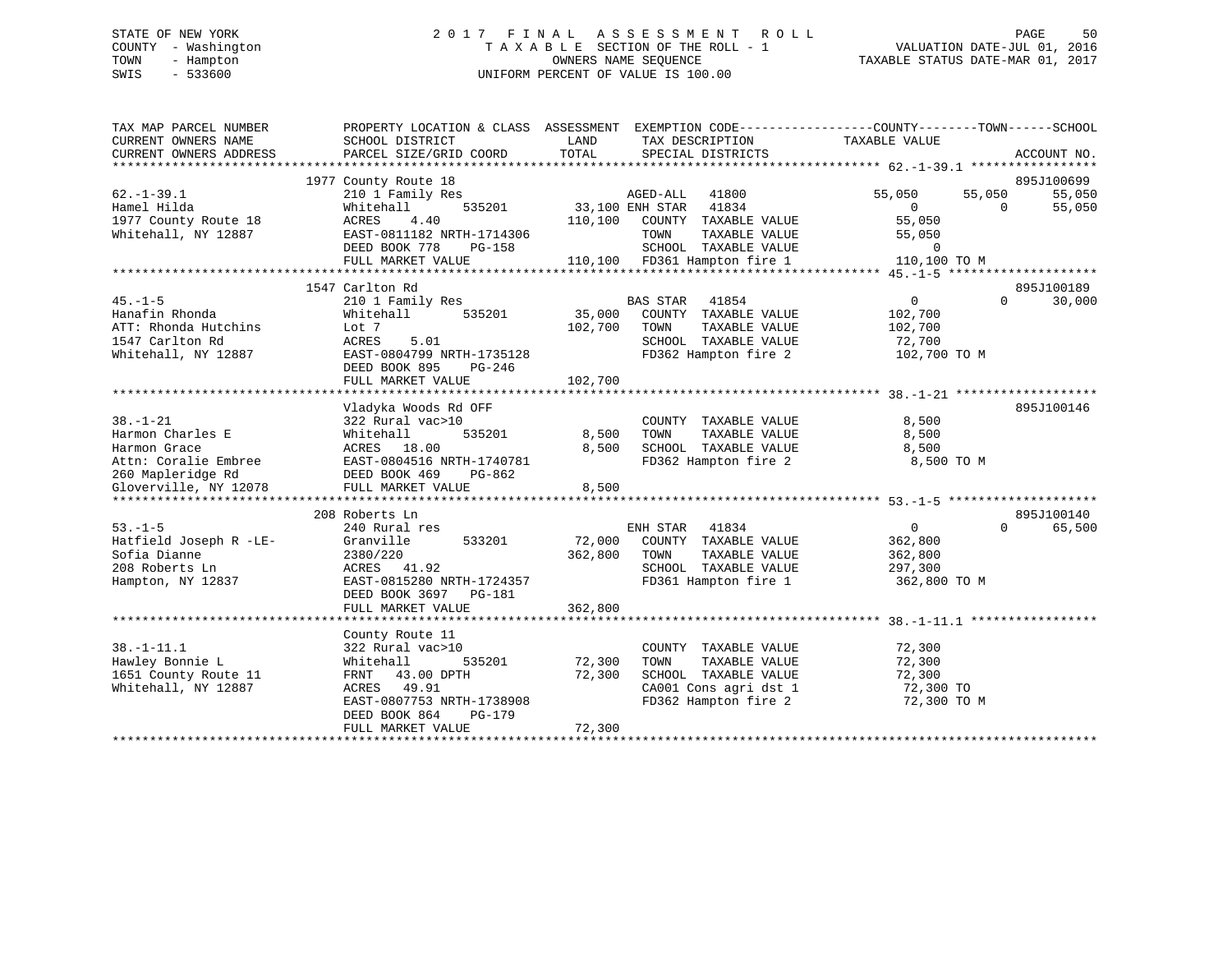# STATE OF NEW YORK 2 0 1 7 F I N A L A S S E S S M E N T R O L L PAGE 50 COUNTY - Washington T A X A B L E SECTION OF THE ROLL - 1 VALUATION DATE-JUL 01, 2016 TOWN - Hampton OWNERS NAME SEQUENCE TAXABLE STATUS DATE-MAR 01, 2017 SWIS - 533600 UNIFORM PERCENT OF VALUE IS 100.00

| TAX MAP PARCEL NUMBER<br>CURRENT OWNERS NAME<br>CURRENT OWNERS ADDRESS | PROPERTY LOCATION & CLASS ASSESSMENT<br>SCHOOL DISTRICT<br>PARCEL SIZE/GRID COORD | LAND<br>TOTAL | TAX DESCRIPTION<br>SPECIAL DISTRICTS | EXEMPTION CODE-----------------COUNTY--------TOWN------SCHOOL<br>TAXABLE VALUE | ACCOUNT NO.        |
|------------------------------------------------------------------------|-----------------------------------------------------------------------------------|---------------|--------------------------------------|--------------------------------------------------------------------------------|--------------------|
|                                                                        |                                                                                   |               |                                      |                                                                                |                    |
|                                                                        | 1977 County Route 18                                                              |               |                                      |                                                                                | 895J100699         |
| $62. - 1 - 39.1$                                                       | 210 1 Family Res                                                                  |               | AGED-ALL<br>41800                    | 55,050<br>55,050                                                               | 55,050             |
| Hamel Hilda                                                            | 535201<br>Whitehall                                                               |               | 33,100 ENH STAR 41834                | $\Omega$                                                                       | $\Omega$<br>55,050 |
| 1977 County Route 18                                                   | 4.40<br>ACRES                                                                     | 110,100       | COUNTY TAXABLE VALUE                 | 55,050                                                                         |                    |
| Whitehall, NY 12887                                                    | EAST-0811182 NRTH-1714306                                                         |               | TOWN<br>TAXABLE VALUE                | 55,050                                                                         |                    |
|                                                                        | DEED BOOK 778<br>PG-158                                                           |               | SCHOOL TAXABLE VALUE                 | $\mathbf 0$                                                                    |                    |
|                                                                        | FULL MARKET VALUE                                                                 |               | 110,100 FD361 Hampton fire 1         | 110,100 TO M                                                                   |                    |
|                                                                        |                                                                                   |               |                                      |                                                                                |                    |
|                                                                        | 1547 Carlton Rd                                                                   |               |                                      |                                                                                | 895J100189         |
| $45. - 1 - 5$                                                          | 210 1 Family Res                                                                  |               | BAS STAR<br>41854                    | 0                                                                              | $\Omega$<br>30,000 |
| Hanafin Rhonda                                                         | 535201<br>Whitehall                                                               | 35,000        | COUNTY TAXABLE VALUE                 | 102,700                                                                        |                    |
| ATT: Rhonda Hutchins                                                   | Lot 7                                                                             | 102,700       | TAXABLE VALUE<br>TOWN                | 102,700                                                                        |                    |
| 1547 Carlton Rd                                                        | ACRES<br>5.01                                                                     |               | SCHOOL TAXABLE VALUE                 | 72,700                                                                         |                    |
| Whitehall, NY 12887                                                    | EAST-0804799 NRTH-1735128                                                         |               | FD362 Hampton fire 2                 | 102,700 TO M                                                                   |                    |
|                                                                        |                                                                                   |               |                                      |                                                                                |                    |
|                                                                        | DEED BOOK 895<br>PG-246                                                           |               |                                      |                                                                                |                    |
|                                                                        | FULL MARKET VALUE                                                                 | 102,700       |                                      |                                                                                |                    |
|                                                                        |                                                                                   |               |                                      |                                                                                |                    |
|                                                                        | Vladyka Woods Rd OFF                                                              |               |                                      |                                                                                | 895J100146         |
| $38. - 1 - 21$                                                         | 322 Rural vac>10                                                                  |               | COUNTY TAXABLE VALUE                 | 8,500                                                                          |                    |
| Harmon Charles E                                                       | Whitehall<br>535201                                                               | 8,500         | TOWN<br>TAXABLE VALUE                | 8,500                                                                          |                    |
| Harmon Grace                                                           | ACRES 18.00                                                                       | 8,500         | SCHOOL TAXABLE VALUE                 | 8,500                                                                          |                    |
| Attn: Coralie Embree                                                   | EAST-0804516 NRTH-1740781                                                         |               | FD362 Hampton fire 2                 | 8,500 TO M                                                                     |                    |
| 260 Mapleridge Rd                                                      | DEED BOOK 469<br>PG-862                                                           |               |                                      |                                                                                |                    |
| Gloverville, NY 12078                                                  | FULL MARKET VALUE                                                                 | 8,500         |                                      |                                                                                |                    |
|                                                                        |                                                                                   |               |                                      |                                                                                |                    |
|                                                                        | 208 Roberts Ln                                                                    |               |                                      |                                                                                | 895J100140         |
| $53. -1 - 5$                                                           | 240 Rural res                                                                     |               | ENH STAR<br>41834                    | 0                                                                              | 65,500<br>$\Omega$ |
| Hatfield Joseph R -LE-                                                 | Granville<br>533201                                                               | 72,000        | COUNTY TAXABLE VALUE                 | 362,800                                                                        |                    |
| Sofia Dianne                                                           | 2380/220                                                                          | 362,800       | TOWN<br>TAXABLE VALUE                | 362,800                                                                        |                    |
| 208 Roberts Ln                                                         | ACRES 41.92                                                                       |               | SCHOOL TAXABLE VALUE                 | 297,300                                                                        |                    |
| Hampton, NY 12837                                                      | EAST-0815280 NRTH-1724357                                                         |               | FD361 Hampton fire 1                 | 362,800 TO M                                                                   |                    |
|                                                                        | DEED BOOK 3697 PG-181                                                             |               |                                      |                                                                                |                    |
|                                                                        | FULL MARKET VALUE                                                                 | 362,800       |                                      |                                                                                |                    |
|                                                                        |                                                                                   |               |                                      |                                                                                |                    |
|                                                                        |                                                                                   |               |                                      |                                                                                |                    |
|                                                                        | County Route 11                                                                   |               |                                      |                                                                                |                    |
| $38. - 1 - 11.1$                                                       | 322 Rural vac>10                                                                  |               | COUNTY TAXABLE VALUE                 | 72,300                                                                         |                    |
| Hawley Bonnie L                                                        | 535201<br>Whitehall                                                               | 72,300        | TAXABLE VALUE<br>TOWN                | 72,300                                                                         |                    |
| 1651 County Route 11                                                   | FRNT 43.00 DPTH                                                                   | 72,300        | SCHOOL TAXABLE VALUE                 | 72,300                                                                         |                    |
| Whitehall, NY 12887                                                    | ACRES 49.91                                                                       |               | CA001 Cons agri dst 1                | 72,300 TO                                                                      |                    |
|                                                                        | EAST-0807753 NRTH-1738908                                                         |               | FD362 Hampton fire 2                 | 72,300 TO M                                                                    |                    |
|                                                                        | DEED BOOK 864<br>PG-179                                                           |               |                                      |                                                                                |                    |
|                                                                        | FULL MARKET VALUE                                                                 | 72,300        |                                      |                                                                                |                    |
|                                                                        |                                                                                   |               |                                      |                                                                                |                    |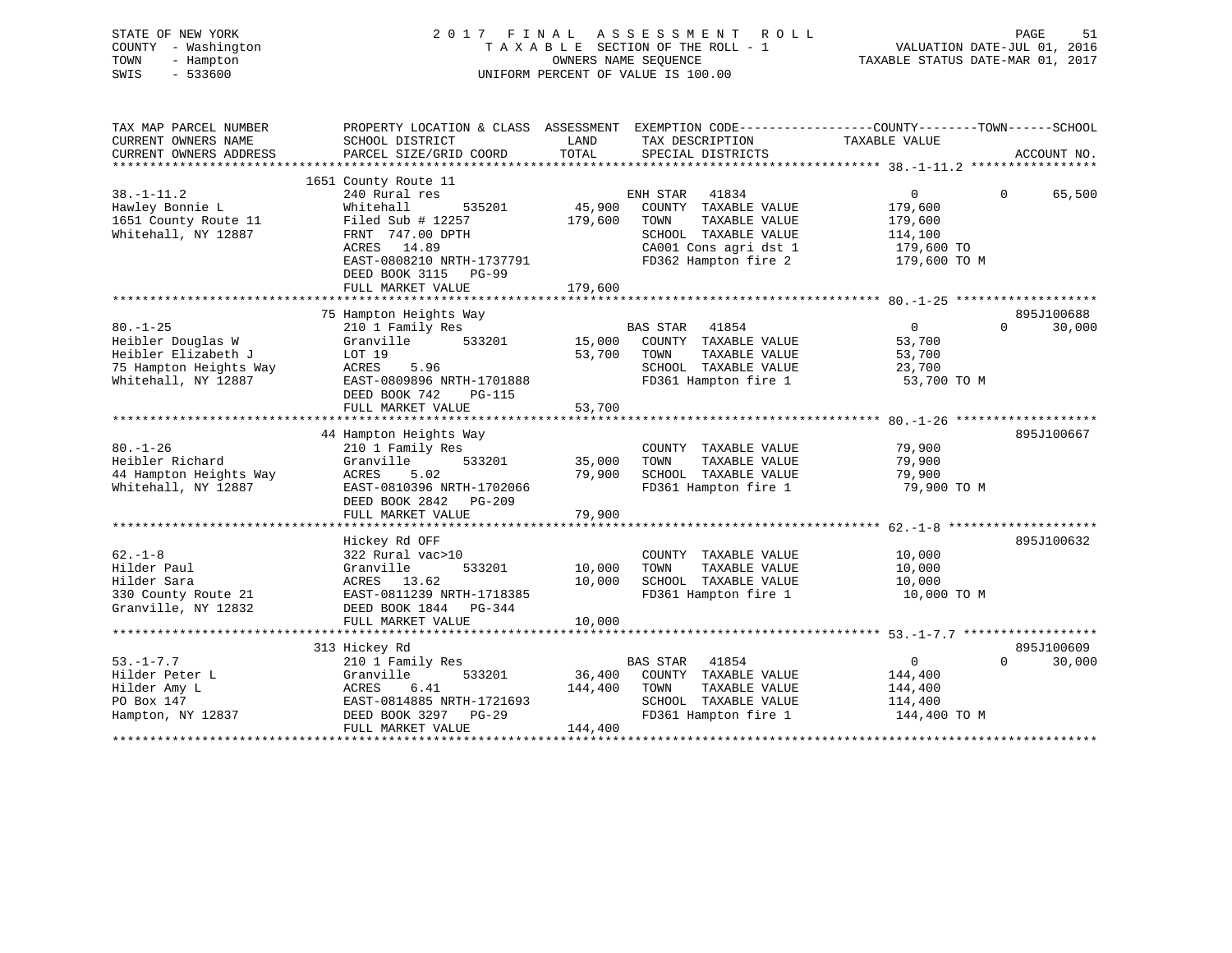| STATE OF NEW YORK<br>COUNTY - Washington<br>TOWN<br>- Hampton<br>SWIS<br>$-533600$                          | 2017                                                                                                                                                                                              | FINAL<br>OWNERS NAME SEQUENCE | A S S E S S M E N T<br>R O L L<br>TAXABLE SECTION OF THE ROLL - 1<br>UNIFORM PERCENT OF VALUE IS 100.00                                  | VALUATION DATE-JUL 01, 2016<br>TAXABLE STATUS DATE-MAR 01, 2017                 | PAGE<br>51            |
|-------------------------------------------------------------------------------------------------------------|---------------------------------------------------------------------------------------------------------------------------------------------------------------------------------------------------|-------------------------------|------------------------------------------------------------------------------------------------------------------------------------------|---------------------------------------------------------------------------------|-----------------------|
| TAX MAP PARCEL NUMBER<br>CURRENT OWNERS NAME<br>CURRENT OWNERS ADDRESS                                      | PROPERTY LOCATION & CLASS ASSESSMENT EXEMPTION CODE---------------COUNTY-------TOWN-----SCHOOL<br>SCHOOL DISTRICT<br>PARCEL SIZE/GRID COORD                                                       | LAND<br>TOTAL                 | TAX DESCRIPTION<br>SPECIAL DISTRICTS                                                                                                     | TAXABLE VALUE                                                                   | ACCOUNT NO.           |
|                                                                                                             |                                                                                                                                                                                                   |                               |                                                                                                                                          |                                                                                 |                       |
| $38. - 1 - 11.2$<br>Hawley Bonnie L<br>1651 County Route 11<br>Whitehall, NY 12887                          | 1651 County Route 11<br>240 Rural res<br>535201<br>Whitehall<br>Filed Sub $\#$ 12257<br>FRNT 747.00 DPTH<br>ACRES 14.89<br>EAST-0808210 NRTH-1737791<br>DEED BOOK 3115 PG-99<br>FULL MARKET VALUE | 45,900<br>179,600<br>179,600  | ENH STAR 41834<br>COUNTY TAXABLE VALUE<br>TOWN<br>TAXABLE VALUE<br>SCHOOL TAXABLE VALUE<br>CA001 Cons agri dst 1<br>FD362 Hampton fire 2 | $\overline{0}$<br>179,600<br>179,600<br>114,100<br>$179,600$ TO<br>179,600 TO M | $\mathbf 0$<br>65,500 |
|                                                                                                             | 75 Hampton Heights Way                                                                                                                                                                            |                               |                                                                                                                                          |                                                                                 | 895J100688            |
| $80. - 1 - 25$<br>Heibler Douglas W<br>Heibler Elizabeth J<br>75 Hampton Heights Way<br>Whitehall, NY 12887 | 210 1 Family Res<br>Granville<br>533201<br>LOT 19<br>5.96<br>ACRES<br>EAST-0809896 NRTH-1701888<br>DEED BOOK 742<br><b>PG-115</b><br>FULL MARKET VALUE                                            | 53,700<br>53,700              | <b>BAS STAR</b><br>41854<br>15,000 COUNTY TAXABLE VALUE<br>TAXABLE VALUE<br>TOWN<br>SCHOOL TAXABLE VALUE<br>FD361 Hampton fire 1         | $0 \qquad \qquad$<br>53,700<br>53,700<br>23,700<br>53,700 TO M                  | $\Omega$<br>30,000    |
|                                                                                                             |                                                                                                                                                                                                   |                               |                                                                                                                                          |                                                                                 |                       |
| $80. - 1 - 26$<br>Heibler Richard<br>44 Hampton Heights Way<br>Whitehall, NY 12887                          | 44 Hampton Heights Way<br>210 1 Family Res<br>533201<br>Granville<br>ACRES<br>5.02<br>EAST-0810396 NRTH-1702066<br>DEED BOOK 2842 PG-209                                                          | 35,000<br>79,900              | COUNTY TAXABLE VALUE<br>TAXABLE VALUE<br>TOWN<br>SCHOOL TAXABLE VALUE<br>FD361 Hampton fire 1                                            | 79,900<br>79,900<br>79,900<br>79,900 TO M                                       | 895J100667            |
|                                                                                                             | FULL MARKET VALUE                                                                                                                                                                                 | 79,900                        |                                                                                                                                          |                                                                                 |                       |
|                                                                                                             |                                                                                                                                                                                                   |                               |                                                                                                                                          |                                                                                 |                       |
| $62. -1 - 8$<br>Hilder Paul<br>Hilder Sara<br>330 County Route 21<br>Granville, NY 12832                    | Hickey Rd OFF<br>322 Rural vac>10<br>Granville<br>533201<br>ACRES 13.62<br>EAST-0811239 NRTH-1718385<br>DEED BOOK 1844 PG-344<br>FULL MARKET VALUE                                                | 10,000<br>10,000<br>10,000    | COUNTY TAXABLE VALUE<br>TOWN<br>TAXABLE VALUE<br>SCHOOL TAXABLE VALUE<br>FD361 Hampton fire 1                                            | 10,000<br>10,000<br>10,000<br>10,000 TO M                                       | 895J100632            |
|                                                                                                             |                                                                                                                                                                                                   |                               |                                                                                                                                          |                                                                                 |                       |

|                   | 313 Hickey Rd             |         |          |                      |              | 895J100609 |
|-------------------|---------------------------|---------|----------|----------------------|--------------|------------|
| $53. - 1 - 7.7$   | 210 1 Family Res          |         | BAS STAR | 41854                |              | 30,000     |
| Hilder Peter L    | Granville<br>533201       | 36,400  | COUNTY   | TAXABLE VALUE        | 144,400      |            |
| Hilder Amy L      | ACRES<br>6.41             | 144,400 | TOWN     | TAXABLE VALUE        | 144,400      |            |
| PO Box 147        | EAST-0814885 NRTH-1721693 |         | SCHOOL   | TAXABLE VALUE        | 114,400      |            |
| Hampton, NY 12837 | DEED BOOK 3297<br>PG-29   |         |          | FD361 Hampton fire 1 | 144,400 TO M |            |
|                   | FULL MARKET VALUE         | 144,400 |          |                      |              |            |
|                   |                           |         |          |                      |              |            |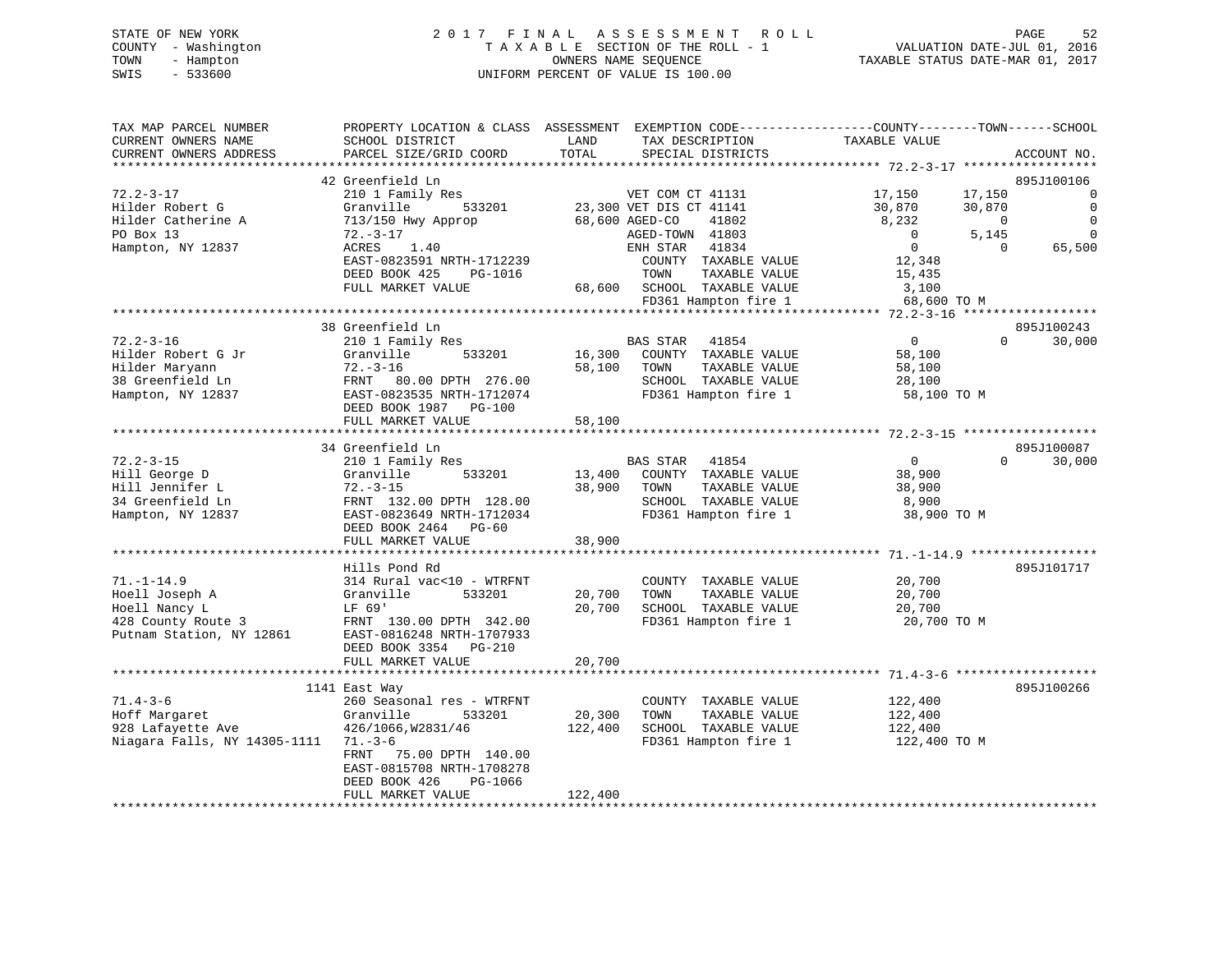|      | STATE OF NEW YORK   | 2017 FINAL ASSESSMENT ROLL                               | PAGE                        | 52 |
|------|---------------------|----------------------------------------------------------|-----------------------------|----|
|      | COUNTY - Washington | TAXABLE SECTION OF THE ROLL - 1                          | VALUATION DATE-JUL 01, 2016 |    |
| TOWN | - Hampton           | TAXABLE STATUS DATE-MAR 01, 2017<br>OWNERS NAME SEOUENCE |                             |    |
| SWIS | - 533600            | UNIFORM PERCENT OF VALUE IS 100.00                       |                             |    |

| TAX MAP PARCEL NUMBER        | PROPERTY LOCATION & CLASS ASSESSMENT EXEMPTION CODE---------------COUNTY-------TOWN------SCHOOL |         |                             |                         |                    |
|------------------------------|-------------------------------------------------------------------------------------------------|---------|-----------------------------|-------------------------|--------------------|
| CURRENT OWNERS NAME          | SCHOOL DISTRICT                                                                                 | LAND    | TAX DESCRIPTION             | TAXABLE VALUE           |                    |
| CURRENT OWNERS ADDRESS       | PARCEL SIZE/GRID COORD                                                                          | TOTAL   | SPECIAL DISTRICTS           |                         | ACCOUNT NO.        |
|                              |                                                                                                 |         |                             |                         |                    |
|                              | 42 Greenfield Ln                                                                                |         |                             |                         | 895J100106         |
| $72.2 - 3 - 17$              | 210 1 Family Res                                                                                |         | VET COM CT 41131            | 17,150<br>17,150        | $\Omega$           |
| Hilder Robert G              | Granville<br>533201                                                                             |         | 23,300 VET DIS CT 41141     | 30,870<br>30,870        | $\Omega$           |
| Hilder Catherine A           | 713/150 Hwy Approp                                                                              |         | 68,600 AGED-CO<br>41802     | 8,232<br>$\sim$ 0       | $\overline{0}$     |
| PO Box 13                    | $72. - 3 - 17$                                                                                  |         | AGED-TOWN 41803             | $\overline{0}$<br>5,145 | $\Omega$           |
| Hampton, NY 12837            | ACRES<br>1.40                                                                                   |         | ENH STAR 41834              | $\overline{0}$          | $\Omega$<br>65,500 |
|                              | EAST-0823591 NRTH-1712239                                                                       |         | COUNTY TAXABLE VALUE        | 12,348                  |                    |
|                              | DEED BOOK 425<br>PG-1016                                                                        |         | TAXABLE VALUE<br>TOWN       | 15,435                  |                    |
|                              | FULL MARKET VALUE                                                                               |         | 68,600 SCHOOL TAXABLE VALUE | 3,100                   |                    |
|                              |                                                                                                 |         | FD361 Hampton fire 1        | 68,600 TO M             |                    |
|                              |                                                                                                 |         |                             |                         |                    |
|                              | 38 Greenfield Ln                                                                                |         |                             |                         | 895J100243         |
| $72.2 - 3 - 16$              | 210 1 Family Res                                                                                |         | BAS STAR 41854              | $\mathbf 0$             | $\Omega$<br>30,000 |
| Hilder Robert G Jr           | Granville<br>533201                                                                             | 16,300  | COUNTY TAXABLE VALUE        | 58,100                  |                    |
| Hilder Maryann               | $72. - 3 - 16$                                                                                  | 58,100  | TAXABLE VALUE<br>TOWN       | 58,100                  |                    |
| 38 Greenfield Ln             | FRNT 80.00 DPTH 276.00                                                                          |         | SCHOOL TAXABLE VALUE        | 28,100                  |                    |
| Hampton, NY 12837            | EAST-0823535 NRTH-1712074                                                                       |         | FD361 Hampton fire 1        | 58,100 TO M             |                    |
|                              | DEED BOOK 1987 PG-100                                                                           |         |                             |                         |                    |
|                              | FULL MARKET VALUE                                                                               | 58,100  |                             |                         |                    |
|                              |                                                                                                 |         |                             |                         |                    |
|                              | 34 Greenfield Ln                                                                                |         |                             |                         | 895J100087         |
| $72.2 - 3 - 15$              | 210 1 Family Res                                                                                |         | BAS STAR<br>41854           | $\overline{0}$          | $\Omega$<br>30,000 |
| Hill George D                | Granville<br>533201                                                                             | 13,400  | COUNTY TAXABLE VALUE        | 38,900                  |                    |
| Hill Jennifer L              | $72. - 3 - 15$                                                                                  | 38,900  | TAXABLE VALUE<br>TOWN       | 38,900                  |                    |
| 34 Greenfield Ln             | FRNT 132.00 DPTH 128.00                                                                         |         | SCHOOL TAXABLE VALUE        | 8,900                   |                    |
| Hampton, NY 12837            | EAST-0823649 NRTH-1712034                                                                       |         | FD361 Hampton fire 1        | 38,900 TO M             |                    |
|                              | DEED BOOK 2464 PG-60                                                                            |         |                             |                         |                    |
|                              | FULL MARKET VALUE                                                                               | 38,900  |                             |                         |                    |
|                              |                                                                                                 |         |                             |                         |                    |
|                              | Hills Pond Rd                                                                                   |         |                             |                         | 895J101717         |
| $71. - 1 - 14.9$             | 314 Rural vac<10 - WTRFNT                                                                       |         | COUNTY TAXABLE VALUE        | 20,700                  |                    |
| Hoell Joseph A               | 533201<br>Granville                                                                             | 20,700  | TOWN<br>TAXABLE VALUE       | 20,700                  |                    |
| Hoell Nancy L                | LF 69'                                                                                          | 20,700  | SCHOOL TAXABLE VALUE        | 20,700                  |                    |
| 428 County Route 3           | FRNT 130.00 DPTH 342.00                                                                         |         | FD361 Hampton fire 1        | 20,700 TO M             |                    |
| Putnam Station, NY 12861     | EAST-0816248 NRTH-1707933                                                                       |         |                             |                         |                    |
|                              | DEED BOOK 3354 PG-210                                                                           |         |                             |                         |                    |
|                              | FULL MARKET VALUE                                                                               | 20,700  |                             |                         |                    |
|                              |                                                                                                 |         |                             |                         |                    |
|                              | 1141 East Way                                                                                   |         |                             |                         | 895J100266         |
| $71.4 - 3 - 6$               | 260 Seasonal res - WTRFNT                                                                       |         | COUNTY TAXABLE VALUE        | 122,400                 |                    |
| Hoff Margaret                | 533201<br>Granville                                                                             | 20,300  | TAXABLE VALUE<br>TOWN       | 122,400                 |                    |
| 928 Lafayette Ave            | 426/1066, W2831/46                                                                              | 122,400 | SCHOOL TAXABLE VALUE        | 122,400                 |                    |
| Niagara Falls, NY 14305-1111 | $71. - 3 - 6$                                                                                   |         | FD361 Hampton fire 1        | 122,400 TO M            |                    |
|                              | 75.00 DPTH 140.00<br>FRNT                                                                       |         |                             |                         |                    |
|                              | EAST-0815708 NRTH-1708278                                                                       |         |                             |                         |                    |
|                              | DEED BOOK 426<br>PG-1066                                                                        |         |                             |                         |                    |
|                              | FULL MARKET VALUE                                                                               | 122,400 |                             |                         |                    |
|                              |                                                                                                 |         |                             |                         |                    |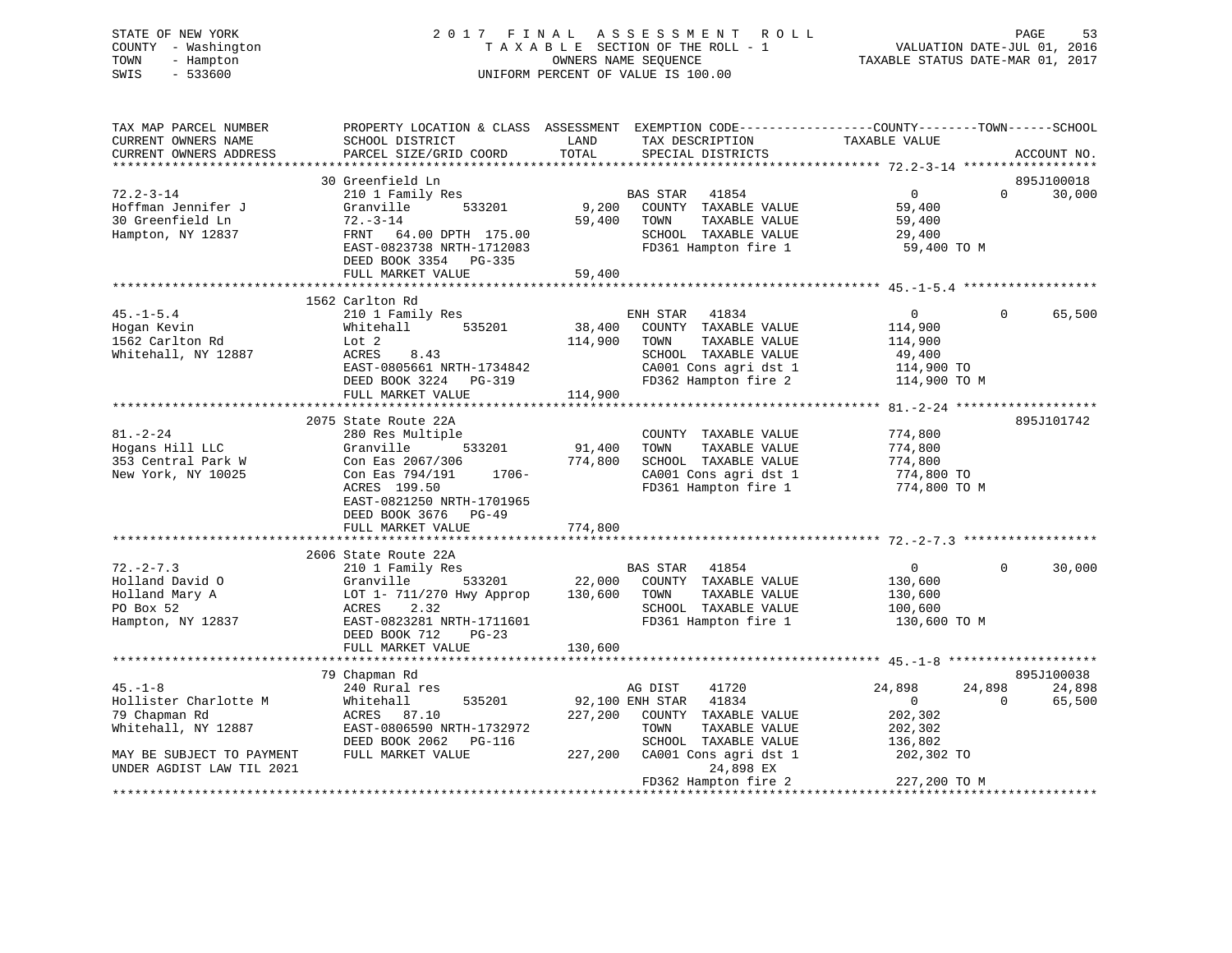# STATE OF NEW YORK 2 0 1 7 F I N A L A S S E S S M E N T R O L L PAGE 53 COUNTY - Washington T A X A B L E SECTION OF THE ROLL - 1 VALUATION DATE-JUL 01, 2016 TOWN - Hampton OWNERS NAME SEQUENCE TAXABLE STATUS DATE-MAR 01, 2017 SWIS - 533600 UNIFORM PERCENT OF VALUE IS 100.00

| TAX MAP PARCEL NUMBER<br>CURRENT OWNERS NAME<br>CURRENT OWNERS ADDRESS                 | SCHOOL DISTRICT<br>PARCEL SIZE/GRID COORD                                                                                                 | PROPERTY LOCATION & CLASS ASSESSMENT EXEMPTION CODE----------------COUNTY-------TOWN------SCHOOL<br>LAND<br>TAX DESCRIPTION<br>TOTAL<br>SPECIAL DISTRICTS                         | TAXABLE VALUE                                                                            | ACCOUNT NO.      |
|----------------------------------------------------------------------------------------|-------------------------------------------------------------------------------------------------------------------------------------------|-----------------------------------------------------------------------------------------------------------------------------------------------------------------------------------|------------------------------------------------------------------------------------------|------------------|
|                                                                                        | 30 Greenfield Ln                                                                                                                          |                                                                                                                                                                                   |                                                                                          | 895J100018       |
| $72.2 - 3 - 14$<br>Hoffman Jennifer J<br>30 Greenfield Ln<br>Hampton, NY 12837         | 210 1 Family Res<br>533201<br>Granville<br>$72. - 3 - 14$<br>FRNT 64.00 DPTH 175.00<br>EAST-0823738 NRTH-1712083<br>DEED BOOK 3354 PG-335 | BAS STAR<br>41854<br>9,200 COUNTY TAXABLE VALUE<br>59,400 TOWN<br>TAXABLE VALUE<br>SCHOOL TAXABLE VALUE<br>FD361 Hampton fire 1                                                   | $\overline{0}$<br>$\Omega$<br>59,400<br>59,400<br>29,400<br>59,400 TO M                  | 30,000           |
|                                                                                        | FULL MARKET VALUE                                                                                                                         | 59,400                                                                                                                                                                            |                                                                                          |                  |
|                                                                                        | 1562 Carlton Rd                                                                                                                           |                                                                                                                                                                                   |                                                                                          |                  |
| $45. - 1 - 5.4$<br>Hogan Kevin<br>1562 Carlton Rd<br>Whitehall, NY 12887               | 210 1 Family Res<br>535201<br>Whitehall<br>Lot 2<br>ACRES<br>8.43<br>EAST-0805661 NRTH-1734842<br>DEED BOOK 3224 PG-319                   | ENH STAR<br>41834<br>38,400<br>COUNTY TAXABLE VALUE<br>114,900<br>TOWN<br>TAXABLE VALUE<br>SCHOOL TAXABLE VALUE<br>$\frac{1}{2}$<br>CA001 Cons agri dst 1<br>FD362 Hampton fire 2 | $\overline{0}$<br>$\Omega$<br>114,900<br>114,900<br>49,400<br>114,900 TO<br>114,900 TO M | 65,500           |
|                                                                                        | FULL MARKET VALUE                                                                                                                         | 114,900                                                                                                                                                                           |                                                                                          |                  |
| $81. - 2 - 24$<br>Hogans Hill LLC<br>353 Central Park W<br>New York, NY 10025          | 2075 State Route 22A<br>280 Res Multiple<br>Granville<br>533201<br>Con Eas 2067/306<br>Con Eas 794/191<br>1706-                           | COUNTY TAXABLE VALUE<br>91,400<br>TAXABLE VALUE<br>TOWN<br>774,800<br>SCHOOL TAXABLE VALUE<br>CA001 Cons agri dst 1                                                               | 774,800<br>774,800<br>774,800<br>774,800 TO                                              | 895J101742       |
|                                                                                        | ACRES 199.50<br>EAST-0821250 NRTH-1701965<br>DEED BOOK 3676 PG-49<br>FULL MARKET VALUE                                                    | FD361 Hampton fire 1<br>774,800                                                                                                                                                   | 774,800 TO M                                                                             |                  |
|                                                                                        | 2606 State Route 22A                                                                                                                      |                                                                                                                                                                                   |                                                                                          |                  |
| $72. - 2 - 7.3$<br>Holland David O<br>Holland Mary A<br>PO Box 52<br>Hampton, NY 12837 | 210 1 Family Res<br>Granville<br>LOT 1- 711/270 Hwy Approp<br>ACRES<br>2.32<br>EAST-0823281 NRTH-1711601<br>PG-23<br>DEED BOOK 712        | BAS STAR 41854<br>533201 22,000<br>COUNTY TAXABLE VALUE<br>130,600<br>TOWN<br>TAXABLE VALUE<br>SCHOOL TAXABLE VALUE<br>FD361 Hampton fire 1                                       | $\Omega$<br>$\overline{0}$<br>130,600<br>130,600<br>100,600<br>130,600 TO M              | 30,000           |
|                                                                                        | FULL MARKET VALUE                                                                                                                         | 130,600                                                                                                                                                                           |                                                                                          |                  |
|                                                                                        |                                                                                                                                           |                                                                                                                                                                                   |                                                                                          | 895J100038       |
| $45. - 1 - 8$<br>Hollister Charlotte M<br>79 Chapman Rd<br>Whitehall, NY 12887         | 79 Chapman Rd<br>240 Rural res<br>535201<br>Whitehall<br>ACRES 87.10<br>EAST-0806590 NRTH-1732972<br>DEED BOOK 2062 PG-116                | AG DIST<br>41720<br>92,100 ENH STAR<br>41834<br>227,200 COUNTY TAXABLE VALUE<br>TOWN<br>TAXABLE VALUE<br>SCHOOL TAXABLE VALUE                                                     | 24,898<br>24,898<br>$\overline{0}$<br>$\Omega$<br>202,302<br>202,302<br>136,802          | 24,898<br>65,500 |
| MAY BE SUBJECT TO PAYMENT<br>UNDER AGDIST LAW TIL 2021                                 | FULL MARKET VALUE                                                                                                                         | 227,200 CA001 Cons agri dst 1<br>24,898 EX<br>FD362 Hampton fire 2                                                                                                                | 202,302 TO<br>227,200 TO M                                                               |                  |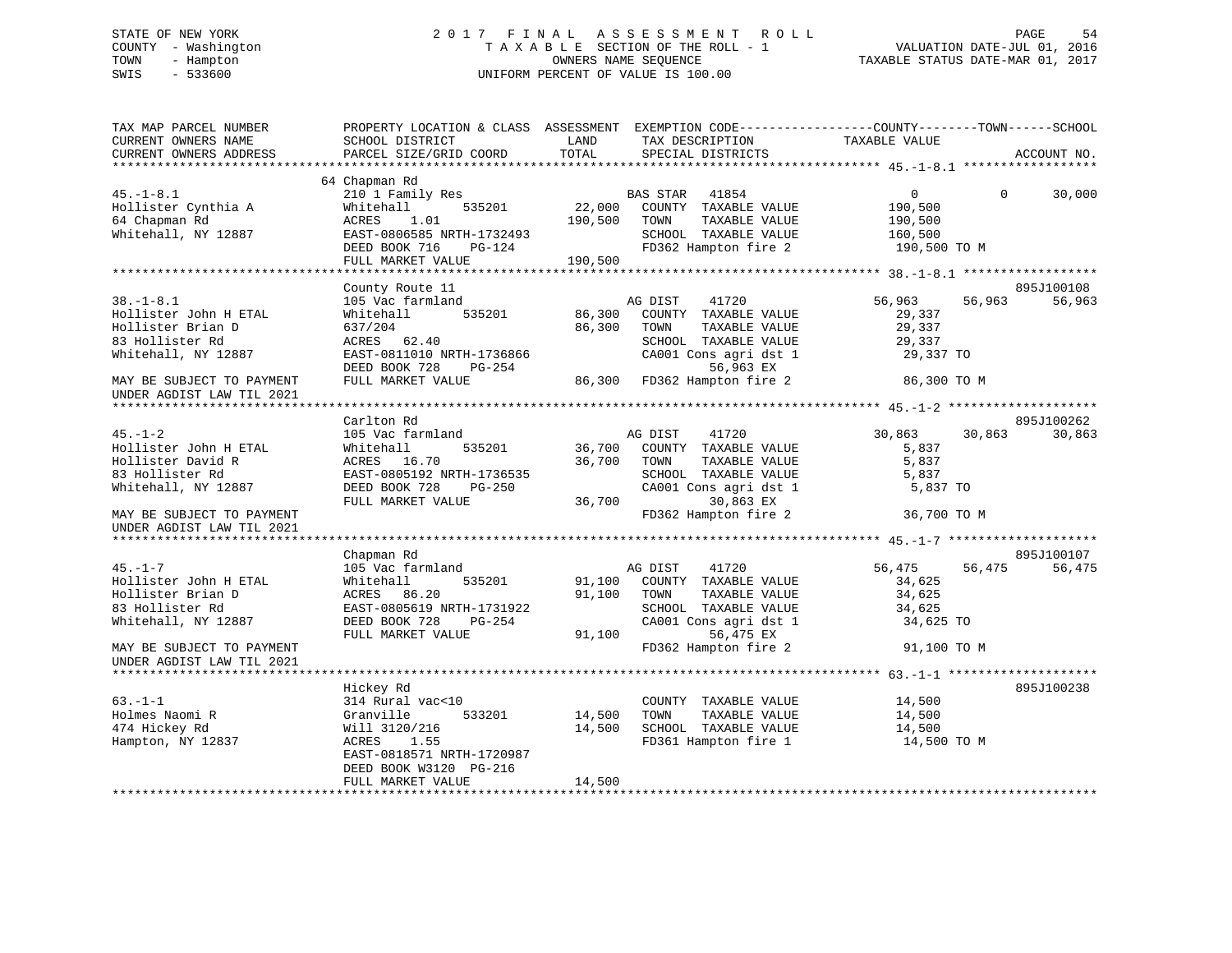# STATE OF NEW YORK 2 0 1 7 F I N A L A S S E S S M E N T R O L L PAGE 54 COUNTY - Washington T A X A B L E SECTION OF THE ROLL - 1 VALUATION DATE-JUL 01, 2016 TOWN - Hampton OWNERS NAME SEQUENCE TAXABLE STATUS DATE-MAR 01, 2017 SWIS - 533600 UNIFORM PERCENT OF VALUE IS 100.00

| TAX MAP PARCEL NUMBER     |                           |         |                             | PROPERTY LOCATION & CLASS ASSESSMENT EXEMPTION CODE----------------COUNTY-------TOWN-----SCHOOL |             |
|---------------------------|---------------------------|---------|-----------------------------|-------------------------------------------------------------------------------------------------|-------------|
| CURRENT OWNERS NAME       | SCHOOL DISTRICT           | LAND    | TAX DESCRIPTION             | TAXABLE VALUE                                                                                   |             |
| CURRENT OWNERS ADDRESS    | PARCEL SIZE/GRID COORD    | TOTAL   | SPECIAL DISTRICTS           |                                                                                                 | ACCOUNT NO. |
|                           |                           |         |                             |                                                                                                 |             |
|                           | 64 Chapman Rd             |         |                             |                                                                                                 |             |
| $45. - 1 - 8.1$           | 210 1 Family Res          |         | BAS STAR 41854              | $\Omega$<br>$\Omega$                                                                            | 30,000      |
| Hollister Cynthia A       | Whitehall<br>535201       | 22,000  | COUNTY TAXABLE VALUE        | 190,500                                                                                         |             |
| 64 Chapman Rd             | ACRES<br>1.01             | 190,500 | TOWN<br>TAXABLE VALUE       | 190,500                                                                                         |             |
| Whitehall, NY 12887       | EAST-0806585 NRTH-1732493 |         | SCHOOL TAXABLE VALUE        | 160,500                                                                                         |             |
|                           | DEED BOOK 716<br>PG-124   |         | FD362 Hampton fire 2        | 190,500 TO M                                                                                    |             |
|                           | FULL MARKET VALUE         | 190,500 |                             |                                                                                                 |             |
|                           |                           |         |                             |                                                                                                 |             |
|                           | County Route 11           |         |                             |                                                                                                 | 895J100108  |
| $38. - 1 - 8.1$           | 105 Vac farmland          |         | AG DIST<br>41720            | 56,963<br>56,963                                                                                | 56,963      |
| Hollister John H ETAL     | Whitehall<br>535201       | 86,300  | COUNTY TAXABLE VALUE        | 29,337                                                                                          |             |
| Hollister Brian D         | 637/204                   | 86,300  | TOWN<br>TAXABLE VALUE       | 29,337                                                                                          |             |
| 83 Hollister Rd           | ACRES 62.40               |         | SCHOOL TAXABLE VALUE        | 29,337                                                                                          |             |
| Whitehall, NY 12887       | EAST-0811010 NRTH-1736866 |         | CA001 Cons agri dst 1       | 29,337 TO                                                                                       |             |
|                           |                           |         |                             |                                                                                                 |             |
|                           | DEED BOOK 728<br>PG-254   |         | 56,963 EX                   |                                                                                                 |             |
| MAY BE SUBJECT TO PAYMENT | FULL MARKET VALUE         |         | 86,300 FD362 Hampton fire 2 | 86,300 TO M                                                                                     |             |
| UNDER AGDIST LAW TIL 2021 |                           |         |                             |                                                                                                 |             |
|                           |                           |         |                             |                                                                                                 |             |
|                           | Carlton Rd                |         |                             |                                                                                                 | 895J100262  |
| $45. - 1 - 2$             | 105 Vac farmland          |         | AG DIST<br>41720            | 30,863<br>30,863                                                                                | 30,863      |
| Hollister John H ETAL     | 535201<br>Whitehall       |         | 36,700 COUNTY TAXABLE VALUE | 5,837                                                                                           |             |
| Hollister David R         | ACRES 16.70               | 36,700  | TAXABLE VALUE<br>TOWN       | 5,837                                                                                           |             |
| 83 Hollister Rd           | EAST-0805192 NRTH-1736535 |         | SCHOOL TAXABLE VALUE        | 5,837                                                                                           |             |
| Whitehall, NY 12887       | DEED BOOK 728<br>PG-250   |         | CA001 Cons agri dst 1       | 5,837 TO                                                                                        |             |
|                           | FULL MARKET VALUE         | 36,700  | 30,863 EX                   |                                                                                                 |             |
| MAY BE SUBJECT TO PAYMENT |                           |         | FD362 Hampton fire 2        | 36,700 TO M                                                                                     |             |
| UNDER AGDIST LAW TIL 2021 |                           |         |                             |                                                                                                 |             |
|                           |                           |         |                             |                                                                                                 |             |
|                           | Chapman Rd                |         |                             |                                                                                                 | 895J100107  |
| $45. - 1 - 7$             | 105 Vac farmland          |         | AG DIST<br>41720            | 56,475<br>56,475                                                                                | 56,475      |
| Hollister John H ETAL     | Whitehall<br>535201       |         | 91,100 COUNTY TAXABLE VALUE | 34,625                                                                                          |             |
| Hollister Brian D         | ACRES 86.20               | 91,100  | TOWN<br>TAXABLE VALUE       | 34,625                                                                                          |             |
| 83 Hollister Rd           | EAST-0805619 NRTH-1731922 |         | SCHOOL TAXABLE VALUE        | 34,625                                                                                          |             |
| Whitehall, NY 12887       | DEED BOOK 728<br>PG-254   |         | CA001 Cons agri dst 1       | 34,625 TO                                                                                       |             |
|                           | FULL MARKET VALUE         |         | 91,100<br>56,475 EX         |                                                                                                 |             |
| MAY BE SUBJECT TO PAYMENT |                           |         | FD362 Hampton fire 2        | 91,100 TO M                                                                                     |             |
| UNDER AGDIST LAW TIL 2021 |                           |         |                             |                                                                                                 |             |
|                           |                           |         |                             |                                                                                                 |             |
|                           | Hickey Rd                 |         |                             |                                                                                                 | 895J100238  |
| $63. -1 - 1$              | 314 Rural vac<10          |         | COUNTY TAXABLE VALUE        | 14,500                                                                                          |             |
| Holmes Naomi R            | 533201<br>Granville       | 14,500  | TOWN<br>TAXABLE VALUE       | 14,500                                                                                          |             |
| 474 Hickey Rd             | Will 3120/216             | 14,500  | SCHOOL TAXABLE VALUE        | 14,500                                                                                          |             |
| Hampton, NY 12837         | ACRES<br>1.55             |         | FD361 Hampton fire 1        | 14,500 TO M                                                                                     |             |
|                           | EAST-0818571 NRTH-1720987 |         |                             |                                                                                                 |             |
|                           | DEED BOOK W3120 PG-216    |         |                             |                                                                                                 |             |
|                           | FULL MARKET VALUE         | 14,500  |                             |                                                                                                 |             |
|                           |                           |         |                             |                                                                                                 |             |
|                           |                           |         |                             |                                                                                                 |             |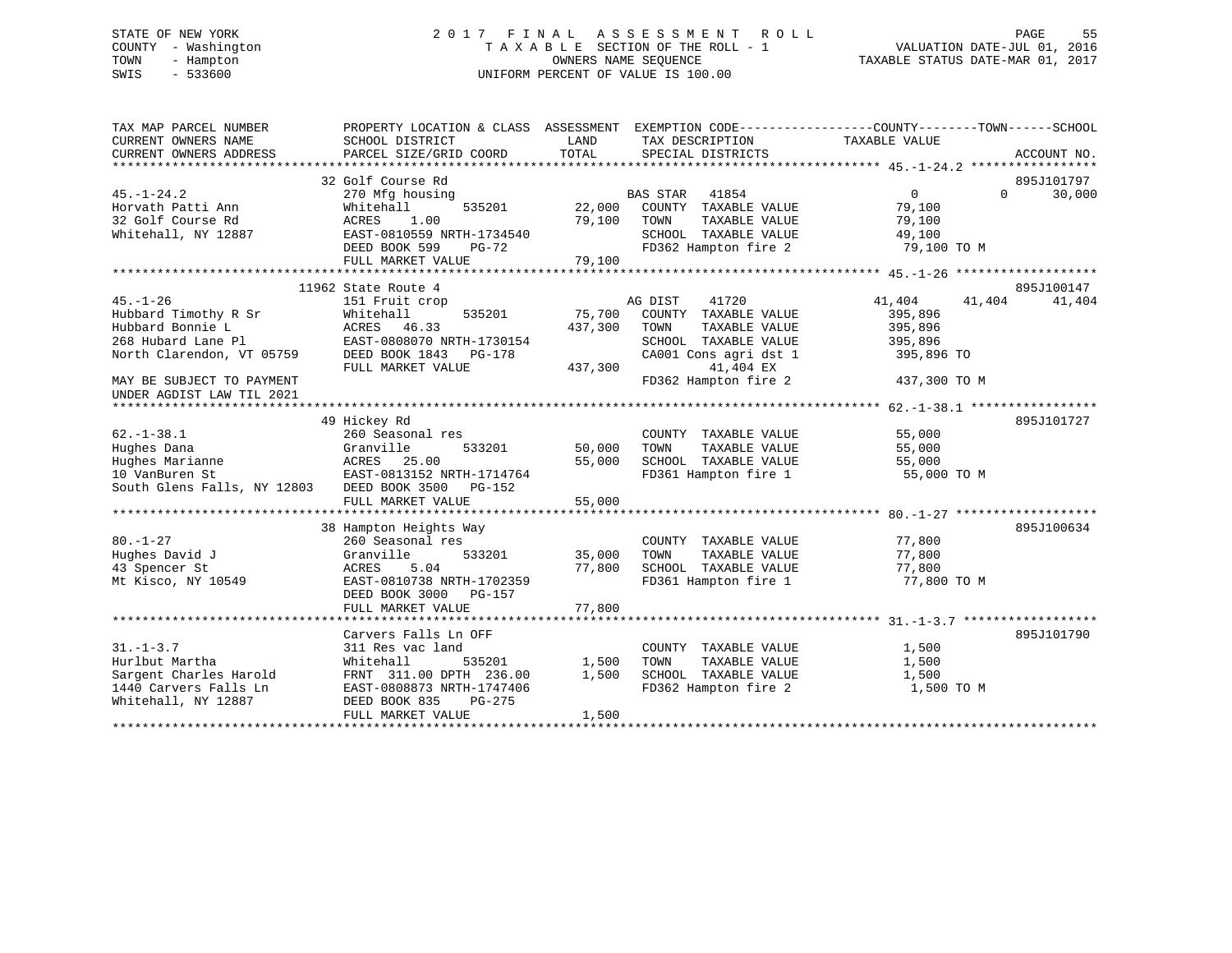# STATE OF NEW YORK 2 0 1 7 F I N A L A S S E S S M E N T R O L L PAGE 55 COUNTY - Washington T A X A B L E SECTION OF THE ROLL - 1 VALUATION DATE-JUL 01, 2016 TOWN - Hampton OWNERS NAME SEQUENCE TAXABLE STATUS DATE-MAR 01, 2017 SWIS - 533600 UNIFORM PERCENT OF VALUE IS 100.00

| TAX MAP PARCEL NUMBER<br>CURRENT OWNERS NAME<br>CURRENT OWNERS ADDRESS | PROPERTY LOCATION & CLASS ASSESSMENT<br>SCHOOL DISTRICT<br>PARCEL SIZE/GRID COORD | LAND<br>TOTAL | TAX DESCRIPTION<br>SPECIAL DISTRICTS | EXEMPTION CODE-----------------COUNTY-------TOWN------SCHOOL<br>TAXABLE VALUE | ACCOUNT NO.                      |
|------------------------------------------------------------------------|-----------------------------------------------------------------------------------|---------------|--------------------------------------|-------------------------------------------------------------------------------|----------------------------------|
| $45. - 1 - 24.2$                                                       | 32 Golf Course Rd<br>270 Mfg housing                                              |               | <b>BAS STAR</b><br>41854             | $\mathbf{0}$                                                                  | 895J101797<br>$\Omega$<br>30,000 |
| Horvath Patti Ann                                                      | Whitehall<br>535201                                                               | 22,000        | COUNTY TAXABLE VALUE                 | 79,100                                                                        |                                  |
| 32 Golf Course Rd                                                      | ACRES<br>1.00                                                                     | 79,100        | TAXABLE VALUE<br>TOWN                | 79,100                                                                        |                                  |
| Whitehall, NY 12887                                                    | EAST-0810559 NRTH-1734540                                                         |               | SCHOOL TAXABLE VALUE                 | 49,100                                                                        |                                  |
|                                                                        | DEED BOOK 599<br>PG-72                                                            |               | FD362 Hampton fire 2                 | 79,100 TO M                                                                   |                                  |
|                                                                        | FULL MARKET VALUE                                                                 | 79,100        |                                      |                                                                               |                                  |
|                                                                        |                                                                                   |               |                                      |                                                                               |                                  |
|                                                                        | 11962 State Route 4                                                               |               |                                      |                                                                               | 895J100147                       |
| $45. - 1 - 26$                                                         | 151 Fruit crop                                                                    |               | AG DIST<br>41720                     | 41,404                                                                        | 41,404<br>41,404                 |
| Hubbard Timothy R Sr                                                   | Whitehall<br>535201                                                               | 75,700        | COUNTY TAXABLE VALUE                 | 395,896                                                                       |                                  |
| Hubbard Bonnie L                                                       | ACRES 46.33                                                                       | 437,300       | TOWN<br>TAXABLE VALUE                | 395,896                                                                       |                                  |
| 268 Hubard Lane Pl                                                     | EAST-0808070 NRTH-1730154                                                         |               | SCHOOL TAXABLE VALUE                 | 395,896                                                                       |                                  |
| North Clarendon, VT 05759                                              | DEED BOOK 1843<br>PG-178                                                          |               | CA001 Cons agri dst 1                | 395,896 TO                                                                    |                                  |
|                                                                        | FULL MARKET VALUE                                                                 | 437,300       | 41,404 EX                            |                                                                               |                                  |
| MAY BE SUBJECT TO PAYMENT<br>UNDER AGDIST LAW TIL 2021                 |                                                                                   |               | FD362 Hampton fire 2                 | 437,300 TO M                                                                  |                                  |
|                                                                        |                                                                                   |               |                                      |                                                                               |                                  |
|                                                                        | 49 Hickey Rd                                                                      |               |                                      |                                                                               | 895J101727                       |
| $62. - 1 - 38.1$                                                       | 260 Seasonal res                                                                  |               | COUNTY TAXABLE VALUE                 | 55,000                                                                        |                                  |
| Hughes Dana                                                            | Granville<br>533201                                                               | 50,000        | TAXABLE VALUE<br>TOWN                | 55,000                                                                        |                                  |
| Hughes Marianne                                                        | ACRES 25.00                                                                       | 55,000        | SCHOOL TAXABLE VALUE                 | 55,000                                                                        |                                  |
| 10 VanBuren St                                                         | EAST-0813152 NRTH-1714764                                                         |               | FD361 Hampton fire 1                 | 55,000 TO M                                                                   |                                  |
| South Glens Falls, NY 12803                                            | DEED BOOK 3500<br>PG-152                                                          |               |                                      |                                                                               |                                  |
|                                                                        | FULL MARKET VALUE                                                                 | 55,000        |                                      |                                                                               |                                  |
|                                                                        |                                                                                   |               |                                      |                                                                               |                                  |
|                                                                        | 38 Hampton Heights Way                                                            |               |                                      |                                                                               | 895J100634                       |
| $80. - 1 - 27$                                                         | 260 Seasonal res                                                                  |               | COUNTY TAXABLE VALUE                 | 77,800                                                                        |                                  |
| Hughes David J                                                         | 533201<br>Granville                                                               | 35,000        | TAXABLE VALUE<br>TOWN                | 77,800                                                                        |                                  |
| 43 Spencer St                                                          | 5.04<br>ACRES                                                                     | 77,800        | SCHOOL TAXABLE VALUE                 | 77,800                                                                        |                                  |
| Mt Kisco, NY 10549                                                     | EAST-0810738 NRTH-1702359                                                         |               | FD361 Hampton fire 1                 | 77,800 TO M                                                                   |                                  |
|                                                                        | DEED BOOK 3000<br>$PG-157$                                                        |               |                                      |                                                                               |                                  |
|                                                                        | FULL MARKET VALUE                                                                 | 77,800        |                                      |                                                                               |                                  |
|                                                                        |                                                                                   |               |                                      |                                                                               |                                  |
|                                                                        | Carvers Falls Ln OFF                                                              |               |                                      |                                                                               | 895J101790                       |
| $31. - 1 - 3.7$                                                        | 311 Res vac land                                                                  |               | COUNTY TAXABLE VALUE                 | 1,500                                                                         |                                  |
| Hurlbut Martha                                                         | Whitehall<br>535201                                                               | 1,500         | TAXABLE VALUE<br>TOWN                | 1,500                                                                         |                                  |
| Sargent Charles Harold                                                 | FRNT 311.00 DPTH 236.00                                                           | 1,500         | SCHOOL TAXABLE VALUE                 | 1,500                                                                         |                                  |
| 1440 Carvers Falls Ln                                                  | EAST-0808873 NRTH-1747406                                                         |               | FD362 Hampton fire 2                 | 1,500 TO M                                                                    |                                  |
| Whitehall, NY 12887                                                    | DEED BOOK 835<br>$PG-275$                                                         | 1,500         |                                      |                                                                               |                                  |
|                                                                        | FULL MARKET VALUE                                                                 |               |                                      |                                                                               |                                  |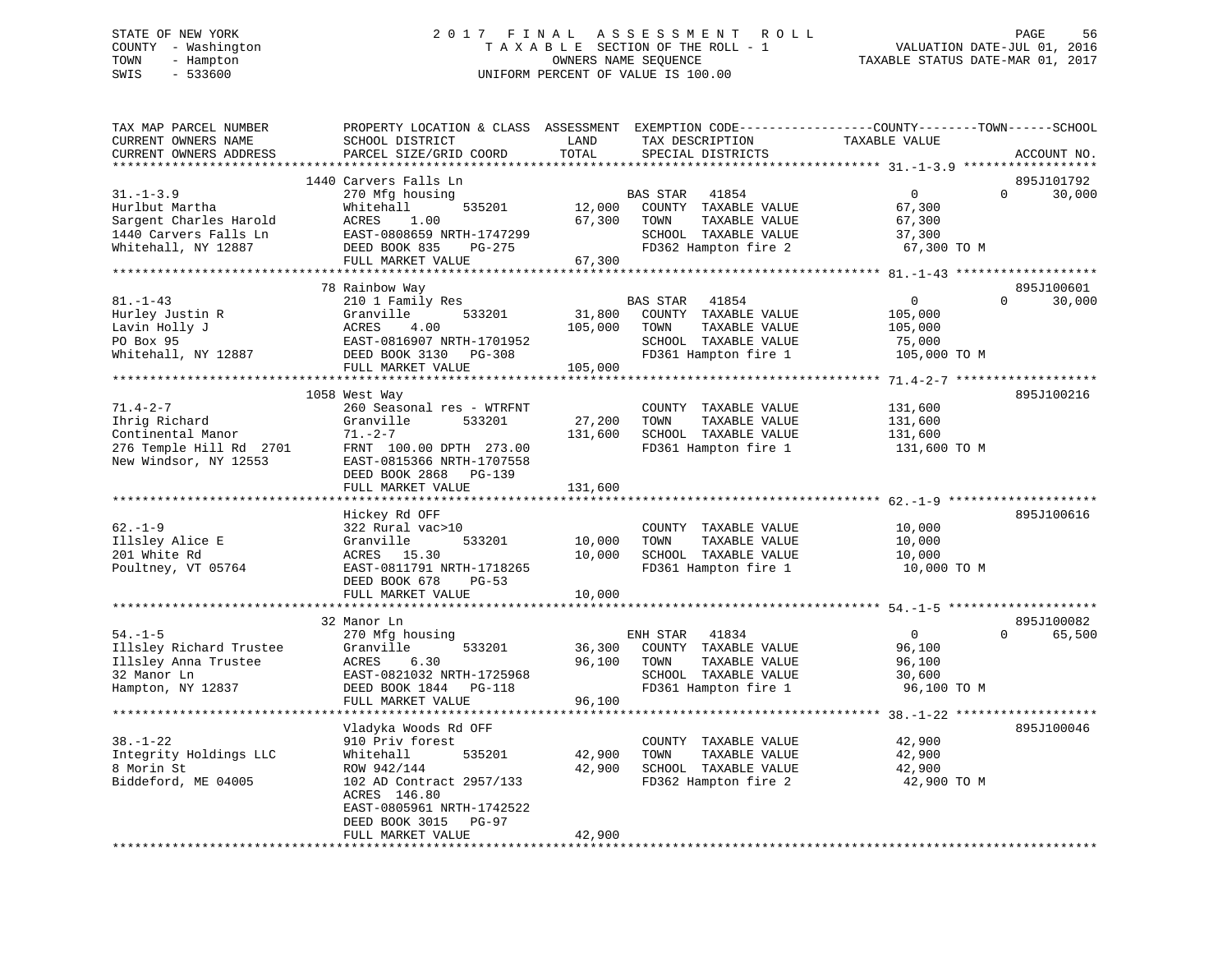#### STATE OF NEW YORK STATE OF NEW YORK STATE OF NEW YORK SOLUCE AS A LIMIT OF LIMIT AS STESS ON EXTERNAL PAGE SOLU COUNTY - Washington  $\begin{array}{ccc} 1 & 0 & 0 \\ -1 & 0 & 0 \end{array}$  T A X A B L E SECTION OF THE ROLL - 1 TOWN - Hampton OWNERS NAME SEQUENCE TAXABLE STATUS DATE-MAR 01, 2017 SWIS - 533600 UNIFORM PERCENT OF VALUE IS 100.00

| TAX MAP PARCEL NUMBER<br>CURRENT OWNERS NAME   | PROPERTY LOCATION & CLASS ASSESSMENT EXEMPTION CODE----------------COUNTY-------TOWN------SCHOOL<br>SCHOOL DISTRICT | LAND              | TAX DESCRIPTION                        | TAXABLE VALUE                                      |                        |
|------------------------------------------------|---------------------------------------------------------------------------------------------------------------------|-------------------|----------------------------------------|----------------------------------------------------|------------------------|
| CURRENT OWNERS ADDRESS<br>******************** | PARCEL SIZE/GRID COORD<br>***********************                                                                   | TOTAL             | SPECIAL DISTRICTS                      |                                                    | ACCOUNT NO.            |
|                                                |                                                                                                                     |                   |                                        |                                                    |                        |
|                                                | 1440 Carvers Falls Ln                                                                                               |                   |                                        | $\Omega$                                           | 895J101792<br>$\Omega$ |
| $31. - 1 - 3.9$                                | 270 Mfg housing                                                                                                     |                   | BAS STAR<br>41854                      |                                                    | 30,000                 |
| Hurlbut Martha                                 | Whitehall<br>535201                                                                                                 | 12,000            | COUNTY TAXABLE VALUE                   | 67,300                                             |                        |
| Sargent Charles Harold                         | 1.00<br>ACRES                                                                                                       | 67,300            | TOWN<br>TAXABLE VALUE                  | 67,300                                             |                        |
| 1440 Carvers Falls Ln                          | EAST-0808659 NRTH-1747299                                                                                           |                   | SCHOOL TAXABLE VALUE                   | 37,300                                             |                        |
| Whitehall, NY 12887                            | DEED BOOK 835<br>PG-275                                                                                             |                   | FD362 Hampton fire 2                   | 67,300 TO M                                        |                        |
|                                                | FULL MARKET VALUE                                                                                                   | 67,300            |                                        |                                                    |                        |
|                                                | 78 Rainbow Way                                                                                                      |                   |                                        |                                                    | 895J100601             |
| $81. - 1 - 43$                                 |                                                                                                                     |                   |                                        | $\overline{0}$                                     | $\Omega$<br>30,000     |
|                                                | 210 1 Family Res<br>533201                                                                                          |                   | BAS STAR 41854<br>COUNTY TAXABLE VALUE | 105,000                                            |                        |
| Hurley Justin R<br>Lavin Holly J               | Granville<br>4.00                                                                                                   | 31,800<br>105,000 |                                        |                                                    |                        |
|                                                | ACRES                                                                                                               |                   | TAXABLE VALUE<br>TOWN                  | 105,000                                            |                        |
| PO Box 95                                      | EAST-0816907 NRTH-1701952                                                                                           |                   | SCHOOL TAXABLE VALUE                   | 75,000                                             |                        |
| Whitehall, NY 12887                            | DEED BOOK 3130 PG-308                                                                                               |                   | FD361 Hampton fire 1                   | 105,000 TO M                                       |                        |
|                                                | FULL MARKET VALUE                                                                                                   | 105,000           |                                        |                                                    |                        |
|                                                |                                                                                                                     |                   |                                        |                                                    |                        |
|                                                | 1058 West Way                                                                                                       |                   |                                        |                                                    | 895J100216             |
| $71.4 - 2 - 7$                                 | 260 Seasonal res - WTRFNT                                                                                           |                   | COUNTY TAXABLE VALUE                   | 131,600                                            |                        |
| Ihrig Richard                                  | Granville<br>533201                                                                                                 | 27,200            | TOWN<br>TAXABLE VALUE                  | 131,600                                            |                        |
| Continental Manor                              | $71. - 2 - 7$                                                                                                       | 131,600           | SCHOOL TAXABLE VALUE                   | 131,600                                            |                        |
| 276 Temple Hill Rd 2701                        | FRNT 100.00 DPTH 273.00                                                                                             |                   | FD361 Hampton fire 1                   | 131,600 TO M                                       |                        |
| New Windsor, NY 12553                          | EAST-0815366 NRTH-1707558                                                                                           |                   |                                        |                                                    |                        |
|                                                | DEED BOOK 2868<br>PG-139                                                                                            |                   |                                        |                                                    |                        |
|                                                | FULL MARKET VALUE                                                                                                   | 131,600           |                                        |                                                    |                        |
|                                                |                                                                                                                     |                   |                                        | ********************** 62.-1-9 ******************* |                        |
|                                                | Hickey Rd OFF                                                                                                       |                   |                                        |                                                    | 895J100616             |
| $62. - 1 - 9$                                  | 322 Rural vac>10                                                                                                    |                   | COUNTY TAXABLE VALUE                   | 10,000                                             |                        |
| Illsley Alice E                                | Granville<br>533201                                                                                                 | 10,000            | TOWN<br>TAXABLE VALUE                  | 10,000                                             |                        |
| 201 White Rd                                   | ACRES 15.30                                                                                                         | 10,000            | SCHOOL TAXABLE VALUE                   | 10,000                                             |                        |
| Poultney, VT 05764                             | EAST-0811791 NRTH-1718265                                                                                           |                   | FD361 Hampton fire 1                   | 10,000 TO M                                        |                        |
|                                                | DEED BOOK 678<br>$PG-53$                                                                                            |                   |                                        |                                                    |                        |
|                                                | FULL MARKET VALUE                                                                                                   | 10,000            |                                        |                                                    |                        |
|                                                |                                                                                                                     |                   |                                        |                                                    |                        |
|                                                | 32 Manor Ln                                                                                                         |                   |                                        |                                                    | 895J100082             |
| $54. - 1 - 5$                                  | 270 Mfg housing                                                                                                     |                   | 41834<br>ENH STAR                      | $\overline{0}$                                     | 65,500<br>$\Omega$     |
| Illsley Richard Trustee                        | Granville<br>533201                                                                                                 | 36,300            | COUNTY TAXABLE VALUE                   | 96,100                                             |                        |
| Illsley Anna Trustee                           | ACRES<br>6.30                                                                                                       | 96,100            | TOWN<br>TAXABLE VALUE                  | 96,100                                             |                        |
| 32 Manor Ln                                    | EAST-0821032 NRTH-1725968                                                                                           |                   | SCHOOL TAXABLE VALUE                   | 30,600                                             |                        |
| Hampton, NY 12837                              | DEED BOOK 1844 PG-118                                                                                               |                   | FD361 Hampton fire 1                   | 96,100 TO M                                        |                        |
|                                                | FULL MARKET VALUE                                                                                                   | 96,100            |                                        |                                                    |                        |
|                                                |                                                                                                                     |                   |                                        |                                                    |                        |
|                                                | Vladyka Woods Rd OFF                                                                                                |                   |                                        |                                                    | 895J100046             |
| $38. - 1 - 22$                                 | 910 Priv forest                                                                                                     |                   | COUNTY TAXABLE VALUE                   | 42,900                                             |                        |
| Integrity Holdings LLC                         | Whitehall<br>535201                                                                                                 | 42,900            | TOWN<br>TAXABLE VALUE                  | 42,900                                             |                        |
| 8 Morin St                                     | ROW 942/144                                                                                                         | 42,900            | SCHOOL TAXABLE VALUE                   | 42,900                                             |                        |
| Biddeford, ME 04005                            | 102 AD Contract 2957/133                                                                                            |                   | FD362 Hampton fire 2                   | 42,900 TO M                                        |                        |
|                                                | ACRES 146.80                                                                                                        |                   |                                        |                                                    |                        |
|                                                | EAST-0805961 NRTH-1742522                                                                                           |                   |                                        |                                                    |                        |
|                                                | DEED BOOK 3015<br>PG-97                                                                                             |                   |                                        |                                                    |                        |
|                                                | FULL MARKET VALUE                                                                                                   | 42,900            |                                        |                                                    |                        |
|                                                |                                                                                                                     |                   |                                        |                                                    |                        |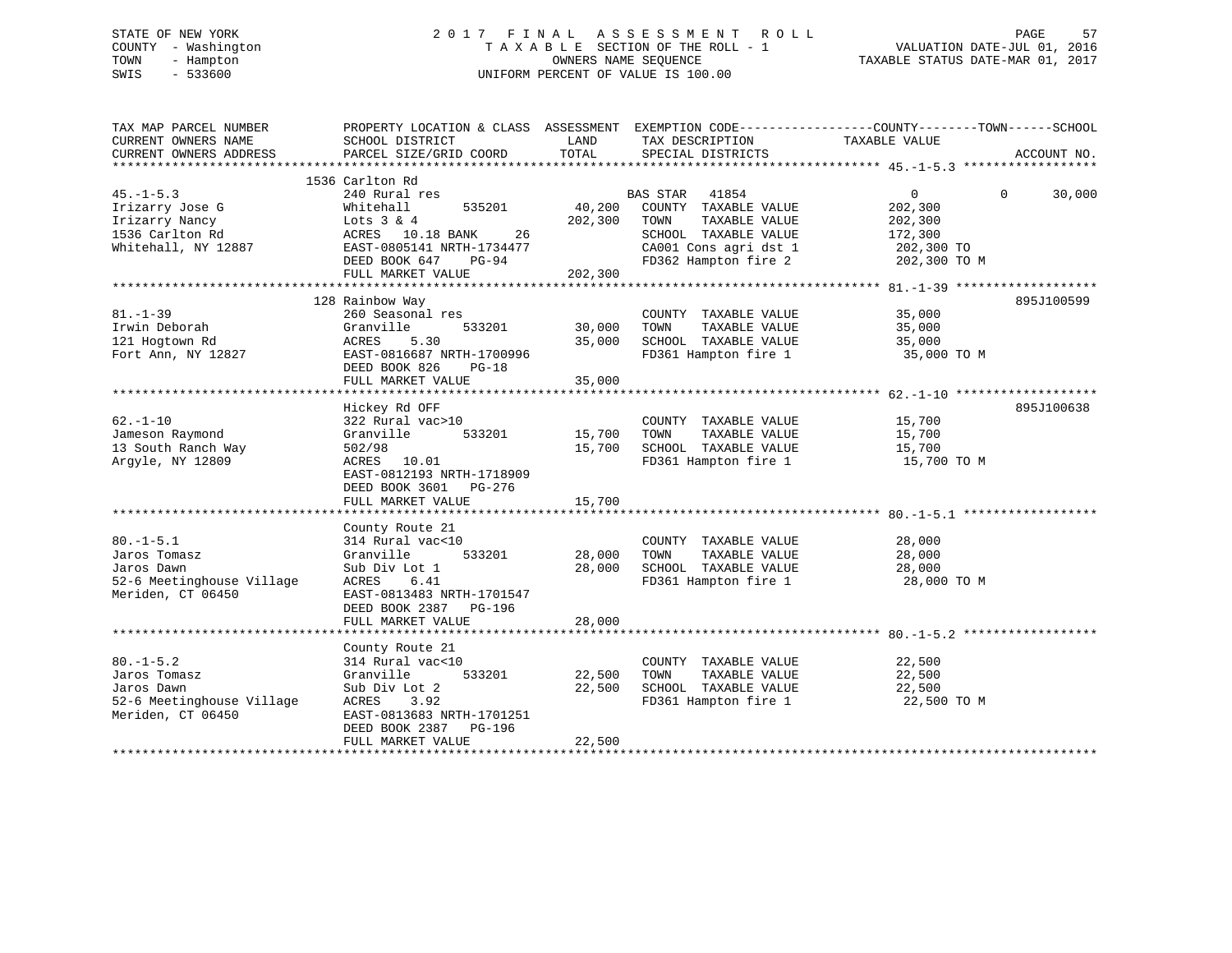# STATE OF NEW YORK 2 0 1 7 F I N A L A S S E S S M E N T R O L L PAGE 57 COUNTY - Washington T A X A B L E SECTION OF THE ROLL - 1 VALUATION DATE-JUL 01, 2016 TOWN - Hampton OWNERS NAME SEQUENCE TAXABLE STATUS DATE-MAR 01, 2017 SWIS - 533600 UNIFORM PERCENT OF VALUE IS 100.00

| TAX MAP PARCEL NUMBER<br>CURRENT OWNERS NAME<br>CURRENT OWNERS ADDRESS                         | PROPERTY LOCATION & CLASS ASSESSMENT<br>SCHOOL DISTRICT<br>PARCEL SIZE/GRID COORD                                                                                          | LAND<br>TOTAL              | TAX DESCRIPTION<br>SPECIAL DISTRICTS                                                                                                        | EXEMPTION CODE-----------------COUNTY-------TOWN------SCHOOL<br>TAXABLE VALUE | ACCOUNT NO.        |
|------------------------------------------------------------------------------------------------|----------------------------------------------------------------------------------------------------------------------------------------------------------------------------|----------------------------|---------------------------------------------------------------------------------------------------------------------------------------------|-------------------------------------------------------------------------------|--------------------|
|                                                                                                |                                                                                                                                                                            |                            |                                                                                                                                             |                                                                               |                    |
| $45. - 1 - 5.3$<br>Irizarry Jose G<br>Irizarry Nancy<br>1536 Carlton Rd<br>Whitehall, NY 12887 | 1536 Carlton Rd<br>240 Rural res<br>535201<br>Whitehall<br>Lots $3 & 4$<br>ACRES 10.18 BANK<br>26<br>EAST-0805141 NRTH-1734477<br>DEED BOOK 647<br>$PG-94$                 | 40,200<br>202,300          | BAS STAR<br>41854<br>COUNTY TAXABLE VALUE<br>TOWN<br>TAXABLE VALUE<br>SCHOOL TAXABLE VALUE<br>CA001 Cons agri dst 1<br>FD362 Hampton fire 2 | $\overline{0}$<br>202,300<br>202,300<br>172,300<br>202,300 TO<br>202,300 TO M | 30,000<br>$\Omega$ |
|                                                                                                | FULL MARKET VALUE                                                                                                                                                          | 202,300                    |                                                                                                                                             |                                                                               |                    |
| $81. - 1 - 39$<br>Irwin Deborah<br>121 Hogtown Rd<br>Fort Ann, NY 12827                        | 128 Rainbow Way<br>260 Seasonal res<br>Granville<br>533201<br>ACRES<br>5.30<br>EAST-0816687 NRTH-1700996<br>DEED BOOK 826<br>$PG-18$                                       | 30,000<br>35,000           | COUNTY TAXABLE VALUE<br>TOWN<br>TAXABLE VALUE<br>SCHOOL TAXABLE VALUE<br>FD361 Hampton fire 1                                               | 35,000<br>35,000<br>35,000<br>35,000 TO M                                     | 895J100599         |
|                                                                                                | FULL MARKET VALUE                                                                                                                                                          | 35,000                     |                                                                                                                                             |                                                                               |                    |
| $62. - 1 - 10$<br>Jameson Raymond<br>13 South Ranch Way<br>Argyle, NY 12809                    | Hickey Rd OFF<br>322 Rural vac>10<br>Granville<br>533201<br>502/98<br>ACRES<br>10.01<br>EAST-0812193 NRTH-1718909<br>DEED BOOK 3601<br>PG-276<br>FULL MARKET VALUE         | 15,700<br>15,700<br>15,700 | COUNTY TAXABLE VALUE<br>TAXABLE VALUE<br>TOWN<br>SCHOOL TAXABLE VALUE<br>FD361 Hampton fire 1                                               | 15,700<br>15,700<br>15,700<br>15,700 TO M                                     | 895J100638         |
| $80. -1 - 5.1$<br>Jaros Tomasz<br>Jaros Dawn<br>52-6 Meetinghouse Village<br>Meriden, CT 06450 | County Route 21<br>314 Rural vac<10<br>Granville<br>533201<br>Sub Div Lot 1<br>6.41<br>ACRES<br>EAST-0813483 NRTH-1701547<br>DEED BOOK 2387<br>PG-196<br>FULL MARKET VALUE | 28,000<br>28,000<br>28,000 | COUNTY TAXABLE VALUE<br>TAXABLE VALUE<br>TOWN<br>SCHOOL TAXABLE VALUE<br>FD361 Hampton fire 1                                               | 28,000<br>28,000<br>28,000<br>28,000 TO M                                     |                    |
| $80. -1 - 5.2$<br>Jaros Tomasz<br>Jaros Dawn<br>52-6 Meetinghouse Village<br>Meriden, CT 06450 | County Route 21<br>314 Rural vac<10<br>Granville<br>533201<br>Sub Div Lot 2<br>ACRES<br>3.92<br>EAST-0813683 NRTH-1701251<br>PG-196<br>DEED BOOK 2387                      | 22,500<br>22,500           | COUNTY TAXABLE VALUE<br>TOWN<br>TAXABLE VALUE<br>SCHOOL TAXABLE VALUE<br>FD361 Hampton fire 1                                               | 22,500<br>22,500<br>22,500<br>22,500 TO M                                     |                    |
|                                                                                                | FULL MARKET VALUE                                                                                                                                                          | 22,500                     |                                                                                                                                             |                                                                               |                    |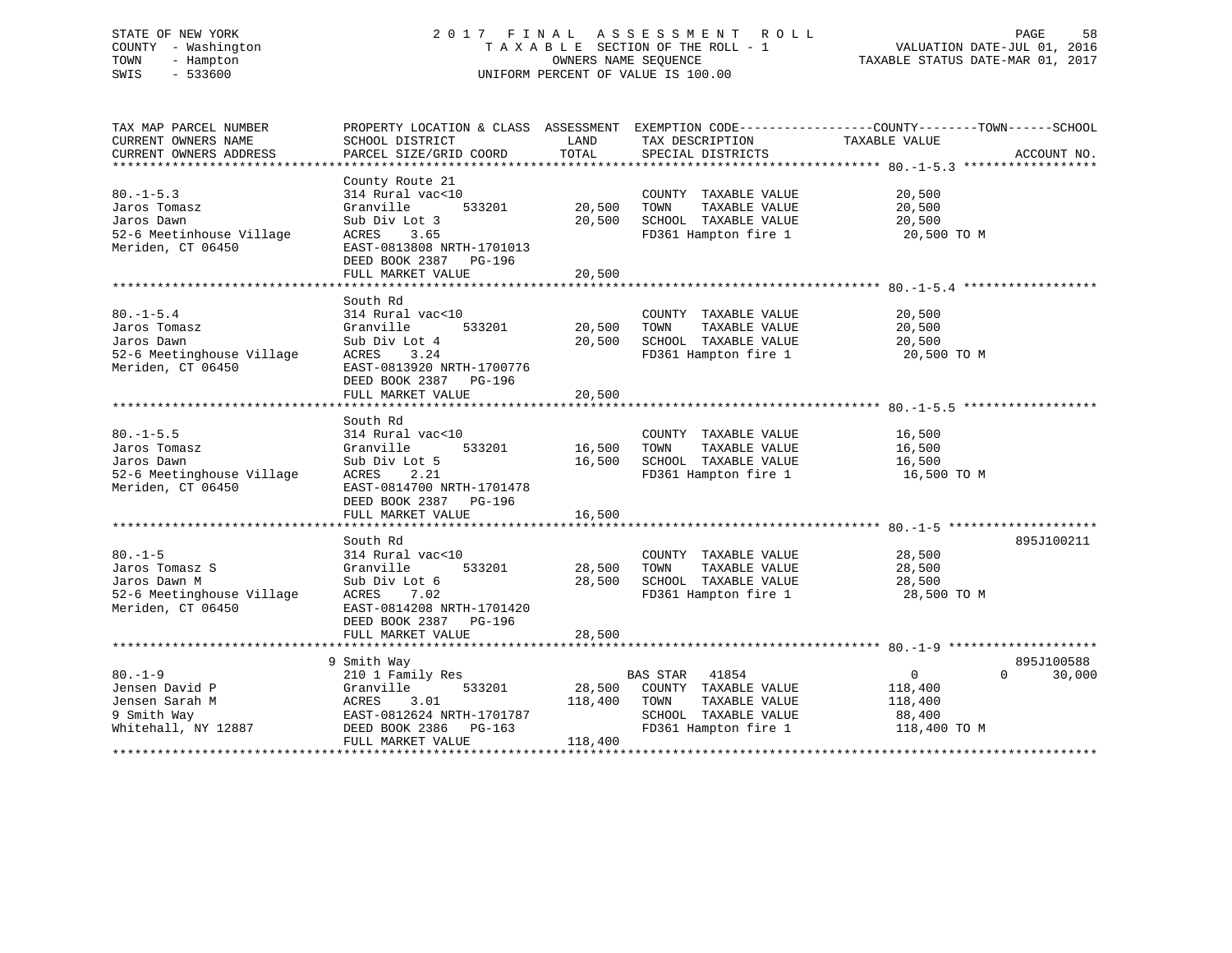# STATE OF NEW YORK 2 0 1 7 F I N A L A S S E S S M E N T R O L L PAGE 58 COUNTY - Washington T A X A B L E SECTION OF THE ROLL - 1 VALUATION DATE-JUL 01, 2016 TOWN - Hampton OWNERS NAME SEQUENCE TAXABLE STATUS DATE-MAR 01, 2017 SWIS - 533600 UNIFORM PERCENT OF VALUE IS 100.00

| CURRENT OWNERS NAME<br>LAND<br>TAX DESCRIPTION<br>SCHOOL DISTRICT<br>TOTAL<br>CURRENT OWNERS ADDRESS<br>PARCEL SIZE/GRID COORD<br>SPECIAL DISTRICTS<br>County Route 21<br>$80. -1 - 5.3$<br>314 Rural vac<10<br>COUNTY TAXABLE VALUE                                                                                                                                                                  | TAXABLE VALUE<br>20,500<br>20,500<br>20,500                    | ACCOUNT NO.                      |
|-------------------------------------------------------------------------------------------------------------------------------------------------------------------------------------------------------------------------------------------------------------------------------------------------------------------------------------------------------------------------------------------------------|----------------------------------------------------------------|----------------------------------|
|                                                                                                                                                                                                                                                                                                                                                                                                       |                                                                |                                  |
|                                                                                                                                                                                                                                                                                                                                                                                                       |                                                                |                                  |
| 533201<br>20,500<br>Jaros Tomasz<br>Granville<br>TOWN<br>TAXABLE VALUE<br>Jaros Dawn<br>Sub Div Lot 3<br>20,500<br>SCHOOL TAXABLE VALUE<br>52-6 Meetinhouse Village<br>ACRES 3.65<br>FD361 Hampton fire 1<br>Meriden, CT 06450<br>EAST-0813808 NRTH-1701013<br>DEED BOOK 2387 PG-196<br>20,500<br>FULL MARKET VALUE                                                                                   | 20,500 TO M                                                    |                                  |
| South Rd<br>$80. - 1 - 5.4$<br>314 Rural vac<10<br>COUNTY TAXABLE VALUE<br>533201<br>20,500<br>Jaros Tomasz<br>Granville<br>TOWN<br>TAXABLE VALUE<br>Jaros Dawn<br>Sub Div Lot 4<br>20,500<br>SCHOOL TAXABLE VALUE<br>FD361 Hampton fire 1<br>52-6 Meetinghouse Village<br>ACRES<br>3.24<br>Meriden, CT 06450<br>EAST-0813920 NRTH-1700776<br>DEED BOOK 2387<br>PG-196<br>20,500<br>FULL MARKET VALUE | 20,500<br>20,500<br>20,500<br>20,500 TO M                      |                                  |
| South Rd                                                                                                                                                                                                                                                                                                                                                                                              |                                                                |                                  |
| 314 Rural vac<10<br>$80. -1 - 5.5$<br>COUNTY TAXABLE VALUE<br>533201<br>16,500<br>TAXABLE VALUE<br>Jaros Tomasz<br>Granville<br>TOWN<br>16,500<br>SCHOOL TAXABLE VALUE<br>Jaros Dawn<br>Sub Div Lot 5<br>FD361 Hampton fire 1<br>52-6 Meetinghouse Village<br>ACRES<br>2.21<br>Meriden, CT 06450<br>EAST-0814700 NRTH-1701478<br>DEED BOOK 2387<br>PG-196<br>16,500<br>FULL MARKET VALUE              | 16,500<br>16,500<br>16,500<br>16,500 TO M                      |                                  |
|                                                                                                                                                                                                                                                                                                                                                                                                       |                                                                |                                  |
| South Rd<br>314 Rural vac<10<br>$80. -1 - 5$<br>COUNTY TAXABLE VALUE<br>533201<br>28,500<br>Jaros Tomasz S<br>Granville<br>TOWN<br>TAXABLE VALUE<br>SCHOOL TAXABLE VALUE<br>Jaros Dawn M<br>28,500<br>Sub Div Lot 6<br>52-6 Meetinghouse Village ACRES<br>FD361 Hampton fire 1<br>7.02<br>Meriden, CT 06450<br>EAST-0814208 NRTH-1701420<br>DEED BOOK 2387 PG-196<br>28,500<br>FULL MARKET VALUE      | 28,500<br>28,500<br>28,500<br>28,500 TO M                      | 895J100211                       |
|                                                                                                                                                                                                                                                                                                                                                                                                       |                                                                |                                  |
| 9 Smith Way<br>$80. - 1 - 9$<br>BAS STAR 41854<br>210 1 Family Res<br>28,500 COUNTY TAXABLE VALUE<br>533201<br>Jensen David P<br>Granville<br>Jensen Sarah M<br>TAXABLE VALUE<br>ACRES 3.01<br>EAST-0812624 NRTH-1701787<br>118,400 TOWN<br>9 Smith Way<br>SCHOOL TAXABLE VALUE<br>DEED BOOK 2386 PG-163<br>FD361 Hampton fire 1<br>Whitehall, NY 12887<br>FULL MARKET VALUE<br>118,400               | $\overline{0}$<br>118,400<br>118,400<br>88,400<br>118,400 TO M | 895J100588<br>30,000<br>$\Omega$ |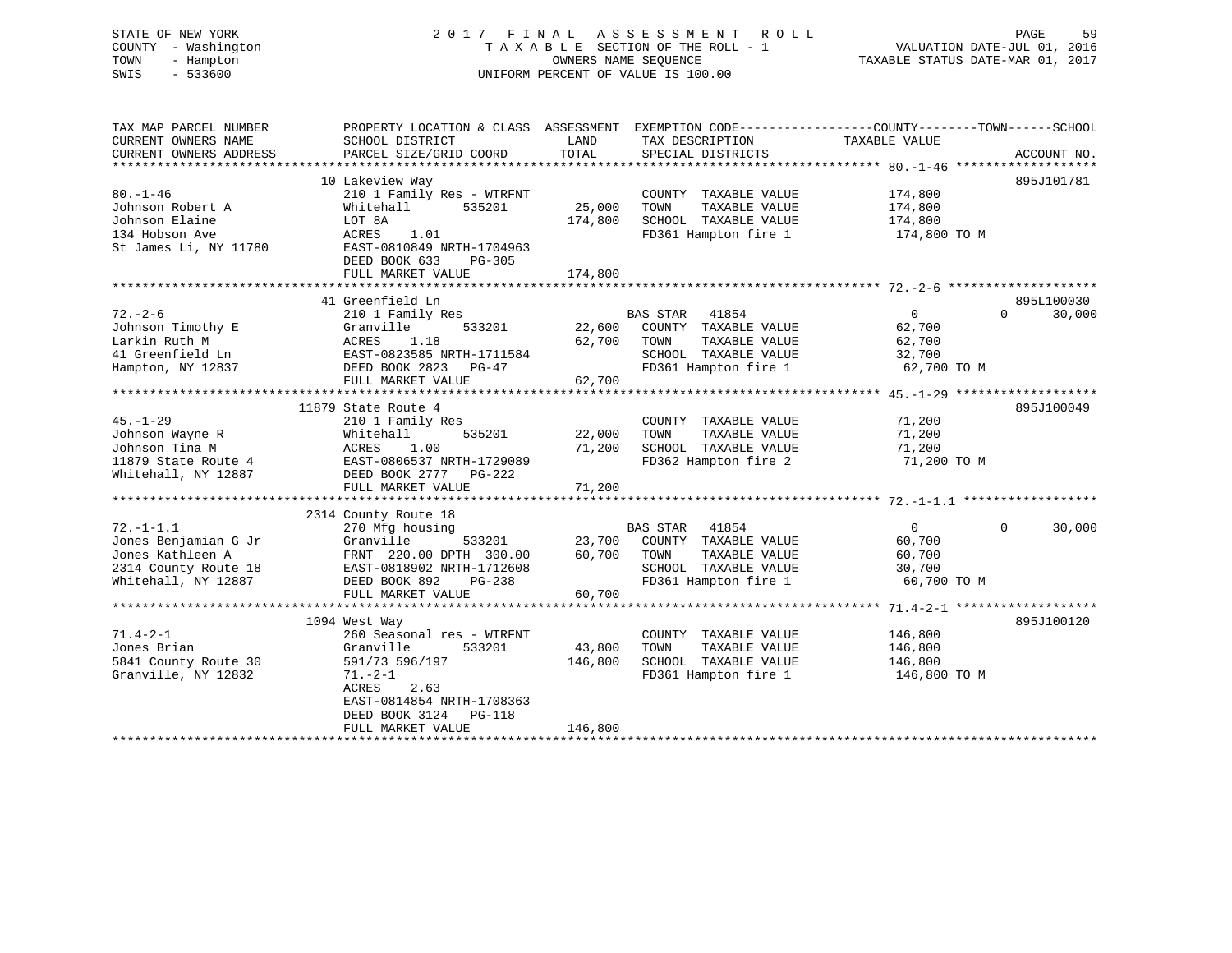# STATE OF NEW YORK 2 0 1 7 F I N A L A S S E S S M E N T R O L L PAGE 59 COUNTY - Washington T A X A B L E SECTION OF THE ROLL - 1 VALUATION DATE-JUL 01, 2016 TOWN - Hampton OWNERS NAME SEQUENCE TAXABLE STATUS DATE-MAR 01, 2017 SWIS - 533600 UNIFORM PERCENT OF VALUE IS 100.00

| TAX MAP PARCEL NUMBER<br>CURRENT OWNERS NAME<br>CURRENT OWNERS ADDRESS | PROPERTY LOCATION & CLASS ASSESSMENT<br>SCHOOL DISTRICT<br>PARCEL SIZE/GRID COORD | LAND<br>TOTAL | TAX DESCRIPTION<br>SPECIAL DISTRICTS | EXEMPTION CODE-----------------COUNTY-------TOWN------SCHOOL<br>TAXABLE VALUE | ACCOUNT NO. |
|------------------------------------------------------------------------|-----------------------------------------------------------------------------------|---------------|--------------------------------------|-------------------------------------------------------------------------------|-------------|
|                                                                        |                                                                                   |               |                                      |                                                                               |             |
|                                                                        | 10 Lakeview Way                                                                   |               |                                      |                                                                               | 895J101781  |
| $80. - 1 - 46$                                                         | 210 1 Family Res - WTRFNT                                                         |               | COUNTY TAXABLE VALUE                 | 174,800                                                                       |             |
| Johnson Robert A                                                       | Whitehall<br>535201                                                               | 25,000        | TOWN<br>TAXABLE VALUE                | 174,800                                                                       |             |
| Johnson Elaine                                                         | LOT 8A                                                                            | 174,800       | SCHOOL TAXABLE VALUE                 | 174,800                                                                       |             |
| 134 Hobson Ave                                                         | ACRES<br>1.01                                                                     |               | FD361 Hampton fire 1                 | 174,800 TO M                                                                  |             |
| St James Li, NY 11780                                                  | EAST-0810849 NRTH-1704963<br>DEED BOOK 633<br>$PG-305$<br>FULL MARKET VALUE       | 174,800       |                                      |                                                                               |             |
|                                                                        |                                                                                   |               |                                      |                                                                               |             |
|                                                                        | 41 Greenfield Ln                                                                  |               |                                      |                                                                               | 895L100030  |
| $72. - 2 - 6$                                                          | 210 1 Family Res                                                                  |               | BAS STAR<br>41854                    | $\Omega$<br>$\overline{0}$                                                    | 30,000      |
| Johnson Timothy E                                                      | Granville<br>533201                                                               | 22,600        | COUNTY TAXABLE VALUE                 | 62,700                                                                        |             |
| Larkin Ruth M                                                          | ACRES<br>1.18                                                                     | 62,700        | TOWN<br>TAXABLE VALUE                | 62,700                                                                        |             |
| 41 Greenfield Ln                                                       | EAST-0823585 NRTH-1711584                                                         |               | SCHOOL TAXABLE VALUE                 | 32,700                                                                        |             |
| Hampton, NY 12837                                                      | DEED BOOK 2823<br>PG-47                                                           |               | FD361 Hampton fire 1                 | 62,700 TO M                                                                   |             |
|                                                                        | FULL MARKET VALUE                                                                 | 62,700        |                                      |                                                                               |             |
|                                                                        |                                                                                   |               |                                      |                                                                               |             |
|                                                                        | 11879 State Route 4                                                               |               |                                      |                                                                               | 895J100049  |
| $45. - 1 - 29$                                                         | 210 1 Family Res                                                                  |               | COUNTY TAXABLE VALUE                 | 71,200                                                                        |             |
| Johnson Wayne R                                                        | Whitehall<br>535201                                                               | 22,000        | TOWN<br>TAXABLE VALUE                | 71,200                                                                        |             |
| Johnson Tina M                                                         | ACRES<br>1.00                                                                     | 71,200        | SCHOOL TAXABLE VALUE                 | 71,200                                                                        |             |
| 11879 State Route 4                                                    | EAST-0806537 NRTH-1729089                                                         |               | FD362 Hampton fire 2                 | 71,200 TO M                                                                   |             |
| Whitehall, NY 12887                                                    | DEED BOOK 2777 PG-222                                                             |               |                                      |                                                                               |             |
|                                                                        | FULL MARKET VALUE                                                                 | 71,200        |                                      |                                                                               |             |
|                                                                        |                                                                                   |               |                                      |                                                                               |             |
|                                                                        | 2314 County Route 18                                                              |               |                                      |                                                                               |             |
| $72. - 1 - 1.1$                                                        | 270 Mfg housing                                                                   |               | BAS STAR 41854                       | $\Omega$<br>$\overline{0}$                                                    | 30,000      |
| Jones Benjamian G Jr                                                   | Granville<br>533201                                                               | 23,700        | COUNTY TAXABLE VALUE                 | 60,700                                                                        |             |
| Jones Kathleen A                                                       | FRNT 220.00 DPTH 300.00                                                           | 60,700        | TOWN<br>TAXABLE VALUE                | 60,700                                                                        |             |
| 2314 County Route 18                                                   | EAST-0818902 NRTH-1712608                                                         |               | SCHOOL TAXABLE VALUE                 | 30,700                                                                        |             |
| Whitehall, NY 12887                                                    | DEED BOOK 892<br>PG-238                                                           |               | FD361 Hampton fire 1                 | 60,700 TO M                                                                   |             |
|                                                                        | FULL MARKET VALUE                                                                 | 60,700        |                                      |                                                                               |             |
|                                                                        |                                                                                   |               |                                      |                                                                               |             |
|                                                                        | 1094 West Way                                                                     |               |                                      |                                                                               | 895J100120  |
| $71.4 - 2 - 1$                                                         | 260 Seasonal res - WTRFNT                                                         |               | COUNTY TAXABLE VALUE                 | 146,800                                                                       |             |
| Jones Brian                                                            | 533201<br>Granville                                                               | 43,800        | TOWN<br>TAXABLE VALUE                | 146,800                                                                       |             |
| 5841 County Route 30                                                   | 591/73 596/197                                                                    | 146,800       | SCHOOL TAXABLE VALUE                 | 146,800                                                                       |             |
| Granville, NY 12832                                                    | $71. - 2 - 1$                                                                     |               | FD361 Hampton fire 1                 | 146,800 TO M                                                                  |             |
|                                                                        | <b>ACRES</b><br>2.63                                                              |               |                                      |                                                                               |             |
|                                                                        | EAST-0814854 NRTH-1708363                                                         |               |                                      |                                                                               |             |
|                                                                        | DEED BOOK 3124<br>PG-118                                                          |               |                                      |                                                                               |             |
|                                                                        | FULL MARKET VALUE                                                                 | 146,800       |                                      |                                                                               |             |
|                                                                        |                                                                                   |               |                                      |                                                                               |             |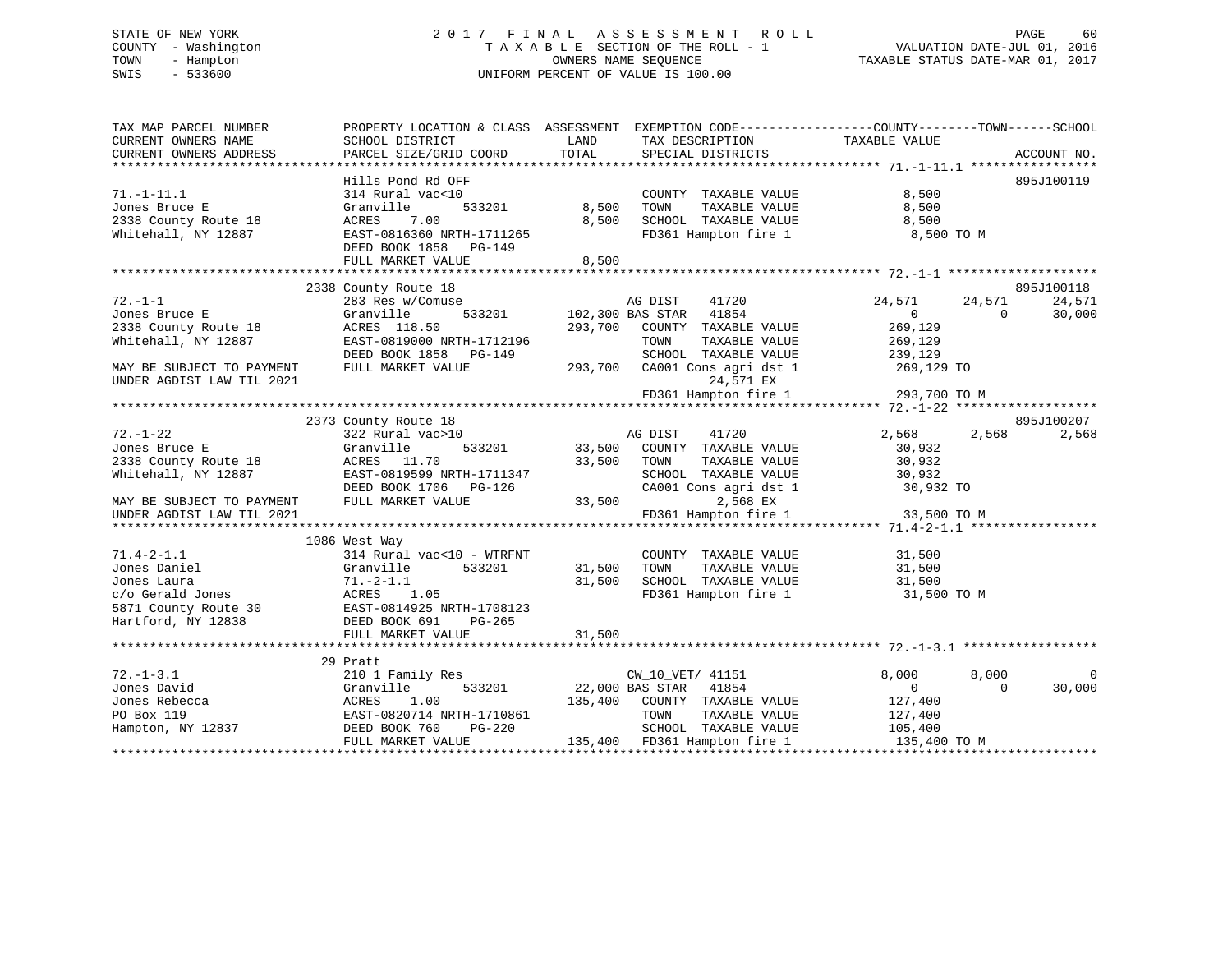# STATE OF NEW YORK 2 0 1 7 F I N A L A S S E S S M E N T R O L L PAGE 60 COUNTY - Washington T A X A B L E SECTION OF THE ROLL - 1 VALUATION DATE-JUL 01, 2016 TOWN - Hampton OWNERS NAME SEQUENCE TAXABLE STATUS DATE-MAR 01, 2017 SWIS - 533600 UNIFORM PERCENT OF VALUE IS 100.00

| CURRENT OWNERS NAME<br>SCHOOL DISTRICT<br>LAND<br>TAX DESCRIPTION<br>TAXABLE VALUE<br>TOTAL<br>PARCEL SIZE/GRID COORD<br>SPECIAL DISTRICTS<br>ACCOUNT NO.<br>895J100119<br>Hills Pond Rd OFF<br>$71. - 1 - 11.1$<br>8,500<br>314 Rural vac<10<br>COUNTY TAXABLE VALUE<br>8,500<br>TAXABLE VALUE<br>8,500<br>Jones Bruce E<br>Granville<br>533201<br>TOWN<br>8,500<br>SCHOOL TAXABLE VALUE<br>2338 County Route 18<br>ACRES<br>7.00<br>8,500<br>Whitehall, NY 12887<br>EAST-0816360 NRTH-1711265<br>FD361 Hampton fire 1<br>8,500 TO M<br>DEED BOOK 1858 PG-149<br>8,500<br>FULL MARKET VALUE<br>895J100118<br>2338 County Route 18<br>$72. - 1 - 1$<br>24,571<br>283 Res w/Comuse<br>AG DIST<br>41720<br>24,571<br>24,571<br>Granville<br>533201<br>102,300 BAS STAR<br>41854<br>30,000<br>$\overline{0}$<br>$\Omega$<br>269,129<br>ACRES 118.50<br>293,700<br>COUNTY TAXABLE VALUE<br>EAST-0819000 NRTH-1712196<br>TOWN<br>TAXABLE VALUE<br>269,129<br>DEED BOOK 1858 PG-149<br>SCHOOL TAXABLE VALUE<br>239,129<br>269,129 TO<br>FULL MARKET VALUE<br>293,700 CA001 Cons agri dst 1<br>MAY BE SUBJECT TO PAYMENT<br>UNDER AGDIST LAW TIL 2021<br>24,571 EX<br>FD361 Hampton fire 1 293,700 TO M<br>2373 County Route 18<br>895J100207<br>$72. - 1 - 22$<br>2,568<br>2,568<br>322 Rural vac>10<br>AG DIST<br>41720<br>2,568<br>Jones Bruce E<br>533201<br>33,500<br>COUNTY TAXABLE VALUE<br>30,932<br>Granville<br>33,500<br>TAXABLE VALUE<br>30,932<br>2338 County Route 18<br>ACRES 11.70<br>TOWN<br>Whitehall, NY 12887<br>EAST-0819599 NRTH-1711347<br>SCHOOL TAXABLE VALUE<br>30,932<br>CA001 Cons agri dst 1<br>DEED BOOK 1706 PG-126<br>30,932 TO<br>FULL MARKET VALUE<br>33,500<br>2,568 EX<br>MAY BE SUBJECT TO PAYMENT<br>FD361 Hampton fire 1<br>33,500 TO M<br>UNDER AGDIST LAW TIL 2021<br>1086 West Way<br>$71.4 - 2 - 1.1$<br>314 Rural vac<10 - WTRFNT<br>COUNTY TAXABLE VALUE<br>31,500<br>TAXABLE VALUE<br>Jones Daniel<br>Granville<br>533201<br>31,500<br>TOWN<br>31,500<br>31,500<br>SCHOOL TAXABLE VALUE<br>Jones Laura<br>$71.-2-1.1$<br>31,500<br>FD361 Hampton fire 1<br>31,500 TO M<br>Hartford, NY 12838<br>DEED BOOK 691<br>PG-265<br>31,500<br>FULL MARKET VALUE<br>29 Pratt<br>$72. - 1 - 3.1$<br>210 1 Family Res<br>8,000<br>8,000<br>CW_10_VET/ 41151<br>22,000 BAS STAR 41854<br>30,000<br>Jones David<br>533201<br>$\overline{0}$<br>$\Omega$<br>Granville<br>1.00<br>COUNTY TAXABLE VALUE<br>Jones Rebecca<br>ACRES<br>135,400<br>127,400<br>EAST-0820714 NRTH-1710861<br>TOWN<br>TAXABLE VALUE<br>127,400<br>PO Box 119<br>Hampton, NY 12837<br>PG-220<br>SCHOOL TAXABLE VALUE<br>DEED BOOK 760<br>105,400<br>FULL MARKET VALUE<br>135,400 FD361 Hampton fire 1<br>135,400 TO M | TAX MAP PARCEL NUMBER  | PROPERTY LOCATION & CLASS ASSESSMENT | EXEMPTION CODE-----------------COUNTY-------TOWN------SCHOOL |  |  |
|----------------------------------------------------------------------------------------------------------------------------------------------------------------------------------------------------------------------------------------------------------------------------------------------------------------------------------------------------------------------------------------------------------------------------------------------------------------------------------------------------------------------------------------------------------------------------------------------------------------------------------------------------------------------------------------------------------------------------------------------------------------------------------------------------------------------------------------------------------------------------------------------------------------------------------------------------------------------------------------------------------------------------------------------------------------------------------------------------------------------------------------------------------------------------------------------------------------------------------------------------------------------------------------------------------------------------------------------------------------------------------------------------------------------------------------------------------------------------------------------------------------------------------------------------------------------------------------------------------------------------------------------------------------------------------------------------------------------------------------------------------------------------------------------------------------------------------------------------------------------------------------------------------------------------------------------------------------------------------------------------------------------------------------------------------------------------------------------------------------------------------------------------------------------------------------------------------------------------------------------------------------------------------------------------------------------------------------------------------------------------------------------------------------------------------------------------------------------------------------------------------------------------------------------------------------------------------------------------------------------------------------------------------------------------------------------------------------------|------------------------|--------------------------------------|--------------------------------------------------------------|--|--|
|                                                                                                                                                                                                                                                                                                                                                                                                                                                                                                                                                                                                                                                                                                                                                                                                                                                                                                                                                                                                                                                                                                                                                                                                                                                                                                                                                                                                                                                                                                                                                                                                                                                                                                                                                                                                                                                                                                                                                                                                                                                                                                                                                                                                                                                                                                                                                                                                                                                                                                                                                                                                                                                                                                                      |                        |                                      |                                                              |  |  |
|                                                                                                                                                                                                                                                                                                                                                                                                                                                                                                                                                                                                                                                                                                                                                                                                                                                                                                                                                                                                                                                                                                                                                                                                                                                                                                                                                                                                                                                                                                                                                                                                                                                                                                                                                                                                                                                                                                                                                                                                                                                                                                                                                                                                                                                                                                                                                                                                                                                                                                                                                                                                                                                                                                                      | CURRENT OWNERS ADDRESS |                                      |                                                              |  |  |
|                                                                                                                                                                                                                                                                                                                                                                                                                                                                                                                                                                                                                                                                                                                                                                                                                                                                                                                                                                                                                                                                                                                                                                                                                                                                                                                                                                                                                                                                                                                                                                                                                                                                                                                                                                                                                                                                                                                                                                                                                                                                                                                                                                                                                                                                                                                                                                                                                                                                                                                                                                                                                                                                                                                      |                        |                                      |                                                              |  |  |
|                                                                                                                                                                                                                                                                                                                                                                                                                                                                                                                                                                                                                                                                                                                                                                                                                                                                                                                                                                                                                                                                                                                                                                                                                                                                                                                                                                                                                                                                                                                                                                                                                                                                                                                                                                                                                                                                                                                                                                                                                                                                                                                                                                                                                                                                                                                                                                                                                                                                                                                                                                                                                                                                                                                      |                        |                                      |                                                              |  |  |
|                                                                                                                                                                                                                                                                                                                                                                                                                                                                                                                                                                                                                                                                                                                                                                                                                                                                                                                                                                                                                                                                                                                                                                                                                                                                                                                                                                                                                                                                                                                                                                                                                                                                                                                                                                                                                                                                                                                                                                                                                                                                                                                                                                                                                                                                                                                                                                                                                                                                                                                                                                                                                                                                                                                      |                        |                                      |                                                              |  |  |
|                                                                                                                                                                                                                                                                                                                                                                                                                                                                                                                                                                                                                                                                                                                                                                                                                                                                                                                                                                                                                                                                                                                                                                                                                                                                                                                                                                                                                                                                                                                                                                                                                                                                                                                                                                                                                                                                                                                                                                                                                                                                                                                                                                                                                                                                                                                                                                                                                                                                                                                                                                                                                                                                                                                      |                        |                                      |                                                              |  |  |
|                                                                                                                                                                                                                                                                                                                                                                                                                                                                                                                                                                                                                                                                                                                                                                                                                                                                                                                                                                                                                                                                                                                                                                                                                                                                                                                                                                                                                                                                                                                                                                                                                                                                                                                                                                                                                                                                                                                                                                                                                                                                                                                                                                                                                                                                                                                                                                                                                                                                                                                                                                                                                                                                                                                      |                        |                                      |                                                              |  |  |
|                                                                                                                                                                                                                                                                                                                                                                                                                                                                                                                                                                                                                                                                                                                                                                                                                                                                                                                                                                                                                                                                                                                                                                                                                                                                                                                                                                                                                                                                                                                                                                                                                                                                                                                                                                                                                                                                                                                                                                                                                                                                                                                                                                                                                                                                                                                                                                                                                                                                                                                                                                                                                                                                                                                      |                        |                                      |                                                              |  |  |
|                                                                                                                                                                                                                                                                                                                                                                                                                                                                                                                                                                                                                                                                                                                                                                                                                                                                                                                                                                                                                                                                                                                                                                                                                                                                                                                                                                                                                                                                                                                                                                                                                                                                                                                                                                                                                                                                                                                                                                                                                                                                                                                                                                                                                                                                                                                                                                                                                                                                                                                                                                                                                                                                                                                      |                        |                                      |                                                              |  |  |
|                                                                                                                                                                                                                                                                                                                                                                                                                                                                                                                                                                                                                                                                                                                                                                                                                                                                                                                                                                                                                                                                                                                                                                                                                                                                                                                                                                                                                                                                                                                                                                                                                                                                                                                                                                                                                                                                                                                                                                                                                                                                                                                                                                                                                                                                                                                                                                                                                                                                                                                                                                                                                                                                                                                      |                        |                                      |                                                              |  |  |
|                                                                                                                                                                                                                                                                                                                                                                                                                                                                                                                                                                                                                                                                                                                                                                                                                                                                                                                                                                                                                                                                                                                                                                                                                                                                                                                                                                                                                                                                                                                                                                                                                                                                                                                                                                                                                                                                                                                                                                                                                                                                                                                                                                                                                                                                                                                                                                                                                                                                                                                                                                                                                                                                                                                      |                        |                                      |                                                              |  |  |
|                                                                                                                                                                                                                                                                                                                                                                                                                                                                                                                                                                                                                                                                                                                                                                                                                                                                                                                                                                                                                                                                                                                                                                                                                                                                                                                                                                                                                                                                                                                                                                                                                                                                                                                                                                                                                                                                                                                                                                                                                                                                                                                                                                                                                                                                                                                                                                                                                                                                                                                                                                                                                                                                                                                      |                        |                                      |                                                              |  |  |
|                                                                                                                                                                                                                                                                                                                                                                                                                                                                                                                                                                                                                                                                                                                                                                                                                                                                                                                                                                                                                                                                                                                                                                                                                                                                                                                                                                                                                                                                                                                                                                                                                                                                                                                                                                                                                                                                                                                                                                                                                                                                                                                                                                                                                                                                                                                                                                                                                                                                                                                                                                                                                                                                                                                      |                        |                                      |                                                              |  |  |
|                                                                                                                                                                                                                                                                                                                                                                                                                                                                                                                                                                                                                                                                                                                                                                                                                                                                                                                                                                                                                                                                                                                                                                                                                                                                                                                                                                                                                                                                                                                                                                                                                                                                                                                                                                                                                                                                                                                                                                                                                                                                                                                                                                                                                                                                                                                                                                                                                                                                                                                                                                                                                                                                                                                      | Jones Bruce E          |                                      |                                                              |  |  |
|                                                                                                                                                                                                                                                                                                                                                                                                                                                                                                                                                                                                                                                                                                                                                                                                                                                                                                                                                                                                                                                                                                                                                                                                                                                                                                                                                                                                                                                                                                                                                                                                                                                                                                                                                                                                                                                                                                                                                                                                                                                                                                                                                                                                                                                                                                                                                                                                                                                                                                                                                                                                                                                                                                                      | 2338 County Route 18   |                                      |                                                              |  |  |
|                                                                                                                                                                                                                                                                                                                                                                                                                                                                                                                                                                                                                                                                                                                                                                                                                                                                                                                                                                                                                                                                                                                                                                                                                                                                                                                                                                                                                                                                                                                                                                                                                                                                                                                                                                                                                                                                                                                                                                                                                                                                                                                                                                                                                                                                                                                                                                                                                                                                                                                                                                                                                                                                                                                      | Whitehall, NY 12887    |                                      |                                                              |  |  |
|                                                                                                                                                                                                                                                                                                                                                                                                                                                                                                                                                                                                                                                                                                                                                                                                                                                                                                                                                                                                                                                                                                                                                                                                                                                                                                                                                                                                                                                                                                                                                                                                                                                                                                                                                                                                                                                                                                                                                                                                                                                                                                                                                                                                                                                                                                                                                                                                                                                                                                                                                                                                                                                                                                                      |                        |                                      |                                                              |  |  |
|                                                                                                                                                                                                                                                                                                                                                                                                                                                                                                                                                                                                                                                                                                                                                                                                                                                                                                                                                                                                                                                                                                                                                                                                                                                                                                                                                                                                                                                                                                                                                                                                                                                                                                                                                                                                                                                                                                                                                                                                                                                                                                                                                                                                                                                                                                                                                                                                                                                                                                                                                                                                                                                                                                                      |                        |                                      |                                                              |  |  |
|                                                                                                                                                                                                                                                                                                                                                                                                                                                                                                                                                                                                                                                                                                                                                                                                                                                                                                                                                                                                                                                                                                                                                                                                                                                                                                                                                                                                                                                                                                                                                                                                                                                                                                                                                                                                                                                                                                                                                                                                                                                                                                                                                                                                                                                                                                                                                                                                                                                                                                                                                                                                                                                                                                                      |                        |                                      |                                                              |  |  |
|                                                                                                                                                                                                                                                                                                                                                                                                                                                                                                                                                                                                                                                                                                                                                                                                                                                                                                                                                                                                                                                                                                                                                                                                                                                                                                                                                                                                                                                                                                                                                                                                                                                                                                                                                                                                                                                                                                                                                                                                                                                                                                                                                                                                                                                                                                                                                                                                                                                                                                                                                                                                                                                                                                                      |                        |                                      |                                                              |  |  |
|                                                                                                                                                                                                                                                                                                                                                                                                                                                                                                                                                                                                                                                                                                                                                                                                                                                                                                                                                                                                                                                                                                                                                                                                                                                                                                                                                                                                                                                                                                                                                                                                                                                                                                                                                                                                                                                                                                                                                                                                                                                                                                                                                                                                                                                                                                                                                                                                                                                                                                                                                                                                                                                                                                                      |                        |                                      |                                                              |  |  |
|                                                                                                                                                                                                                                                                                                                                                                                                                                                                                                                                                                                                                                                                                                                                                                                                                                                                                                                                                                                                                                                                                                                                                                                                                                                                                                                                                                                                                                                                                                                                                                                                                                                                                                                                                                                                                                                                                                                                                                                                                                                                                                                                                                                                                                                                                                                                                                                                                                                                                                                                                                                                                                                                                                                      |                        |                                      |                                                              |  |  |
|                                                                                                                                                                                                                                                                                                                                                                                                                                                                                                                                                                                                                                                                                                                                                                                                                                                                                                                                                                                                                                                                                                                                                                                                                                                                                                                                                                                                                                                                                                                                                                                                                                                                                                                                                                                                                                                                                                                                                                                                                                                                                                                                                                                                                                                                                                                                                                                                                                                                                                                                                                                                                                                                                                                      |                        |                                      |                                                              |  |  |
|                                                                                                                                                                                                                                                                                                                                                                                                                                                                                                                                                                                                                                                                                                                                                                                                                                                                                                                                                                                                                                                                                                                                                                                                                                                                                                                                                                                                                                                                                                                                                                                                                                                                                                                                                                                                                                                                                                                                                                                                                                                                                                                                                                                                                                                                                                                                                                                                                                                                                                                                                                                                                                                                                                                      |                        |                                      |                                                              |  |  |
|                                                                                                                                                                                                                                                                                                                                                                                                                                                                                                                                                                                                                                                                                                                                                                                                                                                                                                                                                                                                                                                                                                                                                                                                                                                                                                                                                                                                                                                                                                                                                                                                                                                                                                                                                                                                                                                                                                                                                                                                                                                                                                                                                                                                                                                                                                                                                                                                                                                                                                                                                                                                                                                                                                                      |                        |                                      |                                                              |  |  |
|                                                                                                                                                                                                                                                                                                                                                                                                                                                                                                                                                                                                                                                                                                                                                                                                                                                                                                                                                                                                                                                                                                                                                                                                                                                                                                                                                                                                                                                                                                                                                                                                                                                                                                                                                                                                                                                                                                                                                                                                                                                                                                                                                                                                                                                                                                                                                                                                                                                                                                                                                                                                                                                                                                                      |                        |                                      |                                                              |  |  |
|                                                                                                                                                                                                                                                                                                                                                                                                                                                                                                                                                                                                                                                                                                                                                                                                                                                                                                                                                                                                                                                                                                                                                                                                                                                                                                                                                                                                                                                                                                                                                                                                                                                                                                                                                                                                                                                                                                                                                                                                                                                                                                                                                                                                                                                                                                                                                                                                                                                                                                                                                                                                                                                                                                                      |                        |                                      |                                                              |  |  |
|                                                                                                                                                                                                                                                                                                                                                                                                                                                                                                                                                                                                                                                                                                                                                                                                                                                                                                                                                                                                                                                                                                                                                                                                                                                                                                                                                                                                                                                                                                                                                                                                                                                                                                                                                                                                                                                                                                                                                                                                                                                                                                                                                                                                                                                                                                                                                                                                                                                                                                                                                                                                                                                                                                                      |                        |                                      |                                                              |  |  |
|                                                                                                                                                                                                                                                                                                                                                                                                                                                                                                                                                                                                                                                                                                                                                                                                                                                                                                                                                                                                                                                                                                                                                                                                                                                                                                                                                                                                                                                                                                                                                                                                                                                                                                                                                                                                                                                                                                                                                                                                                                                                                                                                                                                                                                                                                                                                                                                                                                                                                                                                                                                                                                                                                                                      |                        |                                      |                                                              |  |  |
|                                                                                                                                                                                                                                                                                                                                                                                                                                                                                                                                                                                                                                                                                                                                                                                                                                                                                                                                                                                                                                                                                                                                                                                                                                                                                                                                                                                                                                                                                                                                                                                                                                                                                                                                                                                                                                                                                                                                                                                                                                                                                                                                                                                                                                                                                                                                                                                                                                                                                                                                                                                                                                                                                                                      |                        |                                      |                                                              |  |  |
|                                                                                                                                                                                                                                                                                                                                                                                                                                                                                                                                                                                                                                                                                                                                                                                                                                                                                                                                                                                                                                                                                                                                                                                                                                                                                                                                                                                                                                                                                                                                                                                                                                                                                                                                                                                                                                                                                                                                                                                                                                                                                                                                                                                                                                                                                                                                                                                                                                                                                                                                                                                                                                                                                                                      |                        |                                      |                                                              |  |  |
|                                                                                                                                                                                                                                                                                                                                                                                                                                                                                                                                                                                                                                                                                                                                                                                                                                                                                                                                                                                                                                                                                                                                                                                                                                                                                                                                                                                                                                                                                                                                                                                                                                                                                                                                                                                                                                                                                                                                                                                                                                                                                                                                                                                                                                                                                                                                                                                                                                                                                                                                                                                                                                                                                                                      |                        |                                      |                                                              |  |  |
|                                                                                                                                                                                                                                                                                                                                                                                                                                                                                                                                                                                                                                                                                                                                                                                                                                                                                                                                                                                                                                                                                                                                                                                                                                                                                                                                                                                                                                                                                                                                                                                                                                                                                                                                                                                                                                                                                                                                                                                                                                                                                                                                                                                                                                                                                                                                                                                                                                                                                                                                                                                                                                                                                                                      |                        |                                      |                                                              |  |  |
|                                                                                                                                                                                                                                                                                                                                                                                                                                                                                                                                                                                                                                                                                                                                                                                                                                                                                                                                                                                                                                                                                                                                                                                                                                                                                                                                                                                                                                                                                                                                                                                                                                                                                                                                                                                                                                                                                                                                                                                                                                                                                                                                                                                                                                                                                                                                                                                                                                                                                                                                                                                                                                                                                                                      |                        |                                      |                                                              |  |  |
|                                                                                                                                                                                                                                                                                                                                                                                                                                                                                                                                                                                                                                                                                                                                                                                                                                                                                                                                                                                                                                                                                                                                                                                                                                                                                                                                                                                                                                                                                                                                                                                                                                                                                                                                                                                                                                                                                                                                                                                                                                                                                                                                                                                                                                                                                                                                                                                                                                                                                                                                                                                                                                                                                                                      |                        |                                      |                                                              |  |  |
|                                                                                                                                                                                                                                                                                                                                                                                                                                                                                                                                                                                                                                                                                                                                                                                                                                                                                                                                                                                                                                                                                                                                                                                                                                                                                                                                                                                                                                                                                                                                                                                                                                                                                                                                                                                                                                                                                                                                                                                                                                                                                                                                                                                                                                                                                                                                                                                                                                                                                                                                                                                                                                                                                                                      |                        |                                      |                                                              |  |  |
|                                                                                                                                                                                                                                                                                                                                                                                                                                                                                                                                                                                                                                                                                                                                                                                                                                                                                                                                                                                                                                                                                                                                                                                                                                                                                                                                                                                                                                                                                                                                                                                                                                                                                                                                                                                                                                                                                                                                                                                                                                                                                                                                                                                                                                                                                                                                                                                                                                                                                                                                                                                                                                                                                                                      |                        |                                      |                                                              |  |  |
|                                                                                                                                                                                                                                                                                                                                                                                                                                                                                                                                                                                                                                                                                                                                                                                                                                                                                                                                                                                                                                                                                                                                                                                                                                                                                                                                                                                                                                                                                                                                                                                                                                                                                                                                                                                                                                                                                                                                                                                                                                                                                                                                                                                                                                                                                                                                                                                                                                                                                                                                                                                                                                                                                                                      |                        |                                      |                                                              |  |  |
|                                                                                                                                                                                                                                                                                                                                                                                                                                                                                                                                                                                                                                                                                                                                                                                                                                                                                                                                                                                                                                                                                                                                                                                                                                                                                                                                                                                                                                                                                                                                                                                                                                                                                                                                                                                                                                                                                                                                                                                                                                                                                                                                                                                                                                                                                                                                                                                                                                                                                                                                                                                                                                                                                                                      |                        |                                      |                                                              |  |  |
|                                                                                                                                                                                                                                                                                                                                                                                                                                                                                                                                                                                                                                                                                                                                                                                                                                                                                                                                                                                                                                                                                                                                                                                                                                                                                                                                                                                                                                                                                                                                                                                                                                                                                                                                                                                                                                                                                                                                                                                                                                                                                                                                                                                                                                                                                                                                                                                                                                                                                                                                                                                                                                                                                                                      |                        |                                      |                                                              |  |  |
|                                                                                                                                                                                                                                                                                                                                                                                                                                                                                                                                                                                                                                                                                                                                                                                                                                                                                                                                                                                                                                                                                                                                                                                                                                                                                                                                                                                                                                                                                                                                                                                                                                                                                                                                                                                                                                                                                                                                                                                                                                                                                                                                                                                                                                                                                                                                                                                                                                                                                                                                                                                                                                                                                                                      |                        |                                      |                                                              |  |  |
|                                                                                                                                                                                                                                                                                                                                                                                                                                                                                                                                                                                                                                                                                                                                                                                                                                                                                                                                                                                                                                                                                                                                                                                                                                                                                                                                                                                                                                                                                                                                                                                                                                                                                                                                                                                                                                                                                                                                                                                                                                                                                                                                                                                                                                                                                                                                                                                                                                                                                                                                                                                                                                                                                                                      |                        |                                      |                                                              |  |  |
|                                                                                                                                                                                                                                                                                                                                                                                                                                                                                                                                                                                                                                                                                                                                                                                                                                                                                                                                                                                                                                                                                                                                                                                                                                                                                                                                                                                                                                                                                                                                                                                                                                                                                                                                                                                                                                                                                                                                                                                                                                                                                                                                                                                                                                                                                                                                                                                                                                                                                                                                                                                                                                                                                                                      |                        |                                      |                                                              |  |  |
|                                                                                                                                                                                                                                                                                                                                                                                                                                                                                                                                                                                                                                                                                                                                                                                                                                                                                                                                                                                                                                                                                                                                                                                                                                                                                                                                                                                                                                                                                                                                                                                                                                                                                                                                                                                                                                                                                                                                                                                                                                                                                                                                                                                                                                                                                                                                                                                                                                                                                                                                                                                                                                                                                                                      |                        |                                      |                                                              |  |  |
|                                                                                                                                                                                                                                                                                                                                                                                                                                                                                                                                                                                                                                                                                                                                                                                                                                                                                                                                                                                                                                                                                                                                                                                                                                                                                                                                                                                                                                                                                                                                                                                                                                                                                                                                                                                                                                                                                                                                                                                                                                                                                                                                                                                                                                                                                                                                                                                                                                                                                                                                                                                                                                                                                                                      |                        |                                      |                                                              |  |  |
|                                                                                                                                                                                                                                                                                                                                                                                                                                                                                                                                                                                                                                                                                                                                                                                                                                                                                                                                                                                                                                                                                                                                                                                                                                                                                                                                                                                                                                                                                                                                                                                                                                                                                                                                                                                                                                                                                                                                                                                                                                                                                                                                                                                                                                                                                                                                                                                                                                                                                                                                                                                                                                                                                                                      |                        |                                      |                                                              |  |  |
|                                                                                                                                                                                                                                                                                                                                                                                                                                                                                                                                                                                                                                                                                                                                                                                                                                                                                                                                                                                                                                                                                                                                                                                                                                                                                                                                                                                                                                                                                                                                                                                                                                                                                                                                                                                                                                                                                                                                                                                                                                                                                                                                                                                                                                                                                                                                                                                                                                                                                                                                                                                                                                                                                                                      |                        |                                      |                                                              |  |  |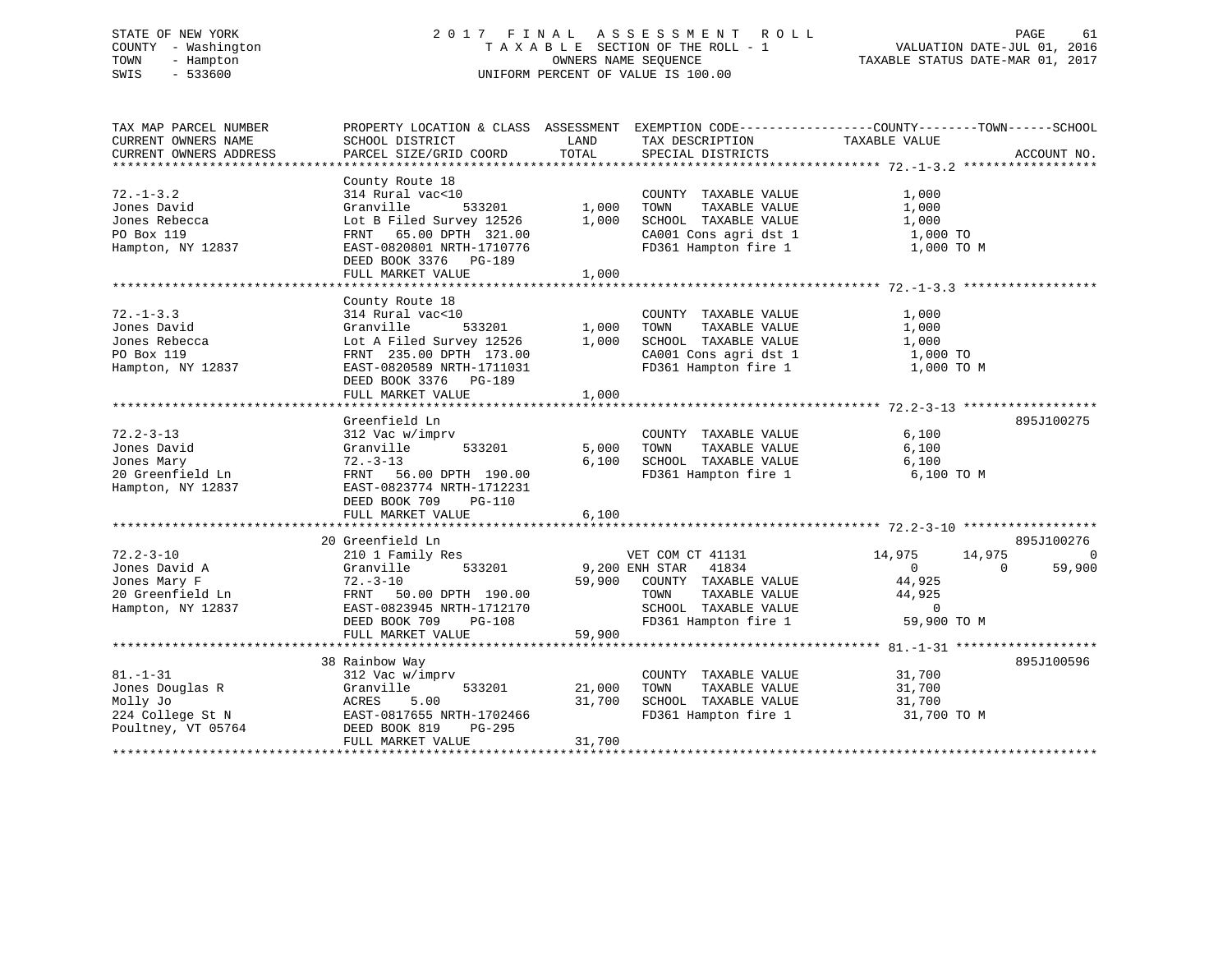# STATE OF NEW YORK 2 0 1 7 F I N A L A S S E S S M E N T R O L L PAGE 61 COUNTY - Washington T A X A B L E SECTION OF THE ROLL - 1 VALUATION DATE-JUL 01, 2016 TOWN - Hampton OWNERS NAME SEQUENCE TAXABLE STATUS DATE-MAR 01, 2017 SWIS - 533600 UNIFORM PERCENT OF VALUE IS 100.00

| TAX MAP PARCEL NUMBER<br>CURRENT OWNERS NAME<br>CURRENT OWNERS ADDRESS                    | PROPERTY LOCATION & CLASS ASSESSMENT EXEMPTION CODE----------------COUNTY-------TOWN------SCHOOL<br>SCHOOL DISTRICT<br>PARCEL SIZE/GRID COORD                                                | LAND<br>TOTAL              | TAX DESCRIPTION<br>SPECIAL DISTRICTS                                                                                                      | TAXABLE VALUE                                                                                 | ACCOUNT NO.                      |
|-------------------------------------------------------------------------------------------|----------------------------------------------------------------------------------------------------------------------------------------------------------------------------------------------|----------------------------|-------------------------------------------------------------------------------------------------------------------------------------------|-----------------------------------------------------------------------------------------------|----------------------------------|
| $72. - 1 - 3.2$<br>Jones David<br>Jones Rebecca<br>PO Box 119<br>Hampton, NY 12837        | County Route 18<br>314 Rural vac<10<br>Granville<br>533201<br>Lot B Filed Survey 12526<br>FRNT 65.00 DPTH 321.00<br>EAST-0820801 NRTH-1710776<br>DEED BOOK 3376 PG-189<br>FULL MARKET VALUE  | 1,000<br>1,000<br>1,000    | COUNTY TAXABLE VALUE<br>TOWN<br>TAXABLE VALUE<br>SCHOOL TAXABLE VALUE<br>CA001 Cons agri dst 1<br>FD361 Hampton fire 1                    | 1,000<br>1,000<br>1,000<br>1,000 TO<br>1,000 TO M                                             |                                  |
| $72. - 1 - 3.3$<br>Jones David<br>Jones Rebecca<br>PO Box 119<br>Hampton, NY 12837        | County Route 18<br>314 Rural vac<10<br>Granville<br>533201<br>Lot A Filed Survey 12526<br>FRNT 235.00 DPTH 173.00<br>EAST-0820589 NRTH-1711031<br>DEED BOOK 3376 PG-189<br>FULL MARKET VALUE | 1,000<br>1,000<br>1,000    | COUNTY TAXABLE VALUE<br>TAXABLE VALUE<br>TOWN<br>SCHOOL TAXABLE VALUE<br>CA001 Cons agri dst 1<br>FD361 Hampton fire 1                    | 1,000<br>1,000<br>1,000<br>1,000 TO<br>1,000 TO M                                             |                                  |
| $72.2 - 3 - 13$<br>Jones David<br>Jones Mary<br>20 Greenfield Ln<br>Hampton, NY 12837     | Greenfield Ln<br>312 Vac w/imprv<br>533201<br>Granville<br>$72. - 3 - 13$<br>FRNT 56.00 DPTH 190.00<br>EAST-0823774 NRTH-1712231<br>DEED BOOK 709<br>PG-110<br>FULL MARKET VALUE             | 5,000<br>6,100<br>6,100    | COUNTY TAXABLE VALUE<br>TAXABLE VALUE<br>TOWN<br>SCHOOL TAXABLE VALUE<br>FD361 Hampton fire 1                                             | 6,100<br>6,100<br>6,100<br>6,100 TO M                                                         | 895J100275                       |
|                                                                                           |                                                                                                                                                                                              |                            |                                                                                                                                           |                                                                                               |                                  |
| $72.2 - 3 - 10$<br>Jones David A<br>Jones Mary F<br>20 Greenfield Ln<br>Hampton, NY 12837 | 20 Greenfield Ln<br>210 1 Family Res<br>533201<br>Granville<br>$72. - 3 - 10$<br>FRNT 50.00 DPTH 190.00<br>EAST-0823945 NRTH-1712170<br>DEED BOOK 709<br>PG-108                              | 59,900                     | VET COM CT 41131<br>9,200 ENH STAR 41834<br>COUNTY TAXABLE VALUE<br>TAXABLE VALUE<br>TOWN<br>SCHOOL TAXABLE VALUE<br>FD361 Hampton fire 1 | 14,975<br>14,975<br>$\Omega$<br>$\Omega$<br>44,925<br>44,925<br>$\overline{0}$<br>59,900 TO M | 895J100276<br>$\Omega$<br>59,900 |
|                                                                                           | FULL MARKET VALUE                                                                                                                                                                            | 59,900                     |                                                                                                                                           |                                                                                               |                                  |
| $81. - 1 - 31$<br>Jones Douglas R<br>Molly Jo<br>224 College St N<br>Poultney, VT 05764   | 38 Rainbow Way<br>312 Vac w/imprv<br>Granville<br>533201<br>ACRES<br>5.00<br>EAST-0817655 NRTH-1702466<br>DEED BOOK 819<br><b>PG-295</b><br>FULL MARKET VALUE                                | 21,000<br>31,700<br>31,700 | COUNTY TAXABLE VALUE<br>TOWN<br>TAXABLE VALUE<br>SCHOOL TAXABLE VALUE<br>FD361 Hampton fire 1                                             | 31,700<br>31,700<br>31,700<br>31,700 TO M                                                     | 895J100596                       |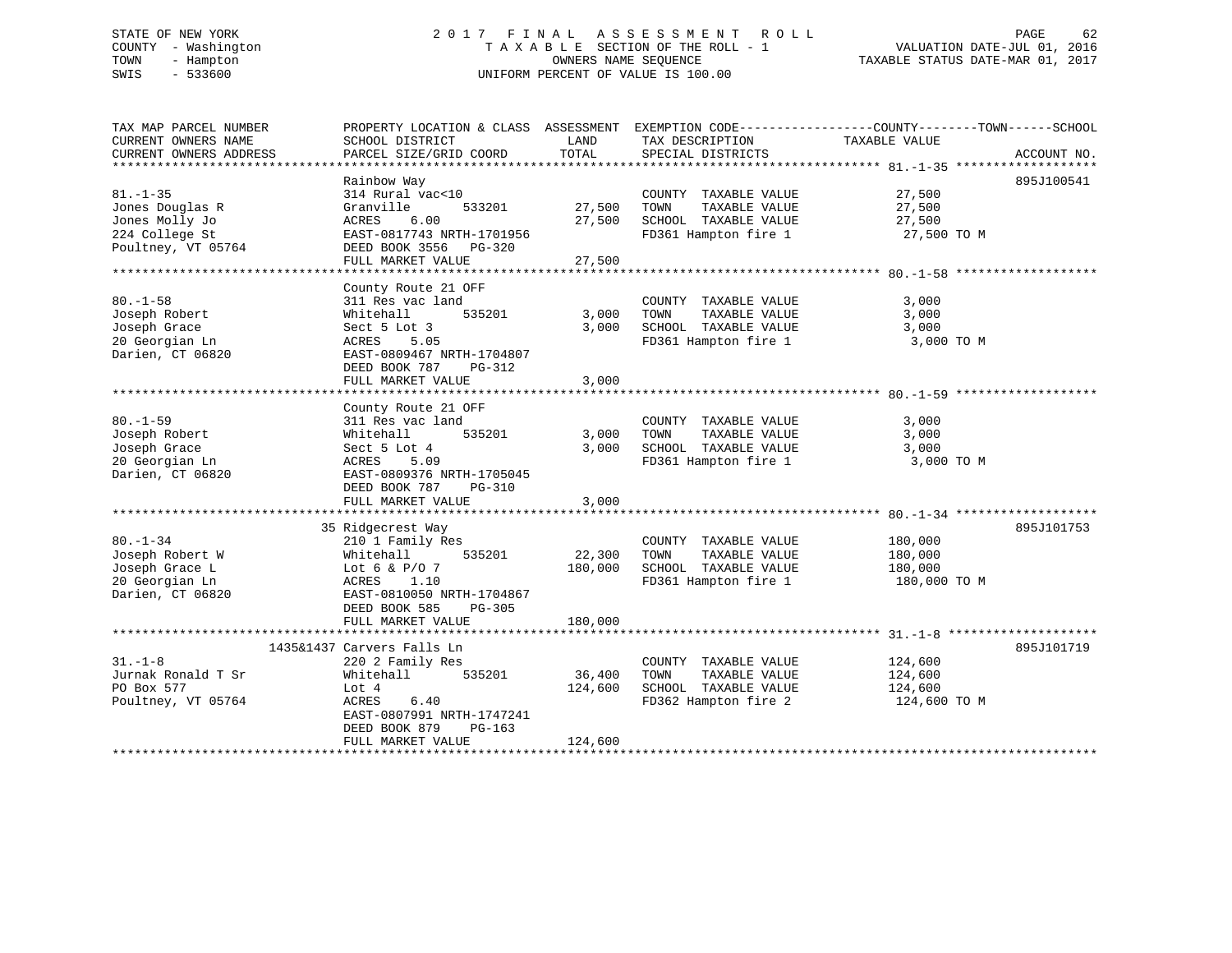#### STATE OF NEW YORK GOT RELEASED A LIMIT A S S E S S M E N T R O L L CHA LIMIT A S S E S S M E N T R O L L COUNTY - Washington T A X A B L E SECTION OF THE ROLL - 1 TOWN - Hampton OWNERS NAME SEQUENCE TAXABLE STATUS DATE-MAR 01, 2017 SWIS - 533600 UNIFORM PERCENT OF VALUE IS 100.00

| TAX MAP PARCEL NUMBER<br>CURRENT OWNERS NAME                                                | PROPERTY LOCATION & CLASS ASSESSMENT<br>SCHOOL DISTRICT                                                                                                                      | LAND<br>TOTAL           | TAX DESCRIPTION                                                                               | EXEMPTION CODE-----------------COUNTY-------TOWN------SCHOOL<br>TAXABLE VALUE |             |
|---------------------------------------------------------------------------------------------|------------------------------------------------------------------------------------------------------------------------------------------------------------------------------|-------------------------|-----------------------------------------------------------------------------------------------|-------------------------------------------------------------------------------|-------------|
| CURRENT OWNERS ADDRESS                                                                      | PARCEL SIZE/GRID COORD                                                                                                                                                       |                         | SPECIAL DISTRICTS                                                                             |                                                                               | ACCOUNT NO. |
|                                                                                             | Rainbow Way                                                                                                                                                                  |                         |                                                                                               |                                                                               | 895J100541  |
| $81. - 1 - 35$<br>Jones Douglas R<br>Jones Molly Jo<br>224 College St<br>Poultney, VT 05764 | 314 Rural vac<10<br>Granville<br>533201<br>6.00<br>ACRES<br>EAST-0817743 NRTH-1701956<br>DEED BOOK 3556 PG-320                                                               | 27,500<br>27,500        | COUNTY TAXABLE VALUE<br>TOWN<br>TAXABLE VALUE<br>SCHOOL TAXABLE VALUE<br>FD361 Hampton fire 1 | 27,500<br>27,500<br>27,500<br>27,500 TO M                                     |             |
|                                                                                             | FULL MARKET VALUE                                                                                                                                                            | 27,500                  |                                                                                               |                                                                               |             |
|                                                                                             |                                                                                                                                                                              |                         |                                                                                               |                                                                               |             |
| $80. - 1 - 58$<br>Joseph Robert<br>Joseph Grace<br>20 Georgian Ln<br>Darien, CT 06820       | County Route 21 OFF<br>311 Res vac land<br>Whitehall<br>535201<br>Sect 5 Lot 3<br>ACRES<br>5.05<br>EAST-0809467 NRTH-1704807<br>DEED BOOK 787<br>PG-312                      | 3,000<br>3,000          | COUNTY TAXABLE VALUE<br>TOWN<br>TAXABLE VALUE<br>SCHOOL TAXABLE VALUE<br>FD361 Hampton fire 1 | 3,000<br>3,000<br>3,000<br>3,000 TO M                                         |             |
|                                                                                             | FULL MARKET VALUE                                                                                                                                                            | 3,000                   |                                                                                               |                                                                               |             |
|                                                                                             |                                                                                                                                                                              |                         |                                                                                               |                                                                               |             |
| $80. - 1 - 59$<br>Joseph Robert<br>Joseph Grace<br>20 Georgian Ln<br>Darien, CT 06820       | County Route 21 OFF<br>311 Res vac land<br>535201<br>Whitehall<br>Sect 5 Lot 4<br>ACRES<br>5.09<br>EAST-0809376 NRTH-1705045<br>DEED BOOK 787<br>PG-310<br>FULL MARKET VALUE | 3,000<br>3,000<br>3,000 | COUNTY TAXABLE VALUE<br>TOWN<br>TAXABLE VALUE<br>SCHOOL TAXABLE VALUE<br>FD361 Hampton fire 1 | 3,000<br>3,000<br>3,000<br>3,000 TO M                                         |             |
|                                                                                             |                                                                                                                                                                              |                         |                                                                                               |                                                                               |             |
| $80. - 1 - 34$<br>Joseph Robert W<br>Joseph Grace L<br>20 Georgian Ln<br>Darien, CT 06820   | 35 Ridgecrest Way<br>210 1 Family Res<br>535201<br>Whitehall<br>Lot 6 & $P/O$ 7<br>ACRES 1.10<br>EAST-0810050 NRTH-1704867                                                   | 22,300<br>180,000       | COUNTY TAXABLE VALUE<br>TAXABLE VALUE<br>TOWN<br>SCHOOL TAXABLE VALUE<br>FD361 Hampton fire 1 | 180,000<br>180,000<br>180,000<br>180,000 TO M                                 | 895J101753  |
|                                                                                             | DEED BOOK 585<br>$PG-305$<br>FULL MARKET VALUE                                                                                                                               | 180,000                 |                                                                                               |                                                                               |             |
|                                                                                             |                                                                                                                                                                              |                         |                                                                                               |                                                                               |             |
| $31. - 1 - 8$<br>Jurnak Ronald T Sr<br>PO Box 577<br>Poultney, VT 05764                     | 1435&1437 Carvers Falls Ln<br>220 2 Family Res<br>535201<br>Whitehall<br>Lot 4<br>ACRES<br>6.40                                                                              | 36,400<br>124,600       | COUNTY TAXABLE VALUE<br>TAXABLE VALUE<br>TOWN<br>SCHOOL TAXABLE VALUE<br>FD362 Hampton fire 2 | 124,600<br>124,600<br>124,600<br>124,600 TO M                                 | 895J101719  |
|                                                                                             | EAST-0807991 NRTH-1747241<br>DEED BOOK 879<br>$PG-163$<br>FULL MARKET VALUE                                                                                                  | 124,600                 |                                                                                               |                                                                               |             |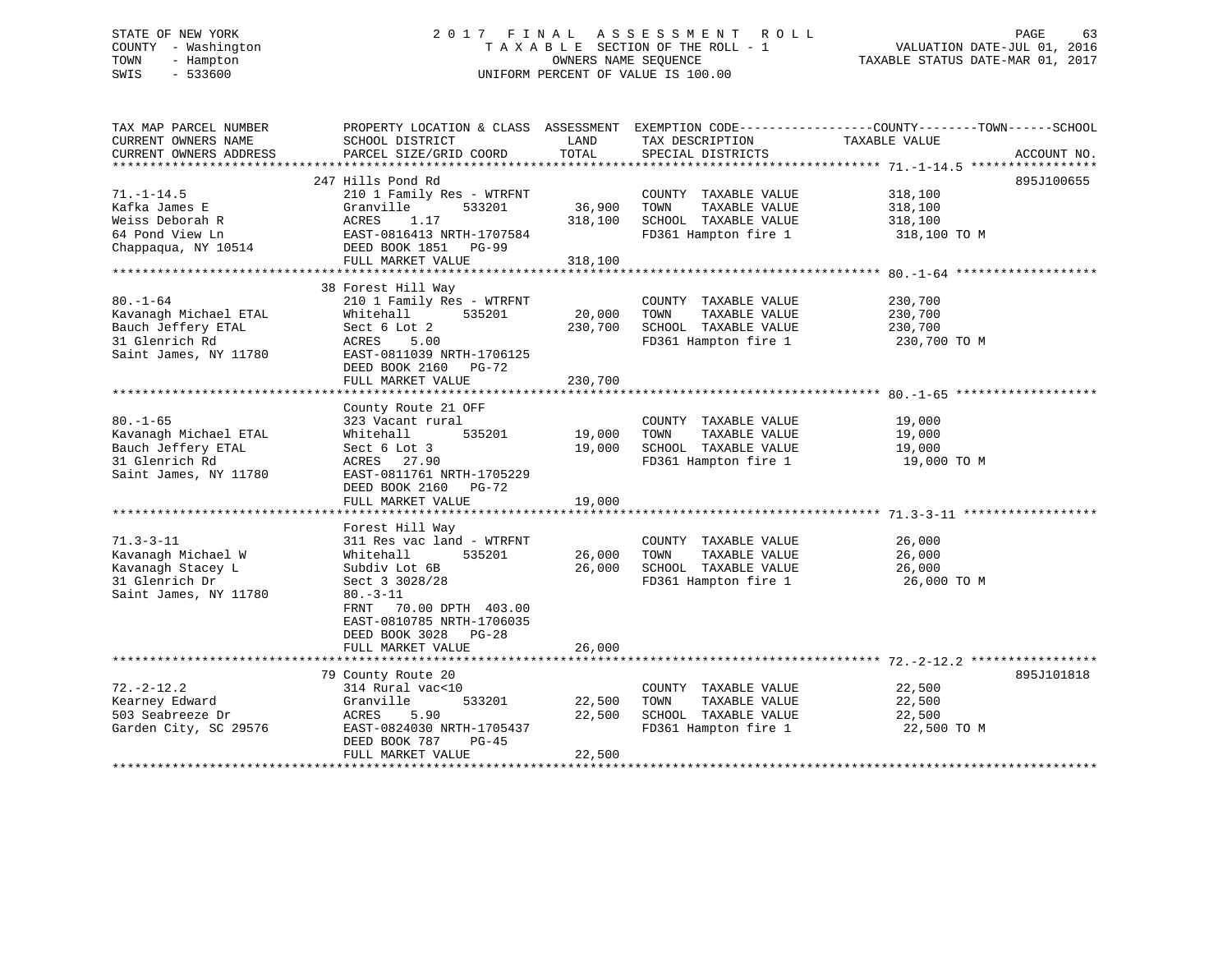# STATE OF NEW YORK 2 0 1 7 F I N A L A S S E S S M E N T R O L L PAGE 63 COUNTY - Washington T A X A B L E SECTION OF THE ROLL - 1 VALUATION DATE-JUL 01, 2016 TOWN - Hampton OWNERS NAME SEQUENCE TAXABLE STATUS DATE-MAR 01, 2017 SWIS - 533600 UNIFORM PERCENT OF VALUE IS 100.00

| TAX MAP PARCEL NUMBER<br>CURRENT OWNERS NAME<br>CURRENT OWNERS ADDRESS | SCHOOL DISTRICT<br>PARCEL SIZE/GRID COORD | LAND<br>TOTAL | TAX DESCRIPTION<br>SPECIAL DISTRICTS | PROPERTY LOCATION & CLASS ASSESSMENT EXEMPTION CODE----------------COUNTY-------TOWN------SCHOOL<br>TAXABLE VALUE<br>ACCOUNT NO. |
|------------------------------------------------------------------------|-------------------------------------------|---------------|--------------------------------------|----------------------------------------------------------------------------------------------------------------------------------|
|                                                                        |                                           |               |                                      |                                                                                                                                  |
|                                                                        | 247 Hills Pond Rd                         |               |                                      | 895J100655                                                                                                                       |
| $71. - 1 - 14.5$                                                       | 210 1 Family Res - WTRFNT                 |               | COUNTY TAXABLE VALUE                 | 318,100                                                                                                                          |
| Kafka James E                                                          | Granville<br>533201                       | 36,900        | TOWN<br>TAXABLE VALUE                | 318,100                                                                                                                          |
| Weiss Deborah R                                                        | ACRES<br>1.17                             | 318,100       | SCHOOL TAXABLE VALUE                 | 318,100                                                                                                                          |
| 64 Pond View Ln                                                        | EAST-0816413 NRTH-1707584                 |               | FD361 Hampton fire 1                 | 318,100 TO M                                                                                                                     |
| Chappaqua, NY 10514                                                    | DEED BOOK 1851 PG-99                      |               |                                      |                                                                                                                                  |
|                                                                        | FULL MARKET VALUE                         | 318,100       |                                      |                                                                                                                                  |
|                                                                        | 38 Forest Hill Way                        |               |                                      |                                                                                                                                  |
| $80. - 1 - 64$                                                         | 210 1 Family Res - WTRFNT                 |               | COUNTY TAXABLE VALUE                 | 230,700                                                                                                                          |
| Kavanagh Michael ETAL                                                  | Whitehall<br>535201                       | 20,000        | TOWN<br>TAXABLE VALUE                | 230,700                                                                                                                          |
| Bauch Jeffery ETAL                                                     | Sect 6 Lot 2                              | 230,700       | SCHOOL TAXABLE VALUE                 | 230,700                                                                                                                          |
| 31 Glenrich Rd                                                         | 5.00<br>ACRES                             |               | FD361 Hampton fire 1                 | 230,700 TO M                                                                                                                     |
| Saint James, NY 11780                                                  | EAST-0811039 NRTH-1706125                 |               |                                      |                                                                                                                                  |
|                                                                        | DEED BOOK 2160<br><b>PG-72</b>            |               |                                      |                                                                                                                                  |
|                                                                        | FULL MARKET VALUE                         | 230,700       |                                      |                                                                                                                                  |
|                                                                        |                                           |               |                                      |                                                                                                                                  |
|                                                                        | County Route 21 OFF                       |               |                                      |                                                                                                                                  |
| $80. - 1 - 65$                                                         | 323 Vacant rural                          |               | COUNTY TAXABLE VALUE                 | 19,000                                                                                                                           |
| Kavanagh Michael ETAL                                                  | 535201<br>Whitehall                       | 19,000        | TOWN<br>TAXABLE VALUE                | 19,000                                                                                                                           |
| Bauch Jeffery ETAL                                                     | Sect 6 Lot 3                              | 19,000        | SCHOOL TAXABLE VALUE                 | 19,000                                                                                                                           |
| 31 Glenrich Rd                                                         | ACRES 27.90                               |               | FD361 Hampton fire 1                 | 19,000 TO M                                                                                                                      |
| Saint James, NY 11780                                                  | EAST-0811761 NRTH-1705229                 |               |                                      |                                                                                                                                  |
|                                                                        | DEED BOOK 2160<br>$PG-72$                 |               |                                      |                                                                                                                                  |
|                                                                        | FULL MARKET VALUE                         | 19,000        |                                      |                                                                                                                                  |
|                                                                        |                                           |               |                                      |                                                                                                                                  |
|                                                                        | Forest Hill Way                           |               |                                      |                                                                                                                                  |
| $71.3 - 3 - 11$                                                        | 311 Res vac land - WTRFNT                 |               | COUNTY TAXABLE VALUE                 | 26,000                                                                                                                           |
| Kavanagh Michael W                                                     | 535201<br>Whitehall                       | 26,000        | TOWN<br>TAXABLE VALUE                | 26,000                                                                                                                           |
| Kavanagh Stacey L                                                      | Subdiv Lot 6B                             | 26,000        | SCHOOL TAXABLE VALUE                 | 26,000                                                                                                                           |
| 31 Glenrich Dr                                                         | Sect 3 3028/28                            |               | FD361 Hampton fire 1                 | 26,000 TO M                                                                                                                      |
| Saint James, NY 11780                                                  | $80. - 3 - 11$                            |               |                                      |                                                                                                                                  |
|                                                                        | 70.00 DPTH 403.00<br>FRNT                 |               |                                      |                                                                                                                                  |
|                                                                        | EAST-0810785 NRTH-1706035                 |               |                                      |                                                                                                                                  |
|                                                                        | DEED BOOK 3028 PG-28<br>FULL MARKET VALUE | 26,000        |                                      |                                                                                                                                  |
|                                                                        |                                           |               |                                      |                                                                                                                                  |
|                                                                        | 79 County Route 20                        |               |                                      | 895J101818                                                                                                                       |
| $72. - 2 - 12.2$                                                       | 314 Rural vac<10                          |               | COUNTY TAXABLE VALUE                 | 22,500                                                                                                                           |
| Kearney Edward                                                         | Granville<br>533201                       | 22,500        | TOWN<br>TAXABLE VALUE                | 22,500                                                                                                                           |
| 503 Seabreeze Dr                                                       | 5.90<br>ACRES                             | 22,500        | SCHOOL TAXABLE VALUE                 | 22,500                                                                                                                           |
| Garden City, SC 29576                                                  | EAST-0824030 NRTH-1705437                 |               | FD361 Hampton fire 1                 | 22,500 TO M                                                                                                                      |
|                                                                        | DEED BOOK 787<br>$PG-45$                  |               |                                      |                                                                                                                                  |
|                                                                        | FULL MARKET VALUE                         | 22,500        |                                      |                                                                                                                                  |
|                                                                        |                                           |               |                                      |                                                                                                                                  |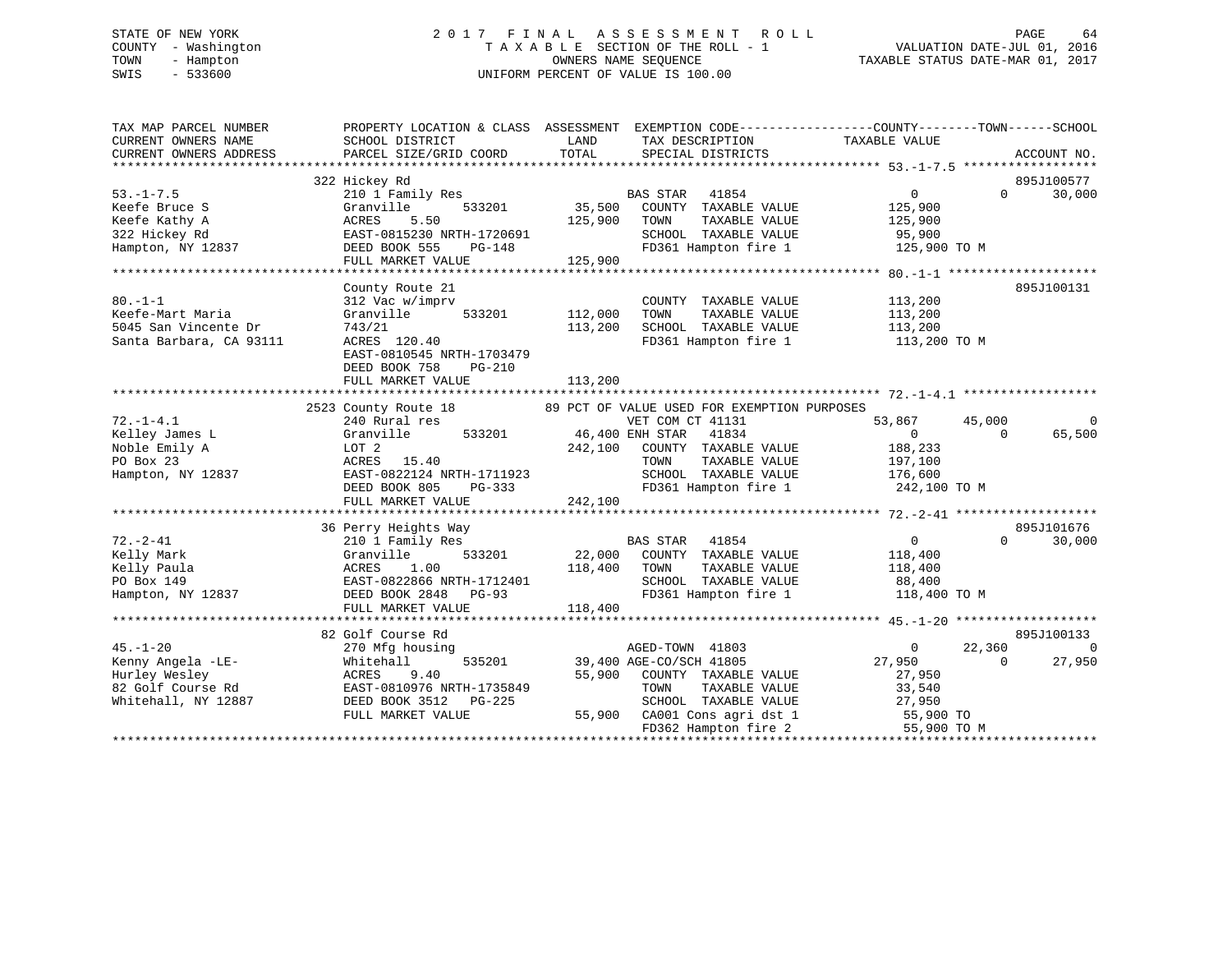# STATE OF NEW YORK 2 0 1 7 F I N A L A S S E S S M E N T R O L L PAGE 64 COUNTY - Washington T A X A B L E SECTION OF THE ROLL - 1 VALUATION DATE-JUL 01, 2016 TOWN - Hampton OWNERS NAME SEQUENCE TAXABLE STATUS DATE-MAR 01, 2017 SWIS - 533600 UNIFORM PERCENT OF VALUE IS 100.00

| TAX MAP PARCEL NUMBER<br>CURRENT OWNERS NAME<br>CURRENT OWNERS ADDRESS              | SCHOOL DISTRICT<br>PARCEL SIZE/GRID COORD                                                                                          | LAND<br>TAX DESCRIPTION<br>TOTAL<br>SPECIAL DISTRICTS                                                                                                                                                                           | PROPERTY LOCATION & CLASS ASSESSMENT EXEMPTION CODE----------------COUNTY-------TOWN------SCHOOL<br>TAXABLE VALUE<br>ACCOUNT NO. |
|-------------------------------------------------------------------------------------|------------------------------------------------------------------------------------------------------------------------------------|---------------------------------------------------------------------------------------------------------------------------------------------------------------------------------------------------------------------------------|----------------------------------------------------------------------------------------------------------------------------------|
| $53. - 1 - 7.5$<br>Keefe Bruce S                                                    | 322 Hickey Rd<br>210 1 Family Res<br>533201<br>Granville                                                                           | BAS STAR 41854<br>39201 35,500 COUNTY TAXABLE VALUE                                                                                                                                                                             | 895J100577<br>30,000<br>$0 \qquad \qquad$<br>$\Omega$<br>125,900                                                                 |
| Keefe Kathy A<br>322 Hickey Rd                                                      | ACRES<br>5.50<br>EAST-0815230 NRTH-1720691<br>IRTH-1720691<br>PG-148                                                               | 125,900 TOWN<br>TAXABLE VALUE<br>SCHOOL TAXABLE VALUE<br>FD361 Hampton fire 1 125,900 TO M                                                                                                                                      | 125,900<br>95,900                                                                                                                |
|                                                                                     | FULL MARKET VALUE                                                                                                                  | 125,900                                                                                                                                                                                                                         |                                                                                                                                  |
|                                                                                     |                                                                                                                                    |                                                                                                                                                                                                                                 |                                                                                                                                  |
| $80. -1 - 1$<br>Keefe-Mart Maria<br>5045 San Vincente Dr<br>Santa Barbara, CA 93111 | County Route 21<br>312 Vac w/imprv<br>Granville<br>533201<br>743/21<br>ACRES 120.40<br>EAST-0810545 NRTH-1703479                   | COUNTY TAXABLE VALUE<br>112,000<br>TAXABLE VALUE<br>TOWN<br>113,200<br>SCHOOL TAXABLE VALUE<br>FD361 Hampton fire 1                                                                                                             | 895J100131<br>113,200<br>113,200<br>113,200<br>113,200 TO M                                                                      |
|                                                                                     | DEED BOOK 758<br>PG-210<br>FULL MARKET VALUE                                                                                       | 113,200                                                                                                                                                                                                                         |                                                                                                                                  |
|                                                                                     |                                                                                                                                    | 2523 County Route 18 69 PCT OF VALUE USED FOR EXEMPTION PURPOSES                                                                                                                                                                |                                                                                                                                  |
| $72. - 1 - 4.1$                                                                     | 240 Rural res                                                                                                                      | VET COM CT 41131                                                                                                                                                                                                                | 53,867<br>45,000<br>$\Omega$                                                                                                     |
| Kelley James L<br>Noble Emily A<br>PO Box 23<br>Hampton, NY 12837                   | LOT 2<br>ACRES 15.40<br>EAST-0822124 NRTH-1711923<br>DEED BOOK 805<br>PG-333                                                       | 242,100 COUNTY TAXABLE VALUE 188,233<br>TAXABLE VALUE<br>TOWN<br>SCHOOL TAXABLE VALUE 176,600<br>FD361 Hampton fire 1 242,100 TO M                                                                                              | $\overline{0}$<br>$\Omega$<br>65,500<br>197,100                                                                                  |
|                                                                                     | FULL MARKET VALUE                                                                                                                  | 242,100                                                                                                                                                                                                                         |                                                                                                                                  |
|                                                                                     |                                                                                                                                    |                                                                                                                                                                                                                                 |                                                                                                                                  |
|                                                                                     | 36 Perry Heights Way                                                                                                               |                                                                                                                                                                                                                                 | 895J101676                                                                                                                       |
| $72. - 2 - 41$<br>Kelly Mark<br>Kelly Paula<br>PO Box 149<br>Hampton, NY 12837      | 210 1 Family Res<br>533201<br>Granville<br>1.00<br>ACRES<br>EAST-0822866 NRTH-1712401<br>DEED BOOK 2848 PG-93<br>FULL MARKET VALUE | BAS STAR 41854<br>22,000 COUNTY TAXABLE VALUE<br>118,400 TOWN<br>TAXABLE VALUE<br>SCHOOL TAXABLE VALUE 68,400<br>FD361 Hampton fire 1<br>118,400                                                                                | $\overline{0}$<br>$\Omega$<br>30,000<br>118,400<br>118,400<br>118,400 TO M                                                       |
|                                                                                     |                                                                                                                                    |                                                                                                                                                                                                                                 |                                                                                                                                  |
| $45. - 1 - 20$                                                                      | 82 Golf Course Rd<br>270 Mfg housing                                                                                               | AGED-TOWN 41803                                                                                                                                                                                                                 | 895J100133<br>$\overline{0}$<br>22,360<br>$\overline{0}$                                                                         |
| Kenny Angela -LE-<br>Hurley Wesley<br>Whitehall, NY 12887                           | Whitehall<br>9.40<br>ACRES<br>DEED BOOK 3512 PG-225<br>FULL MARKET VALUE                                                           | 81ng<br>535201 535201 535201 535201 535201<br>55,900 COUNTY TAXABLE VALUE<br>TOWN TAXABLE VALUE<br>SCHOOL TAXABLE VALUE<br>CA001 Cons agri dst 1 55,900 TO<br>55,900 TO<br>55,900 CA001 Cons agri dst 1<br>FD362 Hampton fire 2 | 27,950<br>27,950<br>$\Omega$<br>27,950<br>55,900 TO M                                                                            |
|                                                                                     |                                                                                                                                    |                                                                                                                                                                                                                                 |                                                                                                                                  |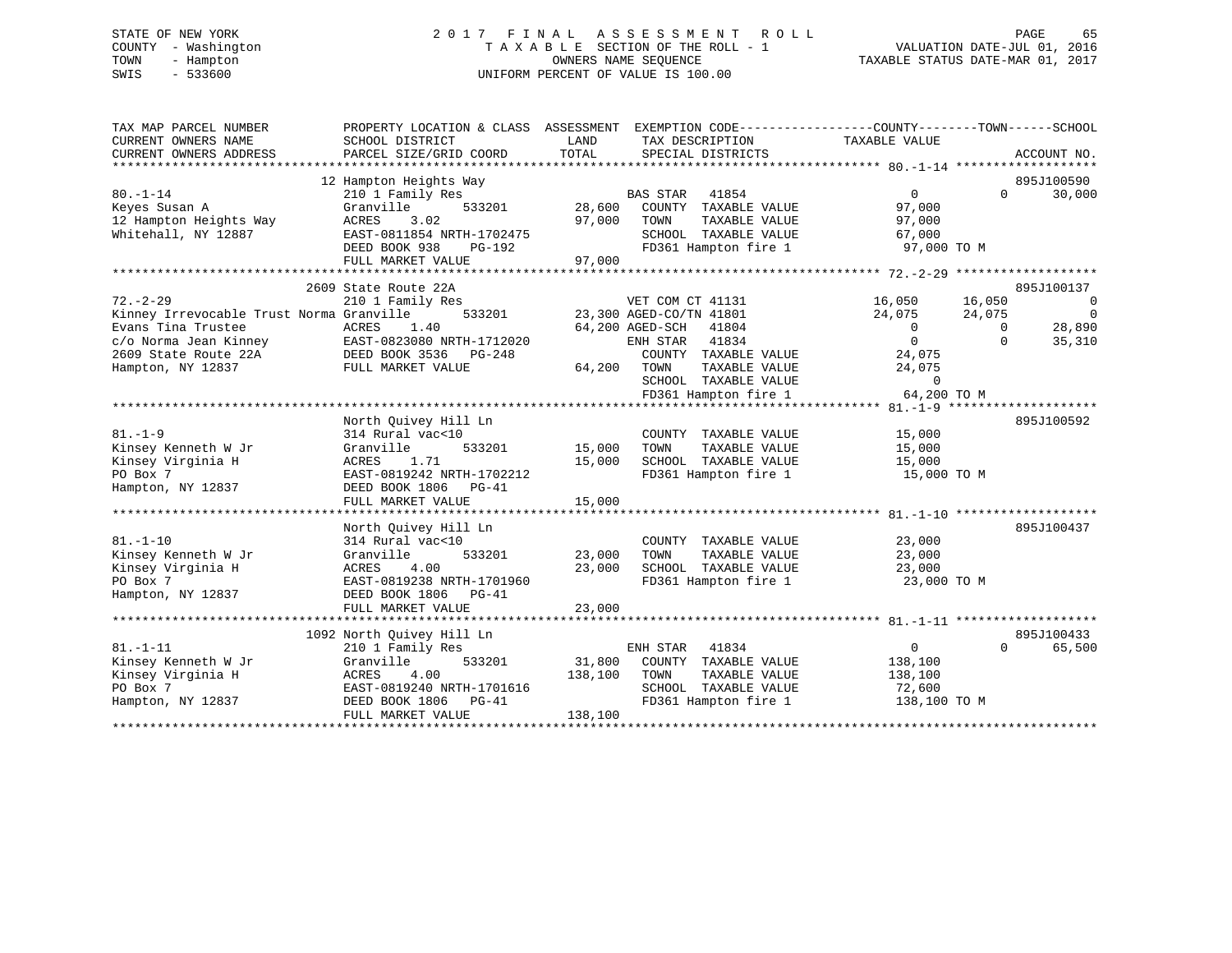# STATE OF NEW YORK 2 0 1 7 F I N A L A S S E S S M E N T R O L L PAGE 65 COUNTY - Washington T A X A B L E SECTION OF THE ROLL - 1 VALUATION DATE-JUL 01, 2016 TOWN - Hampton OWNERS NAME SEQUENCE TAXABLE STATUS DATE-MAR 01, 2017 SWIS - 533600 UNIFORM PERCENT OF VALUE IS 100.00

| TAX MAP PARCEL NUMBER<br>CURRENT OWNERS NAME<br>CURRENT OWNERS ADDRESS                                                                                 | PROPERTY LOCATION & CLASS ASSESSMENT<br>SCHOOL DISTRICT<br>PARCEL SIZE/GRID COORD                                                                                  | LAND<br>TOTAL                | EXEMPTION CODE-----------------COUNTY-------TOWN------SCHOOL<br>TAX DESCRIPTION<br>SPECIAL DISTRICTS                                                                                          | TAXABLE VALUE                                                                                       |                                          | ACCOUNT NO.                                                                  |
|--------------------------------------------------------------------------------------------------------------------------------------------------------|--------------------------------------------------------------------------------------------------------------------------------------------------------------------|------------------------------|-----------------------------------------------------------------------------------------------------------------------------------------------------------------------------------------------|-----------------------------------------------------------------------------------------------------|------------------------------------------|------------------------------------------------------------------------------|
| $80. - 1 - 14$<br>Keyes Susan A<br>12 Hampton Heights Way<br>Whitehall, NY 12887                                                                       | 12 Hampton Heights Way<br>210 1 Family Res<br>533201<br>Granville<br>3.02<br>ACRES<br>EAST-0811854 NRTH-1702475<br>DEED BOOK 938<br>PG-192<br>FULL MARKET VALUE    | 28,600<br>97,000<br>97,000   | <b>BAS STAR</b><br>41854<br>COUNTY TAXABLE VALUE<br>TAXABLE VALUE<br>TOWN<br>SCHOOL TAXABLE VALUE<br>FD361 Hampton fire 1                                                                     | $\mathbf{0}$<br>97,000<br>97,000<br>67,000<br>97,000 TO M                                           | $\Omega$                                 | 895J100590<br>30,000                                                         |
| $72. - 2 - 29$<br>Kinney Irrevocable Trust Norma Granville<br>Evans Tina Trustee<br>c/o Norma Jean Kinney<br>2609 State Route 22A<br>Hampton, NY 12837 | 2609 State Route 22A<br>210 1 Family Res<br>533201<br>1.40<br>ACRES<br>EAST-0823080 NRTH-1712020<br>DEED BOOK 3536<br>PG-248<br>FULL MARKET VALUE                  | 64,200                       | VET COM CT 41131<br>23,300 AGED-CO/TN 41801<br>64,200 AGED-SCH<br>41804<br>ENH STAR<br>41834<br>COUNTY TAXABLE VALUE<br>TAXABLE VALUE<br>TOWN<br>SCHOOL TAXABLE VALUE<br>FD361 Hampton fire 1 | 16,050<br>24,075<br>$\overline{0}$<br>$\Omega$<br>24,075<br>24,075<br>$\overline{0}$<br>64,200 TO M | 16,050<br>24,075<br>$\Omega$<br>$\Omega$ | 895J100137<br>$\overline{0}$<br>$\overline{\phantom{0}}$<br>28,890<br>35,310 |
| $81. - 1 - 9$<br>Kinsey Kenneth W Jr<br>Kinsey Virginia H<br>PO Box 7<br>Hampton, NY 12837                                                             | North Ouivey Hill Ln<br>314 Rural vac<10<br>533201<br>Granville<br>ACRES<br>1.71<br>EAST-0819242 NRTH-1702212<br>DEED BOOK 1806<br>PG-41<br>FULL MARKET VALUE      | 15,000<br>15,000<br>15,000   | COUNTY TAXABLE VALUE<br>TOWN<br>TAXABLE VALUE<br>SCHOOL TAXABLE VALUE<br>FD361 Hampton fire 1                                                                                                 | 15,000<br>15,000<br>15,000<br>15,000 TO M                                                           |                                          | 895J100592                                                                   |
| $81. - 1 - 10$<br>Kinsey Kenneth W Jr<br>Kinsey Virginia H<br>PO Box 7<br>Hampton, NY 12837                                                            | North Quivey Hill Ln<br>314 Rural vac<10<br>533201<br>Granville<br>4.00<br>ACRES<br>EAST-0819238 NRTH-1701960<br>DEED BOOK 1806<br>$PG-41$<br>FULL MARKET VALUE    | 23,000<br>23,000<br>23,000   | COUNTY TAXABLE VALUE<br>TOWN<br>TAXABLE VALUE<br>SCHOOL TAXABLE VALUE<br>FD361 Hampton fire 1                                                                                                 | 23,000<br>23,000<br>23,000<br>23,000 TO M                                                           |                                          | 895J100437                                                                   |
| $81. - 1 - 11$<br>Kinsey Kenneth W Jr<br>Kinsey Virginia H<br>PO Box 7<br>Hampton, NY 12837                                                            | 1092 North Quivey Hill Ln<br>210 1 Family Res<br>Granville<br>533201<br>4.00<br>ACRES<br>EAST-0819240 NRTH-1701616<br>DEED BOOK 1806<br>PG-41<br>FULL MARKET VALUE | 31,800<br>138,100<br>138,100 | ENH STAR<br>41834<br>COUNTY TAXABLE VALUE<br>TOWN<br>TAXABLE VALUE<br>SCHOOL TAXABLE VALUE<br>FD361 Hampton fire 1                                                                            | $\Omega$<br>138,100<br>138,100<br>72,600<br>138,100 TO M                                            | $\Omega$                                 | 895J100433<br>65,500                                                         |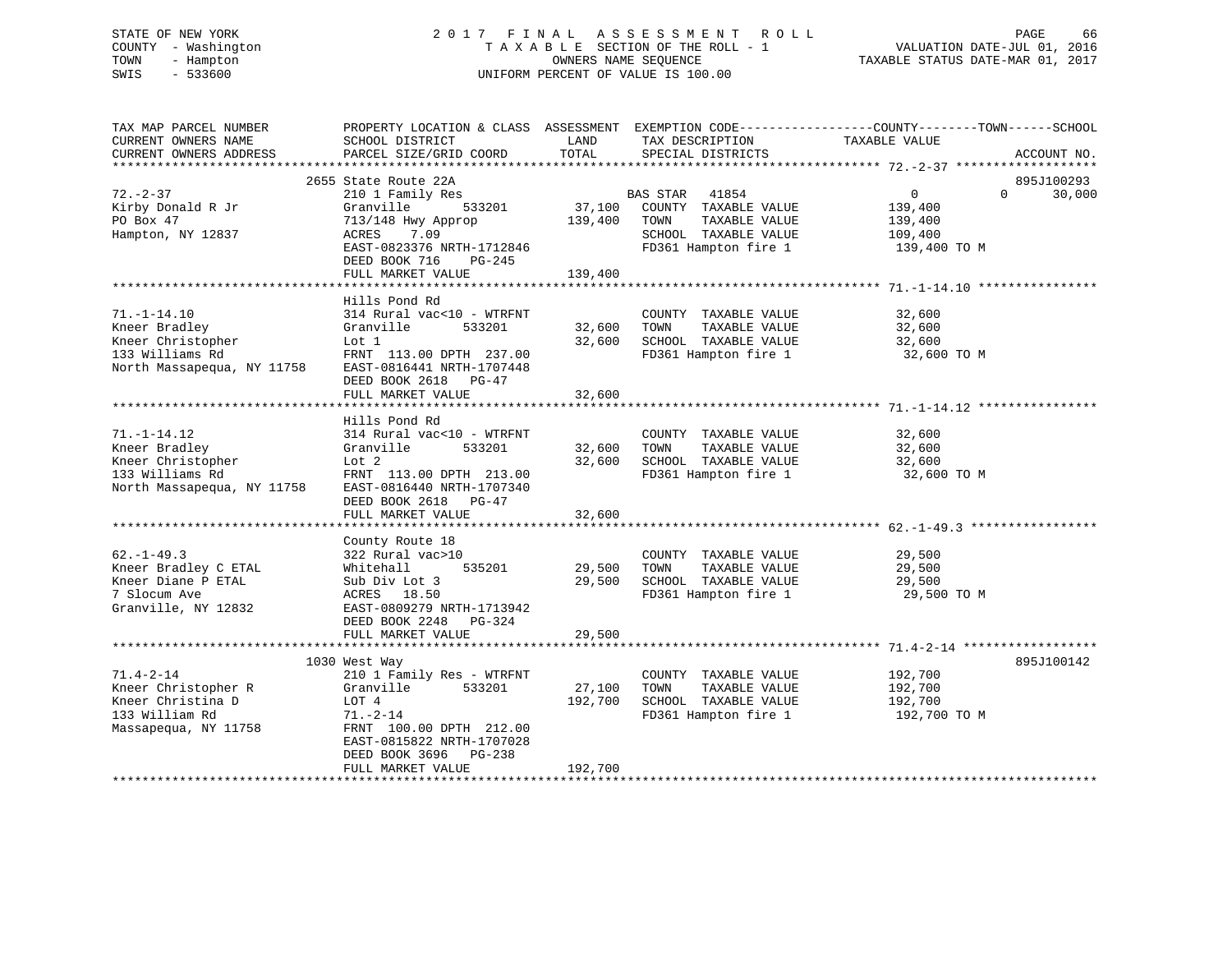# STATE OF NEW YORK 2 0 1 7 F I N A L A S S E S S M E N T R O L L PAGE 66 COUNTY - Washington T A X A B L E SECTION OF THE ROLL - 1 VALUATION DATE-JUL 01, 2016 TOWN - Hampton OWNERS NAME SEQUENCE TAXABLE STATUS DATE-MAR 01, 2017 SWIS - 533600 UNIFORM PERCENT OF VALUE IS 100.00

| TAX MAP PARCEL NUMBER<br>CURRENT OWNERS NAME                                                             | PROPERTY LOCATION & CLASS ASSESSMENT EXEMPTION CODE----------------COUNTY-------TOWN-----SCHOOL<br>SCHOOL DISTRICT                                           | LAND              | TAX DESCRIPTION                                                                               | TAXABLE VALUE                                 |          |                      |
|----------------------------------------------------------------------------------------------------------|--------------------------------------------------------------------------------------------------------------------------------------------------------------|-------------------|-----------------------------------------------------------------------------------------------|-----------------------------------------------|----------|----------------------|
| CURRENT OWNERS ADDRESS                                                                                   | PARCEL SIZE/GRID COORD                                                                                                                                       | TOTAL             | SPECIAL DISTRICTS                                                                             |                                               |          | ACCOUNT NO.          |
|                                                                                                          |                                                                                                                                                              |                   |                                                                                               |                                               |          |                      |
| $72. - 2 - 37$<br>Kirby Donald R Jr                                                                      | 2655 State Route 22A<br>210 1 Family Res<br>Granville<br>533201                                                                                              | 37,100            | 41854<br>BAS STAR<br>COUNTY TAXABLE VALUE                                                     | $\overline{0}$<br>139,400                     | $\Omega$ | 895J100293<br>30,000 |
| PO Box 47<br>Hampton, NY 12837                                                                           | 713/148 Hwy Approp<br>ACRES<br>7.09                                                                                                                          | 139,400           | TAXABLE VALUE<br>TOWN<br>SCHOOL TAXABLE VALUE                                                 | 139,400<br>109,400                            |          |                      |
|                                                                                                          | EAST-0823376 NRTH-1712846<br>DEED BOOK 716<br>PG-245<br>FULL MARKET VALUE                                                                                    | 139,400           | FD361 Hampton fire 1                                                                          | 139,400 TO M                                  |          |                      |
|                                                                                                          |                                                                                                                                                              |                   |                                                                                               |                                               |          |                      |
|                                                                                                          | Hills Pond Rd                                                                                                                                                |                   |                                                                                               |                                               |          |                      |
| $71. - 1 - 14.10$<br>Kneer Bradley<br>Kneer Christopher<br>133 Williams Rd<br>North Massapequa, NY 11758 | 314 Rural vac<10 - WTRFNT<br>Granville<br>533201<br>Lot 1<br>FRNT 113.00 DPTH 237.00<br>EAST-0816441 NRTH-1707448                                            | 32,600<br>32,600  | COUNTY TAXABLE VALUE<br>TOWN<br>TAXABLE VALUE<br>SCHOOL TAXABLE VALUE<br>FD361 Hampton fire 1 | 32,600<br>32,600<br>32,600<br>32,600 TO M     |          |                      |
|                                                                                                          | DEED BOOK 2618 PG-47                                                                                                                                         |                   |                                                                                               |                                               |          |                      |
|                                                                                                          | FULL MARKET VALUE                                                                                                                                            | 32,600            |                                                                                               |                                               |          |                      |
|                                                                                                          |                                                                                                                                                              |                   |                                                                                               |                                               |          |                      |
| $71. - 1 - 14.12$<br>Kneer Bradley                                                                       | Hills Pond Rd<br>314 Rural vac<10 - WTRFNT<br>Granville<br>533201                                                                                            | 32,600            | COUNTY TAXABLE VALUE<br>TOWN<br>TAXABLE VALUE                                                 | 32,600<br>32,600                              |          |                      |
| Kneer Christopher                                                                                        | Lot 2                                                                                                                                                        | 32,600            | SCHOOL TAXABLE VALUE                                                                          | 32,600                                        |          |                      |
| 133 Williams Rd<br>North Massapequa, NY 11758                                                            | FRNT 113.00 DPTH 213.00<br>EAST-0816440 NRTH-1707340<br>DEED BOOK 2618 PG-47<br>FULL MARKET VALUE                                                            | 32,600            | FD361 Hampton fire 1                                                                          | 32,600 TO M                                   |          |                      |
|                                                                                                          |                                                                                                                                                              |                   |                                                                                               |                                               |          |                      |
| $62. - 1 - 49.3$<br>Kneer Bradley C ETAL<br>Kneer Diane P ETAL<br>7 Slocum Ave<br>Granville, NY 12832    | County Route 18<br>322 Rural vac>10<br>535201<br>Whitehall<br>Sub Div Lot 3<br>ACRES 18.50<br>EAST-0809279 NRTH-1713942<br>DEED BOOK 2248<br>PG-324          | 29,500<br>29,500  | COUNTY TAXABLE VALUE<br>TOWN<br>TAXABLE VALUE<br>SCHOOL TAXABLE VALUE<br>FD361 Hampton fire 1 | 29,500<br>29,500<br>29,500<br>29,500 TO M     |          |                      |
|                                                                                                          | FULL MARKET VALUE                                                                                                                                            | 29,500            |                                                                                               |                                               |          |                      |
|                                                                                                          |                                                                                                                                                              |                   |                                                                                               |                                               |          |                      |
|                                                                                                          | 1030 West Way                                                                                                                                                |                   |                                                                                               |                                               |          | 895J100142           |
| $71.4 - 2 - 14$<br>Kneer Christopher R<br>Kneer Christina D<br>133 William Rd<br>Massapequa, NY 11758    | 210 1 Family Res - WTRFNT<br>Granville<br>533201<br>LOT 4<br>$71. - 2 - 14$<br>FRNT 100.00 DPTH 212.00<br>EAST-0815822 NRTH-1707028<br>DEED BOOK 3696 PG-238 | 27,100<br>192,700 | COUNTY TAXABLE VALUE<br>TOWN<br>TAXABLE VALUE<br>SCHOOL TAXABLE VALUE<br>FD361 Hampton fire 1 | 192,700<br>192,700<br>192,700<br>192,700 TO M |          |                      |
|                                                                                                          | FULL MARKET VALUE                                                                                                                                            | 192,700           |                                                                                               |                                               |          |                      |
|                                                                                                          |                                                                                                                                                              |                   |                                                                                               |                                               |          |                      |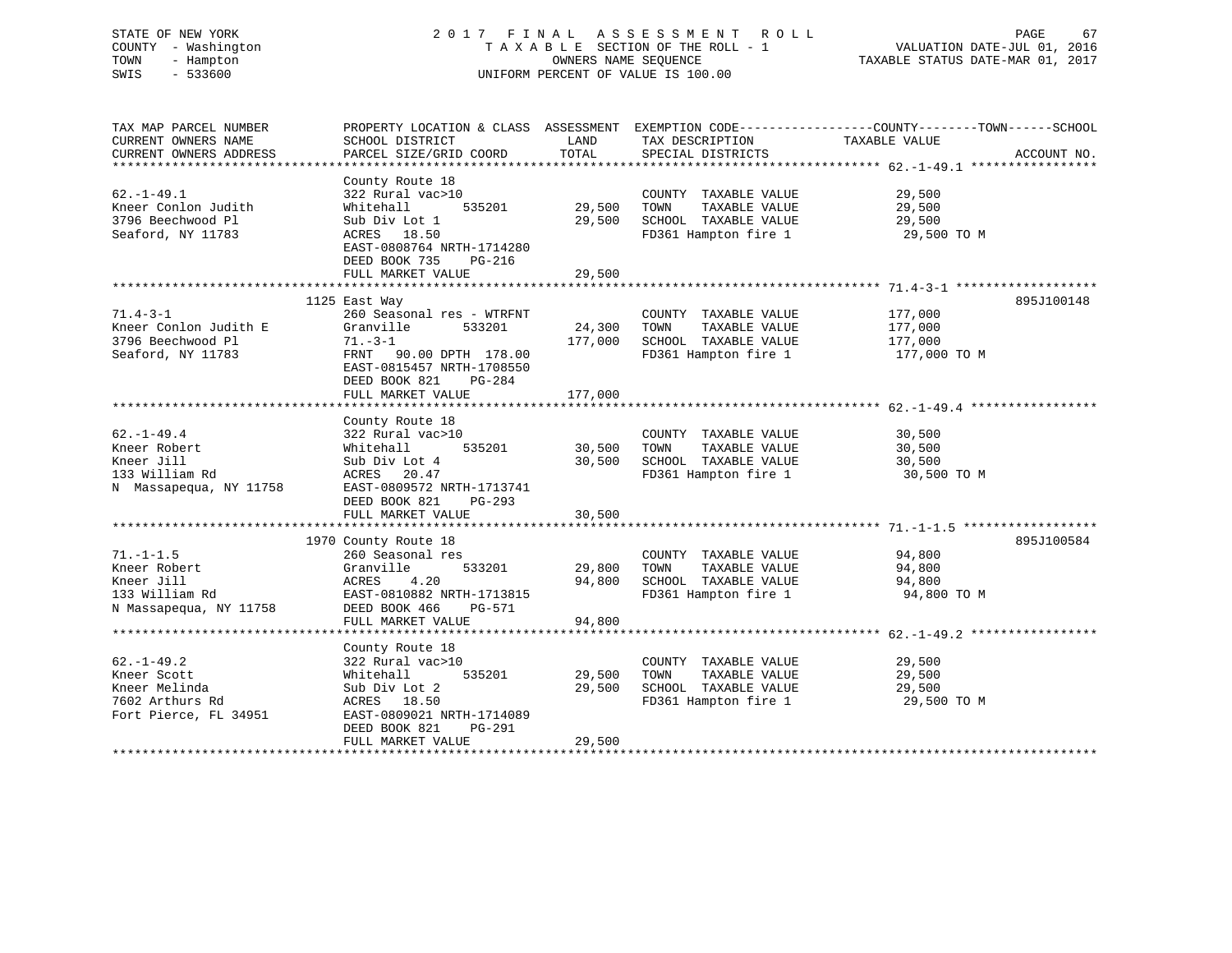# STATE OF NEW YORK 2 0 1 7 F I N A L A S S E S S M E N T R O L L PAGE 67 COUNTY - Washington T A X A B L E SECTION OF THE ROLL - 1 VALUATION DATE-JUL 01, 2016 TOWN - Hampton OWNERS NAME SEQUENCE TAXABLE STATUS DATE-MAR 01, 2017 SWIS - 533600 UNIFORM PERCENT OF VALUE IS 100.00UNIFORM PERCENT OF VALUE IS 100.00

| TAX MAP PARCEL NUMBER  | PROPERTY LOCATION & CLASS ASSESSMENT EXEMPTION CODE-----------------COUNTY-------TOWN------SCHOOL |             |                                                          |                      |             |
|------------------------|---------------------------------------------------------------------------------------------------|-------------|----------------------------------------------------------|----------------------|-------------|
| CURRENT OWNERS NAME    | SCHOOL DISTRICT                                                                                   | LAND        | TAX DESCRIPTION                                          | TAXABLE VALUE        |             |
| CURRENT OWNERS ADDRESS | PARCEL SIZE/GRID COORD                                                                            | TOTAL       | SPECIAL DISTRICTS                                        |                      | ACCOUNT NO. |
|                        |                                                                                                   |             |                                                          |                      |             |
|                        | County Route 18                                                                                   |             |                                                          |                      |             |
| $62. - 1 - 49.1$       | 322 Rural vac>10                                                                                  |             | COUNTY TAXABLE VALUE                                     | 29,500               |             |
| Kneer Conlon Judith    | 535201<br>Whitehall                                                                               | 29,500      | TOWN<br>TAXABLE VALUE                                    | 29,500               |             |
| 3796 Beechwood Pl      | Sub Div Lot 1                                                                                     |             | 29,500 SCHOOL TAXABLE VALUE                              | 29,500               |             |
| Seaford, NY 11783      | ACRES 18.50                                                                                       |             | FD361 Hampton fire 1 29,500 TO M                         |                      |             |
|                        | EAST-0808764 NRTH-1714280                                                                         |             |                                                          |                      |             |
|                        | DEED BOOK 735<br>PG-216                                                                           |             |                                                          |                      |             |
|                        | FULL MARKET VALUE                                                                                 | 29,500      |                                                          |                      |             |
|                        |                                                                                                   |             |                                                          |                      |             |
|                        | 1125 East Way                                                                                     |             |                                                          |                      | 895J100148  |
| $71.4 - 3 - 1$         | 260 Seasonal res - WTRFNT                                                                         |             | COUNTY TAXABLE VALUE                                     | 177,000              |             |
| Kneer Conlon Judith E  | Granville<br>533201                                                                               | 24,300 TOWN | TAXABLE VALUE                                            | 177,000              |             |
| 3796 Beechwood Pl      | $71. - 3 - 1$                                                                                     |             | 177,000 SCHOOL TAXABLE VALUE                             | $\frac{1}{177}$ ,000 |             |
| Seaford, NY 11783      | FRNT 90.00 DPTH 178.00                                                                            |             | FD361 Hampton fire 1 177,000 TO M                        |                      |             |
|                        | EAST-0815457 NRTH-1708550                                                                         |             |                                                          |                      |             |
|                        | DEED BOOK 821<br>PG-284                                                                           |             |                                                          |                      |             |
|                        | FULL MARKET VALUE                                                                                 | 177,000     |                                                          |                      |             |
|                        |                                                                                                   |             |                                                          |                      |             |
|                        | County Route 18                                                                                   |             |                                                          |                      |             |
| $62. - 1 - 49.4$       | 322 Rural vac>10                                                                                  |             | COUNTY TAXABLE VALUE                                     | 30,500               |             |
| Kneer Robert           | 535201<br>Whitehall                                                                               | 30,500 TOWN | TAXABLE VALUE                                            | 30,500               |             |
| Kneer Jill             | Sub Div Lot 4                                                                                     |             | 30,500 SCHOOL TAXABLE VALUE                              | 30,500               |             |
| 133 William Rd         | ACRES 20.47                                                                                       |             | FD361 Hampton fire 1                                     | 30,500 TO M          |             |
| N Massapequa, NY 11758 | EAST-0809572 NRTH-1713741                                                                         |             |                                                          |                      |             |
|                        | DEED BOOK 821<br>$PG-293$                                                                         |             |                                                          |                      |             |
|                        | FULL MARKET VALUE                                                                                 | 30,500      |                                                          |                      |             |
|                        |                                                                                                   |             |                                                          |                      |             |
|                        | 1970 County Route 18                                                                              |             |                                                          |                      | 895J100584  |
| $71. - 1 - 1.5$        | 260 Seasonal res                                                                                  |             | COUNTY TAXABLE VALUE                                     | 94,800               |             |
| Kneer Robert           | Granville<br>533201                                                                               |             | 29,800 TOWN<br>TAXABLE VALUE                             | 94,800               |             |
| Kneer Jill             | ACRES<br>4.20                                                                                     |             | 29,800 TOWN TAXABLE VALUE<br>94,800 SCHOOL TAXABLE VALUE | 94,800               |             |
| 133 William Rd         | EAST-0810882 NRTH-1713815                                                                         |             | FD361 Hampton fire 1                                     | 94,800 TO M          |             |
| N Massapequa, NY 11758 | DEED BOOK 466<br>PG-571                                                                           |             |                                                          |                      |             |
|                        | FULL MARKET VALUE                                                                                 | 94,800      |                                                          |                      |             |
|                        |                                                                                                   |             |                                                          |                      |             |
|                        | County Route 18                                                                                   |             |                                                          |                      |             |
| $62. - 1 - 49.2$       | 322 Rural vac>10                                                                                  |             | COUNTY TAXABLE VALUE                                     | 29,500               |             |
| Kneer Scott            | 535201<br>Whitehall                                                                               | 29,500      | TAXABLE VALUE<br>TOWN                                    | 29,500               |             |
| Kneer Melinda          | Sub Div Lot 2                                                                                     | 29,500      | SCHOOL TAXABLE VALUE                                     | 29,500               |             |
| 7602 Arthurs Rd        | ACRES 18.50                                                                                       |             | FD361 Hampton fire 1                                     | 29,500 TO M          |             |
| Fort Pierce, FL 34951  | EAST-0809021 NRTH-1714089                                                                         |             |                                                          |                      |             |
|                        | DEED BOOK 821<br>PG-291                                                                           |             |                                                          |                      |             |
|                        | FULL MARKET VALUE                                                                                 | 29,500      |                                                          |                      |             |
|                        |                                                                                                   |             |                                                          |                      |             |
|                        |                                                                                                   |             |                                                          |                      |             |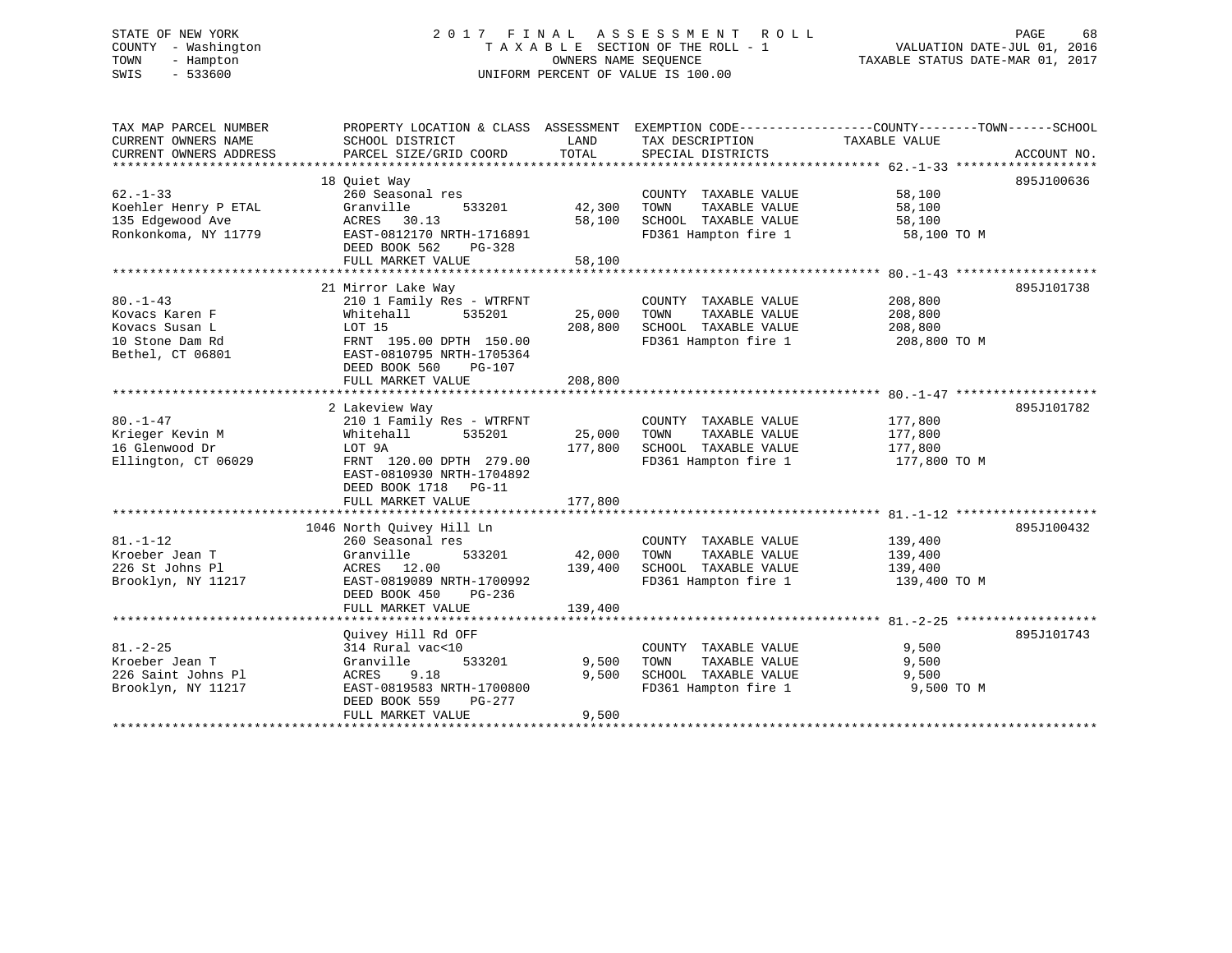# STATE OF NEW YORK 2 0 1 7 F I N A L A S S E S S M E N T R O L L PAGE 68 COUNTY - Washington T A X A B L E SECTION OF THE ROLL - 1 VALUATION DATE-JUL 01, 2016 TOWN - Hampton OWNERS NAME SEQUENCE TAXABLE STATUS DATE-MAR 01, 2017 SWIS - 533600 UNIFORM PERCENT OF VALUE IS 100.00

| TAX MAP PARCEL NUMBER  | PROPERTY LOCATION & CLASS ASSESSMENT EXEMPTION CODE----------------COUNTY-------TOWN------SCHOOL |         |                       |               |             |
|------------------------|--------------------------------------------------------------------------------------------------|---------|-----------------------|---------------|-------------|
| CURRENT OWNERS NAME    | SCHOOL DISTRICT                                                                                  | LAND    | TAX DESCRIPTION       | TAXABLE VALUE |             |
| CURRENT OWNERS ADDRESS | PARCEL SIZE/GRID COORD                                                                           | TOTAL   | SPECIAL DISTRICTS     |               | ACCOUNT NO. |
|                        |                                                                                                  |         |                       |               |             |
|                        | 18 Ouiet Way                                                                                     |         |                       |               | 895J100636  |
| $62 - 1 - 33$          | 260 Seasonal res                                                                                 |         | COUNTY TAXABLE VALUE  | 58,100        |             |
| Koehler Henry P ETAL   | Granville<br>533201                                                                              | 42,300  | TOWN<br>TAXABLE VALUE | 58,100        |             |
| 135 Edgewood Ave       | ACRES 30.13                                                                                      | 58,100  | SCHOOL TAXABLE VALUE  | 58,100        |             |
| Ronkonkoma, NY 11779   | EAST-0812170 NRTH-1716891                                                                        |         | FD361 Hampton fire 1  | 58,100 TO M   |             |
|                        | DEED BOOK 562<br>PG-328                                                                          |         |                       |               |             |
|                        | FULL MARKET VALUE                                                                                | 58,100  |                       |               |             |
|                        |                                                                                                  |         |                       |               |             |
|                        | 21 Mirror Lake Way                                                                               |         |                       |               | 895J101738  |
| $80. - 1 - 43$         | 210 1 Family Res - WTRFNT                                                                        |         | COUNTY TAXABLE VALUE  | 208,800       |             |
| Kovacs Karen F         | 535201<br>Whitehall                                                                              | 25,000  | TOWN<br>TAXABLE VALUE | 208,800       |             |
| Kovacs Susan L         | LOT 15                                                                                           | 208,800 | SCHOOL TAXABLE VALUE  | 208,800       |             |
| 10 Stone Dam Rd        | FRNT 195.00 DPTH 150.00                                                                          |         | FD361 Hampton fire 1  | 208,800 TO M  |             |
| Bethel, CT 06801       | EAST-0810795 NRTH-1705364                                                                        |         |                       |               |             |
|                        | DEED BOOK 560<br>PG-107                                                                          |         |                       |               |             |
|                        | FULL MARKET VALUE                                                                                | 208,800 |                       |               |             |
|                        |                                                                                                  |         |                       |               |             |
|                        | 2 Lakeview Way                                                                                   |         |                       |               | 895J101782  |
| $80. - 1 - 47$         | 210 1 Family Res - WTRFNT                                                                        |         | COUNTY TAXABLE VALUE  | 177,800       |             |
| Krieger Kevin M        | 535201<br>Whitehall                                                                              | 25,000  | TAXABLE VALUE<br>TOWN | 177,800       |             |
| 16 Glenwood Dr         | LOT 9A                                                                                           | 177,800 | SCHOOL TAXABLE VALUE  | 177,800       |             |
| Ellington, CT 06029    | FRNT 120.00 DPTH 279.00                                                                          |         | FD361 Hampton fire 1  | 177,800 TO M  |             |
|                        | EAST-0810930 NRTH-1704892                                                                        |         |                       |               |             |
|                        | DEED BOOK 1718 PG-11<br>FULL MARKET VALUE                                                        | 177,800 |                       |               |             |
|                        |                                                                                                  |         |                       |               |             |
|                        | 1046 North Quivey Hill Ln                                                                        |         |                       |               | 895J100432  |
| $81. - 1 - 12$         | 260 Seasonal res                                                                                 |         | COUNTY TAXABLE VALUE  | 139,400       |             |
| Kroeber Jean T         | 533201<br>Granville                                                                              | 42,000  | TOWN<br>TAXABLE VALUE | 139,400       |             |
| 226 St Johns Pl        | ACRES 12.00                                                                                      | 139,400 | SCHOOL TAXABLE VALUE  | 139,400       |             |
| Brooklyn, NY 11217     | EAST-0819089 NRTH-1700992                                                                        |         | FD361 Hampton fire 1  | 139,400 TO M  |             |
|                        | DEED BOOK 450<br>PG-236                                                                          |         |                       |               |             |
|                        | FULL MARKET VALUE                                                                                | 139,400 |                       |               |             |
|                        |                                                                                                  |         |                       |               |             |
|                        | Ouivey Hill Rd OFF                                                                               |         |                       |               | 895J101743  |
| $81. - 2 - 25$         | 314 Rural vac<10                                                                                 |         | COUNTY TAXABLE VALUE  | 9,500         |             |
| Kroeber Jean T         | 533201<br>Granville                                                                              | 9,500   | TOWN<br>TAXABLE VALUE | 9,500         |             |
| 226 Saint Johns Pl     | 9.18<br>ACRES                                                                                    | 9,500   | SCHOOL TAXABLE VALUE  | 9,500         |             |
| Brooklyn, NY 11217     | EAST-0819583 NRTH-1700800                                                                        |         | FD361 Hampton fire 1  | 9,500 TO M    |             |
|                        | DEED BOOK 559<br>PG-277                                                                          |         |                       |               |             |
|                        | FULL MARKET VALUE                                                                                | 9,500   |                       |               |             |
|                        |                                                                                                  |         |                       |               |             |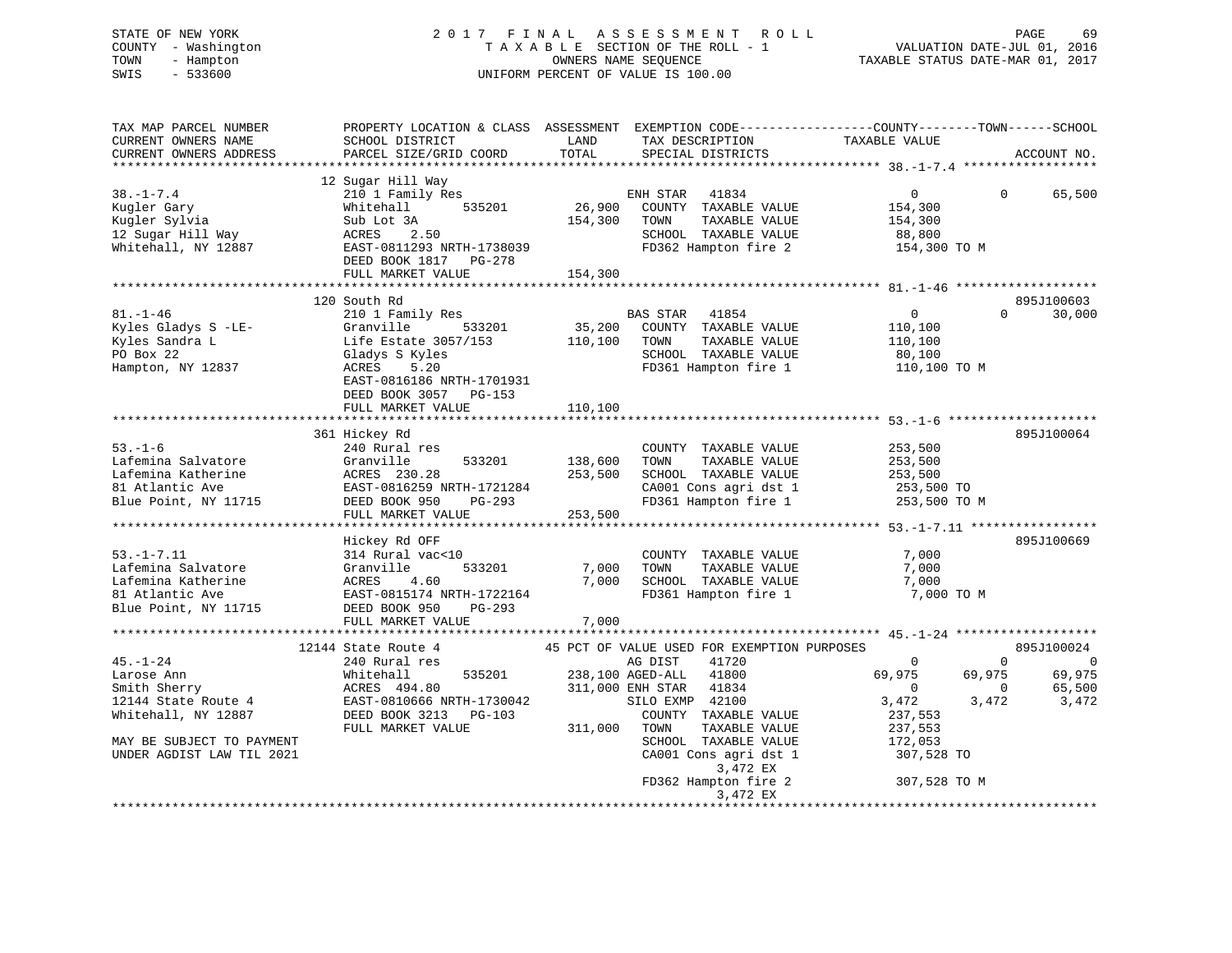# STATE OF NEW YORK 2 0 1 7 F I N A L A S S E S S M E N T R O L L PAGE 69 COUNTY - Washington T A X A B L E SECTION OF THE ROLL - 1 VALUATION DATE-JUL 01, 2016 TOWN - Hampton OWNERS NAME SEQUENCE TAXABLE STATUS DATE-MAR 01, 2017 SWIS - 533600 UNIFORM PERCENT OF VALUE IS 100.00

| TAX MAP PARCEL NUMBER<br>CURRENT OWNERS NAME<br>CURRENT OWNERS ADDRESS                                                                               | SCHOOL DISTRICT<br>PARCEL SIZE/GRID COORD                                                                                                                                  | LAND<br>TOTAL                 | TAX DESCRIPTION<br>SPECIAL DISTRICTS                                                                                                                                                                                                                                               | PROPERTY LOCATION & CLASS ASSESSMENT EXEMPTION CODE----------------COUNTY-------TOWN------SCHOOL<br>TAXABLE VALUE               | ACCOUNT NO.                                                                             |
|------------------------------------------------------------------------------------------------------------------------------------------------------|----------------------------------------------------------------------------------------------------------------------------------------------------------------------------|-------------------------------|------------------------------------------------------------------------------------------------------------------------------------------------------------------------------------------------------------------------------------------------------------------------------------|---------------------------------------------------------------------------------------------------------------------------------|-----------------------------------------------------------------------------------------|
| $38. - 1 - 7.4$<br>Kugler Gary<br>Kugler Sylvia<br>12 Sugar Hill Way<br>Whitehall, NY 12887                                                          | 12 Sugar Hill Way<br>210 1 Family Res<br>535201<br>Whitehall<br>Sub Lot 3A<br>ACRES 2.50<br>EAST-0811293 NRTH-1738039<br>DEED BOOK 1817 PG-278<br>FULL MARKET VALUE        | 26,900<br>154,300<br>154,300  | 41834<br>ENH STAR<br>COUNTY TAXABLE VALUE<br>TAXABLE VALUE<br>TOWN<br>SCHOOL TAXABLE VALUE<br>FD362 Hampton fire 2                                                                                                                                                                 | $\overline{0}$<br>154,300<br>154,300<br>88,800<br>154,300 TO M                                                                  | 65,500<br>$\Omega$                                                                      |
|                                                                                                                                                      |                                                                                                                                                                            |                               |                                                                                                                                                                                                                                                                                    |                                                                                                                                 |                                                                                         |
| $81. - 1 - 46$<br>Kyles Gladys S -LE-<br>Kyles Sandra L<br>PO Box 22<br>Hampton, NY 12837                                                            | 120 South Rd<br>210 1 Family Res<br>Granville<br>533201<br>Life Estate $3057/153$<br>Gladys S Kyles<br>ACRES<br>5.20<br>EAST-0816186 NRTH-1701931<br>DEED BOOK 3057 PG-153 | 35,200<br>110,100             | BAS STAR 41854<br>COUNTY TAXABLE VALUE<br>TOWN<br>TAXABLE VALUE<br>SCHOOL TAXABLE VALUE<br>FD361 Hampton fire 1                                                                                                                                                                    | $\overline{0}$<br>110,100<br>110,100<br>80,100<br>110,100 TO M                                                                  | 895J100603<br>30,000<br>$\Omega$                                                        |
|                                                                                                                                                      | FULL MARKET VALUE                                                                                                                                                          | 110,100                       |                                                                                                                                                                                                                                                                                    |                                                                                                                                 |                                                                                         |
|                                                                                                                                                      |                                                                                                                                                                            |                               |                                                                                                                                                                                                                                                                                    |                                                                                                                                 |                                                                                         |
| $53. - 1 - 6$<br>Lafemina Salvatore<br>Lafemina Katherine<br>81 Atlantic Ave<br>Blue Point, NY 11715                                                 | 361 Hickey Rd<br>240 Rural res<br>Granville<br>533201<br>ACRES 230.28<br>EAST-0816259 NRTH-1721284<br>DEED BOOK 950<br>PG-293<br>FULL MARKET VALUE                         | 138,600<br>253,500<br>253,500 | COUNTY TAXABLE VALUE<br>TOWN<br>TAXABLE VALUE<br>SCHOOL TAXABLE VALUE<br>CA001 Cons agri dst 1<br>FD361 Hampton fire 1                                                                                                                                                             | 253,500<br>253,500<br>253,500<br>253,500 TO<br>253,500 TO M                                                                     | 895J100064                                                                              |
|                                                                                                                                                      |                                                                                                                                                                            |                               |                                                                                                                                                                                                                                                                                    |                                                                                                                                 |                                                                                         |
| $53. -1 - 7.11$<br>Lafemina Salvatore<br>Lafemina Katherine<br>81 Atlantic Ave<br>Blue Point, NY 11715                                               | Hickey Rd OFF<br>314 Rural vac<10<br>Granville<br>533201<br>ACRES<br>4.60<br>EAST-0815174 NRTH-1722164<br>DEED BOOK 950<br>$PG-293$<br>FULL MARKET VALUE                   | 7,000<br>7,000<br>7,000       | COUNTY TAXABLE VALUE<br>TAXABLE VALUE<br>TOWN<br>SCHOOL TAXABLE VALUE<br>FD361 Hampton fire 1                                                                                                                                                                                      | 7,000<br>7,000<br>7,000<br>7,000 TO M                                                                                           | 895J100669                                                                              |
|                                                                                                                                                      |                                                                                                                                                                            |                               |                                                                                                                                                                                                                                                                                    |                                                                                                                                 |                                                                                         |
| $45. - 1 - 24$<br>Larose Ann<br>Smith Sherry<br>12144 State Route 4<br>Whitehall, NY 12887<br>MAY BE SUBJECT TO PAYMENT<br>UNDER AGDIST LAW TIL 2021 | 12144 State Route 4<br>240 Rural res<br>535201<br>Whitehall<br>ACRES 494.80<br>EAST-0810666 NRTH-1730042<br>DEED BOOK 3213 PG-103<br>FULL MARKET VALUE                     | 311,000                       | 45 PCT OF VALUE USED FOR EXEMPTION PURPOSES<br>AG DIST<br>41720<br>238,100 AGED-ALL<br>41800<br>311,000 ENH STAR<br>41834<br>SILO EXMP 42100<br>COUNTY TAXABLE VALUE<br>TOWN<br>TAXABLE VALUE<br>SCHOOL TAXABLE VALUE<br>CA001 Cons agri dst 1<br>3,472 EX<br>FD362 Hampton fire 2 | $\Omega$<br>69,975<br>69,975<br>$\overline{0}$<br>3,472<br>3,472<br>237,553<br>237,553<br>172,053<br>307,528 TO<br>307,528 TO M | 895J100024<br>$\Omega$<br>$\overline{0}$<br>69,975<br>65,500<br>$\overline{0}$<br>3,472 |
|                                                                                                                                                      |                                                                                                                                                                            |                               | 3,472 EX                                                                                                                                                                                                                                                                           |                                                                                                                                 |                                                                                         |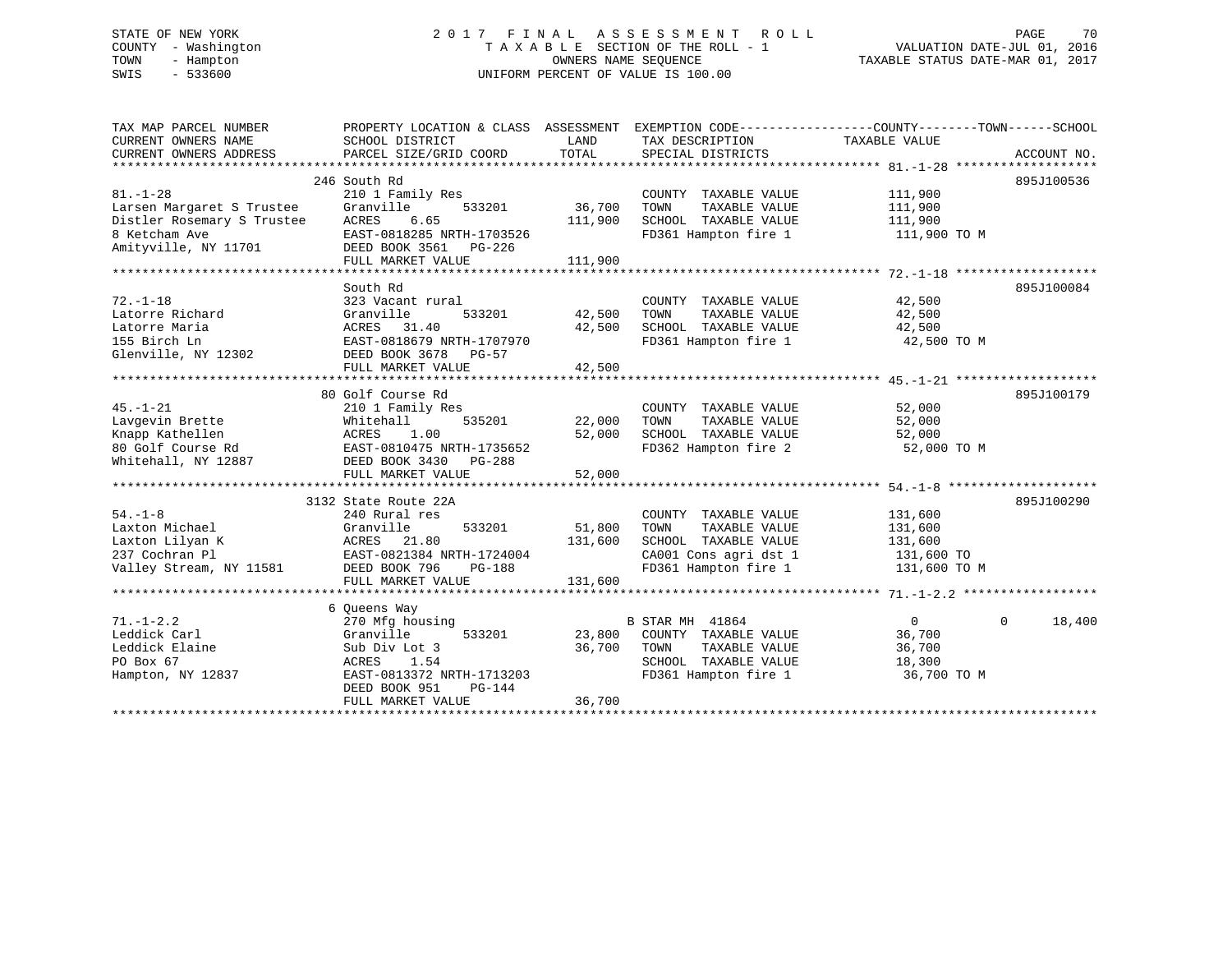# STATE OF NEW YORK 2 0 1 7 F I N A L A S S E S S M E N T R O L L PAGE 70 COUNTY - Washington T A X A B L E SECTION OF THE ROLL - 1 VALUATION DATE-JUL 01, 2016 TOWN - Hampton OWNERS NAME SEQUENCE TAXABLE STATUS DATE-MAR 01, 2017 SWIS - 533600 UNIFORM PERCENT OF VALUE IS 100.00

| TAX MAP PARCEL NUMBER<br>CURRENT OWNERS NAME<br>CURRENT OWNERS ADDRESS                                             | PROPERTY LOCATION & CLASS ASSESSMENT<br>SCHOOL DISTRICT<br>PARCEL SIZE/GRID COORD                                                                                       | LAND<br>TOTAL                | TAX DESCRIPTION<br>SPECIAL DISTRICTS                                                                                    | EXEMPTION CODE-----------------COUNTY-------TOWN------SCHOOL<br>TAXABLE VALUE<br>ACCOUNT NO. |  |
|--------------------------------------------------------------------------------------------------------------------|-------------------------------------------------------------------------------------------------------------------------------------------------------------------------|------------------------------|-------------------------------------------------------------------------------------------------------------------------|----------------------------------------------------------------------------------------------|--|
| $81. - 1 - 28$<br>Larsen Margaret S Trustee<br>Distler Rosemary S Trustee<br>8 Ketcham Ave<br>Amityville, NY 11701 | 246 South Rd<br>210 1 Family Res<br>Granville<br>533201<br>6.65<br>ACRES<br>EAST-0818285 NRTH-1703526<br>DEED BOOK 3561 PG-226<br>FULL MARKET VALUE                     | 36,700<br>111,900<br>111,900 | COUNTY TAXABLE VALUE<br>TOWN<br>TAXABLE VALUE<br>SCHOOL TAXABLE VALUE<br>FD361 Hampton fire 1                           | 895J100536<br>111,900<br>111,900<br>111,900<br>111,900 TO M                                  |  |
| $72. - 1 - 18$<br>Latorre Richard<br>Latorre Maria<br>155 Birch Ln<br>Glenville, NY 12302                          | South Rd<br>323 Vacant rural<br>Granville<br>533201<br>ACRES<br>31.40<br>EAST-0818679 NRTH-1707970<br>DEED BOOK 3678<br>PG-57<br>FULL MARKET VALUE                      | 42,500<br>42,500<br>42,500   | COUNTY TAXABLE VALUE<br>TOWN<br>TAXABLE VALUE<br>SCHOOL TAXABLE VALUE<br>FD361 Hampton fire 1                           | 895J100084<br>42,500<br>42,500<br>42,500<br>42,500 TO M                                      |  |
| $45. - 1 - 21$<br>Lavgevin Brette<br>Knapp Kathellen<br>80 Golf Course Rd<br>Whitehall, NY 12887                   | 80 Golf Course Rd<br>210 1 Family Res<br>535201<br>Whitehall<br>ACRES<br>1.00<br>EAST-0810475 NRTH-1735652<br>DEED BOOK 3430<br>PG-288<br>FULL MARKET VALUE             | 22,000<br>52,000<br>52,000   | COUNTY TAXABLE VALUE<br>TOWN<br>TAXABLE VALUE<br>SCHOOL TAXABLE VALUE<br>FD362 Hampton fire 2                           | 895J100179<br>52,000<br>52,000<br>52,000<br>52,000 TO M                                      |  |
| $54. - 1 - 8$<br>Laxton Michael<br>Laxton Lilyan K<br>237 Cochran Pl<br>Valley Stream, NY 11581                    | 3132 State Route 22A<br>240 Rural res<br>Granville<br>533201<br>ACRES<br>21.80<br>EAST-0821384 NRTH-1724004<br>DEED BOOK 796<br>PG-188<br>FULL MARKET VALUE             | 51,800<br>131,600<br>131,600 | COUNTY TAXABLE VALUE<br>TOWN<br>TAXABLE VALUE<br>SCHOOL TAXABLE VALUE<br>CA001 Cons agri dst 1<br>FD361 Hampton fire 1  | 895J100290<br>131,600<br>131,600<br>131,600<br>131,600 TO<br>131,600 TO M                    |  |
| $71. - 1 - 2.2$<br>Leddick Carl<br>Leddick Elaine<br>PO Box 67<br>Hampton, NY 12837                                | 6 Oueens Way<br>270 Mfg housing<br>Granville<br>533201<br>Sub Div Lot 3<br>1.54<br>ACRES<br>EAST-0813372 NRTH-1713203<br>DEED BOOK 951<br>$PG-144$<br>FULL MARKET VALUE | 23,800<br>36,700<br>36,700   | <b>B STAR MH 41864</b><br>COUNTY TAXABLE VALUE<br>TOWN<br>TAXABLE VALUE<br>SCHOOL TAXABLE VALUE<br>FD361 Hampton fire 1 | 18,400<br>$\mathbf{0}$<br>$\Omega$<br>36,700<br>36,700<br>18,300<br>36,700 TO M              |  |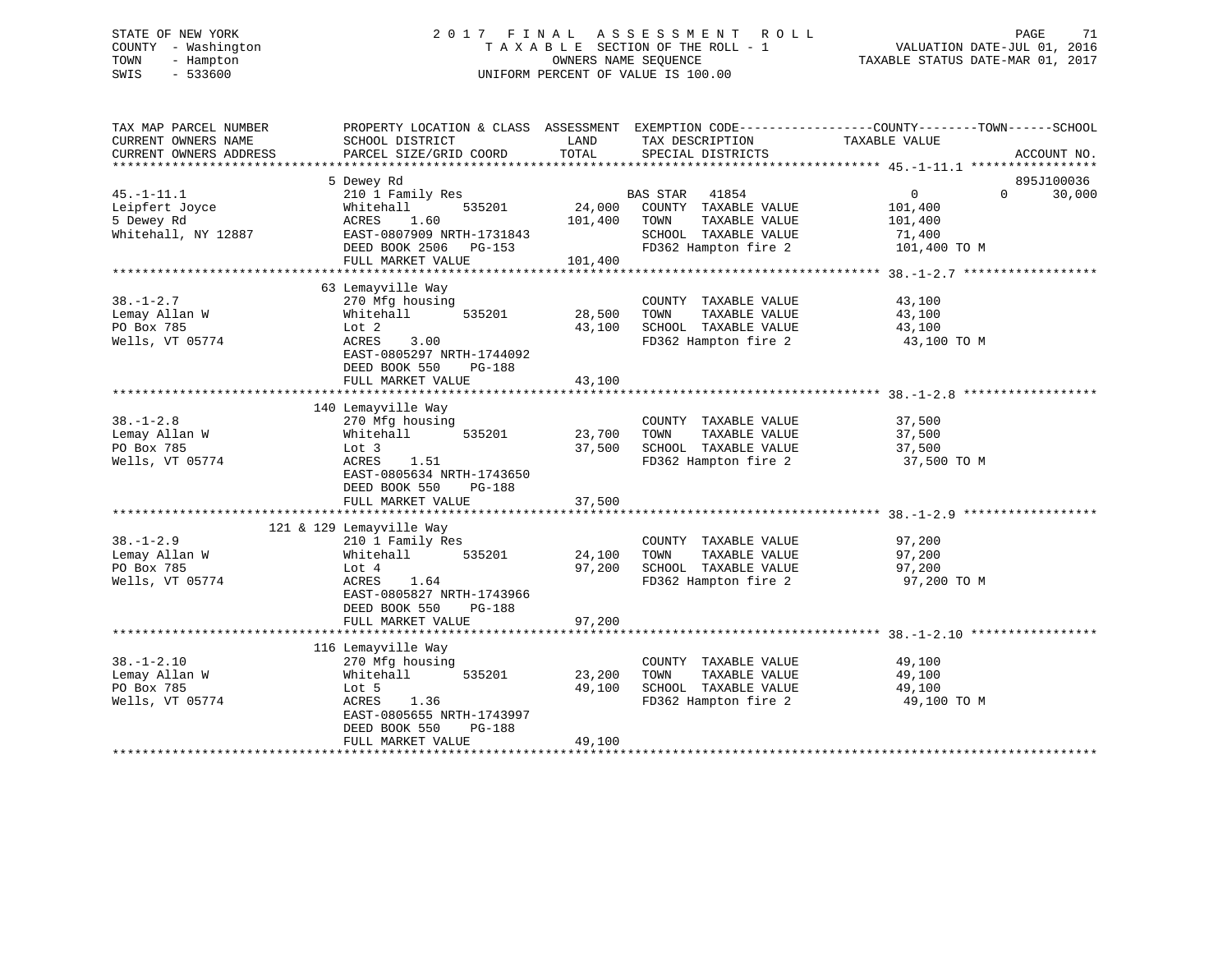# STATE OF NEW YORK 2 0 1 7 F I N A L A S S E S S M E N T R O L L PAGE 71 COUNTY - Washington T A X A B L E SECTION OF THE ROLL - 1 VALUATION DATE-JUL 01, 2016 TOWN - Hampton OWNERS NAME SEQUENCE TAXABLE STATUS DATE-MAR 01, 2017 SWIS - 533600 UNIFORM PERCENT OF VALUE IS 100.00

| TAX MAP PARCEL NUMBER<br>CURRENT OWNERS NAME<br>CURRENT OWNERS ADDRESS  | SCHOOL DISTRICT<br>PARCEL SIZE/GRID COORD                                                                                                                                  | LAND<br>TOTAL                | TAX DESCRIPTION<br>SPECIAL DISTRICTS                                                                            | PROPERTY LOCATION & CLASS ASSESSMENT EXEMPTION CODE----------------COUNTY-------TOWN------SCHOOL<br>TAXABLE VALUE<br>ACCOUNT NO. |
|-------------------------------------------------------------------------|----------------------------------------------------------------------------------------------------------------------------------------------------------------------------|------------------------------|-----------------------------------------------------------------------------------------------------------------|----------------------------------------------------------------------------------------------------------------------------------|
| $45. - 1 - 11.1$<br>Leipfert Joyce<br>5 Dewey Rd<br>Whitehall, NY 12887 | 5 Dewey Rd<br>210 1 Family Res<br>Whitehall<br>535201<br>1.60<br>ACRES<br>EAST-0807909 NRTH-1731843<br>DEED BOOK 2506 PG-153<br>FULL MARKET VALUE                          | 24,000<br>101,400<br>101,400 | BAS STAR 41854<br>COUNTY TAXABLE VALUE<br>TOWN<br>TAXABLE VALUE<br>SCHOOL TAXABLE VALUE<br>FD362 Hampton fire 2 | 895J100036<br>$0 \qquad \qquad$<br>$\Omega$<br>30,000<br>101,400<br>101,400<br>71,400<br>101,400 TO M                            |
| $38. - 1 - 2.7$<br>Lemay Allan W<br>PO Box 785<br>Wells, VT 05774       | 63 Lemayville Way<br>270 Mfg housing<br>Whitehall<br>535201<br>Lot 2<br>ACRES<br>3.00<br>EAST-0805297 NRTH-1744092<br>DEED BOOK 550<br><b>PG-188</b><br>FULL MARKET VALUE  | 28,500<br>43,100<br>43,100   | COUNTY TAXABLE VALUE<br>TOWN<br>TAXABLE VALUE<br>SCHOOL TAXABLE VALUE<br>FD362 Hampton fire 2                   | 43,100<br>43,100<br>43,100<br>43,100 TO M                                                                                        |
| $38. - 1 - 2.8$<br>Lemay Allan W<br>PO Box 785<br>Wells, VT 05774       | 140 Lemayville Way<br>270 Mfg housing<br>535201<br>Whitehall<br>Lot 3<br>1.51<br>ACRES<br>EAST-0805634 NRTH-1743650<br>DEED BOOK 550<br>PG-188<br>FULL MARKET VALUE        | 23,700<br>37,500<br>37,500   | COUNTY TAXABLE VALUE<br>TOWN<br>TAXABLE VALUE<br>SCHOOL TAXABLE VALUE<br>FD362 Hampton fire 2                   | 37,500<br>37,500<br>37,500<br>37,500 TO M                                                                                        |
| $38. - 1 - 2.9$<br>Lemay Allan W<br>PO Box 785<br>Wells, VT 05774       | 121 & 129 Lemayville Way<br>210 1 Family Res<br>535201<br>Whitehall<br>Lot 4<br>1.64<br>ACRES<br>EAST-0805827 NRTH-1743966<br>DEED BOOK 550<br>PG-188<br>FULL MARKET VALUE | 24,100<br>97,200<br>97,200   | COUNTY TAXABLE VALUE<br>TOWN<br>TAXABLE VALUE<br>SCHOOL TAXABLE VALUE<br>FD362 Hampton fire 2                   | 97,200<br>97,200<br>97,200<br>97,200 TO M                                                                                        |
| $38. - 1 - 2.10$<br>Lemay Allan W<br>PO Box 785<br>Wells, VT 05774      | 116 Lemayville Way<br>270 Mfg housing<br>535201<br>Whitehall<br>Lot 5<br>ACRES<br>1.36<br>EAST-0805655 NRTH-1743997<br>DEED BOOK 550<br>PG-188<br>FULL MARKET VALUE        | 23,200<br>49,100<br>49,100   | COUNTY TAXABLE VALUE<br>TAXABLE VALUE<br>TOWN<br>SCHOOL TAXABLE VALUE<br>FD362 Hampton fire 2                   | 49,100<br>49,100<br>49,100<br>49,100 TO M                                                                                        |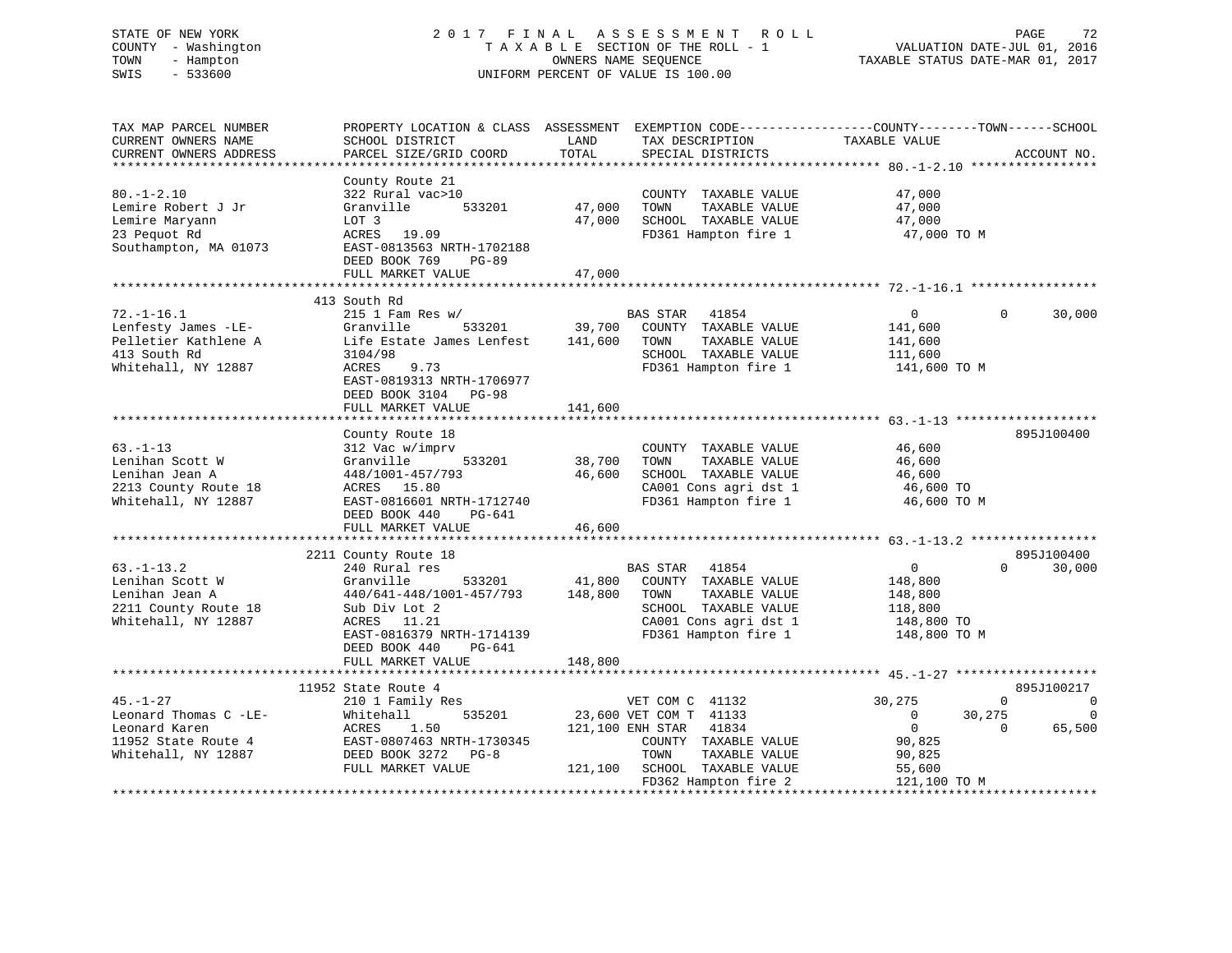# STATE OF NEW YORK 2 0 1 7 F I N A L A S S E S S M E N T R O L L PAGE 72 COUNTY - Washington T A X A B L E SECTION OF THE ROLL - 1 VALUATION DATE-JUL 01, 2016 TOWN - Hampton OWNERS NAME SEQUENCE TAXABLE STATUS DATE-MAR 01, 2017 SWIS - 533600 UNIFORM PERCENT OF VALUE IS 100.00UNIFORM PERCENT OF VALUE IS 100.00

| TAX MAP PARCEL NUMBER<br>CURRENT OWNERS NAME<br>CURRENT OWNERS ADDRESS                                 | PROPERTY LOCATION & CLASS ASSESSMENT EXEMPTION CODE---------------COUNTY-------TOWN-----SCHOOL<br>SCHOOL DISTRICT<br>PARCEL SIZE/GRID COORD                                                           | LAND<br>TOTAL                | TAX DESCRIPTION<br>SPECIAL DISTRICTS                                                                                                                                            | TAXABLE VALUE                                                                                      | ACCOUNT NO.                                                                         |
|--------------------------------------------------------------------------------------------------------|-------------------------------------------------------------------------------------------------------------------------------------------------------------------------------------------------------|------------------------------|---------------------------------------------------------------------------------------------------------------------------------------------------------------------------------|----------------------------------------------------------------------------------------------------|-------------------------------------------------------------------------------------|
| $80. -1 - 2.10$<br>Lemire Robert J Jr<br>Lemire Maryann<br>23 Pequot Rd<br>Southampton, MA 01073       | County Route 21<br>322 Rural vac>10<br>Granville<br>533201<br>LOT 3<br>ACRES 19.09<br>EAST-0813563 NRTH-1702188<br>DEED BOOK 769<br><b>PG-89</b><br>FULL MARKET VALUE                                 | 47,000<br>47,000<br>47,000   | COUNTY TAXABLE VALUE<br>TAXABLE VALUE<br>TOWN<br>SCHOOL TAXABLE VALUE<br>FD361 Hampton fire 1                                                                                   | 47,000<br>47,000<br>47,000<br>47,000 TO M                                                          |                                                                                     |
|                                                                                                        |                                                                                                                                                                                                       |                              |                                                                                                                                                                                 |                                                                                                    |                                                                                     |
| $72. - 1 - 16.1$<br>Lenfesty James -LE-<br>Pelletier Kathlene A<br>413 South Rd<br>Whitehall, NY 12887 | 413 South Rd<br>$215$ 1 Fam Res w/<br>Granville<br>533201<br>Life Estate James Lenfest<br>3104/98<br>ACRES<br>9.73<br>EAST-0819313 NRTH-1706977<br>DEED BOOK 3104 PG-98                               | 39,700<br>141,600            | BAS STAR<br>41854<br>COUNTY TAXABLE VALUE<br>TAXABLE VALUE<br>TOWN<br>SCHOOL TAXABLE VALUE<br>FD361 Hampton fire 1                                                              | $\overline{0}$<br>141,600<br>141,600<br>111,600<br>141,600 TO M                                    | $\Omega$<br>30,000                                                                  |
|                                                                                                        | FULL MARKET VALUE                                                                                                                                                                                     | 141,600                      |                                                                                                                                                                                 |                                                                                                    |                                                                                     |
| $63 - 1 - 13$<br>Lenihan Scott W<br>Lenihan Jean A<br>2213 County Route 18<br>Whitehall, NY 12887      | County Route 18<br>312 Vac w/imprv<br>533201<br>Granville<br>448/1001-457/793<br>ACRES 15.80<br>EAST-0816601 NRTH-1712740<br>DEED BOOK 440<br>PG-641                                                  | 38,700<br>46,600             | COUNTY TAXABLE VALUE<br>TOWN<br>TAXABLE VALUE<br>SCHOOL TAXABLE VALUE<br>CA001 Cons agri dst 1<br>FD361 Hampton fire 1                                                          | 46,600<br>46,600<br>46,600<br>46,600 TO<br>46,600 TO M                                             | 895J100400                                                                          |
|                                                                                                        | FULL MARKET VALUE                                                                                                                                                                                     | 46,600                       |                                                                                                                                                                                 |                                                                                                    |                                                                                     |
| $63. - 1 - 13.2$<br>Lenihan Scott W<br>Lenihan Jean A<br>2211 County Route 18<br>Whitehall, NY 12887   | 2211 County Route 18<br>240 Rural res<br>Granville<br>533201<br>440/641-448/1001-457/793<br>Sub Div Lot 2<br>ACRES 11.21<br>EAST-0816379 NRTH-1714139<br>DEED BOOK 440<br>PG-641<br>FULL MARKET VALUE | 41,800<br>148,800<br>148,800 | <b>BAS STAR</b><br>41854<br>COUNTY TAXABLE VALUE<br>TAXABLE VALUE<br>TOWN<br>SCHOOL TAXABLE VALUE<br>CA001 Cons agri dst 1<br>FD361 Hampton fire 1                              | $\mathbf 0$<br>148,800<br>148,800<br>118,800<br>148,800 TO<br>148,800 TO M                         | 895J100400<br>$\Omega$<br>30,000                                                    |
|                                                                                                        |                                                                                                                                                                                                       |                              |                                                                                                                                                                                 |                                                                                                    |                                                                                     |
| $45. - 1 - 27$<br>Leonard Thomas C -LE-<br>Leonard Karen<br>11952 State Route 4<br>Whitehall, NY 12887 | 11952 State Route 4<br>210 1 Family Res<br>535201<br>Whitehall<br>ACRES<br>1.50<br>EAST-0807463 NRTH-1730345<br>DEED BOOK 3272 PG-8<br>FULL MARKET VALUE                                              |                              | VET COM C 41132<br>23,600 VET COM T 41133<br>121,100 ENH STAR<br>41834<br>COUNTY TAXABLE VALUE<br>TOWN<br>TAXABLE VALUE<br>121,100 SCHOOL TAXABLE VALUE<br>FD362 Hampton fire 2 | 30,275<br>30,275<br>$\overline{0}$<br>$\overline{0}$<br>90,825<br>90,825<br>55,600<br>121,100 TO M | 895J100217<br>$\overline{0}$<br>$\mathbf 0$<br>$\overline{0}$<br>65,500<br>$\Omega$ |
|                                                                                                        |                                                                                                                                                                                                       |                              |                                                                                                                                                                                 |                                                                                                    |                                                                                     |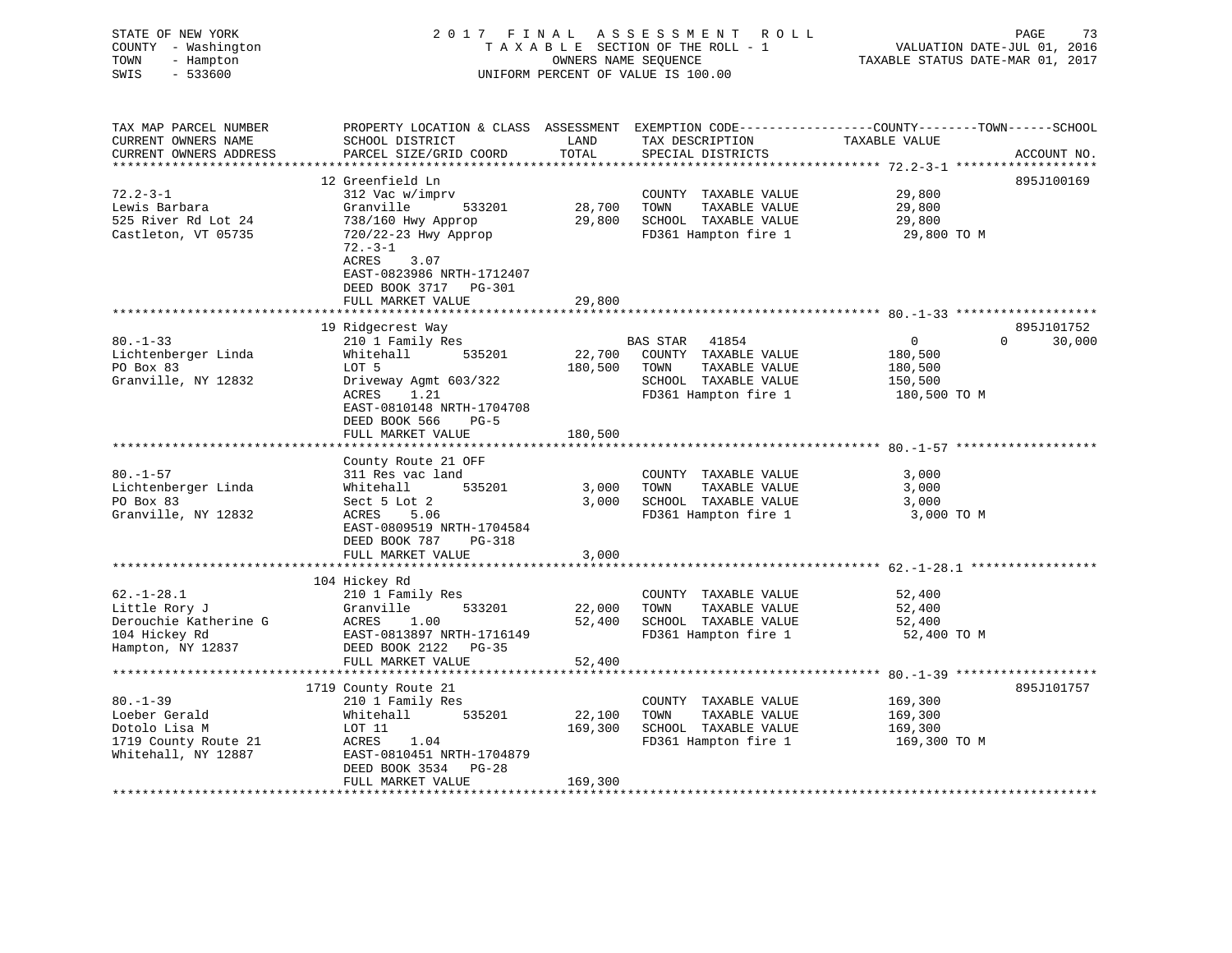| STATE OF NEW YORK<br>COUNTY - Washington<br>TOWN<br>- Hampton<br>SWIS<br>$-533600$ |                                                                                                                    |               | 2017 FINAL ASSESSMENT ROLL<br>TAXABLE SECTION OF THE ROLL - 1<br>OWNERS NAME SEQUENCE<br>UNIFORM PERCENT OF VALUE IS 100.00 | VALUATION DATE-JUL 01, 2016<br>TAXABLE STATUS DATE-MAR 01, 2017 | PAGE<br>73           |
|------------------------------------------------------------------------------------|--------------------------------------------------------------------------------------------------------------------|---------------|-----------------------------------------------------------------------------------------------------------------------------|-----------------------------------------------------------------|----------------------|
| TAX MAP PARCEL NUMBER<br>CURRENT OWNERS NAME                                       | PROPERTY LOCATION & CLASS ASSESSMENT EXEMPTION CODE---------------COUNTY-------TOWN------SCHOOL<br>SCHOOL DISTRICT | LAND          | TAX DESCRIPTION                                                                                                             | TAXABLE VALUE                                                   |                      |
| CURRENT OWNERS ADDRESS                                                             | PARCEL SIZE/GRID COORD                                                                                             | TOTAL         | SPECIAL DISTRICTS                                                                                                           |                                                                 | ACCOUNT NO.          |
| *****************                                                                  | ************************                                                                                           | ************* |                                                                                                                             | ****************** 72.2-3-1 *******************                 |                      |
| $72.2 - 3 - 1$                                                                     | 12 Greenfield Ln<br>312 Vac w/imprv                                                                                |               |                                                                                                                             | 29,800                                                          | 895J100169           |
| Lewis Barbara                                                                      | Granville<br>533201                                                                                                | 28,700        | COUNTY TAXABLE VALUE<br>TOWN<br>TAXABLE VALUE                                                                               | 29,800                                                          |                      |
| 525 River Rd Lot 24                                                                | 738/160 Hwy Approp                                                                                                 |               | 29,800 SCHOOL TAXABLE VALUE                                                                                                 | 29,800                                                          |                      |
| Castleton, VT 05735                                                                | 720/22-23 Hwy Approp<br>$72. - 3 - 1$<br>ACRES<br>3.07<br>EAST-0823986 NRTH-1712407                                |               | FD361 Hampton fire 1                                                                                                        | 29,800 TO M                                                     |                      |
|                                                                                    | DEED BOOK 3717 PG-301                                                                                              |               |                                                                                                                             |                                                                 |                      |
|                                                                                    | FULL MARKET VALUE                                                                                                  | 29,800        |                                                                                                                             |                                                                 |                      |
|                                                                                    |                                                                                                                    |               |                                                                                                                             |                                                                 |                      |
| $80. - 1 - 33$                                                                     | 19 Ridgecrest Way                                                                                                  |               | BAS STAR 41854                                                                                                              | $\overline{0}$<br>$\Omega$                                      | 895J101752<br>30,000 |
| Lichtenberger Linda                                                                | 210 1 Family Res<br>Whitehall<br>535201                                                                            |               | 22,700 COUNTY TAXABLE VALUE                                                                                                 | 180,500                                                         |                      |
| PO Box 83                                                                          | LOT 5                                                                                                              |               | 180,500 TOWN<br>TAXABLE VALUE                                                                                               | 180,500                                                         |                      |
| Granville, NY 12832                                                                | Driveway Agmt 603/322                                                                                              |               | SCHOOL TAXABLE VALUE                                                                                                        | 150,500                                                         |                      |
|                                                                                    | 1.21<br>ACRES<br>EAST-0810148 NRTH-1704708<br>DEED BOOK 566<br>$PG-5$                                              |               | FD361 Hampton fire 1                                                                                                        | 180,500 TO M                                                    |                      |
|                                                                                    | FULL MARKET VALUE                                                                                                  | 180,500       |                                                                                                                             |                                                                 |                      |
|                                                                                    | County Route 21 OFF                                                                                                |               |                                                                                                                             |                                                                 |                      |
| $80. - 1 - 57$                                                                     | 311 Res vac land                                                                                                   |               | COUNTY TAXABLE VALUE                                                                                                        | 3,000                                                           |                      |
| Lichtenberger Linda                                                                | 535201<br>Whitehall                                                                                                | 3,000         | TOWN<br>TAXABLE VALUE                                                                                                       | 3,000                                                           |                      |
| PO Box 83                                                                          | Sect 5 Lot 2                                                                                                       |               | 3,000 SCHOOL TAXABLE VALUE                                                                                                  | 3,000                                                           |                      |
| Granville, NY 12832                                                                | ACRES<br>5.06<br>EAST-0809519 NRTH-1704584<br>DEED BOOK 787<br>PG-318                                              |               | FD361 Hampton fire 1                                                                                                        | 3,000 TO M                                                      |                      |
|                                                                                    | FULL MARKET VALUE                                                                                                  | 3,000         |                                                                                                                             |                                                                 |                      |
|                                                                                    | 104 Hickey Rd                                                                                                      |               |                                                                                                                             |                                                                 |                      |
| $62. - 1 - 28.1$                                                                   | 210 1 Family Res                                                                                                   |               | COUNTY TAXABLE VALUE                                                                                                        | 52,400                                                          |                      |
| Little Rory J                                                                      | 533201<br>Granville                                                                                                | 22,000        | TAXABLE VALUE<br>TOWN                                                                                                       | 52,400                                                          |                      |
| Derouchie Katherine G                                                              | ACRES 1.00                                                                                                         | 52,400        | SCHOOL TAXABLE VALUE                                                                                                        | 52,400                                                          |                      |
| 104 Hickey Rd                                                                      | EAST-0813897 NRTH-1716149                                                                                          |               | FD361 Hampton fire 1                                                                                                        | 52,400 TO M                                                     |                      |
| Hampton, NY 12837                                                                  | DEED BOOK 2122 PG-35<br>FULL MARKET VALUE                                                                          | 52,400        |                                                                                                                             |                                                                 |                      |
|                                                                                    |                                                                                                                    |               |                                                                                                                             |                                                                 |                      |
| $80. -1 - 39$                                                                      | 1719 County Route 21<br>210 1 Family Res                                                                           |               |                                                                                                                             | 169,300                                                         | 895J101757           |
| Loeber Gerald                                                                      | 535201<br>Whitehall                                                                                                | 22,100        | COUNTY TAXABLE VALUE<br>TOWN<br>TAXABLE VALUE                                                                               | 169,300                                                         |                      |
| Dotolo Lisa M                                                                      | LOT 11                                                                                                             | 169,300       | SCHOOL TAXABLE VALUE                                                                                                        | 169,300                                                         |                      |
| 1719 County Route 21                                                               | ACRES<br>1.04                                                                                                      |               | FD361 Hampton fire 1                                                                                                        | 169,300 TO M                                                    |                      |
| Whitehall, NY 12887                                                                | EAST-0810451 NRTH-1704879<br>DEED BOOK 3534<br>$PG-28$                                                             |               |                                                                                                                             |                                                                 |                      |
| ********************                                                               | FULL MARKET VALUE<br>*************************                                                                     | 169,300       |                                                                                                                             |                                                                 |                      |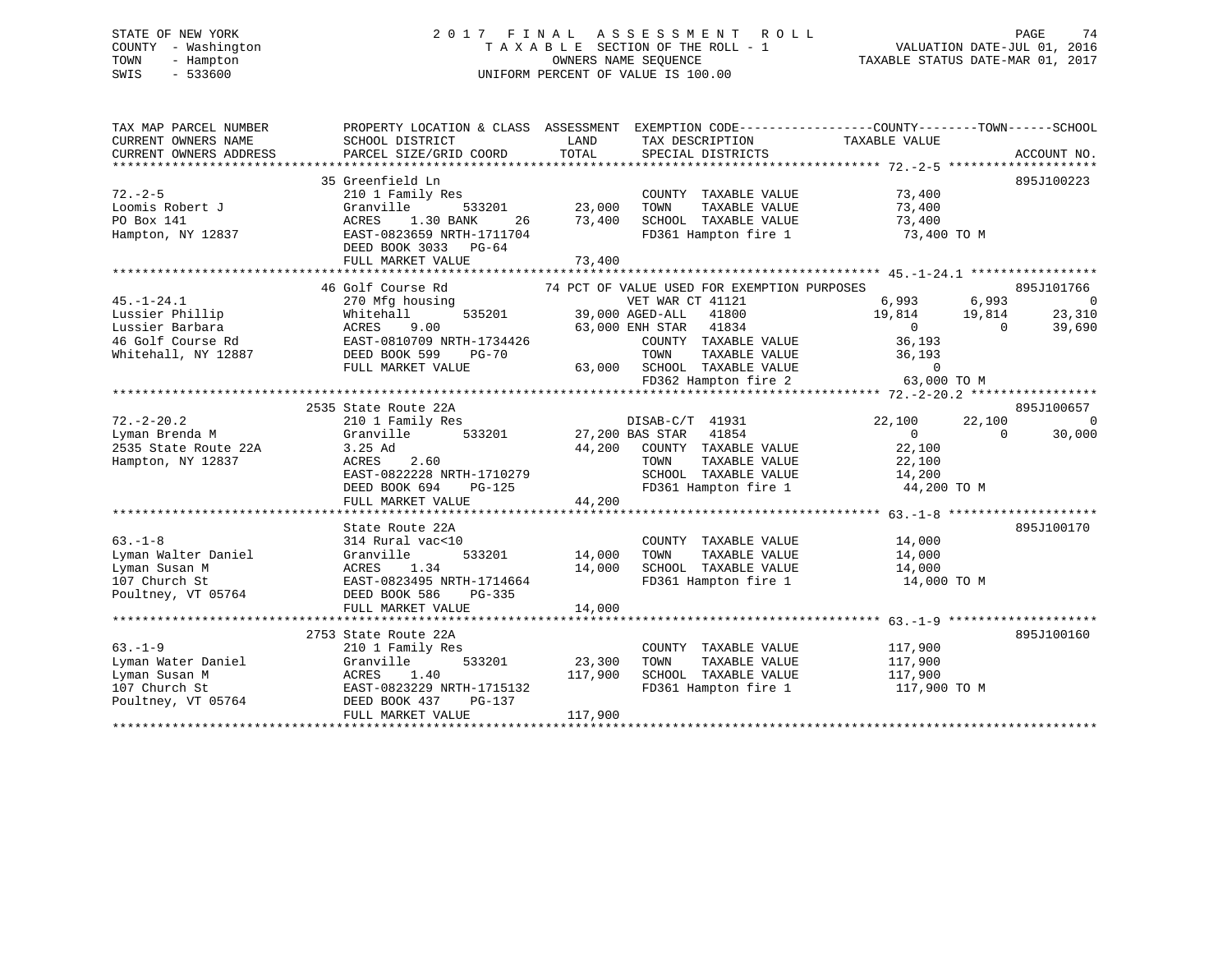# STATE OF NEW YORK 2 0 1 7 F I N A L A S S E S S M E N T R O L L PAGE 74 COUNTY - Washington T A X A B L E SECTION OF THE ROLL - 1 VALUATION DATE-JUL 01, 2016 TOWN - Hampton OWNERS NAME SEQUENCE TAXABLE STATUS DATE-MAR 01, 2017 SWIS - 533600 UNIFORM PERCENT OF VALUE IS 100.00

| TAX MAP PARCEL NUMBER<br>CURRENT OWNERS NAME<br>CURRENT OWNERS ADDRESS | SCHOOL DISTRICT<br>PARCEL SIZE/GRID COORD   | LAND<br>TOTAL                  | TAX DESCRIPTION TAXABLE VALUE<br>SPECIAL DISTRICTS                                        | PROPERTY LOCATION & CLASS ASSESSMENT EXEMPTION CODE---------------COUNTY-------TOWN------SCHOOL | ACCOUNT NO.              |
|------------------------------------------------------------------------|---------------------------------------------|--------------------------------|-------------------------------------------------------------------------------------------|-------------------------------------------------------------------------------------------------|--------------------------|
|                                                                        |                                             |                                |                                                                                           |                                                                                                 |                          |
|                                                                        | 35 Greenfield Ln                            |                                |                                                                                           |                                                                                                 | 895J100223               |
| $72. - 2 - 5$                                                          | 210 1 Family Res                            |                                | COUNTY TAXABLE VALUE                                                                      | 73,400                                                                                          |                          |
| Loomis Robert J                                                        | Granville                                   |                                | TAXABLE VALUE<br>TOWN                                                                     | 73,400                                                                                          |                          |
| PO Box 141                                                             | 1.30 BANK<br>ACRES                          | 533201 23,000<br>ANK 26 73,400 | SCHOOL TAXABLE VALUE                                                                      | 73,400                                                                                          |                          |
| Hampton, NY 12837                                                      | EAST-0823659 NRTH-1711704                   |                                |                                                                                           | FD361 Hampton fire 1 73,400 TO M                                                                |                          |
|                                                                        | DEED BOOK 3033 PG-64                        |                                |                                                                                           |                                                                                                 |                          |
|                                                                        | FULL MARKET VALUE                           | 73,400                         |                                                                                           |                                                                                                 |                          |
|                                                                        |                                             |                                |                                                                                           |                                                                                                 |                          |
|                                                                        | 46 Golf Course Rd                           |                                | 74 PCT OF VALUE USED FOR EXEMPTION PURPOSES                                               |                                                                                                 | 895J101766               |
| $45. - 1 - 24.1$                                                       | 270 Mfg housing                             |                                | VET WAR CT 41121                                                                          | 6,993 6,993                                                                                     | $\overline{\phantom{0}}$ |
| Lussier Phillip                                                        | 535201<br>Whitehall                         |                                | 39,000 AGED-ALL 41800                                                                     |                                                                                                 | 23,310                   |
| Lussier Barbara                                                        | 9.00<br>ACRES                               |                                | 63,000 ENH STAR 41834                                                                     | $19,814$ $19,814$<br>$\overline{0}$<br>$\overline{0}$                                           | 39,690                   |
|                                                                        | 46 Golf Course Rd EAST-0810709 NRTH-1734426 |                                |                                                                                           |                                                                                                 |                          |
|                                                                        |                                             |                                | COUNTY TAXABLE VALUE                                                                      | 36,193                                                                                          |                          |
| Whitehall, NY 12887                                                    | DEED BOOK 599<br><b>PG-70</b>               |                                | TOWN TAXABLE VALUE 36,193<br>63,000 SCHOOL TAXABLE VALUE 0<br>FD362 Hampton fire 2 63,000 |                                                                                                 |                          |
|                                                                        | FULL MARKET VALUE                           |                                |                                                                                           |                                                                                                 |                          |
|                                                                        |                                             |                                |                                                                                           | 63,000 TO M                                                                                     |                          |
|                                                                        |                                             |                                |                                                                                           |                                                                                                 |                          |
|                                                                        | 2535 State Route 22A                        |                                |                                                                                           |                                                                                                 | 895J100657               |
| $72. - 2 - 20.2$                                                       | 210 1 Family Res                            |                                | DISAB-C/T 41931<br>27,200 BAS STAR 41854                                                  | 22,100<br>22,100                                                                                | $\overline{0}$           |
| Lyman Brenda M                                                         | Granville<br>533201                         |                                |                                                                                           | $\overline{0}$<br>$\Omega$                                                                      | 30,000                   |
| 2535 State Route 22A                                                   | 3.25 Ad                                     |                                | 44,200 COUNTY TAXABLE VALUE                                                               | 22,100                                                                                          |                          |
| Hampton, NY 12837                                                      | ACRES 2.60                                  |                                |                                                                                           |                                                                                                 |                          |
|                                                                        | EAST-0822228 NRTH-1710279                   |                                | TOWN TAXABLE VALUE 22,100<br>SCHOOL TAXABLE VALUE 14,200                                  |                                                                                                 |                          |
|                                                                        | DEED BOOK 694<br>$PG-125$                   |                                |                                                                                           | FD361 Hampton fire 1 44,200 TO M                                                                |                          |
|                                                                        | FULL MARKET VALUE                           | 44,200                         |                                                                                           |                                                                                                 |                          |
|                                                                        |                                             |                                |                                                                                           |                                                                                                 |                          |
|                                                                        |                                             |                                |                                                                                           |                                                                                                 |                          |
|                                                                        | State Route 22A                             |                                |                                                                                           |                                                                                                 | 895J100170               |
| $63 - 1 - 8$                                                           | 314 Rural vac<10                            | 14,000                         | COUNTY TAXABLE VALUE                                                                      | 14,000                                                                                          |                          |
| Lyman Walter Daniel                                                    | Granville<br>533201                         |                                | TOWN<br>TAXABLE VALUE                                                                     | 14,000                                                                                          |                          |
| Lyman Susan M                                                          | 1.34<br>ACRES                               | 14,000                         | SCHOOL TAXABLE VALUE                                                                      | 14,000                                                                                          |                          |
| 107 Church St                                                          | EAST-0823495 NRTH-1714664                   |                                | FD361 Hampton fire 1                                                                      | 14,000 TO M                                                                                     |                          |
| Poultney, VT 05764                                                     | DEED BOOK 586<br>PG-335                     |                                |                                                                                           |                                                                                                 |                          |
|                                                                        | FULL MARKET VALUE                           | 14,000                         |                                                                                           |                                                                                                 |                          |
|                                                                        |                                             |                                |                                                                                           |                                                                                                 |                          |
|                                                                        | 2753 State Route 22A                        |                                |                                                                                           |                                                                                                 | 895J100160               |
| $63 - 1 - 9$                                                           | 210 1 Family Res                            |                                | COUNTY TAXABLE VALUE                                                                      | 117,900                                                                                         |                          |
| Lyman Water Daniel                                                     | Granville                                   | 533201 23,300                  | TOWN<br>TAXABLE VALUE                                                                     | 117,900                                                                                         |                          |
| Lyman Susan M                                                          | ACRES 1.40                                  | 117,900                        | SCHOOL TAXABLE VALUE                                                                      | 117,900                                                                                         |                          |
| 107 Church St                                                          | EAST-0823229 NRTH-1715132                   |                                | FD361 Hampton fire 1                                                                      | 117,900 TO M                                                                                    |                          |
| Poultney, VT 05764                                                     | DEED BOOK 437<br>PG-137                     |                                |                                                                                           |                                                                                                 |                          |
|                                                                        | FULL MARKET VALUE                           | 117,900                        |                                                                                           |                                                                                                 |                          |
|                                                                        |                                             |                                |                                                                                           |                                                                                                 |                          |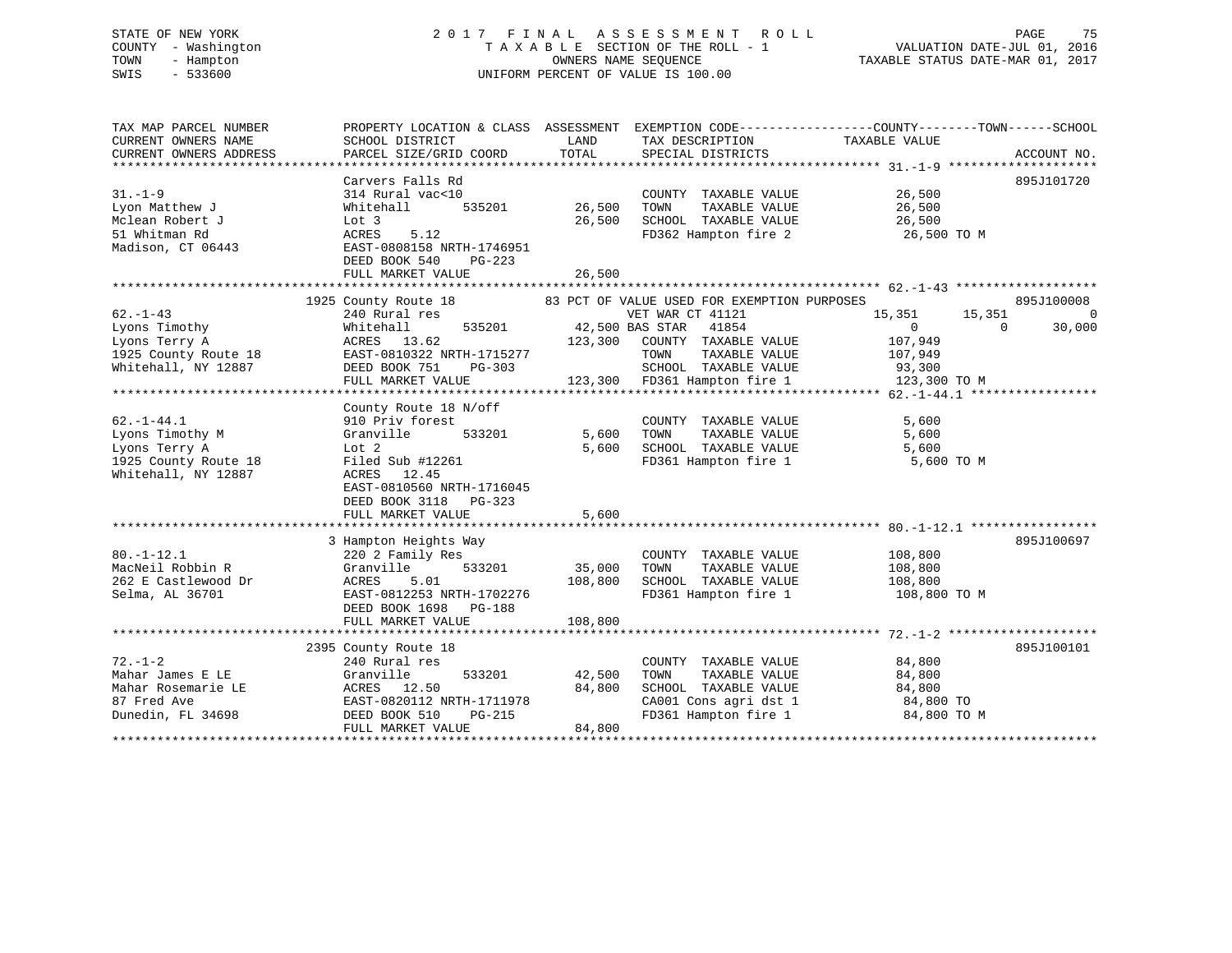# STATE OF NEW YORK 2 0 1 7 F I N A L A S S E S S M E N T R O L L PAGE 75 COUNTY - Washington T A X A B L E SECTION OF THE ROLL - 1 VALUATION DATE-JUL 01, 2016 TOWN - Hampton OWNERS NAME SEQUENCE TAXABLE STATUS DATE-MAR 01, 2017 SWIS - 533600 UNIFORM PERCENT OF VALUE IS 100.00

| TAX MAP PARCEL NUMBER<br>CURRENT OWNERS NAME | PROPERTY LOCATION & CLASS ASSESSMENT EXEMPTION CODE---------------COUNTY-------TOWN-----SCHOOL<br>SCHOOL DISTRICT | LAND    | TAX DESCRIPTION                                                                                                                                             | TAXABLE VALUE         |                      |
|----------------------------------------------|-------------------------------------------------------------------------------------------------------------------|---------|-------------------------------------------------------------------------------------------------------------------------------------------------------------|-----------------------|----------------------|
| CURRENT OWNERS ADDRESS                       | PARCEL SIZE/GRID COORD                                                                                            | TOTAL   | SPECIAL DISTRICTS                                                                                                                                           |                       | ACCOUNT NO.          |
|                                              |                                                                                                                   |         |                                                                                                                                                             |                       |                      |
|                                              | Carvers Falls Rd                                                                                                  |         |                                                                                                                                                             |                       | 895J101720           |
| $31. - 1 - 9$                                | 314 Rural vac<10                                                                                                  |         | COUNTY TAXABLE VALUE                                                                                                                                        | 26,500                |                      |
| Lyon Matthew J                               | 535201<br>Whitehall                                                                                               | 26,500  | TOWN<br>TAXABLE VALUE                                                                                                                                       | 26,500                |                      |
| Mclean Robert J                              | Lot 3                                                                                                             | 26,500  | SCHOOL TAXABLE VALUE                                                                                                                                        | 26,500                |                      |
| 51 Whitman Rd                                | ACRES<br>5.12                                                                                                     |         | FD362 Hampton fire 2                                                                                                                                        | 26,500 TO M           |                      |
| Madison, CT 06443                            | EAST-0808158 NRTH-1746951                                                                                         |         |                                                                                                                                                             |                       |                      |
|                                              | DEED BOOK 540<br>PG-223                                                                                           |         |                                                                                                                                                             |                       |                      |
|                                              |                                                                                                                   |         |                                                                                                                                                             |                       |                      |
|                                              |                                                                                                                   |         |                                                                                                                                                             |                       |                      |
|                                              | 1925 County Route 18 83 PCT OF VALUE USED FOR EXEMPTION PURPOSES                                                  |         |                                                                                                                                                             |                       | 895J100008           |
| $62 - 1 - 43$                                | 240 Rural res                                                                                                     |         | VET WAR CT 41121                                                                                                                                            | 15,351<br>15,351      | $\overline{0}$       |
| Lyons Timothy                                |                                                                                                                   |         | 535201 42,500 BAS STAR 41854                                                                                                                                | $\Omega$              | 30,000<br>$\bigcirc$ |
| Lyons Terry A                                | Whitenail<br>ACRES 13.62                                                                                          | 123,300 | COUNTY TAXABLE VALUE                                                                                                                                        | 107,949               |                      |
| 1925 County Route 18                         | EAST-0810322 NRTH-1715277                                                                                         |         | TOWN                                                                                                                                                        | TAXABLE VALUE 107,949 |                      |
| Whitehall, NY 12887                          | DEED BOOK 751<br>PG-303                                                                                           |         |                                                                                                                                                             |                       |                      |
|                                              | FULL MARKET VALUE                                                                                                 |         | 3<br>SCHOOL TAXABLE VALUE 93,300<br>123,300 FD361 Hampton fire 1 123,300 TO M                                                                               |                       |                      |
|                                              |                                                                                                                   |         |                                                                                                                                                             |                       |                      |
|                                              | County Route 18 N/off                                                                                             |         |                                                                                                                                                             |                       |                      |
| $62. - 1 - 44.1$                             | 910 Priv forest                                                                                                   |         | COUNTY TAXABLE VALUE                                                                                                                                        | 5,600                 |                      |
| Lyons Timothy M                              | Granville<br>533201                                                                                               | 5,600   |                                                                                                                                                             |                       |                      |
| Lyons Terry A                                | Lot 2                                                                                                             |         | $\begin{tabular}{lllllllll} 5,600& {\tt TOWN} & {\tt TAXABLE VALUE} & & & & 5,600 \\ 5,600& {\tt SCHOOL} & {\tt TAXABLE VALUE} & & & & 5,600 \end{tabular}$ |                       |                      |
| 1925 County Route 18                         | Filed Sub #12261                                                                                                  |         | FD361 Hampton fire 1 5,600 TO M                                                                                                                             |                       |                      |
| Whitehall, NY 12887                          | ACRES 12.45                                                                                                       |         |                                                                                                                                                             |                       |                      |
|                                              | EAST-0810560 NRTH-1716045                                                                                         |         |                                                                                                                                                             |                       |                      |
|                                              | DEED BOOK 3118 PG-323                                                                                             |         |                                                                                                                                                             |                       |                      |
|                                              | FULL MARKET VALUE                                                                                                 | 5,600   |                                                                                                                                                             |                       |                      |
|                                              |                                                                                                                   |         |                                                                                                                                                             |                       |                      |
|                                              | 3 Hampton Heights Way                                                                                             |         |                                                                                                                                                             |                       | 895J100697           |
| $80. - 1 - 12.1$                             | 220 2 Family Res                                                                                                  |         | COUNTY TAXABLE VALUE 108,800                                                                                                                                |                       |                      |
| MacNeil Robbin R                             | Granville<br>533201                                                                                               | 35,000  | TAXABLE VALUE<br>TOWN                                                                                                                                       | 108,800               |                      |
| 262 E Castlewood Dr                          | ACRES<br>5.01                                                                                                     | 108,800 | SCHOOL TAXABLE VALUE 108,800                                                                                                                                |                       |                      |
| Selma, AL 36701                              | EAST-0812253 NRTH-1702276                                                                                         |         | FD361 Hampton fire 1 108,800 TO M                                                                                                                           |                       |                      |
|                                              | DEED BOOK 1698 PG-188                                                                                             |         |                                                                                                                                                             |                       |                      |
|                                              | FULL MARKET VALUE                                                                                                 | 108,800 |                                                                                                                                                             |                       |                      |
|                                              |                                                                                                                   |         |                                                                                                                                                             |                       |                      |
|                                              | 2395 County Route 18                                                                                              |         |                                                                                                                                                             |                       | 895J100101           |
| $72. - 1 - 2$                                | 240 Rural res                                                                                                     |         | COUNTY TAXABLE VALUE                                                                                                                                        | 84,800                |                      |
| Mahar James E LE                             | 533201<br>Granville                                                                                               | 42,500  | TAXABLE VALUE<br>TOWN                                                                                                                                       | 84,800                |                      |
| Mahar Rosemarie LE                           | ACRES 12.50                                                                                                       | 84,800  | SCHOOL TAXABLE VALUE                                                                                                                                        | 84,800                |                      |
| 87 Fred Ave                                  |                                                                                                                   |         |                                                                                                                                                             | 84,800 TO             |                      |
| Dunedin, FL 34698                            | EAST-0820112 NRTH-1711978<br>DEED BOOK 510 PG-215                                                                 |         | CA001 Cons agri dst 1<br>FD361 Hampton fire 1                                                                                                               | 84,800 TO M           |                      |
|                                              | FULL MARKET VALUE                                                                                                 | 84,800  |                                                                                                                                                             |                       |                      |
|                                              |                                                                                                                   |         |                                                                                                                                                             |                       |                      |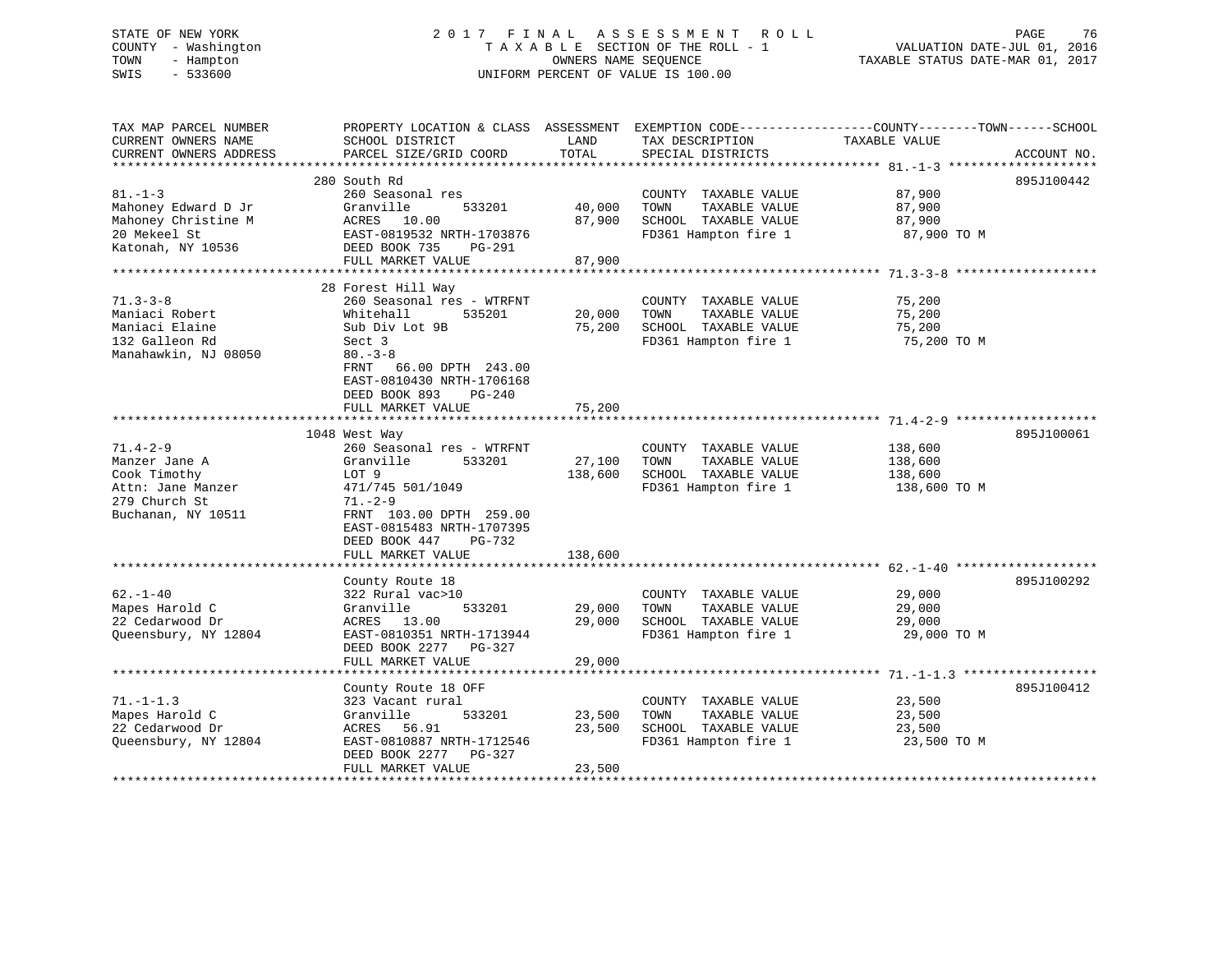# STATE OF NEW YORK 2 0 1 7 F I N A L A S S E S S M E N T R O L L PAGE 76 COUNTY - Washington T A X A B L E SECTION OF THE ROLL - 1 VALUATION DATE-JUL 01, 2016 TOWN - Hampton OWNERS NAME SEQUENCE TAXABLE STATUS DATE-MAR 01, 2017 SWIS - 533600 UNIFORM PERCENT OF VALUE IS 100.00

| TAX MAP PARCEL NUMBER  |                                |         |                       | PROPERTY LOCATION & CLASS ASSESSMENT EXEMPTION CODE----------------COUNTY-------TOWN------SCHOOL |             |
|------------------------|--------------------------------|---------|-----------------------|--------------------------------------------------------------------------------------------------|-------------|
| CURRENT OWNERS NAME    | SCHOOL DISTRICT                | LAND    | TAX DESCRIPTION       | TAXABLE VALUE                                                                                    |             |
| CURRENT OWNERS ADDRESS | PARCEL SIZE/GRID COORD         | TOTAL   | SPECIAL DISTRICTS     |                                                                                                  | ACCOUNT NO. |
|                        |                                |         |                       |                                                                                                  |             |
|                        | 280 South Rd                   |         |                       |                                                                                                  | 895J100442  |
| $81. - 1 - 3$          | 260 Seasonal res               |         | COUNTY TAXABLE VALUE  | 87,900                                                                                           |             |
| Mahoney Edward D Jr    | Granville<br>533201            | 40,000  | TOWN<br>TAXABLE VALUE | 87,900                                                                                           |             |
| Mahoney Christine M    | ACRES 10.00                    | 87,900  | SCHOOL TAXABLE VALUE  | 87,900                                                                                           |             |
| 20 Mekeel St           | EAST-0819532 NRTH-1703876      |         | FD361 Hampton fire 1  | 87,900 TO M                                                                                      |             |
| Katonah, NY 10536      | DEED BOOK 735<br>PG-291        |         |                       |                                                                                                  |             |
|                        | FULL MARKET VALUE              | 87,900  |                       |                                                                                                  |             |
|                        | 28 Forest Hill Way             |         |                       |                                                                                                  |             |
| $71.3 - 3 - 8$         | 260 Seasonal res - WTRFNT      |         | COUNTY TAXABLE VALUE  | 75,200                                                                                           |             |
| Maniaci Robert         | Whitehall<br>535201            | 20,000  | TOWN<br>TAXABLE VALUE | 75,200                                                                                           |             |
| Maniaci Elaine         | Sub Div Lot 9B                 | 75,200  | SCHOOL TAXABLE VALUE  | 75,200                                                                                           |             |
| 132 Galleon Rd         | Sect 3                         |         | FD361 Hampton fire 1  | 75,200 TO M                                                                                      |             |
| Manahawkin, NJ 08050   | $80 - 3 - 8$                   |         |                       |                                                                                                  |             |
|                        | FRNT 66.00 DPTH 243.00         |         |                       |                                                                                                  |             |
|                        | EAST-0810430 NRTH-1706168      |         |                       |                                                                                                  |             |
|                        | DEED BOOK 893<br><b>PG-240</b> |         |                       |                                                                                                  |             |
|                        | FULL MARKET VALUE              | 75,200  |                       |                                                                                                  |             |
|                        |                                |         |                       |                                                                                                  |             |
|                        | 1048 West Way                  |         |                       |                                                                                                  | 895J100061  |
| $71.4 - 2 - 9$         | 260 Seasonal res - WTRFNT      |         | COUNTY TAXABLE VALUE  | 138,600                                                                                          |             |
| Manzer Jane A          | Granville<br>533201            | 27,100  | TOWN<br>TAXABLE VALUE | 138,600                                                                                          |             |
| Cook Timothy           | LOT 9                          | 138,600 | SCHOOL TAXABLE VALUE  | 138,600                                                                                          |             |
| Attn: Jane Manzer      | 471/745 501/1049               |         | FD361 Hampton fire 1  | 138,600 TO M                                                                                     |             |
| 279 Church St          | $71. - 2 - 9$                  |         |                       |                                                                                                  |             |
| Buchanan, NY 10511     | FRNT 103.00 DPTH 259.00        |         |                       |                                                                                                  |             |
|                        | EAST-0815483 NRTH-1707395      |         |                       |                                                                                                  |             |
|                        | DEED BOOK 447<br>PG-732        |         |                       |                                                                                                  |             |
|                        | FULL MARKET VALUE              | 138,600 |                       |                                                                                                  |             |
|                        |                                |         |                       |                                                                                                  |             |
|                        | County Route 18                |         |                       |                                                                                                  | 895J100292  |
| $62. - 1 - 40$         | 322 Rural vac>10               |         | COUNTY TAXABLE VALUE  | 29,000                                                                                           |             |
| Mapes Harold C         | 533201<br>Granville            | 29,000  | TOWN<br>TAXABLE VALUE | 29,000                                                                                           |             |
| 22 Cedarwood Dr        | ACRES 13.00                    | 29,000  | SCHOOL TAXABLE VALUE  | 29,000                                                                                           |             |
| Queensbury, NY 12804   | EAST-0810351 NRTH-1713944      |         | FD361 Hampton fire 1  | 29,000 TO M                                                                                      |             |
|                        | DEED BOOK 2277 PG-327          |         |                       |                                                                                                  |             |
|                        | FULL MARKET VALUE              | 29,000  |                       |                                                                                                  |             |
|                        |                                |         |                       |                                                                                                  |             |
|                        | County Route 18 OFF            |         |                       |                                                                                                  | 895J100412  |
| $71. - 1 - 1.3$        | 323 Vacant rural               |         | COUNTY TAXABLE VALUE  | 23,500                                                                                           |             |
| Mapes Harold C         | Granville<br>533201            | 23,500  | TAXABLE VALUE<br>TOWN | 23,500                                                                                           |             |
| 22 Cedarwood Dr        | 56.91<br>ACRES                 | 23,500  | SCHOOL TAXABLE VALUE  | 23,500                                                                                           |             |
| Queensbury, NY 12804   | EAST-0810887 NRTH-1712546      |         | FD361 Hampton fire 1  | 23,500 TO M                                                                                      |             |
|                        | DEED BOOK 2277<br>PG-327       |         |                       |                                                                                                  |             |
|                        | FULL MARKET VALUE              | 23,500  |                       |                                                                                                  |             |
|                        |                                |         |                       |                                                                                                  |             |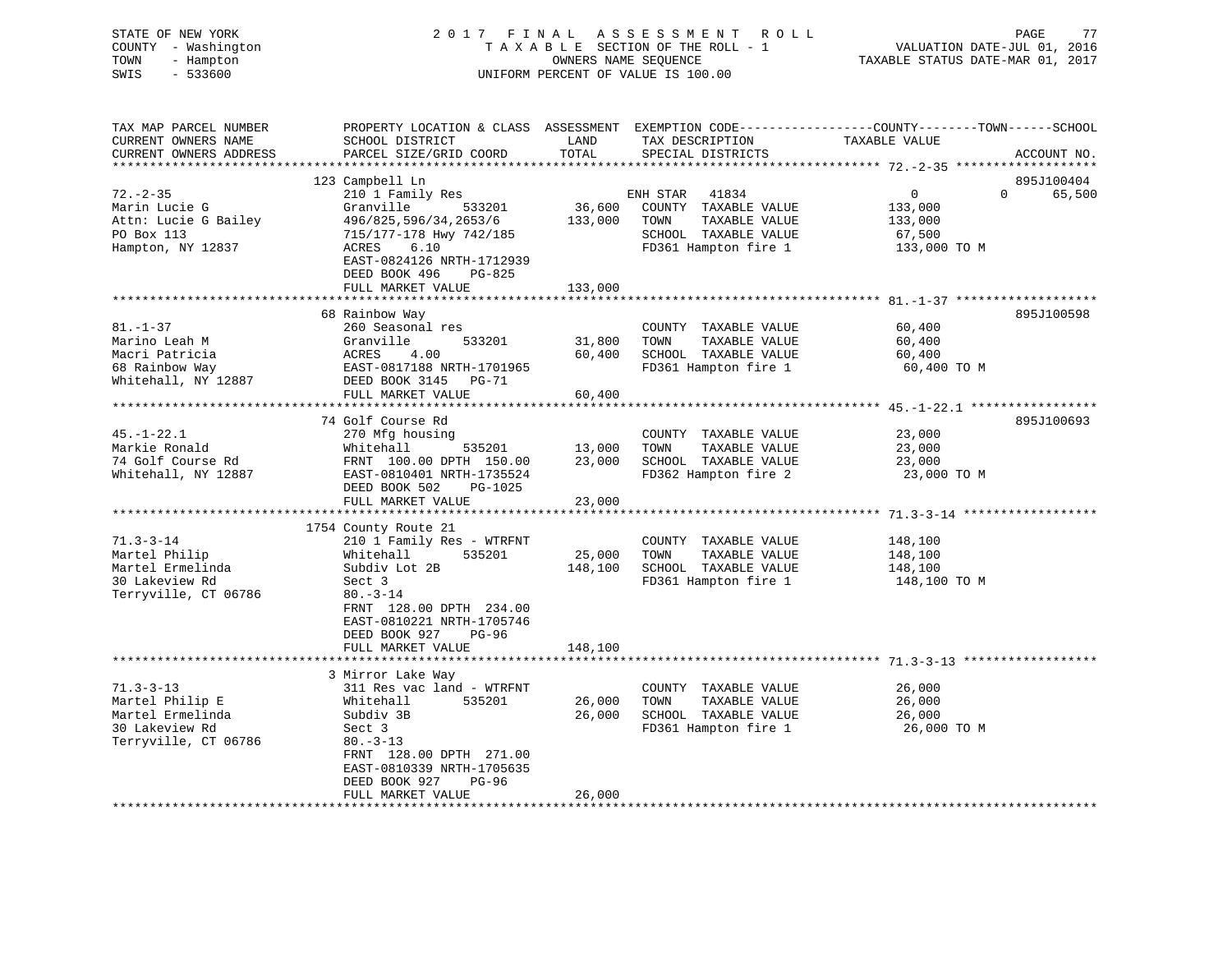| STATE OF NEW YORK<br>COUNTY - Washington<br>- Hampton<br>TOWN<br>SWIS<br>$-533600$                |                                                                                                                                                                                                                              |                                   | 2017 FINAL ASSESSMENT ROLL<br>TAXABLE SECTION OF THE ROLL - 1<br>OWNERS NAME SEQUENCE<br>UNIFORM PERCENT OF VALUE IS 100.00 | PAGE<br>77<br>VALUATION DATE-JUL 01, 2016<br>TAXABLE STATUS DATE-MAR 01, 2017                                                  |
|---------------------------------------------------------------------------------------------------|------------------------------------------------------------------------------------------------------------------------------------------------------------------------------------------------------------------------------|-----------------------------------|-----------------------------------------------------------------------------------------------------------------------------|--------------------------------------------------------------------------------------------------------------------------------|
| TAX MAP PARCEL NUMBER<br>CURRENT OWNERS NAME<br>CURRENT OWNERS ADDRESS<br>*********************** | SCHOOL DISTRICT<br>PARCEL SIZE/GRID COORD                                                                                                                                                                                    | LAND<br>TOTAL                     | TAX DESCRIPTION<br>SPECIAL DISTRICTS                                                                                        | PROPERTY LOCATION & CLASS ASSESSMENT EXEMPTION CODE---------------COUNTY-------TOWN-----SCHOOL<br>TAXABLE VALUE<br>ACCOUNT NO. |
| $72. - 2 - 35$<br>Marin Lucie G<br>Attn: Lucie G Bailey<br>PO Box 113<br>Hampton, NY 12837        | 123 Campbell Ln<br>210 1 Family Res<br>Granville<br>533201<br>496/825,596/34,2653/6<br>715/177-178 Hwy 742/185<br>ACRES<br>6.10<br>EAST-0824126 NRTH-1712939<br>DEED BOOK 496<br>PG-825<br>FULL MARKET VALUE                 | 36,600<br>133,000<br>133,000      | 41834<br>ENH STAR<br>COUNTY TAXABLE VALUE<br>TOWN<br>TAXABLE VALUE<br>SCHOOL TAXABLE VALUE<br>FD361 Hampton fire 1          | 895J100404<br>$\overline{0}$<br>$\Omega$<br>65,500<br>133,000<br>133,000<br>67,500<br>133,000 TO M                             |
|                                                                                                   |                                                                                                                                                                                                                              |                                   |                                                                                                                             |                                                                                                                                |
| $81. - 1 - 37$<br>Marino Leah M<br>Macri Patricia<br>68 Rainbow Way<br>Whitehall, NY 12887        | 68 Rainbow Way<br>260 Seasonal res<br>533201<br>Granville<br>ACRES<br>4.00<br>EAST-0817188 NRTH-1701965<br>DEED BOOK 3145 PG-71<br>FULL MARKET VALUE                                                                         | 31,800<br>60,400<br>60,400        | COUNTY TAXABLE VALUE<br>TOWN<br>TAXABLE VALUE<br>SCHOOL TAXABLE VALUE<br>FD361 Hampton fire 1                               | 895J100598<br>60,400<br>60,400<br>60,400<br>60,400 TO M                                                                        |
|                                                                                                   |                                                                                                                                                                                                                              |                                   |                                                                                                                             | ********************************** 45.-1-22.1 *****************                                                                |
| $45. - 1 - 22.1$<br>Markie Ronald<br>74 Golf Course Rd<br>Whitehall, NY 12887                     | 74 Golf Course Rd<br>270 Mfg housing<br>Whitehall<br>535201<br>FRNT 100.00 DPTH 150.00<br>EAST-0810401 NRTH-1735524<br>DEED BOOK 502<br>PG-1025<br>FULL MARKET VALUE                                                         | 13,000<br>23,000<br>23,000        | COUNTY TAXABLE VALUE<br>TAXABLE VALUE<br>TOWN<br>SCHOOL TAXABLE VALUE<br>FD362 Hampton fire 2                               | 895J100693<br>23,000<br>23,000<br>23,000<br>23,000 TO M                                                                        |
|                                                                                                   | ***********************                                                                                                                                                                                                      | **************                    |                                                                                                                             |                                                                                                                                |
| $71.3 - 3 - 14$<br>Martel Philip<br>Martel Ermelinda<br>30 Lakeview Rd<br>Terryville, CT 06786    | 1754 County Route 21<br>210 1 Family Res - WTRFNT<br>535201<br>Whitehall<br>Subdiv Lot 2B<br>Sect 3<br>$80. - 3 - 14$<br>FRNT 128.00 DPTH 234.00<br>EAST-0810221 NRTH-1705746<br>DEED BOOK 927<br>PG-96<br>FULL MARKET VALUE | 25,000<br>148,100<br>148,100      | COUNTY TAXABLE VALUE<br>TOWN<br>TAXABLE VALUE<br>SCHOOL TAXABLE VALUE<br>FD361 Hampton fire 1                               | 148,100<br>148,100<br>148,100<br>148,100 TO M                                                                                  |
|                                                                                                   |                                                                                                                                                                                                                              |                                   |                                                                                                                             | ******************************** 71.3-3-13 **********                                                                          |
| $71.3 - 3 - 13$<br>Martel Philip E<br>Martel Ermelinda<br>30 Lakeview Rd<br>Terryville, CT 06786  | 3 Mirror Lake Way<br>311 Res vac land - WTRFNT<br>535201<br>Whitehall<br>Subdiv 3B<br>Sect 3<br>$80. -3 - 13$<br>FRNT 128.00 DPTH 271.00<br>EAST-0810339 NRTH-1705635<br>PG-96<br>DEED BOOK 927                              | 26,000<br>26,000                  | COUNTY TAXABLE VALUE<br>TOWN<br>TAXABLE VALUE<br>SCHOOL TAXABLE VALUE<br>FD361 Hampton fire 1                               | 26,000<br>26,000<br>26,000<br>26,000 TO M                                                                                      |
| ************************                                                                          | FULL MARKET VALUE<br>********************                                                                                                                                                                                    | 26,000<br>* * * * * * * * * * * * |                                                                                                                             |                                                                                                                                |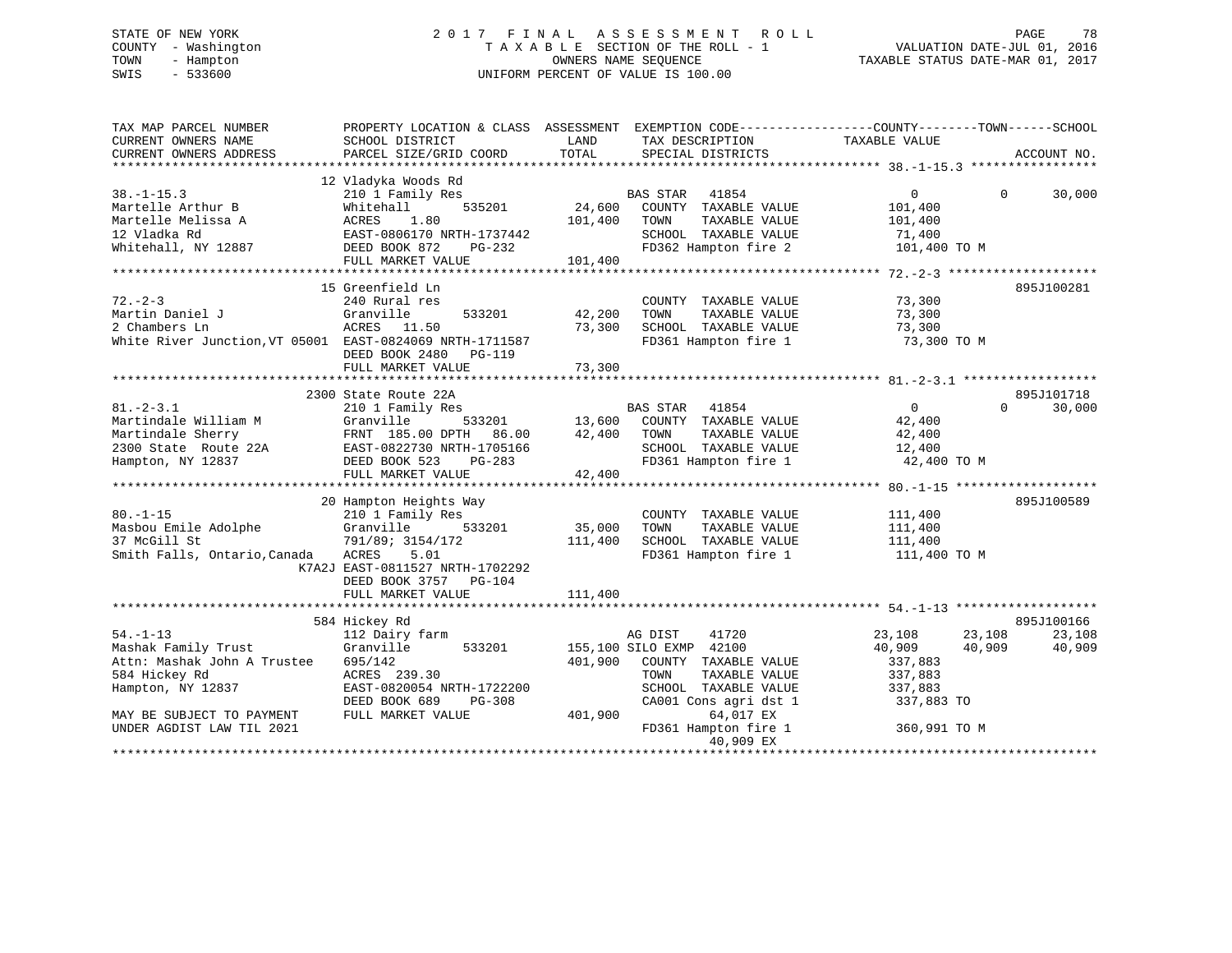# STATE OF NEW YORK 2 0 1 7 F I N A L A S S E S S M E N T R O L L PAGE 78 COUNTY - Washington T A X A B L E SECTION OF THE ROLL - 1 VALUATION DATE-JUL 01, 2016 TOWN - Hampton OWNERS NAME SEQUENCE TAXABLE STATUS DATE-MAR 01, 2017 SWIS - 533600 UNIFORM PERCENT OF VALUE IS 100.00

| TAX MAP PARCEL NUMBER<br>CURRENT OWNERS NAME                                                                                            | PROPERTY LOCATION & CLASS ASSESSMENT EXEMPTION CODE----------------COUNTY-------TOWN------SCHOOL<br>SCHOOL DISTRICT | LAND               | TAX DESCRIPTION                                      | TAXABLE VALUE    |                    |  |
|-----------------------------------------------------------------------------------------------------------------------------------------|---------------------------------------------------------------------------------------------------------------------|--------------------|------------------------------------------------------|------------------|--------------------|--|
| CURRENT OWNERS ADDRESS                                                                                                                  | PARCEL SIZE/GRID COORD                                                                                              | TOTAL              | SPECIAL DISTRICTS                                    |                  | ACCOUNT NO.        |  |
|                                                                                                                                         |                                                                                                                     |                    |                                                      |                  |                    |  |
|                                                                                                                                         | 12 Vladyka Woods Rd                                                                                                 |                    |                                                      |                  |                    |  |
| $38. -1 - 15.3$                                                                                                                         | 210 1 Family Res                                                                                                    | $5201$ E<br>34,600 | BAS STAR 41854                                       | $\Omega$         | $\Omega$<br>30,000 |  |
| Martelle Arthur B                                                                                                                       | 535201<br>Whitehall                                                                                                 |                    | COUNTY TAXABLE VALUE                                 | 101,400          |                    |  |
| Martelle Melissa A                                                                                                                      | 1.80<br>ACRES                                                                                                       | 101,400            | TOWN<br>TAXABLE VALUE                                | 101,400          |                    |  |
| 12 Vladka Rd                                                                                                                            | EAST-0806170 NRTH-1737442                                                                                           |                    | SCHOOL TAXABLE VALUE                                 | 71,400           |                    |  |
| Whitehall, NY 12887                                                                                                                     | DEED BOOK 872<br>PG-232                                                                                             |                    | FD362 Hampton fire 2                                 | 101,400 TO M     |                    |  |
|                                                                                                                                         | FULL MARKET VALUE                                                                                                   | 101,400            |                                                      |                  |                    |  |
|                                                                                                                                         |                                                                                                                     |                    |                                                      |                  |                    |  |
|                                                                                                                                         | 15 Greenfield Ln                                                                                                    |                    |                                                      |                  | 895J100281         |  |
| $72. - 2 - 3$                                                                                                                           | 240 Rural res                                                                                                       |                    | COUNTY TAXABLE VALUE                                 | 73,300           |                    |  |
| Martin Daniel J<br>2 Chambers Ln                                                                                                        | Granville                                                                                                           | 533201 42,200      | TOWN<br>TAXABLE VALUE                                | 73,300           |                    |  |
|                                                                                                                                         | ACRES 11.50                                                                                                         | 73,300             | SCHOOL TAXABLE VALUE                                 | 73,300           |                    |  |
| White River Junction, VT 05001 EAST-0824069 NRTH-1711587                                                                                |                                                                                                                     |                    | FD361 Hampton fire 1                                 | 73,300 TO M      |                    |  |
|                                                                                                                                         | DEED BOOK 2480 PG-119                                                                                               |                    |                                                      |                  |                    |  |
|                                                                                                                                         | FULL MARKET VALUE                                                                                                   | 73,300             |                                                      |                  |                    |  |
|                                                                                                                                         |                                                                                                                     |                    |                                                      |                  |                    |  |
|                                                                                                                                         |                                                                                                                     |                    |                                                      |                  |                    |  |
|                                                                                                                                         | 2300 State Route 22A                                                                                                |                    |                                                      |                  | 895J101718         |  |
| $81. - 2 - 3.1$                                                                                                                         | 210 1 Family Res                                                                                                    |                    | BAS STAR 41854<br>533201 13,600 COUNTY TAXABLE VALUE | $\overline{0}$   | $\Omega$<br>30,000 |  |
| Martindale William M                                                                                                                    | Granville                                                                                                           |                    |                                                      | 42,400           |                    |  |
|                                                                                                                                         |                                                                                                                     | 42,400             | TOWN<br>TAXABLE VALUE                                | 42,400           |                    |  |
|                                                                                                                                         |                                                                                                                     |                    | SCHOOL TAXABLE VALUE                                 | 12,400           |                    |  |
| Martindale Sherry<br>2300 State Route 22A<br>2300 State Route 22A<br>2300 State Route 22A<br>23D EAST-0822730 NRTH-1705166<br>23 PG-283 |                                                                                                                     |                    | FD361 Hampton fire 1                                 | 42,400 TO M      |                    |  |
|                                                                                                                                         | FULL MARKET VALUE                                                                                                   | 42,400             |                                                      |                  |                    |  |
|                                                                                                                                         |                                                                                                                     |                    |                                                      |                  |                    |  |
|                                                                                                                                         | 20 Hampton Heights Way                                                                                              |                    |                                                      |                  | 895J100589         |  |
| $80. - 1 - 15$                                                                                                                          | 210 1 Family Res                                                                                                    |                    | COUNTY TAXABLE VALUE                                 | 111,400          |                    |  |
| Masbou Emile Adolphe                                                                                                                    | 533201<br>Granville                                                                                                 | 35,000             | TOWN<br>TAXABLE VALUE                                | 111,400          |                    |  |
| 37 McGill St                                                                                                                            | 791/89; 3154/172                                                                                                    | 111,400            | SCHOOL TAXABLE VALUE                                 | 111,400          |                    |  |
| Smith Falls, Ontario, Canada                                                                                                            | ACRES<br>5.01                                                                                                       |                    | FD361 Hampton fire 1                                 | 111,400 TO M     |                    |  |
|                                                                                                                                         | K7A2J EAST-0811527 NRTH-1702292                                                                                     |                    |                                                      |                  |                    |  |
|                                                                                                                                         |                                                                                                                     |                    |                                                      |                  |                    |  |
|                                                                                                                                         | DEED BOOK 3757 PG-104                                                                                               |                    |                                                      |                  |                    |  |
|                                                                                                                                         | FULL MARKET VALUE                                                                                                   | 111,400            |                                                      |                  |                    |  |
|                                                                                                                                         |                                                                                                                     |                    |                                                      |                  |                    |  |
|                                                                                                                                         | 584 Hickey Rd                                                                                                       |                    |                                                      |                  | 895J100166         |  |
| $54. - 1 - 13$                                                                                                                          | 112 Dairy farm                                                                                                      |                    | 41720<br>AG DIST                                     | 23,108<br>23,108 | 23,108             |  |
| Mashak Family Trust                                                                                                                     | Granville<br>533201                                                                                                 |                    | 155,100 SILO EXMP 42100                              | 40,909<br>40,909 | 40,909             |  |
| Attn: Mashak John A Trustee                                                                                                             | 695/142                                                                                                             |                    | 401,900 COUNTY TAXABLE VALUE                         | 337,883          |                    |  |
| 584 Hickey Rd                                                                                                                           | ACRES 239.30                                                                                                        |                    | TOWN<br>TAXABLE VALUE                                | 337,883          |                    |  |
| Hampton, NY 12837                                                                                                                       | EAST-0820054 NRTH-1722200                                                                                           |                    | SCHOOL TAXABLE VALUE                                 | 337,883          |                    |  |
|                                                                                                                                         | DEED BOOK 689<br>PG-308                                                                                             |                    | CA001 Cons agri dst 1                                | 337,883 TO       |                    |  |
| MAY BE SUBJECT TO PAYMENT                                                                                                               | FULL MARKET VALUE                                                                                                   | 401,900            | 64,017 EX                                            |                  |                    |  |
| UNDER AGDIST LAW TIL 2021                                                                                                               |                                                                                                                     |                    | FD361 Hampton fire 1<br>40,909 EX                    | 360,991 TO M     |                    |  |
|                                                                                                                                         |                                                                                                                     |                    |                                                      |                  |                    |  |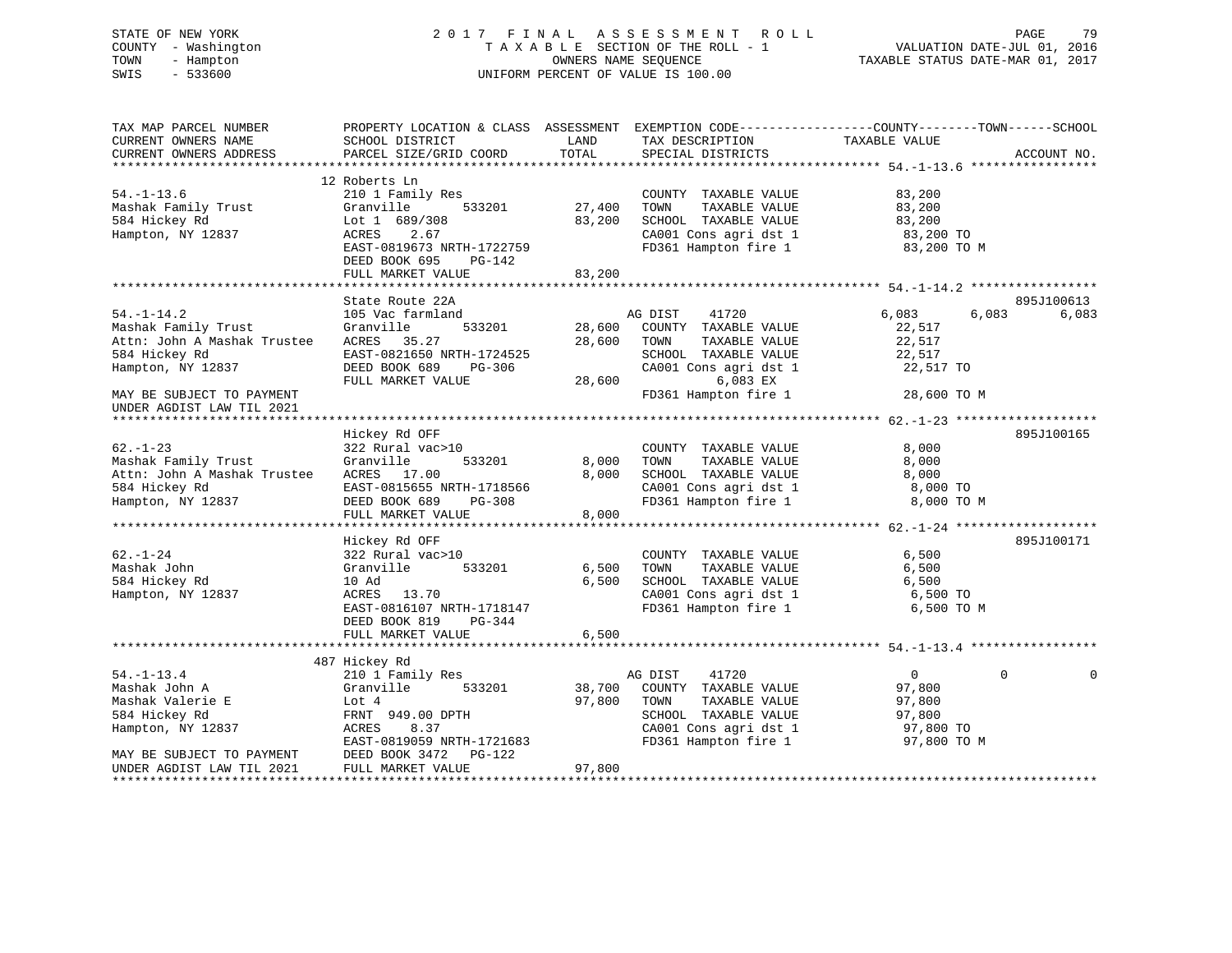# STATE OF NEW YORK 2 0 1 7 F I N A L A S S E S S M E N T R O L L PAGE 79 COUNTY - Washington T A X A B L E SECTION OF THE ROLL - 1 VALUATION DATE-JUL 01, 2016 TOWN - Hampton OWNERS NAME SEQUENCE TAXABLE STATUS DATE-MAR 01, 2017 SWIS - 533600 UNIFORM PERCENT OF VALUE IS 100.00

| TAX MAP PARCEL NUMBER<br>CURRENT OWNERS NAME<br>CURRENT OWNERS ADDRESS                                                                                                                            | PROPERTY LOCATION & CLASS ASSESSMENT EXEMPTION CODE----------------COUNTY-------TOWN------SCHOOL<br>SCHOOL DISTRICT<br>PARCEL SIZE/GRID COORD                           | LAND<br>TOTAL              | TAX DESCRIPTION<br>SPECIAL DISTRICTS                                                                                                                   | TAXABLE VALUE                                                            | ACCOUNT NO.          |
|---------------------------------------------------------------------------------------------------------------------------------------------------------------------------------------------------|-------------------------------------------------------------------------------------------------------------------------------------------------------------------------|----------------------------|--------------------------------------------------------------------------------------------------------------------------------------------------------|--------------------------------------------------------------------------|----------------------|
| $54. - 1 - 13.6$<br>Mashak Family Trust<br>584 Hickey Rd<br>Hampton, NY 12837                                                                                                                     | 12 Roberts Ln<br>210 1 Family Res<br>Granville<br>533201<br>Lot 1 689/308<br>ACRES<br>2.67<br>EAST-0819673 NRTH-1722759<br>DEED BOOK 695<br>PG-142<br>FULL MARKET VALUE | 27,400<br>83,200<br>83,200 | COUNTY TAXABLE VALUE<br>TOWN<br>TAXABLE VALUE<br>SCHOOL TAXABLE VALUE<br>CA001 Cons agri dst 1<br>FD361 Hampton fire 1                                 | 83,200<br>83,200<br>83,200<br>83,200 TO<br>83,200 TO M                   |                      |
| $54. - 1 - 14.2$<br>Mashak Family Trust<br>Attn: John A Mashak Trustee<br>584 Hickey Rd<br>Hampton, NY 12837<br>MAY BE SUBJECT TO PAYMENT<br>UNDER AGDIST LAW TIL 2021<br>*********************** | State Route 22A<br>105 Vac farmland<br>Granville<br>533201<br>ACRES 35.27<br>EAST-0821650 NRTH-1724525<br>DEED BOOK 689<br>PG-306<br>FULL MARKET VALUE                  | 28,600<br>28,600<br>28,600 | AG DIST<br>41720<br>COUNTY TAXABLE VALUE<br>TOWN<br>TAXABLE VALUE<br>SCHOOL TAXABLE VALUE<br>CA001 Cons agri dst 1<br>6,083 EX<br>FD361 Hampton fire 1 | 6,083<br>6,083<br>22,517<br>22,517<br>22,517<br>22,517 TO<br>28,600 TO M | 895J100613<br>6,083  |
| $62. - 1 - 23$<br>Mashak Family Trust<br>Attn: John A Mashak Trustee<br>584 Hickey Rd<br>Hampton, NY 12837                                                                                        | Hickey Rd OFF<br>322 Rural vac>10<br>Granville<br>533201<br>ACRES 17.00<br>EAST-0815655 NRTH-1718566<br>DEED BOOK 689<br>PG-308<br>FULL MARKET VALUE                    | 8,000<br>8,000<br>8,000    | COUNTY TAXABLE VALUE<br>TOWN<br>TAXABLE VALUE<br>SCHOOL TAXABLE VALUE<br>CA001 Cons agri dst 1<br>FD361 Hampton fire 1                                 | 8,000<br>8,000<br>8,000<br>8,000 TO<br>8,000 TO M                        | 895J100165           |
| $62. - 1 - 24$<br>Mashak John<br>584 Hickey Rd<br>Hampton, NY 12837                                                                                                                               | Hickey Rd OFF<br>322 Rural vac>10<br>Granville<br>533201<br>10 Ad<br>13.70<br>ACRES<br>EAST-0816107 NRTH-1718147<br>DEED BOOK 819<br>PG-344<br>FULL MARKET VALUE        | 6,500<br>6,500<br>6,500    | COUNTY TAXABLE VALUE<br>TAXABLE VALUE<br>TOWN<br>SCHOOL TAXABLE VALUE<br>CA001 Cons agri dst 1<br>FD361 Hampton fire 1                                 | 6,500<br>6,500<br>6,500<br>6,500 TO<br>6,500 TO M                        | 895J100171           |
| $54. - 1 - 13.4$<br>Mashak John A<br>Mashak Valerie E<br>584 Hickey Rd<br>Hampton, NY 12837<br>MAY BE SUBJECT TO PAYMENT                                                                          | 487 Hickey Rd<br>210 1 Family Res<br>533201<br>Granville<br>Lot 4<br>FRNT 949.00 DPTH<br>ACRES<br>8.37<br>EAST-0819059 NRTH-1721683<br>DEED BOOK 3472<br>$PG-122$       | 38,700<br>97,800           | AG DIST<br>41720<br>COUNTY TAXABLE VALUE<br>TOWN<br>TAXABLE VALUE<br>SCHOOL TAXABLE VALUE<br>CA001 Cons agri dst 1<br>FD361 Hampton fire 1             | $\Omega$<br>97,800<br>97,800<br>97,800<br>97,800 TO<br>97,800 TO M       | $\Omega$<br>$\Omega$ |
| UNDER AGDIST LAW TIL 2021                                                                                                                                                                         | FULL MARKET VALUE                                                                                                                                                       | 97,800                     |                                                                                                                                                        |                                                                          |                      |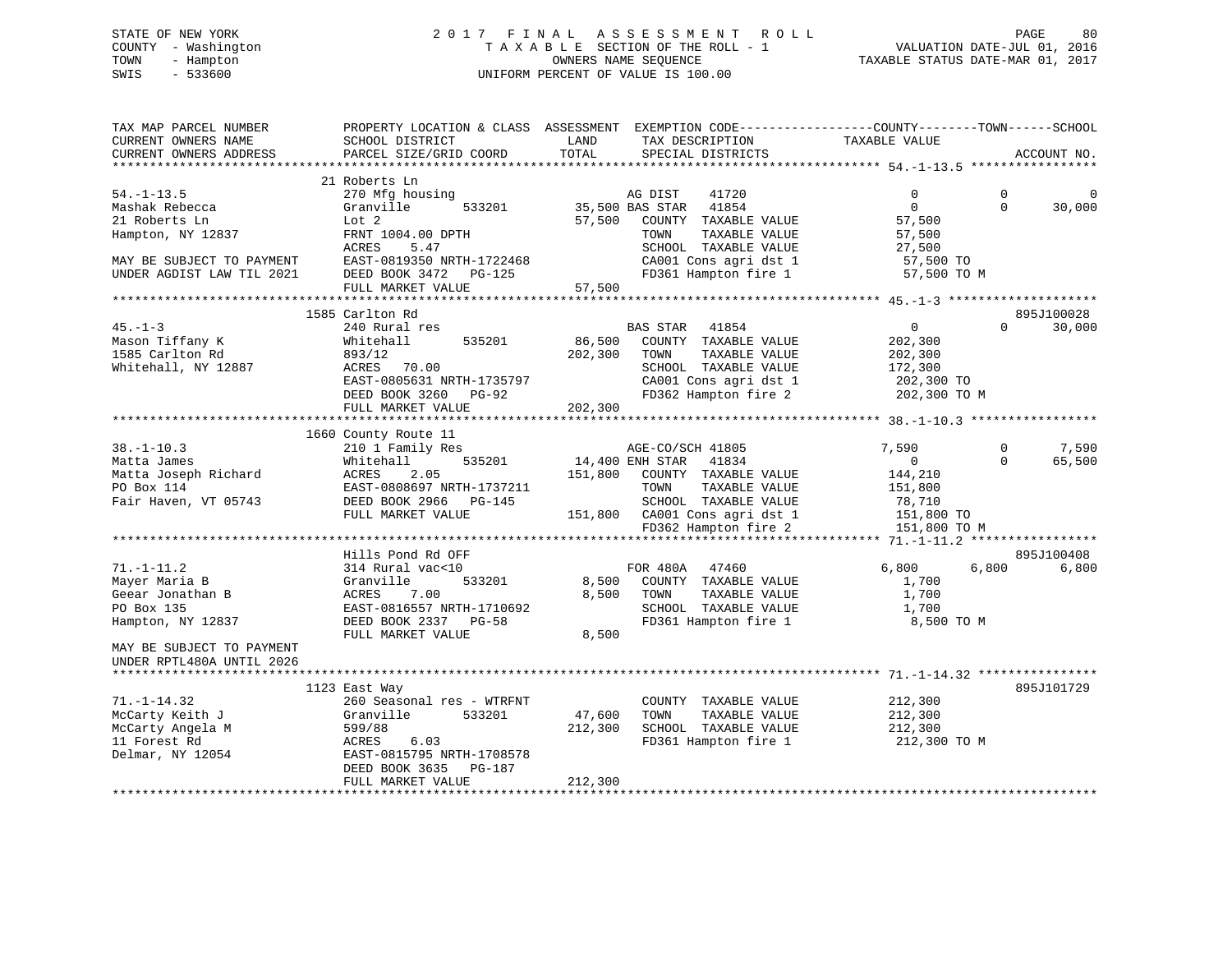# STATE OF NEW YORK 2 0 1 7 F I N A L A S S E S S M E N T R O L L PAGE 80 COUNTY - Washington T A X A B L E SECTION OF THE ROLL - 1 VALUATION DATE-JUL 01, 2016 TOWN - Hampton OWNERS NAME SEQUENCE TAXABLE STATUS DATE-MAR 01, 2017 SWIS - 533600 UNIFORM PERCENT OF VALUE IS 100.00

| TAX MAP PARCEL NUMBER<br>CURRENT OWNERS NAME<br>CURRENT OWNERS ADDRESS | SCHOOL DISTRICT<br>PARCEL SIZE/GRID COORD | PROPERTY LOCATION & CLASS ASSESSMENT EXEMPTION CODE---------------COUNTY-------TOWN-----SCHOOL<br>LAND<br>TAX DESCRIPTION<br>TOTAL<br>SPECIAL DISTRICTS | TAXABLE VALUE<br>ACCOUNT NO.              |        |
|------------------------------------------------------------------------|-------------------------------------------|---------------------------------------------------------------------------------------------------------------------------------------------------------|-------------------------------------------|--------|
|                                                                        |                                           |                                                                                                                                                         |                                           |        |
|                                                                        | 21 Roberts Ln                             |                                                                                                                                                         |                                           |        |
| $54. - 1 - 13.5$                                                       | 270 Mfg housing                           | 41720<br>AG DIST                                                                                                                                        | $\mathbf 0$<br>$\overline{0}$<br>$\Omega$ | 0      |
| Mashak Rebecca                                                         | 533201<br>Granville                       | 35,500 BAS STAR 41854                                                                                                                                   | $\Omega$                                  | 30,000 |
| 21 Roberts Ln                                                          | Lot 2                                     | 57,500 COUNTY TAXABLE VALUE                                                                                                                             | 57,500                                    |        |
| Hampton, NY 12837                                                      | FRNT 1004.00 DPTH                         | TAXABLE VALUE<br>TOWN<br>SCHOOL TAXABLE VALUE                                                                                                           | 57,500                                    |        |
|                                                                        | ACRES<br>5.47                             |                                                                                                                                                         | 27,500                                    |        |
| MAY BE SUBJECT TO PAYMENT                                              | EAST-0819350 NRTH-1722468                 | CA001 Cons agri dst 1                                                                                                                                   | 57,500 TO                                 |        |
| UNDER AGDIST LAW TIL 2021                                              | DEED BOOK 3472 PG-125                     | FD361 Hampton fire 1                                                                                                                                    | 57,500 TO M                               |        |
|                                                                        | FULL MARKET VALUE                         | 57,500                                                                                                                                                  |                                           |        |
|                                                                        |                                           |                                                                                                                                                         |                                           |        |
| $45. -1 - 3$                                                           | 1585 Carlton Rd                           | 41854                                                                                                                                                   | 895J100028<br>$\overline{0}$<br>$\Omega$  |        |
|                                                                        | 240 Rural res                             | <b>BAS STAR</b>                                                                                                                                         |                                           | 30,000 |
| Mason Tiffany K                                                        | 535201<br>Whitehall                       | 86,500<br>COUNTY TAXABLE VALUE                                                                                                                          | 202,300                                   |        |
| 1585 Carlton Rd                                                        | 893/12                                    | 202,300<br>TAXABLE VALUE<br>TOWN                                                                                                                        | 202,300                                   |        |
| Whitehall, NY 12887                                                    | ACRES 70.00                               | SCHOOL TAXABLE VALUE                                                                                                                                    | 172,300                                   |        |
|                                                                        | EAST-0805631 NRTH-1735797                 | CA001 Cons agri dst 1                                                                                                                                   | 202,300 TO                                |        |
|                                                                        | DEED BOOK 3260 PG-92                      | FD362 Hampton fire 2                                                                                                                                    | 202,300 TO M                              |        |
|                                                                        | FULL MARKET VALUE                         | 202,300                                                                                                                                                 |                                           |        |
|                                                                        |                                           |                                                                                                                                                         |                                           |        |
|                                                                        | 1660 County Route 11                      |                                                                                                                                                         |                                           |        |
| $38. - 1 - 10.3$                                                       | 210 1 Family Res                          | AGE-CO/SCH 41805                                                                                                                                        | 7,590<br>0                                | 7,590  |
| Matta James                                                            | 535201<br>Whitehall                       | 14,400 ENH STAR<br>41834                                                                                                                                | $\overline{0}$<br>$\Omega$                | 65,500 |
| Matta Joseph Richard                                                   | ACRES<br>2.05                             | 151,800 COUNTY TAXABLE VALUE                                                                                                                            | 144,210                                   |        |
| PO Box 114                                                             | EAST-0808697 NRTH-1737211                 | TAXABLE VALUE<br>TOWN                                                                                                                                   | 151,800                                   |        |
| Fair Haven, VT 05743                                                   | DEED BOOK 2966 PG-145                     | SCHOOL TAXABLE VALUE                                                                                                                                    | 78,710                                    |        |
|                                                                        | FULL MARKET VALUE                         | 151,800 CA001 Cons agri dst 1                                                                                                                           | 151,800 TO                                |        |
|                                                                        |                                           | FD362 Hampton fire 2                                                                                                                                    | 151,800 TO M                              |        |
|                                                                        |                                           |                                                                                                                                                         |                                           |        |
|                                                                        | Hills Pond Rd OFF                         |                                                                                                                                                         | 895J100408                                |        |
| $71. - 1 - 11.2$                                                       | 314 Rural vac<10                          | FOR 480A 47460                                                                                                                                          | 6,800<br>6,800                            | 6,800  |
| Mayer Maria B                                                          | 533201<br>Granville                       | 8,500<br>COUNTY TAXABLE VALUE                                                                                                                           | 1,700                                     |        |
| Geear Jonathan B                                                       | ACRES<br>7.00                             | 8,500<br>TOWN<br>TAXABLE VALUE                                                                                                                          | 1,700                                     |        |
| PO Box 135                                                             | EAST-0816557 NRTH-1710692                 | SCHOOL TAXABLE VALUE                                                                                                                                    | 1,700                                     |        |
| Hampton, NY 12837                                                      | DEED BOOK 2337 PG-58                      | FD361 Hampton fire 1                                                                                                                                    | 8,500 TO M                                |        |
|                                                                        | FULL MARKET VALUE                         | 8,500                                                                                                                                                   |                                           |        |
| MAY BE SUBJECT TO PAYMENT                                              |                                           |                                                                                                                                                         |                                           |        |
| UNDER RPTL480A UNTIL 2026                                              |                                           |                                                                                                                                                         |                                           |        |
|                                                                        |                                           |                                                                                                                                                         |                                           |        |
|                                                                        | 1123 East Way                             |                                                                                                                                                         | 895J101729                                |        |
| $71. - 1 - 14.32$                                                      | 260 Seasonal res - WTRFNT                 | COUNTY TAXABLE VALUE                                                                                                                                    | 212,300                                   |        |
| McCarty Keith J                                                        | 533201<br>Granville                       | 47,600<br>TOWN<br>TAXABLE VALUE                                                                                                                         | 212,300                                   |        |
| McCarty Angela M                                                       | 599/88                                    | 212,300<br>SCHOOL TAXABLE VALUE                                                                                                                         | 212,300                                   |        |
| 11 Forest Rd                                                           | ACRES<br>6.03                             | FD361 Hampton fire 1                                                                                                                                    | 212,300 TO M                              |        |
| Delmar, NY 12054                                                       | EAST-0815795 NRTH-1708578                 |                                                                                                                                                         |                                           |        |
|                                                                        | DEED BOOK 3635 PG-187                     |                                                                                                                                                         |                                           |        |
|                                                                        | FULL MARKET VALUE                         | 212,300                                                                                                                                                 |                                           |        |
|                                                                        |                                           |                                                                                                                                                         |                                           |        |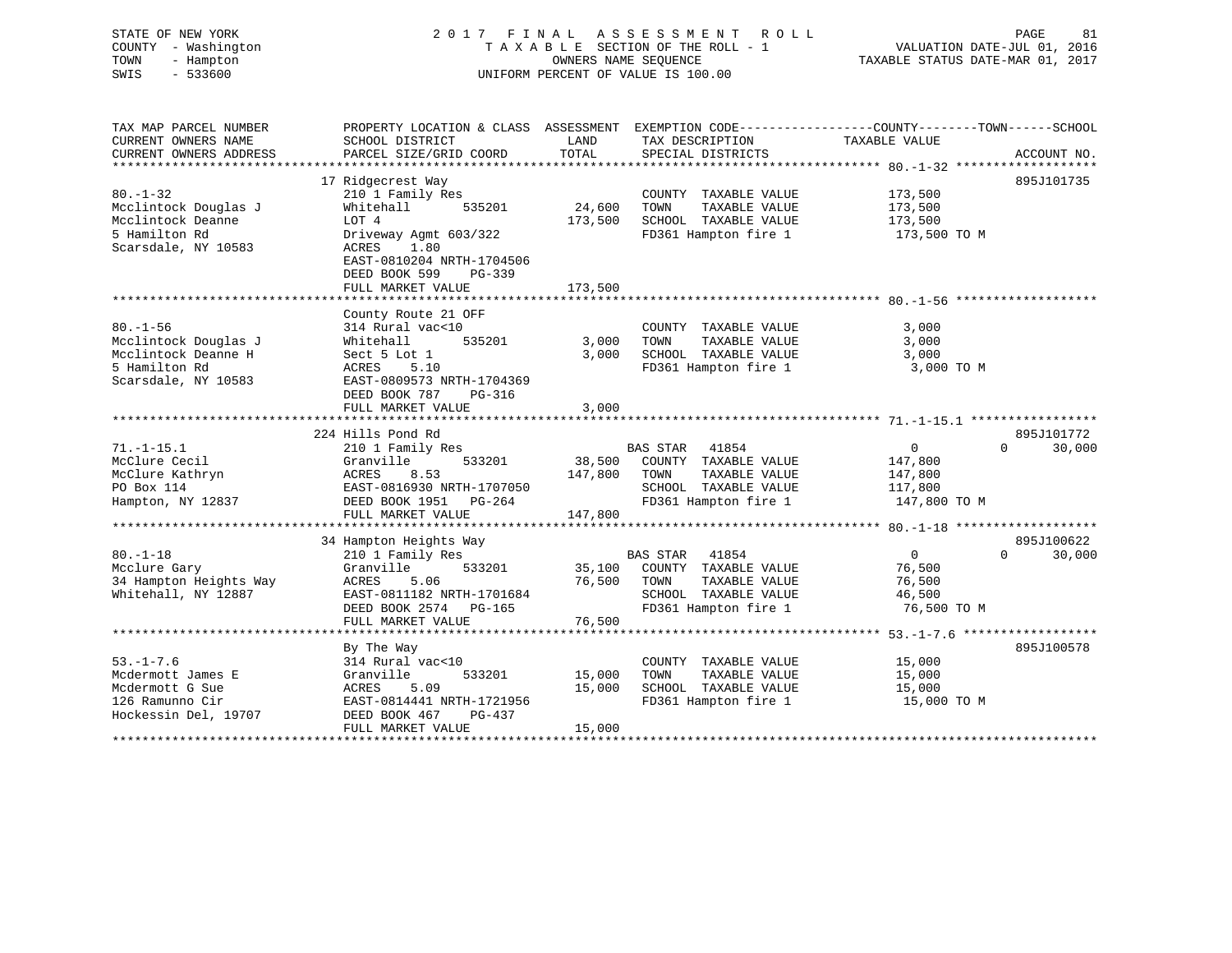# STATE OF NEW YORK 2 0 1 7 F I N A L A S S E S S M E N T R O L L PAGE 81 COUNTY - Washington T A X A B L E SECTION OF THE ROLL - 1 VALUATION DATE-JUL 01, 2016 TOWN - Hampton OWNERS NAME SEQUENCE TAXABLE STATUS DATE-MAR 01, 2017 SWIS - 533600 UNIFORM PERCENT OF VALUE IS 100.00

| TAX MAP PARCEL NUMBER<br>CURRENT OWNERS NAME<br>CURRENT OWNERS ADDRESS                                | PROPERTY LOCATION & CLASS ASSESSMENT<br>SCHOOL DISTRICT<br>PARCEL SIZE/GRID COORD                                                                                                              | LAND<br>TOTAL                | EXEMPTION CODE-----------------COUNTY-------TOWN------SCHOOL<br>TAX DESCRIPTION<br>SPECIAL DISTRICTS                      | TAXABLE VALUE                                                | ACCOUNT NO.                      |
|-------------------------------------------------------------------------------------------------------|------------------------------------------------------------------------------------------------------------------------------------------------------------------------------------------------|------------------------------|---------------------------------------------------------------------------------------------------------------------------|--------------------------------------------------------------|----------------------------------|
| $80. - 1 - 32$<br>Mcclintock Douglas J<br>Mcclintock Deanne<br>5 Hamilton Rd<br>Scarsdale, NY 10583   | 17 Ridgecrest Way<br>210 1 Family Res<br>Whitehall<br>535201<br>LOT 4<br>Driveway Agmt 603/322<br>ACRES<br>1.80<br>EAST-0810204 NRTH-1704506<br>DEED BOOK 599<br>$PG-339$<br>FULL MARKET VALUE | 24,600<br>173,500<br>173,500 | COUNTY TAXABLE VALUE<br>TAXABLE VALUE<br>TOWN<br>SCHOOL TAXABLE VALUE<br>FD361 Hampton fire 1                             | 173,500<br>173,500<br>173,500<br>173,500 TO M                | 895J101735                       |
|                                                                                                       |                                                                                                                                                                                                |                              |                                                                                                                           |                                                              |                                  |
| $80. - 1 - 56$<br>Mcclintock Douglas J<br>Mcclintock Deanne H<br>5 Hamilton Rd<br>Scarsdale, NY 10583 | County Route 21 OFF<br>314 Rural vac<10<br>535201<br>Whitehall<br>Sect 5 Lot 1<br>ACRES<br>5.10<br>EAST-0809573 NRTH-1704369<br>DEED BOOK 787<br>PG-316                                        | 3,000<br>3,000               | COUNTY TAXABLE VALUE<br>TAXABLE VALUE<br>TOWN<br>SCHOOL TAXABLE VALUE<br>FD361 Hampton fire 1                             | 3,000<br>3,000<br>3,000<br>3,000 TO M                        |                                  |
|                                                                                                       | FULL MARKET VALUE                                                                                                                                                                              | 3,000                        |                                                                                                                           |                                                              |                                  |
|                                                                                                       | 224 Hills Pond Rd                                                                                                                                                                              |                              |                                                                                                                           |                                                              | 895J101772                       |
| $71. - 1 - 15.1$<br>McClure Cecil<br>McClure Kathryn<br>PO Box 114<br>Hampton, NY 12837               | 210 1 Family Res<br>533201<br>Granville<br>8.53<br>ACRES<br>EAST-0816930 NRTH-1707050<br>DEED BOOK 1951 PG-264<br>FULL MARKET VALUE                                                            | 38,500<br>147,800<br>147,800 | BAS STAR<br>41854<br>COUNTY TAXABLE VALUE<br>TOWN<br>TAXABLE VALUE<br>SCHOOL TAXABLE VALUE<br>FD361 Hampton fire 1        | $\mathbf 0$<br>147,800<br>147,800<br>117,800<br>147,800 TO M | $\Omega$<br>30,000               |
|                                                                                                       |                                                                                                                                                                                                |                              |                                                                                                                           |                                                              |                                  |
| $80. - 1 - 18$<br>Mcclure Gary<br>34 Hampton Heights Way<br>Whitehall, NY 12887                       | 34 Hampton Heights Way<br>210 1 Family Res<br>Granville<br>533201<br><b>ACRES</b><br>5.06<br>EAST-0811182 NRTH-1701684<br>DEED BOOK 2574 PG-165<br>FULL MARKET VALUE                           | 35,100<br>76,500<br>76,500   | <b>BAS STAR</b><br>41854<br>COUNTY TAXABLE VALUE<br>TOWN<br>TAXABLE VALUE<br>SCHOOL TAXABLE VALUE<br>FD361 Hampton fire 1 | $\overline{0}$<br>76,500<br>76,500<br>46,500<br>76,500 TO M  | 895J100622<br>$\Omega$<br>30,000 |
|                                                                                                       |                                                                                                                                                                                                |                              |                                                                                                                           |                                                              |                                  |
| $53. - 1 - 7.6$<br>Mcdermott James E<br>Mcdermott G Sue<br>126 Ramunno Cir<br>Hockessin Del, 19707    | By The Way<br>314 Rural vac<10<br>Granville<br>533201<br>5.09<br>ACRES<br>EAST-0814441 NRTH-1721956<br>DEED BOOK 467<br>PG-437<br>FULL MARKET VALUE                                            | 15,000<br>15,000<br>15,000   | COUNTY TAXABLE VALUE<br>TOWN<br>TAXABLE VALUE<br>SCHOOL TAXABLE VALUE<br>FD361 Hampton fire 1                             | 15,000<br>15,000<br>15,000<br>15,000 TO M                    | 895J100578                       |
|                                                                                                       |                                                                                                                                                                                                |                              |                                                                                                                           |                                                              |                                  |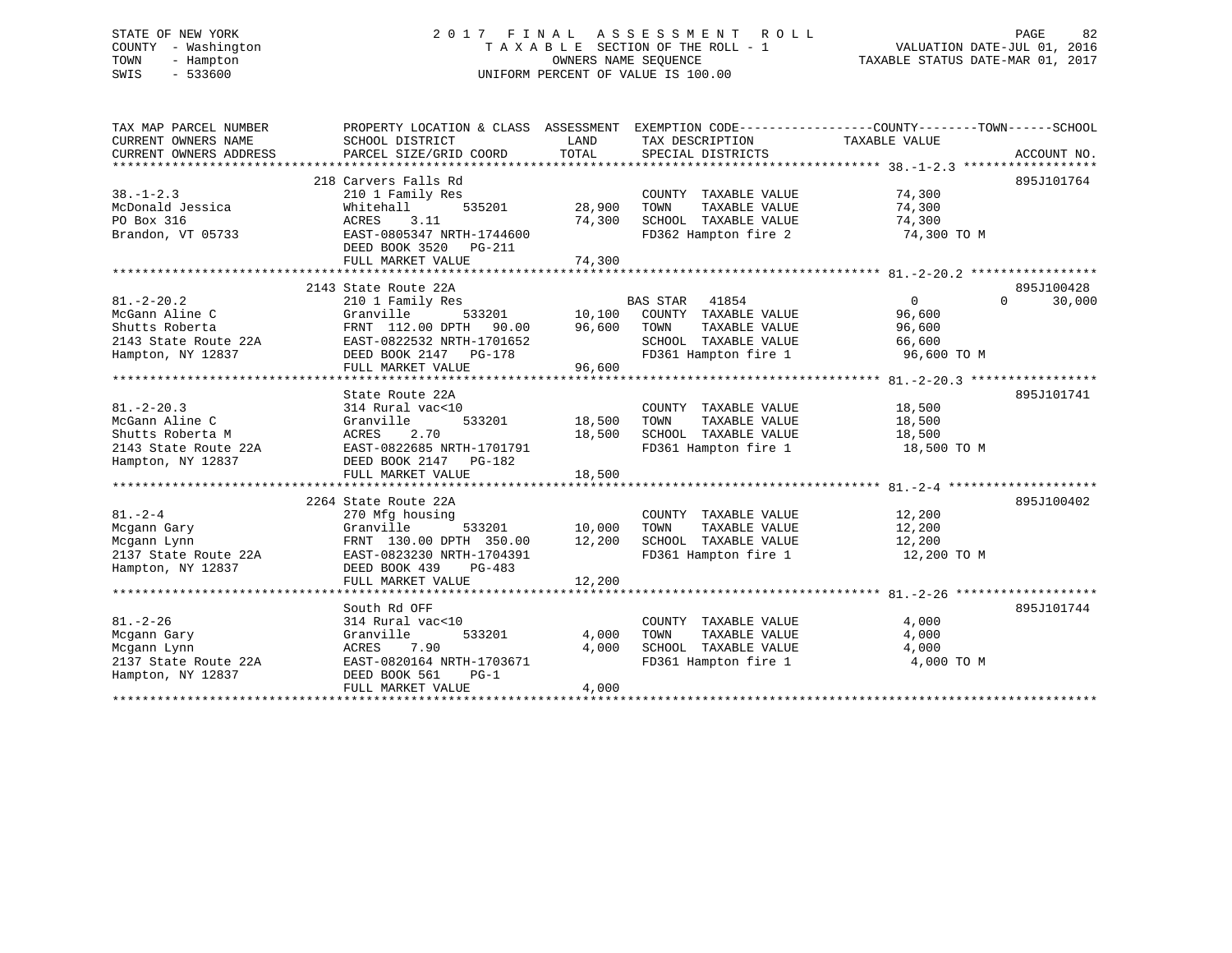# STATE OF NEW YORK 2 0 1 7 F I N A L A S S E S S M E N T R O L L PAGE 82 COUNTY - Washington T A X A B L E SECTION OF THE ROLL - 1 VALUATION DATE-JUL 01, 2016 TOWN - Hampton OWNERS NAME SEQUENCE TAXABLE STATUS DATE-MAR 01, 2017 SWIS - 533600 UNIFORM PERCENT OF VALUE IS 100.00

| SCHOOL DISTRICT<br>PARCEL SIZE/GRID COORD                                                                                            | LAND<br>TOTAL                                                                                                    | TAX DESCRIPTION<br>SPECIAL DISTRICTS                                  |                                                                                             | ACCOUNT NO.                                                                                                                                                                                                                                                                                                                |
|--------------------------------------------------------------------------------------------------------------------------------------|------------------------------------------------------------------------------------------------------------------|-----------------------------------------------------------------------|---------------------------------------------------------------------------------------------|----------------------------------------------------------------------------------------------------------------------------------------------------------------------------------------------------------------------------------------------------------------------------------------------------------------------------|
| 210 1 Family Res<br>Whitehall<br>ACRES<br>3.11<br>EAST-0805347 NRTH-1744600<br>DEED BOOK 3520 PG-211<br>FULL MARKET VALUE            | 28,900<br>74,300<br>74,300                                                                                       | COUNTY TAXABLE VALUE<br>TOWN<br>TAXABLE VALUE<br>SCHOOL TAXABLE VALUE | 74,300<br>74,300<br>74,300<br>74,300 TO M                                                   | 895J101764                                                                                                                                                                                                                                                                                                                 |
|                                                                                                                                      |                                                                                                                  |                                                                       |                                                                                             | 895J100428                                                                                                                                                                                                                                                                                                                 |
| 210 1 Family Res<br>Granville<br>FRNT 112.00 DPTH 90.00<br>EAST-0822532 NRTH-1701652<br>DEED BOOK 2147 PG-178<br>FULL MARKET VALUE   | 96,600<br>96,600                                                                                                 | TAXABLE VALUE<br>SCHOOL TAXABLE VALUE                                 | $\Omega$<br>96,600<br>96,600<br>66,600<br>96,600 TO M                                       | 30,000<br>$\Omega$                                                                                                                                                                                                                                                                                                         |
|                                                                                                                                      |                                                                                                                  |                                                                       |                                                                                             | 895J101741                                                                                                                                                                                                                                                                                                                 |
| 314 Rural vac<10<br>Granville<br>533201<br>2.70<br>ACRES<br>EAST-0822685 NRTH-1701791                                                | 18,500<br>18,500                                                                                                 | COUNTY TAXABLE VALUE<br>TAXABLE VALUE<br>TOWN<br>SCHOOL TAXABLE VALUE | 18,500<br>18,500<br>18,500<br>18,500 TO M                                                   |                                                                                                                                                                                                                                                                                                                            |
| FULL MARKET VALUE                                                                                                                    | 18,500                                                                                                           |                                                                       |                                                                                             |                                                                                                                                                                                                                                                                                                                            |
| 270 Mfg housing<br>Granville<br>FRNT 130.00 DPTH 350.00<br>EAST-0823230 NRTH-1704391<br>DEED BOOK 439<br>PG-483<br>FULL MARKET VALUE | 12,200                                                                                                           | COUNTY TAXABLE VALUE<br>TOWN<br>TAXABLE VALUE                         | 12,200<br>12,200<br>12,200<br>12,200 TO M                                                   | 895J100402                                                                                                                                                                                                                                                                                                                 |
| South Rd OFF                                                                                                                         |                                                                                                                  |                                                                       |                                                                                             | 895J101744                                                                                                                                                                                                                                                                                                                 |
| 314 Rural vac<10<br>533201<br>Granville<br>ACRES<br>7.90<br>EAST-0820164 NRTH-1703671<br>DEED BOOK 561<br>PG-1<br>FULL MARKET VALUE  | 4,000<br>4,000<br>4,000                                                                                          | COUNTY TAXABLE VALUE<br>TOWN<br>TAXABLE VALUE                         | 4,000<br>4,000<br>4,000<br>4,000 TO M                                                       |                                                                                                                                                                                                                                                                                                                            |
|                                                                                                                                      | 218 Carvers Falls Rd<br>2143 State Route 22A<br>State Route 22A<br>DEED BOOK 2147 PG-182<br>2264 State Route 22A | 535201<br>533201 10,000<br>12,200                                     | BAS STAR 41854<br>533201 10,100 COUNTY TAXABLE VALUE<br>PTH 90.00 96,600 TOWN TAXABLE VALUE | PROPERTY LOCATION & CLASS ASSESSMENT EXEMPTION CODE----------------COUNTY-------TOWN------SCHOOL<br>TAXABLE VALUE<br>FD362 Hampton fire 2<br>FD361 Hampton fire 1<br>FD361 Hampton fire 1<br>SCHOOL TAXABLE VALUE<br>FD361 Hampton fire 1<br>TOWN       TAXABLE  VALUE<br>SCHOOL    TAXABLE  VALUE<br>FD361 Hampton fire 1 |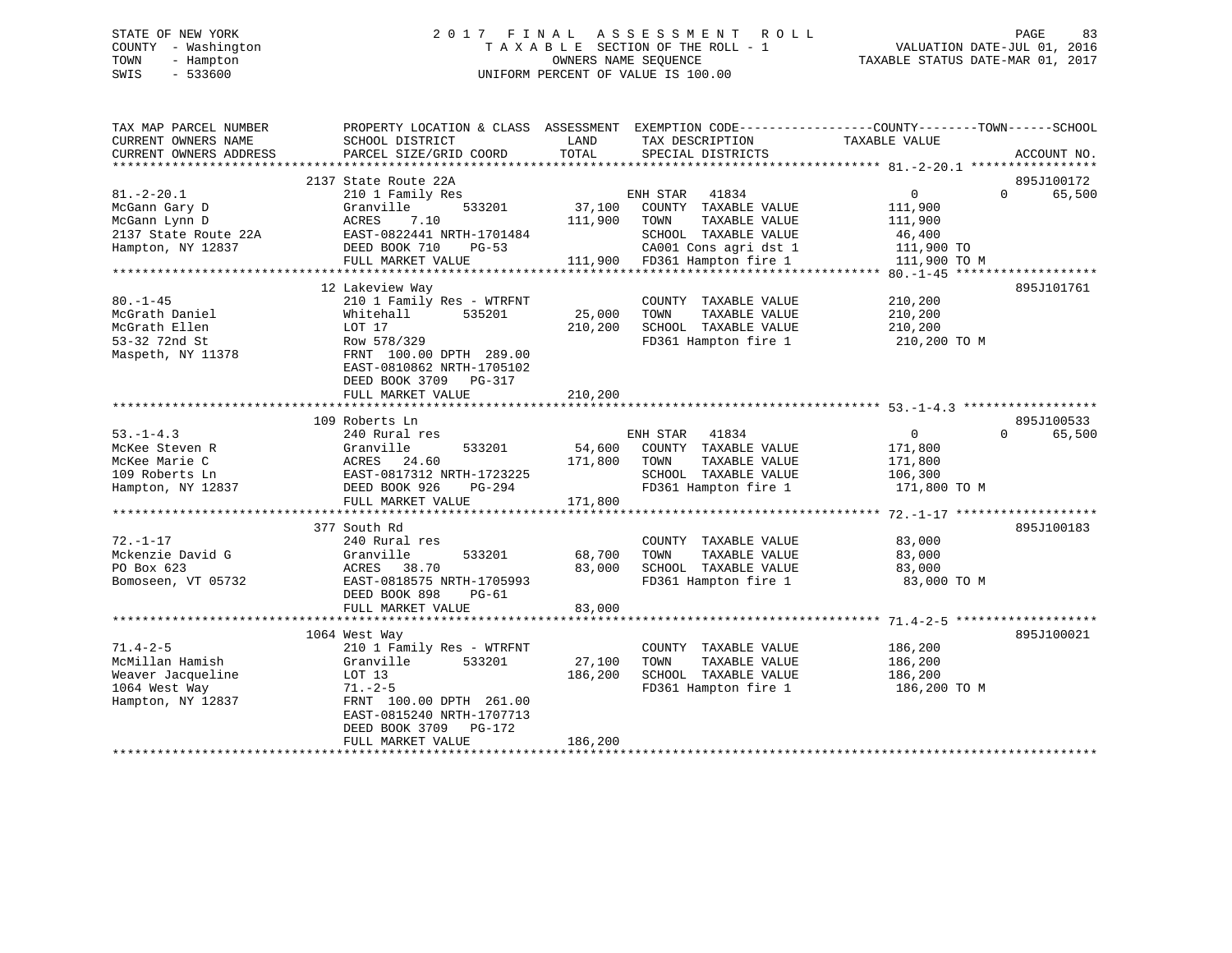# STATE OF NEW YORK 2 0 1 7 F I N A L A S S E S S M E N T R O L L PAGE 83 COUNTY - Washington T A X A B L E SECTION OF THE ROLL - 1 VALUATION DATE-JUL 01, 2016 TOWN - Hampton OWNERS NAME SEQUENCE TAXABLE STATUS DATE-MAR 01, 2017 SWIS - 533600 UNIFORM PERCENT OF VALUE IS 100.00

| TAX MAP PARCEL NUMBER<br>CURRENT OWNERS NAME                                                    | PROPERTY LOCATION & CLASS ASSESSMENT<br>SCHOOL DISTRICT                                                                                                                                            | LAND                         | EXEMPTION CODE-----------------COUNTY-------TOWN------SCHOOL<br>TAX DESCRIPTION                                                                  | TAXABLE VALUE                                                   |                                  |
|-------------------------------------------------------------------------------------------------|----------------------------------------------------------------------------------------------------------------------------------------------------------------------------------------------------|------------------------------|--------------------------------------------------------------------------------------------------------------------------------------------------|-----------------------------------------------------------------|----------------------------------|
| CURRENT OWNERS ADDRESS                                                                          | PARCEL SIZE/GRID COORD                                                                                                                                                                             | TOTAL                        | SPECIAL DISTRICTS                                                                                                                                |                                                                 | ACCOUNT NO.                      |
| $81. - 2 - 20.1$<br>McGann Gary D<br>McGann Lynn D<br>2137 State Route 22A<br>Hampton, NY 12837 | 2137 State Route 22A<br>210 1 Family Res<br>533201<br>Granville<br>7.10<br>ACRES<br>EAST-0822441 NRTH-1701484<br>DEED BOOK 710<br>$PG-53$<br>FULL MARKET VALUE                                     | 37,100<br>111,900            | ENH STAR 41834<br>COUNTY TAXABLE VALUE<br>TAXABLE VALUE<br>TOWN<br>SCHOOL TAXABLE VALUE<br>CA001 Cons agri dst 1<br>111,900 FD361 Hampton fire 1 | 0<br>111,900<br>111,900<br>46,400<br>111,900 TO<br>111,900 TO M | 895J100172<br>$\Omega$<br>65,500 |
|                                                                                                 |                                                                                                                                                                                                    |                              |                                                                                                                                                  |                                                                 |                                  |
| $80. - 1 - 45$<br>McGrath Daniel<br>McGrath Ellen<br>53-32 72nd St<br>Maspeth, NY 11378         | 12 Lakeview Way<br>210 1 Family Res - WTRFNT<br>535201<br>Whitehall<br>LOT 17<br>Row 578/329<br>FRNT 100.00 DPTH 289.00<br>EAST-0810862 NRTH-1705102<br>DEED BOOK 3709 PG-317<br>FULL MARKET VALUE | 25,000<br>210,200<br>210,200 | COUNTY TAXABLE VALUE<br>TOWN<br>TAXABLE VALUE<br>SCHOOL TAXABLE VALUE<br>FD361 Hampton fire 1                                                    | 210,200<br>210,200<br>210,200<br>210,200 TO M                   | 895J101761                       |
|                                                                                                 |                                                                                                                                                                                                    |                              |                                                                                                                                                  |                                                                 |                                  |
| $53. - 1 - 4.3$<br>McKee Steven R<br>McKee Marie C<br>109 Roberts Ln<br>Hampton, NY 12837       | 109 Roberts Ln<br>240 Rural res<br>Granville<br>533201<br>ACRES 24.60<br>EAST-0817312 NRTH-1723225<br>DEED BOOK 926<br>PG-294<br>FULL MARKET VALUE                                                 | 54,600<br>171,800<br>171,800 | ENH STAR 41834<br>COUNTY TAXABLE VALUE<br>TOWN<br>TAXABLE VALUE<br>SCHOOL TAXABLE VALUE<br>FD361 Hampton fire 1                                  | $\overline{0}$<br>171,800<br>171,800<br>106,300<br>171,800 TO M | 895J100533<br>65,500<br>$\Omega$ |
|                                                                                                 | 377 South Rd                                                                                                                                                                                       |                              |                                                                                                                                                  |                                                                 | 895J100183                       |
| $72. - 1 - 17$<br>Mckenzie David G<br>PO Box 623<br>Bomoseen, VT 05732                          | 240 Rural res<br>Granville<br>533201<br>38.70<br>ACRES<br>EAST-0818575 NRTH-1705993<br>DEED BOOK 898<br>PG-61<br>FULL MARKET VALUE                                                                 | 68,700<br>83,000<br>83,000   | COUNTY TAXABLE VALUE<br>TAXABLE VALUE<br>TOWN<br>SCHOOL TAXABLE VALUE<br>FD361 Hampton fire 1                                                    | 83,000<br>83,000<br>83,000<br>83,000 TO M                       |                                  |
|                                                                                                 |                                                                                                                                                                                                    |                              |                                                                                                                                                  |                                                                 |                                  |
| $71.4 - 2 - 5$<br>McMillan Hamish<br>Weaver Jacqueline<br>1064 West Way<br>Hampton, NY 12837    | 1064 West Way<br>210 1 Family Res - WTRFNT<br>533201<br>Granville<br>LOT 13<br>$71. - 2 - 5$<br>FRNT 100.00 DPTH 261.00<br>EAST-0815240 NRTH-1707713<br>DEED BOOK 3709 PG-172                      | 27,100<br>186,200            | COUNTY TAXABLE VALUE<br>TAXABLE VALUE<br>TOWN<br>SCHOOL TAXABLE VALUE<br>FD361 Hampton fire 1                                                    | 186,200<br>186,200<br>186,200<br>186,200 TO M                   | 895J100021                       |
|                                                                                                 | FULL MARKET VALUE                                                                                                                                                                                  | 186,200                      |                                                                                                                                                  |                                                                 |                                  |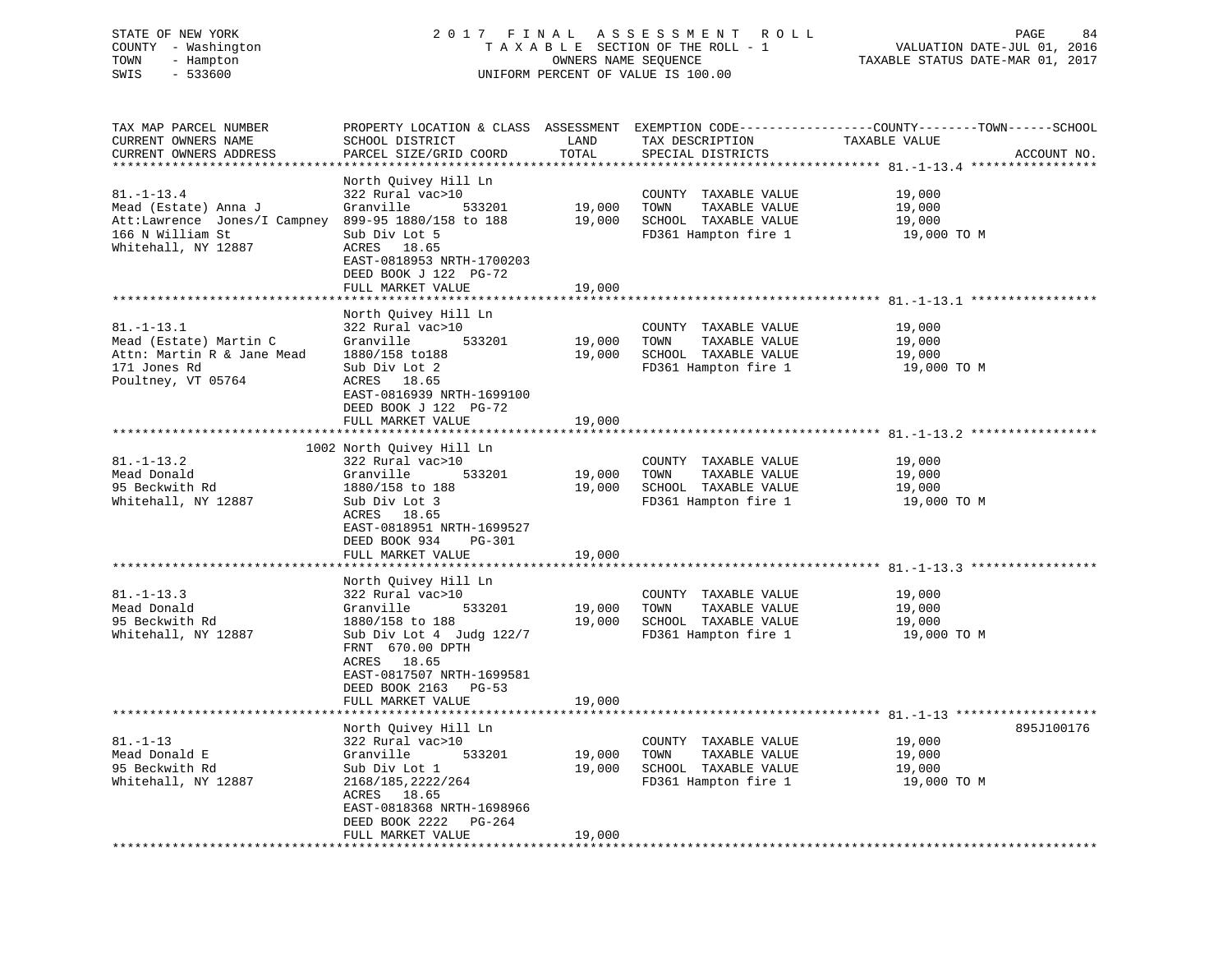# STATE OF NEW YORK 2 0 1 7 F I N A L A S S E S S M E N T R O L L PAGE 84 COUNTY - Washington T A X A B L E SECTION OF THE ROLL - 1 VALUATION DATE-JUL 01, 2016 TOWN - Hampton OWNERS NAME SEQUENCE TAXABLE STATUS DATE-MAR 01, 2017 SWIS - 533600 UNIFORM PERCENT OF VALUE IS 100.00

TAX MAP PARCEL NUMBER PROPERTY LOCATION & CLASS ASSESSMENT EXEMPTION CODE------------------COUNTY--------TOWN------SCHOOL

CURRENT OWNERS NAME SCHOOL DISTRICT LAND TAX DESCRIPTION TAXABLE VALUE CURRENT OWNERS ADDRESS PARCEL SIZE/GRID COORD TOTAL SPECIAL DISTRICTS ACCOUNT NO. \*\*\*\*\*\*\*\*\*\*\*\*\*\*\*\*\*\*\*\*\*\*\*\*\*\*\*\*\*\*\*\*\*\*\*\*\*\*\*\*\*\*\*\*\*\*\*\*\*\*\*\*\*\*\*\*\*\*\*\*\*\*\*\*\*\*\*\*\*\*\*\*\*\*\*\*\*\*\*\*\*\*\*\*\*\*\*\*\*\*\*\*\*\*\*\*\*\*\*\*\*\*\* 81.-1-13.4 \*\*\*\*\*\*\*\*\*\*\*\*\*\*\*\*\* North Quivey Hill Ln 81.-1-13.4 322 Rural vac>10 COUNTY TAXABLE VALUE 19,000 Mead (Estate) Anna J Granville 533201 19,000 TOWN TAXABLE VALUE 19,000 Att:Lawrence Jones/I Campney 899-95 1880/158 to 188 19,000 SCHOOL TAXABLE VALUE 19,000 166 N William St Sub Div Lot 5 FD361 Hampton fire 1 19,000 TO M Whitehall, NY 12887 ACRES 18.65 EAST-0818953 NRTH-1700203 DEED BOOK J 122 PG-72FULL MARKET VALUE 19,000 \*\*\*\*\*\*\*\*\*\*\*\*\*\*\*\*\*\*\*\*\*\*\*\*\*\*\*\*\*\*\*\*\*\*\*\*\*\*\*\*\*\*\*\*\*\*\*\*\*\*\*\*\*\*\*\*\*\*\*\*\*\*\*\*\*\*\*\*\*\*\*\*\*\*\*\*\*\*\*\*\*\*\*\*\*\*\*\*\*\*\*\*\*\*\*\*\*\*\*\*\*\*\* 81.-1-13.1 \*\*\*\*\*\*\*\*\*\*\*\*\*\*\*\*\* North Quivey Hill Ln 81.-1-13.1 322 Rural vac>10 COUNTY TAXABLE VALUE 19,000 Mead (Estate) Martin C Granville 533201 19,000 TOWN TAXABLE VALUE 19,000 Attn: Martin R & Jane Mead 1880/158 to188 19,000 SCHOOL TAXABLE VALUE 19,000 171 Jones Rd Sub Div Lot 2 FD361 Hampton fire 1 19,000 TO M Poultney, VT 05764 ACRES 18.65 EAST-0816939 NRTH-1699100 DEED BOOK J 122 PG-72 FULL MARKET VALUE 19,000 \*\*\*\*\*\*\*\*\*\*\*\*\*\*\*\*\*\*\*\*\*\*\*\*\*\*\*\*\*\*\*\*\*\*\*\*\*\*\*\*\*\*\*\*\*\*\*\*\*\*\*\*\*\*\*\*\*\*\*\*\*\*\*\*\*\*\*\*\*\*\*\*\*\*\*\*\*\*\*\*\*\*\*\*\*\*\*\*\*\*\*\*\*\*\*\*\*\*\*\*\*\*\* 81.-1-13.2 \*\*\*\*\*\*\*\*\*\*\*\*\*\*\*\*\* 1002 North Quivey Hill Ln 81.-1-13.2 322 Rural vac>10 COUNTY TAXABLE VALUE 19,000 Mead Donald Granville 533201 19,000 TOWN TAXABLE VALUE 19,000 95 Beckwith Rd 1880/158 to 188 19,000 SCHOOL TAXABLE VALUE 19,000 Whitehall, NY 12887 Sub Div Lot 3 FD361 Hampton fire 1 19,000 TO M ACRES 18.65 EAST-0818951 NRTH-1699527 DEED BOOK 934 PG-301FULL MARKET VALUE 19,000 \*\*\*\*\*\*\*\*\*\*\*\*\*\*\*\*\*\*\*\*\*\*\*\*\*\*\*\*\*\*\*\*\*\*\*\*\*\*\*\*\*\*\*\*\*\*\*\*\*\*\*\*\*\*\*\*\*\*\*\*\*\*\*\*\*\*\*\*\*\*\*\*\*\*\*\*\*\*\*\*\*\*\*\*\*\*\*\*\*\*\*\*\*\*\*\*\*\*\*\*\*\*\* 81.-1-13.3 \*\*\*\*\*\*\*\*\*\*\*\*\*\*\*\*\* North Quivey Hill Ln 81.-1-13.3 322 Rural vac>10 COUNTY TAXABLE VALUE 19,000 Mead Donald Granville 533201 19,000 TOWN TAXABLE VALUE 19,000 95 Beckwith Rd 1880/158 to 188 19,000 SCHOOL TAXABLE VALUE 19,000 Whitehall, NY 12887 Sub Div Lot 4 Judg 122/7 FD361 Hampton fire 1 19,000 TO M FRNT 670.00 DPTH ACRES 18.65 EAST-0817507 NRTH-1699581 DEED BOOK 2163 PG-53FULL MARKET VALUE 19,000 \*\*\*\*\*\*\*\*\*\*\*\*\*\*\*\*\*\*\*\*\*\*\*\*\*\*\*\*\*\*\*\*\*\*\*\*\*\*\*\*\*\*\*\*\*\*\*\*\*\*\*\*\*\*\*\*\*\*\*\*\*\*\*\*\*\*\*\*\*\*\*\*\*\*\*\*\*\*\*\*\*\*\*\*\*\*\*\*\*\*\*\*\*\*\*\*\*\*\*\*\*\*\* 81.-1-13 \*\*\*\*\*\*\*\*\*\*\*\*\*\*\*\*\*\*\*895.T100176 North Quivey Hill Ln 895J100176 81.-1-13 322 Rural vac>10 COUNTY TAXABLE VALUE 19,000 Mead Donald E Granville 533201 19,000 TOWN TAXABLE VALUE 19,000 95 Beckwith Rd Sub Div Lot 1 19,000 SCHOOL TAXABLE VALUE 19,000 Whitehall, NY 12887 2168/185,2222/264 FD361 Hampton fire 1 19,000 TO M ACRES 18.65 EAST-0818368 NRTH-1698966 DEED BOOK 2222 PG-264 FULL MARKET VALUE 19,000 \*\*\*\*\*\*\*\*\*\*\*\*\*\*\*\*\*\*\*\*\*\*\*\*\*\*\*\*\*\*\*\*\*\*\*\*\*\*\*\*\*\*\*\*\*\*\*\*\*\*\*\*\*\*\*\*\*\*\*\*\*\*\*\*\*\*\*\*\*\*\*\*\*\*\*\*\*\*\*\*\*\*\*\*\*\*\*\*\*\*\*\*\*\*\*\*\*\*\*\*\*\*\*\*\*\*\*\*\*\*\*\*\*\*\*\*\*\*\*\*\*\*\*\*\*\*\*\*\*\*\*\*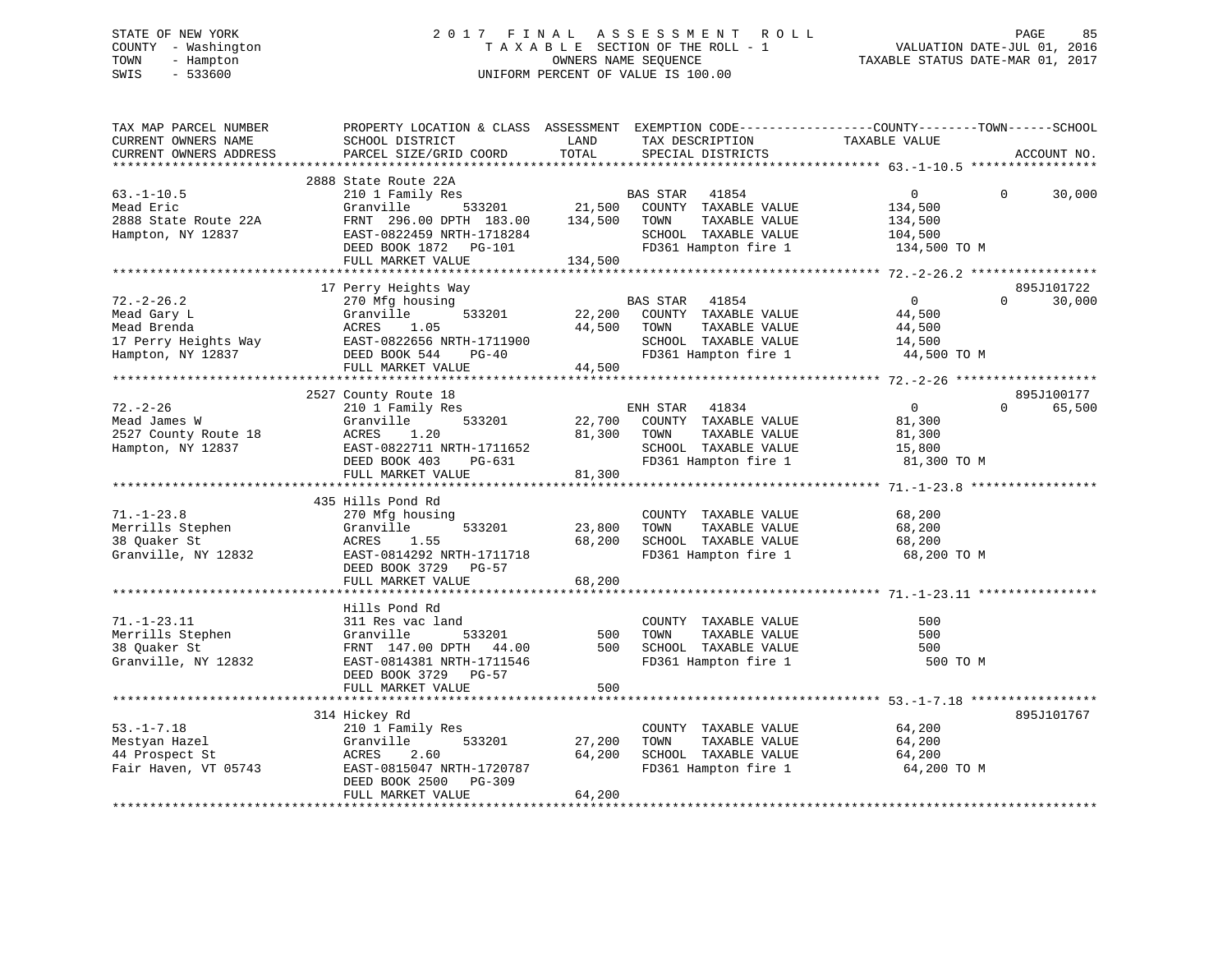# STATE OF NEW YORK 2 0 1 7 F I N A L A S S E S S M E N T R O L L PAGE 85 COUNTY - Washington T A X A B L E SECTION OF THE ROLL - 1 VALUATION DATE-JUL 01, 2016 TOWN - Hampton OWNERS NAME SEQUENCE TAXABLE STATUS DATE-MAR 01, 2017 SWIS - 533600 UNIFORM PERCENT OF VALUE IS 100.00

| TAX MAP PARCEL NUMBER<br>CURRENT OWNERS NAME<br>CURRENT OWNERS ADDRESS                      | PROPERTY LOCATION & CLASS ASSESSMENT EXEMPTION CODE----------------COUNTY-------TOWN------SCHOOL<br>SCHOOL DISTRICT<br>PARCEL SIZE/GRID COORD                         | LAND<br>TOTAL                | TAX DESCRIPTION<br>SPECIAL DISTRICTS                                                                               | TAXABLE VALUE                                                   | ACCOUNT NO.                      |
|---------------------------------------------------------------------------------------------|-----------------------------------------------------------------------------------------------------------------------------------------------------------------------|------------------------------|--------------------------------------------------------------------------------------------------------------------|-----------------------------------------------------------------|----------------------------------|
| *************************                                                                   |                                                                                                                                                                       |                              |                                                                                                                    |                                                                 |                                  |
| $63. - 1 - 10.5$<br>Mead Eric<br>2888 State Route 22A<br>Hampton, NY 12837                  | 2888 State Route 22A<br>210 1 Family Res<br>533201<br>Granville<br>FRNT 296.00 DPTH 183.00<br>EAST-0822459 NRTH-1718284<br>DEED BOOK 1872 PG-101<br>FULL MARKET VALUE | 21,500<br>134,500<br>134,500 | BAS STAR<br>41854<br>COUNTY TAXABLE VALUE<br>TOWN<br>TAXABLE VALUE<br>SCHOOL TAXABLE VALUE<br>FD361 Hampton fire 1 | $\overline{0}$<br>134,500<br>134,500<br>104,500<br>134,500 TO M | 30,000<br>$\Omega$               |
|                                                                                             |                                                                                                                                                                       |                              |                                                                                                                    |                                                                 |                                  |
| $72. - 2 - 26.2$<br>Mead Gary L<br>Mead Brenda<br>17 Perry Heights Way<br>Hampton, NY 12837 | 17 Perry Heights Way<br>270 Mfg housing<br>Granville<br>533201<br>1.05<br>ACRES<br>EAST-0822656 NRTH-1711900<br>DEED BOOK 544<br>PG-40<br>FULL MARKET VALUE           | 22,200<br>44,500<br>44,500   | BAS STAR 41854<br>COUNTY TAXABLE VALUE<br>TOWN<br>TAXABLE VALUE<br>SCHOOL TAXABLE VALUE<br>FD361 Hampton fire 1    | $\overline{0}$<br>44,500<br>44,500<br>14,500<br>44,500 TO M     | 895J101722<br>$\Omega$<br>30,000 |
|                                                                                             | 2527 County Route 18                                                                                                                                                  |                              |                                                                                                                    |                                                                 | 895J100177                       |
| $72. - 2 - 26$<br>Mead James W<br>2527 County Route 18<br>Hampton, NY 12837                 | 210 1 Family Res<br>533201<br>Granville<br>ACRES<br>1.20<br>EAST-0822711 NRTH-1711652<br>DEED BOOK 403<br>PG-631<br>FULL MARKET VALUE                                 | 22,700<br>81,300<br>81,300   | ENH STAR<br>41834<br>COUNTY TAXABLE VALUE<br>TOWN<br>TAXABLE VALUE<br>SCHOOL TAXABLE VALUE<br>FD361 Hampton fire 1 | $\overline{0}$<br>81,300<br>81,300<br>15,800<br>81,300 TO M     | 65,500<br>$\Omega$               |
|                                                                                             |                                                                                                                                                                       |                              |                                                                                                                    |                                                                 |                                  |
| $71. - 1 - 23.8$<br>Merrills Stephen<br>38 Quaker St<br>Granville, NY 12832                 | 435 Hills Pond Rd<br>270 Mfg housing<br>533201<br>Granville<br>ACRES<br>1.55<br>EAST-0814292 NRTH-1711718<br>DEED BOOK 3729 PG-57<br>FULL MARKET VALUE                | 23,800<br>68,200<br>68,200   | COUNTY TAXABLE VALUE<br>TAXABLE VALUE<br>TOWN<br>SCHOOL TAXABLE VALUE<br>FD361 Hampton fire 1                      | 68,200<br>68,200<br>68,200<br>68,200 TO M                       |                                  |
|                                                                                             |                                                                                                                                                                       |                              |                                                                                                                    |                                                                 |                                  |
| $71. - 1 - 23.11$<br>Merrills Stephen<br>38 Ouaker St<br>Granville, NY 12832                | Hills Pond Rd<br>311 Res vac land<br>533201<br>Granville<br>FRNT 147.00 DPTH 44.00<br>EAST-0814381 NRTH-1711546<br>DEED BOOK 3729 PG-57                               | 500<br>500                   | COUNTY TAXABLE VALUE<br>TOWN<br>TAXABLE VALUE<br>SCHOOL TAXABLE VALUE<br>FD361 Hampton fire 1                      | 500<br>500<br>500<br>500 TO M                                   |                                  |
|                                                                                             | FULL MARKET VALUE                                                                                                                                                     | 500                          |                                                                                                                    |                                                                 |                                  |
|                                                                                             | 314 Hickey Rd                                                                                                                                                         |                              |                                                                                                                    |                                                                 | 895J101767                       |
| $53. - 1 - 7.18$<br>Mestyan Hazel<br>44 Prospect St<br>Fair Haven, VT 05743                 | 210 1 Family Res<br>533201<br>Granville<br>ACRES<br>2.60<br>EAST-0815047 NRTH-1720787<br>DEED BOOK 2500<br>PG-309<br>FULL MARKET VALUE                                | 27,200<br>64,200<br>64,200   | COUNTY TAXABLE VALUE<br>TOWN<br>TAXABLE VALUE<br>SCHOOL TAXABLE VALUE<br>FD361 Hampton fire 1                      | 64,200<br>64,200<br>64,200<br>64,200 TO M                       |                                  |
|                                                                                             |                                                                                                                                                                       |                              |                                                                                                                    |                                                                 |                                  |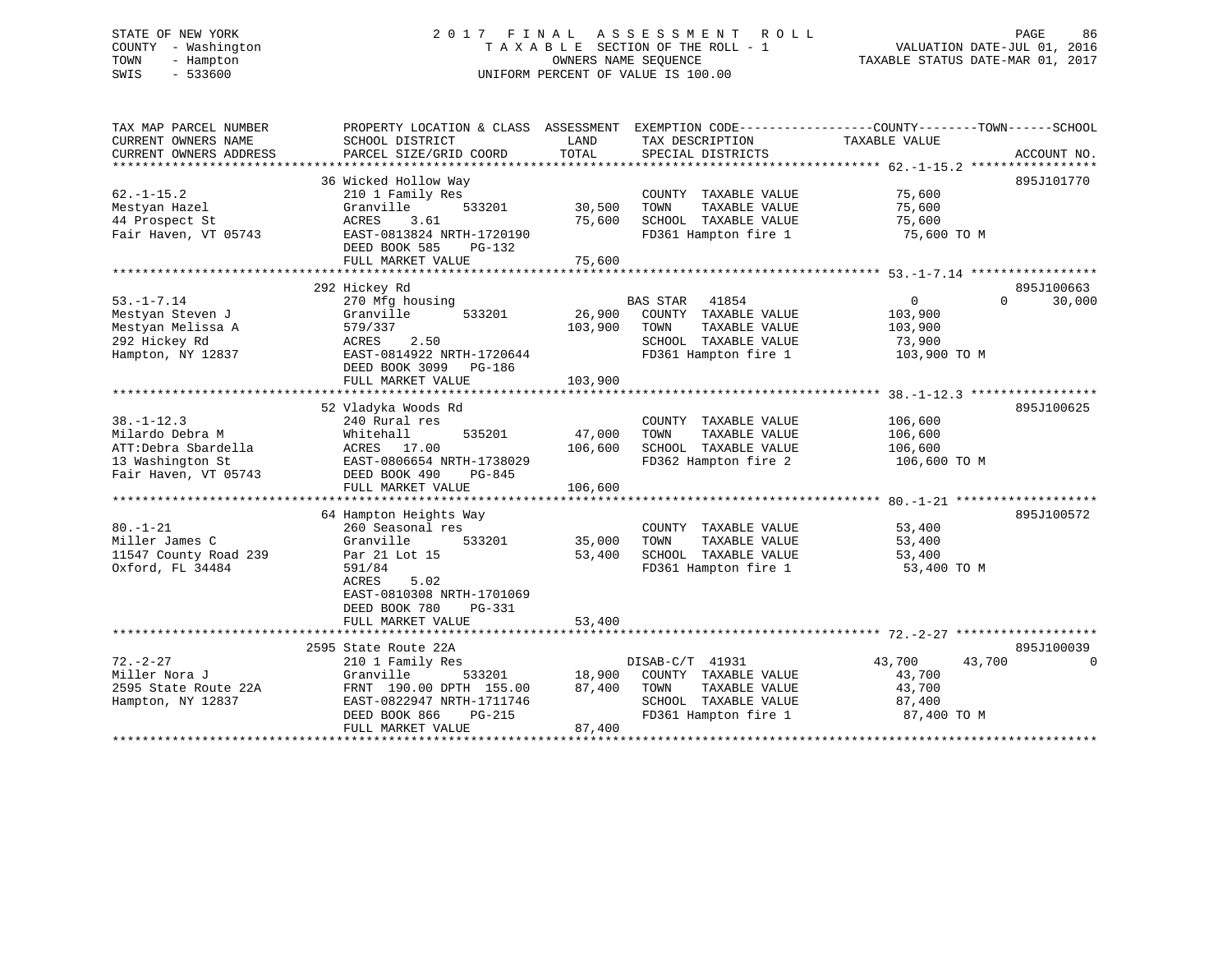# STATE OF NEW YORK 2 0 1 7 F I N A L A S S E S S M E N T R O L L PAGE 86 COUNTY - Washington T A X A B L E SECTION OF THE ROLL - 1 VALUATION DATE-JUL 01, 2016 TOWN - Hampton OWNERS NAME SEQUENCE TAXABLE STATUS DATE-MAR 01, 2017 SWIS - 533600 UNIFORM PERCENT OF VALUE IS 100.00

| TAX MAP PARCEL NUMBER  | PROPERTY LOCATION & CLASS ASSESSMENT EXEMPTION CODE---------------COUNTY-------TOWN-----SCHOOL |         |                       |                  |                    |
|------------------------|------------------------------------------------------------------------------------------------|---------|-----------------------|------------------|--------------------|
| CURRENT OWNERS NAME    | SCHOOL DISTRICT                                                                                | LAND    | TAX DESCRIPTION       | TAXABLE VALUE    |                    |
| CURRENT OWNERS ADDRESS | PARCEL SIZE/GRID COORD                                                                         | TOTAL   | SPECIAL DISTRICTS     |                  | ACCOUNT NO.        |
|                        |                                                                                                |         |                       |                  |                    |
|                        | 36 Wicked Hollow Way                                                                           |         |                       |                  | 895J101770         |
| $62. -1 - 15.2$        | 210 1 Family Res                                                                               |         | COUNTY TAXABLE VALUE  | 75,600           |                    |
| Mestyan Hazel          | Granville<br>533201                                                                            | 30,500  | TAXABLE VALUE<br>TOWN | 75,600           |                    |
| 44 Prospect St         | 3.61<br>ACRES                                                                                  | 75,600  | SCHOOL TAXABLE VALUE  | 75,600           |                    |
| Fair Haven, VT 05743   | EAST-0813824 NRTH-1720190                                                                      |         | FD361 Hampton fire 1  | 75,600 TO M      |                    |
|                        | DEED BOOK 585<br>PG-132                                                                        |         |                       |                  |                    |
|                        | FULL MARKET VALUE                                                                              | 75,600  |                       |                  |                    |
|                        |                                                                                                |         |                       |                  |                    |
|                        | 292 Hickey Rd                                                                                  |         |                       |                  | 895J100663         |
| $53. - 1 - 7.14$       | 270 Mfg housing                                                                                |         | BAS STAR 41854        | $\mathbf{0}$     | $\Omega$<br>30,000 |
| Mestyan Steven J       | Granville<br>533201                                                                            | 26,900  | COUNTY TAXABLE VALUE  | 103,900          |                    |
| Mestyan Melissa A      | 579/337                                                                                        | 103,900 | TOWN<br>TAXABLE VALUE | 103,900          |                    |
| 292 Hickey Rd          | 2.50<br>ACRES                                                                                  |         | SCHOOL TAXABLE VALUE  | 73,900           |                    |
| Hampton, NY 12837      | EAST-0814922 NRTH-1720644                                                                      |         | FD361 Hampton fire 1  | 103,900 TO M     |                    |
|                        | DEED BOOK 3099 PG-186                                                                          |         |                       |                  |                    |
|                        | FULL MARKET VALUE                                                                              | 103,900 |                       |                  |                    |
|                        |                                                                                                |         |                       |                  |                    |
|                        | 52 Vladyka Woods Rd                                                                            |         |                       |                  | 895J100625         |
| $38. - 1 - 12.3$       | 240 Rural res                                                                                  |         | COUNTY TAXABLE VALUE  | 106,600          |                    |
| Milardo Debra M        | Whitehall<br>535201                                                                            | 47,000  | TAXABLE VALUE<br>TOWN | 106,600          |                    |
| ATT:Debra Sbardella    | ACRES 17.00                                                                                    | 106,600 | SCHOOL TAXABLE VALUE  | 106,600          |                    |
| 13 Washington St       | EAST-0806654 NRTH-1738029                                                                      |         | FD362 Hampton fire 2  | 106,600 ТО М     |                    |
| Fair Haven, VT 05743   | DEED BOOK 490<br>PG-845                                                                        |         |                       |                  |                    |
|                        | FULL MARKET VALUE                                                                              | 106,600 |                       |                  |                    |
|                        |                                                                                                |         |                       |                  |                    |
|                        | 64 Hampton Heights Way                                                                         |         |                       |                  | 895J100572         |
| $80. - 1 - 21$         | 260 Seasonal res                                                                               |         | COUNTY TAXABLE VALUE  | 53,400           |                    |
| Miller James C         | Granville<br>533201                                                                            | 35,000  | TAXABLE VALUE<br>TOWN | 53,400           |                    |
| 11547 County Road 239  | Par 21 Lot 15                                                                                  | 53,400  | SCHOOL TAXABLE VALUE  | 53,400           |                    |
| Oxford, FL 34484       | 591/84                                                                                         |         | FD361 Hampton fire 1  | 53,400 TO M      |                    |
|                        | ACRES<br>5.02                                                                                  |         |                       |                  |                    |
|                        | EAST-0810308 NRTH-1701069                                                                      |         |                       |                  |                    |
|                        | DEED BOOK 780<br>PG-331                                                                        |         |                       |                  |                    |
|                        | FULL MARKET VALUE                                                                              | 53,400  |                       |                  |                    |
|                        |                                                                                                |         |                       |                  |                    |
|                        | 2595 State Route 22A                                                                           |         |                       |                  | 895J100039         |
| $72. - 2 - 27$         | 210 1 Family Res                                                                               |         | DISAB-C/T 41931       | 43,700<br>43,700 | $\Omega$           |
| Miller Nora J          | Granville<br>533201                                                                            | 18,900  | COUNTY TAXABLE VALUE  | 43,700           |                    |
|                        |                                                                                                |         | TOWN                  |                  |                    |
| 2595 State Route 22A   | FRNT 190.00 DPTH 155.00                                                                        | 87,400  | TAXABLE VALUE         | 43,700           |                    |
| Hampton, NY 12837      | EAST-0822947 NRTH-1711746                                                                      |         | SCHOOL TAXABLE VALUE  | 87,400           |                    |
|                        | DEED BOOK 866<br>PG-215                                                                        |         | FD361 Hampton fire 1  | 87,400 TO M      |                    |
|                        | FULL MARKET VALUE                                                                              | 87,400  |                       |                  |                    |
|                        |                                                                                                |         |                       |                  |                    |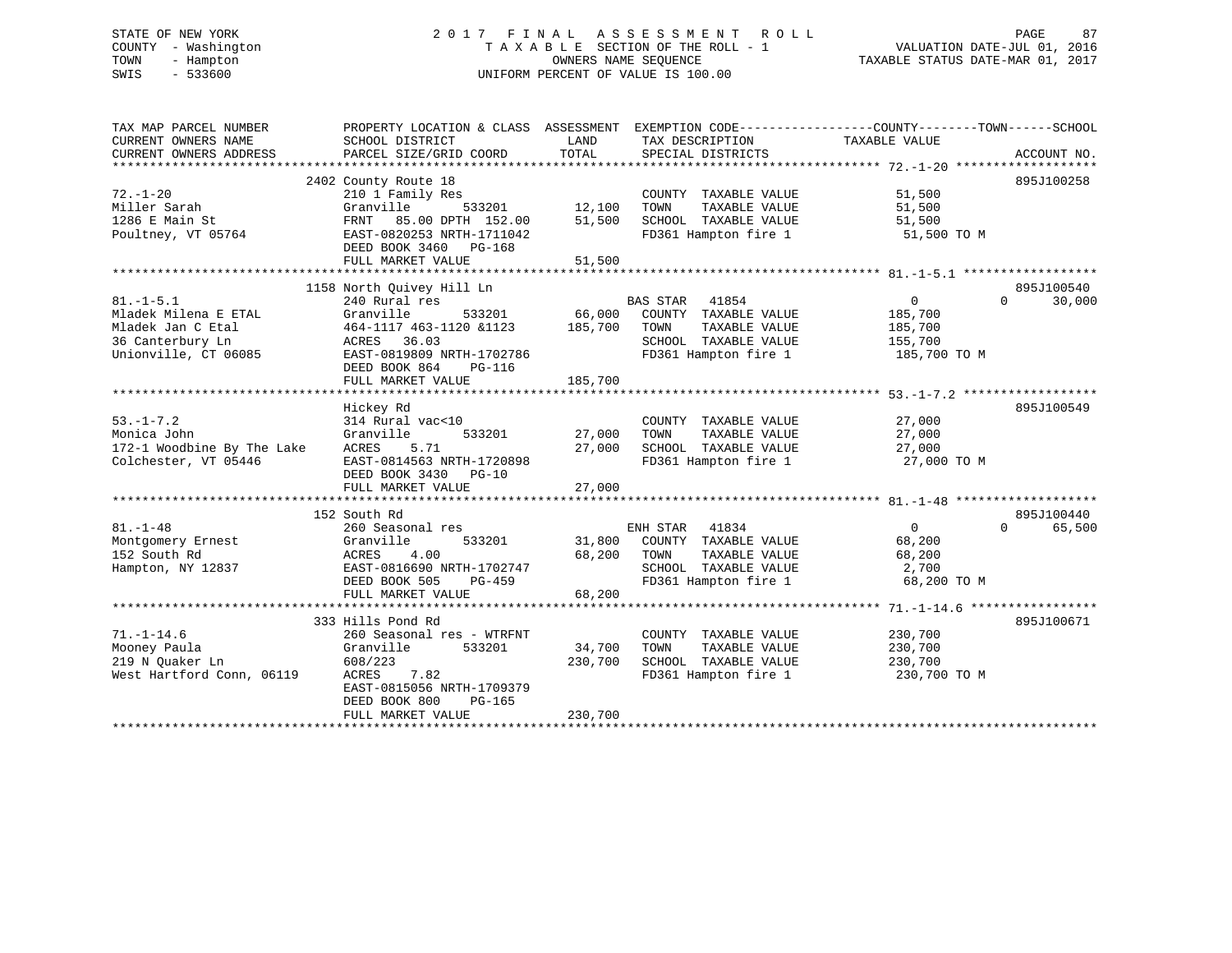# STATE OF NEW YORK 2 0 1 7 F I N A L A S S E S S M E N T R O L L PAGE 87 COUNTY - Washington T A X A B L E SECTION OF THE ROLL - 1 VALUATION DATE-JUL 01, 2016 TOWN - Hampton OWNERS NAME SEQUENCE TAXABLE STATUS DATE-MAR 01, 2017 SWIS - 533600 UNIFORM PERCENT OF VALUE IS 100.00

| TAX MAP PARCEL NUMBER<br>CURRENT OWNERS NAME<br>CURRENT OWNERS ADDRESS | PROPERTY LOCATION & CLASS ASSESSMENT EXEMPTION CODE---------------COUNTY-------TOWN-----SCHOOL<br>SCHOOL DISTRICT<br>PARCEL SIZE/GRID COORD | LAND<br>TOTAL | TAX DESCRIPTION<br>SPECIAL DISTRICTS | TAXABLE VALUE  | ACCOUNT NO.        |
|------------------------------------------------------------------------|---------------------------------------------------------------------------------------------------------------------------------------------|---------------|--------------------------------------|----------------|--------------------|
|                                                                        |                                                                                                                                             |               |                                      |                |                    |
|                                                                        | 2402 County Route 18                                                                                                                        |               |                                      |                | 895J100258         |
| $72. - 1 - 20$                                                         | 210 1 Family Res                                                                                                                            |               | COUNTY TAXABLE VALUE                 | 51,500         |                    |
| Miller Sarah                                                           | Granville<br>533201                                                                                                                         | 12,100        | TAXABLE VALUE<br>TOWN                | 51,500         |                    |
| 1286 E Main St                                                         | 85.00 DPTH 152.00<br>FRNT                                                                                                                   | 51,500        | SCHOOL TAXABLE VALUE                 | 51,500         |                    |
| Poultney, VT 05764                                                     | EAST-0820253 NRTH-1711042                                                                                                                   |               | FD361 Hampton fire 1                 | 51,500 TO M    |                    |
|                                                                        | DEED BOOK 3460 PG-168                                                                                                                       |               |                                      |                |                    |
|                                                                        | FULL MARKET VALUE                                                                                                                           | 51,500        |                                      |                |                    |
|                                                                        |                                                                                                                                             |               |                                      |                |                    |
|                                                                        | 1158 North Quivey Hill Ln                                                                                                                   |               |                                      |                | 895J100540         |
| $81. - 1 - 5.1$                                                        | 240 Rural res                                                                                                                               |               | <b>BAS STAR</b><br>41854             | $\overline{0}$ | $\Omega$<br>30,000 |
| Mladek Milena E ETAL                                                   | Granville<br>533201                                                                                                                         |               | 66,000 COUNTY TAXABLE VALUE          | 185,700        |                    |
| Mladek Jan C Etal                                                      | 464-1117 463-1120 &1123 185,700                                                                                                             |               | TAXABLE VALUE<br>TOWN                | 185,700        |                    |
| 36 Canterbury Ln                                                       | ACRES 36.03                                                                                                                                 |               | SCHOOL TAXABLE VALUE                 | 155,700        |                    |
| Unionville, CT 06085                                                   | EAST-0819809 NRTH-1702786                                                                                                                   |               | FD361 Hampton fire 1                 | 185,700 TO M   |                    |
|                                                                        | DEED BOOK 864<br>$PG-116$                                                                                                                   |               |                                      |                |                    |
|                                                                        | FULL MARKET VALUE                                                                                                                           | 185,700       |                                      |                |                    |
|                                                                        |                                                                                                                                             |               |                                      |                |                    |
|                                                                        | Hickey Rd                                                                                                                                   |               |                                      |                | 895J100549         |
| $53. - 1 - 7.2$                                                        | 314 Rural vac<10                                                                                                                            |               | COUNTY TAXABLE VALUE                 | 27,000         |                    |
| Monica John                                                            | Granville<br>533201                                                                                                                         | 27,000        | TOWN<br>TAXABLE VALUE                | 27,000         |                    |
| 172-1 Woodbine By The Lake                                             | 5.71<br>ACRES                                                                                                                               | 27,000        | SCHOOL TAXABLE VALUE                 | 27,000         |                    |
| Colchester, VT 05446                                                   | EAST-0814563 NRTH-1720898                                                                                                                   |               | FD361 Hampton fire 1                 | 27,000 TO M    |                    |
|                                                                        | DEED BOOK 3430 PG-10                                                                                                                        |               |                                      |                |                    |
|                                                                        | FULL MARKET VALUE                                                                                                                           | 27,000        |                                      |                |                    |
|                                                                        |                                                                                                                                             |               |                                      |                |                    |
|                                                                        | 152 South Rd                                                                                                                                |               |                                      |                | 895J100440         |
| $81. - 1 - 48$                                                         | 260 Seasonal res                                                                                                                            |               | ENH STAR 41834                       | $\overline{0}$ | 65,500<br>$\Omega$ |
| Montgomery Ernest                                                      | Granville<br>533201                                                                                                                         |               | 31,800 COUNTY TAXABLE VALUE          | 68,200         |                    |
| 152 South Rd                                                           | 4.00<br>ACRES                                                                                                                               | 68,200        | TAXABLE VALUE<br>TOWN                | 68,200         |                    |
| Hampton, NY 12837                                                      | EAST-0816690 NRTH-1702747                                                                                                                   |               | SCHOOL TAXABLE VALUE                 | 2,700          |                    |
|                                                                        | DEED BOOK 505<br>PG-459                                                                                                                     |               | FD361 Hampton fire 1                 | 68,200 TO M    |                    |
|                                                                        | FULL MARKET VALUE                                                                                                                           | 68,200        |                                      |                |                    |
|                                                                        |                                                                                                                                             |               |                                      |                |                    |
|                                                                        | 333 Hills Pond Rd                                                                                                                           |               |                                      |                | 895J100671         |
| $71. - 1 - 14.6$                                                       | 260 Seasonal res - WTRFNT                                                                                                                   |               | COUNTY TAXABLE VALUE                 | 230,700        |                    |
| Mooney Paula                                                           | Granville<br>533201                                                                                                                         | 34,700        | TAXABLE VALUE<br>TOWN                | 230,700        |                    |
| 219 N Ouaker Ln                                                        | 608/223                                                                                                                                     | 230,700       | SCHOOL TAXABLE VALUE                 | 230,700        |                    |
| West Hartford Conn, 06119                                              | ACRES<br>7.82                                                                                                                               |               | FD361 Hampton fire 1                 | 230,700 TO M   |                    |
|                                                                        | EAST-0815056 NRTH-1709379                                                                                                                   |               |                                      |                |                    |
|                                                                        | DEED BOOK 800<br>PG-165                                                                                                                     |               |                                      |                |                    |
|                                                                        | FULL MARKET VALUE                                                                                                                           | 230,700       |                                      |                |                    |
|                                                                        |                                                                                                                                             |               |                                      |                |                    |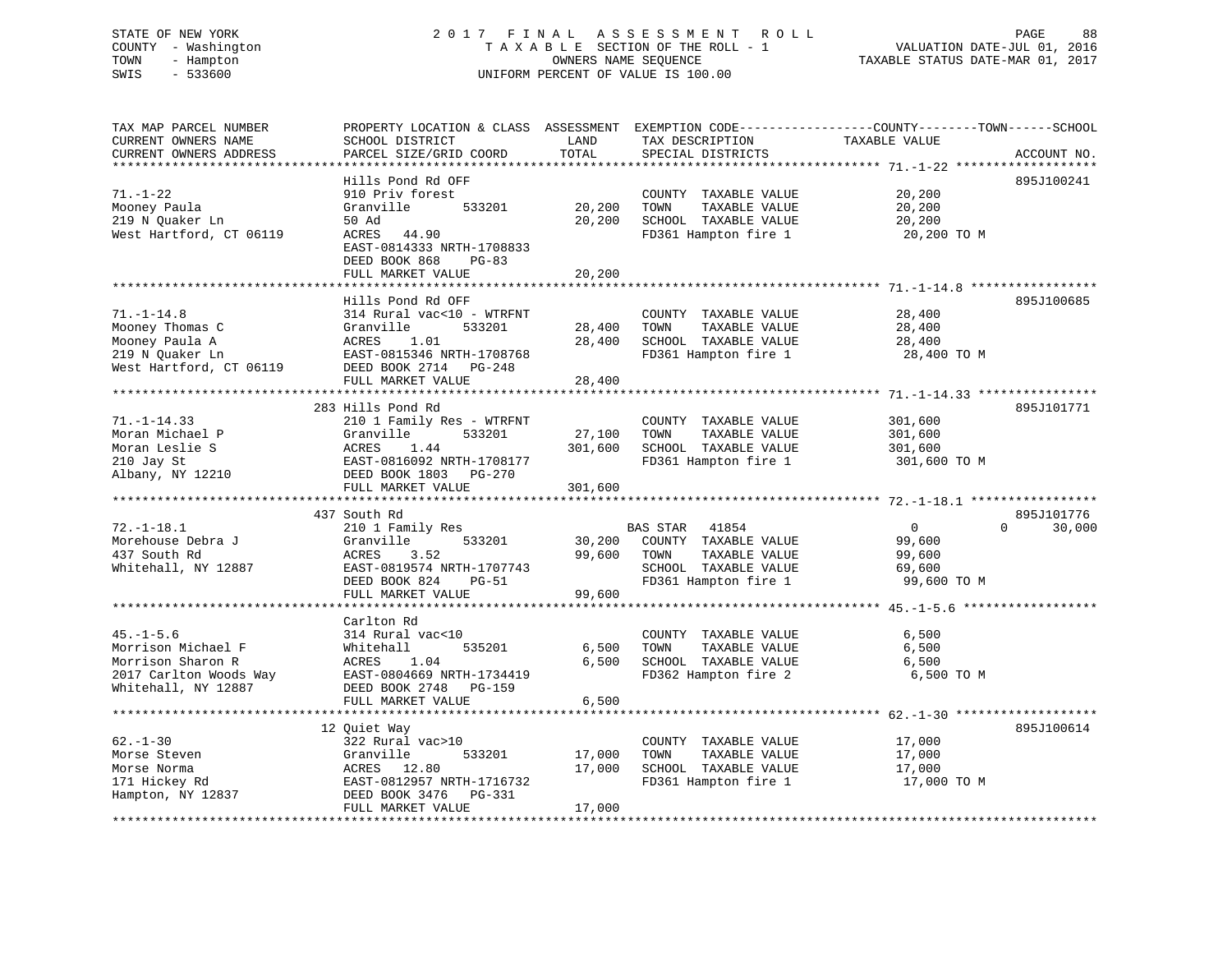#### STATE OF NEW YORK 2 0 1 7 F I N A L A S S E S S M E N T R O L L PAGE 88COUNTY - Washington  $T A X A B L E$  SECTION OF THE ROLL - 1<br>TOWN - Hampton DATE-JUL 000NERS NAME SEQUENCE TOWN - Hampton OWNERS NAME SEQUENCE TAXABLE STATUS DATE-MAR 01, 2017 SWIS - 533600 UNIFORM PERCENT OF VALUE IS 100.00

| TAX MAP PARCEL NUMBER<br>CURRENT OWNERS NAME<br>CURRENT OWNERS ADDRESS                                      | PROPERTY LOCATION & CLASS ASSESSMENT EXEMPTION CODE----------------COUNTY-------TOWN------SCHOOL<br>SCHOOL DISTRICT<br>PARCEL SIZE/GRID COORD                                                       | LAND<br>TOTAL                | TAX DESCRIPTION<br>SPECIAL DISTRICTS                                                                                      | TAXABLE VALUE                                               | ACCOUNT NO.                      |
|-------------------------------------------------------------------------------------------------------------|-----------------------------------------------------------------------------------------------------------------------------------------------------------------------------------------------------|------------------------------|---------------------------------------------------------------------------------------------------------------------------|-------------------------------------------------------------|----------------------------------|
| $71. - 1 - 22$<br>Mooney Paula<br>219 N Quaker Ln<br>West Hartford, CT 06119                                | Hills Pond Rd OFF<br>910 Priv forest<br>Granville<br>533201<br>50 Ad<br>ACRES<br>44.90<br>EAST-0814333 NRTH-1708833<br>DEED BOOK 868<br>$PG-83$<br>FULL MARKET VALUE<br>*************************** | 20,200<br>20,200<br>20,200   | COUNTY TAXABLE VALUE<br>TOWN<br>TAXABLE VALUE<br>SCHOOL TAXABLE VALUE<br>FD361 Hampton fire 1                             | 20,200<br>20,200<br>20,200<br>20,200 TO M                   | 895J100241                       |
| $71. - 1 - 14.8$<br>Mooney Thomas C<br>Mooney Paula A<br>219 N Quaker Ln<br>West Hartford, CT 06119         | Hills Pond Rd OFF<br>314 Rural vac<10 - WTRFNT<br>Granville<br>533201<br>ACRES<br>1.01<br>EAST-0815346 NRTH-1708768<br>DEED BOOK 2714 PG-248<br>FULL MARKET VALUE                                   | 28,400<br>28,400<br>28,400   | COUNTY TAXABLE VALUE<br>TOWN<br>TAXABLE VALUE<br>SCHOOL TAXABLE VALUE<br>FD361 Hampton fire 1                             | 28,400<br>28,400<br>28,400<br>28,400 TO M                   | 895J100685                       |
| $71. - 1 - 14.33$<br>Moran Michael P<br>Moran Leslie S<br>210 Jay St<br>Albany, NY 12210                    | 283 Hills Pond Rd<br>210 1 Family Res - WTRFNT<br>533201<br>Granville<br>ACRES<br>1.44<br>EAST-0816092 NRTH-1708177<br>DEED BOOK 1803 PG-270<br>FULL MARKET VALUE                                   | 27,100<br>301,600<br>301,600 | COUNTY TAXABLE VALUE<br>TOWN<br>TAXABLE VALUE<br>SCHOOL TAXABLE VALUE<br>FD361 Hampton fire 1                             | 301,600<br>301,600<br>301,600<br>301,600 TO M               | 895J101771                       |
| $72. - 1 - 18.1$<br>Morehouse Debra J<br>437 South Rd<br>Whitehall, NY 12887                                | 437 South Rd<br>210 1 Family Res<br>533201<br>Granville<br>ACRES<br>3.52<br>EAST-0819574 NRTH-1707743<br>DEED BOOK 824<br>$PG-51$<br>FULL MARKET VALUE                                              | 30,200<br>99,600<br>99,600   | <b>BAS STAR</b><br>41854<br>COUNTY TAXABLE VALUE<br>TAXABLE VALUE<br>TOWN<br>SCHOOL TAXABLE VALUE<br>FD361 Hampton fire 1 | $\overline{0}$<br>99,600<br>99,600<br>69,600<br>99,600 TO M | 895J101776<br>$\Omega$<br>30,000 |
| $45. - 1 - 5.6$<br>Morrison Michael F<br>Morrison Sharon R<br>2017 Carlton Woods Way<br>Whitehall, NY 12887 | Carlton Rd<br>314 Rural vac<10<br>Whitehall<br>535201<br>ACRES<br>1.04<br>EAST-0804669 NRTH-1734419<br>DEED BOOK 2748 PG-159<br>FULL MARKET VALUE                                                   | 6,500<br>6.500<br>6,500      | COUNTY TAXABLE VALUE<br>TOWN<br>TAXABLE VALUE<br>SCHOOL TAXABLE VALUE<br>FD362 Hampton fire 2                             | 6,500<br>6,500<br>6,500<br>6,500 TO M                       |                                  |
| $62 - 1 - 30$<br>Morse Steven<br>Morse Norma<br>171 Hickey Rd<br>Hampton, NY 12837                          | 12 Quiet Way<br>322 Rural vac>10<br>533201<br>Granville<br>ACRES 12.80<br>EAST-0812957 NRTH-1716732<br>DEED BOOK 3476 PG-331<br>FULL MARKET VALUE                                                   | 17,000<br>17,000<br>17,000   | COUNTY TAXABLE VALUE<br>TAXABLE VALUE<br>TOWN<br>SCHOOL TAXABLE VALUE<br>FD361 Hampton fire 1                             | 17,000<br>17,000<br>17,000<br>17,000 TO M                   | 895J100614                       |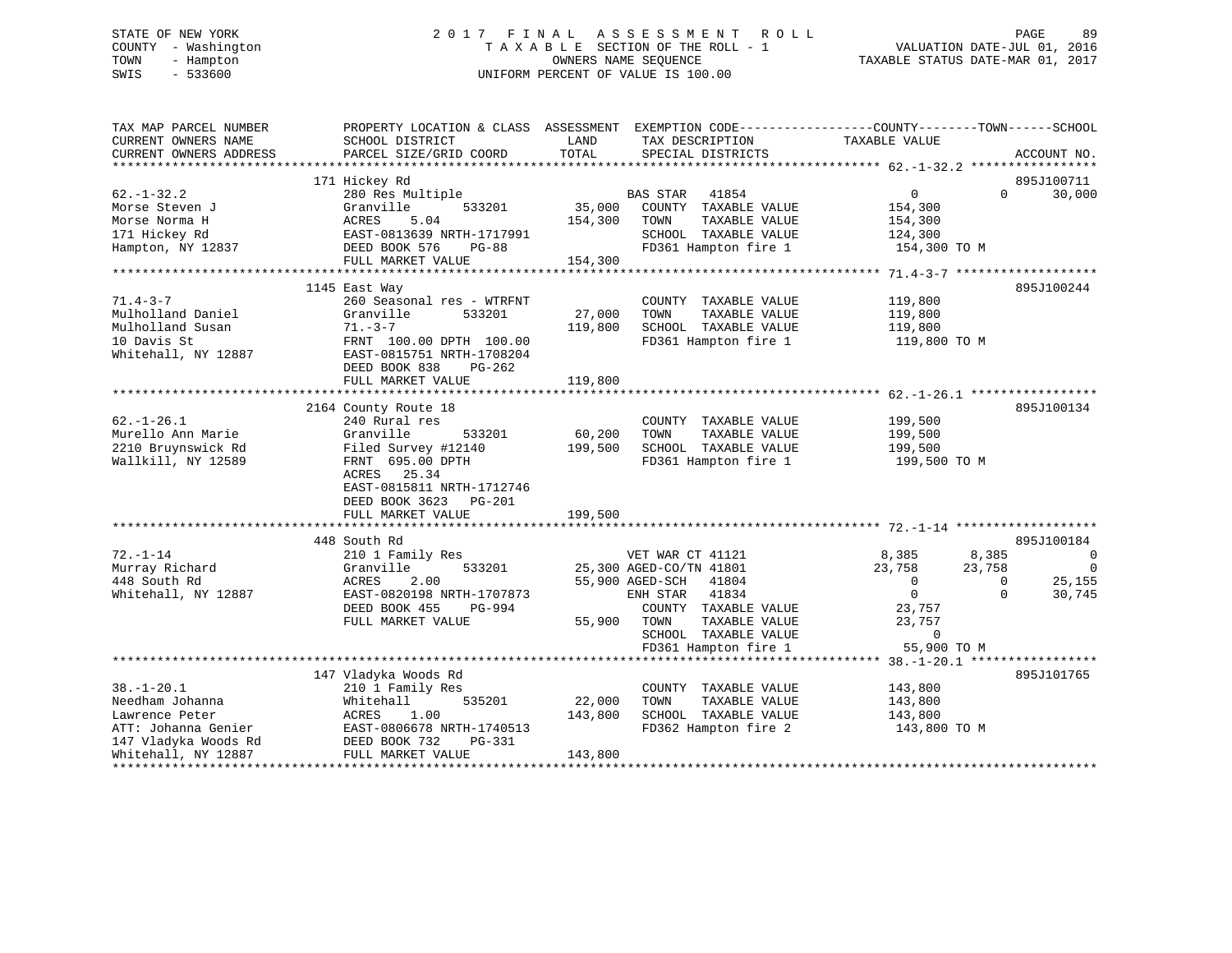#### STATE OF NEW YORK 2 0 1 7 F I N A L A S S E S S M E N T R O L L PAGE 89COUNTY - Washington T A X A B L E SECTION OF THE ROLL - 1 TOWN - Hampton OWNERS NAME SEQUENCE TAXABLE STATUS DATE-MAR 01, 2017 SWIS - 533600 UNIFORM PERCENT OF VALUE IS 100.00

| TOTAL<br>CURRENT OWNERS ADDRESS<br>PARCEL SIZE/GRID COORD<br>SPECIAL DISTRICTS<br>ACCOUNT NO.<br>171 Hickey Rd<br>895J100711<br>$62. - 1 - 32.2$<br>BAS STAR 41854<br>$\overline{0}$<br>30,000<br>280 Res Multiple<br>$\Omega$<br>35,000<br>Morse Steven J<br>Granville<br>533201<br>COUNTY TAXABLE VALUE<br>154,300<br>5.04<br>154,300<br>Morse Norma H<br>ACRES<br>TOWN<br>TAXABLE VALUE<br>154,300<br>171 Hickey Rd<br>EAST-0813639 NRTH-1717991<br>SCHOOL TAXABLE VALUE<br>124,300<br>DEED BOOK 576<br>FD361 Hampton fire 1<br>154,300 TO M<br>Hampton, NY 12837<br><b>PG-88</b><br>154,300<br>FULL MARKET VALUE<br>895J100244<br>1145 East Way<br>260 Seasonal res - WTRFNT<br>COUNTY TAXABLE VALUE<br>119,800<br>27,000<br>Mulholland Daniel<br>Granville<br>533201<br>TOWN<br>TAXABLE VALUE<br>119,800<br>119,800<br>SCHOOL TAXABLE VALUE<br>Mulholland Susan<br>$71. -3 - 7$<br>119,800<br>10 Davis St<br>FRNT 100.00 DPTH 100.00<br>FD361 Hampton fire 1<br>119,800 TO M<br>Whitehall, NY 12887<br>EAST-0815751 NRTH-1708204<br>DEED BOOK 838<br>PG-262<br>119,800<br>FULL MARKET VALUE<br>895J100134<br>2164 County Route 18<br>240 Rural res<br>COUNTY TAXABLE VALUE<br>199,500<br>Granville<br>533201<br>60,200<br>TOWN<br>TAXABLE VALUE<br>199,500<br>Filed Survey #12140<br>199,500<br>SCHOOL TAXABLE VALUE<br>199,500<br>FRNT 695.00 DPTH<br>FD361 Hampton fire 1<br>199,500 TO M<br>ACRES 25.34<br>EAST-0815811 NRTH-1712746<br>DEED BOOK 3623 PG-201<br>FULL MARKET VALUE<br>199,500<br>448 South Rd<br>895J100184<br>$72. - 1 - 14$<br>210 1 Family Res<br>VET WAR CT 41121<br>8,385<br>8,385<br>0<br>$\overline{0}$<br>Murray Richard<br>Granville<br>533201<br>25,300 AGED-CO/TN 41801<br>23,758<br>23,758<br>25,155<br>448 South Rd<br>ACRES<br>2.00<br>55,900 AGED-SCH 41804<br>$\overline{0}$<br>$\Omega$<br>ENH STAR 41834<br>$\overline{0}$<br>Whitehall, NY 12887<br>EAST-0820198 NRTH-1707873<br>$\Omega$<br>30,745<br>DEED BOOK 455<br>PG-994<br>COUNTY TAXABLE VALUE<br>23,757<br>55,900<br>FULL MARKET VALUE<br>TOWN<br>TAXABLE VALUE<br>23,757<br>SCHOOL TAXABLE VALUE<br>$\overline{0}$<br>FD361 Hampton fire 1<br>55,900 TO M<br>147 Vladyka Woods Rd<br>895J101765<br>$38. - 1 - 20.1$<br>210 1 Family Res<br>COUNTY TAXABLE VALUE<br>143,800<br>TAXABLE VALUE<br>Needham Johanna<br>535201<br>22,000<br>TOWN<br>Whitehall<br>143,800<br>Lawrence Peter<br>1.00<br>143,800<br>SCHOOL TAXABLE VALUE<br>143,800<br>ACRES<br>ATT: Johanna Genier<br>EAST-0806678 NRTH-1740513<br>FD362 Hampton fire 2<br>143,800 TO M<br>147 Vladyka Woods Rd<br>DEED BOOK 732<br>PG-331<br>Whitehall, NY 12887<br>FULL MARKET VALUE<br>143,800 | TAX MAP PARCEL NUMBER<br>CURRENT OWNERS NAME | PROPERTY LOCATION & CLASS ASSESSMENT<br>SCHOOL DISTRICT | LAND | EXEMPTION CODE-----------------COUNTY-------TOWN------SCHOOL<br>TAX DESCRIPTION | TAXABLE VALUE |  |
|----------------------------------------------------------------------------------------------------------------------------------------------------------------------------------------------------------------------------------------------------------------------------------------------------------------------------------------------------------------------------------------------------------------------------------------------------------------------------------------------------------------------------------------------------------------------------------------------------------------------------------------------------------------------------------------------------------------------------------------------------------------------------------------------------------------------------------------------------------------------------------------------------------------------------------------------------------------------------------------------------------------------------------------------------------------------------------------------------------------------------------------------------------------------------------------------------------------------------------------------------------------------------------------------------------------------------------------------------------------------------------------------------------------------------------------------------------------------------------------------------------------------------------------------------------------------------------------------------------------------------------------------------------------------------------------------------------------------------------------------------------------------------------------------------------------------------------------------------------------------------------------------------------------------------------------------------------------------------------------------------------------------------------------------------------------------------------------------------------------------------------------------------------------------------------------------------------------------------------------------------------------------------------------------------------------------------------------------------------------------------------------------------------------------------------------------------------------------------------------------------------------------------------------------------------------------------------------------------------------------------------------------------------------|----------------------------------------------|---------------------------------------------------------|------|---------------------------------------------------------------------------------|---------------|--|
|                                                                                                                                                                                                                                                                                                                                                                                                                                                                                                                                                                                                                                                                                                                                                                                                                                                                                                                                                                                                                                                                                                                                                                                                                                                                                                                                                                                                                                                                                                                                                                                                                                                                                                                                                                                                                                                                                                                                                                                                                                                                                                                                                                                                                                                                                                                                                                                                                                                                                                                                                                                                                                                                |                                              |                                                         |      |                                                                                 |               |  |
|                                                                                                                                                                                                                                                                                                                                                                                                                                                                                                                                                                                                                                                                                                                                                                                                                                                                                                                                                                                                                                                                                                                                                                                                                                                                                                                                                                                                                                                                                                                                                                                                                                                                                                                                                                                                                                                                                                                                                                                                                                                                                                                                                                                                                                                                                                                                                                                                                                                                                                                                                                                                                                                                |                                              |                                                         |      |                                                                                 |               |  |
|                                                                                                                                                                                                                                                                                                                                                                                                                                                                                                                                                                                                                                                                                                                                                                                                                                                                                                                                                                                                                                                                                                                                                                                                                                                                                                                                                                                                                                                                                                                                                                                                                                                                                                                                                                                                                                                                                                                                                                                                                                                                                                                                                                                                                                                                                                                                                                                                                                                                                                                                                                                                                                                                |                                              |                                                         |      |                                                                                 |               |  |
|                                                                                                                                                                                                                                                                                                                                                                                                                                                                                                                                                                                                                                                                                                                                                                                                                                                                                                                                                                                                                                                                                                                                                                                                                                                                                                                                                                                                                                                                                                                                                                                                                                                                                                                                                                                                                                                                                                                                                                                                                                                                                                                                                                                                                                                                                                                                                                                                                                                                                                                                                                                                                                                                |                                              |                                                         |      |                                                                                 |               |  |
|                                                                                                                                                                                                                                                                                                                                                                                                                                                                                                                                                                                                                                                                                                                                                                                                                                                                                                                                                                                                                                                                                                                                                                                                                                                                                                                                                                                                                                                                                                                                                                                                                                                                                                                                                                                                                                                                                                                                                                                                                                                                                                                                                                                                                                                                                                                                                                                                                                                                                                                                                                                                                                                                |                                              |                                                         |      |                                                                                 |               |  |
|                                                                                                                                                                                                                                                                                                                                                                                                                                                                                                                                                                                                                                                                                                                                                                                                                                                                                                                                                                                                                                                                                                                                                                                                                                                                                                                                                                                                                                                                                                                                                                                                                                                                                                                                                                                                                                                                                                                                                                                                                                                                                                                                                                                                                                                                                                                                                                                                                                                                                                                                                                                                                                                                |                                              |                                                         |      |                                                                                 |               |  |
|                                                                                                                                                                                                                                                                                                                                                                                                                                                                                                                                                                                                                                                                                                                                                                                                                                                                                                                                                                                                                                                                                                                                                                                                                                                                                                                                                                                                                                                                                                                                                                                                                                                                                                                                                                                                                                                                                                                                                                                                                                                                                                                                                                                                                                                                                                                                                                                                                                                                                                                                                                                                                                                                |                                              |                                                         |      |                                                                                 |               |  |
|                                                                                                                                                                                                                                                                                                                                                                                                                                                                                                                                                                                                                                                                                                                                                                                                                                                                                                                                                                                                                                                                                                                                                                                                                                                                                                                                                                                                                                                                                                                                                                                                                                                                                                                                                                                                                                                                                                                                                                                                                                                                                                                                                                                                                                                                                                                                                                                                                                                                                                                                                                                                                                                                |                                              |                                                         |      |                                                                                 |               |  |
|                                                                                                                                                                                                                                                                                                                                                                                                                                                                                                                                                                                                                                                                                                                                                                                                                                                                                                                                                                                                                                                                                                                                                                                                                                                                                                                                                                                                                                                                                                                                                                                                                                                                                                                                                                                                                                                                                                                                                                                                                                                                                                                                                                                                                                                                                                                                                                                                                                                                                                                                                                                                                                                                |                                              |                                                         |      |                                                                                 |               |  |
|                                                                                                                                                                                                                                                                                                                                                                                                                                                                                                                                                                                                                                                                                                                                                                                                                                                                                                                                                                                                                                                                                                                                                                                                                                                                                                                                                                                                                                                                                                                                                                                                                                                                                                                                                                                                                                                                                                                                                                                                                                                                                                                                                                                                                                                                                                                                                                                                                                                                                                                                                                                                                                                                |                                              |                                                         |      |                                                                                 |               |  |
|                                                                                                                                                                                                                                                                                                                                                                                                                                                                                                                                                                                                                                                                                                                                                                                                                                                                                                                                                                                                                                                                                                                                                                                                                                                                                                                                                                                                                                                                                                                                                                                                                                                                                                                                                                                                                                                                                                                                                                                                                                                                                                                                                                                                                                                                                                                                                                                                                                                                                                                                                                                                                                                                | $71.4 - 3 - 7$                               |                                                         |      |                                                                                 |               |  |
|                                                                                                                                                                                                                                                                                                                                                                                                                                                                                                                                                                                                                                                                                                                                                                                                                                                                                                                                                                                                                                                                                                                                                                                                                                                                                                                                                                                                                                                                                                                                                                                                                                                                                                                                                                                                                                                                                                                                                                                                                                                                                                                                                                                                                                                                                                                                                                                                                                                                                                                                                                                                                                                                |                                              |                                                         |      |                                                                                 |               |  |
|                                                                                                                                                                                                                                                                                                                                                                                                                                                                                                                                                                                                                                                                                                                                                                                                                                                                                                                                                                                                                                                                                                                                                                                                                                                                                                                                                                                                                                                                                                                                                                                                                                                                                                                                                                                                                                                                                                                                                                                                                                                                                                                                                                                                                                                                                                                                                                                                                                                                                                                                                                                                                                                                |                                              |                                                         |      |                                                                                 |               |  |
|                                                                                                                                                                                                                                                                                                                                                                                                                                                                                                                                                                                                                                                                                                                                                                                                                                                                                                                                                                                                                                                                                                                                                                                                                                                                                                                                                                                                                                                                                                                                                                                                                                                                                                                                                                                                                                                                                                                                                                                                                                                                                                                                                                                                                                                                                                                                                                                                                                                                                                                                                                                                                                                                |                                              |                                                         |      |                                                                                 |               |  |
|                                                                                                                                                                                                                                                                                                                                                                                                                                                                                                                                                                                                                                                                                                                                                                                                                                                                                                                                                                                                                                                                                                                                                                                                                                                                                                                                                                                                                                                                                                                                                                                                                                                                                                                                                                                                                                                                                                                                                                                                                                                                                                                                                                                                                                                                                                                                                                                                                                                                                                                                                                                                                                                                |                                              |                                                         |      |                                                                                 |               |  |
|                                                                                                                                                                                                                                                                                                                                                                                                                                                                                                                                                                                                                                                                                                                                                                                                                                                                                                                                                                                                                                                                                                                                                                                                                                                                                                                                                                                                                                                                                                                                                                                                                                                                                                                                                                                                                                                                                                                                                                                                                                                                                                                                                                                                                                                                                                                                                                                                                                                                                                                                                                                                                                                                |                                              |                                                         |      |                                                                                 |               |  |
|                                                                                                                                                                                                                                                                                                                                                                                                                                                                                                                                                                                                                                                                                                                                                                                                                                                                                                                                                                                                                                                                                                                                                                                                                                                                                                                                                                                                                                                                                                                                                                                                                                                                                                                                                                                                                                                                                                                                                                                                                                                                                                                                                                                                                                                                                                                                                                                                                                                                                                                                                                                                                                                                |                                              |                                                         |      |                                                                                 |               |  |
|                                                                                                                                                                                                                                                                                                                                                                                                                                                                                                                                                                                                                                                                                                                                                                                                                                                                                                                                                                                                                                                                                                                                                                                                                                                                                                                                                                                                                                                                                                                                                                                                                                                                                                                                                                                                                                                                                                                                                                                                                                                                                                                                                                                                                                                                                                                                                                                                                                                                                                                                                                                                                                                                |                                              |                                                         |      |                                                                                 |               |  |
|                                                                                                                                                                                                                                                                                                                                                                                                                                                                                                                                                                                                                                                                                                                                                                                                                                                                                                                                                                                                                                                                                                                                                                                                                                                                                                                                                                                                                                                                                                                                                                                                                                                                                                                                                                                                                                                                                                                                                                                                                                                                                                                                                                                                                                                                                                                                                                                                                                                                                                                                                                                                                                                                |                                              |                                                         |      |                                                                                 |               |  |
|                                                                                                                                                                                                                                                                                                                                                                                                                                                                                                                                                                                                                                                                                                                                                                                                                                                                                                                                                                                                                                                                                                                                                                                                                                                                                                                                                                                                                                                                                                                                                                                                                                                                                                                                                                                                                                                                                                                                                                                                                                                                                                                                                                                                                                                                                                                                                                                                                                                                                                                                                                                                                                                                | $62. - 1 - 26.1$                             |                                                         |      |                                                                                 |               |  |
|                                                                                                                                                                                                                                                                                                                                                                                                                                                                                                                                                                                                                                                                                                                                                                                                                                                                                                                                                                                                                                                                                                                                                                                                                                                                                                                                                                                                                                                                                                                                                                                                                                                                                                                                                                                                                                                                                                                                                                                                                                                                                                                                                                                                                                                                                                                                                                                                                                                                                                                                                                                                                                                                | Murello Ann Marie                            |                                                         |      |                                                                                 |               |  |
|                                                                                                                                                                                                                                                                                                                                                                                                                                                                                                                                                                                                                                                                                                                                                                                                                                                                                                                                                                                                                                                                                                                                                                                                                                                                                                                                                                                                                                                                                                                                                                                                                                                                                                                                                                                                                                                                                                                                                                                                                                                                                                                                                                                                                                                                                                                                                                                                                                                                                                                                                                                                                                                                | 2210 Bruynswick Rd                           |                                                         |      |                                                                                 |               |  |
|                                                                                                                                                                                                                                                                                                                                                                                                                                                                                                                                                                                                                                                                                                                                                                                                                                                                                                                                                                                                                                                                                                                                                                                                                                                                                                                                                                                                                                                                                                                                                                                                                                                                                                                                                                                                                                                                                                                                                                                                                                                                                                                                                                                                                                                                                                                                                                                                                                                                                                                                                                                                                                                                | Wallkill, NY 12589                           |                                                         |      |                                                                                 |               |  |
|                                                                                                                                                                                                                                                                                                                                                                                                                                                                                                                                                                                                                                                                                                                                                                                                                                                                                                                                                                                                                                                                                                                                                                                                                                                                                                                                                                                                                                                                                                                                                                                                                                                                                                                                                                                                                                                                                                                                                                                                                                                                                                                                                                                                                                                                                                                                                                                                                                                                                                                                                                                                                                                                |                                              |                                                         |      |                                                                                 |               |  |
|                                                                                                                                                                                                                                                                                                                                                                                                                                                                                                                                                                                                                                                                                                                                                                                                                                                                                                                                                                                                                                                                                                                                                                                                                                                                                                                                                                                                                                                                                                                                                                                                                                                                                                                                                                                                                                                                                                                                                                                                                                                                                                                                                                                                                                                                                                                                                                                                                                                                                                                                                                                                                                                                |                                              |                                                         |      |                                                                                 |               |  |
|                                                                                                                                                                                                                                                                                                                                                                                                                                                                                                                                                                                                                                                                                                                                                                                                                                                                                                                                                                                                                                                                                                                                                                                                                                                                                                                                                                                                                                                                                                                                                                                                                                                                                                                                                                                                                                                                                                                                                                                                                                                                                                                                                                                                                                                                                                                                                                                                                                                                                                                                                                                                                                                                |                                              |                                                         |      |                                                                                 |               |  |
|                                                                                                                                                                                                                                                                                                                                                                                                                                                                                                                                                                                                                                                                                                                                                                                                                                                                                                                                                                                                                                                                                                                                                                                                                                                                                                                                                                                                                                                                                                                                                                                                                                                                                                                                                                                                                                                                                                                                                                                                                                                                                                                                                                                                                                                                                                                                                                                                                                                                                                                                                                                                                                                                |                                              |                                                         |      |                                                                                 |               |  |
|                                                                                                                                                                                                                                                                                                                                                                                                                                                                                                                                                                                                                                                                                                                                                                                                                                                                                                                                                                                                                                                                                                                                                                                                                                                                                                                                                                                                                                                                                                                                                                                                                                                                                                                                                                                                                                                                                                                                                                                                                                                                                                                                                                                                                                                                                                                                                                                                                                                                                                                                                                                                                                                                |                                              |                                                         |      |                                                                                 |               |  |
|                                                                                                                                                                                                                                                                                                                                                                                                                                                                                                                                                                                                                                                                                                                                                                                                                                                                                                                                                                                                                                                                                                                                                                                                                                                                                                                                                                                                                                                                                                                                                                                                                                                                                                                                                                                                                                                                                                                                                                                                                                                                                                                                                                                                                                                                                                                                                                                                                                                                                                                                                                                                                                                                |                                              |                                                         |      |                                                                                 |               |  |
|                                                                                                                                                                                                                                                                                                                                                                                                                                                                                                                                                                                                                                                                                                                                                                                                                                                                                                                                                                                                                                                                                                                                                                                                                                                                                                                                                                                                                                                                                                                                                                                                                                                                                                                                                                                                                                                                                                                                                                                                                                                                                                                                                                                                                                                                                                                                                                                                                                                                                                                                                                                                                                                                |                                              |                                                         |      |                                                                                 |               |  |
|                                                                                                                                                                                                                                                                                                                                                                                                                                                                                                                                                                                                                                                                                                                                                                                                                                                                                                                                                                                                                                                                                                                                                                                                                                                                                                                                                                                                                                                                                                                                                                                                                                                                                                                                                                                                                                                                                                                                                                                                                                                                                                                                                                                                                                                                                                                                                                                                                                                                                                                                                                                                                                                                |                                              |                                                         |      |                                                                                 |               |  |
|                                                                                                                                                                                                                                                                                                                                                                                                                                                                                                                                                                                                                                                                                                                                                                                                                                                                                                                                                                                                                                                                                                                                                                                                                                                                                                                                                                                                                                                                                                                                                                                                                                                                                                                                                                                                                                                                                                                                                                                                                                                                                                                                                                                                                                                                                                                                                                                                                                                                                                                                                                                                                                                                |                                              |                                                         |      |                                                                                 |               |  |
|                                                                                                                                                                                                                                                                                                                                                                                                                                                                                                                                                                                                                                                                                                                                                                                                                                                                                                                                                                                                                                                                                                                                                                                                                                                                                                                                                                                                                                                                                                                                                                                                                                                                                                                                                                                                                                                                                                                                                                                                                                                                                                                                                                                                                                                                                                                                                                                                                                                                                                                                                                                                                                                                |                                              |                                                         |      |                                                                                 |               |  |
|                                                                                                                                                                                                                                                                                                                                                                                                                                                                                                                                                                                                                                                                                                                                                                                                                                                                                                                                                                                                                                                                                                                                                                                                                                                                                                                                                                                                                                                                                                                                                                                                                                                                                                                                                                                                                                                                                                                                                                                                                                                                                                                                                                                                                                                                                                                                                                                                                                                                                                                                                                                                                                                                |                                              |                                                         |      |                                                                                 |               |  |
|                                                                                                                                                                                                                                                                                                                                                                                                                                                                                                                                                                                                                                                                                                                                                                                                                                                                                                                                                                                                                                                                                                                                                                                                                                                                                                                                                                                                                                                                                                                                                                                                                                                                                                                                                                                                                                                                                                                                                                                                                                                                                                                                                                                                                                                                                                                                                                                                                                                                                                                                                                                                                                                                |                                              |                                                         |      |                                                                                 |               |  |
|                                                                                                                                                                                                                                                                                                                                                                                                                                                                                                                                                                                                                                                                                                                                                                                                                                                                                                                                                                                                                                                                                                                                                                                                                                                                                                                                                                                                                                                                                                                                                                                                                                                                                                                                                                                                                                                                                                                                                                                                                                                                                                                                                                                                                                                                                                                                                                                                                                                                                                                                                                                                                                                                |                                              |                                                         |      |                                                                                 |               |  |
|                                                                                                                                                                                                                                                                                                                                                                                                                                                                                                                                                                                                                                                                                                                                                                                                                                                                                                                                                                                                                                                                                                                                                                                                                                                                                                                                                                                                                                                                                                                                                                                                                                                                                                                                                                                                                                                                                                                                                                                                                                                                                                                                                                                                                                                                                                                                                                                                                                                                                                                                                                                                                                                                |                                              |                                                         |      |                                                                                 |               |  |
|                                                                                                                                                                                                                                                                                                                                                                                                                                                                                                                                                                                                                                                                                                                                                                                                                                                                                                                                                                                                                                                                                                                                                                                                                                                                                                                                                                                                                                                                                                                                                                                                                                                                                                                                                                                                                                                                                                                                                                                                                                                                                                                                                                                                                                                                                                                                                                                                                                                                                                                                                                                                                                                                |                                              |                                                         |      |                                                                                 |               |  |
|                                                                                                                                                                                                                                                                                                                                                                                                                                                                                                                                                                                                                                                                                                                                                                                                                                                                                                                                                                                                                                                                                                                                                                                                                                                                                                                                                                                                                                                                                                                                                                                                                                                                                                                                                                                                                                                                                                                                                                                                                                                                                                                                                                                                                                                                                                                                                                                                                                                                                                                                                                                                                                                                |                                              |                                                         |      |                                                                                 |               |  |
|                                                                                                                                                                                                                                                                                                                                                                                                                                                                                                                                                                                                                                                                                                                                                                                                                                                                                                                                                                                                                                                                                                                                                                                                                                                                                                                                                                                                                                                                                                                                                                                                                                                                                                                                                                                                                                                                                                                                                                                                                                                                                                                                                                                                                                                                                                                                                                                                                                                                                                                                                                                                                                                                |                                              |                                                         |      |                                                                                 |               |  |
|                                                                                                                                                                                                                                                                                                                                                                                                                                                                                                                                                                                                                                                                                                                                                                                                                                                                                                                                                                                                                                                                                                                                                                                                                                                                                                                                                                                                                                                                                                                                                                                                                                                                                                                                                                                                                                                                                                                                                                                                                                                                                                                                                                                                                                                                                                                                                                                                                                                                                                                                                                                                                                                                |                                              |                                                         |      |                                                                                 |               |  |
|                                                                                                                                                                                                                                                                                                                                                                                                                                                                                                                                                                                                                                                                                                                                                                                                                                                                                                                                                                                                                                                                                                                                                                                                                                                                                                                                                                                                                                                                                                                                                                                                                                                                                                                                                                                                                                                                                                                                                                                                                                                                                                                                                                                                                                                                                                                                                                                                                                                                                                                                                                                                                                                                |                                              |                                                         |      |                                                                                 |               |  |
|                                                                                                                                                                                                                                                                                                                                                                                                                                                                                                                                                                                                                                                                                                                                                                                                                                                                                                                                                                                                                                                                                                                                                                                                                                                                                                                                                                                                                                                                                                                                                                                                                                                                                                                                                                                                                                                                                                                                                                                                                                                                                                                                                                                                                                                                                                                                                                                                                                                                                                                                                                                                                                                                |                                              |                                                         |      |                                                                                 |               |  |
|                                                                                                                                                                                                                                                                                                                                                                                                                                                                                                                                                                                                                                                                                                                                                                                                                                                                                                                                                                                                                                                                                                                                                                                                                                                                                                                                                                                                                                                                                                                                                                                                                                                                                                                                                                                                                                                                                                                                                                                                                                                                                                                                                                                                                                                                                                                                                                                                                                                                                                                                                                                                                                                                |                                              |                                                         |      |                                                                                 |               |  |
|                                                                                                                                                                                                                                                                                                                                                                                                                                                                                                                                                                                                                                                                                                                                                                                                                                                                                                                                                                                                                                                                                                                                                                                                                                                                                                                                                                                                                                                                                                                                                                                                                                                                                                                                                                                                                                                                                                                                                                                                                                                                                                                                                                                                                                                                                                                                                                                                                                                                                                                                                                                                                                                                |                                              |                                                         |      |                                                                                 |               |  |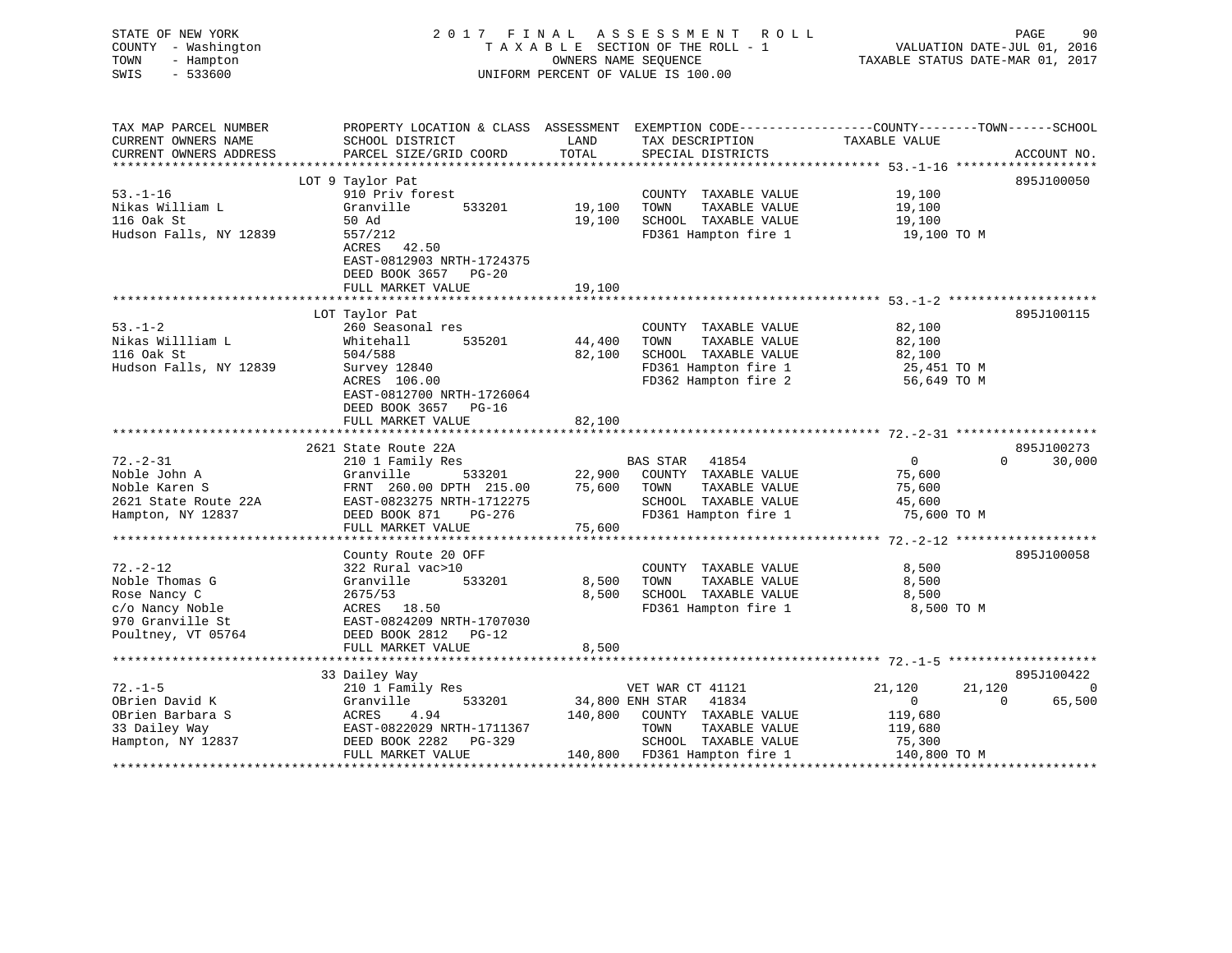| STATE OF NEW YORK<br>COUNTY - Washington<br>TOWN<br>- Hampton<br>SWIS<br>$-533600$                            | 2017 FINAL                                                                                                                                              |                            | A S S E S S M E N T<br>R O L L<br>TAXABLE SECTION OF THE ROLL - 1<br>OWNERS NAME SEQUENCE<br>UNIFORM PERCENT OF VALUE IS 100.00                    | VALUATION DATE-JUL 01, 2016<br>TAXABLE STATUS DATE-MAR 01, 2017                  | PAGE<br>90              |
|---------------------------------------------------------------------------------------------------------------|---------------------------------------------------------------------------------------------------------------------------------------------------------|----------------------------|----------------------------------------------------------------------------------------------------------------------------------------------------|----------------------------------------------------------------------------------|-------------------------|
| TAX MAP PARCEL NUMBER<br>CURRENT OWNERS NAME<br>CURRENT OWNERS ADDRESS                                        | PROPERTY LOCATION & CLASS ASSESSMENT EXEMPTION CODE---------------COUNTY-------TOWN-----SCHOOL<br>SCHOOL DISTRICT<br>PARCEL SIZE/GRID COORD             | LAND<br>TOTAL              | TAX DESCRIPTION<br>SPECIAL DISTRICTS                                                                                                               | TAXABLE VALUE                                                                    | ACCOUNT NO.             |
|                                                                                                               | LOT 9 Taylor Pat                                                                                                                                        |                            |                                                                                                                                                    |                                                                                  | 895J100050              |
| $53. - 1 - 16$<br>Nikas William L<br>116 Oak St<br>Hudson Falls, NY 12839                                     | 910 Priv forest<br>Granville<br>533201<br>50 Ad<br>557/212<br>ACRES 42.50<br>EAST-0812903 NRTH-1724375                                                  | 19,100<br>19,100           | COUNTY TAXABLE VALUE<br>TOWN<br>TAXABLE VALUE<br>SCHOOL TAXABLE VALUE<br>FD361 Hampton fire 1                                                      | 19,100<br>19,100<br>19,100<br>19,100 TO M                                        |                         |
|                                                                                                               | DEED BOOK 3657 PG-20                                                                                                                                    | 19,100                     |                                                                                                                                                    |                                                                                  |                         |
|                                                                                                               | FULL MARKET VALUE                                                                                                                                       |                            |                                                                                                                                                    |                                                                                  |                         |
| $53. - 1 - 2$<br>Nikas Willliam L                                                                             | LOT Taylor Pat<br>260 Seasonal res<br>Whitehall<br>535201                                                                                               | 44,400                     | COUNTY TAXABLE VALUE<br>TOWN<br>TAXABLE VALUE                                                                                                      | 82,100<br>82,100                                                                 | 895J100115              |
| 116 Oak St<br>Hudson Falls, NY 12839                                                                          | 504/588<br>Survey 12840<br>ACRES 106.00<br>EAST-0812700 NRTH-1726064<br>DEED BOOK 3657 PG-16                                                            | 82,100                     | SCHOOL TAXABLE VALUE<br>FD361 Hampton fire 1<br>FD362 Hampton fire 2                                                                               | 82,100<br>25,451 TO M<br>56,649 TO M                                             |                         |
|                                                                                                               | FULL MARKET VALUE                                                                                                                                       | 82,100                     |                                                                                                                                                    |                                                                                  |                         |
|                                                                                                               |                                                                                                                                                         |                            |                                                                                                                                                    |                                                                                  |                         |
|                                                                                                               | 2621 State Route 22A                                                                                                                                    |                            |                                                                                                                                                    |                                                                                  | 895J100273              |
| $72. - 2 - 31$<br>Noble John A<br>Noble Karen S<br>2621 State Route 22A<br>Hampton, NY 12837                  | 210 1 Family Res<br>Granville<br>533201<br>FRNT 260.00 DPTH 215.00<br>EAST-0823275 NRTH-1712275<br>DEED BOOK 871<br>$PG-276$<br>FULL MARKET VALUE       | 22,900<br>75,600<br>75,600 | BAS STAR 41854<br>COUNTY TAXABLE VALUE<br>TOWN<br>TAXABLE VALUE<br>SCHOOL TAXABLE VALUE<br>FD361 Hampton fire 1                                    | $\overline{0}$<br>75,600<br>75,600<br>45,600<br>75,600 TO M                      | 30,000<br>$\Omega$      |
|                                                                                                               |                                                                                                                                                         |                            |                                                                                                                                                    |                                                                                  |                         |
| $72. - 2 - 12$<br>Noble Thomas G<br>Rose Nancy C<br>c/o Nancy Noble<br>970 Granville St<br>Poultney, VT 05764 | County Route 20 OFF<br>322 Rural vac>10<br>Granville<br>533201<br>2675/53<br>ACRES 18.50<br>EAST-0824209 NRTH-1707030<br>DEED BOOK 2812 PG-12           | 8,500<br>8,500             | COUNTY TAXABLE VALUE<br>TOWN<br>TAXABLE VALUE<br>SCHOOL TAXABLE VALUE<br>FD361 Hampton fire 1                                                      | 8,500<br>8,500<br>8,500<br>8,500 TO M                                            | 895J100058              |
|                                                                                                               | FULL MARKET VALUE                                                                                                                                       | 8,500                      |                                                                                                                                                    |                                                                                  |                         |
|                                                                                                               |                                                                                                                                                         |                            |                                                                                                                                                    |                                                                                  | 895J100422              |
| $72. - 1 - 5$<br>OBrien David K<br>OBrien Barbara S<br>33 Dailey Way<br>Hampton, NY 12837                     | 33 Dailey Way<br>210 1 Family Res<br>533201<br>Granville<br>ACRES<br>4.94<br>EAST-0822029 NRTH-1711367<br>DEED BOOK 2282<br>PG-329<br>FULL MARKET VALUE | 140,800                    | VET WAR CT 41121<br>34,800 ENH STAR 41834<br>COUNTY TAXABLE VALUE<br>TOWN<br>TAXABLE VALUE<br>SCHOOL TAXABLE VALUE<br>140,800 FD361 Hampton fire 1 | 21,120<br>21,120<br>$\mathbf{0}$<br>119,680<br>119,680<br>75,300<br>140,800 TO M | 0<br>65,500<br>$\Omega$ |
|                                                                                                               |                                                                                                                                                         |                            | **************************************                                                                                                             | * * * * * * * * * * * * * * * * *                                                |                         |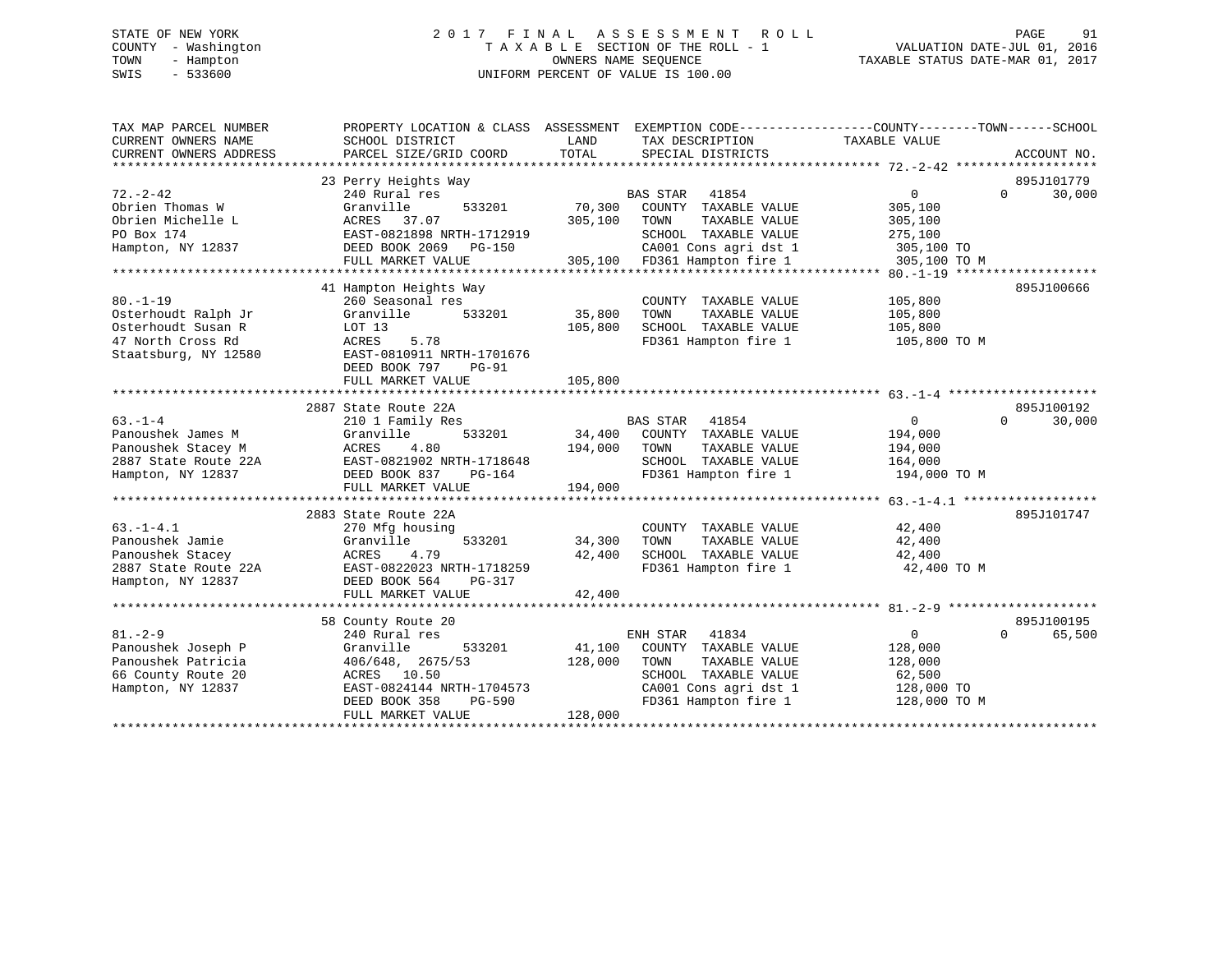# STATE OF NEW YORK 2 0 1 7 F I N A L A S S E S S M E N T R O L L PAGE 91 COUNTY - Washington T A X A B L E SECTION OF THE ROLL - 1 VALUATION DATE-JUL 01, 2016 TOWN - Hampton OWNERS NAME SEQUENCE TAXABLE STATUS DATE-MAR 01, 2017 SWIS - 533600 UNIFORM PERCENT OF VALUE IS 100.00

| TAX MAP PARCEL NUMBER                    | PROPERTY LOCATION & CLASS ASSESSMENT EXEMPTION CODE----------------COUNTY-------TOWN------SCHOOL |         |                                               |                       |                    |
|------------------------------------------|--------------------------------------------------------------------------------------------------|---------|-----------------------------------------------|-----------------------|--------------------|
| CURRENT OWNERS NAME                      | SCHOOL DISTRICT                                                                                  | LAND    | TAX DESCRIPTION                               | TAXABLE VALUE         |                    |
| CURRENT OWNERS ADDRESS                   | PARCEL SIZE/GRID COORD                                                                           | TOTAL   | SPECIAL DISTRICTS                             |                       | ACCOUNT NO.        |
|                                          |                                                                                                  |         |                                               |                       |                    |
|                                          | 23 Perry Heights Way                                                                             |         |                                               |                       | 895J101779         |
| $72. - 2 - 42$                           | 240 Rural res                                                                                    |         | BAS STAR 41854                                | $\overline{0}$        | $\Omega$<br>30,000 |
| Obrien Thomas W                          | Granville<br>533201                                                                              | 70,300  | COUNTY TAXABLE VALUE                          | 305,100               |                    |
| Obrien Michelle L                        | ACRES 37.07                                                                                      | 305,100 | TOWN<br>TAXABLE VALUE                         | 305,100               |                    |
| PO Box 174                               | EAST-0821898 NRTH-1712919                                                                        |         | SCHOOL TAXABLE VALUE                          | 275,100               |                    |
| Hampton, NY 12837                        | DEED BOOK 2069 PG-150                                                                            |         | CA001 Cons agri dst 1                         | 305,100 TO            |                    |
|                                          | FULL MARKET VALUE                                                                                |         | 305,100 FD361 Hampton fire 1                  | 305,100 TO M          |                    |
|                                          |                                                                                                  |         |                                               |                       |                    |
|                                          | 41 Hampton Heights Way                                                                           |         |                                               |                       | 895J100666         |
| $80. -1 - 19$                            | 260 Seasonal res                                                                                 |         | COUNTY TAXABLE VALUE                          | 105,800               |                    |
| Osterhoudt Ralph Jr                      | 533201<br>Granville                                                                              | 35,800  | TOWN<br>TAXABLE VALUE                         | 105,800               |                    |
| Osterhoudt Susan R                       | LOT 13                                                                                           | 105,800 | SCHOOL TAXABLE VALUE                          | 105,800               |                    |
| 47 North Cross Rd                        | ACRES<br>5.78                                                                                    |         | FD361 Hampton fire 1                          | 105,800 TO M          |                    |
| Staatsburg, NY 12580                     | EAST-0810911 NRTH-1701676                                                                        |         |                                               |                       |                    |
|                                          | DEED BOOK 797<br>PG-91                                                                           |         |                                               |                       |                    |
|                                          | FULL MARKET VALUE                                                                                | 105,800 |                                               |                       |                    |
|                                          |                                                                                                  |         |                                               |                       |                    |
|                                          | 2887 State Route 22A                                                                             |         |                                               |                       | 895J100192         |
| $63 - 1 - 4$                             | 210 1 Family Res                                                                                 |         | BAS STAR 41854                                | 0                     | $\Omega$<br>30,000 |
| Panoushek James M                        | Granville<br>533201                                                                              |         | 34,400 COUNTY TAXABLE VALUE                   | 194,000               |                    |
|                                          |                                                                                                  | 194,000 | TOWN<br>TAXABLE VALUE                         | 194,000               |                    |
|                                          |                                                                                                  |         | SCHOOL TAXABLE VALUE                          | 164,000               |                    |
|                                          |                                                                                                  |         | FD361 Hampton fire 1                          | 194,000 TO M          |                    |
|                                          | FULL MARKET VALUE                                                                                | 194,000 |                                               |                       |                    |
|                                          |                                                                                                  |         |                                               |                       |                    |
| $63. -1 - 4.1$                           | 2883 State Route 22A                                                                             |         |                                               |                       | 895J101747         |
|                                          | 270 Mfg housing                                                                                  |         | COUNTY TAXABLE VALUE                          | 42,400                |                    |
| Panoushek Jamie                          | Granville<br>533201                                                                              | 34,300  | TOWN<br>TAXABLE VALUE<br>SCHOOL TAXABLE VALUE | 42,400                |                    |
| Panoushek Stacey<br>2887 State Route 22A | 4.79<br>ACRES<br>EAST-0822023 NRTH-1718259                                                       | 42,400  | FD361 Hampton fire 1                          | 42,400<br>42,400 TO M |                    |
| Hampton, NY 12837                        | DEED BOOK 564<br>PG-317                                                                          |         |                                               |                       |                    |
|                                          | FULL MARKET VALUE                                                                                | 42,400  |                                               |                       |                    |
|                                          |                                                                                                  |         |                                               |                       |                    |
|                                          | 58 County Route 20                                                                               |         |                                               |                       | 895J100195         |
| $81. - 2 - 9$                            | 240 Rural res                                                                                    |         | ENH STAR 41834                                | $\Omega$              | $\Omega$<br>65,500 |
| Panoushek Joseph P                       | Granville<br>533201                                                                              | 41,100  | COUNTY TAXABLE VALUE                          | 128,000               |                    |
| Panoushek Patricia                       | 406/648, 2675/53                                                                                 | 128,000 | TOWN<br>TAXABLE VALUE                         | 128,000               |                    |
| 66 County Route 20                       | ACRES 10.50                                                                                      |         | SCHOOL TAXABLE VALUE                          | 62,500                |                    |
| Hampton, NY 12837                        | EAST-0824144 NRTH-1704573                                                                        |         | CA001 Cons agri dst 1                         | 128,000 TO            |                    |
|                                          | DEED BOOK 358<br>PG-590                                                                          |         | FD361 Hampton fire 1                          | 128,000 TO M          |                    |
|                                          | FULL MARKET VALUE                                                                                | 128,000 |                                               |                       |                    |
|                                          |                                                                                                  |         |                                               |                       |                    |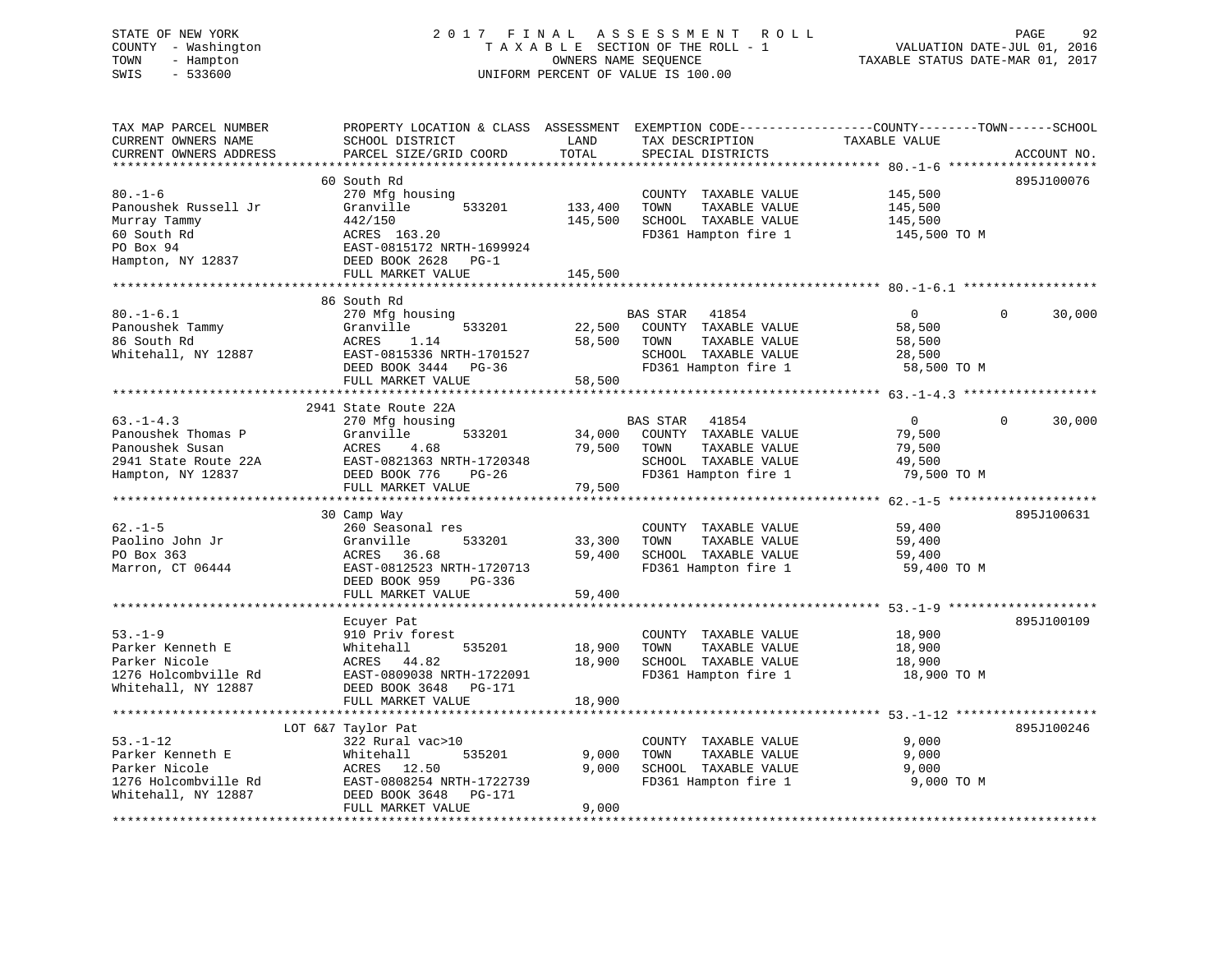# STATE OF NEW YORK 2 0 1 7 F I N A L A S S E S S M E N T R O L L PAGE 92 COUNTY - Washington T A X A B L E SECTION OF THE ROLL - 1 VALUATION DATE-JUL 01, 2016 TOWN - Hampton OWNERS NAME SEQUENCE TAXABLE STATUS DATE-MAR 01, 2017 SWIS - 533600 UNIFORM PERCENT OF VALUE IS 100.00UNIFORM PERCENT OF VALUE IS 100.00

| TAX MAP PARCEL NUMBER<br>CURRENT OWNERS NAME<br>CURRENT OWNERS ADDRESS                                                          | PROPERTY LOCATION & CLASS ASSESSMENT<br>SCHOOL DISTRICT<br>PARCEL SIZE/GRID COORD                                                                          | LAND<br>TOTAL                 | EXEMPTION CODE-----------------COUNTY-------TOWN------SCHOOL<br>TAX DESCRIPTION<br>SPECIAL DISTRICTS | TAXABLE VALUE                                 | ACCOUNT NO.        |
|---------------------------------------------------------------------------------------------------------------------------------|------------------------------------------------------------------------------------------------------------------------------------------------------------|-------------------------------|------------------------------------------------------------------------------------------------------|-----------------------------------------------|--------------------|
| *********************<br>$80. - 1 - 6$<br>Panoushek Russell Jr<br>Murray Tammy<br>60 South Rd<br>PO Box 94<br>Hampton, NY 12837 | 60 South Rd<br>270 Mfg housing<br>533201<br>Granville<br>442/150<br>ACRES 163.20<br>EAST-0815172 NRTH-1699924<br>DEED BOOK 2628 PG-1<br>FULL MARKET VALUE  | 133,400<br>145,500<br>145,500 | COUNTY TAXABLE VALUE<br>TOWN<br>TAXABLE VALUE<br>SCHOOL TAXABLE VALUE<br>FD361 Hampton fire 1        | 145,500<br>145,500<br>145,500<br>145,500 TO M | 895J100076         |
| $80. - 1 - 6.1$                                                                                                                 | 86 South Rd<br>270 Mfg housing                                                                                                                             |                               | BAS STAR<br>41854                                                                                    | $\overline{0}$                                | $\Omega$<br>30,000 |
| Panoushek Tammy<br>86 South Rd<br>Whitehall, NY 12887                                                                           | Granville<br>533201<br>ACRES<br>1.14<br>EAST-0815336 NRTH-1701527<br>DEED BOOK 3444 PG-36<br>FULL MARKET VALUE                                             | 22,500<br>58,500<br>58,500    | COUNTY TAXABLE VALUE<br>TOWN<br>TAXABLE VALUE<br>SCHOOL TAXABLE VALUE<br>FD361 Hampton fire 1        | 58,500<br>58,500<br>28,500<br>58,500 TO M     |                    |
|                                                                                                                                 | *****************************                                                                                                                              |                               |                                                                                                      |                                               |                    |
| $63. -1 - 4.3$                                                                                                                  | 2941 State Route 22A                                                                                                                                       |                               | <b>BAS STAR</b><br>41854                                                                             | $\overline{0}$                                | 30,000<br>$\Omega$ |
| Panoushek Thomas P<br>Panoushek Susan<br>2941 State Route 22A<br>Hampton, NY 12837                                              | 270 Mfg housing<br>Granville<br>533201<br>ACRES<br>4.68<br>EAST-0821363 NRTH-1720348<br>DEED BOOK 776<br>PG-26                                             | 34,000<br>79,500              | COUNTY TAXABLE VALUE<br>TOWN<br>TAXABLE VALUE<br>SCHOOL TAXABLE VALUE<br>FD361 Hampton fire 1        | 79,500<br>79,500<br>49,500<br>79,500 TO M     |                    |
|                                                                                                                                 | FULL MARKET VALUE                                                                                                                                          | 79,500                        |                                                                                                      |                                               |                    |
|                                                                                                                                 | 30 Camp Way                                                                                                                                                |                               |                                                                                                      |                                               | 895J100631         |
| $62. -1 - 5$<br>Paolino John Jr<br>PO Box 363<br>Marron, CT 06444                                                               | 260 Seasonal res<br>Granville<br>533201<br>ACRES<br>36.68<br>EAST-0812523 NRTH-1720713<br>DEED BOOK 959<br>$PG-336$                                        | 33,300<br>59,400              | COUNTY TAXABLE VALUE<br>TAXABLE VALUE<br>TOWN<br>SCHOOL TAXABLE VALUE<br>FD361 Hampton fire 1        | 59,400<br>59,400<br>59,400<br>59,400 TO M     |                    |
|                                                                                                                                 | FULL MARKET VALUE                                                                                                                                          | 59,400                        |                                                                                                      |                                               |                    |
| $53. - 1 - 9$<br>Parker Kenneth E<br>Parker Nicole<br>1276 Holcombville Rd                                                      | Ecuyer Pat<br>910 Priv forest<br>535201<br>Whitehall<br>ACRES 44.82<br>EAST-0809038 NRTH-1722091                                                           | 18,900<br>18,900              | COUNTY TAXABLE VALUE<br>TAXABLE VALUE<br>TOWN<br>SCHOOL TAXABLE VALUE<br>FD361 Hampton fire 1        | 18,900<br>18,900<br>18,900<br>18,900 TO M     | 895J100109         |
| Whitehall, NY 12887                                                                                                             | DEED BOOK 3648 PG-171<br>FULL MARKET VALUE                                                                                                                 | 18,900                        |                                                                                                      |                                               |                    |
|                                                                                                                                 |                                                                                                                                                            |                               |                                                                                                      |                                               |                    |
| $53. - 1 - 12$<br>Parker Kenneth E<br>Parker Nicole<br>1276 Holcombville Rd<br>Whitehall, NY 12887                              | LOT 6&7 Taylor Pat<br>322 Rural vac>10<br>Whitehall<br>535201<br>ACRES 12.50<br>EAST-0808254 NRTH-1722739<br>DEED BOOK 3648<br>PG-171<br>FULL MARKET VALUE | 9,000<br>9,000<br>9,000       | COUNTY TAXABLE VALUE<br>TOWN<br>TAXABLE VALUE<br>SCHOOL TAXABLE VALUE<br>FD361 Hampton fire 1        | 9,000<br>9,000<br>9,000<br>9,000 TO M         | 895J100246         |
|                                                                                                                                 |                                                                                                                                                            |                               |                                                                                                      |                                               |                    |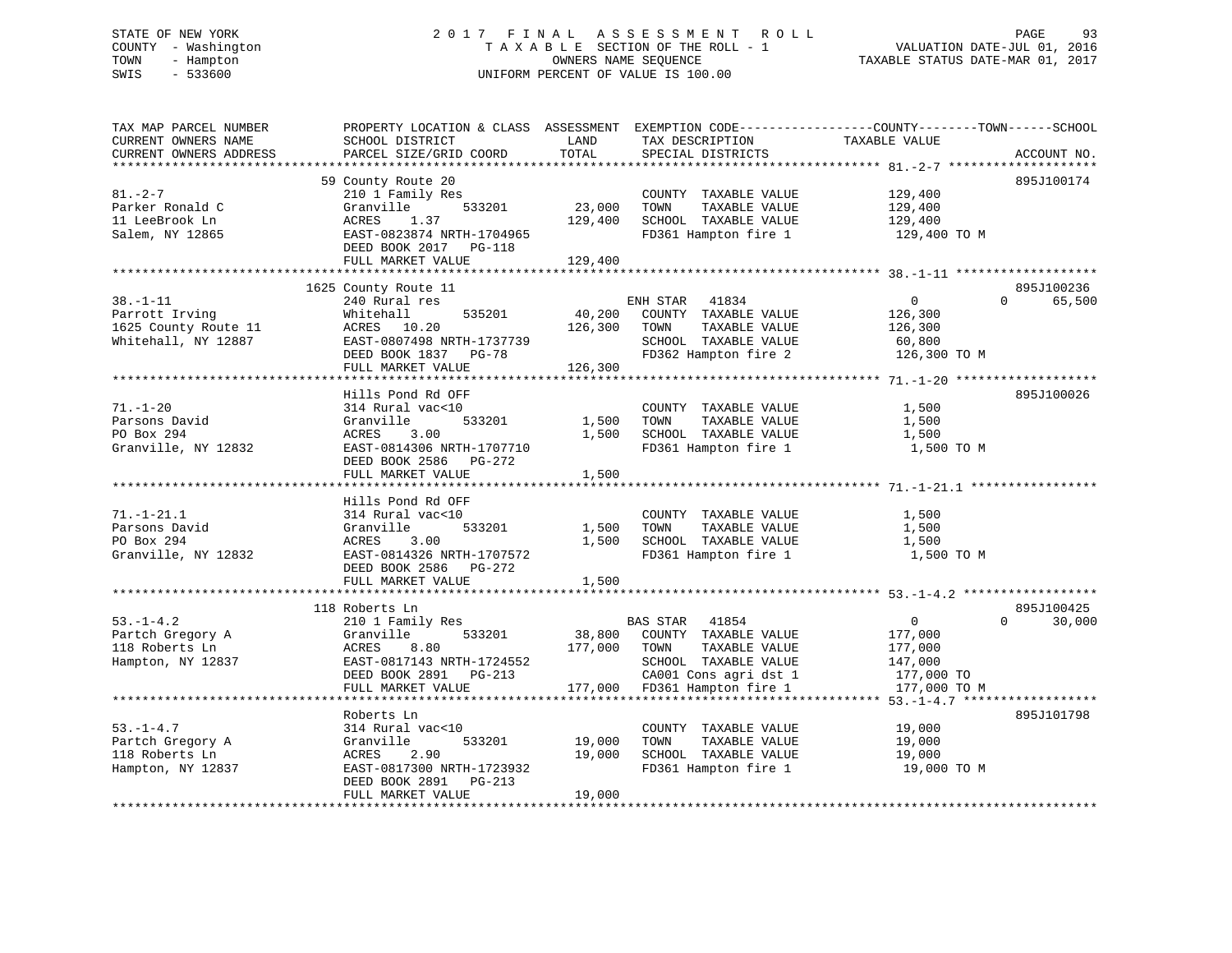# STATE OF NEW YORK 2 0 1 7 F I N A L A S S E S S M E N T R O L L PAGE 93 COUNTY - Washington T A X A B L E SECTION OF THE ROLL - 1 VALUATION DATE-JUL 01, 2016 TOWN - Hampton OWNERS NAME SEQUENCE TAXABLE STATUS DATE-MAR 01, 2017 SWIS - 533600 UNIFORM PERCENT OF VALUE IS 100.00

| PARCEL SIZE/GRID COORD<br>TOTAL<br>CURRENT OWNERS ADDRESS<br>SPECIAL DISTRICTS<br>ACCOUNT NO.<br>***************************<br>*******************<br>59 County Route 20<br>895J100174<br>$81 - 2 - 7$<br>129,400<br>210 1 Family Res<br>COUNTY TAXABLE VALUE<br>23,000<br>TAXABLE VALUE<br>Parker Ronald C<br>Granville<br>533201<br>TOWN<br>129,400<br>11 LeeBrook Ln<br>ACRES<br>1.37<br>129,400<br>SCHOOL TAXABLE VALUE<br>129,400<br>Salem, NY 12865<br>EAST-0823874 NRTH-1704965<br>FD361 Hampton fire 1<br>129,400 TO M<br>DEED BOOK 2017<br>$PG-118$<br>FULL MARKET VALUE<br>129,400<br>1625 County Route 11<br>895J100236<br>$38. - 1 - 11$<br>$\mathbf{0}$<br>65,500<br>240 Rural res<br>ENH STAR 41834<br>$\Omega$<br>Parrott Irving<br>535201<br>40,200<br>Whitehall<br>COUNTY TAXABLE VALUE<br>126,300<br>10.20<br>126,300<br>TOWN<br>TAXABLE VALUE<br>ACRES<br>126,300<br>SCHOOL TAXABLE VALUE<br>EAST-0807498 NRTH-1737739<br>60,800<br>DEED BOOK 1837 PG-78<br>FD362 Hampton fire 2<br>126,300 TO M<br>FULL MARKET VALUE<br>126,300<br>895J100026<br>Hills Pond Rd OFF<br>$71. - 1 - 20$<br>314 Rural vac<10<br>1,500<br>COUNTY TAXABLE VALUE<br>Parsons David<br>Granville<br>533201<br>1,500<br>TOWN<br>TAXABLE VALUE<br>1,500<br>PO Box 294<br>ACRES<br>3.00<br>1,500<br>SCHOOL TAXABLE VALUE<br>1,500<br>Granville, NY 12832<br>EAST-0814306 NRTH-1707710<br>FD361 Hampton fire 1<br>1,500 TO M<br>DEED BOOK 2586<br>PG-272<br>FULL MARKET VALUE<br>1,500<br>Hills Pond Rd OFF<br>$71. - 1 - 21.1$<br>COUNTY TAXABLE VALUE<br>314 Rural vac<10<br>1,500<br>Parsons David<br>Granville<br>533201<br>1,500<br>TOWN<br>TAXABLE VALUE<br>1,500<br>PO Box 294<br>ACRES<br>3.00<br>1,500<br>SCHOOL TAXABLE VALUE<br>1,500<br>Granville, NY 12832<br>EAST-0814326 NRTH-1707572<br>FD361 Hampton fire 1<br>1,500 TO M<br>DEED BOOK 2586<br>PG-272<br>FULL MARKET VALUE<br>1,500<br>895J100425<br>118 Roberts Ln<br>$\overline{0}$<br>BAS STAR<br>41854<br>$\Omega$<br>30,000<br>210 1 Family Res<br>COUNTY TAXABLE VALUE<br>Granville<br>533201<br>38,800<br>177,000<br>ACRES<br>8.80<br>177,000<br>TAXABLE VALUE<br>177,000<br>TOWN<br>EAST-0817143 NRTH-1724552<br>SCHOOL TAXABLE VALUE<br>147,000<br>CA001 Cons agri dst 1<br>DEED BOOK 2891 PG-213<br>177,000 TO<br>177,000<br>FD361 Hampton fire 1<br>FULL MARKET VALUE<br>177,000 TO M<br>895J101798<br>Roberts Ln<br>$53. - 1 - 4.7$<br>314 Rural vac<10<br>COUNTY TAXABLE VALUE<br>19,000<br>TAXABLE VALUE<br>Partch Gregory A<br>533201<br>19,000<br>TOWN<br>Granville<br>19,000<br>19,000<br>SCHOOL TAXABLE VALUE<br>118 Roberts Ln<br>ACRES<br>2.90<br>19,000<br>EAST-0817300 NRTH-1723932<br>FD361 Hampton fire 1<br>19,000 TO M<br>Hampton, NY 12837<br>DEED BOOK 2891<br>$PG-213$<br>FULL MARKET VALUE<br>19,000 | TAX MAP PARCEL NUMBER<br>CURRENT OWNERS NAME | PROPERTY LOCATION & CLASS ASSESSMENT<br>SCHOOL DISTRICT | LAND | EXEMPTION CODE-----------------COUNTY-------TOWN------SCHOOL<br>TAX DESCRIPTION | TAXABLE VALUE |  |
|---------------------------------------------------------------------------------------------------------------------------------------------------------------------------------------------------------------------------------------------------------------------------------------------------------------------------------------------------------------------------------------------------------------------------------------------------------------------------------------------------------------------------------------------------------------------------------------------------------------------------------------------------------------------------------------------------------------------------------------------------------------------------------------------------------------------------------------------------------------------------------------------------------------------------------------------------------------------------------------------------------------------------------------------------------------------------------------------------------------------------------------------------------------------------------------------------------------------------------------------------------------------------------------------------------------------------------------------------------------------------------------------------------------------------------------------------------------------------------------------------------------------------------------------------------------------------------------------------------------------------------------------------------------------------------------------------------------------------------------------------------------------------------------------------------------------------------------------------------------------------------------------------------------------------------------------------------------------------------------------------------------------------------------------------------------------------------------------------------------------------------------------------------------------------------------------------------------------------------------------------------------------------------------------------------------------------------------------------------------------------------------------------------------------------------------------------------------------------------------------------------------------------------------------------------------------------------------------------------------------------------------------------------------------------------------------------------------------------------------------------------------------------------------------|----------------------------------------------|---------------------------------------------------------|------|---------------------------------------------------------------------------------|---------------|--|
|                                                                                                                                                                                                                                                                                                                                                                                                                                                                                                                                                                                                                                                                                                                                                                                                                                                                                                                                                                                                                                                                                                                                                                                                                                                                                                                                                                                                                                                                                                                                                                                                                                                                                                                                                                                                                                                                                                                                                                                                                                                                                                                                                                                                                                                                                                                                                                                                                                                                                                                                                                                                                                                                                                                                                                                             |                                              |                                                         |      |                                                                                 |               |  |
|                                                                                                                                                                                                                                                                                                                                                                                                                                                                                                                                                                                                                                                                                                                                                                                                                                                                                                                                                                                                                                                                                                                                                                                                                                                                                                                                                                                                                                                                                                                                                                                                                                                                                                                                                                                                                                                                                                                                                                                                                                                                                                                                                                                                                                                                                                                                                                                                                                                                                                                                                                                                                                                                                                                                                                                             |                                              |                                                         |      |                                                                                 |               |  |
|                                                                                                                                                                                                                                                                                                                                                                                                                                                                                                                                                                                                                                                                                                                                                                                                                                                                                                                                                                                                                                                                                                                                                                                                                                                                                                                                                                                                                                                                                                                                                                                                                                                                                                                                                                                                                                                                                                                                                                                                                                                                                                                                                                                                                                                                                                                                                                                                                                                                                                                                                                                                                                                                                                                                                                                             |                                              |                                                         |      |                                                                                 |               |  |
|                                                                                                                                                                                                                                                                                                                                                                                                                                                                                                                                                                                                                                                                                                                                                                                                                                                                                                                                                                                                                                                                                                                                                                                                                                                                                                                                                                                                                                                                                                                                                                                                                                                                                                                                                                                                                                                                                                                                                                                                                                                                                                                                                                                                                                                                                                                                                                                                                                                                                                                                                                                                                                                                                                                                                                                             |                                              |                                                         |      |                                                                                 |               |  |
|                                                                                                                                                                                                                                                                                                                                                                                                                                                                                                                                                                                                                                                                                                                                                                                                                                                                                                                                                                                                                                                                                                                                                                                                                                                                                                                                                                                                                                                                                                                                                                                                                                                                                                                                                                                                                                                                                                                                                                                                                                                                                                                                                                                                                                                                                                                                                                                                                                                                                                                                                                                                                                                                                                                                                                                             |                                              |                                                         |      |                                                                                 |               |  |
|                                                                                                                                                                                                                                                                                                                                                                                                                                                                                                                                                                                                                                                                                                                                                                                                                                                                                                                                                                                                                                                                                                                                                                                                                                                                                                                                                                                                                                                                                                                                                                                                                                                                                                                                                                                                                                                                                                                                                                                                                                                                                                                                                                                                                                                                                                                                                                                                                                                                                                                                                                                                                                                                                                                                                                                             |                                              |                                                         |      |                                                                                 |               |  |
|                                                                                                                                                                                                                                                                                                                                                                                                                                                                                                                                                                                                                                                                                                                                                                                                                                                                                                                                                                                                                                                                                                                                                                                                                                                                                                                                                                                                                                                                                                                                                                                                                                                                                                                                                                                                                                                                                                                                                                                                                                                                                                                                                                                                                                                                                                                                                                                                                                                                                                                                                                                                                                                                                                                                                                                             |                                              |                                                         |      |                                                                                 |               |  |
|                                                                                                                                                                                                                                                                                                                                                                                                                                                                                                                                                                                                                                                                                                                                                                                                                                                                                                                                                                                                                                                                                                                                                                                                                                                                                                                                                                                                                                                                                                                                                                                                                                                                                                                                                                                                                                                                                                                                                                                                                                                                                                                                                                                                                                                                                                                                                                                                                                                                                                                                                                                                                                                                                                                                                                                             |                                              |                                                         |      |                                                                                 |               |  |
|                                                                                                                                                                                                                                                                                                                                                                                                                                                                                                                                                                                                                                                                                                                                                                                                                                                                                                                                                                                                                                                                                                                                                                                                                                                                                                                                                                                                                                                                                                                                                                                                                                                                                                                                                                                                                                                                                                                                                                                                                                                                                                                                                                                                                                                                                                                                                                                                                                                                                                                                                                                                                                                                                                                                                                                             |                                              |                                                         |      |                                                                                 |               |  |
|                                                                                                                                                                                                                                                                                                                                                                                                                                                                                                                                                                                                                                                                                                                                                                                                                                                                                                                                                                                                                                                                                                                                                                                                                                                                                                                                                                                                                                                                                                                                                                                                                                                                                                                                                                                                                                                                                                                                                                                                                                                                                                                                                                                                                                                                                                                                                                                                                                                                                                                                                                                                                                                                                                                                                                                             |                                              |                                                         |      |                                                                                 |               |  |
|                                                                                                                                                                                                                                                                                                                                                                                                                                                                                                                                                                                                                                                                                                                                                                                                                                                                                                                                                                                                                                                                                                                                                                                                                                                                                                                                                                                                                                                                                                                                                                                                                                                                                                                                                                                                                                                                                                                                                                                                                                                                                                                                                                                                                                                                                                                                                                                                                                                                                                                                                                                                                                                                                                                                                                                             |                                              |                                                         |      |                                                                                 |               |  |
|                                                                                                                                                                                                                                                                                                                                                                                                                                                                                                                                                                                                                                                                                                                                                                                                                                                                                                                                                                                                                                                                                                                                                                                                                                                                                                                                                                                                                                                                                                                                                                                                                                                                                                                                                                                                                                                                                                                                                                                                                                                                                                                                                                                                                                                                                                                                                                                                                                                                                                                                                                                                                                                                                                                                                                                             |                                              |                                                         |      |                                                                                 |               |  |
|                                                                                                                                                                                                                                                                                                                                                                                                                                                                                                                                                                                                                                                                                                                                                                                                                                                                                                                                                                                                                                                                                                                                                                                                                                                                                                                                                                                                                                                                                                                                                                                                                                                                                                                                                                                                                                                                                                                                                                                                                                                                                                                                                                                                                                                                                                                                                                                                                                                                                                                                                                                                                                                                                                                                                                                             |                                              |                                                         |      |                                                                                 |               |  |
|                                                                                                                                                                                                                                                                                                                                                                                                                                                                                                                                                                                                                                                                                                                                                                                                                                                                                                                                                                                                                                                                                                                                                                                                                                                                                                                                                                                                                                                                                                                                                                                                                                                                                                                                                                                                                                                                                                                                                                                                                                                                                                                                                                                                                                                                                                                                                                                                                                                                                                                                                                                                                                                                                                                                                                                             |                                              |                                                         |      |                                                                                 |               |  |
|                                                                                                                                                                                                                                                                                                                                                                                                                                                                                                                                                                                                                                                                                                                                                                                                                                                                                                                                                                                                                                                                                                                                                                                                                                                                                                                                                                                                                                                                                                                                                                                                                                                                                                                                                                                                                                                                                                                                                                                                                                                                                                                                                                                                                                                                                                                                                                                                                                                                                                                                                                                                                                                                                                                                                                                             | 1625 County Route 11                         |                                                         |      |                                                                                 |               |  |
|                                                                                                                                                                                                                                                                                                                                                                                                                                                                                                                                                                                                                                                                                                                                                                                                                                                                                                                                                                                                                                                                                                                                                                                                                                                                                                                                                                                                                                                                                                                                                                                                                                                                                                                                                                                                                                                                                                                                                                                                                                                                                                                                                                                                                                                                                                                                                                                                                                                                                                                                                                                                                                                                                                                                                                                             | Whitehall, NY 12887                          |                                                         |      |                                                                                 |               |  |
|                                                                                                                                                                                                                                                                                                                                                                                                                                                                                                                                                                                                                                                                                                                                                                                                                                                                                                                                                                                                                                                                                                                                                                                                                                                                                                                                                                                                                                                                                                                                                                                                                                                                                                                                                                                                                                                                                                                                                                                                                                                                                                                                                                                                                                                                                                                                                                                                                                                                                                                                                                                                                                                                                                                                                                                             |                                              |                                                         |      |                                                                                 |               |  |
|                                                                                                                                                                                                                                                                                                                                                                                                                                                                                                                                                                                                                                                                                                                                                                                                                                                                                                                                                                                                                                                                                                                                                                                                                                                                                                                                                                                                                                                                                                                                                                                                                                                                                                                                                                                                                                                                                                                                                                                                                                                                                                                                                                                                                                                                                                                                                                                                                                                                                                                                                                                                                                                                                                                                                                                             |                                              |                                                         |      |                                                                                 |               |  |
|                                                                                                                                                                                                                                                                                                                                                                                                                                                                                                                                                                                                                                                                                                                                                                                                                                                                                                                                                                                                                                                                                                                                                                                                                                                                                                                                                                                                                                                                                                                                                                                                                                                                                                                                                                                                                                                                                                                                                                                                                                                                                                                                                                                                                                                                                                                                                                                                                                                                                                                                                                                                                                                                                                                                                                                             |                                              |                                                         |      |                                                                                 |               |  |
|                                                                                                                                                                                                                                                                                                                                                                                                                                                                                                                                                                                                                                                                                                                                                                                                                                                                                                                                                                                                                                                                                                                                                                                                                                                                                                                                                                                                                                                                                                                                                                                                                                                                                                                                                                                                                                                                                                                                                                                                                                                                                                                                                                                                                                                                                                                                                                                                                                                                                                                                                                                                                                                                                                                                                                                             |                                              |                                                         |      |                                                                                 |               |  |
|                                                                                                                                                                                                                                                                                                                                                                                                                                                                                                                                                                                                                                                                                                                                                                                                                                                                                                                                                                                                                                                                                                                                                                                                                                                                                                                                                                                                                                                                                                                                                                                                                                                                                                                                                                                                                                                                                                                                                                                                                                                                                                                                                                                                                                                                                                                                                                                                                                                                                                                                                                                                                                                                                                                                                                                             |                                              |                                                         |      |                                                                                 |               |  |
|                                                                                                                                                                                                                                                                                                                                                                                                                                                                                                                                                                                                                                                                                                                                                                                                                                                                                                                                                                                                                                                                                                                                                                                                                                                                                                                                                                                                                                                                                                                                                                                                                                                                                                                                                                                                                                                                                                                                                                                                                                                                                                                                                                                                                                                                                                                                                                                                                                                                                                                                                                                                                                                                                                                                                                                             |                                              |                                                         |      |                                                                                 |               |  |
|                                                                                                                                                                                                                                                                                                                                                                                                                                                                                                                                                                                                                                                                                                                                                                                                                                                                                                                                                                                                                                                                                                                                                                                                                                                                                                                                                                                                                                                                                                                                                                                                                                                                                                                                                                                                                                                                                                                                                                                                                                                                                                                                                                                                                                                                                                                                                                                                                                                                                                                                                                                                                                                                                                                                                                                             |                                              |                                                         |      |                                                                                 |               |  |
|                                                                                                                                                                                                                                                                                                                                                                                                                                                                                                                                                                                                                                                                                                                                                                                                                                                                                                                                                                                                                                                                                                                                                                                                                                                                                                                                                                                                                                                                                                                                                                                                                                                                                                                                                                                                                                                                                                                                                                                                                                                                                                                                                                                                                                                                                                                                                                                                                                                                                                                                                                                                                                                                                                                                                                                             |                                              |                                                         |      |                                                                                 |               |  |
|                                                                                                                                                                                                                                                                                                                                                                                                                                                                                                                                                                                                                                                                                                                                                                                                                                                                                                                                                                                                                                                                                                                                                                                                                                                                                                                                                                                                                                                                                                                                                                                                                                                                                                                                                                                                                                                                                                                                                                                                                                                                                                                                                                                                                                                                                                                                                                                                                                                                                                                                                                                                                                                                                                                                                                                             |                                              |                                                         |      |                                                                                 |               |  |
|                                                                                                                                                                                                                                                                                                                                                                                                                                                                                                                                                                                                                                                                                                                                                                                                                                                                                                                                                                                                                                                                                                                                                                                                                                                                                                                                                                                                                                                                                                                                                                                                                                                                                                                                                                                                                                                                                                                                                                                                                                                                                                                                                                                                                                                                                                                                                                                                                                                                                                                                                                                                                                                                                                                                                                                             |                                              |                                                         |      |                                                                                 |               |  |
|                                                                                                                                                                                                                                                                                                                                                                                                                                                                                                                                                                                                                                                                                                                                                                                                                                                                                                                                                                                                                                                                                                                                                                                                                                                                                                                                                                                                                                                                                                                                                                                                                                                                                                                                                                                                                                                                                                                                                                                                                                                                                                                                                                                                                                                                                                                                                                                                                                                                                                                                                                                                                                                                                                                                                                                             |                                              |                                                         |      |                                                                                 |               |  |
|                                                                                                                                                                                                                                                                                                                                                                                                                                                                                                                                                                                                                                                                                                                                                                                                                                                                                                                                                                                                                                                                                                                                                                                                                                                                                                                                                                                                                                                                                                                                                                                                                                                                                                                                                                                                                                                                                                                                                                                                                                                                                                                                                                                                                                                                                                                                                                                                                                                                                                                                                                                                                                                                                                                                                                                             |                                              |                                                         |      |                                                                                 |               |  |
|                                                                                                                                                                                                                                                                                                                                                                                                                                                                                                                                                                                                                                                                                                                                                                                                                                                                                                                                                                                                                                                                                                                                                                                                                                                                                                                                                                                                                                                                                                                                                                                                                                                                                                                                                                                                                                                                                                                                                                                                                                                                                                                                                                                                                                                                                                                                                                                                                                                                                                                                                                                                                                                                                                                                                                                             |                                              |                                                         |      |                                                                                 |               |  |
|                                                                                                                                                                                                                                                                                                                                                                                                                                                                                                                                                                                                                                                                                                                                                                                                                                                                                                                                                                                                                                                                                                                                                                                                                                                                                                                                                                                                                                                                                                                                                                                                                                                                                                                                                                                                                                                                                                                                                                                                                                                                                                                                                                                                                                                                                                                                                                                                                                                                                                                                                                                                                                                                                                                                                                                             |                                              |                                                         |      |                                                                                 |               |  |
|                                                                                                                                                                                                                                                                                                                                                                                                                                                                                                                                                                                                                                                                                                                                                                                                                                                                                                                                                                                                                                                                                                                                                                                                                                                                                                                                                                                                                                                                                                                                                                                                                                                                                                                                                                                                                                                                                                                                                                                                                                                                                                                                                                                                                                                                                                                                                                                                                                                                                                                                                                                                                                                                                                                                                                                             |                                              |                                                         |      |                                                                                 |               |  |
|                                                                                                                                                                                                                                                                                                                                                                                                                                                                                                                                                                                                                                                                                                                                                                                                                                                                                                                                                                                                                                                                                                                                                                                                                                                                                                                                                                                                                                                                                                                                                                                                                                                                                                                                                                                                                                                                                                                                                                                                                                                                                                                                                                                                                                                                                                                                                                                                                                                                                                                                                                                                                                                                                                                                                                                             |                                              |                                                         |      |                                                                                 |               |  |
|                                                                                                                                                                                                                                                                                                                                                                                                                                                                                                                                                                                                                                                                                                                                                                                                                                                                                                                                                                                                                                                                                                                                                                                                                                                                                                                                                                                                                                                                                                                                                                                                                                                                                                                                                                                                                                                                                                                                                                                                                                                                                                                                                                                                                                                                                                                                                                                                                                                                                                                                                                                                                                                                                                                                                                                             |                                              |                                                         |      |                                                                                 |               |  |
|                                                                                                                                                                                                                                                                                                                                                                                                                                                                                                                                                                                                                                                                                                                                                                                                                                                                                                                                                                                                                                                                                                                                                                                                                                                                                                                                                                                                                                                                                                                                                                                                                                                                                                                                                                                                                                                                                                                                                                                                                                                                                                                                                                                                                                                                                                                                                                                                                                                                                                                                                                                                                                                                                                                                                                                             |                                              |                                                         |      |                                                                                 |               |  |
|                                                                                                                                                                                                                                                                                                                                                                                                                                                                                                                                                                                                                                                                                                                                                                                                                                                                                                                                                                                                                                                                                                                                                                                                                                                                                                                                                                                                                                                                                                                                                                                                                                                                                                                                                                                                                                                                                                                                                                                                                                                                                                                                                                                                                                                                                                                                                                                                                                                                                                                                                                                                                                                                                                                                                                                             |                                              |                                                         |      |                                                                                 |               |  |
|                                                                                                                                                                                                                                                                                                                                                                                                                                                                                                                                                                                                                                                                                                                                                                                                                                                                                                                                                                                                                                                                                                                                                                                                                                                                                                                                                                                                                                                                                                                                                                                                                                                                                                                                                                                                                                                                                                                                                                                                                                                                                                                                                                                                                                                                                                                                                                                                                                                                                                                                                                                                                                                                                                                                                                                             |                                              |                                                         |      |                                                                                 |               |  |
|                                                                                                                                                                                                                                                                                                                                                                                                                                                                                                                                                                                                                                                                                                                                                                                                                                                                                                                                                                                                                                                                                                                                                                                                                                                                                                                                                                                                                                                                                                                                                                                                                                                                                                                                                                                                                                                                                                                                                                                                                                                                                                                                                                                                                                                                                                                                                                                                                                                                                                                                                                                                                                                                                                                                                                                             |                                              |                                                         |      |                                                                                 |               |  |
|                                                                                                                                                                                                                                                                                                                                                                                                                                                                                                                                                                                                                                                                                                                                                                                                                                                                                                                                                                                                                                                                                                                                                                                                                                                                                                                                                                                                                                                                                                                                                                                                                                                                                                                                                                                                                                                                                                                                                                                                                                                                                                                                                                                                                                                                                                                                                                                                                                                                                                                                                                                                                                                                                                                                                                                             | $53. - 1 - 4.2$                              |                                                         |      |                                                                                 |               |  |
|                                                                                                                                                                                                                                                                                                                                                                                                                                                                                                                                                                                                                                                                                                                                                                                                                                                                                                                                                                                                                                                                                                                                                                                                                                                                                                                                                                                                                                                                                                                                                                                                                                                                                                                                                                                                                                                                                                                                                                                                                                                                                                                                                                                                                                                                                                                                                                                                                                                                                                                                                                                                                                                                                                                                                                                             | Partch Gregory A                             |                                                         |      |                                                                                 |               |  |
|                                                                                                                                                                                                                                                                                                                                                                                                                                                                                                                                                                                                                                                                                                                                                                                                                                                                                                                                                                                                                                                                                                                                                                                                                                                                                                                                                                                                                                                                                                                                                                                                                                                                                                                                                                                                                                                                                                                                                                                                                                                                                                                                                                                                                                                                                                                                                                                                                                                                                                                                                                                                                                                                                                                                                                                             | 118 Roberts Ln                               |                                                         |      |                                                                                 |               |  |
|                                                                                                                                                                                                                                                                                                                                                                                                                                                                                                                                                                                                                                                                                                                                                                                                                                                                                                                                                                                                                                                                                                                                                                                                                                                                                                                                                                                                                                                                                                                                                                                                                                                                                                                                                                                                                                                                                                                                                                                                                                                                                                                                                                                                                                                                                                                                                                                                                                                                                                                                                                                                                                                                                                                                                                                             | Hampton, NY 12837                            |                                                         |      |                                                                                 |               |  |
|                                                                                                                                                                                                                                                                                                                                                                                                                                                                                                                                                                                                                                                                                                                                                                                                                                                                                                                                                                                                                                                                                                                                                                                                                                                                                                                                                                                                                                                                                                                                                                                                                                                                                                                                                                                                                                                                                                                                                                                                                                                                                                                                                                                                                                                                                                                                                                                                                                                                                                                                                                                                                                                                                                                                                                                             |                                              |                                                         |      |                                                                                 |               |  |
|                                                                                                                                                                                                                                                                                                                                                                                                                                                                                                                                                                                                                                                                                                                                                                                                                                                                                                                                                                                                                                                                                                                                                                                                                                                                                                                                                                                                                                                                                                                                                                                                                                                                                                                                                                                                                                                                                                                                                                                                                                                                                                                                                                                                                                                                                                                                                                                                                                                                                                                                                                                                                                                                                                                                                                                             |                                              |                                                         |      |                                                                                 |               |  |
|                                                                                                                                                                                                                                                                                                                                                                                                                                                                                                                                                                                                                                                                                                                                                                                                                                                                                                                                                                                                                                                                                                                                                                                                                                                                                                                                                                                                                                                                                                                                                                                                                                                                                                                                                                                                                                                                                                                                                                                                                                                                                                                                                                                                                                                                                                                                                                                                                                                                                                                                                                                                                                                                                                                                                                                             |                                              |                                                         |      |                                                                                 |               |  |
|                                                                                                                                                                                                                                                                                                                                                                                                                                                                                                                                                                                                                                                                                                                                                                                                                                                                                                                                                                                                                                                                                                                                                                                                                                                                                                                                                                                                                                                                                                                                                                                                                                                                                                                                                                                                                                                                                                                                                                                                                                                                                                                                                                                                                                                                                                                                                                                                                                                                                                                                                                                                                                                                                                                                                                                             |                                              |                                                         |      |                                                                                 |               |  |
|                                                                                                                                                                                                                                                                                                                                                                                                                                                                                                                                                                                                                                                                                                                                                                                                                                                                                                                                                                                                                                                                                                                                                                                                                                                                                                                                                                                                                                                                                                                                                                                                                                                                                                                                                                                                                                                                                                                                                                                                                                                                                                                                                                                                                                                                                                                                                                                                                                                                                                                                                                                                                                                                                                                                                                                             |                                              |                                                         |      |                                                                                 |               |  |
|                                                                                                                                                                                                                                                                                                                                                                                                                                                                                                                                                                                                                                                                                                                                                                                                                                                                                                                                                                                                                                                                                                                                                                                                                                                                                                                                                                                                                                                                                                                                                                                                                                                                                                                                                                                                                                                                                                                                                                                                                                                                                                                                                                                                                                                                                                                                                                                                                                                                                                                                                                                                                                                                                                                                                                                             |                                              |                                                         |      |                                                                                 |               |  |
|                                                                                                                                                                                                                                                                                                                                                                                                                                                                                                                                                                                                                                                                                                                                                                                                                                                                                                                                                                                                                                                                                                                                                                                                                                                                                                                                                                                                                                                                                                                                                                                                                                                                                                                                                                                                                                                                                                                                                                                                                                                                                                                                                                                                                                                                                                                                                                                                                                                                                                                                                                                                                                                                                                                                                                                             |                                              |                                                         |      |                                                                                 |               |  |
|                                                                                                                                                                                                                                                                                                                                                                                                                                                                                                                                                                                                                                                                                                                                                                                                                                                                                                                                                                                                                                                                                                                                                                                                                                                                                                                                                                                                                                                                                                                                                                                                                                                                                                                                                                                                                                                                                                                                                                                                                                                                                                                                                                                                                                                                                                                                                                                                                                                                                                                                                                                                                                                                                                                                                                                             |                                              |                                                         |      |                                                                                 |               |  |
|                                                                                                                                                                                                                                                                                                                                                                                                                                                                                                                                                                                                                                                                                                                                                                                                                                                                                                                                                                                                                                                                                                                                                                                                                                                                                                                                                                                                                                                                                                                                                                                                                                                                                                                                                                                                                                                                                                                                                                                                                                                                                                                                                                                                                                                                                                                                                                                                                                                                                                                                                                                                                                                                                                                                                                                             |                                              |                                                         |      |                                                                                 |               |  |
|                                                                                                                                                                                                                                                                                                                                                                                                                                                                                                                                                                                                                                                                                                                                                                                                                                                                                                                                                                                                                                                                                                                                                                                                                                                                                                                                                                                                                                                                                                                                                                                                                                                                                                                                                                                                                                                                                                                                                                                                                                                                                                                                                                                                                                                                                                                                                                                                                                                                                                                                                                                                                                                                                                                                                                                             |                                              |                                                         |      |                                                                                 |               |  |
|                                                                                                                                                                                                                                                                                                                                                                                                                                                                                                                                                                                                                                                                                                                                                                                                                                                                                                                                                                                                                                                                                                                                                                                                                                                                                                                                                                                                                                                                                                                                                                                                                                                                                                                                                                                                                                                                                                                                                                                                                                                                                                                                                                                                                                                                                                                                                                                                                                                                                                                                                                                                                                                                                                                                                                                             |                                              |                                                         |      |                                                                                 |               |  |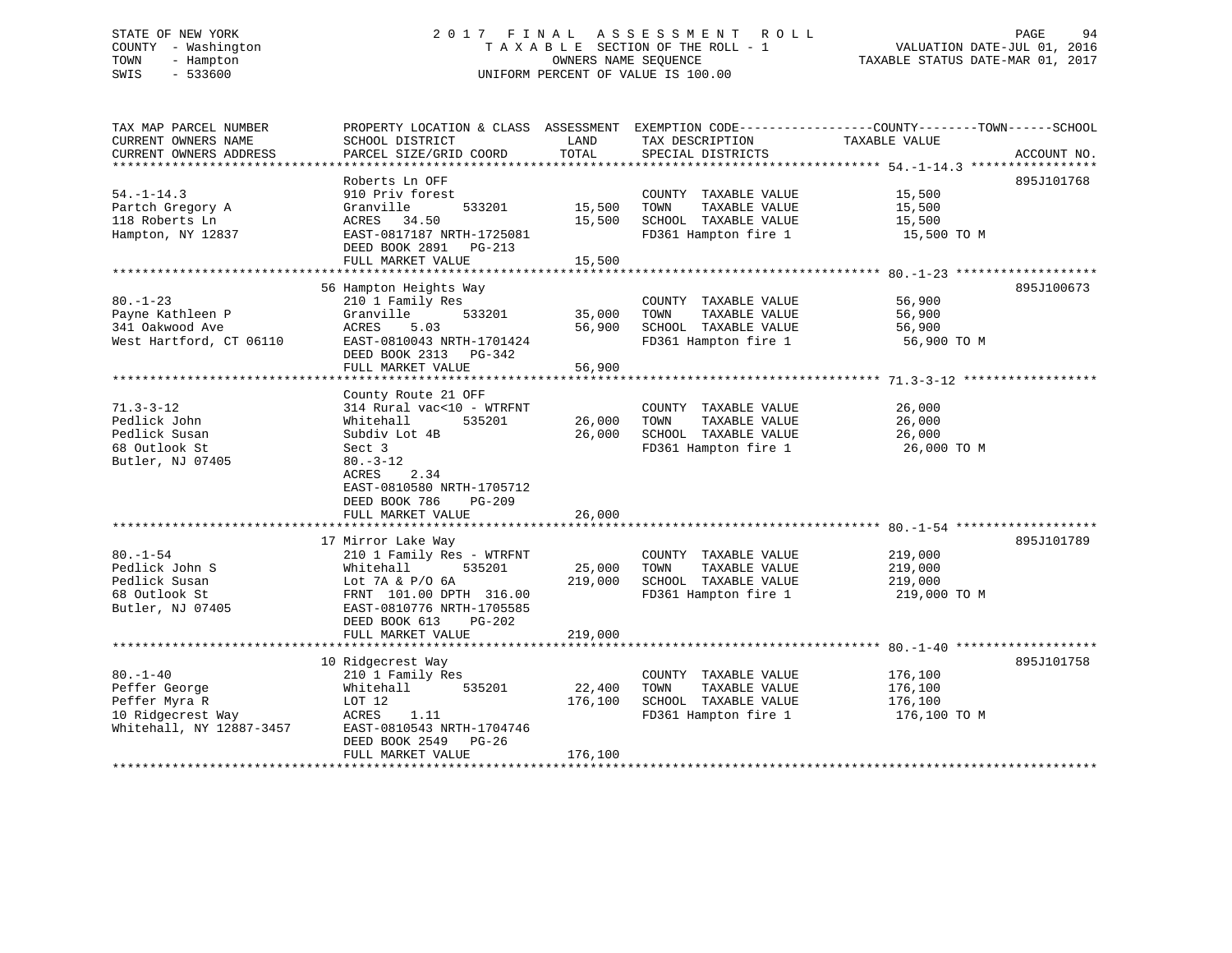#### STATE OF NEW YORK GALL 2017 FINAL ASSESSMENT ROLL CHARGE 94 COUNTY - Washington  $\begin{array}{ccc}\n\text{T A X A B L E} & \text{SECTION OF THE ROLL - 1} \\
\text{T} & \text{M N N} & \text{D} & \text{N N N} \\
\text{D} & \text{D} & \text{D} & \text{D} \\
\end{array}$ TOWN - Hampton OWNERS NAME SEQUENCE TAXABLE STATUS DATE-MAR 01, 2017 SWIS - 533600 UNIFORM PERCENT OF VALUE IS 100.00

| TAX MAP PARCEL NUMBER    | PROPERTY LOCATION & CLASS ASSESSMENT EXEMPTION CODE----------------COUNTY-------TOWN------SCHOOL |         |                       |               |             |
|--------------------------|--------------------------------------------------------------------------------------------------|---------|-----------------------|---------------|-------------|
| CURRENT OWNERS NAME      | SCHOOL DISTRICT                                                                                  | LAND    | TAX DESCRIPTION       | TAXABLE VALUE |             |
| CURRENT OWNERS ADDRESS   | PARCEL SIZE/GRID COORD                                                                           | TOTAL   | SPECIAL DISTRICTS     |               | ACCOUNT NO. |
| *******************      |                                                                                                  |         |                       |               |             |
|                          | Roberts Ln OFF                                                                                   |         |                       |               | 895J101768  |
| $54. - 1 - 14.3$         | 910 Priv forest                                                                                  |         | COUNTY TAXABLE VALUE  | 15,500        |             |
| Partch Gregory A         | Granville<br>533201                                                                              | 15,500  | TOWN<br>TAXABLE VALUE | 15,500        |             |
| 118 Roberts Ln           | ACRES<br>34.50                                                                                   | 15,500  | SCHOOL TAXABLE VALUE  | 15,500        |             |
| Hampton, NY 12837        | EAST-0817187 NRTH-1725081                                                                        |         | FD361 Hampton fire 1  | 15,500 TO M   |             |
|                          | DEED BOOK 2891<br>PG-213                                                                         |         |                       |               |             |
|                          | FULL MARKET VALUE                                                                                | 15,500  |                       |               |             |
|                          |                                                                                                  |         |                       |               |             |
|                          | 56 Hampton Heights Way                                                                           |         |                       |               | 895J100673  |
| $80. - 1 - 23$           | 210 1 Family Res                                                                                 |         | COUNTY TAXABLE VALUE  | 56,900        |             |
| Payne Kathleen P         | 533201<br>Granville                                                                              | 35,000  | TAXABLE VALUE<br>TOWN | 56,900        |             |
| 341 Oakwood Ave          | 5.03<br>ACRES                                                                                    | 56,900  | SCHOOL TAXABLE VALUE  | 56,900        |             |
| West Hartford, CT 06110  | EAST-0810043 NRTH-1701424                                                                        |         | FD361 Hampton fire 1  | 56,900 TO M   |             |
|                          | DEED BOOK 2313 PG-342                                                                            |         |                       |               |             |
|                          | FULL MARKET VALUE                                                                                | 56,900  |                       |               |             |
|                          |                                                                                                  |         |                       |               |             |
|                          | County Route 21 OFF                                                                              |         |                       |               |             |
| $71.3 - 3 - 12$          | 314 Rural vac<10 - WTRFNT                                                                        |         | COUNTY TAXABLE VALUE  | 26,000        |             |
| Pedlick John             | Whitehall<br>535201                                                                              | 26,000  | TOWN<br>TAXABLE VALUE | 26,000        |             |
| Pedlick Susan            | Subdiv Lot 4B                                                                                    | 26,000  | SCHOOL TAXABLE VALUE  | 26,000        |             |
| 68 Outlook St            | Sect 3                                                                                           |         | FD361 Hampton fire 1  | 26,000 TO M   |             |
| Butler, NJ 07405         | $80. -3 - 12$                                                                                    |         |                       |               |             |
|                          | 2.34<br>ACRES                                                                                    |         |                       |               |             |
|                          | EAST-0810580 NRTH-1705712                                                                        |         |                       |               |             |
|                          | DEED BOOK 786<br>$PG-209$                                                                        |         |                       |               |             |
|                          | FULL MARKET VALUE                                                                                | 26,000  |                       |               |             |
|                          |                                                                                                  |         |                       |               |             |
|                          | 17 Mirror Lake Way                                                                               |         |                       |               | 895J101789  |
| $80. - 1 - 54$           | 210 1 Family Res - WTRFNT                                                                        |         | COUNTY TAXABLE VALUE  | 219,000       |             |
| Pedlick John S           | 535201<br>Whitehall                                                                              | 25,000  | TAXABLE VALUE<br>TOWN | 219,000       |             |
| Pedlick Susan            | Lot 7A & P/O 6A                                                                                  | 219,000 | SCHOOL TAXABLE VALUE  |               |             |
| 68 Outlook St            |                                                                                                  |         | FD361 Hampton fire 1  | 219,000       |             |
| Butler, NJ 07405         | FRNT 101.00 DPTH 316.00                                                                          |         |                       | 219,000 TO M  |             |
|                          | EAST-0810776 NRTH-1705585                                                                        |         |                       |               |             |
|                          | DEED BOOK 613<br>PG-202                                                                          | 219,000 |                       |               |             |
|                          | FULL MARKET VALUE                                                                                |         |                       |               |             |
|                          |                                                                                                  |         |                       |               |             |
|                          | 10 Ridgecrest Way                                                                                |         |                       |               | 895J101758  |
| $80. - 1 - 40$           | 210 1 Family Res                                                                                 |         | COUNTY TAXABLE VALUE  | 176,100       |             |
| Peffer George            | 535201<br>Whitehall                                                                              | 22,400  | TAXABLE VALUE<br>TOWN | 176,100       |             |
| Peffer Myra R            | LOT 12                                                                                           | 176,100 | SCHOOL TAXABLE VALUE  | 176,100       |             |
| 10 Ridgecrest Way        | ACRES<br>1.11                                                                                    |         | FD361 Hampton fire 1  | 176,100 TO M  |             |
| Whitehall, NY 12887-3457 | EAST-0810543 NRTH-1704746                                                                        |         |                       |               |             |
|                          | DEED BOOK 2549 PG-26                                                                             |         |                       |               |             |
|                          | FULL MARKET VALUE                                                                                | 176,100 |                       |               |             |
|                          |                                                                                                  |         |                       |               |             |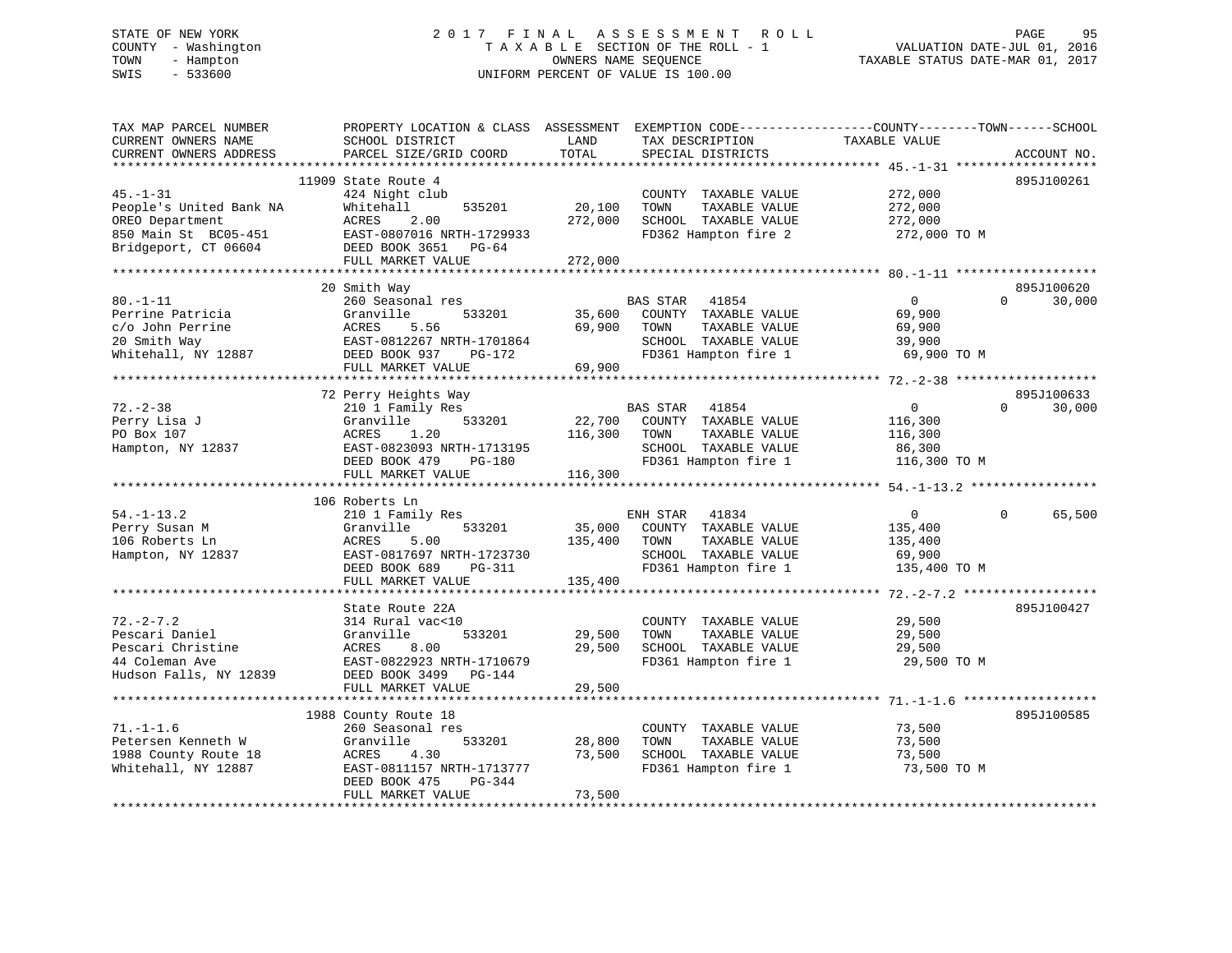# STATE OF NEW YORK 2 0 1 7 F I N A L A S S E S S M E N T R O L L PAGE 95 COUNTY - Washington T A X A B L E SECTION OF THE ROLL - 1 VALUATION DATE-JUL 01, 2016 TOWN - Hampton OWNERS NAME SEQUENCE TAXABLE STATUS DATE-MAR 01, 2017 SWIS - 533600 UNIFORM PERCENT OF VALUE IS 100.00

| TAX MAP PARCEL NUMBER<br>CURRENT OWNERS NAME<br>CURRENT OWNERS ADDRESS                                       | PROPERTY LOCATION & CLASS ASSESSMENT<br>SCHOOL DISTRICT<br>PARCEL SIZE/GRID COORD                                                                             | LAND<br>TOTAL                | TAX DESCRIPTION<br>SPECIAL DISTRICTS                                                                               | EXEMPTION CODE-----------------COUNTY-------TOWN------SCHOOL<br>TAXABLE VALUE | ACCOUNT NO.                      |
|--------------------------------------------------------------------------------------------------------------|---------------------------------------------------------------------------------------------------------------------------------------------------------------|------------------------------|--------------------------------------------------------------------------------------------------------------------|-------------------------------------------------------------------------------|----------------------------------|
| ************************                                                                                     |                                                                                                                                                               |                              |                                                                                                                    |                                                                               |                                  |
| $45. - 1 - 31$<br>People's United Bank NA<br>OREO Department<br>850 Main St BC05-451<br>Bridgeport, CT 06604 | 11909 State Route 4<br>424 Night club<br>Whitehall<br>535201<br>ACRES<br>2.00<br>EAST-0807016 NRTH-1729933<br>DEED BOOK 3651 PG-64                            | 20,100<br>272,000            | COUNTY TAXABLE VALUE<br>TAXABLE VALUE<br>TOWN<br>SCHOOL TAXABLE VALUE<br>FD362 Hampton fire 2                      | 272,000<br>272,000<br>272,000<br>272,000 TO M                                 | 895J100261                       |
|                                                                                                              | FULL MARKET VALUE                                                                                                                                             | 272,000                      |                                                                                                                    |                                                                               |                                  |
| $80. - 1 - 11$<br>Perrine Patricia<br>c/o John Perrine<br>20 Smith Way                                       | 20 Smith Way<br>260 Seasonal res<br>Granville<br>533201<br>ACRES<br>5.56<br>EAST-0812267 NRTH-1701864                                                         | 35,600<br>69,900             | BAS STAR 41854<br>COUNTY TAXABLE VALUE<br>TAXABLE VALUE<br>TOWN<br>SCHOOL TAXABLE VALUE                            | $\Omega$<br>69,900<br>69,900<br>39,900                                        | 895J100620<br>$\Omega$<br>30,000 |
| Whitehall, NY 12887                                                                                          | DEED BOOK 937 PG-172                                                                                                                                          |                              | FD361 Hampton fire 1                                                                                               | 69,900 TO M                                                                   |                                  |
|                                                                                                              | FULL MARKET VALUE                                                                                                                                             | 69,900                       |                                                                                                                    |                                                                               |                                  |
|                                                                                                              |                                                                                                                                                               |                              |                                                                                                                    |                                                                               |                                  |
| $72. - 2 - 38$<br>Perry Lisa J<br>PO Box 107<br>Hampton, NY 12837                                            | 72 Perry Heights Way<br>210 1 Family Res<br>Granville<br>533201<br>1.20<br>ACRES<br>EAST-0823093 NRTH-1713195<br>DEED BOOK 479<br>PG-180<br>FULL MARKET VALUE | 22,700<br>116,300<br>116,300 | BAS STAR<br>41854<br>COUNTY TAXABLE VALUE<br>TAXABLE VALUE<br>TOWN<br>SCHOOL TAXABLE VALUE<br>FD361 Hampton fire 1 | $\mathbf{0}$<br>116,300<br>116,300<br>86,300<br>116,300 TO M                  | 895J100633<br>$\Omega$<br>30,000 |
|                                                                                                              |                                                                                                                                                               |                              |                                                                                                                    |                                                                               |                                  |
| $54. - 1 - 13.2$<br>Perry Susan M<br>106 Roberts Ln<br>Hampton, NY 12837                                     | 106 Roberts Ln<br>210 1 Family Res<br>533201<br>Granville<br>ACRES<br>5.00<br>EAST-0817697 NRTH-1723730<br>DEED BOOK 689<br>PG-311<br>FULL MARKET VALUE       | 35,000<br>135,400<br>135,400 | ENH STAR 41834<br>COUNTY TAXABLE VALUE<br>TAXABLE VALUE<br>TOWN<br>SCHOOL TAXABLE VALUE<br>FD361 Hampton fire 1    | $\overline{0}$<br>135,400<br>135,400<br>69,900<br>135,400 TO M                | $\Omega$<br>65,500               |
|                                                                                                              |                                                                                                                                                               |                              |                                                                                                                    |                                                                               |                                  |
| $72. - 2 - 7.2$<br>Pescari Daniel<br>Pescari Christine<br>44 Coleman Ave<br>Hudson Falls, NY 12839           | State Route 22A<br>314 Rural vac<10<br>Granville<br>533201<br>8.00<br>ACRES<br>EAST-0822923 NRTH-1710679<br>DEED BOOK 3499 PG-144                             | 29,500<br>29,500             | COUNTY TAXABLE VALUE<br>TOWN<br>TAXABLE VALUE<br>SCHOOL TAXABLE VALUE<br>FD361 Hampton fire 1                      | 29,500<br>29,500<br>29,500<br>29,500 TO M                                     | 895J100427                       |
|                                                                                                              | FULL MARKET VALUE                                                                                                                                             | 29,500                       |                                                                                                                    |                                                                               |                                  |
| $71. - 1 - 1.6$                                                                                              | 1988 County Route 18<br>260 Seasonal res                                                                                                                      |                              | COUNTY TAXABLE VALUE                                                                                               | 73,500                                                                        | 895J100585                       |
| Petersen Kenneth W<br>1988 County Route 18<br>Whitehall, NY 12887                                            | Granville<br>533201<br>ACRES<br>4.30<br>EAST-0811157 NRTH-1713777<br>DEED BOOK 475<br>PG-344<br>FULL MARKET VALUE                                             | 28,800<br>73,500<br>73,500   | TOWN<br>TAXABLE VALUE<br>SCHOOL TAXABLE VALUE<br>FD361 Hampton fire 1                                              | 73,500<br>73,500<br>73,500 TO M                                               |                                  |
|                                                                                                              |                                                                                                                                                               |                              |                                                                                                                    |                                                                               |                                  |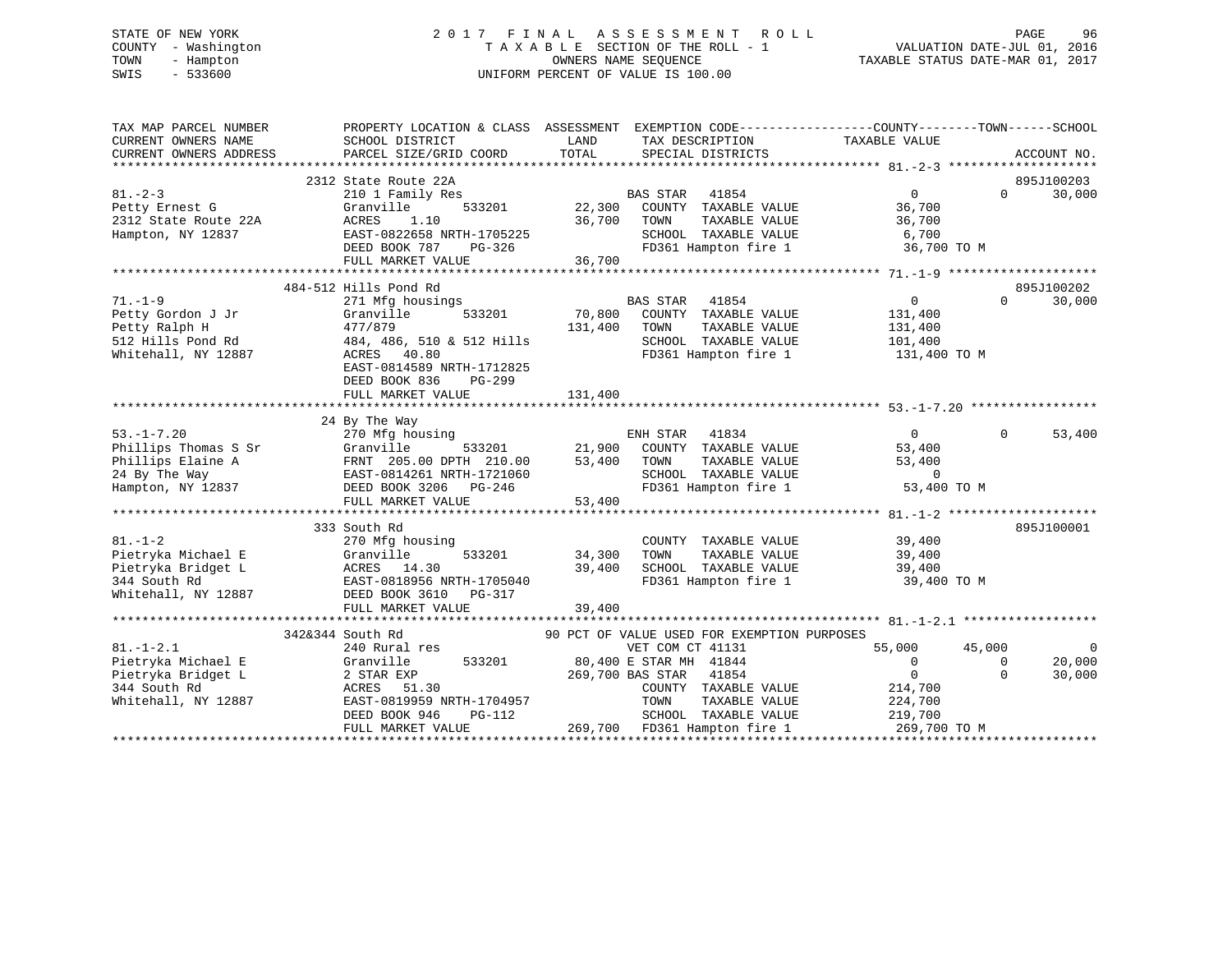# STATE OF NEW YORK 2 0 1 7 F I N A L A S S E S S M E N T R O L L PAGE 96 COUNTY - Washington T A X A B L E SECTION OF THE ROLL - 1 VALUATION DATE-JUL 01, 2016 TOWN - Hampton OWNERS NAME SEQUENCE TAXABLE STATUS DATE-MAR 01, 2017 SWIS - 533600 UNIFORM PERCENT OF VALUE IS 100.00

| TAX MAP PARCEL NUMBER<br>CURRENT OWNERS NAME | SCHOOL DISTRICT           | LAND<br>TAX DESCRIPTION                     | PROPERTY LOCATION & CLASS ASSESSMENT EXEMPTION CODE----------------COUNTY-------TOWN------SCHOOL<br>TAXABLE VALUE |
|----------------------------------------------|---------------------------|---------------------------------------------|-------------------------------------------------------------------------------------------------------------------|
| CURRENT OWNERS ADDRESS                       | PARCEL SIZE/GRID COORD    | TOTAL<br>SPECIAL DISTRICTS                  | ACCOUNT NO.                                                                                                       |
|                                              |                           |                                             |                                                                                                                   |
|                                              | 2312 State Route 22A      |                                             | 895J100203                                                                                                        |
| $81. - 2 - 3$                                | 210 1 Family Res          | BAS STAR<br>41854                           | 30,000<br>0<br>$\Omega$                                                                                           |
| Petty Ernest G                               | 533201<br>Granville       | 22,300<br>COUNTY TAXABLE VALUE              | 36,700                                                                                                            |
| 2312 State Route 22A                         | ACRES<br>1.10             | 36,700<br>TOWN<br>TAXABLE VALUE             | 36,700                                                                                                            |
| Hampton, NY 12837                            | EAST-0822658 NRTH-1705225 | SCHOOL TAXABLE VALUE                        | 6,700                                                                                                             |
|                                              | DEED BOOK 787<br>PG-326   | FD361 Hampton fire 1                        | 36,700 TO M                                                                                                       |
|                                              | FULL MARKET VALUE         | 36,700                                      |                                                                                                                   |
|                                              |                           |                                             |                                                                                                                   |
|                                              | 484-512 Hills Pond Rd     |                                             | 895J100202                                                                                                        |
| $71. - 1 - 9$                                | 271 Mfg housings          | BAS STAR<br>41854                           | $\mathbf{0}$<br>$\Omega$<br>30,000                                                                                |
| Petty Gordon J Jr                            | 533201<br>Granville       | 70,800<br>COUNTY TAXABLE VALUE              | 131,400                                                                                                           |
| Petty Ralph H                                | 477/879                   | 131,400<br>TOWN<br>TAXABLE VALUE            | 131,400                                                                                                           |
| 512 Hills Pond Rd                            | 484, 486, 510 & 512 Hills | SCHOOL TAXABLE VALUE                        | 101,400                                                                                                           |
| Whitehall, NY 12887                          | ACRES 40.80               | FD361 Hampton fire 1                        | 131,400 TO M                                                                                                      |
|                                              | EAST-0814589 NRTH-1712825 |                                             |                                                                                                                   |
|                                              | DEED BOOK 836<br>PG-299   |                                             |                                                                                                                   |
|                                              | FULL MARKET VALUE         | 131,400                                     |                                                                                                                   |
|                                              |                           |                                             |                                                                                                                   |
|                                              | 24 By The Way             |                                             |                                                                                                                   |
| $53. -1 - 7.20$                              | 270 Mfg housing           | 41834<br>ENH STAR                           | $\overline{0}$<br>53,400<br>$\Omega$                                                                              |
| Phillips Thomas S Sr                         | 533201<br>Granville       | 21,900<br>COUNTY TAXABLE VALUE              | 53,400                                                                                                            |
| Phillips Elaine A                            | FRNT 205.00 DPTH 210.00   | 53,400<br>TAXABLE VALUE<br>TOWN             | 53,400                                                                                                            |
| 24 By The Way                                | EAST-0814261 NRTH-1721060 | SCHOOL TAXABLE VALUE                        | $\Omega$                                                                                                          |
| Hampton, NY 12837                            | DEED BOOK 3206<br>PG-246  | FD361 Hampton fire 1                        | 53,400 TO M                                                                                                       |
|                                              | FULL MARKET VALUE         | 53,400                                      |                                                                                                                   |
|                                              |                           |                                             |                                                                                                                   |
|                                              | 333 South Rd              |                                             | 895J100001                                                                                                        |
| $81. - 1 - 2$                                | 270 Mfg housing           | COUNTY TAXABLE VALUE                        | 39,400                                                                                                            |
| Pietryka Michael E                           | 533201<br>Granville       | 34,300<br>TOWN<br>TAXABLE VALUE             | 39,400                                                                                                            |
| Pietryka Bridget L                           | ACRES<br>14.30            | 39,400<br>SCHOOL TAXABLE VALUE              | 39,400                                                                                                            |
| 344 South Rd                                 | EAST-0818956 NRTH-1705040 | FD361 Hampton fire 1                        | 39,400 TO M                                                                                                       |
| Whitehall, NY 12887                          | DEED BOOK 3610<br>PG-317  |                                             |                                                                                                                   |
|                                              | FULL MARKET VALUE         | 39,400                                      |                                                                                                                   |
|                                              |                           |                                             |                                                                                                                   |
|                                              | 342&344 South Rd          | 90 PCT OF VALUE USED FOR EXEMPTION PURPOSES |                                                                                                                   |
| $81. - 1 - 2.1$                              | 240 Rural res             | VET COM CT 41131                            | 55,000<br>45,000<br>$\Omega$                                                                                      |
| Pietryka Michael E                           | 533201<br>Granville       | 80,400 E STAR MH 41844                      | $\mathbf{0}$<br>20,000<br>$\Omega$                                                                                |
| Pietryka Bridget L                           | 2 STAR EXP                | 269,700 BAS STAR<br>41854                   | $\mathbf 0$<br>30,000<br>$\Omega$                                                                                 |
| 344 South Rd                                 | 51.30<br>ACRES            | COUNTY TAXABLE VALUE                        | 214,700                                                                                                           |
| Whitehall, NY 12887                          | EAST-0819959 NRTH-1704957 | TAXABLE VALUE<br>TOWN                       | 224,700                                                                                                           |
|                                              | DEED BOOK 946<br>PG-112   | SCHOOL TAXABLE VALUE                        | 219,700                                                                                                           |
|                                              | FULL MARKET VALUE         | 269,700 FD361 Hampton fire 1                | 269,700 TO M                                                                                                      |
|                                              |                           |                                             |                                                                                                                   |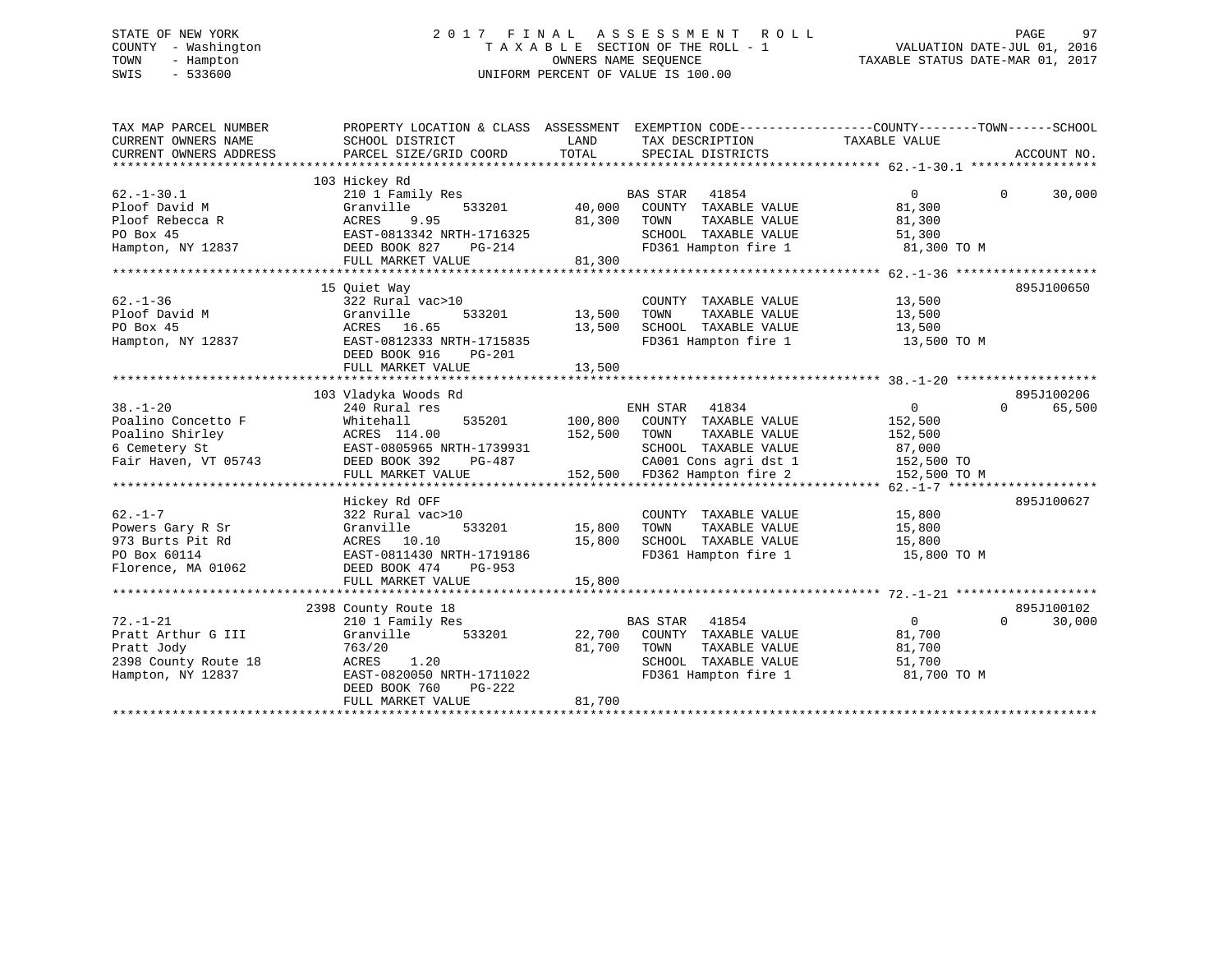# STATE OF NEW YORK 2 0 1 7 F I N A L A S S E S S M E N T R O L L PAGE 97 COUNTY - Washington T A X A B L E SECTION OF THE ROLL - 1 VALUATION DATE-JUL 01, 2016 TOWN - Hampton OWNERS NAME SEQUENCE TAXABLE STATUS DATE-MAR 01, 2017 SWIS - 533600 UNIFORM PERCENT OF VALUE IS 100.00

| TAX MAP PARCEL NUMBER<br>CURRENT OWNERS NAME<br>CURRENT OWNERS ADDRESS                           | PROPERTY LOCATION & CLASS ASSESSMENT EXEMPTION CODE---------------COUNTY-------TOWN-----SCHOOL<br>SCHOOL DISTRICT<br>PARCEL SIZE/GRID COORD               | LAND<br>TOTAL              | TAX DESCRIPTION<br>SPECIAL DISTRICTS                                                                                                                     | TAXABLE VALUE                                                                | ACCOUNT NO.                      |
|--------------------------------------------------------------------------------------------------|-----------------------------------------------------------------------------------------------------------------------------------------------------------|----------------------------|----------------------------------------------------------------------------------------------------------------------------------------------------------|------------------------------------------------------------------------------|----------------------------------|
|                                                                                                  |                                                                                                                                                           |                            |                                                                                                                                                          |                                                                              |                                  |
| $62. -1 - 30.1$<br>Ploof David M<br>Ploof Rebecca R<br>PO Box 45<br>Hampton, NY 12837            | 103 Hickey Rd<br>210 1 Family Res<br>Granville<br>ACRES<br>9.95<br>EAST-0813342 NRTH-1716325<br>DEED BOOK 827<br>PG-214                                   | 533201 40,000<br>81,300    | BAS STAR<br>41854<br>COUNTY TAXABLE VALUE<br>TOWN<br>TAXABLE VALUE<br>SCHOOL TAXABLE VALUE<br>FD361 Hampton fire 1                                       | $\Omega$<br>81,300<br>81,300<br>51,300<br>81,300 TO M                        | 30,000<br>$\Omega$               |
|                                                                                                  | FULL MARKET VALUE                                                                                                                                         | 81,300                     |                                                                                                                                                          |                                                                              |                                  |
|                                                                                                  |                                                                                                                                                           |                            |                                                                                                                                                          |                                                                              |                                  |
| $62. - 1 - 36$<br>Ploof David M<br>PO Box 45<br>Hampton, NY 12837                                | 15 Quiet Way<br>322 Rural vac>10<br>Granville<br>533201<br>ACRES 16.65<br>EAST-0812333 NRTH-1715835<br>DEED BOOK 916<br>PG-201                            | 13,500<br>13,500           | COUNTY TAXABLE VALUE<br>TOWN<br>TAXABLE VALUE<br>SCHOOL TAXABLE VALUE<br>FD361 Hampton fire 1                                                            | 13,500<br>13,500<br>13,500<br>13,500 TO M                                    | 895J100650                       |
|                                                                                                  | FULL MARKET VALUE                                                                                                                                         | 13,500                     |                                                                                                                                                          |                                                                              |                                  |
|                                                                                                  |                                                                                                                                                           |                            |                                                                                                                                                          |                                                                              |                                  |
| $38. - 1 - 20$<br>Poalino Concetto F<br>Poalino Shirley<br>6 Cemetery St<br>Fair Haven, VT 05743 | 103 Vladyka Woods Rd<br>240 Rural res<br>Whitehall<br>535201<br>ACRES 114.00<br>EAST-0805965 NRTH-1739931<br>DEED BOOK 392<br>PG-487<br>FULL MARKET VALUE | 152,500                    | ENH STAR 41834<br>100,800 COUNTY TAXABLE VALUE<br>TOWN<br>TAXABLE VALUE<br>SCHOOL TAXABLE VALUE<br>CA001 Cons agri dst 1<br>152,500 FD362 Hampton fire 2 | $\overline{0}$<br>152,500<br>152,500<br>87,000<br>152,500 TO<br>152,500 TO M | 895J100206<br>$\Omega$<br>65,500 |
|                                                                                                  |                                                                                                                                                           |                            |                                                                                                                                                          |                                                                              |                                  |
| $62. - 1 - 7$<br>Powers Gary R Sr<br>973 Burts Pit Rd<br>PO Box 60114<br>Florence, MA 01062      | Hickey Rd OFF<br>322 Rural vac>10<br>533201<br>Granville<br>ACRES 10.10<br>EAST-0811430 NRTH-1719186<br>DEED BOOK 474<br>PG-953                           | 15,800<br>15,800           | COUNTY TAXABLE VALUE<br>TAXABLE VALUE<br>TOWN<br>SCHOOL TAXABLE VALUE<br>FD361 Hampton fire 1 15,800 TO M                                                | 15,800<br>15,800<br>15,800                                                   | 895J100627                       |
|                                                                                                  | FULL MARKET VALUE                                                                                                                                         | 15,800                     |                                                                                                                                                          |                                                                              |                                  |
|                                                                                                  | 2398 County Route 18                                                                                                                                      |                            |                                                                                                                                                          |                                                                              | 895J100102                       |
| $72. - 1 - 21$<br>Pratt Arthur G III<br>Pratt Jody<br>2398 County Route 18<br>Hampton, NY 12837  | 210 1 Family Res<br>Granville<br>533201<br>763/20<br>1.20<br>ACRES<br>EAST-0820050 NRTH-1711022<br>DEED BOOK 760<br>$PG-222$<br>FULL MARKET VALUE         | 22,700<br>81,700<br>81,700 | BAS STAR 41854<br>COUNTY TAXABLE VALUE<br>TOWN<br>TAXABLE VALUE<br>SCHOOL TAXABLE VALUE<br>FD361 Hampton fire 1                                          | $\overline{0}$<br>81,700<br>81,700<br>51,700<br>81,700 TO M                  | $\Omega$<br>30,000               |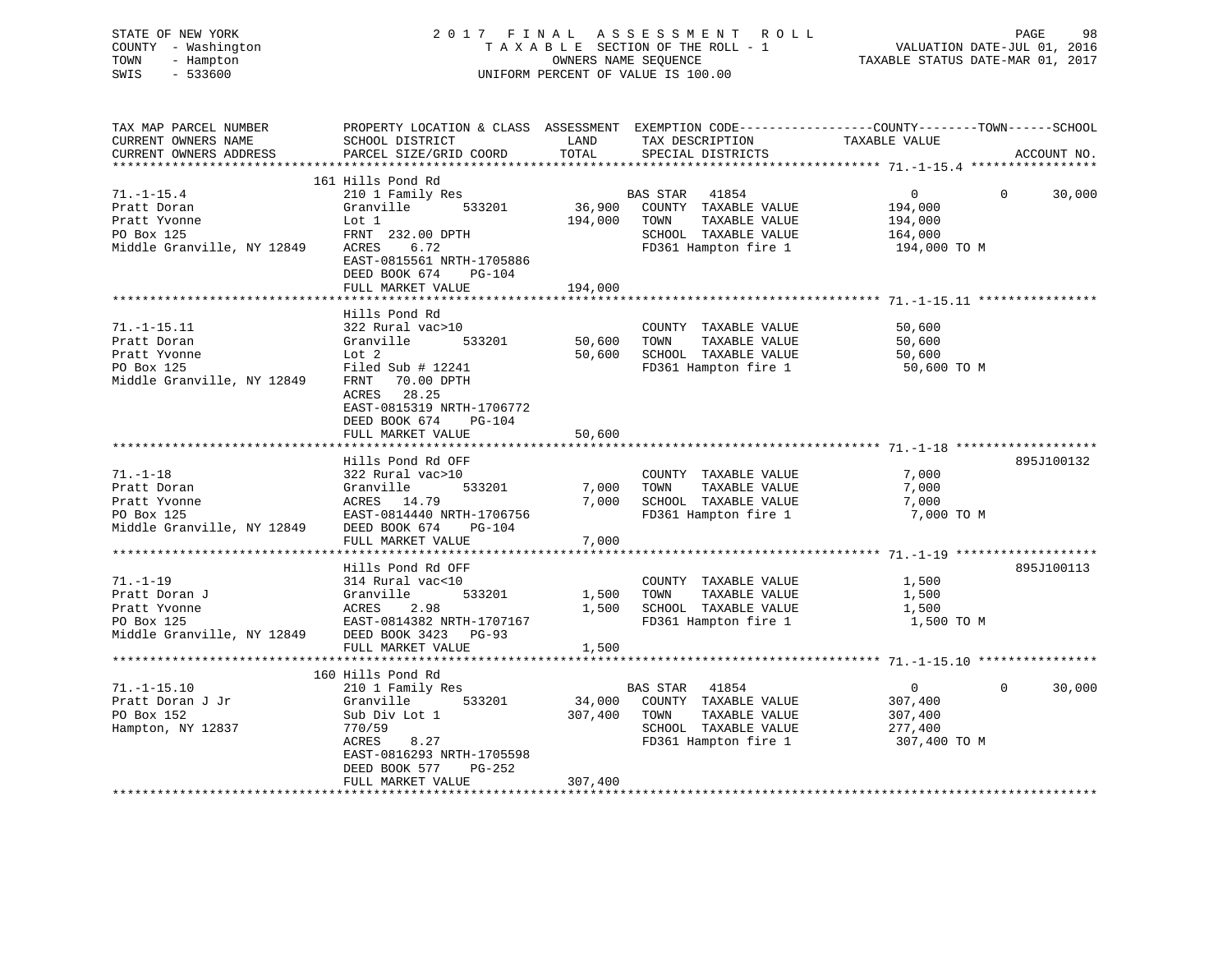| STATE OF NEW YORK<br>- Washington<br>COUNTY<br>TOWN<br>- Hampton<br>$-533600$<br>SWIS |                           |         | 2017 FINAL ASSESSMENT ROLL<br>OWNERS NAME SEQUENCE<br>UNIFORM PERCENT OF VALUE IS 100.00 | 98<br>PAGE<br>TAXABLE STATUS DATE-MAR 01, 2017                                                    |
|---------------------------------------------------------------------------------------|---------------------------|---------|------------------------------------------------------------------------------------------|---------------------------------------------------------------------------------------------------|
| TAX MAP PARCEL NUMBER                                                                 |                           |         |                                                                                          | PROPERTY LOCATION & CLASS ASSESSMENT EXEMPTION CODE-----------------COUNTY-------TOWN------SCHOOL |
| CURRENT OWNERS NAME                                                                   | SCHOOL DISTRICT           | LAND    | TAX DESCRIPTION TAXABLE VALUE                                                            |                                                                                                   |
|                                                                                       |                           |         |                                                                                          |                                                                                                   |
|                                                                                       |                           |         |                                                                                          |                                                                                                   |
|                                                                                       | 161 Hills Pond Rd         |         |                                                                                          |                                                                                                   |
| $71. - 1 - 15.4$                                                                      | 210 1 Family Res          |         | BAS STAR 41854                                                                           | $\overline{0}$<br>30,000<br>$\overline{0}$                                                        |
| Pratt Doran                                                                           |                           |         | Granville 533201 36,900 COUNTY TAXABLE VALUE 194,000                                     |                                                                                                   |
| Pratt Yvonne                                                                          | $\mathsf{Lot} \quad 1$    | 194,000 | TAXABLE VALUE<br>TOWN                                                                    | 194,000                                                                                           |
| PO Box 125                                                                            | FRNT 232.00 DPTH          |         | TAXABLE VALUE 164,000<br>SCHOOL                                                          |                                                                                                   |
| Middle Granville, NY 12849                                                            | 6.72<br>ACRES             |         | FD361 Hampton fire 1 194,000 TO M                                                        |                                                                                                   |
|                                                                                       | EAST-0815561 NRTH-1705886 |         |                                                                                          |                                                                                                   |
|                                                                                       | DEED BOOK 674<br>$PG-104$ |         |                                                                                          |                                                                                                   |
|                                                                                       | FULL MARKET VALUE         | 194,000 |                                                                                          |                                                                                                   |
|                                                                                       | Hills Pond Rd             |         |                                                                                          |                                                                                                   |
| $71. - 1 - 15.11$                                                                     | 322 Rural vac>10          |         | COUNTY<br>TAXABLE VALUE                                                                  | 50,600                                                                                            |
| Pratt Doran                                                                           | Granville<br>533201       | 50,600  | TOWN<br>TAXABLE VALUE                                                                    | 50,600                                                                                            |
| Pratt Yvonne                                                                          | Lot 2                     | 50,600  | SCHOOL<br>TAXABLE VALUE                                                                  | 50,600                                                                                            |
| PO Box 125                                                                            | Filed Sub $#$ 12241       |         | FD361 Hampton fire 1 50,600 TO M                                                         |                                                                                                   |
| Middle Granville, NY 12849                                                            | FRNT 70.00 DPTH           |         |                                                                                          |                                                                                                   |

|                            | ACRES<br>28.25<br>EAST-0815319 NRTH-1706772<br>DEED BOOK 674 PG-104<br>FULL MARKET VALUE | 50,600  |                                    |                |          |            |
|----------------------------|------------------------------------------------------------------------------------------|---------|------------------------------------|----------------|----------|------------|
|                            | Hills Pond Rd OFF                                                                        |         |                                    |                |          | 895J100132 |
| $71. - 1 - 18$             | 322 Rural vac>10                                                                         |         | COUNTY TAXABLE VALUE               | 7,000          |          |            |
| Pratt Doran                | Granville<br>533201                                                                      | 7,000   | TOWN<br>TAXABLE VALUE              | 7,000          |          |            |
| Pratt Yvonne               | ACRES 14.79                                                                              | 7,000   | SCHOOL TAXABLE VALUE               | 7,000          |          |            |
| PO Box 125                 | EAST-0814440 NRTH-1706756                                                                |         | FD361 Hampton fire 1               | 7,000 TO M     |          |            |
| Middle Granville, NY 12849 | DEED BOOK 674<br>PG-104                                                                  |         |                                    |                |          |            |
|                            | FULL MARKET VALUE                                                                        |         |                                    |                |          |            |
|                            |                                                                                          |         |                                    |                |          |            |
|                            | Hills Pond Rd OFF                                                                        |         |                                    |                |          | 895J100113 |
| $71. - 1 - 19$             | 314 Rural vac<10                                                                         |         | COUNTY TAXABLE VALUE               | 1,500          |          |            |
| Pratt Doran J              | Granville<br>533201                                                                      | 1,500   | TOWN<br>TAXABLE VALUE              | 1,500          |          |            |
| Pratt Yvonne               | ACRES 2.98                                                                               | 1,500   | SCHOOL TAXABLE VALUE               | 1,500          |          |            |
| PO Box 125                 | EAST-0814382 NRTH-1707167                                                                |         | FD361 Hampton fire 1               | 1,500 TO M     |          |            |
| Middle Granville, NY 12849 | DEED BOOK 3423 PG-93                                                                     |         |                                    |                |          |            |
|                            | FULL MARKET VALUE                                                                        | 1,500   |                                    |                |          |            |
|                            |                                                                                          |         |                                    |                |          |            |
|                            | 160 Hills Pond Rd                                                                        |         |                                    |                |          |            |
| $71. - 1 - 15.10$          | 210 1 Family Res                                                                         |         | BAS STAR 41854                     | $\overline{0}$ | $\Omega$ | 30,000     |
| Pratt Doran J Jr           | Granville                                                                                |         | 533201 34,000 COUNTY TAXABLE VALUE | 307,400        |          |            |
| PO Box 152                 | Sub Div Lot 1                                                                            | 307,400 | TOWN<br>TAXABLE VALUE              | 307,400        |          |            |
| Hampton, NY 12837          | 770/59                                                                                   |         | SCHOOL TAXABLE VALUE               | 277,400        |          |            |
|                            | 8.27<br>ACRES                                                                            |         | FD361 Hampton fire 1               | 307,400 TO M   |          |            |
|                            | EAST-0816293 NRTH-1705598                                                                |         |                                    |                |          |            |
|                            | DEED BOOK 577<br>PG-252                                                                  |         |                                    |                |          |            |
|                            | FULL MARKET VALUE                                                                        | 307,400 |                                    |                |          |            |
|                            |                                                                                          |         |                                    |                |          |            |
|                            |                                                                                          |         |                                    |                |          |            |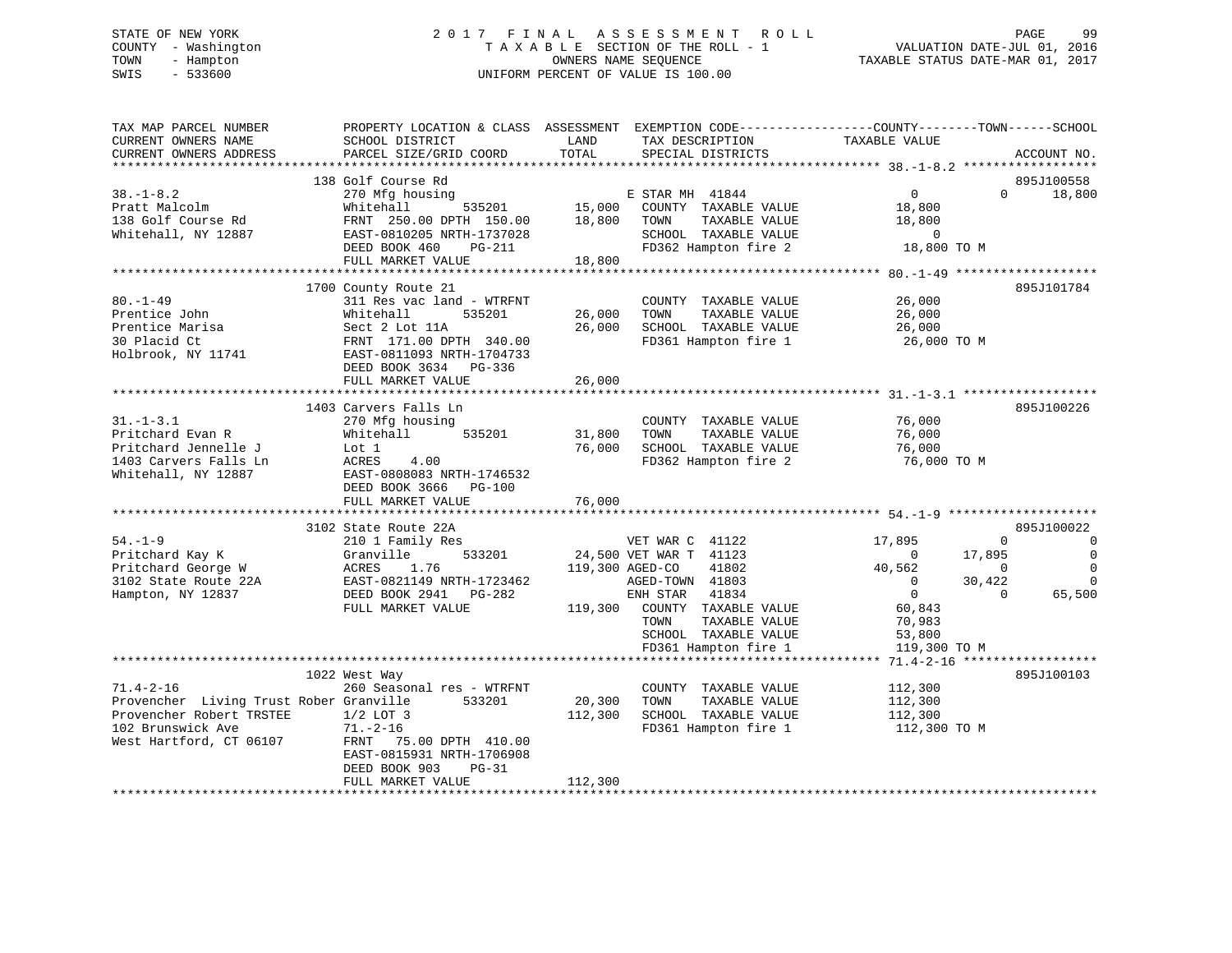# STATE OF NEW YORK 2 0 1 7 F I N A L A S S E S S M E N T R O L L PAGE 99 COUNTY - Washington T A X A B L E SECTION OF THE ROLL - 1 VALUATION DATE-JUL 01, 2016 TOWN - Hampton OWNERS NAME SEQUENCE TAXABLE STATUS DATE-MAR 01, 2017 SWIS - 533600 UNIFORM PERCENT OF VALUE IS 100.00

| TAX MAP PARCEL NUMBER<br>CURRENT OWNERS NAME<br>CURRENT OWNERS ADDRESS                   | PROPERTY LOCATION & CLASS ASSESSMENT<br>SCHOOL DISTRICT<br>PARCEL SIZE/GRID COORD                                                                                              | LAND<br>TOTAL     | TAX DESCRIPTION<br>SPECIAL DISTRICTS                                                          | EXEMPTION CODE-----------------COUNTY-------TOWN------SCHOOL<br>TAXABLE VALUE | ACCOUNT NO.                |
|------------------------------------------------------------------------------------------|--------------------------------------------------------------------------------------------------------------------------------------------------------------------------------|-------------------|-----------------------------------------------------------------------------------------------|-------------------------------------------------------------------------------|----------------------------|
| **********************                                                                   |                                                                                                                                                                                |                   |                                                                                               |                                                                               |                            |
| $38. - 1 - 8.2$                                                                          | 138 Golf Course Rd<br>270 Mfg housing                                                                                                                                          |                   | E STAR MH 41844                                                                               | $\Omega$<br>$\overline{0}$                                                    | 895J100558<br>18,800       |
| Pratt Malcolm<br>138 Golf Course Rd<br>Whitehall, NY 12887                               | Whitehall<br>535201<br>FRNT 250.00 DPTH 150.00<br>EAST-0810205 NRTH-1737028                                                                                                    | 15,000<br>18,800  | COUNTY TAXABLE VALUE<br>TAXABLE VALUE<br>TOWN<br>SCHOOL TAXABLE VALUE                         | 18,800<br>18,800<br>$\mathbf 0$                                               |                            |
|                                                                                          | DEED BOOK 460<br>PG-211<br>FULL MARKET VALUE                                                                                                                                   | 18,800            | FD362 Hampton fire 2                                                                          | 18,800 TO M                                                                   |                            |
|                                                                                          | *******************                                                                                                                                                            |                   |                                                                                               | ************* 80.-1-49 *****************                                      |                            |
| $80. - 1 - 49$<br>Prentice John<br>Prentice Marisa<br>30 Placid Ct<br>Holbrook, NY 11741 | 1700 County Route 21<br>311 Res vac land - WTRFNT<br>Whitehall<br>535201<br>Sect 2 Lot 11A<br>FRNT 171.00 DPTH 340.00<br>EAST-0811093 NRTH-1704733<br>DEED BOOK 3634<br>PG-336 | 26,000<br>26,000  | COUNTY TAXABLE VALUE<br>TOWN<br>TAXABLE VALUE<br>SCHOOL TAXABLE VALUE<br>FD361 Hampton fire 1 | 26,000<br>26,000<br>26,000<br>26,000 TO M                                     | 895J101784                 |
|                                                                                          | FULL MARKET VALUE                                                                                                                                                              | 26,000            |                                                                                               |                                                                               |                            |
|                                                                                          |                                                                                                                                                                                |                   |                                                                                               |                                                                               |                            |
| $31. - 1 - 3.1$                                                                          | 1403 Carvers Falls Ln<br>270 Mfg housing                                                                                                                                       |                   | COUNTY TAXABLE VALUE                                                                          | 76,000                                                                        | 895J100226                 |
| Pritchard Evan R<br>Pritchard Jennelle J                                                 | Whitehall<br>535201<br>Lot 1                                                                                                                                                   | 31,800<br>76,000  | TOWN<br>TAXABLE VALUE<br>SCHOOL TAXABLE VALUE                                                 | 76,000<br>76,000                                                              |                            |
| 1403 Carvers Falls Ln<br>Whitehall, NY 12887                                             | ACRES<br>4.00<br>EAST-0808083 NRTH-1746532<br>DEED BOOK 3666<br>PG-100                                                                                                         |                   | FD362 Hampton fire 2                                                                          | 76,000 TO M                                                                   |                            |
|                                                                                          | FULL MARKET VALUE                                                                                                                                                              | 76,000            |                                                                                               |                                                                               |                            |
|                                                                                          |                                                                                                                                                                                |                   |                                                                                               |                                                                               |                            |
|                                                                                          | 3102 State Route 22A                                                                                                                                                           |                   |                                                                                               |                                                                               | 895J100022                 |
| $54. - 1 - 9$<br>Pritchard Kay K                                                         | 210 1 Family Res<br>533201<br>Granville                                                                                                                                        |                   | VET WAR C 41122<br>24,500 VET WAR T 41123                                                     | 17,895<br>$\Omega$<br>17,895<br>$\mathbf{0}$                                  | $\mathbf 0$<br>$\mathbf 0$ |
| Pritchard George W                                                                       | ACRES<br>1.76                                                                                                                                                                  | 119,300 AGED-CO   | 41802                                                                                         | 40,562<br>$\Omega$                                                            | $\Omega$                   |
| 3102 State Route 22A                                                                     | EAST-0821149 NRTH-1723462                                                                                                                                                      |                   | AGED-TOWN 41803                                                                               | 30,422<br>0                                                                   | $\Omega$                   |
| Hampton, NY 12837                                                                        | DEED BOOK 2941<br>PG-282                                                                                                                                                       |                   | ENH STAR<br>41834                                                                             | $\overline{0}$<br>$\Omega$                                                    | 65,500                     |
|                                                                                          | FULL MARKET VALUE                                                                                                                                                              | 119,300           | COUNTY TAXABLE VALUE                                                                          | 60,843                                                                        |                            |
|                                                                                          |                                                                                                                                                                                |                   | TAXABLE VALUE<br>TOWN                                                                         | 70,983                                                                        |                            |
|                                                                                          |                                                                                                                                                                                |                   | SCHOOL TAXABLE VALUE                                                                          | 53,800                                                                        |                            |
|                                                                                          |                                                                                                                                                                                |                   | FD361 Hampton fire 1                                                                          | 119,300 TO M                                                                  |                            |
|                                                                                          | *****************************                                                                                                                                                  |                   |                                                                                               | $71.4 - 2 - 16$ ******                                                        | ***********                |
|                                                                                          | 1022 West Way                                                                                                                                                                  |                   |                                                                                               |                                                                               | 895J100103                 |
| $71.4 - 2 - 16$                                                                          | 260 Seasonal res - WTRFNT                                                                                                                                                      |                   | COUNTY TAXABLE VALUE                                                                          | 112,300                                                                       |                            |
| Provencher Living Trust Rober Granville<br>Provencher Robert TRSTEE                      | 533201                                                                                                                                                                         | 20,300<br>112,300 | TOWN<br>TAXABLE VALUE<br>SCHOOL TAXABLE VALUE                                                 | 112,300                                                                       |                            |
| 102 Brunswick Ave                                                                        | $1/2$ LOT 3<br>$71. - 2 - 16$                                                                                                                                                  |                   | FD361 Hampton fire 1                                                                          | 112,300                                                                       |                            |
| West Hartford, CT 06107                                                                  | FRNT 75.00 DPTH 410.00<br>EAST-0815931 NRTH-1706908<br>DEED BOOK 903<br>$PG-31$<br>FULL MARKET VALUE                                                                           | 112,300           |                                                                                               | 112,300 TO M                                                                  |                            |
|                                                                                          |                                                                                                                                                                                |                   |                                                                                               |                                                                               |                            |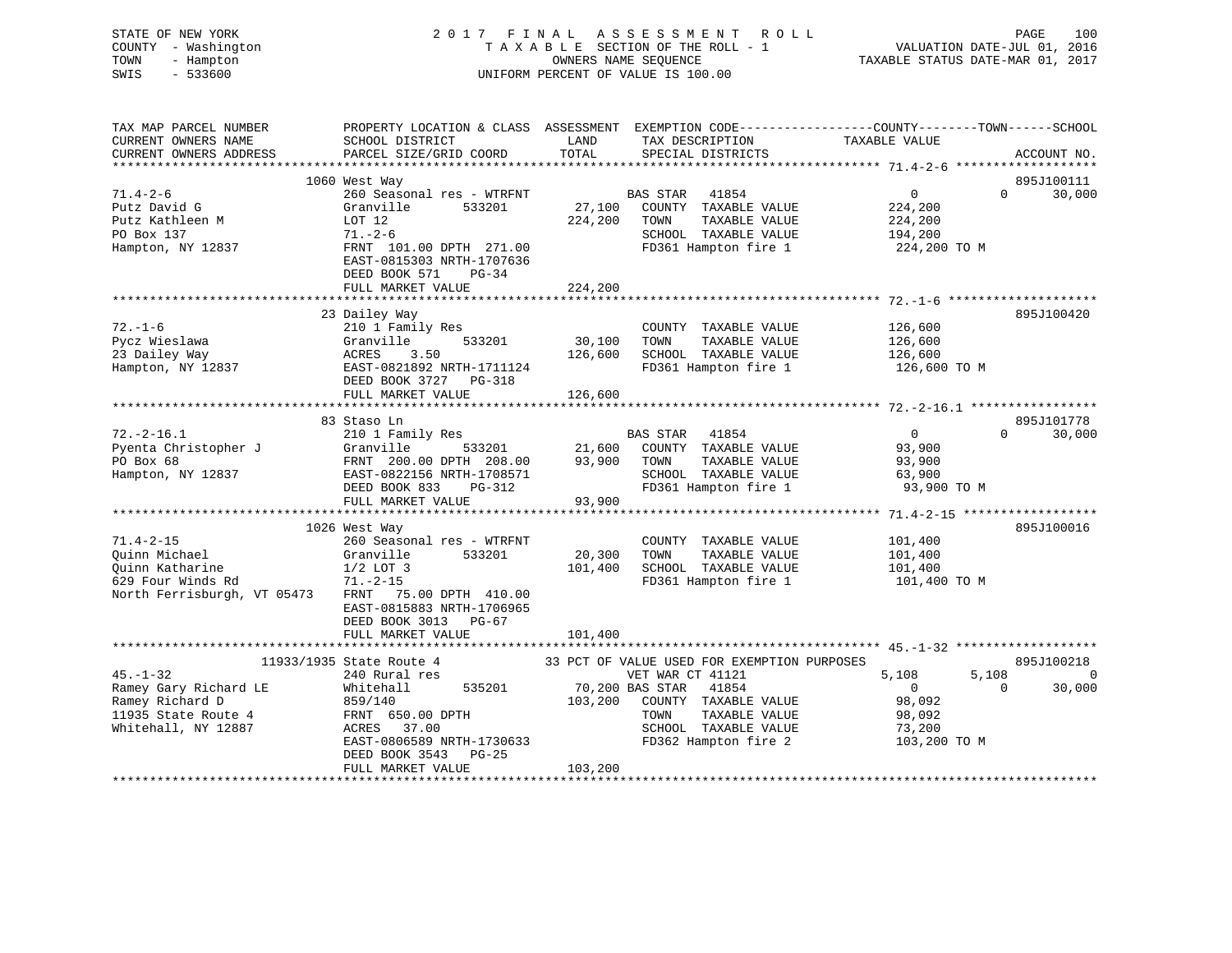# STATE OF NEW YORK 2 0 1 7 F I N A L A S S E S S M E N T R O L L PAGE 100 COUNTY - Washington T A X A B L E SECTION OF THE ROLL - 1 VALUATION DATE-JUL 01, 2016 TOWN - Hampton OWNERS NAME SEQUENCE TAXABLE STATUS DATE-MAR 01, 2017 SWIS - 533600 UNIFORM PERCENT OF VALUE IS 100.00

| TAX MAP PARCEL NUMBER<br>CURRENT OWNERS NAME<br>CURRENT OWNERS ADDRESS                 | PROPERTY LOCATION & CLASS ASSESSMENT<br>SCHOOL DISTRICT<br>PARCEL SIZE/GRID COORD                                         | LAND<br>TOTAL     | EXEMPTION CODE----------------COUNTY-------TOWN------SCHOOL<br>TAX DESCRIPTION<br>SPECIAL DISTRICTS                       | TAXABLE VALUE                                                | ACCOUNT NO.                      |
|----------------------------------------------------------------------------------------|---------------------------------------------------------------------------------------------------------------------------|-------------------|---------------------------------------------------------------------------------------------------------------------------|--------------------------------------------------------------|----------------------------------|
|                                                                                        |                                                                                                                           |                   |                                                                                                                           |                                                              |                                  |
| $71.4 - 2 - 6$                                                                         | 1060 West Way<br>260 Seasonal res - WTRFNT                                                                                |                   | <b>BAS STAR</b><br>41854                                                                                                  | $\overline{0}$                                               | 895J100111<br>30,000<br>$\Omega$ |
| Putz David G<br>Putz Kathleen M                                                        | Granville<br>533201<br>LOT 12                                                                                             | 224,200           | 27,100 COUNTY TAXABLE VALUE<br>TOWN<br>TAXABLE VALUE                                                                      | 224,200<br>224,200                                           |                                  |
| PO Box 137<br>Hampton, NY 12837                                                        | $71. - 2 - 6$<br>FRNT 101.00 DPTH 271.00<br>EAST-0815303 NRTH-1707636<br>DEED BOOK 571<br>$PG-34$                         | 224,200           | SCHOOL TAXABLE VALUE<br>FD361 Hampton fire 1                                                                              | 194,200<br>224,200 TO M                                      |                                  |
|                                                                                        | FULL MARKET VALUE                                                                                                         |                   |                                                                                                                           |                                                              |                                  |
|                                                                                        | 23 Dailey Way                                                                                                             |                   |                                                                                                                           |                                                              | 895J100420                       |
| $72. - 1 - 6$<br>Pycz Wieslawa<br>23 Dailey Way<br>Hampton, NY 12837                   | 210 1 Family Res<br>Granville<br>533201<br>ACRES<br>3.50<br>EAST-0821892 NRTH-1711124<br>DEED BOOK 3727 PG-318            | 30,100<br>126,600 | COUNTY TAXABLE VALUE<br>TAXABLE VALUE<br>TOWN<br>SCHOOL TAXABLE VALUE<br>FD361 Hampton fire 1                             | 126,600<br>126,600<br>126,600<br>126,600 TO M                |                                  |
|                                                                                        | FULL MARKET VALUE                                                                                                         | 126,600           |                                                                                                                           |                                                              |                                  |
|                                                                                        |                                                                                                                           |                   |                                                                                                                           |                                                              |                                  |
|                                                                                        | 83 Staso Ln                                                                                                               |                   |                                                                                                                           |                                                              | 895J101778                       |
| $72. - 2 - 16.1$<br>Pyenta Christopher J<br>PO Box 68<br>Hampton, NY 12837             | 210 1 Family Res<br>Granville<br>533201<br>FRNT 200.00 DPTH 208.00 93,900<br>EAST-0822156 NRTH-1708571                    | 21,600            | <b>BAS STAR</b><br>41854<br>COUNTY TAXABLE VALUE<br>TAXABLE VALUE<br>TOWN<br>SCHOOL TAXABLE VALUE                         | $\overline{0}$<br>93,900<br>93,900<br>63,900                 | 30,000<br>$\Omega$               |
|                                                                                        | DEED BOOK 833<br>PG-312<br>FULL MARKET VALUE                                                                              | 93,900            | FD361 Hampton fire 1                                                                                                      | 93,900 TO M                                                  |                                  |
|                                                                                        | 1026 West Way                                                                                                             |                   |                                                                                                                           |                                                              | 895J100016                       |
| $71.4 - 2 - 15$<br>Quinn Michael<br>Quinn Katharine<br>629 Four Winds Rd               | 260 Seasonal res - WTRFNT<br>533201<br>Granville<br>$1/2$ LOT 3<br>$71. - 2 - 15$                                         | 20,300<br>101,400 | COUNTY TAXABLE VALUE<br>TAXABLE VALUE<br>TOWN<br>SCHOOL TAXABLE VALUE<br>FD361 Hampton fire 1                             | 101,400<br>101,400<br>101,400<br>101,400 TO M                |                                  |
| North Ferrisburgh, VT 05473                                                            | FRNT<br>75.00 DPTH 410.00<br>EAST-0815883 NRTH-1706965<br>DEED BOOK 3013 PG-67<br>FULL MARKET VALUE                       | 101,400           |                                                                                                                           |                                                              |                                  |
|                                                                                        | ****************************                                                                                              |                   |                                                                                                                           |                                                              |                                  |
| $45. - 1 - 32$                                                                         | 11933/1935 State Route 4<br>240 Rural res                                                                                 |                   | 33 PCT OF VALUE USED FOR EXEMPTION PURPOSES<br>VET WAR CT 41121                                                           | 5,108<br>5,108                                               | 895J100218<br>0                  |
| Ramey Gary Richard LE<br>Ramey Richard D<br>11935 State Route 4<br>Whitehall, NY 12887 | Whitehall<br>535201<br>859/140<br>FRNT 650.00 DPTH<br>ACRES 37.00<br>EAST-0806589 NRTH-1730633<br>DEED BOOK 3543<br>PG-25 | 103,200           | 70,200 BAS STAR<br>41854<br>COUNTY TAXABLE VALUE<br>TOWN<br>TAXABLE VALUE<br>SCHOOL TAXABLE VALUE<br>FD362 Hampton fire 2 | $\overline{0}$<br>98,092<br>98,092<br>73,200<br>103,200 TO M | 30,000<br>$\Omega$               |
|                                                                                        | FULL MARKET VALUE                                                                                                         | 103,200           |                                                                                                                           |                                                              |                                  |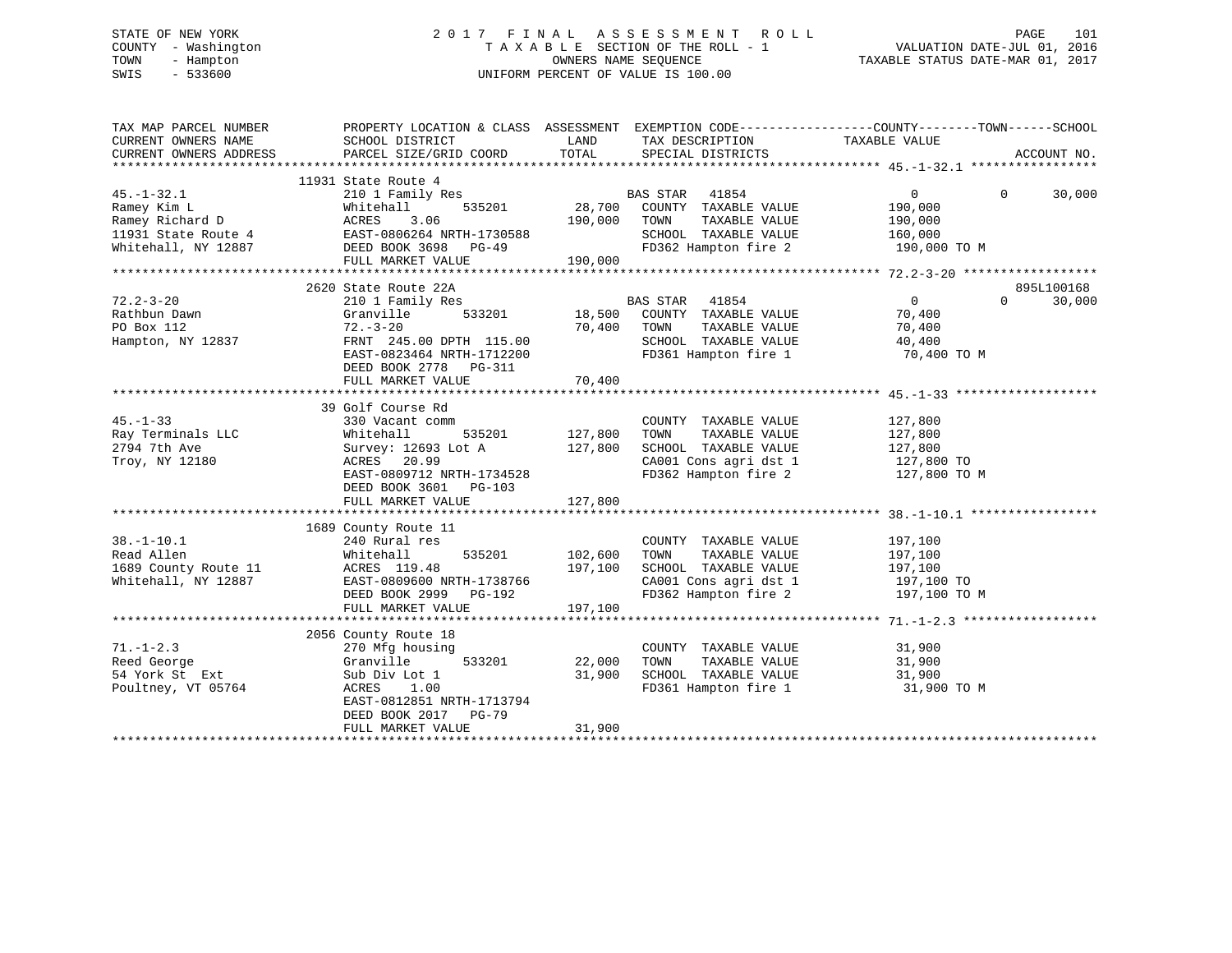# STATE OF NEW YORK 2 0 1 7 F I N A L A S S E S S M E N T R O L L PAGE 101 COUNTY - Washington T A X A B L E SECTION OF THE ROLL - 1 VALUATION DATE-JUL 01, 2016 TOWN - Hampton OWNERS NAME SEQUENCE TAXABLE STATUS DATE-MAR 01, 2017 SWIS - 533600 UNIFORM PERCENT OF VALUE IS 100.00

| TAX MAP PARCEL NUMBER<br>CURRENT OWNERS NAME                                                                                                    | SCHOOL DISTRICT                        | LAND               | TAX DESCRIPTION                                                       | PROPERTY LOCATION & CLASS ASSESSMENT EXEMPTION CODE----------------COUNTY-------TOWN------SCHOOL<br>TAXABLE VALUE |             |
|-------------------------------------------------------------------------------------------------------------------------------------------------|----------------------------------------|--------------------|-----------------------------------------------------------------------|-------------------------------------------------------------------------------------------------------------------|-------------|
| CURRENT OWNERS ADDRESS                                                                                                                          | PARCEL SIZE/GRID COORD                 | TOTAL              | SPECIAL DISTRICTS                                                     |                                                                                                                   | ACCOUNT NO. |
|                                                                                                                                                 | 11931 State Route 4                    |                    |                                                                       |                                                                                                                   |             |
| $45. - 1 - 32.1$                                                                                                                                | 210 1 Family Res                       |                    |                                                                       | $0 \qquad \qquad$<br>$\Omega$                                                                                     | 30,000      |
| Ramey Kim L                                                                                                                                     | Whitehall                              |                    | 3<br>BAS STAR 41854<br>535201 28,700 COUNTY TAXABLE VALUE             | 190,000                                                                                                           |             |
|                                                                                                                                                 |                                        | 190,000            | TAXABLE VALUE<br>TOWN                                                 | 190,000                                                                                                           |             |
|                                                                                                                                                 |                                        |                    | SCHOOL TAXABLE VALUE                                                  | 160,000                                                                                                           |             |
| Ramey Richard D<br>Ramey Richard D<br>190,000<br>1931 State Route 4<br>EAST-0806264 NRTH-1730588<br>Whitehall, NY 12887<br>DEED BOOK 3698 PG-49 |                                        |                    | FD362 Hampton fire 2 190,000 TO M                                     |                                                                                                                   |             |
|                                                                                                                                                 | FULL MARKET VALUE                      | 190,000            |                                                                       |                                                                                                                   |             |
|                                                                                                                                                 |                                        |                    |                                                                       |                                                                                                                   |             |
|                                                                                                                                                 | 2620 State Route 22A                   |                    |                                                                       |                                                                                                                   | 895L100168  |
| $72.2 - 3 - 20$                                                                                                                                 | 210 1 Family Res                       | ا<br>533201 18,500 | BAS STAR 41854                                                        | $\Omega$<br>$\Omega$                                                                                              | 30,000      |
| Rathbun Dawn                                                                                                                                    | Granville                              |                    | COUNTY TAXABLE VALUE                                                  | 70,400                                                                                                            |             |
| PO Box 112                                                                                                                                      | $72 - 3 - 20$                          | 70,400             | TAXABLE VALUE<br>TOWN                                                 | 70,400                                                                                                            |             |
| Hampton, NY 12837                                                                                                                               | FRNT 245.00 DPTH 115.00                |                    | SCHOOL TAXABLE VALUE                                                  | 40,400                                                                                                            |             |
|                                                                                                                                                 | EAST-0823464 NRTH-1712200              |                    | FD361 Hampton fire 1 70,400 TO M                                      |                                                                                                                   |             |
|                                                                                                                                                 | DEED BOOK 2778 PG-311                  |                    |                                                                       |                                                                                                                   |             |
|                                                                                                                                                 | FULL MARKET VALUE                      | 70,400             |                                                                       |                                                                                                                   |             |
|                                                                                                                                                 |                                        |                    |                                                                       |                                                                                                                   |             |
| $45. - 1 - 33$                                                                                                                                  | 39 Golf Course Rd                      |                    |                                                                       |                                                                                                                   |             |
|                                                                                                                                                 | 330 Vacant comm<br>535201<br>Whitehall | 127,800            | COUNTY TAXABLE VALUE<br>TAXABLE VALUE<br>TOWN                         | 127,800<br>127,800                                                                                                |             |
| Ray Terminals LLC<br>2794 7th Ave<br>2794 7th Ave                                                                                               | Survey: 12693 Lot A 127,800            |                    | SCHOOL TAXABLE VALUE                                                  | 127,800                                                                                                           |             |
| Troy, NY 12180                                                                                                                                  | ACRES 20.99                            |                    |                                                                       |                                                                                                                   |             |
|                                                                                                                                                 | EAST-0809712 NRTH-1734528              |                    | CA001 Cons agri dst 1 127,800 TO<br>FD362 Hampton fire 2 127,800 TO M |                                                                                                                   |             |
|                                                                                                                                                 | DEED BOOK 3601 PG-103                  |                    |                                                                       |                                                                                                                   |             |
|                                                                                                                                                 | FULL MARKET VALUE                      | 127,800            |                                                                       |                                                                                                                   |             |
|                                                                                                                                                 |                                        |                    |                                                                       |                                                                                                                   |             |
|                                                                                                                                                 | 1689 County Route 11                   |                    |                                                                       |                                                                                                                   |             |
| $38. - 1 - 10.1$                                                                                                                                | 240 Rural res                          |                    | COUNTY TAXABLE VALUE                                                  | 197,100                                                                                                           |             |
| Read Allen                                                                                                                                      | 535201 102,600<br>Whitehall            |                    | TAXABLE VALUE<br>TOWN                                                 | 197,100                                                                                                           |             |
| 1689 County Route 11                                                                                                                            | <b>ACRES</b> 119.48                    | 197,100            | SCHOOL TAXABLE VALUE                                                  | 197,100                                                                                                           |             |
| Whitehall, NY 12887                                                                                                                             | EAST-0809600 NRTH-1738766              |                    | CA001 Cons agri dst 1 197,100 TO                                      |                                                                                                                   |             |
|                                                                                                                                                 | DEED BOOK 2999 PG-192                  |                    | FD362 Hampton fire 2                                                  | 197,100 TO M                                                                                                      |             |
|                                                                                                                                                 | FULL MARKET VALUE                      | 197,100            |                                                                       |                                                                                                                   |             |
|                                                                                                                                                 |                                        |                    |                                                                       |                                                                                                                   |             |
|                                                                                                                                                 | 2056 County Route 18                   |                    |                                                                       |                                                                                                                   |             |
| $71. - 1 - 2.3$                                                                                                                                 | 270 Mfg housing                        |                    | COUNTY TAXABLE VALUE                                                  | 31,900                                                                                                            |             |
| Reed George                                                                                                                                     | Granville                              | 533201 22,000      | TAXABLE VALUE<br>TOWN                                                 | 31,900                                                                                                            |             |
| 54 York St Ext                                                                                                                                  | Sub Div Lot 1<br>ACRES 1.00            | 31,900             | SCHOOL TAXABLE VALUE<br>FD361 Hampton fire 1                          | 31,900<br>31,900 TO M                                                                                             |             |
| Poultney, VT 05764                                                                                                                              | EAST-0812851 NRTH-1713794              |                    |                                                                       |                                                                                                                   |             |
|                                                                                                                                                 | DEED BOOK 2017 PG-79                   |                    |                                                                       |                                                                                                                   |             |
|                                                                                                                                                 | FULL MARKET VALUE                      | 31,900             |                                                                       |                                                                                                                   |             |
|                                                                                                                                                 |                                        |                    |                                                                       |                                                                                                                   |             |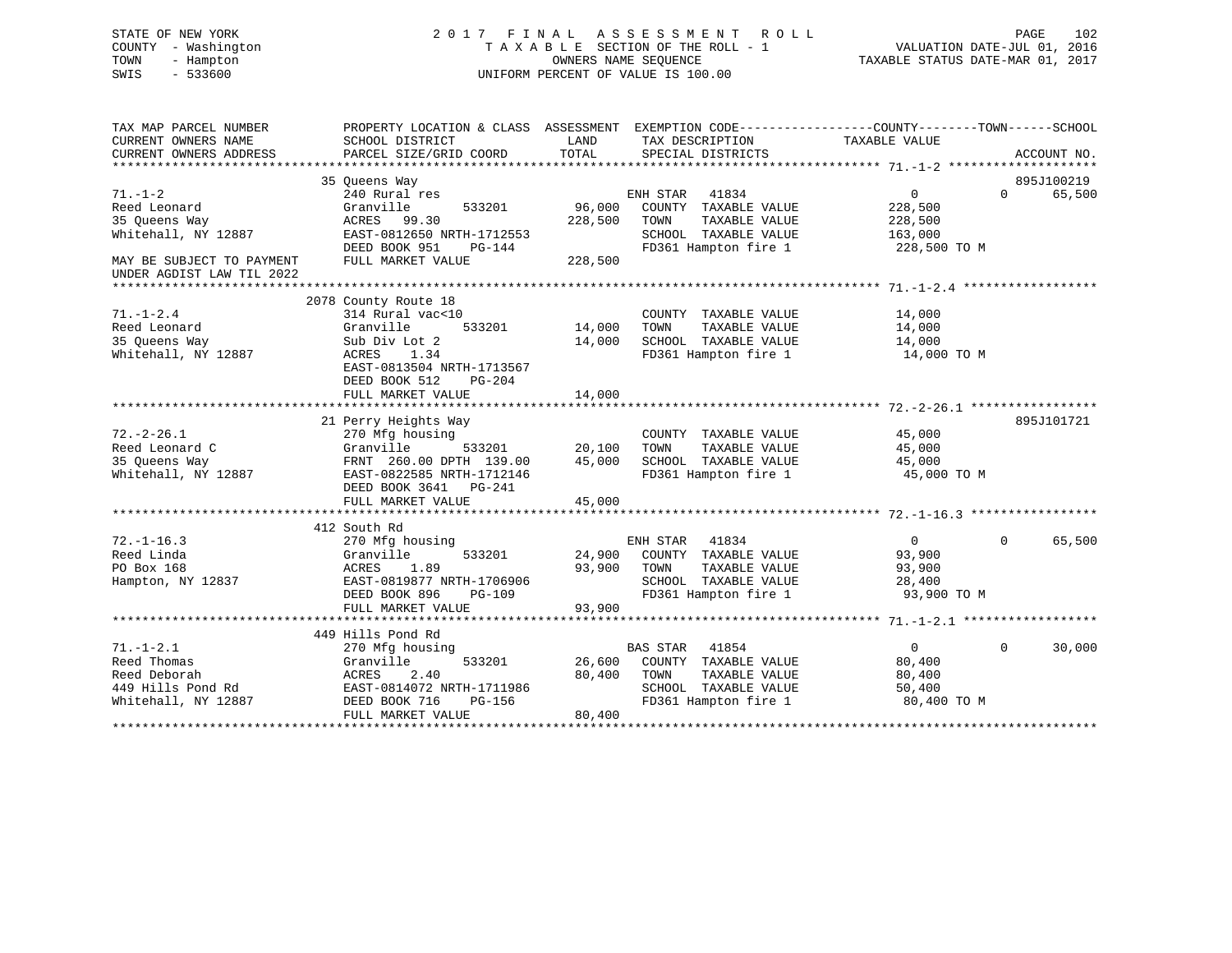# STATE OF NEW YORK 2 0 1 7 F I N A L A S S E S S M E N T R O L L PAGE 102 COUNTY - Washington T A X A B L E SECTION OF THE ROLL - 1 VALUATION DATE-JUL 01, 2016 TOWN - Hampton OWNERS NAME SEQUENCE TAXABLE STATUS DATE-MAR 01, 2017 SWIS - 533600 UNIFORM PERCENT OF VALUE IS 100.00

| TAX MAP PARCEL NUMBER<br>CURRENT OWNERS NAME<br>CURRENT OWNERS ADDRESS                                                          | PROPERTY LOCATION & CLASS ASSESSMENT<br>SCHOOL DISTRICT<br>PARCEL SIZE/GRID COORD                                                                                             | LAND<br>TOTAL                | EXEMPTION CODE-----------------COUNTY-------TOWN------SCHOOL<br>TAX DESCRIPTION<br>SPECIAL DISTRICTS               | TAXABLE VALUE                                                 | ACCOUNT NO.                      |
|---------------------------------------------------------------------------------------------------------------------------------|-------------------------------------------------------------------------------------------------------------------------------------------------------------------------------|------------------------------|--------------------------------------------------------------------------------------------------------------------|---------------------------------------------------------------|----------------------------------|
| $71. - 1 - 2$<br>Reed Leonard<br>35 Queens Way<br>Whitehall, NY 12887<br>MAY BE SUBJECT TO PAYMENT<br>UNDER AGDIST LAW TIL 2022 | 35 Oueens Way<br>240 Rural res<br>533201<br>Granville<br>ACRES 99.30<br>EAST-0812650 NRTH-1712553<br>DEED BOOK 951<br>PG-144<br>FULL MARKET VALUE                             | 96,000<br>228,500<br>228,500 | ENH STAR<br>41834<br>COUNTY TAXABLE VALUE<br>TOWN<br>TAXABLE VALUE<br>SCHOOL TAXABLE VALUE<br>FD361 Hampton fire 1 | $\mathbf{0}$<br>228,500<br>228,500<br>163,000<br>228,500 TO M | 895J100219<br>$\Omega$<br>65,500 |
| $71. - 1 - 2.4$<br>Reed Leonard<br>35 Oueens Way<br>Whitehall, NY 12887                                                         | 2078 County Route 18<br>314 Rural vac<10<br>533201<br>Granville<br>Sub Div Lot 2<br>ACRES 1.34<br>EAST-0813504 NRTH-1713567<br>DEED BOOK 512<br>$PG-204$<br>FULL MARKET VALUE | 14,000<br>14,000<br>14,000   | COUNTY TAXABLE VALUE<br>TOWN<br>TAXABLE VALUE<br>SCHOOL TAXABLE VALUE<br>FD361 Hampton fire 1                      | 14,000<br>14,000<br>14,000<br>14,000 TO M                     |                                  |
| $72. - 2 - 26.1$<br>Reed Leonard C<br>35 Queens Way<br>Whitehall, NY 12887                                                      | 21 Perry Heights Way<br>270 Mfg housing<br>Granville<br>533201<br>FRNT 260.00 DPTH 139.00<br>EAST-0822585 NRTH-1712146<br>DEED BOOK 3641 PG-241<br>FULL MARKET VALUE          | 20,100<br>45,000<br>45,000   | COUNTY TAXABLE VALUE<br>TAXABLE VALUE<br>TOWN<br>SCHOOL TAXABLE VALUE<br>FD361 Hampton fire 1                      | 45,000<br>45,000<br>45,000<br>45,000 TO M                     | 895J101721                       |
| $72. - 1 - 16.3$<br>Reed Linda<br>PO Box 168<br>Hampton, NY 12837                                                               | 412 South Rd<br>270 Mfg housing<br>Granville<br>533201<br>1.89<br>ACRES<br>EAST-0819877 NRTH-1706906<br>DEED BOOK 896<br>$PG-109$<br>FULL MARKET VALUE                        | 24,900<br>93,900<br>93,900   | ENH STAR<br>41834<br>COUNTY TAXABLE VALUE<br>TAXABLE VALUE<br>TOWN<br>SCHOOL TAXABLE VALUE<br>FD361 Hampton fire 1 | 0<br>93,900<br>93,900<br>28,400<br>93,900 TO M                | $\Omega$<br>65,500               |
| $71. - 1 - 2.1$<br>Reed Thomas<br>Reed Deborah                                                                                  | 449 Hills Pond Rd<br>270 Mfg housing<br>Granville<br>533201<br>2.40<br>ACRES                                                                                                  | 26,600<br>80,400             | <b>BAS STAR</b> 41854<br>COUNTY TAXABLE VALUE<br>TAXABLE VALUE<br>TOWN                                             | $\overline{0}$<br>80,400<br>80,400                            | $\Omega$<br>30,000               |
| 449 Hills Pond Rd<br>Whitehall, NY 12887                                                                                        | EAST-0814072 NRTH-1711986<br>DEED BOOK 716<br>PG-156<br>FULL MARKET VALUE                                                                                                     | 80,400                       | SCHOOL TAXABLE VALUE<br>FD361 Hampton fire 1                                                                       | 50,400<br>80,400 TO M                                         |                                  |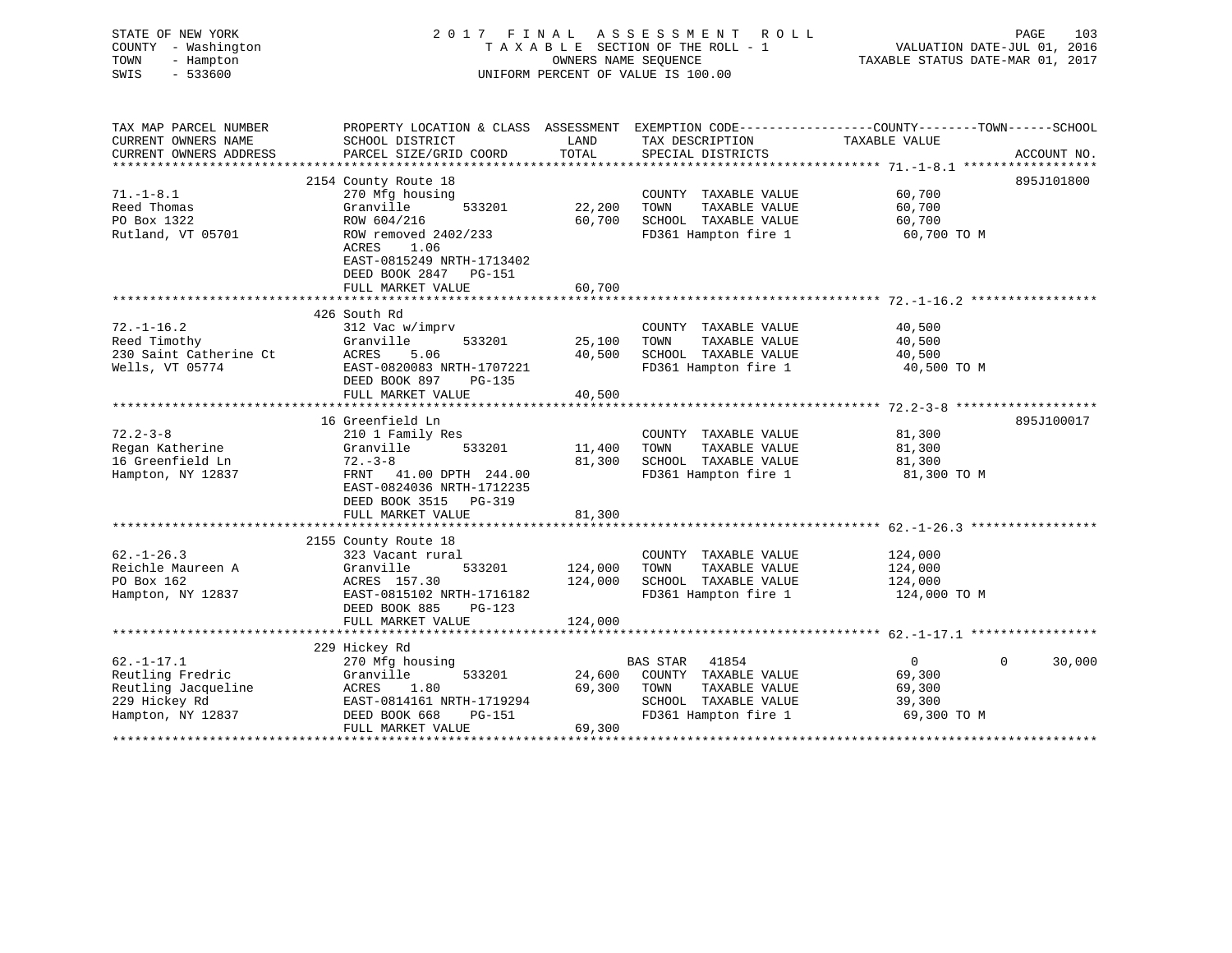| STATE OF NEW YORK<br>COUNTY - Washington<br>TOWN<br>- Hampton<br>SWIS<br>$-533600$ |                                                                                                                     | OWNERS NAME SEQUENCE                  | 2017 FINAL ASSESSMENT ROLL<br>TAXABLE SECTION OF THE ROLL - 1<br>UNIFORM PERCENT OF VALUE IS 100.00 | VALUATION DATE-JUL 01, 2016<br>TAXABLE STATUS DATE-MAR 01, 2017 | PAGE<br>103 |
|------------------------------------------------------------------------------------|---------------------------------------------------------------------------------------------------------------------|---------------------------------------|-----------------------------------------------------------------------------------------------------|-----------------------------------------------------------------|-------------|
| TAX MAP PARCEL NUMBER<br>CURRENT OWNERS NAME                                       | PROPERTY LOCATION & CLASS ASSESSMENT EXEMPTION CODE----------------COUNTY-------TOWN------SCHOOL<br>SCHOOL DISTRICT | LAND                                  | TAX DESCRIPTION                                                                                     | TAXABLE VALUE                                                   |             |
| CURRENT OWNERS ADDRESS                                                             | PARCEL SIZE/GRID COORD                                                                                              | TOTAL                                 | SPECIAL DISTRICTS                                                                                   |                                                                 | ACCOUNT NO. |
|                                                                                    |                                                                                                                     |                                       |                                                                                                     |                                                                 |             |
|                                                                                    | 2154 County Route 18                                                                                                |                                       |                                                                                                     |                                                                 | 895J101800  |
| $71. - 1 - 8.1$                                                                    | 270 Mfg housing                                                                                                     |                                       | COUNTY TAXABLE VALUE                                                                                | 60,700                                                          |             |
| Reed Thomas                                                                        | Granville<br>533201                                                                                                 | 22,200                                | TAXABLE VALUE<br>TOWN                                                                               | 60,700                                                          |             |
| PO Box 1322                                                                        | ROW 604/216                                                                                                         | 60,700                                | SCHOOL TAXABLE VALUE                                                                                | 60,700                                                          |             |
| Rutland, VT 05701                                                                  | ROW removed 2402/233<br>ACRES<br>1.06                                                                               |                                       | FD361 Hampton fire 1                                                                                | 60,700 TO M                                                     |             |
|                                                                                    | EAST-0815249 NRTH-1713402<br>DEED BOOK 2847 PG-151                                                                  |                                       |                                                                                                     |                                                                 |             |
|                                                                                    | FULL MARKET VALUE<br>***********************                                                                        | 60,700<br>* * * * * * * * * * * * * * |                                                                                                     |                                                                 |             |
|                                                                                    | 426 South Rd                                                                                                        |                                       |                                                                                                     |                                                                 |             |
| $72. - 1 - 16.2$                                                                   | 312 Vac w/imprv                                                                                                     |                                       | COUNTY TAXABLE VALUE                                                                                | 40,500                                                          |             |
| Reed Timothy                                                                       | Granville<br>533201                                                                                                 | 25,100                                | TAXABLE VALUE<br>TOWN                                                                               | 40,500                                                          |             |
| 230 Saint Catherine Ct                                                             | <b>ACRES</b><br>5.06                                                                                                | 40,500                                | SCHOOL TAXABLE VALUE                                                                                | 40,500                                                          |             |
| Wells, VT 05774                                                                    | EAST-0820083 NRTH-1707221<br>DEED BOOK 897<br>PG-135                                                                |                                       | FD361 Hampton fire 1                                                                                | 40,500 TO M                                                     |             |
|                                                                                    | FULL MARKET VALUE                                                                                                   | 40,500                                |                                                                                                     |                                                                 |             |
|                                                                                    | 16 Greenfield Ln                                                                                                    |                                       |                                                                                                     |                                                                 | 895J100017  |
| $72.2 - 3 - 8$                                                                     | 210 1 Family Res                                                                                                    |                                       | COUNTY TAXABLE VALUE                                                                                | 81,300                                                          |             |
| Regan Katherine                                                                    | Granville<br>533201                                                                                                 | 11,400                                | TOWN<br>TAXABLE VALUE                                                                               | 81,300                                                          |             |
| 16 Greenfield Ln                                                                   | $72. - 3 - 8$                                                                                                       | 81,300                                | SCHOOL TAXABLE VALUE                                                                                | 81,300                                                          |             |
| Hampton, NY 12837                                                                  | FRNT 41.00 DPTH 244.00<br>EAST-0824036 NRTH-1712235<br>DEED BOOK 3515 PG-319                                        |                                       | FD361 Hampton fire 1                                                                                | 81,300 TO M                                                     |             |
|                                                                                    | FULL MARKET VALUE                                                                                                   | 81,300                                |                                                                                                     |                                                                 |             |
|                                                                                    | 2155 County Route 18                                                                                                |                                       |                                                                                                     |                                                                 |             |
| $62. - 1 - 26.3$                                                                   | 323 Vacant rural                                                                                                    |                                       | COUNTY TAXABLE VALUE                                                                                | 124,000                                                         |             |
| Reichle Maureen A                                                                  | Granville<br>533201                                                                                                 | 124,000                               | TAXABLE VALUE<br>TOWN                                                                               | 124,000                                                         |             |
| PO Box 162                                                                         | ACRES 157.30                                                                                                        | 124,000                               | SCHOOL TAXABLE VALUE                                                                                | 124,000                                                         |             |
| Hampton, NY 12837                                                                  | EAST-0815102 NRTH-1716182                                                                                           |                                       | FD361 Hampton fire 1                                                                                | 124,000 TO M                                                    |             |
|                                                                                    | DEED BOOK 885<br>$PG-123$                                                                                           |                                       |                                                                                                     |                                                                 |             |
|                                                                                    | FULL MARKET VALUE                                                                                                   | 124,000                               |                                                                                                     |                                                                 |             |
|                                                                                    |                                                                                                                     |                                       |                                                                                                     |                                                                 |             |
|                                                                                    | 229 Hickey Rd                                                                                                       |                                       |                                                                                                     |                                                                 | $\Omega$    |
| $62. -1 - 17.1$<br>Reutling Fredric                                                | 270 Mfg housing<br>533201<br>Granville                                                                              | 24,600                                | BAS STAR<br>41854<br>COUNTY TAXABLE VALUE                                                           | $\overline{0}$<br>69,300                                        | 30,000      |
| Reutling Jacqueline                                                                | ACRES<br>1.80                                                                                                       | 69,300                                | TOWN<br>TAXABLE VALUE                                                                               | 69,300                                                          |             |
| 229 Hickey Rd                                                                      | EAST-0814161 NRTH-1719294                                                                                           |                                       | SCHOOL TAXABLE VALUE                                                                                | 39,300                                                          |             |
| Hampton, NY 12837                                                                  | DEED BOOK 668<br>PG-151                                                                                             |                                       | FD361 Hampton fire 1                                                                                | 69,300 TO M                                                     |             |
|                                                                                    | FULL MARKET VALUE                                                                                                   | 69,300                                |                                                                                                     |                                                                 |             |
|                                                                                    |                                                                                                                     |                                       |                                                                                                     |                                                                 |             |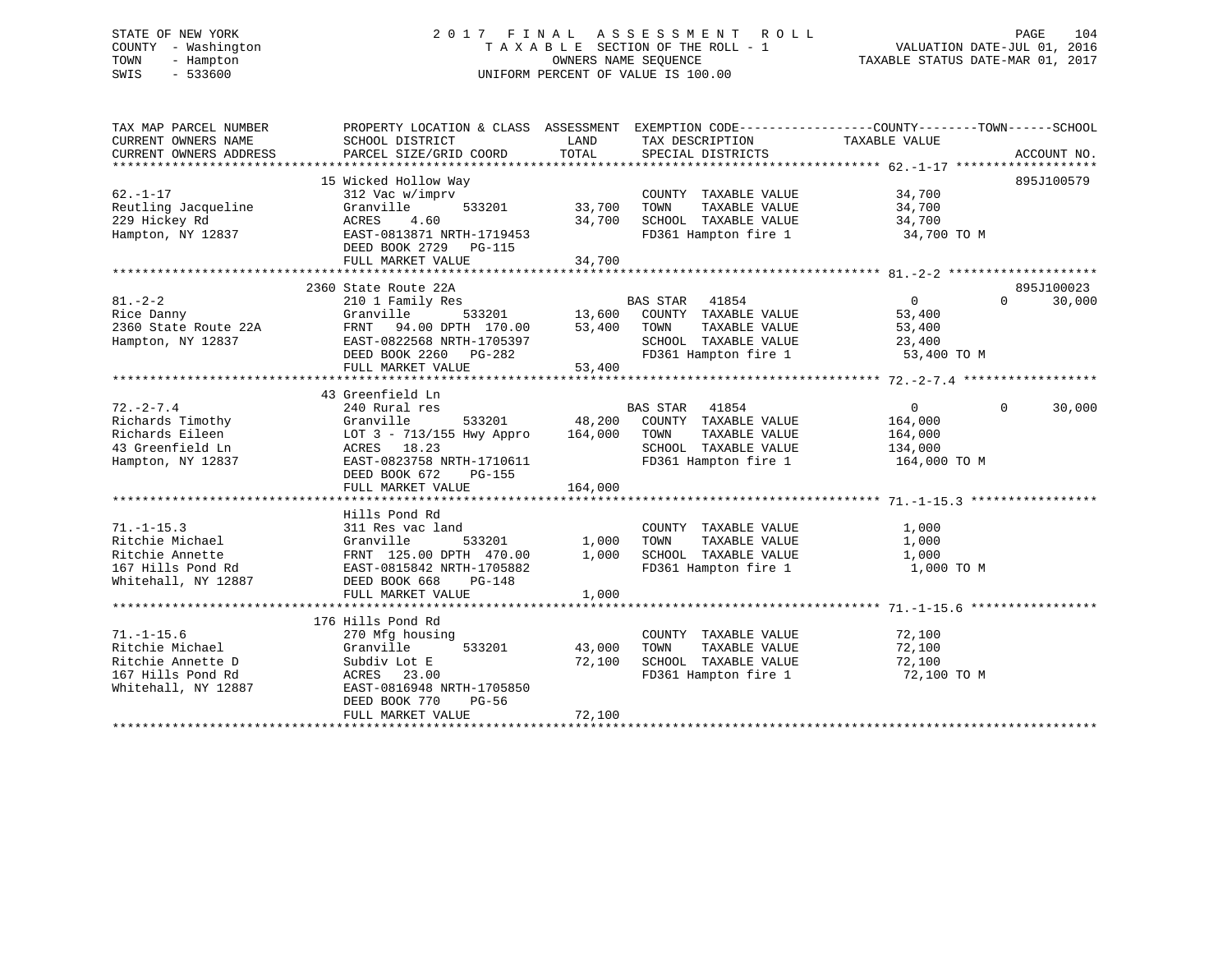# STATE OF NEW YORK 2 0 1 7 F I N A L A S S E S S M E N T R O L L PAGE 104 COUNTY - Washington T A X A B L E SECTION OF THE ROLL - 1 VALUATION DATE-JUL 01, 2016 TOWN - Hampton OWNERS NAME SEQUENCE TAXABLE STATUS DATE-MAR 01, 2017 SWIS - 533600 UNIFORM PERCENT OF VALUE IS 100.00

| TAX MAP PARCEL NUMBER<br>CURRENT OWNERS NAME     | PROPERTY LOCATION & CLASS ASSESSMENT EXEMPTION CODE----------------COUNTY-------TOWN-----SCHOOL<br>SCHOOL DISTRICT | LAND    | TAX DESCRIPTION                                                                           | TAXABLE VALUE  |             |        |
|--------------------------------------------------|--------------------------------------------------------------------------------------------------------------------|---------|-------------------------------------------------------------------------------------------|----------------|-------------|--------|
| CURRENT OWNERS ADDRESS                           | PARCEL SIZE/GRID COORD                                                                                             | TOTAL   | SPECIAL DISTRICTS                                                                         |                | ACCOUNT NO. |        |
|                                                  | 15 Wicked Hollow Way                                                                                               |         |                                                                                           |                | 895J100579  |        |
| $62. - 1 - 17$                                   | 312 Vac w/imprv                                                                                                    |         | COUNTY TAXABLE VALUE                                                                      | 34,700         |             |        |
| Reutling Jacqueline                              | Granville<br>533201                                                                                                | 33,700  | TAXABLE VALUE<br>TOWN                                                                     | 34,700         |             |        |
| 229 Hickey Rd                                    | 4.60<br>ACRES                                                                                                      | 34,700  | SCHOOL TAXABLE VALUE                                                                      | 34,700         |             |        |
| Hampton, NY 12837                                | EAST-0813871 NRTH-1719453                                                                                          |         | FD361 Hampton fire 1 34,700 TO M                                                          |                |             |        |
|                                                  | DEED BOOK 2729 PG-115                                                                                              |         |                                                                                           |                |             |        |
|                                                  | FULL MARKET VALUE                                                                                                  | 34,700  |                                                                                           |                |             |        |
|                                                  |                                                                                                                    |         |                                                                                           |                |             |        |
|                                                  | 2360 State Route 22A                                                                                               |         |                                                                                           |                | 895J100023  |        |
| $81. - 2 - 2$                                    | 210 1 Family Res                                                                                                   |         | <b>BAS STAR</b><br>41854                                                                  | $\overline{0}$ | $\Omega$    | 30,000 |
| Rice Danny<br>Rice Danny<br>2360 State Route 22A | Granville 533201 13,600 COUNTY TAXABLE VALUE<br>FRNT 94.00 DPTH 170.00 53,400 TOWN TAXABLE VALUE                   |         |                                                                                           | 53,400         |             |        |
|                                                  |                                                                                                                    |         | TAXABLE VALUE                                                                             | 53,400         |             |        |
| Hampton, NY 12837                                | EAST-0822568 NRTH-1705397                                                                                          |         |                                                                                           |                |             |        |
|                                                  | DEED BOOK 2260 PG-282                                                                                              |         | TOWN TAXABLE VALUE $23,400$<br>SCHOOL TAXABLE VALUE $23,400$ TO M<br>FD361 Hampton fire 1 |                |             |        |
|                                                  | FULL MARKET VALUE                                                                                                  | 53,400  |                                                                                           |                |             |        |
|                                                  |                                                                                                                    |         |                                                                                           |                |             |        |
|                                                  | 43 Greenfield Ln                                                                                                   |         |                                                                                           |                |             |        |
| $72. - 2 - 7.4$                                  | 240 Rural res                                                                                                      |         | BAS STAR 41854                                                                            | $\overline{0}$ | $\Omega$    | 30,000 |
| Richards Timothy                                 | Granville<br>LOT 3 - 713/155 Hwy Appro 164,000                                                                     |         | 533201 48,200 COUNTY TAXABLE VALUE                                                        | 164,000        |             |        |
| Richards Eileen                                  |                                                                                                                    |         | TOWN<br>TAXABLE VALUE                                                                     | 164,000        |             |        |
| 43 Greenfield Ln                                 | ACRES 18.23                                                                                                        |         | SCHOOL TAXABLE VALUE 134,000                                                              |                |             |        |
| Hampton, NY 12837                                | EAST-0823758 NRTH-1710611                                                                                          |         | FD361 Hampton fire 1                                                                      | 164,000 TO M   |             |        |
|                                                  | DEED BOOK 672<br>PG-155<br>FULL MARKET VALUE                                                                       | 164,000 |                                                                                           |                |             |        |
|                                                  |                                                                                                                    |         |                                                                                           |                |             |        |
|                                                  | Hills Pond Rd                                                                                                      |         |                                                                                           |                |             |        |
| $71. - 1 - 15.3$                                 | 311 Res vac land                                                                                                   |         |                                                                                           | 1,000          |             |        |
| Ritchie Michael                                  | 533201<br>Granville                                                                                                | 1,000   | COUNTY TAXABLE VALUE<br>TOWN      TAXABLE VALUE                                           | 1,000          |             |        |
| Ritchie Annette                                  | FRNT 125.00 DPTH 470.00                                                                                            | 1,000   | SCHOOL TAXABLE VALUE                                                                      | 1,000          |             |        |
| 167 Hills Pond Rd                                | EAST-0815842 NRTH-1705882                                                                                          |         | FD361 Hampton fire 1                                                                      | 1,000 TO M     |             |        |
| Whitehall, NY 12887                              | DEED BOOK 668<br><b>PG-148</b>                                                                                     |         |                                                                                           |                |             |        |
|                                                  | FULL MARKET VALUE                                                                                                  | 1,000   |                                                                                           |                |             |        |
|                                                  |                                                                                                                    |         |                                                                                           |                |             |        |
|                                                  | 176 Hills Pond Rd                                                                                                  |         |                                                                                           |                |             |        |
| $71. - 1 - 15.6$                                 | 270 Mfg housing                                                                                                    |         | COUNTY TAXABLE VALUE                                                                      | 72,100         |             |        |
| Ritchie Michael                                  | Granville<br>533201                                                                                                | 43,000  | TAXABLE VALUE<br>TOWN                                                                     | 72,100         |             |        |
| Ritchie Annette D                                | Subdiv Lot E                                                                                                       | 72,100  | SCHOOL TAXABLE VALUE                                                                      | 72,100         |             |        |
| 167 Hills Pond Rd                                | ACRES 23.00                                                                                                        |         | FD361 Hampton fire 1                                                                      | 72,100 TO M    |             |        |
| Whitehall, NY 12887                              | EAST-0816948 NRTH-1705850                                                                                          |         |                                                                                           |                |             |        |
|                                                  | DEED BOOK 770<br>PG-56                                                                                             |         |                                                                                           |                |             |        |
|                                                  | FULL MARKET VALUE                                                                                                  | 72,100  |                                                                                           |                |             |        |
|                                                  |                                                                                                                    |         |                                                                                           |                |             |        |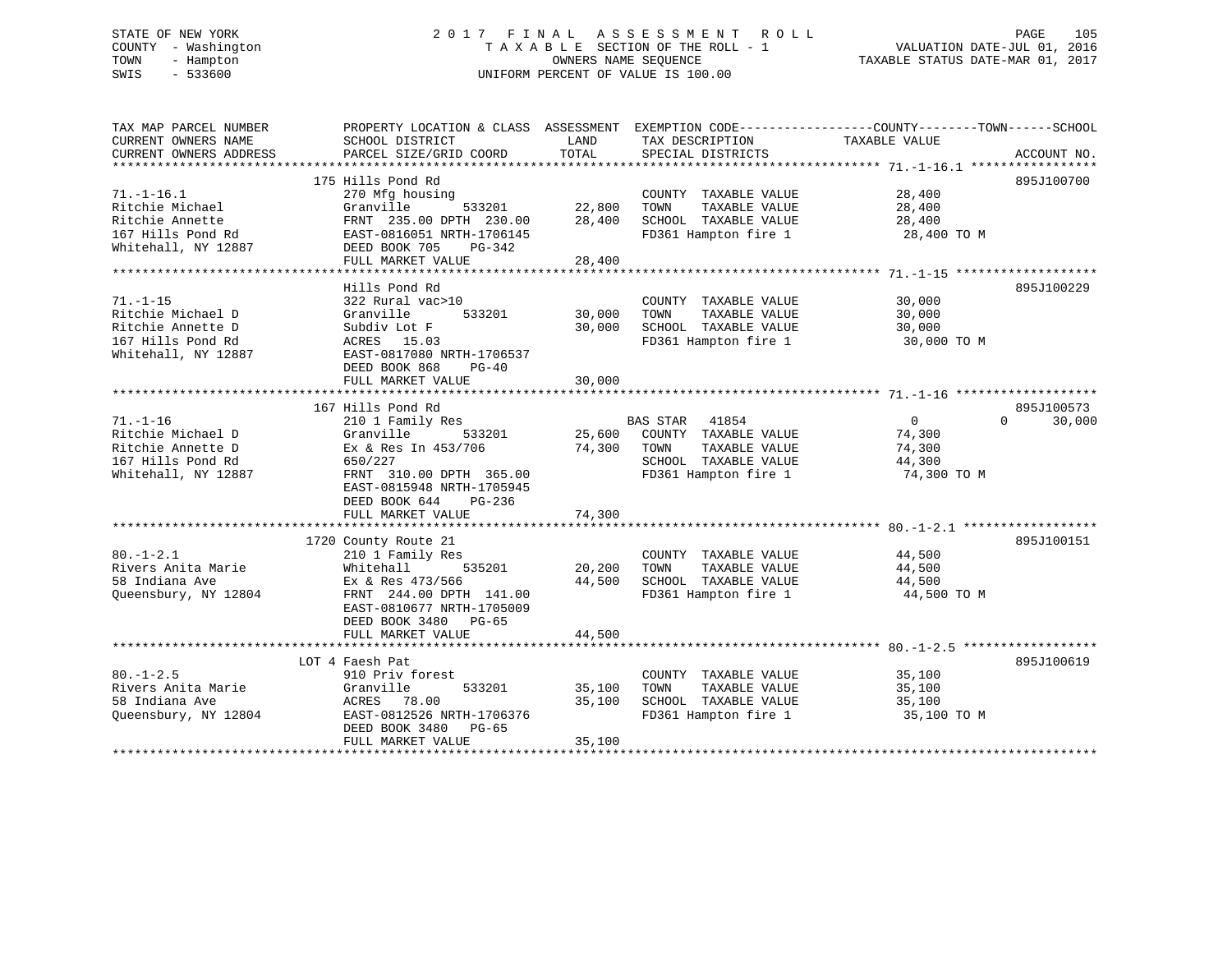# STATE OF NEW YORK 2 0 1 7 F I N A L A S S E S S M E N T R O L L PAGE 105 COUNTY - Washington T A X A B L E SECTION OF THE ROLL - 1 VALUATION DATE-JUL 01, 2016 TOWN - Hampton OWNERS NAME SEQUENCE TAXABLE STATUS DATE-MAR 01, 2017 SWIS - 533600 UNIFORM PERCENT OF VALUE IS 100.00

| 175 Hills Pond Rd<br>895J100700<br>$71. - 1 - 16.1$<br>270 Mfg housing<br>COUNTY TAXABLE VALUE<br>28,400<br>533201<br>Granville<br>22,800<br>TAXABLE VALUE<br>28,400<br>Ritchie Michael<br>TOWN<br>28,400<br>SCHOOL TAXABLE VALUE<br>Ritchie Annette<br>FRNT 235.00 DPTH 230.00<br>28,400<br>167 Hills Pond Rd<br>EAST-0816051 NRTH-1706145<br>FD361 Hampton fire 1<br>28,400 TO M<br>Whitehall, NY 12887<br>DEED BOOK 705<br>PG-342<br>FULL MARKET VALUE<br>28,400<br>895J100229<br>Hills Pond Rd<br>$71. - 1 - 15$<br>322 Rural vac>10<br>COUNTY TAXABLE VALUE<br>30,000<br>Ritchie Michael D<br>Granville<br>533201<br>30,000<br>TAXABLE VALUE<br>30,000<br>TOWN<br>SCHOOL TAXABLE VALUE<br>Ritchie Annette D<br>Subdiv Lot F<br>30,000<br>30,000<br>167 Hills Pond Rd<br>ACRES 15.03<br>FD361 Hampton fire 1<br>30,000 TO M<br>Whitehall, NY 12887<br>EAST-0817080 NRTH-1706537<br>DEED BOOK 868<br>PG-40<br>30,000<br>FULL MARKET VALUE<br>167 Hills Pond Rd<br>895J100573<br>$71. - 1 - 16$<br>210 1 Family Res<br><b>BAS STAR</b><br>$\overline{0}$<br>$0 \qquad \qquad$<br>30,000<br>41854<br>25,600<br>Ritchie Michael D<br>Granville<br>533201<br>COUNTY TAXABLE VALUE<br>74,300<br>Ex & Res In 453/706<br>Ritchie Annette D<br>74,300<br>TOWN<br>TAXABLE VALUE<br>74,300<br>167 Hills Pond Rd<br>SCHOOL TAXABLE VALUE<br>44,300<br>650/227<br>FD361 Hampton fire 1<br>Whitehall, NY 12887<br>FRNT 310.00 DPTH 365.00<br>74,300 TO M<br>EAST-0815948 NRTH-1705945<br>DEED BOOK 644<br>$PG-236$<br>74,300<br>FULL MARKET VALUE<br>895J100151<br>1720 County Route 21<br>$80. - 1 - 2.1$<br>44,500<br>210 1 Family Res<br>COUNTY TAXABLE VALUE<br>Rivers Anita Marie<br>535201<br>20,200<br>Whitehall<br>TOWN<br>TAXABLE VALUE<br>44,500<br>58 Indiana Ave<br>44,500<br>SCHOOL TAXABLE VALUE<br>Ex & Res 473/566<br>44,500<br>FD361 Hampton fire 1<br>FRNT 244.00 DPTH 141.00<br>44,500 TO M<br>EAST-0810677 NRTH-1705009<br>DEED BOOK 3480 PG-65<br>44,500<br>FULL MARKET VALUE<br>895J100619<br>LOT 4 Faesh Pat<br>$80. -1 - 2.5$<br>910 Priv forest<br>COUNTY TAXABLE VALUE<br>35,100<br>Rivers Anita Marie<br>TAXABLE VALUE<br>Granville<br>533201<br>35,100<br>TOWN<br>35,100<br>58 Indiana Ave<br>35,100<br>SCHOOL TAXABLE VALUE<br>ACRES 78.00<br>35,100<br>Oueensbury, NY 12804<br>EAST-0812526 NRTH-1706376<br>FD361 Hampton fire 1<br>35,100 TO M<br>DEED BOOK 3480 PG-65<br>FULL MARKET VALUE<br>35,100 | TAX MAP PARCEL NUMBER<br>CURRENT OWNERS NAME | PROPERTY LOCATION & CLASS ASSESSMENT EXEMPTION CODE---------------COUNTY-------TOWN-----SCHOOL<br>SCHOOL DISTRICT | LAND  | TAX DESCRIPTION   | TAXABLE VALUE |             |
|----------------------------------------------------------------------------------------------------------------------------------------------------------------------------------------------------------------------------------------------------------------------------------------------------------------------------------------------------------------------------------------------------------------------------------------------------------------------------------------------------------------------------------------------------------------------------------------------------------------------------------------------------------------------------------------------------------------------------------------------------------------------------------------------------------------------------------------------------------------------------------------------------------------------------------------------------------------------------------------------------------------------------------------------------------------------------------------------------------------------------------------------------------------------------------------------------------------------------------------------------------------------------------------------------------------------------------------------------------------------------------------------------------------------------------------------------------------------------------------------------------------------------------------------------------------------------------------------------------------------------------------------------------------------------------------------------------------------------------------------------------------------------------------------------------------------------------------------------------------------------------------------------------------------------------------------------------------------------------------------------------------------------------------------------------------------------------------------------------------------------------------------------------------------------------------------------------------------------------------------------------------------------------------------------------------------------------------------------------------------------------------------------------------------------|----------------------------------------------|-------------------------------------------------------------------------------------------------------------------|-------|-------------------|---------------|-------------|
|                                                                                                                                                                                                                                                                                                                                                                                                                                                                                                                                                                                                                                                                                                                                                                                                                                                                                                                                                                                                                                                                                                                                                                                                                                                                                                                                                                                                                                                                                                                                                                                                                                                                                                                                                                                                                                                                                                                                                                                                                                                                                                                                                                                                                                                                                                                                                                                                                            | CURRENT OWNERS ADDRESS                       | PARCEL SIZE/GRID COORD                                                                                            | TOTAL | SPECIAL DISTRICTS |               | ACCOUNT NO. |
|                                                                                                                                                                                                                                                                                                                                                                                                                                                                                                                                                                                                                                                                                                                                                                                                                                                                                                                                                                                                                                                                                                                                                                                                                                                                                                                                                                                                                                                                                                                                                                                                                                                                                                                                                                                                                                                                                                                                                                                                                                                                                                                                                                                                                                                                                                                                                                                                                            |                                              |                                                                                                                   |       |                   |               |             |
|                                                                                                                                                                                                                                                                                                                                                                                                                                                                                                                                                                                                                                                                                                                                                                                                                                                                                                                                                                                                                                                                                                                                                                                                                                                                                                                                                                                                                                                                                                                                                                                                                                                                                                                                                                                                                                                                                                                                                                                                                                                                                                                                                                                                                                                                                                                                                                                                                            |                                              |                                                                                                                   |       |                   |               |             |
|                                                                                                                                                                                                                                                                                                                                                                                                                                                                                                                                                                                                                                                                                                                                                                                                                                                                                                                                                                                                                                                                                                                                                                                                                                                                                                                                                                                                                                                                                                                                                                                                                                                                                                                                                                                                                                                                                                                                                                                                                                                                                                                                                                                                                                                                                                                                                                                                                            |                                              |                                                                                                                   |       |                   |               |             |
|                                                                                                                                                                                                                                                                                                                                                                                                                                                                                                                                                                                                                                                                                                                                                                                                                                                                                                                                                                                                                                                                                                                                                                                                                                                                                                                                                                                                                                                                                                                                                                                                                                                                                                                                                                                                                                                                                                                                                                                                                                                                                                                                                                                                                                                                                                                                                                                                                            |                                              |                                                                                                                   |       |                   |               |             |
|                                                                                                                                                                                                                                                                                                                                                                                                                                                                                                                                                                                                                                                                                                                                                                                                                                                                                                                                                                                                                                                                                                                                                                                                                                                                                                                                                                                                                                                                                                                                                                                                                                                                                                                                                                                                                                                                                                                                                                                                                                                                                                                                                                                                                                                                                                                                                                                                                            |                                              |                                                                                                                   |       |                   |               |             |
|                                                                                                                                                                                                                                                                                                                                                                                                                                                                                                                                                                                                                                                                                                                                                                                                                                                                                                                                                                                                                                                                                                                                                                                                                                                                                                                                                                                                                                                                                                                                                                                                                                                                                                                                                                                                                                                                                                                                                                                                                                                                                                                                                                                                                                                                                                                                                                                                                            |                                              |                                                                                                                   |       |                   |               |             |
|                                                                                                                                                                                                                                                                                                                                                                                                                                                                                                                                                                                                                                                                                                                                                                                                                                                                                                                                                                                                                                                                                                                                                                                                                                                                                                                                                                                                                                                                                                                                                                                                                                                                                                                                                                                                                                                                                                                                                                                                                                                                                                                                                                                                                                                                                                                                                                                                                            |                                              |                                                                                                                   |       |                   |               |             |
|                                                                                                                                                                                                                                                                                                                                                                                                                                                                                                                                                                                                                                                                                                                                                                                                                                                                                                                                                                                                                                                                                                                                                                                                                                                                                                                                                                                                                                                                                                                                                                                                                                                                                                                                                                                                                                                                                                                                                                                                                                                                                                                                                                                                                                                                                                                                                                                                                            |                                              |                                                                                                                   |       |                   |               |             |
|                                                                                                                                                                                                                                                                                                                                                                                                                                                                                                                                                                                                                                                                                                                                                                                                                                                                                                                                                                                                                                                                                                                                                                                                                                                                                                                                                                                                                                                                                                                                                                                                                                                                                                                                                                                                                                                                                                                                                                                                                                                                                                                                                                                                                                                                                                                                                                                                                            |                                              |                                                                                                                   |       |                   |               |             |
|                                                                                                                                                                                                                                                                                                                                                                                                                                                                                                                                                                                                                                                                                                                                                                                                                                                                                                                                                                                                                                                                                                                                                                                                                                                                                                                                                                                                                                                                                                                                                                                                                                                                                                                                                                                                                                                                                                                                                                                                                                                                                                                                                                                                                                                                                                                                                                                                                            |                                              |                                                                                                                   |       |                   |               |             |
|                                                                                                                                                                                                                                                                                                                                                                                                                                                                                                                                                                                                                                                                                                                                                                                                                                                                                                                                                                                                                                                                                                                                                                                                                                                                                                                                                                                                                                                                                                                                                                                                                                                                                                                                                                                                                                                                                                                                                                                                                                                                                                                                                                                                                                                                                                                                                                                                                            |                                              |                                                                                                                   |       |                   |               |             |
|                                                                                                                                                                                                                                                                                                                                                                                                                                                                                                                                                                                                                                                                                                                                                                                                                                                                                                                                                                                                                                                                                                                                                                                                                                                                                                                                                                                                                                                                                                                                                                                                                                                                                                                                                                                                                                                                                                                                                                                                                                                                                                                                                                                                                                                                                                                                                                                                                            |                                              |                                                                                                                   |       |                   |               |             |
|                                                                                                                                                                                                                                                                                                                                                                                                                                                                                                                                                                                                                                                                                                                                                                                                                                                                                                                                                                                                                                                                                                                                                                                                                                                                                                                                                                                                                                                                                                                                                                                                                                                                                                                                                                                                                                                                                                                                                                                                                                                                                                                                                                                                                                                                                                                                                                                                                            |                                              |                                                                                                                   |       |                   |               |             |
|                                                                                                                                                                                                                                                                                                                                                                                                                                                                                                                                                                                                                                                                                                                                                                                                                                                                                                                                                                                                                                                                                                                                                                                                                                                                                                                                                                                                                                                                                                                                                                                                                                                                                                                                                                                                                                                                                                                                                                                                                                                                                                                                                                                                                                                                                                                                                                                                                            |                                              |                                                                                                                   |       |                   |               |             |
|                                                                                                                                                                                                                                                                                                                                                                                                                                                                                                                                                                                                                                                                                                                                                                                                                                                                                                                                                                                                                                                                                                                                                                                                                                                                                                                                                                                                                                                                                                                                                                                                                                                                                                                                                                                                                                                                                                                                                                                                                                                                                                                                                                                                                                                                                                                                                                                                                            |                                              |                                                                                                                   |       |                   |               |             |
|                                                                                                                                                                                                                                                                                                                                                                                                                                                                                                                                                                                                                                                                                                                                                                                                                                                                                                                                                                                                                                                                                                                                                                                                                                                                                                                                                                                                                                                                                                                                                                                                                                                                                                                                                                                                                                                                                                                                                                                                                                                                                                                                                                                                                                                                                                                                                                                                                            |                                              |                                                                                                                   |       |                   |               |             |
|                                                                                                                                                                                                                                                                                                                                                                                                                                                                                                                                                                                                                                                                                                                                                                                                                                                                                                                                                                                                                                                                                                                                                                                                                                                                                                                                                                                                                                                                                                                                                                                                                                                                                                                                                                                                                                                                                                                                                                                                                                                                                                                                                                                                                                                                                                                                                                                                                            |                                              |                                                                                                                   |       |                   |               |             |
|                                                                                                                                                                                                                                                                                                                                                                                                                                                                                                                                                                                                                                                                                                                                                                                                                                                                                                                                                                                                                                                                                                                                                                                                                                                                                                                                                                                                                                                                                                                                                                                                                                                                                                                                                                                                                                                                                                                                                                                                                                                                                                                                                                                                                                                                                                                                                                                                                            |                                              |                                                                                                                   |       |                   |               |             |
|                                                                                                                                                                                                                                                                                                                                                                                                                                                                                                                                                                                                                                                                                                                                                                                                                                                                                                                                                                                                                                                                                                                                                                                                                                                                                                                                                                                                                                                                                                                                                                                                                                                                                                                                                                                                                                                                                                                                                                                                                                                                                                                                                                                                                                                                                                                                                                                                                            |                                              |                                                                                                                   |       |                   |               |             |
|                                                                                                                                                                                                                                                                                                                                                                                                                                                                                                                                                                                                                                                                                                                                                                                                                                                                                                                                                                                                                                                                                                                                                                                                                                                                                                                                                                                                                                                                                                                                                                                                                                                                                                                                                                                                                                                                                                                                                                                                                                                                                                                                                                                                                                                                                                                                                                                                                            |                                              |                                                                                                                   |       |                   |               |             |
|                                                                                                                                                                                                                                                                                                                                                                                                                                                                                                                                                                                                                                                                                                                                                                                                                                                                                                                                                                                                                                                                                                                                                                                                                                                                                                                                                                                                                                                                                                                                                                                                                                                                                                                                                                                                                                                                                                                                                                                                                                                                                                                                                                                                                                                                                                                                                                                                                            |                                              |                                                                                                                   |       |                   |               |             |
|                                                                                                                                                                                                                                                                                                                                                                                                                                                                                                                                                                                                                                                                                                                                                                                                                                                                                                                                                                                                                                                                                                                                                                                                                                                                                                                                                                                                                                                                                                                                                                                                                                                                                                                                                                                                                                                                                                                                                                                                                                                                                                                                                                                                                                                                                                                                                                                                                            |                                              |                                                                                                                   |       |                   |               |             |
|                                                                                                                                                                                                                                                                                                                                                                                                                                                                                                                                                                                                                                                                                                                                                                                                                                                                                                                                                                                                                                                                                                                                                                                                                                                                                                                                                                                                                                                                                                                                                                                                                                                                                                                                                                                                                                                                                                                                                                                                                                                                                                                                                                                                                                                                                                                                                                                                                            |                                              |                                                                                                                   |       |                   |               |             |
|                                                                                                                                                                                                                                                                                                                                                                                                                                                                                                                                                                                                                                                                                                                                                                                                                                                                                                                                                                                                                                                                                                                                                                                                                                                                                                                                                                                                                                                                                                                                                                                                                                                                                                                                                                                                                                                                                                                                                                                                                                                                                                                                                                                                                                                                                                                                                                                                                            |                                              |                                                                                                                   |       |                   |               |             |
|                                                                                                                                                                                                                                                                                                                                                                                                                                                                                                                                                                                                                                                                                                                                                                                                                                                                                                                                                                                                                                                                                                                                                                                                                                                                                                                                                                                                                                                                                                                                                                                                                                                                                                                                                                                                                                                                                                                                                                                                                                                                                                                                                                                                                                                                                                                                                                                                                            |                                              |                                                                                                                   |       |                   |               |             |
|                                                                                                                                                                                                                                                                                                                                                                                                                                                                                                                                                                                                                                                                                                                                                                                                                                                                                                                                                                                                                                                                                                                                                                                                                                                                                                                                                                                                                                                                                                                                                                                                                                                                                                                                                                                                                                                                                                                                                                                                                                                                                                                                                                                                                                                                                                                                                                                                                            |                                              |                                                                                                                   |       |                   |               |             |
|                                                                                                                                                                                                                                                                                                                                                                                                                                                                                                                                                                                                                                                                                                                                                                                                                                                                                                                                                                                                                                                                                                                                                                                                                                                                                                                                                                                                                                                                                                                                                                                                                                                                                                                                                                                                                                                                                                                                                                                                                                                                                                                                                                                                                                                                                                                                                                                                                            |                                              |                                                                                                                   |       |                   |               |             |
|                                                                                                                                                                                                                                                                                                                                                                                                                                                                                                                                                                                                                                                                                                                                                                                                                                                                                                                                                                                                                                                                                                                                                                                                                                                                                                                                                                                                                                                                                                                                                                                                                                                                                                                                                                                                                                                                                                                                                                                                                                                                                                                                                                                                                                                                                                                                                                                                                            |                                              |                                                                                                                   |       |                   |               |             |
|                                                                                                                                                                                                                                                                                                                                                                                                                                                                                                                                                                                                                                                                                                                                                                                                                                                                                                                                                                                                                                                                                                                                                                                                                                                                                                                                                                                                                                                                                                                                                                                                                                                                                                                                                                                                                                                                                                                                                                                                                                                                                                                                                                                                                                                                                                                                                                                                                            |                                              |                                                                                                                   |       |                   |               |             |
|                                                                                                                                                                                                                                                                                                                                                                                                                                                                                                                                                                                                                                                                                                                                                                                                                                                                                                                                                                                                                                                                                                                                                                                                                                                                                                                                                                                                                                                                                                                                                                                                                                                                                                                                                                                                                                                                                                                                                                                                                                                                                                                                                                                                                                                                                                                                                                                                                            |                                              |                                                                                                                   |       |                   |               |             |
|                                                                                                                                                                                                                                                                                                                                                                                                                                                                                                                                                                                                                                                                                                                                                                                                                                                                                                                                                                                                                                                                                                                                                                                                                                                                                                                                                                                                                                                                                                                                                                                                                                                                                                                                                                                                                                                                                                                                                                                                                                                                                                                                                                                                                                                                                                                                                                                                                            |                                              |                                                                                                                   |       |                   |               |             |
|                                                                                                                                                                                                                                                                                                                                                                                                                                                                                                                                                                                                                                                                                                                                                                                                                                                                                                                                                                                                                                                                                                                                                                                                                                                                                                                                                                                                                                                                                                                                                                                                                                                                                                                                                                                                                                                                                                                                                                                                                                                                                                                                                                                                                                                                                                                                                                                                                            |                                              |                                                                                                                   |       |                   |               |             |
|                                                                                                                                                                                                                                                                                                                                                                                                                                                                                                                                                                                                                                                                                                                                                                                                                                                                                                                                                                                                                                                                                                                                                                                                                                                                                                                                                                                                                                                                                                                                                                                                                                                                                                                                                                                                                                                                                                                                                                                                                                                                                                                                                                                                                                                                                                                                                                                                                            |                                              |                                                                                                                   |       |                   |               |             |
|                                                                                                                                                                                                                                                                                                                                                                                                                                                                                                                                                                                                                                                                                                                                                                                                                                                                                                                                                                                                                                                                                                                                                                                                                                                                                                                                                                                                                                                                                                                                                                                                                                                                                                                                                                                                                                                                                                                                                                                                                                                                                                                                                                                                                                                                                                                                                                                                                            | Oueensbury, NY 12804                         |                                                                                                                   |       |                   |               |             |
|                                                                                                                                                                                                                                                                                                                                                                                                                                                                                                                                                                                                                                                                                                                                                                                                                                                                                                                                                                                                                                                                                                                                                                                                                                                                                                                                                                                                                                                                                                                                                                                                                                                                                                                                                                                                                                                                                                                                                                                                                                                                                                                                                                                                                                                                                                                                                                                                                            |                                              |                                                                                                                   |       |                   |               |             |
|                                                                                                                                                                                                                                                                                                                                                                                                                                                                                                                                                                                                                                                                                                                                                                                                                                                                                                                                                                                                                                                                                                                                                                                                                                                                                                                                                                                                                                                                                                                                                                                                                                                                                                                                                                                                                                                                                                                                                                                                                                                                                                                                                                                                                                                                                                                                                                                                                            |                                              |                                                                                                                   |       |                   |               |             |
|                                                                                                                                                                                                                                                                                                                                                                                                                                                                                                                                                                                                                                                                                                                                                                                                                                                                                                                                                                                                                                                                                                                                                                                                                                                                                                                                                                                                                                                                                                                                                                                                                                                                                                                                                                                                                                                                                                                                                                                                                                                                                                                                                                                                                                                                                                                                                                                                                            |                                              |                                                                                                                   |       |                   |               |             |
|                                                                                                                                                                                                                                                                                                                                                                                                                                                                                                                                                                                                                                                                                                                                                                                                                                                                                                                                                                                                                                                                                                                                                                                                                                                                                                                                                                                                                                                                                                                                                                                                                                                                                                                                                                                                                                                                                                                                                                                                                                                                                                                                                                                                                                                                                                                                                                                                                            |                                              |                                                                                                                   |       |                   |               |             |
|                                                                                                                                                                                                                                                                                                                                                                                                                                                                                                                                                                                                                                                                                                                                                                                                                                                                                                                                                                                                                                                                                                                                                                                                                                                                                                                                                                                                                                                                                                                                                                                                                                                                                                                                                                                                                                                                                                                                                                                                                                                                                                                                                                                                                                                                                                                                                                                                                            |                                              |                                                                                                                   |       |                   |               |             |
|                                                                                                                                                                                                                                                                                                                                                                                                                                                                                                                                                                                                                                                                                                                                                                                                                                                                                                                                                                                                                                                                                                                                                                                                                                                                                                                                                                                                                                                                                                                                                                                                                                                                                                                                                                                                                                                                                                                                                                                                                                                                                                                                                                                                                                                                                                                                                                                                                            |                                              |                                                                                                                   |       |                   |               |             |
|                                                                                                                                                                                                                                                                                                                                                                                                                                                                                                                                                                                                                                                                                                                                                                                                                                                                                                                                                                                                                                                                                                                                                                                                                                                                                                                                                                                                                                                                                                                                                                                                                                                                                                                                                                                                                                                                                                                                                                                                                                                                                                                                                                                                                                                                                                                                                                                                                            |                                              |                                                                                                                   |       |                   |               |             |
|                                                                                                                                                                                                                                                                                                                                                                                                                                                                                                                                                                                                                                                                                                                                                                                                                                                                                                                                                                                                                                                                                                                                                                                                                                                                                                                                                                                                                                                                                                                                                                                                                                                                                                                                                                                                                                                                                                                                                                                                                                                                                                                                                                                                                                                                                                                                                                                                                            |                                              |                                                                                                                   |       |                   |               |             |
|                                                                                                                                                                                                                                                                                                                                                                                                                                                                                                                                                                                                                                                                                                                                                                                                                                                                                                                                                                                                                                                                                                                                                                                                                                                                                                                                                                                                                                                                                                                                                                                                                                                                                                                                                                                                                                                                                                                                                                                                                                                                                                                                                                                                                                                                                                                                                                                                                            |                                              |                                                                                                                   |       |                   |               |             |
|                                                                                                                                                                                                                                                                                                                                                                                                                                                                                                                                                                                                                                                                                                                                                                                                                                                                                                                                                                                                                                                                                                                                                                                                                                                                                                                                                                                                                                                                                                                                                                                                                                                                                                                                                                                                                                                                                                                                                                                                                                                                                                                                                                                                                                                                                                                                                                                                                            |                                              |                                                                                                                   |       |                   |               |             |
|                                                                                                                                                                                                                                                                                                                                                                                                                                                                                                                                                                                                                                                                                                                                                                                                                                                                                                                                                                                                                                                                                                                                                                                                                                                                                                                                                                                                                                                                                                                                                                                                                                                                                                                                                                                                                                                                                                                                                                                                                                                                                                                                                                                                                                                                                                                                                                                                                            |                                              |                                                                                                                   |       |                   |               |             |
|                                                                                                                                                                                                                                                                                                                                                                                                                                                                                                                                                                                                                                                                                                                                                                                                                                                                                                                                                                                                                                                                                                                                                                                                                                                                                                                                                                                                                                                                                                                                                                                                                                                                                                                                                                                                                                                                                                                                                                                                                                                                                                                                                                                                                                                                                                                                                                                                                            |                                              |                                                                                                                   |       |                   |               |             |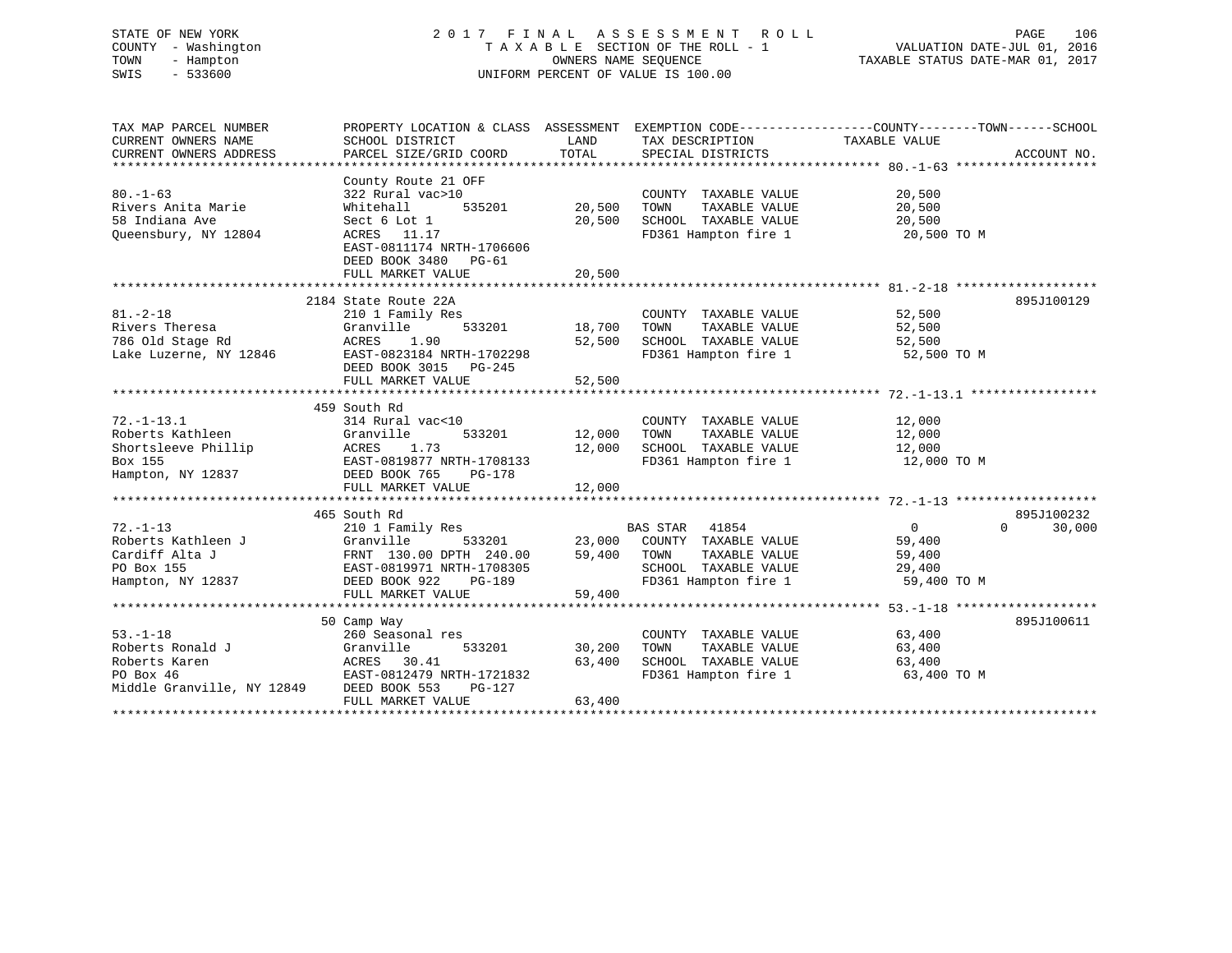# STATE OF NEW YORK 2 0 1 7 F I N A L A S S E S S M E N T R O L L PAGE 106 COUNTY - Washington T A X A B L E SECTION OF THE ROLL - 1 VALUATION DATE-JUL 01, 2016 TOWN - Hampton OWNERS NAME SEQUENCE TAXABLE STATUS DATE-MAR 01, 2017 SWIS - 533600 UNIFORM PERCENT OF VALUE IS 100.00

| TAX MAP PARCEL NUMBER<br>CURRENT OWNERS NAME<br>CURRENT OWNERS ADDRESS                                        | PROPERTY LOCATION & CLASS ASSESSMENT<br>SCHOOL DISTRICT<br>PARCEL SIZE/GRID COORD                                                                             | LAND<br>TOTAL                     | TAX DESCRIPTION TAXABLE VALUE<br>SPECIAL DISTRICTS                                                       | EXEMPTION CODE-----------------COUNTY--------TOWN------SCHOOL   | ACCOUNT NO.                      |
|---------------------------------------------------------------------------------------------------------------|---------------------------------------------------------------------------------------------------------------------------------------------------------------|-----------------------------------|----------------------------------------------------------------------------------------------------------|-----------------------------------------------------------------|----------------------------------|
| $80. - 1 - 63$<br>Rivers Anita Marie<br>58 Indiana Ave<br>Queensbury, NY 12804                                | County Route 21 OFF<br>322 Rural vac>10<br>Whitehall<br>Sect 6 Lot 1<br>ACRES 11.17<br>EAST-0811174 NRTH-1706606<br>DEED BOOK 3480 PG-61<br>FULL MARKET VALUE | 535201 20,500<br>20,500<br>20,500 | COUNTY TAXABLE VALUE<br>TOWN<br>TAXABLE VALUE<br>SCHOOL TAXABLE VALUE                                    | 20,500<br>20,500<br>20,500<br>FD361 Hampton fire 1 20,500 TO M  |                                  |
|                                                                                                               |                                                                                                                                                               |                                   |                                                                                                          |                                                                 |                                  |
| $81. - 2 - 18$<br>Rivers Theresa<br>786 Old Stage Rd<br>Lake Luzerne, NY 12846                                | 2184 State Route 22A<br>210 1 Family Res<br>533201<br>Granville<br>ACRES 1.90<br>EAST-0823184 NRTH-1702298<br>DEED BOOK 3015 PG-245                           | 18,700<br>52,500                  | COUNTY TAXABLE VALUE 52,500<br>TOWN TAXABLE VALUE 52,500<br>SCHOOL TAXABLE VALUE<br>FD361 Hampton fire 1 | 52,500<br>52,500 TO M                                           | 895J100129                       |
|                                                                                                               |                                                                                                                                                               |                                   |                                                                                                          |                                                                 |                                  |
|                                                                                                               |                                                                                                                                                               |                                   |                                                                                                          |                                                                 |                                  |
|                                                                                                               | 459 South Rd                                                                                                                                                  |                                   |                                                                                                          |                                                                 |                                  |
| $72. - 1 - 13.1$                                                                                              | 314 Rural vac<10                                                                                                                                              |                                   | COUNTY TAXABLE VALUE                                                                                     | 12,000                                                          |                                  |
| Roberts Kathleen                                                                                              | Granville                                                                                                                                                     | 533201 12,000                     | TAXABLE VALUE<br>TOWN                                                                                    | 12,000                                                          |                                  |
| Shortsleeve Phillip ACRES 1.73<br>Box 155 EAST-0819877 NRTH-1708133<br>Hampton, NY 12837 DEED BOOK 765 PG-178 |                                                                                                                                                               | 12,000                            |                                                                                                          | SCHOOL TAXABLE VALUE 12,000<br>FD361 Hampton fire 1 12,000 TO M |                                  |
|                                                                                                               |                                                                                                                                                               |                                   |                                                                                                          |                                                                 |                                  |
|                                                                                                               |                                                                                                                                                               |                                   |                                                                                                          |                                                                 |                                  |
|                                                                                                               | FULL MARKET VALUE                                                                                                                                             | 12,000                            |                                                                                                          |                                                                 |                                  |
|                                                                                                               |                                                                                                                                                               |                                   |                                                                                                          |                                                                 |                                  |
|                                                                                                               | 465 South Rd                                                                                                                                                  |                                   | <b>BAS STAR</b> 41854                                                                                    |                                                                 | 895J100232<br>30,000<br>$\Omega$ |
| $72. - 1 - 13$<br>Roberts Kathleen J                                                                          | 210 1 Family Res<br>Granville                                                                                                                                 |                                   |                                                                                                          | $0 \qquad \qquad$<br>59,400                                     |                                  |
| Cardiff Alta J                                                                                                |                                                                                                                                                               |                                   | TAXABLE VALUE                                                                                            | 59,400                                                          |                                  |
| PO Box 155                                                                                                    |                                                                                                                                                               |                                   |                                                                                                          |                                                                 |                                  |
| Hampton, NY 12837                                                                                             | 11 5<br>FRNT 130.00 DPTH 240.00 59,400 TOWN<br>EAST-0819971 NRTH-1708305 59,400 TOWN<br>DEED BOOK 922 PG-189 FD361                                            |                                   | SCHOOL TAXABLE VALUE 29,400<br>FD361 Hampton fire 1 59,400                                               | 59,400 TO M                                                     |                                  |
|                                                                                                               | FULL MARKET VALUE                                                                                                                                             | 59,400                            |                                                                                                          |                                                                 |                                  |
|                                                                                                               |                                                                                                                                                               |                                   |                                                                                                          |                                                                 |                                  |
|                                                                                                               | 50 Camp Way                                                                                                                                                   |                                   |                                                                                                          |                                                                 | 895J100611                       |
| $53. - 1 - 18$                                                                                                | 260 Seasonal res                                                                                                                                              |                                   | COUNTY TAXABLE VALUE 63,400                                                                              |                                                                 |                                  |
|                                                                                                               | 533201                                                                                                                                                        | 30,200                            |                                                                                                          |                                                                 |                                  |
|                                                                                                               |                                                                                                                                                               | 63,400                            | TOWN TAXABLE VALUE 63,400<br>SCHOOL TAXABLE VALUE 63,400                                                 |                                                                 |                                  |
| PO Box 46                                                                                                     | EAST-0812479 NRTH-1721832                                                                                                                                     |                                   |                                                                                                          | FD361 Hampton fire 1 63,400 TO M                                |                                  |
| Middle Granville, NY 12849                                                                                    | DEED BOOK 553<br>PG-127                                                                                                                                       |                                   |                                                                                                          |                                                                 |                                  |
|                                                                                                               | FULL MARKET VALUE                                                                                                                                             | 63,400                            |                                                                                                          |                                                                 |                                  |
|                                                                                                               |                                                                                                                                                               |                                   |                                                                                                          |                                                                 |                                  |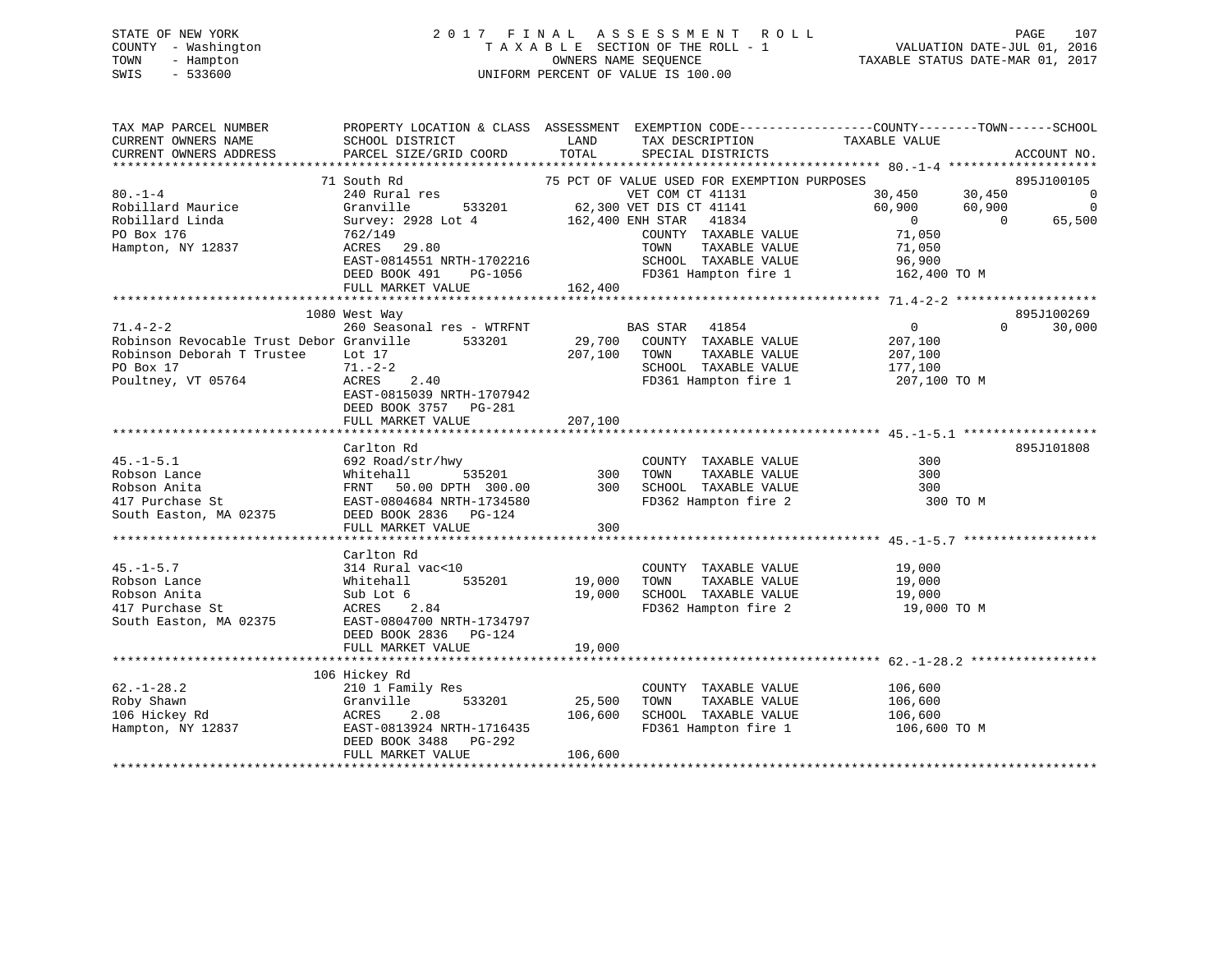# STATE OF NEW YORK 2 0 1 7 F I N A L A S S E S S M E N T R O L L PAGE 107 COUNTY - Washington T A X A B L E SECTION OF THE ROLL - 1 VALUATION DATE-JUL 01, 2016 TOWN - Hampton OWNERS NAME SEQUENCE TAXABLE STATUS DATE-MAR 01, 2017 SWIS - 533600 UNIFORM PERCENT OF VALUE IS 100.00

| CURRENT OWNERS NAME<br>SCHOOL DISTRICT<br>LAND<br>TAX DESCRIPTION<br>TAXABLE VALUE<br>TOTAL<br>CURRENT OWNERS ADDRESS<br>PARCEL SIZE/GRID COORD<br>SPECIAL DISTRICTS<br>ACCOUNT NO.<br>71 South Rd<br>75 PCT OF VALUE USED FOR EXEMPTION PURPOSES<br>895J100105<br>30,450 30,450<br>$80. - 1 - 4$<br>240 Rural res<br>$\sim$ 000 $\sim$ 000 $\sim$ 000 $\sim$<br>VET COM CT 41131<br>60,900 60,900<br>62,300 VET DIS CT 41141<br>$\overline{0}$<br>Robillard Maurice<br>Granville<br>533201<br>162,400 ENH STAR<br>Robillard Linda<br>Survey: 2928 Lot 4<br>41834<br>$\overline{0}$<br>$\overline{0}$<br>65,500<br>71,050<br>PO Box 176<br>COUNTY TAXABLE VALUE<br>762/149<br>ACRES 29.80<br>TAXABLE VALUE<br>Hampton, NY 12837<br>TOWN<br>71,050<br>SCHOOL TAXABLE VALUE<br>EAST-0814551 NRTH-1702216<br>96,900<br>DEED BOOK 491<br>PG-1056<br>FD361 Hampton fire 1<br>162,400 TO M<br>162,400<br>FULL MARKET VALUE<br>895J100269<br>1080 West Way<br>$71.4 - 2 - 2$<br>$\overline{0}$<br>260 Seasonal res - WTRFNT<br>30,000<br>BAS STAR 41854<br>$\Omega$<br>29,700<br>Robinson Revocable Trust Debor Granville<br>533201<br>COUNTY TAXABLE VALUE<br>207,100<br>Robinson Deborah T Trustee<br>TAXABLE VALUE<br>Lot 17<br>207,100<br>TOWN<br>207,100<br>PO Box 17<br>$71. - 2 - 2$<br>SCHOOL TAXABLE VALUE<br>177,100<br>Poultney, VT 05764<br>ACRES<br>2.40<br>FD361 Hampton fire 1<br>207,100 TO M<br>EAST-0815039 NRTH-1707942<br>DEED BOOK 3757 PG-281<br>207,100<br>FULL MARKET VALUE |
|----------------------------------------------------------------------------------------------------------------------------------------------------------------------------------------------------------------------------------------------------------------------------------------------------------------------------------------------------------------------------------------------------------------------------------------------------------------------------------------------------------------------------------------------------------------------------------------------------------------------------------------------------------------------------------------------------------------------------------------------------------------------------------------------------------------------------------------------------------------------------------------------------------------------------------------------------------------------------------------------------------------------------------------------------------------------------------------------------------------------------------------------------------------------------------------------------------------------------------------------------------------------------------------------------------------------------------------------------------------------------------------------------------------------------------------------------------------------------------------------|
|                                                                                                                                                                                                                                                                                                                                                                                                                                                                                                                                                                                                                                                                                                                                                                                                                                                                                                                                                                                                                                                                                                                                                                                                                                                                                                                                                                                                                                                                                              |
|                                                                                                                                                                                                                                                                                                                                                                                                                                                                                                                                                                                                                                                                                                                                                                                                                                                                                                                                                                                                                                                                                                                                                                                                                                                                                                                                                                                                                                                                                              |
|                                                                                                                                                                                                                                                                                                                                                                                                                                                                                                                                                                                                                                                                                                                                                                                                                                                                                                                                                                                                                                                                                                                                                                                                                                                                                                                                                                                                                                                                                              |
|                                                                                                                                                                                                                                                                                                                                                                                                                                                                                                                                                                                                                                                                                                                                                                                                                                                                                                                                                                                                                                                                                                                                                                                                                                                                                                                                                                                                                                                                                              |
|                                                                                                                                                                                                                                                                                                                                                                                                                                                                                                                                                                                                                                                                                                                                                                                                                                                                                                                                                                                                                                                                                                                                                                                                                                                                                                                                                                                                                                                                                              |
|                                                                                                                                                                                                                                                                                                                                                                                                                                                                                                                                                                                                                                                                                                                                                                                                                                                                                                                                                                                                                                                                                                                                                                                                                                                                                                                                                                                                                                                                                              |
|                                                                                                                                                                                                                                                                                                                                                                                                                                                                                                                                                                                                                                                                                                                                                                                                                                                                                                                                                                                                                                                                                                                                                                                                                                                                                                                                                                                                                                                                                              |
|                                                                                                                                                                                                                                                                                                                                                                                                                                                                                                                                                                                                                                                                                                                                                                                                                                                                                                                                                                                                                                                                                                                                                                                                                                                                                                                                                                                                                                                                                              |
|                                                                                                                                                                                                                                                                                                                                                                                                                                                                                                                                                                                                                                                                                                                                                                                                                                                                                                                                                                                                                                                                                                                                                                                                                                                                                                                                                                                                                                                                                              |
|                                                                                                                                                                                                                                                                                                                                                                                                                                                                                                                                                                                                                                                                                                                                                                                                                                                                                                                                                                                                                                                                                                                                                                                                                                                                                                                                                                                                                                                                                              |
|                                                                                                                                                                                                                                                                                                                                                                                                                                                                                                                                                                                                                                                                                                                                                                                                                                                                                                                                                                                                                                                                                                                                                                                                                                                                                                                                                                                                                                                                                              |
|                                                                                                                                                                                                                                                                                                                                                                                                                                                                                                                                                                                                                                                                                                                                                                                                                                                                                                                                                                                                                                                                                                                                                                                                                                                                                                                                                                                                                                                                                              |
|                                                                                                                                                                                                                                                                                                                                                                                                                                                                                                                                                                                                                                                                                                                                                                                                                                                                                                                                                                                                                                                                                                                                                                                                                                                                                                                                                                                                                                                                                              |
|                                                                                                                                                                                                                                                                                                                                                                                                                                                                                                                                                                                                                                                                                                                                                                                                                                                                                                                                                                                                                                                                                                                                                                                                                                                                                                                                                                                                                                                                                              |
|                                                                                                                                                                                                                                                                                                                                                                                                                                                                                                                                                                                                                                                                                                                                                                                                                                                                                                                                                                                                                                                                                                                                                                                                                                                                                                                                                                                                                                                                                              |
|                                                                                                                                                                                                                                                                                                                                                                                                                                                                                                                                                                                                                                                                                                                                                                                                                                                                                                                                                                                                                                                                                                                                                                                                                                                                                                                                                                                                                                                                                              |
|                                                                                                                                                                                                                                                                                                                                                                                                                                                                                                                                                                                                                                                                                                                                                                                                                                                                                                                                                                                                                                                                                                                                                                                                                                                                                                                                                                                                                                                                                              |
|                                                                                                                                                                                                                                                                                                                                                                                                                                                                                                                                                                                                                                                                                                                                                                                                                                                                                                                                                                                                                                                                                                                                                                                                                                                                                                                                                                                                                                                                                              |
|                                                                                                                                                                                                                                                                                                                                                                                                                                                                                                                                                                                                                                                                                                                                                                                                                                                                                                                                                                                                                                                                                                                                                                                                                                                                                                                                                                                                                                                                                              |
|                                                                                                                                                                                                                                                                                                                                                                                                                                                                                                                                                                                                                                                                                                                                                                                                                                                                                                                                                                                                                                                                                                                                                                                                                                                                                                                                                                                                                                                                                              |
|                                                                                                                                                                                                                                                                                                                                                                                                                                                                                                                                                                                                                                                                                                                                                                                                                                                                                                                                                                                                                                                                                                                                                                                                                                                                                                                                                                                                                                                                                              |
| 895J101808<br>Carlton Rd<br>$45. - 1 - 5.1$<br>300                                                                                                                                                                                                                                                                                                                                                                                                                                                                                                                                                                                                                                                                                                                                                                                                                                                                                                                                                                                                                                                                                                                                                                                                                                                                                                                                                                                                                                           |
| 692 Road/str/hwy<br>COUNTY TAXABLE VALUE<br>TAXABLE VALUE<br>Robson Lance<br>Whitehall<br>535201<br>300<br>TOWN<br>300                                                                                                                                                                                                                                                                                                                                                                                                                                                                                                                                                                                                                                                                                                                                                                                                                                                                                                                                                                                                                                                                                                                                                                                                                                                                                                                                                                       |
| SCHOOL TAXABLE VALUE<br>300<br>Robson Anita<br>FRNT 50.00 DPTH 300.00<br>300                                                                                                                                                                                                                                                                                                                                                                                                                                                                                                                                                                                                                                                                                                                                                                                                                                                                                                                                                                                                                                                                                                                                                                                                                                                                                                                                                                                                                 |
| FD362 Hampton fire 2<br>417 Purchase St<br>EAST-0804684 NRTH-1734580<br>300 TO M                                                                                                                                                                                                                                                                                                                                                                                                                                                                                                                                                                                                                                                                                                                                                                                                                                                                                                                                                                                                                                                                                                                                                                                                                                                                                                                                                                                                             |
| DEED BOOK 2836 PG-124<br>South Easton, MA 02375                                                                                                                                                                                                                                                                                                                                                                                                                                                                                                                                                                                                                                                                                                                                                                                                                                                                                                                                                                                                                                                                                                                                                                                                                                                                                                                                                                                                                                              |
| 300<br>FULL MARKET VALUE                                                                                                                                                                                                                                                                                                                                                                                                                                                                                                                                                                                                                                                                                                                                                                                                                                                                                                                                                                                                                                                                                                                                                                                                                                                                                                                                                                                                                                                                     |
|                                                                                                                                                                                                                                                                                                                                                                                                                                                                                                                                                                                                                                                                                                                                                                                                                                                                                                                                                                                                                                                                                                                                                                                                                                                                                                                                                                                                                                                                                              |
| Carlton Rd                                                                                                                                                                                                                                                                                                                                                                                                                                                                                                                                                                                                                                                                                                                                                                                                                                                                                                                                                                                                                                                                                                                                                                                                                                                                                                                                                                                                                                                                                   |
| $45. - 1 - 5.7$<br>314 Rural vac<10<br>COUNTY TAXABLE VALUE<br>19,000                                                                                                                                                                                                                                                                                                                                                                                                                                                                                                                                                                                                                                                                                                                                                                                                                                                                                                                                                                                                                                                                                                                                                                                                                                                                                                                                                                                                                        |
| 535201<br>19,000<br>TAXABLE VALUE<br>Robson Lance<br>Whitehall<br>TOWN<br>19,000                                                                                                                                                                                                                                                                                                                                                                                                                                                                                                                                                                                                                                                                                                                                                                                                                                                                                                                                                                                                                                                                                                                                                                                                                                                                                                                                                                                                             |
| 19,000<br>19,000<br>SCHOOL TAXABLE VALUE<br>Robson Anita<br>Sub Lot 6                                                                                                                                                                                                                                                                                                                                                                                                                                                                                                                                                                                                                                                                                                                                                                                                                                                                                                                                                                                                                                                                                                                                                                                                                                                                                                                                                                                                                        |
| 417 Purchase St<br>2.84<br>FD362 Hampton fire 2 19,000 TO M<br>ACRES                                                                                                                                                                                                                                                                                                                                                                                                                                                                                                                                                                                                                                                                                                                                                                                                                                                                                                                                                                                                                                                                                                                                                                                                                                                                                                                                                                                                                         |
| EAST-0804700 NRTH-1734797<br>South Easton, MA 02375                                                                                                                                                                                                                                                                                                                                                                                                                                                                                                                                                                                                                                                                                                                                                                                                                                                                                                                                                                                                                                                                                                                                                                                                                                                                                                                                                                                                                                          |
| DEED BOOK 2836 PG-124                                                                                                                                                                                                                                                                                                                                                                                                                                                                                                                                                                                                                                                                                                                                                                                                                                                                                                                                                                                                                                                                                                                                                                                                                                                                                                                                                                                                                                                                        |
| 19,000<br>FULL MARKET VALUE                                                                                                                                                                                                                                                                                                                                                                                                                                                                                                                                                                                                                                                                                                                                                                                                                                                                                                                                                                                                                                                                                                                                                                                                                                                                                                                                                                                                                                                                  |
|                                                                                                                                                                                                                                                                                                                                                                                                                                                                                                                                                                                                                                                                                                                                                                                                                                                                                                                                                                                                                                                                                                                                                                                                                                                                                                                                                                                                                                                                                              |
| 106 Hickey Rd                                                                                                                                                                                                                                                                                                                                                                                                                                                                                                                                                                                                                                                                                                                                                                                                                                                                                                                                                                                                                                                                                                                                                                                                                                                                                                                                                                                                                                                                                |
| $62. - 1 - 28.2$<br>106,600<br>210 1 Family Res<br>COUNTY TAXABLE VALUE                                                                                                                                                                                                                                                                                                                                                                                                                                                                                                                                                                                                                                                                                                                                                                                                                                                                                                                                                                                                                                                                                                                                                                                                                                                                                                                                                                                                                      |
| TAXABLE VALUE<br>Roby Shawn<br>Granville<br>533201<br>25,500<br>TOWN<br>106,600                                                                                                                                                                                                                                                                                                                                                                                                                                                                                                                                                                                                                                                                                                                                                                                                                                                                                                                                                                                                                                                                                                                                                                                                                                                                                                                                                                                                              |
| 106 Hickey Rd<br>106,600<br>2.08<br>106,600<br>SCHOOL TAXABLE VALUE<br>ACRES                                                                                                                                                                                                                                                                                                                                                                                                                                                                                                                                                                                                                                                                                                                                                                                                                                                                                                                                                                                                                                                                                                                                                                                                                                                                                                                                                                                                                 |
| EAST-0813924 NRTH-1716435<br>FD361 Hampton fire 1<br>Hampton, NY 12837<br>106,600 ТО М                                                                                                                                                                                                                                                                                                                                                                                                                                                                                                                                                                                                                                                                                                                                                                                                                                                                                                                                                                                                                                                                                                                                                                                                                                                                                                                                                                                                       |
| DEED BOOK 3488<br>PG-292                                                                                                                                                                                                                                                                                                                                                                                                                                                                                                                                                                                                                                                                                                                                                                                                                                                                                                                                                                                                                                                                                                                                                                                                                                                                                                                                                                                                                                                                     |
| FULL MARKET VALUE<br>106,600                                                                                                                                                                                                                                                                                                                                                                                                                                                                                                                                                                                                                                                                                                                                                                                                                                                                                                                                                                                                                                                                                                                                                                                                                                                                                                                                                                                                                                                                 |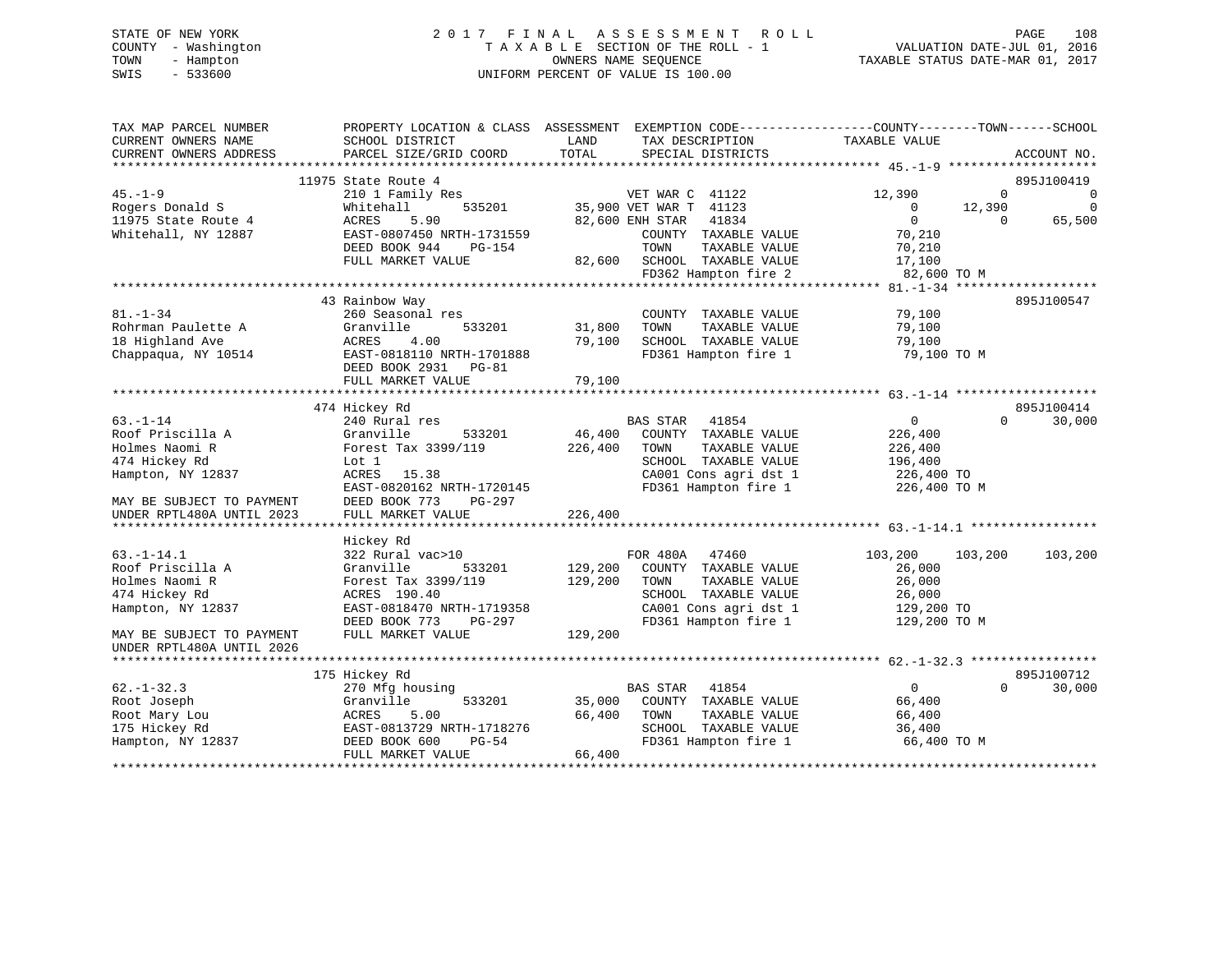# STATE OF NEW YORK 2 0 1 7 F I N A L A S S E S S M E N T R O L L PAGE 108 COUNTY - Washington T A X A B L E SECTION OF THE ROLL - 1 VALUATION DATE-JUL 01, 2016 TOWN - Hampton OWNERS NAME SEQUENCE TAXABLE STATUS DATE-MAR 01, 2017 SWIS - 533600 UNIFORM PERCENT OF VALUE IS 100.00

| TAX MAP PARCEL NUMBER<br>CURRENT OWNERS NAME<br>CURRENT OWNERS ADDRESS | PROPERTY LOCATION & CLASS ASSESSMENT<br>SCHOOL DISTRICT<br>PARCEL SIZE/GRID COORD | LAND<br>TAX DESCRIPTION<br>TOTAL<br>SPECIAL DISTRICTS      | EXEMPTION CODE-----------------COUNTY-------TOWN------SCHOOL<br>TAXABLE VALUE<br>ACCOUNT NO. |
|------------------------------------------------------------------------|-----------------------------------------------------------------------------------|------------------------------------------------------------|----------------------------------------------------------------------------------------------|
| ***********************                                                |                                                                                   |                                                            |                                                                                              |
|                                                                        | 11975 State Route 4                                                               |                                                            | 895J100419                                                                                   |
| $45. - 1 - 9$                                                          | 210 1 Family Res                                                                  | VET WAR C 41122                                            | 12,390<br>$\Omega$<br>$\Omega$                                                               |
| Rogers Donald S                                                        | Whitehall<br>535201                                                               | 35,900 VET WAR T 41123                                     | 12,390<br>$\Omega$<br>$\Omega$                                                               |
| 11975 State Route 4                                                    | 5.90<br>ACRES                                                                     | 41834<br>82,600 ENH STAR                                   | $\Omega$<br>65,500<br>$\Omega$                                                               |
| Whitehall, NY 12887                                                    | EAST-0807450 NRTH-1731559                                                         | COUNTY TAXABLE VALUE                                       | 70,210                                                                                       |
|                                                                        | DEED BOOK 944<br><b>PG-154</b>                                                    | TOWN<br>TAXABLE VALUE                                      | 70,210                                                                                       |
|                                                                        | FULL MARKET VALUE                                                                 | 82,600<br>SCHOOL TAXABLE VALUE                             | 17,100                                                                                       |
|                                                                        |                                                                                   | FD362 Hampton fire 2                                       | 82,600 TO M                                                                                  |
|                                                                        |                                                                                   |                                                            | $81. - 1 - 34$ *****                                                                         |
|                                                                        | 43 Rainbow Way                                                                    |                                                            | 895J100547                                                                                   |
| $81. - 1 - 34$                                                         | 260 Seasonal res                                                                  | COUNTY TAXABLE VALUE                                       | 79,100                                                                                       |
| Rohrman Paulette A                                                     | Granville<br>533201                                                               | 31,800<br>TOWN<br>TAXABLE VALUE                            | 79,100                                                                                       |
| 18 Highland Ave                                                        | ACRES<br>4.00                                                                     | 79,100<br>SCHOOL TAXABLE VALUE                             | 79,100                                                                                       |
| Chappaqua, NY 10514                                                    | EAST-0818110 NRTH-1701888                                                         | FD361 Hampton fire 1                                       | 79,100 TO M                                                                                  |
|                                                                        | DEED BOOK 2931 PG-81                                                              |                                                            |                                                                                              |
|                                                                        | FULL MARKET VALUE                                                                 | 79,100                                                     |                                                                                              |
|                                                                        |                                                                                   |                                                            |                                                                                              |
|                                                                        | 474 Hickey Rd                                                                     |                                                            | 895J100414<br>$\Omega$                                                                       |
| $63 - 1 - 14$<br>Roof Priscilla A                                      | 240 Rural res<br>Granville<br>533201                                              | <b>BAS STAR</b><br>41854<br>46,400<br>COUNTY TAXABLE VALUE | $\overline{0}$<br>30,000<br>226,400                                                          |
| Holmes Naomi R                                                         | Forest Tax 3399/119                                                               | 226,400<br>TAXABLE VALUE<br>TOWN                           | 226,400                                                                                      |
| 474 Hickey Rd                                                          | Lot 1                                                                             | SCHOOL TAXABLE VALUE                                       | 196,400                                                                                      |
| Hampton, NY 12837                                                      | ACRES<br>15.38                                                                    | CA001 Cons agri dst 1                                      | 226,400 TO                                                                                   |
|                                                                        | EAST-0820162 NRTH-1720145                                                         | FD361 Hampton fire 1                                       | 226,400 TO M                                                                                 |
| MAY BE SUBJECT TO PAYMENT                                              | DEED BOOK 773<br>PG-297                                                           |                                                            |                                                                                              |
| UNDER RPTL480A UNTIL 2023                                              | FULL MARKET VALUE                                                                 | 226,400                                                    |                                                                                              |
|                                                                        | * * * * * * * * * * * * * * * * * * *                                             | **********                                                 | ******************************** 63.-1-14.1 **                                               |
|                                                                        | Hickey Rd                                                                         |                                                            |                                                                                              |
| $63. -1 - 14.1$                                                        | 322 Rural vac>10                                                                  | FOR 480A<br>47460                                          | 103,200<br>103,200<br>103,200                                                                |
| Roof Priscilla A                                                       | Granville<br>533201                                                               | 129,200<br>COUNTY TAXABLE VALUE                            | 26,000                                                                                       |
| Holmes Naomi R                                                         | Forest Tax 3399/119                                                               | 129,200<br>TAXABLE VALUE<br>TOWN                           | 26,000                                                                                       |
| 474 Hickey Rd                                                          | ACRES 190.40                                                                      | SCHOOL TAXABLE VALUE                                       | 26,000                                                                                       |
| Hampton, NY 12837                                                      | EAST-0818470 NRTH-1719358                                                         | CA001 Cons agri dst 1                                      | 129,200 TO                                                                                   |
|                                                                        | DEED BOOK 773<br>PG-297                                                           | FD361 Hampton fire 1                                       | 129,200 TO M                                                                                 |
| MAY BE SUBJECT TO PAYMENT                                              | FULL MARKET VALUE                                                                 | 129,200                                                    |                                                                                              |
| UNDER RPTL480A UNTIL 2026                                              |                                                                                   |                                                            |                                                                                              |
|                                                                        |                                                                                   |                                                            |                                                                                              |
|                                                                        | 175 Hickey Rd                                                                     |                                                            | 895J100712                                                                                   |
| $62. - 1 - 32.3$                                                       | 270 Mfg housing                                                                   | <b>BAS STAR</b><br>41854                                   | $\Omega$<br>30,000<br>$\Omega$                                                               |
| Root Joseph                                                            | 533201<br>Granville                                                               | 35,000<br>COUNTY TAXABLE VALUE                             | 66,400                                                                                       |
| Root Mary Lou                                                          | 5.00<br>ACRES                                                                     | 66,400<br>TOWN<br>TAXABLE VALUE                            | 66,400                                                                                       |
| 175 Hickey Rd                                                          | EAST-0813729 NRTH-1718276                                                         | SCHOOL TAXABLE VALUE                                       | 36,400                                                                                       |
| Hampton, NY 12837                                                      | DEED BOOK 600<br>$PG-54$                                                          | FD361 Hampton fire 1                                       | 66,400 TO M                                                                                  |
|                                                                        | FULL MARKET VALUE                                                                 | 66,400                                                     |                                                                                              |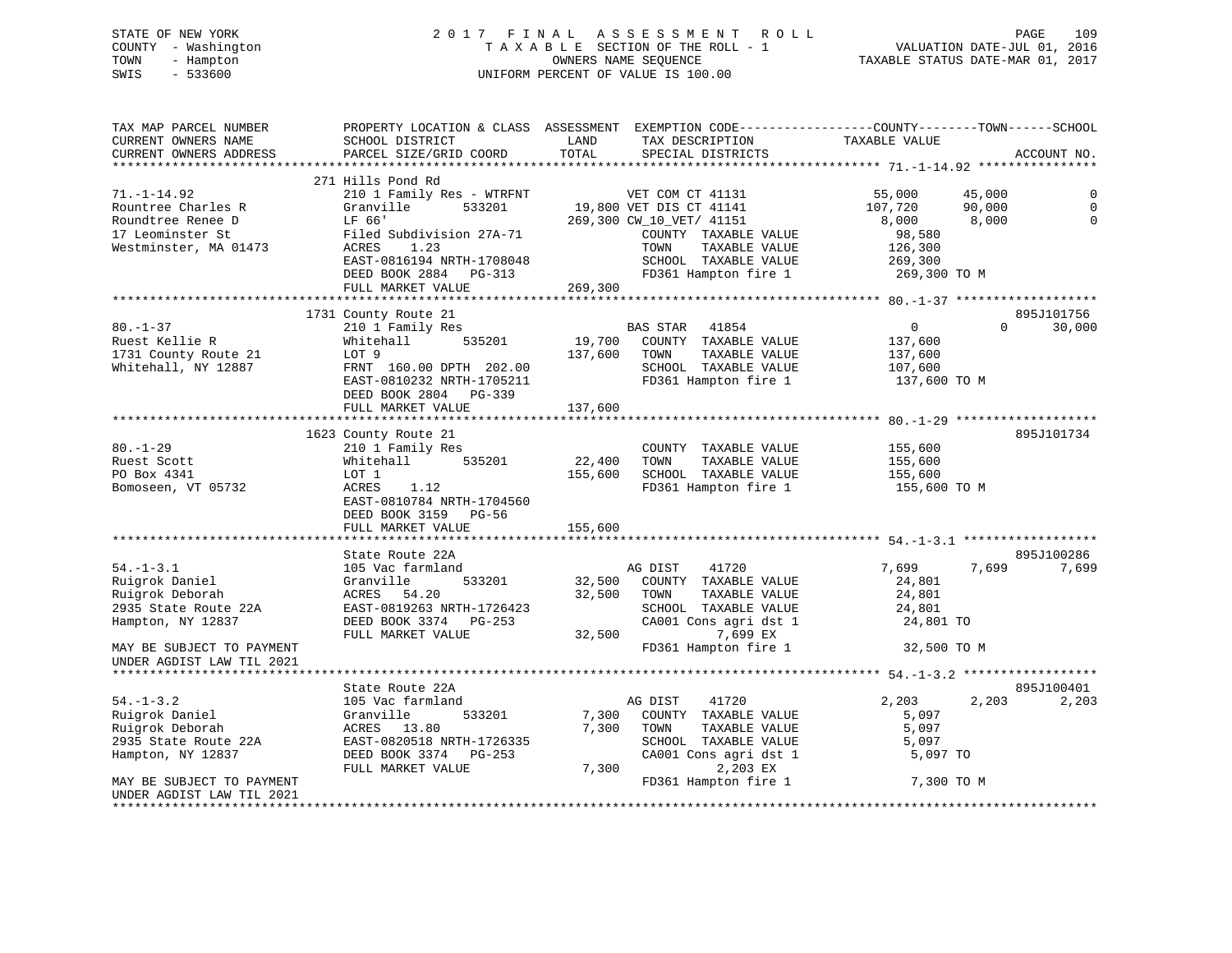# STATE OF NEW YORK 2 0 1 7 F I N A L A S S E S S M E N T R O L L PAGE 109 COUNTY - Washington T A X A B L E SECTION OF THE ROLL - 1 VALUATION DATE-JUL 01, 2016 TOWN - Hampton OWNERS NAME SEQUENCE TAXABLE STATUS DATE-MAR 01, 2017 SWIS - 533600 UNIFORM PERCENT OF VALUE IS 100.00

| TAX MAP PARCEL NUMBER<br>CURRENT OWNERS NAME                                                                                                                | SCHOOL DISTRICT                                                                                                                                                                    | PROPERTY LOCATION & CLASS ASSESSMENT EXEMPTION CODE----------------COUNTY-------TOWN------SCHOOL<br>LAND<br>TAX DESCRIPTION                                                       | TAXABLE VALUE                                                                                           |                      |
|-------------------------------------------------------------------------------------------------------------------------------------------------------------|------------------------------------------------------------------------------------------------------------------------------------------------------------------------------------|-----------------------------------------------------------------------------------------------------------------------------------------------------------------------------------|---------------------------------------------------------------------------------------------------------|----------------------|
| CURRENT OWNERS ADDRESS<br>*********************                                                                                                             | PARCEL SIZE/GRID COORD<br>****************************                                                                                                                             | TOTAL<br>SPECIAL DISTRICTS                                                                                                                                                        |                                                                                                         | ACCOUNT NO.          |
|                                                                                                                                                             |                                                                                                                                                                                    |                                                                                                                                                                                   |                                                                                                         |                      |
| $71. - 1 - 14.92$<br>Rountree Charles R<br>Roundtree Renee D<br>17 Leominster St<br>Westminster, MA 01473                                                   | 271 Hills Pond Rd<br>210 1 Family Res - WTRFNT<br>Granville<br>533201<br>LF 66'<br>Filed Subdivision 27A-71<br>1.23<br>ACRES<br>EAST-0816194 NRTH-1708048<br>DEED BOOK 2884 PG-313 | VET COM CT 41131<br>19,800 VET DIS CT 41141<br>269,300 CW_10_VET/ 41151<br>COUNTY TAXABLE VALUE<br>TOWN<br>TAXABLE VALUE<br>SCHOOL TAXABLE VALUE<br>FD361 Hampton fire 1          | 55,000<br>45,000<br>107,720<br>90,000<br>8,000<br>8,000<br>98,580<br>126,300<br>269,300<br>269,300 TO M | $\Omega$             |
|                                                                                                                                                             | FULL MARKET VALUE                                                                                                                                                                  | 269,300                                                                                                                                                                           |                                                                                                         |                      |
| $80. - 1 - 37$<br>Ruest Kellie R<br>1731 County Route 21<br>Whitehall, NY 12887                                                                             | 1731 County Route 21<br>210 1 Family Res<br>Whitehall<br>535201<br>LOT 9<br>FRNT 160.00 DPTH 202.00<br>EAST-0810232 NRTH-1705211<br>DEED BOOK 2804 PG-339<br>FULL MARKET VALUE     | BAS STAR<br>41854<br>19,700 COUNTY TAXABLE VALUE<br>137,600<br>TOWN<br>TAXABLE VALUE<br>SCHOOL TAXABLE VALUE<br>FD361 Hampton fire 1<br>137,600                                   | $\overline{0}$<br>$\Omega$<br>137,600<br>137,600<br>107,600<br>137,600 TO M                             | 895J101756<br>30,000 |
|                                                                                                                                                             | 1623 County Route 21                                                                                                                                                               |                                                                                                                                                                                   |                                                                                                         | 895J101734           |
| $80. - 1 - 29$<br>Ruest Scott<br>PO Box 4341<br>Bomoseen, VT 05732                                                                                          | 210 1 Family Res<br>535201<br>Whitehall<br>LOT 1<br>ACRES<br>1.12<br>EAST-0810784 NRTH-1704560<br>DEED BOOK 3159 PG-56<br>FULL MARKET VALUE                                        | COUNTY TAXABLE VALUE<br>22,400<br>TOWN<br>TAXABLE VALUE<br>155,600<br>SCHOOL TAXABLE VALUE<br>FD361 Hampton fire 1<br>155,600                                                     | 155,600<br>155,600<br>155,600<br>155,600 TO M                                                           |                      |
|                                                                                                                                                             |                                                                                                                                                                                    |                                                                                                                                                                                   |                                                                                                         | 895J100286           |
| $54. - 1 - 3.1$<br>Ruigrok Daniel<br>Ruigrok Deborah<br>2935 State Route 22A<br>Hampton, NY 12837                                                           | State Route 22A<br>105 Vac farmland<br>Granville<br>533201<br>ACRES 54.20<br>EAST-0819263 NRTH-1726423<br>DEED BOOK 3374 PG-253<br>FULL MARKET VALUE                               | 41720<br>AG DIST<br>32,500<br>COUNTY TAXABLE VALUE<br>32,500<br>TAXABLE VALUE<br>TOWN<br>SCHOOL TAXABLE VALUE<br>CA001 Cons agri dst 1<br>7,699 EX<br>32,500                      | 7,699<br>7,699<br>24,801<br>24,801<br>24,801<br>24,801 TO                                               | 7,699                |
| MAY BE SUBJECT TO PAYMENT<br>UNDER AGDIST LAW TIL 2021                                                                                                      |                                                                                                                                                                                    | FD361 Hampton fire 1                                                                                                                                                              | 32,500 TO M                                                                                             |                      |
|                                                                                                                                                             | State Route 22A                                                                                                                                                                    |                                                                                                                                                                                   |                                                                                                         | 895J100401           |
| $54. - 1 - 3.2$<br>Ruigrok Daniel<br>Ruigrok Deborah<br>2935 State Route 22A<br>Hampton, NY 12837<br>MAY BE SUBJECT TO PAYMENT<br>UNDER AGDIST LAW TIL 2021 | 105 Vac farmland<br>Granville<br>533201<br>ACRES 13.80<br>EAST-0820518 NRTH-1726335<br>DEED BOOK 3374 PG-253<br>FULL MARKET VALUE                                                  | 41720<br>AG DIST<br>7,300<br>COUNTY TAXABLE VALUE<br>7,300<br>TOWN<br>TAXABLE VALUE<br>SCHOOL TAXABLE VALUE<br>CA001 Cons agri dst 1<br>7,300<br>2,203 EX<br>FD361 Hampton fire 1 | 2,203<br>2,203<br>5,097<br>5,097<br>5,097<br>5,097 TO<br>7,300 TO M                                     | 2,203                |
| ********************                                                                                                                                        |                                                                                                                                                                                    |                                                                                                                                                                                   |                                                                                                         |                      |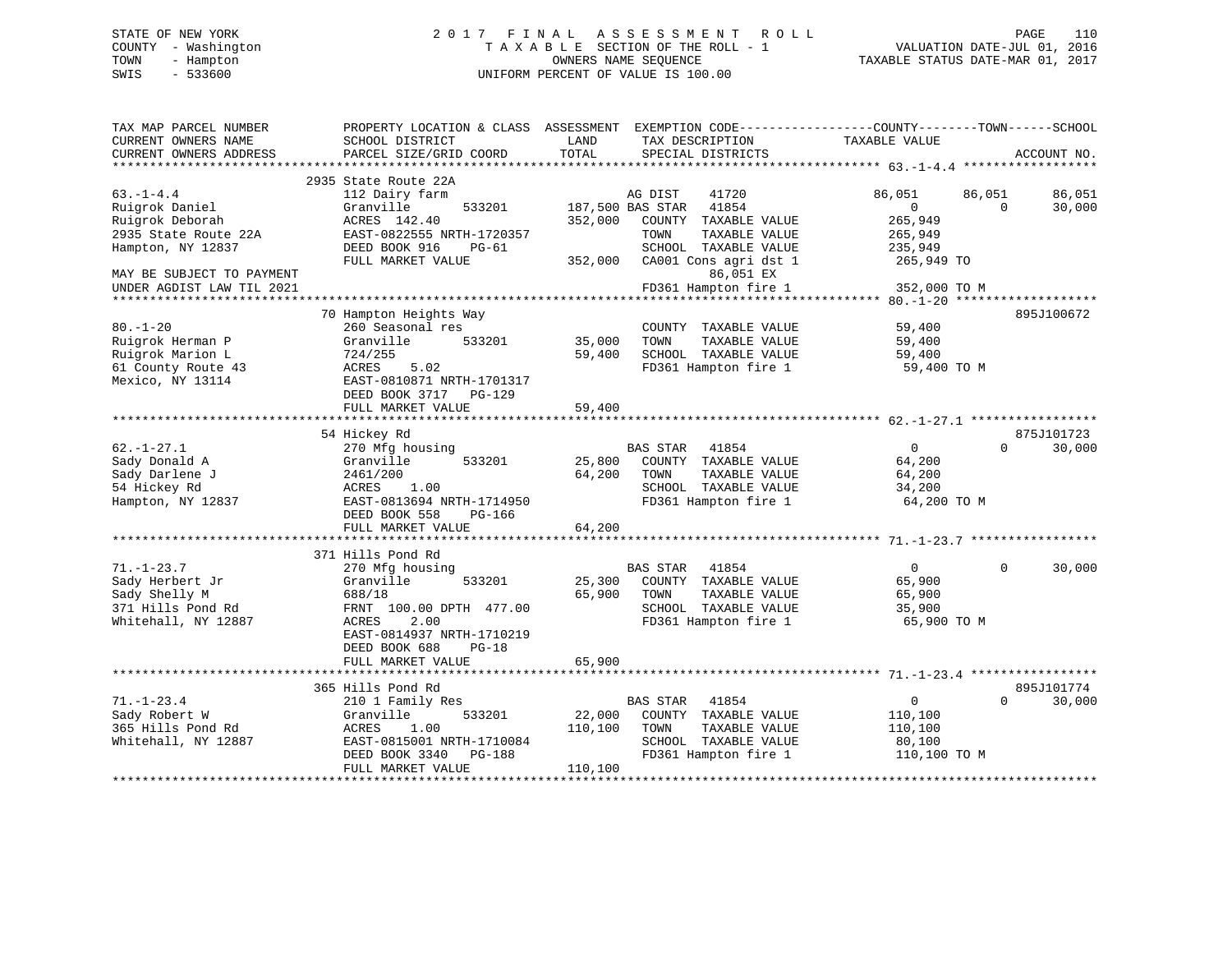# STATE OF NEW YORK 2 0 1 7 F I N A L A S S E S S M E N T R O L L PAGE 110 COUNTY - Washington T A X A B L E SECTION OF THE ROLL - 1 VALUATION DATE-JUL 01, 2016 TOWN - Hampton OWNERS NAME SEQUENCE TAXABLE STATUS DATE-MAR 01, 2017 SWIS - 533600 UNIFORM PERCENT OF VALUE IS 100.00

| TAX MAP PARCEL NUMBER<br>CURRENT OWNERS NAME                                                                                                               | PROPERTY LOCATION & CLASS ASSESSMENT<br>SCHOOL DISTRICT                                                                                                                               | LAND                         | EXEMPTION CODE-----------------COUNTY-------TOWN------SCHOOL<br>TAX DESCRIPTION                                                                                                      | TAXABLE VALUE                                                                                                  |                    |                                |
|------------------------------------------------------------------------------------------------------------------------------------------------------------|---------------------------------------------------------------------------------------------------------------------------------------------------------------------------------------|------------------------------|--------------------------------------------------------------------------------------------------------------------------------------------------------------------------------------|----------------------------------------------------------------------------------------------------------------|--------------------|--------------------------------|
| CURRENT OWNERS ADDRESS                                                                                                                                     | PARCEL SIZE/GRID COORD                                                                                                                                                                | TOTAL                        | SPECIAL DISTRICTS                                                                                                                                                                    |                                                                                                                |                    | ACCOUNT NO.                    |
| ********************                                                                                                                                       |                                                                                                                                                                                       |                              |                                                                                                                                                                                      |                                                                                                                |                    |                                |
| $63. -1 - 4.4$<br>Ruigrok Daniel<br>Ruigrok Deborah<br>2935 State Route 22A<br>Hampton, NY 12837<br>MAY BE SUBJECT TO PAYMENT<br>UNDER AGDIST LAW TIL 2021 | 2935 State Route 22A<br>112 Dairy farm<br>Granville<br>533201<br>ACRES 142.40<br>EAST-0822555 NRTH-1720357<br>DEED BOOK 916<br>$PG-61$<br>FULL MARKET VALUE<br>70 Hampton Heights Way | 352,000<br>352,000           | AG DIST<br>41720<br>187,500 BAS STAR<br>41854<br>COUNTY TAXABLE VALUE<br>TOWN<br>TAXABLE VALUE<br>SCHOOL TAXABLE VALUE<br>CA001 Cons agri dst 1<br>86,051 EX<br>FD361 Hampton fire 1 | 86,051<br>$\overline{0}$<br>265,949<br>265,949<br>235,949<br>265,949 TO<br>352,000 TO M<br>********** 80.-1-20 | 86,051<br>$\Omega$ | 86,051<br>30,000<br>895J100672 |
| $80. - 1 - 20$<br>Ruigrok Herman P<br>Ruigrok Marion L<br>61 County Route 43<br>Mexico, NY 13114                                                           | 260 Seasonal res<br>Granville<br>533201<br>724/255<br>5.02<br>ACRES<br>EAST-0810871 NRTH-1701317<br>DEED BOOK 3717 PG-129<br>FULL MARKET VALUE                                        | 35,000<br>59,400<br>59,400   | COUNTY TAXABLE VALUE<br>TOWN<br>TAXABLE VALUE<br>SCHOOL TAXABLE VALUE<br>FD361 Hampton fire 1                                                                                        | 59,400<br>59,400<br>59,400<br>59,400 TO M                                                                      |                    |                                |
|                                                                                                                                                            | 54 Hickey Rd                                                                                                                                                                          |                              |                                                                                                                                                                                      |                                                                                                                |                    | 875J101723                     |
| $62. - 1 - 27.1$<br>Sady Donald A<br>Sady Darlene J<br>54 Hickey Rd<br>Hampton, NY 12837                                                                   | 270 Mfg housing<br>533201<br>Granville<br>2461/200<br>1.00<br>ACRES<br>EAST-0813694 NRTH-1714950<br>DEED BOOK 558<br>PG-166<br>FULL MARKET VALUE                                      | 25,800<br>64,200<br>64,200   | BAS STAR<br>41854<br>COUNTY TAXABLE VALUE<br>TAXABLE VALUE<br>TOWN<br>SCHOOL TAXABLE VALUE<br>FD361 Hampton fire 1                                                                   | $\Omega$<br>64,200<br>64,200<br>34,200<br>64,200 TO M                                                          | $\Omega$           | 30,000                         |
|                                                                                                                                                            | *******************************                                                                                                                                                       |                              |                                                                                                                                                                                      |                                                                                                                |                    |                                |
| $71. - 1 - 23.7$<br>Sady Herbert Jr<br>Sady Shelly M<br>371 Hills Pond Rd<br>Whitehall, NY 12887                                                           | 371 Hills Pond Rd<br>270 Mfg housing<br>Granville<br>533201<br>688/18<br>FRNT 100.00 DPTH 477.00<br>2.00<br>ACRES<br>EAST-0814937 NRTH-1710219<br>DEED BOOK 688<br>$PG-18$            | 25,300<br>65,900             | <b>BAS STAR</b><br>41854<br>COUNTY TAXABLE VALUE<br>TOWN<br>TAXABLE VALUE<br>SCHOOL TAXABLE VALUE<br>FD361 Hampton fire 1                                                            | $\overline{0}$<br>65,900<br>65,900<br>35,900<br>65,900 TO M                                                    | $\Omega$           | 30,000                         |
|                                                                                                                                                            | FULL MARKET VALUE                                                                                                                                                                     | 65,900                       |                                                                                                                                                                                      |                                                                                                                |                    |                                |
| $71. - 1 - 23.4$                                                                                                                                           | 365 Hills Pond Rd<br>210 1 Family Res                                                                                                                                                 |                              | <b>BAS STAR</b><br>41854                                                                                                                                                             | 0                                                                                                              | $\Omega$           | 895J101774<br>30,000           |
| Sady Robert W<br>365 Hills Pond Rd<br>Whitehall, NY 12887                                                                                                  | Granville<br>533201<br>1.00<br>ACRES<br>EAST-0815001 NRTH-1710084<br>DEED BOOK 3340<br>PG-188<br>FULL MARKET VALUE                                                                    | 22,000<br>110,100<br>110,100 | COUNTY TAXABLE VALUE<br>TAXABLE VALUE<br>TOWN<br>SCHOOL TAXABLE VALUE<br>FD361 Hampton fire 1                                                                                        | 110,100<br>110,100<br>80,100<br>110,100 TO M                                                                   |                    |                                |
|                                                                                                                                                            | ***********************                                                                                                                                                               |                              |                                                                                                                                                                                      |                                                                                                                |                    |                                |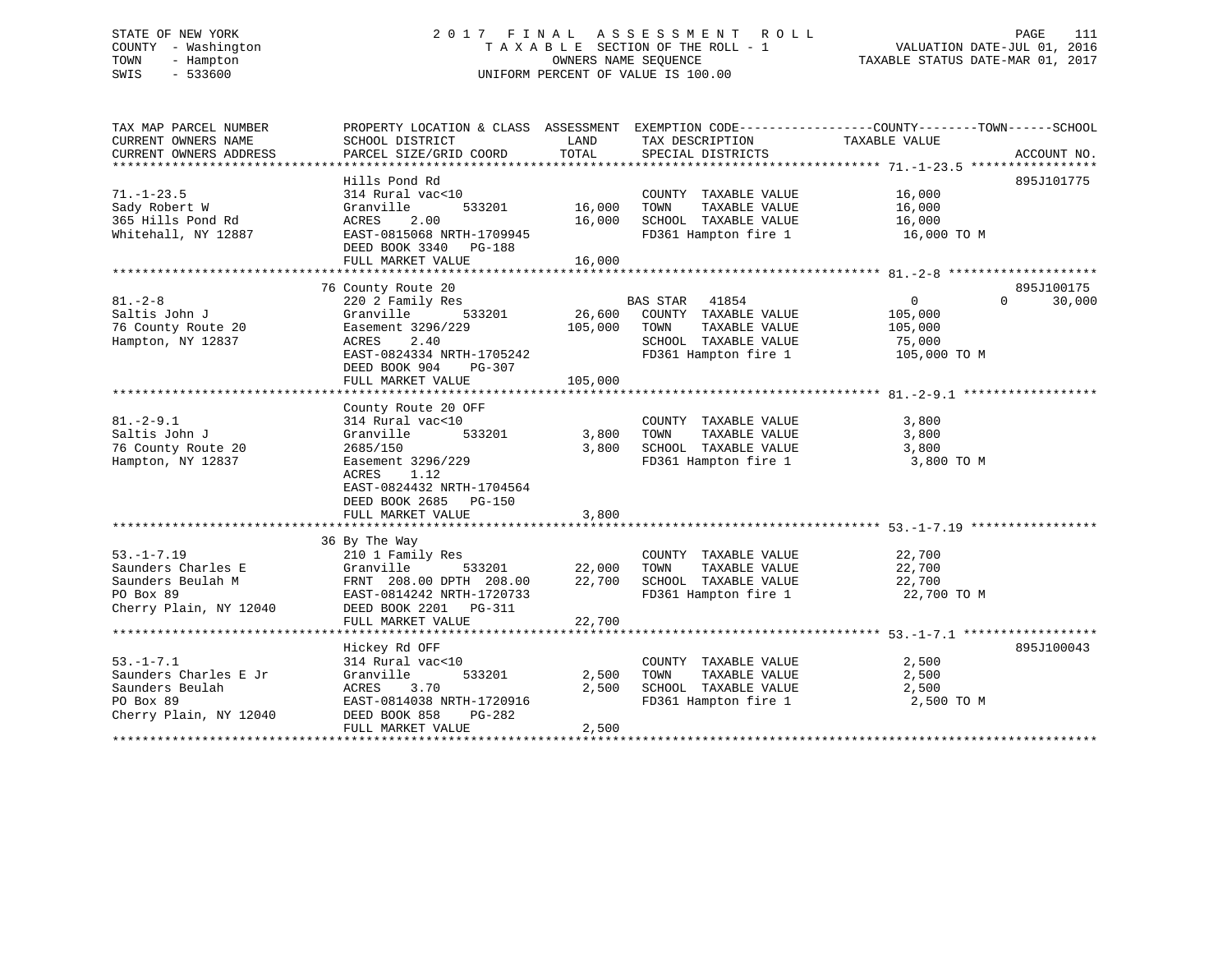# STATE OF NEW YORK 2 0 1 7 F I N A L A S S E S S M E N T R O L L PAGE 111 COUNTY - Washington T A X A B L E SECTION OF THE ROLL - 1 VALUATION DATE-JUL 01, 2016 TOWN - Hampton OWNERS NAME SEQUENCE TAXABLE STATUS DATE-MAR 01, 2017 SWIS - 533600 UNIFORM PERCENT OF VALUE IS 100.00

| TAX MAP PARCEL NUMBER<br>CURRENT OWNERS NAME<br>CURRENT OWNERS ADDRESS                             | PROPERTY LOCATION & CLASS ASSESSMENT<br>SCHOOL DISTRICT<br>PARCEL SIZE/GRID COORD                                                                                    | LAND<br>TOTAL              | TAX DESCRIPTION<br>SPECIAL DISTRICTS                                                                            | EXEMPTION CODE-----------------COUNTY-------TOWN------SCHOOL<br>TAXABLE VALUE | ACCOUNT NO.          |
|----------------------------------------------------------------------------------------------------|----------------------------------------------------------------------------------------------------------------------------------------------------------------------|----------------------------|-----------------------------------------------------------------------------------------------------------------|-------------------------------------------------------------------------------|----------------------|
|                                                                                                    | Hills Pond Rd                                                                                                                                                        |                            |                                                                                                                 |                                                                               | 895J101775           |
| $71. - 1 - 23.5$<br>Sady Robert W<br>365 Hills Pond Rd<br>Whitehall, NY 12887                      | 314 Rural vac<10<br>Granville<br>533201<br>ACRES<br>2.00<br>EAST-0815068 NRTH-1709945<br>DEED BOOK 3340 PG-188<br>FULL MARKET VALUE                                  | 16,000<br>16,000<br>16,000 | COUNTY TAXABLE VALUE<br>TOWN<br>TAXABLE VALUE<br>SCHOOL TAXABLE VALUE<br>FD361 Hampton fire 1                   | 16,000<br>16,000<br>16,000<br>16,000 TO M                                     |                      |
|                                                                                                    |                                                                                                                                                                      |                            |                                                                                                                 |                                                                               |                      |
| $81. - 2 - 8$<br>Saltis John J<br>76 County Route 20<br>Hampton, NY 12837                          | 76 County Route 20<br>220 2 Family Res<br>Granville<br>533201<br>Easement 3296/229<br>ACRES<br>2.40<br>EAST-0824334 NRTH-1705242<br>DEED BOOK 904<br>PG-307          | 26,600<br>105,000          | BAS STAR 41854<br>COUNTY TAXABLE VALUE<br>TAXABLE VALUE<br>TOWN<br>SCHOOL TAXABLE VALUE<br>FD361 Hampton fire 1 | $\overline{0}$<br>$\Omega$<br>105,000<br>105,000<br>75,000<br>105,000 TO M    | 895J100175<br>30,000 |
|                                                                                                    | FULL MARKET VALUE                                                                                                                                                    | 105,000                    |                                                                                                                 |                                                                               |                      |
|                                                                                                    | County Route 20 OFF                                                                                                                                                  |                            |                                                                                                                 |                                                                               |                      |
| $81. - 2 - 9.1$<br>Saltis John J<br>76 County Route 20<br>Hampton, NY 12837                        | 314 Rural vac<10<br>533201<br>Granville<br>2685/150<br>Easement 3296/229<br>ACRES<br>1.12<br>EAST-0824432 NRTH-1704564<br>DEED BOOK 2685 PG-150<br>FULL MARKET VALUE | 3,800<br>3,800<br>3,800    | COUNTY TAXABLE VALUE<br>TAXABLE VALUE<br>TOWN<br>SCHOOL TAXABLE VALUE<br>FD361 Hampton fire 1                   | 3,800<br>3,800<br>3,800<br>3,800 TO M                                         |                      |
|                                                                                                    | 36 By The Way                                                                                                                                                        |                            |                                                                                                                 |                                                                               |                      |
| $53. - 1 - 7.19$<br>Saunders Charles E<br>Saunders Beulah M<br>PO Box 89<br>Cherry Plain, NY 12040 | 210 1 Family Res<br>Granville<br>533201<br>FRNT 208.00 DPTH 208.00<br>EAST-0814242 NRTH-1720733<br>DEED BOOK 2201    PG-311<br>FULL MARKET VALUE                     | 22,000<br>22,700<br>22,700 | COUNTY TAXABLE VALUE<br>TAXABLE VALUE<br>TOWN<br>SCHOOL TAXABLE VALUE<br>FD361 Hampton fire 1                   | 22,700<br>22,700<br>22,700<br>22,700 TO M                                     |                      |
|                                                                                                    |                                                                                                                                                                      |                            |                                                                                                                 |                                                                               |                      |
| $53. - 1 - 7.1$<br>Saunders Charles E Jr<br>Saunders Beulah<br>PO Box 89<br>Cherry Plain, NY 12040 | Hickey Rd OFF<br>314 Rural vac<10<br>533201<br>Granville<br>ACRES 3.70<br>EAST-0814038 NRTH-1720916<br>DEED BOOK 858<br>PG-282<br>FULL MARKET VALUE                  | 2,500<br>2,500<br>2,500    | COUNTY TAXABLE VALUE<br>TOWN<br>TAXABLE VALUE<br>SCHOOL TAXABLE VALUE<br>FD361 Hampton fire 1                   | 2,500<br>2,500<br>2,500<br>2,500 TO M                                         | 895J100043           |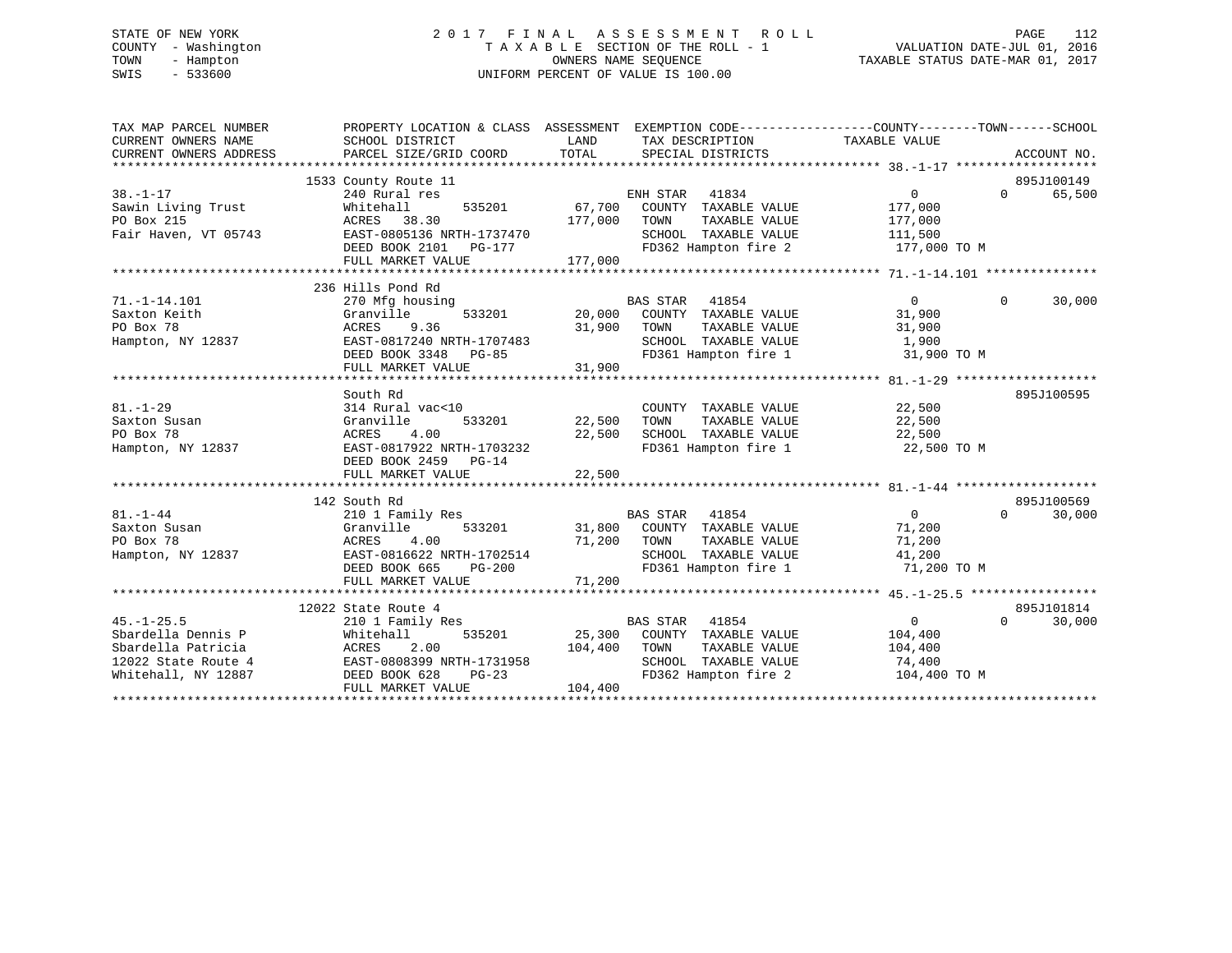# STATE OF NEW YORK 2 0 1 7 F I N A L A S S E S S M E N T R O L L PAGE 112 COUNTY - Washington T A X A B L E SECTION OF THE ROLL - 1 VALUATION DATE-JUL 01, 2016 TOWN - Hampton OWNERS NAME SEQUENCE TAXABLE STATUS DATE-MAR 01, 2017 SWIS - 533600 UNIFORM PERCENT OF VALUE IS 100.00

| TAX MAP PARCEL NUMBER<br>CURRENT OWNERS NAME<br>CURRENT OWNERS ADDRESS                                     | PROPERTY LOCATION & CLASS ASSESSMENT<br>SCHOOL DISTRICT<br>PARCEL SIZE/GRID COORD                                                                             | LAND<br>TOTAL                | EXEMPTION CODE-----------------COUNTY-------TOWN------SCHOOL<br>TAX DESCRIPTION<br>SPECIAL DISTRICTS                             | TAXABLE VALUE                                                   |          | ACCOUNT NO.          |
|------------------------------------------------------------------------------------------------------------|---------------------------------------------------------------------------------------------------------------------------------------------------------------|------------------------------|----------------------------------------------------------------------------------------------------------------------------------|-----------------------------------------------------------------|----------|----------------------|
| $38. - 1 - 17$<br>Sawin Living Trust<br>PO Box 215<br>Fair Haven, VT 05743                                 | 1533 County Route 11<br>240 Rural res<br>Whitehall<br>535201<br>ACRES 38.30<br>EAST-0805136 NRTH-1737470<br>DEED BOOK 2101 PG-177<br>FULL MARKET VALUE        | 67,700<br>177,000<br>177,000 | ENH STAR 41834<br>COUNTY TAXABLE VALUE<br>TAXABLE VALUE<br>TOWN<br>SCHOOL TAXABLE VALUE<br>FD362 Hampton fire 2                  | $\overline{0}$<br>177,000<br>177,000<br>111,500<br>177,000 TO M | $\Omega$ | 895J100149<br>65,500 |
| $71. - 1 - 14.101$<br>Saxton Keith<br>PO Box 78<br>Hampton, NY 12837                                       | 236 Hills Pond Rd<br>270 Mfg housing<br>533201<br>Granville<br>9.36<br>ACRES<br>EAST-0817240 NRTH-1707483<br>DEED BOOK 3348 PG-85<br>FULL MARKET VALUE        | 20,000<br>31,900<br>31,900   | <b>BAS STAR</b><br>41854<br>COUNTY TAXABLE VALUE<br>TAXABLE VALUE<br>TOWN<br>SCHOOL TAXABLE VALUE<br>FD361 Hampton fire 1        | $\overline{0}$<br>31,900<br>31,900<br>1,900<br>31,900 TO M      | $\Omega$ | 30,000               |
| $81. - 1 - 29$<br>Saxton Susan<br>PO Box 78<br>Hampton, NY 12837                                           | South Rd<br>314 Rural vac<10<br>Granville<br>533201<br>ACRES<br>4.00<br>EAST-0817922 NRTH-1703232<br>DEED BOOK 2459 PG-14<br>FULL MARKET VALUE                | 22,500<br>22,500<br>22,500   | COUNTY TAXABLE VALUE<br>TOWN<br>TAXABLE VALUE<br>SCHOOL TAXABLE VALUE<br>FD361 Hampton fire 1                                    | 22,500<br>22,500<br>22,500<br>22,500 TO M                       |          | 895J100595           |
| $81. - 1 - 44$<br>Saxton Susan<br>PO Box 78<br>Hampton, NY 12837                                           | 142 South Rd<br>210 1 Family Res<br>Granville<br>533201<br>ACRES<br>4.00<br>EAST-0816622 NRTH-1702514<br>DEED BOOK 665<br>$PG-200$<br>FULL MARKET VALUE       | 31,800<br>71,200<br>71,200   | <b>BAS STAR</b><br>41854<br>COUNTY TAXABLE VALUE<br>TOWN<br>TAXABLE VALUE<br>SCHOOL TAXABLE VALUE<br>FD361 Hampton fire 1        | $\overline{0}$<br>71,200<br>71,200<br>41,200<br>71,200 TO M     | $\Omega$ | 895J100569<br>30,000 |
| $45. - 1 - 25.5$<br>Sbardella Dennis P<br>Sbardella Patricia<br>12022 State Route 4<br>Whitehall, NY 12887 | 12022 State Route 4<br>210 1 Family Res<br>535201<br>Whitehall<br>2.00<br>ACRES<br>EAST-0808399 NRTH-1731958<br>DEED BOOK 628<br>$PG-23$<br>FULL MARKET VALUE | 104,400<br>104,400           | <b>BAS STAR</b><br>41854<br>25,300 COUNTY TAXABLE VALUE<br>TOWN<br>TAXABLE VALUE<br>SCHOOL TAXABLE VALUE<br>FD362 Hampton fire 2 | $\overline{0}$<br>104,400<br>104,400<br>74,400<br>104,400 TO M  | $\Omega$ | 895J101814<br>30,000 |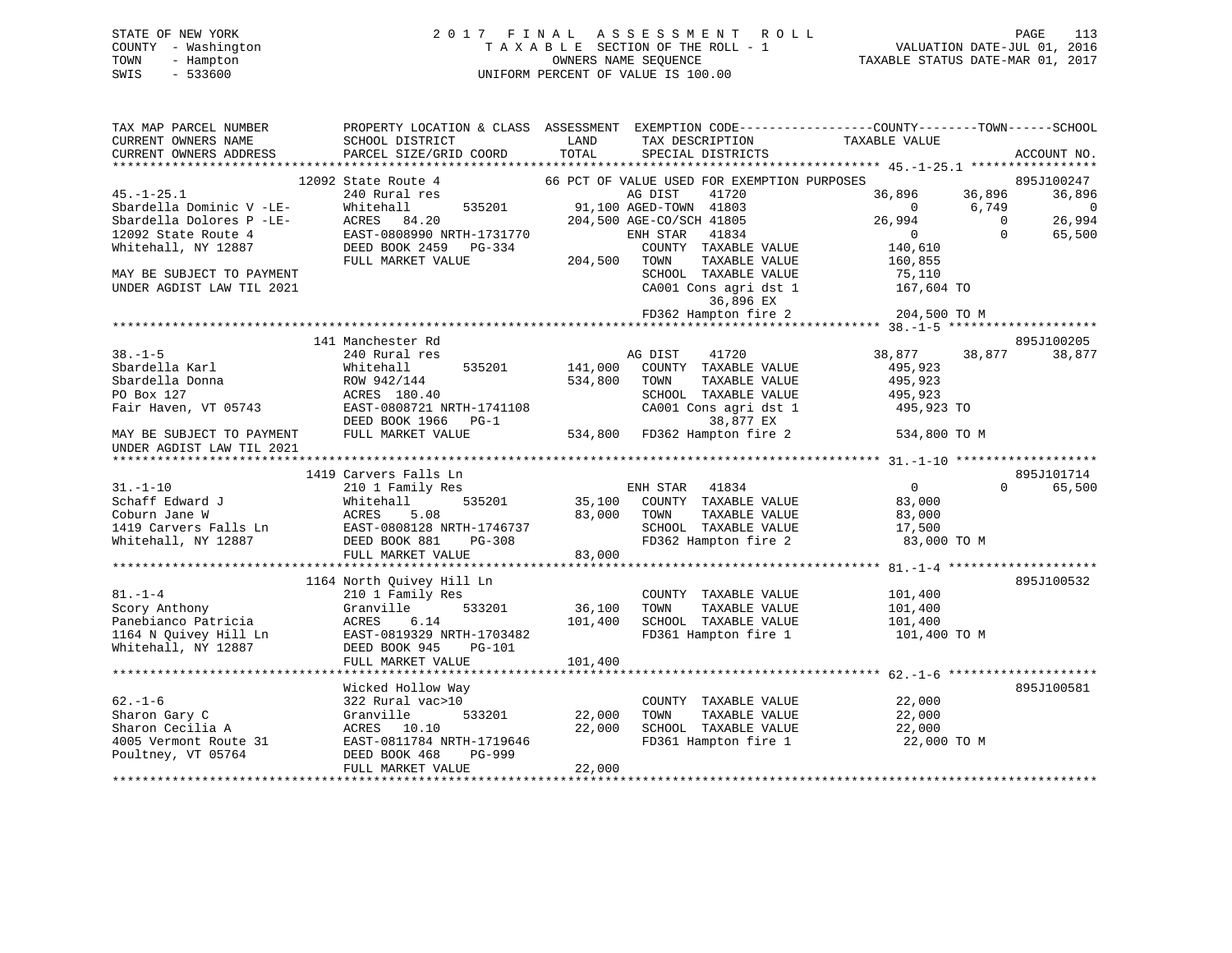# STATE OF NEW YORK 2 0 1 7 F I N A L A S S E S S M E N T R O L L PAGE 113 COUNTY - Washington T A X A B L E SECTION OF THE ROLL - 1 VALUATION DATE-JUL 01, 2016 TOWN - Hampton OWNERS NAME SEQUENCE TAXABLE STATUS DATE-MAR 01, 2017 SWIS - 533600 UNIFORM PERCENT OF VALUE IS 100.00

| TAX MAP PARCEL NUMBER<br>CURRENT OWNERS NAME           | PROPERTY LOCATION & CLASS ASSESSMENT EXEMPTION CODE---------------COUNTY-------TOWN-----SCHOOL<br>SCHOOL DISTRICT | LAND    | TAX DESCRIPTION                               | TAXABLE VALUE      |                     |               |
|--------------------------------------------------------|-------------------------------------------------------------------------------------------------------------------|---------|-----------------------------------------------|--------------------|---------------------|---------------|
| CURRENT OWNERS ADDRESS                                 | PARCEL SIZE/GRID COORD                                                                                            | TOTAL   | SPECIAL DISTRICTS                             |                    |                     | ACCOUNT NO.   |
|                                                        |                                                                                                                   |         |                                               |                    |                     |               |
|                                                        | 12092 State Route 4                                                                                               |         | 66 PCT OF VALUE USED FOR EXEMPTION PURPOSES   |                    |                     | 895J100247    |
| $45. - 1 - 25.1$                                       | 240 Rural res                                                                                                     |         | 41720<br>AG DIST                              | 36,896             | 36,896              | 36,896        |
| Sbardella Dominic V -LE-                               | 535201<br>Whitehall                                                                                               |         | 91,100 AGED-TOWN 41803                        | $\Omega$<br>26,994 | 6,749<br>$\bigcirc$ | - 0<br>26,994 |
| Sbardella Dolores P -LE-<br>12092 State Route 4        | ACRES<br>84.20<br>EAST-0808990 NRTH-1731770                                                                       |         | 204,500 AGE-CO/SCH 41805<br>ENH STAR<br>41834 | $\overline{0}$     | $\Omega$            | 65,500        |
| Whitehall, NY 12887                                    | DEED BOOK 2459<br>PG-334                                                                                          |         | COUNTY TAXABLE VALUE                          | 140,610            |                     |               |
|                                                        | FULL MARKET VALUE                                                                                                 | 204,500 | TOWN<br>TAXABLE VALUE                         | 160,855            |                     |               |
| MAY BE SUBJECT TO PAYMENT                              |                                                                                                                   |         | SCHOOL TAXABLE VALUE                          | 75,110             |                     |               |
| UNDER AGDIST LAW TIL 2021                              |                                                                                                                   |         | CA001 Cons agri dst 1                         | 167,604 TO         |                     |               |
|                                                        |                                                                                                                   |         | 36,896 EX                                     |                    |                     |               |
|                                                        |                                                                                                                   |         | FD362 Hampton fire 2                          | 204,500 TO M       |                     |               |
|                                                        |                                                                                                                   |         |                                               |                    |                     |               |
|                                                        | 141 Manchester Rd                                                                                                 |         |                                               |                    |                     | 895J100205    |
| $38. - 1 - 5$                                          | 240 Rural res                                                                                                     |         | 41720<br>AG DIST                              | 38,877             | 38,877              | 38,877        |
| Sbardella Karl                                         | 535201<br>Whitehall                                                                                               | 141,000 | COUNTY TAXABLE VALUE                          | 495,923            |                     |               |
| Sbardella Donna                                        | ROW 942/144                                                                                                       | 534,800 | TOWN<br>TAXABLE VALUE                         | 495,923            |                     |               |
| PO Box 127                                             | ACRES 180.40                                                                                                      |         | SCHOOL TAXABLE VALUE                          | 495,923            |                     |               |
| Fair Haven, VT 05743                                   | EAST-0808721 NRTH-1741108                                                                                         |         | CA001 Cons agri dst 1                         | 495,923 TO         |                     |               |
|                                                        | DEED BOOK 1966<br>$PG-1$                                                                                          |         | 38,877 EX                                     |                    |                     |               |
| MAY BE SUBJECT TO PAYMENT<br>UNDER AGDIST LAW TIL 2021 | FULL MARKET VALUE                                                                                                 |         | 534,800 FD362 Hampton fire 2                  | 534,800 TO M       |                     |               |
|                                                        |                                                                                                                   |         |                                               |                    |                     |               |
|                                                        | 1419 Carvers Falls Ln                                                                                             |         |                                               |                    |                     | 895J101714    |
| $31. - 1 - 10$                                         | 210 1 Family Res                                                                                                  |         | ENH STAR 41834                                | $\mathbf{0}$       | $\Omega$            | 65,500        |
| Schaff Edward J                                        | 535201<br>Whitehall                                                                                               |         | 35,100 COUNTY TAXABLE VALUE                   | 83,000             |                     |               |
| Coburn Jane W                                          | ACRES<br>5.08                                                                                                     | 83,000  | TOWN<br>TAXABLE VALUE                         | 83,000             |                     |               |
| 1419 Carvers Falls Ln                                  | EAST-0808128 NRTH-1746737                                                                                         |         | SCHOOL TAXABLE VALUE                          | 17,500             |                     |               |
| Whitehall, NY 12887                                    | PG-308<br>DEED BOOK 881                                                                                           |         | FD362 Hampton fire 2                          | 83,000 TO M        |                     |               |
|                                                        | FULL MARKET VALUE                                                                                                 | 83,000  |                                               |                    |                     |               |
|                                                        |                                                                                                                   |         |                                               |                    |                     |               |
| $81. - 1 - 4$                                          | 1164 North Quivey Hill Ln                                                                                         |         |                                               |                    |                     | 895J100532    |
| Scory Anthony                                          | 210 1 Family Res<br>533201                                                                                        | 36,100  | COUNTY TAXABLE VALUE<br>TAXABLE VALUE<br>TOWN | 101,400            |                     |               |
| Panebianco Patricia                                    | Granville<br>6.14<br>ACRES                                                                                        | 101,400 | SCHOOL TAXABLE VALUE                          | 101,400<br>101,400 |                     |               |
| 1164 N Quivey Hill Ln                                  | EAST-0819329 NRTH-1703482                                                                                         |         | FD361 Hampton fire 1                          | 101,400 TO M       |                     |               |
| Whitehall, NY 12887                                    | DEED BOOK 945<br>PG-101                                                                                           |         |                                               |                    |                     |               |
|                                                        | FULL MARKET VALUE                                                                                                 | 101,400 |                                               |                    |                     |               |
|                                                        |                                                                                                                   |         |                                               |                    |                     |               |
|                                                        | Wicked Hollow Way                                                                                                 |         |                                               |                    |                     | 895J100581    |
| $62 - 1 - 6$                                           | 322 Rural vac>10                                                                                                  |         | COUNTY TAXABLE VALUE                          | 22,000             |                     |               |
| Sharon Gary C                                          | Granville<br>533201                                                                                               | 22,000  | TOWN<br>TAXABLE VALUE                         | 22,000             |                     |               |
| Sharon Cecilia A                                       | ACRES 10.10                                                                                                       | 22,000  | SCHOOL TAXABLE VALUE                          | 22,000             |                     |               |
| 4005 Vermont Route 31                                  | EAST-0811784 NRTH-1719646                                                                                         |         | FD361 Hampton fire 1                          | 22,000 TO M        |                     |               |
| Poultney, VT 05764                                     | DEED BOOK 468<br>PG-999                                                                                           |         |                                               |                    |                     |               |
|                                                        | FULL MARKET VALUE                                                                                                 | 22,000  |                                               |                    |                     |               |
|                                                        |                                                                                                                   |         |                                               |                    |                     |               |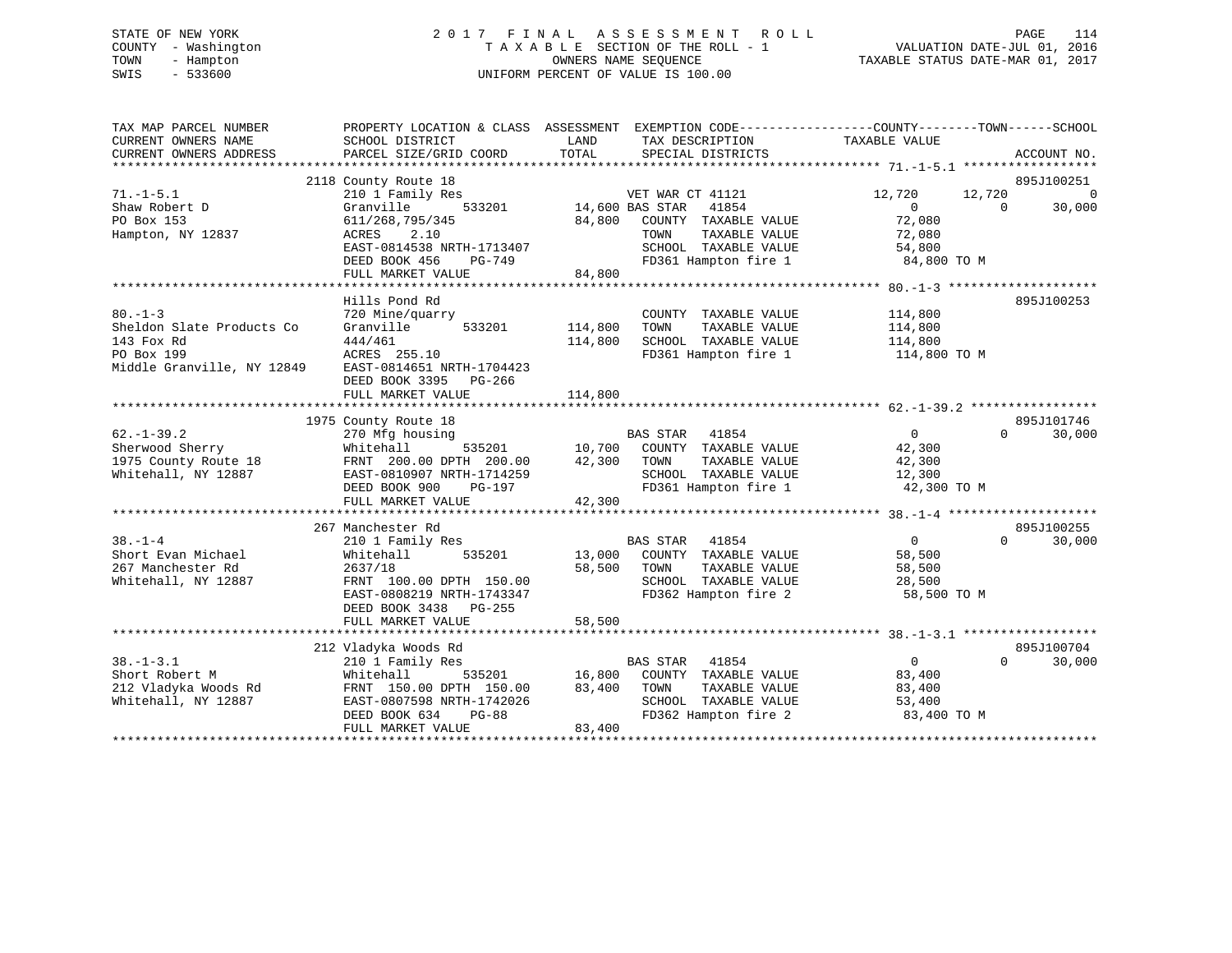# STATE OF NEW YORK 2 0 1 7 F I N A L A S S E S S M E N T R O L L PAGE 114 COUNTY - Washington T A X A B L E SECTION OF THE ROLL - 1 VALUATION DATE-JUL 01, 2016 TOWN - Hampton OWNERS NAME SEQUENCE TAXABLE STATUS DATE-MAR 01, 2017 SWIS - 533600 UNIFORM PERCENT OF VALUE IS 100.00

| TAX MAP PARCEL NUMBER<br>CURRENT OWNERS NAME<br>CURRENT OWNERS ADDRESS               | SCHOOL DISTRICT<br>PARCEL SIZE/GRID COORD                                                                                                                                                         | PROPERTY LOCATION & CLASS ASSESSMENT EXEMPTION CODE---------------COUNTY-------TOWN-----SCHOOL<br>LAND<br>TAX DESCRIPTION<br>TOTAL<br>SPECIAL DISTRICTS           | TAXABLE VALUE<br>ACCOUNT NO.                                                                                                            |
|--------------------------------------------------------------------------------------|---------------------------------------------------------------------------------------------------------------------------------------------------------------------------------------------------|-------------------------------------------------------------------------------------------------------------------------------------------------------------------|-----------------------------------------------------------------------------------------------------------------------------------------|
| $71. - 1 - 5.1$<br>Shaw Robert D<br>PO Box 153<br>Hampton, NY 12837<br>$80. - 1 - 3$ | 2118 County Route 18<br>210 1 Family Res<br>533201<br>Granville<br>611/268,795/345<br>ACRES<br>2.10<br>EAST-0814538 NRTH-1713407<br>DEED BOOK 456<br>PG-749<br>FULL MARKET VALUE<br>Hills Pond Rd | VET WAR CT 41121<br>14,600 BAS STAR<br>41854<br>84,800<br>COUNTY TAXABLE VALUE<br>TAXABLE VALUE<br>TOWN<br>SCHOOL TAXABLE VALUE<br>FD361 Hampton fire 1<br>84,800 | 895J100251<br>12,720<br>$\Omega$<br>12,720<br>$\Omega$<br>$\Omega$<br>30,000<br>72,080<br>72,080<br>54,800<br>84,800 TO M<br>895J100253 |
| Sheldon Slate Products Co<br>143 Fox Rd<br>PO Box 199<br>Middle Granville, NY 12849  | 720 Mine/quarry<br>Granville<br>533201<br>444/461<br>ACRES 255.10<br>EAST-0814651 NRTH-1704423<br>DEED BOOK 3395 PG-266<br>FULL MARKET VALUE                                                      | COUNTY TAXABLE VALUE<br>114,800<br>TOWN<br>TAXABLE VALUE<br>114,800<br>SCHOOL TAXABLE VALUE<br>FD361 Hampton fire 1<br>114,800                                    | 114,800<br>114,800<br>114,800<br>114,800 TO M                                                                                           |
| $62. - 1 - 39.2$<br>Sherwood Sherry<br>1975 County Route 18<br>Whitehall, NY 12887   | 1975 County Route 18<br>270 Mfg housing<br>535201<br>Whitehall<br>FRNT 200.00 DPTH 200.00<br>EAST-0810907 NRTH-1714259<br>DEED BOOK 900<br>PG-197<br>FULL MARKET VALUE                            | BAS STAR 41854<br>10,700 COUNTY TAXABLE VALUE<br>42,300<br>TAXABLE VALUE<br>TOWN<br>SCHOOL TAXABLE VALUE<br>FD361 Hampton fire 1<br>42,300                        | 895J101746<br>$\overline{0}$<br>$\Omega$<br>30,000<br>42,300<br>42,300<br>12,300<br>42,300 TO M                                         |
| $38. - 1 - 4$<br>Short Evan Michael<br>267 Manchester Rd<br>Whitehall, NY 12887      | 267 Manchester Rd<br>210 1 Family Res<br>Whitehall<br>535201<br>2637/18<br>FRNT 100.00 DPTH 150.00<br>EAST-0808219 NRTH-1743347<br>DEED BOOK 3438 PG-255<br>FULL MARKET VALUE                     | BAS STAR 41854<br>13,000 COUNTY TAXABLE VALUE<br>58,500<br>TOWN<br>TAXABLE VALUE<br>SCHOOL TAXABLE VALUE<br>FD362 Hampton fire 2<br>58,500                        | 895J100255<br>$\Omega$<br>$\Omega$<br>30,000<br>58,500<br>58,500<br>28,500<br>58,500 TO M                                               |
| $38. - 1 - 3.1$<br>Short Robert M<br>212 Vladyka Woods Rd<br>Whitehall, NY 12887     | 212 Vladyka Woods Rd<br>210 1 Family Res<br>Whitehall<br>535201<br>FRNT 150.00 DPTH 150.00<br>EAST-0807598 NRTH-1742026<br>DEED BOOK 634<br>$PG-88$<br>FULL MARKET VALUE                          | <b>BAS STAR</b><br>41854<br>COUNTY TAXABLE VALUE<br>16,800<br>83,400<br>TOWN<br>TAXABLE VALUE<br>SCHOOL TAXABLE VALUE<br>FD362 Hampton fire 2<br>83,400           | 895J100704<br>$\overline{0}$<br>$\Omega$<br>30,000<br>83,400<br>83,400<br>53,400<br>83,400 TO M                                         |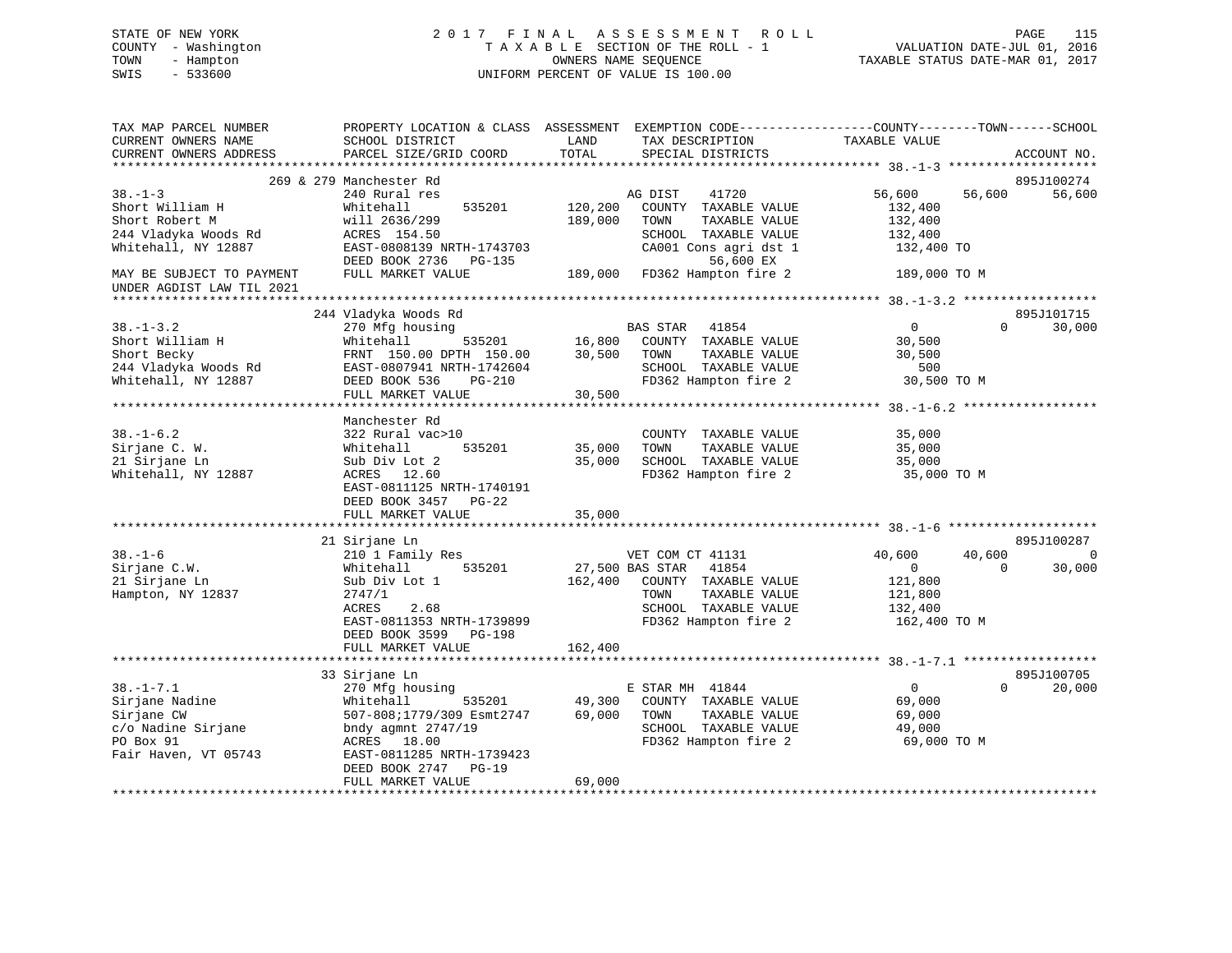| STATE OF NEW YORK   | 2017 FINAL ASSESSMENT ROLL         | PAGE                             | 115 |
|---------------------|------------------------------------|----------------------------------|-----|
| COUNTY - Washington | TAXABLE SECTION OF THE ROLL - 1    | VALUATION DATE-JUL 01, 2016      |     |
| TOWN<br>- Hampton   | OWNERS NAME SEOUENCE               | TAXABLE STATUS DATE-MAR 01, 2017 |     |
| - 533600<br>SWIS    | UNIFORM PERCENT OF VALUE IS 100.00 |                                  |     |
|                     |                                    |                                  |     |

| TAX MAP PARCEL NUMBER     | PROPERTY LOCATION & CLASS ASSESSMENT EXEMPTION CODE---------------COUNTY-------TOWN-----SCHOOL |               |                              |                |          |             |
|---------------------------|------------------------------------------------------------------------------------------------|---------------|------------------------------|----------------|----------|-------------|
| CURRENT OWNERS NAME       | SCHOOL DISTRICT                                                                                | LAND          | TAX DESCRIPTION              | TAXABLE VALUE  |          |             |
| CURRENT OWNERS ADDRESS    | PARCEL SIZE/GRID COORD                                                                         | TOTAL         | SPECIAL DISTRICTS            |                |          | ACCOUNT NO. |
|                           | 269 & 279 Manchester Rd                                                                        |               |                              |                |          | 895J100274  |
| $38. - 1 - 3$             | 240 Rural res                                                                                  |               | AG DIST<br>41720             | 56,600         | 56,600   | 56,600      |
| Short William H           | 535201<br>Whitehall                                                                            | 120,200       | COUNTY TAXABLE VALUE         | 132,400        |          |             |
| Short Robert M            | will 2636/299                                                                                  | 189,000       | TOWN<br>TAXABLE VALUE        | 132,400        |          |             |
| 244 Vladyka Woods Rd      | ACRES 154.50                                                                                   |               | SCHOOL TAXABLE VALUE         | 132,400        |          |             |
| Whitehall, NY 12887       | EAST-0808139 NRTH-1743703                                                                      |               | CA001 Cons agri dst 1        | 132,400 TO     |          |             |
|                           | DEED BOOK 2736 PG-135                                                                          |               | 56,600 EX                    |                |          |             |
| MAY BE SUBJECT TO PAYMENT | FULL MARKET VALUE                                                                              |               | 189,000 FD362 Hampton fire 2 | 189,000 TO M   |          |             |
| UNDER AGDIST LAW TIL 2021 |                                                                                                |               |                              |                |          |             |
|                           |                                                                                                |               |                              |                |          |             |
|                           | 244 Vladyka Woods Rd                                                                           |               |                              |                |          | 895J101715  |
| $38. - 1 - 3.2$           | 270 Mfg housing                                                                                |               | BAS STAR 41854               | $\overline{0}$ | $\Omega$ | 30,000      |
| Short William H           | Whitehall<br>535201                                                                            | 16,800        | COUNTY TAXABLE VALUE         | 30,500         |          |             |
| Short Becky               | FRNT 150.00 DPTH 150.00                                                                        | 30,500        | TOWN<br>TAXABLE VALUE        | 30,500         |          |             |
| 244 Vladyka Woods Rd      | EAST-0807941 NRTH-1742604                                                                      |               | SCHOOL TAXABLE VALUE         | 500            |          |             |
| Whitehall, NY 12887       | DEED BOOK 536<br>$PG-210$                                                                      |               | FD362 Hampton fire 2         | 30,500 TO M    |          |             |
|                           | FULL MARKET VALUE                                                                              | 30,500        |                              |                |          |             |
|                           |                                                                                                |               |                              |                |          |             |
|                           | Manchester Rd                                                                                  |               |                              |                |          |             |
| $38. - 1 - 6.2$           | 322 Rural vac>10                                                                               |               | COUNTY TAXABLE VALUE         | 35,000         |          |             |
| Sirjane C. W.             | 535201<br>Whitehall                                                                            | 35,000        | TOWN<br>TAXABLE VALUE        | 35,000         |          |             |
| 21 Sirjane Ln             | Sub Div Lot 2                                                                                  | 35,000        | SCHOOL TAXABLE VALUE         | 35,000         |          |             |
| Whitehall, NY 12887       | ACRES 12.60                                                                                    |               | FD362 Hampton fire 2         | 35,000 TO M    |          |             |
|                           | EAST-0811125 NRTH-1740191                                                                      |               |                              |                |          |             |
|                           | DEED BOOK 3457 PG-22                                                                           |               |                              |                |          |             |
|                           | FULL MARKET VALUE                                                                              | 35,000        |                              |                |          |             |
|                           | *************************                                                                      | ************* |                              |                |          |             |
|                           | 21 Sirjane Ln                                                                                  |               |                              |                |          | 895J100287  |
| $38. - 1 - 6$             | 210 1 Family Res                                                                               |               | VET COM CT 41131             | 40,600         | 40,600   | $\mathbf 0$ |
| Sirjane C.W.              | 535201<br>Whitehall                                                                            |               | 27,500 BAS STAR 41854        | $\overline{0}$ | $\Omega$ | 30,000      |
| 21 Sirjane Ln             | Sub Div Lot 1                                                                                  | 162,400       | COUNTY TAXABLE VALUE         | 121,800        |          |             |
| Hampton, NY 12837         | 2747/1                                                                                         |               | TOWN<br>TAXABLE VALUE        | 121,800        |          |             |
|                           | ACRES<br>2.68                                                                                  |               | SCHOOL TAXABLE VALUE         | 132,400        |          |             |
|                           | EAST-0811353 NRTH-1739899                                                                      |               | FD362 Hampton fire 2         | 162,400 TO M   |          |             |
|                           | DEED BOOK 3599 PG-198                                                                          |               |                              |                |          |             |
|                           | FULL MARKET VALUE                                                                              | 162,400       |                              |                |          |             |
|                           |                                                                                                |               |                              |                |          |             |
|                           | 33 Sirjane Ln                                                                                  |               |                              |                |          | 895J100705  |
| $38. - 1 - 7.1$           | 270 Mfg housing                                                                                |               | E STAR MH 41844              | $\overline{0}$ | $\Omega$ | 20,000      |
| Sirjane Nadine            | Whitehall<br>535201                                                                            | 49,300        | COUNTY TAXABLE VALUE         | 69,000         |          |             |
| Sirjane CW                | 507-808;1779/309 Esmt2747                                                                      | 69,000        | TAXABLE VALUE<br>TOWN        | 69,000         |          |             |
| c/o Nadine Sirjane        | bndy agmnt 2747/19                                                                             |               | SCHOOL TAXABLE VALUE         | 49,000         |          |             |
| PO Box 91                 | ACRES 18.00                                                                                    |               | FD362 Hampton fire 2         | 69,000 TO M    |          |             |
| Fair Haven, VT 05743      | EAST-0811285 NRTH-1739423                                                                      |               |                              |                |          |             |
|                           | DEED BOOK 2747<br>$PG-19$<br>FULL MARKET VALUE                                                 | 69,000        |                              |                |          |             |
|                           |                                                                                                |               |                              |                |          |             |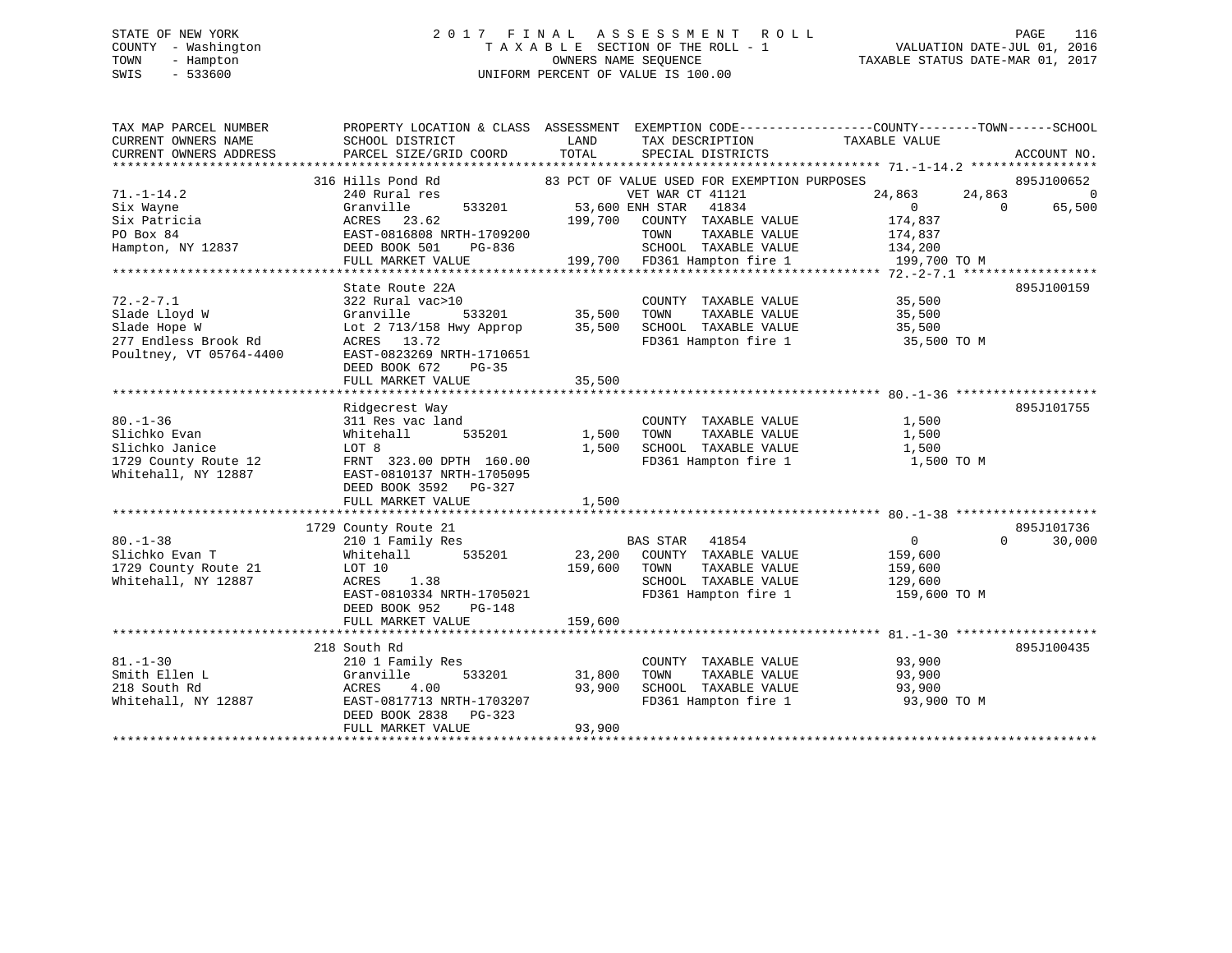# STATE OF NEW YORK 2 0 1 7 F I N A L A S S E S S M E N T R O L L PAGE 116 COUNTY - Washington T A X A B L E SECTION OF THE ROLL - 1 VALUATION DATE-JUL 01, 2016 TOWN - Hampton OWNERS NAME SEQUENCE TAXABLE STATUS DATE-MAR 01, 2017 SWIS - 533600 UNIFORM PERCENT OF VALUE IS 100.00

| TAX MAP PARCEL NUMBER   | PROPERTY LOCATION & CLASS ASSESSMENT EXEMPTION CODE----------------COUNTY-------TOWN------SCHOOL |               |                                             |                |                    |
|-------------------------|--------------------------------------------------------------------------------------------------|---------------|---------------------------------------------|----------------|--------------------|
| CURRENT OWNERS NAME     | SCHOOL DISTRICT                                                                                  | LAND          | TAX DESCRIPTION                             | TAXABLE VALUE  |                    |
| CURRENT OWNERS ADDRESS  | PARCEL SIZE/GRID COORD                                                                           | TOTAL         | SPECIAL DISTRICTS                           |                | ACCOUNT NO.        |
|                         |                                                                                                  |               |                                             |                |                    |
|                         | 316 Hills Pond Rd                                                                                |               | 83 PCT OF VALUE USED FOR EXEMPTION PURPOSES |                | 895J100652         |
| $71. - 1 - 14.2$        | 240 Rural res                                                                                    |               | VET WAR CT 41121                            | 24,863         | 24,863 0           |
| Six Wayne               | Granville<br>533201                                                                              |               | 53,600 ENH STAR 41834                       | $\overline{0}$ | 65,500<br>$\Omega$ |
| Six Patricia            | ACRES 23.62                                                                                      | 199,700       | COUNTY TAXABLE VALUE                        | 174,837        |                    |
| PO Box 84               | EAST-0816808 NRTH-1709200                                                                        |               | TOWN<br>TAXABLE VALUE                       | 174,837        |                    |
| Hampton, NY 12837       | DEED BOOK 501<br>PG-836                                                                          |               | SCHOOL TAXABLE VALUE                        | 134,200        |                    |
|                         | FULL MARKET VALUE                                                                                |               | 199,700 FD361 Hampton fire 1                | 199,700 TO M   |                    |
|                         |                                                                                                  |               |                                             |                |                    |
|                         | State Route 22A                                                                                  |               |                                             |                | 895J100159         |
| $72. - 2 - 7.1$         | 322 Rural vac>10                                                                                 |               | COUNTY TAXABLE VALUE                        | 35,500         |                    |
| Slade Lloyd W           | Granville                                                                                        | 533201 35,500 | TAXABLE VALUE<br>TOWN                       | 35,500         |                    |
| Slade Hope W            | Lot 2 713/158 Hwy Approp                                                                         | 35,500        | SCHOOL TAXABLE VALUE                        | 35,500         |                    |
| 277 Endless Brook Rd    | ACRES 13.72                                                                                      |               | FD361 Hampton fire 1                        | 35,500 TO M    |                    |
| Poultney, VT 05764-4400 | EAST-0823269 NRTH-1710651                                                                        |               |                                             |                |                    |
|                         | DEED BOOK 672<br>PG-35                                                                           |               |                                             |                |                    |
|                         | FULL MARKET VALUE                                                                                | 35,500        |                                             |                |                    |
|                         |                                                                                                  |               |                                             |                |                    |
|                         | Ridgecrest Way                                                                                   |               |                                             |                | 895J101755         |
| $80. - 1 - 36$          | 311 Res vac land                                                                                 |               | COUNTY TAXABLE VALUE                        | 1,500          |                    |
| Slichko Evan            | 535201<br>Whitehall                                                                              | 1,500         | TOWN<br>TAXABLE VALUE                       | 1,500          |                    |
| Slichko Janice          | LOT 8                                                                                            | 1,500         | SCHOOL TAXABLE VALUE                        | 1,500          |                    |
| 1729 County Route 12    | FRNT 323.00 DPTH 160.00                                                                          |               | FD361 Hampton fire 1                        | 1,500 TO M     |                    |
| Whitehall, NY 12887     | EAST-0810137 NRTH-1705095                                                                        |               |                                             |                |                    |
|                         | DEED BOOK 3592 PG-327                                                                            |               |                                             |                |                    |
|                         | FULL MARKET VALUE                                                                                | 1,500         |                                             |                |                    |
|                         |                                                                                                  |               |                                             |                |                    |
|                         | 1729 County Route 21                                                                             |               |                                             |                | 895J101736         |
| $80. - 1 - 38$          | 210 1 Family Res                                                                                 |               | BAS STAR 41854                              | $\overline{0}$ | $\Omega$<br>30,000 |
| Slichko Evan T          | 535201<br>Whitehall                                                                              |               | 23,200 COUNTY TAXABLE VALUE                 | 159,600        |                    |
| 1729 County Route 21    | LOT 10                                                                                           | 159,600       | TOWN<br>TAXABLE VALUE                       | 159,600        |                    |
| Whitehall, NY 12887     | ACRES<br>1.38                                                                                    |               | SCHOOL TAXABLE VALUE                        | 129,600        |                    |
|                         | EAST-0810334 NRTH-1705021                                                                        |               | FD361 Hampton fire 1                        | 159,600 TO M   |                    |
|                         | DEED BOOK 952<br>$PG-148$                                                                        |               |                                             |                |                    |
|                         | FULL MARKET VALUE                                                                                | 159,600       |                                             |                |                    |
|                         |                                                                                                  |               |                                             |                |                    |
|                         | 218 South Rd                                                                                     |               |                                             |                | 895J100435         |
| $81. - 1 - 30$          | 210 1 Family Res                                                                                 |               | COUNTY TAXABLE VALUE                        | 93,900         |                    |
| Smith Ellen L           | 533201<br>Granville                                                                              | 31,800        | TOWN<br>TAXABLE VALUE                       | 93,900         |                    |
| 218 South Rd            | ACRES 4.00                                                                                       | 93,900        | SCHOOL TAXABLE VALUE                        | 93,900         |                    |
| Whitehall, NY 12887     | EAST-0817713 NRTH-1703207                                                                        |               | FD361 Hampton fire 1                        | 93,900 TO M    |                    |
|                         | DEED BOOK 2838<br>PG-323                                                                         |               |                                             |                |                    |
|                         | FULL MARKET VALUE                                                                                | 93,900        |                                             |                |                    |
|                         |                                                                                                  |               |                                             |                |                    |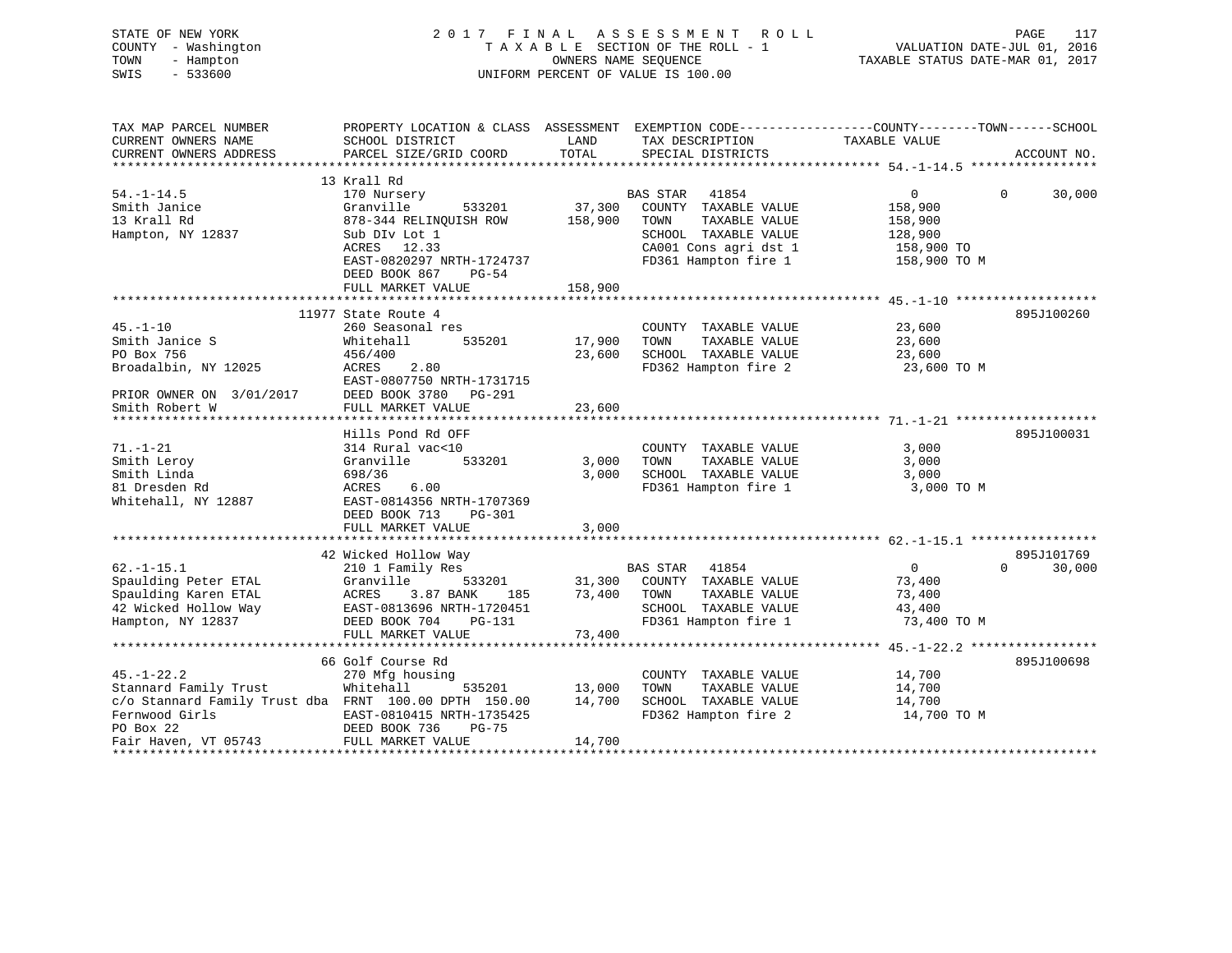| STATE OF NEW YORK<br>COUNTY - Washington<br>TOWN<br>- Hampton<br>$-533600$<br>SWIS | 2017 FINAL ASSESSMENT ROLL<br>TAXABLE SECTION OF THE ROLL - 1<br>OWNERS NAME SEQUENCE<br>UNIFORM PERCENT OF VALUE IS 100.00 |         |                       | PAGE<br>117<br>VALUATION DATE-JUL 01, 2016<br>TAXABLE STATUS DATE-MAR 01, 2017                                    |  |
|------------------------------------------------------------------------------------|-----------------------------------------------------------------------------------------------------------------------------|---------|-----------------------|-------------------------------------------------------------------------------------------------------------------|--|
| TAX MAP PARCEL NUMBER<br>CURRENT OWNERS NAME                                       | SCHOOL DISTRICT                                                                                                             | LAND    | TAX DESCRIPTION       | PROPERTY LOCATION & CLASS ASSESSMENT EXEMPTION CODE----------------COUNTY-------TOWN------SCHOOL<br>TAXABLE VALUE |  |
| CURRENT OWNERS ADDRESS                                                             | PARCEL SIZE/GRID COORD                                                                                                      | TOTAL   | SPECIAL DISTRICTS     | ACCOUNT NO.                                                                                                       |  |
|                                                                                    |                                                                                                                             |         |                       |                                                                                                                   |  |
|                                                                                    | 13 Krall Rd                                                                                                                 |         |                       |                                                                                                                   |  |
| $54. - 1 - 14.5$                                                                   | 170 Nursery                                                                                                                 |         | BAS STAR<br>41854     | $\Omega$<br>$\mathbf{0}$<br>30,000                                                                                |  |
| Smith Janice                                                                       | Granville<br>533201                                                                                                         | 37,300  | COUNTY TAXABLE VALUE  | 158,900                                                                                                           |  |
| 13 Krall Rd                                                                        | 878-344 RELINQUISH ROW                                                                                                      | 158,900 | TOWN<br>TAXABLE VALUE | 158,900                                                                                                           |  |
| Hampton, NY 12837                                                                  | Sub DIv Lot 1                                                                                                               |         | SCHOOL TAXABLE VALUE  | 128,900                                                                                                           |  |
|                                                                                    | ACRES 12.33                                                                                                                 |         | CA001 Cons agri dst 1 | 158,900 TO                                                                                                        |  |
|                                                                                    | EAST-0820297 NRTH-1724737                                                                                                   |         | FD361 Hampton fire 1  | 158,900 TO M                                                                                                      |  |
|                                                                                    | DEED BOOK 867<br>PG-54                                                                                                      |         |                       |                                                                                                                   |  |
|                                                                                    | FULL MARKET VALUE<br>************************                                                                               | 158,900 |                       |                                                                                                                   |  |
|                                                                                    | 11977 State Route 4                                                                                                         |         |                       | 895J100260                                                                                                        |  |
| $45. - 1 - 10$                                                                     | 260 Seasonal res                                                                                                            |         | COUNTY TAXABLE VALUE  | 23,600                                                                                                            |  |
| Smith Janice S                                                                     | 535201<br>Whitehall                                                                                                         | 17,900  | TAXABLE VALUE<br>TOWN | 23,600                                                                                                            |  |
| PO Box 756                                                                         | 456/400                                                                                                                     | 23,600  | SCHOOL TAXABLE VALUE  | 23,600                                                                                                            |  |
| Broadalbin, NY 12025                                                               | ACRES<br>2.80                                                                                                               |         | FD362 Hampton fire 2  | 23,600 TO M                                                                                                       |  |
|                                                                                    | EAST-0807750 NRTH-1731715                                                                                                   |         |                       |                                                                                                                   |  |
| PRIOR OWNER ON 3/01/2017                                                           | DEED BOOK 3780 PG-291                                                                                                       |         |                       |                                                                                                                   |  |
| Smith Robert W                                                                     | FULL MARKET VALUE                                                                                                           | 23,600  |                       |                                                                                                                   |  |
|                                                                                    |                                                                                                                             |         |                       |                                                                                                                   |  |
|                                                                                    | Hills Pond Rd OFF                                                                                                           |         |                       | 895J100031                                                                                                        |  |
| $71. - 1 - 21$                                                                     | 314 Rural vac<10                                                                                                            |         | COUNTY TAXABLE VALUE  | 3,000                                                                                                             |  |
| Smith Leroy                                                                        | 533201<br>Granville                                                                                                         | 3,000   | TAXABLE VALUE<br>TOWN | 3,000                                                                                                             |  |
| Smith Linda                                                                        | 698/36                                                                                                                      | 3,000   | SCHOOL TAXABLE VALUE  | 3,000                                                                                                             |  |
| 81 Dresden Rd                                                                      | ACRES<br>6.00                                                                                                               |         | FD361 Hampton fire 1  | 3,000 TO M                                                                                                        |  |
| Whitehall, NY 12887                                                                | EAST-0814356 NRTH-1707369                                                                                                   |         |                       |                                                                                                                   |  |
|                                                                                    | DEED BOOK 713<br>$PG-301$                                                                                                   |         |                       |                                                                                                                   |  |
|                                                                                    | FULL MARKET VALUE                                                                                                           | 3,000   |                       |                                                                                                                   |  |
|                                                                                    | 42 Wicked Hollow Way                                                                                                        |         |                       | 895J101769                                                                                                        |  |
| $62. -1 - 15.1$                                                                    | 210 1 Family Res                                                                                                            |         | BAS STAR<br>41854     | 30,000<br>$\overline{0}$<br>$\Omega$                                                                              |  |
| Spaulding Peter ETAL                                                               | Granville<br>533201                                                                                                         | 31,300  | COUNTY TAXABLE VALUE  | 73,400                                                                                                            |  |
| Spaulding Karen ETAL                                                               | ACRES<br>3.87 BANK<br>185                                                                                                   | 73,400  | TOWN<br>TAXABLE VALUE | 73,400                                                                                                            |  |
| 42 Wicked Hollow Way                                                               | EAST-0813696 NRTH-1720451                                                                                                   |         | SCHOOL TAXABLE VALUE  | 43,400                                                                                                            |  |
| Hampton, NY 12837                                                                  | DEED BOOK 704<br>PG-131                                                                                                     |         | FD361 Hampton fire 1  | 73,400 TO M                                                                                                       |  |
|                                                                                    | FULL MARKET VALUE                                                                                                           | 73,400  |                       |                                                                                                                   |  |
|                                                                                    |                                                                                                                             |         |                       |                                                                                                                   |  |
|                                                                                    | 66 Golf Course Rd                                                                                                           |         |                       | 895J100698                                                                                                        |  |
| $45. - 1 - 22.2$                                                                   | 270 Mfg housing                                                                                                             |         | COUNTY TAXABLE VALUE  | 14,700                                                                                                            |  |
| Stannard Family Trust                                                              | Whitehall<br>535201                                                                                                         | 13,000  | TAXABLE VALUE<br>TOWN | 14,700                                                                                                            |  |
| c/o Stannard Family Trust dba FRNT 100.00 DPTH 150.00                              |                                                                                                                             | 14,700  | SCHOOL TAXABLE VALUE  | 14,700                                                                                                            |  |
| Fernwood Girls                                                                     | EAST-0810415 NRTH-1735425                                                                                                   |         | FD362 Hampton fire 2  | 14,700 TO M                                                                                                       |  |
| PO Box 22                                                                          | DEED BOOK 736<br>PG-75                                                                                                      |         |                       |                                                                                                                   |  |
| Fair Haven, VT 05743                                                               | FULL MARKET VALUE                                                                                                           | 14,700  |                       |                                                                                                                   |  |

\*\*\*\*\*\*\*\*\*\*\*\*\*\*\*\*\*\*\*\*\*\*\*\*\*\*\*\*\*\*\*\*\*\*\*\*\*\*\*\*\*\*\*\*\*\*\*\*\*\*\*\*\*\*\*\*\*\*\*\*\*\*\*\*\*\*\*\*\*\*\*\*\*\*\*\*\*\*\*\*\*\*\*\*\*\*\*\*\*\*\*\*\*\*\*\*\*\*\*\*\*\*\*\*\*\*\*\*\*\*\*\*\*\*\*\*\*\*\*\*\*\*\*\*\*\*\*\*\*\*\*\*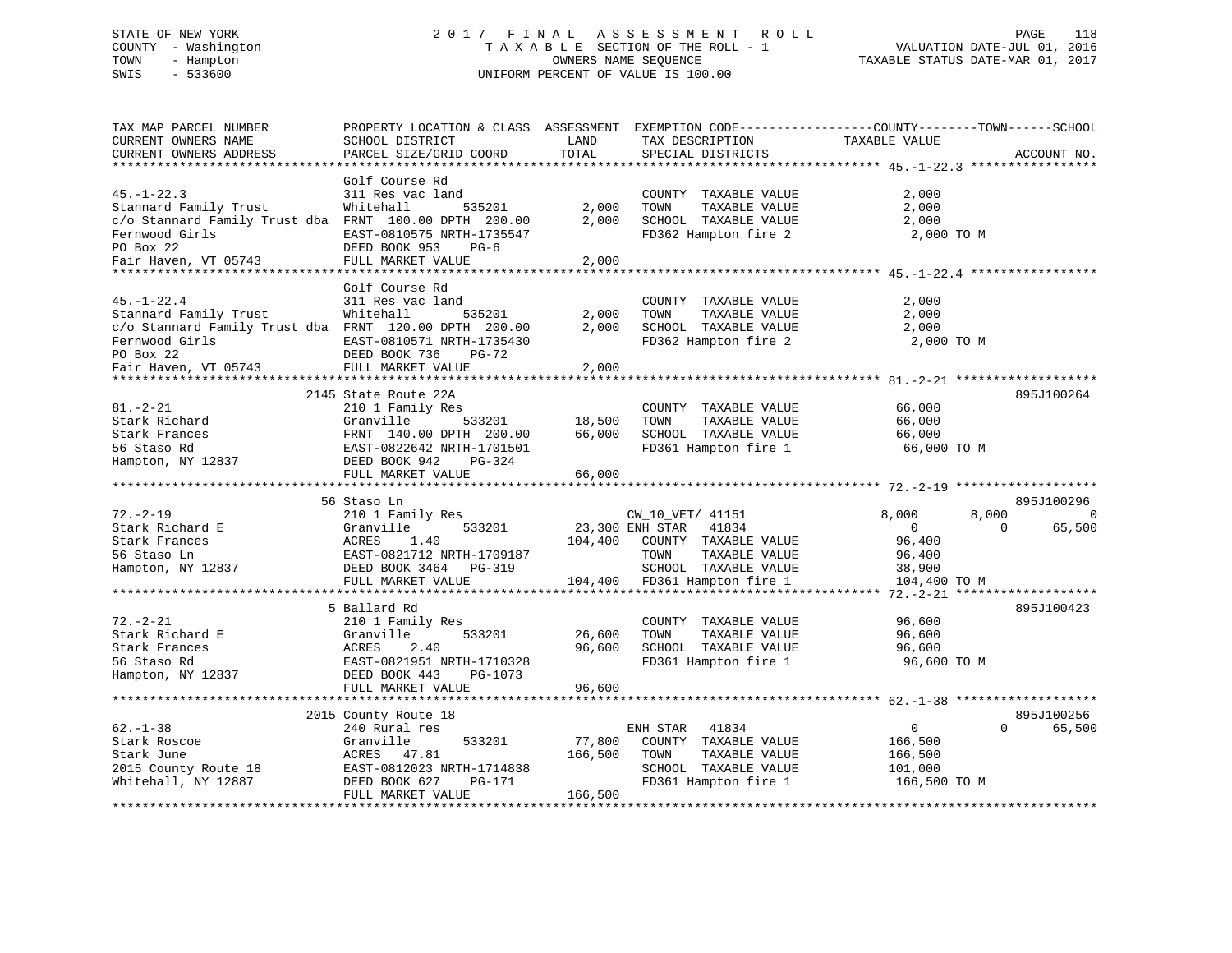# STATE OF NEW YORK 2 0 1 7 F I N A L A S S E S S M E N T R O L L PAGE 118 COUNTY - Washington T A X A B L E SECTION OF THE ROLL - 1 VALUATION DATE-JUL 01, 2016 TOWN - Hampton OWNERS NAME SEQUENCE TAXABLE STATUS DATE-MAR 01, 2017 SWIS - 533600 UNIFORM PERCENT OF VALUE IS 100.00UNIFORM PERCENT OF VALUE IS 100.00

| TAX MAP PARCEL NUMBER<br>CURRENT OWNERS NAME<br>CURRENT OWNERS ADDRESS                                                                                    | PROPERTY LOCATION & CLASS ASSESSMENT<br>SCHOOL DISTRICT<br>PARCEL SIZE/GRID COORD<br>*******************                                                                | LAND<br>TOTAL<br>*********** | TAX DESCRIPTION<br>SPECIAL DISTRICTS<br>********************************* 45.-1-22.3                                                          | EXEMPTION CODE-----------------COUNTY-------TOWN------SCHOOL<br>TAXABLE VALUE<br>ACCOUNT NO.<br>***************** |
|-----------------------------------------------------------------------------------------------------------------------------------------------------------|-------------------------------------------------------------------------------------------------------------------------------------------------------------------------|------------------------------|-----------------------------------------------------------------------------------------------------------------------------------------------|-------------------------------------------------------------------------------------------------------------------|
| $45. - 1 - 22.3$<br>Stannard Family Trust<br>c/o Stannard Family Trust dba FRNT 100.00 DPTH 200.00<br>Fernwood Girls<br>PO Box 22<br>Fair Haven, VT 05743 | Golf Course Rd<br>311 Res vac land<br>Whitehall<br>535201<br>EAST-0810575 NRTH-1735547<br>DEED BOOK 953<br>$PG-6$<br>FULL MARKET VALUE                                  | 2,000<br>2,000<br>2,000      | COUNTY TAXABLE VALUE<br>TAXABLE VALUE<br>TOWN<br>SCHOOL TAXABLE VALUE<br>FD362 Hampton fire 2                                                 | 2,000<br>2,000<br>2,000<br>2,000 TO M                                                                             |
|                                                                                                                                                           |                                                                                                                                                                         |                              |                                                                                                                                               |                                                                                                                   |
| $45. - 1 - 22.4$<br>Stannard Family Trust<br>c/o Stannard Family Trust dba FRNT 120.00 DPTH 200.00<br>Fernwood Girls<br>PO Box 22<br>Fair Haven, VT 05743 | Golf Course Rd<br>311 Res vac land<br>Whitehall<br>535201<br>EAST-0810571 NRTH-1735430<br>DEED BOOK 736<br>PG-72<br>FULL MARKET VALUE                                   | 2,000<br>2,000<br>2,000      | COUNTY TAXABLE VALUE<br>TAXABLE VALUE<br>TOWN<br>SCHOOL TAXABLE VALUE<br>FD362 Hampton fire 2                                                 | 2,000<br>2,000<br>2,000<br>2,000 TO M                                                                             |
|                                                                                                                                                           |                                                                                                                                                                         |                              |                                                                                                                                               |                                                                                                                   |
| $81. - 2 - 21$<br>Stark Richard<br>Stark Frances<br>56 Staso Rd<br>Hampton, NY 12837                                                                      | 2145 State Route 22A<br>210 1 Family Res<br>Granville<br>533201<br>FRNT 140.00 DPTH 200.00<br>EAST-0822642 NRTH-1701501<br>DEED BOOK 942<br>PG-324<br>FULL MARKET VALUE | 18,500<br>66,000<br>66,000   | COUNTY TAXABLE VALUE<br>TAXABLE VALUE<br>TOWN<br>SCHOOL TAXABLE VALUE<br>FD361 Hampton fire 1                                                 | 895J100264<br>66,000<br>66,000<br>66,000<br>66,000 TO M                                                           |
|                                                                                                                                                           | 56 Staso Ln                                                                                                                                                             |                              |                                                                                                                                               | 895J100296                                                                                                        |
| $72. - 2 - 19$<br>Stark Richard E<br>Stark Frances<br>56 Staso Ln<br>Hampton, NY 12837                                                                    | 210 1 Family Res<br>Granville<br>533201<br>ACRES<br>1.40<br>EAST-0821712 NRTH-1709187<br>DEED BOOK 3464<br>$PG-319$<br>FULL MARKET VALUE                                | 104,400<br>104,400           | CW_10_VET/ 41151<br>23,300 ENH STAR<br>41834<br>COUNTY TAXABLE VALUE<br>TAXABLE VALUE<br>TOWN<br>SCHOOL TAXABLE VALUE<br>FD361 Hampton fire 1 | 8,000<br>8,000<br>$\Omega$<br>65,500<br>$\overline{0}$<br>$\Omega$<br>96,400<br>96,400<br>38,900<br>104,400 TO M  |
|                                                                                                                                                           |                                                                                                                                                                         |                              |                                                                                                                                               | ***********<br>$72. - 2 - 21$                                                                                     |
| $72. - 2 - 21$<br>Stark Richard E<br>Stark Frances<br>56 Staso Rd<br>Hampton, NY 12837                                                                    | 5 Ballard Rd<br>210 1 Family Res<br>533201<br>Granville<br>2.40<br>ACRES<br>EAST-0821951 NRTH-1710328<br>DEED BOOK 443<br>PG-1073                                       | 26,600<br>96,600             | COUNTY TAXABLE VALUE<br>TAXABLE VALUE<br>TOWN<br>SCHOOL TAXABLE VALUE<br>FD361 Hampton fire 1                                                 | 895J100423<br>96,600<br>96,600<br>96,600<br>96,600 TO M                                                           |
|                                                                                                                                                           | FULL MARKET VALUE                                                                                                                                                       | 96,600                       |                                                                                                                                               |                                                                                                                   |
|                                                                                                                                                           | *******************<br>2015 County Route 18                                                                                                                             | *********                    |                                                                                                                                               | ********** 62.-1-38<br>895J100256                                                                                 |
| $62. - 1 - 38$<br>Stark Roscoe<br>Stark June<br>2015 County Route 18<br>Whitehall, NY 12887                                                               | 240 Rural res<br>533201<br>Granville<br>ACRES<br>47.81<br>EAST-0812023 NRTH-1714838<br>DEED BOOK 627<br>PG-171<br>FULL MARKET VALUE                                     | 77,800<br>166,500<br>166,500 | 41834<br>ENH STAR<br>COUNTY TAXABLE VALUE<br>TAXABLE VALUE<br>TOWN<br>SCHOOL TAXABLE VALUE<br>FD361 Hampton fire 1                            | $\overline{0}$<br>$\Omega$<br>65,500<br>166,500<br>166,500<br>101,000<br>166,500 TO M                             |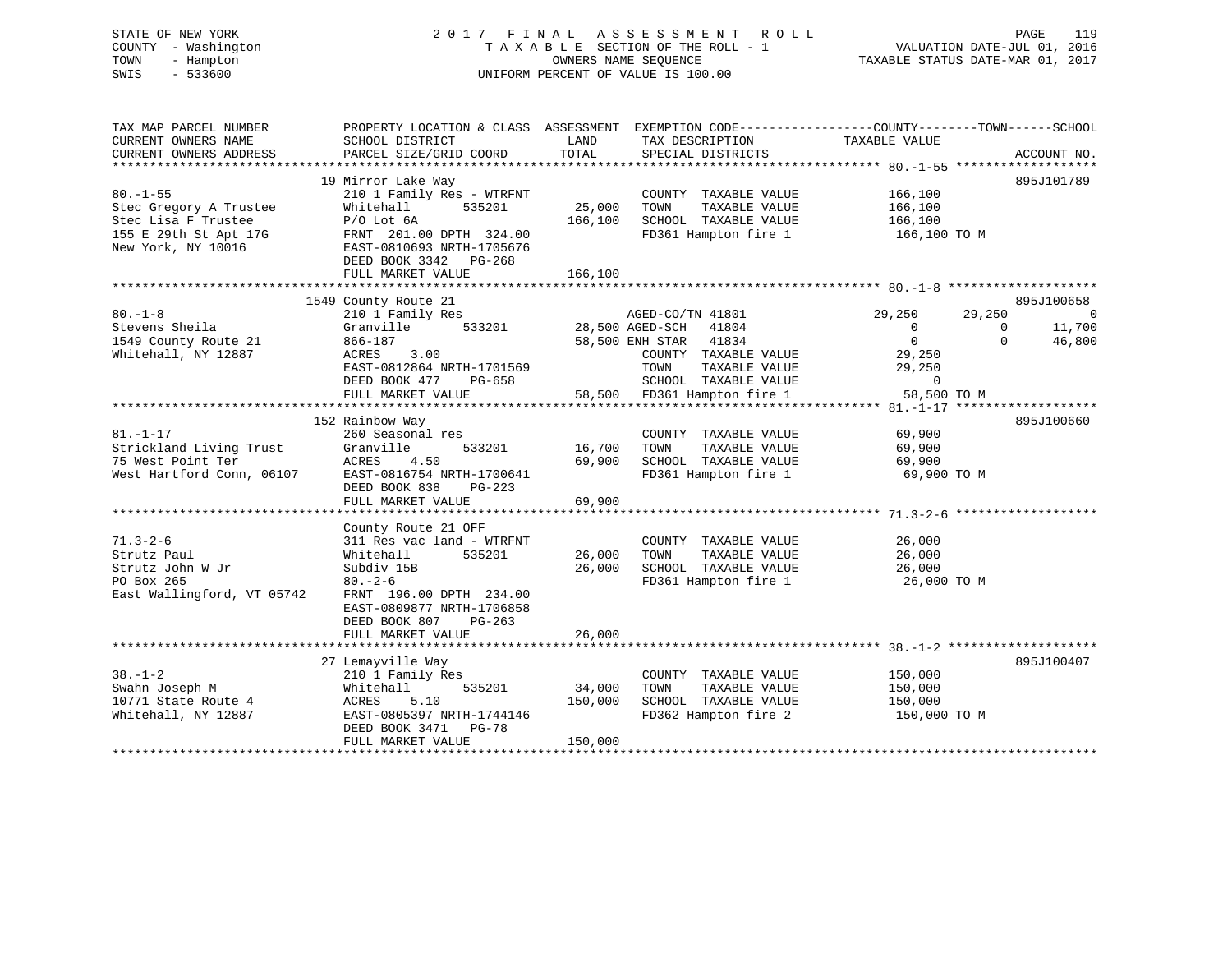# STATE OF NEW YORK 2 0 1 7 F I N A L A S S E S S M E N T R O L L PAGE 119 COUNTY - Washington T A X A B L E SECTION OF THE ROLL - 1 VALUATION DATE-JUL 01, 2016 TOWN - Hampton OWNERS NAME SEQUENCE TAXABLE STATUS DATE-MAR 01, 2017 SWIS - 533600 UNIFORM PERCENT OF VALUE IS 100.00

| TAX MAP PARCEL NUMBER<br>CURRENT OWNERS NAME<br>CURRENT OWNERS ADDRESS                                         | SCHOOL DISTRICT<br>PARCEL SIZE/GRID COORD                                                                                                                                                                       | LAND<br>TOTAL                | TAX DESCRIPTION<br>SPECIAL DISTRICTS                                                                                                                                              | PROPERTY LOCATION & CLASS ASSESSMENT EXEMPTION CODE---------------COUNTY-------TOWN-----SCHOOL<br>TAXABLE VALUE                    | ACCOUNT NO.                                  |
|----------------------------------------------------------------------------------------------------------------|-----------------------------------------------------------------------------------------------------------------------------------------------------------------------------------------------------------------|------------------------------|-----------------------------------------------------------------------------------------------------------------------------------------------------------------------------------|------------------------------------------------------------------------------------------------------------------------------------|----------------------------------------------|
| $80. - 1 - 55$<br>Stec Gregory A Trustee<br>Stec Lisa F Trustee<br>155 E 29th St Apt 17G<br>New York, NY 10016 | 19 Mirror Lake Way<br>210 1 Family Res - WTRFNT<br>535201<br>Whitehall<br>$P/O$ Lot $6A$<br>FRNT 201.00 DPTH 324.00<br>EAST-0810693 NRTH-1705676<br>DEED BOOK 3342 PG-268<br>FULL MARKET VALUE                  | 25,000<br>166,100<br>166,100 | COUNTY TAXABLE VALUE<br>TOWN<br>TAXABLE VALUE<br>SCHOOL TAXABLE VALUE<br>FD361 Hampton fire 1                                                                                     | 166,100<br>166,100<br>166,100<br>166,100 TO M                                                                                      | 895J101789                                   |
| $80. - 1 - 8$<br>Stevens Sheila<br>1549 County Route 21<br>Whitehall, NY 12887                                 | 1549 County Route 21<br>210 1 Family Res<br>Granville<br>866-187<br>ACRES<br>3.00<br>EAST-0812864 NRTH-1701569<br>DEED BOOK 477<br>PG-658<br>FULL MARKET VALUE                                                  |                              | AGED-CO/TN 41801<br>533201 28,500 AGED-SCH 41804<br>58,500 ENH STAR 41834<br>COUNTY TAXABLE VALUE<br>TAXABLE VALUE<br>TOWN<br>SCHOOL TAXABLE VALUE<br>58,500 FD361 Hampton fire 1 | 29,250<br>29,250<br>$\overline{0}$<br>$\mathbf 0$<br>$\overline{0}$<br>$\mathbf{0}$<br>29,250<br>29,250<br>$\Omega$<br>58,500 TO M | 895J100658<br>$\bigcirc$<br>11,700<br>46,800 |
| $81. - 1 - 17$<br>Strickland Living Trust<br>75 West Point Ter<br>West Hartford Conn, 06107                    | 152 Rainbow Way<br>260 Seasonal res<br>Granville<br>533201<br>ACRES<br>4.50<br>EAST-0816754 NRTH-1700641<br>DEED BOOK 838<br>$PG-223$<br>FULL MARKET VALUE                                                      | 16,700<br>69,900<br>69,900   | COUNTY TAXABLE VALUE<br>TAXABLE VALUE<br>TOWN<br>SCHOOL TAXABLE VALUE<br>FD361 Hampton fire 1                                                                                     | 69,900<br>69,900<br>69,900<br>69,900 TO M                                                                                          | 895J100660                                   |
| $71.3 - 2 - 6$<br>Strutz Paul<br>Strutz John W Jr<br>PO Box 265<br>East Wallingford, VT 05742                  | County Route 21 OFF<br>311 Res vac land - WTRFNT<br>535201<br>Whitehall<br>Subdiv 15B<br>$80 - 2 - 6$<br>FRNT 196.00 DPTH 234.00<br>EAST-0809877 NRTH-1706858<br>DEED BOOK 807<br>$PG-263$<br>FULL MARKET VALUE | 26,000<br>26,000<br>26,000   | COUNTY TAXABLE VALUE<br>TOWN<br>TAXABLE VALUE<br>SCHOOL TAXABLE VALUE<br>FD361 Hampton fire 1 26,000 TO M                                                                         | 26,000<br>26,000<br>26,000                                                                                                         |                                              |
| $38. - 1 - 2$<br>Swahn Joseph M<br>10771 State Route 4<br>Whitehall, NY 12887                                  | 27 Lemayville Way<br>210 1 Family Res<br>535201<br>Whitehall<br>ACRES<br>5.10<br>EAST-0805397 NRTH-1744146<br>DEED BOOK 3471 PG-78<br>FULL MARKET VALUE                                                         | 34,000<br>150,000<br>150,000 | COUNTY TAXABLE VALUE<br>TOWN<br>TAXABLE VALUE<br>SCHOOL TAXABLE VALUE<br>FD362 Hampton fire 2                                                                                     | 150,000<br>150,000<br>150,000<br>150,000 TO M                                                                                      | 895J100407                                   |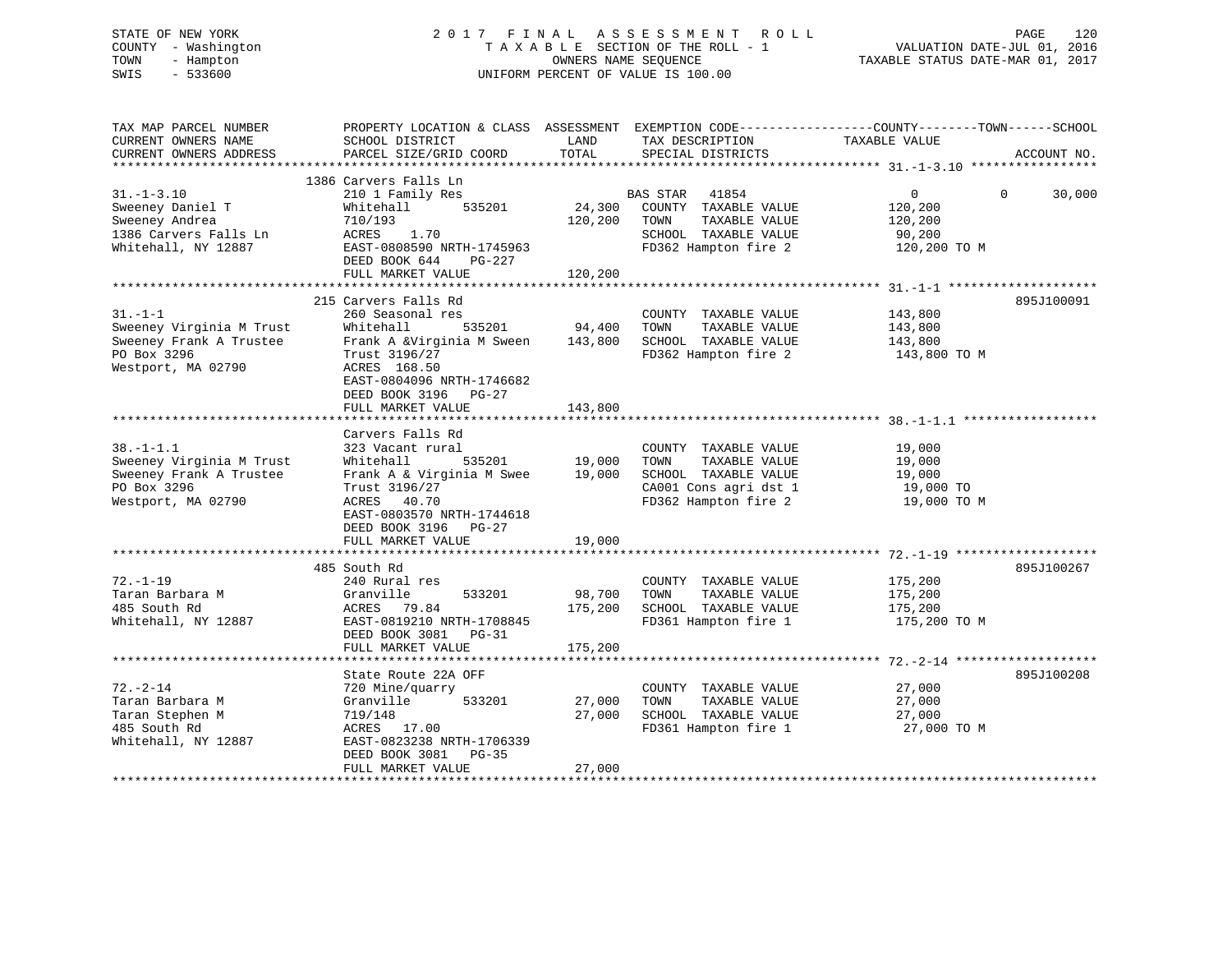# STATE OF NEW YORK 2 0 1 7 F I N A L A S S E S S M E N T R O L L PAGE 120 COUNTY - Washington T A X A B L E SECTION OF THE ROLL - 1 VALUATION DATE-JUL 01, 2016 TOWN - Hampton OWNERS NAME SEQUENCE TAXABLE STATUS DATE-MAR 01, 2017 SWIS - 533600 UNIFORM PERCENT OF VALUE IS 100.00

| TAX MAP PARCEL NUMBER<br>CURRENT OWNERS NAME<br>CURRENT OWNERS ADDRESS<br>*************************         | PROPERTY LOCATION & CLASS ASSESSMENT<br>SCHOOL DISTRICT<br>PARCEL SIZE/GRID COORD                                                                                                                     | LAND<br>TOTAL                | EXEMPTION CODE-----------------COUNTY-------TOWN------SCHOOL<br>TAX DESCRIPTION<br>SPECIAL DISTRICTS                   | TAXABLE VALUE                                                  | ACCOUNT NO.        |
|-------------------------------------------------------------------------------------------------------------|-------------------------------------------------------------------------------------------------------------------------------------------------------------------------------------------------------|------------------------------|------------------------------------------------------------------------------------------------------------------------|----------------------------------------------------------------|--------------------|
|                                                                                                             |                                                                                                                                                                                                       |                              |                                                                                                                        |                                                                |                    |
| $31. - 1 - 3.10$<br>Sweeney Daniel T<br>Sweeney Andrea<br>1386 Carvers Falls Ln<br>Whitehall, NY 12887      | 1386 Carvers Falls Ln<br>210 1 Family Res<br>535201<br>Whitehall<br>710/193<br>ACRES<br>1.70<br>EAST-0808590 NRTH-1745963<br>DEED BOOK 644<br>PG-227<br>FULL MARKET VALUE                             | 24,300<br>120,200<br>120,200 | BAS STAR 41854<br>COUNTY TAXABLE VALUE<br>TOWN<br>TAXABLE VALUE<br>SCHOOL TAXABLE VALUE<br>FD362 Hampton fire 2        | $\overline{0}$<br>120,200<br>120,200<br>90,200<br>120,200 TO M | 30,000<br>$\Omega$ |
|                                                                                                             |                                                                                                                                                                                                       |                              |                                                                                                                        |                                                                |                    |
| $31. -1 -1$<br>Sweeney Virginia M Trust<br>Sweeney Frank A Trustee<br>PO Box 3296<br>Westport, MA 02790     | 215 Carvers Falls Rd<br>260 Seasonal res<br>Whitehall<br>535201<br>Frank A &Virginia M Sween<br>Trust 3196/27<br>ACRES 168.50<br>EAST-0804096 NRTH-1746682<br>DEED BOOK 3196 PG-27                    | 94,400<br>143,800            | COUNTY TAXABLE VALUE<br>TOWN<br>TAXABLE VALUE<br>SCHOOL TAXABLE VALUE<br>FD362 Hampton fire 2                          | 143,800<br>143,800<br>143,800<br>143,800 TO M                  | 895J100091         |
|                                                                                                             | FULL MARKET VALUE                                                                                                                                                                                     | 143,800                      |                                                                                                                        |                                                                |                    |
| $38. - 1 - 1.1$<br>Sweeney Virginia M Trust<br>Sweeney Frank A Trustee<br>PO Box 3296<br>Westport, MA 02790 | Carvers Falls Rd<br>323 Vacant rural<br>Whitehall<br>535201<br>Frank A & Virginia M Swee<br>Trust 3196/27<br>ACRES 40.70<br>EAST-0803570 NRTH-1744618<br>DEED BOOK 3196<br>PG-27<br>FULL MARKET VALUE | 19,000<br>19,000<br>19,000   | COUNTY TAXABLE VALUE<br>TAXABLE VALUE<br>TOWN<br>SCHOOL TAXABLE VALUE<br>CA001 Cons agri dst 1<br>FD362 Hampton fire 2 | 19,000<br>19,000<br>19,000<br>19,000 TO<br>19,000 TO M         |                    |
|                                                                                                             |                                                                                                                                                                                                       | * * * * * * * * * * * * * *  |                                                                                                                        |                                                                |                    |
| $72. - 1 - 19$<br>Taran Barbara M<br>485 South Rd<br>Whitehall, NY 12887                                    | 485 South Rd<br>240 Rural res<br>Granville<br>533201<br>ACRES 79.84<br>EAST-0819210 NRTH-1708845<br>DEED BOOK 3081<br>$PG-31$<br>FULL MARKET VALUE                                                    | 98,700<br>175,200<br>175,200 | COUNTY TAXABLE VALUE<br>TAXABLE VALUE<br>TOWN<br>SCHOOL TAXABLE VALUE<br>FD361 Hampton fire 1                          | 175,200<br>175,200<br>175,200<br>175,200 TO M                  | 895J100267         |
|                                                                                                             | ************************                                                                                                                                                                              | *********                    |                                                                                                                        |                                                                |                    |
| $72. - 2 - 14$<br>Taran Barbara M<br>Taran Stephen M<br>485 South Rd<br>Whitehall, NY 12887                 | State Route 22A OFF<br>720 Mine/quarry<br>533201<br>Granville<br>719/148<br>ACRES 17.00<br>EAST-0823238 NRTH-1706339<br>DEED BOOK 3081<br>$PG-35$                                                     | 27,000<br>27,000             | COUNTY TAXABLE VALUE<br>TOWN<br>TAXABLE VALUE<br>SCHOOL TAXABLE VALUE<br>FD361 Hampton fire 1                          | 27,000<br>27,000<br>27,000<br>27,000 TO M                      | 895J100208         |
|                                                                                                             | FULL MARKET VALUE                                                                                                                                                                                     | 27,000                       |                                                                                                                        |                                                                |                    |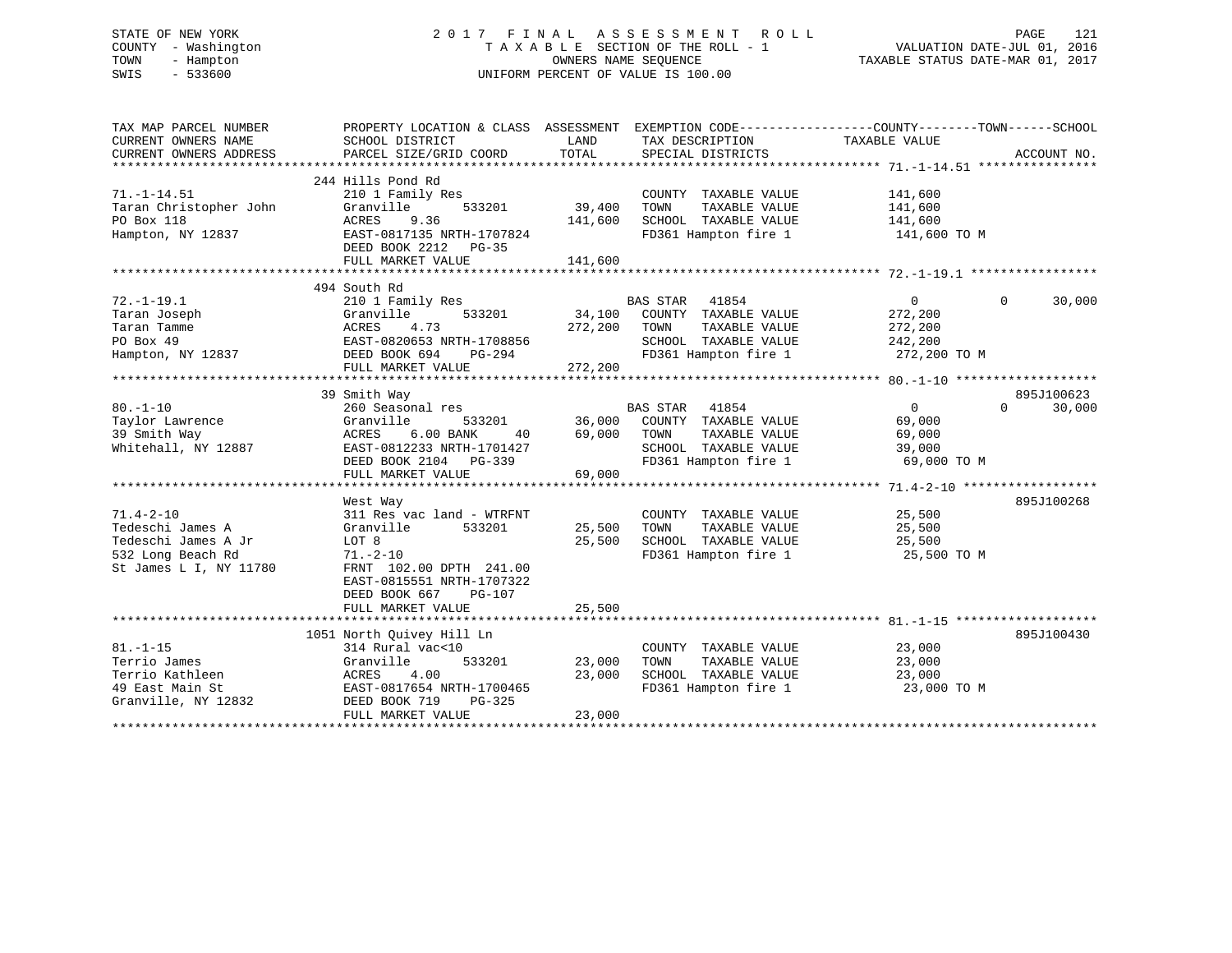# STATE OF NEW YORK 2 0 1 7 F I N A L A S S E S S M E N T R O L L PAGE 121 COUNTY - Washington T A X A B L E SECTION OF THE ROLL - 1 VALUATION DATE-JUL 01, 2016 TOWN - Hampton OWNERS NAME SEQUENCE TAXABLE STATUS DATE-MAR 01, 2017 SWIS - 533600 UNIFORM PERCENT OF VALUE IS 100.00

| TAX MAP PARCEL NUMBER<br>CURRENT OWNERS NAME<br>CURRENT OWNERS ADDRESS | PROPERTY LOCATION & CLASS ASSESSMENT EXEMPTION CODE----------------COUNTY-------TOWN------SCHOOL<br>SCHOOL DISTRICT<br>PARCEL SIZE/GRID COORD | LAND<br>TOTAL | TAX DESCRIPTION<br>SPECIAL DISTRICTS | TAXABLE VALUE                     | ACCOUNT NO.        |
|------------------------------------------------------------------------|-----------------------------------------------------------------------------------------------------------------------------------------------|---------------|--------------------------------------|-----------------------------------|--------------------|
|                                                                        |                                                                                                                                               |               |                                      |                                   |                    |
| $71. - 1 - 14.51$                                                      | 244 Hills Pond Rd<br>210 1 Family Res                                                                                                         |               | COUNTY TAXABLE VALUE                 | 141,600                           |                    |
| Taran Christopher John                                                 | Granville<br>533201                                                                                                                           | 39,400        | TAXABLE VALUE<br>TOWN                | 141,600                           |                    |
| PO Box 118                                                             | ACRES<br>9.36                                                                                                                                 | 141,600       | SCHOOL TAXABLE VALUE                 | $\frac{1}{141}$ , 600             |                    |
| Hampton, NY 12837                                                      | EAST-0817135 NRTH-1707824                                                                                                                     |               |                                      | FD361 Hampton fire 1 141,600 TO M |                    |
|                                                                        | DEED BOOK 2212 PG-35<br>FULL MARKET VALUE                                                                                                     | 141,600       |                                      |                                   |                    |
|                                                                        |                                                                                                                                               |               |                                      |                                   |                    |
|                                                                        | 494 South Rd                                                                                                                                  |               |                                      |                                   |                    |
| $72. - 1 - 19.1$                                                       | 210 1 Family Res                                                                                                                              |               | BAS STAR<br>41854                    | $\overline{0}$                    | $\Omega$<br>30,000 |
| Taran Joseph                                                           | 533201<br>Granville                                                                                                                           |               | 34,100 COUNTY TAXABLE VALUE          | 272,200                           |                    |
| Taran Tamme                                                            | 4.73<br>ACRES                                                                                                                                 | 272,200       | TAXABLE VALUE<br>TOWN                | 272,200                           |                    |
| PO Box 49                                                              | EAST-0820653 NRTH-1708856                                                                                                                     |               | SCHOOL TAXABLE VALUE                 | 242,200                           |                    |
| Hampton, NY 12837                                                      | DEED BOOK 694<br>PG-294                                                                                                                       |               | FD361 Hampton fire 1                 | 272,200 TO M                      |                    |
|                                                                        | FULL MARKET VALUE                                                                                                                             | 272,200       |                                      |                                   |                    |
|                                                                        |                                                                                                                                               |               |                                      |                                   |                    |
|                                                                        | 39 Smith Way                                                                                                                                  |               |                                      |                                   | 895J100623         |
| $80. - 1 - 10$                                                         | 260 Seasonal res                                                                                                                              |               | BAS STAR 41854                       | $\Omega$                          | $\Omega$<br>30,000 |
| Taylor Lawrence                                                        | Granville<br>533201                                                                                                                           | 36,000        | COUNTY TAXABLE VALUE                 | 69,000                            |                    |
| 39 Smith Way                                                           | ACRES<br>6.00 BANK<br>40                                                                                                                      | 69,000        | TAXABLE VALUE<br>TOWN                | 69,000                            |                    |
| Whitehall, NY 12887                                                    | EAST-0812233 NRTH-1701427                                                                                                                     |               | SCHOOL TAXABLE VALUE                 | 39,000                            |                    |
|                                                                        | DEED BOOK 2104 PG-339                                                                                                                         |               | FD361 Hampton fire 1                 | 69,000 TO M                       |                    |
|                                                                        | FULL MARKET VALUE                                                                                                                             | 69,000        |                                      |                                   |                    |
|                                                                        |                                                                                                                                               |               |                                      |                                   |                    |
|                                                                        | West Way                                                                                                                                      |               |                                      |                                   | 895J100268         |
| $71.4 - 2 - 10$                                                        | 311 Res vac land - WTRFNT                                                                                                                     |               | COUNTY TAXABLE VALUE                 | 25,500                            |                    |
| Tedeschi James A                                                       | Granville<br>533201                                                                                                                           | 25,500        | TOWN<br>TAXABLE VALUE                | 25,500                            |                    |
| Tedeschi James A Jr                                                    | LOT 8                                                                                                                                         | 25,500        | SCHOOL TAXABLE VALUE                 | 25,500                            |                    |
| 532 Long Beach Rd                                                      | $71. - 2 - 10$                                                                                                                                |               | FD361 Hampton fire 1                 | 25,500 TO M                       |                    |
| St James L I, NY 11780                                                 | FRNT 102.00 DPTH 241.00                                                                                                                       |               |                                      |                                   |                    |
|                                                                        | EAST-0815551 NRTH-1707322                                                                                                                     |               |                                      |                                   |                    |
|                                                                        | DEED BOOK 667<br><b>PG-107</b>                                                                                                                |               |                                      |                                   |                    |
|                                                                        | FULL MARKET VALUE                                                                                                                             | 25,500        |                                      |                                   |                    |
|                                                                        |                                                                                                                                               |               |                                      |                                   |                    |
|                                                                        | 1051 North Quivey Hill Ln                                                                                                                     |               |                                      |                                   | 895J100430         |
| $81. - 1 - 15$                                                         | 314 Rural vac<10                                                                                                                              |               | COUNTY TAXABLE VALUE                 | 23,000                            |                    |
| Terrio James                                                           | Granville<br>533201                                                                                                                           | 23,000        | TAXABLE VALUE<br>TOWN                | 23,000                            |                    |
| Terrio Kathleen                                                        | 4.00<br>ACRES                                                                                                                                 | 23,000        | SCHOOL TAXABLE VALUE                 | 23,000                            |                    |
| 49 East Main St                                                        | EAST-0817654 NRTH-1700465                                                                                                                     |               | FD361 Hampton fire 1                 | 23,000 TO M                       |                    |
| Granville, NY 12832                                                    | DEED BOOK 719<br>$PG-325$                                                                                                                     |               |                                      |                                   |                    |
|                                                                        | FULL MARKET VALUE                                                                                                                             | 23,000        |                                      |                                   |                    |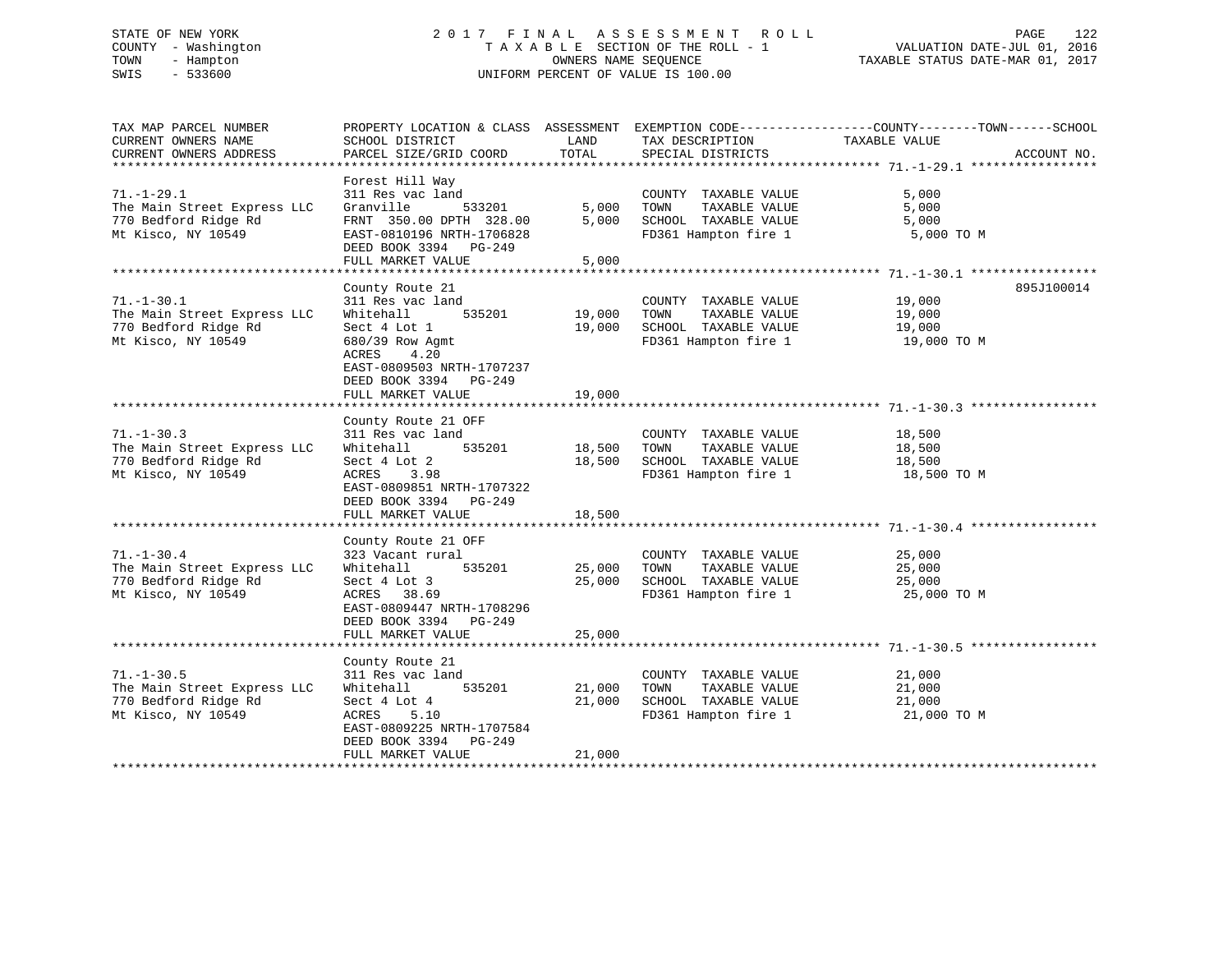# STATE OF NEW YORK 2 0 1 7 F I N A L A S S E S S M E N T R O L L PAGE 122 COUNTY - Washington T A X A B L E SECTION OF THE ROLL - 1 VALUATION DATE-JUL 01, 2016 TOWN - Hampton OWNERS NAME SEQUENCE TAXABLE STATUS DATE-MAR 01, 2017 SWIS - 533600 UNIFORM PERCENT OF VALUE IS 100.00

| TAX MAP PARCEL NUMBER                               | PROPERTY LOCATION & CLASS ASSESSMENT       |                  |                                               | EXEMPTION CODE-----------------COUNTY-------TOWN------SCHOOL |             |
|-----------------------------------------------------|--------------------------------------------|------------------|-----------------------------------------------|--------------------------------------------------------------|-------------|
| CURRENT OWNERS NAME<br>CURRENT OWNERS ADDRESS       | SCHOOL DISTRICT<br>PARCEL SIZE/GRID COORD  | LAND<br>TOTAL    | TAX DESCRIPTION                               | TAXABLE VALUE                                                | ACCOUNT NO. |
|                                                     |                                            |                  | SPECIAL DISTRICTS                             |                                                              |             |
|                                                     | Forest Hill Way                            |                  |                                               |                                                              |             |
| $71. - 1 - 29.1$                                    | 311 Res vac land                           |                  | COUNTY TAXABLE VALUE                          | 5,000                                                        |             |
| The Main Street Express LLC                         | Granville<br>533201                        | 5,000            | TOWN<br>TAXABLE VALUE                         | 5,000                                                        |             |
| 770 Bedford Ridge Rd                                | FRNT 350.00 DPTH 328.00                    | 5,000            | SCHOOL TAXABLE VALUE                          | 5,000                                                        |             |
| Mt Kisco, NY 10549                                  | EAST-0810196 NRTH-1706828                  |                  | FD361 Hampton fire 1                          | 5,000 TO M                                                   |             |
|                                                     | DEED BOOK 3394 PG-249                      |                  |                                               |                                                              |             |
|                                                     | FULL MARKET VALUE                          | 5,000            |                                               |                                                              |             |
|                                                     |                                            |                  |                                               |                                                              |             |
|                                                     | County Route 21                            |                  |                                               |                                                              | 895J100014  |
| $71. - 1 - 30.1$                                    | 311 Res vac land                           |                  | COUNTY TAXABLE VALUE                          | 19,000                                                       |             |
| The Main Street Express LLC                         | 535201<br>Whitehall                        | 19,000           | TAXABLE VALUE<br>TOWN                         | 19,000                                                       |             |
| 770 Bedford Ridge Rd                                | Sect 4 Lot 1                               | 19,000           | SCHOOL TAXABLE VALUE                          | 19,000                                                       |             |
| Mt Kisco, NY 10549                                  | 680/39 Row Agmt                            |                  | FD361 Hampton fire 1                          | 19,000 TO M                                                  |             |
|                                                     | ACRES<br>4.20                              |                  |                                               |                                                              |             |
|                                                     | EAST-0809503 NRTH-1707237                  |                  |                                               |                                                              |             |
|                                                     | DEED BOOK 3394 PG-249                      |                  |                                               |                                                              |             |
|                                                     | FULL MARKET VALUE                          | 19,000           |                                               |                                                              |             |
|                                                     |                                            |                  |                                               |                                                              |             |
|                                                     | County Route 21 OFF                        |                  |                                               |                                                              |             |
| $71. - 1 - 30.3$                                    | 311 Res vac land                           |                  | COUNTY TAXABLE VALUE                          | 18,500                                                       |             |
| The Main Street Express LLC                         | 535201<br>Whitehall                        | 18,500           | TOWN<br>TAXABLE VALUE                         | 18,500                                                       |             |
| 770 Bedford Ridge Rd                                | Sect 4 Lot 2                               | 18,500           | SCHOOL TAXABLE VALUE                          | 18,500                                                       |             |
| Mt Kisco, NY 10549                                  | ACRES<br>3.98                              |                  | FD361 Hampton fire 1                          | 18,500 TO M                                                  |             |
|                                                     | EAST-0809851 NRTH-1707322                  |                  |                                               |                                                              |             |
|                                                     | DEED BOOK 3394 PG-249                      |                  |                                               |                                                              |             |
|                                                     | FULL MARKET VALUE                          | 18,500           |                                               |                                                              |             |
|                                                     |                                            |                  |                                               |                                                              |             |
|                                                     | County Route 21 OFF                        |                  |                                               |                                                              |             |
| $71. - 1 - 30.4$                                    | 323 Vacant rural                           |                  | COUNTY TAXABLE VALUE                          | 25,000                                                       |             |
| The Main Street Express LLC                         | Whitehall<br>535201                        | 25,000           | TOWN<br>TAXABLE VALUE                         | 25,000                                                       |             |
| 770 Bedford Ridge Rd                                | Sect 4 Lot 3                               | 25,000           | SCHOOL TAXABLE VALUE                          | 25,000                                                       |             |
| Mt Kisco, NY 10549                                  | ACRES 38.69                                |                  | FD361 Hampton fire 1                          | 25,000 TO M                                                  |             |
|                                                     | EAST-0809447 NRTH-1708296                  |                  |                                               |                                                              |             |
|                                                     | DEED BOOK 3394 PG-249                      |                  |                                               |                                                              |             |
|                                                     | FULL MARKET VALUE                          | 25,000           |                                               |                                                              |             |
|                                                     |                                            |                  |                                               |                                                              |             |
|                                                     | County Route 21                            |                  |                                               |                                                              |             |
| $71. - 1 - 30.5$                                    | 311 Res vac land                           |                  | COUNTY TAXABLE VALUE                          | 21,000                                                       |             |
| The Main Street Express LLC<br>770 Bedford Ridge Rd | Whitehall<br>535201                        | 21,000<br>21,000 | TOWN<br>TAXABLE VALUE<br>SCHOOL TAXABLE VALUE | 21,000                                                       |             |
|                                                     | Sect 4 Lot 4                               |                  |                                               | 21,000                                                       |             |
| Mt Kisco, NY 10549                                  | ACRES<br>5.10<br>EAST-0809225 NRTH-1707584 |                  | FD361 Hampton fire 1                          | 21,000 TO M                                                  |             |
|                                                     | PG-249                                     |                  |                                               |                                                              |             |
|                                                     | DEED BOOK 3394<br>FULL MARKET VALUE        | 21,000           |                                               |                                                              |             |
|                                                     |                                            |                  |                                               |                                                              |             |
|                                                     |                                            |                  |                                               |                                                              |             |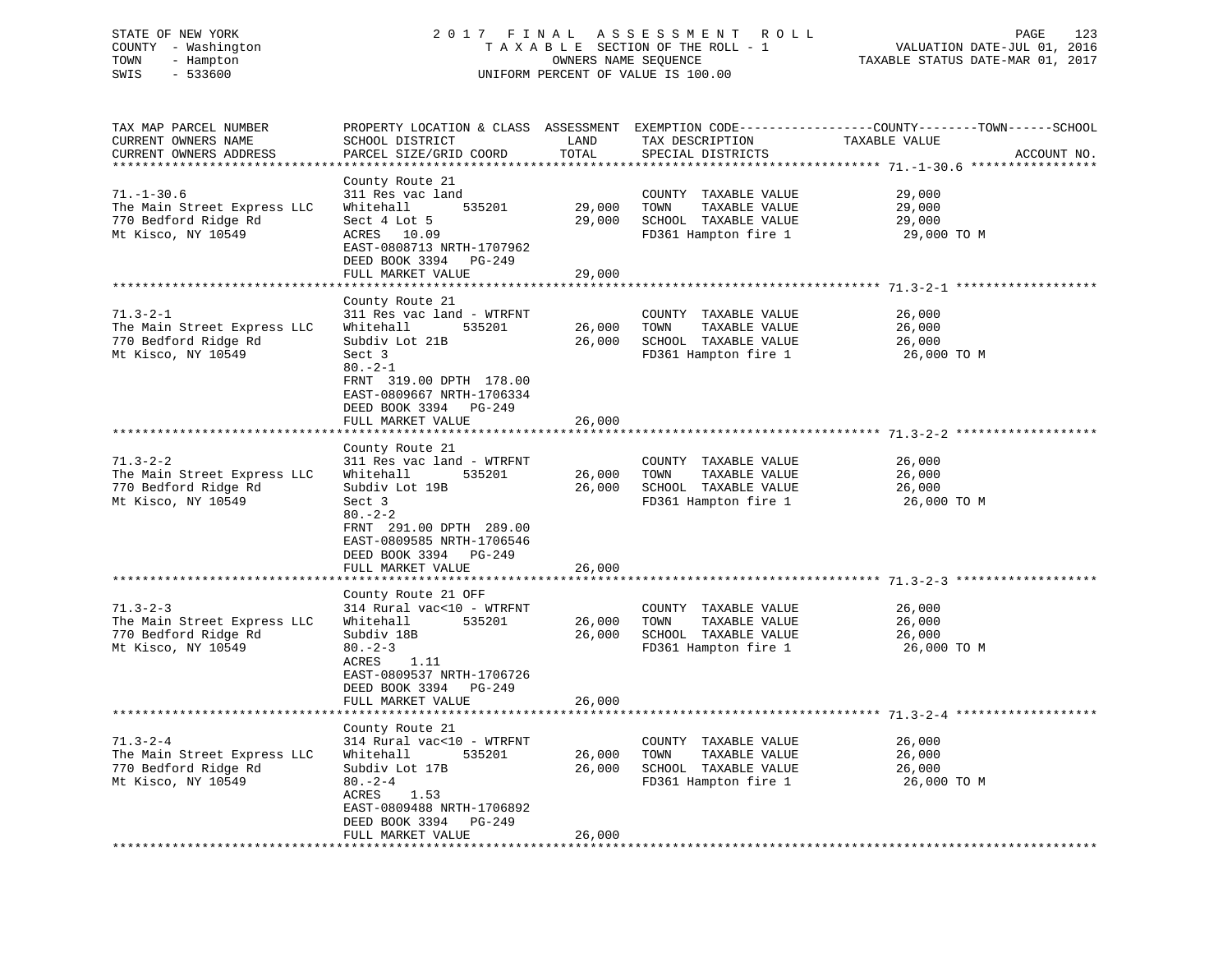# STATE OF NEW YORK 2 0 1 7 F I N A L A S S E S S M E N T R O L L PAGE 123 COUNTY - Washington T A X A B L E SECTION OF THE ROLL - 1 VALUATION DATE-JUL 01, 2016 TOWN - Hampton OWNERS NAME SEQUENCE TAXABLE STATUS DATE-MAR 01, 2017 SWIS - 533600 UNIFORM PERCENT OF VALUE IS 100.00UNIFORM PERCENT OF VALUE IS 100.00

| TAX MAP PARCEL NUMBER<br>CURRENT OWNERS NAME<br>CURRENT OWNERS ADDRESS                        | PROPERTY LOCATION & CLASS ASSESSMENT<br>SCHOOL DISTRICT<br>PARCEL SIZE/GRID COORD                                                                                                                                        | LAND<br>TOTAL              | TAX DESCRIPTION<br>SPECIAL DISTRICTS                                                          | EXEMPTION CODE-----------------COUNTY-------TOWN------SCHOOL<br>TAXABLE VALUE<br>ACCOUNT NO. |
|-----------------------------------------------------------------------------------------------|--------------------------------------------------------------------------------------------------------------------------------------------------------------------------------------------------------------------------|----------------------------|-----------------------------------------------------------------------------------------------|----------------------------------------------------------------------------------------------|
| ********************                                                                          | ***********************                                                                                                                                                                                                  | *********                  |                                                                                               |                                                                                              |
| $71. - 1 - 30.6$<br>The Main Street Express LLC<br>770 Bedford Ridge Rd<br>Mt Kisco, NY 10549 | County Route 21<br>311 Res vac land<br>535201<br>Whitehall<br>Sect 4 Lot 5<br>ACRES 10.09<br>EAST-0808713 NRTH-1707962<br>DEED BOOK 3394<br>PG-249<br>FULL MARKET VALUE                                                  | 29,000<br>29,000<br>29,000 | COUNTY TAXABLE VALUE<br>TOWN<br>TAXABLE VALUE<br>SCHOOL TAXABLE VALUE<br>FD361 Hampton fire 1 | 29,000<br>29,000<br>29,000<br>29,000 TO M                                                    |
|                                                                                               | *************************                                                                                                                                                                                                |                            |                                                                                               |                                                                                              |
| $71.3 - 2 - 1$<br>The Main Street Express LLC<br>770 Bedford Ridge Rd<br>Mt Kisco, NY 10549   | County Route 21<br>311 Res vac land - WTRFNT<br>Whitehall<br>535201<br>Subdiv Lot 21B<br>Sect 3<br>$80. -2 - 1$<br>FRNT 319.00 DPTH 178.00<br>EAST-0809667 NRTH-1706334<br>DEED BOOK 3394<br>PG-249                      | 26,000<br>26,000           | COUNTY TAXABLE VALUE<br>TOWN<br>TAXABLE VALUE<br>SCHOOL TAXABLE VALUE<br>FD361 Hampton fire 1 | 26,000<br>26,000<br>26,000<br>26,000 TO M                                                    |
|                                                                                               | FULL MARKET VALUE                                                                                                                                                                                                        | 26,000                     |                                                                                               |                                                                                              |
| $71.3 - 2 - 2$<br>The Main Street Express LLC<br>770 Bedford Ridge Rd<br>Mt Kisco, NY 10549   | County Route 21<br>311 Res vac land - WTRFNT<br>Whitehall<br>535201<br>Subdiv Lot 19B<br>Sect 3<br>$80 - 2 - 2$<br>FRNT 291.00 DPTH 289.00<br>EAST-0809585 NRTH-1706546<br>DEED BOOK 3394<br>PG-249<br>FULL MARKET VALUE | 26,000<br>26,000<br>26,000 | COUNTY TAXABLE VALUE<br>TOWN<br>TAXABLE VALUE<br>SCHOOL TAXABLE VALUE<br>FD361 Hampton fire 1 | 26,000<br>26,000<br>26,000<br>26,000 TO M                                                    |
|                                                                                               |                                                                                                                                                                                                                          |                            |                                                                                               |                                                                                              |
| $71.3 - 2 - 3$<br>The Main Street Express LLC<br>770 Bedford Ridge Rd<br>Mt Kisco, NY 10549   | County Route 21 OFF<br>314 Rural vac<10 - WTRFNT<br>Whitehall<br>535201<br>Subdiv 18B<br>$80 - 2 - 3$<br>ACRES<br>1.11<br>EAST-0809537 NRTH-1706726<br>DEED BOOK 3394<br>PG-249                                          | 26,000<br>26,000           | COUNTY TAXABLE VALUE<br>TOWN<br>TAXABLE VALUE<br>SCHOOL TAXABLE VALUE<br>FD361 Hampton fire 1 | 26,000<br>26,000<br>26,000<br>26,000 TO M                                                    |
|                                                                                               | FULL MARKET VALUE                                                                                                                                                                                                        | 26,000                     |                                                                                               |                                                                                              |
| $71.3 - 2 - 4$                                                                                | **************<br>County Route 21<br>314 Rural vac<10 - WTRFNT                                                                                                                                                           |                            | COUNTY TAXABLE VALUE                                                                          | ******************* 71.3-2-4<br>26,000                                                       |
| The Main Street Express LLC<br>770 Bedford Ridge Rd<br>Mt Kisco, NY 10549                     | 535201<br>Whitehall<br>Subdiv Lot 17B<br>$80 - 2 - 4$<br>ACRES<br>1.53<br>EAST-0809488 NRTH-1706892<br>DEED BOOK 3394<br>PG-249<br>FULL MARKET VALUE                                                                     | 26,000<br>26,000<br>26,000 | TOWN<br>TAXABLE VALUE<br>SCHOOL TAXABLE VALUE<br>FD361 Hampton fire 1                         | 26,000<br>26,000<br>26,000 TO M                                                              |
| <b>+++++++++++++++++++++++</b>                                                                | .                                                                                                                                                                                                                        |                            |                                                                                               |                                                                                              |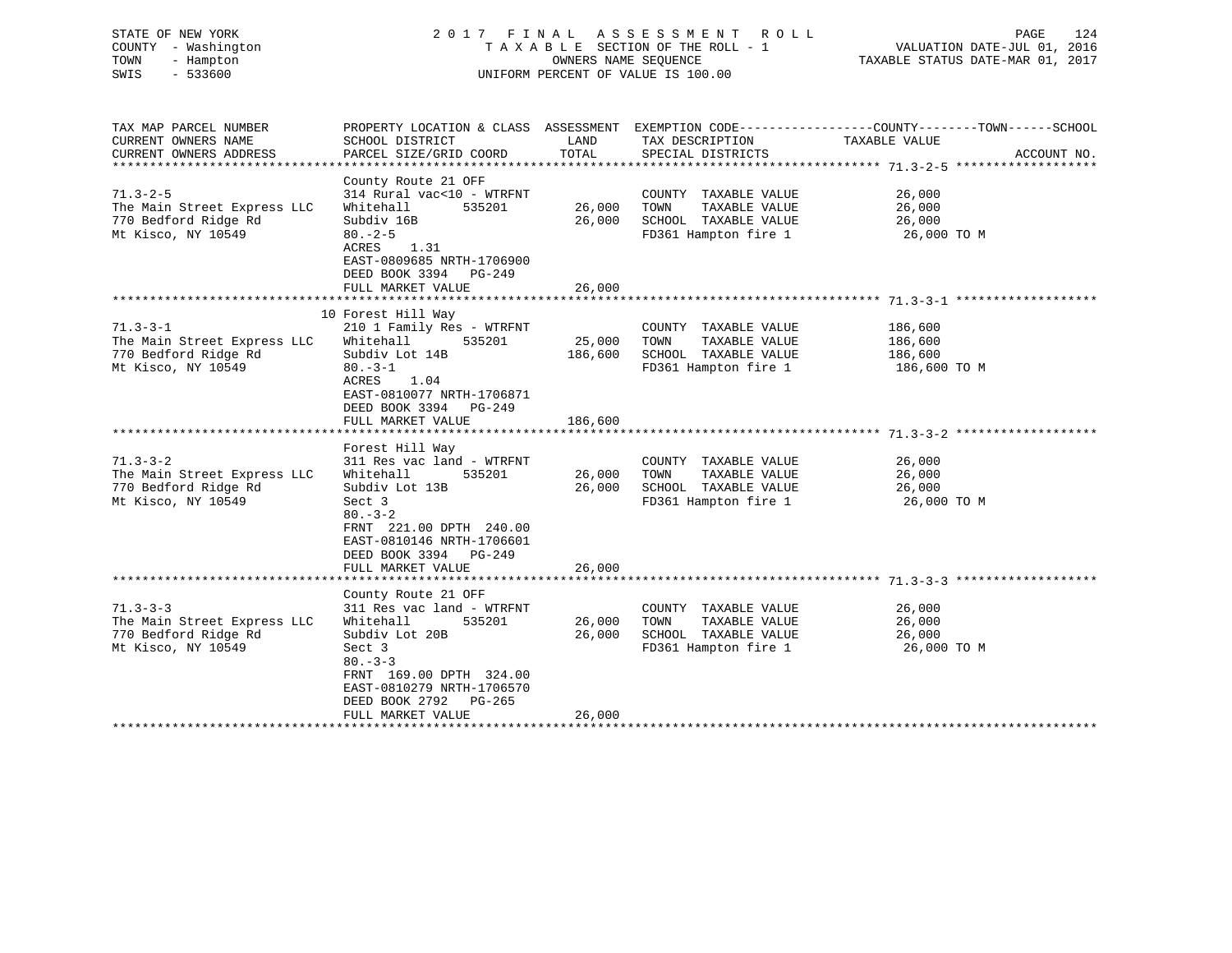|                                                                                                                                            |                                        |                                                                                   | 124<br>PAGE<br>VALUATION DATE-JUL 01, 2016<br>TAXABLE STATUS DATE-MAR 01, 2017                                                                                                                                                                                                                                                                                                                                                                                                                                                                                          |
|--------------------------------------------------------------------------------------------------------------------------------------------|----------------------------------------|-----------------------------------------------------------------------------------|-------------------------------------------------------------------------------------------------------------------------------------------------------------------------------------------------------------------------------------------------------------------------------------------------------------------------------------------------------------------------------------------------------------------------------------------------------------------------------------------------------------------------------------------------------------------------|
| SCHOOL DISTRICT                                                                                                                            |                                        |                                                                                   | ACCOUNT NO.                                                                                                                                                                                                                                                                                                                                                                                                                                                                                                                                                             |
|                                                                                                                                            |                                        |                                                                                   |                                                                                                                                                                                                                                                                                                                                                                                                                                                                                                                                                                         |
| County Route 21 OFF<br>The Main Street Express LLC<br>$80. - 2 - 5$<br>ACRES 1.31<br>EAST-0809685 NRTH-1706900<br>DEED BOOK 3394 PG-249    |                                        | COUNTY TAXABLE VALUE<br>TAXABLE VALUE<br>TOWN<br>FD361 Hampton fire 1 26,000 TO M | 26,000<br>26,000<br>26,000                                                                                                                                                                                                                                                                                                                                                                                                                                                                                                                                              |
|                                                                                                                                            |                                        |                                                                                   |                                                                                                                                                                                                                                                                                                                                                                                                                                                                                                                                                                         |
| 10 Forest Hill Way<br>The Main Street Express LLC<br>$80. -3 - 1$<br>ACRES 1.04<br>EAST-0810077 NRTH-1706871<br>DEED BOOK 3394<br>$PG-249$ |                                        | COUNTY TAXABLE VALUE<br>FD361 Hampton fire 1 186,600 TO M                         | 186,600<br>TAXABLE VALUE 186,600                                                                                                                                                                                                                                                                                                                                                                                                                                                                                                                                        |
| CURRENT OWNERS ADDRESS                                                                                                                     | FULL MARKET VALUE<br>FULL MARKET VALUE | 26,000<br>186,600                                                                 | 2017 FINAL ASSESSMENT ROLL<br>TAXABLE SECTION OF THE ROLL - 1<br>OWNERS NAME SEOUENCE<br>UNIFORM PERCENT OF VALUE IS 100.00<br>TAX MAP PARCEL NUMBER THE PROPERTY LOCATION & CLASS ASSESSMENT EXEMPTION CODE---------------COUNTY--------TOWN------SCHOOL<br>LAND TAX DESCRIPTION TAXABLE VALUE<br>PARCEL SIZE/GRID COORD TOTAL SPECIAL DISTRICTS<br>314 Rural vac<10 - WTRFNT<br>Whitehall 535201 26,000<br>Subdiv 16B 26,000 SCHOOL TAXABLE VALUE<br>210 1 Family Res - WTRFNT<br>Whitehall 535201 25,000 TOWN<br>Subdiv Lot 14B 186,600 SCHOOL TAXABLE VALUE 186,600 |

|                                     | Forest Hill Way             |        |      |                      |             |
|-------------------------------------|-----------------------------|--------|------|----------------------|-------------|
| $71.3 - 3 - 2$                      | 311 Res vac land - WTRFNT   |        |      | COUNTY TAXABLE VALUE | 26,000      |
| The Main Street Express LLC         | Whitehall 535201            | 26,000 | TOWN | TAXABLE VALUE        | 26,000      |
| 770 Bedford Ridge Rd Subdiv Lot 13B |                             | 26,000 |      | SCHOOL TAXABLE VALUE | 26,000      |
| Mt Kisco, NY 10549                  | Sect 3                      |        |      | FD361 Hampton fire 1 | 26,000 TO M |
|                                     | $80. - 3 - 2$               |        |      |                      |             |
|                                     | FRNT 221.00 DPTH 240.00     |        |      |                      |             |
|                                     | EAST-0810146 NRTH-1706601   |        |      |                      |             |
|                                     | DEED BOOK 3394 PG-249       |        |      |                      |             |
|                                     | 26,000<br>FULL MARKET VALUE |        |      |                      |             |
|                                     |                             |        |      |                      |             |
|                                     | County Route 21 OFF         |        |      |                      |             |
| $71.3 - 3 - 3$                      | 311 Res vac land - WTRFNT   |        |      | COUNTY TAXABLE VALUE | 26,000      |
| The Main Street Express LLC         | Whitehall 535201            | 26,000 | TOWN | TAXABLE VALUE        | 26,000      |
| 770 Bedford Ridge Rd                | Subdiv Lot 20B              | 26,000 |      | SCHOOL TAXABLE VALUE | 26,000      |
| Mt Kisco, NY 10549                  | Sect 3                      |        |      | FD361 Hampton fire 1 | 26,000 TO M |
|                                     | $80. - 3 - 3$               |        |      |                      |             |
|                                     | FRNT 169.00 DPTH 324.00     |        |      |                      |             |
|                                     | EAST-0810279 NRTH-1706570   |        |      |                      |             |
|                                     | DEED BOOK 2792 PG-265       |        |      |                      |             |
|                                     | FULL MARKET VALUE           | 26,000 |      |                      |             |
|                                     |                             |        |      |                      |             |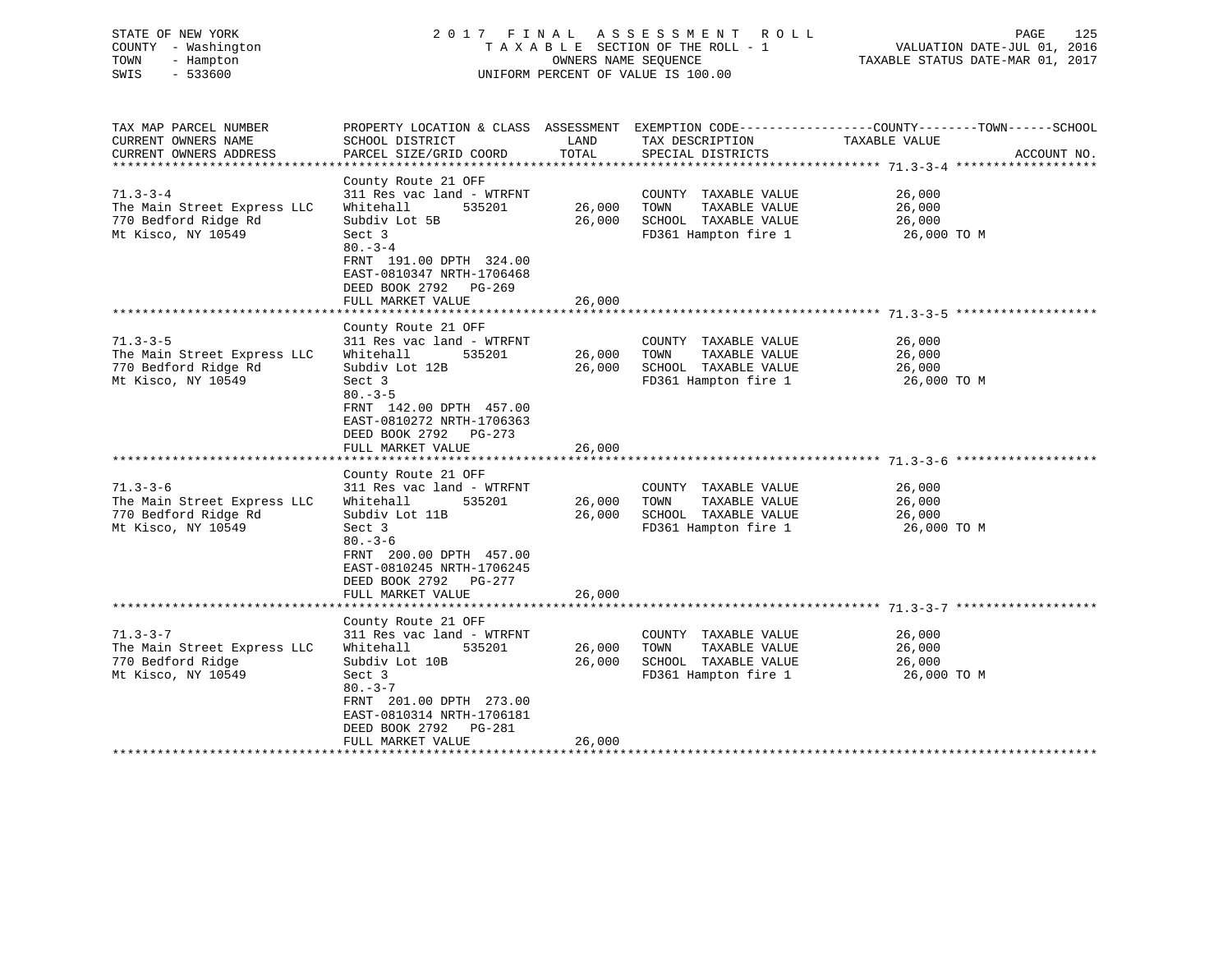| STATE OF NEW YORK<br>COUNTY - Washington<br>TOWN<br>- Hampton<br>$-533600$<br>SWIS       | 2017 FINAL                                                                                                                                             | OWNERS NAME SEOUENCE        | A S S E S S M E N T<br>ROLL ROLL<br>TAXABLE SECTION OF THE ROLL - 1<br>UNIFORM PERCENT OF VALUE IS 100.00 | 125<br>PAGE<br>VALUATION DATE-JUL 01, 2016<br>TAXABLE STATUS DATE-MAR 01, 2017                                   |
|------------------------------------------------------------------------------------------|--------------------------------------------------------------------------------------------------------------------------------------------------------|-----------------------------|-----------------------------------------------------------------------------------------------------------|------------------------------------------------------------------------------------------------------------------|
| TAX MAP PARCEL NUMBER<br>CURRENT OWNERS NAME                                             | SCHOOL DISTRICT                                                                                                                                        | LAND                        | TAX DESCRIPTION                                                                                           | PROPERTY LOCATION & CLASS ASSESSMENT EXEMPTION CODE----------------COUNTY-------TOWN-----SCHOOL<br>TAXABLE VALUE |
| CURRENT OWNERS ADDRESS<br>**************                                                 | PARCEL SIZE/GRID COORD                                                                                                                                 | TOTAL                       | SPECIAL DISTRICTS                                                                                         | ACCOUNT NO.                                                                                                      |
|                                                                                          | County Route 21 OFF                                                                                                                                    |                             |                                                                                                           |                                                                                                                  |
| $71.3 - 3 - 4$                                                                           | 311 Res vac land - WTRFNT                                                                                                                              |                             | COUNTY TAXABLE VALUE                                                                                      | 26,000                                                                                                           |
| The Main Street Express LLC                                                              | Whitehall<br>535201                                                                                                                                    | 26,000                      | TAXABLE VALUE<br>TOWN                                                                                     | 26,000                                                                                                           |
| 770 Bedford Ridge Rd                                                                     | Subdiv Lot 5B                                                                                                                                          | 26,000                      | SCHOOL TAXABLE VALUE                                                                                      | 26,000                                                                                                           |
| Mt Kisco, NY 10549                                                                       | Sect 3                                                                                                                                                 |                             | FD361 Hampton fire 1                                                                                      | 26,000 TO M                                                                                                      |
|                                                                                          | $80 - 3 - 4$<br>FRNT 191.00 DPTH 324.00<br>EAST-0810347 NRTH-1706468<br>DEED BOOK 2792<br>PG-269                                                       |                             |                                                                                                           |                                                                                                                  |
|                                                                                          | FULL MARKET VALUE                                                                                                                                      | 26,000                      |                                                                                                           |                                                                                                                  |
|                                                                                          | County Route 21 OFF                                                                                                                                    |                             |                                                                                                           |                                                                                                                  |
| $71.3 - 3 - 5$                                                                           | 311 Res vac land - WTRFNT                                                                                                                              |                             | COUNTY TAXABLE VALUE                                                                                      | 26,000                                                                                                           |
| The Main Street Express LLC                                                              | Whitehall<br>535201                                                                                                                                    | 26,000                      | TOWN<br>TAXABLE VALUE                                                                                     | 26,000                                                                                                           |
| 770 Bedford Ridge Rd                                                                     | Subdiv Lot 12B                                                                                                                                         | 26,000                      | SCHOOL TAXABLE VALUE                                                                                      | 26,000                                                                                                           |
| Mt Kisco, NY 10549                                                                       | Sect 3<br>$80 - 3 - 5$<br>FRNT 142.00 DPTH 457.00<br>EAST-0810272 NRTH-1706363<br>DEED BOOK 2792<br>PG-273<br>FULL MARKET VALUE                        | 26,000                      | FD361 Hampton fire 1                                                                                      | 26,000 TO M                                                                                                      |
|                                                                                          |                                                                                                                                                        |                             |                                                                                                           |                                                                                                                  |
|                                                                                          | County Route 21 OFF                                                                                                                                    |                             |                                                                                                           |                                                                                                                  |
| $71.3 - 3 - 6$                                                                           | 311 Res vac land - WTRFNT                                                                                                                              |                             | COUNTY TAXABLE VALUE                                                                                      | 26,000                                                                                                           |
| The Main Street Express LLC                                                              | 535201<br>Whitehall                                                                                                                                    | 26,000                      | TAXABLE VALUE<br>TOWN                                                                                     | 26,000                                                                                                           |
| 770 Bedford Ridge Rd                                                                     | Subdiv Lot 11B                                                                                                                                         | 26,000                      | SCHOOL TAXABLE VALUE                                                                                      | 26,000                                                                                                           |
| Mt Kisco, NY 10549                                                                       | Sect 3<br>$80 - 3 - 6$<br>FRNT 200.00 DPTH 457.00<br>EAST-0810245 NRTH-1706245<br>DEED BOOK 2792<br>PG-277<br>FULL MARKET VALUE<br>******************* | 26,000                      | FD361 Hampton fire 1<br>**************************************71.3-3-7 ***                                | 26,000 TO M                                                                                                      |
|                                                                                          | County Route 21 OFF                                                                                                                                    |                             |                                                                                                           |                                                                                                                  |
| $71.3 - 3 - 7$<br>The Main Street Express LLC<br>770 Bedford Ridge<br>Mt Kisco, NY 10549 | 311 Res vac land - WTRFNT<br>Whitehall<br>535201<br>Subdiv Lot 10B<br>Sect 3<br>$80 - 3 - 7$<br>FRNT 201.00 DPTH 273.00<br>EAST-0810314 NRTH-1706181   | 26,000<br>26,000            | COUNTY TAXABLE VALUE<br>TOWN<br>TAXABLE VALUE<br>SCHOOL TAXABLE VALUE<br>FD361 Hampton fire 1             | 26,000<br>26,000<br>26,000<br>26,000 TO M                                                                        |
|                                                                                          | DEED BOOK 2792<br>PG-281                                                                                                                               |                             |                                                                                                           |                                                                                                                  |
| **********************                                                                   | FULL MARKET VALUE<br>*********************                                                                                                             | 26,000<br>* * * * * * * * * |                                                                                                           |                                                                                                                  |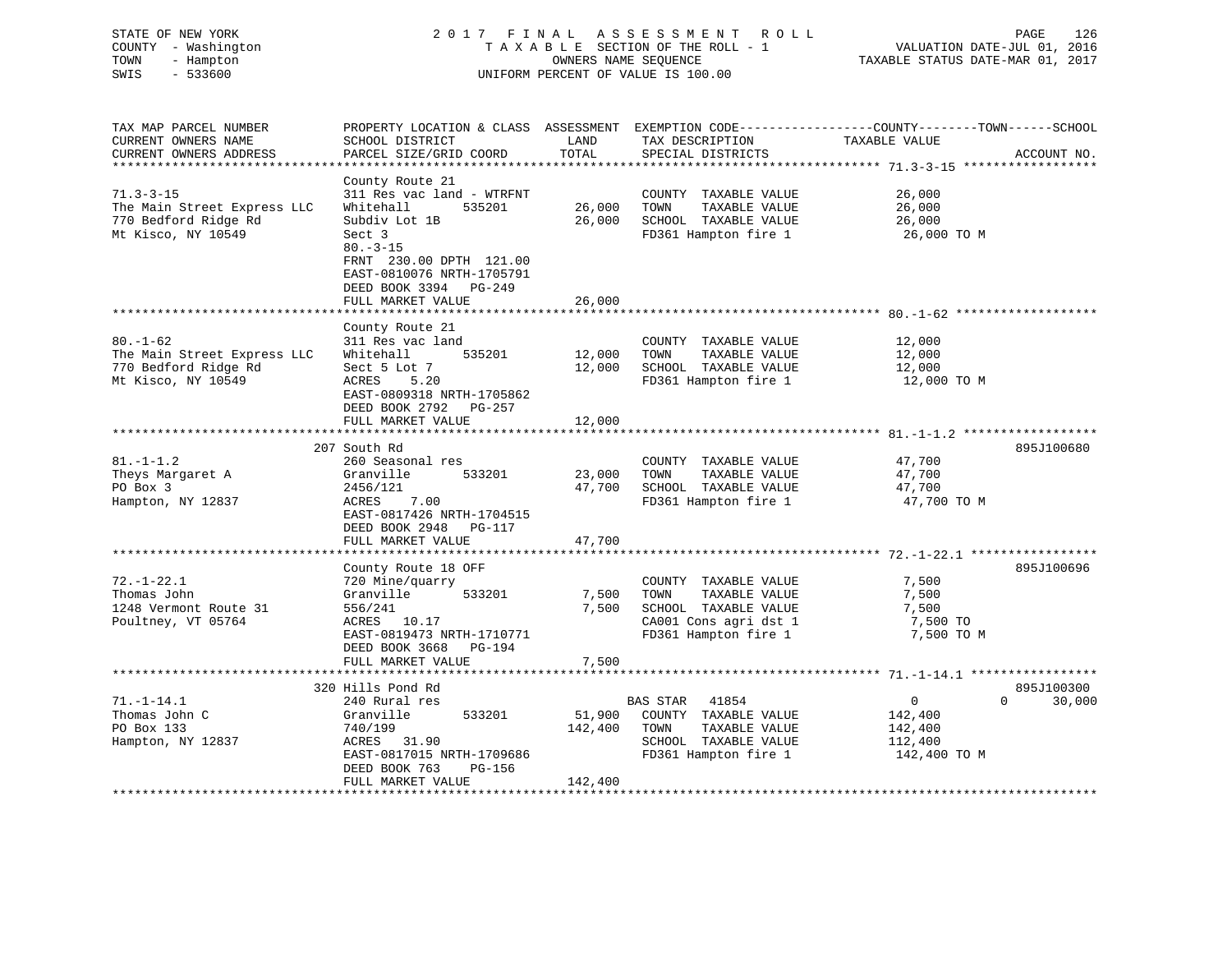| COUNTY - Washington<br>TOWN<br>- Hampton<br>OWNERS NAME SEQUENCE<br>TAXABLE STATUS DATE-MAR 01, 2017<br>SWIS<br>$-533600$<br>UNIFORM PERCENT OF VALUE IS 100.00 | VALUATION DATE-JUL 01, 2016 |
|-----------------------------------------------------------------------------------------------------------------------------------------------------------------|-----------------------------|
| TAX MAP PARCEL NUMBER<br>PROPERTY LOCATION & CLASS ASSESSMENT EXEMPTION CODE---------------COUNTY-------TOWN------SCHOOL                                        |                             |
| CURRENT OWNERS NAME<br>SCHOOL DISTRICT<br>LAND<br>TAX DESCRIPTION<br>TAXABLE VALUE                                                                              |                             |
| PARCEL SIZE/GRID COORD<br>TOTAL<br>SPECIAL DISTRICTS<br>CURRENT OWNERS ADDRESS                                                                                  | ACCOUNT NO.                 |
| County Route 21                                                                                                                                                 |                             |
| $71.3 - 3 - 15$<br>311 Res vac land - WTRFNT<br>26,000<br>COUNTY TAXABLE VALUE                                                                                  |                             |
| Whitehall<br>26,000<br>26,000<br>The Main Street Express LLC<br>535201<br>TOWN<br>TAXABLE VALUE                                                                 |                             |
| 770 Bedford Ridge Rd<br>Subdiv Lot 1B<br>26,000<br>SCHOOL TAXABLE VALUE<br>26,000                                                                               |                             |
| Mt Kisco, NY 10549<br>Sect 3<br>FD361 Hampton fire 1<br>26,000 TO M                                                                                             |                             |
| $80. - 3 - 15$                                                                                                                                                  |                             |
| FRNT 230.00 DPTH 121.00                                                                                                                                         |                             |
| EAST-0810076 NRTH-1705791<br>DEED BOOK 3394<br>PG-249                                                                                                           |                             |
| FULL MARKET VALUE<br>26,000                                                                                                                                     |                             |
| * * * * * * * * * * * * *                                                                                                                                       |                             |
| County Route 21                                                                                                                                                 |                             |
| $80. - 1 - 62$<br>311 Res vac land<br>COUNTY TAXABLE VALUE<br>12,000                                                                                            |                             |
| The Main Street Express LLC<br>Whitehall<br>12,000<br>TOWN<br>TAXABLE VALUE<br>12,000<br>535201                                                                 |                             |
| 770 Bedford Ridge Rd<br>Sect 5 Lot 7<br>12,000<br>SCHOOL TAXABLE VALUE<br>12,000<br>Mt Kisco, NY 10549<br>5.20<br>FD361 Hampton fire 1<br>12,000 TO M<br>ACRES  |                             |
| EAST-0809318 NRTH-1705862                                                                                                                                       |                             |
| DEED BOOK 2792<br>PG-257                                                                                                                                        |                             |
| FULL MARKET VALUE<br>12,000                                                                                                                                     |                             |
| ************************                                                                                                                                        |                             |
| 207 South Rd                                                                                                                                                    | 895J100680                  |
| $81. - 1 - 1.2$<br>260 Seasonal res<br>COUNTY TAXABLE VALUE<br>47,700<br>Theys Margaret A<br>Granville<br>533201<br>23,000<br>TOWN<br>TAXABLE VALUE<br>47,700   |                             |
| PO Box 3<br>2456/121<br>47,700<br>SCHOOL TAXABLE VALUE<br>47,700                                                                                                |                             |
| Hampton, NY 12837<br>ACRES<br>7.00<br>FD361 Hampton fire 1<br>47,700 TO M                                                                                       |                             |
| EAST-0817426 NRTH-1704515                                                                                                                                       |                             |
| DEED BOOK 2948<br>PG-117                                                                                                                                        |                             |
| FULL MARKET VALUE<br>47,700                                                                                                                                     |                             |
| ******************<br>************************* 72.-1-22.1 ******************                                                                                   | 895J100696                  |
| County Route 18 OFF<br>$72. - 1 - 22.1$<br>7,500<br>720 Mine/quarry<br>COUNTY TAXABLE VALUE                                                                     |                             |
| Thomas John<br>Granville<br>533201<br>7,500<br>TOWN<br>TAXABLE VALUE<br>7,500                                                                                   |                             |
| 1248 Vermont Route 31<br>556/241<br>7,500<br>SCHOOL TAXABLE VALUE<br>7,500                                                                                      |                             |
| Poultney, VT 05764<br>ACRES 10.17<br>CA001 Cons agri dst 1<br>7,500 TO                                                                                          |                             |
| EAST-0819473 NRTH-1710771<br>FD361 Hampton fire 1<br>7,500 TO M                                                                                                 |                             |
| DEED BOOK 3668<br>PG-194                                                                                                                                        |                             |
| 7,500<br>FULL MARKET VALUE                                                                                                                                      |                             |
|                                                                                                                                                                 |                             |
| **************************                                                                                                                                      |                             |
| 320 Hills Pond Rd<br>$71. - 1 - 14.1$<br>240 Rural res<br>BAS STAR<br>41854<br>0<br>0                                                                           | 895J100300<br>30,000        |
| Thomas John C<br>Granville<br>533201<br>51,900<br>COUNTY TAXABLE VALUE<br>142,400                                                                               |                             |
| PO Box 133<br>740/199<br>142,400<br>TAXABLE VALUE<br>TOWN<br>142,400                                                                                            |                             |
| SCHOOL TAXABLE VALUE<br>Hampton, NY 12837<br>112,400<br>ACRES<br>31.90                                                                                          |                             |
| FD361 Hampton fire 1<br>EAST-0817015 NRTH-1709686<br>142,400 TO M<br>DEED BOOK 763<br>PG-156                                                                    |                             |

\*\*\*\*\*\*\*\*\*\*\*\*\*\*\*\*\*\*\*\*\*\*\*\*\*\*\*\*\*\*\*\*\*\*\*\*\*\*\*\*\*\*\*\*\*\*\*\*\*\*\*\*\*\*\*\*\*\*\*\*\*\*\*\*\*\*\*\*\*\*\*\*\*\*\*\*\*\*\*\*\*\*\*\*\*\*\*\*\*\*\*\*\*\*\*\*\*\*\*\*\*\*\*\*\*\*\*\*\*\*\*\*\*\*\*\*\*\*\*\*\*\*\*\*\*\*\*\*\*\*\*\*

STATE OF NEW YORK 2 0 1 7 F I N A L A S S E S S M E N T R O L L PAGE 126

126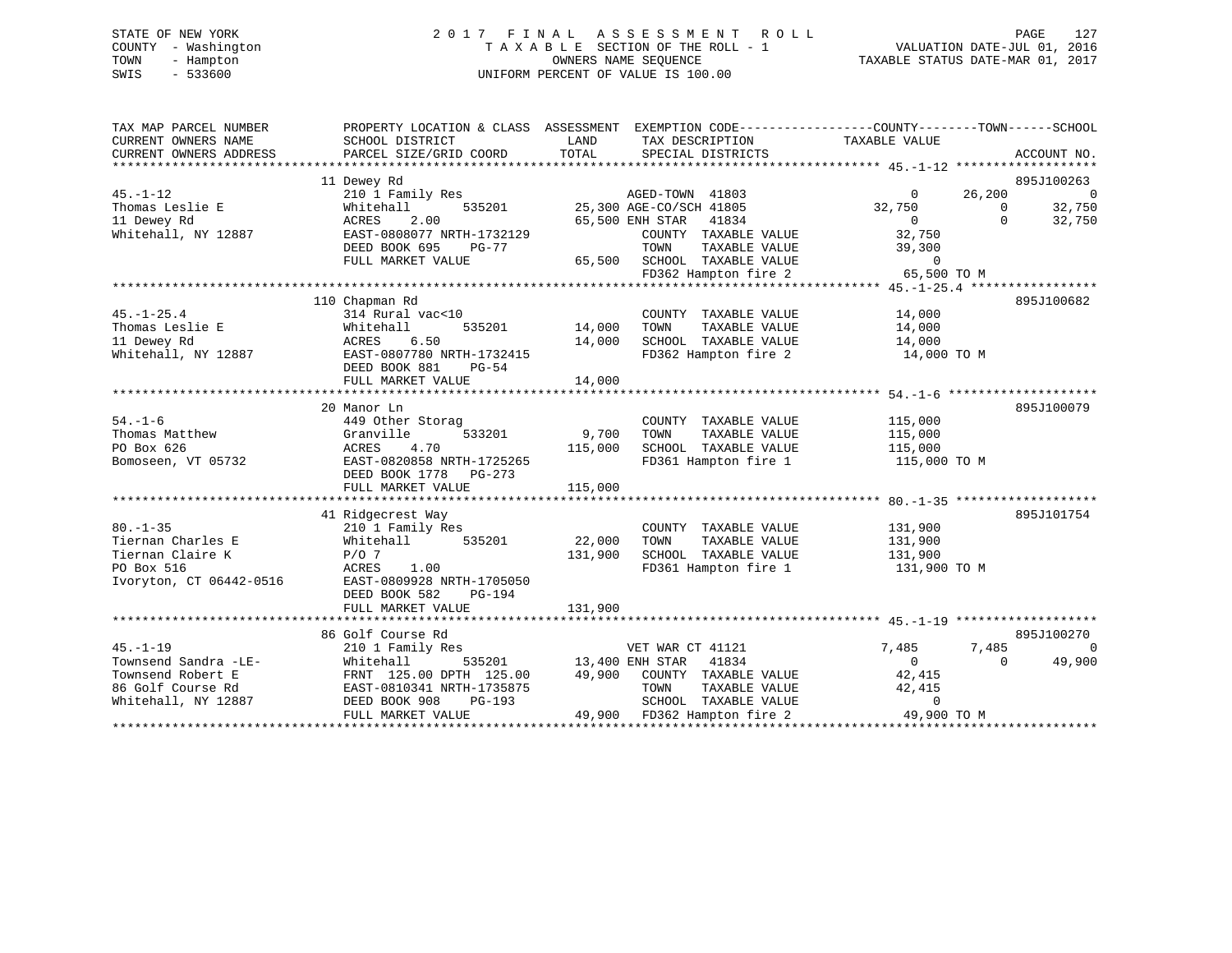# STATE OF NEW YORK 2 0 1 7 F I N A L A S S E S S M E N T R O L L PAGE 127 COUNTY - Washington T A X A B L E SECTION OF THE ROLL - 1 VALUATION DATE-JUL 01, 2016 TOWN - Hampton OWNERS NAME SEQUENCE TAXABLE STATUS DATE-MAR 01, 2017 SWIS - 533600 UNIFORM PERCENT OF VALUE IS 100.00

| SCHOOL DISTRICT<br>PARCEL SIZE/GRID COORD                                                                                             | LAND<br>TAX DESCRIPTION<br>TOTAL<br>SPECIAL DISTRICTS                                                                                    | TAXABLE VALUE<br>ACCOUNT NO.                                                                                                                                                                                            |
|---------------------------------------------------------------------------------------------------------------------------------------|------------------------------------------------------------------------------------------------------------------------------------------|-------------------------------------------------------------------------------------------------------------------------------------------------------------------------------------------------------------------------|
| 11 Dewey Rd<br>210 1 Family Res                                                                                                       | AGED-TOWN 41803                                                                                                                          | 895J100263<br>26,200<br>$\overline{0}$<br>$\overline{0}$                                                                                                                                                                |
| Whitehall<br>2.00<br>ACRES                                                                                                            | 65,500 ENH STAR<br>41834                                                                                                                 | 32,750<br>32,750<br>$\Omega$<br>$\overline{0}$<br>$\Omega$<br>32,750                                                                                                                                                    |
| DEED BOOK 695<br>PG-77<br>FULL MARKET VALUE                                                                                           | TOWN<br>TAXABLE VALUE<br>65,500 SCHOOL TAXABLE VALUE                                                                                     | 32,750<br>39,300<br>$\Omega$                                                                                                                                                                                            |
|                                                                                                                                       |                                                                                                                                          | 65,500 TO M                                                                                                                                                                                                             |
|                                                                                                                                       |                                                                                                                                          | 895J100682                                                                                                                                                                                                              |
| 314 Rural vac<10<br>535201<br>Whitehall<br>6.50<br>ACRES<br>EAST-0807780 NRTH-1732415<br>DEED BOOK 881<br>$PG-54$                     | COUNTY TAXABLE VALUE<br>14,000<br>TAXABLE VALUE<br>TOWN<br>SCHOOL TAXABLE VALUE<br>14,000<br>FD362 Hampton fire 2                        | 14,000<br>14,000<br>14,000<br>14,000 TO M                                                                                                                                                                               |
| FULL MARKET VALUE                                                                                                                     | 14,000                                                                                                                                   |                                                                                                                                                                                                                         |
| 20 Manor Ln                                                                                                                           |                                                                                                                                          | 895J100079                                                                                                                                                                                                              |
| 449 Other Storag<br>533201<br>Granville<br>4.70<br>ACRES<br>EAST-0820858 NRTH-1725265<br>DEED BOOK 1778 PG-273                        | COUNTY TAXABLE VALUE<br>9,700<br>TAXABLE VALUE<br>TOWN<br>115,000<br>SCHOOL TAXABLE VALUE<br>FD361 Hampton fire 1                        | 115,000<br>115,000<br>115,000<br>115,000 TO M                                                                                                                                                                           |
| FULL MARKET VALUE                                                                                                                     | 115,000                                                                                                                                  |                                                                                                                                                                                                                         |
|                                                                                                                                       |                                                                                                                                          | 895J101754                                                                                                                                                                                                              |
| 210 1 Family Res<br>535201<br>Whitehall<br>$P/O$ 7<br>ACRES<br>1.00<br>EAST-0809928 NRTH-1705050<br>DEED BOOK 582<br>PG-194           | COUNTY TAXABLE VALUE<br>22,000<br>TAXABLE VALUE<br>TOWN<br>131,900<br>SCHOOL TAXABLE VALUE<br>FD361 Hampton fire 1                       | 131,900<br>131,900<br>131,900<br>131,900 TO M                                                                                                                                                                           |
|                                                                                                                                       |                                                                                                                                          |                                                                                                                                                                                                                         |
| 86 Golf Course Rd                                                                                                                     |                                                                                                                                          | 895J100270                                                                                                                                                                                                              |
| 210 1 Family Res<br>Whitehall<br>FRNT 125.00 DPTH 125.00<br>EAST-0810341 NRTH-1735875<br>DEED BOOK 908<br>PG-193<br>FULL MARKET VALUE | VET WAR CT 41121<br>41834<br>49,900 COUNTY TAXABLE VALUE<br>TOWN<br>TAXABLE VALUE<br>SCHOOL TAXABLE VALUE<br>49,900 FD362 Hampton fire 2 | $\Omega$<br>7,485<br>7,485<br>49,900<br>$\Omega$<br>$\Omega$<br>42,415<br>42,415<br>$\Omega$<br>49,900 TO M                                                                                                             |
|                                                                                                                                       | EAST-0808077 NRTH-1732129<br>110 Chapman Rd<br>41 Ridgecrest Way<br>FULL MARKET VALUE                                                    | PROPERTY LOCATION & CLASS ASSESSMENT EXEMPTION CODE----------------COUNTY-------TOWN------SCHOOL<br>535201 25,300 AGE-CO/SCH 41805<br>COUNTY TAXABLE VALUE<br>FD362 Hampton fire 2<br>131,900<br>535201 13,400 ENH STAR |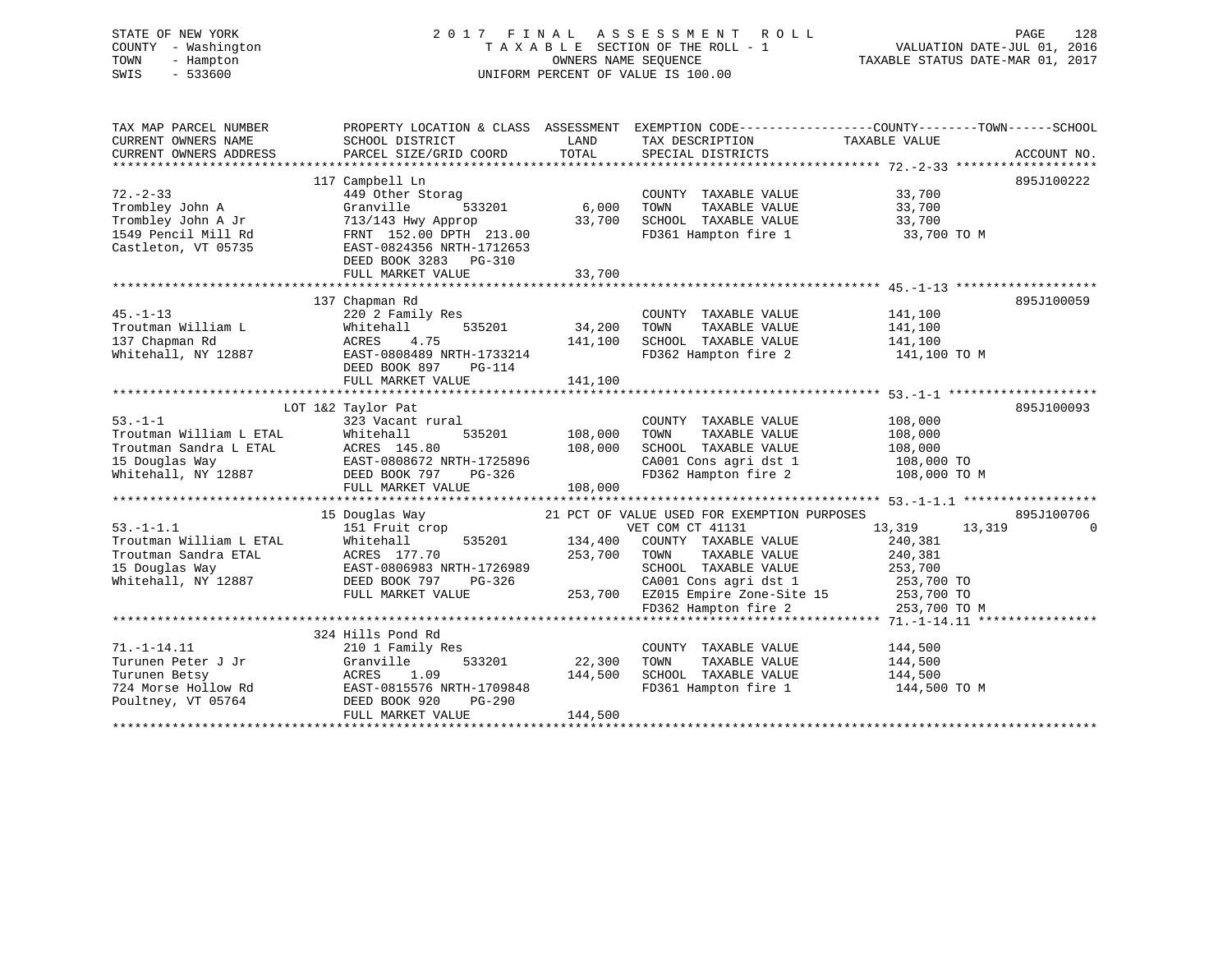| STATE OF NEW YORK<br>COUNTY - Washington<br>- Hampton<br>TOWN<br>SWIS<br>$-533600$ |                                                                                                            |         | 2017 FINAL ASSESSMENT ROLL<br>TAXABLE SECTION OF THE ROLL - 1<br>OWNERS NAME SEQUENCE<br>UNIFORM PERCENT OF VALUE IS 100.00 | PAGE<br>128<br>VALUATION DATE-JUL 01, 2016<br>TAXABLE STATUS DATE-MAR 01, 2017                                   |
|------------------------------------------------------------------------------------|------------------------------------------------------------------------------------------------------------|---------|-----------------------------------------------------------------------------------------------------------------------------|------------------------------------------------------------------------------------------------------------------|
| TAX MAP PARCEL NUMBER<br>CURRENT OWNERS NAME                                       | SCHOOL DISTRICT                                                                                            | LAND    | TAX DESCRIPTION                                                                                                             | PROPERTY LOCATION & CLASS ASSESSMENT EXEMPTION CODE---------------COUNTY-------TOWN------SCHOOL<br>TAXABLE VALUE |
| CURRENT OWNERS ADDRESS                                                             | PARCEL SIZE/GRID COORD                                                                                     | TOTAL   | SPECIAL DISTRICTS                                                                                                           | ACCOUNT NO.                                                                                                      |
|                                                                                    | 117 Campbell Ln                                                                                            |         |                                                                                                                             | 895J100222                                                                                                       |
| $72. - 2 - 33$                                                                     | 449 Other Storag                                                                                           |         | COUNTY TAXABLE VALUE                                                                                                        | 33,700                                                                                                           |
| Trombley John A                                                                    | ,<br>533201<br>Granville                                                                                   | 6,000   | TOWN<br>TAXABLE VALUE                                                                                                       | 33,700                                                                                                           |
| Trombley John A Jr                                                                 |                                                                                                            | 33,700  | SCHOOL TAXABLE VALUE                                                                                                        | 33,700                                                                                                           |
| 1549 Pencil Mill Rd<br>Castleton, VT 05735                                         | 713/143 Hwy Approp<br>FRNT 152.00 DPTH 213.00<br>EAST-0824356 NRTH-1712653                                 |         | FD361 Hampton fire 1                                                                                                        | 33,700 TO M                                                                                                      |
|                                                                                    | DEED BOOK 3283 PG-310<br>FULL MARKET VALUE                                                                 | 33,700  |                                                                                                                             |                                                                                                                  |
|                                                                                    |                                                                                                            |         |                                                                                                                             |                                                                                                                  |
|                                                                                    | 137 Chapman Rd                                                                                             |         |                                                                                                                             | 895J100059                                                                                                       |
| $45. - 1 - 13$                                                                     | 220 2 Family Res                                                                                           |         | COUNTY TAXABLE VALUE                                                                                                        | 141,100                                                                                                          |
| Troutman William L                                                                 | 535201<br>Whitehall                                                                                        | 34,200  | TOWN<br>TAXABLE VALUE                                                                                                       | 141,100                                                                                                          |
| 137 Chapman Rd                                                                     | 4.75<br>ACRES                                                                                              | 141,100 | SCHOOL TAXABLE VALUE                                                                                                        | 141,100                                                                                                          |
| Whitehall, NY 12887                                                                | EAST-0808489 NRTH-1733214                                                                                  |         | FD362 Hampton fire 2                                                                                                        | 141,100 TO M                                                                                                     |
|                                                                                    | DEED BOOK 897<br>PG-114                                                                                    |         |                                                                                                                             |                                                                                                                  |
|                                                                                    | FULL MARKET VALUE                                                                                          | 141,100 |                                                                                                                             |                                                                                                                  |
|                                                                                    |                                                                                                            |         |                                                                                                                             |                                                                                                                  |
|                                                                                    | LOT 1&2 Taylor Pat                                                                                         |         |                                                                                                                             | 895J100093                                                                                                       |
| $53. -1 - 1$                                                                       | 323 Vacant rural                                                                                           |         | COUNTY TAXABLE VALUE                                                                                                        | 108,000                                                                                                          |
| Troutman William L ETAL                                                            |                                                                                                            | 108,000 | TAXABLE VALUE<br>TOWN                                                                                                       | 108,000                                                                                                          |
| Troutman Sandra L ETAL                                                             |                                                                                                            | 108,000 | SCHOOL TAXABLE VALUE                                                                                                        | 108,000                                                                                                          |
| 15 Douglas Way<br>Whitehall, NY 12887                                              |                                                                                                            |         | CA001 Cons agri dst 1<br>FD362 Hampton fire 2                                                                               | 108,000 TO<br>108,000 TO M                                                                                       |
|                                                                                    | Whitehall 535201<br>ACRES 145.80<br>EAST-0808672 NRTH-1725896<br>DEED BOOK 797 PG-326<br>FULL MARKET VALUE | 108,000 |                                                                                                                             |                                                                                                                  |
|                                                                                    |                                                                                                            |         |                                                                                                                             |                                                                                                                  |
|                                                                                    | 15 Douglas Way                                                                                             |         | 21 PCT OF VALUE USED FOR EXEMPTION PURPOSES                                                                                 | 895J100706                                                                                                       |
| $53. - 1 - 1.1$                                                                    | 151 Fruit crop                                                                                             |         | VET COM CT 41131                                                                                                            | 13,319<br>$\Omega$<br>13,319                                                                                     |
| Troutman William L ETAL                                                            | Whitehall 535201<br>ACRES 177.70<br>EAST-0806983 NRTH-1726989                                              | 134,400 | COUNTY TAXABLE VALUE                                                                                                        | 240,381                                                                                                          |
| Troutman Sandra ETAL                                                               |                                                                                                            | 253,700 | TAXABLE VALUE<br>TOWN                                                                                                       | 240,381                                                                                                          |
| 15 Douglas Way                                                                     |                                                                                                            |         | SCHOOL TAXABLE VALUE                                                                                                        | 253,700                                                                                                          |
| Whitehall, NY 12887 DEED BOOK 797                                                  | PG-326                                                                                                     |         | $CAO01$ Cons agri dst 1                                                                                                     | 253,700 TO<br>253,700 TO                                                                                         |
|                                                                                    | FULL MARKET VALUE                                                                                          |         | 253,700 EZ015 Empire Zone-Site 15                                                                                           |                                                                                                                  |
|                                                                                    |                                                                                                            |         | FD362 Hampton fire 2                                                                                                        | 253,700 TO M                                                                                                     |
|                                                                                    |                                                                                                            |         |                                                                                                                             |                                                                                                                  |
|                                                                                    | 324 Hills Pond Rd                                                                                          |         |                                                                                                                             |                                                                                                                  |
| $71. - 1 - 14.11$<br>Turunen Peter J Jr                                            | 210 1 Family Res<br>533201<br>Granville                                                                    | 22,300  | COUNTY TAXABLE VALUE<br>TOWN<br>TAXABLE VALUE                                                                               | 144,500<br>144,500                                                                                               |
| Turunen Betsy                                                                      | ACRES<br>1.09                                                                                              | 144,500 | SCHOOL TAXABLE VALUE                                                                                                        | 144,500                                                                                                          |
| 724 Morse Hollow Rd                                                                | EAST-0815576 NRTH-1709848                                                                                  |         | FD361 Hampton fire 1                                                                                                        | 144,500 TO M                                                                                                     |
| Poultney, VT 05764                                                                 | DEED BOOK 920<br>PG-290                                                                                    |         |                                                                                                                             |                                                                                                                  |
|                                                                                    | FIILL MARKET VALUE                                                                                         | 144 500 |                                                                                                                             |                                                                                                                  |

FULL MARKET VALUE 144,500 \*\*\*\*\*\*\*\*\*\*\*\*\*\*\*\*\*\*\*\*\*\*\*\*\*\*\*\*\*\*\*\*\*\*\*\*\*\*\*\*\*\*\*\*\*\*\*\*\*\*\*\*\*\*\*\*\*\*\*\*\*\*\*\*\*\*\*\*\*\*\*\*\*\*\*\*\*\*\*\*\*\*\*\*\*\*\*\*\*\*\*\*\*\*\*\*\*\*\*\*\*\*\*\*\*\*\*\*\*\*\*\*\*\*\*\*\*\*\*\*\*\*\*\*\*\*\*\*\*\*\*\*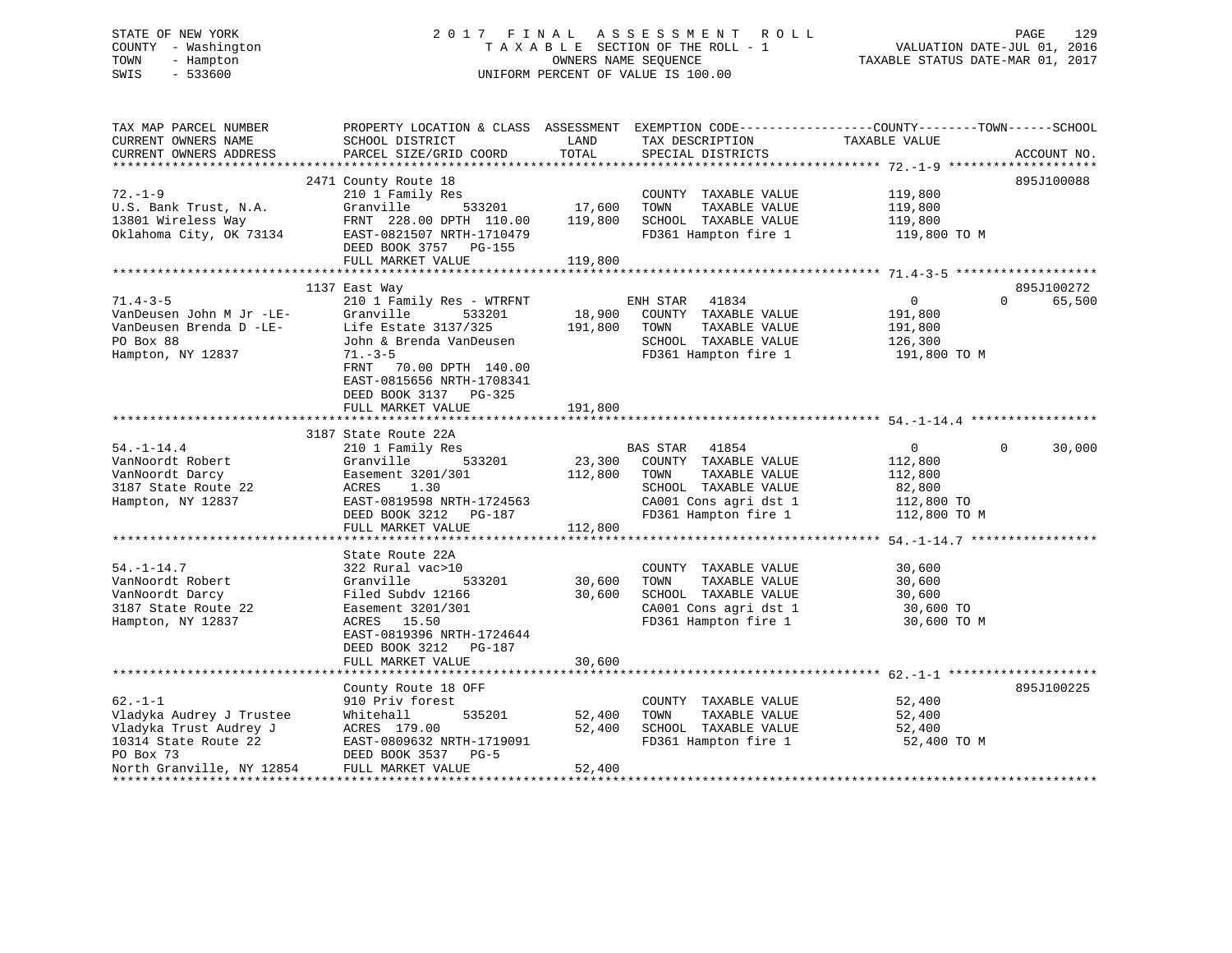# STATE OF NEW YORK 2 0 1 7 F I N A L A S S E S S M E N T R O L L PAGE 129 COUNTY - Washington T A X A B L E SECTION OF THE ROLL - 1 VALUATION DATE-JUL 01, 2016 TOWN - Hampton OWNERS NAME SEQUENCE TAXABLE STATUS DATE-MAR 01, 2017 SWIS - 533600 UNIFORM PERCENT OF VALUE IS 100.00

| TAX MAP PARCEL NUMBER<br>CURRENT OWNERS NAME<br>CURRENT OWNERS ADDRESS                                                               | PROPERTY LOCATION & CLASS ASSESSMENT<br>SCHOOL DISTRICT<br>PARCEL SIZE/GRID COORD                                                                                                                                                             | LAND<br>TOTAL                | TAX DESCRIPTION<br>SPECIAL DISTRICTS                                                                                                        | EXEMPTION CODE-----------------COUNTY-------TOWN------SCHOOL<br>TAXABLE VALUE | ACCOUNT NO.        |
|--------------------------------------------------------------------------------------------------------------------------------------|-----------------------------------------------------------------------------------------------------------------------------------------------------------------------------------------------------------------------------------------------|------------------------------|---------------------------------------------------------------------------------------------------------------------------------------------|-------------------------------------------------------------------------------|--------------------|
| $72. - 1 - 9$<br>U.S. Bank Trust, N.A.<br>13801 Wireless Way<br>Oklahoma City, OK 73134                                              | 2471 County Route 18<br>210 1 Family Res<br>Granville<br>533201<br>FRNT 228.00 DPTH 110.00<br>EAST-0821507 NRTH-1710479<br>DEED BOOK 3757<br>PG-155<br>FULL MARKET VALUE                                                                      | 17,600<br>119,800<br>119,800 | COUNTY TAXABLE VALUE<br>TOWN<br>TAXABLE VALUE<br>SCHOOL TAXABLE VALUE<br>FD361 Hampton fire 1                                               | 119,800<br>119,800<br>119,800<br>119,800 TO M                                 | 895J100088         |
|                                                                                                                                      |                                                                                                                                                                                                                                               |                              |                                                                                                                                             |                                                                               | 895J100272         |
| $71.4 - 3 - 5$<br>VanDeusen John M Jr -LE-<br>VanDeusen Brenda D -LE-<br>PO Box 88<br>Hampton, NY 12837                              | 1137 East Way<br>210 1 Family Res - WTRFNT<br>Granville<br>533201<br>Life Estate 3137/325<br>John & Brenda VanDeusen<br>$71. - 3 - 5$<br>FRNT<br>70.00 DPTH 140.00<br>EAST-0815656 NRTH-1708341<br>DEED BOOK 3137 PG-325<br>FULL MARKET VALUE | 18,900<br>191,800<br>191,800 | ENH STAR<br>41834<br>COUNTY TAXABLE VALUE<br>TOWN<br>TAXABLE VALUE<br>SCHOOL TAXABLE VALUE<br>FD361 Hampton fire 1                          | $\overline{0}$<br>191,800<br>191,800<br>126,300<br>191,800 TO M               | 65,500<br>$\Omega$ |
|                                                                                                                                      |                                                                                                                                                                                                                                               |                              |                                                                                                                                             |                                                                               |                    |
| $54. - 1 - 14.4$<br>VanNoordt Robert<br>VanNoordt Darcy<br>3187 State Route 22<br>Hampton, NY 12837                                  | 3187 State Route 22A<br>210 1 Family Res<br>533201<br>Granville<br>Easement 3201/301<br>1.30<br>ACRES<br>EAST-0819598 NRTH-1724563<br>DEED BOOK 3212<br>PG-187<br>FULL MARKET VALUE                                                           | 23,300<br>112,800<br>112,800 | BAS STAR<br>41854<br>COUNTY TAXABLE VALUE<br>TAXABLE VALUE<br>TOWN<br>SCHOOL TAXABLE VALUE<br>CA001 Cons agri dst 1<br>FD361 Hampton fire 1 | $\overline{0}$<br>112,800<br>112,800<br>82,800<br>112,800 TO<br>112,800 TO M  | 30,000<br>$\Omega$ |
|                                                                                                                                      |                                                                                                                                                                                                                                               |                              |                                                                                                                                             |                                                                               |                    |
| $54. - 1 - 14.7$<br>VanNoordt Robert<br>VanNoordt Darcy<br>3187 State Route 22<br>Hampton, NY 12837                                  | State Route 22A<br>322 Rural vac>10<br>533201<br>Granville<br>Filed Subdy 12166<br>Easement 3201/301<br>ACRES<br>15.50<br>EAST-0819396 NRTH-1724644                                                                                           | 30,600<br>30,600             | COUNTY TAXABLE VALUE<br>TOWN<br>TAXABLE VALUE<br>SCHOOL TAXABLE VALUE<br>CA001 Cons agri dst 1<br>FD361 Hampton fire 1                      | 30,600<br>30,600<br>30,600<br>30,600 TO<br>30,600 TO M                        |                    |
|                                                                                                                                      | DEED BOOK 3212<br>PG-187<br>FULL MARKET VALUE                                                                                                                                                                                                 | 30,600                       |                                                                                                                                             |                                                                               |                    |
|                                                                                                                                      |                                                                                                                                                                                                                                               |                              |                                                                                                                                             |                                                                               |                    |
| $62. -1 - 1$<br>Vladyka Audrey J Trustee<br>Vladyka Trust Audrey J<br>10314 State Route 22<br>PO Box 73<br>North Granville, NY 12854 | County Route 18 OFF<br>910 Priv forest<br>535201<br>Whitehall<br>ACRES 179.00<br>EAST-0809632 NRTH-1719091<br>DEED BOOK 3537<br>$PG-5$<br>FULL MARKET VALUE                                                                                   | 52,400<br>52,400<br>52,400   | COUNTY TAXABLE VALUE<br>TOWN<br>TAXABLE VALUE<br>SCHOOL TAXABLE VALUE<br>FD361 Hampton fire 1                                               | 52,400<br>52,400<br>52,400<br>52,400 TO M                                     | 895J100225         |
|                                                                                                                                      |                                                                                                                                                                                                                                               |                              |                                                                                                                                             |                                                                               |                    |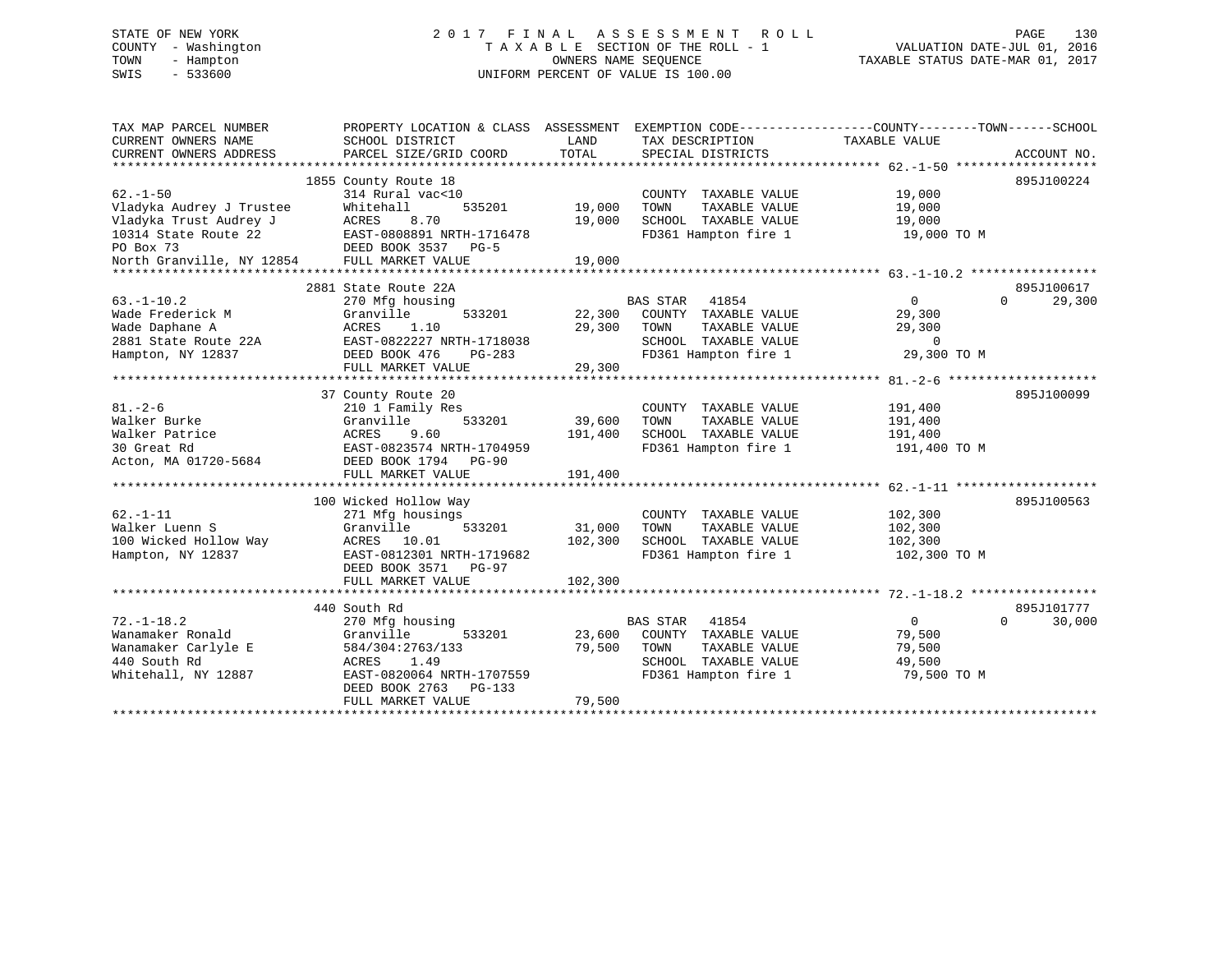# STATE OF NEW YORK 2 0 1 7 F I N A L A S S E S S M E N T R O L L PAGE 130 COUNTY - Washington T A X A B L E SECTION OF THE ROLL - 1 VALUATION DATE-JUL 01, 2016 TOWN - Hampton OWNERS NAME SEQUENCE TAXABLE STATUS DATE-MAR 01, 2017 SWIS - 533600 UNIFORM PERCENT OF VALUE IS 100.00

| TAX MAP PARCEL NUMBER     | PROPERTY LOCATION & CLASS ASSESSMENT    |                        | EXEMPTION CODE----------------COUNTY-------TOWN------SCHOOL |                |                    |
|---------------------------|-----------------------------------------|------------------------|-------------------------------------------------------------|----------------|--------------------|
| CURRENT OWNERS NAME       | SCHOOL DISTRICT                         | LAND                   | TAX DESCRIPTION                                             | TAXABLE VALUE  |                    |
| CURRENT OWNERS ADDRESS    | PARCEL SIZE/GRID COORD                  | TOTAL                  | SPECIAL DISTRICTS                                           |                | ACCOUNT NO.        |
|                           |                                         |                        |                                                             |                |                    |
|                           | 1855 County Route 18                    |                        |                                                             |                | 895J100224         |
| $62 - 1 - 50$             | 314 Rural vac<10                        |                        | COUNTY TAXABLE VALUE                                        | 19,000         |                    |
| Vladyka Audrey J Trustee  | Whitehall<br>535201                     | 19,000                 | TAXABLE VALUE<br>TOWN                                       | 19,000         |                    |
| Vladyka Trust Audrey J    | ACRES<br>8.70                           | 19,000                 | SCHOOL TAXABLE VALUE                                        | 19,000         |                    |
| 10314 State Route 22      | EAST-0808891 NRTH-1716478               |                        | FD361 Hampton fire 1                                        | 19,000 TO M    |                    |
| PO Box 73                 | DEED BOOK 3537 PG-5                     |                        |                                                             |                |                    |
| North Granville, NY 12854 | FULL MARKET VALUE                       | 19,000<br>************ |                                                             |                |                    |
|                           |                                         |                        |                                                             |                | 895J100617         |
| $63. -1 - 10.2$           | 2881 State Route 22A<br>270 Mfg housing |                        | 41854<br>BAS STAR                                           | $\overline{0}$ | 29,300<br>$\Omega$ |
| Wade Frederick M          | 533201<br>Granville                     | 22,300                 | COUNTY TAXABLE VALUE                                        | 29,300         |                    |
| Wade Daphane A            | 1.10<br>ACRES                           | 29,300                 | TOWN<br>TAXABLE VALUE                                       | 29,300         |                    |
| 2881 State Route 22A      | EAST-0822227 NRTH-1718038               |                        | SCHOOL TAXABLE VALUE                                        | $\Omega$       |                    |
| Hampton, NY 12837         | DEED BOOK 476<br>PG-283                 |                        | FD361 Hampton fire 1                                        | 29,300 TO M    |                    |
|                           | FULL MARKET VALUE                       | 29,300                 |                                                             |                |                    |
|                           |                                         |                        |                                                             |                |                    |
|                           | 37 County Route 20                      |                        |                                                             |                | 895J100099         |
| $81. - 2 - 6$             | 210 1 Family Res                        |                        | COUNTY TAXABLE VALUE                                        | 191,400        |                    |
| Walker Burke              | 533201<br>Granville                     | 39,600                 | TAXABLE VALUE<br>TOWN                                       | 191,400        |                    |
| Walker Patrice            | <b>ACRES</b><br>9.60                    | 191,400                | SCHOOL TAXABLE VALUE                                        | 191,400        |                    |
| 30 Great Rd               | EAST-0823574 NRTH-1704959               |                        | FD361 Hampton fire 1                                        | 191,400 TO M   |                    |
| Acton, MA 01720-5684      | DEED BOOK 1794 PG-90                    |                        |                                                             |                |                    |
|                           | FULL MARKET VALUE                       | 191,400                |                                                             |                |                    |
|                           |                                         |                        |                                                             |                |                    |
|                           | 100 Wicked Hollow Way                   |                        |                                                             |                | 895J100563         |
| $62. - 1 - 11$            | 271 Mfg housings                        |                        | COUNTY TAXABLE VALUE                                        | 102,300        |                    |
| Walker Luenn S            | Granville<br>533201                     | 31,000                 | TAXABLE VALUE<br>TOWN                                       | 102,300        |                    |
| 100 Wicked Hollow Way     | ACRES 10.01                             | 102,300                | SCHOOL TAXABLE VALUE                                        | 102,300        |                    |
| Hampton, NY 12837         | EAST-0812301 NRTH-1719682               |                        | FD361 Hampton fire 1                                        | 102,300 TO M   |                    |
|                           | DEED BOOK 3571 PG-97                    |                        |                                                             |                |                    |
|                           | FULL MARKET VALUE                       | 102,300                |                                                             |                |                    |
|                           |                                         |                        |                                                             |                |                    |
|                           | 440 South Rd                            |                        |                                                             |                | 895J101777         |
| $72. - 1 - 18.2$          | 270 Mfg housing                         |                        | <b>BAS STAR</b><br>41854                                    | $\overline{0}$ | 30,000<br>$\Omega$ |
| Wanamaker Ronald          | Granville<br>533201                     | 23,600                 | COUNTY TAXABLE VALUE                                        | 79,500         |                    |
| Wanamaker Carlyle E       | 584/304:2763/133                        | 79,500                 | TOWN<br>TAXABLE VALUE                                       | 79,500         |                    |
| 440 South Rd              | ACRES<br>1.49                           |                        | SCHOOL TAXABLE VALUE                                        | 49,500         |                    |
| Whitehall, NY 12887       | EAST-0820064 NRTH-1707559               |                        | FD361 Hampton fire 1                                        | 79,500 TO M    |                    |
|                           | DEED BOOK 2763 PG-133                   |                        |                                                             |                |                    |
|                           | FULL MARKET VALUE                       | 79,500                 |                                                             |                |                    |
|                           |                                         |                        |                                                             |                |                    |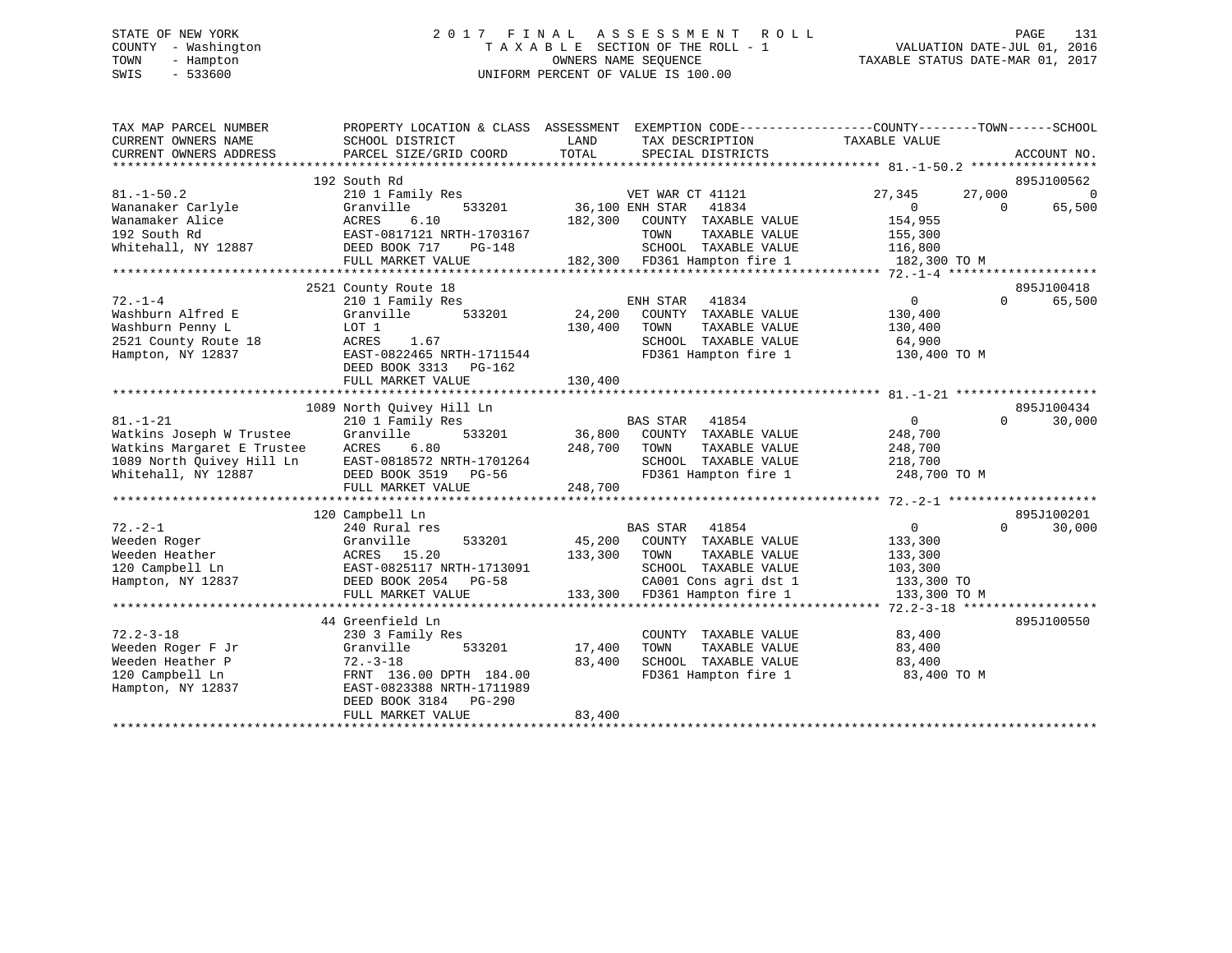# STATE OF NEW YORK 2 0 1 7 F I N A L A S S E S S M E N T R O L L PAGE 131 COUNTY - Washington T A X A B L E SECTION OF THE ROLL - 1 VALUATION DATE-JUL 01, 2016 TOWN - Hampton OWNERS NAME SEQUENCE TAXABLE STATUS DATE-MAR 01, 2017 SWIS - 533600 UNIFORM PERCENT OF VALUE IS 100.00

| TAX MAP PARCEL NUMBER<br>CURRENT OWNERS NAME<br>CURRENT OWNERS ADDRESS | PROPERTY LOCATION & CLASS ASSESSMENT<br>SCHOOL DISTRICT<br>PARCEL SIZE/GRID COORD | LAND<br>TOTAL   | TAX DESCRIPTION<br>SPECIAL DISTRICTS          | EXEMPTION CODE-----------------COUNTY-------TOWN------SCHOOL<br>TAXABLE VALUE | ACCOUNT NO.        |
|------------------------------------------------------------------------|-----------------------------------------------------------------------------------|-----------------|-----------------------------------------------|-------------------------------------------------------------------------------|--------------------|
|                                                                        | 192 South Rd                                                                      |                 |                                               |                                                                               | 895J100562         |
| $81. - 1 - 50.2$                                                       | 210 1 Family Res                                                                  |                 | VET WAR CT 41121                              | 27,000<br>27,345                                                              | $\Omega$           |
| Wananaker Carlyle                                                      | Granville<br>533201                                                               | 36,100 ENH STAR | 41834                                         | $\Omega$                                                                      | 65,500<br>$\Omega$ |
| Wanamaker Alice                                                        | 6.10<br>ACRES                                                                     | 182,300         | COUNTY TAXABLE VALUE                          | 154,955                                                                       |                    |
| 192 South Rd                                                           | EAST-0817121 NRTH-1703167                                                         |                 | TOWN<br>TAXABLE VALUE                         | 155,300                                                                       |                    |
| Whitehall, NY 12887                                                    | DEED BOOK 717<br>PG-148                                                           |                 | SCHOOL TAXABLE VALUE                          | 116,800                                                                       |                    |
|                                                                        | FULL MARKET VALUE                                                                 |                 | 182,300 FD361 Hampton fire 1                  | 182,300 TO M                                                                  |                    |
|                                                                        |                                                                                   |                 |                                               |                                                                               |                    |
|                                                                        | 2521 County Route 18                                                              |                 |                                               |                                                                               | 895J100418         |
| $72. - 1 - 4$                                                          | 210 1 Family Res                                                                  |                 | ENH STAR<br>41834                             | $\overline{0}$                                                                | $\Omega$<br>65,500 |
| Washburn Alfred E                                                      | 533201<br>Granville                                                               | 24,200          | COUNTY TAXABLE VALUE                          | 130,400                                                                       |                    |
| Washburn Penny L                                                       | LOT 1                                                                             | 130,400         | TOWN<br>TAXABLE VALUE                         | 130,400                                                                       |                    |
| 2521 County Route 18                                                   | ACRES<br>1.67                                                                     |                 | SCHOOL TAXABLE VALUE                          | 64,900                                                                        |                    |
| Hampton, NY 12837                                                      | EAST-0822465 NRTH-1711544                                                         |                 | FD361 Hampton fire 1                          | 130,400 TO M                                                                  |                    |
|                                                                        | DEED BOOK 3313 PG-162                                                             |                 |                                               |                                                                               |                    |
|                                                                        | FULL MARKET VALUE                                                                 | 130,400         |                                               |                                                                               |                    |
|                                                                        |                                                                                   |                 |                                               |                                                                               |                    |
|                                                                        | 1089 North Quivey Hill Ln                                                         |                 |                                               |                                                                               | 895J100434         |
| $81. - 1 - 21$                                                         | 210 1 Family Res                                                                  |                 | <b>BAS STAR</b><br>41854                      | $\overline{0}$                                                                | 30,000<br>$\Omega$ |
| Watkins Joseph W Trustee                                               | 533201<br>Granville                                                               | 36,800          | COUNTY TAXABLE VALUE                          | 248,700                                                                       |                    |
| Watkins Margaret E Trustee                                             | 6.80<br>ACRES                                                                     | 248,700         | TAXABLE VALUE<br>TOWN                         | 248,700                                                                       |                    |
| 1089 North Quivey Hill Ln                                              | EAST-0818572 NRTH-1701264                                                         |                 | SCHOOL TAXABLE VALUE                          | 218,700                                                                       |                    |
| Whitehall, NY 12887                                                    | DEED BOOK 3519 PG-56                                                              |                 | FD361 Hampton fire 1                          | 248,700 TO M                                                                  |                    |
|                                                                        | FULL MARKET VALUE                                                                 | 248,700         |                                               |                                                                               |                    |
|                                                                        |                                                                                   |                 |                                               |                                                                               |                    |
|                                                                        | 120 Campbell Ln                                                                   |                 |                                               |                                                                               | 895J100201         |
| $72. - 2 - 1$                                                          | 240 Rural res                                                                     |                 | BAS STAR<br>41854                             | $\overline{0}$                                                                | $\Omega$<br>30,000 |
| Weeden Roger                                                           | Granville<br>533201                                                               | 45,200          | COUNTY TAXABLE VALUE                          | 133,300                                                                       |                    |
| Weeden Heather                                                         | ACRES 15.20                                                                       | 133,300         | TOWN<br>TAXABLE VALUE                         | 133,300                                                                       |                    |
| 120 Campbell Ln                                                        | EAST-0825117 NRTH-1713091                                                         |                 | SCHOOL TAXABLE VALUE                          | 103,300                                                                       |                    |
| Hampton, NY 12837                                                      | DEED BOOK 2054 PG-58                                                              |                 | CA001 Cons agri dst 1                         | 133,300 TO                                                                    |                    |
|                                                                        | FULL MARKET VALUE                                                                 |                 | 133,300 FD361 Hampton fire 1                  | 133,300 TO M                                                                  |                    |
|                                                                        |                                                                                   |                 |                                               |                                                                               | 895J100550         |
| $72.2 - 3 - 18$                                                        | 44 Greenfield Ln<br>230 3 Family Res                                              |                 |                                               | 83,400                                                                        |                    |
| Weeden Roger F Jr                                                      | 533201<br>Granville                                                               | 17,400          | COUNTY TAXABLE VALUE<br>TAXABLE VALUE<br>TOWN | 83,400                                                                        |                    |
| Weeden Heather P                                                       | $72. - 3 - 18$                                                                    | 83,400          | SCHOOL TAXABLE VALUE                          | 83,400                                                                        |                    |
| 120 Campbell Ln                                                        | FRNT 136.00 DPTH 184.00                                                           |                 | FD361 Hampton fire 1                          | 83,400 TO M                                                                   |                    |
| Hampton, NY 12837                                                      | EAST-0823388 NRTH-1711989                                                         |                 |                                               |                                                                               |                    |
|                                                                        | DEED BOOK 3184<br>PG-290                                                          |                 |                                               |                                                                               |                    |
|                                                                        | FULL MARKET VALUE                                                                 | 83,400          |                                               |                                                                               |                    |
|                                                                        |                                                                                   |                 |                                               |                                                                               |                    |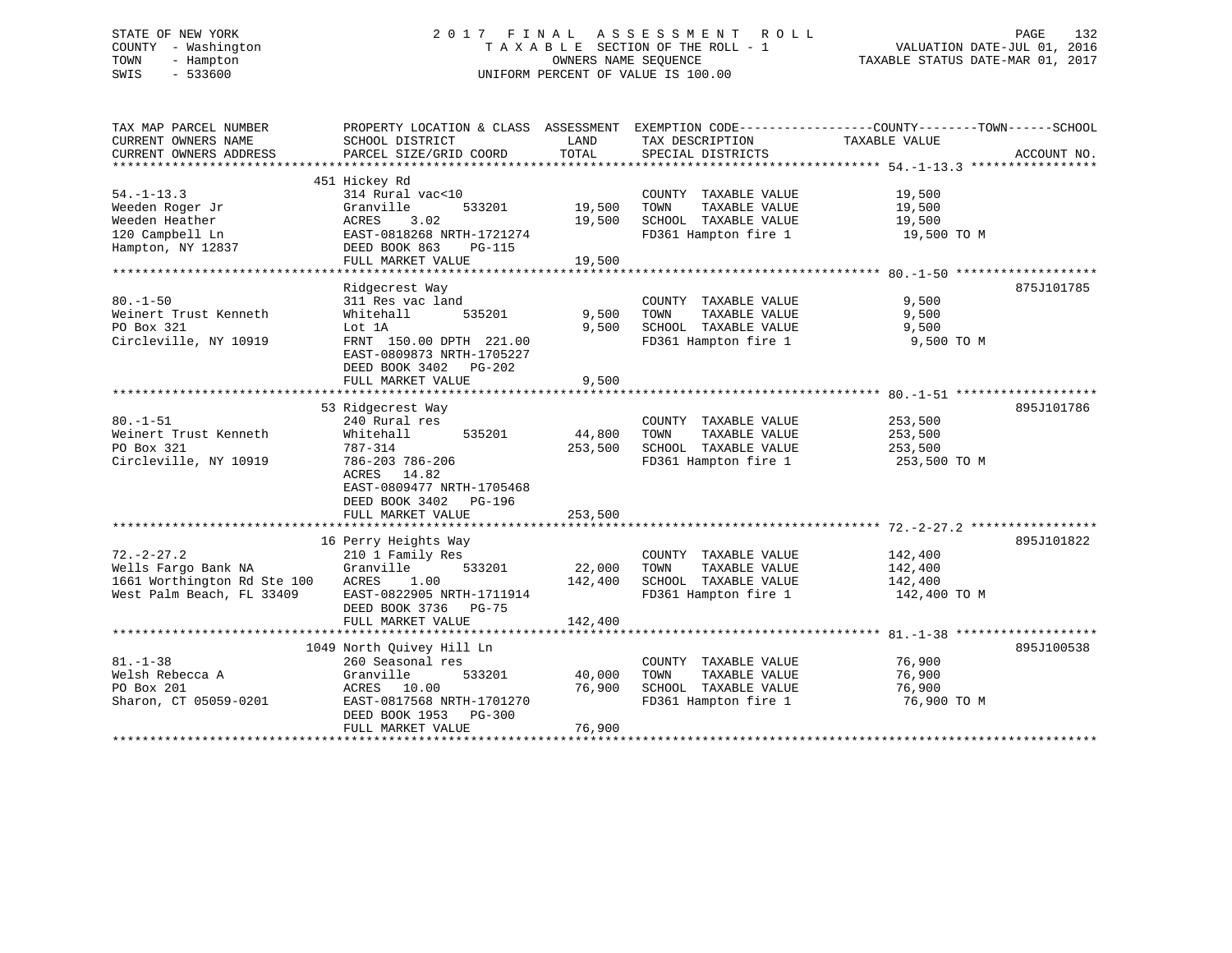# STATE OF NEW YORK 2 0 1 7 F I N A L A S S E S S M E N T R O L L PAGE 132 COUNTY - Washington T A X A B L E SECTION OF THE ROLL - 1 VALUATION DATE-JUL 01, 2016 TOWN - Hampton OWNERS NAME SEQUENCE TAXABLE STATUS DATE-MAR 01, 2017 SWIS - 533600 UNIFORM PERCENT OF VALUE IS 100.00

| TAX MAP PARCEL NUMBER<br>CURRENT OWNERS NAME<br>CURRENT OWNERS ADDRESS | PROPERTY LOCATION & CLASS ASSESSMENT EXEMPTION CODE----------------COUNTY-------TOWN------SCHOOL<br>SCHOOL DISTRICT<br>PARCEL SIZE/GRID COORD | LAND<br>TOTAL | TAX DESCRIPTION TAXABLE VALUE<br>SPECIAL DISTRICTS |              | ACCOUNT NO. |
|------------------------------------------------------------------------|-----------------------------------------------------------------------------------------------------------------------------------------------|---------------|----------------------------------------------------|--------------|-------------|
|                                                                        |                                                                                                                                               |               |                                                    |              |             |
|                                                                        | 451 Hickey Rd                                                                                                                                 |               |                                                    |              |             |
| $54. - 1 - 13.3$                                                       | 314 Rural vac<10                                                                                                                              |               | COUNTY TAXABLE VALUE                               | 19,500       |             |
| Weeden Roger Jr                                                        | Granville<br>533201                                                                                                                           | 19,500        | TAXABLE VALUE<br>TOWN                              | 19,500       |             |
| Weeden Heather                                                         | 3.02<br>ACRES                                                                                                                                 | 19,500        | SCHOOL TAXABLE VALUE                               | 19,500       |             |
| 120 Campbell Ln                                                        | EAST-0818268 NRTH-1721274                                                                                                                     |               | FD361 Hampton fire 1                               | 19,500 TO M  |             |
| Hampton, NY 12837                                                      | DEED BOOK 863<br>PG-115                                                                                                                       |               |                                                    |              |             |
|                                                                        | FULL MARKET VALUE                                                                                                                             | 19,500        |                                                    |              |             |
|                                                                        |                                                                                                                                               |               |                                                    |              |             |
|                                                                        | Ridgecrest Way                                                                                                                                |               |                                                    |              | 875J101785  |
| $80. - 1 - 50$                                                         | 311 Res vac land                                                                                                                              |               | COUNTY TAXABLE VALUE                               | 9,500        |             |
| Weinert Trust Kenneth                                                  | 535201<br>Whitehall                                                                                                                           | 9,500         | TAXABLE VALUE<br>TOWN                              | 9,500        |             |
| PO Box 321                                                             | Lot 1A                                                                                                                                        | 9,500         | SCHOOL TAXABLE VALUE                               | 9,500        |             |
| Circleville, NY 10919                                                  | FRNT 150.00 DPTH 221.00                                                                                                                       |               | FD361 Hampton fire 1                               | 9,500 TO M   |             |
|                                                                        | EAST-0809873 NRTH-1705227                                                                                                                     |               |                                                    |              |             |
|                                                                        | DEED BOOK 3402 PG-202                                                                                                                         |               |                                                    |              |             |
|                                                                        | FULL MARKET VALUE                                                                                                                             | 9,500         |                                                    |              |             |
|                                                                        |                                                                                                                                               |               |                                                    |              |             |
|                                                                        | 53 Ridgecrest Way                                                                                                                             |               |                                                    |              | 895J101786  |
| $80. - 1 - 51$                                                         | 240 Rural res                                                                                                                                 |               | COUNTY TAXABLE VALUE                               | 253,500      |             |
| Weinert Trust Kenneth                                                  | 535201<br>Whitehall                                                                                                                           | 44,800        | TAXABLE VALUE<br>TOWN                              | 253,500      |             |
| PO Box 321                                                             | 787-314                                                                                                                                       | 253,500       | SCHOOL TAXABLE VALUE                               | 253,500      |             |
| Circleville, NY 10919                                                  | 786-203 786-206                                                                                                                               |               | FD361 Hampton fire 1 253,500 TO M                  |              |             |
|                                                                        | ACRES 14.82                                                                                                                                   |               |                                                    |              |             |
|                                                                        | EAST-0809477 NRTH-1705468                                                                                                                     |               |                                                    |              |             |
|                                                                        | DEED BOOK 3402 PG-196                                                                                                                         |               |                                                    |              |             |
|                                                                        | FULL MARKET VALUE                                                                                                                             | 253,500       |                                                    |              |             |
|                                                                        |                                                                                                                                               |               |                                                    |              |             |
|                                                                        | 16 Perry Heights Way                                                                                                                          |               |                                                    |              | 895J101822  |
| $72. - 2 - 27.2$                                                       | 210 1 Family Res                                                                                                                              |               | COUNTY TAXABLE VALUE                               | 142,400      |             |
| Wells Fargo Bank NA                                                    | Granville<br>533201                                                                                                                           | 22,000        | TAXABLE VALUE<br>TOWN                              | 142,400      |             |
| 1661 Worthington Rd Ste 100 ACRES                                      | 1.00                                                                                                                                          | 142,400       | SCHOOL TAXABLE VALUE 142,400                       |              |             |
| West Palm Beach, FL 33409                                              | EAST-0822905 NRTH-1711914                                                                                                                     |               | FD361 Hampton fire 1                               | 142,400 TO M |             |
|                                                                        | DEED BOOK 3736 PG-75                                                                                                                          |               |                                                    |              |             |
|                                                                        | FULL MARKET VALUE                                                                                                                             | 142,400       |                                                    |              |             |
|                                                                        |                                                                                                                                               |               |                                                    |              |             |
|                                                                        | 1049 North Quivey Hill Ln                                                                                                                     |               |                                                    |              | 895J100538  |
| $81. - 1 - 38$                                                         | 260 Seasonal res                                                                                                                              |               | COUNTY TAXABLE VALUE                               | 76,900       |             |
| Welsh Rebecca A                                                        | Granville<br>533201                                                                                                                           | 40,000        | TOWN<br>TAXABLE VALUE                              | 76,900       |             |
| PO Box 201                                                             | ACRES 10.00                                                                                                                                   | 76,900        | SCHOOL TAXABLE VALUE                               | 76,900       |             |
| Sharon, CT 05059-0201                                                  | EAST-0817568 NRTH-1701270                                                                                                                     |               | FD361 Hampton fire 1                               | 76,900 TO M  |             |
|                                                                        | DEED BOOK 1953 PG-300                                                                                                                         |               |                                                    |              |             |
|                                                                        | FULL MARKET VALUE                                                                                                                             | 76,900        |                                                    |              |             |
|                                                                        |                                                                                                                                               |               |                                                    |              |             |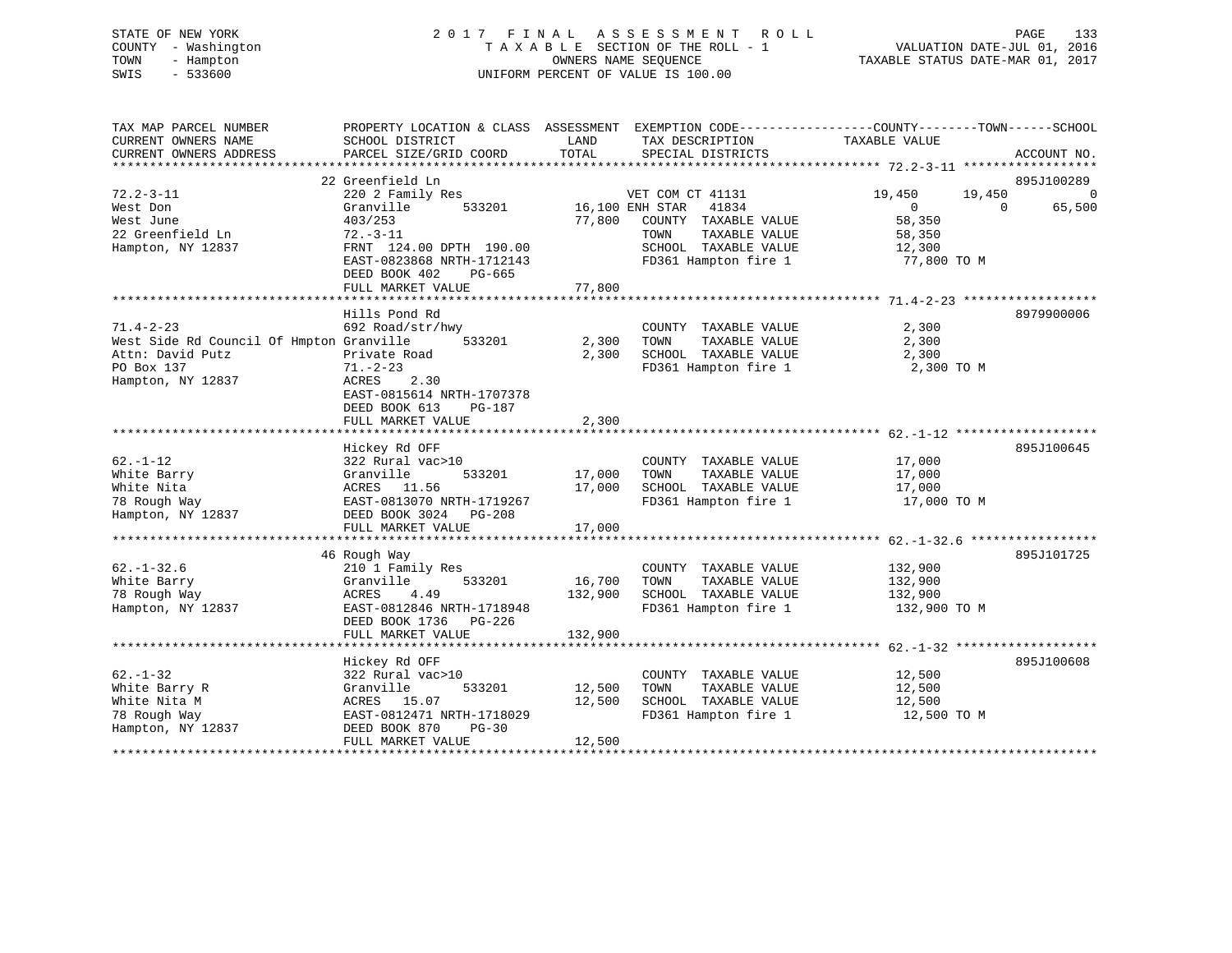# STATE OF NEW YORK 2 0 1 7 F I N A L A S S E S S M E N T R O L L PAGE 133 COUNTY - Washington T A X A B L E SECTION OF THE ROLL - 1 VALUATION DATE-JUL 01, 2016 TOWN - Hampton OWNERS NAME SEQUENCE TAXABLE STATUS DATE-MAR 01, 2017 SWIS - 533600 UNIFORM PERCENT OF VALUE IS 100.00

| TAX MAP PARCEL NUMBER<br>CURRENT OWNERS NAME<br>CURRENT OWNERS ADDRESS                                             | PROPERTY LOCATION & CLASS ASSESSMENT<br>SCHOOL DISTRICT<br>PARCEL SIZE/GRID COORD                                                                                              | LAND<br>TOTAL                | EXEMPTION CODE-----------------COUNTY-------TOWN------SCHOOL<br>TAX DESCRIPTION<br>SPECIAL DISTRICTS                                          | TAXABLE VALUE                                                             | ACCOUNT NO.                    |
|--------------------------------------------------------------------------------------------------------------------|--------------------------------------------------------------------------------------------------------------------------------------------------------------------------------|------------------------------|-----------------------------------------------------------------------------------------------------------------------------------------------|---------------------------------------------------------------------------|--------------------------------|
|                                                                                                                    |                                                                                                                                                                                |                              |                                                                                                                                               |                                                                           |                                |
|                                                                                                                    | 22 Greenfield Ln                                                                                                                                                               |                              |                                                                                                                                               |                                                                           | 895J100289                     |
| $72.2 - 3 - 11$<br>West Don<br>West June<br>22 Greenfield Ln<br>Hampton, NY 12837                                  | 220 2 Family Res<br>Granville<br>533201<br>403/253<br>$72. - 3 - 11$<br>FRNT 124.00 DPTH 190.00<br>EAST-0823868 NRTH-1712143<br>DEED BOOK 402<br>$PG-665$<br>FULL MARKET VALUE | 77,800<br>77,800             | VET COM CT 41131<br>16,100 ENH STAR<br>41834<br>COUNTY TAXABLE VALUE<br>TOWN<br>TAXABLE VALUE<br>SCHOOL TAXABLE VALUE<br>FD361 Hampton fire 1 | 19,450<br>19,450<br>$\Omega$<br>58,350<br>58,350<br>12,300<br>77,800 TO M | $\Omega$<br>65,500<br>$\Omega$ |
|                                                                                                                    |                                                                                                                                                                                |                              |                                                                                                                                               |                                                                           |                                |
| $71.4 - 2 - 23$<br>West Side Rd Council Of Hmpton Granville<br>Attn: David Putz<br>PO Box 137<br>Hampton, NY 12837 | Hills Pond Rd<br>692 Road/str/hwy<br>533201<br>Private Road<br>$71. - 2 - 23$<br>ACRES<br>2.30<br>EAST-0815614 NRTH-1707378<br>DEED BOOK 613<br>PG-187                         | 2,300<br>2,300               | COUNTY TAXABLE VALUE<br>TOWN<br>TAXABLE VALUE<br>SCHOOL TAXABLE VALUE<br>FD361 Hampton fire 1                                                 | 2,300<br>2,300<br>2,300<br>2,300 TO M                                     | 8979900006                     |
|                                                                                                                    | FULL MARKET VALUE                                                                                                                                                              | 2,300                        |                                                                                                                                               |                                                                           |                                |
|                                                                                                                    |                                                                                                                                                                                |                              |                                                                                                                                               |                                                                           |                                |
| $62. - 1 - 12$<br>White Barry<br>White Nita<br>78 Rough Way<br>Hampton, NY 12837                                   | Hickey Rd OFF<br>322 Rural vac>10<br>Granville<br>533201<br>ACRES 11.56<br>EAST-0813070 NRTH-1719267<br>DEED BOOK 3024<br>$PG-208$                                             | 17,000<br>17,000             | COUNTY TAXABLE VALUE<br>TAXABLE VALUE<br>TOWN<br>SCHOOL TAXABLE VALUE<br>FD361 Hampton fire 1                                                 | 17,000<br>17,000<br>17,000<br>17,000 TO M                                 | 895J100645                     |
|                                                                                                                    | FULL MARKET VALUE                                                                                                                                                              | 17,000                       |                                                                                                                                               |                                                                           |                                |
|                                                                                                                    |                                                                                                                                                                                |                              |                                                                                                                                               |                                                                           |                                |
| $62. - 1 - 32.6$<br>White Barry<br>78 Rough Way<br>Hampton, NY 12837                                               | 46 Rough Way<br>210 1 Family Res<br>Granville<br>533201<br>4.49<br>ACRES<br>EAST-0812846 NRTH-1718948<br>DEED BOOK 1736<br>PG-226<br>FULL MARKET VALUE                         | 16,700<br>132,900<br>132,900 | COUNTY TAXABLE VALUE<br>TAXABLE VALUE<br>TOWN<br>SCHOOL TAXABLE VALUE<br>FD361 Hampton fire 1                                                 | 132,900<br>132,900<br>132,900<br>132,900 TO M                             | 895J101725                     |
|                                                                                                                    |                                                                                                                                                                                |                              |                                                                                                                                               |                                                                           |                                |
| $62. - 1 - 32$<br>White Barry R<br>White Nita M<br>78 Rough Way<br>Hampton, NY 12837                               | Hickey Rd OFF<br>322 Rural vac>10<br>Granville<br>533201<br>15.07<br>ACRES<br>EAST-0812471 NRTH-1718029<br>DEED BOOK 870<br>$PG-30$<br>FULL MARKET VALUE                       | 12,500<br>12,500<br>12,500   | COUNTY TAXABLE VALUE<br>TAXABLE VALUE<br>TOWN<br>SCHOOL TAXABLE VALUE<br>FD361 Hampton fire 1                                                 | 12,500<br>12,500<br>12,500<br>12,500 TO M                                 | 895J100608                     |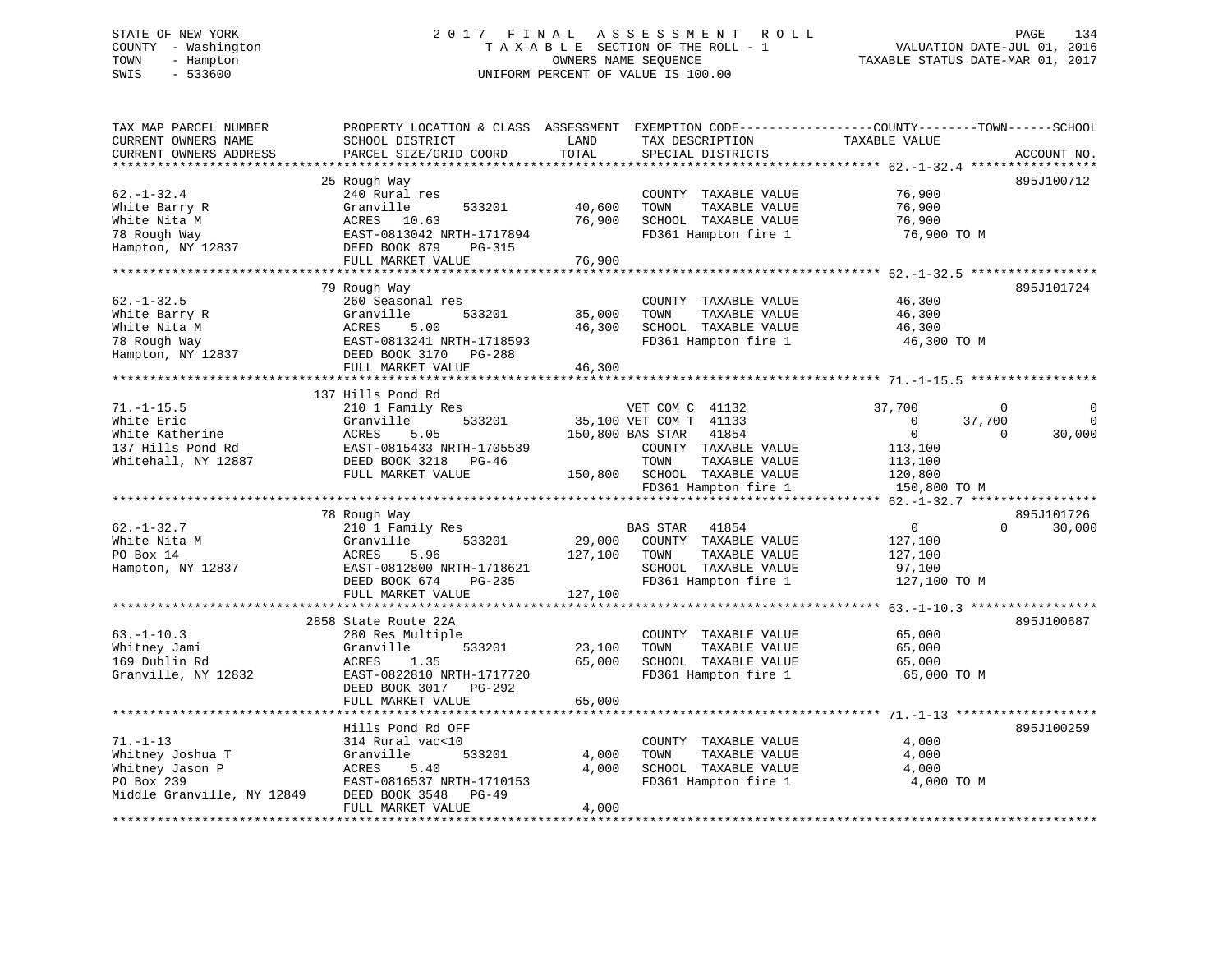# STATE OF NEW YORK 2 0 1 7 F I N A L A S S E S S M E N T R O L L PAGE 134 COUNTY - Washington T A X A B L E SECTION OF THE ROLL - 1 VALUATION DATE-JUL 01, 2016 TOWN - Hampton OWNERS NAME SEQUENCE TAXABLE STATUS DATE-MAR 01, 2017 SWIS - 533600 UNIFORM PERCENT OF VALUE IS 100.00

| TAX MAP PARCEL NUMBER<br>CURRENT OWNERS NAME<br>CURRENT OWNERS ADDRESS                            | PROPERTY LOCATION & CLASS ASSESSMENT<br>SCHOOL DISTRICT<br>PARCEL SIZE/GRID COORD                                                         | LAND<br>TOTAL                | EXEMPTION CODE-----------------COUNTY-------TOWN------SCHOOL<br>TAX DESCRIPTION<br>SPECIAL DISTRICTS               | TAXABLE VALUE                                                | ACCOUNT NO.        |
|---------------------------------------------------------------------------------------------------|-------------------------------------------------------------------------------------------------------------------------------------------|------------------------------|--------------------------------------------------------------------------------------------------------------------|--------------------------------------------------------------|--------------------|
|                                                                                                   |                                                                                                                                           |                              |                                                                                                                    |                                                              |                    |
| $62. - 1 - 32.4$<br>White Barry R<br>White Nita M<br>78 Rough Way                                 | 25 Rough Way<br>240 Rural res<br>Granville<br>533201<br>ACRES 10.63<br>EAST-0813042 NRTH-1717894                                          | 40,600<br>76,900             | COUNTY TAXABLE VALUE<br>TOWN<br>TAXABLE VALUE<br>SCHOOL TAXABLE VALUE<br>FD361 Hampton fire 1                      | 76,900<br>76,900<br>76,900<br>76,900 TO M                    | 895J100712         |
| Hampton, NY 12837                                                                                 | DEED BOOK 879<br><b>PG-315</b>                                                                                                            |                              |                                                                                                                    |                                                              |                    |
|                                                                                                   | FULL MARKET VALUE                                                                                                                         | 76,900                       |                                                                                                                    |                                                              |                    |
|                                                                                                   | 79 Rough Way                                                                                                                              |                              |                                                                                                                    |                                                              | 895J101724         |
| $62. - 1 - 32.5$<br>White Barry R<br>White Nita M<br>78 Rough Way<br>Hampton, NY 12837            | 260 Seasonal res<br>533201<br>Granville<br>ACRES<br>5.00<br>EAST-0813241 NRTH-1718593<br>DEED BOOK 3170 PG-288                            | 35,000<br>46,300             | COUNTY TAXABLE VALUE<br>TAXABLE VALUE<br>TOWN<br>SCHOOL TAXABLE VALUE<br>FD361 Hampton fire 1                      | 46,300<br>46,300<br>46,300<br>46,300 TO M                    |                    |
|                                                                                                   | FULL MARKET VALUE                                                                                                                         | 46,300                       |                                                                                                                    |                                                              |                    |
|                                                                                                   |                                                                                                                                           |                              |                                                                                                                    |                                                              |                    |
| $71. - 1 - 15.5$                                                                                  | 137 Hills Pond Rd<br>210 1 Family Res                                                                                                     |                              | VET COM C 41132                                                                                                    | 37,700                                                       | $\mathbf{0}$       |
| White Eric                                                                                        | Granville<br>533201                                                                                                                       |                              | 35,100 VET COM T 41133                                                                                             | 37,700<br>$\Omega$                                           | $\Omega$           |
| White Katherine<br>137 Hills Pond Rd<br>Whitehall, NY 12887                                       | ACRES<br>5.05<br>EAST-0815433 NRTH-1705539<br>DEED BOOK 3218<br>PG-46<br>FULL MARKET VALUE                                                | 150,800                      | 41854<br>150,800 BAS STAR<br>COUNTY TAXABLE VALUE<br>TOWN<br>TAXABLE VALUE<br>SCHOOL TAXABLE VALUE                 | $\Omega$<br>113,100<br>113,100<br>120,800                    | 30,000<br>$\Omega$ |
|                                                                                                   |                                                                                                                                           |                              | FD361 Hampton fire 1                                                                                               | 150,800 TO M                                                 |                    |
|                                                                                                   | 78 Rough Way                                                                                                                              |                              |                                                                                                                    |                                                              | 895J101726         |
| $62. - 1 - 32.7$<br>White Nita M<br>PO Box 14<br>Hampton, NY 12837                                | 210 1 Family Res<br>533201<br>Granville<br>5.96<br>ACRES<br>EAST-0812800 NRTH-1718621<br>DEED BOOK 674<br>$PG-235$<br>FULL MARKET VALUE   | 29,000<br>127,100<br>127,100 | BAS STAR<br>41854<br>COUNTY TAXABLE VALUE<br>TAXABLE VALUE<br>TOWN<br>SCHOOL TAXABLE VALUE<br>FD361 Hampton fire 1 | $\mathbf{0}$<br>127,100<br>127,100<br>97,100<br>127,100 TO M | 30,000<br>$\Omega$ |
|                                                                                                   |                                                                                                                                           |                              |                                                                                                                    |                                                              |                    |
| $63. -1 - 10.3$<br>Whitney Jami<br>169 Dublin Rd<br>Granville, NY 12832                           | 2858 State Route 22A<br>280 Res Multiple<br>Granville<br>533201<br>ACRES<br>1.35<br>EAST-0822810 NRTH-1717720<br>DEED BOOK 3017<br>PG-292 | 23,100<br>65,000             | COUNTY TAXABLE VALUE<br>TOWN<br>TAXABLE VALUE<br>SCHOOL TAXABLE VALUE<br>FD361 Hampton fire 1                      | 65,000<br>65,000<br>65,000<br>65,000 TO M                    | 895J100687         |
|                                                                                                   | FULL MARKET VALUE                                                                                                                         | 65,000                       |                                                                                                                    |                                                              |                    |
|                                                                                                   | **********************<br>Hills Pond Rd OFF                                                                                               |                              |                                                                                                                    | ************************* 71._1_13 ********************      | 895J100259         |
| $71. - 1 - 13$<br>Whitney Joshua T<br>Whitney Jason P<br>PO Box 239<br>Middle Granville, NY 12849 | 314 Rural vac<10<br>Granville<br>533201<br>ACRES<br>5.40<br>EAST-0816537 NRTH-1710153<br>DEED BOOK 3548<br>$PG-49$<br>FULL MARKET VALUE   | 4,000<br>4,000<br>4,000      | COUNTY TAXABLE VALUE<br>TAXABLE VALUE<br>TOWN<br>SCHOOL TAXABLE VALUE<br>FD361 Hampton fire 1                      | 4,000<br>4,000<br>4,000<br>4,000 TO M                        |                    |
|                                                                                                   |                                                                                                                                           |                              |                                                                                                                    |                                                              |                    |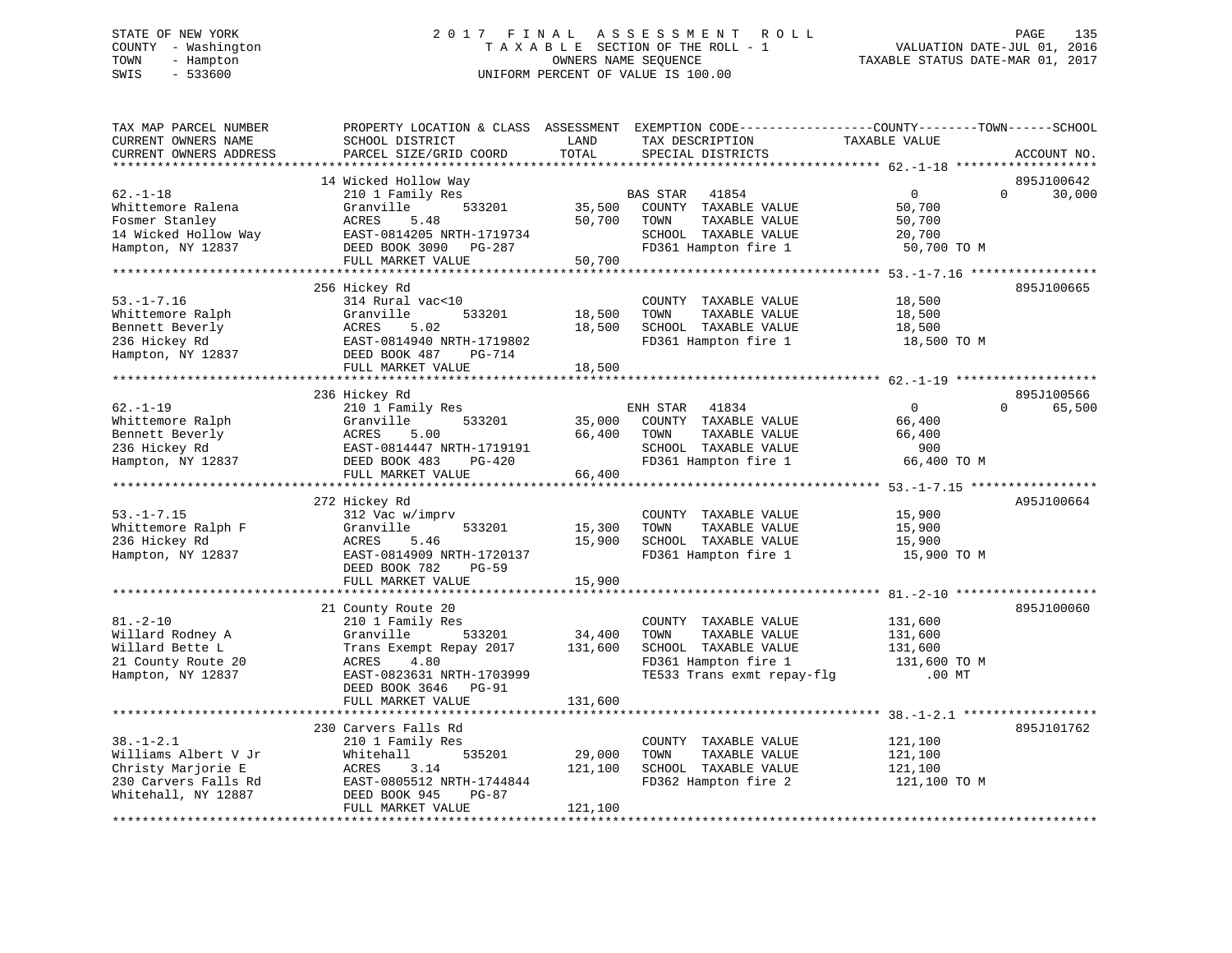# STATE OF NEW YORK 2 0 1 7 F I N A L A S S E S S M E N T R O L L PAGE 135 COUNTY - Washington T A X A B L E SECTION OF THE ROLL - 1 VALUATION DATE-JUL 01, 2016 TOWN - Hampton OWNERS NAME SEQUENCE TAXABLE STATUS DATE-MAR 01, 2017 SWIS - 533600 UNIFORM PERCENT OF VALUE IS 100.00UNIFORM PERCENT OF VALUE IS 100.00

| TAX MAP PARCEL NUMBER<br>CURRENT OWNERS NAME<br>CURRENT OWNERS ADDRESS                                                      | PROPERTY LOCATION & CLASS ASSESSMENT<br>SCHOOL DISTRICT<br>PARCEL SIZE/GRID COORD                                                                                                        | LAND<br>TOTAL                                     | EXEMPTION CODE----------------COUNTY-------TOWN------SCHOOL<br>TAX DESCRIPTION<br>SPECIAL DISTRICTS                         | TAXABLE VALUE                                                                                                     | ACCOUNT NO.                      |
|-----------------------------------------------------------------------------------------------------------------------------|------------------------------------------------------------------------------------------------------------------------------------------------------------------------------------------|---------------------------------------------------|-----------------------------------------------------------------------------------------------------------------------------|-------------------------------------------------------------------------------------------------------------------|----------------------------------|
| *********************<br>$62. - 1 - 18$<br>Whittemore Ralena<br>Fosmer Stanley<br>14 Wicked Hollow Way<br>Hampton, NY 12837 | 14 Wicked Hollow Way<br>210 1 Family Res<br>Granville<br>533201<br>ACRES<br>5.48<br>EAST-0814205 NRTH-1719734<br>DEED BOOK 3090 PG-287<br>FULL MARKET VALUE                              | 35,500<br>50,700<br>50,700<br>******************* | 41854<br>BAS STAR<br>COUNTY TAXABLE VALUE<br>TOWN<br>TAXABLE VALUE<br>SCHOOL TAXABLE VALUE<br>FD361 Hampton fire 1          | 0<br>50,700<br>50,700<br>20,700<br>50,700 TO M<br>********** 53.-1-7.16 ****                                      | 895J100642<br>$\Omega$<br>30,000 |
| $53. - 1 - 7.16$<br>Whittemore Ralph<br>Bennett Beverly<br>236 Hickey Rd<br>Hampton, NY 12837                               | 256 Hickey Rd<br>314 Rural vac<10<br>Granville<br>533201<br>ACRES<br>5.02<br>EAST-0814940 NRTH-1719802<br>DEED BOOK 487<br><b>PG-714</b><br>FULL MARKET VALUE                            | 18,500<br>18,500<br>18,500                        | COUNTY TAXABLE VALUE<br>TOWN<br>TAXABLE VALUE<br>SCHOOL TAXABLE VALUE<br>FD361 Hampton fire 1                               | 18,500<br>18,500<br>18,500<br>18,500 TO M                                                                         | 895J100665                       |
| $62. - 1 - 19$<br>Whittemore Ralph<br>Bennett Beverly<br>236 Hickey Rd<br>Hampton, NY 12837                                 | 236 Hickey Rd<br>210 1 Family Res<br>Granville<br>533201<br>ACRES<br>5.00<br>EAST-0814447 NRTH-1719191<br>DEED BOOK 483<br>$PG-420$<br>FULL MARKET VALUE                                 | 35,000<br>66,400<br>66,400                        | ENH STAR<br>41834<br>COUNTY TAXABLE VALUE<br>TOWN<br>TAXABLE VALUE<br>SCHOOL TAXABLE VALUE<br>FD361 Hampton fire 1          | $\mathbf 0$<br>66,400<br>66,400<br>900<br>66,400 TO M                                                             | 895J100566<br>65,500<br>$\Omega$ |
| $53. - 1 - 7.15$<br>Whittemore Ralph F<br>236 Hickey Rd<br>Hampton, NY 12837                                                | 272 Hickey Rd<br>312 Vac w/imprv<br>Granville<br>533201<br>5.46<br>ACRES<br>EAST-0814909 NRTH-1720137<br>DEED BOOK 782<br>$PG-59$<br>FULL MARKET VALUE<br>**********************         | 15,300<br>15,900<br>15,900                        | COUNTY TAXABLE VALUE<br>TOWN<br>TAXABLE VALUE<br>SCHOOL TAXABLE VALUE<br>FD361 Hampton fire 1                               | 15,900<br>15,900<br>15,900<br>15,900 TO M                                                                         | A95J100664                       |
| $81. - 2 - 10$<br>Willard Rodney A<br>Willard Bette L<br>21 County Route 20<br>Hampton, NY 12837                            | 21 County Route 20<br>210 1 Family Res<br>Granville<br>533201<br>Trans Exempt Repay 2017<br>4.80<br>ACRES<br>EAST-0823631 NRTH-1703999<br>DEED BOOK 3646<br>$PG-91$<br>FULL MARKET VALUE | 34,400<br>131,600<br>131,600                      | COUNTY TAXABLE VALUE<br>TOWN<br>TAXABLE VALUE<br>SCHOOL TAXABLE VALUE<br>FD361 Hampton fire 1<br>TE533 Trans exmt repay-flg | 131,600<br>131,600<br>131,600<br>131,600 TO M<br>$.00$ MT<br>********************** 38.-1-2.1 ******************* | 895J100060                       |
| $38. - 1 - 2.1$<br>Williams Albert V Jr<br>Christy Marjorie E<br>230 Carvers Falls Rd<br>Whitehall, NY 12887                | 230 Carvers Falls Rd<br>210 1 Family Res<br>535201<br>Whitehall<br>ACRES<br>3.14<br>EAST-0805512 NRTH-1744844<br>DEED BOOK 945<br>PG-87<br>FULL MARKET VALUE                             | 29,000<br>121,100<br>121,100                      | COUNTY TAXABLE VALUE<br>TOWN<br>TAXABLE VALUE<br>SCHOOL TAXABLE VALUE<br>FD362 Hampton fire 2                               | 121,100<br>121,100<br>121,100<br>121,100 TO M                                                                     | 895J101762                       |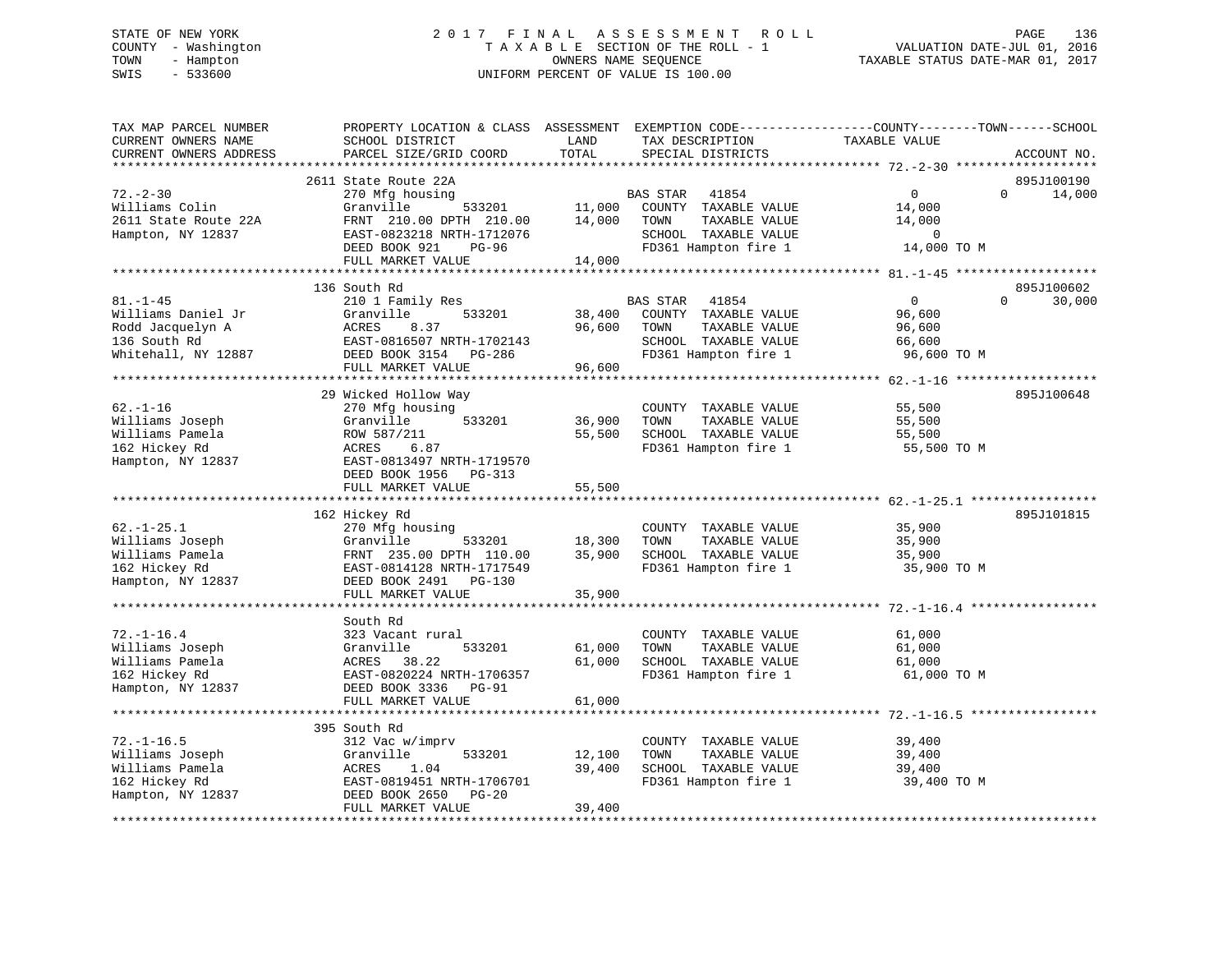# STATE OF NEW YORK 2 0 1 7 F I N A L A S S E S S M E N T R O L L PAGE 136 COUNTY - Washington T A X A B L E SECTION OF THE ROLL - 1 VALUATION DATE-JUL 01, 2016 TOWN - Hampton OWNERS NAME SEQUENCE TAXABLE STATUS DATE-MAR 01, 2017 SWIS - 533600 UNIFORM PERCENT OF VALUE IS 100.00UNIFORM PERCENT OF VALUE IS 100.00

| TAX MAP PARCEL NUMBER<br>CURRENT OWNERS NAME<br>CURRENT OWNERS ADDRESS        | PROPERTY LOCATION & CLASS ASSESSMENT<br>SCHOOL DISTRICT<br>PARCEL SIZE/GRID COORD                                      | LAND<br>TOTAL             | TAX DESCRIPTION<br>SPECIAL DISTRICTS                                                       | EXEMPTION CODE-----------------COUNTY-------TOWN------SCHOOL<br>TAXABLE VALUE | ACCOUNT NO.          |
|-------------------------------------------------------------------------------|------------------------------------------------------------------------------------------------------------------------|---------------------------|--------------------------------------------------------------------------------------------|-------------------------------------------------------------------------------|----------------------|
| *************************                                                     |                                                                                                                        |                           |                                                                                            |                                                                               |                      |
| $72. - 2 - 30$<br>Williams Colin<br>2611 State Route 22A<br>Hampton, NY 12837 | 2611 State Route 22A<br>270 Mfg housing<br>Granville<br>533201<br>FRNT 210.00 DPTH 210.00<br>EAST-0823218 NRTH-1712076 | 11,000<br>14,000          | BAS STAR<br>41854<br>COUNTY TAXABLE VALUE<br>TOWN<br>TAXABLE VALUE<br>SCHOOL TAXABLE VALUE | $\overline{0}$<br>$\Omega$<br>14,000<br>14,000<br>$\overline{0}$              | 895J100190<br>14,000 |
|                                                                               | DEED BOOK 921<br>PG-96                                                                                                 |                           | FD361 Hampton fire 1                                                                       | 14,000 TO M                                                                   |                      |
|                                                                               | FULL MARKET VALUE                                                                                                      | 14,000                    |                                                                                            |                                                                               |                      |
|                                                                               |                                                                                                                        |                           |                                                                                            |                                                                               |                      |
| $81. - 1 - 45$                                                                | 136 South Rd                                                                                                           |                           |                                                                                            | $\Omega$<br>$\Omega$                                                          | 895J100602           |
|                                                                               | 210 1 Family Res                                                                                                       |                           | <b>BAS STAR</b><br>41854                                                                   |                                                                               | 30,000               |
| Williams Daniel Jr                                                            | Granville<br>533201<br>ACRES<br>8.37                                                                                   | 38,400<br>96,600          | COUNTY TAXABLE VALUE<br>TOWN<br>TAXABLE VALUE                                              | 96,600                                                                        |                      |
| Rodd Jacquelyn A                                                              |                                                                                                                        |                           | SCHOOL TAXABLE VALUE                                                                       | 96,600                                                                        |                      |
| 136 South Rd                                                                  | EAST-0816507 NRTH-1702143                                                                                              |                           |                                                                                            | 66,600                                                                        |                      |
| Whitehall, NY 12887                                                           | DEED BOOK 3154 PG-286                                                                                                  |                           | FD361 Hampton fire 1                                                                       | 96,600 TO M                                                                   |                      |
|                                                                               | FULL MARKET VALUE<br>*******************************                                                                   | 96,600                    |                                                                                            |                                                                               |                      |
|                                                                               |                                                                                                                        |                           |                                                                                            |                                                                               |                      |
|                                                                               | 29 Wicked Hollow Way                                                                                                   |                           |                                                                                            |                                                                               | 895J100648           |
| $62. - 1 - 16$                                                                | 270 Mfg housing                                                                                                        |                           | COUNTY TAXABLE VALUE                                                                       | 55,500                                                                        |                      |
| Williams Joseph                                                               | Granville<br>533201                                                                                                    | 36,900                    | TAXABLE VALUE<br>TOWN                                                                      | 55,500                                                                        |                      |
| Williams Pamela                                                               | ROW 587/211                                                                                                            | 55,500                    | SCHOOL TAXABLE VALUE                                                                       | 55,500                                                                        |                      |
| 162 Hickey Rd                                                                 | 6.87<br>ACRES                                                                                                          |                           | FD361 Hampton fire 1                                                                       | 55,500 TO M                                                                   |                      |
| Hampton, NY 12837                                                             | EAST-0813497 NRTH-1719570                                                                                              |                           |                                                                                            |                                                                               |                      |
|                                                                               | DEED BOOK 1956<br>PG-313                                                                                               |                           |                                                                                            |                                                                               |                      |
|                                                                               | FULL MARKET VALUE                                                                                                      | 55,500                    |                                                                                            |                                                                               |                      |
|                                                                               | ****************************                                                                                           |                           |                                                                                            |                                                                               |                      |
|                                                                               | 162 Hickey Rd                                                                                                          |                           |                                                                                            |                                                                               | 895J101815           |
| $62. - 1 - 25.1$                                                              | 270 Mfg housing                                                                                                        |                           | COUNTY TAXABLE VALUE                                                                       | 35,900                                                                        |                      |
| Williams Joseph                                                               | Granville<br>533201                                                                                                    | 18,300                    | TAXABLE VALUE<br>TOWN                                                                      | 35,900                                                                        |                      |
| Williams Pamela                                                               | FRNT 235.00 DPTH 110.00                                                                                                | 35,900                    | SCHOOL TAXABLE VALUE                                                                       | 35,900                                                                        |                      |
| 162 Hickey Rd                                                                 | EAST-0814128 NRTH-1717549                                                                                              |                           | FD361 Hampton fire 1                                                                       | 35,900 TO M                                                                   |                      |
| Hampton, NY 12837                                                             | DEED BOOK 2491 PG-130                                                                                                  |                           |                                                                                            |                                                                               |                      |
|                                                                               | FULL MARKET VALUE                                                                                                      | 35,900                    |                                                                                            |                                                                               |                      |
|                                                                               |                                                                                                                        |                           |                                                                                            |                                                                               |                      |
|                                                                               | South Rd                                                                                                               |                           |                                                                                            |                                                                               |                      |
| $72. - 1 - 16.4$                                                              | 323 Vacant rural                                                                                                       |                           | COUNTY TAXABLE VALUE                                                                       | 61,000                                                                        |                      |
| Williams Joseph                                                               | Granville<br>533201                                                                                                    | 61,000                    | TOWN<br>TAXABLE VALUE                                                                      | 61,000                                                                        |                      |
| Williams Pamela                                                               | ACRES<br>38.22                                                                                                         | 61,000                    | SCHOOL TAXABLE VALUE                                                                       | 61,000                                                                        |                      |
| 162 Hickey Rd                                                                 | EAST-0820224 NRTH-1706357                                                                                              |                           | FD361 Hampton fire 1                                                                       | 61,000 TO M                                                                   |                      |
| Hampton, NY 12837                                                             | DEED BOOK 3336<br>$PG-91$                                                                                              |                           |                                                                                            |                                                                               |                      |
|                                                                               | FULL MARKET VALUE                                                                                                      | 61,000                    |                                                                                            |                                                                               |                      |
|                                                                               | *********************************                                                                                      | * * * * * * * * * * * * * |                                                                                            |                                                                               |                      |
|                                                                               | 395 South Rd                                                                                                           |                           |                                                                                            |                                                                               |                      |
| $72. - 1 - 16.5$                                                              | 312 Vac w/imprv                                                                                                        |                           | COUNTY TAXABLE VALUE                                                                       | 39,400                                                                        |                      |
| Williams Joseph                                                               | 533201<br>Granville                                                                                                    | 12,100                    | TAXABLE VALUE<br>TOWN                                                                      | 39,400                                                                        |                      |
| Williams Pamela                                                               | ACRES<br>1.04                                                                                                          | 39,400                    | SCHOOL TAXABLE VALUE                                                                       | 39,400                                                                        |                      |
| 162 Hickey Rd                                                                 | EAST-0819451 NRTH-1706701                                                                                              |                           | FD361 Hampton fire 1                                                                       | 39,400 TO M                                                                   |                      |
| Hampton, NY 12837                                                             | DEED BOOK 2650<br>$PG-20$                                                                                              |                           |                                                                                            |                                                                               |                      |
|                                                                               | FULL MARKET VALUE                                                                                                      | 39,400                    |                                                                                            |                                                                               |                      |
|                                                                               |                                                                                                                        |                           |                                                                                            |                                                                               |                      |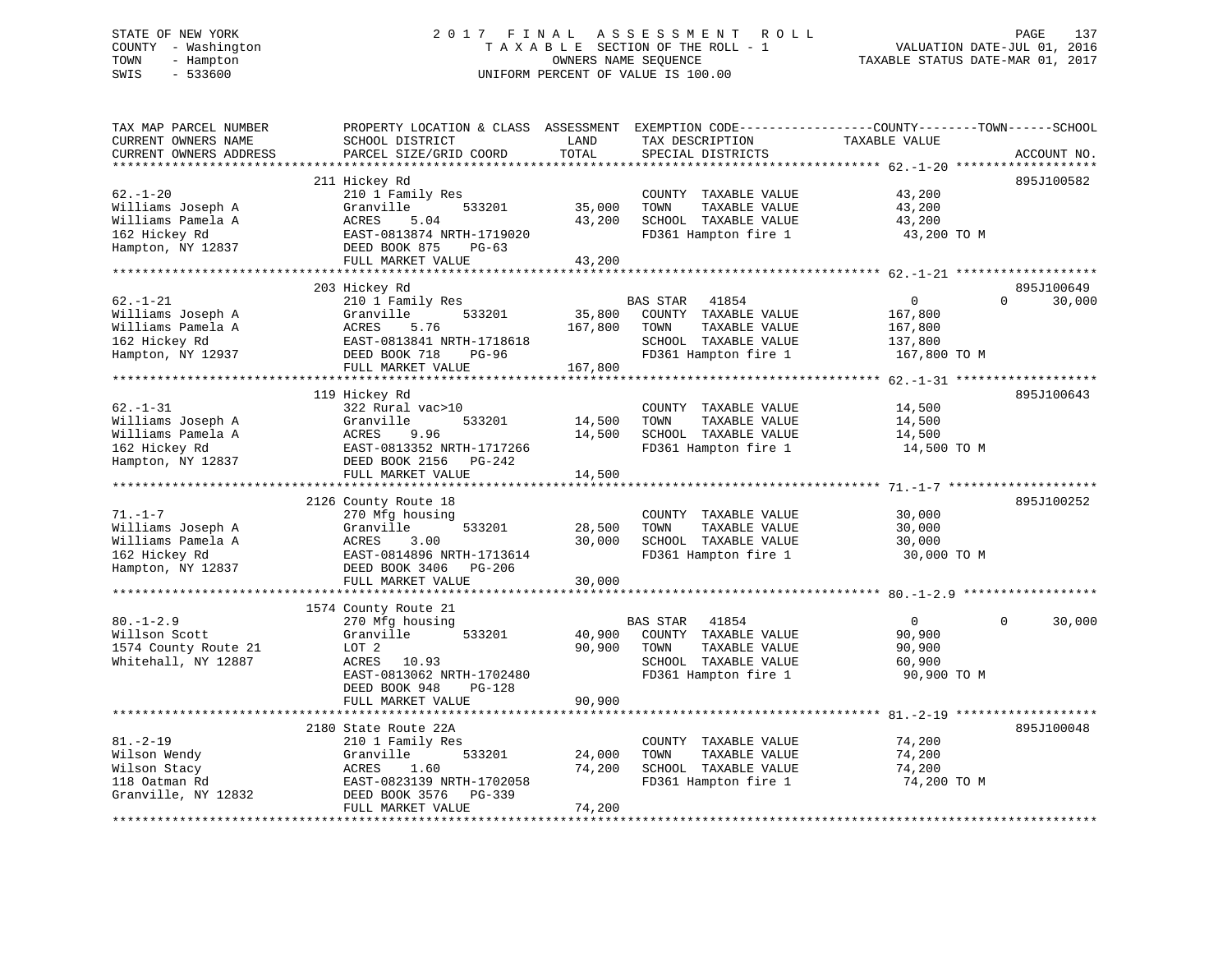# STATE OF NEW YORK 2 0 1 7 F I N A L A S S E S S M E N T R O L L PAGE 137 COUNTY - Washington T A X A B L E SECTION OF THE ROLL - 1 VALUATION DATE-JUL 01, 2016 TOWN - Hampton OWNERS NAME SEQUENCE TAXABLE STATUS DATE-MAR 01, 2017 SWIS - 533600 UNIFORM PERCENT OF VALUE IS 100.00

| TAX MAP PARCEL NUMBER<br>CURRENT OWNERS NAME<br>CURRENT OWNERS ADDRESS                                                  | PROPERTY LOCATION & CLASS ASSESSMENT<br>SCHOOL DISTRICT<br>PARCEL SIZE/GRID COORD                                                                              | LAND<br>TOTAL                | EXEMPTION CODE-----------------COUNTY-------TOWN------SCHOOL<br>TAX DESCRIPTION<br>SPECIAL DISTRICTS               | TAXABLE VALUE                                                 | ACCOUNT NO.        |
|-------------------------------------------------------------------------------------------------------------------------|----------------------------------------------------------------------------------------------------------------------------------------------------------------|------------------------------|--------------------------------------------------------------------------------------------------------------------|---------------------------------------------------------------|--------------------|
| *********************<br>$62. - 1 - 20$<br>Williams Joseph A<br>Williams Pamela A<br>162 Hickey Rd<br>Hampton, NY 12837 | 211 Hickey Rd<br>210 1 Family Res<br>Granville<br>533201<br>ACRES<br>5.04<br>EAST-0813874 NRTH-1719020<br>DEED BOOK 875<br>$PG-63$<br>FULL MARKET VALUE        | 35,000<br>43,200<br>43,200   | COUNTY TAXABLE VALUE<br>TOWN<br>TAXABLE VALUE<br>SCHOOL TAXABLE VALUE<br>FD361 Hampton fire 1                      | 43,200<br>43,200<br>43,200<br>43,200 TO M                     | 895J100582         |
|                                                                                                                         | 203 Hickey Rd                                                                                                                                                  |                              |                                                                                                                    |                                                               | 895J100649         |
| $62. - 1 - 21$<br>Williams Joseph A<br>Williams Pamela A<br>162 Hickey Rd<br>Hampton, NY 12937                          | 210 1 Family Res<br>Granville<br>533201<br>5.76<br>ACRES<br>EAST-0813841 NRTH-1718618<br>DEED BOOK 718<br><b>PG-96</b><br>FULL MARKET VALUE                    | 35,800<br>167,800<br>167,800 | BAS STAR<br>41854<br>COUNTY TAXABLE VALUE<br>TOWN<br>TAXABLE VALUE<br>SCHOOL TAXABLE VALUE<br>FD361 Hampton fire 1 | $\mathbf{0}$<br>167,800<br>167,800<br>137,800<br>167,800 TO M | $\Omega$<br>30,000 |
| *********************                                                                                                   |                                                                                                                                                                |                              |                                                                                                                    |                                                               |                    |
| $62. - 1 - 31$<br>Williams Joseph A<br>Williams Pamela A<br>162 Hickey Rd<br>Hampton, NY 12837                          | 119 Hickey Rd<br>322 Rural vac>10<br>Granville<br>533201<br>ACRES<br>9.96<br>EAST-0813352 NRTH-1717266<br>DEED BOOK 2156<br>$PG-242$<br>FULL MARKET VALUE      | 14,500<br>14,500<br>14,500   | COUNTY TAXABLE VALUE<br>TOWN<br>TAXABLE VALUE<br>SCHOOL TAXABLE VALUE<br>FD361 Hampton fire 1                      | 14,500<br>14,500<br>14,500<br>14,500 TO M                     | 895J100643         |
|                                                                                                                         |                                                                                                                                                                |                              |                                                                                                                    |                                                               |                    |
| $71. - 1 - 7$<br>Williams Joseph A<br>Williams Pamela A<br>162 Hickey Rd<br>Hampton, NY 12837                           | 2126 County Route 18<br>270 Mfg housing<br>Granville<br>533201<br>ACRES<br>3.00<br>EAST-0814896 NRTH-1713614<br>DEED BOOK 3406<br>PG-206<br>FULL MARKET VALUE  | 28,500<br>30,000<br>30,000   | COUNTY TAXABLE VALUE<br>TAXABLE VALUE<br>TOWN<br>SCHOOL TAXABLE VALUE<br>FD361 Hampton fire 1                      | 30,000<br>30,000<br>30,000<br>30,000 TO M                     | 895J100252         |
|                                                                                                                         |                                                                                                                                                                |                              |                                                                                                                    |                                                               |                    |
| $80. - 1 - 2.9$<br>Willson Scott<br>1574 County Route 21<br>Whitehall, NY 12887                                         | 1574 County Route 21<br>270 Mfg housing<br>Granville<br>533201<br>LOT <sub>2</sub><br>ACRES<br>10.93<br>EAST-0813062 NRTH-1702480<br>DEED BOOK 948<br>$PG-128$ | 40,900<br>90,900             | BAS STAR<br>41854<br>COUNTY TAXABLE VALUE<br>TAXABLE VALUE<br>TOWN<br>SCHOOL TAXABLE VALUE<br>FD361 Hampton fire 1 | $\mathbf{0}$<br>90,900<br>90,900<br>60,900<br>90,900 TO M     | 30,000<br>$\Omega$ |
|                                                                                                                         | FULL MARKET VALUE                                                                                                                                              | 90,900                       |                                                                                                                    |                                                               |                    |
| $81. - 2 - 19$<br>Wilson Wendy<br>Wilson Stacy<br>118 Oatman Rd<br>Granville, NY 12832                                  | 2180 State Route 22A<br>210 1 Family Res<br>Granville<br>533201<br>ACRES<br>1.60<br>EAST-0823139 NRTH-1702058<br>DEED BOOK 3576<br>PG-339<br>FULL MARKET VALUE | 24,000<br>74,200<br>74,200   | COUNTY TAXABLE VALUE<br>TOWN<br>TAXABLE VALUE<br>SCHOOL TAXABLE VALUE<br>FD361 Hampton fire 1                      | 74,200<br>74,200<br>74,200<br>74,200 TO M                     | 895J100048         |
|                                                                                                                         |                                                                                                                                                                |                              |                                                                                                                    |                                                               |                    |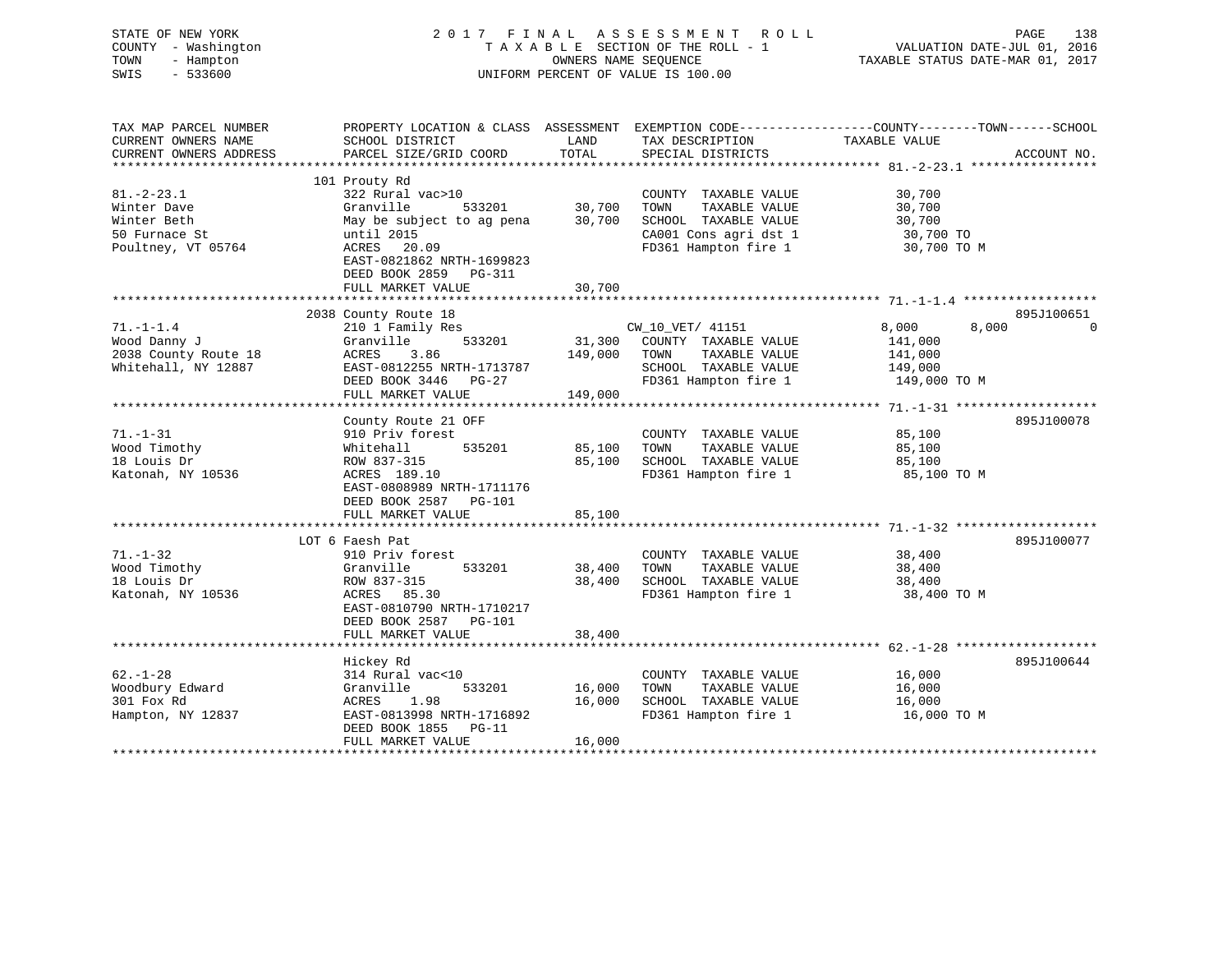| STATE OF NEW YORK<br>COUNTY - Washington<br>- Hampton<br>TOWN<br>SWIS<br>$-533600$ | 2017 FINAL ASSESSMENT<br>TAXABLE SECTION OF THE ROLL - 1<br>UNIFORM PERCENT OF VALUE IS 100.00 | R O L L<br>VALUATION DATE-JUL 01, 2016<br>TAXABLE STATUS DATE-MAR 01, 2017 | PAGE<br>138                                                                                          |                                    |             |
|------------------------------------------------------------------------------------|------------------------------------------------------------------------------------------------|----------------------------------------------------------------------------|------------------------------------------------------------------------------------------------------|------------------------------------|-------------|
| TAX MAP PARCEL NUMBER<br>CURRENT OWNERS NAME<br>CURRENT OWNERS ADDRESS             | PROPERTY LOCATION & CLASS ASSESSMENT<br>SCHOOL DISTRICT<br>PARCEL SIZE/GRID COORD              | LAND<br>TOTAL                                                              | EXEMPTION CODE-----------------COUNTY-------TOWN------SCHOOL<br>TAX DESCRIPTION<br>SPECIAL DISTRICTS | TAXABLE VALUE                      | ACCOUNT NO. |
| *********************                                                              |                                                                                                | *********                                                                  |                                                                                                      |                                    |             |
| $81. - 2 - 23.1$<br>Winter Dave                                                    | 101 Prouty Rd<br>322 Rural vac>10<br>Granville<br>533201                                       | 30,700                                                                     | COUNTY TAXABLE VALUE<br>TAXABLE VALUE<br>TOWN                                                        | 30,700<br>30,700                   |             |
| Winter Beth<br>50 Furnace St<br>Poultney, VT 05764                                 | May be subject to ag pena<br>until 2015<br>ACRES 20.09                                         | 30,700                                                                     | SCHOOL TAXABLE VALUE<br>CA001 Cons agri dst 1<br>FD361 Hampton fire 1                                | 30,700<br>30,700 TO<br>30,700 TO M |             |
|                                                                                    | EAST-0821862 NRTH-1699823<br>DEED BOOK 2859 PG-311                                             |                                                                            |                                                                                                      |                                    |             |
|                                                                                    | FULL MARKET VALUE<br>****************                                                          | 30,700                                                                     |                                                                                                      |                                    |             |
|                                                                                    | 2038 County Route 18                                                                           |                                                                            |                                                                                                      |                                    | 895J100651  |
| $71. - 1 - 1.4$<br>Wood Danny J                                                    | 210 1 Family Res<br>Granville<br>533201                                                        | 31,300                                                                     | CW_10_VET/ 41151<br>COUNTY TAXABLE VALUE                                                             | 8,000<br>141,000                   | 8,000<br>0  |
| 2038 County Route 18<br>Whitehall, NY 12887                                        | 3.86<br>ACRES<br>EAST-0812255 NRTH-1713787<br>DEED BOOK 3446 PG-27                             | 149,000                                                                    | TOWN<br>TAXABLE VALUE<br>SCHOOL TAXABLE VALUE<br>FD361 Hampton fire 1                                | 141,000<br>149,000<br>149,000 TO M |             |
|                                                                                    | FULL MARKET VALUE                                                                              | 149,000                                                                    |                                                                                                      |                                    |             |
|                                                                                    | *******************                                                                            | * * * * * * * * * *                                                        | ************************************ 71.-1-31 *******************                                    |                                    |             |
|                                                                                    | County Route 21 OFF                                                                            |                                                                            |                                                                                                      |                                    | 895J100078  |
| $71. - 1 - 31$                                                                     | 910 Priv forest                                                                                |                                                                            | COUNTY TAXABLE VALUE                                                                                 | 85,100                             |             |
| Wood Timothy                                                                       | 535201<br>Whitehall                                                                            | 85,100                                                                     | TAXABLE VALUE<br>TOWN                                                                                | 85,100                             |             |
| 18 Louis Dr                                                                        | ROW 837-315                                                                                    | 85,100                                                                     | SCHOOL TAXABLE VALUE                                                                                 | 85,100                             |             |
| Katonah, NY 10536                                                                  | ACRES 189.10<br>EAST-0808989 NRTH-1711176<br>DEED BOOK 2587 PG-101                             |                                                                            | FD361 Hampton fire 1                                                                                 | 85,100 TO M                        |             |
|                                                                                    | FULL MARKET VALUE                                                                              | 85,100                                                                     |                                                                                                      |                                    |             |
|                                                                                    | ***************************                                                                    |                                                                            |                                                                                                      |                                    |             |
|                                                                                    | LOT 6 Faesh Pat                                                                                |                                                                            |                                                                                                      |                                    | 895J100077  |
| $71. - 1 - 32$<br>Wood Timothy                                                     | 910 Priv forest<br>533201                                                                      | 38,400                                                                     | COUNTY TAXABLE VALUE<br>TAXABLE VALUE<br>TOWN                                                        | 38,400<br>38,400                   |             |
| 18 Louis Dr                                                                        | Granville<br>ROW 837-315                                                                       | 38,400                                                                     | SCHOOL TAXABLE VALUE                                                                                 | 38,400                             |             |
| Katonah, NY 10536                                                                  | ACRES 85.30                                                                                    |                                                                            | FD361 Hampton fire 1                                                                                 | 38,400 TO M                        |             |
|                                                                                    | EAST-0810790 NRTH-1710217<br>DEED BOOK 2587 PG-101                                             |                                                                            |                                                                                                      |                                    |             |
|                                                                                    | FULL MARKET VALUE                                                                              | 38,400                                                                     |                                                                                                      |                                    |             |
|                                                                                    |                                                                                                |                                                                            |                                                                                                      |                                    |             |
| $62. - 1 - 28$                                                                     | Hickey Rd                                                                                      |                                                                            |                                                                                                      |                                    | 895J100644  |
| Woodbury Edward                                                                    | 314 Rural vac<10<br>Granville<br>533201                                                        | 16,000                                                                     | COUNTY TAXABLE VALUE<br>TOWN<br>TAXABLE VALUE                                                        | 16,000<br>16,000                   |             |
| 301 Fox Rd                                                                         | ACRES<br>1.98                                                                                  | 16,000                                                                     | SCHOOL TAXABLE VALUE                                                                                 | 16,000                             |             |
| Hampton, NY 12837                                                                  | EAST-0813998 NRTH-1716892<br>DEED BOOK 1855<br>$PG-11$                                         |                                                                            | FD361 Hampton fire 1                                                                                 | 16,000 TO M                        |             |
|                                                                                    | FULL MARKET VALUE                                                                              | 16,000                                                                     |                                                                                                      |                                    |             |
|                                                                                    |                                                                                                |                                                                            |                                                                                                      |                                    |             |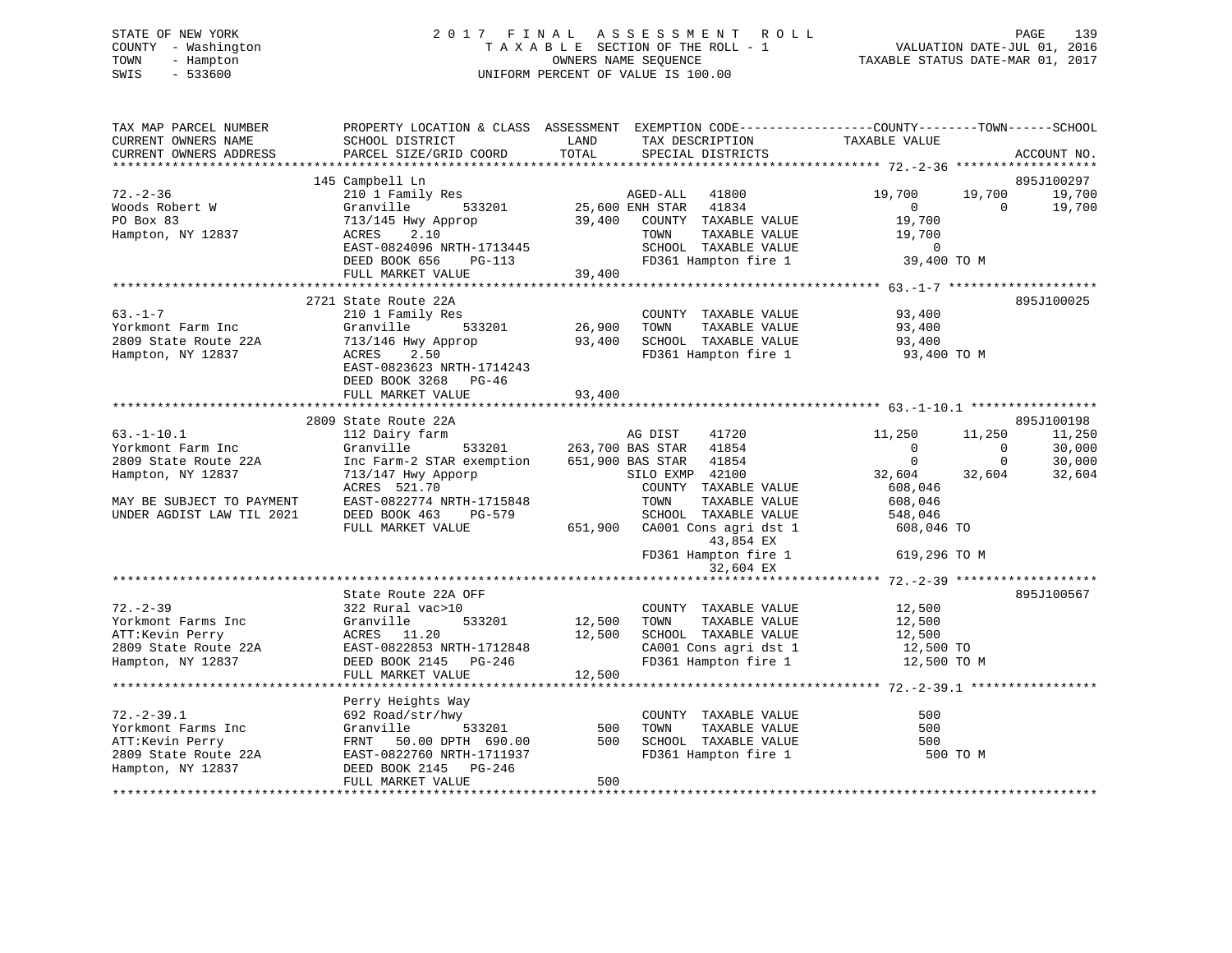# STATE OF NEW YORK 2 0 1 7 F I N A L A S S E S S M E N T R O L L PAGE 139 COUNTY - Washington T A X A B L E SECTION OF THE ROLL - 1 VALUATION DATE-JUL 01, 2016 TOWN - Hampton OWNERS NAME SEQUENCE TAXABLE STATUS DATE-MAR 01, 2017 SWIS - 533600 UNIFORM PERCENT OF VALUE IS 100.00

| TAX MAP PARCEL NUMBER<br>CURRENT OWNERS NAME<br>CURRENT OWNERS ADDRESS                                 | PROPERTY LOCATION & CLASS ASSESSMENT EXEMPTION CODE---------------COUNTY-------TOWN-----SCHOOL<br>SCHOOL DISTRICT<br>PARCEL SIZE/GRID COORD  | LAND<br>TOTAL                    | TAX DESCRIPTION<br>SPECIAL DISTRICTS                                                                                          | TAXABLE VALUE                                                       |                          | ACCOUNT NO.                    |
|--------------------------------------------------------------------------------------------------------|----------------------------------------------------------------------------------------------------------------------------------------------|----------------------------------|-------------------------------------------------------------------------------------------------------------------------------|---------------------------------------------------------------------|--------------------------|--------------------------------|
| $72. - 2 - 36$                                                                                         | 145 Campbell Ln<br>210 1 Family Res                                                                                                          |                                  | AGED-ALL 41800                                                                                                                | 19,700                                                              | 19,700                   | 895J100297<br>19,700           |
| Woods Robert W<br>PO Box 83<br>Hampton, NY 12837                                                       | Granville<br>533201<br>713/145 Hwy Approp<br>ACRES 2.10<br>EAST-0824096 NRTH-1713445<br>DEED BOOK 656<br>PG-113                              |                                  | 25,600 ENH STAR 41834<br>39,400 COUNTY TAXABLE VALUE<br>TOWN<br>TAXABLE VALUE<br>SCHOOL TAXABLE VALUE<br>FD361 Hampton fire 1 | $\overline{0}$<br>19,700<br>19,700<br>$\overline{0}$<br>39,400 TO M | $\Omega$                 | 19,700                         |
|                                                                                                        | FULL MARKET VALUE                                                                                                                            | 39,400                           |                                                                                                                               |                                                                     |                          |                                |
|                                                                                                        | 2721 State Route 22A                                                                                                                         |                                  |                                                                                                                               |                                                                     |                          | 895J100025                     |
| $63. -1 - 7$<br>Yorkmont Farm Inc<br>2809 State Route 22A<br>Hampton, NY 12837                         | 210 1 Family Res<br>Granville<br>713/146 Hwy Approp<br>2.50<br>ACRES<br>EAST-0823623 NRTH-1714243                                            | 。<br>533201     26,900<br>93,400 | COUNTY TAXABLE VALUE<br>TAXABLE VALUE<br>TOWN<br>SCHOOL TAXABLE VALUE<br>FD361 Hampton fire 1 93,400 TO M                     | 93,400<br>93,400<br>93,400                                          |                          |                                |
|                                                                                                        | DEED BOOK 3268 PG-46<br>FULL MARKET VALUE                                                                                                    | 93,400                           |                                                                                                                               |                                                                     |                          |                                |
|                                                                                                        |                                                                                                                                              |                                  |                                                                                                                               |                                                                     |                          |                                |
| $63. - 1 - 10.1$<br>Yorkmont Farm Inc                                                                  | 2809 State Route 22A<br>112 Dairy farm<br>Granville                                                                                          |                                  | AG DIST<br>41720<br>533201 263,700 BAS STAR 41854                                                                             | 11,250<br>$\overline{0}$                                            | 11,250<br>$\overline{0}$ | 895J100198<br>11,250<br>30,000 |
| 2809 State Route 22A<br>Hampton, NY 12837                                                              | Inc Farm-2 STAR exemption<br>713/147 Hwy Apporp<br>ACRES 521.70                                                                              | 651,900 BAS STAR                 | 41854<br>SILO EXMP 42100<br>COUNTY TAXABLE VALUE                                                                              | $\overline{0}$<br>32,604<br>608,046                                 | $\mathbf 0$<br>32,604    | 30,000<br>32,604               |
| MAY BE SUBJECT TO PAYMENT<br>UNDER AGDIST LAW TIL 2021                                                 | EAST-0822774 NRTH-1715848<br>DEED BOOK 463<br>PG-579<br>FULL MARKET VALUE                                                                    | 651,900                          | TOWN<br>TAXABLE VALUE<br>SCHOOL TAXABLE VALUE<br>CA001 Cons agri dst 1<br>43,854 EX                                           | 608,046<br>548,046<br>608,046 TO                                    |                          |                                |
|                                                                                                        |                                                                                                                                              |                                  | FD361 Hampton fire 1<br>32,604 EX                                                                                             | 619,296 TO M                                                        |                          |                                |
|                                                                                                        |                                                                                                                                              |                                  |                                                                                                                               |                                                                     |                          |                                |
| $72. - 2 - 39$<br>Yorkmont Farms Inc<br>ATT:Kevin Perry<br>2809 State Route 22A                        | State Route 22A OFF<br>322 Rural vac>10<br>533201<br>Granville<br>ACRES 11.20<br>EAST-0822853 NRTH-1712848                                   | 12,500<br>12,500                 | COUNTY TAXABLE VALUE<br>TAXABLE VALUE<br>TOWN<br>SCHOOL TAXABLE VALUE<br>CA001 Cons agri dst 1                                | 12,500<br>12,500<br>12,500<br>12,500 TO                             |                          | 895J100567                     |
| Hampton, NY 12837                                                                                      | DEED BOOK 2145 PG-246<br>FULL MARKET VALUE                                                                                                   | 12,500                           | FD361 Hampton fire 1                                                                                                          | 12,500 TO M                                                         |                          |                                |
|                                                                                                        |                                                                                                                                              |                                  |                                                                                                                               |                                                                     |                          |                                |
| $72. - 2 - 39.1$<br>Yorkmont Farms Inc<br>ATT:Kevin Perry<br>2809 State Route 22A<br>Hampton, NY 12837 | Perry Heights Way<br>692 Road/str/hwy<br>Granville<br>533201<br>FRNT 50.00 DPTH 690.00<br>EAST-0822760 NRTH-1711937<br>DEED BOOK 2145 PG-246 | 500<br>500                       | COUNTY TAXABLE VALUE<br>TOWN<br>TAXABLE VALUE<br>SCHOOL TAXABLE VALUE<br>FD361 Hampton fire 1                                 | 500<br>500<br>500<br>500 TO M                                       |                          |                                |
|                                                                                                        | FULL MARKET VALUE                                                                                                                            | 500                              |                                                                                                                               |                                                                     |                          |                                |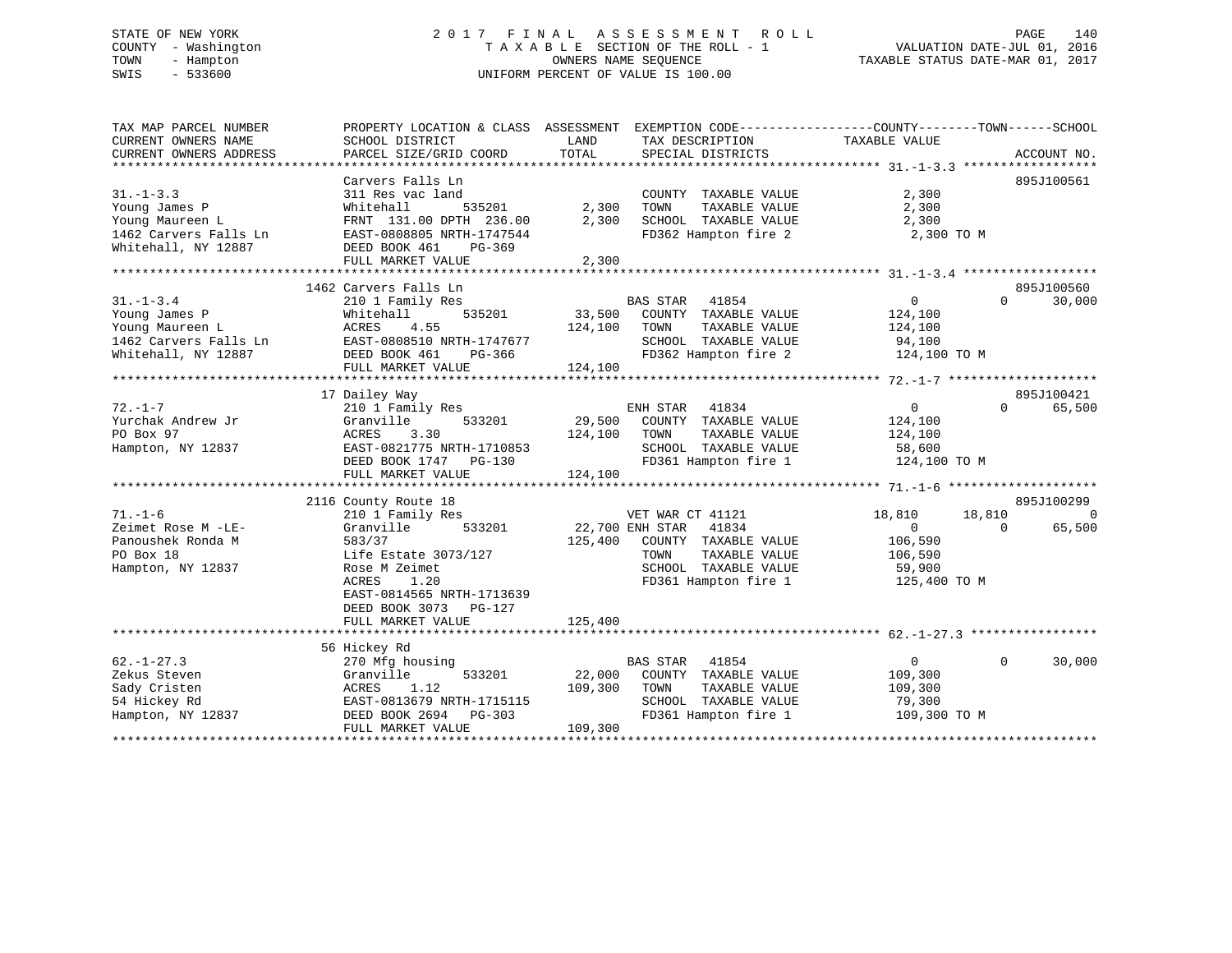# STATE OF NEW YORK 2 0 1 7 F I N A L A S S E S S M E N T R O L L PAGE 140 COUNTY - Washington T A X A B L E SECTION OF THE ROLL - 1 VALUATION DATE-JUL 01, 2016 TOWN - Hampton OWNERS NAME SEQUENCE TAXABLE STATUS DATE-MAR 01, 2017 SWIS - 533600 UNIFORM PERCENT OF VALUE IS 100.00

| TAX MAP PARCEL NUMBER  | PROPERTY LOCATION & CLASS ASSESSMENT EXEMPTION CODE----------------COUNTY-------TOWN-----SCHOOL |         |                       |                |                        |
|------------------------|-------------------------------------------------------------------------------------------------|---------|-----------------------|----------------|------------------------|
| CURRENT OWNERS NAME    | SCHOOL DISTRICT                                                                                 | LAND    | TAX DESCRIPTION       | TAXABLE VALUE  |                        |
| CURRENT OWNERS ADDRESS | PARCEL SIZE/GRID COORD                                                                          | TOTAL   | SPECIAL DISTRICTS     |                | ACCOUNT NO.            |
|                        |                                                                                                 |         |                       |                |                        |
|                        | Carvers Falls Ln                                                                                |         |                       |                | 895J100561             |
| $31. - 1 - 3.3$        | 311 Res vac land                                                                                |         | COUNTY TAXABLE VALUE  | 2,300          |                        |
| Young James P          | 535201<br>Whitehall                                                                             | 2,300   | TOWN<br>TAXABLE VALUE | 2,300          |                        |
| Young Maureen L        | FRNT 131.00 DPTH 236.00                                                                         | 2,300   | SCHOOL TAXABLE VALUE  | 2,300          |                        |
| 1462 Carvers Falls Ln  | EAST-0808805 NRTH-1747544                                                                       |         | FD362 Hampton fire 2  | 2,300 TO M     |                        |
| Whitehall, NY 12887    | DEED BOOK 461<br>PG-369                                                                         |         |                       |                |                        |
|                        | FULL MARKET VALUE                                                                               | 2,300   |                       |                |                        |
|                        |                                                                                                 |         |                       |                |                        |
|                        | 1462 Carvers Falls Ln                                                                           |         |                       |                | 895J100560             |
| $31. - 1 - 3.4$        | 210 1 Family Res                                                                                |         | BAS STAR 41854        | $\overline{0}$ | $\Omega$<br>30,000     |
| Young James P          | 535201<br>Whitehall                                                                             | 33,500  | COUNTY TAXABLE VALUE  | 124,100        |                        |
| Young Maureen L        | 4.55<br>ACRES                                                                                   | 124,100 | TOWN<br>TAXABLE VALUE | 124,100        |                        |
| 1462 Carvers Falls Ln  | EAST-0808510 NRTH-1747677                                                                       |         | SCHOOL TAXABLE VALUE  | 94,100         |                        |
| Whitehall, NY 12887    | DEED BOOK 461<br>PG-366                                                                         |         | FD362 Hampton fire 2  | 124,100 TO M   |                        |
|                        | FULL MARKET VALUE                                                                               | 124,100 |                       |                |                        |
|                        |                                                                                                 |         |                       |                |                        |
|                        | 17 Dailey Way                                                                                   |         |                       |                | 895J100421             |
| $72. - 1 - 7$          | 210 1 Family Res                                                                                |         | ENH STAR<br>41834     | $\overline{0}$ | $\Omega$<br>65,500     |
| Yurchak Andrew Jr      | 533201<br>Granville                                                                             | 29,500  | COUNTY TAXABLE VALUE  | 124,100        |                        |
| PO Box 97              | ACRES<br>3.30                                                                                   | 124,100 | TOWN<br>TAXABLE VALUE | 124,100        |                        |
| Hampton, NY 12837      | EAST-0821775 NRTH-1710853                                                                       |         | SCHOOL TAXABLE VALUE  | 58,600         |                        |
|                        | DEED BOOK 1747 PG-130                                                                           |         | FD361 Hampton fire 1  | 124,100 TO M   |                        |
|                        | FULL MARKET VALUE                                                                               | 124,100 |                       |                |                        |
|                        |                                                                                                 |         |                       |                |                        |
|                        | 2116 County Route 18                                                                            |         |                       |                | 895J100299             |
| $71. - 1 - 6$          | 210 1 Family Res                                                                                |         | VET WAR CT 41121      | 18,810         | 18,810<br>$\bigcirc$   |
| Zeimet Rose M -LE-     | 533201<br>Granville                                                                             |         | 22,700 ENH STAR 41834 | $\overline{0}$ | $\Omega$<br>65,500     |
| Panoushek Ronda M      | 583/37                                                                                          | 125,400 | COUNTY TAXABLE VALUE  | 106,590        |                        |
| PO Box 18              | Life Estate 3073/127                                                                            |         | TAXABLE VALUE<br>TOWN | 106,590        |                        |
| Hampton, NY 12837      | Rose M Zeimet                                                                                   |         | SCHOOL TAXABLE VALUE  | 59,900         |                        |
|                        | ACRES<br>1.20                                                                                   |         | FD361 Hampton fire 1  | 125,400 TO M   |                        |
|                        | EAST-0814565 NRTH-1713639                                                                       |         |                       |                |                        |
|                        | DEED BOOK 3073 PG-127                                                                           |         |                       |                |                        |
|                        | FULL MARKET VALUE                                                                               | 125,400 |                       |                |                        |
|                        |                                                                                                 |         |                       |                |                        |
|                        | 56 Hickey Rd                                                                                    |         |                       |                |                        |
| $62. - 1 - 27.3$       | 270 Mfg housing                                                                                 |         | BAS STAR 41854        | $\overline{0}$ | $\mathbf{0}$<br>30,000 |
| Zekus Steven           | 533201<br>Granville                                                                             | 22,000  | COUNTY TAXABLE VALUE  | 109,300        |                        |
| Sady Cristen           | ACRES<br>1.12                                                                                   | 109,300 | TAXABLE VALUE<br>TOWN | 109,300        |                        |
| 54 Hickey Rd           | EAST-0813679 NRTH-1715115                                                                       |         | SCHOOL TAXABLE VALUE  | 79,300         |                        |
| Hampton, NY 12837      | DEED BOOK 2694 PG-303                                                                           |         | FD361 Hampton fire 1  | 109,300 TO M   |                        |
|                        | FULL MARKET VALUE                                                                               | 109,300 |                       |                |                        |
|                        |                                                                                                 |         |                       |                |                        |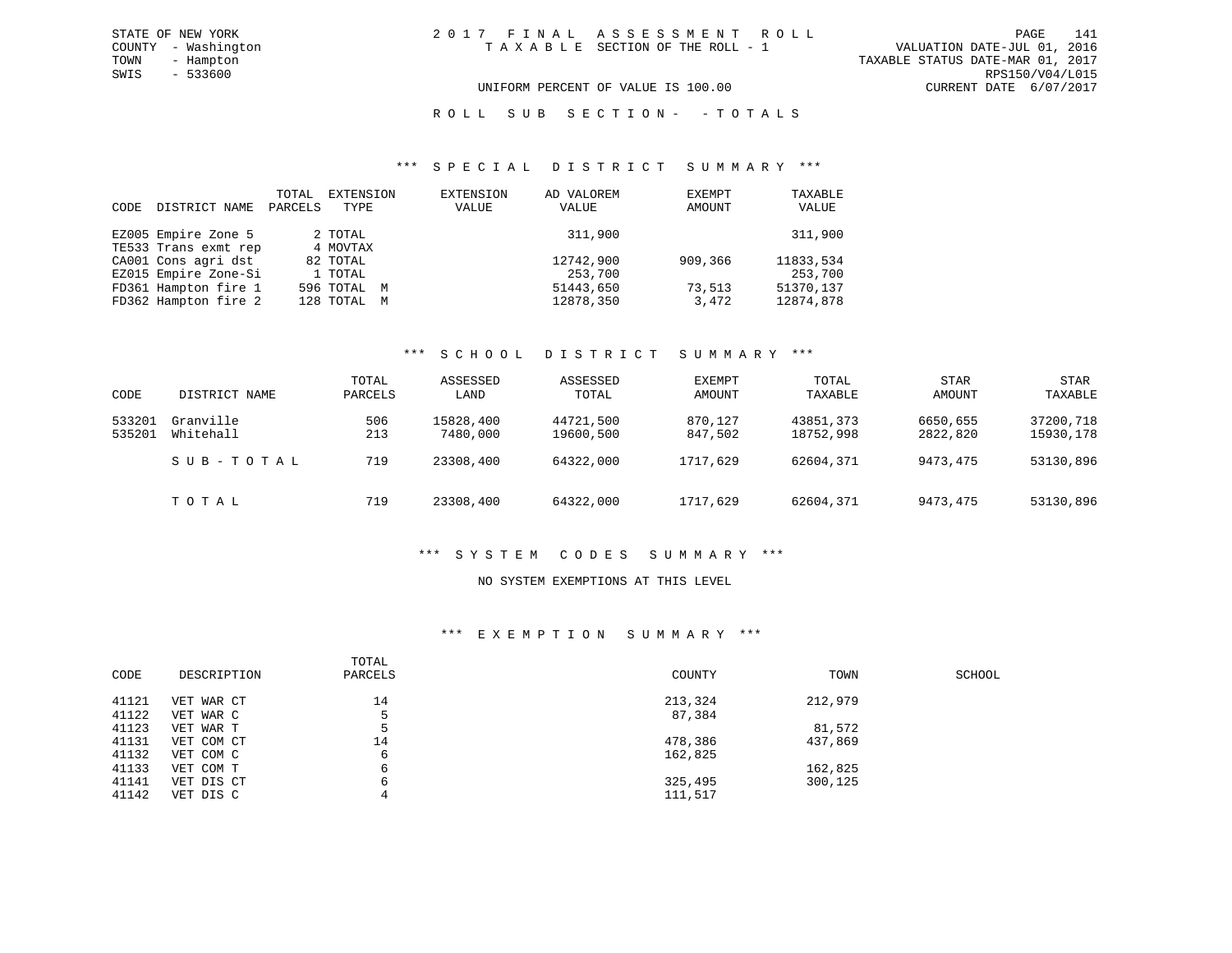#### UNIFORM PERCENT OF VALUE IS 100.00 CURRENT DATE 6/07/2017

#### R O L L S U B S E C T I O N - - T O T A L S

#### \*\*\* S P E C I A L D I S T R I C T S U M M A R Y \*\*\*

| CODE | DISTRICT NAME        | TOTAL<br>PARCELS | EXTENSION<br>TYPE | EXTENSION<br>VALUE | AD VALOREM<br>VALUE | EXEMPT<br>AMOUNT | TAXABLE<br>VALUE |
|------|----------------------|------------------|-------------------|--------------------|---------------------|------------------|------------------|
|      | EZ005 Empire Zone 5  |                  | 2 TOTAL           |                    | 311,900             |                  | 311,900          |
|      | TE533 Trans exmt rep |                  | 4 MOVTAX          |                    |                     |                  |                  |
|      | CA001 Cons agri dst  |                  | 82 TOTAL          |                    | 12742,900           | 909,366          | 11833,534        |
|      | EZ015 Empire Zone-Si |                  | 1 TOTAL           |                    | 253,700             |                  | 253,700          |
|      | FD361 Hampton fire 1 |                  | 596 TOTAL M       |                    | 51443,650           | 73,513           | 51370.137        |
|      | FD362 Hampton fire 2 |                  | 128 TOTAL M       |                    | 12878,350           | 3,472            | 12874,878        |

#### \*\*\* S C H O O L D I S T R I C T S U M M A R Y \*\*\*

| CODE             | DISTRICT NAME          | TOTAL<br>PARCELS | ASSESSED<br>LAND      | ASSESSED<br>TOTAL      | EXEMPT<br>AMOUNT   | TOTAL<br>TAXABLE       | STAR<br>AMOUNT       | <b>STAR</b><br>TAXABLE |
|------------------|------------------------|------------------|-----------------------|------------------------|--------------------|------------------------|----------------------|------------------------|
| 533201<br>535201 | Granville<br>Whitehall | 506<br>213       | 15828,400<br>7480,000 | 44721,500<br>19600,500 | 870,127<br>847,502 | 43851,373<br>18752,998 | 6650,655<br>2822,820 | 37200,718<br>15930,178 |
|                  | SUB-TOTAL              | 719              | 23308,400             | 64322,000              | 1717,629           | 62604,371              | 9473,475             | 53130,896              |
|                  | тотаь                  | 719              | 23308,400             | 64322,000              | 1717,629           | 62604,371              | 9473,475             | 53130,896              |

#### \*\*\* S Y S T E M C O D E S S U M M A R Y \*\*\*

#### NO SYSTEM EXEMPTIONS AT THIS LEVEL

#### \*\*\* E X E M P T I O N S U M M A R Y \*\*\*

| CODE  | DESCRIPTION | TOTAL<br>PARCELS | COUNTY  | TOWN    | SCHOOL |
|-------|-------------|------------------|---------|---------|--------|
| 41121 | VET WAR CT  | 14               | 213,324 | 212,979 |        |
| 41122 | VET WAR C   |                  | 87,384  |         |        |
| 41123 | VET WAR T   | 5                |         | 81,572  |        |
| 41131 | VET COM CT  | 14               | 478,386 | 437,869 |        |
| 41132 | VET COM C   | 6                | 162,825 |         |        |
| 41133 | VET COM T   | 6                |         | 162,825 |        |
| 41141 | VET DIS CT  | 6                | 325,495 | 300,125 |        |
| 41142 | VET DIS C   | 4                | 111,517 |         |        |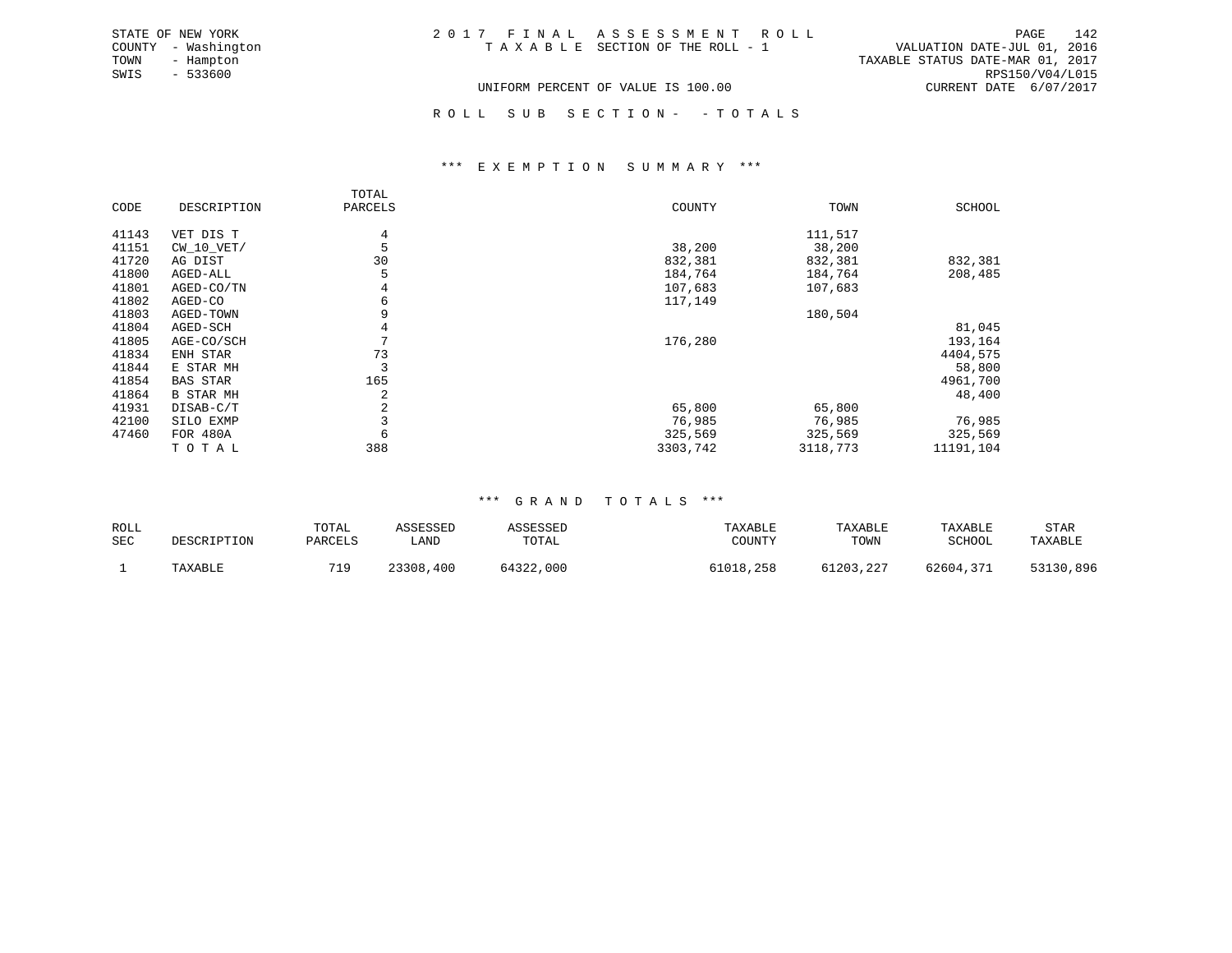| STATE OF NEW YORK   | 2017 FINAL ASSESSMENT ROLL         | 142<br>PAGE                      |
|---------------------|------------------------------------|----------------------------------|
| COUNTY - Washington | TAXABLE SECTION OF THE ROLL - 1    | VALUATION DATE-JUL 01, 2016      |
| TOWN<br>- Hampton   |                                    | TAXABLE STATUS DATE-MAR 01, 2017 |
| - 533600<br>SWIS    |                                    | RPS150/V04/L015                  |
|                     | UNIFORM PERCENT OF VALUE IS 100.00 | CURRENT DATE 6/07/2017           |

ROLL SUB SECTION - - TOTALS

#### \*\*\* E X E M P T I O N S U M M A R Y \*\*\*

|       |                  | TOTAL   |          |          |               |
|-------|------------------|---------|----------|----------|---------------|
| CODE  | DESCRIPTION      | PARCELS | COUNTY   | TOWN     | <b>SCHOOL</b> |
| 41143 | VET DIS T        | 4       |          | 111,517  |               |
| 41151 | $CW_10_VET/$     |         | 38,200   | 38,200   |               |
| 41720 | AG DIST          | 30      | 832,381  | 832,381  | 832,381       |
| 41800 | AGED-ALL         |         | 184,764  | 184,764  | 208,485       |
| 41801 | AGED-CO/TN       | 4       | 107,683  | 107,683  |               |
| 41802 | AGED-CO          | 6       | 117,149  |          |               |
| 41803 | AGED-TOWN        |         |          | 180,504  |               |
| 41804 | AGED-SCH         |         |          |          | 81,045        |
| 41805 | AGE-CO/SCH       |         | 176,280  |          | 193,164       |
| 41834 | ENH STAR         | 73      |          |          | 4404,575      |
| 41844 | E STAR MH        |         |          |          | 58,800        |
| 41854 | <b>BAS STAR</b>  | 165     |          |          | 4961,700      |
| 41864 | <b>B STAR MH</b> | 2       |          |          | 48,400        |
| 41931 | DISAB-C/T        | 2       | 65,800   | 65,800   |               |
| 42100 | SILO EXMP        |         | 76,985   | 76,985   | 76,985        |
| 47460 | FOR 480A         | 6       | 325,569  | 325,569  | 325,569       |
|       | TOTAL            | 388     | 3303,742 | 3118,773 | 11191,104     |

#### \*\*\* G R A N D T O T A L S \*\*\*

| ROLL<br><b>SEC</b> | DESCRIPTION | TOTAL<br>PARCELS | ASSESSED<br>LAND | ASSESSED<br>TOTAL | TAXABLE<br>COUNTY | TAXABLE<br>TOWN | TAXABLE<br>SCHOOL | STAR<br>TAXABLE |
|--------------------|-------------|------------------|------------------|-------------------|-------------------|-----------------|-------------------|-----------------|
|                    | TAXABLE     |                  | 23308,400        | 64322,000         | 61018,258         | 61203,227       | 62604,371         | 53130,896       |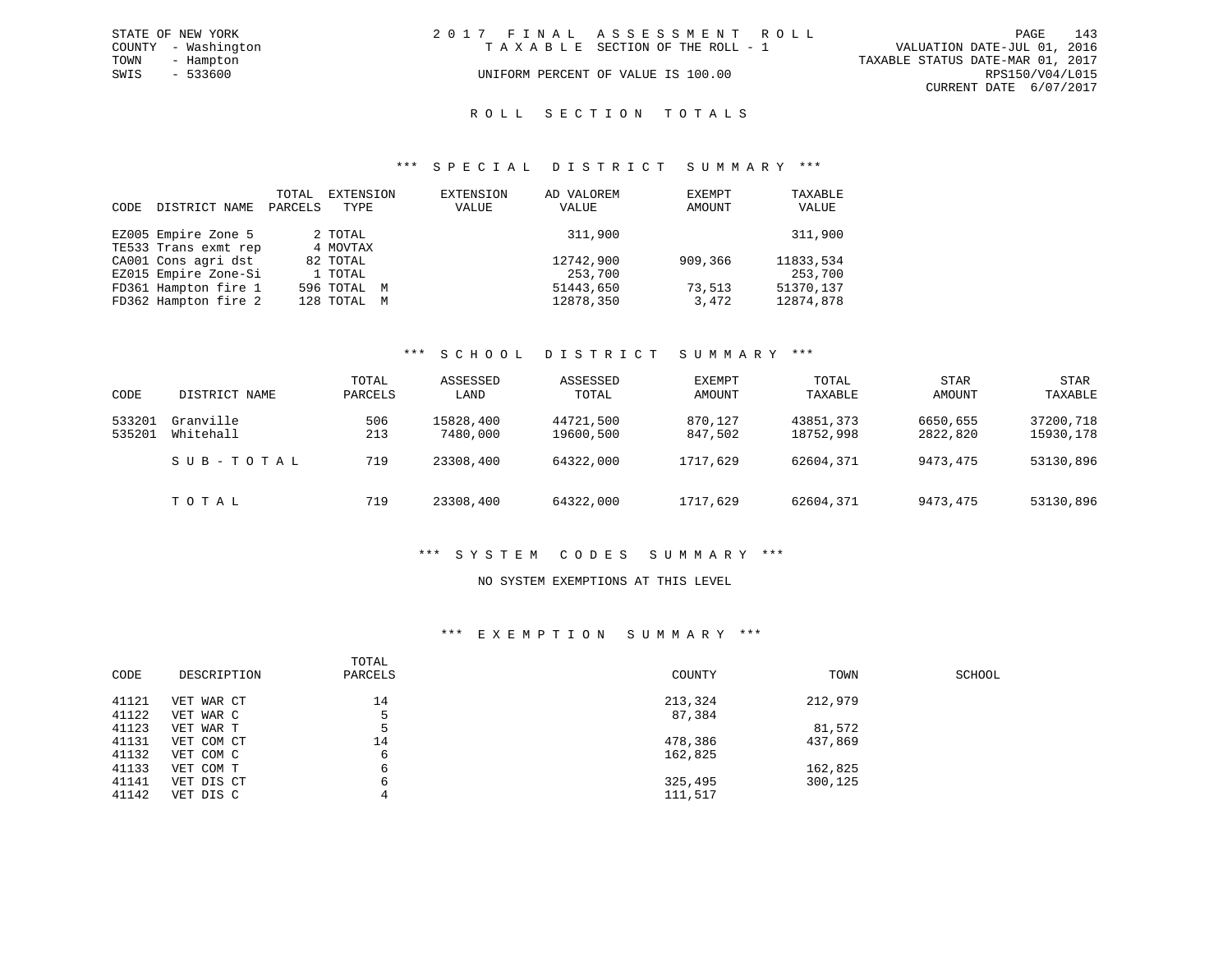|      | STATE OF NEW YORK   | 2017 FINAL ASSESSMENT ROLL         |                                  |                        | PAGE | 143 |
|------|---------------------|------------------------------------|----------------------------------|------------------------|------|-----|
|      | COUNTY - Washington | TAXABLE SECTION OF THE ROLL - 1    | VALUATION DATE-JUL 01, 2016      |                        |      |     |
| TOWN | - Hampton           |                                    | TAXABLE STATUS DATE-MAR 01, 2017 |                        |      |     |
| SWIS | - 533600            | UNIFORM PERCENT OF VALUE IS 100.00 |                                  | RPS150/V04/L015        |      |     |
|      |                     |                                    |                                  | CURRENT DATE 6/07/2017 |      |     |

#### ROLL SECTION TOTALS

#### \*\*\* S P E C I A L D I S T R I C T S U M M A R Y \*\*\*

| CODE | DISTRICT NAME        | TOTAL<br>PARCELS | EXTENSION<br>TYPE | EXTENSION<br>VALUE | AD VALOREM<br>VALUE | EXEMPT<br>AMOUNT | TAXABLE<br>VALUE |
|------|----------------------|------------------|-------------------|--------------------|---------------------|------------------|------------------|
|      | EZ005 Empire Zone 5  |                  | 2 TOTAL           |                    | 311,900             |                  | 311,900          |
|      | TE533 Trans exmt rep |                  | 4 MOVTAX          |                    |                     |                  |                  |
|      | CA001 Cons agri dst  |                  | 82 TOTAL          |                    | 12742,900           | 909,366          | 11833,534        |
|      | EZ015 Empire Zone-Si |                  | 1 TOTAL           |                    | 253,700             |                  | 253,700          |
|      | FD361 Hampton fire 1 |                  | 596 TOTAL M       |                    | 51443,650           | 73,513           | 51370.137        |
|      | FD362 Hampton fire 2 |                  | 128 TOTAL M       |                    | 12878,350           | 3,472            | 12874,878        |

#### \*\*\* S C H O O L D I S T R I C T S U M M A R Y \*\*\*

| CODE             | DISTRICT NAME          | TOTAL<br>PARCELS | ASSESSED<br>LAND      | ASSESSED<br>TOTAL      | EXEMPT<br>AMOUNT   | TOTAL<br>TAXABLE       | <b>STAR</b><br>AMOUNT | <b>STAR</b><br>TAXABLE |
|------------------|------------------------|------------------|-----------------------|------------------------|--------------------|------------------------|-----------------------|------------------------|
| 533201<br>535201 | Granville<br>Whitehall | 506<br>213       | 15828,400<br>7480,000 | 44721,500<br>19600,500 | 870,127<br>847,502 | 43851,373<br>18752,998 | 6650,655<br>2822,820  | 37200,718<br>15930,178 |
|                  | SUB-TOTAL              | 719              | 23308,400             | 64322,000              | 1717,629           | 62604,371              | 9473,475              | 53130,896              |
|                  | TOTAL                  | 719              | 23308,400             | 64322,000              | 1717,629           | 62604,371              | 9473,475              | 53130,896              |

#### \*\*\* S Y S T E M C O D E S S U M M A R Y \*\*\*

#### NO SYSTEM EXEMPTIONS AT THIS LEVEL

#### \*\*\* E X E M P T I O N S U M M A R Y \*\*\*

| CODE  | DESCRIPTION | TOTAL<br>PARCELS | COUNTY  | TOWN    | SCHOOL |
|-------|-------------|------------------|---------|---------|--------|
| 41121 | VET WAR CT  | 14               | 213,324 | 212,979 |        |
| 41122 | VET WAR C   | 5                | 87,384  |         |        |
| 41123 | VET WAR T   | 5                |         | 81,572  |        |
| 41131 | VET COM CT  | 14               | 478,386 | 437,869 |        |
| 41132 | VET COM C   | 6                | 162,825 |         |        |
| 41133 | VET COM T   | 6                |         | 162,825 |        |
| 41141 | VET DIS CT  | 6                | 325,495 | 300,125 |        |
| 41142 | VET DIS C   | 4                | 111,517 |         |        |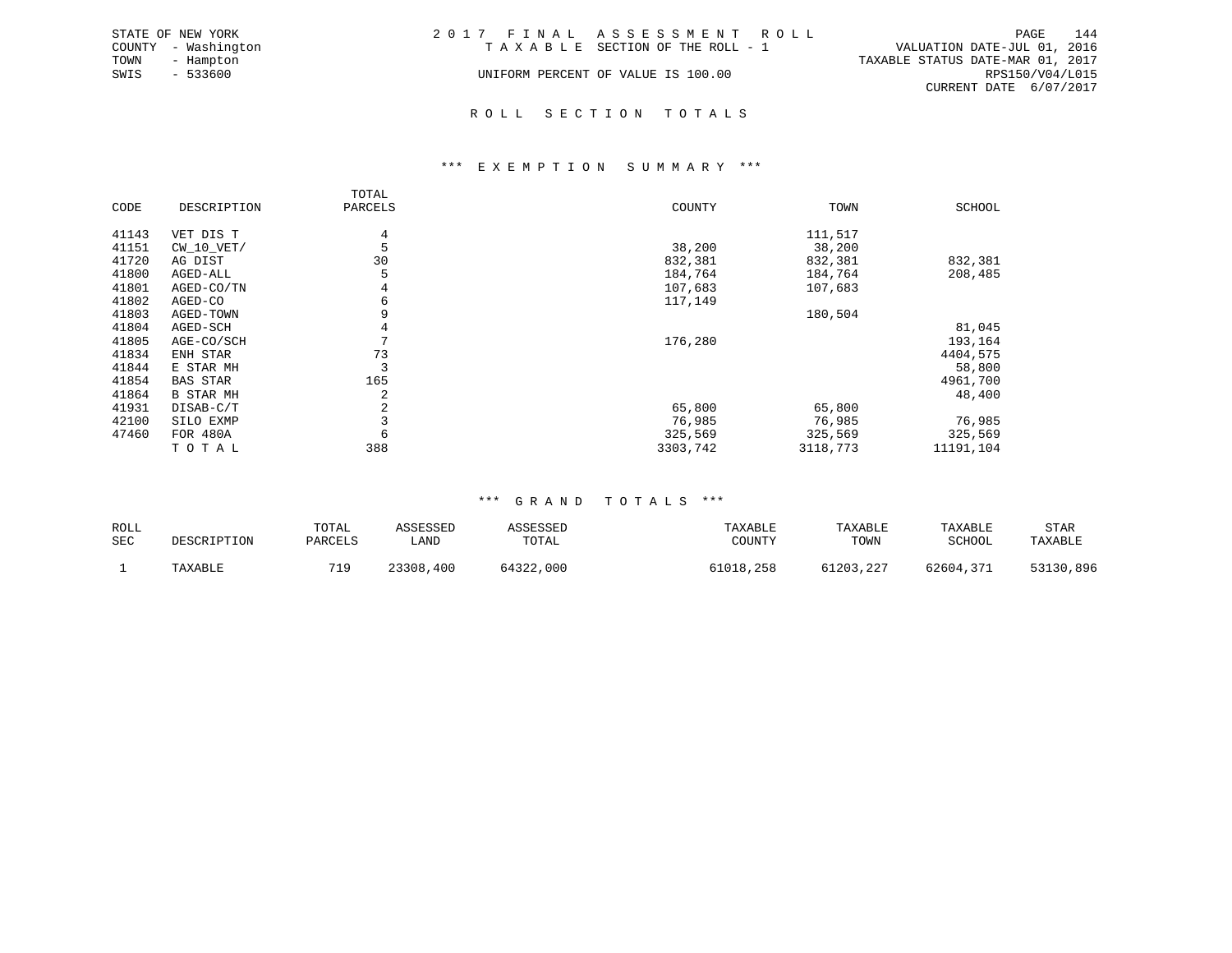|      | STATE OF NEW YORK   | 2017 FINAL ASSESSMENT ROLL         |                                  |                        | PAGE | 144 |
|------|---------------------|------------------------------------|----------------------------------|------------------------|------|-----|
|      | COUNTY - Washington | TAXABLE SECTION OF THE ROLL - 1    | VALUATION DATE-JUL 01, 2016      |                        |      |     |
| TOWN | - Hampton           |                                    | TAXABLE STATUS DATE-MAR 01, 2017 |                        |      |     |
| SWIS | $-533600$           | UNIFORM PERCENT OF VALUE IS 100.00 |                                  | RPS150/V04/L015        |      |     |
|      |                     |                                    |                                  | CURRENT DATE 6/07/2017 |      |     |
|      |                     |                                    |                                  |                        |      |     |

#### R O L L S E C T I O N T O T A L S

#### \*\*\* E X E M P T I O N S U M M A R Y \*\*\*

|       |                  | TOTAL        |          |          |           |
|-------|------------------|--------------|----------|----------|-----------|
| CODE  | DESCRIPTION      | PARCELS      | COUNTY   | TOWN     | SCHOOL    |
| 41143 | VET DIS T        | 4            |          | 111,517  |           |
| 41151 | $CW_10_VET/$     | 5            | 38,200   | 38,200   |           |
| 41720 | AG DIST          | 30           | 832,381  | 832,381  | 832,381   |
| 41800 | AGED-ALL         |              | 184,764  | 184,764  | 208,485   |
| 41801 | AGED-CO/TN       | 4            | 107,683  | 107,683  |           |
| 41802 | AGED-CO          | 6            | 117,149  |          |           |
| 41803 | AGED-TOWN        | 9            |          | 180,504  |           |
| 41804 | AGED-SCH         | 4            |          |          | 81,045    |
| 41805 | AGE-CO/SCH       | $\mathbf{r}$ | 176,280  |          | 193,164   |
| 41834 | ENH STAR         | 73           |          |          | 4404,575  |
| 41844 | E STAR MH        | 3            |          |          | 58,800    |
| 41854 | <b>BAS STAR</b>  | 165          |          |          | 4961,700  |
| 41864 | <b>B STAR MH</b> | 2            |          |          | 48,400    |
| 41931 | DISAB-C/T        | 2            | 65,800   | 65,800   |           |
| 42100 | SILO EXMP        | 3            | 76,985   | 76,985   | 76,985    |
| 47460 | FOR 480A         | 6            | 325,569  | 325,569  | 325,569   |
|       | TOTAL            | 388          | 3303,742 | 3118,773 | 11191,104 |

#### \*\*\* G R A N D T O T A L S \*\*\*

| ROLL<br><b>SEC</b> | DESCRIPTION | TOTAL<br>PARCELS | ASSESSED<br>∟AND | ASSESSED<br>TOTAL | TAXABLE<br>TOUNTY | TAXABLE<br>TOWN | TAXABLE<br>SCHOOL | STAR<br>TAXABLE |
|--------------------|-------------|------------------|------------------|-------------------|-------------------|-----------------|-------------------|-----------------|
|                    | TAXABLE     | 71 C             | 23308,400        | 64322,000         | 61018,258         | 61203,227       | 62604,371         | 53130,896       |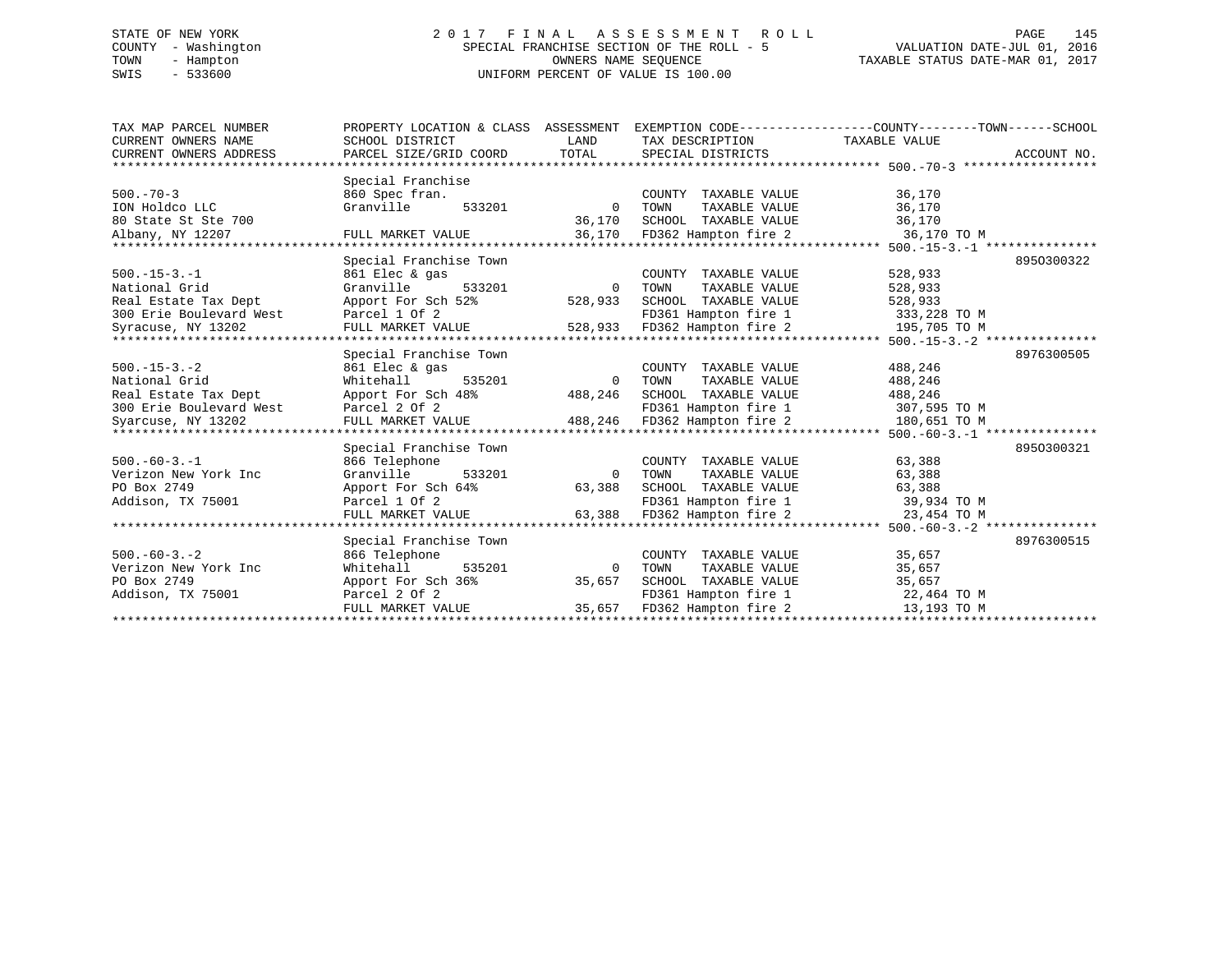# STATE OF NEW YORK 2 0 1 7 F I N A L A S S E S S M E N T R O L L PAGE 145 COUNTY - Washington SPECIAL FRANCHISE SECTION OF THE ROLL - 5 VALUATION DATE-JUL 01, 2016 TOWN - Hampton OWNERS NAME SEQUENCE TAXABLE STATUS DATE-MAR 01, 2017 SWIS - 533600 UNIFORM PERCENT OF VALUE IS 100.00

| TAX MAP PARCEL NUMBER<br>CURRENT OWNERS NAME<br>CURRENT OWNERS ADDRESS                                       | PROPERTY LOCATION & CLASS ASSESSMENT<br>SCHOOL DISTRICT<br>PARCEL SIZE/GRID COORD                                           | LAND<br>TOTAL                     | EXEMPTION CODE-----------------COUNTY-------TOWN------SCHOOL<br>TAX DESCRIPTION<br>SPECIAL DISTRICTS                     | TAXABLE VALUE                                                                                                 | ACCOUNT NO. |
|--------------------------------------------------------------------------------------------------------------|-----------------------------------------------------------------------------------------------------------------------------|-----------------------------------|--------------------------------------------------------------------------------------------------------------------------|---------------------------------------------------------------------------------------------------------------|-------------|
| ***********************                                                                                      |                                                                                                                             |                                   |                                                                                                                          |                                                                                                               |             |
| $500. - 70 - 3$<br>ION Holdco LLC<br>80 State St Ste 700                                                     | Special Franchise<br>860 Spec fran.<br>Granville<br>533201                                                                  | $\Omega$<br>36,170                | COUNTY TAXABLE VALUE<br>TOWN<br>TAXABLE VALUE<br>SCHOOL TAXABLE VALUE                                                    | 36,170<br>36,170<br>36,170                                                                                    |             |
| Albany, NY 12207                                                                                             | FULL MARKET VALUE                                                                                                           | 36,170                            | FD362 Hampton fire 2                                                                                                     | 36,170 TO M                                                                                                   |             |
| ***************                                                                                              |                                                                                                                             |                                   |                                                                                                                          |                                                                                                               |             |
| $500. -15 - 3. -1$<br>National Grid<br>Real Estate Tax Dept<br>300 Erie Boulevard West<br>Syracuse, NY 13202 | Special Franchise Town<br>861 Elec & gas<br>Granville<br>533201<br>Apport For Sch 52%<br>Parcel 1 Of 2<br>FULL MARKET VALUE | $\Omega$<br>528,933<br>528,933    | COUNTY<br>TAXABLE VALUE<br>TOWN<br>TAXABLE VALUE<br>SCHOOL TAXABLE VALUE<br>FD361 Hampton fire 1<br>FD362 Hampton fire 2 | 528,933<br>528,933<br>528,933<br>333,228 TO M<br>195,705 TO M                                                 | 8950300322  |
|                                                                                                              |                                                                                                                             |                                   |                                                                                                                          | ************** 500.-15-3.-2 ***************                                                                   |             |
| $500. -15 - 3. -2$<br>National Grid<br>Real Estate Tax Dept<br>300 Erie Boulevard West<br>Syarcuse, NY 13202 | Special Franchise Town<br>861 Elec & gas<br>Whitehall<br>535201<br>Apport For Sch 48%<br>Parcel 2 Of 2<br>FULL MARKET VALUE | $\mathbf 0$<br>488,246<br>488,246 | COUNTY TAXABLE VALUE<br>TAXABLE VALUE<br>TOWN<br>SCHOOL TAXABLE VALUE<br>FD361 Hampton fire 1<br>FD362 Hampton fire 2    | 488,246<br>488,246<br>488,246<br>307,595 TO M<br>180,651 TO M<br>************** 500.-60-3.-1 **************** | 8976300505  |
|                                                                                                              | Special Franchise Town                                                                                                      |                                   |                                                                                                                          |                                                                                                               | 8950300321  |
| $500.-60-3.-1$<br>Verizon New York Inc<br>PO Box 2749<br>Addison, TX 75001                                   | 866 Telephone<br>Granville<br>533201<br>Apport For Sch 64%<br>Parcel 1 Of 2<br>FULL MARKET VALUE                            | $\Omega$<br>63,388<br>63,388      | COUNTY TAXABLE VALUE<br>TOWN<br>TAXABLE VALUE<br>SCHOOL TAXABLE VALUE<br>FD361 Hampton fire 1<br>FD362 Hampton fire 2    | 63,388<br>63,388<br>63,388<br>39,934 TO M<br>23,454 TO M                                                      |             |
|                                                                                                              |                                                                                                                             |                                   |                                                                                                                          |                                                                                                               |             |
| $500. -60 - 3. - 2$<br>Verizon New York Inc<br>PO Box 2749<br>Addison, TX 75001                              | Special Franchise Town<br>866 Telephone<br>Whitehall<br>535201<br>Apport For Sch 36%<br>Parcel 2 Of 2<br>FULL MARKET VALUE  | $\Omega$<br>35,657<br>35,657      | COUNTY TAXABLE VALUE<br>TOWN<br>TAXABLE VALUE<br>SCHOOL TAXABLE VALUE<br>FD361 Hampton fire 1<br>FD362 Hampton fire 2    | 35,657<br>35,657<br>35,657<br>22,464 TO M<br>13,193 TO M                                                      | 8976300515  |
|                                                                                                              |                                                                                                                             |                                   |                                                                                                                          |                                                                                                               |             |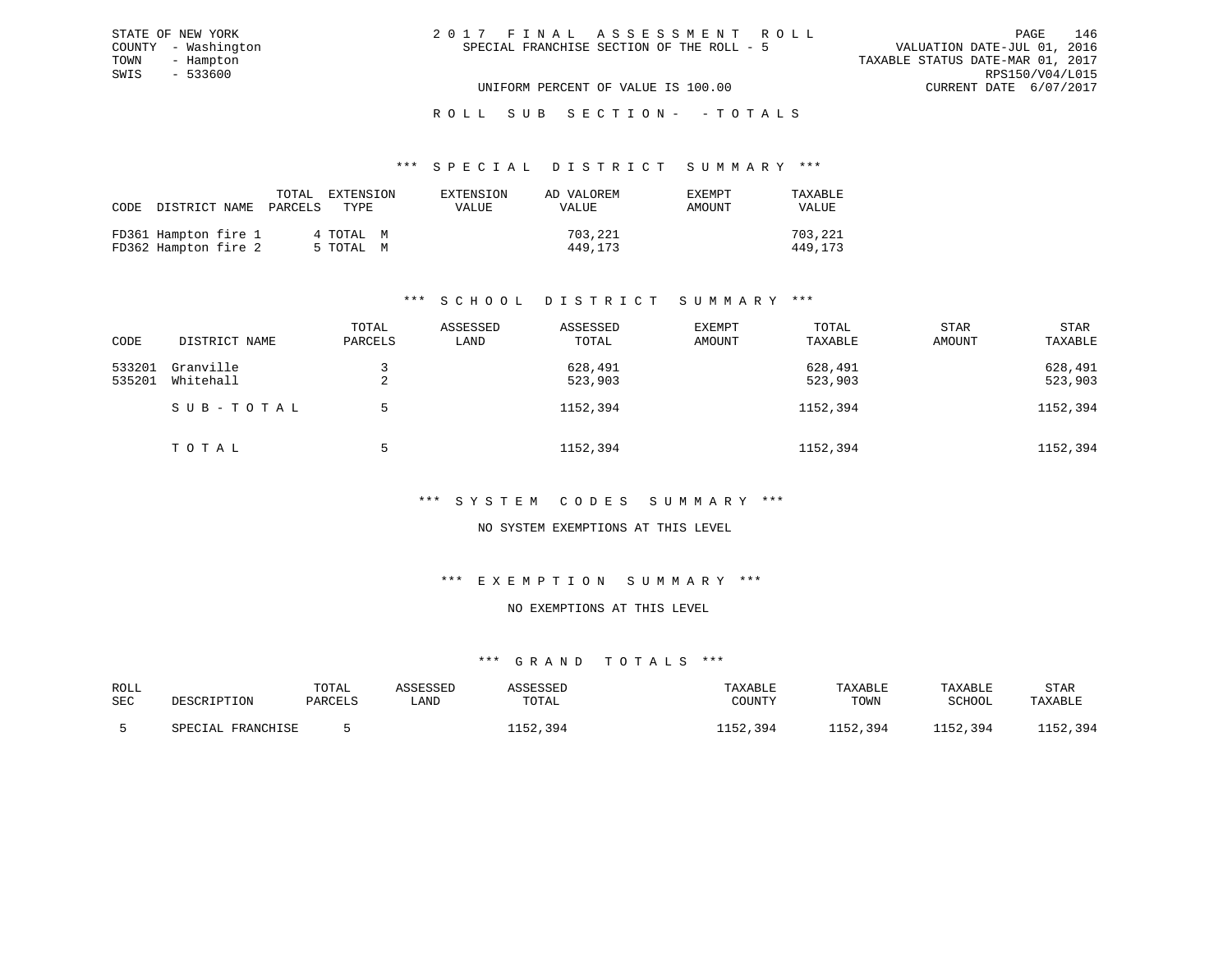| 2017 FINAL ASSESSMENT ROLL                |                                  | PAGE                        | 146 |
|-------------------------------------------|----------------------------------|-----------------------------|-----|
| SPECIAL FRANCHISE SECTION OF THE ROLL - 5 |                                  | VALUATION DATE-JUL 01, 2016 |     |
|                                           | TAXABLE STATUS DATE-MAR 01, 2017 |                             |     |
|                                           |                                  | RPS150/V04/L015             |     |
| UNIFORM PERCENT OF VALUE IS 100.00        |                                  | CURRENT DATE 6/07/2017      |     |

ROLL SUB SECTION - - TOTALS

#### \*\*\* S P E C I A L D I S T R I C T S U M M A R Y \*\*\*

| CODE DISTRICT NAME                           | TOTAL<br>PARCELS | EXTENSION<br>TYPE      | EXTENSION<br>VALUE | AD VALOREM<br>VALUE | <b>EXEMPT</b><br>AMOUNT | TAXABLE<br>VALUE   |
|----------------------------------------------|------------------|------------------------|--------------------|---------------------|-------------------------|--------------------|
| FD361 Hampton fire 1<br>FD362 Hampton fire 2 |                  | 4 TOTAL M<br>5 TOTAL M |                    | 703,221<br>449,173  |                         | 703,221<br>449,173 |

STATE OF NEW YORK COUNTY - Washington TOWN - Hampton  $SWIS$  - 533600

# \*\*\* S C H O O L D I S T R I C T S U M M A R Y \*\*\*

| CODE             | DISTRICT NAME          | TOTAL<br>PARCELS | ASSESSED<br>LAND | ASSESSED<br>TOTAL  | <b>EXEMPT</b><br>AMOUNT | TOTAL<br>TAXABLE   | <b>STAR</b><br>AMOUNT | STAR<br>TAXABLE    |
|------------------|------------------------|------------------|------------------|--------------------|-------------------------|--------------------|-----------------------|--------------------|
| 533201<br>535201 | Granville<br>Whitehall | △                |                  | 628,491<br>523,903 |                         | 628,491<br>523,903 |                       | 628,491<br>523,903 |
|                  | SUB-TOTAL              |                  |                  | 1152,394           |                         | 1152,394           |                       | 1152,394           |
|                  | TOTAL                  |                  |                  | 1152,394           |                         | 1152,394           |                       | 1152,394           |

#### \*\*\* S Y S T E M C O D E S S U M M A R Y \*\*\*

#### NO SYSTEM EXEMPTIONS AT THIS LEVEL

#### \*\*\* E X E M P T I O N S U M M A R Y \*\*\*

### NO EXEMPTIONS AT THIS LEVEL

| ROLL |                   | TOTAL   | ASSESSED | ASSESSED | TAXABLE  | TAXABLE  | TAXABLE  | STAR     |
|------|-------------------|---------|----------|----------|----------|----------|----------|----------|
| SEC  | DESCRIPTION       | PARCELS | ∟AND     | TOTAL    | COUNTY   | TOWN     | SCHOOL   | TAXABLE  |
|      | SPECIAL FRANCHISE |         |          | 1152,394 | 1152,394 | 1152,394 | 1152,394 | 1152,394 |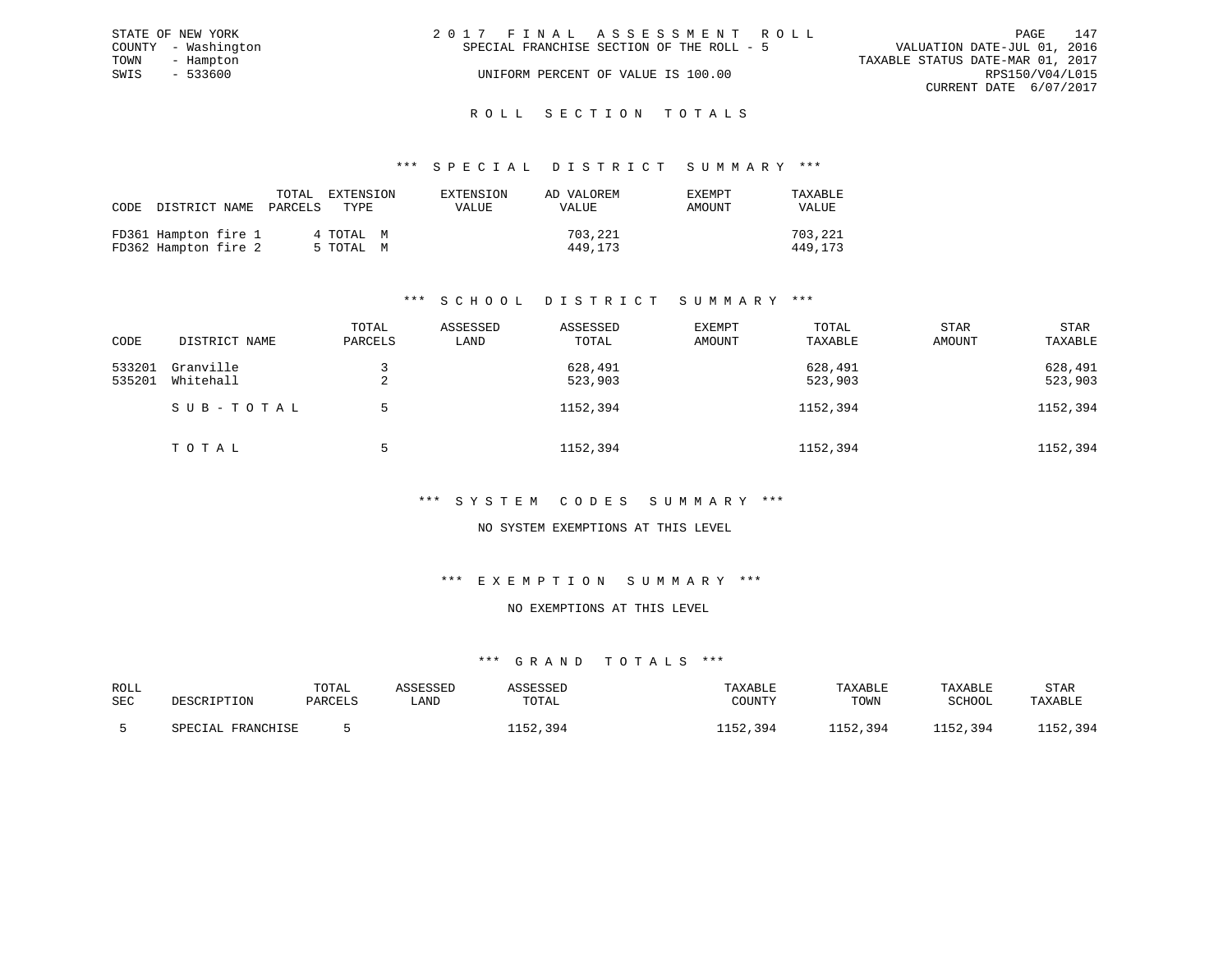|      | STATE OF NEW YORK   | 2017 FINAL ASSESSMENT ROLL                |                             | PAGE | 147 |
|------|---------------------|-------------------------------------------|-----------------------------|------|-----|
|      | COUNTY - Washington | SPECIAL FRANCHISE SECTION OF THE ROLL - 5 | VALUATION DATE-JUL 01, 2016 |      |     |
| TOWN | - Hampton           | TAXABLE STATUS DATE-MAR 01, 2017          |                             |      |     |
| SWIS | - 533600            | UNIFORM PERCENT OF VALUE IS 100.00        | RPS150/V04/L015             |      |     |
|      |                     |                                           | CURRENT DATE 6/07/2017      |      |     |
|      |                     |                                           |                             |      |     |

# ROLL SECTION TOTALS

#### \*\*\* S P E C I A L D I S T R I C T S U M M A R Y \*\*\*

| CODE | DISTRICT NAME                                | TOTAL<br>PARCELS | EXTENSION<br>TYPE.     | EXTENSION<br>VALUE | AD VALOREM<br>VALUE | <b>EXEMPT</b><br>AMOUNT | TAXABLE<br>VALUE   |
|------|----------------------------------------------|------------------|------------------------|--------------------|---------------------|-------------------------|--------------------|
|      | FD361 Hampton fire 1<br>FD362 Hampton fire 2 |                  | 4 TOTAL M<br>5 TOTAL M |                    | 703,221<br>449,173  |                         | 703,221<br>449,173 |

# \*\*\* S C H O O L D I S T R I C T S U M M A R Y \*\*\*

| CODE             | DISTRICT NAME          | TOTAL<br>PARCELS | ASSESSED<br>LAND | ASSESSED<br>TOTAL  | <b>EXEMPT</b><br>AMOUNT | TOTAL<br>TAXABLE   | <b>STAR</b><br>AMOUNT | STAR<br>TAXABLE    |
|------------------|------------------------|------------------|------------------|--------------------|-------------------------|--------------------|-----------------------|--------------------|
| 533201<br>535201 | Granville<br>Whitehall | △                |                  | 628,491<br>523,903 |                         | 628,491<br>523,903 |                       | 628,491<br>523,903 |
|                  | SUB-TOTAL              |                  |                  | 1152,394           |                         | 1152,394           |                       | 1152,394           |
|                  | TOTAL                  |                  |                  | 1152,394           |                         | 1152,394           |                       | 1152,394           |

#### \*\*\* S Y S T E M C O D E S S U M M A R Y \*\*\*

#### NO SYSTEM EXEMPTIONS AT THIS LEVEL

#### \*\*\* E X E M P T I O N S U M M A R Y \*\*\*

#### NO EXEMPTIONS AT THIS LEVEL

| ROLL |                   | TOTAL   | ASSESSED | ASSESSED | TAXABLE  | TAXABLE  | TAXABLE  | STAR     |
|------|-------------------|---------|----------|----------|----------|----------|----------|----------|
| SEC  | DESCRIPTION       | PARCELS | ∟AND     | TOTAL    | COUNTY   | TOWN     | SCHOOL   | TAXABLE  |
|      | SPECIAL FRANCHISE |         |          | 1152,394 | 1152,394 | 1152,394 | 1152,394 | 1152,394 |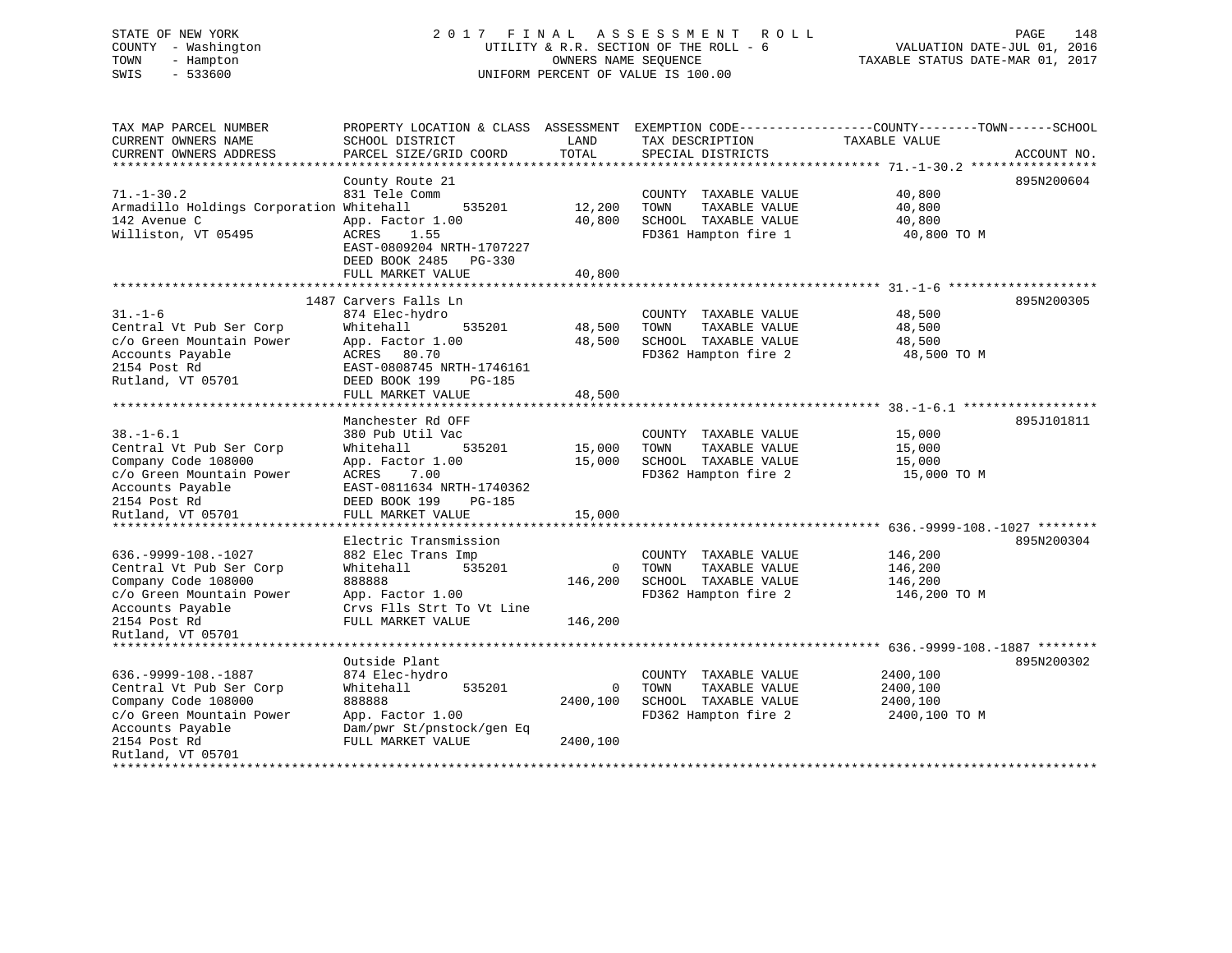# STATE OF NEW YORK 2 0 1 7 F I N A L A S S E S S M E N T R O L L PAGE 148 COUNTY - Washington UTILITY & R.R. SECTION OF THE ROLL - 6 VALUATION DATE-JUL 01, 2016 TOWN - Hampton OWNERS NAME SEQUENCE TAXABLE STATUS DATE-MAR 01, 2017 SWIS - 533600 UNIFORM PERCENT OF VALUE IS 100.00

| SCHOOL DISTRICT<br>PARCEL SIZE/GRID COORD                                                                                                                                             | PROPERTY LOCATION & CLASS ASSESSMENT<br>LAND<br>TOTAL                                                                                                          | TAX DESCRIPTION<br>SPECIAL DISTRICTS                                                          | EXEMPTION CODE-----------------COUNTY-------TOWN------SCHOOL<br>TAXABLE VALUE | ACCOUNT NO.                                |
|---------------------------------------------------------------------------------------------------------------------------------------------------------------------------------------|----------------------------------------------------------------------------------------------------------------------------------------------------------------|-----------------------------------------------------------------------------------------------|-------------------------------------------------------------------------------|--------------------------------------------|
| County Route 21<br>831 Tele Comm<br>535201<br>App. Factor 1.00<br>ACRES<br>1.55<br>EAST-0809204 NRTH-1707227<br>DEED BOOK 2485<br>$PG-330$<br>FULL MARKET VALUE                       | 12,200<br>40,800<br>40,800                                                                                                                                     | COUNTY TAXABLE VALUE<br>TOWN<br>TAXABLE VALUE<br>SCHOOL TAXABLE VALUE<br>FD361 Hampton fire 1 | 40,800<br>40,800<br>40,800<br>40,800 TO M                                     | 895N200604                                 |
| 874 Elec-hydro<br>Whitehall<br>535201<br>App. Factor 1.00<br>ACRES 80.70<br>EAST-0808745 NRTH-1746161<br>DEED BOOK 199<br>PG-185<br>FULL MARKET VALUE                                 | 48,500<br>48,500<br>48,500                                                                                                                                     | COUNTY TAXABLE VALUE<br>TOWN<br>TAXABLE VALUE<br>SCHOOL TAXABLE VALUE<br>FD362 Hampton fire 2 | 48,500<br>48,500<br>48,500<br>48,500 TO M                                     | 895N200305                                 |
| Manchester Rd OFF<br>380 Pub Util Vac<br>535201<br>Whitehall<br>App. Factor 1.00<br>ACRES<br>7.00<br>EAST-0811634 NRTH-1740362<br>DEED BOOK 199<br><b>PG-185</b><br>FULL MARKET VALUE | 15,000<br>15,000<br>15,000                                                                                                                                     | COUNTY TAXABLE VALUE<br>TAXABLE VALUE<br>TOWN<br>SCHOOL TAXABLE VALUE<br>FD362 Hampton fire 2 | 15,000<br>15,000<br>15,000<br>15,000 TO M                                     | 895J101811                                 |
| Electric Transmission<br>882 Elec Trans Imp<br>Whitehall<br>535201<br>888888<br>App. Factor 1.00<br>Crvs Flls Strt To Vt Line<br>FULL MARKET VALUE                                    | $\mathbf 0$<br>146,200<br>146,200                                                                                                                              | COUNTY TAXABLE VALUE<br>TAXABLE VALUE<br>TOWN<br>SCHOOL TAXABLE VALUE<br>FD362 Hampton fire 2 | 146,200<br>146,200<br>146,200<br>146,200 TO M                                 | 895N200304                                 |
| Outside Plant<br>874 Elec-hydro<br>Whitehall<br>535201<br>888888<br>App. Factor 1.00<br>Dam/pwr St/pnstock/gen Eq<br>FULL MARKET VALUE                                                | 0<br>2400,100<br>2400,100                                                                                                                                      | COUNTY TAXABLE VALUE<br>TAXABLE VALUE<br>TOWN<br>SCHOOL TAXABLE VALUE<br>FD362 Hampton fire 2 | 2400,100<br>2400,100<br>2400,100<br>2400,100 TO M                             | 895N200302                                 |
|                                                                                                                                                                                       | Armadillo Holdings Corporation Whitehall<br>**********************<br>1487 Carvers Falls Ln<br>**************************<br>* * * * * * * * * * * * * * * * * |                                                                                               |                                                                               | ************* 636.-9999-108.-1027 ******** |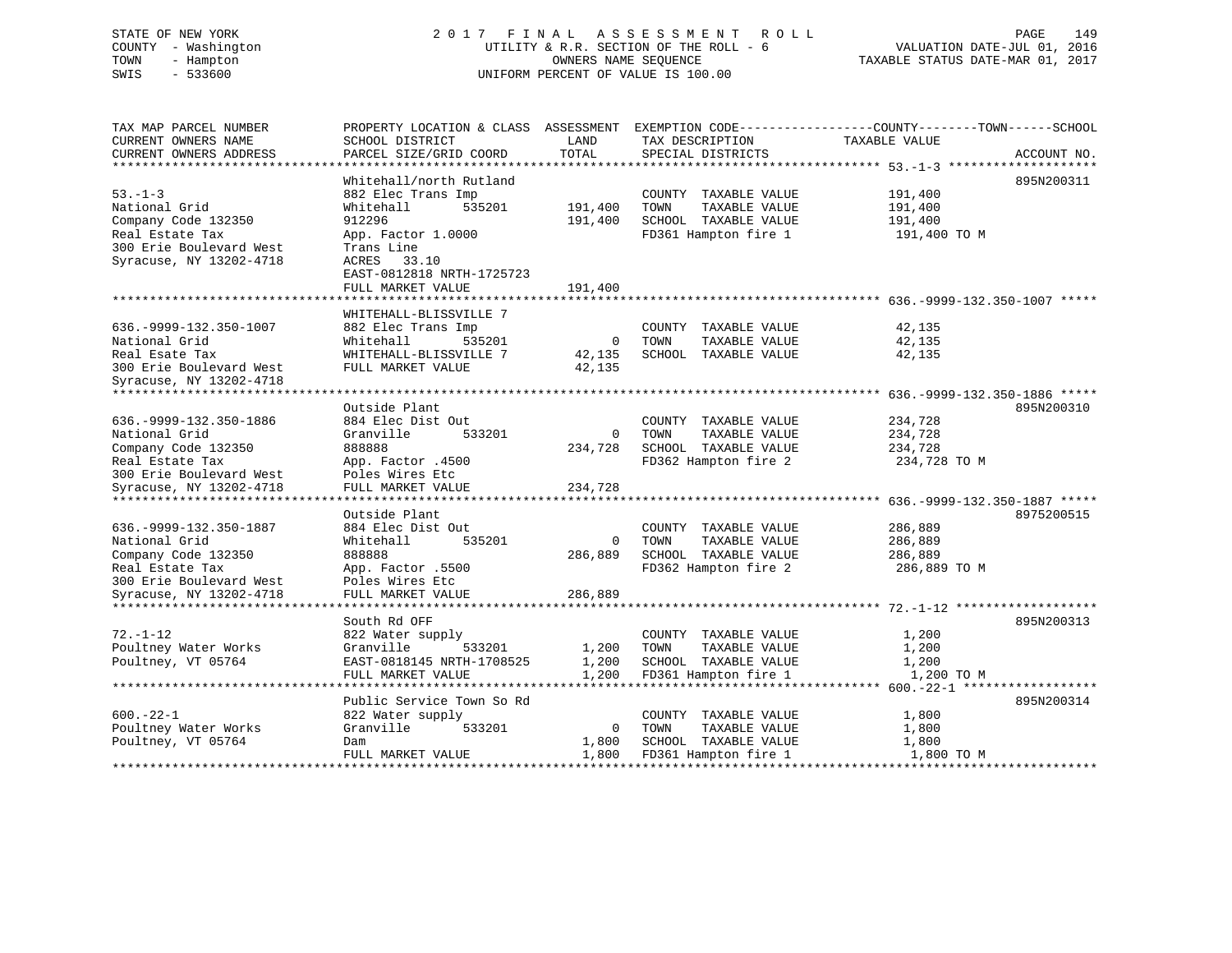# STATE OF NEW YORK 2 0 1 7 F I N A L A S S E S S M E N T R O L L PAGE 149 COUNTY - Washington UTILITY & R.R. SECTION OF THE ROLL - 6 VALUATION DATE-JUL 01, 2016 TOWN - Hampton OWNERS NAME SEQUENCE TAXABLE STATUS DATE-MAR 01, 2017 SWIS - 533600 UNIFORM PERCENT OF VALUE IS 100.00

| TAX MAP PARCEL NUMBER<br>CURRENT OWNERS NAME<br>CURRENT OWNERS ADDRESS                                                 | PROPERTY LOCATION & CLASS ASSESSMENT<br>SCHOOL DISTRICT<br>PARCEL SIZE/GRID COORD                              | LAND<br>TOTAL                      | TAX DESCRIPTION<br>SPECIAL DISTRICTS                                  | EXEMPTION CODE-----------------COUNTY-------TOWN------SCHOOL<br>TAXABLE VALUE | ACCOUNT NO. |
|------------------------------------------------------------------------------------------------------------------------|----------------------------------------------------------------------------------------------------------------|------------------------------------|-----------------------------------------------------------------------|-------------------------------------------------------------------------------|-------------|
| ***********************                                                                                                |                                                                                                                |                                    |                                                                       |                                                                               |             |
| $53 - 1 - 3$<br>National Grid                                                                                          | Whitehall/north Rutland<br>882 Elec Trans Imp<br>Whitehall<br>535201                                           | 191,400                            | COUNTY TAXABLE VALUE<br>TOWN<br>TAXABLE VALUE                         | 191,400<br>191,400                                                            | 895N200311  |
| Company Code 132350<br>Real Estate Tax<br>300 Erie Boulevard West<br>Syracuse, NY 13202-4718                           | 912296<br>App. Factor 1.0000<br>Trans Line<br>33.10<br>ACRES<br>EAST-0812818 NRTH-1725723<br>FULL MARKET VALUE | 191,400<br>191,400                 | SCHOOL TAXABLE VALUE<br>FD361 Hampton fire 1                          | 191,400<br>191,400 TO M                                                       |             |
| ********************                                                                                                   | ************************                                                                                       |                                    |                                                                       |                                                                               |             |
|                                                                                                                        | WHITEHALL-BLISSVILLE 7                                                                                         |                                    |                                                                       |                                                                               |             |
| 636. - 9999 - 132. 350 - 1007<br>National Grid<br>Real Esate Tax<br>300 Erie Boulevard West<br>Syracuse, NY 13202-4718 | 882 Elec Trans Imp<br>Whitehall<br>535201<br>WHITEHALL-BLISSVILLE 7<br>FULL MARKET VALUE                       | $\overline{0}$<br>42,135<br>42,135 | COUNTY TAXABLE VALUE<br>TOWN<br>TAXABLE VALUE<br>SCHOOL TAXABLE VALUE | 42,135<br>42,135<br>42,135                                                    |             |
| ******************************                                                                                         |                                                                                                                |                                    |                                                                       |                                                                               |             |
|                                                                                                                        | Outside Plant                                                                                                  |                                    |                                                                       |                                                                               | 895N200310  |
| 636. - 9999 - 132. 350 - 1886                                                                                          | 884 Elec Dist Out                                                                                              |                                    | COUNTY TAXABLE VALUE                                                  | 234,728                                                                       |             |
| National Grid                                                                                                          | Granville<br>533201<br>888888                                                                                  | 0                                  | TOWN<br>TAXABLE VALUE<br>SCHOOL TAXABLE VALUE                         | 234,728                                                                       |             |
| Company Code 132350<br>Real Estate Tax                                                                                 | App. Factor .4500                                                                                              | 234,728                            | FD362 Hampton fire 2                                                  | 234,728<br>234,728 TO M                                                       |             |
| 300 Erie Boulevard West                                                                                                | Poles Wires Etc                                                                                                |                                    |                                                                       |                                                                               |             |
| Syracuse, NY 13202-4718                                                                                                | FULL MARKET VALUE                                                                                              | 234,728                            |                                                                       |                                                                               |             |
|                                                                                                                        |                                                                                                                |                                    |                                                                       |                                                                               |             |
|                                                                                                                        | Outside Plant                                                                                                  |                                    |                                                                       |                                                                               | 8975200515  |
| 636. - 9999 - 132. 350 - 1887                                                                                          | 884 Elec Dist Out                                                                                              |                                    | COUNTY TAXABLE VALUE                                                  | 286,889                                                                       |             |
| National Grid                                                                                                          | Whitehall<br>535201                                                                                            | $\Omega$                           | TAXABLE VALUE<br>TOWN                                                 | 286,889                                                                       |             |
| Company Code 132350                                                                                                    | 888888                                                                                                         | 286,889                            | SCHOOL TAXABLE VALUE                                                  | 286,889                                                                       |             |
| Real Estate Tax                                                                                                        | App. Factor .5500                                                                                              |                                    | FD362 Hampton fire 2                                                  | 286,889 TO M                                                                  |             |
| 300 Erie Boulevard West<br>Syracuse, NY 13202-4718                                                                     | Poles Wires Etc<br>FULL MARKET VALUE                                                                           | 286,889                            |                                                                       |                                                                               |             |
|                                                                                                                        |                                                                                                                |                                    |                                                                       |                                                                               |             |
|                                                                                                                        | South Rd OFF                                                                                                   |                                    |                                                                       |                                                                               | 895N200313  |
| $72. - 1 - 12$                                                                                                         | 822 Water supply                                                                                               |                                    | COUNTY TAXABLE VALUE                                                  | 1,200                                                                         |             |
| Poultney Water Works                                                                                                   | Granville<br>533201                                                                                            | 1,200                              | TOWN<br>TAXABLE VALUE                                                 | 1,200                                                                         |             |
| Poultney, VT 05764                                                                                                     | EAST-0818145 NRTH-1708525                                                                                      | 1,200                              | SCHOOL TAXABLE VALUE                                                  | 1,200                                                                         |             |
|                                                                                                                        | FULL MARKET VALUE                                                                                              | 1,200                              | FD361 Hampton fire 1                                                  | 1,200 TO M                                                                    |             |
|                                                                                                                        |                                                                                                                |                                    |                                                                       |                                                                               |             |
|                                                                                                                        | Public Service Town So Rd                                                                                      |                                    |                                                                       |                                                                               | 895N200314  |
| $600. -22 - 1$                                                                                                         | 822 Water supply                                                                                               |                                    | COUNTY TAXABLE VALUE                                                  | 1,800                                                                         |             |
| Poultney Water Works                                                                                                   | Granville<br>533201                                                                                            | $\overline{0}$                     | TAXABLE VALUE<br>TOWN                                                 | 1,800                                                                         |             |
| Poultney, VT 05764                                                                                                     | Dam                                                                                                            | 1,800                              | SCHOOL TAXABLE VALUE                                                  | 1,800                                                                         |             |
|                                                                                                                        | FULL MARKET VALUE                                                                                              | 1,800                              | FD361 Hampton fire 1                                                  | 1,800 TO M                                                                    |             |
|                                                                                                                        |                                                                                                                |                                    |                                                                       |                                                                               |             |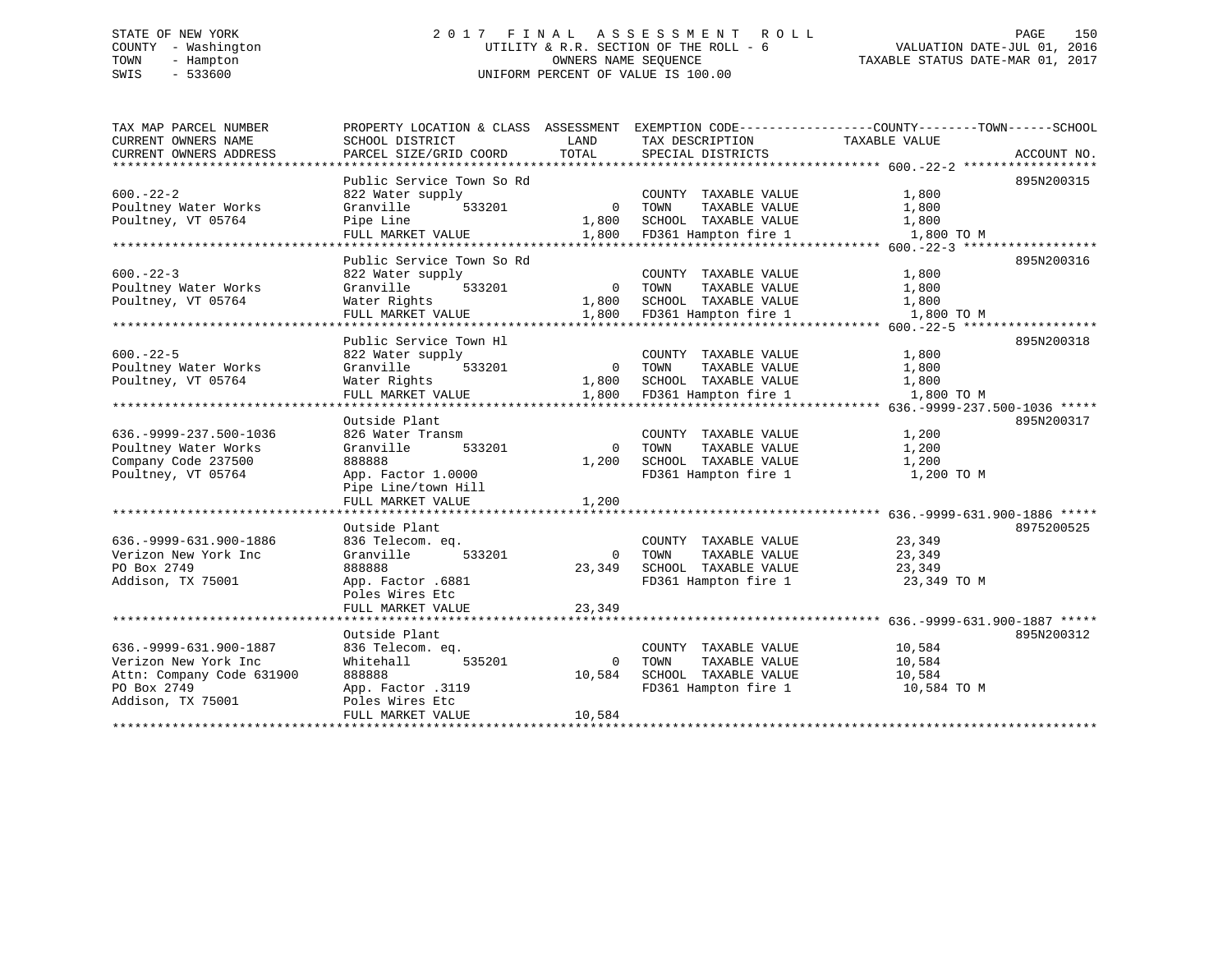# STATE OF NEW YORK 2 0 1 7 F I N A L A S S E S S M E N T R O L L PAGE 150 COUNTY - Washington UTILITY & R.R. SECTION OF THE ROLL - 6 VALUATION DATE-JUL 01, 2016 TOWN - Hampton OWNERS NAME SEQUENCE TAXABLE STATUS DATE-MAR 01, 2017 SWIS - 533600 UNIFORM PERCENT OF VALUE IS 100.00

| TAX MAP PARCEL NUMBER<br>CURRENT OWNERS NAME | SCHOOL DISTRICT           | LAND           | TAX DESCRIPTION         | PROPERTY LOCATION & CLASS ASSESSMENT EXEMPTION CODE---------------COUNTY-------TOWN-----SCHOOL<br>TAXABLE VALUE |             |
|----------------------------------------------|---------------------------|----------------|-------------------------|-----------------------------------------------------------------------------------------------------------------|-------------|
| CURRENT OWNERS ADDRESS                       | PARCEL SIZE/GRID COORD    | TOTAL          | SPECIAL DISTRICTS       |                                                                                                                 | ACCOUNT NO. |
|                                              |                           |                |                         |                                                                                                                 |             |
|                                              | Public Service Town So Rd |                |                         |                                                                                                                 | 895N200315  |
| $600 - 22 - 2$                               | 822 Water supply          |                | COUNTY TAXABLE VALUE    | 1,800                                                                                                           |             |
| Poultney Water Works                         | Granville<br>533201       | $\Omega$       | TOWN<br>TAXABLE VALUE   | 1,800                                                                                                           |             |
| Poultney, VT 05764                           | Pipe Line                 | 1,800          | SCHOOL TAXABLE VALUE    | 1,800                                                                                                           |             |
|                                              | FULL MARKET VALUE         | 1,800          | FD361 Hampton fire 1    | 1,800 TO M                                                                                                      |             |
|                                              |                           |                |                         |                                                                                                                 |             |
|                                              | Public Service Town So Rd |                |                         |                                                                                                                 | 895N200316  |
| $600 - 22 - 3$                               | 822 Water supply          |                | COUNTY TAXABLE VALUE    | 1,800                                                                                                           |             |
|                                              | Granville<br>533201       | $\overline{0}$ | TAXABLE VALUE           |                                                                                                                 |             |
| Poultney Water Works                         |                           |                | TOWN                    | 1,800                                                                                                           |             |
| Poultney, VT 05764                           | Water Rights              | 1,800          | SCHOOL TAXABLE VALUE    | 1,800                                                                                                           |             |
| ******************************               | FULL MARKET VALUE         | 1,800          | FD361 Hampton fire 1    | 1,800 TO M                                                                                                      |             |
|                                              |                           |                |                         |                                                                                                                 |             |
|                                              | Public Service Town Hl    |                |                         |                                                                                                                 | 895N200318  |
| $600 - 22 - 5$                               | 822 Water supply          |                | COUNTY TAXABLE VALUE    | 1,800                                                                                                           |             |
| Poultney Water Works                         | Granville<br>533201       |                | 0 TOWN<br>TAXABLE VALUE | 1,800                                                                                                           |             |
| Poultney, VT 05764                           | Water Rights              | 1,800          | SCHOOL TAXABLE VALUE    | 1,800                                                                                                           |             |
|                                              | FULL MARKET VALUE         | 1,800          | FD361 Hampton fire 1    | 1,800 TO M                                                                                                      |             |
|                                              |                           |                |                         |                                                                                                                 |             |
|                                              | Outside Plant             |                |                         |                                                                                                                 | 895N200317  |
| 636. - 9999 - 237. 500 - 1036                | 826 Water Transm          |                | COUNTY TAXABLE VALUE    | 1,200                                                                                                           |             |
| Poultney Water Works                         | Granville<br>533201       | $\Omega$       | TOWN<br>TAXABLE VALUE   | 1,200                                                                                                           |             |
| Company Code 237500                          | 888888                    | 1,200          | SCHOOL TAXABLE VALUE    | 1,200                                                                                                           |             |
| Poultney, VT 05764                           | App. Factor 1.0000        |                | FD361 Hampton fire 1    | 1,200 TO M                                                                                                      |             |
|                                              | Pipe Line/town Hill       |                |                         |                                                                                                                 |             |
|                                              | FULL MARKET VALUE         | 1,200          |                         |                                                                                                                 |             |
| ******************************               |                           |                |                         |                                                                                                                 |             |
|                                              | Outside Plant             |                |                         |                                                                                                                 | 8975200525  |
| 636. - 9999 - 631. 900 - 1886                | 836 Telecom. eq.          |                | COUNTY TAXABLE VALUE    | 23,349                                                                                                          |             |
| Verizon New York Inc                         | 533201<br>Granville       | $\Omega$       | TOWN<br>TAXABLE VALUE   | 23,349                                                                                                          |             |
| PO Box 2749                                  | 888888                    | 23,349         | SCHOOL TAXABLE VALUE    | 23,349                                                                                                          |             |
| Addison, TX 75001                            | App. Factor .6881         |                | FD361 Hampton fire 1    | 23,349 TO M                                                                                                     |             |
|                                              | Poles Wires Etc           |                |                         |                                                                                                                 |             |
|                                              | FULL MARKET VALUE         | 23,349         |                         |                                                                                                                 |             |
|                                              |                           |                |                         |                                                                                                                 |             |
|                                              | Outside Plant             |                |                         |                                                                                                                 | 895N200312  |
| 636. - 9999 - 631. 900 - 1887                | 836 Telecom. eq.          |                | COUNTY TAXABLE VALUE    | 10,584                                                                                                          |             |
| Verizon New York Inc                         | Whitehall<br>535201       | $\Omega$       | TOWN<br>TAXABLE VALUE   | 10,584                                                                                                          |             |
| Attn: Company Code 631900                    | 888888                    | 10,584         | SCHOOL TAXABLE VALUE    | 10,584                                                                                                          |             |
| PO Box 2749                                  | App. Factor .3119         |                | FD361 Hampton fire 1    | 10,584 TO M                                                                                                     |             |
| Addison, TX 75001                            | Poles Wires Etc           |                |                         |                                                                                                                 |             |
|                                              | FULL MARKET VALUE         | 10,584         |                         |                                                                                                                 |             |
|                                              |                           |                |                         |                                                                                                                 |             |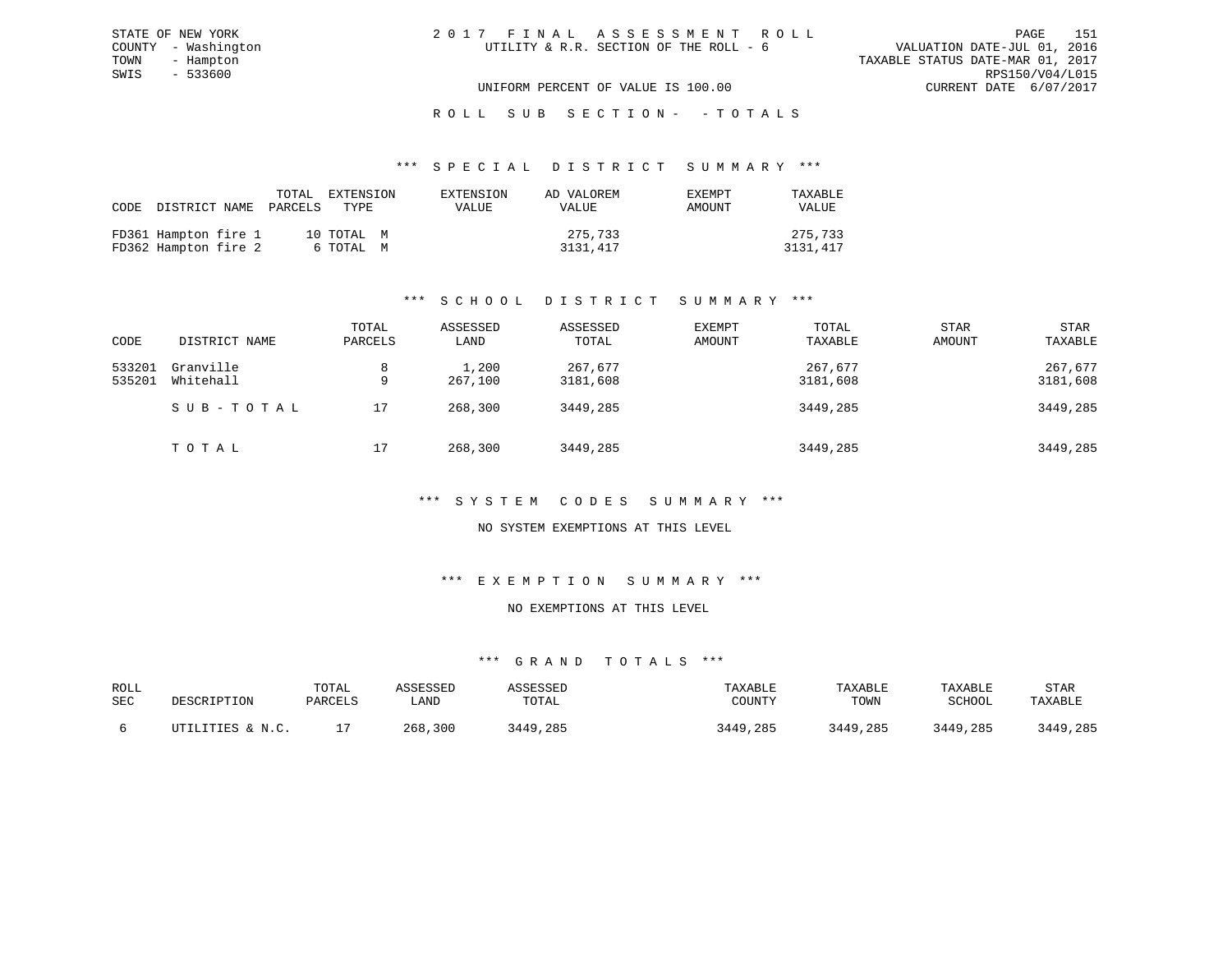| 2017 FINAL ASSESSMENT ROLL             |                                  | PAGE.                       | 151 |
|----------------------------------------|----------------------------------|-----------------------------|-----|
| UTILITY & R.R. SECTION OF THE ROLL - 6 |                                  | VALUATION DATE-JUL 01, 2016 |     |
|                                        | TAXABLE STATUS DATE-MAR 01, 2017 |                             |     |
|                                        |                                  | RPS150/V04/L015             |     |
| UNIFORM PERCENT OF VALUE IS 100.00     |                                  | CURRENT DATE 6/07/2017      |     |

STATE OF NEW YORK COUNTY - Washington TOWN - Hampton  $SWIS$  - 533600

# ROLL SUB SECTION - - TOTALS

#### \*\*\* S P E C I A L D I S T R I C T S U M M A R Y \*\*\*

| CODE DISTRICT NAME PARCELS TYPE              | TOTAL EXTENSION |                         | EXTENSION<br><b>VALUE</b> | AD VALOREM<br>VALUE | EXEMPT<br>AMOUNT | TAXABLE<br><b>VALUE</b> |
|----------------------------------------------|-----------------|-------------------------|---------------------------|---------------------|------------------|-------------------------|
| FD361 Hampton fire 1<br>FD362 Hampton fire 2 |                 | 10 TOTAL M<br>6 ТОТАL М |                           | 275,733<br>3131,417 |                  | 275,733<br>3131,417     |

# \*\*\* S C H O O L D I S T R I C T S U M M A R Y \*\*\*

| CODE             | DISTRICT NAME          | TOTAL<br>PARCELS | ASSESSED<br>LAND | ASSESSED<br>TOTAL   | EXEMPT<br>AMOUNT | TOTAL<br>TAXABLE    | <b>STAR</b><br>AMOUNT | <b>STAR</b><br>TAXABLE |
|------------------|------------------------|------------------|------------------|---------------------|------------------|---------------------|-----------------------|------------------------|
| 533201<br>535201 | Granville<br>Whitehall | 8<br>9           | 1,200<br>267,100 | 267,677<br>3181,608 |                  | 267,677<br>3181,608 |                       | 267,677<br>3181,608    |
|                  | SUB-TOTAL              | 17               | 268,300          | 3449,285            |                  | 3449,285            |                       | 3449,285               |
|                  | TOTAL                  | 17               | 268,300          | 3449,285            |                  | 3449,285            |                       | 3449,285               |

#### \*\*\* S Y S T E M C O D E S S U M M A R Y \*\*\*

#### NO SYSTEM EXEMPTIONS AT THIS LEVEL

#### \*\*\* E X E M P T I O N S U M M A R Y \*\*\*

### NO EXEMPTIONS AT THIS LEVEL

| ROLL<br>SEC | DESCRIPTION                 | TOTAL<br>PARCELS | <i><b>SSESSED</b></i><br>LAND | SSESSED<br>TOTAL | TAXABLE<br>COUNTY | TAXABLE<br>TOWN | TAXABLE<br>SCHOOL | STAR<br>TAXABLE |
|-------------|-----------------------------|------------------|-------------------------------|------------------|-------------------|-----------------|-------------------|-----------------|
|             | JTILITIES & N.C.<br>ו דידיו |                  | 268,300                       | 3449,285         | 3449,285          | 3449,285        | 3449,285          | 3449,285        |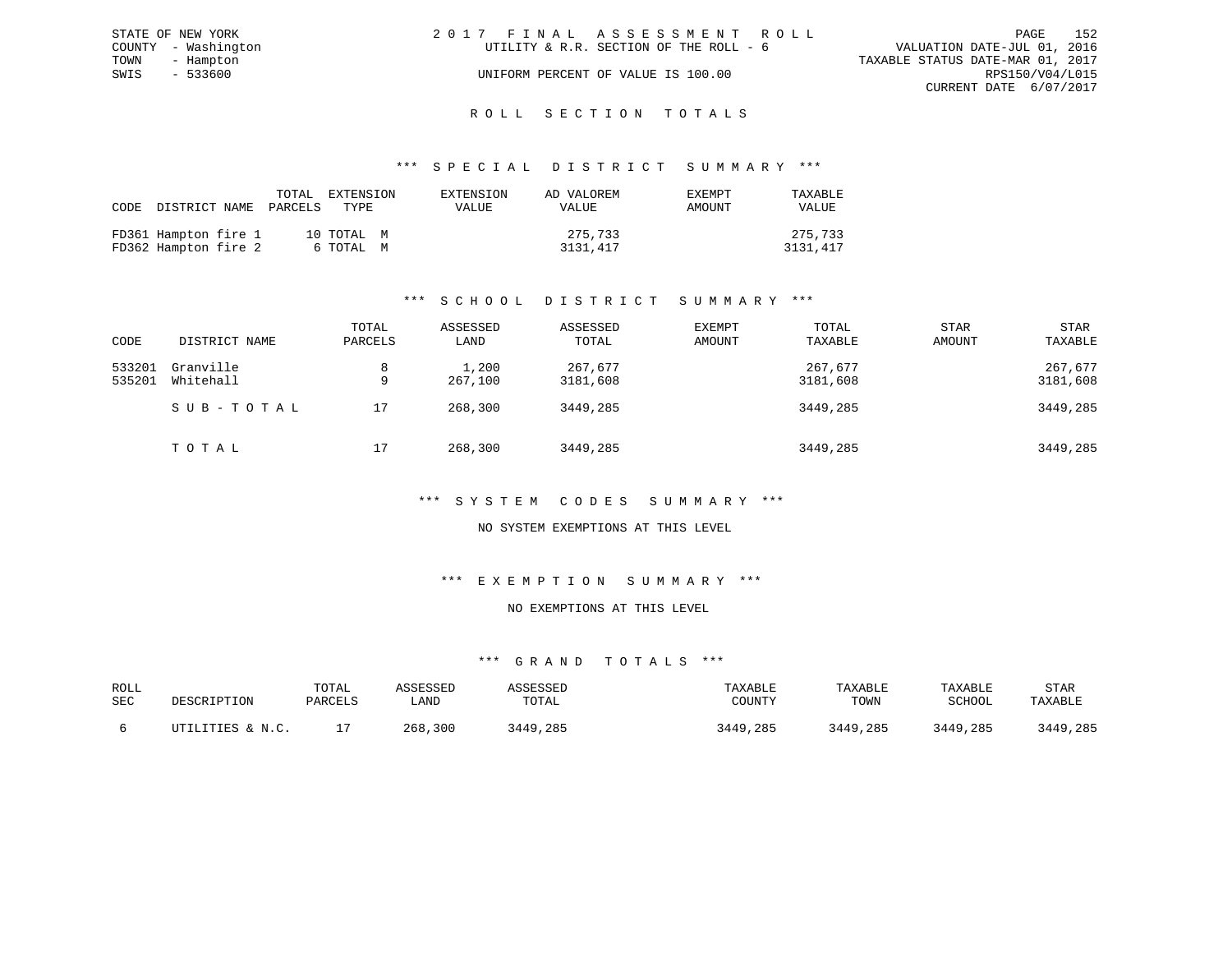|      | STATE OF NEW YORK   | 2017 FINAL ASSESSMENT ROLL                                            | PAGE            | 152 |
|------|---------------------|-----------------------------------------------------------------------|-----------------|-----|
|      | COUNTY - Washington | VALUATION DATE-JUL 01, 2016<br>UTILITY & R.R. SECTION OF THE ROLL - 6 |                 |     |
| TOWN | - Hampton           | TAXABLE STATUS DATE-MAR 01, 2017                                      |                 |     |
| SWIS | - 533600            | UNIFORM PERCENT OF VALUE IS 100.00                                    | RPS150/V04/L015 |     |
|      |                     | CURRENT DATE 6/07/2017                                                |                 |     |
|      |                     |                                                                       |                 |     |

# ROLL SECTION TOTALS

#### \*\*\* S P E C I A L D I S T R I C T S U M M A R Y \*\*\*

| CODE | DISTRICT NAME                                | TOTAL<br>PARCELS | EXTENSION<br>TYPE.      | EXTENSION<br>VALUE | AD VALOREM<br>VALUE | <b>EXEMPT</b><br>AMOUNT | TAXABLE<br><b>VALUE</b> |
|------|----------------------------------------------|------------------|-------------------------|--------------------|---------------------|-------------------------|-------------------------|
|      | FD361 Hampton fire 1<br>FD362 Hampton fire 2 |                  | 10 TOTAL M<br>6 ТОТАЬ М |                    | 275,733<br>3131,417 |                         | 275,733<br>3131,417     |

# \*\*\* S C H O O L D I S T R I C T S U M M A R Y \*\*\*

| CODE             | DISTRICT NAME          | TOTAL<br>PARCELS | ASSESSED<br>LAND | ASSESSED<br>TOTAL   | EXEMPT<br>AMOUNT | TOTAL<br>TAXABLE    | STAR<br>AMOUNT | <b>STAR</b><br>TAXABLE |
|------------------|------------------------|------------------|------------------|---------------------|------------------|---------------------|----------------|------------------------|
| 533201<br>535201 | Granville<br>Whitehall | q                | 1,200<br>267,100 | 267,677<br>3181,608 |                  | 267,677<br>3181,608 |                | 267,677<br>3181,608    |
|                  | SUB-TOTAL              | 17               | 268,300          | 3449,285            |                  | 3449,285            |                | 3449,285               |
|                  | ТОТАЬ                  | 17               | 268,300          | 3449,285            |                  | 3449,285            |                | 3449,285               |

#### \*\*\* S Y S T E M C O D E S S U M M A R Y \*\*\*

#### NO SYSTEM EXEMPTIONS AT THIS LEVEL

#### \*\*\* E X E M P T I O N S U M M A R Y \*\*\*

#### NO EXEMPTIONS AT THIS LEVEL

| ROLL<br><b>SEC</b> | DESCRIPTION      | TOTAL<br>PARCELS | <i><b>SSESSEL</b></i><br>LAND | SSESSED<br>TOTAL | TAXABLE<br>COUNT! | TAXABLE<br>TOWN | TAXABLE<br>SCHOOL | STAR<br>TAXABLE |
|--------------------|------------------|------------------|-------------------------------|------------------|-------------------|-----------------|-------------------|-----------------|
|                    | ITTILITIES & N C |                  | 300<br>268                    | .285<br>3449     | 3449,285          | 3449,285        | 3449,285          | 3449,285        |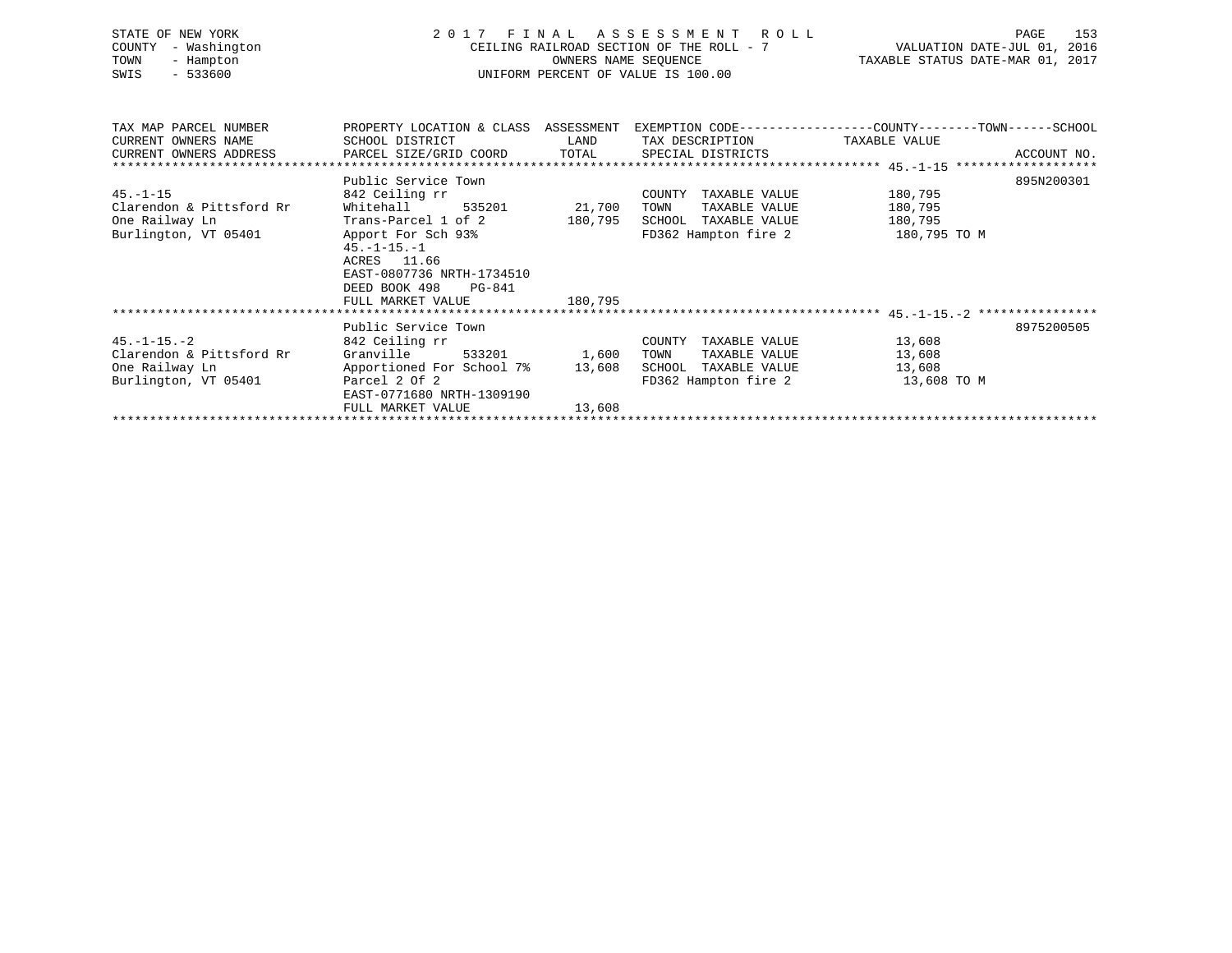| STATE OF NEW YORK<br>- Washington<br>COUNTY<br>TOWN<br>- Hampton<br>$-533600$<br>SWIS | 2017 FINAL                                                                                                      | OWNERS NAME SEQUENCE | A S S E S S M E N T R O L L<br>CEILING RAILROAD SECTION OF THE ROLL - 7<br>UNIFORM PERCENT OF VALUE IS 100.00 | PAGE<br>153<br>VALUATION DATE-JUL 01, 2016<br>TAXABLE STATUS DATE-MAR 01, 2017<br>TAXABLE STATUS DATE-MAR 01, 2017 |  |  |
|---------------------------------------------------------------------------------------|-----------------------------------------------------------------------------------------------------------------|----------------------|---------------------------------------------------------------------------------------------------------------|--------------------------------------------------------------------------------------------------------------------|--|--|
| TAX MAP PARCEL NUMBER<br>CURRENT OWNERS NAME                                          | SCHOOL DISTRICT                                                                                                 | LAND                 | TAX DESCRIPTION TAXABLE VALUE                                                                                 | PROPERTY LOCATION & CLASS ASSESSMENT EXEMPTION CODE----------------COUNTY-------TOWN------SCHOOL                   |  |  |
| CURRENT OWNERS ADDRESS                                                                | PARCEL SIZE/GRID COORD TOTAL                                                                                    |                      | SPECIAL DISTRICTS                                                                                             | ACCOUNT NO.                                                                                                        |  |  |
|                                                                                       |                                                                                                                 |                      |                                                                                                               |                                                                                                                    |  |  |
|                                                                                       | Public Service Town                                                                                             |                      |                                                                                                               | 895N200301                                                                                                         |  |  |
| $45. - 1 - 15$                                                                        | 842 Ceiling rr                                                                                                  |                      | COUNTY TAXABLE VALUE                                                                                          | 180,795                                                                                                            |  |  |
| Clarendon & Pittsford Rr                                                              | Whitehall                                                                                                       | 535201 21,700        | TOWN<br>TAXABLE VALUE                                                                                         | 180,795                                                                                                            |  |  |
| One Railway Ln                                                                        | Trans-Parcel 1 of 2                                                                                             | 180,795              | SCHOOL TAXABLE VALUE                                                                                          | 180,795                                                                                                            |  |  |
| Burlington, VT 05401                                                                  | Apport For Sch 93%<br>$45. -1 - 15. - 1$<br>ACRES 11.66<br>EAST-0807736 NRTH-1734510<br>DEED BOOK 498<br>PG-841 |                      | FD362 Hampton fire 2                                                                                          | 180,795 TO M                                                                                                       |  |  |
|                                                                                       | FULL MARKET VALUE                                                                                               | 180,795              |                                                                                                               |                                                                                                                    |  |  |
|                                                                                       |                                                                                                                 |                      |                                                                                                               |                                                                                                                    |  |  |
|                                                                                       | Public Service Town                                                                                             |                      |                                                                                                               | 8975200505                                                                                                         |  |  |
| $45. - 1 - 15. - 2$                                                                   | 842 Ceiling rr<br>Granville<br>533201                                                                           |                      | COUNTY TAXABLE VALUE                                                                                          | 13,608                                                                                                             |  |  |
| Clarendon & Pittsford Rr<br>One Railway Ln                                            | Apportioned For School 7% 13,608                                                                                | 1,600                | TAXABLE VALUE<br>TOWN<br>SCHOOL TAXABLE VALUE                                                                 | 13,608<br>13,608                                                                                                   |  |  |
| Burlington, VT 05401                                                                  | Parcel 2 Of 2                                                                                                   |                      | FD362 Hampton fire 2 13,608 TO M                                                                              |                                                                                                                    |  |  |
|                                                                                       | EAST-0771680 NRTH-1309190                                                                                       |                      |                                                                                                               |                                                                                                                    |  |  |
|                                                                                       | FULL MARKET VALUE                                                                                               | 13,608               |                                                                                                               |                                                                                                                    |  |  |
|                                                                                       |                                                                                                                 |                      |                                                                                                               |                                                                                                                    |  |  |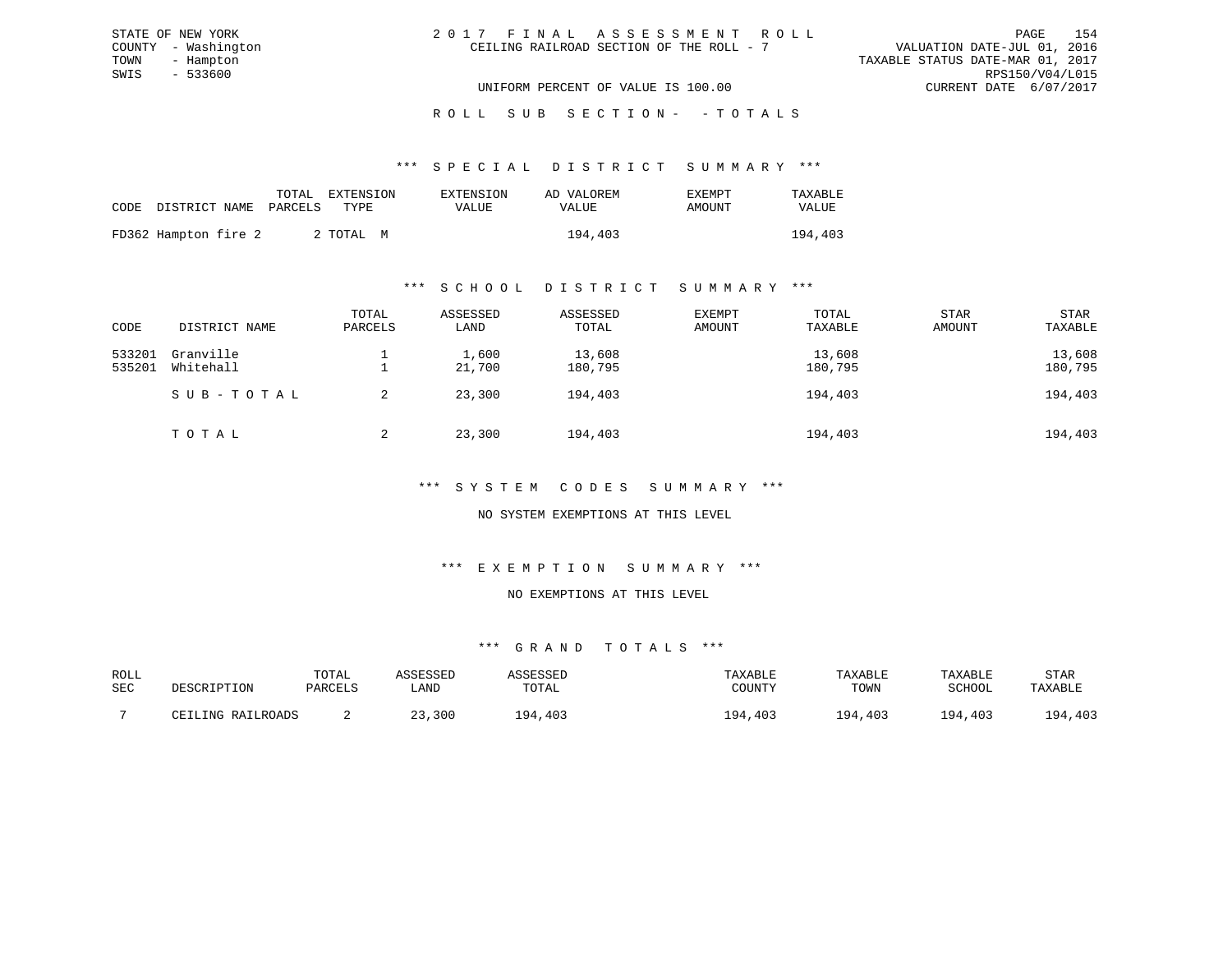| 2017 FINAL ASSESSMENT ROLL               | PAGE                             | 154 |
|------------------------------------------|----------------------------------|-----|
| CEILING RAILROAD SECTION OF THE ROLL - 7 | VALUATION DATE-JUL 01, 2016      |     |
|                                          | TAXABLE STATUS DATE-MAR 01, 2017 |     |
|                                          | RPS150/V04/L015                  |     |
| UNIFORM PERCENT OF VALUE IS 100.00       | CURRENT DATE 6/07/2017           |     |

STATE OF NEW YORK

# ROLL SUB SECTION - - TOTALS

#### \*\*\* S P E C I A L D I S T R I C T S U M M A R Y \*\*\*

|                            |  | TOTAL EXTENSION | EXTENSION    | AD VALOREM | EXEMPT | TAXABLE |
|----------------------------|--|-----------------|--------------|------------|--------|---------|
| CODE DISTRICT NAME PARCELS |  | TYPE.           | <b>VALUE</b> | VALUE      | AMOUNT | VALUE   |
| FD362 Hampton fire 2       |  | 2 ТОТАЬ М       |              | 194,403    |        | 194,403 |

#### \*\*\* S C H O O L D I S T R I C T S U M M A R Y \*\*\*

| CODE             | DISTRICT NAME          | TOTAL<br>PARCELS | ASSESSED<br>LAND | ASSESSED<br>TOTAL | EXEMPT<br>AMOUNT | TOTAL<br>TAXABLE  | <b>STAR</b><br>AMOUNT | STAR<br>TAXABLE   |
|------------------|------------------------|------------------|------------------|-------------------|------------------|-------------------|-----------------------|-------------------|
| 533201<br>535201 | Granville<br>Whitehall |                  | 1,600<br>21,700  | 13,608<br>180,795 |                  | 13,608<br>180,795 |                       | 13,608<br>180,795 |
|                  | SUB-TOTAL              | 2                | 23,300           | 194,403           |                  | 194,403           |                       | 194,403           |
|                  | TOTAL                  | 2                | 23,300           | 194,403           |                  | 194,403           |                       | 194,403           |

## \*\*\* S Y S T E M C O D E S S U M M A R Y \*\*\*

### NO SYSTEM EXEMPTIONS AT THIS LEVEL

#### \*\*\* E X E M P T I O N S U M M A R Y \*\*\*

#### NO EXEMPTIONS AT THIS LEVEL

| ROLL |                   | TOTAL   | ∖SSESSED |         | TAXABLE             | TAXABLE      | TAXABLE       | STAR    |
|------|-------------------|---------|----------|---------|---------------------|--------------|---------------|---------|
| SEC  | DESCRIPTION       | PARCELS | LAND     | TOTAL   | COUNTY              | TOWN         | SCHOOL        | TAXABLE |
|      |                   |         |          |         |                     |              |               |         |
|      | CEILING RAILROADS |         | 3,300    | 194.403 | 403<br>$Q_{\Delta}$ | 194<br>4,403 | 1 Q 4<br>.403 | 194,403 |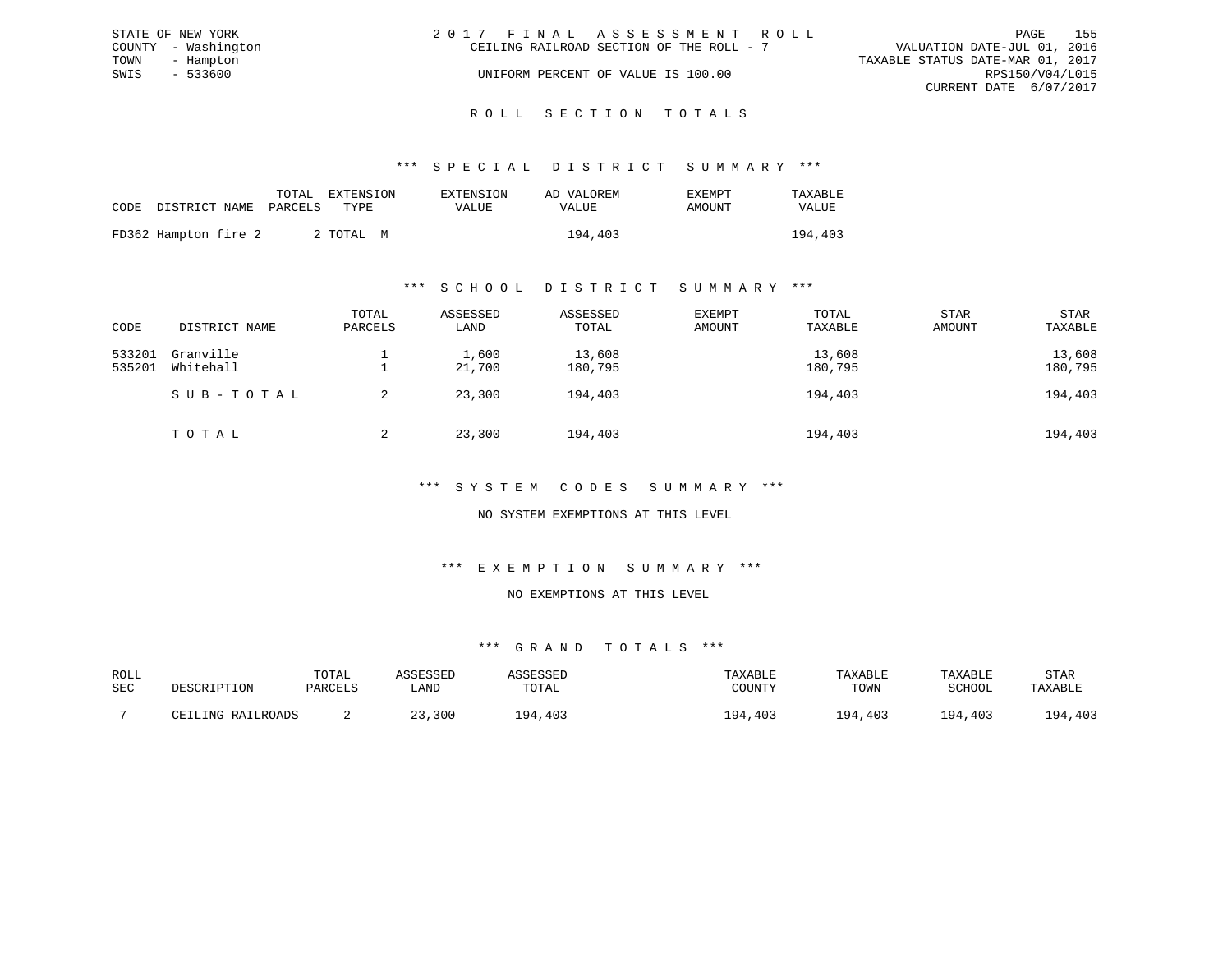|      | STATE OF NEW YORK   | 2017 FINAL ASSESSMENT ROLL               |  |                                  | PAGE | 155 |
|------|---------------------|------------------------------------------|--|----------------------------------|------|-----|
|      | COUNTY - Washington | CEILING RAILROAD SECTION OF THE ROLL - 7 |  | VALUATION DATE-JUL 01, 2016      |      |     |
| TOWN | - Hampton           |                                          |  | TAXABLE STATUS DATE-MAR 01, 2017 |      |     |
| SWIS | - 533600            | UNIFORM PERCENT OF VALUE IS 100.00       |  | RPS150/V04/L015                  |      |     |
|      |                     |                                          |  | CURRENT DATE 6/07/2017           |      |     |
|      |                     |                                          |  |                                  |      |     |

#### R O L L S E C T I O N T O T A L S

#### \*\*\* S P E C I A L D I S T R I C T S U M M A R Y \*\*\*

|                            | TOTAL | EXTENSION | EXTENSION | AD VALOREM | EXEMPT | TAXABLE      |
|----------------------------|-------|-----------|-----------|------------|--------|--------------|
| CODE DISTRICT NAME PARCELS |       | TYPE.     | VALUE     | VALUE      | AMOUNT | <b>VALUE</b> |
| FD362 Hampton fire 2       |       | 2 TOTAL M |           | 194,403    |        | 194,403      |

#### \*\*\* S C H O O L D I S T R I C T S U M M A R Y \*\*\*

| CODE             | DISTRICT NAME          | TOTAL<br>PARCELS | ASSESSED<br>LAND | ASSESSED<br>TOTAL | EXEMPT<br>AMOUNT | TOTAL<br>TAXABLE  | <b>STAR</b><br>AMOUNT | STAR<br>TAXABLE   |
|------------------|------------------------|------------------|------------------|-------------------|------------------|-------------------|-----------------------|-------------------|
| 533201<br>535201 | Granville<br>Whitehall |                  | 1,600<br>21,700  | 13,608<br>180,795 |                  | 13,608<br>180,795 |                       | 13,608<br>180,795 |
|                  | SUB-TOTAL              |                  | 23,300           | 194,403           |                  | 194,403           |                       | 194,403           |
|                  | TOTAL                  | 2                | 23,300           | 194,403           |                  | 194,403           |                       | 194,403           |

#### \*\*\* S Y S T E M C O D E S S U M M A R Y \*\*\*

### NO SYSTEM EXEMPTIONS AT THIS LEVEL

# \*\*\* E X E M P T I O N S U M M A R Y \*\*\*

#### NO EXEMPTIONS AT THIS LEVEL

| ROLL |                   | TOTAL   | <i>CCTCCT</i> |               | TAXABLE | TAXABLE | TAXABLE       | STAR    |
|------|-------------------|---------|---------------|---------------|---------|---------|---------------|---------|
| SEC  | DESCRIPTION       | PARCELS | ∟AND          | TOTAL         | COUNTY  | TOWN    | SCHOOL        | TAXABLE |
|      | CEILING RAILROADS |         | ,300          | .403<br>1 Q 4 | 194,403 | 194,403 | ,403<br>1 Q 4 | 194,403 |
|      |                   |         |               |               |         |         |               |         |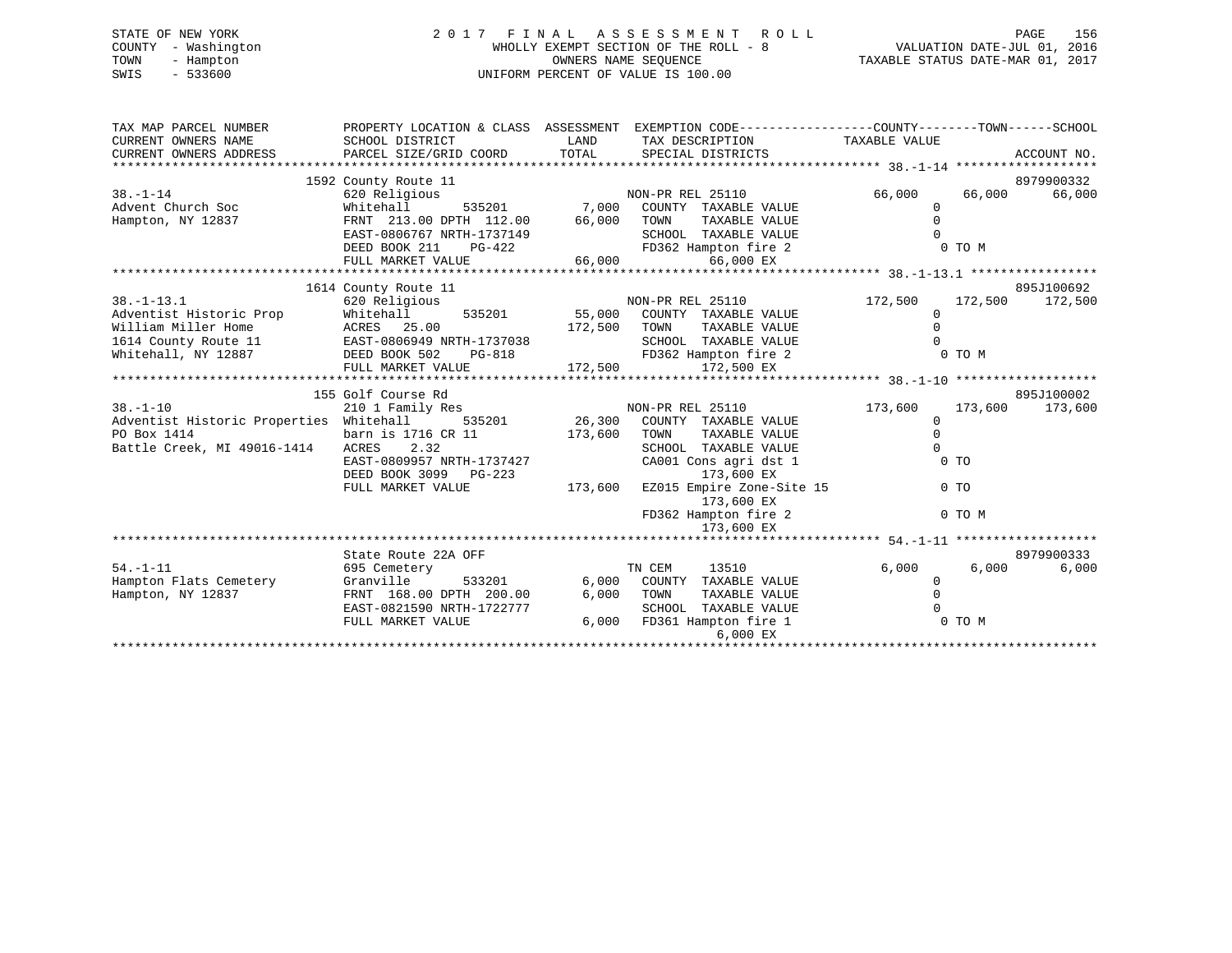# STATE OF NEW YORK 2 0 1 7 F I N A L A S S E S S M E N T R O L L PAGE 156 COUNTY - Washington WHOLLY EXEMPT SECTION OF THE ROLL - 8 VALUATION DATE-JUL 01, 2016 TOWN - Hampton OWNERS NAME SEQUENCE TAXABLE STATUS DATE-MAR 01, 2017 SWIS - 533600 UNIFORM PERCENT OF VALUE IS 100.00

| TAX MAP PARCEL NUMBER                      | PROPERTY LOCATION & CLASS ASSESSMENT EXEMPTION CODE---------------COUNTY-------TOWN------SCHOOL |               |                                                                        |                      |                 |             |
|--------------------------------------------|-------------------------------------------------------------------------------------------------|---------------|------------------------------------------------------------------------|----------------------|-----------------|-------------|
| CURRENT OWNERS NAME                        | SCHOOL DISTRICT                                                                                 | LAND          | TAX DESCRIPTION TAXABLE VALUE                                          |                      |                 |             |
| CURRENT OWNERS ADDRESS                     | PARCEL SIZE/GRID COORD                                                                          | TOTAL         | SPECIAL DISTRICTS                                                      |                      |                 | ACCOUNT NO. |
|                                            |                                                                                                 |               |                                                                        |                      |                 |             |
|                                            | 1592 County Route 11                                                                            |               |                                                                        |                      |                 | 8979900332  |
| $38. - 1 - 14$                             | 620 Religious                                                                                   |               | NON-PR REL 25110                                                       | 66,000               | 66,000          | 66,000      |
| Advent Church Soc                          | Whitehall<br>535201                                                                             | 7,000         | COUNTY TAXABLE VALUE                                                   | $\Omega$             |                 |             |
| Hampton, NY 12837                          | FRNT 213.00 DPTH 112.00                                                                         | 66,000        | TOWN<br>TAXABLE VALUE                                                  | $\Omega$             |                 |             |
|                                            | EAST-0806767 NRTH-1737149                                                                       |               | SCHOOL TAXABLE VALUE                                                   |                      |                 |             |
|                                            | DEED BOOK 211<br>PG-422                                                                         |               | FD362 Hampton fire 2                                                   |                      | 0 TO M          |             |
|                                            | FULL MARKET VALUE                                                                               | 66,000        | 66,000 EX                                                              |                      |                 |             |
|                                            |                                                                                                 |               |                                                                        |                      |                 |             |
|                                            | 1614 County Route 11                                                                            |               |                                                                        |                      |                 | 895J100692  |
| $38. - 1 - 13.1$                           | 620 Religious                                                                                   |               | NON-PR REL 25110                                                       | 172,500              | 172,500         | 172,500     |
| Adventist Historic Prop                    | Whitehall                                                                                       | 535201 55,000 | COUNTY TAXABLE VALUE                                                   | 0                    |                 |             |
| William Miller Home                        | ACRES 25.00                                                                                     | 172,500       | TOWN<br>TAXABLE VALUE                                                  |                      |                 |             |
| 1614 County Route 11                       | EAST-0806949 NRTH-1737038                                                                       |               | SCHOOL TAXABLE VALUE                                                   |                      |                 |             |
| Whitehall, NY 12887                        | DEED BOOK 502<br>PG-818                                                                         |               | FD362 Hampton fire 2<br>G-818 FD362 Hampton fire<br>172,500 172,500 EX |                      | 0 TO M          |             |
|                                            | FULL MARKET VALUE                                                                               |               |                                                                        |                      |                 |             |
|                                            |                                                                                                 |               |                                                                        |                      |                 |             |
|                                            | 155 Golf Course Rd                                                                              |               |                                                                        |                      |                 | 895J100002  |
| $38. - 1 - 10$                             | 210 1 Family Res                                                                                |               | NON-PR REL 25110                                                       | 173,600              | 173,600 173,600 |             |
| Adventist Historic Properties Whitehall    |                                                                                                 | 535201 26,300 | COUNTY TAXABLE VALUE                                                   | $\Omega$             |                 |             |
| PO Box 1414<br>Battle Creek, MI 49016-1414 | barn is 1716 CR 11<br>ACRES 2.32                                                                | 173,600       | TOWN<br>TAXABLE VALUE<br>SCHOOL TAXABLE VALUE                          | $\Omega$<br>$\Omega$ |                 |             |
|                                            | EAST-0809957 NRTH-1737427                                                                       |               | CA001 Cons agri dst 1                                                  |                      | 0 <sub>T</sub>  |             |
|                                            | DEED BOOK 3099 PG-223                                                                           |               | 173,600 EX                                                             |                      |                 |             |
|                                            | FULL MARKET VALUE                                                                               | 173,600       | EZ015 Empire Zone-Site 15                                              |                      | $0$ TO          |             |
|                                            |                                                                                                 |               | 173,600 EX                                                             |                      |                 |             |
|                                            |                                                                                                 |               | FD362 Hampton fire 2                                                   |                      | 0 TO M          |             |
|                                            |                                                                                                 |               | 173,600 EX                                                             |                      |                 |             |
|                                            |                                                                                                 |               |                                                                        |                      |                 |             |
|                                            | State Route 22A OFF                                                                             |               |                                                                        |                      |                 | 8979900333  |
| $54. - 1 - 11$                             | 695 Cemetery                                                                                    |               | 13510<br>TN CEM                                                        | 6,000                | 6,000           | 6,000       |
| Hampton Flats Cemetery                     | Granville                                                                                       | 533201 6,000  | COUNTY TAXABLE VALUE                                                   | 0                    |                 |             |
| Hampton, NY 12837                          | FRNT 168.00 DPTH 200.00                                                                         | 6,000         | TOWN<br>TAXABLE VALUE                                                  | $\Omega$             |                 |             |
|                                            | EAST-0821590 NRTH-1722777                                                                       |               | SCHOOL TAXABLE VALUE                                                   |                      |                 |             |
|                                            | FULL MARKET VALUE                                                                               |               | 6,000 FD361 Hampton fire 1                                             |                      | 0 TO M          |             |
|                                            |                                                                                                 |               | $6.000$ $EX$                                                           |                      |                 |             |
|                                            |                                                                                                 |               |                                                                        |                      |                 |             |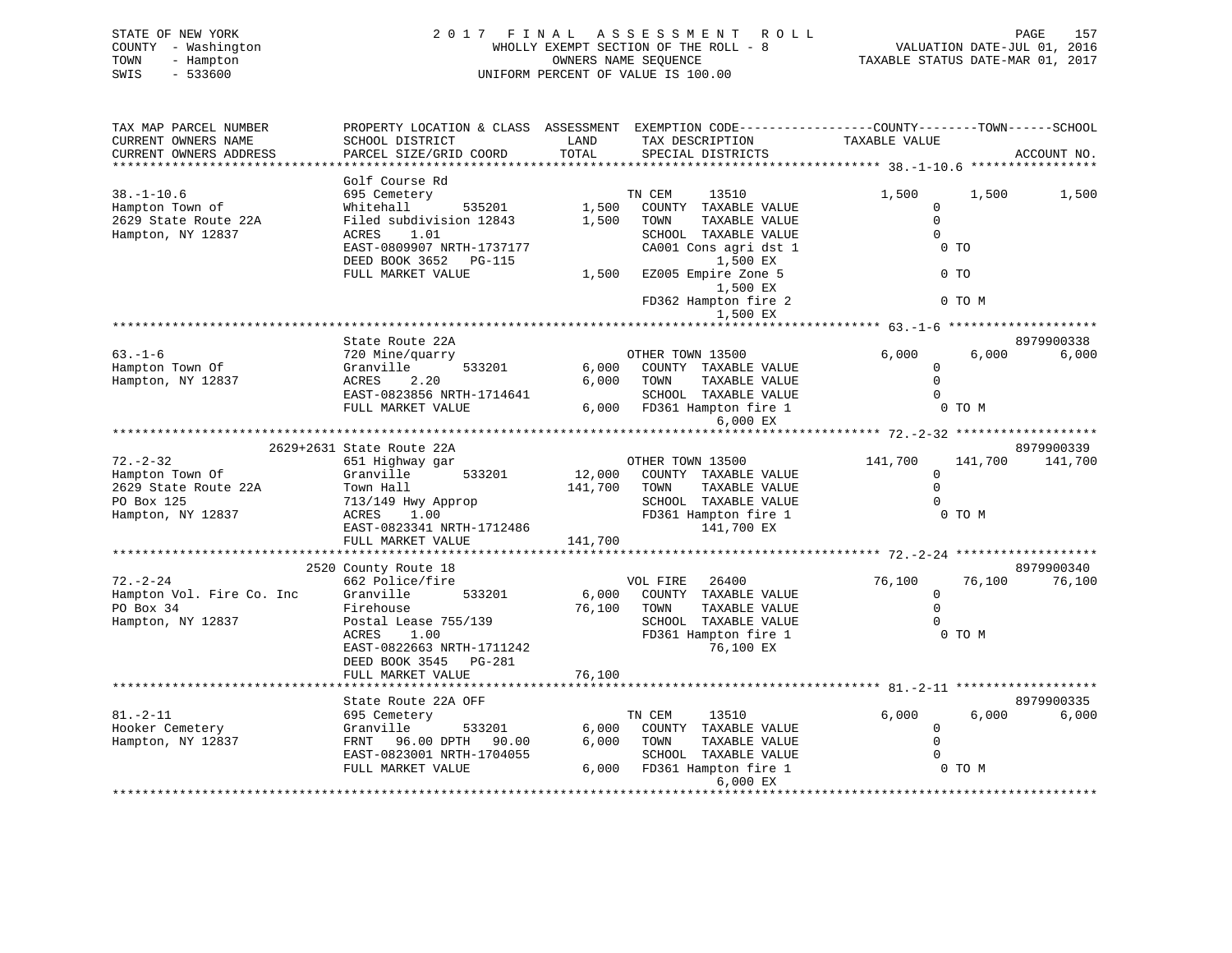| STATE OF NEW YORK   | 2017 FINAL ASSESSMENT ROLL            | 157<br>PAGE                      |
|---------------------|---------------------------------------|----------------------------------|
| COUNTY - Washington | WHOLLY EXEMPT SECTION OF THE ROLL - 8 | VALUATION DATE-JUL 01, 2016      |
| TOWN<br>- Hampton   | OWNERS NAME SEOUENCE                  | TAXABLE STATUS DATE-MAR 01, 2017 |
| SWIS<br>- 533600    | UNIFORM PERCENT OF VALUE IS 100.00    |                                  |
|                     |                                       |                                  |

| TAX MAP PARCEL NUMBER     | PROPERTY LOCATION & CLASS  ASSESSMENT  EXEMPTION CODE-----------------COUNTY-------TOWN------SCHOOL |              |                              |                                                |         |             |
|---------------------------|-----------------------------------------------------------------------------------------------------|--------------|------------------------------|------------------------------------------------|---------|-------------|
| CURRENT OWNERS NAME       | SCHOOL DISTRICT                                                                                     | LAND         | TAX DESCRIPTION              | TAXABLE VALUE                                  |         |             |
| CURRENT OWNERS ADDRESS    | PARCEL SIZE/GRID COORD                                                                              | TOTAL        | SPECIAL DISTRICTS            |                                                |         | ACCOUNT NO. |
|                           | **********************************                                                                  |              |                              |                                                |         |             |
|                           | Golf Course Rd                                                                                      |              |                              |                                                |         |             |
| $38. - 1 - 10.6$          | 695 Cemetery                                                                                        |              | TN CEM<br>13510              | 1,500                                          | 1,500   | 1,500       |
|                           | Whitehall<br>535201                                                                                 | 1,500        | COUNTY TAXABLE VALUE         | $\mathbf 0$                                    |         |             |
| Hampton Town of           |                                                                                                     |              |                              | $\Omega$                                       |         |             |
| 2629 State Route 22A      | Filed subdivision 12843                                                                             | 1,500        | TOWN<br>TAXABLE VALUE        |                                                |         |             |
| Hampton, NY 12837         | ACRES<br>1.01                                                                                       |              | SCHOOL TAXABLE VALUE         | $\Omega$                                       |         |             |
|                           | EAST-0809907 NRTH-1737177                                                                           |              | CA001 Cons agri dst 1        | $0$ TO                                         |         |             |
|                           | DEED BOOK 3652 PG-115                                                                               |              | 1,500 EX                     |                                                |         |             |
|                           | FULL MARKET VALUE                                                                                   | 1,500        | EZ005 Empire Zone 5          |                                                | $0$ TO  |             |
|                           |                                                                                                     |              | 1,500 EX                     |                                                |         |             |
|                           |                                                                                                     |              | FD362 Hampton fire 2         |                                                | 0 TO M  |             |
|                           |                                                                                                     |              | 1,500 EX                     |                                                |         |             |
|                           |                                                                                                     |              |                              | **************** 63.-1-6 ********************* |         |             |
|                           | State Route 22A                                                                                     |              |                              |                                                |         | 8979900338  |
| $63. - 1 - 6$             | 720 Mine/quarry                                                                                     |              | OTHER TOWN 13500             | 6,000                                          | 6,000   | 6,000       |
| Hampton Town Of           | 533201<br>Granville                                                                                 |              | 6,000 COUNTY TAXABLE VALUE   | $\Omega$                                       |         |             |
| Hampton, NY 12837         | ACRES<br>2.20                                                                                       |              | 6,000 TOWN<br>TAXABLE VALUE  |                                                |         |             |
|                           | EAST-0823856 NRTH-1714641                                                                           |              | SCHOOL TAXABLE VALUE         | $\Omega$                                       |         |             |
|                           |                                                                                                     |              | 6,000 FD361 Hampton fire 1   |                                                | 0 TO M  |             |
|                           | FULL MARKET VALUE                                                                                   |              |                              |                                                |         |             |
|                           |                                                                                                     |              | 6,000 EX                     |                                                |         |             |
|                           |                                                                                                     |              |                              |                                                |         |             |
|                           | 2629+2631 State Route 22A                                                                           |              |                              |                                                |         | 8979900339  |
| $72. - 2 - 32$            | 651 Highway gar                                                                                     |              | OTHER TOWN 13500             | 141,700                                        | 141,700 | 141,700     |
| Hampton Town Of           | Granville<br>533201                                                                                 |              | 12,000 COUNTY TAXABLE VALUE  | $\Omega$                                       |         |             |
| 2629 State Route 22A      | Town Hall                                                                                           | 141,700 TOWN | TAXABLE VALUE                | $\Omega$                                       |         |             |
| PO Box 125                | 713/149 Hwy Approp                                                                                  |              | SCHOOL TAXABLE VALUE         |                                                |         |             |
| Hampton, NY 12837         | ACRES<br>1.00                                                                                       |              | FD361 Hampton fire 1         |                                                | 0 TO M  |             |
|                           | EAST-0823341 NRTH-1712486                                                                           |              | 141,700 EX                   |                                                |         |             |
|                           | FULL MARKET VALUE                                                                                   | 141,700      |                              |                                                |         |             |
|                           |                                                                                                     |              |                              |                                                |         |             |
|                           | 2520 County Route 18                                                                                |              |                              |                                                |         | 8979900340  |
| $72. - 2 - 24$            | 662 Police/fire                                                                                     |              | VOL FIRE 26400               | 76,100                                         | 76,100  | 76,100      |
| Hampton Vol. Fire Co. Inc | 533201<br>Granville                                                                                 |              | 6,000 COUNTY TAXABLE VALUE   | $\overline{0}$                                 |         |             |
| PO Box 34                 | Firehouse                                                                                           |              | 76,100 TOWN<br>TAXABLE VALUE | $\Omega$                                       |         |             |
| Hampton, NY 12837         | Postal Lease 755/139                                                                                |              | SCHOOL TAXABLE VALUE         |                                                |         |             |
|                           | ACRES<br>1.00                                                                                       |              | FD361 Hampton fire 1         |                                                | 0 TO M  |             |
|                           |                                                                                                     |              |                              |                                                |         |             |
|                           | EAST-0822663 NRTH-1711242                                                                           |              | 76,100 EX                    |                                                |         |             |
|                           | DEED BOOK 3545 PG-281                                                                               |              |                              |                                                |         |             |
|                           | FULL MARKET VALUE                                                                                   | 76,100       |                              |                                                |         |             |
|                           |                                                                                                     |              |                              |                                                |         |             |
|                           | State Route 22A OFF                                                                                 |              |                              |                                                |         | 8979900335  |
| $81. - 2 - 11$            | 695 Cemetery                                                                                        |              | TN CEM<br>13510              | 6,000                                          | 6,000   | 6,000       |
| Hooker Cemetery           | Granville<br>533201                                                                                 | 6,000        | COUNTY TAXABLE VALUE         | 0                                              |         |             |
| Hampton, NY 12837         | FRNT 96.00 DPTH 90.00                                                                               | 6,000        | TOWN<br>TAXABLE VALUE        | $\Omega$                                       |         |             |
|                           | EAST-0823001 NRTH-1704055                                                                           |              | SCHOOL TAXABLE VALUE         |                                                |         |             |
|                           | FULL MARKET VALUE                                                                                   |              | 6,000 FD361 Hampton fire 1   | $\overline{O}$ TO M                            |         |             |
|                           |                                                                                                     |              | 6,000 EX                     |                                                |         |             |
|                           |                                                                                                     |              |                              |                                                |         |             |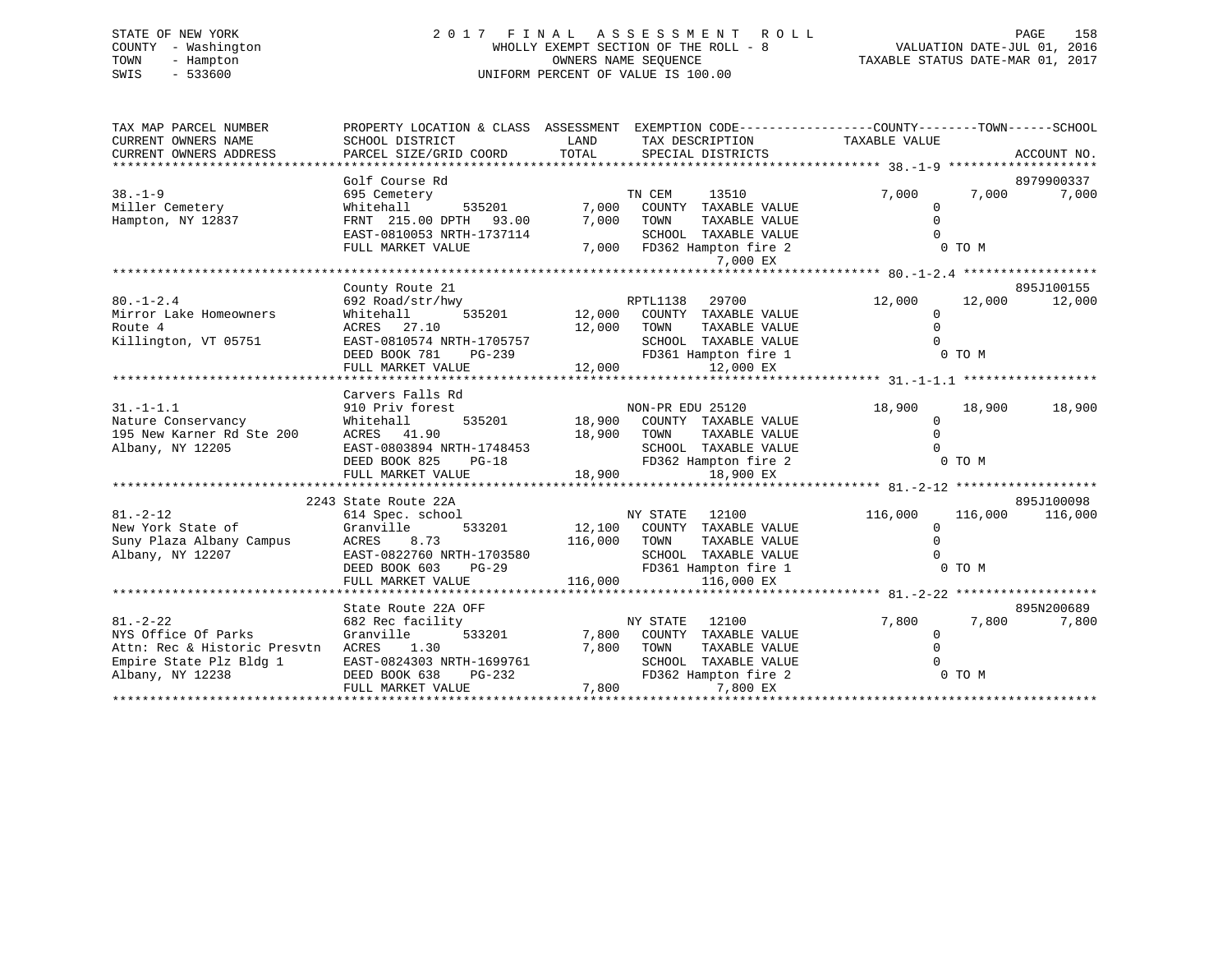# STATE OF NEW YORK 2 0 1 7 F I N A L A S S E S S M E N T R O L L PAGE 158 COUNTY - Washington WHOLLY EXEMPT SECTION OF THE ROLL - 8 VALUATION DATE-JUL 01, 2016 TOWN - Hampton OWNERS NAME SEQUENCE TAXABLE STATUS DATE-MAR 01, 2017 SWIS - 533600 UNIFORM PERCENT OF VALUE IS 100.00

| TAX MAP PARCEL NUMBER<br>CURRENT OWNERS NAME<br>CURRENT OWNERS ADDRESS                                               | PROPERTY LOCATION & CLASS ASSESSMENT<br>SCHOOL DISTRICT<br>PARCEL SIZE/GRID COORD                                                                            | LAND<br>TOTAL                     |                          | SPECIAL DISTRICTS                                                                                           | EXEMPTION CODE----------------COUNTY-------TOWN------SCHOOL<br>TAX DESCRIPTION TAXABLE VALUE |                   | ACCOUNT NO.         |
|----------------------------------------------------------------------------------------------------------------------|--------------------------------------------------------------------------------------------------------------------------------------------------------------|-----------------------------------|--------------------------|-------------------------------------------------------------------------------------------------------------|----------------------------------------------------------------------------------------------|-------------------|---------------------|
| $38. - 1 - 9$                                                                                                        | Golf Course Rd<br>695 Cemetery                                                                                                                               |                                   | TN CEM                   | 13510                                                                                                       | 7,000                                                                                        | 7,000             | 8979900337<br>7,000 |
| Miller Cemetery<br>Hampton, NY 12837                                                                                 | 535201<br>Whitehall<br>FRNT 215.00 DPTH 93.00<br>EAST-0810053 NRTH-1737114<br>FULL MARKET VALUE                                                              | 7,000<br>7,000                    | TOWN                     | COUNTY TAXABLE VALUE<br>TAXABLE VALUE<br>SCHOOL TAXABLE VALUE<br>7,000 FD362 Hampton fire 2                 | $\Omega$<br>$\Omega$<br>$\Omega$                                                             | 0 TO M            |                     |
|                                                                                                                      |                                                                                                                                                              |                                   |                          | 7,000 EX                                                                                                    |                                                                                              |                   |                     |
|                                                                                                                      | County Route 21                                                                                                                                              |                                   |                          |                                                                                                             |                                                                                              |                   | 895J100155          |
| $80. -1 - 2.4$<br>Mirror Lake Homeowners<br>Route 4<br>Killington, VT 05751                                          | 692 Road/str/hwy<br>Whitehall<br>ACRES 27.10<br>EAST-0810574 NRTH-1705757<br>DEED BOOK 781<br>PG-239<br>FULL MARKET VALUE                                    | 535201 12,000<br>12,000<br>12,000 | RPTL1138<br>TOWN         | 29700<br>COUNTY TAXABLE VALUE<br>TAXABLE VALUE<br>SCHOOL TAXABLE VALUE<br>FD361 Hampton fire 1<br>12,000 EX | 12,000<br>$\Omega$<br>$\mathbf{0}$<br>$\Omega$                                               | 12,000<br>0 TO M  | 12,000              |
|                                                                                                                      | Carvers Falls Rd                                                                                                                                             |                                   |                          |                                                                                                             |                                                                                              |                   |                     |
| $31. - 1 - 1.1$<br>Nature Conservancy<br>195 New Karner Rd Ste 200<br>Albany, NY 12205                               | 910 Priv forest<br>Whitehall<br>535201<br>ACRES 41.90<br>EAST-0803894 NRTH-1748453<br>DEED BOOK 825<br>$PG-18$                                               | 18,900                            | NON-PR EDU 25120<br>TOWN | 18,900 COUNTY TAXABLE VALUE<br>TAXABLE VALUE<br>SCHOOL TAXABLE VALUE<br>FD362 Hampton fire 2                | 18,900<br>0<br>$\Omega$<br>$\cap$                                                            | 18,900<br>0 TO M  | 18,900              |
|                                                                                                                      | FULL MARKET VALUE                                                                                                                                            | 18,900                            |                          | 18,900 EX                                                                                                   |                                                                                              |                   |                     |
|                                                                                                                      | 2243 State Route 22A                                                                                                                                         |                                   |                          |                                                                                                             |                                                                                              |                   | 895J100098          |
| $81. - 2 - 12$<br>New York State of<br>Suny Plaza Albany Campus<br>Albany, NY 12207                                  | 614 Spec. school<br>Granville<br>533201<br>ACRES<br>8.73<br>EAST-0822760 NRTH-1703580<br>$PG-29$<br>DEED BOOK 603<br>FULL MARKET VALUE                       | 116,000<br>116,000                | NY STATE 12100<br>TOWN   | 12,100 COUNTY TAXABLE VALUE<br>TAXABLE VALUE<br>SCHOOL TAXABLE VALUE<br>FD361 Hampton fire 1<br>116,000 EX  | 116,000<br>$\Omega$<br>$\Omega$                                                              | 116,000<br>0 TO M | 116,000             |
|                                                                                                                      |                                                                                                                                                              |                                   |                          |                                                                                                             |                                                                                              |                   |                     |
| $81. - 2 - 22$<br>NYS Office Of Parks<br>Attn: Rec & Historic Presvtn<br>Empire State Plz Bldg 1<br>Albany, NY 12238 | State Route 22A OFF<br>682 Rec facility<br>533201<br>Granville<br>ACRES<br>1.30<br>EAST-0824303 NRTH-1699761<br>PG-232<br>DEED BOOK 638<br>FULL MARKET VALUE | 7,800<br>7,800<br>7,800           | NY STATE<br>TOWN         | 12100<br>COUNTY TAXABLE VALUE<br>TAXABLE VALUE<br>SCHOOL TAXABLE VALUE<br>FD362 Hampton fire 2<br>7,800 EX  | 7,800<br>$\mathbf 0$<br>$\Omega$                                                             | 7,800<br>0 TO M   | 895N200689<br>7,800 |
|                                                                                                                      |                                                                                                                                                              |                                   |                          |                                                                                                             |                                                                                              |                   |                     |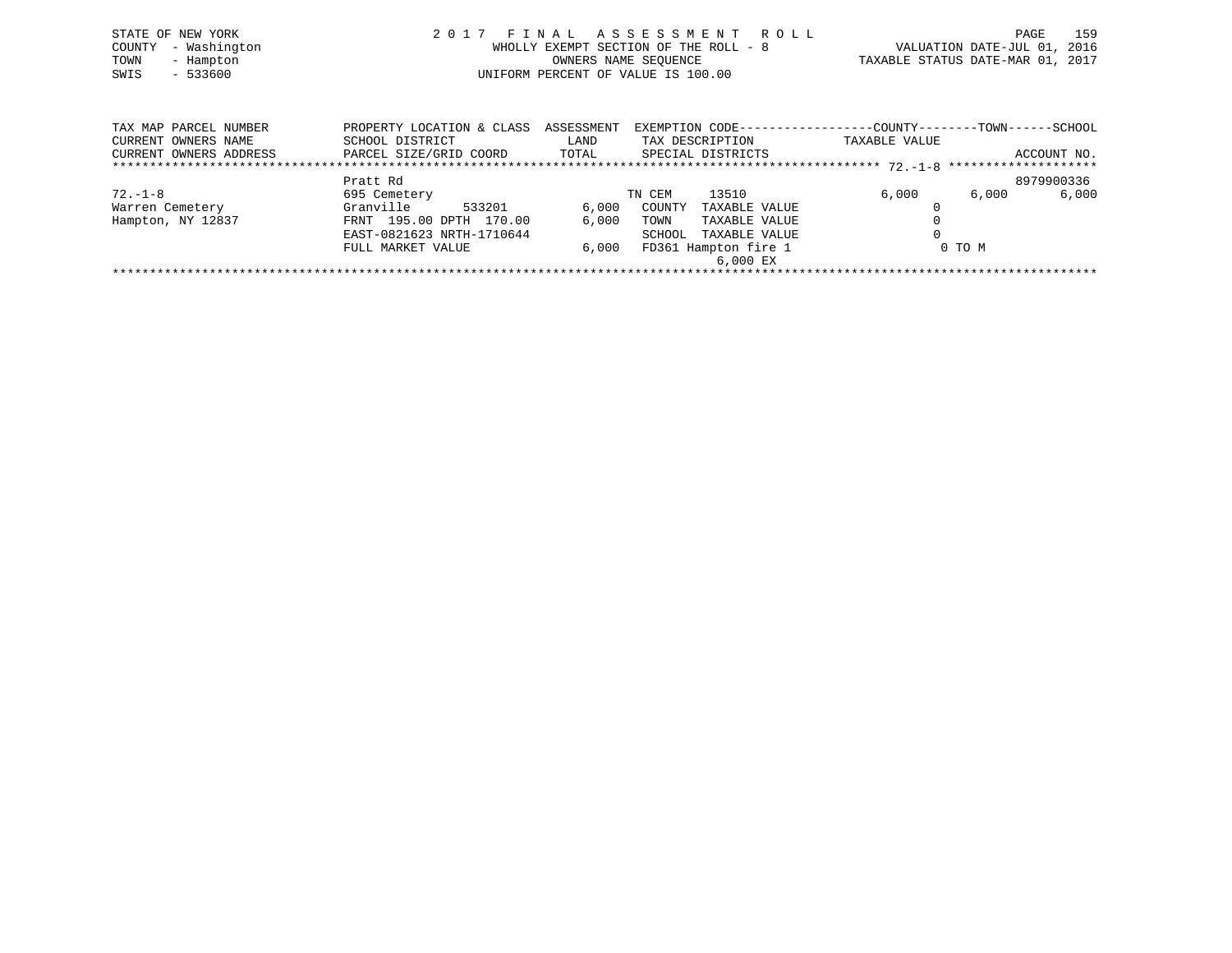| STATE OF NEW YORK<br>COUNTY - Washington<br>- Hampton<br>TOWN<br>SWIS<br>$-533600$ | 2017 FINAL ASSESSMENT ROLL<br>WHOLLY EXEMPT SECTION OF THE ROLL - 8<br>OWNERS NAME SEOUENCE<br>UNIFORM PERCENT OF VALUE IS 100.00 |       |                   |                                                                                |                           | 159<br>VALUATION DATE-JUL 01, 2016<br>TAXABLE STATUS DATE-MAR 01, 2017 |
|------------------------------------------------------------------------------------|-----------------------------------------------------------------------------------------------------------------------------------|-------|-------------------|--------------------------------------------------------------------------------|---------------------------|------------------------------------------------------------------------|
| TAX MAP PARCEL NUMBER<br>CURRENT OWNERS NAME                                       | PROPERTY LOCATION & CLASS ASSESSMENT<br>SCHOOL DISTRICT                                                                           | LAND  | TAX DESCRIPTION   | EXEMPTION CODE-----------------COUNTY--------TOWN------SCHOOL<br>TAXABLE VALUE |                           |                                                                        |
| CURRENT OWNERS ADDRESS                                                             | PARCEL SIZE/GRID COORD<br>Pratt Rd                                                                                                | TOTAL | SPECIAL DISTRICTS |                                                                                | ACCOUNT NO.<br>8979900336 |                                                                        |

| 72.-1-8           | 695 Cemetery              |       | 13510<br>TN CEM         | 6,000  | 6,000<br>6,000 |
|-------------------|---------------------------|-------|-------------------------|--------|----------------|
| Warren Cemetery   | 533201<br>Granville       | 6,000 | COUNTY<br>TAXABLE VALUE |        |                |
| Hampton, NY 12837 | FRNT 195.00 DPTH 170.00   | 6.000 | TOWN<br>TAXABLE VALUE   |        |                |
|                   | EAST-0821623 NRTH-1710644 |       | TAXABLE VALUE<br>SCHOOL |        |                |
|                   | FULL MARKET VALUE         | 6,000 | FD361 Hampton fire 1    | 0 TO M |                |
|                   |                           |       | 6,000 EX                |        |                |
|                   |                           |       |                         |        |                |
|                   |                           |       |                         |        |                |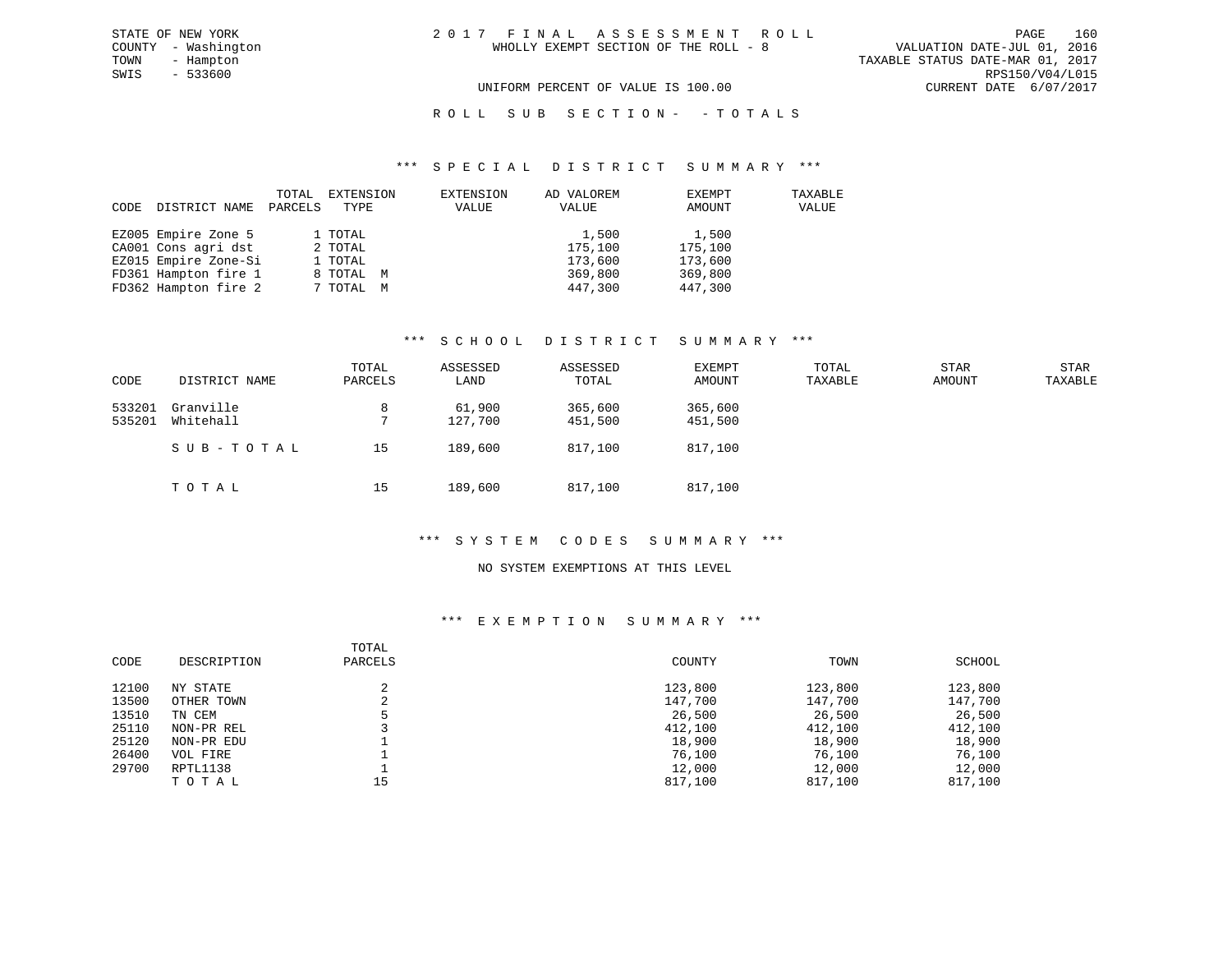$SWIS$  - 533600

VALUATION DATE-JUL 01, 2016 TOWN - Hampton TAXABLE STATUS DATE-MAR 01, 2017 UNIFORM PERCENT OF VALUE IS 100.00 CURRENT DATE 6/07/2017

#### \*\*\* S P E C I A L D I S T R I C T S U M M A R Y \*\*\*

| CODE | DISTRICT NAME        | TOTAL<br>PARCELS | EXTENSION<br>TYPE | EXTENSION<br>VALUE | AD VALOREM<br>VALUE | EXEMPT<br>AMOUNT | TAXABLE<br>VALUE |
|------|----------------------|------------------|-------------------|--------------------|---------------------|------------------|------------------|
|      | EZ005 Empire Zone 5  |                  | 1 TOTAL           |                    | 1,500               | 1,500            |                  |
|      | CA001 Cons agri dst  |                  | 2 TOTAL           |                    | 175,100             | 175,100          |                  |
|      | EZ015 Empire Zone-Si |                  | 1 TOTAL           |                    | 173,600             | 173,600          |                  |
|      | FD361 Hampton fire 1 |                  | 8 TOTAL M         |                    | 369,800             | 369,800          |                  |
|      | FD362 Hampton fire 2 |                  | 7 TOTAL M         |                    | 447,300             | 447,300          |                  |

#### \*\*\* S C H O O L D I S T R I C T S U M M A R Y \*\*\*

| CODE             | DISTRICT NAME          | TOTAL<br>PARCELS | ASSESSED<br>LAND  | ASSESSED<br>TOTAL  | EXEMPT<br>AMOUNT   | TOTAL<br>TAXABLE | STAR<br>AMOUNT | STAR<br>TAXABLE |
|------------------|------------------------|------------------|-------------------|--------------------|--------------------|------------------|----------------|-----------------|
| 533201<br>535201 | Granville<br>Whitehall | 8                | 61,900<br>127,700 | 365,600<br>451,500 | 365,600<br>451,500 |                  |                |                 |
|                  | SUB-TOTAL              | 15               | 189,600           | 817,100            | 817,100            |                  |                |                 |
|                  | TOTAL                  | 15               | 189,600           | 817,100            | 817,100            |                  |                |                 |

### \*\*\* S Y S T E M C O D E S S U M M A R Y \*\*\*

### NO SYSTEM EXEMPTIONS AT THIS LEVEL

#### \*\*\* E X E M P T I O N S U M M A R Y \*\*\*

| CODE  | DESCRIPTION | TOTAL<br>PARCELS | COUNTY  | TOWN    | SCHOOL  |
|-------|-------------|------------------|---------|---------|---------|
| 12100 | NY STATE    |                  | 123,800 | 123,800 | 123,800 |
| 13500 | OTHER TOWN  | ◠<br>∠           | 147,700 | 147,700 | 147,700 |
| 13510 | TN CEM      |                  | 26,500  | 26,500  | 26,500  |
| 25110 | NON-PR REL  |                  | 412,100 | 412,100 | 412,100 |
| 25120 | NON-PR EDU  |                  | 18,900  | 18,900  | 18,900  |
| 26400 | VOL FIRE    |                  | 76,100  | 76,100  | 76,100  |
| 29700 | RPTL1138    |                  | 12,000  | 12,000  | 12,000  |
|       | TOTAL       | 15               | 817,100 | 817,100 | 817,100 |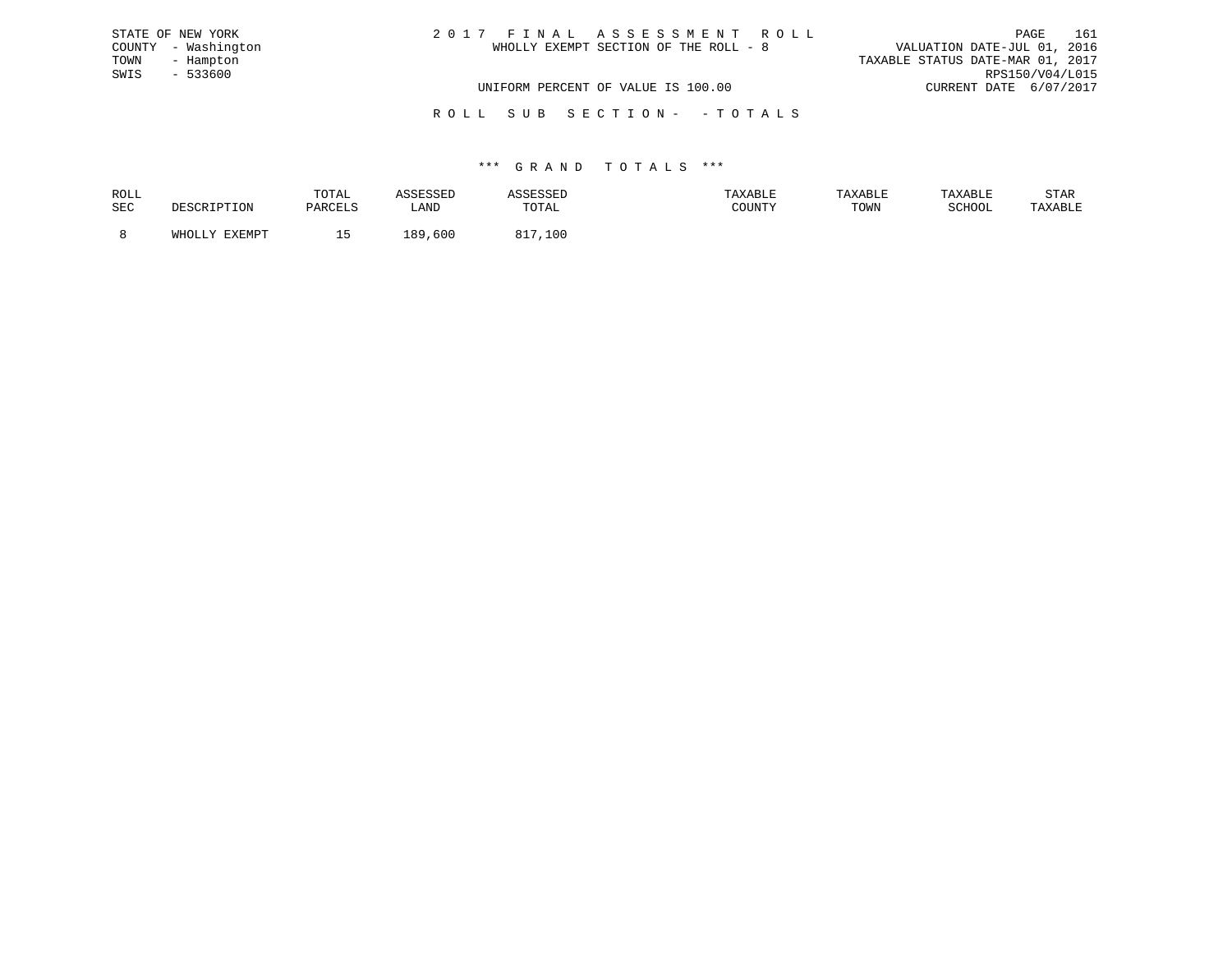| STATE OF NEW YORK   | 2017 FINAL ASSESSMENT ROLL            | 161<br>PAGE                      |
|---------------------|---------------------------------------|----------------------------------|
| COUNTY - Washington | WHOLLY EXEMPT SECTION OF THE ROLL - 8 | VALUATION DATE-JUL 01, 2016      |
| TOWN<br>- Hampton   |                                       | TAXABLE STATUS DATE-MAR 01, 2017 |
| SWIS<br>- 533600    |                                       | RPS150/V04/L015                  |
|                     | UNIFORM PERCENT OF VALUE IS 100.00    | CURRENT DATE 6/07/2017           |
|                     |                                       |                                  |

R O L L S U B S E C T I O N - - T O T A L S

| ROLL |        | TOTAL          | <b>SSESSED</b> |              | AXABLE | TAXABLE | TAXABLE | STAR    |
|------|--------|----------------|----------------|--------------|--------|---------|---------|---------|
| SEC  |        | <b>DARCTIC</b> | ∟AND           | <b>TOTAL</b> | COUNTY | TOWN    | SCHOOL  | TAXABLE |
|      | FYFMDT |                | ,600<br>RQ     | O 1<br>100   |        |         |         |         |
|      |        |                |                |              |        |         |         |         |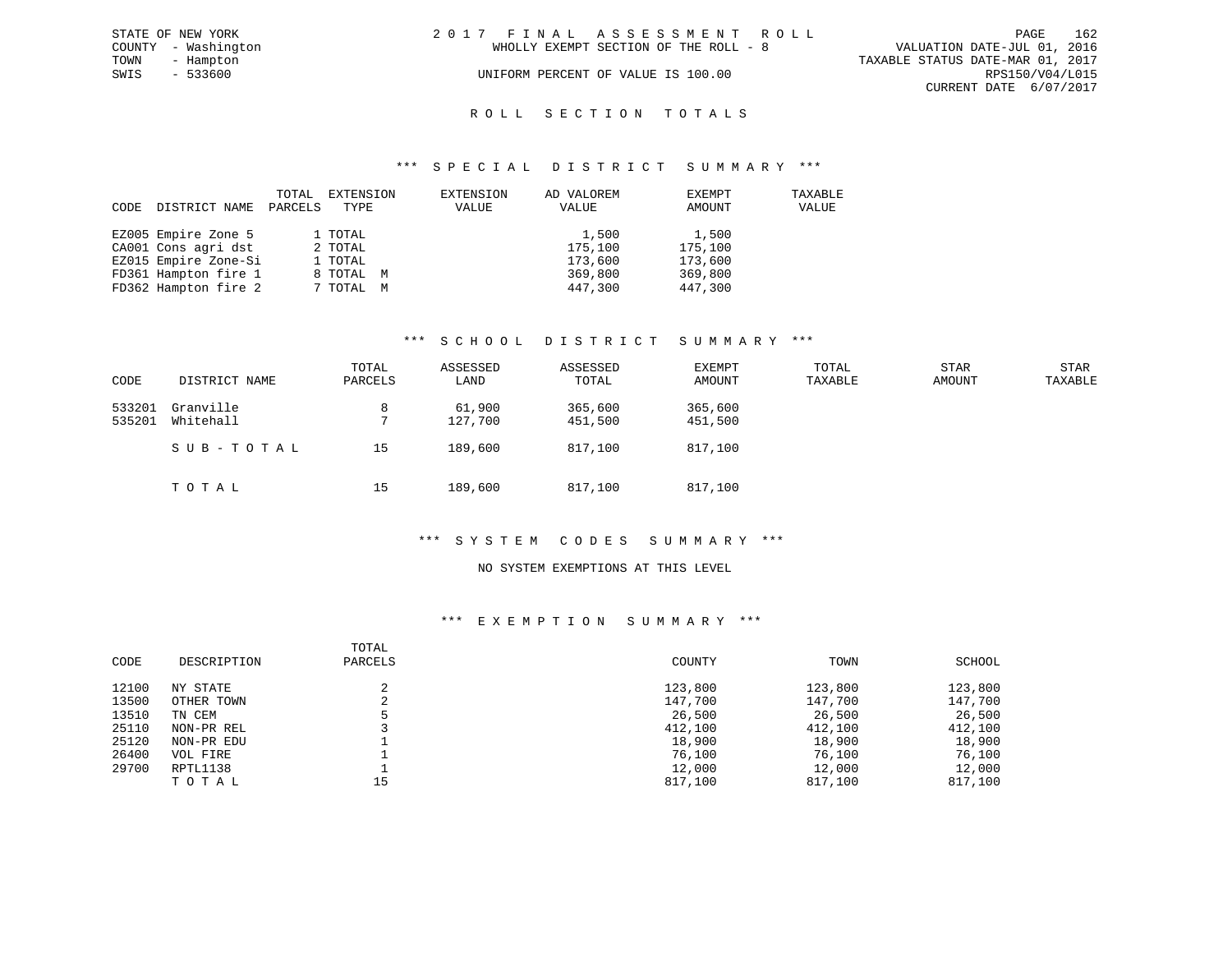|      | STATE OF NEW YORK   | 2017 FINAL ASSESSMENT ROLL |                                       |                                  |                        | PAGE | 162 |
|------|---------------------|----------------------------|---------------------------------------|----------------------------------|------------------------|------|-----|
|      | COUNTY - Washington |                            | WHOLLY EXEMPT SECTION OF THE ROLL - 8 | VALUATION DATE-JUL 01, 2016      |                        |      |     |
| TOWN | - Hampton           |                            |                                       | TAXABLE STATUS DATE-MAR 01, 2017 |                        |      |     |
| SWIS | - 533600            |                            | UNIFORM PERCENT OF VALUE IS 100.00    |                                  | RPS150/V04/L015        |      |     |
|      |                     |                            |                                       |                                  | CURRENT DATE 6/07/2017 |      |     |
|      |                     |                            |                                       |                                  |                        |      |     |

# ROLL SECTION TOTALS

#### \*\*\* S P E C I A L D I S T R I C T S U M M A R Y \*\*\*

| CODE | DISTRICT NAME        | TOTAL<br>PARCELS | EXTENSION<br>TYPE | EXTENSION<br>VALUE | AD VALOREM<br>VALUE | EXEMPT<br>AMOUNT | TAXABLE<br>VALUE |
|------|----------------------|------------------|-------------------|--------------------|---------------------|------------------|------------------|
|      | EZ005 Empire Zone 5  |                  | 1 TOTAL           |                    | 1,500               | 1,500            |                  |
|      | CA001 Cons agri dst  |                  | 2 TOTAL           |                    | 175,100             | 175,100          |                  |
|      | EZ015 Empire Zone-Si |                  | 1 TOTAL           |                    | 173,600             | 173,600          |                  |
|      | FD361 Hampton fire 1 |                  | 8 TOTAL M         |                    | 369,800             | 369,800          |                  |
|      | FD362 Hampton fire 2 |                  | 7 TOTAL M         |                    | 447,300             | 447,300          |                  |

#### \*\*\* S C H O O L D I S T R I C T S U M M A R Y \*\*\*

| CODE             | DISTRICT NAME          | TOTAL<br>PARCELS | ASSESSED<br>LAND  | ASSESSED<br>TOTAL  | EXEMPT<br>AMOUNT   | TOTAL<br>TAXABLE | STAR<br>AMOUNT | STAR<br>TAXABLE |
|------------------|------------------------|------------------|-------------------|--------------------|--------------------|------------------|----------------|-----------------|
| 533201<br>535201 | Granville<br>Whitehall | 8                | 61,900<br>127,700 | 365,600<br>451,500 | 365,600<br>451,500 |                  |                |                 |
|                  | SUB-TOTAL              | 15               | 189,600           | 817,100            | 817,100            |                  |                |                 |
|                  | тотаь                  | 15               | 189,600           | 817,100            | 817,100            |                  |                |                 |

#### \*\*\* S Y S T E M C O D E S S U M M A R Y \*\*\*

#### NO SYSTEM EXEMPTIONS AT THIS LEVEL

#### \*\*\* E X E M P T I O N S U M M A R Y \*\*\*

| CODE  | DESCRIPTION | TOTAL<br>PARCELS | COUNTY  | TOWN    | SCHOOL  |
|-------|-------------|------------------|---------|---------|---------|
| 12100 | NY STATE    |                  | 123,800 | 123,800 | 123,800 |
| 13500 | OTHER TOWN  | ◠<br>∠           | 147,700 | 147,700 | 147,700 |
| 13510 | TN CEM      |                  | 26,500  | 26,500  | 26,500  |
| 25110 | NON-PR REL  |                  | 412,100 | 412,100 | 412,100 |
| 25120 | NON-PR EDU  |                  | 18,900  | 18,900  | 18,900  |
| 26400 | VOL FIRE    |                  | 76,100  | 76,100  | 76,100  |
| 29700 | RPTL1138    |                  | 12,000  | 12,000  | 12,000  |
|       | TOTAL       | 15               | 817,100 | 817,100 | 817,100 |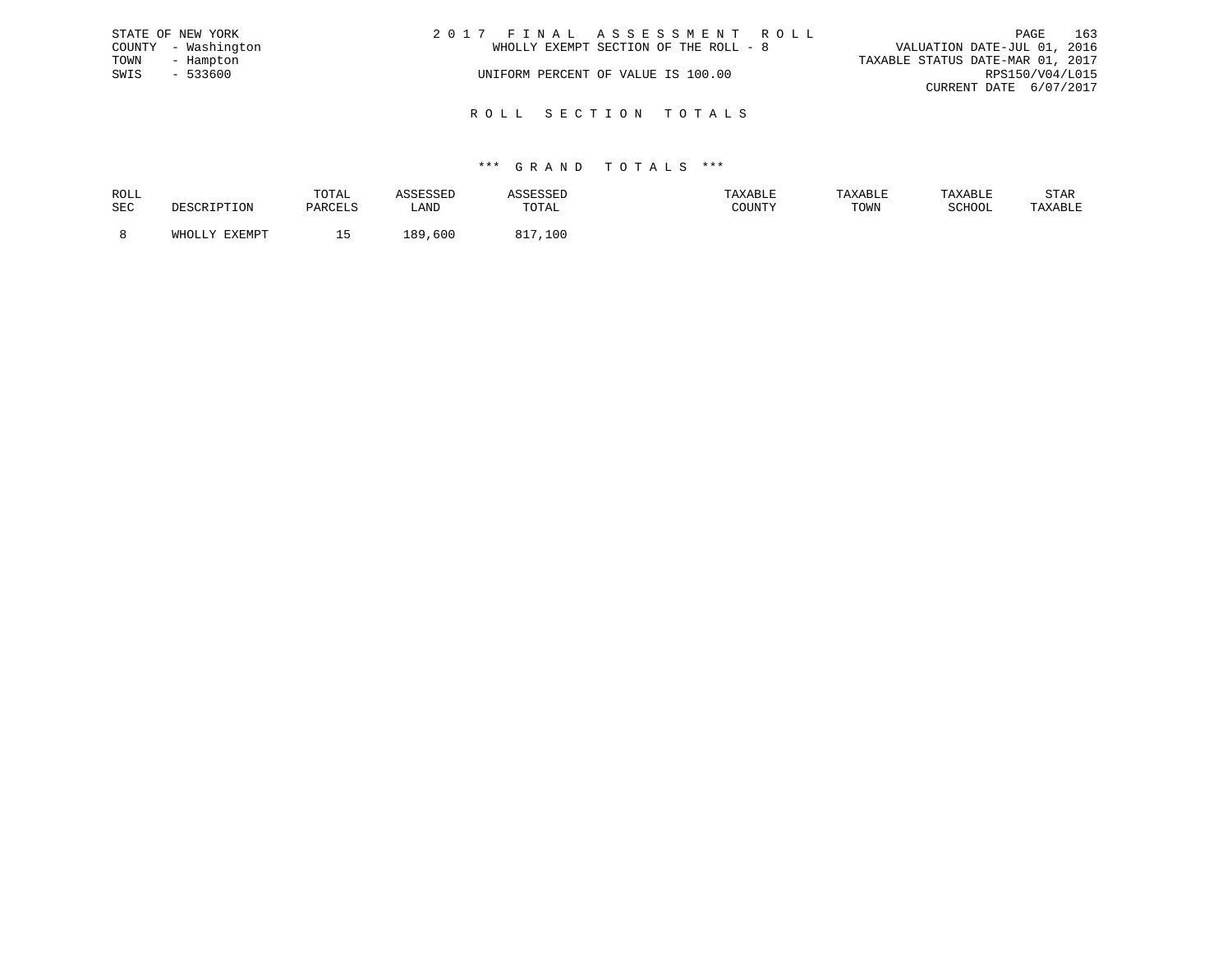|      | STATE OF NEW YORK   | 2017 FINAL ASSESSMENT ROLL            |                             | PAGE | 163 |
|------|---------------------|---------------------------------------|-----------------------------|------|-----|
|      | COUNTY - Washington | WHOLLY EXEMPT SECTION OF THE ROLL - 8 | VALUATION DATE-JUL 01, 2016 |      |     |
| TOWN | - Hampton           | TAXABLE STATUS DATE-MAR 01, 2017      |                             |      |     |
| SWIS | - 533600            | UNIFORM PERCENT OF VALUE IS 100.00    | RPS150/V04/L015             |      |     |
|      |                     |                                       | CURRENT DATE 6/07/2017      |      |     |
|      |                     |                                       |                             |      |     |

# \*\*\* G R A N D T O T A L S \*\*\*

R O L L S E C T I O N T O T A L S

| ROLL       |                          | TOTAL                            | <b><i>\SSESSED</i></b> |             | TAXABLE | TAXABLE | TAXABLE                    | STAR    |
|------------|--------------------------|----------------------------------|------------------------|-------------|---------|---------|----------------------------|---------|
| <b>SEC</b> | זור/דידים דפו״ו פיהם     | PARCELS                          | LAND                   | TOTAL       | COUNTY  | TOWN    | $CATI\cap\cap T$<br>OCHUUL | TAXABLE |
|            | EXEMPT<br>M∐∩<br>AHUTTA. | $\ddot{\phantom{1}}$<br><u>_</u> | 189<br>,600            | 817<br>,100 |         |         |                            |         |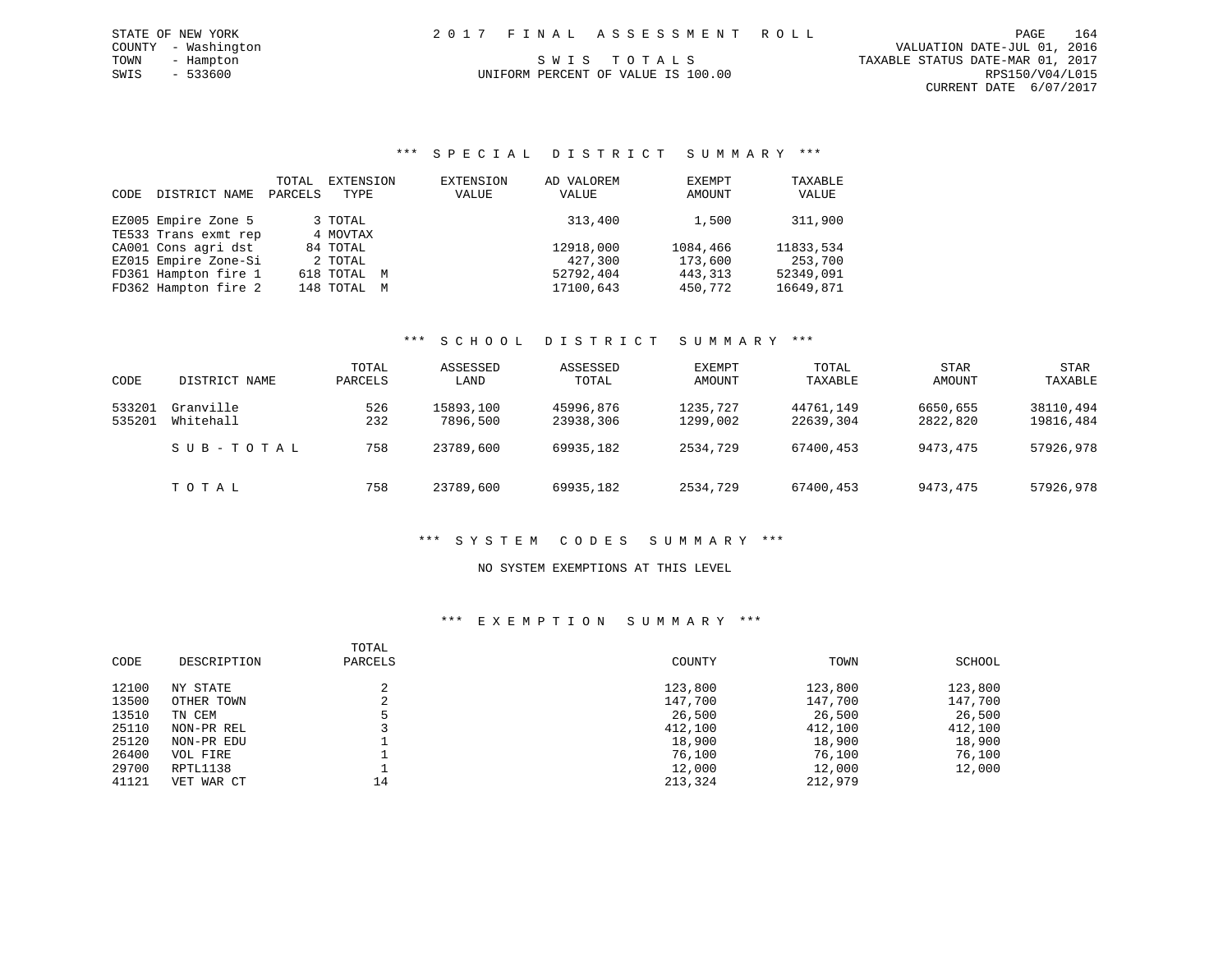TOWN - Hampton S W I S T O T A L S TAXABLE STATUS DATE-MAR 01, 2017 CURRENT DATE 6/07/2017

# UNIFORM PERCENT OF VALUE IS 100.00

## \*\*\* S P E C I A L D I S T R I C T S U M M A R Y \*\*\*

| CODE | DISTRICT NAME        | TOTAL<br>PARCELS | EXTENSION<br>TYPE | EXTENSION<br>VALUE | AD VALOREM<br>VALUE | EXEMPT<br>AMOUNT | TAXABLE<br>VALUE |
|------|----------------------|------------------|-------------------|--------------------|---------------------|------------------|------------------|
|      | EZ005 Empire Zone 5  |                  | 3 TOTAL           |                    | 313,400             | 1,500            | 311,900          |
|      | TE533 Trans exmt rep |                  | 4 MOVTAX          |                    |                     |                  |                  |
|      | CA001 Cons agri dst  |                  | 84 TOTAL          |                    | 12918,000           | 1084,466         | 11833,534        |
|      | EZ015 Empire Zone-Si |                  | 2 TOTAL           |                    | 427,300             | 173,600          | 253,700          |
|      | FD361 Hampton fire 1 |                  | 618 TOTAL M       |                    | 52792,404           | 443, 313         | 52349,091        |
|      | FD362 Hampton fire 2 |                  | 148 TOTAL M       |                    | 17100,643           | 450,772          | 16649,871        |

### \*\*\* S C H O O L D I S T R I C T S U M M A R Y \*\*\*

| CODE             | DISTRICT NAME          | TOTAL<br>PARCELS | ASSESSED<br>LAND      | ASSESSED<br>TOTAL      | EXEMPT<br>AMOUNT     | TOTAL<br>TAXABLE       | <b>STAR</b><br>AMOUNT | STAR<br>TAXABLE        |
|------------------|------------------------|------------------|-----------------------|------------------------|----------------------|------------------------|-----------------------|------------------------|
| 533201<br>535201 | Granville<br>Whitehall | 526<br>232       | 15893,100<br>7896,500 | 45996,876<br>23938,306 | 1235,727<br>1299,002 | 44761,149<br>22639,304 | 6650,655<br>2822,820  | 38110,494<br>19816,484 |
|                  | SUB-TOTAL              | 758              | 23789,600             | 69935,182              | 2534,729             | 67400,453              | 9473,475              | 57926,978              |
|                  | TOTAL                  | 758              | 23789,600             | 69935,182              | 2534,729             | 67400,453              | 9473,475              | 57926,978              |

### \*\*\* S Y S T E M C O D E S S U M M A R Y \*\*\*

### NO SYSTEM EXEMPTIONS AT THIS LEVEL

### \*\*\* E X E M P T I O N S U M M A R Y \*\*\*

| CODE  | DESCRIPTION | TOTAL<br>PARCELS | COUNTY  | TOWN    | SCHOOL  |
|-------|-------------|------------------|---------|---------|---------|
| 12100 | NY STATE    |                  | 123,800 | 123,800 | 123,800 |
| 13500 | OTHER TOWN  | ◠                | 147,700 | 147,700 | 147,700 |
| 13510 | TN CEM      |                  | 26,500  | 26,500  | 26,500  |
| 25110 | NON-PR REL  |                  | 412,100 | 412,100 | 412,100 |
| 25120 | NON-PR EDU  |                  | 18,900  | 18,900  | 18,900  |
| 26400 | VOL FIRE    |                  | 76,100  | 76,100  | 76,100  |
| 29700 | RPTL1138    |                  | 12,000  | 12,000  | 12,000  |
| 41121 | VET WAR CT  | 14               | 213,324 | 212,979 |         |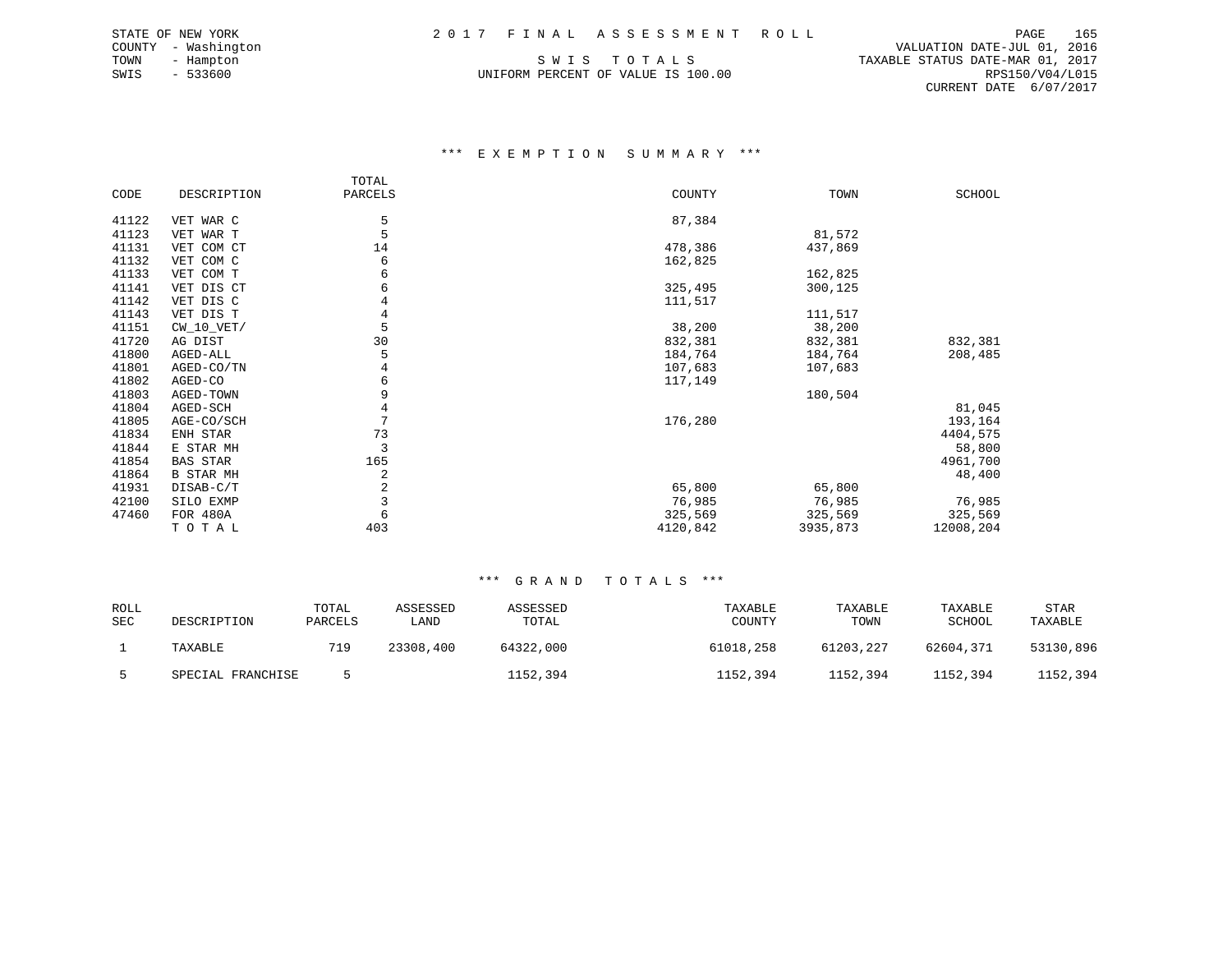UNIFORM PERCENT OF VALUE IS 100.00

 COUNTY - Washington VALUATION DATE-JUL 01, 2016 TOWN - Hampton S W I S T O T A L S TAXABLE STATUS DATE-MAR 01, 2017 CURRENT DATE 6/07/2017

#### \*\*\* E X E M P T I O N S U M M A R Y \*\*\*

|       |                  | TOTAL   |          |          |               |
|-------|------------------|---------|----------|----------|---------------|
| CODE  | DESCRIPTION      | PARCELS | COUNTY   | TOWN     | <b>SCHOOL</b> |
|       |                  |         |          |          |               |
| 41122 | VET WAR C        | 5       | 87,384   |          |               |
| 41123 | VET WAR T        | 5       |          | 81,572   |               |
| 41131 | VET COM CT       | 14      | 478,386  | 437,869  |               |
| 41132 | VET COM C        | 6       | 162,825  |          |               |
| 41133 | VET COM T        | 6       |          | 162,825  |               |
| 41141 | VET DIS CT       | 6       | 325,495  | 300,125  |               |
| 41142 | VET DIS C        |         | 111,517  |          |               |
| 41143 | VET DIS T        | 4       |          | 111,517  |               |
| 41151 | $CW_10_VET/$     | 5       | 38,200   | 38,200   |               |
| 41720 | AG DIST          | 30      | 832,381  | 832,381  | 832,381       |
| 41800 | AGED-ALL         | 5       | 184,764  | 184,764  | 208,485       |
| 41801 | AGED-CO/TN       |         | 107,683  | 107,683  |               |
| 41802 | AGED-CO          | 6       | 117,149  |          |               |
| 41803 | AGED-TOWN        | 9       |          | 180,504  |               |
| 41804 | AGED-SCH         | 4       |          |          | 81,045        |
| 41805 | AGE-CO/SCH       |         | 176,280  |          | 193,164       |
| 41834 | ENH STAR         | 73      |          |          | 4404,575      |
| 41844 | E STAR MH        | 3       |          |          | 58,800        |
| 41854 | BAS STAR         | 165     |          |          | 4961,700      |
| 41864 | <b>B STAR MH</b> | 2       |          |          | 48,400        |
| 41931 | DISAB-C/T        | 2       | 65,800   | 65,800   |               |
| 42100 | SILO EXMP        | 3       | 76,985   | 76,985   | 76,985        |
| 47460 | FOR 480A         |         | 325,569  | 325,569  | 325,569       |
|       | TOTAL            | 403     | 4120,842 | 3935,873 | 12008,204     |

| ROLL<br>SEC | DESCRIPTION       | TOTAL<br>PARCELS | ASSESSED<br>LAND | ASSESSED<br>TOTAL | TAXABLE<br>COUNTY | TAXABLE<br>TOWN | TAXABLE<br>SCHOOL | STAR<br>TAXABLE |
|-------------|-------------------|------------------|------------------|-------------------|-------------------|-----------------|-------------------|-----------------|
|             | TAXABLE           | 719              | 23308,400        | 64322,000         | 61018,258         | 61203,227       | 62604,371         | 53130,896       |
|             | SPECIAL FRANCHISE |                  |                  | 1152,394          | 1152,394          | 1152,394        | 1152,394          | 1152,394        |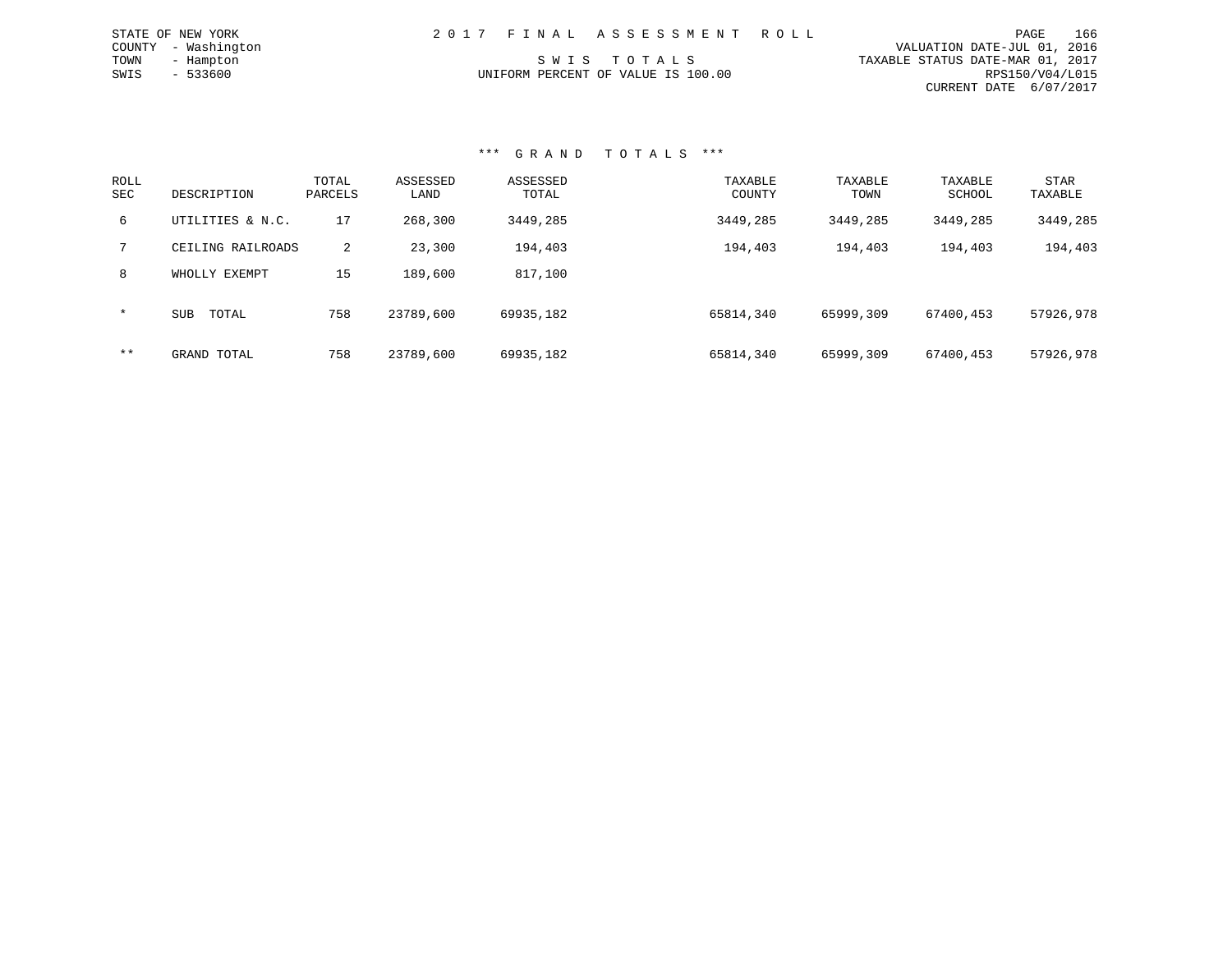| STATE OF NEW YORK   | 2017 FINAL ASSESSMENT ROLL         | 166<br>PAGE                      |
|---------------------|------------------------------------|----------------------------------|
| COUNTY - Washington |                                    | VALUATION DATE-JUL 01, 2016      |
| TOWN<br>- Hampton   | SWIS TOTALS                        | TAXABLE STATUS DATE-MAR 01, 2017 |
| $-533600$<br>SWIS   | UNIFORM PERCENT OF VALUE IS 100.00 | RPS150/V04/L015                  |
|                     |                                    | CURRENT DATE 6/07/2017           |

| ROLL<br><b>SEC</b> | DESCRIPTION         | TOTAL<br>PARCELS | ASSESSED<br>LAND | ASSESSED<br>TOTAL | TAXABLE<br>COUNTY | TAXABLE<br>TOWN | TAXABLE<br>SCHOOL | <b>STAR</b><br>TAXABLE |
|--------------------|---------------------|------------------|------------------|-------------------|-------------------|-----------------|-------------------|------------------------|
| 6                  | UTILITIES & N.C.    | 17               | 268,300          | 3449,285          | 3449,285          | 3449,285        | 3449,285          | 3449,285               |
|                    | CEILING RAILROADS   | 2                | 23,300           | 194,403           | 194,403           | 194,403         | 194,403           | 194,403                |
| 8                  | WHOLLY EXEMPT       | 15               | 189,600          | 817,100           |                   |                 |                   |                        |
| $\star$            | <b>SUB</b><br>TOTAL | 758              | 23789,600        | 69935,182         | 65814,340         | 65999,309       | 67400,453         | 57926,978              |
| $***$              | GRAND TOTAL         | 758              | 23789,600        | 69935,182         | 65814,340         | 65999,309       | 67400,453         | 57926,978              |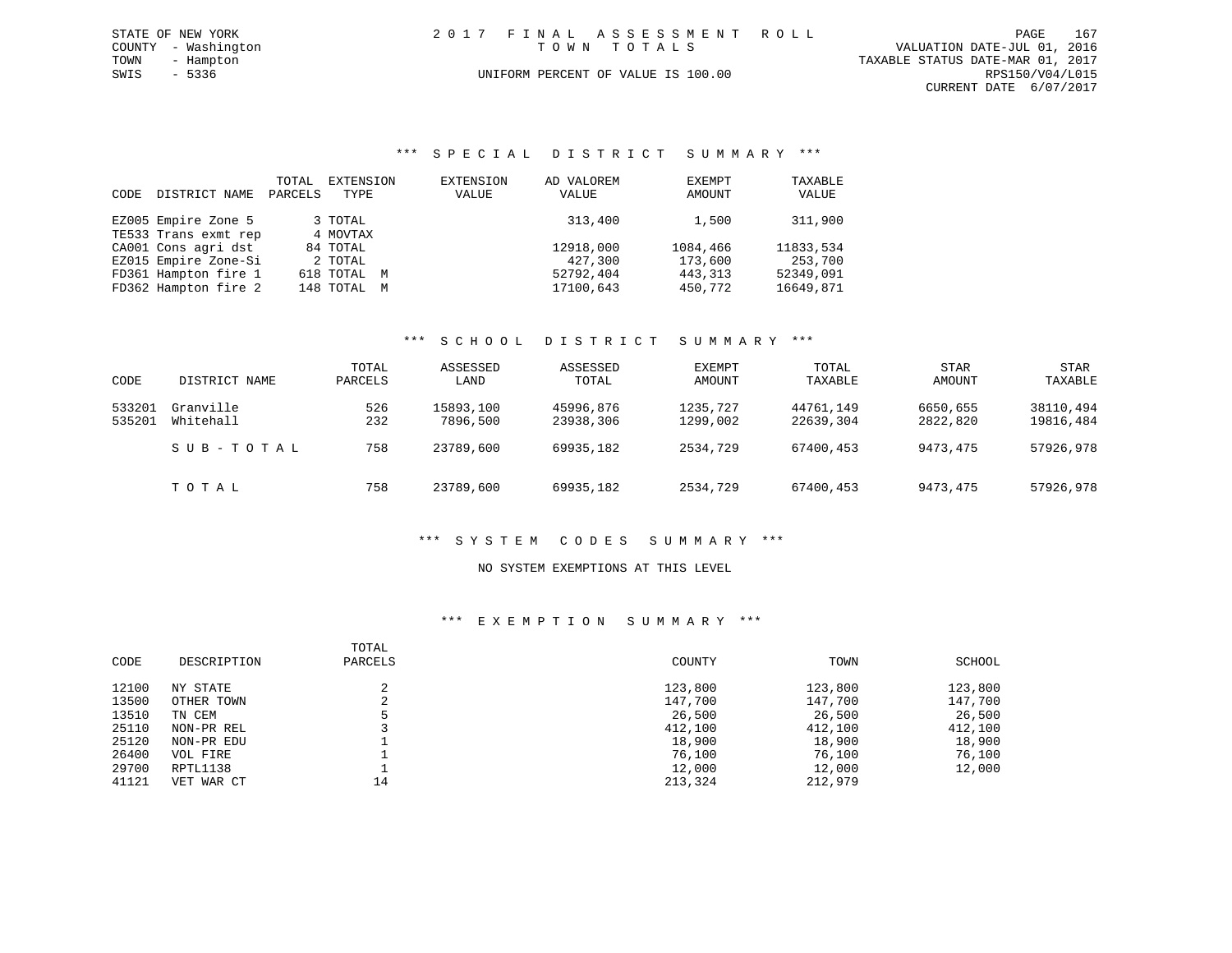|             | STATE OF NEW YORK   | 2017 FINAL ASSESSMENT ROLL |                                    |                                  | PAGE            | 167 |
|-------------|---------------------|----------------------------|------------------------------------|----------------------------------|-----------------|-----|
|             | COUNTY - Washington |                            | TOWN TOTALS                        | VALUATION DATE-JUL 01, 2016      |                 |     |
| TOWN        | - Hampton           |                            |                                    | TAXABLE STATUS DATE-MAR 01, 2017 |                 |     |
| SWIS - 5336 |                     |                            | UNIFORM PERCENT OF VALUE IS 100.00 |                                  | RPS150/V04/L015 |     |
|             |                     |                            |                                    | CURRENT DATE 6/07/2017           |                 |     |

#### \*\*\* S P E C I A L D I S T R I C T S U M M A R Y \*\*\*

| CODE | DISTRICT NAME        | TOTAL<br>PARCELS | EXTENSION<br>TYPE | <b>EXTENSION</b><br>VALUE | AD VALOREM<br>VALUE | EXEMPT<br>AMOUNT | TAXABLE<br>VALUE |
|------|----------------------|------------------|-------------------|---------------------------|---------------------|------------------|------------------|
|      | EZ005 Empire Zone 5  |                  | 3 TOTAL           |                           | 313,400             | 1,500            | 311,900          |
|      | TE533 Trans exmt rep |                  | 4 MOVTAX          |                           |                     |                  |                  |
|      | CA001 Cons agri dst  |                  | 84 TOTAL          |                           | 12918,000           | 1084,466         | 11833,534        |
|      | EZ015 Empire Zone-Si |                  | 2 TOTAL           |                           | 427,300             | 173,600          | 253,700          |
|      | FD361 Hampton fire 1 |                  | 618 TOTAL M       |                           | 52792,404           | 443,313          | 52349,091        |
|      | FD362 Hampton fire 2 |                  | 148 TOTAL M       |                           | 17100,643           | 450,772          | 16649,871        |

#### \*\*\* S C H O O L D I S T R I C T S U M M A R Y \*\*\*

|        |               | TOTAL   | ASSESSED  | ASSESSED  | EXEMPT   | TOTAL     | <b>STAR</b> | <b>STAR</b> |
|--------|---------------|---------|-----------|-----------|----------|-----------|-------------|-------------|
| CODE   | DISTRICT NAME | PARCELS | LAND      | TOTAL     | AMOUNT   | TAXABLE   | AMOUNT      | TAXABLE     |
| 533201 | Granville     | 526     | 15893,100 | 45996,876 | 1235,727 | 44761,149 | 6650,655    | 38110,494   |
| 535201 | Whitehall     | 232     | 7896,500  | 23938,306 | 1299,002 | 22639,304 | 2822,820    | 19816,484   |
|        | SUB-TOTAL     | 758     | 23789,600 | 69935,182 | 2534,729 | 67400,453 | 9473,475    | 57926,978   |
|        | TOTAL         | 758     | 23789,600 | 69935,182 | 2534,729 | 67400,453 | 9473,475    | 57926,978   |

#### \*\*\* S Y S T E M C O D E S S U M M A R Y \*\*\*

### NO SYSTEM EXEMPTIONS AT THIS LEVEL

#### \*\*\* E X E M P T I O N S U M M A R Y \*\*\*

| CODE  | DESCRIPTION | TOTAL<br>PARCELS | COUNTY  | TOWN    | SCHOOL  |
|-------|-------------|------------------|---------|---------|---------|
| 12100 | NY STATE    |                  | 123,800 | 123,800 | 123,800 |
| 13500 | OTHER TOWN  | ∠                | 147,700 | 147,700 | 147,700 |
| 13510 | TN CEM      |                  | 26,500  | 26,500  | 26,500  |
| 25110 | NON-PR REL  |                  | 412,100 | 412,100 | 412,100 |
| 25120 | NON-PR EDU  |                  | 18,900  | 18,900  | 18,900  |
| 26400 | VOL FIRE    |                  | 76,100  | 76,100  | 76,100  |
| 29700 | RPTL1138    |                  | 12,000  | 12,000  | 12,000  |
| 41121 | VET WAR CT  | 14               | 213,324 | 212,979 |         |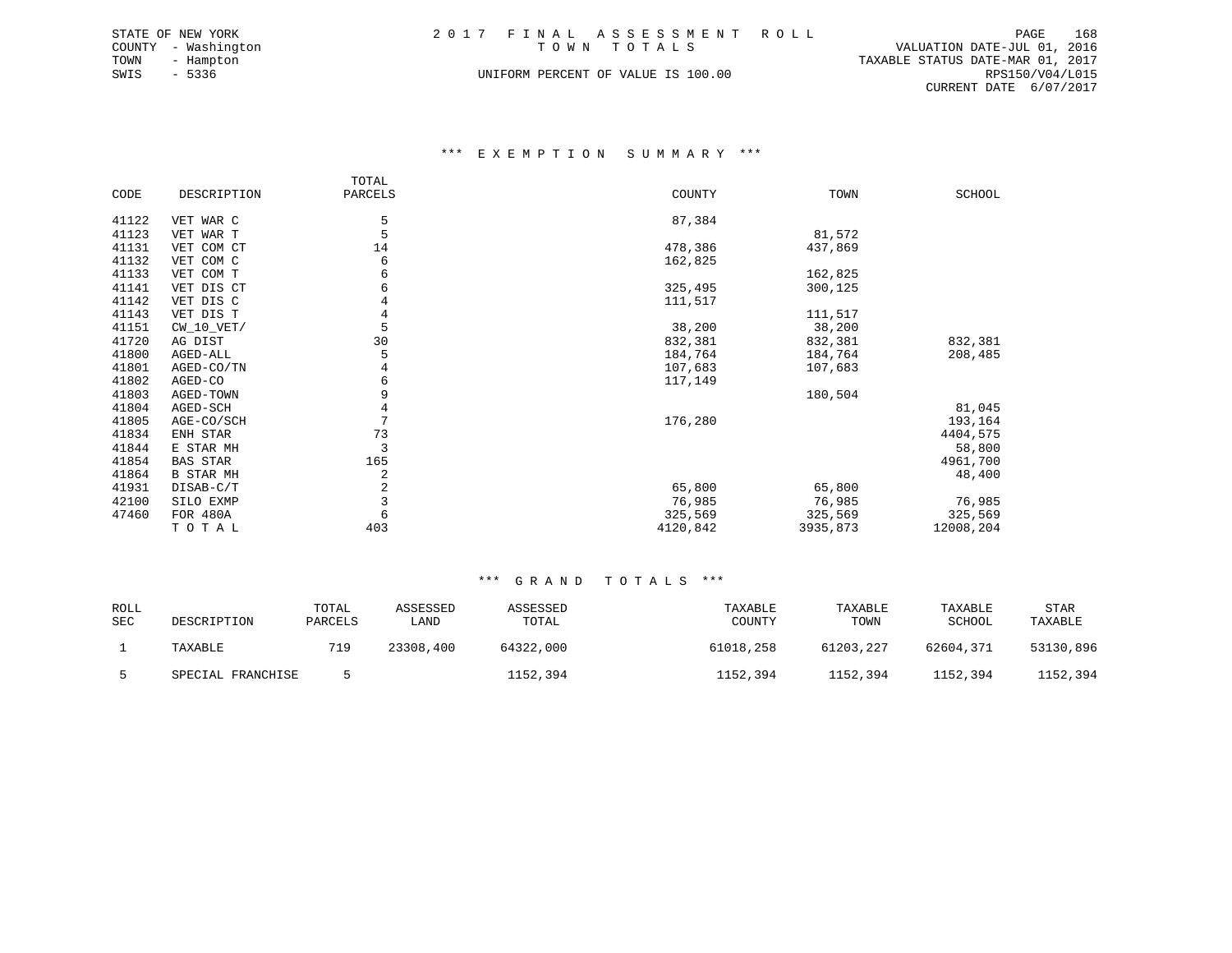|      | STATE OF NEW YORK   | 2017 FINAL ASSESSMENT ROLL         |  |                                  | PAGE            | 168 |
|------|---------------------|------------------------------------|--|----------------------------------|-----------------|-----|
|      | COUNTY - Washington | TOWN TOTALS                        |  | VALUATION DATE-JUL 01, 2016      |                 |     |
| TOWN | - Hampton           |                                    |  | TAXABLE STATUS DATE-MAR 01, 2017 |                 |     |
| SWIS | - 5336              | UNIFORM PERCENT OF VALUE IS 100.00 |  |                                  | RPS150/V04/L015 |     |
|      |                     |                                    |  | CURRENT DATE 6/07/2017           |                 |     |

#### \*\*\* E X E M P T I O N S U M M A R Y \*\*\*

|       |                  | TOTAL   |          |          |           |
|-------|------------------|---------|----------|----------|-----------|
| CODE  | DESCRIPTION      | PARCELS | COUNTY   | TOWN     | SCHOOL    |
|       |                  |         |          |          |           |
| 41122 | VET WAR C        | 5       | 87,384   |          |           |
| 41123 | VET WAR T        | 5       |          | 81,572   |           |
| 41131 | VET COM CT       | 14      | 478,386  | 437,869  |           |
| 41132 | VET COM C        | 6       | 162,825  |          |           |
| 41133 | VET COM T        | 6       |          | 162,825  |           |
| 41141 | VET DIS CT       | 6       | 325,495  | 300,125  |           |
| 41142 | VET DIS C        | 4       | 111,517  |          |           |
| 41143 | VET DIS T        | 4       |          | 111,517  |           |
| 41151 | $CW_10_VET/$     | 5       | 38,200   | 38,200   |           |
| 41720 | AG DIST          | 30      | 832,381  | 832,381  | 832,381   |
| 41800 | AGED-ALL         | 5       | 184,764  | 184,764  | 208,485   |
| 41801 | AGED-CO/TN       | 4       | 107,683  | 107,683  |           |
| 41802 | AGED-CO          | 6       | 117,149  |          |           |
| 41803 | AGED-TOWN        | 9       |          | 180,504  |           |
| 41804 | AGED-SCH         | 4       |          |          | 81,045    |
| 41805 | AGE-CO/SCH       | 7       | 176,280  |          | 193,164   |
| 41834 | ENH STAR         | 73      |          |          | 4404,575  |
| 41844 | E STAR MH        | 3       |          |          | 58,800    |
| 41854 | <b>BAS STAR</b>  | 165     |          |          | 4961,700  |
| 41864 | <b>B STAR MH</b> | 2       |          |          | 48,400    |
| 41931 | DISAB-C/T        | 2       | 65,800   | 65,800   |           |
| 42100 | SILO EXMP        | 3       | 76,985   | 76,985   | 76,985    |
| 47460 | FOR 480A         | 6       | 325,569  | 325,569  | 325,569   |
|       | TOTAL            | 403     | 4120,842 | 3935,873 | 12008,204 |
|       |                  |         |          |          |           |

| <b>ROLL</b><br><b>SEC</b> | DESCRIPTION       | TOTAL<br>PARCELS | ASSESSED<br><b>LAND</b> | ASSESSED<br>TOTAL | TAXABLE<br>COUNTY | TAXABLE<br>TOWN | TAXABLE<br>SCHOOL | <b>STAR</b><br>TAXABLE |
|---------------------------|-------------------|------------------|-------------------------|-------------------|-------------------|-----------------|-------------------|------------------------|
|                           | TAXABLE           | 719              | 23308,400               | 64322,000         | 61018,258         | 61203,227       | 62604,371         | 53130,896              |
|                           | SPECIAL FRANCHISE |                  |                         | 1152,394          | 1152,394          | 1152,394        | 1152,394          | 1152,394               |